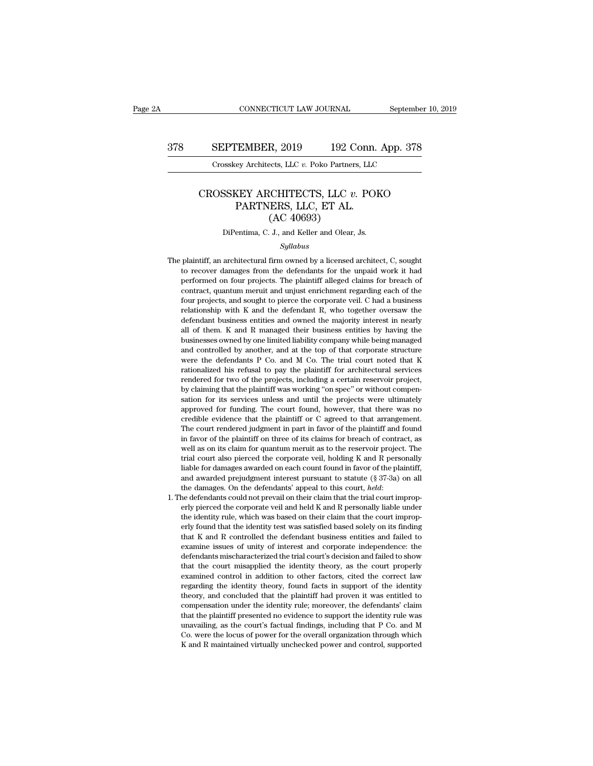## CONNECTICUT LAW JOURNAL September 10, 2019<br>378 SEPTEMBER, 2019 192 Conn. App. 378<br>Crosskey Architects, LLC v. Poko Partners, LLC CONNECTICUT LAW JOURNAL September<br>
SEPTEMBER, 2019 192 Conn. App. 378<br>
Crosskey Architects, LLC *v.* Poko Partners, LLC

### SEPTEMBER, 2019 192 Conn. App. 378<br>
Crosskey Architects, LLC *v.* Poko Partners, LLC<br>
CROSSKEY ARCHITECTS, LLC *v.* POKO<br>
PARTNERS, LLC, ET AL. (AC 40693) EMBER, 2019 192 Conn.<br>
ey Architects, LLC v. Poko Partners, LLC<br>
KEY ARCHITECTS, LLC v. POI<br>
PARTNERS, LLC, ET AL.<br>
(AC 40693) R, 2019 192 C<br>
ects, LLC v. Poko Partners<br>
CCHITECTS, LLC v.<br>
ERS, LLC, ET AL.<br>
(AC 40693)<br>
J., and Keller and Olear, CROSSKEY ARCHITECTS, LLC  $v$ . POKO<br>PARTNERS, LLC, ET AL.<br>(AC 40693)<br>DiPentima, C. J., and Keller and Olear, Js.

### *Syllabus*

- PARTNERS, LLC, ET AL.<br>
(AC 40693)<br>
DiPentima, C. J., and Keller and Olear, Js.<br>
Syllabus<br>
The plaintiff, an architectural firm owned by a licensed architect, C, sought<br>
to recover damages from the defendants for the unpaid  $(AC 40693)$ <br>DiPentima, C. J., and Keller and Olear, Js.<br>Syllabus<br>plaintiff, an architectural firm owned by a licensed architect, C, sought<br>to recover damages from the defendants for the unpaid work it had<br>performed on fou The plaintiff, an architectural firm owned by a licensed architect, C, sought<br>to recover damages from the defendants for the unpaid work it had<br>performed on four projects. The plaintiff alleged claims for breach of<br>contrac Direntima, C. J., and Keiler and Olear, Js.<br>Syllabus<br>plaintiff, an architectural firm owned by a licensed architect, C, sought<br>to recover damages from the defendants for the unpaid work it had<br>performed on four projects. T  $Syllabus$ <br>plaintiff, an architectural firm owned by a licensed architect, C, sought<br>to recover damages from the defendants for the unpaid work it had<br>performed on four projects. The plaintiff alleged claims for breach of<br>cont plaintiff, an architectural firm owned by a licensed architect, C, sought<br>to recover damages from the defendants for the unpaid work it had<br>performed on four projects. The plaintiff alleged claims for breach of<br>contract, q plantant, an archaectaral film owned by a heensed archaect, c, sought<br>to recover damages from the defendants for the unpaid work it had<br>performed on four projects. The plaintiff alleged claims for breach of<br>contract, quant by recover dangles from the detendants for the diplad work it had<br>performed on four projects. The plaintiff alleged claims for breach of<br>contract, quantum meruit and unjust enrichment regarding each of the<br>four projects, a performed on four projects. The plantari andged claims for order of chement<br>contract, quantum meruit and unjust enrichment regarding each of the<br>four projects, and sought to pierce the corporate veil. C had a business<br>rela contract, quantum incruit and utigust chrichmetric regarding each of the four projects, and sought to pierce the corporate veil. C had a business relationship with K and the defendant R, who together oversaw the defendant Following projects, and sought to piece the corporate vent. C had a business<br>relationship with K and the defendant R, who together oversaw the<br>defendant business entities and owned the majority interest in nearly<br>all of th refacionship with K and the defendant R, who together oversaw the defendant business entities and owned the majority interest in nearly all of them. K and R managed their business entities by having the businesses owned by rendered for two of the projects, including a certain reservoir projects in the project and of them. K and R managed their business entities by having the businesses owned by one limited liability company while being manag all of them. K and R managed their business entities by having the businesses owned by one limited liability company while being managed and controlled by another, and at the top of that corporate structure were the defend businesses owned by one initied nability company while being inanaged<br>and controlled by another, and at the top of that corporate structure<br>were the defendants P Co. and M Co. The trial court noted that K<br>rationalized his and controlled by another, and at the top of that corporate structure<br>were the defendants P Co. and M Co. The trial court noted that K<br>rationalized his refusal to pay the plaintiff for architectural services<br>rendered for t were the detendants **F** Co. and *M* Co. The that court noted that **K**<br>rationalized his refusal to pay the plaintiff for architectural services<br>rendered for two of the projects, including a certain reservoir project,<br>by cla rationalized its retusal to pay the plaintiff for architectural services<br>rendered for two of the projects, including a certain reservoir project,<br>by claiming that the plaintiff was working "on spec" or without compen-<br>sati in favor of the plaintiff was working "on spec" or without compensation for its services unless and until the projects were ultimately approved for funding. The court found, however, that there was no credible evidence tha by claiming that the plantificant was working on spectron whilout compensation for its services unless and until the projects were ultimately approved for funding. The court found, however, that there was no credible evide sation for its services uness and until the projects were untilately<br>approved for funding. The court found, however, that there was no<br>credible evidence that the plaintiff or C agreed to that arrangement.<br>The court rendere approved for funding. The court found, however, that there was no<br>credible evidence that the plaintiff or C agreed to that arrangement.<br>The court rendered judgment in part in favor of the plaintiff and found<br>in favor of th creduble evidence that the plantiful of C agreed to that arrangement.<br>The court rendered judgment in part in favor of the plaintiff and found<br>in favor of the plaintiff on three of its claims for breach of contract, as<br>well In favor of the plaintiff on three of its claims for breach of contract, as<br>well as on its claim for quantum meruit as to the reservoir project. The<br>trial court also pierced the corporate veil, holding K and R personally<br>l wen as on its claim for quantum merum as to the reservoir project. The<br>trial court also pierced the corporate veil, holding K and R personally<br>liable for damages awarded on each count found in favor of the plaintiff,<br>and a
- % trial court also pierced the corporate veil, holding K and R personally<br>liable for damages awarded on each count found in favor of the plaintiff,<br>and awarded prejudgment interest pursuant to statute ( $\S$  37-3a) on all<br>t made for danages awarded on each count found in favor of the plantin, and awarded prejudgment interest pursuant to statute  $(\S 37-3a)$  on all the damages. On the defendants' appeal to this court, *held*:<br>he defendants cou and awarded prejudgment interest pursuant to statute ( $S$  31-5a) on an<br>the damages. On the defendants' appeal to this court, *held*:<br>he defendants could not prevail on their claim that the trial court improp-<br>erly pierced the dantages. On the detendants appear to this court, *heat*.<br>The defendants could not prevail on their claim that the trial court improp-<br>erly pierced the corporate veil and held K and R personally liable under<br>the identi de defendants collul not prevail on their claim that the trial court improperly pierced the corporate veil and held K and R personally liable under the identity rule, which was based on their claim that the court improperl that the court misapplied the identity theory, as the court improperly found that the identity test was satisfied based solely on its finding that K and R controlled the defendant business entities and failed to examine is the identity rule, which was based on their claim that the could improperly found that the identity test was satisfied based solely on its finding that K and R controlled the defendant business entities and failed to exami erly found that the definity test was satisfied based solety off its infiding that K and R controlled the defendant business entities and failed to show defendants mischaracterized the trial court's decision and failed to that K and K controlled the defendant business entities and failed to examine issues of unity of interest and corporate independence: the defendants mischaracterized the trial court's decision and failed to show that the c examine issues of untry of interest and corporate intepertuence. the defendants mischaracterized the trial court's decision and failed to show that the court misapplied the identity theory, as the court properly examined c defendants inscharacterized the trial court's decision and raned to show<br>that the court misapplied the identity theory, as the court properly<br>examined control in addition to other factors, cited the correct law<br>regarding t that the court' misappied the identity theory, as the court property<br>examined control in addition to other factors, cited the correct law<br>regarding the identity theory, found facts in support of the identity<br>theory, and co examined control in addition to other factors, ched the correct law<br>regarding the identity theory, found facts in support of the identity<br>theory, and concluded that the plaintiff had proven it was entitled to<br>compensation regarding the identity theory, found facts in support of the identity theory, and concluded that the plaintiff had proven it was entitled to compensation under the identity rule; moreover, the defendants' claim that the pl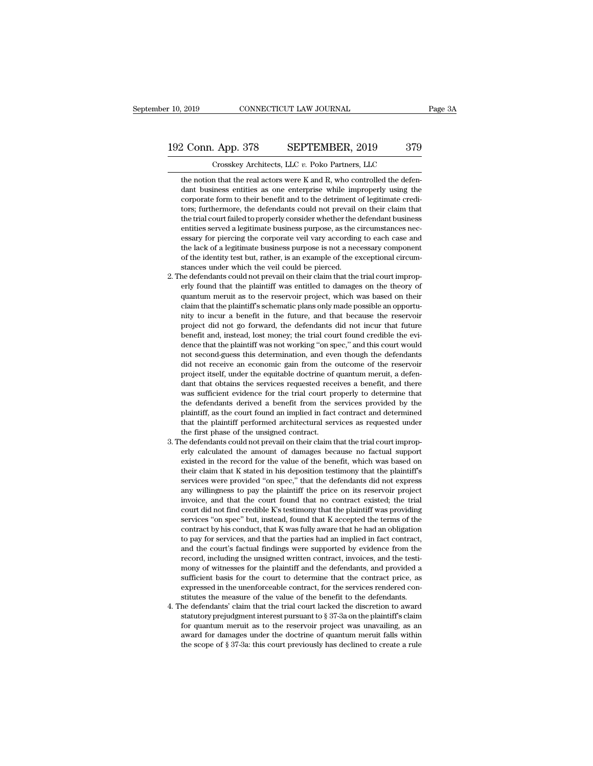2 Conn. App. 378 SEPTEMBER, 2019 379<br>Crosskey Architects, LLC v. Poko Partners, LLC<br>the notion that the real actors were K and R, who controlled the defen-<br>dant business entities as one enterprise while improperly using th 2 Conn. App. 378 SEPTEMBER, 2019 379<br>Crosskey Architects, LLC  $v$ . Poko Partners, LLC<br>the notion that the real actors were K and R, who controlled the defen-<br>dant business entities as one enterprise while improperly using corporate form to their benefit and to the detriment of legitimate form to their benefit and to the detriment of legitimate credi-<br>corporate form to their benefit and to the detriment of legitimate credi-<br>corporate form to THALLET STORE THALLET STORE OF STRIP OF STRIP OF STRIP OF STRIP OF STRIP OF STRIP OF STRIP OF STRIP OF STRIP OF STRIP OF THE AND CONTROLLED THE MORE THAND STRIP OF THE DEFENDANT ON THE COULD NOT prevail on their claim that Crosskey Architects, LLC  $v$ . Poko Partners, LLC<br>the notion that the real actors were K and R, who controlled the defen-<br>dant business entities as one enterprise while improperly using the<br>corporate form to their benefit the notion that the real actors were K and R, who controlled the defendant business entities as one enterprise while improperly using the corporate form to their benefit and to the detriment of legitimate creditors; furthe the notion that the real actors were K and K, who controlled the defendant business entities as one enterprise while improperly using the corporate form to their benefit and to the detriment of legitimate creditors; furthe dant business entures as one enterprise wine improperty using the corporate form to their benefit and to the detriment of legitimate creditors; furthermore, the defendants could not prevail on their claim that the trial co corporate form to their benefit and to the definition of eglumate creditors; furthermore, the defendants could not prevail on their claim that the trial court failed to properly consider whether the defendant business enti formation to the defendants could not prevail the trial court failed to properly consider whether the entities served a legitimate business purpose, as the cosary for piercing the corporate veil vary according the lack of The defendants could not prevail on their claim that the trial court is served a legitimate business purpose, as the circumstances necessary for piercing the corporate veil vary according to each case and the lack of a leg entities served a legitimate business purpose, as the circumstances necessary for piercing the corporate veil vary according to each case and the lack of a legitimate business purpose is not a necessary component of the id

- essary for piercing the corporate ven vary according to each case and<br>the lack of a legitimate business purpose is not a necessary component<br>of the identity test but, rather, is an example of the exceptional circum-<br>stance the lack or a legitimate business purpose is not a necessary component<br>of the identity test but, rather, is an example of the exceptional circum-<br>stances under which the veil could be pierced.<br>he defendants could not preva or the identity test but, rather, is an example or the exceptional circum-<br>stances under which the veil could be pierced.<br>he defendants could not prevail on their claim that the trial court improp-<br>erly found that the plai stances under which the veil could be pierced.<br>
he defendants could not prevail on their claim that the trial court improp-<br>
erly found that the plaintiff was entitled to damages on the theory of<br>
quantum meruit as to the erly found that the plaintiff was entitled to damages on the theory of quantum meruit as to the reservoir project, which was based on their claim that the plaintiff's schematic plans only made possible an opportunity to in erly found that the plaintiff was entured to dantages on the theory of quantum meruit as to the reservoir project, which was based on their claim that the plaintiff's schematic plans only made possible an opportunity to in quantum merunt as to the reservoir project, which was based on their<br>claim that the plaintiff's schematic plans only made possible an opportu-<br>nity to incur a benefit in the future, and that because the reservoir<br>project d cially the plantial is schematic plans only made possible an opportunity to incur a benefit in the future, and that because the reservoir project did not go forward, the defendants did not incur that future benefit and, in benefit and, instead, lost money; the trial court found credible the evidence that the plaintiff was not working "on spec," and this court would not second-guess this determination, and even though the defendants did not r project and not go forward, the defendants dud not incur that future<br>benefit and, instead, lost money; the trial court found credible the evi-<br>dence that the plaintiff was not working "on spec," and this court would<br>not se benent and, instead, lost money; the trial court found credible the evidence that the plaintiff was not working "on spec," and this court would not second-guess this determination, and even though the defendants did not re dence that the plaintin was not working on spec, and this court would<br>not second-guess this determination, and even though the defendants<br>did not receive an economic gain from the outcome of the reservoir<br>project itself, u not second-guess this determination, and even though the detendants<br>did not receive an economic gain from the outcome of the reservoir<br>project itself, under the equitable doctrine of quantum meruit, a defen-<br>dant that obta did not receive an economic gain from the outcome of the reservoir<br>project itself, under the equitable doctrine of quantum meruit, a defen-<br>dant that obtains the services requested receives a benefit, and there<br>was suffici was sufficient evidence for the trial court properly to determine that<br>the defendants derived a benefit from the services provided by the<br>plaintiff, as the court found an implied in fact contract and determined<br>that the pl was sumclent evidence for the trial court property to determine that<br>the defendants derived a benefit from the services provided by the<br>plaintiff, as the court found an implied in fact contract and determined<br>that the plai
- 3. The defendants could not prevail on their claim that the trial court improperly calculated the amount of damages because no factual support existed in the record for the value of the benefit, which was based on the defendants derived a benefit from the services provided by the plaintiff, as the court found an implied in fact contract and determined that the plaintiff performed architectural services as requested under the first p plantiff, as the court found an implied in fact contract and determined<br>that the plaintiff performed architectural services as requested under<br>the first phase of the unsigned contract.<br>he defendants could not prevail on th that the plantiful performed architectural services as requested under<br>the first phase of the unsigned contract.<br>he defendants could not prevail on their claim that the trial court improp-<br>erly calculated the amount of dam the linst phase of the unisighed contract.<br>The defendants could not prevail on their claim that the trial court improp-<br>erly calculated the amount of damages because no factual support<br>existed in the record for the value o if the defendants could not prevail on their claim that the that court improperly calculated the amount of damages because no factual support existed in the record for the value of the benefit, which was based on their cla erly calculated the amount of damages because no factual support<br>existed in the record for the value of the benefit, which was based on<br>their claim that K stated in his deposition testimony that the plaintiff's<br>services we existed in the record for the value of the benefit, which was based on<br>their claim that K stated in his deposition testimony that the plaintiff's<br>services were provided "on spec," that the defendants did not express<br>any wi their ciant that K stated in his deposition testimony that the plaintin's<br>services were provided "on spec," that the defendants did not express<br>any willingness to pay the plaintiff the price on its reservoir project<br>invoic services were provided on spec, that the defendants and not express<br>any willingness to pay the plaintiff the price on its reservoir project<br>invoice, and that the court found that no contract existed; the trial<br>court did no any winniquess to pay the plantiful the price on its reservoir project<br>invoice, and that the court found that no contract existed; the trial<br>court did not find credible K's testimony that the plaintiff was providing<br>servic record, including the unsigned written contract existed; the trial court did not find credible K's testimony that the plaintiff was providing services "on spec" but, instead, found that K accepted the terms of the contract court did not find credible K is testimoly that the plaintiff was providing<br>services "on spec" but, instead, found that K accepted the terms of the<br>contract by his conduct, that K was fully aware that he had an obligation<br> services on spec but, instead, found that K accepted the terms of the contract by his conduct, that K was fully aware that he had an obligation to pay for services, and that the parties had an implied in fact contract, and contract by his conduct, that K was lully aware that he had an obligation<br>to pay for services, and that the parties had an implied in fact contract,<br>and the court's factual findings were supported by evidence from the<br>reco to pay for services, and that the parties had an implied in fact contract, and the court's factual findings were supported by evidence from the record, including the unsigned written contract, invoices, and the testimony o and the court's ractual maings were supported by evidence from the record, including the unsigned written contract, invoices, and the testimony of witnesses for the plaintiff and the defendants, and provided a sufficient record, including the unsigned written contract, invoices, and the testimony of witnesses for the plaintiff and the defendants, and provided a sufficient basis for the court to determine that the contract price, as express
- mony of witnesses for the plaintiff and the defendants, and provided a sufficient basis for the court to determine that the contract price, as expressed in the unenforceable contract, for the services rendered constitutes sufficient basis for the court to determine that the contract price, as<br>expressed in the unenforceable contract, for the services rendered con-<br>stitutes the measure of the value of the benefit to the defendants.<br>he defenda % expressed in the unenforceable contract, for the services rendered constitutes the measure of the value of the benefit to the defendants.<br>4. The defendants' claim that the trial court lacked the discretion to award stat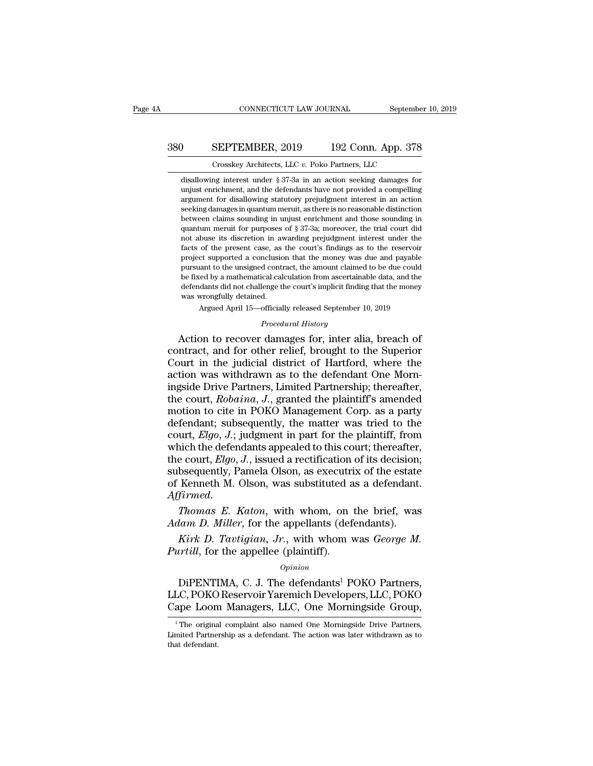## CONNECTICUT LAW JOURNAL September 10, 2019<br>380 SEPTEMBER, 2019 192 Conn. App. 378<br>Crosskey Architects, LLC v. Poko Partners, LLC CONNECTICUT LAW JOURNAL September 10, 2019<br>
Crosskey Architects, LLC *v.* Poko Partners, LLC<br>
disallowing interest under § 37-3a in an action seeking damages for

OUSEPTEMBER, 2019 192 Conn. App. 378<br>
Crosskey Architects, LLC v. Poko Partners, LLC<br>
disallowing interest under § 37-3a in an action seeking damages for<br>
unjust enrichment, and the defendants have not provided a compellin SEPTEMBER, 2019 192 Conn. App. 378<br>
Crosskey Architects, LLC v. Poko Partners, LLC<br>
disallowing interest under § 37-3a in an action seeking damages for<br>
unjust enrichment, and the defendants have not provided a compelling<br> **SEPTEMBER, 2019** 192 Conn. App. 378<br>Crosskey Architects, LLC  $v$ . Poko Partners, LLC<br>disallowing interest under § 37-3a in an action seeking damages for<br>unjust enrichment, and the defendants have not provided a compellin SEE TERECT, 2018 TO 2018 TERECT,  $\frac{1}{201}$  OSTAR TEPP OF CONSTRUCT CONSTRUCT CONSTRUCT CONSTRUCT CONSTRUCT ASSEMBLY distinction and the defendants have not provided a compelling argument for disallowing statutory prejud Crosskey Architects, LLC  $v$ . Poko Partners, LLC<br>disallowing interest under § 37-3a in an action seeking damages for<br>unjust enrichment, and the defendants have not provided a compelling<br>argument for disallowing statutory disallowing interest under § 37-3a in an action seeking damages for unjust enrichment, and the defendants have not provided a compelling argument for disallowing statutory prejudgment interest in an action seeking damages disallowing interest under  $\S 3t$ -ad in an action seeking dantages for unjust enrichment, and the defendants have not provided a compelling argument for disallowing statutory prejudgment interest in an action seeking dama unjust enrichment, and the defendants have not provided a compelling argument for disallowing statutory prejudgment interest in an action seeking damages in quantum meruit, as there is no reasonable distinction between cl argument for disallowing statutory prejudgment interest in an action<br>seeking damages in quantum meruit, as there is no reasonable distinction<br>between claims sounding in unjust enrichment and those sounding in<br>quantum merui seeking damages in quantum merut, as there is no reasonable distinction<br>between claims sounding in unjust enrichment and those sounding in<br>quantum meruit for purposes of  $\S 37-3a$ ; moreover, the trial court did<br>not abuse between claims sounting in unjust enticmment and those sounting in<br>quantum meruit for purposes of § 37-3a; moreover, the trial court did<br>not abuse its discretion in awarding prejudgment interest under the<br>facts of the pres quantum merut for purposes of  $\frac{1}{3}$  or- $\frac{1}{3}$  moreover, the trial court and not abuse its discretion in awarding prejudgment interest under the facts of the present case, as the court's findings as to the reservoir mot abuse its discretion in average as<br>facts of the present case, as<br>project supported a conclusio<br>pursuant to the unsigned contra<br>be fixed by a mathematical cal<br>defendants did not challenge tl<br>was wrongfully detained.<br>Arg or any procedure case, as an exercist manda payable at supported a conclusion that the money was due and payable and to the unsigned contract, the amount claimed to be due could eed by a mathematical calculation from ascer *P* defined a contract, the amount claimed<br>ical calculation from ascertainal<br>lenge the court's implicit finding<br>d.<br>*Procedural History*<br>**damages for. inter alia** project supported a conclusion that the money was due and payable<br>pursuant to the unsigned contract, the amount claimed to be due could<br>be fixed by a mathematical calculation from ascertainable data, and the<br>defendants did

be fixed by a mathematical calculation from ascertainable data, and the<br>defendants did not challenge the court's implicit finding that the money<br>was wrongfully detained.<br>Argued April 15—officially released September 10, 20 defendants did not challenge the court's implicit finding that the money<br>was wrongfully detained.<br>Argued April 15—officially released September 10, 2019<br>*Procedural History*<br>Action to recover damages for, inter alia, breac was wrongfully detained.<br>
Argued April 15—officially released September 10, 2019<br> *Procedural History*<br>
Action to recover damages for, inter alia, breach of<br>
contract, and for other relief, brought to the Superior<br>
Court i Argued April 15—officially released September 10, 2019<br> *Procedural History*<br>
Action to recover damages for, inter alia, breach of<br>
contract, and for other relief, brought to the Superior<br>
Court in the judicial district of *Procedural History*<br>Action to recover damages for, inter alia, breach of<br>contract, and for other relief, brought to the Superior<br>Court in the judicial district of Hartford, where the<br>action was withdrawn as to the defenda Action to recover damages for, inter alia, breach of<br>contract, and for other relief, brought to the Superior<br>Court in the judicial district of Hartford, where the<br>action was withdrawn as to the defendant One Morn-<br>ingside contract, and for other relief, brought to the Superior<br>Court in the judicial district of Hartford, where the<br>action was withdrawn as to the defendant One Morn-<br>ingside Drive Partners, Limited Partnership; thereafter,<br>the Court in the judicial district of Hartford, where the<br>action was withdrawn as to the defendant One Morn-<br>ingside Drive Partners, Limited Partnership; thereafter,<br>the court, *Robaina*, *J.*, granted the plaintiff's amended<br> action was withdrawn as to the defendant One Morningside Drive Partners, Limited Partnership; thereafter, the court, *Robaina*, *J*., granted the plaintiff's amended motion to cite in POKO Management Corp. as a party defe ingside Drive Partners, Limited Partnership; thereafter,<br>the court, *Robaina*, *J.*, granted the plaintiff's amended<br>motion to cite in POKO Management Corp. as a party<br>defendant; subsequently, the matter was tried to the<br>c the court, *Robaina*, *J*., granted the plaintiff's amended<br>motion to cite in POKO Management Corp. as a party<br>defendant; subsequently, the matter was tried to the<br>court, *Elgo*, *J*.; judgment in part for the plaintiff, f motion to cite in POKO Management Corp. as a party<br>defendant; subsequently, the matter was tried to the<br>court,  $Elgo$ ,  $J$ ; judgment in part for the plaintiff, from<br>which the defendants appealed to this court; thereafter,<br>t *Court, Elgo, J.*; judgment in part for the plaintiff, from<br>which the defendants appealed to this court; thereafter,<br>the court, *Elgo, J.*, issued a rectification of its decision;<br>subsequently, Pamela Olson, as executrix o which the defendants appealed to this court; thereafter,<br>the court, *Elgo*, *J*., issued a rectification of its decision;<br>subsequently, Pamela Olson, as executrix of the estate<br>of Kenneth M. Olson, was substituted as a def *Kirk D. Tavigo, J.*, issued a rectinication of its decision; bsequently, Pamela Olson, as executrix of the estate Kenneth M. Olson, was substituted as a defendant. *Firmed.*<br>*Thomas E. Katon*, with whom, on the brief, was *Pure also subsequenty, Pannela Oison, as executived a Affirmed.*<br>*Pure also substituted a Affirmed.*<br>*Phomas E. Katon, with whom, on Adam D. Miller, for the appellants (def Kirk D. Tavtigian, Jr., with whom vertill, for t* 

### *Opinion*

Thomas E. Katon, with whom, on the brief, was<br>
lam D. Miller, for the appellants (defendants).<br>
Kirk D. Tavtigian, Jr., with whom was George M.<br>
urtill, for the appellee (plaintiff).<br>
Opinion<br>
DiPENTIMA, C. J. The defendan Adam D. Miller, for the appellants (defendants).<br>
Kirk D. Tavtigian, Jr., with whom was George M.<br>
Purtill, for the appellee (plaintiff).<br>
Opinion<br>
DiPENTIMA, C. J. The defendants<sup>1</sup> POKO Partners,<br>
LLC, POKO Reservoir Yar EVENTINE, The Leppendian (determining).<br>
Kirk D. Tavtigian, Jr., with whom was George M.<br>  $\frac{Optin}{2}$ <br>  $\frac{opin}{2}$ <br>
DiPENTIMA, C. J. The defendants<sup>1</sup> POKO Partners,<br>
LLC, POKO Reservoir Yaremich Developers, LLC, POKO<br>
Cape *Opmon*<br>
1 DiPENTIMA, C. J. The defendants<sup>1</sup> POKO Partners,<br>
LC, POKO Reservoir Yaremich Developers, LLC, POKO<br>
2 ape Loom Managers, LLC, One Morningside Group,<br>
<sup>1</sup> The original complaint also named One Morningside Drive DiPENTIMA, C. J. The defendants<sup>1</sup> POKO Partners,<br>LLC, POKO Reservoir Yaremich Developers, LLC, POKO<br>Cape Loom Managers, LLC, One Morningside Group,<br><sup>1</sup>The original complaint also named One Morningside Drive Partners,<br>Limi

LLC, POKO Reservoir Yaremich Developers, LLC, POKO<br>Cape Loom Managers, LLC, One Morningside Group,<br><sup>1</sup>The original complaint also named One Morningside Drive Partners,<br>Limited Partnership as a defendant. The action was lat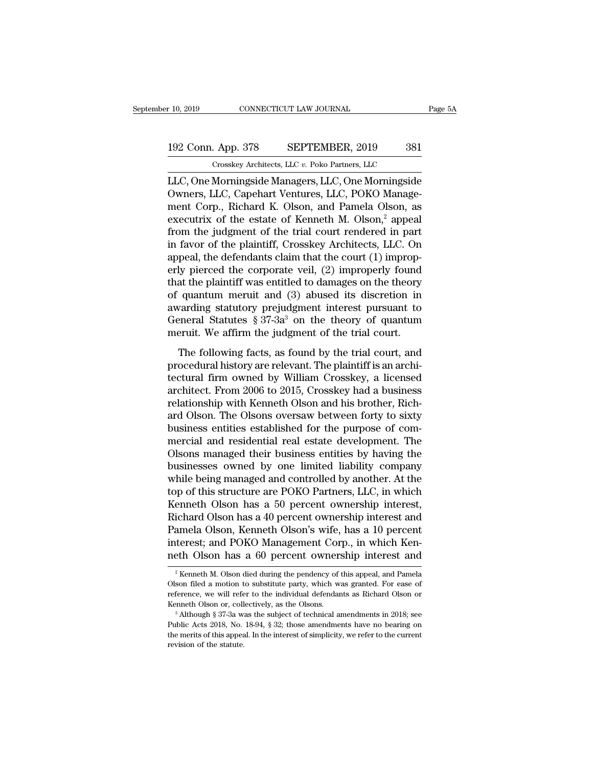## 10, 2019 CONNECTICUT LAW JOURNAL Page 5A<br>192 Conn. App. 378 SEPTEMBER, 2019 381<br>Crosskey Architects, LLC v. Poko Partners, LLC Crosskey Architects, LLC *v.* Poko Partners, LLC

r 10, 2019 CONNECTICUT LAW JOURNAL Page 5A<br>
192 Conn. App. 378 SEPTEMBER, 2019 381<br>
Crosskey Architects, LLC v. Poko Partners, LLC<br>
LLC, One Morningside Managers, LLC, One Morningside<br>
Owners, LLC, Capehart Ventures, LLC, 192 Conn. App. 378 SEPTEMBER, 2019 381<br>
Crosskey Architects, LLC v. Poko Partners, LLC<br>
LLC, One Morningside Managers, LLC, One Morningside<br>
Owners, LLC, Capehart Ventures, LLC, POKO Manage-<br>
ment Corp., Richard K. Olson, 192 Conn. App. 378 SEPTEMBER, 2019 381<br>
Crosskey Architects, LLC v. Poko Partners, LLC<br>
LLC, One Morningside Managers, LLC, One Morningside<br>
Owners, LLC, Capehart Ventures, LLC, POKO Manage-<br>
ment Corp., Richard K. Olson, 192 Conn. App. 378 SEPTEMBER, 2019 381<br>
Crosskey Architects, LLC v. Poko Partners, LLC<br>
LLC, One Morningside Managers, LLC, One Morningside<br>
Owners, LLC, Capehart Ventures, LLC, POKO Manage-<br>
ment Corp., Richard K. Olson, Crosskey Architects, LLC v. Poko Partners, LLC<br>LLC, One Morningside Managers, LLC, One Morningside<br>Owners, LLC, Capehart Ventures, LLC, POKO Manage-<br>ment Corp., Richard K. Olson, and Pamela Olson, as<br>executrix of the estat Crosskey Architects, LLC  $v$ . Poko Partners, LLC<br>LLC, One Morningside Managers, LLC, One Morningside<br>Owners, LLC, Capehart Ventures, LLC, POKO Manage-<br>ment Corp., Richard K. Olson, and Pamela Olson, as<br>executrix of the es LLC, One Morningside Managers, LLC, One Morningside<br>Owners, LLC, Capehart Ventures, LLC, POKO Manage-<br>ment Corp., Richard K. Olson, and Pamela Olson, as<br>executrix of the estate of Kenneth M. Olson,<sup>2</sup> appeal<br>from the judgm Owners, LLC, Capehart Ventures, LLC, POKO Management Corp., Richard K. Olson, and Pamela Olson, as<br>executrix of the estate of Kenneth M. Olson,<sup>2</sup> appeal<br>from the judgment of the trial court rendered in part<br>in favor of th ment Corp., Richard K. Olson, and Pamela Olson, as<br>executrix of the estate of Kenneth M. Olson,<sup>2</sup> appeal<br>from the judgment of the trial court rendered in part<br>in favor of the plaintiff, Crosskey Architects, LLC. On<br>appeal executrix of the estate of Kenneth M. Olson,<sup>2</sup> appeal<br>from the judgment of the trial court rendered in part<br>in favor of the plaintiff, Crosskey Architects, LLC. On<br>appeal, the defendants claim that the court (1) improp-<br> from the judgment of the trial court rendered in part<br>in favor of the plaintiff, Crosskey Architects, LLC. On<br>appeal, the defendants claim that the court (1) improp-<br>erly pierced the corporate veil, (2) improperly found<br>t in favor of the plaintiff, Crosskey Architects, LLC. On<br>appeal, the defendants claim that the court (1) improp-<br>erly pierced the corporate veil, (2) improperly found<br>that the plaintiff was entitled to damages on the theor appeal, the defendants claim that the court (1) improperly pierced the corporate veil, (2) improperly found that the plaintiff was entitled to damages on the theory of quantum meruit and (3) abused its discretion in award at the plaintiff was entitled to damages on the theory<br>quantum meruit and (3) abused its discretion in<br>varding statutory prejudgment interest pursuant to<br>percent Statutes § 37-3a<sup>3</sup> on the theory of quantum<br>eruit. We affi of quantum meruit and (3) abused its discretion in<br>awarding statutory prejudgment interest pursuant to<br>General Statutes § 37-3a<sup>3</sup> on the theory of quantum<br>meruit. We affirm the judgment of the trial court.<br>The following

awarding statutory prejudgment interest pursuant to<br>General Statutes § 37-3a<sup>3</sup> on the theory of quantum<br>meruit. We affirm the judgment of the trial court.<br>The following facts, as found by the trial court, and<br>procedural deneral Statutes § 37-3a<sup>3</sup> on the theory of quantum<br>meruit. We affirm the judgment of the trial court.<br>The following facts, as found by the trial court, and<br>procedural history are relevant. The plaintiff is an archi-<br>tec relative to the diverty of quantum<br>meruit. We affirm the judgment of the trial court.<br>The following facts, as found by the trial court, and<br>procedural history are relevant. The plaintiff is an archi-<br>tectural firm owned by The following facts, as found by the trial court, and<br>procedural history are relevant. The plaintiff is an archi-<br>tectural firm owned by William Crosskey, a licensed<br>architect. From 2006 to 2015, Crosskey had a business<br>re The following facts, as found by the trial court, and<br>procedural history are relevant. The plaintiff is an archi-<br>tectural firm owned by William Crosskey, a licensed<br>architect. From 2006 to 2015, Crosskey had a business<br>re procedural history are relevant. The plaintiff is an architectural firm owned by William Crosskey, a licensed<br>architect. From 2006 to 2015, Crosskey had a business<br>relationship with Kenneth Olson and his brother, Rich-<br>ard tectural firm owned by William Crosskey, a licensed<br>architect. From 2006 to 2015, Crosskey had a business<br>relationship with Kenneth Olson and his brother, Rich-<br>ard Olson. The Olsons oversaw between forty to sixty<br>business architect. From 2006 to 2015, Crosskey had a business<br>relationship with Kenneth Olson and his brother, Rich-<br>ard Olson. The Olsons oversaw between forty to sixty<br>business entities established for the purpose of com-<br>mercia relationship with Kenneth Olson and his brother, Richard Olson. The Olsons oversaw between forty to sixty<br>business entities established for the purpose of com-<br>mercial and residential real estate development. The<br>Olsons ma ard Olson. The Olsons oversaw between forty to sixty<br>business entities established for the purpose of com-<br>mercial and residential real estate development. The<br>Olsons managed their business entities by having the<br>businesse business entities established for the purpose of com-<br>mercial and residential real estate development. The<br>Olsons managed their business entities by having the<br>businesses owned by one limited liability company<br>while being mercial and residential real estate development. The<br>Olsons managed their business entities by having the<br>businesses owned by one limited liability company<br>while being managed and controlled by another. At the<br>top of this Olsons managed their business entities by having the<br>businesses owned by one limited liability company<br>while being managed and controlled by another. At the<br>top of this structure are POKO Partners, LLC, in which<br>Kenneth Ol businesses owned by one limited liability company<br>while being managed and controlled by another. At the<br>top of this structure are POKO Partners, LLC, in which<br>Kenneth Olson has a 50 percent ownership interest,<br>Richard Olso while being managed and controlled by another. At the<br>top of this structure are POKO Partners, LLC, in which<br>Kenneth Olson has a 50 percent ownership interest,<br>Richard Olson has a 40 percent ownership interest and<br>Pamela O Richard Olson has a 40 percent ownership interest and<br>Pamela Olson, Kenneth Olson's wife, has a 10 percent<br>interest; and POKO Management Corp., in which Kenneth Olson has a 60 percent ownership interest and Pamela Olson, Kenneth Olson's wife, has a 10 percent<br>interest; and POKO Management Corp., in which Ken-<br>neth Olson has a 60 percent ownership interest and<br><sup>2</sup> Kenneth M. Olson died during the pendency of this appeal, and P

interest; and POKO Management Corp., in which Kenneth Olson has a 60 percent ownership interest and  $a^2$  Kenneth M. Olson died during the pendency of this appeal, and Pamela Olson filed a motion to substitute party, whic The Olson has a 60 percent ownership interest and<br>
<sup>2</sup> Kenneth M. Olson died during the pendency of this appeal, and Pamela<br>
Olson filed a motion to substitute party, which was granted. For ease of<br>
reference, we will ref Olson filed a motion to substitute party, which was granted. For ease of reference, we will refer to the individual defendants as Richard Olson or

<sup>&</sup>lt;sup>2</sup> Kenneth M. Olson died during the pendency of this appeal, and Pamela Olson filed a motion to substitute party, which was granted. For ease of reference, we will refer to the individual defendants as Richard Olson or K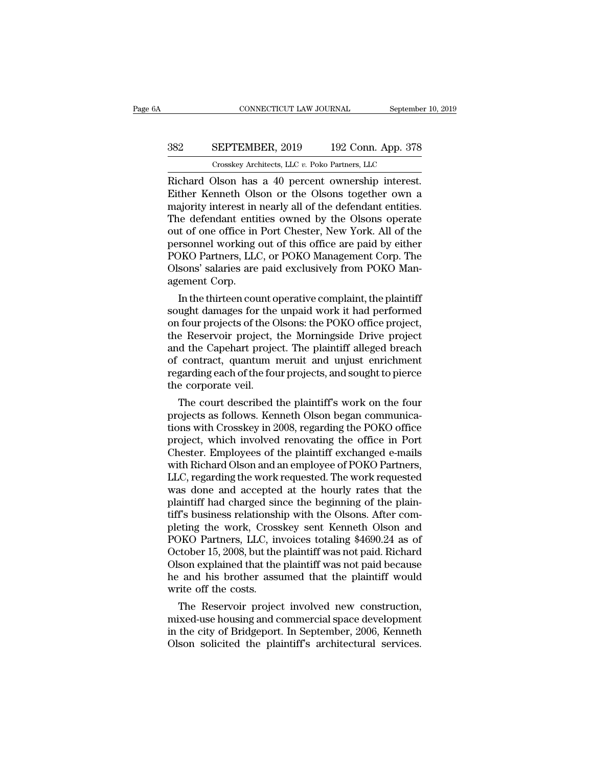## CONNECTICUT LAW JOURNAL September 10, 2019<br>382 SEPTEMBER, 2019 192 Conn. App. 378<br>Crosskey Architects, LLC v. Poko Partners, LLC CONNECTICUT LAW JOURNAL September<br>
SEPTEMBER, 2019 192 Conn. App. 378<br>
Crosskey Architects, LLC *v.* Poko Partners, LLC<br>
Olson has a 40 percent ownership interest

CONNECTICUT LAW JOURNAL September 10, 2<br>
SEPTEMBER, 2019 192 Conn. App. 378<br>
Crosskey Architects, LLC v. Poko Partners, LLC<br>
Richard Olson has a 40 percent ownership interest.<br>
Either Kenneth Olson or the Olsons together o SEPTEMBER, 2019 192 Conn. App. 378<br>
Crosskey Architects, LLC v. Poko Partners, LLC<br>
Richard Olson has a 40 percent ownership interest.<br>
Either Kenneth Olson or the Olsons together own a<br>
majority interest in nearly all of SEPTEMBER, 2019 192 Conn. App. 378<br>
Crosskey Architects, LLC v. Poko Partners, LLC<br>
Richard Olson has a 40 percent ownership interest.<br>
Either Kenneth Olson or the Olsons together own a<br>
majority interest in nearly all of SEPTEMBER, 2019 192 Conn. App. 378<br>
Crosskey Architects, LLC  $v$ . Poko Partners, LLC<br>
Richard Olson has a 40 percent ownership interest.<br>
Either Kenneth Olson or the Olsons together own a<br>
majority interest in nearly all Crosskey Architects, LLC v. Poko Partners, LLC<br>
Richard Olson has a 40 percent ownership interest.<br>
Either Kenneth Olson or the Olsons together own a<br>
majority interest in nearly all of the defendant entities.<br>
The defenda Crosskey Architects, LLC  $v$ . Poko Partners, LLC<br>
Richard Olson has a 40 percent ownership interest.<br>
Either Kenneth Olson or the Olsons together own a<br>
majority interest in nearly all of the defendant entities.<br>
The defe Richard Olson has a 40 percent ownership interest.<br>Either Kenneth Olson or the Olsons together own a<br>majority interest in nearly all of the defendant entities.<br>The defendant entities owned by the Olsons operate<br>out of one Either Kenneth Olson or the Olsons together own a<br>majority interest in nearly all of the defendant entities.<br>The defendant entities owned by the Olsons operate<br>out of one office in Port Chester, New York. All of the<br>person majority interest in<br>The defendant entit<br>out of one office in<br>personnel working<br>POKO Partners, LLC<br>Olsons' salaries are<br>agement Corp.<br>In the thirteen cou is determined by the USSONS operate<br>In the office in Port Chester, New York. All of the<br>Insomnel working out of this office are paid by either<br>DKO Partners, LLC, or POKO Management Corp. The<br>sons' salaries are paid exclusi out of one office in Port Cnester, New York. All of the<br>personnel working out of this office are paid by either<br>POKO Partners, LLC, or POKO Management Corp. The<br>Olsons' salaries are paid exclusively from POKO Man-<br>agement

personnel working out of this office are paid by either<br>POKO Partners, LLC, or POKO Management Corp. The<br>Olsons' salaries are paid exclusively from POKO Man-<br>agement Corp.<br>In the thirteen count operative complaint, the pla POKO Partners, LLC, or POKO Management Corp. The<br>Olsons' salaries are paid exclusively from POKO Man-<br>agement Corp.<br>In the thirteen count operative complaint, the plaintiff<br>sought damages for the unpaid work it had perform OISONS Salaries are paid exclusively from POKO Management Corp.<br>
In the thirteen count operative complaint, the plaintiff<br>
sought damages for the unpaid work it had performed<br>
on four projects of the Olsons: the POKO offic agement Corp.<br>
In the thirteen count operative complaint, the plaintiff<br>
sought damages for the unpaid work it had performed<br>
on four projects of the Olsons: the POKO office project,<br>
the Reservoir project, the Morningside In the thirteen count operative complaint, the plaintiff<br>sought damages for the unpaid work it had performed<br>on four projects of the Olsons: the POKO office project,<br>the Reservoir project, the Morningside Drive project<br>and sought damages for the<br>on four projects of the C<br>the Reservoir project,<br>and the Capehart project<br>of contract, quantum 1<br>regarding each of the fou<br>the corporate veil.<br>The court described 1 From the court of the court of the court of the capehart project,<br>a Reservoir project, the Morningside Drive project<br>d the Capehart project. The plaintiff alleged breach<br>contract, quantum meruit and unjust enrichment<br>gardi the Reservoir project, the Morningside Drive project<br>and the Capehart project. The plaintiff alleged breach<br>of contract, quantum meruit and unjust enrichment<br>regarding each of the four projects, and sought to pierce<br>the co

and the Capenart project. The plaintiff alleged breach<br>of contract, quantum meruit and unjust enrichment<br>regarding each of the four projects, and sought to pierce<br>the corporate veil.<br>The court described the plaintiff's wor or contract, quantum merutt and unjust enrichment<br>regarding each of the four projects, and sought to pierce<br>the corporate veil.<br>The court described the plaintiff's work on the four<br>projects as follows. Kenneth Olson began regaraing each of the four projects, and sought to pierce<br>the corporate veil.<br>The court described the plaintiff's work on the four<br>projects as follows. Kenneth Olson began communica-<br>tions with Crosskey in 2008, regarding the corporate vell.<br>
The court described the plaintiff's work on the four<br>
projects as follows. Kenneth Olson began communica-<br>
tions with Crosskey in 2008, regarding the POKO office<br>
project, which involved renovating the The court described the plaintiff's work on the four<br>projects as follows. Kenneth Olson began communica-<br>tions with Crosskey in 2008, regarding the POKO office<br>project, which involved renovating the office in Port<br>Chester. projects as follows. Kenneth Olson began communications with Crosskey in 2008, regarding the POKO office<br>project, which involved renovating the office in Port<br>Chester. Employees of the plaintiff exchanged e-mails<br>with Rich tions with Crosskey in 2008, regarding the POKO office<br>project, which involved renovating the office in Port<br>Chester. Employees of the plaintiff exchanged e-mails<br>with Richard Olson and an employee of POKO Partners,<br>LLC, r project, which involved renovating the office in Port<br>Chester. Employees of the plaintiff exchanged e-mails<br>with Richard Olson and an employee of POKO Partners,<br>LLC, regarding the work requested. The work requested<br>was don Chester. Employees of the plaintiff exchanged e-mails<br>with Richard Olson and an employee of POKO Partners,<br>LLC, regarding the work requested. The work requested<br>was done and accepted at the hourly rates that the<br>plaintiff with Richard Olson and an employee of POKO Partners,<br>LLC, regarding the work requested. The work requested<br>was done and accepted at the hourly rates that the<br>plaintiff had charged since the beginning of the plain-<br>tiff's b LLC, regarding the work requested. The work requested<br>was done and accepted at the hourly rates that the<br>plaintiff had charged since the beginning of the plain-<br>tiff's business relationship with the Olsons. After com-<br>plet was done and accepted at the hourly rates that the<br>plaintiff had charged since the beginning of the plain-<br>tiff's business relationship with the Olsons. After com-<br>pleting the work, Crosskey sent Kenneth Olson and<br>POKO Par plaintiff had charged since the beginning of the plain-<br>tiff's business relationship with the Olsons. After com-<br>pleting the work, Crosskey sent Kenneth Olson and<br>POKO Partners, LLC, invoices totaling \$4690.24 as of<br>Octobe tiff's business relationsh<br>pleting the work, Cross<br>POKO Partners, LLC, in<br>October 15, 2008, but the<br>Olson explained that the<br>he and his brother assu<br>write off the costs.<br>The Reservoir projec DKO Partners, LLC, invoices totaling \$4690.24 as of<br>tober 15, 2008, but the plaintiff was not paid. Richard<br>son explained that the plaintiff was not paid because<br>and his brother assumed that the plaintiff would<br>rite off th POKO Partners, LLC, invoices totaing \$4090.24 as of<br>October 15, 2008, but the plaintiff was not paid. Richard<br>Olson explained that the plaintiff was not paid because<br>he and his brother assumed that the plaintiff would<br>writ

October 15, 2008, but the plaintiff was not paid. Kichard<br>Olson explained that the plaintiff was not paid because<br>he and his brother assumed that the plaintiff would<br>write off the costs.<br>The Reservoir project involved new Olson explained that the plaintiff was not paid because<br>he and his brother assumed that the plaintiff would<br>write off the costs.<br>The Reservoir project involved new construction,<br>mixed-use housing and commercial space devel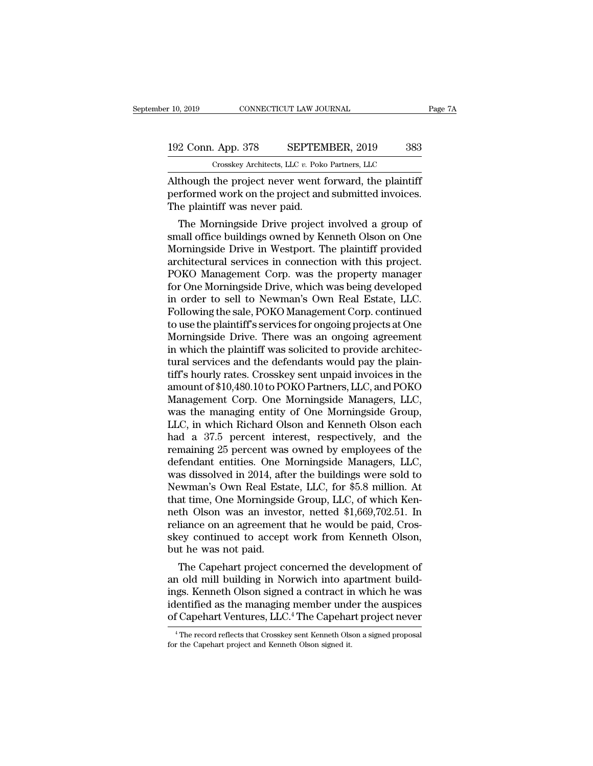## 10, 2019 CONNECTICUT LAW JOURNAL Page 7A<br>192 Conn. App. 378 SEPTEMBER, 2019 383<br>Crosskey Architects, LLC v. Poko Partners, LLC CONNECTICUT LAW JOURNAL<br>
. App. 378 SEPTEMBER, 2019 383<br>
Crosskey Architects, LLC *v.* Poko Partners, LLC<br>
the project never went forward the plaintiff

F 10, 2019 CONNECTICUT LAW JOURNAL Page 71<br>
192 Conn. App. 378 SEPTEMBER, 2019 383<br>
Crosskey Architects, LLC v. Poko Partners, LLC<br>
Although the project never went forward, the plaintiff<br>
performed work on the project and 192 Conn. App. 378 SEPTEMBER, 2019 383<br>Crosskey Architects, LLC v. Poko Partners, LLC<br>Although the project never went forward, the plaintiff<br>performed work on the project and submitted invoices.<br>The plaintiff was never pai 192 Conn. App. 378 SEPTEM<br>Crosskey Architects, LLC v. Poko<br>Although the project never went f<br>performed work on the project and<br>The plaintiff was never paid.<br>The Morningside Drive project  $\frac{2 \text{ Conn. App. 378}}{\text{Crosskey Architects, LLC } v. \text{ Poko Partners, LLC}}$ <br>
though the project never went forward, the plaintiff<br>
rformed work on the project and submitted invoices.<br>
The Morningside Drive project involved a group of<br>
tall office buildings

Crosskey Architects, LLC  $v$ . Poko Partners, LLC<br>
Although the project never went forward, the plaintiff<br>
performed work on the project and submitted invoices.<br>
The plaintiff was never paid.<br>
The Morningside Drive project Although the project never went forward, the plaintiff<br>performed work on the project and submitted invoices.<br>The plaintiff was never paid.<br>The Morningside Drive project involved a group of<br>small office buildings owned by K Although the project hever went forward, the plaintiff<br>performed work on the project and submitted invoices.<br>The plaintiff was never paid.<br>The Morningside Drive project involved a group of<br>small office buildings owned by K performed work on the project and submitted invoices.<br>The plaintiff was never paid.<br>The Morningside Drive project involved a group of<br>small office buildings owned by Kenneth Olson on One<br>Morningside Drive in Westport. The The plantim was never paid.<br>
The Morningside Drive project involved a group of<br>
small office buildings owned by Kenneth Olson on One<br>
Morningside Drive in Westport. The plaintiff provided<br>
architectural services in connect The Morningside Drive project involved a group of<br>small office buildings owned by Kenneth Olson on One<br>Morningside Drive in Westport. The plaintiff provided<br>architectural services in connection with this project.<br>POKO Mana small office buildings owned by Kenneth Olson on One<br>Morningside Drive in Westport. The plaintiff provided<br>architectural services in connection with this project.<br>POKO Management Corp. was the property manager<br>for One Morn Morningside Drive in Westport. The plaintiff provided<br>architectural services in connection with this project.<br>POKO Management Corp. was the property manager<br>for One Morningside Drive, which was being developed<br>in order to architectural services in connection with this project.<br>POKO Management Corp. was the property manager<br>for One Morningside Drive, which was being developed<br>in order to sell to Newman's Own Real Estate, LLC.<br>Following the s POKO Management Corp. was the property manager<br>for One Morningside Drive, which was being developed<br>in order to sell to Newman's Own Real Estate, LLC.<br>Following the sale, POKO Management Corp. continued<br>to use the plaintif for One Morningside Drive, which was being developed<br>in order to sell to Newman's Own Real Estate, LLC.<br>Following the sale, POKO Management Corp. continued<br>to use the plaintiff's services for ongoing projects at One<br>Mornin in order to sell to Newman's Own Real Estate, LLC.<br>Following the sale, POKO Management Corp. continued<br>to use the plaintiff's services for ongoing projects at One<br>Morningside Drive. There was an ongoing agreement<br>in which Following the sale, POKO Management Corp. continued<br>to use the plaintiff's services for ongoing projects at One<br>Morningside Drive. There was an ongoing agreement<br>in which the plaintiff was solicited to provide architec-<br>tu to use the plaintiff's services for ongoing projects at One<br>Morningside Drive. There was an ongoing agreement<br>in which the plaintiff was solicited to provide architec-<br>tural services and the defendants would pay the plain-Morningside Drive. There was an ongoing agreement<br>in which the plaintiff was solicited to provide architec-<br>tural services and the defendants would pay the plain-<br>tiff's hourly rates. Crosskey sent unpaid invoices in the<br>a in which the plaintiff was solicited to provide architectural services and the defendants would pay the plaintiff's hourly rates. Crosskey sent unpaid invoices in the amount of \$10,480.10 to POKO Partners, LLC, and POKO Ma tural services and the defendants would pay the plain-<br>tiff's hourly rates. Crosskey sent unpaid invoices in the<br>amount of \$10,480.10 to POKO Partners, LLC, and POKO<br>Management Corp. One Morningside Managers, LLC,<br>was the tiff's hourly rates. Crosskey sent unpaid invoices in the<br>amount of \$10,480.10 to POKO Partners, LLC, and POKO<br>Management Corp. One Morningside Managers, LLC,<br>was the managing entity of One Morningside Group,<br>LLC, in which amount of \$10,480.10 to POKO Partners, LLC, and POKO<br>Management Corp. One Morningside Managers, LLC,<br>was the managing entity of One Morningside Group,<br>LLC, in which Richard Olson and Kenneth Olson each<br>had a 37.5 percent i Management Corp. One Morningside Managers, LLC,<br>was the managing entity of One Morningside Group,<br>LLC, in which Richard Olson and Kenneth Olson each<br>had a 37.5 percent interest, respectively, and the<br>remaining 25 percent w was the managing entity of One Morningside Group,<br>LLC, in which Richard Olson and Kenneth Olson each<br>had a 37.5 percent interest, respectively, and the<br>remaining 25 percent was owned by employees of the<br>defendant entities. LLC, in which Richard Olson and Kenneth Olson each<br>had a 37.5 percent interest, respectively, and the<br>remaining 25 percent was owned by employees of the<br>defendant entities. One Morningside Managers, LLC,<br>was dissolved in 2 had a 37.5 percent interest, respectively, and the<br>remaining 25 percent was owned by employees of the<br>defendant entities. One Morningside Managers, LLC,<br>was dissolved in 2014, after the buildings were sold to<br>Newman's Own remaining 25 percent was owned by employees of the<br>defendant entities. One Morningside Managers, LLC,<br>was dissolved in 2014, after the buildings were sold to<br>Newman's Own Real Estate, LLC, for \$5.8 million. At<br>that time, O defendant entities. One Morningside Managers, LLC, was dissolved in 2014, after the buildings were sold to Newman's Own Real Estate, LLC, for \$5.8 million. At that time, One Morningside Group, LLC, of which Kenneth Olson w was dissolved in 2014, aft<br>Newman's Own Real Esta<br>that time, One Morningsid<br>neth Olson was an inves<br>reliance on an agreement<br>skey continued to accept<br>but he was not paid.<br>The Capehart project co Example Compares and time, One Morningside Group, LLC, of which Kenth Olson was an investor, netted \$1,669,702.51. In liance on an agreement that he would be paid, Crosey continued to accept work from Kenneth Olson, the wa mat time, one morningside Group, LLC, or which Kenneth Olson was an investor, netted \$1,669,702.51. In reliance on an agreement that he would be paid, Crosskey continued to accept work from Kenneth Olson, but he was not pa

neth Olson was an investor, netted \$1,009,702.51. In<br>reliance on an agreement that he would be paid, Cros-<br>skey continued to accept work from Kenneth Olson,<br>but he was not paid.<br>The Capehart project concerned the developme renance on an agreement that ne would be paid, Cross-<br>skey continued to accept work from Kenneth Olson,<br>but he was not paid.<br>The Capehart project concerned the development of<br>an old mill building in Norwich into apartment skey continued to accept work from Kenneth Oison,<br>but he was not paid.<br>The Capehart project concerned the development of<br>an old mill building in Norwich into apartment build-<br>ings. Kenneth Olson signed a contract in which 1 old mill building in Norwich into apartment build-<br>gs. Kenneth Olson signed a contract in which he was<br>lentified as the managing member under the auspices<br>f Capehart Ventures, LLC.<sup>4</sup> The Capehart project never<br><sup>4</sup>The re ings. Kenneth Olson signed a contract inidentified as the managing member under Gapehart Ventures, LLC.<sup>4</sup> The Capehart <sup>4</sup> The record reflects that Crosskey sent Kenneth Olson for the Capehart project and Kenneth Olson si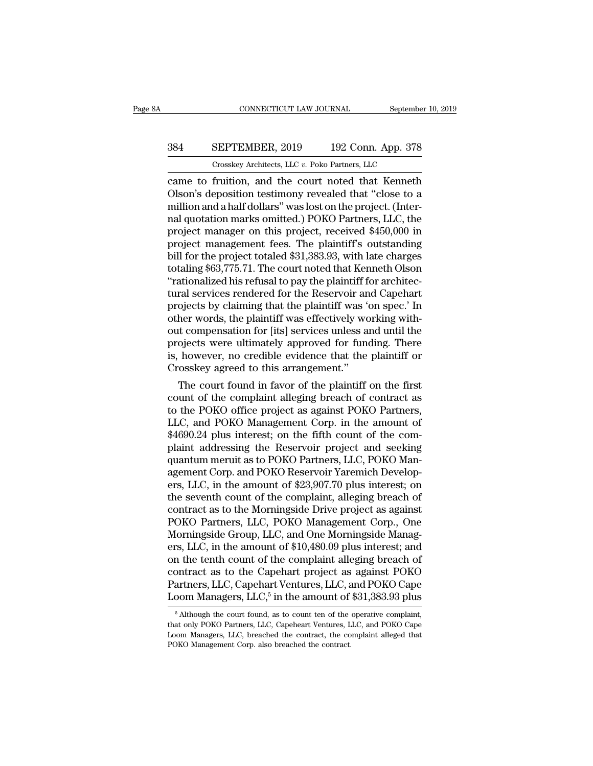## CONNECTICUT LAW JOURNAL September 10, 2019<br>384 SEPTEMBER, 2019 192 Conn. App. 378<br>Crosskey Architects, LLC v. Poko Partners, LLC CONNECTICUT LAW JOURNAL September<br>
SEPTEMBER, 2019 192 Conn. App. 378<br>
Crosskey Architects, LLC *v.* Poko Partners, LLC<br>
fruition and the court noted that Kenneth

CONNECTICUT LAW JOURNAL September 10, 2019<br>
SEPTEMBER, 2019 192 Conn. App. 378<br>
Crosskey Architects, LLC v. Poko Partners, LLC<br>
Came to fruition, and the court noted that Kenneth<br>
Olson's deposition testimony revealed that SEPTEMBER, 2019 192 Conn. App. 378<br>
Crosskey Architects, LLC v. Poko Partners, LLC<br>
Came to fruition, and the court noted that Kenneth<br>
Olson's deposition testimony revealed that "close to a<br>
million and a half dollars" wa 384 SEPTEMBER, 2019 192 Conn. App. 378<br>
Crosskey Architects, LLC  $v$ . Poko Partners, LLC<br>
came to fruition, and the court noted that Kenneth<br>
Olson's deposition testimony revealed that "close to a<br>
million and a half doll 384 SEPTEMBER, 2019 192 Conn. App. 378<br>
Crosskey Architects, LLC  $v$ . Poko Partners, LLC<br>
came to fruition, and the court noted that Kenneth<br>
Olson's deposition testimony revealed that "close to a<br>
million and a half doll Crosskey Architects, LLC v. Poko Partners, LLC<br>
came to fruition, and the court noted that Kenneth<br>
Olson's deposition testimony revealed that "close to a<br>
million and a half dollars" was lost on the project. (Inter-<br>
nal Crosskey Architects, LLC  $v$ . Poko Partners, LLC<br>came to fruition, and the court noted that Kenneth<br>Olson's deposition testimony revealed that "close to a<br>million and a half dollars" was lost on the project. (Inter-<br>nal q came to fruition, and the court noted that Kenneth<br>Olson's deposition testimony revealed that "close to a<br>million and a half dollars" was lost on the project. (Inter-<br>nal quotation marks omitted.) POKO Partners, LLC, the<br>p Olson's deposition testimony revealed that "close to a<br>million and a half dollars" was lost on the project. (Inter-<br>nal quotation marks omitted.) POKO Partners, LLC, the<br>project management fees. The plaintiff's outstanding million and a half dollars" was lost on the project. (Internal quotation marks omitted.) POKO Partners, LLC, the project manager on this project, received \$450,000 in project management fees. The plaintiff's outstanding bi nal quotation marks omitted.) POKO Partners, LLC, the<br>project manager on this project, received \$450,000 in<br>project management fees. The plaintiff's outstanding<br>bill for the project totaled \$31,383.93, with late charges<br>to project manager on this project, received \$450,000 in<br>project management fees. The plaintiff's outstanding<br>bill for the project totaled \$31,383.93, with late charges<br>totaling \$63,775.71. The court noted that Kenneth Olson<br> project management fees. The plaintiff's outstanding<br>bill for the project totaled \$31,383.93, with late charges<br>totaling \$63,775.71. The court noted that Kenneth Olson<br>"rationalized his refusal to pay the plaintiff for arc bill for the project totaled \$31,383.93, with late charges<br>totaling \$63,775.71. The court noted that Kenneth Olson<br>"rationalized his refusal to pay the plaintiff for architec-<br>tural services rendered for the Reservoir and totaling \$63,775.71. The court noted that Kenneth Olson<br>"rationalized his refusal to pay the plaintiff for architec-<br>tural services rendered for the Reservoir and Capehart<br>projects by claiming that the plaintiff was 'on sp "rationalized his refusal to pay the plaintiff for architectural services rendered for the Reservoir and Capehart<br>projects by claiming that the plaintiff was 'on spec.' In<br>other words, the plaintiff was effectively working tural services rendered for the Reservoir an<br>projects by claiming that the plaintiff was 'of<br>other words, the plaintiff was effectively wo<br>out compensation for [its] services unless a<br>projects were ultimately approved for ojects by claiming that the plaintiff was on spec. In<br>her words, the plaintiff was effectively working with-<br>it compensation for [its] services unless and until the<br>ojects were ultimately approved for funding. There<br>howeve other words, the plaintiff was effectively working without compensation for [its] services unless and until the<br>projects were ultimately approved for funding. There<br>is, however, no credible evidence that the plaintiff or<br>C

out compensation for [its] services unless and until the<br>projects were ultimately approved for funding. There<br>is, however, no credible evidence that the plaintiff or<br>Crosskey agreed to this arrangement."<br>The court found in projects were untmately approved for funding. There<br>is, however, no credible evidence that the plaintiff or<br>Crosskey agreed to this arrangement."<br>The court found in favor of the plaintiff on the first<br>count of the complain is, nowever, no creamble evidence that the plaintiff or<br>Crosskey agreed to this arrangement."<br>The court found in favor of the plaintiff on the first<br>count of the complaint alleging breach of contract as<br>to the POKO office Crosskey agreed to this arrangement.<br>
The court found in favor of the plaintiff on the first<br>
count of the complaint alleging breach of contract as<br>
to the POKO office project as against POKO Partners,<br>
LLC, and POKO Manag The court found in favor of the plaintiff on the first<br>count of the complaint alleging breach of contract as<br>to the POKO office project as against POKO Partners,<br>LLC, and POKO Management Corp. in the amount of<br>\$4690.24 plu count of the complaint alleging breach of contract as<br>to the POKO office project as against POKO Partners,<br>LLC, and POKO Management Corp. in the amount of<br>\$4690.24 plus interest; on the fifth count of the com-<br>plaint addre to the POKO office project as against POKO Partners,<br>LLC, and POKO Management Corp. in the amount of<br>\$4690.24 plus interest; on the fifth count of the com-<br>plaint addressing the Reservoir project and seeking<br>quantum meruit LLC, and POKO Management Corp. in the amount of \$4690.24 plus interest; on the fifth count of the complaint addressing the Reservoir project and seeking quantum meruit as to POKO Partners, LLC, POKO Management Corp. and PO \$4690.24 plus interest; on the fifth count of the complaint addressing the Reservoir project and seeking<br>quantum meruit as to POKO Partners, LLC, POKO Man-<br>agement Corp. and POKO Reservoir Yaremich Develop-<br>ers, LLC, in th plaint addressing the Reservoir project and seeking<br>quantum meruit as to POKO Partners, LLC, POKO Man-<br>agement Corp. and POKO Reservoir Yaremich Develop-<br>ers, LLC, in the amount of \$23,907.70 plus interest; on<br>the seventh quantum meruit as to POKO Partners, LLC, POKO Management Corp. and POKO Reservoir Yaremich Developers, LLC, in the amount of \$23,907.70 plus interest; on the seventh count of the complaint, alleging breach of contract as t agement Corp. and POKO Reservoir Yaremich Developers, LLC, in the amount of \$23,907.70 plus interest; on<br>the seventh count of the complaint, alleging breach of<br>contract as to the Morningside Drive project as against<br>POKO P ers, LLC, in the amount of \$23,907.70 plus interest; on<br>the seventh count of the complaint, alleging breach of<br>contract as to the Morningside Drive project as against<br>POKO Partners, LLC, POKO Management Corp., One<br>Mornings the seventh count of the complaint, alleging breach of<br>contract as to the Morningside Drive project as against<br>POKO Partners, LLC, POKO Management Corp., One<br>Morningside Group, LLC, and One Morningside Manag-<br>ers, LLC, in contract as to the Morningside Drive project as against<br>POKO Partners, LLC, POKO Management Corp., One<br>Morningside Group, LLC, and One Morningside Manag-<br>ers, LLC, in the amount of \$10,480.09 plus interest; and<br>on the tent POKO Partners, LLC, POKC<br>Morningside Group, LLC, and<br>ers, LLC, in the amount of \$1<br>on the tenth count of the co<br>contract as to the Capehart<br>Partners, LLC, Capehart Vent<br>Loom Managers, LLC, <sup>5</sup> in the POKO Management Corp., One<br>C, and One Morningside Manag-<br>t of \$10,480.09 plus interest; and<br>he complaint alleging breach of<br>pehart project as against POKO<br>t Ventures, LLC, and POKO Cape<br>in the amount of \$31,383.93 plus<br>as in the tenth count of the complaint alleging breach of ontract as to the Capehart project as against POKO artners, LLC, Capehart Ventures, LLC, and POKO Cape boom Managers, LLC,<sup>5</sup> in the amount of \$31,383.93 plus  $\frac{5 \text{$ contract as to the Capehart project as against POKO<br>Partners, LLC, Capehart Ventures, LLC, and POKO Cape<br>Loom Managers, LLC,<sup>5</sup> in the amount of \$31,383.93 plus<br><sup>5</sup> Although the court found, as to count ten of the operativ

Partners, LLC, Capehart Ventures, LLC, and POKO Cape<br>Loom Managers, LLC,<sup>5</sup> in the amount of \$31,383.93 plus<br><sup>5</sup> Although the court found, as to count ten of the operative complaint,<br>that only POKO Partners, LLC, Capeheart Loom Managers,  $LLC$ <sup>5</sup>, in the amount of  $\frac{5 \text{ Although the court found, as to count ten of the that only POKO Partners, LLC, Capeheart Ventures, LLOom Managers, LLC, breached the contract, the coPOKO Management Corp. also breached the contract.$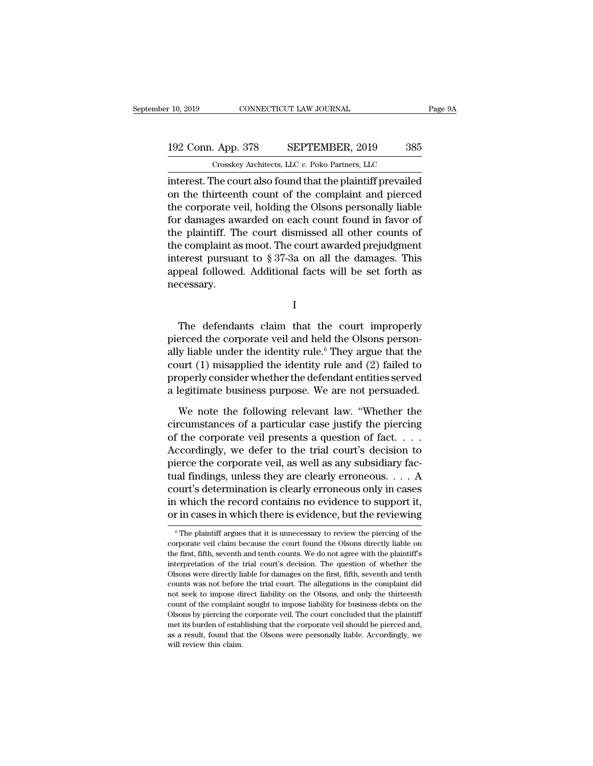r 10, 2019 CONNECTICUT LAW JOURNAL Page 9A<br>
192 Conn. App. 378 SEPTEMBER, 2019 385<br>
Crosskey Architects, LLC v. Poko Partners, LLC<br>
interest. The court also found that the plaintiff prevailed<br>
on the thirteenth count of th 192 Conn. App. 378 SEPTEMBER, 2019 385<br>
Crosskey Architects, LLC v. Poko Partners, LLC<br>
interest. The court also found that the plaintiff prevailed<br>
on the thirteenth count of the complaint and pierced<br>
the corporate veil, 192 Conn. App. 378 SEPTEMBER, 2019 385<br>
Crosskey Architects, LLC  $v$ . Poko Partners, LLC<br>
interest. The court also found that the plaintiff prevailed<br>
on the thirteenth count of the complaint and pierced<br>
the corporate ve 192 Conn. App. 378 SEPTEMBER, 2019 385<br>
Crosskey Architects, LLC  $v$ . Poko Partners, LLC<br>
interest. The court also found that the plaintiff prevailed<br>
on the thirteenth count of the complaint and pierced<br>
the corporate ve Crosskey Architects, LLC  $v$ . Poko Partners, LLC<br>interest. The court also found that the plaintiff prevailed<br>on the thirteenth count of the complaint and pierced<br>the corporate veil, holding the Olsons personally liable<br>fo The complaint and plaintiff prevailed<br>interest. The court also found that the plaintiff prevailed<br>on the thirteenth count of the complaint and pierced<br>the corporate veil, holding the Olsons personally liable<br>for damages a interest. The court also found that the plaintiff prevailed<br>on the thirteenth count of the complaint and pierced<br>the corporate veil, holding the Olsons personally liable<br>for damages awarded on each count found in favor of<br> on the thirteenth count of the complaint and pierced<br>the corporate veil, holding the Olsons personally liable<br>for damages awarded on each count found in favor of<br>the plaintiff. The court dismissed all other counts of<br>the necessary. Exercise pursuant to § 37-3a on all the damages. This<br>peal followed. Additional facts will be set forth as<br>cessary.<br> $I$ <br>The defendants claim that the court improperly<br>erced the corporate veil and held the Olsons person-<br>w

I

mierest pursuant to y 37-38 on an the damages. This<br>appeal followed. Additional facts will be set forth as<br>necessary.<br>I<br>The defendants claim that the court improperly<br>pierced the corporate veil and held the Olsons person-<br> appear followed. Additional facts will be set forth as<br>necessary.<br>I<br>The defendants claim that the court improperly<br>pierced the corporate veil and held the Olsons person-<br>ally liable under the identity rule.<sup>6</sup> They argue t I<br>
The defendants claim that the court improperly<br>
pierced the corporate veil and held the Olsons person-<br>
ally liable under the identity rule.<sup>6</sup> They argue that the<br>
court (1) misapplied the identity rule and (2) failed I<br>The defendants claim that the court improperly<br>pierced the corporate veil and held the Olsons person-<br>ally liable under the identity rule.<sup>6</sup> They argue that the<br>court (1) misapplied the identity rule and (2) failed to<br>p The defendants claim that the court improperly<br>pierced the corporate veil and held the Olsons person-<br>ally liable under the identity rule.<sup>6</sup> They argue that the<br>court (1) misapplied the identity rule and (2) failed to<br>pro erced the corporate veil and held the Olsons person-<br>y liable under the identity rule.<sup>6</sup> They argue that the<br>urt (1) misapplied the identity rule and (2) failed to<br>operly consider whether the defendant entities served<br>leg ally liable under the identity rule.<sup>6</sup> They argue that the court (1) misapplied the identity rule and (2) failed to properly consider whether the defendant entities served a legitimate business purpose. We are not persua

court (1) misapplied the identity rule and (2) failed to<br>properly consider whether the defendant entities served<br>a legitimate business purpose. We are not persuaded.<br>We note the following relevant law. "Whether the<br>circum properly consider whether the defendant entities served<br>a legitimate business purpose. We are not persuaded.<br>We note the following relevant law. "Whether the<br>circumstances of a particular case justify the piercing<br>of the c a legitimate business purpose. We are not persuaded.<br>We note the following relevant law. "Whether the circumstances of a particular case justify the piercing of the corporate veil presents a question of fact.... According We note the following relevant law. "Whether the<br>circumstances of a particular case justify the piercing<br>of the corporate veil presents a question of fact. . . .<br>Accordingly, we defer to the trial court's decision to<br>pier We note the following relevant law. "Whether the<br>circumstances of a particular case justify the piercing<br>of the corporate veil presents a question of fact. . . .<br>Accordingly, we defer to the trial court's decision to<br>pier circumstances of a particular case justify the piercing<br>of the corporate veil presents a question of fact. . . .<br>Accordingly, we defer to the trial court's decision to<br>pierce the corporate veil, as well as any subsidiary of the corporate veil presents a question of fact. . . . .<br>Accordingly, we defer to the trial court's decision to<br>pierce the corporate veil, as well as any subsidiary fac-<br>tual findings, unless they are clearly erroneous. court's determination is clearly erroneous only in cases<br>in which the record contains no evidence to support it,<br>or in cases in which there is evidence, but the reviewing<br> $\frac{1}{\pi}$ <br> $\frac{1}{\pi}$  The plaintiff argues that it court's determination is clearly erroneous only in cases<br>in which the record contains no evidence to support it,<br>or in cases in which there is evidence, but the reviewing<br><sup>6</sup> The plaintiff argues that it is unnecessary to

in which the record contains no evidence to support it,<br>or in cases in which there is evidence, but the reviewing<br> $\frac{1}{\pi}$  The plaintiff argues that it is unnecessary to review the piercing of the<br>corporate veil claim b or in cases in which there is evidence, but the reviewing<br>  $\overline{\phantom{a}}$   $\overline{\phantom{a}}$  The plaintiff argues that it is unnecessary to review the piercing of the<br>
corporate veil claim because the court found the Olsons directl OF IIT CASES IIT WHICH LIFTE IS EVIDENCE, DULTIFE FOR WHICH  $\frac{1}{100}$  of the corporate veil claim because the court found the Olsons directly liable on the first, fifth, seventh and tenth counts. We do not agree with the  $^\circ$  The plaintiff argues that it is unnecessary to review the piercing of the corporate veil claim because the court found the Olsons directly liable on the first, fifth, seventh and tenth counts. We do not agree with th corporate veil claim because the court found the Olsons directly liable on<br>the first, fifth, seventh and tenth counts. We do not agree with the plaintiff's<br>interpretation of the trial court's decision. The question of whet the first, fifth, seventh and tenth counts. We do not agree with the plaintiff's interpretation of the trial court's decision. The question of whether the Olsons were directly liable for damages on the first, fifth, sevent interpretation of the trial court's decision. The question of whether the Olsons were directly liable for damages on the first, fifth, seventh and tenth counts was not before the trial court. The allegations in the complai Olsons were directly liable for damages on the first, fifth, seven<br>th and tenth counts was not before the trial court. The allegations in the complaint did<br>not seek to impose direct liability on the Olsons, and only the t counts was not before the trial court. The allegations in the complaint did<br>not seek to impose direct liability on the Olsons, and only the thirteenth<br>count of the complaint sought to impose liability for business debts on count of the complaint sought to impose liability for business debts on the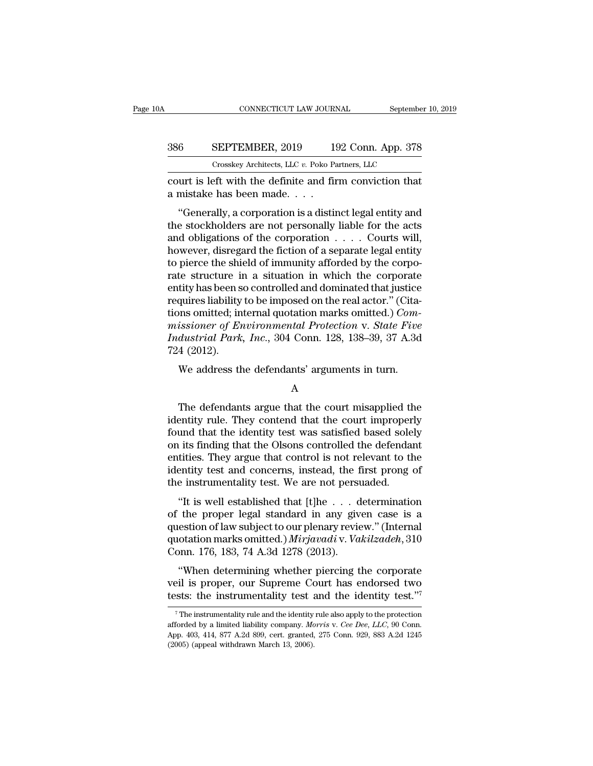### CONNECTICUT LAW JOURNAL September 10, 2019<br>386 SEPTEMBER, 2019 192 Conn. App. 378<br>Crosskey Architects, LLC v. Poko Partners, LLC CONNECTICUT LAW JOURNAL September<br>
SEPTEMBER, 2019 192 Conn. App. 378<br>
Crosskey Architects, LLC *v.* Poko Partners, LLC<br>
eft with the definite and firm conviction that CONNECTICUT LAW JOURNAL September 10, 2019<br>
SEPTEMBER, 2019 192 Conn. App. 378<br>
Crosskey Architects, LLC v. Poko Partners, LLC<br>
court is left with the definite and firm conviction that<br>
a mistake has been made.... 386 SEPTEMBER, 2019 19<br>Crosskey Architects, LLC v. Poko Pa<br>court is left with the definite and fir<br>a mistake has been made. . . .<br>"Generally, a corporation is a distin

<sup>6</sup><br>
SEPTEMBER, 2019 192 Conn. App. 378<br>
Crosskey Architects, LLC v. Poko Partners, LLC<br>
urt is left with the definite and firm conviction that<br>
mistake has been made. . . .<br>
"Generally, a corporation is a distinct legal S86 SEPTEMBER, 2019 192 Conn. App. 378<br>
Crosskey Architects, LLC v. Poko Partners, LLC<br>
court is left with the definite and firm conviction that<br>
a mistake has been made....<br>
"Generally, a corporation is a distinct legal Crosskey Architects, LLC  $v$ . Poko Partners, LLC<br>
court is left with the definite and firm conviction that<br>
a mistake has been made.  $\cdots$ <br>
"Generally, a corporation is a distinct legal entity and<br>
the stockholders are no court is left with the definite and firm conviction that<br>a mistake has been made. . . .<br>"Generally, a corporation is a distinct legal entity and<br>the stockholders are not personally liable for the acts<br>and obligations of th a mistake has been made.<br>
"Generally, a corporation is a distinct legal entity and the stockholders are not personally liable for the acts<br>
and obligations of the corporation  $\ldots$ . Courts will,<br>
however, disregard the fi "Generally, a corporation is a distinct legal entity and<br>the stockholders are not personally liable for the acts<br>and obligations of the corporation  $\ldots$ . Courts will,<br>however, disregard the fiction of a separate legal en "Generally, a corporation is a distinct legal entity and<br>the stockholders are not personally liable for the acts<br>and obligations of the corporation  $\ldots$ . Courts will,<br>however, disregard the fiction of a separate legal en the stockholders are not personally liable for the acts<br>and obligations of the corporation  $\ldots$ . Courts will,<br>however, disregard the fiction of a separate legal entity<br>to pierce the shield of immunity afforded by the cor and obligations of the corporation  $\ldots$  . Courts will,<br>however, disregard the fiction of a separate legal entity<br>to pierce the shield of immunity afforded by the corpo-<br>rate structure in a situation in which the corporat however, disregard the fiction of a separate legal entity<br>to pierce the shield of immunity afforded by the corpo-<br>rate structure in a situation in which the corporate<br>entity has been so controlled and dominated that justic to pierce the shield of immunity afforded by the corporate structure in a situation in which the corporate entity has been so controlled and dominated that justice requires liability to be imposed on the real actor." (Cita rate structure in<br>entity has been s<br>requires liability<br>tions omitted; in<br>missioner of En<br>Industrial Park<br>724 (2012).<br>We address th they has been so controlled and dominated that justice<br>quires liability to be imposed on the real actor." (Cita-<br>inso omitted; internal quotation marks omitted.) *Com-<br>issioner of Environmental Protection v. State Five*<br>du

### A

dustrial Park, Inc., 304 Conn. 128, 138–39, 37 A.3d<br>4 (2012).<br>We address the defendants' arguments in turn.<br>A<br>The defendants argue that the court misapplied the<br>entity rule. They contend that the court improperly<br>und that Francistrical Tark, The., 504 Contr. 125, 150–55, 51 A.5d<br>
724 (2012).<br>
We address the defendants' arguments in turn.<br>
A<br>
The defendants argue that the court misapplied the<br>
identity rule. They contend that the court impr We address the defendants' arguments in turn.<br>
A<br>
The defendants argue that the court misapplied the<br>
identity rule. They contend that the court improperly<br>
found that the identity test was satisfied based solely<br>
on its We address the defendants' arguments in turn.<br>
A<br>
The defendants argue that the court misapplied the<br>
identity rule. They contend that the court improperly<br>
found that the identity test was satisfied based solely<br>
on its f A<br>
The defendants argue that the court misapplied the<br>
identity rule. They contend that the court improperly<br>
found that the identity test was satisfied based solely<br>
on its finding that the Olsons controlled the defendant The defendants argue that the court misapplied the<br>identity rule. They contend that the court improperly<br>found that the identity test was satisfied based solely<br>on its finding that the Olsons controlled the defendant<br>entit The defendants argue that the court misapplied the identity rule. They contend that the court improper found that the identity test was satisfied based sole on its finding that the Olsons controlled the defendantities. Th Entry Tue. They contend that the court improperty<br>
und that the identity test was satisfied based solely<br>
its finding that the Olsons controlled the defendant<br>
tities. They argue that control is not relevant to the<br>
entit From the proper legal standard in any given case of the instrumentality test and concerns, instead, the first prong of the instrumentality test. We are not persuaded.<br>
"It is well established that [t]he  $\dots$  determination

on its midnig that the Olsons controlled the defendant<br>entities. They argue that control is not relevant to the<br>identity test and concerns, instead, the first prong of<br>the instrumentality test. We are not persuaded.<br>"It i dentity test and concerns, instead, the first prong of<br>identity test and concerns, instead, the first prong of<br>the instrumentality test. We are not persuaded.<br>"It is well established that [t]he . . . determination<br>of the p dentity test and concerns, instead, the 1<br>the instrumentality test. We are not persu<br>"It is well established that [t]he . . . d<br>of the proper legal standard in any giv-<br>quotation marks omitted.) *Mirjavadi* v. Va.<br>Conn. 17 "It is well established that [t]he . . . determination<br>the proper legal standard in any given case is a<br>estion of law subject to our plenary review." (Internal<br>otation marks omitted.) *Mirjavadi* v. *Vakilzadeh*, 310<br>pnn. It is wen established that [t]he  $\cdot$   $\cdot$  are determination<br>of the proper legal standard in any given case is a<br>question of law subject to our plenary review." (Internal<br>quotation marks omitted.) *Mirjavadi* v. *Vakilzade* or the proper legal standard in any given ease is a question of law subject to our plenary review." (Internal quotation marks omitted.) *Mirjavadiv. Vakilzadeh*, 310 Conn. 176, 183, 74 A.3d 1278 (2013).<br>
"When determining

"When determining whether piercing the corporate<br>eil is proper, our Supreme Court has endorsed two<br>sts: the instrumentality test and the identity test."<br>The instrumentality rule and the identity rule also apply to the pro "When determining whether piercing the corporate veil is proper, our Supreme Court has endorsed two tests: the instrumentality test and the identity test."<sup>7</sup><br><sup>7</sup>The instrumentality rule and the identity rule also apply to

veil is proper, our Supreme Court has endorsed two<br>tests: the instrumentality test and the identity test."<sup>7</sup><br><sup>7</sup>The instrumentality rule and the identity rule also apply to the protection<br>afforded by a limited liability c (2005) (2007) (2008) (2014) (2016)<br>
The instrumentality rule and the identity<br>
afforded by a limited liability company. Mand App. 403, 414, 877 A.2d 899, cert. granted, (2005) (appeal withdrawn March 13, 2006).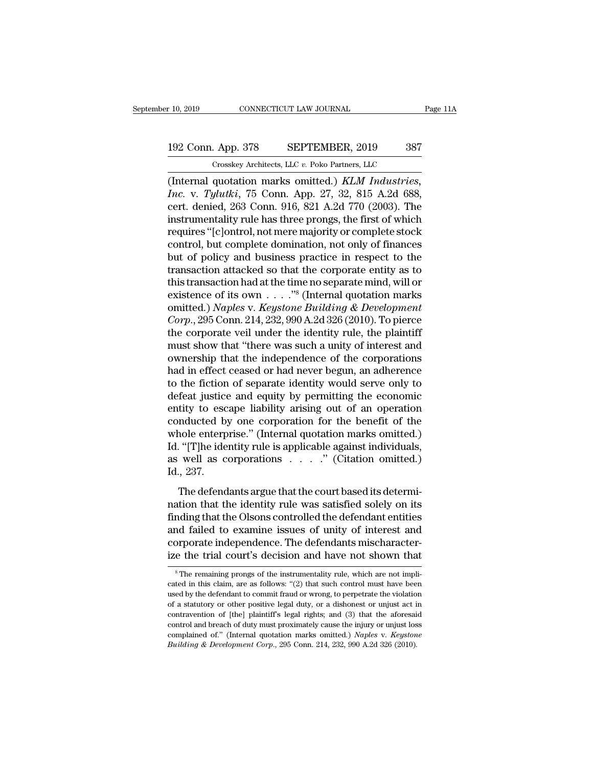## 10, 2019 CONNECTICUT LAW JOURNAL Page 11A<br>192 Conn. App. 378 SEPTEMBER, 2019 387<br>Crosskey Architects, LLC v. Poko Partners, LLC CONNECTICUT LAW JOURNAL<br>
. App. 378 SEPTEMBER, 2019 387<br>
Crosskey Architects, LLC *v.* Poko Partners, LLC<br>
quotation marks omitted ) *KLM Industries*

(10, 2019 CONNECTICUT LAW JOURNAL Page 1<br>
192 Conn. App. 378 SEPTEMBER, 2019 387<br>
Crosskey Architects, LLC v. Poko Partners, LLC<br>
(Internal quotation marks omitted.) *KLM Industries, Inc.* v. *Tylutki*, 75 Conn. App. 27, 3 *Inc.* Conn. App. 378 **Inc.** *SEPTEMBER, 2019* 387<br> *Crosskey Architects, LLC v. Poko Partners, LLC*<br> *Inc.* v. *Tylutki*, 75 Conn. App. 27, 32, 815 A.2d 688, cert. denied, 263 Conn. 916, 821 A.2d 770 (2003). The instrumen 192 Conn. App. 378 SEPTEMBER, 2019 387<br>
Crosskey Architects, LLC v. Poko Partners, LLC<br>
(Internal quotation marks omitted.) KLM Industries,<br>
Inc. v. Tylutki, 75 Conn. App. 27, 32, 815 A.2d 688,<br>
cert. denied, 263 Conn. 91 192 Conn. App. 378 SEPTEMBER, 2019 387<br>
Crosskey Architects, LLC v. Poko Partners, LLC<br>
(Internal quotation marks omitted.) KLM Industries,<br>
Inc. v. Tylutki, 75 Conn. App. 27, 32, 815 A.2d 688,<br>
cert. denied, 263 Conn. 916 Crosskey Architects, LLC v. Poko Partners, LLC<br>
(Internal quotation marks omitted.) KLM Industries,<br>
Inc. v. Tylutki, 75 Conn. App. 27, 32, 815 A.2d 688,<br>
cert. denied, 263 Conn. 916, 821 A.2d 770 (2003). The<br>
instrumenta Crosskey Architects, LLC v. Poko Partners, LLC<br>
(Internal quotation marks omitted.) KLM Industries,<br>
Inc. v. Tylutki, 75 Conn. App. 27, 32, 815 A.2d 688,<br>
cert. denied, 263 Conn. 916, 821 A.2d 770 (2003). The<br>
instrumenta (Internal quotation marks omitted.)  $KLM$  *Industries,*<br>*Inc.* v. *Tylutki*, 75 Conn. App. 27, 32, 815 A.2d 688,<br>cert. denied, 263 Conn. 916, 821 A.2d 770 (2003). The<br>instrumentality rule has three prongs, the first of whi Inc. v. Tylutki, 75 Conn. App. 27, 32, 815 A.2d 688,<br>cert. denied, 263 Conn. 916, 821 A.2d 770 (2003). The<br>instrumentality rule has three prongs, the first of which<br>requires "[c]ontrol, not mere majority or complete stock<br> cert. denied, 263 Conn. 916, 821 A.2d 770 (2003). The<br>instrumentality rule has three prongs, the first of which<br>requires "[c]ontrol, not mere majority or complete stock<br>control, but complete domination, not only of financ instrumentality rule has three prongs, the first of which<br>requires "[c]ontrol, not mere majority or complete stock<br>control, but complete domination, not only of finances<br>but of policy and business practice in respect to t requires "[c]ontrol, not mere majority or complete stock<br>control, but complete domination, not only of finances<br>but of policy and business practice in respect to the<br>transaction attacked so that the corporate entity as to<br> control, but complete domination, not only of finances<br>but of policy and business practice in respect to the<br>transaction attacked so that the corporate entity as to<br>this transaction had at the time no separate mind, will o but of policy and business practice in respect to the transaction attacked so that the corporate entity as to this transaction had at the time no separate mind, will or existence of its own  $\dots$ ."<sup>8</sup> (Internal quotation m transaction attacked so that the corporate entity as to<br>this transaction had at the time no separate mind, will or<br>existence of its own  $\dots$ ."<sup>8</sup> (Internal quotation marks<br>omitted.) *Naples* v. *Keystone Building* & *Deve* this transaction had at the time no separate mind, will or<br>existence of its own . . . . ."<sup>8</sup> (Internal quotation marks<br>omitted.) *Naples* v. *Keystone Building* & *Development*<br>*Corp.*, 295 Conn. 214, 232, 990 A.2d 326 ( existence of its own  $\dots$  ."<sup>8</sup> (Internal quotation marks<br>omitted.) *Naples* v. *Keystone Building* & *Development*<br>*Corp.*, 295 Conn. 214, 232, 990 A.2d 326 (2010). To pierce<br>the corporate veil under the identity rule, t omitted.) *Naples* v. *Keystone Building* & *Development*<br>Corp., 295 Conn. 214, 232, 990 A.2d 326 (2010). To pierce<br>the corporate veil under the identity rule, the plaintiff<br>must show that "there was such a unity of intere Corp., 295 Conn. 214, 232, 990 A.2d 326 (2010). To pierce<br>the corporate veil under the identity rule, the plaintiff<br>must show that "there was such a unity of interest and<br>ownership that the independence of the corporation the corporate veil under the identity rule, the plaintiff<br>must show that "there was such a unity of interest and<br>ownership that the independence of the corporations<br>had in effect ceased or had never begun, an adherence<br>to must show that "there was such a unity of interest and<br>ownership that the independence of the corporations<br>had in effect ceased or had never begun, an adherence<br>to the fiction of separate identity would serve only to<br>defea ownership that the independence of the corporations<br>had in effect ceased or had never begun, an adherence<br>to the fiction of separate identity would serve only to<br>defeat justice and equity by permitting the economic<br>entity had in effect ceased or had never begun, an adherence<br>to the fiction of separate identity would serve only to<br>defeat justice and equity by permitting the economic<br>entity to escape liability arising out of an operation<br>con to the fiction of separate identity would serve only to defeat justice and equity by permitting the economic entity to escape liability arising out of an operation conducted by one corporation for the benefit of the whole defeat justice<br>entity to esc<br>conducted b;<br>whole enterp<br>Id. "[T]he ide<br>as well as c<br>Id., 237.<br>The defend mducted by one corporation for the benefit of the<br>nole enterprise." (Internal quotation marks omitted.)<br>"[T]he identity rule is applicable against individuals,<br>well as corporations  $\ldots$ ." (Citation omitted.)<br>., 237.<br>The whole enterprise." (Internal quotation marks omitted.)<br>Id. "[T]he identity rule is applicable against individuals,<br>as well as corporations  $\cdots$ ." (Citation omitted.)<br>Id., 237.<br>The defendants argue that the court based it

Finding that the one of the opposite that the court based is determined.)<br>Id., 237.<br>The defendants argue that the court based its determination that the identity rule was satisfied solely on its<br>finding that the Olsons co Fig. 1. The factor of the example of the example of the court based its determination that the identity rule was satisfied solely on its finding that the Olsons controlled the defendant entities and failed to examine issu Id., 237.<br>The defendants argue that the court based its determination that the identity rule was satisfied solely on its<br>finding that the Olsons controlled the defendant entities<br>and failed to examine issues of unity of in In the defendants argue that the court based its determination that the identity rule was satisfied solely on its finding that the Olsons controlled the defendant entities and failed to examine issues of unity of interest nd failed to examine issues of unity of interest and<br>orporate independence. The defendants mischaracter-<br>e the trial court's decision and have not shown that<br><sup>8</sup>The remaining prongs of the instrumentality rule, which are n and failed to examine issues of unity of interest and<br>corporate independence. The defendants mischaracter-<br>ize the trial court's decision and have not shown that<br><sup>8</sup>The remaining prongs of the instrumentality rule, which a

corporate independence. The defendants mischaracter-<br>ize the trial court's decision and have not shown that<br><sup>8</sup>The remaining prongs of the instrumentality rule, which are not impli-<br>cated in this claim, are as follows: "(2 ize the trial court's decision and have not shown that<br>
<sup>8</sup>The remaining prongs of the instrumentality rule, which are not implicated in this claim, are as follows: "(2) that such control must have been<br>
used by the defend Exercise the trian COUTES decision and nave not snown trian<br>
<sup>8</sup>The remaining prongs of the instrumentality rule, which are not impli-<br>
cated in this claim, are as follows: "(2) that such control must have been<br>
used by th <sup>8</sup> The remaining prongs of the instrumentality rule, which are not implicated in this claim, are as follows: "(2) that such control must have been used by the defendant to commit fraud or wrong, to perpetrate the violati cated in this claim, are as follows: "(2) that such control must have been used by the defendant to commit fraud or wrong, to perpetrate the violation of a statutory or other positive legal duty, or a dishonest or unjust used by the defendant to commit fraud or wrong, to perpetrate the violation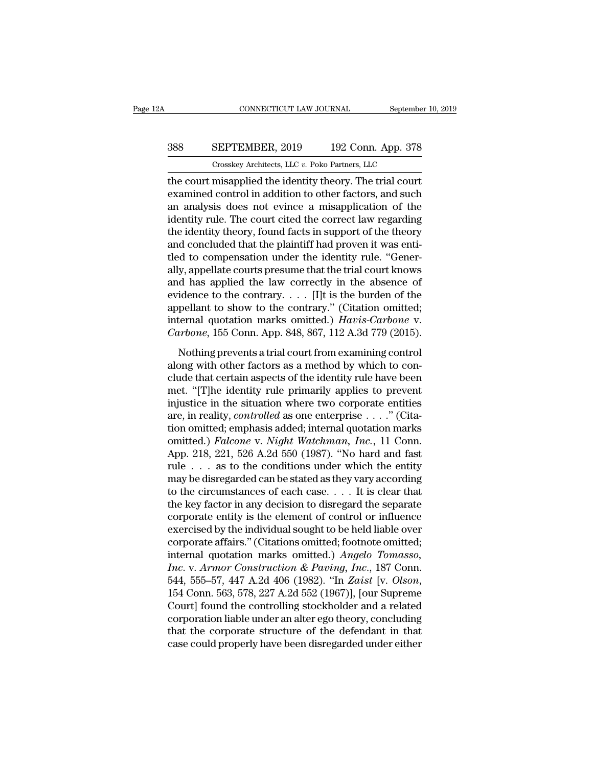## CONNECTICUT LAW JOURNAL September 10, 2019<br>388 SEPTEMBER, 2019 192 Conn. App. 378<br>Crosskey Architects, LLC v. Poko Partners, LLC CONNECTICUT LAW JOURNAL September<br>
SEPTEMBER, 2019 192 Conn. App. 378<br>
Crosskey Architects, LLC *v.* Poko Partners, LLC<br>
misannlied the identity theory. The trial court

CONNECTICUT LAW JOURNAL September 10, 2019<br>
SEPTEMBER, 2019 192 Conn. App. 378<br>
Crosskey Architects, LLC v. Poko Partners, LLC<br>
the court misapplied the identity theory. The trial court<br>
examined control in addition to oth SEPTEMBER, 2019 192 Conn. App. 378<br>
Crosskey Architects, LLC v. Poko Partners, LLC<br>
the court misapplied the identity theory. The trial court<br>
examined control in addition to other factors, and such<br>
an analysis does not e 388 SEPTEMBER, 2019 192 Conn. App. 378<br>
Crosskey Architects, LLC  $v$ . Poko Partners, LLC<br>
the court misapplied the identity theory. The trial court<br>
examined control in addition to other factors, and such<br>
an analysis doe **SBS SEPTEMBER, 2019** 192 Conn. App. 378<br>
Crosskey Architects, LLC  $v$ . Poko Partners, LLC<br>
the court misapplied the identity theory. The trial court<br>
examined control in addition to other factors, and such<br>
an analysis d Crosskey Architects, LLC  $v$ . Poko Partners, LLC<br>the court misapplied the identity theory. The trial court<br>examined control in addition to other factors, and such<br>an analysis does not evince a misapplication of the<br>identi Crosskey Architects, LLC  $v$ . Poko Partners, LLC<br>the court misapplied the identity theory. The trial court<br>examined control in addition to other factors, and such<br>an analysis does not evince a misapplication of the<br>identi the court misapplied the identity theory. The trial court<br>examined control in addition to other factors, and such<br>an analysis does not evince a misapplication of the<br>identity rule. The court cited the correct law regarding examined control in addition to other factors, and such<br>an analysis does not evince a misapplication of the<br>identity rule. The court cited the correct law regarding<br>the identity theory, found facts in support of the theory an analysis does not evince a misapplication of the<br>identity rule. The court cited the correct law regarding<br>the identity theory, found facts in support of the theory<br>and concluded that the plaintiff had proven it was ent identity rule. The court cited the correct law regarding<br>the identity theory, found facts in support of the theory<br>and concluded that the plaintiff had proven it was enti-<br>tled to compensation under the identity rule. "Ge the identity theory, found facts in support of the theory<br>and concluded that the plaintiff had proven it was enti-<br>tled to compensation under the identity rule. "Gener-<br>ally, appellate courts presume that the trial court and concluded that the plaintiff had proven it was enti-<br>tled to compensation under the identity rule. "Gener-<br>ally, appellate courts presume that the trial court knows<br>and has applied the law correctly in the absence of<br>e tled to compensation under the identity rule. "Generally, appellate courts presume that the trial court knows<br>and has applied the law correctly in the absence of<br>evidence to the contrary. . . . [I]t is the burden of the<br>ap d has applied the law correctly in the absence of<br>idence to the contrary.  $\dots$  [I]t is the burden of the<br>pellant to show to the contrary." (Citation omitted;<br>ternal quotation marks omitted.) *Havis-Carbone* v.<br>*urbone*, 1 and has applied are law correctly in the absence of<br>evidence to the contrary. . . . [I]t is the burden of the<br>appellant to show to the contrary." (Citation omitted;<br>internal quotation marks omitted.) *Havis-Carbone* v.<br>*C* 

appellant to show to the contrary." (Citation omitted;<br>internal quotation marks omitted.) *Havis-Carbone* v.<br>*Carbone*, 155 Conn. App. 848, 867, 112 A.3d 779 (2015).<br>Nothing prevents a trial court from examining control<br>a internal quotation marks omitted.) *Havis-Carbone* v.<br> *Carbone*, 155 Conn. App. 848, 867, 112 A.3d 779 (2015).<br>
Nothing prevents a trial court from examining control<br>
along with other factors as a method by which to con-Carbone, 155 Conn. App. 848, 867, 112 A.3d 779 (2015).<br>
Nothing prevents a trial court from examining control<br>
along with other factors as a method by which to con-<br>
clude that certain aspects of the identity rule have be are, in realistics at right of the meaning controllation and along with other factors as a method by which to conclude that certain aspects of the identity rule have been met. "[T]he identity rule primarily applies to prev Nothing prevents a trial court from examining control<br>along with other factors as a method by which to con-<br>clude that certain aspects of the identity rule have been<br>met. "[T]he identity rule primarily applies to prevent<br> along with other factors as a method by which to conclude that certain aspects of the identity rule have been<br>met. "[T]he identity rule primarily applies to prevent<br>injustice in the situation where two corporate entities<br>a clude that certain aspects of the identity rule have been<br>met. "[T]he identity rule primarily applies to prevent<br>injustice in the situation where two corporate entities<br>are, in reality, *controlled* as one enterprise . . met. "[T]he identity rule primarily applies to prevent<br>injustice in the situation where two corporate entities<br>are, in reality, *controlled* as one enterprise . . . ." (Cita-<br>tion omitted; emphasis added; internal quotati injustice in the situation where two corporate entities<br>are, in reality, *controlled* as one enterprise . . . ." (Cita-<br>tion omitted; emphasis added; internal quotation marks<br>omitted.) *Falcone* v. *Night Watchman*, *Inc.* are, in reality, *controlled* as one enterprise . . . ." (Citation omitted; emphasis added; internal quotation marks omitted.) *Falcone* v. *Night Watchman*, *Inc.*, 11 Conn. App. 218, 221, 526 A.2d 550 (1987). "No hard a tion omitted; emphasis added; internal quotation marks<br>omitted.) *Falcone* v. *Night Watchman*, *Inc.*, 11 Conn.<br>App. 218, 221, 526 A.2d 550 (1987). "No hard and fast<br>rule . . . as to the conditions under which the entity omitted.) *Falcone* v. *Night Watchman, Inc.*, 11 Conn.<br>App. 218, 221, 526 A.2d 550 (1987). "No hard and fast<br>rule . . . as to the conditions under which the entity<br>may be disregarded can be stated as they vary according<br> App. 218, 221, 526 A.2d 550 (1987). "No hard and fast<br>rule . . . as to the conditions under which the entity<br>may be disregarded can be stated as they vary according<br>to the circumstances of each case. . . . It is clear tha rule  $\ldots$  as to the conditions under which the entity<br>
may be disregarded can be stated as they vary according<br>
to the circumstances of each case.  $\ldots$  It is clear that<br>
the key factor in any decision to disregard the s may be disregarded can be stated as they vary according<br>to the circumstances of each case. . . . It is clear that<br>the key factor in any decision to disregard the separate<br>corporate entity is the element of control or infl to the circumstances of each case. . . . . It is clear that<br>the key factor in any decision to disregard the separate<br>corporate entity is the element of control or influence<br>exercised by the individual sought to be held lia the key factor in any decision to disregard the separate<br>corporate entity is the element of control or influence<br>exercised by the individual sought to be held liable over<br>corporate affairs." (Citations omitted, footnote om exercised by the individual sought to be held liable over<br>corporate affairs." (Citations omitted; footnote omitted;<br>internal quotation marks omitted.) *Angelo Tomasso*,<br>*Inc.* v. *Armor Construction & Paving*, *Inc.*, 187 corporate affairs." (Citations omitted; footnote omitted;<br>internal quotation marks omitted.) Angelo Tomasso,<br>Inc. v. Armor Construction & Paving, Inc., 187 Conn.<br>544, 555–57, 447 A.2d 406 (1982). "In Zaist [v. Olson,<br>154 C internal quotation marks omitted.) Angelo Tomasso,<br>Inc. v. Armor Construction & Paving, Inc., 187 Conn.<br>544, 555–57, 447 A.2d 406 (1982). "In Zaist [v. Olson,<br>154 Conn. 563, 578, 227 A.2d 552 (1967)], [our Supreme<br>Court] Inc. v. Armor Construction & Paving, Inc., 187 Conn.<br>544, 555–57, 447 A.2d 406 (1982). "In Zaist [v. Olson,<br>154 Conn. 563, 578, 227 A.2d 552 (1967)], [our Supreme<br>Court] found the controlling stockholder and a related<br>corp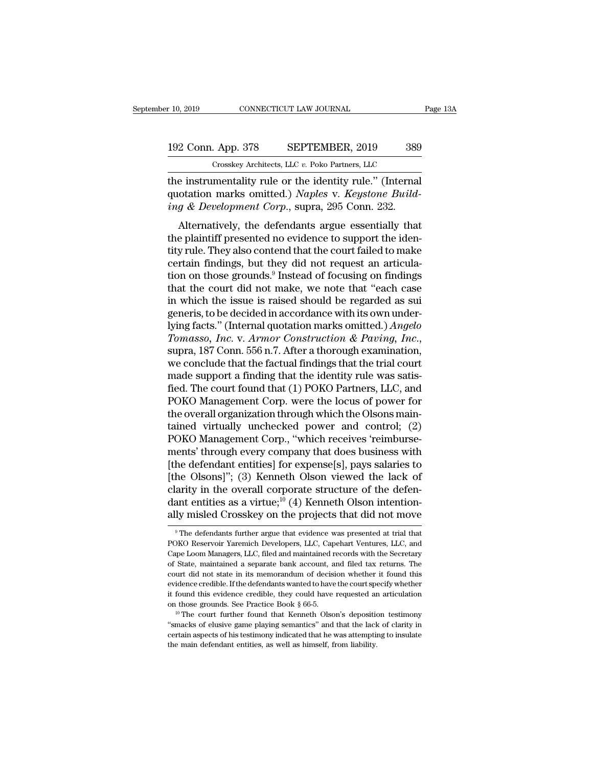## 10, 2019 CONNECTICUT LAW JOURNAL Page 13A<br>192 Conn. App. 378 SEPTEMBER, 2019 389<br>Crosskey Architects, LLC v. Poko Partners, LLC Crosskey Architects, LLC *v.* Poko Partners, LLC

the instrumentality rule or the identity rule.'' (Internal<br>
duction marks omitted.) Naples v. Keystone Building & Development Cornel super 2015 Conn 232 192 Conn. App. 378 SEPTEMBER, 2019 389<br>
Crosskey Architects, LLC v. Poko Partners, LLC<br>
the instrumentality rule or the identity rule." (Internal<br>
quotation marks omitted.) *Naples* v. *Keystone Build-*<br> *ing* & *Developme* 192 Conn. App. 378 SEPTEMBER, 2019 389<br> *Crosskey Architects, LLC v. Poko Partners, LLC*<br>
the instrumentality rule or the identity rule." (Internal<br>
quotation marks omitted.) *Naples v. Keystone Build*<br> *ing & Development* 2 Conn. App. 378 SEPTEMBER, 2019 389<br>
Crosskey Architects, LLC v. Poko Partners, LLC<br>
e instrumentality rule or the identity rule." (Internal<br>
otation marks omitted.) *Naples* v. *Keystone Build-<br>
g & Development Corp.*,

Crosskey Architects, LLC  $v$ . Poko Partners, LLC<br>the instrumentality rule or the identity rule." (Internal<br>quotation marks omitted.) *Naples* v. *Keystone Build-*<br>ing & Development Corp., supra, 295 Conn. 232.<br>Alternative the instrumentality rule or the identity rule." (Internal quotation marks omitted.) *Naples v. Keystone Building & Development Corp.*, supra, 295 Conn. 232.<br>Alternatively, the defendants argue essentially that the plainti che instrumentanty rule of the identity rule. (Internation<br>quotation marks omitted.) Naples v. Keystone Build-<br>ing & Development Corp., supra, 295 Conn. 232.<br>Alternatively, the defendants argue essentially that<br>the plainti quotation marks onlitted.) Nuples v. Registone Data-<br>ing & Development Corp., supra, 295 Conn. 232.<br>Alternatively, the defendants argue essentially that<br>the plaintiff presented no evidence to support the iden-<br>tity rule. Alternatively, the defendants argue essentially that<br>the plaintiff presented no evidence to support the iden-<br>tity rule. They also contend that the court failed to make<br>certain findings, but they did not request an articu Alternatively, the defendants argue essentially that<br>the plaintiff presented no evidence to support the iden-<br>tity rule. They also contend that the court failed to make<br>certain findings, but they did not request an articul the plaintiff presented no evidence to support the identity rule. They also contend that the court failed to make<br>certain findings, but they did not request an articula-<br>tion on those grounds.<sup>9</sup> Instead of focusing on fi tity rule. They also contend that the court failed to make<br>certain findings, but they did not request an articula-<br>tion on those grounds.<sup>9</sup> Instead of focusing on findings<br>that the court did not make, we note that "each c *Tomasso, Inc. Tomasso, Inc. Paying some that the court did not make, we note that "each case* in which the issue is raised should be regarded as sui generis, to be decided in accordance with its own underlying facts." that the court did not make, we note that "each case<br>in which the issue is raised should be regarded as sui<br>generis, to be decided in accordance with its own under-<br>lying facts." (Internal quotation marks omitted.) *Angel* in which the issue is raised should be regarded as sui generis, to be decided in accordance with its own underlying facts." (Internal quotation marks omitted.) *Angelo Tomasso, Inc.* v. *Armor Construction & Paving, Inc.* generis, to be decided in accordance with its own underlying facts." (Internal quotation marks omitted.) *Angelo Tomasso, Inc.* v. *Armor Construction & Paving, Inc.*, supra, 187 Conn. 556 n.7. After a thorough examination lying facts." (Internal quotation marks omitted.) *Angelo*<br>Tomasso, Inc. v. Armor Construction & Paving, Inc.,<br>supra, 187 Conn. 556 n.7. After a thorough examination,<br>we conclude that the factual findings that the trial co Tomasso, Inc. v. Armor Construction & Paving, Inc.,<br>supra, 187 Conn. 556 n.7. After a thorough examination,<br>we conclude that the factual findings that the trial court<br>made support a finding that the identity rule was satis supra, 187 Conn. 556 n.7. After a thorough examination,<br>we conclude that the factual findings that the trial court<br>made support a finding that the identity rule was satis-<br>fied. The court found that (1) POKO Partners, LLC, we conclude that the factual findings that the trial court<br>made support a finding that the identity rule was satis-<br>fied. The court found that (1) POKO Partners, LLC, and<br>POKO Management Corp. were the locus of power for<br>t made support a finding that the identity rule was satis-<br>fied. The court found that (1) POKO Partners, LLC, and<br>POKO Management Corp. were the locus of power for<br>the overall organization through which the Olsons main-<br>tain fied. The court found that (1) POKO Partners, LLC, and<br>POKO Management Corp. were the locus of power for<br>the overall organization through which the Olsons main-<br>tained virtually unchecked power and control; (2)<br>POKO Manage POKO Management Corp. were the locus of power for<br>the overall organization through which the Olsons main-<br>tained virtually unchecked power and control; (2)<br>POKO Management Corp., "which receives 'reimburse-<br>ments' through the overall organization through which the Olsons main-<br>tained virtually unchecked power and control; (2)<br>POKO Management Corp., "which receives 'reimburse-<br>ments' through every company that does business with<br>[the defenda tained virtually unchecked power and control; (2)<br>POKO Management Corp., "which receives 'reimburse-<br>ments' through every company that does business with<br>[the defendant entities] for expense[s], pays salaries to<br>[the Olson POKO Management Corp., "which receives 'reimburse-<br>ments' through every company that does business with<br>[the defendant entities] for expense[s], pays salaries to<br>[the Olsons]"; (3) Kenneth Olson viewed the lack of<br>clarity [the Olsons]"; (3) Kenneth Olson viewed the lack of clarity in the overall corporate structure of the defendant entities as a virtue;<sup>10</sup> (4) Kenneth Olson intentionally misled Crosskey on the projects that did not move clarity in the overall corporate structure of the defendant entities as a virtue;<sup>10</sup> (4) Kenneth Olson intentionally misled Crosskey on the projects that did not move  $\overline{P}$  The defendants further argue that evidence w

dant entities as a virtue;<sup>10</sup> (4) Kenneth Olson intention-<br>ally misled Crosskey on the projects that did not move<br><sup>9</sup>The defendants further argue that evidence was presented at trial that<br>POKO Reservoir Yaremich Developer ally misled Crosskey on the projects that did not move<br>
The defendants further argue that evidence was presented at trial that<br>
POKO Reservoir Yaremich Developers, LLC, Capehart Ventures, LLC, and<br>
Cape Loom Managers, LLC, The defendants further argue that evidence was presented at trial that<br>POKO Reservoir Yaremich Developers, LLC, Capehart Ventures, LLC, and<br>Cape Loom Managers, LLC, filed and maintained records with the Secretary<br>of State, <sup>9</sup> The defendants further argue that evidence was presented at trial that POKO Reservoir Yaremich Developers, LLC, Capehart Ventures, LLC, and Cape Loom Managers, LLC, filed and maintained records with the Secretary of S POKO Reservoir Yaremich Developers, LLC, Capehart Ventures, LLC, and Cape Loom Managers, LLC, filed and maintained records with the Secretary of State, maintained a separate bank account, and filed tax returns. The court d Cape Loom Managers, LLC, filed and maintained records with the Secretary of State, maintained a separate bank account, and filed tax returns. The court did not state in its memorandum of decision whether it found this evi For example and the distance in the distance credible. If the defendants wanted to have the court specify whether it found this evidence credible. If the defendants wanted to have the court specify whether it found this e

evidence credible. If the defendants wanted to have the court specify whether it found this evidence credible, they could have requested an articulation on those grounds. See Practice Book  $\S 66-5$ .<br><sup>10</sup> The court further it found this evidence credible, they could have requested an articulation<br>on those grounds. See Practice Book § 66-5.<br><sup>10</sup> The court further found that Kenneth Olson's deposition testimony<br>"smacks of elusive game playing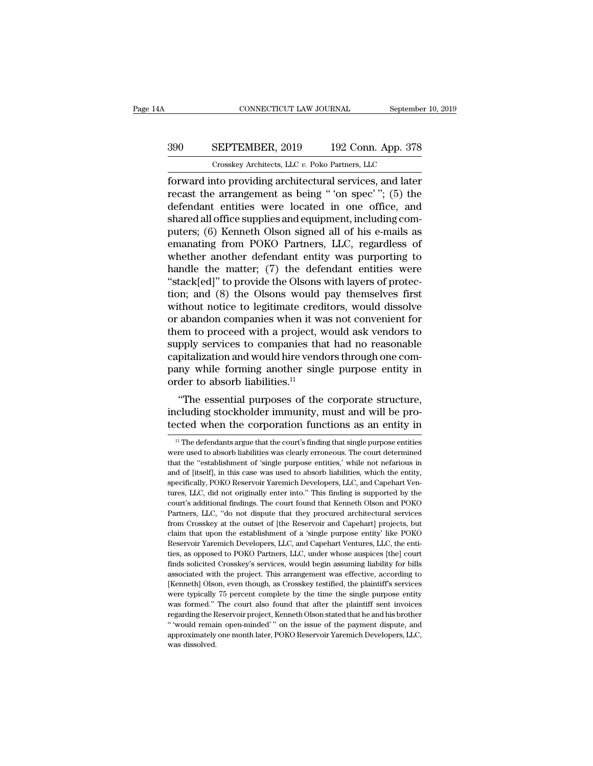## CONNECTICUT LAW JOURNAL September 10, 2019<br>390 SEPTEMBER, 2019 192 Conn. App. 378<br>Crosskey Architects, LLC v. Poko Partners, LLC CONNECTICUT LAW JOURNAL September<br>
SEPTEMBER, 2019 192 Conn. App. 378<br>
Crosskey Architects, LLC *v.* Poko Partners, LLC<br>
nto providing architectural services, and later

FORMECTICUT LAW JOURNAL September 10, 2019<br>
SEPTEMBER, 2019 192 Conn. App. 378<br>
Crosskey Architects, LLC v. Poko Partners, LLC<br>
forward into providing architectural services, and later<br>
recast the arrangement as being "'on SEPTEMBER, 2019 192 Conn. App. 378<br>
Crosskey Architects, LLC v. Poko Partners, LLC<br>
forward into providing architectural services, and later<br>
recast the arrangement as being " 'on spec' "; (5) the<br>
defendant entities were 390 SEPTEMBER, 2019 192 Conn. App. 378<br>
Crosskey Architects, LLC v. Poko Partners, LLC<br>
forward into providing architectural services, and later<br>
recast the arrangement as being " 'on spec' "; (5) the<br>
defendant entities SHARE 3019 192 Conn. App. 378<br>
SEPTEMBER, 2019 192 Conn. App. 378<br>
Torward into providing architectural services, and later<br>
recast the arrangement as being " 'on spec' "; (5) the<br>
defendant entities were located in one o Crosskey Architects, LLC v. Poko Partners, LLC<br>forward into providing architectural services, and later<br>recast the arrangement as being " 'on spec' "; (5) the<br>defendant entities were located in one office, and<br>shared all Crosskey Architects, LLC  $v$ . Poko Partners, LLC<br>forward into providing architectural services, and later<br>recast the arrangement as being " 'on spec' "; (5) the<br>defendant entities were located in one office, and<br>shared al forward into providing architectural services, and later<br>recast the arrangement as being " 'on spec' "; (5) the<br>defendant entities were located in one office, and<br>shared all office supplies and equipment, including com-<br>pu recast the arrangement as being " 'on spec' "; (5) the<br>defendant entities were located in one office, and<br>shared all office supplies and equipment, including com-<br>puters; (6) Kenneth Olson signed all of his e-mails as<br>ema defendant entities were located in one office, and<br>shared all office supplies and equipment, including com-<br>puters; (6) Kenneth Olson signed all of his e-mails as<br>emanating from POKO Partners, LLC, regardless of<br>whether an shared all office supplies and equipment, including computers; (6) Kenneth Olson signed all of his e-mails as<br>emanating from POKO Partners, LLC, regardless of<br>whether another defendant entity was purporting to<br>handle the m puters; (6) Kenneth Olson signed all of his e-mails as<br>emanating from POKO Partners, LLC, regardless of<br>whether another defendant entity was purporting to<br>handle the matter; (7) the defendant entities were<br>"stack[ed]" to p emanating from POKO Partners, LLC, regardless of<br>whether another defendant entity was purporting to<br>handle the matter; (7) the defendant entities were<br>"stack[ed]" to provide the Olsons with layers of protec-<br>tion; and (8) whether another defendant entity was purporting to<br>handle the matter; (7) the defendant entities were<br>"stack[ed]" to provide the Olsons with layers of protec-<br>tion; and (8) the Olsons would pay themselves first<br>without not handle the matter; (7) the defendant entities were<br>
"stack[ed]" to provide the Olsons with layers of protec-<br>
tion; and (8) the Olsons would pay themselves first<br>
without notice to legitimate creditors, would dissolve<br>
or "stack[ed]" to provide the Olsons with layers of protection; and (8) the Olsons would pay themselves first without notice to legitimate creditors, would dissolve or abandon companies when it was not convenient for them to tion; and (8) the Olsons would pay themselves first<br>without notice to legitimate creditors, would dissolve<br>or abandon companies when it was not convenient for<br>them to proceed with a project, would ask vendors to<br>supply se without notice to legitimate cred<br>or abandon companies when it was<br>them to proceed with a project, v<br>supply services to companies tha<br>capitalization and would hire vend<br>pany while forming another sing<br>order to absorb liabi abandon companies when it was not convenient for<br>
em to proceed with a project, would ask vendors to<br>
pply services to companies that had no reasonable<br>
pitalization and would hire vendors through one com-<br>
my while formi them to proceed with a project, would ask ventions to<br>supply services to companies that had no reasonable<br>capitalization and would hire vendors through one com-<br>pany while forming another single purpose entity in<br>order to supply services to companies that had no reasonable<br>capitalization and would hire vendors through one com-<br>pany while forming another single purpose entity in<br>order to absorb liabilities.<sup>11</sup><br>"The essential purposes of th

"The essential purposes of the corporate structure,<br>cluding stockholder immunity, must and will be pro-<br>cted when the corporation functions as an entity in<br> $\frac{11}{10}$  The defendants argue that the court's finding that si "The essential purposes of the corporate structure,<br>including stockholder immunity, must and will be pro-<br>tected when the corporation functions as an entity in<br> $\frac{1}{1}$  The defendants argue that the court's finding that

including stockholder immunity, must and will be pro-<br>tected when the corporation functions as an entity in<br><sup>11</sup> The defendants argue that the court's finding that single purpose entities<br>were used to absorb liabilities wa and of the comporation functions as an entity in<br>
<sup>11</sup> The defendants argue that the court's finding that single purpose entities<br>
were used to absorb liabilities was clearly erroneous. The court determined<br>
that the "esta Fig. 11 The defendants argue that the court's finding that single purpose entities<br>
were used to absorb liabilities was clearly erroneous. The court determined<br>
that the "establishment of 'single purpose entities,' while n  $^1$  The defendants argue that the court's finding that single purpose entities were used to absorb liabilities was clearly erroneous. The court determined that the "establishment of 'single purpose entities,' while not n were used to absorb liabilities was clearly erroneous. The court determined that the "establishment of 'single purpose entities,' while not nefarious in and of [itself], in this case was used to absorb liabilities, which t were used to absorb liabilities was clearly erroneous. The court determined<br>that the "establishment of 'single purpose entities,' while not nefarious in<br>and of [itself], in this case was used to absorb liabilities, which t and of [itself], in this case was used to absorb liabilities, which the entity, specifically, POKO Reservoir Yaremich Developers, LLC, and Capehart Ventures, LLC, did not originally enter into." This finding is supported b and creating.) POKO Reservoir Yaremich Developers, LLC, and Capehart Ventures, LLC, did not originally enter into." This finding is supported by the court's additional findings. The court found that Kenneth Olson and POKO Free, LLC, did not originally enter into." This finding is supported by the court's additional findings. The court found that Kenneth Olson and POKO Partners, LLC, "do not dispute that they procured architectural services court's additional findings. The court found that Kenneth Olson and POKO<br>Partners, LLC, "do not dispute that they procured architectural services<br>from Crosskey at the outset of [the Reservoir and Capehart] projects, but<br>cl Partners, LLC, "do not dispute that they procured architectural services<br>from Crosskey at the outset of [the Reservoir and Capehart] projects, but<br>claim that upon the establishment of a 'single purpose entity' like POKO<br>Re From Crosskey at the outset of [the Reservoir and Capehart] projects, but claim that upon the establishment of a 'single purpose entity' like POKO Reservoir Yaremich Developers, LLC, and Capehart Ventures, LLC, the entitie elaim that upon the establishment of a 'single purpose entity' like POKO<br>Reservoir Yaremich Developers, LLC, and Capehart Ventures, LLC, the enti-<br>ties, as opposed to POKO Partners, LLC, under whose auspices [the] court<br>fi Reservoir Yaremich Developers, LLC, and Capehart Ventures, LLC, the entities, as opposed to POKO Partners, LLC, under whose auspices [the] court finds solicited Crosskey's services, would begin assuming liability for bills ties, as opposed to POKO Partners, LLC, under whose auspices [the] court finds solicited Crosskey's services, would begin assuming liability for bills associated with the project. This arrangement was effective, according finds solicited Crosskey's services, would begin assuming liability for bills associated with the project. This arrangement was effective, according to [Kenneth] Olson, even though, as Crosskey testified, the plaintiff's s associated with the project. This arrangement was effective, according to [Kenneth] Olson, even though, as Crosskey testified, the plaintiff's services were typically 75 percent complete by the time the single purpose enti [Kenneth] Olson, even though, as Crosskey testified, the plaintiff's services were typically 75 percent complete by the time the single purpose entity was formed." The court also found that after the plaintiff sent invoice were typically 75 percent complete by the time the single purpose entity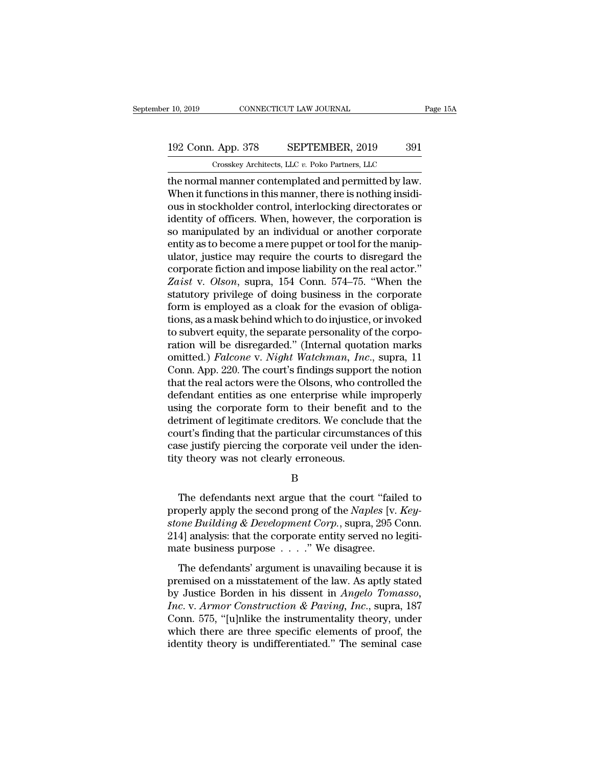## 10, 2019 CONNECTICUT LAW JOURNAL Page 15A<br>192 Conn. App. 378 SEPTEMBER, 2019 391<br>Crosskey Architects, LLC v. Poko Partners, LLC Crosskey Architects, LLC *v.* Poko Partners, LLC

r 10, 2019 CONNECTICUT LAW JOURNAL Page 1<br>
192 Conn. App. 378 SEPTEMBER, 2019 391<br>
Crosskey Architects, LLC v. Poko Partners, LLC<br>
the normal manner contemplated and permitted by law.<br>
When it functions in this manner, the 192 Conn. App. 378 SEPTEMBER, 2019 391<br>
Crosskey Architects, LLC v. Poko Partners, LLC<br>
the normal manner contemplated and permitted by law.<br>
When it functions in this manner, there is nothing insidi-<br>
ous in stockholder c 192 Conn. App. 378 SEPTEMBER, 2019 391<br>
Crosskey Architects, LLC v. Poko Partners, LLC<br>
the normal manner contemplated and permitted by law.<br>
When it functions in this manner, there is nothing insidi-<br>
ous in stockholder 192 Conn. App. 378 SEPTEMBER, 2019 391<br>
Crosskey Architects, LLC  $v$ . Poko Partners, LLC<br>
the normal manner contemplated and permitted by law.<br>
When it functions in this manner, there is nothing insidi-<br>
ous in stockholde Crosskey Architects, LLC v. Poko Partners, LLC<br>the normal manner contemplated and permitted by law.<br>When it functions in this manner, there is nothing insidi-<br>ous in stockholder control, interlocking directorates or<br>ident Crosskey Architects, LLC  $v$ . Poko Partners, LLC<br>the normal manner contemplated and permitted by law.<br>When it functions in this manner, there is nothing insidi-<br>ous in stockholder control, interlocking directorates or<br>ide the normal manner contemplated and permitted by law.<br>When it functions in this manner, there is nothing insidi-<br>ous in stockholder control, interlocking directorates or<br>identity of officers. When, however, the corporation When it functions in this manner, there is nothing insidious in stockholder control, interlocking directorates or<br>identity of officers. When, however, the corporation is<br>so manipulated by an individual or another corporate ous in stockholder control, interlocking directorates or<br>
identity of officers. When, however, the corporation is<br>
so manipulated by an individual or another corporate<br>
entity as to become a mere puppet or tool for the man identity of officers. When, however, the corporation is<br>so manipulated by an individual or another corporate<br>entity as to become a mere puppet or tool for the manip-<br>ulator, justice may require the courts to disregard the<br> so manipulated by an individual or another corporate<br>entity as to become a mere puppet or tool for the manip-<br>ulator, justice may require the courts to disregard the<br>corporate fiction and impose liability on the real actor entity as to become a mere puppet or tool for the manip-<br>ulator, justice may require the courts to disregard the<br>corporate fiction and impose liability on the real actor."<br>Zaist v. Olson, supra, 154 Conn. 574–75. "When the ulator, justice may require the courts to disregard the corporate fiction and impose liability on the real actor."<br>Zaist v. Olson, supra, 154 Conn. 574–75. "When the statutory privilege of doing business in the corporate corporate fiction and impose liability on the real actor."<br>
Zaist v. Olson, supra, 154 Conn. 574–75. "When the<br>
statutory privilege of doing business in the corporate<br>
form is employed as a cloak for the evasion of obliga Zaist v. *Olson*, supra, 154 Conn. 574–75. "When the<br>statutory privilege of doing business in the corporate<br>form is employed as a cloak for the evasion of obliga-<br>tions, as a mask behind which to do injustice, or invoked<br>t statutory privilege of doing business in the corporate<br>form is employed as a cloak for the evasion of obliga-<br>tions, as a mask behind which to do injustice, or invoked<br>to subvert equity, the separate personality of the cor form is employed as a cloak for the evasion of obligations, as a mask behind which to do injustice, or invoked<br>to subvert equity, the separate personality of the corpo-<br>ration will be disregarded." (Internal quotation mark tions, as a mask behind which to do injustice, or invoked<br>to subvert equity, the separate personality of the corpo-<br>ration will be disregarded." (Internal quotation marks<br>omitted.) *Falcone* v. *Night Watchman*, *Inc.*, su to subvert equity, the separate personality of the corporation will be disregarded." (Internal quotation marks omitted.) *Falcone v. Night Watchman, Inc.*, supra, 11 Conn. App. 220. The court's findings support the notion ration will be disregarded." (Internal quotation marks<br>omitted.) *Falcone* v. *Night Watchman*, *Inc.*, supra, 11<br>Conn. App. 220. The court's findings support the notion<br>that the real actors were the Olsons, who controlled omitted.) *Falcone* v. *Night Watchman*, *Inc.*, supra, 11<br>Conn. App. 220. The court's findings support the notion<br>that the real actors were the Olsons, who controlled the<br>defendant entities as one enterprise while imprope Conn. App. 220. The court's findings support the notion<br>that the real actors were the Olsons, who controlled the<br>defendant entities as one enterprise while improperly<br>using the corporate form to their benefit and to the<br>de that the real actors were the Olsons, who condefendant entities as one enterprise while<br>using the corporate form to their benefit<br>detriment of legitimate creditors. We conclu<br>court's finding that the particular circumsta<br>c triment of legitimate creditors. We conclude that the<br>urt's finding that the particular circumstances of this<br>se justify piercing the corporate veil under the iden-<br>y theory was not clearly erroneous.<br>B<br>The defendants next

B

court's finding that the particular circumstances of this<br>case justify piercing the corporate veil under the iden-<br>tity theory was not clearly erroneous.<br>B<br>The defendants next argue that the court "failed to<br>properly apply case justify piercing the corporate veil under the identity theory was not clearly erroneous.<br>
B<br>
The defendants next argue that the court "failed to<br>
properly apply the second prong of the *Naples* [v. *Keystone Building* 214] analysis: that the court "failed to properly apply the second prong of the *Naples* [v. *Keystone Building & Development Corp.*, supra, 295 Conn. 214] analysis: that the corporate entity served no legitimate business B<br>
The defendants next argue that the court "faile<br>
properly apply the second prong of the *Naples* [v.<br> *stone Building & Development Corp.*, supra, 295 C<br>
214] analysis: that the corporate entity served no l<br>
mate busine The defendants next argue that the court "failed to<br>operly apply the second prong of the *Naples* [v. *Key-*<br>one Building & Development Corp., supra, 295 Conn.<br>4] analysis: that the corporate entity served no legiti-<br>ate properly apply the second prong of the *Naples* [v. *Keystone Building & Development Corp.*, supra, 295 Conn.<br>214] analysis: that the corporate entity served no legitimate business purpose  $\dots$ ." We disagree.<br>The defendan

by *Stone Building & Development Corp.*, supra, 295 Conn.<br>214] analysis: that the corporate entity served no legitimate business purpose . . . . " We disagree.<br>The defendants' argument is unavailing because it is<br>premised *Income Bandang* **a** *Decoopment* corp.; supra, 255 cond.<br>
214] analysis: that the corporate entity served no legitimate business purpose . . . ." We disagree.<br>
The defendants' argument is unavailing because it is<br>
premise The defendants' argument is unavailing because it is<br>premised on a misstatement of the law. As aptly stated<br>by Justice Borden in his dissent in *Angelo Tomasso*,<br>*Inc.* v. *Armor Construction & Paving*, *Inc.*, supra, 187 The defendants' argument is unavailing because it is<br>premised on a misstatement of the law. As aptly stated<br>by Justice Borden in his dissent in *Angelo Tomasso*,<br>*Inc.* v. *Armor Construction & Paving*, *Inc.*, supra, 187 The defendants' argument is unavailing because it is<br>premised on a misstatement of the law. As aptly stated<br>by Justice Borden in his dissent in *Angelo Tomasso*,<br>*Inc.* v. *Armor Construction & Paving*, *Inc.*, supra, 187<br>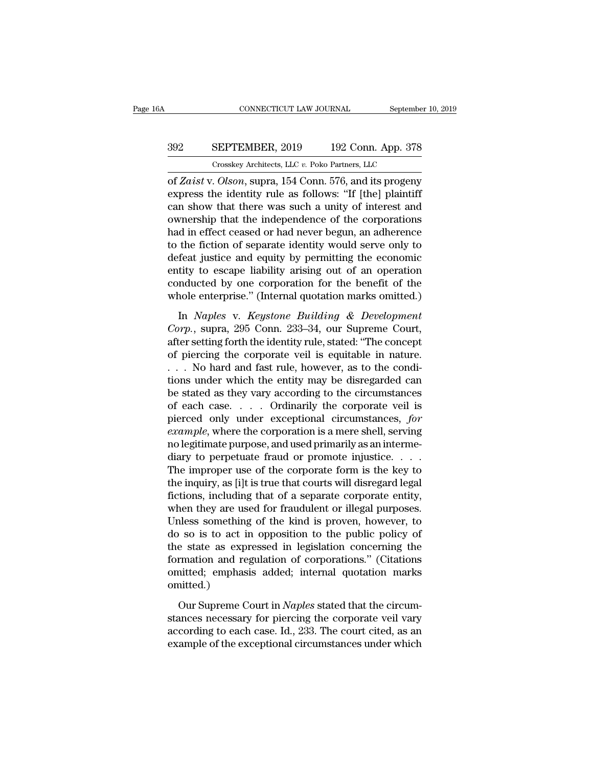## CONNECTICUT LAW JOURNAL September 10, 2019<br>392 SEPTEMBER, 2019 192 Conn. App. 378<br>Crosskey Architects, LLC v. Poko Partners, LLC CONNECTICUT LAW JOURNAL September<br>
SEPTEMBER, 2019 192 Conn. App. 378<br>
Crosskey Architects, LLC *v.* Poko Partners, LLC<br>
Olson. supra 154 Conn. 576 and its progeny

of *Zaist* v. *Olson*, supra, 154 Conn. 576, and its progeny SEPTEMBER, 2019 192 Conn. App. 378<br>
Crosskey Architects, LLC v. Poko Partners, LLC<br>
of *Zaist* v. *Olson*, supra, 154 Conn. 576, and its progeny<br>
express the identity rule as follows: "If [the] plaintiff<br>
can show that the SEPTEMBER, 2019 192 Conn. App. 378<br>
Crosskey Architects, LLC v. Poko Partners, LLC<br>
of Zaist v. Olson, supra, 154 Conn. 576, and its progeny<br>
express the identity rule as follows: "If [the] plaintiff<br>
can show that there **SEPTEMBER, 2019** 192 Conn. App. 378<br>
Crosskey Architects, LLC  $v$ . Poko Partners, LLC<br>
of *Zaist* v. *Olson*, supra, 154 Conn. 576, and its progeny<br>
express the identity rule as follows: "If [the] plaintiff<br>
can show tha Crosskey Architects, LLC  $v$ . Poko Partners, LLC<br>
of *Zaist* v. *Olson*, supra, 154 Conn. 576, and its progeny<br>
express the identity rule as follows: "If [the] plaintiff<br>
can show that there was such a unity of interest a Crosskey Archuects, LLC v. Poko Partners, LLC<br>
of Zaist v. Olson, supra, 154 Conn. 576, and its progeny<br>
express the identity rule as follows: "If [the] plaintiff<br>
can show that there was such a unity of interest and<br>
own of Zaist v. Olson, supra, 154 Conn. 576, and its progeny<br>express the identity rule as follows: "If [the] plaintiff<br>can show that there was such a unity of interest and<br>ownership that the independence of the corporations<br>ha express the identity rule as follows: "If [the] plaintiff<br>can show that there was such a unity of interest and<br>ownership that the independence of the corporations<br>had in effect ceased or had never begun, an adherence<br>to th can show that there was such a unity of interest and<br>ownership that the independence of the corporations<br>had in effect ceased or had never begun, an adherence<br>to the fiction of separate identity would serve only to<br>defeat ownership that the independence of the corporations<br>had in effect ceased or had never begun, an adherence<br>to the fiction of separate identity would serve only to<br>defeat justice and equity by permitting the economic<br>entity In the fiction of separate identity would serve only to<br>feat justice and equity by permitting the economic<br>tity to escape liability arising out of an operation<br>mducted by one corporation for the benefit of the<br>nole enterpr defeat justice and equity by permitting the economic<br>entity to escape liability arising out of an operation<br>conducted by one corporation for the benefit of the<br>whole enterprise." (Internal quotation marks omitted.)<br>In *Nap* 

entity to escape liability arising out of an operation<br>conducted by one corporation for the benefit of the<br>whole enterprise." (Internal quotation marks omitted.)<br>In *Naples* v. *Keystone Building* & *Development*<br>*Corp.*, conducted by one corporation for the benefit of the<br>whole enterprise." (Internal quotation marks omitted.)<br>In *Naples* v. *Keystone Building* & *Development*<br>Corp., supra, 295 Conn. 233–34, our Supreme Court,<br>after setting whole enterprise." (Internal quotation marks omitted.)<br>
In *Naples* v. *Keystone Building* & *Development*<br> *Corp.*, supra, 295 Conn. 233–34, our Supreme Court,<br>
after setting forth the identity rule, stated: "The concept In *Naples* v. *Keystone Building* & *Development*<br>Corp., supra, 295 Conn. 233–34, our Supreme Court,<br>after setting forth the identity rule, stated: "The concept<br>of piercing the corporate veil is equitable in nature.<br>... In *Naples* v. *Keystone Building* & *Development*<br>Corp., supra, 295 Conn. 233–34, our Supreme Court,<br>after setting forth the identity rule, stated: "The concept<br>of piercing the corporate veil is equitable in nature.<br>... Corp., supra, 295 Conn. 233–34, our Supreme Court,<br>after setting forth the identity rule, stated: "The concept<br>of piercing the corporate veil is equitable in nature.<br> $\ldots$  No hard and fast rule, however, as to the condi-<br> after setting forth the identity rule, stated: "The concept<br>of piercing the corporate veil is equitable in nature.<br> $\ldots$  No hard and fast rule, however, as to the condi-<br>tions under which the entity may be disregarded can of piercing the corporate veil is equitable in nature.<br>
... No hard and fast rule, however, as to the condi-<br>
tions under which the entity may be disregarded can<br>
be stated as they vary according to the circumstances<br>
of e . . . No hard and fast rule, however, as to the conditions under which the entity may be disregarded can be stated as they vary according to the circumstances of each case. . . . Ordinarily the corporate veil is pierced o tions under which the entity may be disregarded can<br>be stated as they vary according to the circumstances<br>of each case. . . . Ordinarily the corporate veil is<br>pierced only under exceptional circumstances, for<br>example, whe be stated as they vary according to the circumstances<br>of each case. . . . Ordinarily the corporate veil is<br>pierced only under exceptional circumstances, for<br>example, where the corporation is a mere shell, serving<br>no legit of each case. . . . . Ordinarily the corporate veil is<br>pierced only under exceptional circumstances, *for*<br>example, where the corporation is a mere shell, serving<br>no legitimate purpose, and used primarily as an interme-<br>d pierced only under exceptional circumstances, for example, where the corporation is a mere shell, serving no legitimate purpose, and used primarily as an intermediary to perpetuate fraud or promote injustice.  $\dots$  The imp example, where the corporation is a mere shell, serving<br>no legitimate purpose, and used primarily as an interme-<br>diary to perpetuate fraud or promote injustice. . . . .<br>The improper use of the corporate form is the key to<br> no legitimate purpose, and used primarily as an intermediary to perpetuate fraud or promote injustice.  $\ldots$ .<br>The improper use of the corporate form is the key to<br>the inquiry, as [i]t is true that courts will disregard le diary to perpetuate fraud or promote injustice.  $\dots$ <br>The improper use of the corporate form is the key to<br>the inquiry, as [i]t is true that courts will disregard legal<br>fictions, including that of a separate corporate enti The improper use of the corporate form is the key to<br>the inquiry, as [i]t is true that courts will disregard legal<br>fictions, including that of a separate corporate entity,<br>when they are used for fraudulent or illegal purpo the inquiry, as [i]t is true that courts will disregard legal<br>fictions, including that of a separate corporate entity,<br>when they are used for fraudulent or illegal purposes.<br>Unless something of the kind is proven, however, fictions, including that of a separate corporate entity,<br>when they are used for fraudulent or illegal purposes.<br>Unless something of the kind is proven, however, to<br>do so is to act in opposition to the public policy of<br>the omitted.) our Supreme Court in *Naples* stated that the circum-<br>
Superior state as expressed in legislation concerning the<br>
Franciscon and regulation of corporations." (Citations<br>
nitted; emphasis added; internal quotation marks<br>
ni the state as expressed in legislation concerning the<br>formation and regulation of corporations." (Citations<br>omitted, emphasis added; internal quotation marks<br>omitted.)<br>Our Supreme Court in *Naples* stated that the circum-<br>s

formation and regulation of corporations." (Citations<br>omitted; emphasis added; internal quotation marks<br>omitted.)<br>Our Supreme Court in *Naples* stated that the circum-<br>stances necessary for piercing the corporate veil vary example of the exceptional circumstances under which contracts on the exceptional circumstances necessary for piercing the corporate veil vary according to each case. Id., 233. The court cited, as an example of the excepti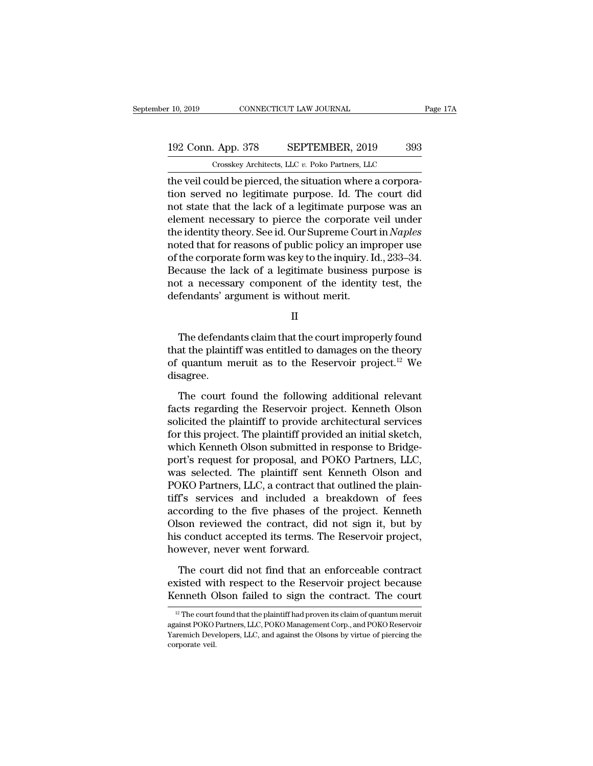## 10, 2019 CONNECTICUT LAW JOURNAL Page 17A<br>192 Conn. App. 378 SEPTEMBER, 2019 393<br>Crosskey Architects, LLC v. Poko Partners, LLC Crosskey Architects, LLC *v.* Poko Partners, LLC

the veil connective veil connective veil connection.<br>
The veil could be pierced, the situation where a corpora-<br>
the veil could be pierced, the situation where a corpora-<br>
tion served no legitimate purpose. Id. The court d 192 Conn. App. 378 SEPTEMBER, 2019 393<br>
Crosskey Architects, LLC v. Poko Partners, LLC<br>
the veil could be pierced, the situation where a corpora-<br>
tion served no legitimate purpose. Id. The court did<br>
not state that the la 192 Conn. App. 378 SEPTEMBER, 2019 393<br>
Crosskey Architects, LLC v. Poko Partners, LLC<br>
the veil could be pierced, the situation where a corpora-<br>
tion served no legitimate purpose. Id. The court did<br>
not state that the l 192 Conn. App. 378 SEPTEMBER, 2019 393<br>
Crosskey Architects, LLC  $v$ . Poko Partners, LLC<br>
the veil could be pierced, the situation where a corpora-<br>
tion served no legitimate purpose. Id. The court did<br>
not state that the Crosskey Architects, LLC v. Poko Partners, LLC<br>the veil could be pierced, the situation where a corpora-<br>tion served no legitimate purpose. Id. The court did<br>not state that the lack of a legitimate purpose was an<br>element n Crosskey Architects, ELC  $v$ . Poko Partners, ELC<br>the veil could be pierced, the situation where a corpora-<br>tion served no legitimate purpose. Id. The court did<br>not state that the lack of a legitimate purpose was an<br>elemen the veil could be pierced, the situation where a corporation served no legitimate purpose. Id. The court did<br>not state that the lack of a legitimate purpose was an<br>element necessary to pierce the corporate veil under<br>the i tion served no legitimate purpose. Id. The court did<br>not state that the lack of a legitimate purpose was an<br>element necessary to pierce the corporate veil under<br>the identity theory. See id. Our Supreme Court in *Naples*<br>n not state that the lack of a legitimate purpose was an element necessary to pierce the corporate veil under the identity theory. See id. Our Supreme Court in *Naples* noted that for reasons of public policy an improper use element necessary to pierce the corporate<br>the identity theory. See id. Our Supreme Cour<br>noted that for reasons of public policy an imp<br>of the corporate form was key to the inquiry. I<br>Because the lack of a legitimate busine the corporate form was key to the inquiry. Id., 233–34.<br>
ecause the lack of a legitimate business purpose is<br>
it a necessary component of the identity test, the<br>
fendants' argument is without merit.<br>
II<br>
The defendants cl

II

because the fack of a feglumate business purpose is<br>not a necessary component of the identity test, the<br>defendants' argument is without merit.<br> $II$ <br>The defendants claim that the court improperly found<br>that the plaintiff wa not a necessary component of the identity test, the<br>defendants' argument is without merit.<br> $II$ <br>The defendants claim that the court improperly found<br>that the plaintiff was entitled to damages on the theory<br>of quantum merui disagree. II<br>The defendants claim that the court improperly found<br>at the plaintiff was entitled to damages on the theory<br>quantum meruit as to the Reservoir project.<sup>12</sup> We<br>sagree.<br>The court found the following additional relevant<br>ct The defendants claim that the court improperly found<br>that the plaintiff was entitled to damages on the theory<br>of quantum meruit as to the Reservoir project.<sup>12</sup> We<br>disagree.<br>The court found the following additional relevan

that the plaintiff was entitled to damages on the theory<br>of quantum meruit as to the Reservoir project.<sup>12</sup> We<br>disagree.<br>The court found the following additional relevant<br>facts regarding the Reservoir project. Kenneth Ols of quantum meruit as to the Reservoir project.<sup>12</sup> We<br>disagree.<br>The court found the following additional relevant<br>facts regarding the Reservoir project. Kenneth Olson<br>solicited the plaintiff to provide architectural servi disagree.<br>The court found the following additional relevant<br>facts regarding the Reservoir project. Kenneth Olson<br>solicited the plaintiff to provide architectural services<br>for this project. The plaintiff provided an initial The court found the following additional relevant<br>facts regarding the Reservoir project. Kenneth Olson<br>solicited the plaintiff to provide architectural services<br>for this project. The plaintiff provided an initial sketch,<br>w The court found the following additional relevant<br>facts regarding the Reservoir project. Kenneth Olson<br>solicited the plaintiff to provide architectural services<br>for this project. The plaintiff provided an initial sketch,<br>w facts regarding the Reservoir project. Kenneth Olson<br>solicited the plaintiff to provide architectural services<br>for this project. The plaintiff provided an initial sketch,<br>which Kenneth Olson submitted in response to Bridge solicited the plaintiff to provide architectural services<br>for this project. The plaintiff provided an initial sketch,<br>which Kenneth Olson submitted in response to Bridge-<br>port's request for proposal, and POKO Partners, LLC for this project. The plaintiff provided an initial sketch,<br>which Kenneth Olson submitted in response to Bridge-<br>port's request for proposal, and POKO Partners, LLC,<br>was selected. The plaintiff sent Kenneth Olson and<br>POKO which Kenneth Olson submitted in response to Bridge-<br>port's request for proposal, and POKO Partners, LLC,<br>was selected. The plaintiff sent Kenneth Olson and<br>POKO Partners, LLC, a contract that outlined the plain-<br>tiff's se port's request for proposal, and POKO Partners, LLC, was selected. The plaintiff sent Kenneth Olson and POKO Partners, LLC, a contract that outlined the plaintiff's services and included a breakdown of fees according to th was selected. The plaintiff sent K<br>POKO Partners, LLC, a contract that<br>tiff's services and included a bi<br>according to the five phases of th<br>Olson reviewed the contract, did<br>his conduct accepted its terms. The<br>however, neve It is services and included a breakdown of fees<br>cording to the five phases of the project. Kenneth<br>son reviewed the contract, did not sign it, but by<br>s conduct accepted its terms. The Reservoir project,<br>wever, never went f according to the five phases of the project. Kenneth<br>Olson reviewed the contract, did not sign it, but by<br>his conduct accepted its terms. The Reservoir project,<br>however, never went forward.<br>The court did not find that an e Olson reviewed the contract, did not sign it, but by<br>his conduct accepted its terms. The Reservoir project,<br>however, never went forward.<br>The court did not find that an enforceable contract<br>existed with respect to the Rese

The court did not find that an enforceable contract<br>xisted with respect to the Reservoir project because<br>enneth Olson failed to sign the contract. The court<br><sup>12</sup> The court found that the plaintiff had proven its claim of q The court did not find that an enforceable contract<br>existed with respect to the Reservoir project because<br>Kenneth Olson failed to sign the contract. The court<br> $\frac{12}{12}$  The court found that the plaintiff had proven its

existed with respect to the Reservoir project because<br>Kenneth Olson failed to sign the contract. The court<br><sup>12</sup> The court found that the plaintiff had proven its claim of quantum meruit<br>against POKO Partners, LLC, POKO Man Example<br>
Expediance veil.<br>
Expediance veil.<br>
Expediance veil.<br>
Naremich Devel.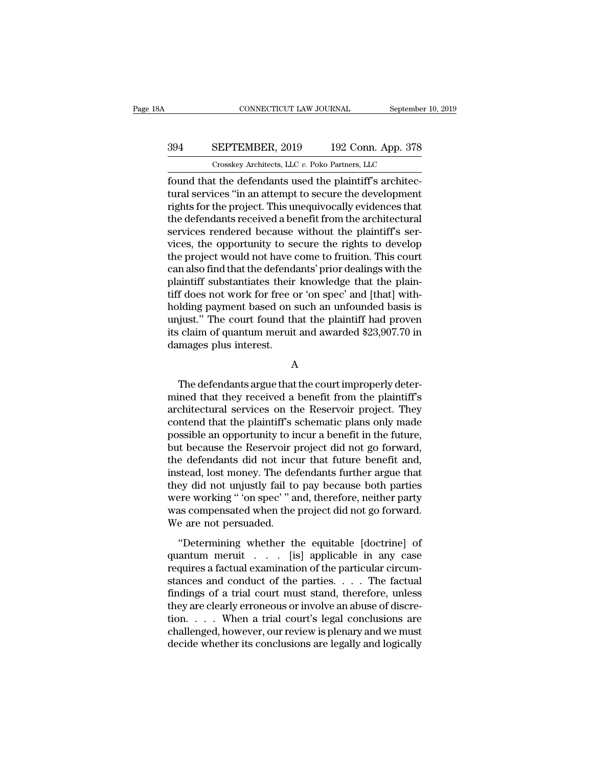## CONNECTICUT LAW JOURNAL September 10, 2019<br>394 SEPTEMBER, 2019 192 Conn. App. 378<br>Crosskey Architects, LLC v. Poko Partners, LLC CONNECTICUT LAW JOURNAL September<br>
SEPTEMBER, 2019 192 Conn. App. 378<br>
Crosskey Architects, LLC *v.* Poko Partners, LLC<br>
t the defendants used the plaintiff's architec-

Found that the defendants used the plaintiff's architectural services<br>
found that the defendants used the plaintiff's architec-<br>
found that the defendants used the plaintiff's architec-<br>
tural services "in an attempt to se SEPTEMBER, 2019 192 Conn. App. 378<br>
Crosskey Architects, LLC  $v$ . Poko Partners, LLC<br>
found that the defendants used the plaintiff's architectural services "in an attempt to secure the development<br>
rights for the project. SEPTEMBER, 2019 192 Conn. App. 378<br>
Crosskey Architects, LLC  $v$ . Poko Partners, LLC<br>
found that the defendants used the plaintiff's architec-<br>
tural services "in an attempt to secure the development<br>
rights for the proje SEPTEMBER, 2019 192 Conn. App. 378<br>  $\frac{1}{2}$  Crosskey Architects, LLC v. Poko Partners, LLC<br>
found that the defendants used the plaintiff's architec-<br>
tural services "in an attempt to secure the development<br>
rights for t Crosskey Architects, LLC  $v$ . Poko Partners, LLC<br>found that the defendants used the plaintiff's architec-<br>tural services "in an attempt to secure the development<br>rights for the project. This unequivocally evidences that<br>t Crosskey Architects, LLC  $v$ . Poko Partners, LLC<br>found that the defendants used the plaintiff's architec-<br>tural services "in an attempt to secure the development<br>rights for the project. This unequivocally evidences that<br>t found that the defendants used the plaintiff's architectural services "in an attempt to secure the development<br>rights for the project. This unequivocally evidences that<br>the defendants received a benefit from the architectu tural services "in an attempt to secure the development<br>rights for the project. This unequivocally evidences that<br>the defendants received a benefit from the architectural<br>services rendered because without the plaintiff's s rights for the project. This unequivocally evidences that<br>the defendants received a benefit from the architectural<br>services rendered because without the plaintiff's ser-<br>vices, the opportunity to secure the rights to devel the defendants received a benefit from the architectural<br>services rendered because without the plaintiff's services, the opportunity to secure the rights to develop<br>the project would not have come to fruition. This court<br>c services rendered because without the plaintiff's services, the opportunity to secure the rights to develop<br>the project would not have come to fruition. This court<br>can also find that the defendants' prior dealings with the vices, the opportunity to secure the rights to develop<br>the project would not have come to fruition. This court<br>can also find that the defendants' prior dealings with the<br>plaintiff substantiates their knowledge that the pla the project would not have come to fruition. This court<br>can also find that the defendants' prior dealings with the<br>plaintiff substantiates their knowledge that the plain-<br>tiff does not work for free or 'on spec' and [that] can also find that the defends<br>plaintiff substantiates their<br>tiff does not work for free c<br>holding payment based on s<br>unjust." The court found th<br>its claim of quantum meruit<br>damages plus interest. Iding payment based on such an unfounded basis is<br>just." The court found that the plaintiff had proven<br>claim of quantum meruit and awarded \$23,907.70 in<br>mages plus interest.<br>A<br>The defendants argue that the court improperly

A

unjust." The court found that the plaintiff had proven<br>its claim of quantum meruit and awarded \$23,907.70 in<br>damages plus interest.<br>A<br>The defendants argue that the court improperly deter-<br>mined that they received a benefit its claim of quantum meruit and awarded \$23,907.70 in<br>damages plus interest.<br>A<br>The defendants argue that the court improperly deter-<br>mined that they received a benefit from the plaintiff's<br>architectural services on the Res damages plus interest.<br>
A<br>
The defendants argue that the court improperly deter-<br>
mined that they received a benefit from the plaintiff's<br>
architectural services on the Reservoir project. They<br>
contend that the plaintiff's A<br>
The defendants argue that the court improperly deter-<br>
mined that they received a benefit from the plaintiff's<br>
architectural services on the Reservoir project. They<br>
contend that the plaintiff's schematic plans only ma The defendants argue that the court improperly deter-<br>mined that they received a benefit from the plaintiff's<br>architectural services on the Reservoir project. They<br>contend that the plaintiff's schematic plans only made<br>pos The defendants argue that the court improperly deter-<br>mined that they received a benefit from the plaintiff's<br>architectural services on the Reservoir project. They<br>contend that the plaintiff's schematic plans only made<br>pos mined that they received a benefit from the plaintiff's<br>architectural services on the Reservoir project. They<br>contend that the plaintiff's schematic plans only made<br>possible an opportunity to incur a benefit in the future, architectural services on the Reservoir project. They<br>contend that the plaintiff's schematic plans only made<br>possible an opportunity to incur a benefit in the future,<br>but because the Reservoir project did not go forward,<br>t contend that the plaintiff's schematic plans only made<br>possible an opportunity to incur a benefit in the future,<br>but because the Reservoir project did not go forward,<br>the defendants did not incur that future benefit and,<br>i possible an opportunity to incur a benefit in the future,<br>but because the Reservoir project did not go forward,<br>the defendants did not incur that future benefit and,<br>instead, lost money. The defendants further argue that<br>t but because the Reservoir p<br>the defendants did not incu<br>instead, lost money. The def<br>they did not unjustly fail to<br>were working "'on spec'" a<br>was compensated when the<br>We are not persuaded.<br>"Determining whether th Stead, lost money. The defendants further argue that<br>ey did not unjustly fail to pay because both parties<br>ere working "'on spec'" and, therefore, neither party<br>as compensated when the project did not go forward.<br>e are not mercia, its money. The detendants rander argue and<br>they did not unjustly fail to pay because both parties<br>were working " 'on spec' " and, therefore, neither party<br>was compensated when the project did not go forward.<br>We are

requires a factual examination of the particular circum-<br>was compensated when the project did not go forward.<br>We are not persuaded.<br>"Determining whether the equitable [doctrine] of<br>quantum-meruit . . . . [is] applicable in was compensated when the project did not go forward.<br>We are not persuaded.<br>"Determining whether the equitable [doctrine] of<br>quantum meruit . . . . [is] applicable in any case<br>requires a factual examination of the particula We are not persuaded.<br>
"Determining whether the equitable [doctrine] of<br>
quantum meruit . . . . [is] applicable in any case<br>
requires a factual examination of the particular circum-<br>
stances and conduct of the parties. . "Determining whether the equitable [doctrine] of<br>quantum meruit . . . . [is] applicable in any case<br>requires a factual examination of the particular circum-<br>stances and conduct of the parties. . . . The factual<br>findings o "Determining whether the equitable [doctrine] of<br>quantum meruit . . . . [is] applicable in any case<br>requires a factual examination of the particular circum-<br>stances and conduct of the parties. . . . The factual<br>findings o quantum meruit . . . . [is] applicable in any case<br>requires a factual examination of the particular circum-<br>stances and conduct of the parties. . . . The factual<br>findings of a trial court must stand, therefore, unless<br>they requires a factual examination of the particular circum-<br>stances and conduct of the parties. . . . The factual<br>findings of a trial court must stand, therefore, unless<br>they are clearly erroneous or involve an abuse of discr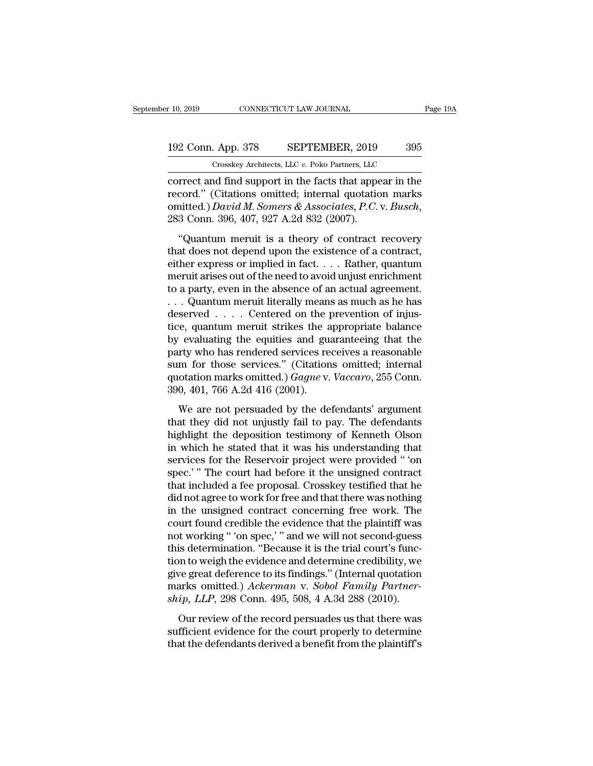## 10, 2019 CONNECTICUT LAW JOURNAL Page 19A<br>192 Conn. App. 378 SEPTEMBER, 2019 395<br>Crosskey Architects, LLC v. Poko Partners, LLC CONNECTICUT LAW JOURNAL<br>
. App. 378 SEPTEMBER, 2019 395<br>
Crosskey Architects, LLC *v.* Poko Partners, LLC<br>
nd find support in the facts that appear in the

connecticut and support  $\frac{192 \text{ Conn.} \text{ App. 378}}{\text{Crosskey Architect.} \text{ LLC } v. \text{ Poko Partners.} \text{ LLC}}$ <br>
correct and find support in the facts that appear in the record." (Citations omitted; internal quotation marks omitted ) David M. Somers & Ass 192 Conn. App. 378 SEPTEMBER, 2019 395<br>
Crosskey Architects, LLC v. Poko Partners, LLC<br>
correct and find support in the facts that appear in the<br>
record.'' (Citations omitted; internal quotation marks<br>
omitted.) David M. S 192 Conn. App. 378 SEPTEMBER, 2019 395<br>
Crosskey Architects, LLC v. Poko Partners, LLC<br>
correct and find support in the facts that appear in the<br>
record." (Citations omitted; internal quotation marks<br>
omitted.) *David M. S* Crosskey Architects, LLC  $v$ . Poko Partners, LLC<br>
rrect and find support in the facts that appear in the<br>
cord." (Citations omitted; internal quotation marks<br>
nitted.) *David M. Somers & Associates*, *P.C.* v. *Busch*,<br>
3 correct and find support in the facts that appear in the record." (Citations omitted; internal quotation marks omitted.) *David M. Somers & Associates, P.C.* v. *Busch*, 283 Conn. 396, 407, 927 A.2d 832 (2007).<br>"Quantum m

either and that support in the rates that appear in the record." (Citations omitted; internal quotation marks omitted.) *David M. Somers & Associates, P.C.* v. *Busch*, 283 Conn. 396, 407, 927 A.2d 832 (2007).<br>"Quantum me omitted.) David M. Somers & Associates, P.C. v. Busch,<br>283 Conn. 396, 407, 927 A.2d 832 (2007).<br>"Quantum meruit is a theory of contract recovery<br>that does not depend upon the existence of a contract,<br>either express or imp 283 Conn. 396, 407, 927 A.2d 832 (2007).<br>
"Quantum meruit is a theory of contract recovery<br>
that does not depend upon the existence of a contract,<br>
either express or implied in fact.... Rather, quantum<br>
meruit arises out "Quantum meruit is a theory of contract recovery<br>that does not depend upon the existence of a contract,<br>either express or implied in fact.... Rather, quantum<br>meruit arises out of the need to avoid unjust enrichment<br>to a p "Quantum meruit is a theory of contract recovery<br>that does not depend upon the existence of a contract,<br>either express or implied in fact.... Rather, quantum<br>meruit arises out of the need to avoid unjust enrichment<br>to a p that does not depend upon the existence of a contract,<br>either express or implied in fact. . . . Rather, quantum<br>meruit arises out of the need to avoid unjust enrichment<br>to a party, even in the absence of an actual agreeme either express or implied in fact. . . . Rather, quantum<br>meruit arises out of the need to avoid unjust enrichment<br>to a party, even in the absence of an actual agreement.<br>. . . Quantum meruit literally means as much as he meruit arises out of the need to avoid unjust enrichment<br>to a party, even in the absence of an actual agreement.<br>... Quantum meruit literally means as much as he has<br>deserved .... Centered on the prevention of injus-<br>tice to a party, even in the absence of an actual agreement.<br>
... Quantum meruit literally means as much as he has<br>
deserved .... Centered on the prevention of injus-<br>
tice, quantum meruit strikes the appropriate balance<br>
by e quantum meruit literally means as much as he has<br>deserved . . . . Centered on the prevention of injus-<br>tice, quantum meruit strikes the appropriate balance<br>by evaluating the equities and guaranteeing that the<br>party who has deserved . . . . Centered on the price, quantum meruit strikes the a<br>by evaluating the equities and guar<br>party who has rendered services re<br>sum for those services." (Citation<br>quotation marks omitted.) *Gagne* v.<br>390, 401, Evaluating the equities and guaranteeing that the<br>rty who has rendered services receives a reasonable<br>m for those services." (Citations omitted; internal<br>otation marks omitted.) *Gagne* v. *Vaccaro*, 255 Conn.<br>0, 401, 766 by columning the equates and guaranteeing that the<br>party who has rendered services receives a reasonable<br>sum for those services." (Citations omitted; internal<br>quotation marks omitted.) *Gagne* v. *Vaccaro*, 255 Conn.<br>390,

party who has rendered services receives a reasonaste<br>sum for those services." (Citations omitted; internal<br>quotation marks omitted.) *Gagne* v. *Vaccaro*, 255 Conn.<br>390, 401, 766 A.2d 416 (2001).<br>We are not persuaded by t guotation marks omitted.) *Gagne* v. *Vaccaro*, 255 Conn.<br>390, 401, 766 A.2d 416 (2001).<br>We are not persuaded by the defendants' argument<br>that they did not unjustly fail to pay. The defendants<br>highlight the deposition tes services for the Reservoir project were provided that they did not unjustly fail to pay. The defendants<br>highlight the deposition testimony of Kenneth Olson<br>in which he stated that it was his understanding that<br>services for We are not persuaded by the defendants' argument<br>that they did not unjustly fail to pay. The defendants<br>highlight the deposition testimony of Kenneth Olson<br>in which he stated that it was his understanding that<br>services for We are not persuaded by the defendants' argument<br>that they did not unjustly fail to pay. The defendants<br>highlight the deposition testimony of Kenneth Olson<br>in which he stated that it was his understanding that<br>services for that they did not unjustly fail to pay. The defendants<br>highlight the deposition testimony of Kenneth Olson<br>in which he stated that it was his understanding that<br>services for the Reservoir project were provided "'on<br>spec.'" highlight the deposition testimony of Kenneth Olson<br>in which he stated that it was his understanding that<br>services for the Reservoir project were provided "'on<br>spec.'" The court had before it the unsigned contract<br>that inc in which he stated that it was his understanding that<br>services for the Reservoir project were provided "'on<br>spec.'" The court had before it the unsigned contract<br>that included a fee proposal. Crosskey testified that he<br>did services for the Reservoir project were provided "'on<br>spec.'" The court had before it the unsigned contract<br>that included a fee proposal. Crosskey testified that he<br>did not agree to work for free and that there was nothing spec.'" The court had before it the unsigned contract<br>that included a fee proposal. Crosskey testified that he<br>did not agree to work for free and that there was nothing<br>in the unsigned contract concerning free work. The<br>co that included a fee proposal. Crosskey testified that he<br>did not agree to work for free and that there was nothing<br>in the unsigned contract concerning free work. The<br>court found credible the evidence that the plaintiff was did not agree to work for free and that there was nothing<br>in the unsigned contract concerning free work. The<br>court found credible the evidence that the plaintiff was<br>not working " 'on spec,' " and we will not second-guess<br> in the unsigned contract concerning free work. The<br>court found credible the evidence that the plaintiff was<br>not working "'on spec,'" and we will not second-guess<br>this determination. "Because it is the trial court's func-<br>t court found credible the evidence that the plaintiff was<br>not working "'on spec,'" and we will not second-guess<br>this determination. "Because it is the trial court's func-<br>tion to weigh the evidence and determine credibility is determination. "Because it is the trial court's func-<br>is determination. "Because it is the trial court's func-<br>we great deference to its findings." (Internal quotation<br>arks omitted.) Ackerman v. Sobol Family Partner-<br>ip and determination. Because it is the trial court's rane<br>tion to weigh the evidence and determine credibility, we<br>give great deference to its findings." (Internal quotation<br>marks omitted.) Ackerman v. Sobol Family Partner-<br> that the deference to its findings." (Internal quotation marks omitted.) *Ackerman v. Sobol Family Partnership, LLP*, 298 Conn. 495, 508, 4 A.3d 288 (2010). Our review of the record persuades us that there was sufficient e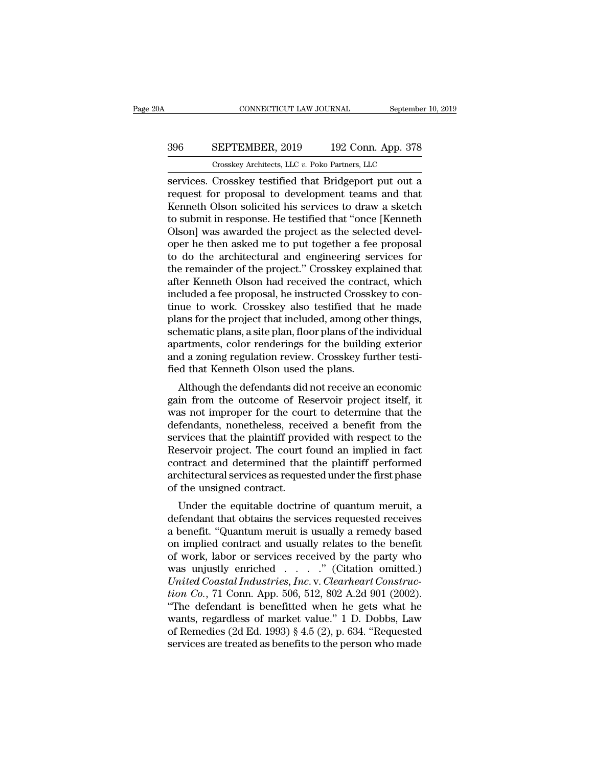## CONNECTICUT LAW JOURNAL September 10, 2019<br>396 SEPTEMBER, 2019 192 Conn. App. 378<br>Crosskey Architects, LLC v. Poko Partners, LLC CONNECTICUT LAW JOURNAL September<br>
SEPTEMBER, 2019 192 Conn. App. 378<br>
Crosskey Architects, LLC *v.* Poko Partners, LLC<br>
Crosskey testified that Bridgeport put out a

CONNECTICUT LAW JOURNAL September 10, 2019<br>
SEPTEMBER, 2019 192 Conn. App. 378<br>
Crosskey Architects, LLC v. Poko Partners, LLC<br>
Services. Crosskey testified that Bridgeport put out a<br>
request for proposal to development te FRAMER 2019 192 Conn. App. 378<br>
Crosskey Architects, LLC v. Poko Partners, LLC<br>
Services. Crosskey testified that Bridgeport put out a<br>
request for proposal to development teams and that<br>
Kenneth Olson solicited his servi SEPTEMBER, 2019 192 Conn. App. 378<br>
Crosskey Architects, LLC v. Poko Partners, LLC<br>
Services. Crosskey testified that Bridgeport put out a<br>
request for proposal to development teams and that<br>
Kenneth Olson solicited his s SO SEPTEMBER, 2019 192 Conn. App. 378<br>
Crosskey Architects, LLC  $v$ . Poko Partners, LLC<br>
services. Crosskey testified that Bridgeport put out a<br>
request for proposal to development teams and that<br>
Kenneth Olson solicited Crosskey Architects, LLC v. Poko Partners, LLC<br>Services. Crosskey testified that Bridgeport put out a<br>request for proposal to development teams and that<br>Kenneth Olson solicited his services to draw a sketch<br>to submit in re Crosskey Architects, LLC  $v$ . Poko Partners, LLC<br>services. Crosskey testified that Bridgeport put out a<br>request for proposal to development teams and that<br>Kenneth Olson solicited his services to draw a sketch<br>to submit in services. Crosskey testified that Bridgeport put out a<br>request for proposal to development teams and that<br>Kenneth Olson solicited his services to draw a sketch<br>to submit in response. He testified that "once [Kenneth<br>Olson] request for proposal to development teams and that<br>Kenneth Olson solicited his services to draw a sketch<br>to submit in response. He testified that "once [Kenneth<br>Olson] was awarded the project as the selected devel-<br>oper he Kenneth Olson solicited his services to draw a sketch<br>to submit in response. He testified that "once [Kenneth<br>Olson] was awarded the project as the selected devel-<br>oper he then asked me to put together a fee proposal<br>to do to submit in response. He testified that "once [Kenneth Olson] was awarded the project as the selected developer he then asked me to put together a fee proposal to do the architectural and engineering services for the rema Olson] was awarded the project as the selected devel-<br>oper he then asked me to put together a fee proposal<br>to do the architectural and engineering services for<br>the remainder of the project." Crosskey explained that<br>after K oper he then asked me to put together a fee proposal<br>to do the architectural and engineering services for<br>the remainder of the project." Crosskey explained that<br>after Kenneth Olson had received the contract, which<br>included to do the architectural and engineering services for<br>the remainder of the project." Crosskey explained that<br>after Kenneth Olson had received the contract, which<br>included a fee proposal, he instructed Crosskey to con-<br>tinue the remainder of the project." Crosskey explained that<br>after Kenneth Olson had received the contract, which<br>included a fee proposal, he instructed Crosskey to con-<br>tinue to work. Crosskey also testified that he made<br>plans after Kenneth Olson had received the contract, which<br>included a fee proposal, he instructed Crosskey to con-<br>tinue to work. Crosskey also testified that he made<br>plans for the project that included, among other things,<br>sche included a fee proposal, he instructed Crosske<br>tinue to work. Crosskey also testified that<br>plans for the project that included, among oth<br>schematic plans, a site plan, floor plans of the i<br>apartments, color renderings for The defendants did not receive an economic<br>ans for the project that included, among other things,<br>hematic plans, a site plan, floor plans of the individual<br>artments, color renderings for the building exterior<br>d a zoning re plans for the project that included, allong other things,<br>schematic plans, a site plan, floor plans of the individual<br>apartments, color renderings for the building exterior<br>and a zoning regulation review. Crosskey further

schematic plans, a site plant, noor plans of the mulvidual<br>apartments, color renderings for the building exterior<br>and a zoning regulation review. Crosskey further testi-<br>fied that Kenneth Olson used the plans.<br>Although the aparuments, color renderings for the bunding exterior<br>and a zoning regulation review. Crosskey further testi-<br>fied that Kenneth Olson used the plans.<br>Although the defendants did not receive an economic<br>gain from the outcom and a zoning regulation review. Crosskey further test-<br>fied that Kenneth Olson used the plans.<br>Although the defendants did not receive an economic<br>gain from the outcome of Reservoir project itself, it<br>was not improper for Reservoir project itself, it<br>although the defendants did not receive an economic<br>gain from the outcome of Reservoir project itself, it<br>was not improper for the court to determine that the<br>defendants, nonetheless, received Although the defendants did not receive an economic<br>gain from the outcome of Reservoir project itself, it<br>was not improper for the court to determine that the<br>defendants, nonetheless, received a benefit from the<br>services t gain from the outcome of Reservoir project itself, it<br>was not improper for the court to determine that the<br>defendants, nonetheless, received a benefit from the<br>services that the plaintiff provided with respect to the<br>Reser was not improper for the coundefendants, nonetheless, rece services that the plaintiff prov<br>Reservoir project. The court f<br>contract and determined that<br>architectural services as reques<br>of the unsigned contract.<br>Under the e relations, nonetheless, received a benefit from the<br>rvices that the plaintiff provided with respect to the<br>servoir project. The court found an implied in fact<br>ntract and determined that the plaintiff performed<br>chitectural services that the plaintin provided with respect to the<br>Reservoir project. The court found an implied in fact<br>contract and determined that the plaintiff performed<br>architectural services as requested under the first phase<br>o

reservoir project. The court found an implied in fact<br>contract and determined that the plaintiff performed<br>architectural services as requested under the first phase<br>of the unsigned contract.<br>Under the equitable doctrine of contract and determined that the plantiful performed<br>architectural services as requested under the first phase<br>of the unsigned contract.<br>Under the equitable doctrine of quantum meruit, a<br>defendant that obtains the services of the unsigned contract.<br>
Under the equitable doctrine of quantum meruit, a<br>
defendant that obtains the services requested receives<br>
a benefit. "Quantum meruit is usually a remedy based<br>
on implied contract and usually re Under the equitable doctrine of quantum meruit, a<br>defendant that obtains the services requested receives<br>a benefit. "Quantum meruit is usually a remedy based<br>on implied contract and usually relates to the benefit<br>of work, Under the equitable doctrine of quantum meruit, a<br>defendant that obtains the services requested receives<br>a benefit. "Quantum meruit is usually a remedy based<br>on implied contract and usually relates to the benefit<br>of work, defendant that obtains the services requested receives<br>a benefit. "Quantum meruit is usually a remedy based<br>on implied contract and usually relates to the benefit<br>of work, labor or services received by the party who<br>was un a benefit. "Quantum meruit is usually a remedy based<br>on implied contract and usually relates to the benefit<br>of work, labor or services received by the party who<br>was unjustly enriched . . . . . " (Citation omitted.)<br>*Unite* on implied contract and usually relates to the benefit<br>of work, labor or services received by the party who<br>was unjustly enriched  $\ldots$  ... ..." (Citation omitted.)<br>*United Coastal Industries, Inc.* v. *Clearheart Constru* of work, labor or services received by the party who<br>was unjustly enriched . . . . . " (Citation omitted.)<br>*United Coastal Industries, Inc.* v. *Clearheart Construc-<br>tion Co.*, 71 Conn. App. 506, 512, 802 A.2d 901 (2002). was unjustly enriched  $\ldots$  ." (Citation omitted.)<br>
United Coastal Industries, Inc. v. Clearheart Construc-<br>
tion Co., 71 Conn. App. 506, 512, 802 A.2d 901 (2002).<br>
"The defendant is benefitted when he gets what he<br>
wants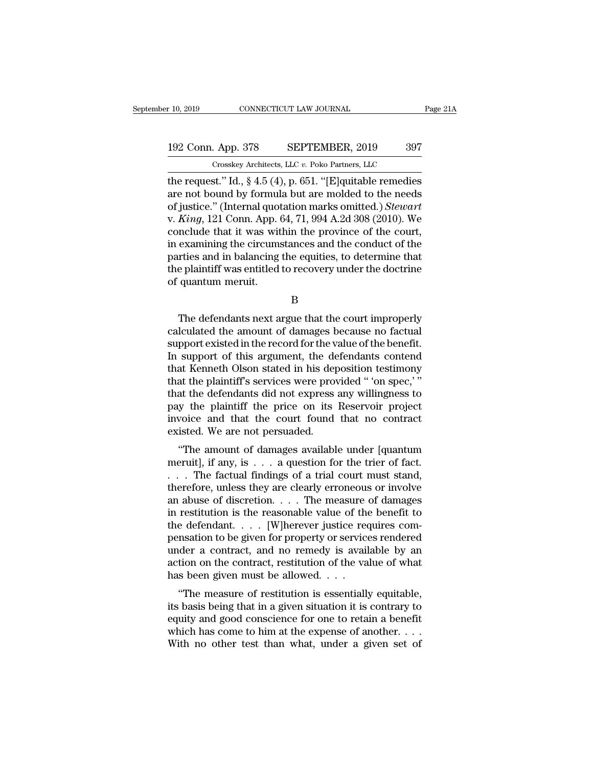## 10, 2019 CONNECTICUT LAW JOURNAL Page 21A<br>192 Conn. App. 378 SEPTEMBER, 2019 397<br>Crosskey Architects, LLC v. Poko Partners, LLC CONNECTICUT LAW JOURNAL<br>
. App. 378 SEPTEMBER, 2019 397<br>
Crosskey Architects, LLC *v.* Poko Partners, LLC<br>
st " Id § 4 5 (4) p 651 "[Elquitable remedies

the request.'' Id., § 4.5 (4), p. 651. ''[E]quitable remedies<br>
the request.'' Id., § 4.5 (4), p. 651. ''[E]quitable remedies<br>
are not bound by formula but are molded to the needs<br>
of justice.'' (Internal quotation marks e 192 Conn. App. 378 SEPTEMBER, 2019 397<br>
Crosskey Architects, LLC v. Poko Partners, LLC<br>
the request." Id., § 4.5 (4), p. 651. "[E]quitable remedies<br>
are not bound by formula but are molded to the needs<br>
of justice." (Inte 192 Conn. App. 378 SEPTEMBER, 2019 397<br>
Crosskey Architects, LLC v. Poko Partners, LLC<br>
the request.'' Id., § 4.5 (4), p. 651. "[E]quitable remedies<br>
are not bound by formula but are molded to the needs<br>
of justice.'' (Int 192 Conn. App. 378 SEPTEMBER, 2019 397<br>
Crosskey Architects, LLC v. Poko Partners, LLC<br>
the request." Id., § 4.5 (4), p. 651. "[E]quitable remedies<br>
are not bound by formula but are molded to the needs<br>
of justice." (Inter Crosskey Architects, LLC v. Poko Partners, LLC<br>the request." Id., § 4.5 (4), p. 651. "[E]quitable remedies<br>are not bound by formula but are molded to the needs<br>of justice." (Internal quotation marks omitted.) *Stewart*<br>v. Crosskey Architects, LLC v. Poko Partners, LLC<br>the request." Id., § 4.5 (4), p. 651. "[E]quitable remedies<br>are not bound by formula but are molded to the needs<br>of justice." (Internal quotation marks omitted.) Stewart<br>v. K the request." Id., § 4.5 (4), p. 651. "[E]quitable remedies<br>are not bound by formula but are molded to the needs<br>of justice." (Internal quotation marks omitted.) *Stewart*<br>v. *King*, 121 Conn. App. 64, 71, 994 A.2d 308 (2 are not bound by formula but are molded to the needs<br>of justice." (Internal quotation marks omitted.) Stewart<br>v. King, 121 Conn. App. 64, 71, 994 A.2d 308 (2010). We<br>conclude that it was within the province of the court,<br>i of justice." (Internal quot<br>v. *King*, 121 Conn. App. (conclude that it was wit<br>in examining the circums<br>parties and in balancing<br>the plaintiff was entitled<br>of quantum meruit. examining the circumstances and the conduct of the<br>rties and in balancing the equities, to determine that<br>e plaintiff was entitled to recovery under the doctrine<br>quantum meruit.<br>B<br>The defendants next argue that the court i

B

parties and in balancing the equities, to determine that<br>the plaintiff was entitled to recovery under the doctrine<br>of quantum meruit.<br>B<br>The defendants next argue that the court improperly<br>calculated the amount of damages b the plaintiff was entitled to recovery under the doctrine<br>of quantum meruit.<br>B<br>The defendants next argue that the court improperly<br>calculated the amount of damages because no factual<br>support existed in the record for the v B<br>
B<br>
The defendants next argue that the court improperly<br>
calculated the amount of damages because no factual<br>
support existed in the record for the value of the benefit.<br>
In support of this argument, the defendants conte B<br>
The defendants next argue that the court improperly<br>
calculated the amount of damages because no factual<br>
support existed in the record for the value of the benefit.<br>
In support of this argument, the defendants contend<br> The defendants next argue that the court improperly<br>calculated the amount of damages because no factual<br>support existed in the record for the value of the benefit.<br>In support of this argument, the defendants contend<br>that K The defendants next argue that the court improperly<br>calculated the amount of damages because no factual<br>support existed in the record for the value of the benefit.<br>In support of this argument, the defendants contend<br>that K calculated the amount of damages because no factual<br>support existed in the record for the value of the benefit.<br>In support of this argument, the defendants contend<br>that Kenneth Olson stated in his deposition testimony<br>that support existed in the record for the value of the benefit.<br>In support of this argument, the defendants contend<br>that Kenneth Olson stated in his deposition testimony<br>that the plaintiff's services were provided "'on spec,'" In support of this argument, the defthat Kenneth Olson stated in his depthat the plaintiff's services were provers that the defendants did not express pay the plaintiff the price on its invoice and that the court found exi at Refluent Olson stated in his deposition testintony<br>at the plaintiff's services were provided " 'on spec,' "<br>at the defendants did not express any willingness to<br>y the plaintiff the price on its Reservoir project<br>voice a mat the plaintin's services were provided on spec,<br>that the defendants did not express any willingness to<br>pay the plaintiff the price on its Reservoir project<br>invoice and that the court found that no contract<br>existed. We a

that the defendants during express any whingness to<br>pay the plaintiff the price on its Reservoir project<br>invoice and that the court found that no contract<br>existed. We are not persuaded.<br>"The amount of damages available un pay the plant in the price of its Reservoir project<br>invoice and that the court found that no contract<br>existed. We are not persuaded.<br>"The amount of damages available under [quantum<br>meruit], if any, is  $\dots$  a question for mvoice and that the court found that no contract<br>existed. We are not persuaded.<br>"The amount of damages available under [quantum<br>meruit], if any, is  $\dots$  a question for the trier of fact.<br> $\dots$  The factual findings of a tri "The amount of damages available under [quantum<br>meruit], if any, is  $\dots$  a question for the trier of fact.<br> $\dots$  The factual findings of a trial court must stand,<br>therefore, unless they are clearly erroneous or involve<br>an "The amount of damages available under [quantum<br>meruit], if any, is  $\dots$  a question for the trier of fact.<br>... The factual findings of a trial court must stand,<br>therefore, unless they are clearly erroneous or involve<br>an a meruit], if any, is  $\dots$  a question for the trier of fact.<br>  $\dots$  The factual findings of a trial court must stand,<br>
therefore, unless they are clearly erroneous or involve<br>
an abuse of discretion.  $\dots$  The measure of dama ... The factual findings of a trial court must stand,<br>therefore, unless they are clearly erroneous or involve<br>an abuse of discretion.... The measure of damages<br>in restitution is the reasonable value of the benefit to<br>the therefore, unless they are clearly erroneous or involve<br>an abuse of discretion. . . . The measure of damages<br>in restitution is the reasonable value of the benefit to<br>the defendant. . . . . [W]herever justice requires coman abuse of discretion. . . . The measure in restitution is the reasonable value of the the defendant. . . . [W]herever justice recepensation to be given for property or service under a contract, and no remedy is avail ac Festivation is the reasonable value of the benefit to<br>
e defendant.... [W]herever justice requires com-<br>
msation to be given for property or services rendered<br>
der a contract, and no remedy is available by an<br>
tion on the Intertual contract is a given for property or services rendered<br>under a contract, and no remedy is available by an<br>action on the contract, restitution of the value of what<br>has been given must be allowed....<br>"The measure of

perisation to be given for property of services rendered<br>under a contract, and no remedy is available by an<br>action on the contract, restitution of the value of what<br>has been given must be allowed....<br>"The measure of restit which a contract, and no remedy is available by an action on the contract, restitution of the value of what has been given must be allowed. . . .<br>"The measure of restitution is essentially equitable, its basis being that has been given must be allowed....<br>"The measure of restitution is essentially equitable,<br>its basis being that in a given situation it is contrary to<br>equity and good conscience for one to retain a benefit<br>which has come to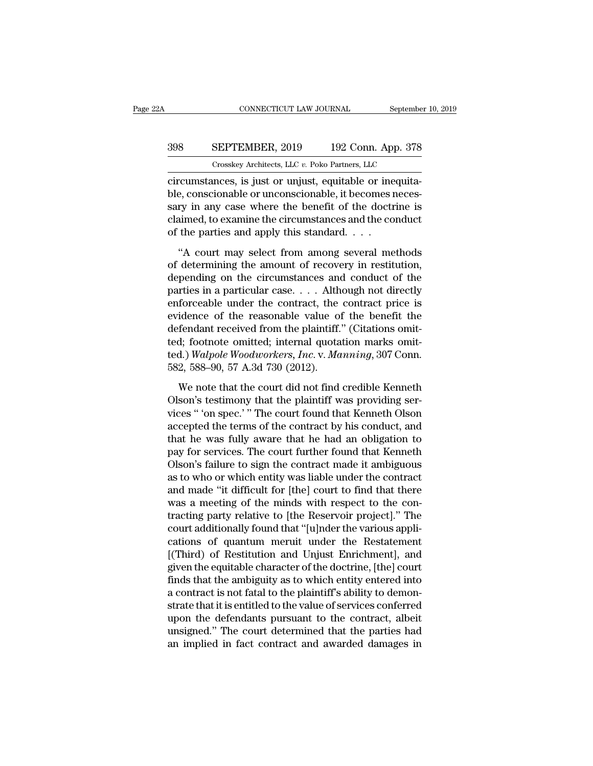## CONNECTICUT LAW JOURNAL September 10, 2019<br>398 SEPTEMBER, 2019 192 Conn. App. 378<br>Crosskey Architects, LLC v. Poko Partners, LLC CONNECTICUT LAW JOURNAL September<br>
SEPTEMBER, 2019 192 Conn. App. 378<br>
Crosskey Architects, LLC *v.* Poko Partners, LLC<br>
nces is just or uniust equitable or inequita-

CONNECTICUT LAW JOURNAL September<br>
SEPTEMBER, 2019 192 Conn. App. 378<br>
Crosskey Architects, LLC v. Poko Partners, LLC<br>
Circumstances, is just or unjust, equitable or inequita-<br>
ble, conscionable or unconscionable, it becom  $\begin{array}{ll} \text{398} & \text{SEPTEMBER, 2019} & \text{192 Conn. App. 378} \\ \text{Crosskey Architects, LLC } v. \text{ Poko Partners, LLC} \\ \text{circumstances, is just or unjust, equitable or inequitable, conscionable or unconscionale, it becomes necessary in any case where the benefit of the doctrine is claimed to examine the circumstances and the conductance.} \end{array}$ SEPTEMBER, 2019 192 Conn. App. 378<br>
Crosskey Architects, LLC  $v$ . Poko Partners, LLC<br>
circumstances, is just or unjust, equitable or inequita-<br>
ble, conscionable or unconscionable, it becomes neces-<br>
sary in any case wher SUPTEMBER, 2019 192 Conn. App. 378<br>
Crosskey Architects, LLC  $v$ . Poko Partners, LLC<br>
circumstances, is just or unjust, equitable or inequita-<br>
ble, conscionable or unconscionable, it becomes neces-<br>
sary in any case wher Crosskey Architects, LLC  $v$ . Poko Partners, LLC circumstances, is just or unjust, equitable or ine ble, conscionable or unconscionable, it becomes r sary in any case where the benefit of the doctre claimed, to examine th recumstances, is just or unjust, equitable or inequita-<br>
e, conscionable or unconscionable, it becomes neces-<br>
ry in any case where the benefit of the doctrine is<br>
simed, to examine the circumstances and the conduct<br>
the p of determining the amount of recovery in existence of the doctrine is<br>claimed, to examine the circumstances and the conduct<br>of the parties and apply this standard....<br>"A court may select from among several methods<br>of dete

sary in any case where the benefit of the doctrine is<br>claimed, to examine the circumstances and the conduct<br>of the parties and apply this standard....<br>"A court may select from among several methods<br>of determining the amou particular case. . . . .<br>claimed, to examine the circumstances and the conduct<br>of the parties and apply this standard. . . .<br>"A court may select from among several methods<br>of determining the amount of recovery in restitut enforce and apply this standard....<br>
"A court may select from among several methods<br>
of determining the amount of recovery in restitution,<br>
depending on the circumstances and conduct of the<br>
parties in a particular case.. "A court may select from among several methods<br>of determining the amount of recovery in restitution,<br>depending on the circumstances and conduct of the<br>parties in a particular case.... Although not directly<br>enforceable und "A court may select from among several methods<br>of determining the amount of recovery in restitution,<br>depending on the circumstances and conduct of the<br>parties in a particular case.... Although not directly<br>enforceable und of determining the amount of recovery in restitution,<br>depending on the circumstances and conduct of the<br>parties in a particular case.... Although not directly<br>enforceable under the contract, the contract price is<br>evidence depending on the circumstances and conduct of the<br>parties in a particular case. . . . Although not directly<br>enforceable under the contract, the contract price is<br>evidence of the reasonable value of the benefit the<br>defendan parties in a particular case. . . . Alth<br>enforceable under the contract, the<br>evidence of the reasonable value of<br>defendant received from the plaintiff.<br>ted; footnote omitted; internal quota<br>ted.) Walpole Woodworkers, Inc. idence of the reasonable value of the benefit the<br>fendant received from the plaintiff." (Citations omit-<br>d; footnote omitted; internal quotation marks omit-<br>d.) Walpole Woodworkers, Inc. v. Manning, 307 Conn.<br>2, 588–90, 57 defendant received from the plaintiff." (Citations omitted; footnote omitted; internal quotation marks omitted.) Walpole Woodworkers, Inc. v. Manning, 307 Conn.<br>582, 588–90, 57 A.3d 730 (2012).<br>We note that the court did n

ted; footnote omitted; internal quotation marks omit-<br>ted.) Walpole Woodworkers, Inc. v. Manning, 307 Conn.<br>582, 588–90, 57 A.3d 730 (2012).<br>We note that the court did not find credible Kenneth<br>Olson's testimony that the p ted.) Walpole Woodworkers, Inc. v. Manning, 307 Conn.<br>582, 588–90, 57 A.3d 730 (2012).<br>We note that the court did not find credible Kenneth<br>Olson's testimony that the plaintiff was providing ser-<br>vices " 'on spec.' " The c 582, 588–90, 57 A.3d 730 (2012).<br>We note that the court did not find credible Kenneth<br>Olson's testimony that the plaintiff was providing ser-<br>vices " 'on spec.' " The court found that Kenneth Olson<br>accepted the terms of t We note that the court did not find credible Kenneth<br>Olson's testimony that the plaintiff was providing services " on spec." The court found that Kenneth Olson<br>accepted the terms of the contract by his conduct, and<br>that he We note that the court did not find credible Kenneth<br>Olson's testimony that the plaintiff was providing ser-<br>vices " 'on spec.' " The court found that Kenneth Olson<br>accepted the terms of the contract by his conduct, and<br>th Olson's testimony that the plaintiff was providing services " 'on spec.' " The court found that Kenneth Olson<br>accepted the terms of the contract by his conduct, and<br>that he was fully aware that he had an obligation to<br>pay vices " 'on spec.' " The court found that Kenneth Olson<br>accepted the terms of the contract by his conduct, and<br>that he was fully aware that he had an obligation to<br>pay for services. The court further found that Kenneth<br>Ols accepted the terms of the contract by his conduct, and<br>that he was fully aware that he had an obligation to<br>pay for services. The court further found that Kenneth<br>Olson's failure to sign the contract made it ambiguous<br>as t that he was fully aware that he had an obligation to<br>pay for services. The court further found that Kenneth<br>Olson's failure to sign the contract made it ambiguous<br>as to who or which entity was liable under the contract<br>and pay for services. The court further found that Kenneth<br>Olson's failure to sign the contract made it ambiguous<br>as to who or which entity was liable under the contract<br>and made "it difficult for [the] court to find that ther Olson's failure to sign the contract made it ambiguous<br>as to who or which entity was liable under the contract<br>and made "it difficult for [the] court to find that there<br>was a meeting of the minds with respect to the con-<br>t as to who or which entity was liable under the contract<br>and made "it difficult for [the] court to find that there<br>was a meeting of the minds with respect to the con-<br>tracting party relative to [the Reservoir project]." The and made "it difficult for [the] court to find that there<br>was a meeting of the minds with respect to the con-<br>tracting party relative to [the Reservoir project]." The<br>court additionally found that "[u]nder the various appl was a meeting of the minds with respect to the con-<br>tracting party relative to [the Reservoir project]." The<br>court additionally found that "[u]nder the various appli-<br>cations of quantum meruit under the Restatement<br>[(Third tracting party relative to [the Reservoir project]." The<br>court additionally found that "[u]nder the various appli-<br>cations of quantum meruit under the Restatement<br>[(Third) of Restitution and Unjust Enrichment], and<br>given t court additionally found that "[u]nder the various applications of quantum meruit under the Restatement [(Third) of Restitution and Unjust Enrichment], and given the equitable character of the doctrine, [the] court finds t cations of quantum meruit under the Restatement<br>[(Third) of Restitution and Unjust Enrichment], and<br>given the equitable character of the doctrine, [the] court<br>finds that the ambiguity as to which entity entered into<br>a cont [(Third) of Restitution and Unjust Enrichment], and<br>given the equitable character of the doctrine, [the] court<br>finds that the ambiguity as to which entity entered into<br>a contract is not fatal to the plaintiff's ability to given the equitable character of the doctrine, [the] court<br>finds that the ambiguity as to which entity entered into<br>a contract is not fatal to the plaintiff's ability to demon-<br>strate that it is entitled to the value of se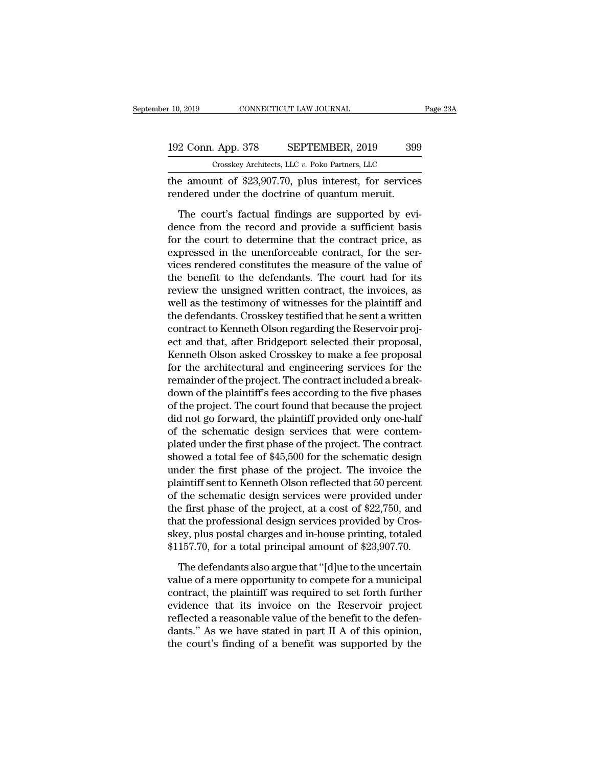the amount of \$23,907.70, plus interest, for services rendered under the doctrine of quantum meruit. 192 Conn. App. 378 SEPTEMBER, 2019 399<br>Crosskey Architects, LLC v. Poko Partners, LLC<br>the amount of \$23,907.70, plus interest, for services<br>rendered under the doctrine of quantum meruit.<br>The court's factual findings are su

 $\frac{2 \text{ Conn. App. 378}}{\text{Crosskey Architects, LLC } v. \text{ Poko Patterns, LLC}}$ <br>
e amount of \$23,907.70, plus interest, for services<br>
indered under the doctrine of quantum meruit.<br>
The court's factual findings are supported by evi-<br>
nce from the record and prov 192 Conn. App. 378 SEPTEMBER, 2019 399<br>
Crosskey Architects, LLC v. Poko Partners, LLC<br>
the amount of \$23,907.70, plus interest, for services<br>
rendered under the doctrine of quantum meruit.<br>
The court's factual findings a Crosskey Architects, LLC  $v$ . Poko Partners, LLC<br>the amount of \$23,907.70, plus interest, for services<br>rendered under the doctrine of quantum meruit.<br>The court's factual findings are supported by evi-<br>dence from the recor the amount of \$23,907.70, plus interest, for services<br>rendered under the doctrine of quantum meruit.<br>The court's factual findings are supported by evi-<br>dence from the record and provide a sufficient basis<br>for the court to rendered under the doctrine of quantum meruit.<br>The court's factual findings are supported by evi-<br>dence from the record and provide a sufficient basis<br>for the court to determine that the contract price, as<br>expressed in the The court's factual findings are supported by evi-<br>dence from the record and provide a sufficient basis<br>for the court to determine that the contract price, as<br>expressed in the unenforceable contract, for the ser-<br>vices ren The court's factual findings are supported by evidence from the record and provide a sufficient basis<br>for the court to determine that the contract price, as<br>expressed in the unenforceable contract, for the ser-<br>vices rende dence from the record and provide a sufficient basis<br>for the court to determine that the contract price, as<br>expressed in the unenforceable contract, for the ser-<br>vices rendered constitutes the measure of the value of<br>the b for the court to determine that the contract price, as<br>expressed in the unenforceable contract, for the ser-<br>vices rendered constitutes the measure of the value of<br>the benefit to the defendants. The court had for its<br>revie expressed in the unenforceable contract, for the services rendered constitutes the measure of the value of the benefit to the defendants. The court had for its review the unsigned written contract, the invoices, as well as vices rendered constitutes the measure of the value of<br>the benefit to the defendants. The court had for its<br>review the unsigned written contract, the invoices, as<br>well as the testimony of witnesses for the plaintiff and<br>th the benefit to the defendants. The court had for its<br>review the unsigned written contract, the invoices, as<br>well as the testimony of witnesses for the plaintiff and<br>the defendants. Crosskey testified that he sent a written review the unsigned written contract, the invoices, as<br>well as the testimony of witnesses for the plaintiff and<br>the defendants. Crosskey testified that he sent a written<br>contract to Kenneth Olson regarding the Reservoir pr well as the testimony of witnesses for the plaintiff and<br>the defendants. Crosskey testified that he sent a written<br>contract to Kenneth Olson regarding the Reservoir proj-<br>ect and that, after Bridgeport selected their propo the defendants. Crosskey testified that he sent a written<br>contract to Kenneth Olson regarding the Reservoir proj-<br>ect and that, after Bridgeport selected their proposal,<br>Kenneth Olson asked Crosskey to make a fee proposal<br> contract to Kenneth Olson regarding the Reservoir project and that, after Bridgeport selected their proposal, Kenneth Olson asked Crosskey to make a fee proposal for the architectural and engineering services for the remai ect and that, after Bridgeport selected their proposal,<br>Kenneth Olson asked Crosskey to make a fee proposal<br>for the architectural and engineering services for the<br>remainder of the project. The contract included a break-<br>do Kenneth Olson asked Crosskey to make a fee proposal<br>for the architectural and engineering services for the<br>remainder of the project. The contract included a break-<br>down of the plaintiff's fees according to the five phases for the architectural and engineering services for the<br>remainder of the project. The contract included a break-<br>down of the plaintiff's fees according to the five phases<br>of the project. The court found that because the pro remainder of the project. The contract included a break-<br>down of the plaintiff's fees according to the five phases<br>of the project. The court found that because the project<br>did not go forward, the plaintiff provided only on down of the plaintiff's fees according to the five phases<br>of the project. The court found that because the project<br>did not go forward, the plaintiff provided only one-half<br>of the schematic design services that were contemof the project. The court found that because the project<br>did not go forward, the plaintiff provided only one-half<br>of the schematic design services that were contem-<br>plated under the first phase of the project. The contrac did not go forward, the plaintiff provided only one-half<br>of the schematic design services that were contem-<br>plated under the first phase of the project. The contract<br>showed a total fee of \$45,500 for the schematic design<br>u of the schematic design services that were contem-<br>plated under the first phase of the project. The contract<br>showed a total fee of \$45,500 for the schematic design<br>under the first phase of the project. The invoice the<br>plai plated under the first phase of the project. The contract<br>showed a total fee of \$45,500 for the schematic design<br>under the first phase of the project. The invoice the<br>plaintiff sent to Kenneth Olson reflected that 50 perce showed a total fee of \$45,500 for the schematic design<br>under the first phase of the project. The invoice the<br>plaintiff sent to Kenneth Olson reflected that 50 percent<br>of the schematic design services were provided under<br>th under the first phase of the project. The invoice the<br>plaintiff sent to Kenneth Olson reflected that 50 percent<br>of the schematic design services were provided under<br>the first phase of the project, at a cost of \$22,750, and the schematic design services were provided under<br>e first phase of the project, at a cost of \$22,750, and<br>at the professional design services provided by Cros-<br>ey, plus postal charges and in-house printing, totaled<br>157.70, the first phase of the project, at a cost of \$22,750, and<br>that the professional design services provided by Cros-<br>skey, plus postal charges and in-house printing, totaled<br>\$1157.70, for a total principal amount of \$23,907.7

that the professional design services provided by Crosskey, plus postal charges and in-house printing, totaled<br>\$1157.70, for a total principal amount of \$23,907.70.<br>The defendants also argue that "[d]ue to the uncertain<br>va skey, plus postal charges and in-house printing, totaled \$1157.70, for a total principal amount of \$23,907.70.<br>The defendants also argue that "[d]ue to the uncertain value of a mere opportunity to compete for a municipal skey, plus postal charges and in-house printing, totaled  $$1157.70$ , for a total principal amount of  $$23,907.70$ .<br>The defendants also argue that "[d]ue to the uncertain value of a mere opportunity to compete for a munici The defendants also argue that "[d]ue to the uncertain value of a mere opportunity to compete for a municipal contract, the plaintiff was required to set forth further evidence that its invoice on the Reservoir project re The defendants also argue that "[d]ue to the uncertain value of a mere opportunity to compete for a municipal contract, the plaintiff was required to set forth further evidence that its invoice on the Reservoir project ref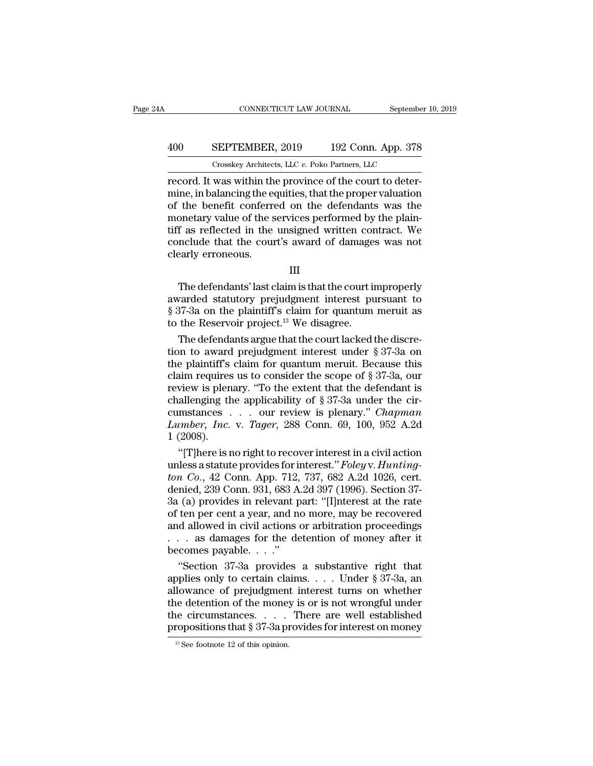## CONNECTICUT LAW JOURNAL September 10, 2019<br>
400 SEPTEMBER, 2019 192 Conn. App. 378<br>
Crosskey Architects, LLC v. Poko Partners, LLC CONNECTICUT LAW JOURNAL September<br>
SEPTEMBER, 2019 192 Conn. App. 378<br>
Crosskey Architects, LLC *v.* Poko Partners, LLC<br>
was within the province of the court to deter-

CONNECTICUT LAW JOURNAL September<br>
192 Conn. App. 378<br>
192 Conn. App. 378<br>
2019 192 Conn. App. 378<br>
2019 192 Conn. App. 378<br>
2019 192 Conn. App. 378<br>
2019 192 Conn. App. 378<br>
2019 192 Conn. App. 378<br>
2019 102 Connection an  $\begin{array}{r} \hline \text{SEPTEMBER, 2019} \text{192 Conn. App. 378} \ \hline \text{Crosskey Archives, LLC } v. \text{ Poko Patterns, LLC} \ \hline \text{record. It was within the province of the court to determine, in balancing the equities, that the proper valuation of the benefit conferred on the defendants was the monetary value of the services performed by the plain-$ 400 SEPTEMBER, 2019 192 Conn. App. 378<br>
Crosskey Architects, LLC v. Poko Partners, LLC<br>
record. It was within the province of the court to deter-<br>
mine, in balancing the equities, that the proper valuation<br>
of the benefit 400 SEPTEMBER, 2019 192 Conn. App. 378<br>  $\frac{1}{2}$  Crosskey Architects, LLC v. Poko Partners, LLC<br>
record. It was within the province of the court to deter-<br>
mine, in balancing the equities, that the proper valuation<br>
of t The USBN HEMBER, 2019 TO2 COMP. Typp. 910<br>
Tooskey Architects, LLC v. Poko Partners, LLC<br>
record. It was within the province of the court to deter-<br>
mine, in balancing the equities, that the proper valuation<br>
of the benef Crosskey Architects, LLC  $v$ . Poko Partners, LLC<br>record. It was within the province of the court to deter-<br>mine, in balancing the equities, that the proper valuation<br>of the benefit conferred on the defendants was the<br>mone record. It was within the mine, in balancing the eer of the benefit conferred monetary value of the stiff as reflected in the conclude that the courclearly erroneous. The defendants' last claim is that the court improperly<br>The defendants' last claim is that the court's award of damages was not<br>early erroneous.<br>III<br>The defendants' last claim is that the court improperly<br>varded statutory

### III

monetary value of the services performed by the plant-<br>tiff as reflected in the unsigned written contract. We<br>conclude that the court's award of damages was not<br>clearly erroneous.<br> $III$ <br>The defendants' last claim is that th First and the unity of damages was not<br>clearly erroneous.<br>
III<br>
The defendants' last claim is that the court improperly<br>
awarded statutory prejudgment interest pursuant to<br>
§ 37-3a on the plaintiff's claim for quantum meru to the Reservoir and the Court's award of danlages<br>clearly erroneous.<br>III<br>The defendants' last claim is that the court is<br>awarded statutory prejudgment interest pu<br>§ 37-3a on the plaintiff's claim for quantum<br>to the Reserv III<br>The defendants' last claim is that the court improperly<br>varded statutory prejudgment interest pursuant to<br>37-3a on the plaintiff's claim for quantum meruit as<br>the Reservoir project.<sup>13</sup> We disagree.<br>The defendants arg The defendants' last claim is that the court improperly<br>awarded statutory prejudgment interest pursuant to<br>§ 37-3a on the plaintiff's claim for quantum meruit as<br>to the Reservoir project.<sup>13</sup> We disagree.<br>The defendants a

The defendants' last claim is that the court improperly<br>awarded statutory prejudgment interest pursuant to<br>§ 37-3a on the plaintiff's claim for quantum meruit as<br>to the Reservoir project.<sup>13</sup> We disagree.<br>The defendants a awarded statutory prejudgment interest pursuant to<br>
§ 37-3a on the plaintiff's claim for quantum meruit as<br>
to the Reservoir project.<sup>13</sup> We disagree.<br>
The defendants argue that the court lacked the discre-<br>
tion to award § 37-3a on the plaintiff's claim for quantum meruit as<br>to the Reservoir project.<sup>13</sup> We disagree.<br>The defendants argue that the court lacked the discre-<br>tion to award prejudgment interest under § 37-3a on<br>the plaintiff's to the Reservoir project.<sup>13</sup> We disagree.<br>The defendants argue that the court lacked the discretion to award prejudgment interest under § 37-3a on<br>the plaintiff's claim for quantum meruit. Because this<br>claim requires us The defendants argue that the court lacked the discretion to award prejudgment interest under § 37-3a on the plaintiff's claim for quantum meruit. Because this claim requires us to consider the scope of § 37-3a, our revie tion to award prejudgment interest under § 37-3a on<br>the plaintiff's claim for quantum meruit. Because this<br>claim requires us to consider the scope of § 37-3a, our<br>review is plenary. "To the extent that the defendant is<br>cha the plaintiff's<br>claim requires<br>review is plen<br>challenging th<br>cumstances<br>Lumber, Inc.<br>1 (2008).<br>"[T]here is r aim requires us to consider the scope of § 37-3a, our<br>
view is plenary. "To the extent that the defendant is<br>
allenging the applicability of § 37-3a under the cir-<br>
mstances . . . our review is plenary." *Chapman*<br> *umber* review is plenary. "To the extent that the defendant is<br>challenging the applicability of § 37-3a under the cir-<br>cumstances . . . our review is plenary." *Chapman*<br>*Lumber, Inc.* v. *Tager*, 288 Conn. 69, 100, 952 A.2d<br>1 (2

challenging the applicability of § 37-3a under the circumstances . . . . our review is plenary." *Chapman* Lumber, Inc. v. Tager, 288 Conn. 69, 100, 952 A.2d 1 (2008).<br>"[T]here is no right to recover interest in a civil ac cumstances . . . our review is plenary." *Chapman*<br>Lumber, Inc. v. Tager, 288 Conn. 69, 100, 952 A.2d<br>1 (2008).<br>"[T]here is no right to recover interest in a civil action<br>unless a statute provides for interest." *Foley v.* Lumber, Inc. v. Tager, 288 Conn. 69, 100, 952 A.2d<br>1 (2008).<br>"[T]here is no right to recover interest in a civil action<br>unless a statute provides for interest." Foley v. Hunting-<br>ton Co., 42 Conn. App. 712, 737, 682 A.2d 1 (2008).<br>
"[T]here is no right to recover interest in a civil action<br>
unless a statute provides for interest." Foley v. Hunting-<br>
ton Co., 42 Conn. App. 712, 737, 682 A.2d 1026, cert.<br>
denied, 239 Conn. 931, 683 A.2d 397 "[T]here is no right to recover interest in a civil action<br>unless a statute provides for interest." Foley v. Hunting-<br>ton Co., 42 Conn. App. 712, 737, 682 A.2d 1026, cert.<br>denied, 239 Conn. 931, 683 A.2d 397 (1996). Secti unless a statute provides for interest." Foley v. Hunting-<br>ton Co., 42 Conn. App. 712, 737, 682 A.2d 1026, cert.<br>denied, 239 Conn. 931, 683 A.2d 397 (1996). Section 37-<br>3a (a) provides in relevant part: "[I]nterest at the *ton Co.*, 42 Conn. App. 712,<br>denied, 239 Conn. 931, 683 A<br>3a (a) provides in relevant p<br>of ten per cent a year, and n<br>and allowed in civil actions<br> $\ldots$  as damages for the de<br>becomes payable.  $\ldots$ ."<br>"Section 37-3a provi nied, 239 Conn. 931, 683 A.2d 397 (1996). Section 37-<br>
(a) provides in relevant part: "[I]nterest at the rate<br>
ten per cent a year, and no more, may be recovered<br>
d allowed in civil actions or arbitration proceedings<br>
. a 3a (a) provides in relevant part: "[I]nterest at the rate<br>of ten per cent a year, and no more, may be recovered<br>and allowed in civil actions or arbitration proceedings<br>. . . . as damages for the detention of money after i

of ten per cent a year, and no more, may be recovered<br>and allowed in civil actions or arbitration proceedings<br>... as damages for the detention of money after it<br>becomes payable...."<br>"Section 37-3a provides a substantive ri and allowed in civil actions or arbitration proceedings<br>
. . . as damages for the detention of money after it<br>
becomes payable. . . ."<br>
"Section 37-3a provides a substantive right that<br>
applies only to certain claims. . . . . . as damages for the detention of money after it<br>becomes payable. . . ."<br>"Section 37-3a provides a substantive right that<br>applies only to certain claims. . . . Under § 37-3a, an<br>allowance of prejudgment interest turns becomes payable. . . ."<br>
"Section 37-3a provides a substantive right that<br>
applies only to certain claims. . . . Under § 37-3a, an<br>
allowance of prejudgment interest turns on whether<br>
the detention of the money is or is n allowance of prejudgment interest turns on whether<br>the detention of the money is or is not wrongful under<br>the circumstances.....There are well established<br>propositions that § 37-3a provides for interest on money<br> $\frac{13}{13$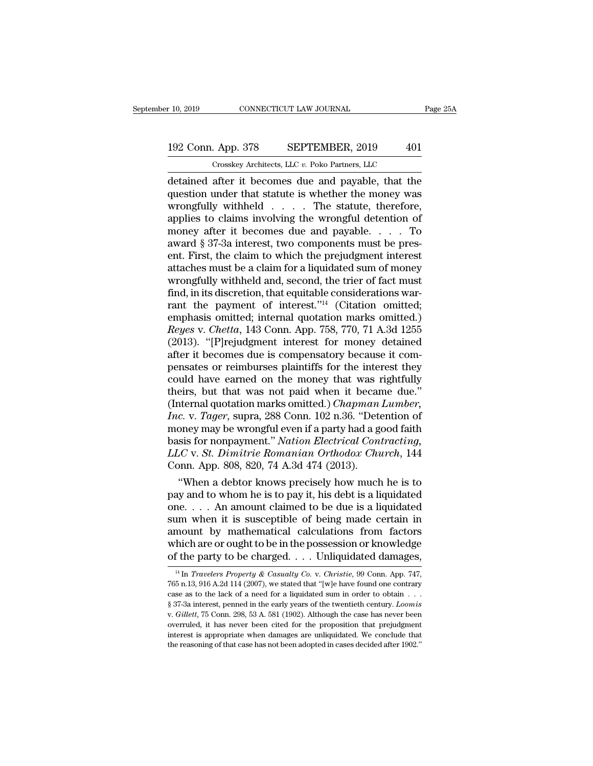## 10, 2019 CONNECTICUT LAW JOURNAL Page 25A<br>192 Conn. App. 378 SEPTEMBER, 2019 401<br>Crosskey Architects, LLC v. Poko Partners, LLC CONNECTICUT LAW JOURNAL<br>
. App. 378 SEPTEMBER, 2019 401<br>
Crosskey Architects, LLC *v.* Poko Partners, LLC<br>
after it becomes due and payable that the

r 10, 2019 CONNECTICUT LAW JOURNAL Page 25A<br>
192 Conn. App. 378 SEPTEMBER, 2019 401<br>
Crosskey Architects, LLC v. Poko Partners, LLC<br>
detained after it becomes due and payable, that the<br>
question under that statute is wheth 192 Conn. App. 378 SEPTEMBER, 2019 401<br>
Crosskey Architects, LLC v. Poko Partners, LLC<br>
detained after it becomes due and payable, that the<br>
question under that statute is whether the money was<br>
wrongfully withheld . . . . 192 Conn. App. 378 SEPTEMBER, 2019 401<br>
Crosskey Architects, LLC v. Poko Partners, LLC<br>
detained after it becomes due and payable, that the<br>
question under that statute is whether the money was<br>
wrongfully withheld . . . 192 Conn. App. 378 SEPTEMBER, 2019 401<br>
Crosskey Architects, LLC v. Poko Partners, LLC<br>
detained after it becomes due and payable, that the<br>
question under that statute is whether the money was<br>
wrongfully withheld . . . Crosskey Architects, LLC v. Poko Partners, LLC<br>
detained after it becomes due and payable, that the<br>
question under that statute is whether the money was<br>
wrongfully withheld . . . . The statute, therefore,<br>
applies to cl Crosskey Architects, LLC v. Poko Partners, LLC<br>detained after it becomes due and payable, that the<br>question under that statute is whether the money was<br>wrongfully withheld . . . . The statute, therefore,<br>applies to claims detained after it becomes due and payable, that the<br>question under that statute is whether the money was<br>wrongfully withheld . . . . The statute, therefore,<br>applies to claims involving the wrongful detention of<br>money after question under that statute is whether the money was<br>wrongfully withheld  $\ldots$ . The statute, therefore,<br>applies to claims involving the wrongful detention of<br>money after it becomes due and payable.  $\ldots$  To<br>award § 37-3a wrongfully withheld  $\dots$  The statute, therefore,<br>applies to claims involving the wrongful detention of<br>money after it becomes due and payable.  $\dots$  To<br>award § 37-3a interest, two components must be pres-<br>ent. First, the c applies to claims involving the wrongful detention of<br>money after it becomes due and payable. . . . To<br>award § 37-3a interest, two components must be pres-<br>ent. First, the claim to which the prejudgment interest<br>attaches money after it becomes due and payable. . . . . To<br>award § 37-3a interest, two components must be pres-<br>ent. First, the claim to which the prejudgment interest<br>attaches must be a claim for a liquidated sum of money<br>wrongf award § 37-3a interest, two components must be present. First, the claim to which the prejudgment interest<br>attaches must be a claim for a liquidated sum of money<br>wrongfully withheld and, second, the trier of fact must<br>fin ent. First, the claim to which the prejudgment interest<br>attaches must be a claim for a liquidated sum of money<br>wrongfully withheld and, second, the trier of fact must<br>find, in its discretion, that equitable considerations attaches must be a claim for a liquidated sum of money<br>wrongfully withheld and, second, the trier of fact must<br>find, in its discretion, that equitable considerations war-<br>rant the payment of interest."<sup>14</sup> (Citation omitte wrongfully withheld and, second, the trier of fact must<br>find, in its discretion, that equitable considerations warrant the payment of interest."<sup>14</sup> (Citation omitted;<br>emphasis omitted; internal quotation marks omitted.)<br> find, in its discretion, that equitable considerations warrant the payment of interest."<sup>14</sup> (Citation omitted; emphasis omitted; internal quotation marks omitted.) *Reyes* v. *Chetta*, 143 Conn. App. 758, 770, 71 A.3d 12 rant the payment of interest."<sup>14</sup> (Citation omitted;<br>emphasis omitted; internal quotation marks omitted.)<br>*Reyes* v. *Chetta*, 143 Conn. App. 758, 770, 71 A.3d 1255<br>(2013). "[P]rejudgment interest for money detained<br>afte emphasis omitted; internal quotation marks omitted.)<br> *Reyes* v. *Chetta*, 143 Conn. App. 758, 770, 71 A.3d 1255<br>
(2013). "[P]rejudgment interest for money detained<br>
after it becomes due is compensatory because it com-<br>
pe Reyes v. Chetta, 143 Conn. App. 758, 770, 71 A.3d 1255 (2013). "[P]rejudgment interest for money detained after it becomes due is compensatory because it compensates or reimburses plaintiffs for the interest they could hav *ID.* "[P]rejudgment interest for money detained after it becomes due is compensatory because it compensates or reimburses plaintiffs for the interest they could have earned on the money that was rightfully theirs, but tha after it becomes due is compensatory because it compensates or reimburses plaintiffs for the interest they<br>could have earned on the money that was rightfully<br>theirs, but that was not paid when it became due."<br>(Internal quo pensates or reimburses plaintiffs for the interest they<br>could have earned on the money that was rightfully<br>theirs, but that was not paid when it became due."<br>(Internal quotation marks omitted.) *Chapman Lumber*,<br>*Inc.* v. could have earned on the money that was rightfully<br>theirs, but that was not paid when it became due."<br>(Internal quotation marks omitted.) *Chapman Lumber*,<br>*Inc.* v. *Tager*, supra, 288 Conn. 102 n.36. "Detention of<br>money theirs, but that was not paid when it becar<br>(Internal quotation marks omitted.) *Chapman*<br>Inc. v. Tager, supra, 288 Conn. 102 n.36. "Deta<br>money may be wrongful even if a party had a g<br>basis for nonpayment." *Nation Electri* ternal quotation marks omitted.) Chapman Lumber,<br>
c. v. Tager, supra, 288 Conn. 102 n.36. "Detention of<br>
oney may be wrongful even if a party had a good faith<br>
sis for nonpayment." Nation Electrical Contracting,<br>
LC v. St. Inc. v. Tager, supra, 288 Conn. 102 n.36. "Detention of<br>money may be wrongful even if a party had a good faith<br>basis for nonpayment." Nation Electrical Contracting,<br>LLC v. St. Dimitrie Romanian Orthodox Church, 144<br>Conn. A

money may be wrongful even if a party had a good faith<br>basis for nonpayment." *Nation Electrical Contracting,*<br> $LLC$  v. *St. Dimitrie Romanian Orthodox Church*, 144<br>Conn. App. 808, 820, 74 A.3d 474 (2013).<br>"When a debtor k basis for nonpayment." Nation Electrical Contracting,<br>LLC v. St. Dimitrie Romanian Orthodox Church, 144<br>Conn. App. 808, 820, 74 A.3d 474 (2013).<br>"When a debtor knows precisely how much he is to<br>pay and to whom he is to pa LLC v. *St. Dimitrie Romanian Orthodox Church*, 144<br>Conn. App. 808, 820, 74 A.3d 474 (2013).<br>
"When a debtor knows precisely how much he is to<br>pay and to whom he is to pay it, his debt is a liquidated<br>one.... An amount cl Conn. App. 808, 820, 74 A.3d 474 (2013).<br>
"When a debtor knows precisely how much he is to<br>
pay and to whom he is to pay it, his debt is a liquidated<br>
one.... An amount claimed to be due is a liquidated<br>
sum when it is su "When a debtor knows precisely how much he is to pay and to whom he is to pay it, his debt is a liquidated one. . . . An amount claimed to be due is a liquidated sum when it is susceptible of being made certain in amount 14 In *Travelers Property & Casualty Co.* v. *Christie*, 99 Conn. App. 747, <sup>14</sup> In *Travelers Property & Casualty Co.* v. *Christie*, 99 Conn. App. 747, <sup>14</sup> In *Travelers Property & Casualty Co.* v. *Christie*, 99 Conn. amount by mathematical calculations from factors<br>which are or ought to be in the possession or knowledge<br>of the party to be charged. . . . Unliquidated damages,<br> $\frac{14 \text{ In } Travelers$  Property & Casualty Co. v. Christie, 99 Conn.

which are or ought to be in the possession or knowledge<br>of the party to be charged. . . . Unliquidated damages,<br> $\frac{14 \text{ In } Travelers \ Property \& Casualty \ Co. v. Christie, 99 \text{ Conn. App. 747, 765 n.13, 916 A.2d 114 (2007), we stated that "[w]e have found one contrary  
case as to the lack of a need for a liquidated sum in order to obtain . . .$ <br>§ which are of olgins to be in the possession of Knowledge<br>of the party to be charged.... Unliquidated damages,<br> $\frac{14 \text{ In } \text{Travelers Property } \& \text{Casuality Co. v. Christie, 99 Conn. App. 747}}{765 \text{ n}.13, 916 \text{ A}.2d \text{ 114 } (2007)$ , we stated that "[w]e have <sup>14</sup> In *Travelers Property & Casualty Co.* v. *Christie,* 99 Conn. App. 747, 765 n.13, 916 A.2d 114 (2007), we stated that "[w]e have found one contrary case as to the lack of a need for a liquidated sum in order to obta  $765$  n.13,  $916$  A.2d 114 (2007), we stated that "[w]e have found one contrary case as to the lack of a need for a liquidated sum in order to obtain  $\ldots$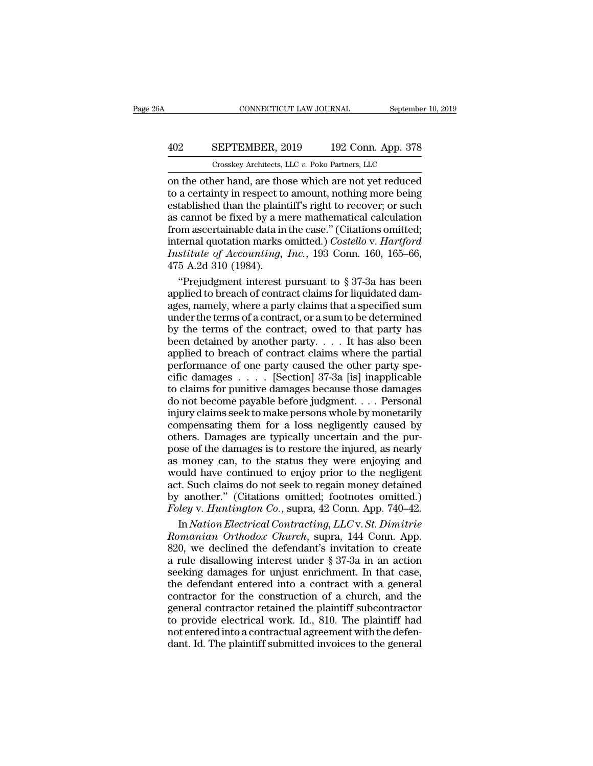## CONNECTICUT LAW JOURNAL September 10, 2019<br>402 SEPTEMBER, 2019 192 Conn. App. 378<br>Crosskey Architects, LLC v. Poko Partners, LLC CONNECTICUT LAW JOURNAL September<br>
SEPTEMBER, 2019 192 Conn. App. 378<br>
Crosskey Architects, LLC *v.* Poko Partners, LLC<br>
Der hand are those which are not vet reduced

CONNECTICUT LAW JOURNAL September 10, 2019<br>
402 SEPTEMBER, 2019 192 Conn. App. 378<br>
Crosskey Architects, LLC v. Poko Partners, LLC<br>
on the other hand, are those which are not yet reduced<br>
to a certainty in respect to amoun SEPTEMBER, 2019 192 Conn. App. 378<br>
Crosskey Architects, LLC v. Poko Partners, LLC<br>
on the other hand, are those which are not yet reduced<br>
to a certainty in respect to amount, nothing more being<br>
established than the plai EXPTEMBER, 2019 192 Conn. App. 378<br>  $\frac{1}{2}$  Crosskey Architects, LLC v. Poko Partners, LLC<br>
on the other hand, are those which are not yet reduced<br>
to a certainty in respect to amount, nothing more being<br>
established th 402 SEPTEMBER, 2019 192 Conn. App. 378<br>  $\frac{1}{2}$  Crosskey Architects, LLC v. Poko Partners, LLC<br>
on the other hand, are those which are not yet reduced<br>
to a certainty in respect to amount, nothing more being<br>
establishe For a cosskey Architects, LLC v. Poko Partners, LLC<br>
on the other hand, are those which are not yet reduced<br>
to a certainty in respect to amount, nothing more being<br>
established than the plaintiff's right to recover; or s Crosskey Architects, LLC v. Poko Partners, LLC<br>
on the other hand, are those which are not yet reduced<br>
to a certainty in respect to amount, nothing more being<br>
established than the plaintiff's right to recover; or such<br>
a on the other hand, are those which are not yet reduced<br>to a certainty in respect to amount, nothing more being<br>established than the plaintiff's right to recover; or such<br>as cannot be fixed by a mere mathematical calculatio to a certainty in respect to<br>established than the plain<br>as cannot be fixed by a m<br>from ascertainable data in<br>internal quotation marks of<br>*Institute of Accounting*,<br>475 A.2d 310 (1984).<br>"Prejudgment interest J tablished than the plaintiff's right to recover; or such<br>
cannot be fixed by a mere mathematical calculation<br>
om ascertainable data in the case." (Citations omitted;<br>
ternal quotation marks omitted.) *Costello v. Hartford* as cannot be fixed by a mere mathematical calculation<br>from ascertainable data in the case." (Citations omitted;<br>internal quotation marks omitted.) *Costello v. Hartford*<br>*Institute of Accounting, Inc.*, 193 Conn. 160, 165

from ascertainable data in the case." (Citations omitted;<br>internal quotation marks omitted.) *Costello v. Hartford*<br>*Institute of Accounting, Inc.*, 193 Conn. 160, 165–66,<br>475 A.2d 310 (1984).<br>"Prejudgment interest pursua internal quotation marks omitted.) *Costello v. Hartford*<br>
Institute of Accounting, Inc., 193 Conn. 160, 165–66,<br>
475 A.2d 310 (1984).<br>
"Prejudgment interest pursuant to § 37-3a has been<br>
applied to breach of contract clai Institute of Accounting, Inc., 193 Conn. 160, 165–66,<br>475 A.2d 310 (1984).<br>"Prejudgment interest pursuant to § 37-3a has been<br>applied to breach of contract claims for liquidated dam-<br>ages, namely, where a party claims tha 475 A.2d 310 (1984).<br>
"Prejudgment interest pursuant to § 37-3a has been<br>
applied to breach of contract claims for liquidated dam-<br>
ages, namely, where a party claims that a specified sum<br>
under the terms of a contract, o "Prejudgment interest pursuant to  $\S 37$ -3a has been<br>applied to breach of contract claims for liquidated dam-<br>ages, namely, where a party claims that a specified sum<br>under the terms of a contract, or a sum to be determine applied to breach of contract claims for liquidated damages, namely, where a party claims that a specified sum under the terms of a contract, or a sum to be determined by the terms of the contract, owed to that party has referred to such a contract of mathematic or indicated damages, namely, where a party claims that a specified sum<br>under the terms of a contract, or a sum to be determined<br>by the terms of the contract, owed to that party h the terms of a contract, or a sum to be determined<br>by the terms of a contract, or a sum to be determined<br>by the terms of the contract, owed to that party has<br>been detained by another party.... It has also been<br>applied to do the terms of the contract, oved to that party has<br>been detained by another party.... It has also been<br>applied to breach of contract claims where the partial<br>performance of one party caused the other party spe-<br>cific da been detained by another party.  $\dots$  It has also been<br>applied to breach of contract claims where the partial<br>performance of one party caused the other party spe-<br>cific damages  $\dots$ . [Section] 37-3a [is] inapplicable<br>to cl such distinct by ansation party. The rink and specific distinguished to breach of contract claims where the partial performance of one party caused the other party specific damages  $\ldots$ . [Section] 37-3a [is] inapplicable performance of one party caused the other party specific damages . . . . [Section] 37-3a [is] inapplicable to claims for punitive damages because those damages do not become payable before judgment. . . . Personal injury c possimalizes  $\ldots$  [Section] 37-3a [is] inapplicable<br>to claims for punitive damages because those damages<br>do not become payable before judgment.  $\ldots$  Personal<br>injury claims seek to make persons whole by monetarily<br>compen as more in the status of the status of the status of the status of the status of the status injury claims seek to make persons whole by monetarily compensating them for a loss negligently caused by others. Damages are typ would have contained to enjoying and injury claims seek to make persons whole by monetarily compensating them for a loss negligently caused by others. Damages are typically uncertain and the purpose of the damages is to r injury claims seek to make persons whole by monetarily<br>compensating them for a loss negligently caused by<br>others. Damages are typically uncertain and the pur-<br>pose of the damages is to restore the injured, as nearly<br>as mo Equivalently caused by<br>
compensating them for a loss negligently caused by<br>
others. Damages are typically uncertain and the pur-<br>
pose of the damages is to restore the injured, as nearly<br>
as money can, to the status they *Foleyer Samages are typically uncertain and the purpose of the damages is to restore the injured, as nearly as money can, to the status they were enjoying and would have continued to enjoy prior to the negligent act. Such* See of the damages is to restore the injured, as nearly<br>money can, to the status they were enjoying and<br>ould have continued to enjoy prior to the negligent<br>t. Such claims do not seek to regain money detained<br>another." (Cit as money can, to the status they were enjoying and<br>would have continued to enjoy prior to the negligent<br>act. Such claims do not seek to regain money detained<br>by another." (Citations omitted; footnotes omitted.)<br>*Foley* v.

would have continued to enjoy prior to the negligent<br>act. Such claims do not seek to regain money detained<br>by another." (Citations omitted; footnotes omitted.)<br>Foley v. Huntington Co., supra, 42 Conn. App. 740–42.<br>In Natio act. Such claims do not seek to regain money detained<br>by another." (Citations omitted; footnotes omitted.)<br>Foley v. Huntington Co., supra, 42 Conn. App. 740–42.<br>In Nation Electrical Contracting, LLC v. St. Dimitrie<br>Romania by another." (Citations omitted; footnotes omitted.)<br>Foley v. Huntington Co., supra, 42 Conn. App. 740–42.<br>In Nation Electrical Contracting, LLC v. St. Dimitrie<br>Romanian Orthodox Church, supra, 144 Conn. App.<br>820, we decl Foley v. Huntington Co., supra, 42 Conn. App. 740–42.<br>
In Nation Electrical Contracting, LLC v. St. Dimitrie<br>
Romanian Orthodox Church, supra, 144 Conn. App.<br>
820, we declined the defendant's invitation to create<br>
a rule In *Nation Electrical Contracting, LLC* v. *St. Dimitrie*<br>*Romanian Orthodox Church*, supra, 144 Conn. App.<br>820, we declined the defendant's invitation to create<br>a rule disallowing interest under § 37-3a in an action<br>seeki Romanian Orthodox Church, supra, 144 Conn. App.<br>820, we declined the defendant's invitation to create<br>a rule disallowing interest under § 37-3a in an action<br>seeking damages for unjust enrichment. In that case,<br>the defenda to provide the defendant's invitation to create<br>a rule disallowing interest under § 37-3a in an action<br>seeking damages for unjust enrichment. In that case,<br>the defendant entered into a contract with a general<br>contractor f a rule disallowing interest under  $\S 37$ -3a in an action<br>seeking damages for unjust enrichment. In that case,<br>the defendant entered into a contract with a general<br>contractor for the construction of a church, and the<br>gener seeking damages for unjust enrichment. In that case, the defendant entered into a contract with a general contractor for the construction of a church, and the general contractor retained the plaintiff subcontractor to prov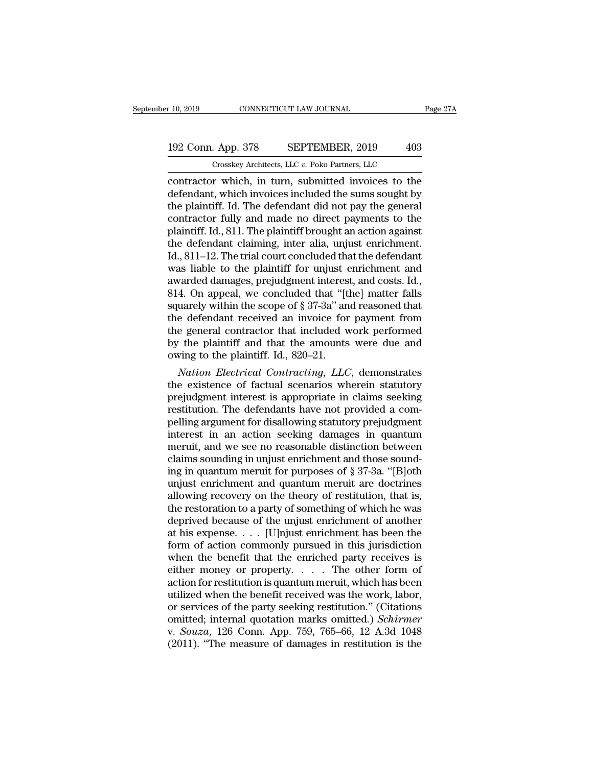## 10, 2019 CONNECTICUT LAW JOURNAL Page 27A<br>192 Conn. App. 378 SEPTEMBER, 2019 403<br>Crosskey Architects, LLC v. Poko Partners, LLC CONNECTICUT LAW JOURNAL<br>
. App. 378 SEPTEMBER, 2019 403<br>
Crosskey Architects, LLC *v.* Poko Partners, LLC<br>
r which in turn submitted invoices to the

contractor which, in turn, submitted invoices to the<br>defendant, which in turn, submitted invoices to the<br>defendant, which invoices included the sums sought by<br>the plaintiff Id. The defendant did not nay the general 192 Conn. App. 378 SEPTEMBER, 2019 403<br>
Crosskey Architects, LLC v. Poko Partners, LLC<br>
contractor which, in turn, submitted invoices to the<br>
defendant, which invoices included the sums sought by<br>
the plaintiff. Id. The de 192 Conn. App. 378 SEPTEMBER, 2019 403<br>
Crosskey Architects, LLC v. Poko Partners, LLC<br>
contractor which, in turn, submitted invoices to the<br>
defendant, which invoices included the sums sought by<br>
the plaintiff. Id. The d 192 Conn. App. 378 SEPTEMBER, 2019 403<br>
Crosskey Architects, LLC  $v$ . Poko Partners, LLC<br>
contractor which, in turn, submitted invoices to the<br>
defendant, which invoices included the sums sought by<br>
the plaintiff. Id. The Crosskey Architects, LLC  $v$ . Poko Partners, LLC<br>
contractor which, in turn, submitted invoices to the<br>
defendant, which invoices included the sums sought by<br>
the plaintiff. Id. The defendant did not pay the general<br>
cont Crosskey Architects, LLC  $v$ . Poko Partners, LLC<br>contractor which, in turn, submitted invoices to the<br>defendant, which invoices included the sums sought by<br>the plaintiff. Id. The defendant did not pay the general<br>contract contractor which, in turn, submitted invoices to the defendant, which invoices included the sums sought by the plaintiff. Id. The defendant did not pay the general contractor fully and made no direct payments to the plaint defendant, which invoices included the sums sought by<br>the plaintiff. Id. The defendant did not pay the general<br>contractor fully and made no direct payments to the<br>plaintiff. Id., 811. The plaintiff brought an action agains the plaintiff. Id. The defendant did not pay the general<br>contractor fully and made no direct payments to the<br>plaintiff. Id., 811. The plaintiff brought an action against<br>the defendant claiming, inter alia, unjust enrichmen contractor fully and made no direct payments to the plaintiff. Id., 811. The plaintiff brought an action against the defendant claiming, inter alia, unjust enrichment. Id., 811–12. The trial court concluded that the defend plaintiff. Id., 811. The plaintiff brought an action against<br>the defendant claiming, inter alia, unjust enrichment.<br>Id., 811–12. The trial court concluded that the defendant<br>was liable to the plaintiff for unjust enrichmen the defendant claiming, inter alia, unjust enrichment.<br>Id., 811–12. The trial court concluded that the defendant<br>was liable to the plaintiff for unjust enrichment and<br>awarded damages, prejudgment interest, and costs. Id.,<br> Id., 811–12. The trial court concluded that the defendant<br>was liable to the plaintiff for unjust enrichment and<br>awarded damages, prejudgment interest, and costs. Id.,<br>814. On appeal, we concluded that "[the] matter falls<br> was liable to the plaintiff for unjust enrichment and<br>awarded damages, prejudgment interest, and costs. Id.,<br>814. On appeal, we concluded that "[the] matter falls<br>squarely within the scope of  $\S 37-3a$ " and reasoned that<br> awarded damages, prejudgment interest, and costs. Id., 814. On appeal, we concluded that "[the] matter falls squarely within the scope of  $\S 37-3a$ " and reasoned that the defendant received an invoice for payment from the 4. On appeal, we concluded that "[the] matter talls<br>uarely within the scope of § 37-3a" and reasoned that<br>e defendant received an invoice for payment from<br>e general contractor that included work performed<br>the plaintiff and squarely within the scope of  $\S 37-3a$  and reasoned that<br>the defendant received an invoice for payment from<br>the general contractor that included work performed<br>by the plaintiff and that the amounts were due and<br>owing to t

the detendant received an invoice for payment from<br>the general contractor that included work performed<br>by the plaintiff and that the amounts were due and<br>owing to the plaintiff. Id., 820–21.<br>*Nation Electrical Contracting* the general contractor that included work performed<br>by the plaintiff and that the amounts were due and<br>owing to the plaintiff. Id., 820–21.<br>*Nation Electrical Contracting, LLC*, demonstrates<br>the existence of factual scenar by the plaintiff and that the amounts were due and<br>owing to the plaintiff. Id., 820–21.<br>*Nation Electrical Contracting, LLC*, demonstrates<br>the existence of factual scenarios wherein statutory<br>prejudgment interest is approp owing to the plaintiff. Id., 820–21.<br> *Nation Electrical Contracting, LLC*, demonstrates<br>
the existence of factual scenarios wherein statutory<br>
prejudgment interest is appropriate in claims seeking<br>
restitution. The defend Nation Electrical Contracting, LLC, demonstrates<br>the existence of factual scenarios wherein statutory<br>prejudgment interest is appropriate in claims seeking<br>restitution. The defendants have not provided a com-<br>pelling argu the existence of factual scenarios wherein statutory<br>prejudgment interest is appropriate in claims seeking<br>restitution. The defendants have not provided a com-<br>pelling argument for disallowing statutory prejudgment<br>interes prejudgment interest is appropriate in claims seeking<br>restitution. The defendants have not provided a com-<br>pelling argument for disallowing statutory prejudgment<br>interest in an action seeking damages in quantum<br>meruit, and restitution. The defendants have not provided a compelling argument for disallowing statutory prejudgment<br>interest in an action seeking damages in quantum<br>meruit, and we see no reasonable distinction between<br>claims soundin pelling argument for disallowing statutory prejudgment<br>interest in an action seeking damages in quantum<br>meruit, and we see no reasonable distinction between<br>claims sounding in unjust enrichment and those sound-<br>ing in quan interest in an action seeking damages in quantum<br>meruit, and we see no reasonable distinction between<br>claims sounding in unjust enrichment and those sound-<br>ing in quantum meruit for purposes of § 37-3a. "[B]oth<br>unjust enri meruit, and we see no reasonable distinction between<br>claims sounding in unjust enrichment and those sound-<br>ing in quantum meruit for purposes of § 37-3a. "[B]oth<br>unjust enrichment and quantum meruit are doctrines<br>allowing claims sounding in unjust enrichment and those sound-<br>ing in quantum meruit for purposes of § 37-3a. "[B]oth<br>unjust enrichment and quantum meruit are doctrines<br>allowing recovery on the theory of restitution, that is,<br>the ing in quantum meruit for purposes of § 37-3a. "[B]oth<br>unjust enrichment and quantum meruit are doctrines<br>allowing recovery on the theory of restitution, that is,<br>the restoration to a party of something of which he was<br>de unjust enrichment and quantum meruit are doctrines<br>allowing recovery on the theory of restitution, that is,<br>the restoration to a party of something of which he was<br>deprived because of the unjust enrichment of another<br>at h allowing recovery on the theory of restitution, that is,<br>the restoration to a party of something of which he was<br>deprived because of the unjust enrichment of another<br>at his expense. . . . [U]njust enrichment has been the<br>f the restoration to a party of something of which he was<br>deprived because of the unjust enrichment of another<br>at his expense. . . . [U]njust enrichment has been the<br>form of action commonly pursued in this jurisdiction<br>when deprived because of the unjust enrichment of another<br>at his expense. . . . [U]njust enrichment has been the<br>form of action commonly pursued in this jurisdiction<br>when the benefit that the enriched party receives is<br>either at his expense. . . . [U]njust enrichment has been the<br>form of action commonly pursued in this jurisdiction<br>when the benefit that the enriched party receives is<br>either money or property. . . . The other form of<br>action for form of action commonly pursued in this jurisdiction<br>when the benefit that the enriched party receives is<br>either money or property. . . . . The other form of<br>action for restitution is quantum meruit, which has been<br>utiliz when the benefit that the enriched party receives is<br>either money or property. . . . The other form of<br>action for restitution is quantum meruit, which has been<br>utilized when the benefit received was the work, labor,<br>or se either money or property. . . . . The other form of action for restitution is quantum meruit, which has been utilized when the benefit received was the work, labor, or services of the party seeking restitution." (Citation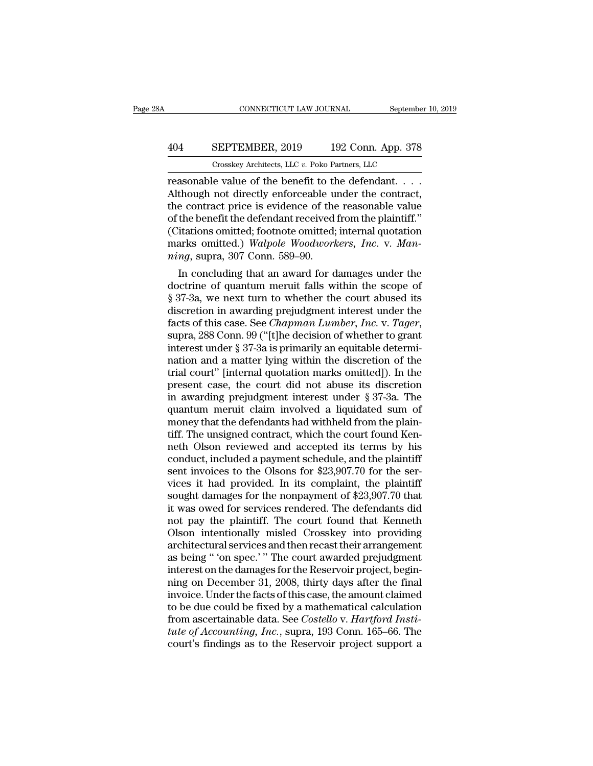## CONNECTICUT LAW JOURNAL September 10, 2019<br>404 SEPTEMBER, 2019 192 Conn. App. 378<br>Crosskey Architects, LLC v. Poko Partners, LLC CONNECTICUT LAW JOURNAL September<br>
SEPTEMBER, 2019 192 Conn. App. 378<br>
Crosskey Architects, LLC *v.* Poko Partners, LLC<br>
e value of the benefit to the defendant

CONNECTICUT LAW JOURNAL September 10, 2<br>
404 SEPTEMBER, 2019 192 Conn. App. 378<br>
Crosskey Architects, LLC v. Poko Partners, LLC<br>
reasonable value of the benefit to the defendant. . . .<br>
Although not directly enforceable un  $\begin{array}{r} \textbf{404} & \textbf{SEPTEMBER}, 2019 & 192 \text{ Conn. App. 378} \\ \textbf{Crosskey Architects}, \text{LLC } v. \text{ Poko Partners, LLC} \\ \textbf{reasonable value of the benefit to the defendant.} \\ \textbf{Although not directly enforceable under the contract, the contract price is evidence of the reasonable value of the benefit the defendant received from the plaintiff?} \end{array}$ 404 SEPTEMBER, 2019 192 Conn. App. 378<br>
Crosskey Architects, LLC v. Poko Partners, LLC<br>
reasonable value of the benefit to the defendant....<br>
Although not directly enforceable under the contract,<br>
the contract price is ev 404 SEPTEMBER, 2019 192 Conn. App. 378<br>
Crosskey Architects, LLC  $v$ . Poko Partners, LLC<br>
reasonable value of the benefit to the defendant.  $\ldots$ .<br>
Although not directly enforceable under the contract,<br>
the contract price (Contributed) Contributed; For the contract present of the benefit to the defendant....<br>Although not directly enforceable under the contract,<br>the contract price is evidence of the reasonable value<br>of the benefit the defen Crosskey Architects, LLC *v*. Poko Partners, LLC<br>reasonable value of the benefit to the defendant. . . . .<br>Although not directly enforceable under the contract,<br>the contract price is evidence of the reasonable value<br>of the reasonable value of the benefit to the Although not directly enforceable u<br>the contract price is evidence of the<br>of the benefit the defendant received<br>(Citations omitted; footnote omitted;<br>marks omitted.) *Walpole Woodwork* though not directly enforceable under the contract,<br>e contract price is evidence of the reasonable value<br>the benefit the defendant received from the plaintiff."<br>itations omitted; footnote omitted; internal quotation<br>arks the contract price is evidence of the reasonable value<br>of the benefit the defendant received from the plaintiff."<br>(Citations omitted.) Walpole Woodworkers, Inc. v. Man-<br>ning, supra, 307 Conn. 589–90.<br>In concluding that an

or the benefit the defendant received from the plaintiff.<br>
(Citations omitted; footnote omitted; internal quotation<br>
marks omitted.) Walpole Woodworkers, Inc. v. Man-<br>
ning, supra, 307 Conn. 589–90.<br>
In concluding that an (Citations omitted; footnote omitted; internal quotation<br>marks omitted.) Walpole Woodworkers, Inc. v. Man-<br>ning, supra, 307 Conn. 589–90.<br>In concluding that an award for damages under the<br>doctrine of quantum meruit falls marks omitted.) *Walpole Woodworkers, Inc.* v. *Manning*, supra, 307 Conn. 589–90.<br>
In concluding that an award for damages under the<br>
doctrine of quantum meruit falls within the scope of<br>
§ 37-3a, we next turn to whether In concluding that an award for damages under the doctrine of quantum meruit falls within the scope of § 37-3a, we next turn to whether the court abused its discretion in awarding prejudgment interest under the facts of t doctrine of quantum meruit falls within the scope of § 37-3a, we next turn to whether the court abused its discretion in awarding prejudgment interest under the facts of this case. See *Chapman Lumber*, *Inc.* v. *Tager*, § 37-3a, we next turn to whether the court abused its<br>discretion in awarding prejudgment interest under the<br>facts of this case. See *Chapman Lumber*, *Inc.* v. *Tager*,<br>supra, 288 Conn. 99 ("[t]he decision of whether to g discretion in awarding prejudgment interest under the<br>facts of this case. See *Chapman Lumber*, *Inc.* v. *Tager*,<br>supra, 288 Conn. 99 ("[t]he decision of whether to grant<br>interest under § 37-3a is primarily an equitable d facts of this case. See *Chapman Lumber*, *Inc.* v. *Tager*, supra, 288 Conn. 99 ("[t]he decision of whether to grant interest under § 37-3a is primarily an equitable determination and a matter lying within the discretion supra, 288 Conn. 99 ("[t]he decision of whether to grant<br>interest under § 37-3a is primarily an equitable determi-<br>nation and a matter lying within the discretion of the<br>trial court" [internal quotation marks omitted]). In interest under  $\S 37$ -3a is primarily an equitable determination and a matter lying within the discretion of the trial court" [internal quotation marks omitted]). In the present case, the court did not abuse its discretio nation and a matter lying within the discretion of the<br>trial court" [internal quotation marks omitted]). In the<br>present case, the court did not abuse its discretion<br>in awarding prejudgment interest under § 37-3a. The<br>quant trial court" [internal quotation marks omitted]). In the<br>present case, the court did not abuse its discretion<br>in awarding prejudgment interest under § 37-3a. The<br>quantum meruit claim involved a liquidated sum of<br>money tha present case, the court did not abuse its discretion<br>in awarding prejudgment interest under § 37-3a. The<br>quantum meruit claim involved a liquidated sum of<br>money that the defendants had withheld from the plain-<br>tiff. The un in awarding prejudgment interest under § 37-3a. The quantum meruit claim involved a liquidated sum of money that the defendants had withheld from the plaintiff. The unsigned contract, which the court found Kenneth Olson r quantum meruit claim involved a liquidated sum of<br>money that the defendants had withheld from the plain-<br>tiff. The unsigned contract, which the court found Ken-<br>neth Olson reviewed and accepted its terms by his<br>conduct, in money that the defendants had withheld from the plain-<br>tiff. The unsigned contract, which the court found Ken-<br>neth Olson reviewed and accepted its terms by his<br>conduct, included a payment schedule, and the plaintiff<br>sent tiff. The unsigned contract, which the court found Kenneth Olson reviewed and accepted its terms by his conduct, included a payment schedule, and the plaintiff sent invoices to the Olsons for \$23,907.70 for the services it neth Olson reviewed and accepted its terms by his<br>conduct, included a payment schedule, and the plaintiff<br>sent invoices to the Olsons for \$23,907.70 for the ser-<br>vices it had provided. In its complaint, the plaintiff<br>sough conduct, included a payment schedule, and the plaintiff<br>sent invoices to the Olsons for \$23,907.70 for the ser-<br>vices it had provided. In its complaint, the plaintiff<br>sought damages for the nonpayment of \$23,907.70 that<br>it sent invoices to the Olsons for \$23,907.70 for the services it had provided. In its complaint, the plaintiff sought damages for the nonpayment of \$23,907.70 that it was owed for services rendered. The defendants did not pa vices it had provided. In its complaint, the plaintiff<br>sought damages for the nonpayment of \$23,907.70 that<br>it was owed for services rendered. The defendants did<br>not pay the plaintiff. The court found that Kenneth<br>Olson in it was owed for services rendered. The defendants did<br>not pay the plaintiff. The court found that Kenneth<br>Olson intentionally misled Crosskey into providing<br>architectural services and then recast their arrangement<br>as being it was owed for services rendered. The defendants did<br>not pay the plaintiff. The court found that Kenneth<br>Olson intentionally misled Crosskey into providing<br>architectural services and then recast their arrangement<br>as being not pay the plaintiff. The court found that Kenneth<br>Olson intentionally misled Crosskey into providing<br>architectural services and then recast their arrangement<br>as being " 'on spec.' " The court awarded prejudgment<br>interest Olson intentionally misled Crosskey into providing<br>architectural services and then recast their arrangement<br>as being " 'on spec.' " The court awarded prejudgment<br>interest on the damages for the Reservoir project, begin-<br>ni as being " 'on spec.' " The court awarded prejudgment<br>interest on the damages for the Reservoir project, begin-<br>ning on December 31, 2008, thirty days after the final<br>invoice. Under the facts of this case, the amount claim as being " 'on spec.'" The court awarded prejudgment<br>interest on the damages for the Reservoir project, begin-<br>ning on December 31, 2008, thirty days after the final<br>invoice. Under the facts of this case, the amount claime interest on the damages for the Reservoir project, beginning on December 31, 2008, thirty days after the final<br>invoice. Under the facts of this case, the amount claimed<br>to be due could be fixed by a mathematical calculatio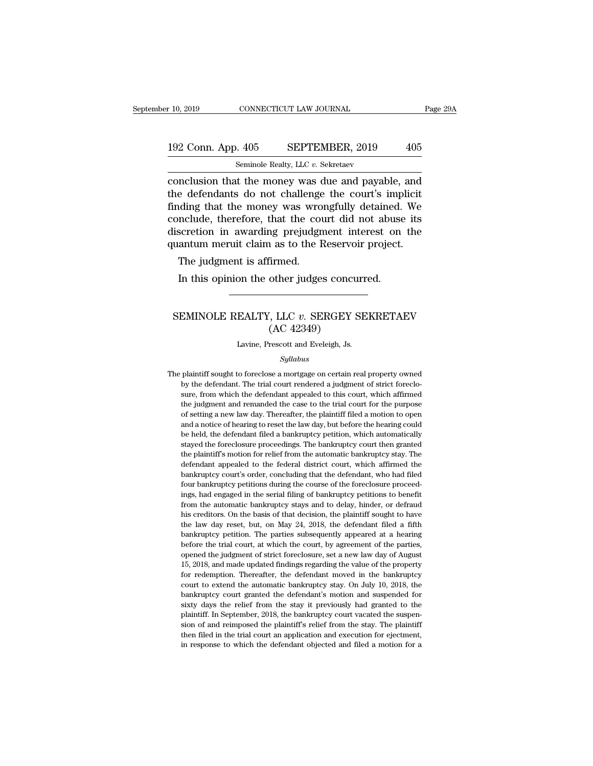# 10, 2019 CONNECTICUT LAW JOURNAL Page 29A<br>192 Conn. App. 405 SEPTEMBER, 2019 405<br>Seminole Realty, LLC v. Sekretaev r 10, 2019 CONNECTICUT LAW JOURNAL<br>192 Conn. App. 405 SEPTEMBER, 2019 405<br>Seminole Realty, LLC *v.* Sekretaev<br>conclusion that the money was due and payable, and

conclusion that the money was urrengfully deteined We<br>
Fage 29A<br>
conclusion that the money was due and payable, and<br>
the defendants do not challenge the court's implicit<br>
finding that the money was urrengfully deteined We 192 Conn. App.  $405$  SEPTEMBER,  $2019$   $405$ <br>Seminole Realty, LLC v. Sekretaev<br>conclusion that the money was due and payable, and<br>the defendants do not challenge the court's implicit<br>finding that the money was wrongfully 192 Conn. App. 405 SEPTEMBER, 2019 405<br>
Seminole Realty, LLC v. Sekretaev<br>
conclusion that the money was due and payable, and<br>
the defendants do not challenge the court's implicit<br>
finding that the money was wrongfully de 192 Conn. App.  $405$  SEPTEMBER,  $2019$  405<br>
seminole Realty, LLC v. Sekretaev<br>
conclusion that the money was due and payable, and<br>
the defendants do not challenge the court's implicit<br>
finding that the money was wrongfull Seminole Realty, LLC  $v$ . Sekretaev<br>conclusion that the money was due and payable, and<br>the defendants do not challenge the court's implicit<br>finding that the money was wrongfully detained. We<br>conclude, therefore, that the semmole Realty, LLC  $v$ . Sekretaev<br>conclusion that the money was due and payable, and<br>the defendants do not challenge the court's implicit<br>finding that the money was wrongfully detained. We<br>conclude, therefore, that the c reflectuation that the money was dependents do not challenge<br>ding that the money was wro<br>nclude, therefore, that the courscretion in awarding prejudgn<br>antum meruit claim as to the F<br>The judgment is affirmed.<br>In this opinio In this opinion the other judges concurred.<br>
In this opinion the other server of the court did not abuse<br>
scretion in awarding prejudgment interest on<br>
antum meruit claim as to the Reservoir project.<br>
The judgment is affir

### Muantum meruit claim as to the Reservoir project.<br>
The judgment is affirmed.<br>
In this opinion the other judges concurred.<br>
SEMINOLE REALTY, LLC *v.* SERGEY SEKRETAEV<br>
(AC 42349) firmed.<br>
other judges concu<br>
, LLC v. SERGEY S<br>
(AC 42349)<br>
rescott and Eveleigh, Js. SEMINOLE REALTY, LLC v. SERGEY SEKRETAEV<br>(AC 42349)<br>Lavine, Prescott and Eveleigh, Js.

### *Syllabus*

SENINULE REALTT, LLC  $v$ . SERGET SERRETAEV<br>
(AC 42349)<br>
Lavine, Prescott and Eveleigh, Js.<br>
Syllabus<br>
The plaintiff sought to foreclose a mortgage on certain real property owned<br>
by the defendant. The trial court rendered The plaintiff sought to foreclose a mortgage on certain real property owned<br>by the defendant. The trial court rendered a judgment of strict foreclo-<br>sure, from which the defendant appealed to this court, which affirmed<br>the Lavine, Prescott and Eveleigh, Js.<br>
Syllabus<br>
plaintiff sought to foreclose a mortgage on certain real property owned<br>
by the defendant. The trial court rendered a judgment of strict foreclo-<br>
sure, from which the defendan Syllabus<br>Syllabus<br>plaintiff sought to foreclose a mortgage on certain real property owned<br>by the defendant. The trial court rendered a judgment of strict foreclo-<br>sure, from which the defendant appealed to this court, whic Syllabus<br>plaintiff sought to foreclose a mortgage on certain real property owned<br>by the defendant. The trial court rendered a judgment of strict foreclo-<br>sure, from which the defendant appealed to this court, which affirme plaintiff sought to foreclose a mortgage on certain real property owned<br>by the defendant. The trial court rendered a judgment of strict foreclo-<br>sure, from which the defendant appealed to this court, which affirmed<br>the jud plantant boggin to toteclose a mortgage on ecreative to by the defendant. The trial court rendered a judgment of strict foreclosure, from which the defendant appealed to this court, which affirmed the judgment and remanded by are decided in the farm code centered a judgment of strict forces<br>sure, from which the defendant appealed to this court, which affirmed<br>the judgment and remanded the case to the trial court for the purpose<br>of setting a the judgment and remanded the case to the trial court for the purpose of setting a new law day. Thereafter, the plaintiff filed a motion to open and a notice of hearing to reset the law day, but before the hearing could be definite and remarked the case to the trial court for the purpose<br>of setting a new law day. Thereafter, the plaintiff filed a motion to open<br>and a notice of hearing to reset the law day, but before the hearing could<br>be hel be held, the defendant filed a bankruptcy petition, which automatically be held, the defendant filed a bankruptcy petition, which automatically stayed the foreclosure proceedings. The bankruptcy court then granted the plai four bankruptcy petitions during to test and analy, but select an halo, the held, the defendant filed a bankruptcy petition, which automatically stayed the foreclosure proceedings. The bankruptcy court then granted the pla inguistayed the foreclosure proceedings. The bankruptcy court then granted the plaintiff's motion for relief from the automatic bankruptcy stay. The defendant appealed to the federal district court, which affirmed the bank being the plaintiff's motion for relief from the automatic bankruptcy stay. The defendant appealed to the federal district court, which affirmed the bankruptcy court's order, concluding that the defendant, who had filed fo defendant appealed to the federal district court, which affirmed the bankruptcy court's order, concluding that the defendant, who had filed four bankruptcy petitions during the course of the foreclosure proceedings, had en decidually appeared to the redefinitionally that the defendant, who had filed four bankruptcy court's order, concluding that the defendant, who had filed four bankruptcy petitions during the course of the foreclosure proce bankruptcy bankruptcy petitions during that are defendant, who had med<br>four bankruptcy petitions during the course of the foreclosure proceed-<br>ings, had engaged in the serial filing of bankruptcy petitions to benefit<br>from before the automatic bankruptcy stays and to delay, hinder, or defraud his creditors. On the basis of that decision, the plaintiff sought to have the law day reset, but, on May 24, 2018, the defendant filed a fifth bankrup opened the automatic bankruptcy stays and to delay, hinder, or defraud his creditors. On the basis of that decision, the plaintiff sought to have the law day reset, but, on May 24, 2018, the defendant filed a fifth bankrup 16, 16 and made value of that decision, the plaintiff sought to have the law day reset, but, on May 24, 2018, the defendant filed a fifth bankruptcy petition. The parties subsequently appeared at a hearing before the trial for redemption. Thereafter, the defendant moved in the bankruptcy petition. The parties subsequently appeared at a hearing before the trial court, at which the court, by agreement of the parties, opened the judgment of str court to extend the automatic bankruptcy stay. On July 10, 2018, the discussion of the parties, opened the judgment of strict foreclosure, set a new law day of August 15, 2018, and made updated findings regarding the value before the trial court, at which the court, by agreement of the parties, opened the judgment of strict foreclosure, set a new law day of August 15, 2018, and made updated findings regarding the value of the property for re sizione are anal court, at which are court, by agreement of are paraces, opened the judgment of strict foreclosure, set a new law day of August 15, 2018, and made updated findings regarding the value of the property for re 15, 2018, and made updated findings regarding the value of the property for redemption. Thereafter, the defendant moved in the bankruptcy court to extend the automatic bankruptcy stay. On July 10, 2018, the bankruptcy cour solid and reimposed the defendant moved in the bankruptcy<br>for redemption. Thereafter, the defendant moved in the bankruptcy<br>court to extend the automatic bankruptcy stay. On July 10, 2018, the<br>bankruptcy court granted the the filed in the trial court of extendant moved in the bankruptcy<br>court to extend the automatic bankruptcy stay. On July 10, 2018, the<br>bankruptcy court granted the defendant's motion and suspended for<br>sixty days the relief bankruptcy court granted the defendant's motion and suspended for sixty days the relief from the stay it previously had granted to the plaintiff. In September, 2018, the bankruptcy court vacated the suspension of and reimp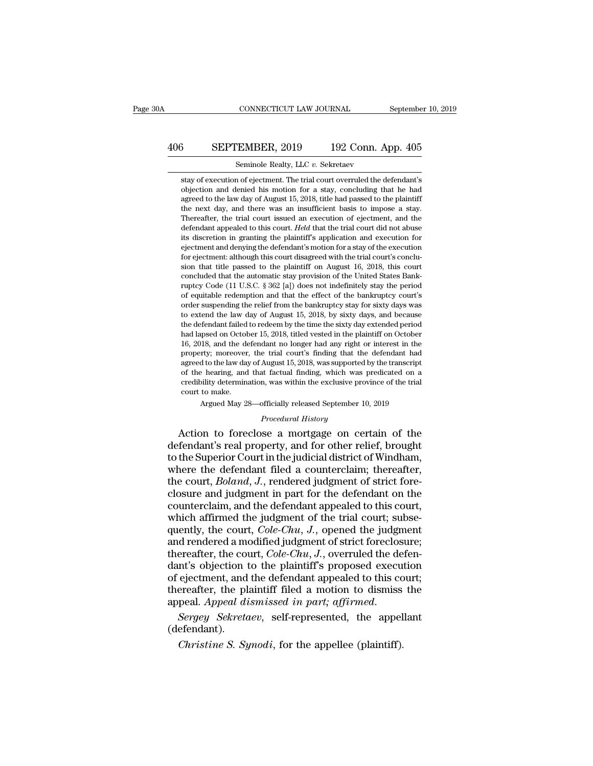## CONNECTICUT LAW JOURNAL September 10, 2019<br>406 SEPTEMBER, 2019 192 Conn. App. 405<br>Seminole Realty, LLC v. Sekretaev CONNECTICUT LAW JOURNAL<br>EMBER, 2019 192 Conn. A<br>Seminole Realty, LLC *v.* Sekretaev<br>a of ejectment. The trial court overruled the de

SEPTEMBER, 2019 192 Conn. App. 405<br>
Seminole Realty, LLC  $v$ . Sekretaev<br>
stay of execution of ejectment. The trial court overruled the defendant's<br>
objection and denied his motion for a stay, concluding that he had **SEPTEMBER, 2019** 192 Conn. App. 405<br>Seminole Realty, LLC  $v$ . Sekretaev<br>stay of execution of ejectment. The trial court overruled the defendant's<br>objection and denied his motion for a stay, concluding that he had<br>agreed 3 SEPTEMBER, 2019 192 Conn. App. 405<br>
Seminole Realty, LLC  $v$ . Sekretaev<br>
stay of execution of ejectment. The trial court overruled the defendant's<br>
objection and denied his motion for a stay, concluding that he had<br>
agr SET TERESTRY, 2010 1022 CORRECT PROCEDED SERVERT SERVERT SERVERT SURVERTED SERVERT SURVERTED SURVERTED AND A SURVERTED SURVERTED AN interest day, and there was an insufficient basis to impose a stay. Thereafter, the trial Seminole Realty, LLC  $v$ . Sekretaev<br>stay of execution of ejectment. The trial court overruled the defendant's<br>objection and denied his motion for a stay, concluding that he had<br>agreed to the law day of August 15, 2018, ti stay of execution of ejectment. The trial court overruled the defendant's objection and denied his motion for a stay, concluding that he had agreed to the law day of August 15, 2018, title had passed to the plaintiff the n stay of execution of ejectment. The trial court overruied the defendant s<br>objection and denied his motion for a stay, concluding that he had<br>agreed to the law day of August 15, 2018, title had passed to the plaintiff<br>the n objection and denied his motion for a stay, concluding that he had agreed to the law day of August 15, 2018, title had passed to the plaintiff the next day, and there was an insufficient basis to impose a stay. Thereafter, agreed to the law day of August 15, 2018, title had passed to the plaintiff the next day, and there was an insufficient basis to impose a stay. Thereafter, the trial court issued an execution of ejectment, and the defenda the next day, and there was an insumcent basis to impose a stay.<br>Thereafter, the trial court issued an execution of ejectment, and the<br>defendant appealed to this court. *Held* that the trial court did not abuse<br>its discret defendant appealed to this court. Held that the trial court did not abuse its discretion in granting the plaintiff's application and execution for ejectment and denying the defendant's motion for a stay of the execution f derendant appealed to this court. *Held* that the trial court did not abuse<br>its discretion in granting the plaintiff's application and execution for<br>ejectment and denying the defendant's motion for a stay of the execution<br> its discretion in granting the plaintin's application and exectition for<br>ejectment and denying the defendant's motion for a stay of the execution<br>for ejectment: although this court disagreed with the trial court's conclu-<br> ejectment and denying the derendant s motion for a stay of the execution<br>for ejectment: although this court disagreed with the trial court's conclu-<br>sion that title passed to the plaintiff on August 16, 2018, this court<br>co for ejectment: atthough this court disagreed with the that court s conclusion that title passed to the plaintiff on August 16, 2018, this court concluded that the automatic stay provision of the United States Bank-ruptcy C sion that title passed to the plaintiff on August 16, 2018, this court<br>concluded that the automatic stay provision of the United States Bank-<br>ruptcy Code (11 U.S.C. § 362 [a]) does not indefinitely stay the period<br>of equit concluded that the automatic stay provision of the United States Bank-<br>ruptcy Code (11 U.S.C. § 362 [a]) does not indefinitely stay the period<br>of equitable redemption and that the effect of the bankruptcy court's<br>order sus ruptcy Code (11 U.S.C. § 302 [a]) does not indefinitely stay the period of equitable redemption and that the effect of the bankruptcy court's order suspending the relief from the bankruptcy stay for sixty days was to exten or equitable redemption and that the effect or the bankruptcy court's<br>order suspending the relief from the bankruptcy stay for sixty days was<br>to extend the law day of August 15, 2018, by sixty days, and because<br>the defenda order suspending the relief from the bankruptcy stay for sixty days was<br>to extend the law day of August 15, 2018, by sixty days, and because<br>the defendant failed to redeem by the time the sixty day extended period<br>had laps to extend the law day of August 15, 2018, by sixty days, and because<br>the defendant failed to redeem by the time the sixty day extended period<br>had lapsed on October 15, 2018, titled vested in the plaintiff on October<br>16, 20 the detendant raned to redeem by the time the sixty day extended period<br>had lapsed on October 15, 2018, titled vested in the plaintiff on October<br>16, 2018, and the defendant no longer had any right or interest in the<br>prope nad lapsed on Octor<br>16, 2018, and the de<br>property; moreover<br>agreed to the law day<br>of the hearing, and<br>credibility determina<br>court to make.<br>Argued May 2: From the discussion of the trial conger had any right of interest in the drivery; moreover, the trial court's finding that the defendant had d to the law day of August 15, 2018, was supported by the transcript behaving, an August 15, 2018, was supported<br>*at factual finding, which was*<br>*n, was within the exclusive pro<br><i>Procedural History*<br>**Procedural History**<br>**Se a mortgage on ce**l property; interestive, the trial court's intuing that the defendant had<br>agreed to the law day of August 15, 2018, was supported by the transcript<br>of the hearing, and that factual finding, which was predicated on a<br>credibil

defendant and that factual finding, which was predicated on a<br>credibility determination, was within the exclusive province of the trial<br>court to make.<br>Argued May 28—officially released September 10, 2019<br>*Procedural Histor* redibility determination, was within the exclusive province of the trial<br>court to make.<br>Argued May 28—officially released September 10, 2019<br>*Procedural History*<br>Action to foreclose a mortgage on certain of the<br>defendant's court to make.<br>Argued May 28—officially released September 10, 2019<br>*Procedural History*<br>Action to foreclose a mortgage on certain of the<br>defendant's real property, and for other relief, brought<br>to the Superior Court in th Argued May 28—officially released September 10, 2019<br>*Procedural History*<br>Action to foreclose a mortgage on certain of the<br>defendant's real property, and for other relief, brought<br>to the Superior Court in the judicial dist *Procedural History*<br>Action to foreclose a mortgage on certain of the<br>defendant's real property, and for other relief, brought<br>to the Superior Court in the judicial district of Windham,<br>where the defendant filed a counterc Action to foreclose a mortgage on certain of the<br>defendant's real property, and for other relief, brought<br>to the Superior Court in the judicial district of Windham,<br>where the defendant filed a counterclaim; thereafter,<br>th defendant's real property, and for other relief, brought<br>to the Superior Court in the judicial district of Windham,<br>where the defendant filed a counterclaim; thereafter,<br>the court, *Boland*, *J*., rendered judgment of str to the Superior Court in the judicial district of Windham,<br>where the defendant filed a counterclaim; thereafter,<br>the court, *Boland*, *J*., rendered judgment of strict fore-<br>closure and judgment in part for the defendant o where the defendant filed a counterclaim; thereafter,<br>the court, *Boland*, *J*., rendered judgment of strict fore-<br>closure and judgment in part for the defendant on the<br>counterclaim, and the defendant appealed to this cou the court, *Boland*, *J.*, rendered judgment of strict fore-<br>closure and judgment in part for the defendant on the<br>counterclaim, and the defendant appealed to this court,<br>which affirmed the judgment of the trial court; sub closure and judgment in part for the defendant on the counterclaim, and the defendant appealed to this court, which affirmed the judgment of the trial court; subsequently, the court, *Cole-Chu*, *J*., opened the judgment counterclaim, and the defendant appealed to this court,<br>which affirmed the judgment of the trial court; subse-<br>quently, the court, *Cole-Chu*, *J*., opened the judgment<br>and rendered a modified judgment of strict foreclosu which affirmed the judgment of the trial court; subsequently, the court, *Cole-Chu*, *J*., opened the judgment and rendered a modified judgment of strict foreclosure; thereafter, the court, *Cole-Chu*, *J*., overruled the mearly, the court, *Cole-Chu*, *J*., opened the judgment<br>and rendered a modified judgment of strict foreclosure;<br>thereafter, the court, *Cole-Chu*, *J*., overruled the defen-<br>dant's objection to the plaintiff's proposed ex In the plaint of the plaint of the secure ejectment, and the defendant appealed to this covereafter, the plaintiff filed a motion to dismiss peal. *Appeal dismissed in part*; *affirmed.*<br>*Sergey Sekretaev*, self-represente

(defendant).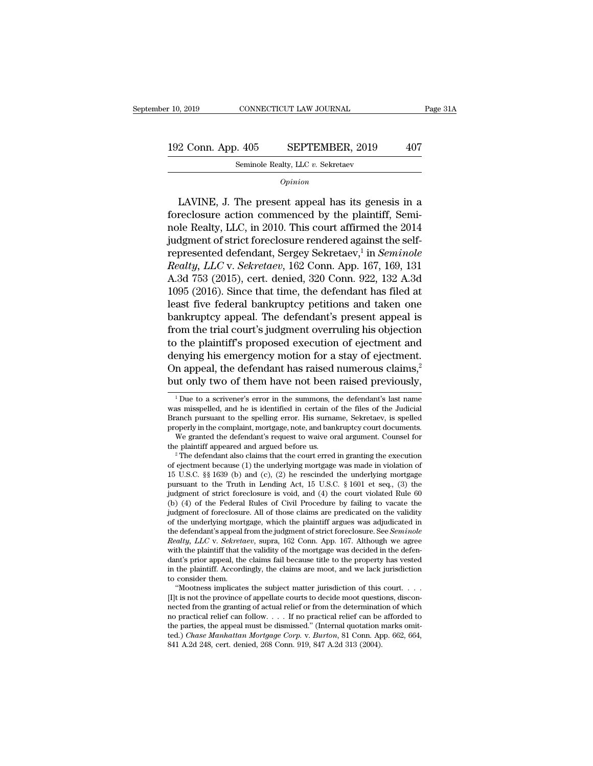10, 2019 CONNECTICUT LAW JOURNAL Page 31A<br>192 Conn. App. 405 SEPTEMBER, 2019 407<br>Seminole Realty, LLC v. Sekretaev CONNECTICUT LAW JOURNAL<br>
. 405 SEPTEMBER, 2019<br>
Seminole Realty, LLC *v.* Sekretaev<br>
Opinion

*Opinion*

2 Conn. App. 405 SEPTEMBER, 2019 407<br>
Seminole Realty, LLC v. Sekretaev<br>  $\frac{1}{\text{Option}}$ <br>
LAVINE, J. The present appeal has its genesis in a<br>
reclosure action commenced by the plaintiff, Semi-192 Conn. App. 405 SEPTEMBER, 2019 407<br>
Seminole Realty, LLC v. Sekretaev<br>  $\frac{1}{\text{Option}}$ <br>
LAVINE, J. The present appeal has its genesis in a foreclosure action commenced by the plaintiff, Semi-<br>
nole Realty, LLC, in 2010. 192 Conn. App. 405 SEPTEMBER, 2019 407<br>
Seminole Realty, LLC v. Sekretaev<br>  $\overline{Opinion}$ <br>
LAVINE, J. The present appeal has its genesis in a<br>
foreclosure action commenced by the plaintiff, Seminole Realty, LLC, in 2010. This Seminole Realty, LLC v. Sekretaev<br> *Opinion*<br>
LAVINE, J. The present appeal has its genesis in a<br>
foreclosure action commenced by the plaintiff, Seminole<br>
Realty, LLC, in 2010. This court affirmed the 2014<br>
judgment of str *Opinion*<br>LAVINE, J. The present appeal has its genes:<br>foreclosure action commenced by the plaintiff,<br>nole Realty, LLC, in 2010. This court affirmed th<br>judgment of strict foreclosure rendered against the<br>represented defen represented defendant, Sergey Sekretaev,<sup>1</sup> in *Seminole* LAVINE, J. The present appeal has its genesis in a<br>foreclosure action commenced by the plaintiff, Semi-<br>nole Realty, LLC, in 2010. This court affirmed the 2014<br>judgment of strict foreclosure rendered against the self-<br>repr LAVINE, J. The present appeal has its genesis in a<br>foreclosure action commenced by the plaintiff, Semi-<br>nole Realty, LLC, in 2010. This court affirmed the 2014<br>judgment of strict foreclosure rendered against the self-<br>repr foreclosure action commenced by the plaintiff, Semi-<br>nole Realty, LLC, in 2010. This court affirmed the 2014<br>judgment of strict foreclosure rendered against the self-<br>represented defendant, Sergey Sekretaev,<sup>1</sup> in *Semino* nole Realty, LLC, in 2010. This court affirmed the 2014<br>judgment of strict foreclosure rendered against the self-<br>represented defendant, Sergey Sekretaev,<sup>1</sup> in *Seminole*<br>Realty, LLC v. *Sekretaev*, 162 Conn. App. 167, 16 judgment of strict foreclosure rendered against the self-<br>represented defendant, Sergey Sekretaev,<sup>1</sup> in *Seminole*<br>Realty, LLC v. *Sekretaev*, 162 Conn. App. 167, 169, 131<br>A.3d 753 (2015), cert. denied, 320 Conn. 922, 132 represented defendant, Sergey Sekretaev,<sup>1</sup> in *Seminole*<br>*Realty, LLC* v. *Sekretaev*, 162 Conn. App. 167, 169, 131<br>A.3d 753 (2015), cert. denied, 320 Conn. 922, 132 A.3d<br>1095 (2016). Since that time, the defendant has fi Realty, LLC v. Sekretaev, 162 Conn. App. 167, 169, 131<br>A.3d 753 (2015), cert. denied, 320 Conn. 922, 132 A.3d<br>1095 (2016). Since that time, the defendant has filed at<br>least five federal bankruptcy petitions and taken one<br>b A.3d 753 (2015), cert. denied, 320 Conn. 922, 132 A.3d<br>1095 (2016). Since that time, the defendant has filed at<br>least five federal bankruptcy petitions and taken one<br>bankruptcy appeal. The defendant's present appeal is<br>fro 1095 (2016). Since that time, the defendant has filed at least five federal bankruptcy petitions and taken one bankruptcy appeal. The defendant's present appeal is from the trial court's judgment overruling his objection least five federal bankruptcy petitions and taken one<br>bankruptcy appeal. The defendant's present appeal is<br>from the trial court's judgment overruling his objection<br>to the plaintiff's proposed execution of ejectment and<br>de The plaintiff's proposed execution of ejectment and<br>enying his emergency motion for a stay of ejectment.<br>In appeal, the defendant has raised numerous claims,<sup>2</sup><br>it only two of them have not been raised previously,<br> $\frac{1}{1$ denying his emergency motion for a stay of ejectment.<br>On appeal, the defendant has raised numerous claims,<sup>2</sup><br>but only two of them have not been raised previously,<br> $\frac{1}{1}$  Due to a scrivener's error in the summons, the

On appeal, the defendant has raised numerous claims,<sup>2</sup> but only two of them have not been raised previously,<br><sup>1</sup> Due to a scrivener's error in the summons, the defendant's last name was misspelled, and he is identified i but only two of them have not been raised previously,<br>
<sup>1</sup>Due to a scrivener's error in the summons, the defendant's last name<br>
was misspelled, and he is identified in certain of the files of the Judicial<br>
Branch pursuant It only two of them have not been raised previously,<br><sup>1</sup>Due to a scrivener's error in the summons, the defendant's last name<br>as misspelled, and he is identified in certain of the files of the Judicial<br>anch pursuant to the <sup>1</sup> Due to a scrivener's error in the summons, the defendant's last name<br>was misspelled, and he is identified in certain of the files of the Judicial<br>Branch pursuant to the spelling error. His surname, Sekretaev, is spell

was misspelled, and he is identified in certain of the files of the Judicial<br>Branch pursuant to the spelling error. His surname, Sekretaev, is spelled<br>properly in the complaint, mortgage, note, and bankruptcy court docume Branch pursuant to the spelling error. His surname, Sekretaev, is spelled<br>properly in the complaint, mortgage, note, and bankruptcy court documents.<br>We granted the defendant's request to waive oral argument. Counsel for<br>t properly in the complaint, mortgage, note, and bankruptcy court documents.<br>We granted the defendant's request to waive oral argument. Counsel for<br>the plaintiff appeared and argued before us.<br><sup>2</sup> The defendant also claims t We granted the defendant's request to waive oral argument. Counsel for<br>the plaintiff appeared and argued before us.<br><sup>2</sup> The defendant also claims that the court erred in granting the execution<br>of ejectment because (1) the the plaintiff appeared and argued before us.<br>
<sup>2</sup> The defendant also claims that the court erred in granting the execution<br>
of ejectment because (1) the underlying mortgage was made in violation of<br>
15 U.S.C. §§ 1639 (b) <sup>2</sup> The defendant also claims that the court erred in granting the execution of ejectment because (1) the underlying mortgage was made in violation of 15 U.S.C. §§ 1639 (b) and (c), (2) he rescinded the underlying mortgag of ejectment because (1) the underlying mortgage was made in violation of 15 U.S.C. §§ 1639 (b) and (c), (2) he rescinded the underlying mortgage pursuant to the Truth in Lending Act, 15 U.S.C. § 1601 et seq., (3) the jud 15 U.S.C. §§ 1639 (b) and (c), (2) he rescinded the underlying mortgage pursuant to the Truth in Lending Act, 15 U.S.C. § 1601 et seq., (3) the judgment of strict foreclosure is void, and (4) the court violated Rule 60 (b pursuant to the Truth in Lending Act, 15 U.S.C. § 1601 et seq., (3) the judgment of strict foreclosure is void, and (4) the court violated Rule 60 (b) (4) of the Federal Rules of Civil Procedure by failing to vacate the ju judgment of strict foreclosure is void, and (4) the court violated kule 60 (b) (4) of the Federal Rules of Civil Procedure by failing to vacate the judgment of foreclosure. All of those claims are predicated on the validi (b) (4) of the Federal Rules of Civil Procedure by failing to vacate the judgment of foreclosure. All of those claims are predicated on the validity of the underlying mortgage, which the plaintiff argues was adjudicated i judgment of foreclosure. All of those claims are predicated on the validity<br>of the underlying mortgage, which the plaintiff argues was adjudicated in<br>the defendant's appeal from the judgment of strict foreclosure. See *Sem* of the underlying mort<br>the defendant's appeal if<br>Realty, LLC v. Sekreta<br>with the plaintiff that tl<br>dant's prior appeal, the<br>in the plaintiff. Accord<br>to consider them.<br>"Mootness implicate e defendant's appeal from the judgment of strict foreclosure. See *Seminole*<br> *ealty*, *LLC* v. *Sekretaev*, supra, 162 Conn. App. 167. Although we agree<br>
th the plaintiff that the validity of the mortgage was decided in t *Realty, LLC v. Sekretaev,* supra, 162 Conn. App. 167. Although we agree with the plaintiff that the validity of the mortgage was decided in the defendant's prior appeal, the claims fail because title to the property has v

with the plaintiff that the validity of the mortgage was decided in the defendant's prior appeal, the claims fail because title to the property has vested in the plaintiff. Accordingly, the claims are moot, and we lack ju dant's prior appeal, the claims fail because title to the property has vested<br>in the plaintiff. Accordingly, the claims are moot, and we lack jurisdiction<br>to consider them.<br>"Mootness implicates the subject matter jurisdic in the plaintiff. Accordingly, the claims are moot, and we lack jurisdiction<br>to consider them.<br>"Mootness implicates the subject matter jurisdiction of this court....<br>[I]t is not the province of appellate courts to decide to consider them.<br>
"Mootness implicates the subject matter jurisdiction of this court. . . . . .<br>
[I]t is not the province of appellate courts to decide moot questions, discon-<br>
nected from the granting of actual relief or "Mootness implicates the subject matter jurisdiction of this [I]t is not the province of appellate courts to decide moot questite metered from the granting of actual relief or from the determination practical relief can f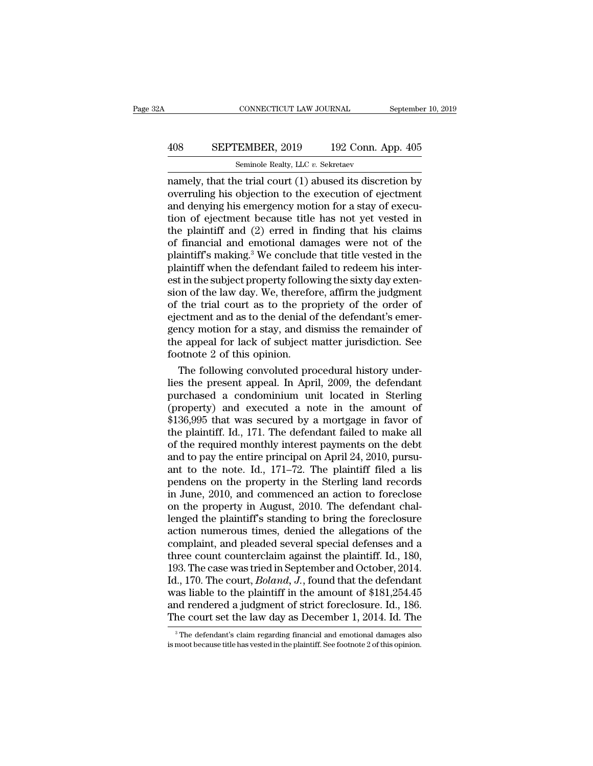## CONNECTICUT LAW JOURNAL September 10, 2019<br>408 SEPTEMBER, 2019 192 Conn. App. 405<br>Seminole Realty, LLC v. Sekretaev CONNECTICUT LAW JOURNAL<br>EMBER, 2019 192 Conn. A<br>Seminole Realty, LLC *v.* Sekretaev<br>ne trial court (1) abused its discre

CONNECTICUT LAW JOURNAL September 10, 2019<br>
408 SEPTEMBER, 2019 192 Conn. App. 405<br>
Seminole Realty, LLC v. Sekretaev<br>
namely, that the trial court (1) abused its discretion by<br>
overruling his objection to the execution of  $\begin{array}{ll}\n & \text{SEPTEMBER, 2019} & \text{192 Conn. App. 405} \\
 \hline\n & \text{Seminole Realty, LLC } v. \text{ Sekretaev} \\
 \text{namely, that the trial court (1) abused its discretion by overruling his objection to the execution of ejectment and denying his emergency motion for a stay of execution of ajectment because title has not yet used in\n\end{array}$ 408 SEPTEMBER, 2019 192 Conn. App. 405<br>
Seminole Realty, LLC v. Sekretaev<br>
namely, that the trial court (1) abused its discretion by<br>
overruling his objection to the execution of ejectment<br>
and denying his emergency motio 408 SEPTEMBER, 2019 192 Conn. App. 405<br>
Seminole Realty, LLC  $v$ . Sekretaev<br>
namely, that the trial court (1) abused its discretion by<br>
overruling his objection to the execution of ejectment<br>
and denying his emergency mot San Finding, 2010 162 Colubit Fig. 2010<br>Seminole Realty, LLC v. Sekretaev<br>namely, that the trial court (1) abused its discretion by<br>overruling his objection to the execution of ejectment<br>and denying his emergency motion f Seminole Realty, LLC  $v$ . Sekretaev<br>
namely, that the trial court (1) abused its discretion by<br>
overruling his objection to the execution of ejectment<br>
and denying his emergency motion for a stay of execu-<br>
tion of ejectm namely, that the trial court (1) abused its discretion by<br>overruling his objection to the execution of ejectment<br>and denying his emergency motion for a stay of execu-<br>tion of ejectment because title has not yet vested in<br>t overruling his objection to the execution of ejectment<br>and denying his emergency motion for a stay of execution of ejectment because title has not yet vested in<br>the plaintiff and (2) erred in finding that his claims<br>of fin and denying his emergency motion for a stay of execution of ejectment because title has not yet vested in the plaintiff and (2) erred in finding that his claims of financial and emotional damages were not of the plaintiff' tion of ejectment because title has not yet vested in<br>the plaintiff and (2) erred in finding that his claims<br>of financial and emotional damages were not of the<br>plaintiff's making.<sup>3</sup> We conclude that title vested in the<br>pl the plaintiff and (2) erred in finding that his claims<br>of financial and emotional damages were not of the<br>plaintiff's making.<sup>3</sup> We conclude that title vested in the<br>plaintiff when the defendant failed to redeem his interof financial and emotional damages were not of the plaintiff's making.<sup>3</sup> We conclude that title vested in the plaintiff when the defendant failed to redeem his inter-<br>est in the subject property following the sixty day ex plaintiff's making.<sup>3</sup> We conclude that title vested in the plaintiff when the defendant failed to redeem his inter-<br>est in the subject property following the sixty day exten-<br>sion of the law day. We, therefore, affirm the plaintiff when the defendant failed to redeem his inter-<br>est in the subject property following the sixty day exten-<br>sion of the law day. We, therefore, affirm the judgment<br>of the trial court as to the propriety of the orde est in the subject property follow<br>sion of the law day. We, therefo<br>of the trial court as to the pro<br>ejectment and as to the denial o<br>gency motion for a stay, and dis<br>the appeal for lack of subject r<br>footnote 2 of this opi on of the law day. We, therefore, affirm the judgment<br>the trial court as to the propriety of the order of<br>ectment and as to the denial of the defendant's emer-<br>ncy motion for a stay, and dismiss the remainder of<br>e appeal f of the trial court as to the propriety of the order of<br>ejectment and as to the denial of the defendant's emer-<br>gency motion for a stay, and dismiss the remainder of<br>the appeal for lack of subject matter jurisdiction. See<br>f

ejectment and as to the denial of the defendant's emergency motion for a stay, and dismiss the remainder of<br>the appeal for lack of subject matter jurisdiction. See<br>footnote 2 of this opinion.<br>The following convoluted proce gency motion for a stay, and dismiss the remainder of<br>the appeal for lack of subject matter jurisdiction. See<br>footnote 2 of this opinion.<br>The following convoluted procedural history under-<br>lies the present appeal. In April the appeal for lack of subject matter jurisdiction. See<br>footnote 2 of this opinion.<br>The following convoluted procedural history under-<br>lies the present appeal. In April, 2009, the defendant<br>purchased a condominium unit loc footnote 2 of this opinion.<br>The following convoluted procedural history under-<br>lies the present appeal. In April, 2009, the defendant<br>purchased a condominium unit located in Sterling<br>(property) and executed a note in the The following convoluted procedural history underlies the present appeal. In April, 2009, the defendant purchased a condominium unit located in Sterling (property) and executed a note in the amount of \$136,995 that was se lies the present appeal. In April, 2009, the defendant<br>purchased a condominium unit located in Sterling<br>(property) and executed a note in the amount of<br>\$136,995 that was secured by a mortgage in favor of<br>the plaintiff. Id. purchased a condominium unit located in Sterling<br>(property) and executed a note in the amount of<br>\$136,995 that was secured by a mortgage in favor of<br>the plaintiff. Id., 171. The defendant failed to make all<br>of the required (property) and executed a note in the amount of  $$136,995$  that was secured by a mortgage in favor of the plaintiff. Id., 171. The defendant failed to make all of the required monthly interest payments on the debt and to  $$136,995$  that was secured by a mortgage in favor of<br>the plaintiff. Id., 171. The defendant failed to make all<br>of the required monthly interest payments on the debt<br>and to pay the entire principal on April 24, 2010, purs the plaintiff. Id., 171. The defendant failed to make all<br>of the required monthly interest payments on the debt<br>and to pay the entire principal on April 24, 2010, pursu-<br>ant to the note. Id., 171–72. The plaintiff filed a of the required monthly interest payments on the debt<br>and to pay the entire principal on April 24, 2010, pursu-<br>ant to the note. Id., 171–72. The plaintiff filed a lis<br>pendens on the property in the Sterling land records<br>i and to pay the entire principal on April 24, 2010, pursu-<br>ant to the note. Id., 171–72. The plaintiff filed a lis<br>pendens on the property in the Sterling land records<br>in June, 2010, and commenced an action to foreclose<br>on ant to the note. Id., 171–72. The plaintiff filed a lis<br>pendens on the property in the Sterling land records<br>in June, 2010, and commenced an action to foreclose<br>on the property in August, 2010. The defendant chal-<br>lenged t pendens on the property in the Sterling land records<br>in June, 2010, and commenced an action to foreclose<br>on the property in August, 2010. The defendant chal-<br>lenged the plaintiff's standing to bring the foreclosure<br>action in June, 2010, and commenced an action to foreclose<br>on the property in August, 2010. The defendant chal-<br>lenged the plaintiff's standing to bring the foreclosure<br>action numerous times, denied the allegations of the<br>complai on the property in August, 2010. The defendant chal-<br>lenged the plaintiff's standing to bring the foreclosure<br>action numerous times, denied the allegations of the<br>complaint, and pleaded several special defenses and a<br>three lenged the plaintiff's standing to bring the foreclosure<br>action numerous times, denied the allegations of the<br>complaint, and pleaded several special defenses and a<br>three count counterclaim against the plaintiff. Id., 180,<br> action numerous times, denied the allegations of the complaint, and pleaded several special defenses and a three count counterclaim against the plaintiff. Id., 180, 193. The case was tried in September and October, 2014. I complaint, and pleaded several special defenses and a<br>three count counterclaim against the plaintiff. Id., 180,<br>193. The case was tried in September and October, 2014.<br>Id., 170. The court, *Boland*, *J*., found that the de 1., 170. The court, *Boland*, J., found that the defendant<br>as liable to the plaintiff in the amount of \$181,254.45<br>nd rendered a judgment of strict foreclosure. Id., 186.<br>he court set the law day as December 1, 2014. Id. was liable to the plaintiff in the amount of \$181,254.45 and rendered a judgment of strict foreclosure. Id., 186.<br>The court set the law day as December 1, 2014. Id. The  $\frac{3}{100}$  The defendant's claim regarding financia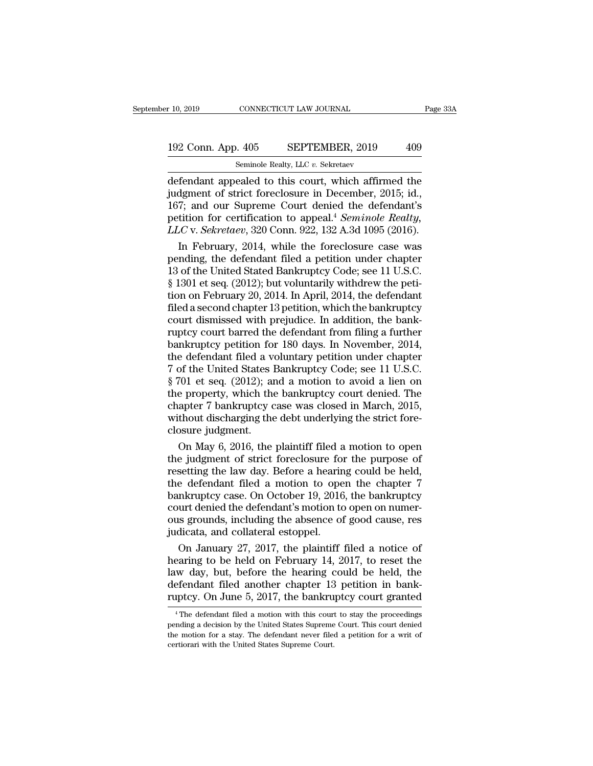# 10, 2019 CONNECTICUT LAW JOURNAL Page 33A<br>192 Conn. App. 405 SEPTEMBER, 2019 409<br>Seminole Realty, LLC v. Sekretaev r 10, 2019 CONNECTICUT LAW JOURNAL<br>192 Conn. App. 405 SEPTEMBER, 2019 409<br>Seminole Realty, LLC *v.* Sekretaev<br>defendant appealed to this court, which affirmed the

 $\begin{array}{|l|l|} \hline \text{10, 2019} & \text{CONNECTICUT LAW JOURNAL} & \text{Page 33A} \ \hline \end{array}$ <br>192 Conn. App. 405 SEPTEMBER, 2019 409 Seminole Realty, LLC v. Sekretaev<br>defendant appealed to this court, which affirmed the judgment of strict foreclosure i 192 Conn. App. 405 SEPTEMBER, 2019 409<br>Seminole Realty, LLC v. Sekretaev<br>defendant appealed to this court, which affirmed the<br>judgment of strict foreclosure in December, 2015; id.,<br>167; and our Supreme Court denied the def 192 Conn. App. 405 SEPTEMBER, 2019 409<br>
Seminole Realty, LLC v. Sekretaev<br>
defendant appealed to this court, which affirmed the<br>
judgment of strict foreclosure in December, 2015; id.,<br>
167; and our Supreme Court denied th 192 Conn. App. 405 SEPTEMBER, 2019 409<br>
Seminole Realty, LLC v. Sekretaev<br>
defendant appealed to this court, which affirmed the<br>
judgment of strict foreclosure in December, 2015; id.,<br>
167; and our Supreme Court denied the **LEX** CONIT. 14pp. 160 CONIT TEMDER, 2016 160<br> **LEX** CONIT. 14pp. 160 SER TEMDER, 2016 160<br>
defendant appealed to this court, which affirmed the<br>
judgment of strict foreclosure in December, 2015; id.,<br>
167; and our Supreme In February, 2014, which affirmed the digment of strict foreclosure in December, 2015; id., 7; and our Supreme Court denied the defendant's tition for certification to appeal.<sup>4</sup> *Seminole Realty,*  $LC$  v. *Sekretaev*, 320 defendant appealed to this court, which affirmed the<br>judgment of strict foreclosure in December, 2015; id.,<br>167; and our Supreme Court denied the defendant's<br>petition for certification to appeal.<sup>4</sup> Seminole Realty,<br>LLC v

judgment of strict foreclosure in December, 2015; id., 167; and our Supreme Court denied the defendant's petition for certification to appeal.<sup>4</sup> *Seminole Realty, LLC* v. *Sekretaev*, 320 Conn. 922, 132 A.3d 1095 (2016 167; and our Supreme Court denied the defendant's<br>petition for certification to appeal.<sup>4</sup> Seminole Realty,<br>LLC v. Sekretaev, 320 Conn. 922, 132 A.3d 1095 (2016).<br>In February, 2014, while the foreclosure case was<br>pending, petition for certification to appeal.<sup>4</sup> *Seminole Realty,*<br>*LLC* v. *Sekretaev*, 320 Conn. 922, 132 A.3d 1095 (2016).<br>In February, 2014, while the foreclosure case was<br>pending, the defendant filed a petition under chapter LLC v. Sekretaev, 320 Conn. 922, 132 A.3d 1095 (2016).<br>
In February, 2014, while the foreclosure case was<br>
pending, the defendant filed a petition under chapter<br>
13 of the United Stated Bankruptcy Code; see 11 U.S.C.<br>
§ 13 In February, 2014, while the foreclosure case was<br>pending, the defendant filed a petition under chapter<br>13 of the United Stated Bankruptcy Code; see 11 U.S.C.<br>§ 1301 et seq. (2012); but voluntarily withdrew the peti-<br>tion pending, the defendant filed a petition under chapter<br>13 of the United Stated Bankruptcy Code; see 11 U.S.C.<br>§ 1301 et seq. (2012); but voluntarily withdrew the peti-<br>tion on February 20, 2014. In April, 2014, the defendan 13 of the United Stated Bankruptcy Code; see 11 U.S.C.<br>§ 1301 et seq. (2012); but voluntarily withdrew the petition on February 20, 2014. In April, 2014, the defendant<br>filed a second chapter 13 petition, which the bankrup  $\S$  1301 et seq. (2012); but voluntarily withdrew the petition on February 20, 2014. In April, 2014, the defendant filed a second chapter 13 petition, which the bankruptcy court dismissed with prejudice. In addition, the tion on February 20, 2014. In April, 2014, the defendant<br>filed a second chapter 13 petition, which the bankruptcy<br>court dismissed with prejudice. In addition, the bank-<br>ruptcy court barred the defendant from filing a furth filed a second chapter 13 petition, which the bankruptcy<br>court dismissed with prejudice. In addition, the bank-<br>ruptcy court barred the defendant from filing a further<br>bankruptcy petition for 180 days. In November, 2014,<br>t court dismissed with prejudice. In addition, the bank-<br>ruptcy court barred the defendant from filing a further<br>bankruptcy petition for 180 days. In November, 2014,<br>the defendant filed a voluntary petition under chapter<br>7 o ruptcy court barred the defendant from filing a further<br>bankruptcy petition for 180 days. In November, 2014,<br>the defendant filed a voluntary petition under chapter<br>7 of the United States Bankruptcy Code; see 11 U.S.C.<br>§ 70 bankruptcy petition for 180 days. In November, 2014, the defendant filed a voluntary petition under chapter 7 of the United States Bankruptcy Code; see 11 U.S.C. § 701 et seq. (2012); and a motion to avoid a lien on the pr the defendant filed a v<br>7 of the United States l<br>§ 701 et seq. (2012); an<br>the property, which the<br>chapter 7 bankruptcy c<br>without discharging the<br>closure judgment.<br>On May 6, 2016, the of the United States Bankruptcy Code; see 11 U.S.C.<br>701 et seq. (2012); and a motion to avoid a lien on<br>e property, which the bankruptcy court denied. The<br>apter 7 bankruptcy case was closed in March, 2015,<br>thout dischargin  $\S$  701 et seq. (2012); and a motion to avoid a lien on<br>the property, which the bankruptcy court denied. The<br>chapter 7 bankruptcy case was closed in March, 2015,<br>without discharging the debt underlying the strict fore-<br>cl

the property, which the bankruptcy court denied. The<br>chapter 7 bankruptcy case was closed in March, 2015,<br>without discharging the debt underlying the strict fore-<br>closure judgment.<br>On May 6, 2016, the plaintiff filed a mot chapter 7 bankruptcy case was closed in March, 2015,<br>without discharging the debt underlying the strict fore-<br>closure judgment.<br>On May 6, 2016, the plaintiff filed a motion to open<br>the judgment of strict foreclosure for th without discharging the debt underlying the strict fore-<br>closure judgment.<br>On May 6, 2016, the plaintiff filed a motion to open<br>the judgment of strict foreclosure for the purpose of<br>resetting the law day. Before a hearing closure judgment.<br>
On May 6, 2016, the plaintiff filed a motion to open<br>
the judgment of strict foreclosure for the purpose of<br>
resetting the law day. Before a hearing could be held,<br>
the defendant filed a motion to open t On May 6, 2016, the plaintiff filed a motion to open<br>the judgment of strict foreclosure for the purpose of<br>resetting the law day. Before a hearing could be held,<br>the defendant filed a motion to open the chapter 7<br>bankruptc the judgment of strict foreclosure for<br>resetting the law day. Before a hearin<br>the defendant filed a motion to ope<br>bankruptcy case. On October 19, 2016<br>court denied the defendant's motion to<br>ous grounds, including the absen setting the law day. Before a hearing could be held,<br>e defendant filed a motion to open the chapter 7<br>nkruptcy case. On October 19, 2016, the bankruptcy<br>urt denied the defendant's motion to open on numer-<br>is grounds, inclu the defendant filed a motion to open the chapter 7<br>bankruptcy case. On October 19, 2016, the bankruptcy<br>court denied the defendant's motion to open on numer-<br>ous grounds, including the absence of good cause, res<br>judicata,

bankruptcy case. On October 19, 2016, the bankruptcy<br>court denied the defendant's motion to open on numer-<br>ous grounds, including the absence of good cause, res<br>judicata, and collateral estoppel.<br>On January 27, 2017, the p court denied the defendant's motion to open on numer-<br>ous grounds, including the absence of good cause, res<br>judicata, and collateral estoppel.<br>On January 27, 2017, the plaintiff filed a notice of<br>hearing to be held on Febr ous grounds, including the absence of good cause, res<br>judicata, and collateral estoppel.<br>On January 27, 2017, the plaintiff filed a notice of<br>hearing to be held on February 14, 2017, to reset the<br>law day, but, before the h earing to be held on February 14, 2017, to reset the<br>w day, but, before the hearing could be held, the<br>efendant filed another chapter 13 petition in bank-<br>uptcy. On June 5, 2017, the bankruptcy court granted<br><sup>4</sup>The defenda law day, but, before the hearing could be held, the defendant filed another chapter 13 petition in bank-ruptcy. On June 5, 2017, the bankruptcy court granted  $\overline{ }^4$ The defendant filed a motion with this court to stay th ruptcy. On June 5, 2017, the bankruptcy court granted

defendant filed another chapter 13 petition in bank-<br>ruptcy. On June 5, 2017, the bankruptcy court granted<br><sup>4</sup>The defendant filed a motion with this court to stay the proceedings<br>pending a decision by the United States Sup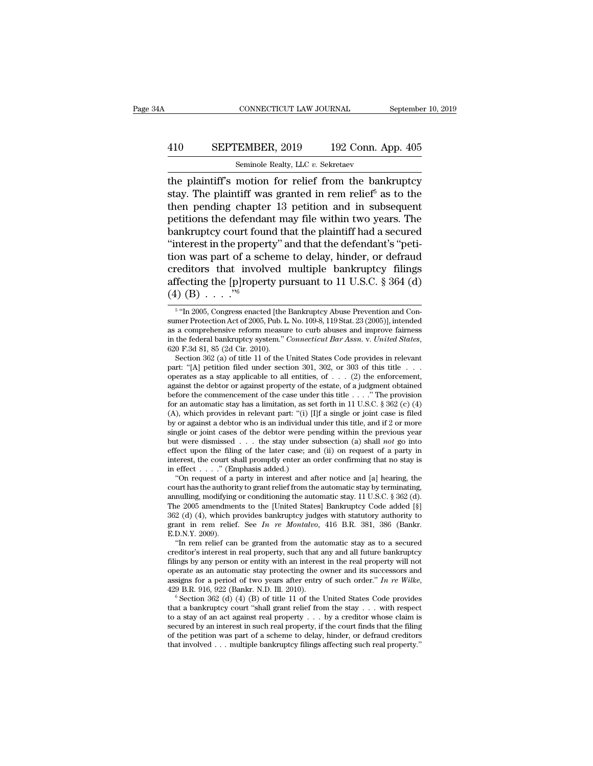## CONNECTICUT LAW JOURNAL September 10, 2019<br>410 SEPTEMBER, 2019 192 Conn. App. 405<br>Seminole Realty, LLC v. Sekretaev CONNECTICUT LAW JOURNAL<br>EMBER, 2019 192 Conn. A<br>Seminole Realty, LLC *v.* Sekretaev<br>motion for relief from the bank

CONNECTICUT LAW JOURNAL September 10, 2019<br>  $\begin{array}{r} \text{September 10, 2019} \\ \text{SETEMBER, 2019} \\ \text{Sample Realty, LLC } v. \text{ Sekretaev} \end{array}$ <br>
the plaintiff's motion for relief from the bankruptcy<br>
stay. The plaintiff was granted in rem relief<sup>5</sup> as to th SEPTEMBER, 2019 192 Conn. App. 405<br>
Seminole Realty, LLC v. Sekretaev<br>
the plaintiff's motion for relief from the bankruptcy<br>
stay. The plaintiff was granted in rem relief<sup>5</sup> as to the<br>
then pending chapter 13 petition and 410 SEPTEMBER, 2019 192 Conn. App. 405<br>
Seminole Realty, LLC v. Sekretaev<br>
the plaintiff's motion for relief from the bankruptcy<br>
stay. The plaintiff was granted in rem relief<sup>5</sup> as to the<br>
then pending chapter 13 petitio **410** SEPTEMBER, 2019 192 Conn. App. 405<br>
Seminole Realty, LLC v. Sekretaev<br>
the plaintiff's motion for relief from the bankruptcy<br>
stay. The plaintiff was granted in rem relief<sup>5</sup> as to the<br>
then pending chapter 13 petit San Finite and Seminole Realty, LLC v. Sekretaev<br>the plaintiff's motion for relief from the bankruptcy<br>stay. The plaintiff was granted in rem relief<sup>5</sup> as to the<br>then pending chapter 13 petition and in subsequent<br>petition Semmole Realty, LLC  $v$ . Sekretaev<br>
the plaintiff's motion for relief from the bankruptcy<br>
stay. The plaintiff was granted in rem relief<sup>5</sup> as to the<br>
then pending chapter 13 petition and in subsequent<br>
petitions the defe the plaintiff's motion for relief from the bankruptcy<br>stay. The plaintiff was granted in rem relief<sup>5</sup> as to the<br>then pending chapter 13 petition and in subsequent<br>petitions the defendant may file within two years. The<br>ba stay. The plaintiff was granted in rem relief<sup>5</sup> as to the<br>then pending chapter 13 petition and in subsequent<br>petitions the defendant may file within two years. The<br>bankruptcy court found that the plaintiff had a secured<br> then pending chapter 13 petition and in subsequent<br>petitions the defendant may file within two years. The<br>bankruptcy court found that the plaintiff had a secured<br>"interest in the property" and that the defendant's "peti-<br> petitions the defendare<br>bankruptcy court four<br>"interest in the proper<br>tion was part of a schereditors that involved<br>fecting the [p]roper<br> $\frac{(4) (B) \cdot \cdot \cdot \cdot ^{n_6}}{5 n_{\text{m}} 2005, \text{ Congress enacte}}$ In was part of a scheme to delay, hinder, or defrauded<br>itors that involved multiple bankruptcy filings<br>ecting the [p]roperty pursuant to 11 U.S.C. § 364 (d)<br> $(B)$ ...."<br>"In 2005, Congress enacted [the Bankruptcy Abuse Preve sumer Protection Act of 2005, Pub. L. No. 109-8, 119 Stat. 23 (2005)], intended

sumer Protection Act of 2005, Pub. L. No. 109-8, 119 Stat. 23 (2005)], intended<br>as a comprehensive reform measure to curb abuses and improve fairness<br>in the federal bankruptcy system." *Connecticut Bar Assn.* v. *United St* as a comprehensive reform measure to curb abuses and improve fairness<br>in the federal bankruptcy system." *Connecticut Bar Assn.* v. *United States*,<br>620 F.3d 81, 85 (2d Cir. 2010).<br>Section 362 (a) of title 11 of the Unite in the federal bankruptcy system." *Connecticut Bar Assn.* v. *United States*, 620 F.3d 81, 85 (2d Cir. 2010).<br>
Section 362 (a) of title 11 of the United States Code provides in relevant<br>
part: "[A] petition filed under s 620 F.3d 81, 85 (2d Cir. 2010).<br>
Section 362 (a) of title 11 of the United States Code provides in relevant<br>
part: "[A] petition filed under section 301, 302, or 303 of this title ...<br>
operates as a stay applicable to all Section 362 (a) of title 11 of the United States Code provides in relevant part: "[A] petition filed under section 301, 302, or 303 of this title . . . . operates as a stay applicable to all entities, of . . . (2) the enf part: "[A] petition filed under section 301, 302, or 303 of this title . . . operates as a stay applicable to all entities, of . . . (2) the enforcement, against the debtor or against property of the estate, of a judgment operates as a stay applicable to all entities, of . . . (2) the enforcement, against the debtor or against property of the estate, of a judgment obtained before the commencement of the case under this title . . . ." The p against the debtor or against property of the estate, of a judgment obtained<br>before the commencement of the case under this title . . . . "The provision<br>for an automatic stay has a limitation, as set forth in 11 U.S.C. § before the commencement of the case under this title . . . . " The provision<br>for an automatic stay has a limitation, as set forth in 11 U.S.C. § 362 (c) (4)<br>(A), which provides in relevant part: "(i) [I]f a single or join for an automatic stay has a limitation, as set forth in 11 U.S.C. § 362 (c) (4) (A), which provides in relevant part: "(i) [I]f a single or joint case is filed by or against a debtor who is an individual under this title, (A), which provides in relevant part: "(i) [I<br>by or against a debtor who is an individual  $u$ <br>single or joint cases of the debtor were pe<br>but were dismissed . . . the stay under s<br>effect upon the filing of the later case; The variance of a party in individual under this title, and if 2 or more angle or joint cases of the debtor were pending within the previous year to twere dismissed . . . the stay under subsection (a) shall *not* go into but were dismissed . . . the stay under subsection (a) shall *not* go into effect upon the filing of the later case; and (ii) on request of a party in interest, the court shall promptly enter an order confirming that no s effect upon the filing of the later case; and (ii) on request of a party in

362 (d) (4), which provides bankruptcy judges with statutory authority to interest, the court shall promptly enter an order confirming that no stay is<br>in effect . . . . " (Emphasis added.)<br>"On request of a party in interest and after notice and [a] hearing, the<br>court has the authority to grant in effect . . . . . " (Emphasis added.)<br>
"On request of a party in interest and after notice and [a] hearing, the<br>
court has the authority to grant relief from the automatic stay by terminating,<br>
annulling, modifying or co "On request of a<br>court has the authori<br>annulling, modifying<br>The 2005 amendmen<br>362 (d) (4), which p<br>grant in rem relief<br>E.D.N.Y. 2009).<br>"In rem relief can urt has the authority to grant relief from the automatic stay by terminating,<br>
nulling, modifying or conditioning the automatic stay. 11 U.S.C. § 362 (d).<br>
le 2005 amendments to the [United States] Bankruptcy Code added [ annulling, modifying or conditioning the automatic stay. 11 U.S.C. § 362 (d).<br>The 2005 amendments to the [United States] Bankruptcy Code added [§] 362 (d) (4), which provides bankruptcy judges with statutory authority to

The 2005 amendments to the [United States] Bankruptcy Code added [§] 362 (d) (4), which provides bankruptcy judges with statutory authority to grant in rem relief. See *In re Montalvo*, 416 B.R. 381, 386 (Bankr. E.D.N.Y. 362 (d) (4), which provides bankruptcy judges with statutory authority to<br>grant in rem relief. See *In re Montalvo*, 416 B.R. 381, 386 (Bankr.<br>E.D.N.Y. 2009).<br>"In rem relief can be granted from the automatic stay as to a grant in rem relief. See *In re Montalvo*, 416 B.R. 381, 386 (Bankr. E.D.N.Y. 2009).<br>"In rem relief can be granted from the automatic stay as to a secured creditor's interest in real property, such that any and all future creditor's interest in real property, such that any and all future bankruptcy<br>filings by any person or entity with an interest in the real property will not<br>operate as an automatic stay protecting the owner and its succes

filings by any person or entity with an interest in the real property will not operate as an automatic stay protecting the owner and its successors and assigns for a period of two years after entry of such order." In re W operate as an automatic stay protecting the owner and its successors and<br>assigns for a period of two years after entry of such order." In re Wilke,<br>429 B.R. 916, 922 (Bankr. N.D. Ill. 2010).<br><sup>6</sup> Section 362 (d) (4) (B) of assigns for a period of two years after entry of such order." In re Wilke, 429 B.R. 916, 922 (Bankr. N.D. Ill. 2010).<br>
<sup>6</sup> Section 362 (d) (4) (B) of title 11 of the United States Code provides that a bankruptcy court "sh 429 B.R. 916, 922 (Bankr. N.D. Ill. 2010).<br>
<sup>6</sup> Section 362 (d) (4) (B) of title 11 of the United States Code provides<br>
that a bankruptcy court "shall grant relief from the stay  $\ldots$  with respect<br>
to a stay of an act aga

<sup>&</sup>lt;sup>5</sup> "In 2005, Congress enacted [the Bankruptcy Abuse Prevention and Conaffecting the [p]roperty pursuant to 11 U.S.C. § 364 (d)<br>
(4) (B)  $\cdot \cdot \cdot$ <sup>76</sup><br>
<sup>5</sup> "In 2005, Congress enacted [the Bankruptcy Abuse Prevention and Consumer Protection Act of 2005, Pub. L. No. 109-8, 119 Stat. 23 (2005)], allecting the [p]roperty pursuant to 11 U.S.U. § 304 (d)<br>
(4) (B) . . . . "<sup>6</sup><br>
<sup>5</sup> "In 2005, Congress enacted [the Bankruptcy Abuse Prevention and Consumer Protection Act of 2005, Pub. L. No. 109-8, 119 Stat. 23 (2005)], <sup>5</sup> "In 2005, Congress enacted [the Bankruptcy Abuse Prevention and Conmer Protection Act of 2005, Pub. L. No. 109-8, 119 Stat. 23 (2005)], intended a comprehensive reform measure to curb abuses and improve fairness the f <sup>5</sup> "In 2005, Congress enacted [the Bankruptcy Abuse Prevention and Consumer Protection Act of 2005, Pub. L. No. 109-8, 119 Stat. 23 (2005)], intended as a comprehensive reform measure to curb abuses and improve fairness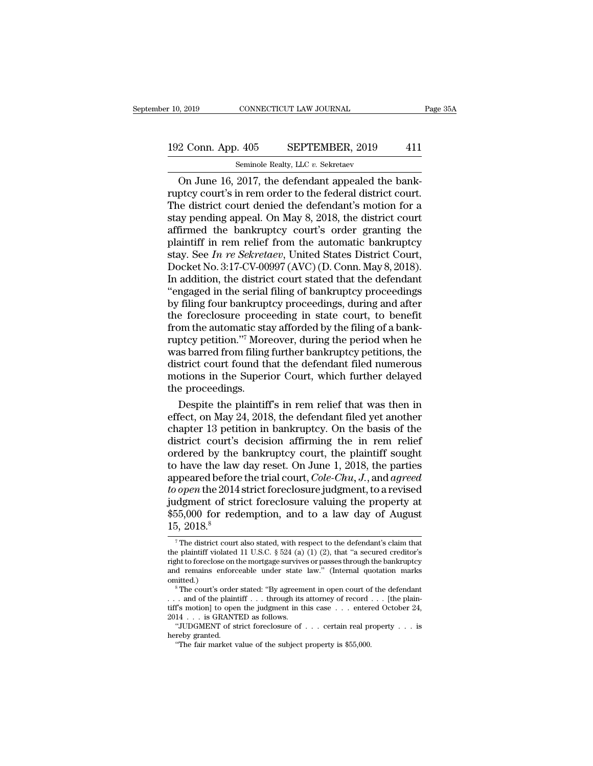# 10, 2019 CONNECTICUT LAW JOURNAL Page 35A<br>192 Conn. App. 405 SEPTEMBER, 2019 411<br>Seminole Realty, LLC v. Sekretaev

r 10, 2019 CONNECTICUT LAW JOURNAL<br>192 Conn. App. 405 SEPTEMBER, 2019 411<br>Seminole Realty, LLC *v.* Sekretaev<br>On June 16, 2017, the defendant appealed the bank- $\frac{2019}{2 \text{ Conn. App. 405}}$  CONNECTICUT LAW JOURNAL<br>  $\frac{2 \text{ Conn. App. 405}}{\text{Seminole } \text{Realty, LLC } v. \text{ Sekretaev}}$ <br>
On June 16, 2017, the defendant appealed the bank-<br>
ptcy court's in rem order to the federal district court.<br>
the defendant's 192 Conn. App. 405 SEPTEMBER, 2019 411<br>
Seminole Realty, LLC v. Sekretaev<br>
On June 16, 2017, the defendant appealed the bank-<br>
ruptcy court's in rem order to the federal district court.<br>
The district court denied the defen 192 Conn. App. 405 SEPTEMBER, 2019 411<br>
Seminole Realty, LLC v. Sekretaev<br>
On June 16, 2017, the defendant appealed the bank-<br>
ruptcy court's in rem order to the federal district court.<br>
The district court denied the defe 192 Conn. App. 405 SEPTEMBER, 2019 411<br>
Seminole Realty, LLC  $v$ . Sekretaev<br>
On June 16, 2017, the defendant appealed the bank-<br>
ruptcy court's in rem order to the federal district court.<br>
The district court denied the de Seminole Realty, LLC v. Sekretaev<br>
On June 16, 2017, the defendant appealed the bank-<br>
ruptcy court's in rem order to the federal district court.<br>
The district court denied the defendant's motion for a<br>
stay pending appea Seminole Realty, LLC v. Sekretaev<br>
On June 16, 2017, the defendant appealed the bank-<br>
ruptcy court's in rem order to the federal district court.<br>
The district court denied the defendant's motion for a<br>
stay pending appea On June 16, 2017, the defendant appealed the bank-<br>ruptcy court's in rem order to the federal district court.<br>The district court denied the defendant's motion for a<br>stay pending appeal. On May 8, 2018, the district court<br>a ruptcy court's in rem order to the federal district court.<br>The district court denied the defendant's motion for a<br>stay pending appeal. On May 8, 2018, the district court<br>affirmed the bankruptcy court's order granting the<br>p The district court denied the defendant's motion for a<br>stay pending appeal. On May 8, 2018, the district court<br>affirmed the bankruptcy court's order granting the<br>plaintiff in rem relief from the automatic bankruptcy<br>stay. stay pending appeal. On May 8, 2018, the district court<br>affirmed the bankruptcy court's order granting the<br>plaintiff in rem relief from the automatic bankruptcy<br>stay. See In re Sekretaev, United States District Court,<br>Dock affirmed the bankruptcy court's order granting the<br>plaintiff in rem relief from the automatic bankruptcy<br>stay. See In re Sekretaev, United States District Court,<br>Docket No. 3:17-CV-00997 (AVC) (D. Conn. May 8, 2018).<br>In ad plaintiff in rem relief from the automatic bankruptcy<br>stay. See In re Sekretaev, United States District Court,<br>Docket No. 3:17-CV-00997 (AVC) (D. Conn. May 8, 2018).<br>In addition, the district court stated that the defenda stay. See In re Sekretaev, United States District Court,<br>Docket No. 3:17-CV-00997 (AVC) (D. Conn. May 8, 2018).<br>In addition, the district court stated that the defendant<br>"engaged in the serial filing of bankruptcy proceed Docket No. 3:17-CV-00997 (AVC) (D. Conn. May 8, 2018).<br>In addition, the district court stated that the defendant<br>"engaged in the serial filing of bankruptcy proceedings<br>by filing four bankruptcy proceedings, during and aft In addition, the district court stated that the defendant<br>"engaged in the serial filing of bankruptcy proceedings<br>by filing four bankruptcy proceedings, during and after<br>the foreclosure proceeding in state court, to benefi "engaged in the serial filing of bankruptcy proceedings<br>by filing four bankruptcy proceedings, during and after<br>the foreclosure proceeding in state court, to benefit<br>from the automatic stay afforded by the filing of a bank by filing four bankruptcy proceedings, during and after<br>the foreclosure proceeding in state court, to benefit<br>from the automatic stay afforded by the filing of a bank-<br>ruptcy petition."<sup>7</sup> Moreover, during the period when the foreclosure proce<br>from the automatic sta<br>ruptcy petition."<sup>7</sup> Mor<br>was barred from filing<br>district court found th<br>motions in the Superi<br>the proceedings.<br>Despite the plaintif by the filing of a bank-<br>ptcy petition."<sup>7</sup> Moreover, during the period when he<br>as barred from filing further bankruptcy petitions, the<br>strict court found that the defendant filed numerous<br>otions in the Superior Court, whi ruptcy petition."' Moreover, during the period when he<br>was barred from filing further bankruptcy petitions, the<br>district court found that the defendant filed numerous<br>motions in the Superior Court, which further delayed<br>th

was barred from filing further bankruptcy petitions, the<br>district court found that the defendant filed numerous<br>motions in the Superior Court, which further delayed<br>the proceedings.<br>Despite the plaintiff's in rem relief th district court found that the defendant filed numerous<br>motions in the Superior Court, which further delayed<br>the proceedings.<br>Despite the plaintiff's in rem relief that was then in<br>effect, on May 24, 2018, the defendant fil motions in the Superior Court, which further delayed<br>the proceedings.<br>Despite the plaintiff's in rem relief that was then in<br>effect, on May 24, 2018, the defendant filed yet another<br>chapter 13 petition in bankruptcy. On t the proceedings.<br>
Despite the plaintiff's in rem relief that was then in<br>
effect, on May 24, 2018, the defendant filed yet another<br>
chapter 13 petition in bankruptcy. On the basis of the<br>
district court's decision affirmi Despite the plaintiff's in rem relief that was then in effect, on May 24, 2018, the defendant filed yet another chapter 13 petition in bankruptcy. On the basis of the district court's decision affirming the in rem relief o effect, on May 24, 2018, the defendant filed yet another<br>chapter 13 petition in bankruptcy. On the basis of the<br>district court's decision affirming the in rem relief<br>ordered by the bankruptcy court, the plaintiff sought<br>to chapter 13 petition in bankruptcy. On the basis of the district court's decision affirming the in rem relief ordered by the bankruptcy court, the plaintiff sought to have the law day reset. On June 1, 2018, the parties ap district court's decision affirming the in rem relief ordered by the bankruptcy court, the plaintiff sought to have the law day reset. On June 1, 2018, the parties appeared before the trial court, *Cole-Chu*, *J*., and *a* % ordered by the<br>to have the law<br>appeared before<br>*to open* the 2014<br>judgment of str<br> $$5,000$  for red<br> $15,2018.<sup>8</sup>$ <br> $^7$ The district court *to open* the 2014 strict foreclosure judgment, to a revised<br>judgment of strict foreclosure valuing the property at<br> $$55,000$  for redemption, and to a law day of August<br> $15, 2018.<sup>8</sup>$ <br><sup>7</sup>The district court also stated,  $$55,000$  for redemption, and to a law day of August

judgment of strict foreclosure valuing the property at  $$55,000$  for redemption, and to a law day of August 15, 2018.<sup>8</sup><br>The district court also stated, with respect to the defendant's claim that the plaintiff violated 11 \$55,000 for redemption, and to a law day of August  $15, 2018$ .<sup>8</sup><br> $\frac{1}{100}$  The district court also stated, with respect to the defendant's claim that the plaintiff violated 11 U.S.C. § 524 (a) (1) (2), that "a secured omitted.) <sup>7</sup> The district court also stated, with respect to the defendant's claim that the plaintiff violated 11 U.S.C. § 524 (a) (1) (2), that "a secured creditor's right to foreclose on the mortgage survives or passes through t <sup>7</sup> The district court also stated, with respect to the defendant's claim that<br>the plaintiff violated 11 U.S.C. § 524 (a) (1) (2), that "a secured creditor's<br>right to foreclose on the mortgage survives or passes through t

 $^8$  The court's order stated: "By agreement in open court of the defendant . . . and of the plaintiff . . . through its attorney of record . . . [the plaintiff's motion] to open the judgment in this case . . . entered Oc right to foreclose on the mortgage survive<br>and remains enforceable under state<br>omitted.)<br><sup>8</sup>The court's order stated: "By agreem<br>... and of the plaintiff ... through its<br>tiff's motion] to open the judgment in th<br>2014 ... i d remains enforceable under state law." (Internal quotation marks initted.)<br>
<sup>8</sup> The court's order stated: "By agreement in open court of the defendant<br>
. and of the plaintiff . . . through its attorney of record . . . [t omitted.)<br>
<sup>8</sup> The court's order<br>
... and of the plaint<br>
iiff's motion] to oper<br>
2014 ... is GRANT<br>
"JUDGMENT of st<br>
hereby granted.<br>
"The fair market v <sup>8</sup> The court's order stated: "By agreement in open court of . and of the plaintiff . . . through its attorney of record  $\mathbf{f}$ 's motion] to open the judgment in this case . . . enter 14 . . . is GRANTED as follows.<br>"JU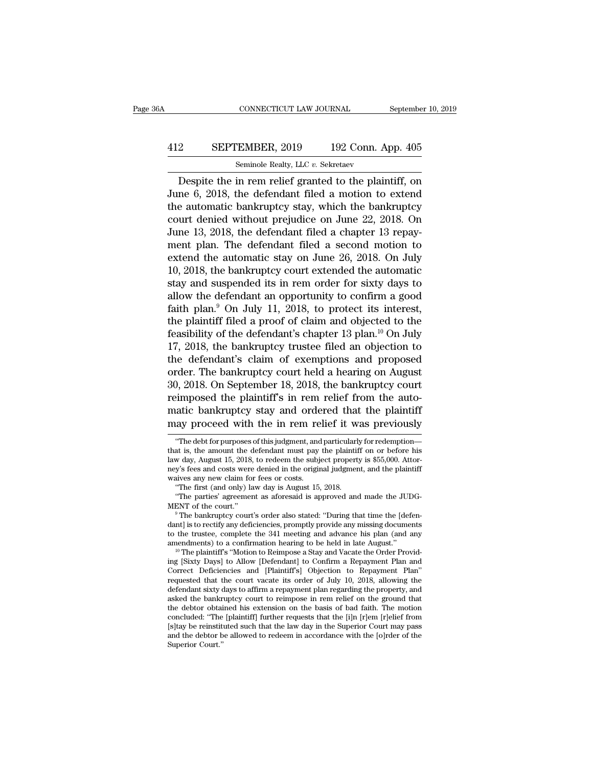## CONNECTICUT LAW JOURNAL September 10, 2019<br>412 SEPTEMBER, 2019 192 Conn. App. 405<br>Seminole Realty, LLC v. Sekretaev CONNECTICUT LAW JOURNAL<br>
EMBER, 2019 192 Conn. A<br>
Seminole Realty, LLC *v.* Sekretaev<br>
in rem relief granted to the plain

CONNECTICUT LAW JOURNAL September 10, 2019<br>
2 SEPTEMBER, 2019 192 Conn. App. 405<br>
Seminole Realty, LLC v. Sekretaev<br>
Despite the in rem relief granted to the plaintiff, on<br>
ne 6, 2018, the defendant filed a motion to exten SEPTEMBER, 2019 192 Conn. App. 405<br>Seminole Realty, LLC v. Sekretaev<br>Despite the in rem relief granted to the plaintiff, on<br>June 6, 2018, the defendant filed a motion to extend<br>the automatic bankruptcy stay, which the bank **EXPTEMBER, 2019** 192 Conn. App. 405<br>
Seminole Realty, LLC v. Sekretaev<br>
Despite the in rem relief granted to the plaintiff, on<br>
June 6, 2018, the defendant filed a motion to extend<br>
the automatic bankruptcy stay, which t **EXEPTEMBER, 2019** 192 Conn. App. 405<br>
Seminole Realty, LLC  $v$ . Sekretaev<br>
Despite the in rem relief granted to the plaintiff, on<br>
June 6, 2018, the defendant filed a motion to extend<br>
the automatic bankruptcy stay, whic Seminole Realty, LLC v. Sekretaev<br>Despite the in rem relief granted to the plaintiff, on<br>June 6, 2018, the defendant filed a motion to extend<br>the automatic bankruptcy stay, which the bankruptcy<br>court denied without prejud Semmole Realty, LLC  $v$ . Sekretaev<br>Despite the in rem relief granted to the plaintiff, on<br>June 6, 2018, the defendant filed a motion to extend<br>the automatic bankruptcy stay, which the bankruptcy<br>court denied without preju Despite the in rem relief granted to the plaintiff, on<br>June 6, 2018, the defendant filed a motion to extend<br>the automatic bankruptcy stay, which the bankruptcy<br>court denied without prejudice on June 22, 2018. On<br>June 13, 2 June 6, 2018, the defendant filed a motion to extend<br>the automatic bankruptcy stay, which the bankruptcy<br>court denied without prejudice on June 22, 2018. On<br>June 13, 2018, the defendant filed a chapter 13 repay-<br>ment plan. the automatic bankruptcy stay, which the bankruptcy<br>court denied without prejudice on June 22, 2018. On<br>June 13, 2018, the defendant filed a chapter 13 repay-<br>ment plan. The defendant filed a second motion to<br>extend the au court denied without prejudice on June 22, 2018. On<br>June 13, 2018, the defendant filed a chapter 13 repay-<br>ment plan. The defendant filed a second motion to<br>extend the automatic stay on June 26, 2018. On July<br>10, 2018, the June 13, 2018, the defendant filed a chapter 13 repayment plan. The defendant filed a second motion to extend the automatic stay on June 26, 2018. On July 10, 2018, the bankruptcy court extended the automatic stay and sus ment plan. The defendant filed a second motion to<br>extend the automatic stay on June 26, 2018. On July<br>10, 2018, the bankruptcy court extended the automatic<br>stay and suspended its in rem order for sixty days to<br>allow the d extend the automatic stay on June 26, 2018. On July 10, 2018, the bankruptcy court extended the automatic stay and suspended its in rem order for sixty days to allow the defendant an opportunity to confirm a good faith pla 10, 2018, the bankruptcy court extended the automatic<br>stay and suspended its in rem order for sixty days to<br>allow the defendant an opportunity to confirm a good<br>faith plan.<sup>9</sup> On July 11, 2018, to protect its interest,<br>th stay and suspended its in rem order for sixty days to<br>allow the defendant an opportunity to confirm a good<br>faith plan.<sup>9</sup> On July 11, 2018, to protect its interest,<br>the plaintiff filed a proof of claim and objected to the allow the defendant an opportunity to confirm a good<br>faith plan.<sup>9</sup> On July 11, 2018, to protect its interest,<br>the plaintiff filed a proof of claim and objected to the<br>feasibility of the defendant's chapter 13 plan.<sup>10</sup> On faith plan.<sup>9</sup> On July 11, 2018, to protect its interest,<br>the plaintiff filed a proof of claim and objected to the<br>feasibility of the defendant's chapter 13 plan.<sup>10</sup> On July<br>17, 2018, the bankruptcy trustee filed an obje the plaintiff filed a proof of claim and objected to the feasibility of the defendant's chapter 13 plan.<sup>10</sup> On July 17, 2018, the bankruptcy trustee filed an objection to the defendant's claim of exemptions and proposed feasibility of the defendant's chapter 13 plan.<sup>10</sup> On July 17, 2018, the bankruptcy trustee filed an objection to the defendant's claim of exemptions and proposed order. The bankruptcy court held a hearing on August 30, 17, 2018, the bankruptcy trustee filed an objection to<br>the defendant's claim of exemptions and proposed<br>order. The bankruptcy court held a hearing on August<br>30, 2018. On September 18, 2018, the bankruptcy court<br>reimposed t ), 2018. On September 18, 2018, the bankruptcy court<br>
eimposed the plaintiff's in rem relief from the auto-<br>
atic bankruptcy stay and ordered that the plaintiff<br>
(ay proceed with the in rem relief it was previously<br>
"The reimposed the plaintiff's in rem relief from the auto-<br>matic bankruptcy stay and ordered that the plaintiff<br>may proceed with the in rem relief it was previously<br>"The debt for purposes of this judgment, and particularly for

matic bankruptcy stay and ordered that the plaintiff<br>may proceed with the in rem relief it was previously<br>"The debt for purposes of this judgment, and particularly for redemption—<br>that is, the amount the defendant must pay matric bankruptcy stay and ordered that the plaintiff<br>may proceed with the in rem relief it was previously<br>"The debt for purposes of this judgment, and particularly for redemption—<br>that is, the amount the defendant must p may proceed with the in rem re<br>
"The debt for purposes of this judgment, and<br>
that is, the amount the defendant must pay<br>
law day, August 15, 2018, to redeem the subj<br>
ney's fees and costs were denied in the origin<br>
waives "The debt for purposes of this judgment, and particular!"<br>It is, the amount the defendant must pay the plaintif<br>w day, August 15, 2018, to redeem the subject propert;<br>y's fees and costs were denied in the original judgmer<br> "The debt for purposes of this judgment, and particularly for redemption—<br>at is, the amount the defendant must pay the plaintiff on or before his<br>w day, August 15, 2018, to redeem the subject property is \$55,000. Attor-<br>y' that is, the amount the defendant must pay the plaintiff on or before his law day, August 15, 2018, to redeem the subject property is \$55,000. Attorney's fees and costs were denied in the original judgment, and the plainti

ney's fees and costs were denied in the original judgment, and the plaintiff<br>waives any new claim for fees or costs.<br>"The first (and only) law day is August 15, 2018.<br>"The parties' agreement as aforesaid is approved and ma waives any new claim for fees or costs.<br>
"The first (and only) law day is August 15, 2018.<br>
"The parties' agreement as aforesaid is approved and made the JUDG-<br>
MENT of the court."<br>
"The bankruptcy court's order also state "The first (and only) law day is August 15, 2018.<br>
"The parties' agreement as aforesaid is approved and made the JUDG-MENT of the court."<br>
"The bankruptcy court's order also stated: "During that time the [defen-<br>
dant] is MENT of the court."<br>
<sup>9</sup> The bankruptcy court's order also stated: "During that time the [defendant] is to rectify any deficiencies, promptly provide any missing documents<br>
to the trustee, complete the 341 meeting and adv

<sup>&</sup>lt;sup>9</sup> The bankruptcy court's order also stated: "During that time the [defendant] is to rectify any deficiencies, promptly provide any missing documents to the trustee, complete the 341 meeting and advance his plan (and any dant] is to rectify any deficiencies, promptly provide any missing documents<br>to the trustee, complete the 341 meeting and advance his plan (and any<br>amendments) to a confirmation hearing to be held in late August."<br><sup>10</sup> The to the trustee, complete the 341 meeting and advance his plan (and any amendments) to a confirmation hearing to be held in late August."<br><sup>10</sup> The plaintiff's "Motion to Reimpose a Stay and Vacate the Order Providing [Sixty amendments) to a confirmation hearing to be held in late August."<br><sup>10</sup> The plaintiff's "Motion to Reimpose a Stay and Vacate the Order Provid-<br>ing [Sixty Days] to Allow [Defendant] to Confirm a Repayment Plan and<br>Correct D <sup>10</sup> The plaintiff's "Motion to Reimpose a Stay and Vacate the Order Providing [Sixty Days] to Allow [Defendant] to Confirm a Repayment Plan and Correct Deficiencies and [Plaintiff's] Objection to Repayment Plan" requeste ing [Sixty Days] to Allow [Defendant] to Confirm a Repayment Plan and Correct Deficiencies and [Plaintiff's] Objection to Repayment Plan"<br>requested that the court vacate its order of July 10, 2018, allowing the<br>defendant s Correct Deficiencies and [Plaintiff's] Objection to Repayment Plan" requested that the court vacate its order of July 10, 2018, allowing the defendant sixty days to affirm a repayment plan regarding the property, and aske requested that the court vacate its order of July 10, 2018, allowing the defendant sixty days to affirm a repayment plan regarding the property, and asked the bankruptcy court to reimpose in rem relief on the ground that t asked the bankruptcy court to reimpose in rem relief on the ground that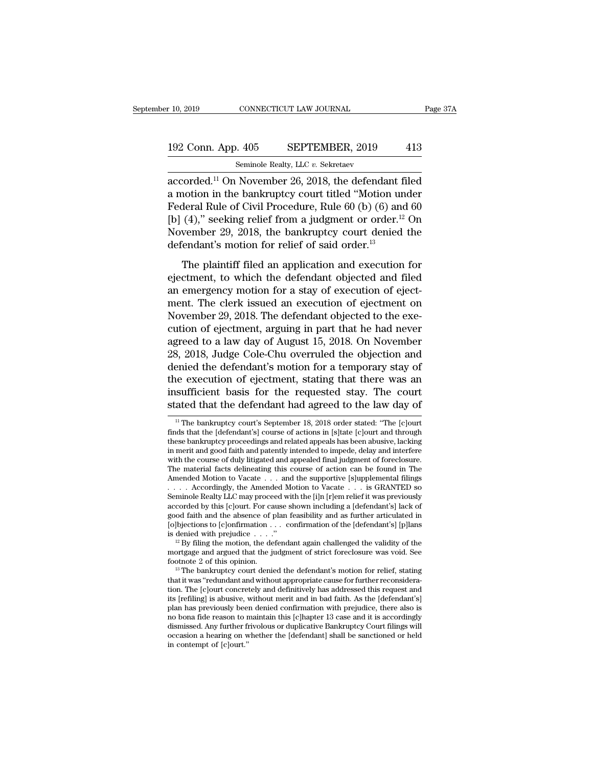# 10, 2019 CONNECTICUT LAW JOURNAL Page 37A<br>192 Conn. App. 405 SEPTEMBER, 2019 413<br>Seminole Realty, LLC v. Sekretaev

r 10, 2019 CONNECTICUT LAW JOURNAL<br>192 Conn. App. 405 SEPTEMBER, 2019 413<br>5eminole Realty, LLC *v.* Sekretaev<br>accorded.<sup>11</sup> On November 26, 2018, the defendant filed accorded.<sup>11</sup> On November 26, 2018, the defendant filed 192 Conn. App. 405 SEPTEMBER, 2019 413<br>
Seminole Realty, LLC v. Sekretaev<br>
accorded.<sup>11</sup> On November 26, 2018, the defendant filed<br>
a motion in the bankruptcy court titled "Motion under<br>
Federal Rule of Civil Procedure, R 192 Conn. App. 405 SEPTEMBER, 2019 413<br>
Seminole Realty, LLC v. Sekretaev<br>
accorded.<sup>11</sup> On November 26, 2018, the defendant filed<br>
a motion in the bankruptcy court titled "Motion under<br>
Federal Rule of Civil Procedure, R 192 Conn. App. 405 SEPTEMBER, 2019 413<br>
Seminole Realty, LLC v. Sekretaev<br>
accorded.<sup>11</sup> On November 26, 2018, the defendant filed<br>
a motion in the bankruptcy court titled "Motion under<br>
Federal Rule of Civil Procedure, R Seminole Realty, LLC v. Sekretaev<br>accorded.<sup>11</sup> On November 26, 2018, the defendant filed<br>a motion in the bankruptcy court titled "Motion under<br>Federal Rule of Civil Procedure, Rule 60 (b) (6) and 60<br>[b] (4)," seeking rel Semmole Realty, LLC  $v$ . Sekretaev<br>accorded.<sup>11</sup> On November 26, 2018, the defendant for a motion in the bankruptcy court titled "Motion ur<br>Federal Rule of Civil Procedure, Rule 60 (b) (6) and<br>[b] (4)," seeking relief fro Film in the bankruptcy court titled "Motion under<br>deral Rule of Civil Procedure, Rule 60 (b) (6) and 60<br>(4)," seeking relief from a judgment or order.<sup>12</sup> On<br>vember 29, 2018, the bankruptcy court denied the<br>fendant's moti Federal Rule of Civil Procedure, Rule 60 (b) (6) and 60<br>
[b] (4)," seeking relief from a judgment or order.<sup>12</sup> On<br>
November 29, 2018, the bankruptcy court denied the<br>
defendant's motion for relief of said order.<sup>13</sup><br>
The

Following the set of the recentled point of eye (s) (s) and set (b) (4)," seeking relief from a judgment or order.<sup>12</sup> On November 29, 2018, the bankruptcy court denied the defendant's motion for relief of said order.<sup>13</sup> November 29, 2018, the bankruptcy court denied the<br>defendant's motion for relief of said order.<sup>13</sup><br>The plaintiff filed an application and execution for<br>ejectment, to which the defendant objected and filed<br>an emergency mo defendant's motion for relief of said order.<sup>13</sup><br>The plaintiff filed an application and execution for<br>ejectment, to which the defendant objected and filed<br>an emergency motion for a stay of execution of eject-<br>ment. The cl The plaintiff filed an application and execution for<br>ejectment, to which the defendant objected and filed<br>an emergency motion for a stay of execution of eject-<br>ment. The clerk issued an execution of ejectment on<br>November 2 The plaintiff filed an application and execution for<br>ejectment, to which the defendant objected and filed<br>an emergency motion for a stay of execution of eject-<br>ment. The clerk issued an execution of ejectment on<br>November 2 ejectment, to which the defendant objected and filed<br>an emergency motion for a stay of execution of eject-<br>ment. The clerk issued an execution of ejectment on<br>November 29, 2018. The defendant objected to the exe-<br>cution of an emergency motion for a stay of execution of ejectment. The clerk issued an execution of ejectment on November 29, 2018. The defendant objected to the execution of ejectment, arguing in part that he had never agreed to a ment. The clerk issued an execution of ejectment on<br>November 29, 2018. The defendant objected to the execution of ejectment, arguing in part that he had never<br>agreed to a law day of August 15, 2018. On November<br>28, 2018, J November 29, 2018. The defendant objected to the execution of ejectment, arguing in part that he had never agreed to a law day of August 15, 2018. On November 28, 2018, Judge Cole-Chu overruled the objection and denied the cution of ejectment, arguing in part that he had never<br>agreed to a law day of August 15, 2018. On November<br>28, 2018, Judge Cole-Chu overruled the objection and<br>denied the defendant's motion for a temporary stay of<br>the exec emied the defendant's motion for a temporary stay of<br>the execution of ejectment, stating that there was an<br>sufficient basis for the requested stay. The court<br>ated that the defendant had agreed to the law day of<br><sup>11</sup> The ba the execution of ejectment, stating that there was an insufficient basis for the requested stay. The court<br>stated that the defendant had agreed to the law day of<br><sup>11</sup> The bankruptcy court's September 18, 2018 order stated:

These bankruptcy courts and related stay. The court<br>stated that the defendant had agreed to the law day of<br> $\frac{1}{1}$  The bankruptcy court's September 18, 2018 order stated: "The [c]ourt<br>finds that the [defendant's] course In sufficient basis for the requested stay. The court<br>stated that the defendant had agreed to the law day of<br> $\frac{1}{\pi}$  The bankruptcy court's September 18, 2018 order stated: "The [c]ourt<br>finds that the [defendant's] cou stated that the defendant had agreed to the law day of<br>
<sup>11</sup> The bankruptcy court's September 18, 2018 order stated: "The [c]ourt<br>
finds that the [defendant's] course of actions in [s]tate [c]ourt and through<br>
these bankru <sup>11</sup> The bankruptcy court's September 18, 2018 order stated: "The  $[c]$ ourt finds that the  $[defendant's]$  course of actions in  $[s]$  fate  $[c]$ ourt and through these bankruptcy proceedings and related appeals has been abusive, lac <sup>11</sup> The bankruptcy court's September 18, 2018 order stated: "The [c]ourt finds that the [defendant's] course of actions in [s]tate [c]ourt and through these bankruptcy proceedings and related appeals has been abusive, la finds that the [defendant's] course of actions in [s]tate [c]ourt and through<br>these bankruptcy proceedings and related appeals has been abusive, lacking<br>in merit and good faith and patently intended to impede, delay and i these bankruptcy proceedings and related appeals has been abusive, lacking<br>in merit and good faith and patently intended to impede, delay and interfere<br>with the course of duly litigated and appealed final judgment of fore in merit and good faith and patently intended to impede, delay and interfere<br>with the course of duly litigated and appealed final judgment of foreclosure.<br>The material facts delineating this course of action can be found with the course of duly litigated and appealed final judgment of foreclosure.<br>The material facts delineating this course of action can be found in The<br>Amended Motion to Vacate . . . and the supportive [s]upplemental filin The material facts delineating this course of action can be found in The Amended Motion to Vacate . . . and the supportive [s]upplemental filings . . . . . Accordingly, the Amended Motion to Vacate . . . is GRANTED so Sem Amended Motion to Vacate . . . and the supportive [s]upplemental filings . . . . . Accordingly, the Amended Motion to Vacate . . . is GRANTED so Seminole Realty LLC may proceed with the [i]n [r]em relief it was previously Seminole Realty LLC may proceed with the [i]n [r]em relief it was previously<br>accorded by this [c]ourt. For cause shown including a [defendant's] lack of<br>good faith and the absence of plan feasibility and as further articu accorded by this [c]ourt. For cause shown including a [defendant's] lack of<br>good faith and the absence of plan feasibility and as further articulated in<br>[o]bjections to [c]onfirmation . . . confirmation of the [defendant'

<sup>[</sup>o]bjections to [c]onfirmation  $\ldots$  confirmation of the [defendant's] [p]lans<br>is denied with prejudice  $\ldots$ ."<br><sup>12</sup> By filing the motion, the defendant again challenged the validity of the<br>mortgage and argued that the ju is denied with prejudice  $\ldots$ ."<br><sup>12</sup> By filing the motion, the defendant again challenged the validity of the<br>mortgage and argued that the judgment of strict foreclosure was void. See<br>footnote 2 of this opinion.<br><sup>13</sup> The <sup>12</sup> By filing the motion, the defendant again challenged the validity of the mortgage and argued that the judgment of strict foreclosure was void. See footnote 2 of this opinion.<br><sup>13</sup> The bankruptcy court denied the defe mortgage and argued that the judgment of strict foreclosure was void. See<br>footnote 2 of this opinion.<br><sup>13</sup> The bankruptcy court denied the defendant's motion for relief, stating<br>that it was "redundant and without appropria footnote 2 of this opinion.<br><sup>13</sup> The bankruptcy court denied the defendant's motion for relief, stating that it was "redundant and without appropriate cause for further reconsideration. The [c]ourt concretely and definitiv <sup>13</sup> The bankruptcy court denied the defendant's motion for relief, stating that it was "redundant and without appropriate cause for further reconsideration. The [c]ourt concretely and definitively has addressed this requ that it was "redundant and without appropriate cause for further reconsideration. The [c]ourt concretely and definitively has addressed this request and its [refiling] is abusive, without merit and in bad faith. As the [de its [refiling] is abusive, without merit and in bad faith. As the [defendant's] plan has previously been denied confirmation with prejudice, there also is no bona fide reason to maintain this [c]hapter 13 case and it is a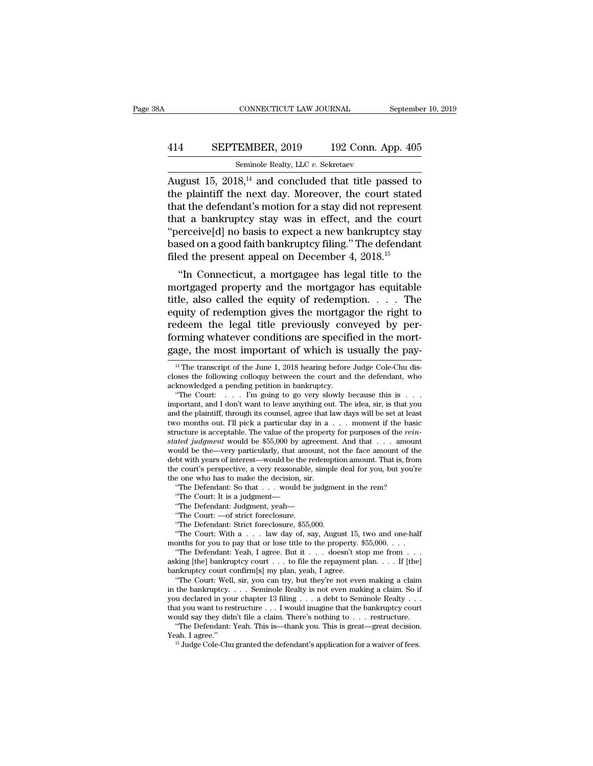### CONNECTICUT LAW JOURNAL September 10, 2019<br>414 SEPTEMBER, 2019 192 Conn. App. 405<br>Seminole Realty, LLC v. Sekretaev CONNECTICUT LAW JOURNAL September 10, 2019<br>
September 10, 2019<br>
Seminole Realty, LLC *v.* Sekretaev<br>
August 15, 2018,<sup>14</sup> and concluded that title passed to

CONNECTICUT LAW JOURNAL September 10, 2019<br>
414 SEPTEMBER, 2019 192 Conn. App. 405<br>
Seminole Realty, LLC v. Sekretaev<br>
August 15, 2018,<sup>14</sup> and concluded that title passed to<br>
the plaintiff the next day. Moreover, the cour 414 SEPTEMBER, 2019 192 Conn. App. 405<br>Seminole Realty, LLC v. Sekretaev<br>August 15, 2018,<sup>14</sup> and concluded that title passed to<br>the plaintiff the next day. Moreover, the court stated<br>that the defendant's motion for a sta 414 SEPTEMBER, 2019 192 Conn. App. 405<br>
Seminole Realty, LLC v. Sekretaev<br>
August 15, 2018,<sup>14</sup> and concluded that title passed to<br>
the plaintiff the next day. Moreover, the court stated<br>
that the defendant's motion for a 414 SEPTEMBER, 2019 192 Conn. App. 405<br>
Seminole Realty, LLC v. Sekretaev<br>
August 15, 2018,<sup>14</sup> and concluded that title passed to<br>
the plaintiff the next day. Moreover, the court stated<br>
that the defendant's motion for a Seminole Realty, LLC v. Sekretaev<br>
August 15, 2018,<sup>14</sup> and concluded that title passed to<br>
the plaintiff the next day. Moreover, the court stated<br>
that the defendant's motion for a stay did not represent<br>
that a bankrupt Semmole Realty, LLC v. Sekretaev<br>August 15, 2018,<sup>14</sup> and concluded that title passed to<br>the plaintiff the next day. Moreover, the court stated<br>that the defendant's motion for a stay did not represent<br>that a bankruptcy st August 15, 2018,<sup>14</sup> and concluded that title passed to<br>the plaintiff the next day. Moreover, the court stated<br>that the defendant's motion for a stay did not represent<br>that a bankruptcy stay was in effect, and the court<br>" e plantiful the next day. Moreover, the court stated<br>at the defendant's motion for a stay did not represent<br>at a bankruptcy stay was in effect, and the court<br>erceive[d] no basis to expect a new bankruptcy stay<br>sed on a goo that a bankruptcy stay was in effect, and the court<br>
"perceive[d] no basis to expect a new bankruptcy stay<br>
based on a good faith bankruptcy filing." The defendant<br>
filed the present appeal on December 4, 2018.<sup>15</sup><br>
"In C

that a bankfupicy stay was in effect, and the court<br>
"perceive[d] no basis to expect a new bankruptcy stay<br>
based on a good faith bankruptcy filing." The defendant<br>
filed the present appeal on December 4, 2018.<sup>15</sup><br>
"In C perceively no basis to expect a new bankruptcy stay<br>based on a good faith bankruptcy filing." The defendant<br>filed the present appeal on December 4, 2018.<sup>15</sup><br>"In Connecticut, a mortgagee has legal title to the<br>mortgaged p redefined the present appeal on December 4, 2018.<sup>15</sup><br>
"In Connecticut, a mortgagee has legal title to the<br>
mortgaged property and the mortgagor has equitable<br>
title, also called the equity of redemption. . . . . The<br>
equ forming whatever conditions are specified in the mortgage what the mortgaged property and the mortgagor has equitable title, also called the equity of redemption. . . . . The equity of redemption gives the mortgagor the ri "In Connecticut, a mortgagee has legal title to the mortgaged property and the mortgagor has equitable title, also called the equity of redemption. . . . . The equity of redemption gives the mortgagor the right to redeem quity of redemption gives the mortgagor the right to<br>edeem the legal title previously conveyed by per-<br>priming whatever conditions are specified in the mort-<br>age, the most important of which is usually the pay-<br> $\frac{14}{11}$ redeem the legal title previously conveyed by per-<br>forming whatever conditions are specified in the mort-<br>gage, the most important of which is usually the pay-<br><sup>14</sup> The transcript of the June 1, 2018 hearing before Judge C forming whatever conditions are specif<br>forming whatever conditions are specif<br>gage, the most important of which is u<br> $^{14}$  The transcript of the June 1, 2018 hearing before<br>closes the following colloquy between the court

e one who has to make the decision, sir.<br>
"The Defendant: So that . . . would be judgment in the rem?<br>
"The Court: It is a judgment, yeah—<br>
"The Court: —of strict foreclosure.<br>
"The Court: —of strict foreclosure, \$55,000.<br> "The Defendant: So that  $\ldots$  would be judgment in the rem?<br>
"The Court: It is a judgment—<br>
"The Defendant: Judgment, yeah—<br>
"The Court:  $\ldots$  of strict foreclosure, \$55,000.<br>
"The Defendant: Strict foreclosure, \$55,000.<br>

"The Court: It is a judgment—<br>"The Defendant: Judgment, yeah—<br>"The Court: —of strict foreclosure.<br>"The Defendant: Strict foreclosure, \$55,000.<br>"The Court: With a . . . law day of, say, August 15, two and one-half<br>onths for "The Defendant: Judgment, yeah—<br>
"The Court:  $-\text{of}$  strict foreclosure.<br>
"The Defendant: Strict foreclosure, \$55,000.<br>
"The Court: With a . . . law day of, say, August 15, two and one-half<br>
months for you to pay that or "The Court: —of strict foreclosure.<br>
"The Defendant: Strict foreclosure, \$55,000.<br>
"The Court: With a . . . law day of, say, August 15,<br>
months for you to pay that or lose title to the property.<br>
"The Defendant: Yeah, I a "The Defendant: Strict foreclosure, \$55,000.<br>
"The Court: With  $a \ldots$  law day of, say, August 15, two and one-half<br>
onths for you to pay that or lose title to the property. \$55,000. . . .<br>
"The Defendant: Yeah, I agree. B

in the bankruptcy. . . . Seminole Realty is not even making a claim. So if you declared in your chapter 13 filing . . . a debt to Seminole Realty . . . "The Defendant: Yeah, I agree. But it . . . doesn't stop me from . . . asking [the] bankruptcy court . . . to file the repayment plan. . . . If [the] bankruptcy court confirm[s] my plan, yeah, I agree.<br>"The Court: Well, s asking [the] bankruptcy court . . . to file the repayment plan. . . . If [the] bankruptcy court confirm[s] my plan, yeah, I agree.<br>
"The Court: Well, sir, you can try, but they're not even making a claim in the bankruptcy. nkruptcy court confirm[s] my plan, yeah, I agree.<br>
"The Court: Well, sir, you can try, but they're not even making a claim<br>
the bankruptcy.... Seminole Realty is not even making a claim. So if<br>
u declared in your chapter 1 "The Court: Well, sir, you can try, but they're not even making a claim<br>in the bankruptcy. . . . Seminole Realty is not even making a claim. So if<br>you declared in your chapter 13 filing . . . a debt to Seminole Realty . .

<sup>&#</sup>x27;'The Court: . . . I'm going to go very slowly because this is . . .

gage, the most important of which is usually the pay-<br>
<sup>14</sup> The transcript of the June 1, 2018 hearing before Judge Cole-Chu dis-<br>
closes the following colloquy between the court and the defendant, who<br>
acknowledged a pen <sup>14</sup><br><sup>14</sup> The transcript of the June 1, 2018 hearing before Judge Cole-Chu discloses the following colloquy between the court and the defendant, who acknowledged a pending petition in bankruptcy.<br>
"The Court: . . . . I'm <sup>14</sup> The transcript of the June 1, 2018 hearing before Judge Cole-Chu dis-<br>closes the following colloquy between the court and the defendant, who<br>acknowledged a pending petition in bankruptcy.<br>"The Court:... I'm going to acknowledged a pending petition in bankruptcy.<br>
"The Court: . . . . I'm going to go very slowly because this is . . . important, and I don't want to leave anything out. The idea, sir, is that you and the plaintiff, throug acknowledged a pending petition in bankruptcy.<br>
"The Court: . . . . I'm going to go very slowly because this is . . .<br>
important, and I don't want to leave anything out. The idea, sir, is that you<br>
and the plaintiff, throu "The Court: . . . . I'm going to go very slowly because this is . . . . important, and I don't want to leave anything out. The idea, sir, is that you and the plaintiff, through its counsel, agree that law days will be set important, and I don't want to leave anything out. The idea, sir, is that you<br>and the plaintiff, through its counsel, agree that law days will be set at least<br>two months out. I'll pick a particular day in a ... moment if and the plaintiff, through its counsel, agree that law days will be set at least<br>two months out. I'll pick a particular day in a ... moment if the basic<br>structure is acceptable. The value of the property for purposes of t two months out. I'll pick a particular day in a<br>structure is acceptable. The value of the propert<br>*stated judgment* would be \$55,000 by agreeme<br>would be the—very particularly, that amount, r<br>debt with years of interest—wo Tructure is acceptable. The value of the property for purposes of the *reinted judgment* would be \$55,000 by agreement. And that  $\dots$  amour ould be the—very particularly, that amount, not the face amount of the bt with ye died *judgment* would be \$55,000 by agreement. An under the Court is perspective, that amount, not the between the between the court's perspective, a very reasonable, simple descreed to mean who has to make the decision, s bould be the—very particularly, that amount, not the face<br>bot with years of interest—would be the redemption amove court's perspective, a very reasonable, simple deal fo<br>e one who has to make the decision, sir.<br>"The Defen bt with years of interest—would be the re<br>
e court's perspective, a very reasonable,<br>
e one who has to make the decision, sir<br>
"The Defendant: So that . . . would be<br>
"The Court: It is a judgment,<br>
"The Defendant: Judgment e court's perspective, a very reasonable, simple  $\epsilon$  one who has to make the decision, sir.<br>
"The Defendant: So that  $\ldots$  would be judgmen<br>
"The Court: It is a judgment—<br>
"The Defendant: Judgment, yeah—<br>"The Court: —of s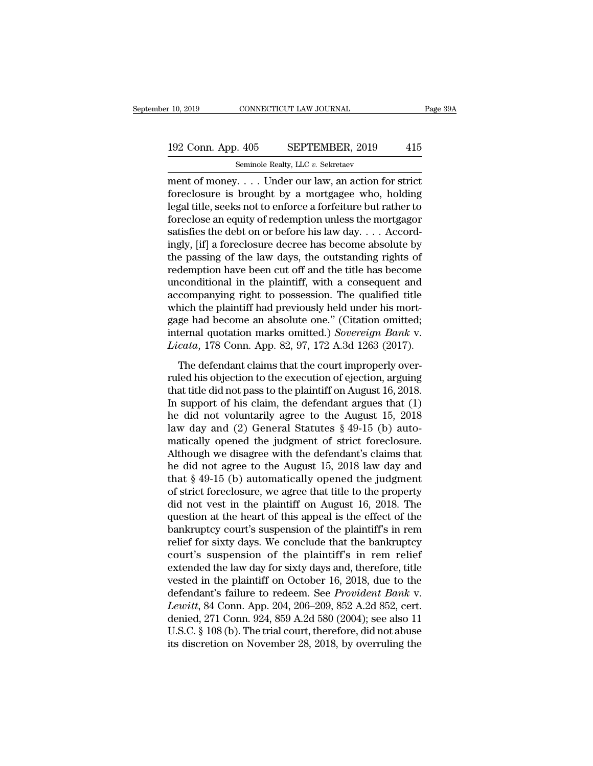### 10, 2019 CONNECTICUT LAW JOURNAL Page 39A<br>192 Conn. App. 405 SEPTEMBER, 2019 415<br>Seminole Realty, LLC v. Sekretaev Seminole Realty, LLC *v.* Sekretaev

ment of money. . . . Under our law sources and the money of money.<br>
May be alty, LLC v. Sekretaev<br>
ment of money. . . . Under our law, an action for strict<br>
foreclosure is brought by a mortgagee who, holding<br>
local title s 192 Conn. App. 405 SEPTEMBER, 2019 415<br>Seminole Realty, LLC  $v$ . Sekretaev<br>ment of money.... Under our law, an action for strict<br>foreclosure is brought by a mortgagee who, holding<br>legal title, seeks not to enforce a forfe 192 Conn. App. 405 SEPTEMBER, 2019 415<br>
Seminole Realty, LLC v. Sekretaev<br>
ment of money.... Under our law, an action for strict<br>
foreclosure is brought by a mortgagee who, holding<br>
legal title, seeks not to enforce a for 192 Conn. App. 405 SEPTEMBER, 2019 415<br>
Seminole Realty, LLC v. Sekretaev<br>
ment of money.... Under our law, an action for strict<br>
foreclosure is brought by a mortgagee who, holding<br>
legal title, seeks not to enforce a for 192 Conn. App. 405 SEPTEMBER, 2019 415<br>
seminole Realty, LLC v. Sekretaev<br>
ment of money.... Under our law, an action for strict<br>
foreclosure is brought by a mortgagee who, holding<br>
legal title, seeks not to enforce a for Semmole Realty, LLC v. Sekretaev<br>
ment of money.... Under our law, an action for strict<br>
foreclosure is brought by a mortgagee who, holding<br>
legal title, seeks not to enforce a forfeiture but rather to<br>
foreclose an equit ment of money. . . . Under our law, an action for strict<br>foreclosure is brought by a mortgagee who, holding<br>legal title, seeks not to enforce a forfeiture but rather to<br>foreclose an equity of redemption unless the mortgag foreclosure is brought by a mortgagee who, holding<br>legal title, seeks not to enforce a forfeiture but rather to<br>foreclose an equity of redemption unless the mortgagor<br>satisfies the debt on or before his law day. . . . Acco legal title, seeks not to enforce a forfeiture but rather to<br>foreclose an equity of redemption unless the mortgagor<br>satisfies the debt on or before his law day. . . . Accord-<br>ingly, [if] a foreclosure decree has become abs foreclose an equity of redemption unless the mortgagor<br>satisfies the debt on or before his law day.... Accord-<br>ingly, [if] a foreclosure decree has become absolute by<br>the passing of the law days, the outstanding rights of satisfies the debt on or before his law day. . . . Accordingly, [if] a foreclosure decree has become absolute by<br>the passing of the law days, the outstanding rights of<br>redemption have been cut off and the title has become ingly, [if] a foreclosure decree has become absolute by<br>the passing of the law days, the outstanding rights of<br>redemption have been cut off and the title has become<br>unconditional in the plaintiff, with a consequent and<br>ac the passing of the law days, the outstanding rights of<br>redemption have been cut off and the title has become<br>unconditional in the plaintiff, with a consequent and<br>accompanying right to possession. The qualified title<br>which redemption have been cut off and the title has become<br>unconditional in the plaintiff, with a consequent and<br>accompanying right to possession. The qualified title<br>which the plaintiff had previously held under his mort-<br>gage conduction in the plantinity, which defore did companying right to possession. The qualified title<br>nich the plaintiff had previously held under his mort-<br>ge had become an absolute one." (Citation omitted;<br>ternal quotation ruled his plantiff had previously held under his mort-<br>gage had become an absolute one." (Citation omitted;<br>internal quotation marks omitted.) *Sovereign Bank* v.<br>*Licata*, 178 Conn. App. 82, 97, 172 A.3d 1263 (2017).<br>The

matrix the plant had previously field under this more<br>gage had become an absolute one." (Citation omitted;<br>internal quotation marks omitted.) Sovereign Bank v.<br>Licata, 178 Conn. App. 82, 97, 172 A.3d 1263 (2017).<br>The defe internal quotation marks omitted.) Sovereign Bank v.<br>Licata, 178 Conn. App. 82, 97, 172 A.3d 1263 (2017).<br>The defendant claims that the court improperly over-<br>ruled his objection to the execution of ejection, arguing<br>that *Licata*, 178 Conn. App. 82, 97, 172 A.3d 1263 (2017).<br>
The defendant claims that the court improperly over-<br>
ruled his objection to the execution of ejection, arguing<br>
that title did not pass to the plaintiff on August 1 The defendant claims that the court improperly over-<br>ruled his objection to the execution of ejection, arguing<br>that title did not pass to the plaintiff on August 16, 2018.<br>In support of his claim, the defendant argues tha The defendant claims that the court improperly over-<br>ruled his objection to the execution of ejection, arguing<br>that title did not pass to the plaintiff on August 16, 2018.<br>In support of his claim, the defendant argues tha ruled his objection to the execution of ejection, arguing<br>that title did not pass to the plaintiff on August 16, 2018.<br>In support of his claim, the defendant argues that (1)<br>he did not voluntarily agree to the August 15, that title did not pass to the plaintiff on August 16, 2018.<br>In support of his claim, the defendant argues that (1)<br>he did not voluntarily agree to the August 15, 2018<br>law day and (2) General Statutes § 49-15 (b) auto-<br>ma In support of his claim, the defendant argues that (1)<br>he did not voluntarily agree to the August 15, 2018<br>law day and (2) General Statutes  $\S 49-15$  (b) auto-<br>matically opened the judgment of strict foreclosure.<br>Although he did not voluntarily agree to the August 15, 2018<br>law day and (2) General Statutes  $\S$  49-15 (b) auto-<br>matically opened the judgment of strict foreclosure.<br>Although we disagree with the defendant's claims that<br>he did no law day and (2) General Statutes  $\S$  49-15 (b) auto-<br>matically opened the judgment of strict foreclosure.<br>Although we disagree with the defendant's claims that<br>he did not agree to the August 15, 2018 law day and<br>that  $\S$  matically opened the judgment of strict foreclosure.<br>Although we disagree with the defendant's claims that<br>he did not agree to the August 15, 2018 law day and<br>that  $§ 49-15$  (b) automatically opened the judgment<br>of strict Although we disagree with the defendant's claims that<br>he did not agree to the August 15, 2018 law day and<br>that  $§ 49-15$  (b) automatically opened the judgment<br>of strict foreclosure, we agree that title to the property<br>did he did not agree to the August 15, 2018 law day and<br>that  $\S 49-15$  (b) automatically opened the judgment<br>of strict foreclosure, we agree that title to the property<br>did not vest in the plaintiff on August 16, 2018. The<br>que that  $\S 49{\text -}15$  (b) automatically opened the judgment<br>of strict foreclosure, we agree that title to the property<br>did not vest in the plaintiff on August 16, 2018. The<br>question at the heart of this appeal is the effect o of strict foreclosure, we agree that title to the property<br>did not vest in the plaintiff on August 16, 2018. The<br>question at the heart of this appeal is the effect of the<br>bankruptcy court's suspension of the plaintiff's in did not vest in the plaintiff on August 16, 2018. The<br>question at the heart of this appeal is the effect of the<br>bankruptcy court's suspension of the plaintiff's in rem<br>relief for sixty days. We conclude that the bankruptc question at the heart of this appeal is the effect of the bankruptcy court's suspension of the plaintiff's in rem relief for sixty days. We conclude that the bankruptcy court's suspension of the plaintiff's in rem relief e bankruptcy court's suspension of the plaintiff's in rem<br>relief for sixty days. We conclude that the bankruptcy<br>court's suspension of the plaintiff's in rem relief<br>extended the law day for sixty days and, therefore, title<br>v relief for sixty days. We conclude that the bankruptcy<br>court's suspension of the plaintiff's in rem relief<br>extended the law day for sixty days and, therefore, title<br>vested in the plaintiff on October 16, 2018, due to the<br>d court's suspension of the plaintiff's in rem relief<br>extended the law day for sixty days and, therefore, title<br>vested in the plaintiff on October 16, 2018, due to the<br>defendant's failure to redeem. See *Provident Bank* v.<br> extended the law day for sixty days and, therefore, title<br>vested in the plaintiff on October 16, 2018, due to the<br>defendant's failure to redeem. See *Provident Bank* v.<br>*Lewitt*, 84 Conn. App. 204, 206–209, 852 A.2d 852, c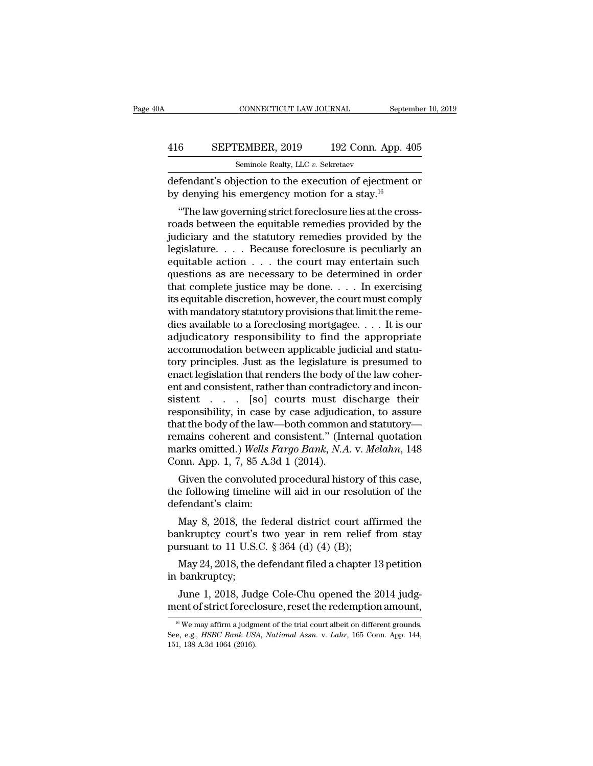### CONNECTICUT LAW JOURNAL September 10, 2019<br>416 SEPTEMBER, 2019 192 Conn. App. 405<br>Seminole Realty, LLC v. Sekretaev CONNECTICUT LAW JOURNAL<br>EMBER, 2019 192 Conn. A<br>Seminole Realty, LLC *v.* Sekretaev<br>iection to the execution of ejectr

CONNECTICUT LAW JOURNAL September 10, 2019<br>416 SEPTEMBER, 2019 192 Conn. App. 405<br>5eminole Realty, LLC v. Sekretaev<br>defendant's objection to the execution of ejectment or<br>by denying his emergency motion for a stay.<sup>16</sup> **416** SEPTEMBER, 2019 192 Conn. App. 4<br>
seminole Realty, LLC v. Sekretaev<br>
defendant's objection to the execution of ejectment<br>
by denying his emergency motion for a stay.<sup>16</sup><br>
"The law governing strict foreclosure lies a

<sup>6</sup><br>
Seminole Realty, LLC *v.* Sekretaev<br> **Example Realty, LLC** *v.* **Sekretaev**<br> **Endant's objection to the execution of ejectment or**<br> **Conving his emergency motion for a stay.<sup>16</sup><br>
<b>Conving strict foreclosure lies at the** FRIENDER, 2019 192 Conn. App. 405<br>
Seminole Realty, LLC v. Sekretaev<br>
defendant's objection to the execution of ejectment or<br>
by denying his emergency motion for a stay.<sup>16</sup><br>
"The law governing strict foreclosure lies at Seminole Realty, LLC  $v$ . Sekretaev<br>
defendant's objection to the execution of ejectment or<br>
by denying his emergency motion for a stay.<sup>16</sup><br>
"The law governing strict foreclosure lies at the cross-<br>
roads between the equ defendant's objection to the execution of ejectment or<br>by denying his emergency motion for a stay.<sup>16</sup><br>"The law governing strict foreclosure lies at the cross-<br>roads between the equitable remedies provided by the<br>judiciary defendant sobjection to the execution of ejectrient or<br>by denying his emergency motion for a stay.<sup>16</sup><br>"The law governing strict foreclosure lies at the cross-<br>roads between the equitable remedies provided by the<br>judiciar by denying ins emergency motion for a stay.<br>
"The law governing strict foreclosure lies at the cross-<br>
roads between the equitable remedies provided by the<br>
judiciary and the statutory remedies provided by the<br>
legislatur "The law governing strict foreclosure lies at the cross-<br>roads between the equitable remedies provided by the<br>judiciary and the statutory remedies provided by the<br>legislature. . . . Because foreclosure is peculiarly an<br>eq roads between the equitable remedies provided by the<br>judiciary and the statutory remedies provided by the<br>legislature....Because foreclosure is peculiarly an<br>equitable action ... the court may entertain such<br>questions as judiciary and the statutory remedies provided by the legislature. . . . Because foreclosure is peculiarly an equitable action . . . the court may entertain such questions as are necessary to be determined in order that co legislature. . . . . Because foreclosure is peculiarly an equitable action . . . the court may entertain such questions as are necessary to be determined in order that complete justice may be done. . . . In exercising its equitable action . . . the court may entertain such<br>questions as are necessary to be determined in order<br>that complete justice may be done. . . . In exercising<br>its equitable discretion, however, the court must comply<br>with questions as are necessary to be determined in order<br>that complete justice may be done. . . . In exercising<br>its equitable discretion, however, the court must comply<br>with mandatory statutory provisions that limit the remethat complete justice may be done.  $\dots$  In exercising<br>its equitable discretion, however, the court must comply<br>with mandatory statutory provisions that limit the reme-<br>dies available to a foreclosing mortgagee.  $\dots$  It is its equitable discretion, however, the court must comply<br>with mandatory statutory provisions that limit the reme-<br>dies available to a foreclosing mortgagee. . . . It is our<br>adjudicatory responsibility to find the appropria with mandatory statutory provisions that limit the remedies available to a foreclosing mortgagee. . . . It is our adjudicatory responsibility to find the appropriate accommodation between applicable judicial and statutory dies available to a foreclosing mortgagee. . . . . It is our<br>adjudicatory responsibility to find the appropriate<br>accommodation between applicable judicial and statu-<br>tory principles. Just as the legislature is presumed to<br> adjudicatory responsibility to find the appropriate<br>accommodation between applicable judicial and statu-<br>tory principles. Just as the legislature is presumed to<br>enact legislation that renders the body of the law coher-<br>ent accommodation between applicable judicial and statu-<br>tory principles. Just as the legislature is presumed to<br>enact legislation that renders the body of the law coher-<br>ent and consistent, rather than contradictory and inco tory principles. Just as the legislature is presumed to<br>enact legislation that renders the body of the law coher-<br>ent and consistent, rather than contradictory and incon-<br>sistent . . . . [so] courts must discharge their<br>r enact legislation that renders the body of the law coher-<br>ent and consistent, rather than contradictory and incon-<br>sistent . . . . [so] courts must discharge their<br>responsibility, in case by case adjudication, to assure<br>th ent and consistent, rather than contradions<br>sistent . . . . [so] courts must dives<br>ponsibility, in case by case adjudical<br>that the body of the law—both common<br>remains coherent and consistent." (Int<br>marks omitted.) Wells Fa Suent  $\ldots$  [so] courts must discharge their<br>sponsibility, in case by case adjudication, to assure<br>at the body of the law—both common and statutory—<br>mains coherent and consistent." (Internal quotation<br>arks omitted.) Wells responsionly, in case by case adjudication, to assure<br>that the body of the law—both common and statutory—<br>remains coherent and consistent." (Internal quotation<br>marks omitted.) Wells Fargo Bank, N.A. v. Melahn, 148<br>Conn. Ap mat the body of the law-<br>remains coherent and of<br>marks omitted.) Wells F<br>Conn. App. 1, 7, 85 A.3<br>Given the convoluted<br>the following timeline<br>defendant's claim:<br>May 8, 2018, the fed

arks omitted.) Wells Fargo Bank, N.A. v. Melahn, 148<br>pnn. App. 1, 7, 85 A.3d 1 (2014).<br>Given the convoluted procedural history of this case,<br>e following timeline will aid in our resolution of the<br>fendant's claim:<br>May 8, 2 Conn. App. 1, 7, 85 A.3d 1 (2014).<br>
Given the convoluted procedural history of this case,<br>
the following timeline will aid in our resolution of the<br>
defendant's claim:<br>
May 8, 2018, the federal district court affirmed the Given the convoluted procedural history of<br>the following timeline will aid in our resolut<br>defendant's claim:<br>May 8, 2018, the federal district court aff<br>bankruptcy court's two year in rem relief<br>pursuant to 11 U.S.C.  $\S 3$ 

e following timeline will aid in our resolution of the<br>fendant's claim:<br>May 8, 2018, the federal district court affirmed the<br>nkruptcy court's two year in rem relief from stay<br>rsuant to 11 U.S.C. § 364 (d) (4) (B);<br>May 24, defendant's claim:<br>
May 8, 2018, the<br>
bankruptcy court's<br>
pursuant to 11 U.S.<br>
May 24, 2018, the c<br>
in bankruptcy;<br>
June 1, 2018, Jud<sub>3</sub> May 8, 2018, the federal district court affirmed the nkruptcy court's two year in rem relief from stay resuant to 11 U.S.C. § 364 (d) (4) (B);<br>May 24, 2018, the defendant filed a chapter 13 petition bankruptcy;<br>June 1, 201 bankruptcy court's two year in rem relief from stay<br>pursuant to 11 U.S.C. § 364 (d) (4) (B);<br>May 24, 2018, the defendant filed a chapter 13 petition<br>in bankruptcy;<br>June 1, 2018, Judge Cole-Chu opened the 2014 judg-<br>ment o

16 May 21, 2010, are determined a enapter 19 pention<br>16 bankruptcy;<br>June 1, 2018, Judge Cole-Chu opened the 2014 judg-<br>16 We may affirm a judgment of the trial court albeit on different grounds.<br>e, e.g., HSBC Bank USA, Na

In bankruptcy;<br>June 1, 2018, Judge Cole-Chu opened the 2014 judg-<br>ment of strict foreclosure, reset the redemption amount,<br><sup>16</sup> We may affirm a judgment of the trial court albeit on different grounds.<br>See, e.g., *HSBC Bank* June 1, 2018, Jud<br>
ment of strict forecl<br>
<sup>16</sup> We may affirm a judgn<br>
See, e.g., *HSBC Bank US*.<br>
151, 138 A.3d 1064 (2016).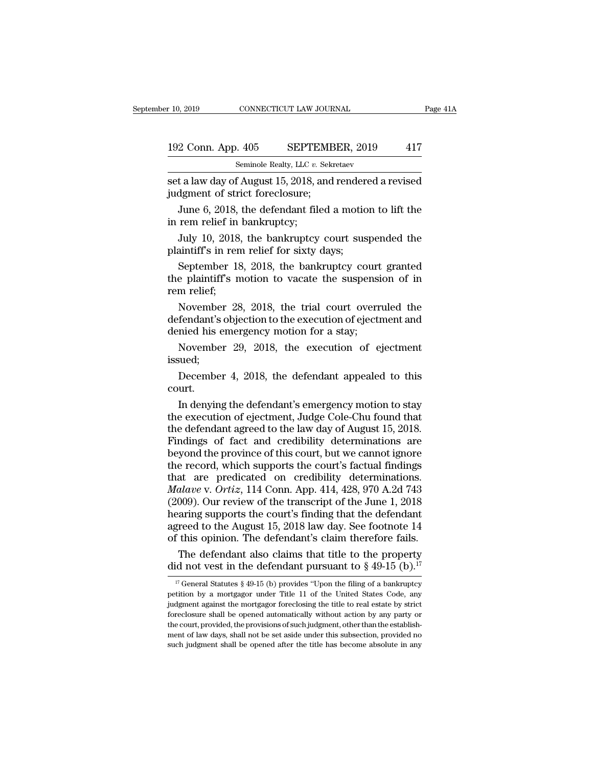### 10, 2019 CONNECTICUT LAW JOURNAL Page 41A<br>192 Conn. App. 405 SEPTEMBER, 2019 417<br>Seminole Realty, LLC v. Sekretaev Seminole Realty, LLC *v.* Sekretaev

r 10, 2019 CONNECTICUT LAW JOURNAL Page 41A<br>
192 Conn. App. 405 SEPTEMBER, 2019 417<br>
Seminole Realty, LLC v. Sekretaev<br>
set a law day of August 15, 2018, and rendered a revised<br>
judgment of strict foreclosure; 192 Conn. App. 405 SEPTEMB<br>
Seminole Realty, LLC v. Sekr<br>
set a law day of August 15, 2018, and<br>
judgment of strict foreclosure;<br>
June 6, 2018, the defendant filed:

2 Conn. App.  $405$  SEPTEMBER,  $2019$  417<br>
Seminole Realty, LLC v. Sekretaev<br>
t a law day of August 15, 2018, and rendered a revised<br>
dgment of strict foreclosure;<br>
June 6, 2018, the defendant filed a motion to lift the<br>
r 192 Conn. App. 405 SEPTE.<br>
Seminole Realty, LLC v. i<br>
set a law day of August 15, 2018, a<br>
judgment of strict foreclosure;<br>
June 6, 2018, the defendant file<br>
in rem relief in bankruptcy;<br>
July 10, 2018, the bankruptcy Seminole Realty, LLC v. Sekretaev<br>
1 a law day of August 15, 2018, and rendered a revised<br>
dgment of strict foreclosure;<br>
June 6, 2018, the defendant filed a motion to lift the<br>
rem relief in bankruptcy;<br>
July 10, 2018, th set a law day of August 15, 2018, and render<br>judgment of strict foreclosure;<br>June 6, 2018, the defendant filed a motic<br>in rem relief in bankruptcy;<br>July 10, 2018, the bankruptcy court sus<br>plaintiff's in rem relief for sixt

dgment of strict foreclosure;<br>June 6, 2018, the defendant filed a motion to lift the<br>rem relief in bankruptcy;<br>July 10, 2018, the bankruptcy court suspended the<br>aintiff's in rem relief for sixty days;<br>September 18, 2018, t June 6, 2018, the defendant filed a motion to lift the<br>in rem relief in bankruptcy;<br>July 10, 2018, the bankruptcy court suspended the<br>plaintiff's in rem relief for sixty days;<br>September 18, 2018, the bankruptcy court gran Fig. 2018, in rem relief in<br>July 10, 2018<br>plaintiff's in rer<br>September 18<br>the plaintiff's n<br>rem relief;<br>November 28 July 10, 2018, the bankruptcy court suspended the<br>aintiff's in rem relief for sixty days;<br>September 18, 2018, the bankruptcy court granted<br>e plaintiff's motion to vacate the suspension of in<br>m relief;<br>November 28, 2018, th

defendant is objection to the execution for a stay.<br>September 18, 2018, the bankruptcy court granted<br>the plaintiff's motion to vacate the suspension of in<br>rem relief;<br>November 28, 2018, the trial court overruled the<br>defend plantified his emergency court<br>deniating his emergency court<br>the plaintiff's motion to vacate the suspensing<br>rem relief;<br>November 28, 2018, the trial court over<br>defendant's objection to the execution of eject<br>denied his em September 18, 2018, the bankruptcy court granted<br>e plaintiff's motion to vacate the suspension of in<br>m relief;<br>November 28, 2018, the trial court overruled the<br>fendant's objection to the execution of ejectment and<br>nied his November 28, 2018, the trial court overruled the<br>fendant's objection to the execution of ejectment and<br>nied his emergency motion for a stay;<br>November 29, 2018, the execution of ejectment<br>sued;<br>December 4, 2018, the defenda

issued;

court.

inied his emergency motion for a stay;<br>
November 29, 2018, the execution of ejectment<br>
sued;<br>
December 4, 2018, the defendant appealed to this<br>
urt.<br>
In denying the defendant's emergency motion to stay<br>
e execution of ejec November 29, 2018, the execution of ejectment<br>issued;<br>December 4, 2018, the defendant appealed to this<br>court.<br>In denying the defendant's emergency motion to stay<br>the execution of ejectment, Judge Cole-Chu found that<br>the d Frovember 25, 2016, the execution of ejectment<br>issued;<br>December 4, 2018, the defendant appealed to this<br>court.<br>In denying the defendant's emergency motion to stay<br>the execution of ejectment, Judge Cole-Chu found that<br>the Soueu,<br>December 4, 2018, the defendant appealed to this<br>court.<br>In denying the defendant's emergency motion to stay<br>the execution of ejectment, Judge Cole-Chu found that<br>the defendant agreed to the law day of August 15, 201 December 4, 2018, the defendant appealed to this<br>court.<br>In denying the defendant's emergency motion to stay<br>the execution of ejectment, Judge Cole-Chu found that<br>the defendant agreed to the law day of August 15, 2018.<br>Find court.<br>
In denying the defendant's emergency motion to stay<br>
the execution of ejectment, Judge Cole-Chu found that<br>
the defendant agreed to the law day of August 15, 2018.<br>
Findings of fact and credibility determinations In denying the defendant's emergency motion to stay<br>the execution of ejectment, Judge Cole-Chu found that<br>the defendant agreed to the law day of August 15, 2018.<br>Findings of fact and credibility determinations are<br>beyond t the execution of ejectment, Judge Cole-Chu found that<br>the defendant agreed to the law day of August 15, 2018.<br>Findings of fact and credibility determinations are<br>beyond the province of this court, but we cannot ignore<br>the the defendant agreed to the law day of August 15, 2018.<br>Findings of fact and credibility determinations are<br>beyond the province of this court, but we cannot ignore<br>the record, which supports the court's factual findings<br>th Findings of fact and credibility determinations are<br>beyond the province of this court, but we cannot ignore<br>the record, which supports the court's factual findings<br>that are predicated on credibility determinations.<br> $Malave$  v beyond the province of this court, but we cannot ignore<br>the record, which supports the court's factual findings<br>that are predicated on credibility determinations.<br>Malave v. Ortiz, 114 Conn. App. 414, 428, 970 A.2d 743<br>(200 the record, which supports the court's factual findings<br>that are predicated on credibility determinations.<br>Malave v. Ortiz, 114 Conn. App. 414, 428, 970 A.2d 743<br>(2009). Our review of the transcript of the June 1, 2018<br>hea at are predicated on credibility determinations.<br> *alave* v. *Ortiz*, 114 Conn. App. 414, 428, 970 A.2d 743<br>
009). Our review of the transcript of the June 1, 2018<br>
aring supports the court's finding that the defendant<br>
r *Malave* v. *Ortiz*, 114 Conn. App. 414, 428, 970 A.2d 743 (2009). Our review of the transcript of the June 1, 2018 hearing supports the court's finding that the defendant agreed to the August 15, 2018 law day. See footno

The defendant also claims that title to the property<br>
If this opinion. The defendant's claim therefore fails.<br>
The defendant also claims that title to the property<br>
id not vest in the defendant pursuant to § 49-15 (b).<sup>17</sup>

of this opinion. The defendant's claim therefore fails.<br>The defendant also claims that title to the property<br>did not vest in the defendant pursuant to § 49-15 (b).<sup>17</sup><br><sup>17</sup> General Statutes § 49-15 (b) provides "Upon the The defendant also claims that title to the property<br>did not vest in the defendant pursuant to § 49-15 (b).<sup>17</sup><br> $\frac{17}{17}$  General Statutes § 49-15 (b) provides "Upon the filing of a bankruptcy<br>petition by a mortgagor un For determinant also claims that the to the property<br>did not vest in the defendant pursuant to § 49-15 (b).<sup>17</sup><br><sup>17</sup> General Statutes § 49-15 (b) provides "Upon the filing of a bankruptcy<br>petition by a mortgagor under Tit The court, provided, the provisions of such judgment, other than the establish-<br>the court, provides  $\frac{49-15}{10}$  (b) provides "Upon the filing of a bankruptcy<br>petition by a mortgagor under Title 11 of the United States <sup>17</sup> General Statutes § 49-15 (b) provides "Upon the filing of a bankruptcy petition by a mortgagor under Title 11 of the United States Code, any judgment against the mortgagor foreclosing the title to real estate by stri petition by a mortgagor under Title 11 of the United States Code, any judgment against the mortgagor foreclosing the title to real estate by strict foreclosure shall be opened automatically without action by any party or t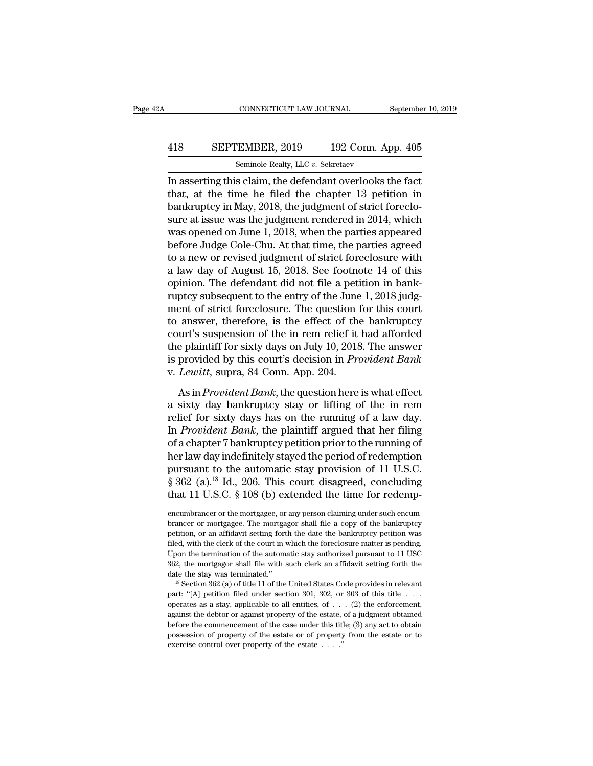### CONNECTICUT LAW JOURNAL September 10, 2019<br>418 SEPTEMBER, 2019 192 Conn. App. 405<br>Seminole Realty, LLC v. Sekretaev CONNECTICUT LAW JOURNAL<br>EMBER, 2019 192 Conn. A<br>Seminole Realty, LLC *v.* Sekretaev<br>s claim the defendant overlooks t

CONNECTICUT LAW JOURNAL September 10, 2019<br>
ISBN 922 Conn. App. 405<br>
Seminole Realty, LLC v. Sekretaev<br>
In asserting this claim, the defendant overlooks the fact<br>
that, at the time he filed the chapter 13 petition in<br>
hank SEPTEMBER, 2019 192 Conn. App. 405<br>
Seminole Realty, LLC v. Sekretaev<br>
In asserting this claim, the defendant overlooks the fact<br>
that, at the time he filed the chapter 13 petition in<br>
bankruptcy in May, 2018, the judgment **EXEPTEMBER, 2019** 192 Conn. App. 405<br>
Seminole Realty, LLC v. Sekretaev<br>
In asserting this claim, the defendant overlooks the fact<br>
that, at the time he filed the chapter 13 petition in<br>
bankruptcy in May, 2018, the judg SEPTEMBER, 2019 192 Conn. App. 405<br>
Seminole Realty, LLC  $v$ . Sekretaev<br>
In asserting this claim, the defendant overlooks the fact<br>
that, at the time he filed the chapter 13 petition in<br>
bankruptcy in May, 2018, the judgm Seminole Realty, LLC  $v$ . Sekretaev<br>In asserting this claim, the defendant overlooks the fact<br>that, at the time he filed the chapter 13 petition in<br>bankruptcy in May, 2018, the judgment of strict foreclo-<br>sure at issue wa semmole Realty, LLC v. Sekretaev<br>In asserting this claim, the defendant overlooks the fact<br>that, at the time he filed the chapter 13 petition in<br>bankruptcy in May, 2018, the judgment of strict foreclo-<br>sure at issue was t In asserting this claim, the defendant overlooks the fact<br>that, at the time he filed the chapter 13 petition in<br>bankruptcy in May, 2018, the judgment of strict foreclo-<br>sure at issue was the judgment rendered in 2014, whic that, at the time he filed the chapter 13 petition in<br>bankruptcy in May, 2018, the judgment of strict foreclo-<br>sure at issue was the judgment rendered in 2014, which<br>was opened on June 1, 2018, when the parties appeared<br>be bankruptcy in May, 2018, the judgment of strict foreclosure at issue was the judgment rendered in 2014, which was opened on June 1, 2018, when the parties appeared before Judge Cole-Chu. At that time, the parties agreed to sure at issue was the judgment rendered in 2014, which<br>was opened on June 1, 2018, when the parties appeared<br>before Judge Cole-Chu. At that time, the parties agreed<br>to a new or revised judgment of strict foreclosure with<br>a was opened on June 1, 2018, when the parties appeared<br>before Judge Cole-Chu. At that time, the parties agreed<br>to a new or revised judgment of strict foreclosure with<br>a law day of August 15, 2018. See footnote 14 of this<br>op before Judge Cole-Chu. At that time, the parties agreed<br>to a new or revised judgment of strict foreclosure with<br>a law day of August 15, 2018. See footnote 14 of this<br>opinion. The defendant did not file a petition in bank-<br> to a new or revised judgment of strict foreclosure with<br>a law day of August 15, 2018. See footnote 14 of this<br>opinion. The defendant did not file a petition in bank-<br>ruptcy subsequent to the entry of the June 1, 2018 judga law day of August 15, 2018. See footnote 14 of this<br>opinion. The defendant did not file a petition in bank-<br>ruptcy subsequent to the entry of the June 1, 2018 judg-<br>ment of strict foreclosure. The question for this cour opinion. The defendant did not file a petition in bank-<br>ruptcy subsequent to the entry of the June 1, 2018 judg-<br>ment of strict foreclosure. The question for this court<br>to answer, therefore, is the effect of the bankruptcy ruptcy subsequent to the entry of the June<br>ment of strict foreclosure. The question i<br>to answer, therefore, is the effect of the<br>court's suspension of the in rem relief it<br>the plaintiff for sixty days on July 10, 2018<br>is p Find Bankruptcy and the effect of the bankruptcy<br>answer, therefore, is the effect of the bankruptcy<br>wurt's suspension of the in rem relief it had afforded<br>e plaintiff for sixty days on July 10, 2018. The answer<br>provided by court's suspension of the in rem relief it had afforded<br>the plaintiff for sixty days on July 10, 2018. The answer<br>is provided by this court's decision in *Provident Bank*<br>v. Lewitt, supra, 84 Conn. App. 204.<br>As in *Provid* 

relief for sixty days on July 10, 2018. The answer<br>is provided by this court's decision in *Provident Bank*<br>v. Lewitt, supra, 84 Conn. App. 204.<br>As in *Provident Bank*, the question here is what effect<br>a sixty day bankrupt In *Provided by this court's decision in Provident Bank*<br>v. *Lewitt*, supra, 84 Conn. App. 204.<br>As in *Provident Bank*, the question here is what effect<br>a sixty day bankruptcy stay or lifting of the in rem<br>relief for sixty of *Lewitt*, supra, 84 Conn. App. 204.<br>
As in *Provident Bank*, the question here is what effect<br>
a sixty day bankruptcy stay or lifting of the in rem<br>
relief for sixty days has on the running of a law day.<br>
In *Provident* As in *Provident Bank*, the question here is what effect<br>a sixty day bankruptcy stay or lifting of the in rem<br>relief for sixty days has on the running of a law day.<br>In *Provident Bank*, the plaintiff argued that her filin As in *Provident Bank*, the question here is what effect<br>a sixty day bankruptcy stay or lifting of the in rem<br>relief for sixty days has on the running of a law day.<br>In *Provident Bank*, the plaintiff argued that her filin a sixty day bankruptcy stay or lifting of the in rem<br>relief for sixty days has on the running of a law day.<br>In *Provident Bank*, the plaintiff argued that her filing<br>of a chapter 7 bankruptcy petition prior to the running relief for sixty days has on the running of a law day.<br>In *Provident Bank*, the plaintiff argued that her filing<br>of a chapter 7 bankruptcy petition prior to the running of<br>her law day indefinitely stayed the period of rede ner law day maennitely stayed the period of redemption<br>pursuant to the automatic stay provision of 11 U.S.C.<br>§ 362 (a).<sup>18</sup> Id., 206. This court disagreed, concluding<br>that 11 U.S.C. § 108 (b) extended the time for redemp-<br> pursuant to the automatic stay provision of 11 U.S.C. § 362 (a).<sup>18</sup> Id., 206. This court disagreed, concluding that 11 U.S.C. § 108 (b) extended the time for redemp-<br>encumbrancer or the mortgagee, or any person claiming u

 $\S$  362 (a).<sup>18</sup> Id., 206. This court disagreed, concluding that 11 U.S.C.  $\S$  108 (b) extended the time for redemp-<br>encumbrancer or the mortgagee, or any person claiming under such encumbrancer or mortgagee. The mortgago that 11 U.S.C. § 108 (b) extended the time for redemp-<br>encumbrancer or the mortgagee, or any person claiming under such encum-<br>brancer or mortgagee. The mortgagor shall file a copy of the bankruptcy<br>petition, or an affidav encumbrancer or the mortgagee, or any person claiming under such encum-<br>brancer or mortgagee. The mortgagor shall file a copy of the bankruptcy<br>petition, or an affidavit setting forth the date the bankruptcy petition was<br>f encumbrancer or the mortgagee, or any person claiming under such encum-<br>brancer or mortgagee. The mortgagor shall file a copy of the bankruptcy<br>petition, or an affidavit setting forth the date the bankruptcy petition was<br>f brancer or mortgagee. The mortgagor shall file a copy of the bankruptcy petition, or an affidavit setting forth the date the bankruptcy petition was filed, with the clerk of the court in which the foreclosure matter is pe filed, with the clerk of the court in which the foreclosure matter is pending.<br>
Upon the termination of the automatic stay authorized pursuant to 11 USC<br>
362, the mortgagor shall file with such clerk an affidavit setting

Lyon the termination of the automatic stay authorized pursuant to 11 USC 362, the mortgagor shall file with such clerk an affidavit setting forth the date the stay was terminated."<br>
<sup>18</sup> Section 362 (a) of title 11 of the 362, the mortgagor shall file with such clerk an affidavit setting forth the date the stay was terminated."<br><sup>18</sup> Section 362 (a) of title 11 of the United States Code provides in relevant part: "[A] petition filed under s before the stay was terminated."<br>
<sup>18</sup> Section 362 (a) of title 11 of the United States Code provides in relevant<br>
part: "[A] petition filed under section 301, 302, or 303 of this title . . .<br>
operates as a stay, applicab <sup>18</sup> Section 362 (a) of title 11 of the United States Code provides in relevant part: "[A] petition filed under section 301, 302, or 303 of this title . . . operates as a stay, applicable to all entities, of . . . (2) the <sup>18</sup> Section 362 (a) of title 11 of the United States Code provides in relevant part: "[A] petition filed under section 301, 302, or 303 of this title . . . . operates as a stay, applicable to all entities, of . . . (2) t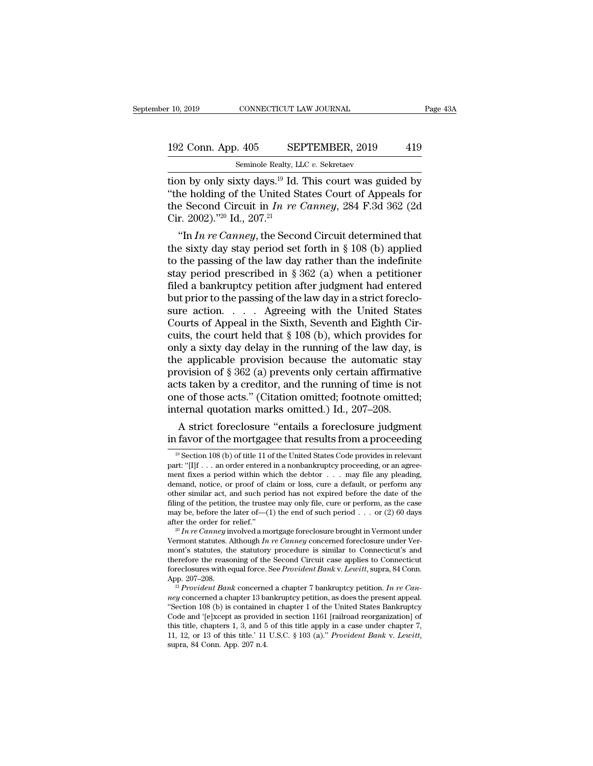the 10, 2019 CONNECTICUT LAW JOURNAL Page 43A<br>
192 Conn. App. 405 SEPTEMBER, 2019 419<br>
Seminole Realty, LLC v. Sekretaev<br>
tion by only sixty days.<sup>19</sup> Id. This court was guided by<br>
"the holding of the United States Court 192 Conn. App. 405 SEPTEMBER, 2019 419<br>
Seminole Realty, LLC v. Sekretaev<br>
tion by only sixty days.<sup>19</sup> Id. This court was guided by<br>
"the holding of the United States Court of Appeals for<br>
the Second Circuit in *In re Ca* 192 Conn. App. 405 SEPTEMBER, 2019 419<br>
Seminole Realty, LLC v. Sekretaev<br>
tion by only sixty days.<sup>19</sup> Id. This court was guided by<br>
"the holding of the United States Court of Appeals for<br>
the Second Circuit in *In re Can* 192 Conn. App. 405 SEI<br>
Seminole Realty, LI<br>
tion by only sixty days.<sup>19</sup> Id.<br>
"the holding of the United St<br>
the Second Circuit in *In re* (<br>
Cir. 2002)."<sup>20</sup> Id., 207.<sup>21</sup><br>
"In *In re Canney*, the Secon Seminole Realty, LLC v. Sekretaev<br>
In by only sixty days.<sup>19</sup> Id. This court was guided by<br>
the holding of the United States Court of Appeals for<br>
E Second Circuit in *In re Canney*, 284 F.3d 362 (2d<br>
In *In re Canney*, th tion by only sixty days.<sup>19</sup> Id. This court was guided by<br>
"the holding of the United States Court of Appeals for<br>
the Second Circuit in *In re Canney*, 284 F.3d 362 (2d<br>
Cir. 2002)."<sup>20</sup> Id., 207.<sup>21</sup><br>
"In *In re Canney* 

tion by only sixty days." Id. This court was guided by<br>
"the holding of the United States Court of Appeals for<br>
the Second Circuit in *In re Canney*, 284 F.3d 362 (2d<br>
Cir. 2002)."<sup>20</sup> Id., 207.<sup>21</sup><br>
"In *In re Canney*, t the Second Circuit in *In re Canney*, 284 F.3d 362 (2d<br>Cir. 2002).<sup>720</sup> Id., 207.<sup>21</sup><br>"In *In re Canney*, the Second Circuit determined that<br>the sixty day stay period set forth in § 108 (b) applied<br>to the passing of the l the second Circuit in *In re Canney*, 284 F.3d 302 (2d<br>Cir. 2002).<sup>720</sup> Id., 207.<sup>21</sup><br>"In *In re Canney*, the Second Circuit determined that<br>the sixty day stay period set forth in § 108 (b) applied<br>to the passing of the l UIT. 2002). <sup>25</sup> Id., 207.<sup>24</sup><br>
"In *In re Canney*, the Second Circuit determined that<br>
the sixty day stay period set forth in § 108 (b) applied<br>
to the passing of the law day rather than the indefinite<br>
stay period presc "In *In re Canney*, the Second Circuit determined that<br>the sixty day stay period set forth in § 108 (b) applied<br>to the passing of the law day rather than the indefinite<br>stay period prescribed in § 362 (a) when a petitione the sixty day stay period set forth in § 108 (b) applied<br>to the passing of the law day rather than the indefinite<br>stay period prescribed in § 362 (a) when a petitioner<br>filed a bankruptcy petition after judgment had entere to the passing of the law day rather than the indefinite<br>stay period prescribed in § 362 (a) when a petitioner<br>filed a bankruptcy petition after judgment had entered<br>but prior to the passing of the law day in a strict for stay period prescribed in § 362 (a) when a petitioner<br>filed a bankruptcy petition after judgment had entered<br>but prior to the passing of the law day in a strict foreclo-<br>sure action. . . . . Agreeing with the United State filed a bankruptcy petition after judgment had entered<br>but prior to the passing of the law day in a strict foreclo-<br>sure action. . . . . Agreeing with the United States<br>Courts of Appeal in the Sixth, Seventh and Eighth Ci but prior to the passing of the law day in a strict foreclosure action. . . . . Agreeing with the United States<br>Courts of Appeal in the Sixth, Seventh and Eighth Circuits, the court held that § 108 (b), which provides for<br> sure action. . . . Agreeing with the United States<br>Courts of Appeal in the Sixth, Seventh and Eighth Circuits, the court held that  $\S 108$  (b), which provides for<br>only a sixty day delay in the running of the law day, is<br>t Courts of Appeal in the Sixth, Seventh and Eighth Circuits, the court held that  $\S$  108 (b), which provides for only a sixty day delay in the running of the law day, is the applicable provision because the automatic stay cuits, the court held that  $\S$  108 (b), which provides foonly a sixty day delay in the running of the law day, if the applicable provision because the automatic sta provision of  $\S$  362 (a) prevents only certain affirmati Ity a sixty day delay in the running of the law day, is<br>e applicable provision because the automatic stay<br>ovision of  $\S 362$  (a) prevents only certain affirmative<br>ts taken by a creditor, and the running of time is not<br>ee the applicable provision because the automatic stay<br>provision of § 362 (a) prevents only certain affirmative<br>acts taken by a creditor, and the running of time is not<br>one of those acts." (Citation omitted; footnote omitted

ternal quotation marks omitted, footnote omitted,<br>ternal quotation marks omitted.) Id., 207–208.<br>A strict foreclosure "entails a foreclosure judgment<br>favor of the mortgagee that results from a proceeding<br> $\frac{19}{18}$  Sectio internal quotation marks omitted.) Id., 207–208.<br>A strict foreclosure "entails a foreclosure judgment<br>in favor of the mortgagee that results from a proceeding<br><sup>19</sup> Section 108 (b) of title 11 of the United States Code pro A strict foreclosure "entails a foreclosure judgment<br>in favor of the mortgagee that results from a proceeding<br> $\frac{19}{19}$  Section 108 (b) of title 11 of the United States Code provides in relevant<br>part: "[I]f . . . an ord A strict foreclosure entails a foreclosure judgment<br>in favor of the mortgagee that results from a proceeding<br> $\frac{10}{2}$ <br> $\frac{10}{2}$  Section 108 (b) of title 11 of the United States Code provides in relevant<br>part: "[I]f ... in favor of the mortgagee that results from a proceeding<br>  $\frac{10}{19}$  Section 108 (b) of title 11 of the United States Code provides in relevant<br>
part: "[I]f ... an order entered in a nonbankruptcy proceeding, or an agree <sup>19</sup> Section 108 (b) of title 11 of the United States Code provides in relevant part: "[I]f ... an order entered in a nonbankruptcy proceeding, or an agreement fixes a period within which the debtor ... may file any plead <sup>19</sup> Section 108 (b) of title 11 of the United States Code provides in relevant part: "[I]f ... an order entered in a nonbankruptcy proceeding, or an agreement fixes a period within which the debtor . . . may file any ple part: "[1]f ... an order entered in a nonbankruptcy proceeding, or an agreement fixes a period within which the debtor ... may file any pleading, demand, notice, or proof of claim or loss, cure a default, or perform any o demand, notice, or proof of claim or loss, cure a default, or perform any other similar act, and such period has not expired before the date of the filing of the petition, the trustee may only file, cure or perform, as th

other simular act, and such period has not expired before the date of the filing of the petition, the trustee may only file, cure or perform, as the case may be, before the later of—(1) the end of such period . . . or (2) filing of the petition, the trustee may only file, cure or perform, as the case<br>may be, before the later of—(1) the end of such period . . . or (2) 60 days<br>after the order for relief."<br><sup>20</sup> In re Canney involved a mortgag may be, before the later of—(1) the end of such period . . . or (2) 60 days<br>after the order for relief."<br><sup>20</sup> In re Canney involved a mortgage foreclosure brought in Vermont under<br>Vermont statutes. Although In re Canney co after the order for relief."<br><sup>20</sup>*In re Canney* involved a mortgage foreclosure brought in Vermont under Vermont statutes. Although *In re Canney* concerned foreclosure under Vermont's statutes, the statutory procedure is Vermont statutes. Although *In re Canney* concerned foreclosure under Vermont's statutes, the statutory procedure is similar to Connecticut's and therefore the reasoning of the Second Circuit case applies to Connecticut fo

mont's statutes, the statutory procedure is similar to Connecticut's and<br>therefore the reasoning of the Second Circuit case applies to Connecticut<br>foreclosures with equal force. See *Provident Bank v. Lewitt*, supra, 84 C fore<br>closures with equal force. See *Provident Bank* v. Lewitt, supra, 84 Conn.<br>App. 207–208.<br><sup>21</sup> Provident Bank concerned a chapter 7 bankruptcy petition. In re Canney concerned a chapter 13 bankruptcy petition, as does this title, chapters 1, 3, and 5 of this title apply in a case under chapter 7, 11, 12, or 13 of this title.' 11 U.S.C.  $\S$  103 (a)." *Provident Bank v. Lewitt*, supra, 84 Conn. App. 207 n.4. App. 207–208.<br><sup>21</sup> *Provident Bank* concerned a chapter 7 bankruptcy petition. *In re Can-*<br>*ney* concerned a chapter 13 bankruptcy petition, as does the present appeal.<br>"Section 108 (b) is contained in chapter 1 of the Un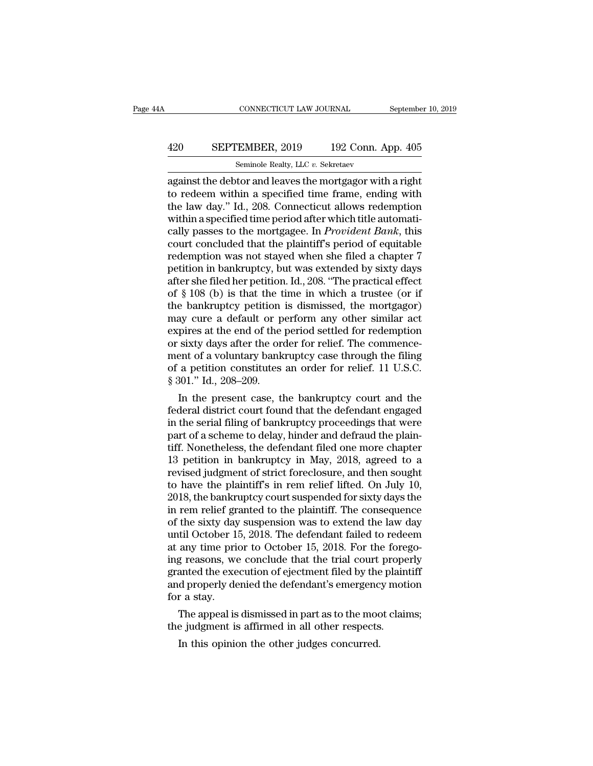### CONNECTICUT LAW JOURNAL September 10, 2019<br>
420 SEPTEMBER, 2019 192 Conn. App. 405<br>
Seminole Realty, LLC v. Sekretaev CONNECTICUT LAW JOURNAL<br>EMBER, 2019 192 Conn. A<br>Seminole Realty, LLC *v.* Sekretaev<br>tor and leaves the mortgagor with

CONNECTICUT LAW JOURNAL September 10, 2019<br>
420 SEPTEMBER, 2019 192 Conn. App. 405<br>
5 Seminole Realty, LLC v. Sekretaev<br>
against the debtor and leaves the mortgagor with a right<br>
to redeem within a specified time frame, en EPTEMBER, 2019 192 Conn. App. 405<br>
Seminole Realty, LLC v. Sekretaev<br>
against the debtor and leaves the mortgagor with a right<br>
to redeem within a specified time frame, ending with<br>
the law day." Id., 208. Connecticut all 420 SEPTEMBER, 2019 192 Conn. App. 405<br>
Seminole Realty, LLC v. Sekretaev<br>
against the debtor and leaves the mortgagor with a right<br>
to redeem within a specified time frame, ending with<br>
the law day." Id., 208. Connecticu 420 SEPTEMBER, 2019 192 Conn. App. 405<br>
seminole Realty, LLC  $v$ . Sekretaev<br>
against the debtor and leaves the mortgagor with a right<br>
to redeem within a specified time frame, ending with<br>
the law day." Id., 208. Connecti San Tambar, 2010 102 001.1 T<sub>PP</sub>, 100<br>Seminole Realty, LLC v. Sekretaev<br>against the debtor and leaves the mortgagor with a right<br>to redeem within a specified time frame, ending with<br>the law day." Id., 208. Connecticut allo Seminole Realty, LLC  $v$ . Sekretaev<br>against the debtor and leaves the mortgagor with a right<br>to redeem within a specified time frame, ending with<br>the law day." Id., 208. Connecticut allows redemption<br>within a specified ti against the debtor and leaves the mortgagor with a right<br>to redeem within a specified time frame, ending with<br>the law day." Id., 208. Connecticut allows redemption<br>within a specified time period after which title automatito redeem within a specified time frame, ending with<br>the law day." Id., 208. Connecticut allows redemption<br>within a specified time period after which title automati-<br>cally passes to the mortgagee. In *Provident Bank*, thi the law day." Id., 208. Connecticut allows redemption<br>within a specified time period after which title automati-<br>cally passes to the mortgagee. In *Provident Bank*, this<br>court concluded that the plaintiff's period of equit within a specified time period after which title automatically passes to the mortgagee. In *Provident Bank*, this court concluded that the plaintiff's period of equitable redemption was not stayed when she filed a chapter cally passes to the mortgagee. In *Provident Bank*, this<br>court concluded that the plaintiff's period of equitable<br>redemption was not stayed when she filed a chapter 7<br>petition in bankruptcy, but was extended by sixty days<br> court concluded that the plaintiff's period of equitable<br>redemption was not stayed when she filed a chapter 7<br>petition in bankruptcy, but was extended by sixty days<br>after she filed her petition. Id., 208. "The practical ef redemption was not stayed when she filed a chapter 7<br>petition in bankruptcy, but was extended by sixty days<br>after she filed her petition. Id., 208. "The practical effect<br>of § 108 (b) is that the time in which a trustee (or petition in bankruptcy, but was extended by sixty days<br>after she filed her petition. Id., 208. "The practical effect<br>of § 108 (b) is that the time in which a trustee (or if<br>the bankruptcy petition is dismissed, the mortgag after she filed her petition. Id., 208. "The practical effect<br>of  $\S$  108 (b) is that the time in which a trustee (or if<br>the bankruptcy petition is dismissed, the mortgagor)<br>may cure a default or perform any other similar of  $\S$  108 (b) is that the time in which a trustee (or if the bankruptcy petition is dismissed, the mortgagor) may cure a default or perform any other similar act expires at the end of the period settled for redemption or the bankruptcy petition<br>may cure a default or p<br>expires at the end of the<br>or sixty days after the or<br>ment of a voluntary bank<br>of a petition constitutes<br>§ 301." Id., 208–209.<br>In the present case, tl a default or perform any other similar act<br>pires at the end of the period settled for redemption<br>sixty days after the order for relief. The commence-<br>ent of a voluntary bankruptcy case through the filing<br>a petition constit expires at the end of the period settled for redemption<br>or sixty days after the order for relief. The commence-<br>ment of a voluntary bankruptcy case through the filing<br>of a petition constitutes an order for relief. 11 U.S.C

or sixty days after the order for reflet. The commencement of a voluntary bankruptcy case through the filing<br>of a petition constitutes an order for relief. 11 U.S.C.<br>§ 301." Id., 208–209.<br>In the present case, the bankruptc ment of a voluntary bankruptcy case through the filing<br>of a petition constitutes an order for relief. 11 U.S.C.<br>§ 301." Id., 208–209.<br>In the present case, the bankruptcy court and the<br>federal district court found that the or a petition constitutes an order for relief. 11 U.S.C.<br>§ 301." Id., 208–209.<br>In the present case, the bankruptcy court and the<br>federal district court found that the defendant engaged<br>in the serial filing of bankruptcy pr 8 301. Id., 208–209.<br>
In the present case, the bankruptcy court and the<br>
federal district court found that the defendant engaged<br>
in the serial filing of bankruptcy proceedings that were<br>
part of a scheme to delay, hinder In the present case, the bankruptcy court and the<br>federal district court found that the defendant engaged<br>in the serial filing of bankruptcy proceedings that were<br>part of a scheme to delay, hinder and defraud the plain-<br>ti federal district court found that the defendant engaged<br>in the serial filing of bankruptcy proceedings that were<br>part of a scheme to delay, hinder and defraud the plain-<br>tiff. Nonetheless, the defendant filed one more chap in the serial filing of bankruptcy proceedings that were<br>part of a scheme to delay, hinder and defraud the plain-<br>tiff. Nonetheless, the defendant filed one more chapter<br>13 petition in bankruptcy in May, 2018, agreed to a<br> part of a scheme to delay, hinder and defraud the plaintiff. Nonetheless, the defendant filed one more chapter 13 petition in bankruptcy in May, 2018, agreed to a revised judgment of strict foreclosure, and then sought to tiff. Nonetheless, the defendant filed one more chapter<br>13 petition in bankruptcy in May, 2018, agreed to a<br>revised judgment of strict foreclosure, and then sought<br>to have the plaintiff's in rem relief lifted. On July 10,<br> 13 petition in bankruptcy in May, 2018, agreed to a<br>revised judgment of strict foreclosure, and then sought<br>to have the plaintiff's in rem relief lifted. On July 10,<br>2018, the bankruptcy court suspended for sixty days the revised judgment of strict foreclosure, and then sought<br>to have the plaintiff's in rem relief lifted. On July 10,<br>2018, the bankruptcy court suspended for sixty days the<br>in rem relief granted to the plaintiff. The conseque to have the plaintiff's in rem relief lifted. On July 10,<br>2018, the bankruptcy court suspended for sixty days the<br>in rem relief granted to the plaintiff. The consequence<br>of the sixty day suspension was to extend the law da 2018, the bankruptcy court suspended for sixty days the<br>in rem relief granted to the plaintiff. The consequence<br>of the sixty day suspension was to extend the law day<br>until October 15, 2018. The defendant failed to redeem<br>a in rem relief granted to the plaintiff. The consequence<br>of the sixty day suspension was to extend the law day<br>until October 15, 2018. The defendant failed to redeem<br>at any time prior to October 15, 2018. For the forego-<br>in of the sixty day<br>until October 1!<br>at any time price<br>ing reasons, we<br>granted the exe<br>and properly de<br>for a stay.<br>The appeal is tul October 15, 2018. The defendant railed to redeem<br>any time prior to October 15, 2018. For the forego-<br>g reasons, we conclude that the trial court properly<br>anted the execution of ejectment filed by the plaintiff<br>d proper at any time prior to October 15, 2018. For the fore<br>ing reasons, we conclude that the trial court prope<br>granted the execution of ejectment filed by the plain<br>and properly denied the defendant's emergency mot<br>for a stay.<br>Th In the execution of ejectment filed by the<br>d properly denied the defendant's emergenc<br>r a stay.<br>The appeal is dismissed in part as to the moc<br>e judgment is affirmed in all other respects<br>In this opinion the other judges co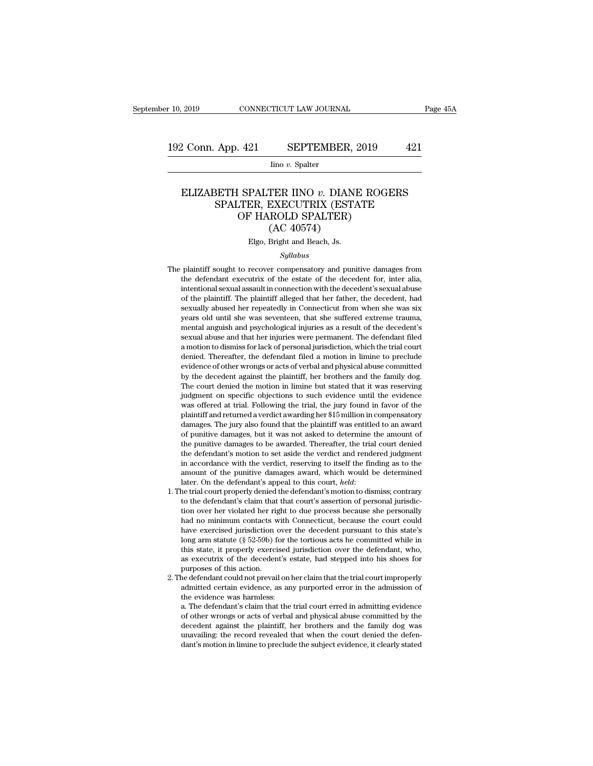Iino *v.* Spalter

### 2 Conn. App. 421 SEPTEMBER, 2019 421<br>
Ino *v.* Spalter<br>
ELIZABETH SPALTER IINO *v.* DIANE ROGERS<br>
SPALTER, EXECUTRIX (ESTATE<br>
OF HAROLD SPALTER) App. 421 SEPTEMBER, 2019 421<br>
Ino v. Spalter<br>
SETH SPALTER IINO v. DIANE ROGERS<br>
SPALTER, EXECUTRIX (ESTATE<br>
OF HAROLD SPALTER)<br>
(AC 40574)  $\begin{tabular}{c} \bf .421 & SEPTEMBER, 2019 \\ \hline \end{tabular}$  <br> Ino  $v.$  Spalter <br>  $\begin{tabular}{c} \bf .SPALTER & \bf INO & \bf .~DIANE\ ROG \\ \bf .TER, EXECUTRIX (ESTATE \\ \bf OF HAROLD SPALTER) \\ \end{tabular}$  <br> (AC 40574) <br> Fig. Pright and Booth. In SEFTEMBER, A<br>
lino v. Spalter<br>
TER IINO v. DIANI<br>
EXECUTRIX (ESTA<br>
ROLD SPALTER)<br>
(AC 40574)<br>
Bright and Beach, Js. ELIZABETH SPALTER IINO v. DIANE ROGERS<br>SPALTER, EXECUTRIX (ESTATE<br>OF HAROLD SPALTER)<br>(AC 40574)<br>Elgo, Bright and Beach, Js.

### *Syllabus*

- $OF HAROLD SPALTER)$ <br>  $(AC 40574)$ <br>
Elgo, Bright and Beach, Js.<br>  $Syllabus$ <br>
The plaintiff sought to recover compensatory and punitive damages from<br>
the defendant executive of the estate of the decedent for, inter alia,<br>
intentional soun  $(AC\ 40574)$ <br>Elgo, Bright and Beach, Js.<br>Syllabus<br>plaintiff sought to recover compensatory and punitive damages from<br>the defendant executrix of the estate of the decedent for, inter alia,<br>intentional sexual assault in con Elgo, Bright and Beach, Js.<br>
Syllabus<br>
plaintiff sought to recover compensatory and punitive damages from<br>
the defendant executrix of the estate of the decedent for, inter alia,<br>
intentional sexual assault in connection wi Elgo, Bright and Beach, Js.<br>
Syllabus<br>
plaintiff sought to recover compensatory and punitive damages from<br>
the defendant executrix of the estate of the decedent for, inter alia,<br>
intentional sexual assault in connection wi Syllabus<br>
Syllabus<br>
plaintiff sought to recover compensatory and punitive damages from<br>
the defendant executrix of the estate of the decedent for, inter alia,<br>
intentional sexual assault in connection with the decedent's s plaintiff sought to recover compensatory and punitive damages from<br>the defendant executrix of the estate of the decedent for, inter alia,<br>intentional sexual assault in connection with the decedent's sexual abuse<br>of the pla plantiful sought to recover compensatory and puntuve damages from<br>the defendant executrix of the estate of the decedent for, inter alia,<br>intentional sexual assault in connection with the decedent's sexual abuse<br>of the plai the detendant executival of the estate of the decedent for, their ana,<br>intentional sexual assault in connection with the decedent's sexual abuse<br>of the plaintiff. The plaintiff alleged that her father, the decedent, had<br>se intentional sexual assault in connection with the decedent's sexual abuse<br>of the plaintiff. The plaintiff alleged that her father, the decedent, had<br>sexually abused her repeatedly in Connecticut from when she was six<br>years of the plantin. The plantini aneged that her famer, the decedent, had sexually abused her repeatedly in Connecticut from when she was six years old until she was seventeen, that she suffered extreme trauma, mental anguish sexually abused her repeatedly in Connecticut front when site was six<br>years old until she was seventeen, that she suffered extreme trauma,<br>mental anguish and psychological injuries as a result of the decedent's<br>sexual abus a motion to dismiss for lack of personal jurisdiction, which the trial court<br>denied. Thereafter, the defendant filed a motion in limine to preclude<br>evidence of other wrongs or acts of verbal and physical abuse committed<br>by mental angulari and psychological injuries as a result of the decedent is<br>sexual abuse and that her injuries were permanent. The defendant filed<br>a motion to dismiss for lack of personal jurisdiction, which the trial court<br> sexual abuse and that her hyunes were permanent. The defendant med<br>a motion to dismiss for lack of personal jurisdiction, which the trial court<br>denied. Thereafter, the defendant filed a motion in limine to preclude<br>evidenc a mouton to unsities for fack of personal jurisurction, which the trial court<br>denied. Thereafter, the defendant filed a motion in limine to preclude<br>evidence of other wrongs or acts of verbal and physical abuse committed<br>b denied. Thereatier, the detendant filed a motion in influe to precide evidence of other wrongs or acts of verbal and physical abuse committed by the decedent against the plaintiff, her brothers and the family dog. The cour evidence of other wrongs or acts of verbal and physical abuse commuted<br>by the decedent against the plaintiff, her brothers and the family dog.<br>The court denied the motion in limine but stated that it was reserving<br>judgment by the decedent against the plaintiff, her brothers and the ramily dog.<br>The court denied the motion in limine but stated that it was reserving<br>judgment on specific objections to such evidence until the evidence<br>was offered The court denied the motion in imme but stated that it was reserving<br>judgment on specific objections to such evidence until the evidence<br>was offered at trial. Following the trial, the jury found in favor of the<br>plaintiff a Judgment on specific objections to such evidence until the evidence<br>was offered at trial. Following the trial, the jury found in favor of the<br>plaintiff and returned a verdict awarding her \$15 million in compensatory<br>damage was oriered at trial. Following the trial, the jury found in favor of the plaintiff and returned a verdict awarding her \$15 million in compensatory damages. The jury also found that the plaintiff was entitled to an award o plantiful and returned a vertict awarding her  $\ast$ 15 minion in compensatory damages. The jury also found that the plaintiff was entitled to an award of punitive damages to be awarded. Thereafter, the trial court denied th deferred to the purificant of the purificant of punitive damages, but it was not asked to determine the amount of the punitive damages to be awarded. Thereafter, the trial court denied the defendant's motion to set aside t the punitive damages to be awarded. Thereafter, the trial court denied<br>the defendant's motion to set aside the verdict and rendered judgment<br>in accordance with the verdict, reserving to itself the finding as to the<br>amount
- the defendant's motion to set aside the verdict and rendered judgment<br>in accordance with the verdict, reserving to itself the finding as to the<br>amount of the punitive damages award, which would be determined<br>later. On the in accordance with the verdict, reserving to itself the finding as to the amount of the punitive damages award, which would be determined later. On the defendant's appeal to this court, *held*: he trial court properly deni amount of the puntive damages award, which would be determined<br>later. On the defendant's appeal to this court, *held*:<br>he trial court properly denied the defendant's motion to dismiss; contrary<br>to the defendant's claim tha later. On the detendant's appeal to this court, *heta*:<br>he trial court properly denied the defendant's motion to dismiss; contrary<br>to the defendant's claim that that court's assertion of personal jurisdic-<br>tion over her vi the trial court property denied the derendant s motion to dismiss; contrary<br>to the defendant's claim that that court's assertion of personal jurisdic-<br>tion over her violated her right to due process because she personally<br> to the defendant s claim that that court's assertion of personal jurisdiction over her violated her right to due process because she personally had no minimum contacts with Connecticut, because the court could have exercis tion over ner violated her right<br>had no minimum contacts w<br>have exercised jurisdiction of<br>long arm statute (§ 52-59b) for<br>this state, it properly exercis<br>as executrix of the deceden<br>purposes of this action.<br>e defendant cou a. The defendant could not prevail on her detected pursuant to this state's long arm statute ( $\$  52-59b) for the tortious acts he committed while in this state, it properly exercised jurisdiction over the defendant, who, have exercised jurisdiction over the decedent pursuant to this state's<br>long arm statute (§ 52-59b) for the tortious acts he committed while in<br>this state, it properly exercised jurisdiction over the defendant, who,<br>as exec this state, it properly exercised jurisdiction over the defendant, who,<br>as executrix of the decedent's estate, had stepped into his shoes for<br>purposes of this action.<br>2. The defendant could not prevail on her claim that th
- this state, it properly exercised jurisdiction over the defendant, who,<br>as executrix of the decedent's estate, had stepped into his shoes for<br>purposes of this action.<br>e defendant could not prevail on her claim that the tri

as executrix of the decedent's estate, had stepped into his shoes for<br>purposes of this action.<br>he defendant could not prevail on her claim that the trial court improperly<br>admitted certain evidence, as any purported error i purposes of this action.<br>
he defendant could not prevail on her claim that the trial court improperly<br>
admitted certain evidence, as any purported error in the admission of<br>
the evidence was harmless:<br>
a. The defendant's c admitted certain evidence, as any purported error in the admission of<br>the evidence was harmless:<br>a. The defendant's claim that the trial court erred in admitting evidence<br>of other wrongs or acts of verbal and physical abus a. The defendant's claim that the trial court erred in admitting evidence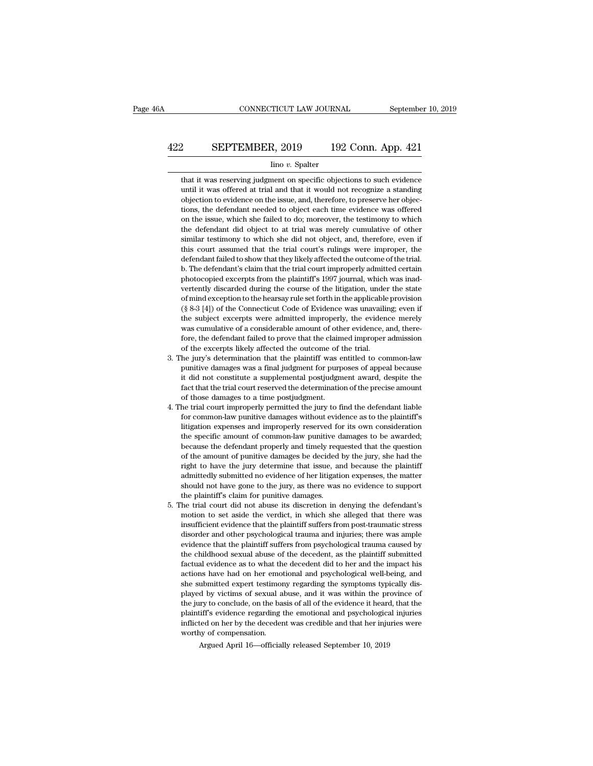# CONNECTICUT LAW JOURNAL September 10, 2019<br>422 SEPTEMBER, 2019 192 Conn. App. 421<br>100 v. Spalter

### Iino *v.* Spalter

SEPTEMBER, 2019 192 Conn. App. 421<br>
Ino v. Spalter<br>
that it was reserving judgment on specific objections to such evidence<br>
until it was offered at trial and that it would not recognize a standing SEPTEMBER, 2019 192 Conn. App. 421<br>
lino v. Spalter<br>
that it was reserving judgment on specific objections to such evidence<br>
until it was offered at trial and that it would not recognize a standing<br>
objection to evidence o **SEPTEMBER, 2019** 192 Conn. App. 421<br>
ino v. Spalter<br>
that it was reserving judgment on specific objections to such evidence<br>
until it was offered at trial and that it would not recognize a standing<br>
objection to evidence The defendant needed to objections to such evidence<br>that it was reserving judgment on specific objections to such evidence<br>until it was offered at trial and that it would not recognize a standing<br>objection to evidence on t  $\frac{1}{2}$  into v. Spalter<br>that it was reserving judgment on specific objections to such evidence<br>until it was offered at trial and that it would not recognize a standing<br>objection to evidence on the issue, and, therefore, that it was reserving judgment on specific objections to such evidence until it was offered at trial and that it would not recognize a standing objection to evidence on the issue, and, therefore, to preserve her objections and it was reserving judgment on specific objections to start evidence<br>until it was offered at trial and that it would not recognize a standing<br>objection to evidence on the issue, and, therefore, to preserve her objec-<br>tio dial it was offered at that and that it would not recognize a standing<br>objections, the defendant needed to object each time evidence was offered<br>on the issue, which she failed to do; moreover, the testimony to which<br>the de defendant failed to show that the trial court in propertions, the defendant needed to object each time evidence was offered on the issue, which she failed to do; moreover, the testimony to which the defendant did object to bons, the defendant heeded to object each three evaluative was one<br>feat on the issue, which she failed to do; moreover, the testimony to which<br>the defendant did object to at trial was merely cumulative of other<br>similar tes be defendant did object to at trial was merely cumulative of other similar testimony to which she did not object, and, therefore, even if this court assumed that the trial court's rulings were improper, the defendant faile in the detention of ownich sheet to at that was interty culturative of outer<br>similar testimony to which she did not object, and, therefore, even if<br>this court assumed that the trial court's rulings were improper, the<br>defen simiar testinony to which site that hot object, and, dieterote, even if<br>this court assumed that the trial court's rulings were improper, the<br>defendant failed to show that they likely affected the outcome of the trial.<br>b. T the defendant failed to show that they likely affected the outcome of the trial.<br>
b. The defendant's claim that the trial court improperly admitted certain<br>
photocopied excerpts from the plaintiff's 1997 journal, which was deferrivant falled to show that they invery affected the outcome of the trial.<br>
b. The defendant's claim that the trial court improperly admitted certain<br>
photocopied excerpts from the plaintiff's 1997 journal, which was i b. The detendant sciant had the that coal improperty annuated ecrtain<br>photocopied excerpts from the plaintiff's 1997 journal, which was inad-<br>vertently discarded during the course of the litigation, under the state<br>of mind photocopied exectpls from the plantin's 1551 journal, which was mad-<br>vertently discarded during the course of the litigation, under the state<br>of mind exception to the hearsay rule set forth in the applicable provision<br>(§ 8 of mind exception to the hearsay rule set forth in the applicable<br>(§ 8-3 [4]) of the Connecticut Code of Evidence was unavailin<br>the subject excerpts were admitted improperly, the evidence<br>was cumulative of a considerable a  $(§ 8-3 [4])$  of the Connecticut Code of Evidence was unavailing; even if the subject excerpts were admitted improperly, the evidence merely was cumulative of a considerable amount of other evidence, and, therefore, the def ( $\frac{1}{2}$ ) of the conflected code of Evidence was unavaling, even if<br>the subject excerpts were admitted improperly, the evidence merely<br>was cumulative of a considerable amount of other evidence, and, there-<br>fore, the def

- in a surject exectples were annited improperty, the evidence interty<br>was cumulative of a considerable amount of other evidence, and, there-<br>fore, the defendant failed to prove that the claimed improper admission<br>of the exc was culturalive of a considerable amount of other evidence, and, therefore, the defendant failed to prove that the claimed improper admission of the excerpts likely affected the outcome of the trial.<br>he jury's determinatio of the excerpts likely affected the outcome of the jury's determination that the plaintiff was equnitive damages was a final judgment for purp<br>it did not constitute a supplemental postjudgment and the trial court reserved 3. The jury's determination that the plaintiff was entitled to common-law<br>punitive damages was a final judgment for purposes of appeal because<br>it did not constitute a supplemental postjudgment award, despite the<br>fact that for common-law punitive damages without evidence as to the plaintiff's dividend as to the fact that the trial court reserved the determination of the precise amount of those damages to a time postjudgment.<br>The trial court
- puntive dantages was a final judgment for purposes of appeal because<br>it did not constitute a supplemental postjudgment award, despite the<br>fact that the trial court reserved the determination of the precise amount<br>of those It all not consulter a supplemental postjudgment award, despite the fact that the trial court reserved the determination of the precise amount of those damages to a time postjudgment.<br>He trial court improperly permitted th fact that the that court reserved the determination of the precise amount<br>of those damages to a time postjudgment.<br>he trial court improperly permitted the jury to find the defendant liable<br>for common-law punitive damages w of those damages to a time postjudgment.<br>He trial court improperly permitted the jury to find the defendant liable<br>for common-law punitive damages without evidence as to the plaintiff's<br>litigation expenses and improperly r righter than court improperty permitted the jury to find the detendant nable<br>for common-law punitive damages without evidence as to the plaintiff's<br>litigation expenses and improperly reserved for its own consideration<br>the admittedly submitted no evidence of her litigation expenses and improperly reserved for its own consideration<br>the specific amount of common-law punitive damages to be awarded;<br>because the defendant properly and timely requ nugation expenses and improperly reserved for its own consideration<br>the specific amount of common-law punitive damages to be awarded;<br>because the defendant properly and timely requested that the question<br>of the amount of p the specific antional of common-law punitive decause the defendant properly and timely required of the amount of punitive damages be decided right to have the jury determine that issue, and admittedly submitted no evidence Secalase the defendant property and unlety requested that the question<br>of the amount of punitive damages be decided by the jury, she had the<br>right to have the jury determine that issue, and because the plaintiff<br>admittedly of the amount of puntuve damages be decided by the jury, she had the right to have the jury determine that issue, and because the plaintiff admittedly submitted no evidence of her litigation expenses, the matter should not
- insult to have the jury determine that issue, and because the plaintiff admittedly submitted no evidence of her litigation expenses, the matter should not have gone to the jury, as there was no evidence to support the plai disorder and other psychological trauma caused by<br>should not have gone to the jury, as there was no evidence to support<br>the plaintiff's claim for punitive damages.<br>he trial court did not abuse its discretion in denying the should not have gone to the jury, as there was no evidence to support<br>the plaintiff's claim for punitive damages.<br>he trial court did not abuse its discretion in denying the defendant's<br>motion to set aside the verdict, in w the trial court did not abuse its discretion in denying the defendant's<br>motion to set aside the verdict, in which she alleged that there was<br>insufficient evidence that the plaintiff suffers from post-traumatic stress<br>disor factual evidence as to what the decedent did to her and the impact in the decedent of the decedent of the decedent of the decedent of the childhood sexual abuse of the decedent, as the plaintiff sufficient evidence that th motion to set aside the vertuct, in which she aneged that there was<br>insufficient evidence that the plaintiff suffers from post-traumatic stress<br>disorder and other psychological trauma and injuries; there was ample<br>evidence Insumcient evidence that the plantific sulfers from post-tradinate stress<br>disorder and other psychological trauma and injuries; there was ample<br>evidence that the plaintiff suffers from psychological trauma caused by<br>the ch disorder and other psychological tradina and injuries, there was ample evidence that the plaintiff suffers from psychological trauma caused by the childhood sexual abuse of the decedent, as the plaintiff submitted factual evidence that the plantini suries from psychological traditial caused by<br>the childhood sexual abuse of the decedent, as the plaintiff submitted<br>factual evidence as to what the decedent did to her and the impact his<br>actions the childhood sexual abuse of the decedent, as the plaintiff subhutted factual evidence as to what the decedent did to her and the impact his actions have had on her emotional and psychological well-being, and she submitte influited on her emotional and psychological well-being, and she submitted expert testimony regarding the symptoms typically displayed by victims of sexual abuse, and it was within the province of the jury to conclude, on actions have had on her emotional and psychological well-being, and<br>she submitted expert testimony regarding the symptoms typically dis-<br>played by victims of sexual abuse, and it was within the province of<br>the jury to con played by victims of sexual abuse, and it was within the province of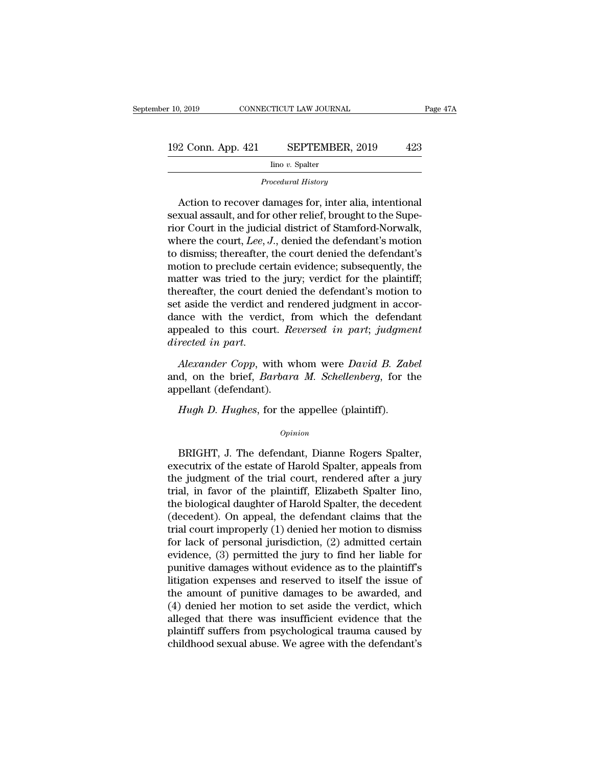|  | 423 |
|--|-----|
|--|-----|

2 Conn. App. 421 SEPTEMBER, 2019 423<br>
Ino v. Spalter<br>
Procedural History<br>
Action to recover damages for, inter alia, intentional<br>
xual assault, and for other relief, brought to the Supe-192 Conn. App. 421 SEPTEMBER, 2019 423<br>
Ino v. Spalter<br>
Procedural History<br>
Action to recover damages for, inter alia, intentional<br>
sexual assault, and for other relief, brought to the Supe-<br>
rior Court in the judicial dis Fig. Coluit. App. 421 SEPTEMBER, 2019 425<br>
Ino v. Spalter<br>
Procedural History<br>
Action to recover damages for, inter alia, intentional<br>
sexual assault, and for other relief, brought to the Supe-<br>
rior Court in the judicial Imo v. Spalter<br>
Procedural History<br>
Action to recover damages for, inter alia, intentional<br>
sexual assault, and for other relief, brought to the Supe-<br>
rior Court in the judicial district of Stamford-Norwalk,<br>
where the co *Procedural History*<br>
Action to recover damages for, inter alia, intentional<br>
sexual assault, and for other relief, brought to the Supe-<br>
rior Court in the judicial district of Stamford-Norwalk,<br>
where the court, *Lee*, *J* Action to recover damages for, inter alia, intentional<br>sexual assault, and for other relief, brought to the Supe-<br>rior Court in the judicial district of Stamford-Norwalk,<br>where the court, Lee, J., denied the defendant's m Action to recover damages for, inter alia, intentional<br>sexual assault, and for other relief, brought to the Supe-<br>rior Court in the judicial district of Stamford-Norwalk,<br>where the court, *Lee*, *J*., denied the defendant sexual assault, and for other relief, brought to the Superior Court in the judicial district of Stamford-Norwalk,<br>where the court, *Lee*, *J*., denied the defendant's motion<br>to dismiss; thereafter, the court denied the def rior Court in the judicial district of Stamford-Norwalk,<br>where the court, *Lee*, *J*., denied the defendant's motion<br>to dismiss; thereafter, the court denied the defendant's<br>motion to preclude certain evidence; subsequentl where the court, *Lee*, *J*., denied the defendant's motion<br>to dismiss; thereafter, the court denied the defendant's<br>motion to preclude certain evidence; subsequently, the<br>matter was tried to the jury; verdict for the pla to dismiss; thereafter, the court denied the defendant's<br>motion to preclude certain evidence; subsequently, the<br>matter was tried to the jury; verdict for the plaintiff;<br>thereafter, the court denied the defendant's motion t motion to preclude certain evidence; subsequently, the<br>matter was tried to the jury; verdict for the plaintiff;<br>thereafter, the court denied the defendant's motion to<br>set aside the verdict and rendered judgment in accor-<br>d set aside the verdict and rendered judgment in accordance with the verdict, from which the defendant<br>appealed to this court. *Reversed in part*; *judgment*<br>directed in part.<br>Alexander Copp, with whom were David B. Zabel<br>a dance with the verdict, f<br>appealed to this court. Re<br>directed in part.<br>Alexander Copp, with w<br>and, on the brief, Barbare<br>appellant (defendant).<br>Hugh D. Hughes, for the

peared to this court. *Reversed in part*; *judgme*<br>*rected in part.*<br>*Alexander Copp*, with whom were *David B. Zat*<br>d, on the brief, *Barbara M. Schellenberg*, for th<br>pellant (defendant).<br>*Hugh D. Hughes*, for the appelle

### *Opinion*

d, on the brief, *Barbara M. Schellenberg*, for the<br>pellant (defendant).<br>*Hugh D. Hughes*, for the appellee (plaintiff).<br>*Opinion*<br>BRIGHT, J. The defendant, Dianne Rogers Spalter,<br>ecutrix of the estate of Harold Spalter, a appellant (defendant).<br>
Hugh D. Hughes, for the appellee (plaintiff).<br>
opinion<br>
BRIGHT, J. The defendant, Dianne Rogers Spalter,<br>
executrix of the estate of Harold Spalter, appeals from<br>
the judgment of the trial court, re Hugh D. Hughes, for the appellee (plaintiff).<br>
opinion<br>
BRIGHT, J. The defendant, Dianne Rogers Spalter,<br>
executrix of the estate of Harold Spalter, appeals from<br>
the judgment of the trial court, rendered after a jury<br>
tri trial, in favors in the appenee (plaintiff).<br>
Opinion<br>
BRIGHT, J. The defendant, Dianne Rogers Spalter,<br>
executrix of the estate of Harold Spalter, appeals from<br>
the judgment of the trial court, rendered after a jury<br>
tria Opinion<br>
BRIGHT, J. The defendant, Dianne Rogers Spalter,<br>
executrix of the estate of Harold Spalter, appeals from<br>
the judgment of the trial court, rendered after a jury<br>
trial, in favor of the plaintiff, Elizabeth Spalte BRIGHT, J. The defendant, Dianne Rogers Spalter,<br>executrix of the estate of Harold Spalter, appeals from<br>the judgment of the trial court, rendered after a jury<br>trial, in favor of the plaintiff, Elizabeth Spalter lino,<br>the BRIGHT, J. The defendant, Dianne Rogers Spalter,<br>executrix of the estate of Harold Spalter, appeals from<br>the judgment of the trial court, rendered after a jury<br>trial, in favor of the plaintiff, Elizabeth Spalter lino,<br>the executrix of the estate of Harold Spalter, appeals from<br>the judgment of the trial court, rendered after a jury<br>trial, in favor of the plaintiff, Elizabeth Spalter lino,<br>the biological daughter of Harold Spalter, the decede the judgment of the trial court, rendered after a jury<br>trial, in favor of the plaintiff, Elizabeth Spalter lino,<br>the biological daughter of Harold Spalter, the decedent<br>(decedent). On appeal, the defendant claims that the<br> trial, in favor of the plaintiff, Elizabeth Spalter lino,<br>the biological daughter of Harold Spalter, the decedent<br>(decedent). On appeal, the defendant claims that the<br>trial court improperly (1) denied her motion to dismiss the biological daughter of Harold Spalter, the decedent<br>(decedent). On appeal, the defendant claims that the<br>trial court improperly (1) denied her motion to dismiss<br>for lack of personal jurisdiction, (2) admitted certain<br>e (decedent). On appeal, the defendant claims that the<br>trial court improperly  $(1)$  denied her motion to dismiss<br>for lack of personal jurisdiction,  $(2)$  admitted certain<br>evidence,  $(3)$  permitted the jury to find her liabl trial court improperly (1) denied her motion to dismiss<br>for lack of personal jurisdiction, (2) admitted certain<br>evidence, (3) permitted the jury to find her liable for<br>punitive damages without evidence as to the plaintiff' for lack of personal jurisdiction, (2) admitted certain<br>evidence, (3) permitted the jury to find her liable for<br>punitive damages without evidence as to the plaintiff's<br>litigation expenses and reserved to itself the issue evidence, (3) permitted the jury to find her liable for<br>punitive damages without evidence as to the plaintiff's<br>litigation expenses and reserved to itself the issue of<br>the amount of punitive damages to be awarded, and<br>(4) punitive damages without evidence as to the plaintiff's<br>litigation expenses and reserved to itself the issue of<br>the amount of punitive damages to be awarded, and<br>(4) denied her motion to set aside the verdict, which<br>allege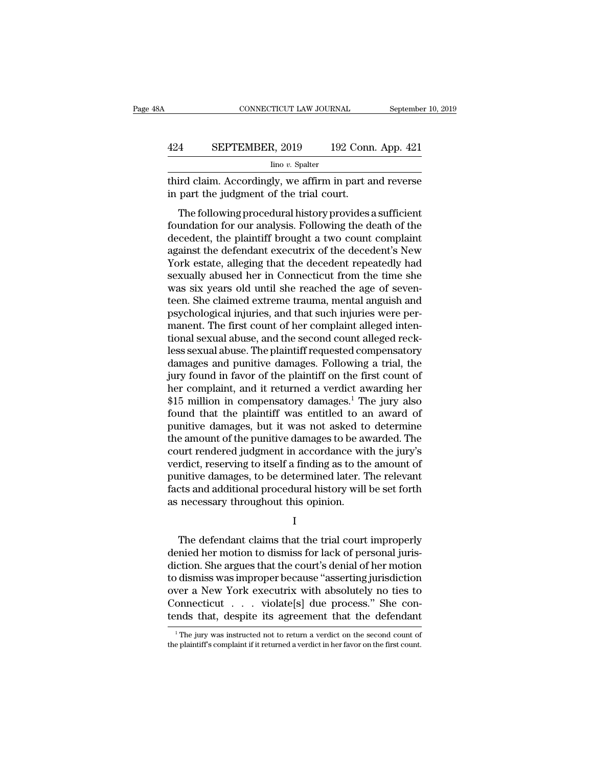### CONNECTICUT LAW JOURNAL September 10, 2019<br>424 SEPTEMBER, 2019 192 Conn. App. 421<br>100 v. Spalter Iino *v.* Spalter

CONNECTICUT LAW JOURNAL September 10, 2019<br>424 SEPTEMBER, 2019 192 Conn. App. 421<br> $\frac{\text{line }v. \text{ Spalter}}{\text{line }v. \text{ Spalter}}$ <br>third claim. Accordingly, we affirm in part and reverse<br>in part the judgment of the trial court. EPTEMBER, 2019 192 Conr<br>
lino v. Spalter<br>
third claim. Accordingly, we affirm in part a<br>
in part the judgment of the trial court.<br>
The following procedural history provides:

 $\frac{4}{\text{Imo } v. \text{ Spalter}}$  192 Conn. App. 421<br>  $\frac{1}{\text{Imo } v. \text{ Spalter}}$ <br>
Fird claim. Accordingly, we affirm in part and reverse<br>
part the judgment of the trial court.<br>
The following procedural history provides a sufficient<br>
undat Four App. 421<br>
Fino v. Spalter<br>
third claim. Accordingly, we affirm in part and reverse<br>
in part the judgment of the trial court.<br>
The following procedural history provides a sufficient<br>
foundation for our analysis. Follo  $\frac{1}{2}$  into v. Spalter<br>third claim. Accordingly, we affirm in part and reverse<br>in part the judgment of the trial court.<br>The following procedural history provides a sufficient<br>foundation for our analysis. Following the third claim. Accordingly, we affirm in part and reverse<br>in part the judgment of the trial court.<br>The following procedural history provides a sufficient<br>foundation for our analysis. Following the death of the<br>decedent, the Find claim. Accordingly, we all in it in part and reverse<br>in part the judgment of the trial court.<br>The following procedural history provides a sufficient<br>foundation for our analysis. Following the death of the<br>decedent, th In part the judgment of the that court.<br>The following procedural history provides a sufficient<br>foundation for our analysis. Following the death of the<br>decedent, the plaintiff brought a two count complaint<br>against the defen The following procedural history provides a sufficient<br>foundation for our analysis. Following the death of the<br>decedent, the plaintiff brought a two count complaint<br>against the defendant executrix of the decedent's New<br>Yor foundation for our analysis. Following the death of the<br>decedent, the plaintiff brought a two count complaint<br>against the defendant executrix of the decedent's New<br>York estate, alleging that the decedent repeatedly had<br>sex decedent, the plaintiff brought a two count complaint against the defendant executrix of the decedent's New York estate, alleging that the decedent repeatedly had sexually abused her in Connecticut from the time she was si against the defendant executrix of the decedent's New<br>York estate, alleging that the decedent repeatedly had<br>sexually abused her in Connecticut from the time she<br>was six years old until she reached the age of seven-<br>teen. York estate, alleging that the decedent repeatedly had<br>sexually abused her in Connecticut from the time she<br>was six years old until she reached the age of seven-<br>teen. She claimed extreme trauma, mental anguish and<br>psychol sexually abused her in Connecticut from the time she<br>was six years old until she reached the age of seven-<br>teen. She claimed extreme trauma, mental anguish and<br>psychological injuries, and that such injuries were per-<br>manen was six years old until she reached the age of seventeen. She claimed extreme trauma, mental anguish and<br>psychological injuries, and that such injuries were per-<br>manent. The first count of her complaint alleged inten-<br>tion teen. She claimed extreme trauma, mental anguish and<br>psychological injuries, and that such injuries were per-<br>manent. The first count of her complaint alleged inten-<br>tional sexual abuse, and the second count alleged reck-<br> psychological injuries, and that such injuries were per-<br>manent. The first count of her complaint alleged inten-<br>tional sexual abuse, and the second count alleged reck-<br>less sexual abuse. The plaintiff requested compensato manent. The first count of her complaint alleged intentional sexual abuse, and the second count alleged reckless sexual abuse. The plaintiff requested compensatory damages and punitive damages. Following a trial, the jury tional sexual abuse, and the second count alleged reck-<br>less sexual abuse. The plaintiff requested compensatory<br>damages and punitive damages. Following a trial, the<br>jury found in favor of the plaintiff on the first count o less sexual abuse. The plaintiff requested compensatory<br>damages and punitive damages. Following a trial, the<br>jury found in favor of the plaintiff on the first count of<br>her complaint, and it returned a verdict awarding her<br> damages and punitive damages. Following a trial, the<br>jury found in favor of the plaintiff on the first count of<br>her complaint, and it returned a verdict awarding her<br>\$15 million in compensatory damages.<sup>1</sup> The jury also<br>fo jury found in favor of the plaintiff on the first count of<br>her complaint, and it returned a verdict awarding her<br>\$15 million in compensatory damages.<sup>1</sup> The jury also<br>found that the plaintiff was entitled to an award of<br>pu her complaint, and it returned a verdict awarding her<br>\$15 million in compensatory damages.<sup>1</sup> The jury also<br>found that the plaintiff was entitled to an award of<br>punitive damages, but it was not asked to determine<br>the amoun \$15 million in compensatory damages.<sup>1</sup> The jury also<br>found that the plaintiff was entitled to an award of<br>punitive damages, but it was not asked to determine<br>the amount of the punitive damages to be awarded. The<br>court ren found that the plaintiff was entitled to an award of<br>punitive damages, but it was not asked to determine<br>the amount of the punitive damages to be awarded. The<br>court rendered judgment in accordance with the jury's<br>verdict, punitive damages, but it was not asked to<br>the amount of the punitive damages to be avecourt rendered judgment in accordance wit<br>verdict, reserving to itself a finding as to the<br>punitive damages, to be determined later. T<br>f rdict, reserving to itself a finding as to the amount of<br>mitive damages, to be determined later. The relevant<br>ts and additional procedural history will be set forth<br>necessary throughout this opinion.<br>I<br>The defendant claims

I

punitive damages, to be determined later. The relevant<br>facts and additional procedural history will be set forth<br>as necessary throughout this opinion.<br>I<br>The defendant claims that the trial court improperly<br>denied her motio facts and additional procedural history will be set forth<br>as necessary throughout this opinion.<br>I<br>The defendant claims that the trial court improperly<br>denied her motion to dismiss for lack of personal juris-<br>diction. She a I<br>I<br>The defendant claims that the trial court improperly<br>denied her motion to dismiss for lack of personal juris-<br>diction. She argues that the court's denial of her motion<br>to dismiss was improper because "asserting jurisdi I<br>
The defendant claims that the trial court improperly<br>
denied her motion to dismiss for lack of personal juris-<br>
diction. She argues that the court's denial of her motion<br>
to dismiss was improper because "asserting juris The defendant claims that the trial court improperly<br>denied her motion to dismiss for lack of personal juris-<br>diction. She argues that the court's denial of her motion<br>to dismiss was improper because "asserting jurisdicti The defendant claims that the trial court improperly<br>denied her motion to dismiss for lack of personal juris-<br>diction. She argues that the court's denial of her motion<br>to dismiss was improper because "asserting jurisdicti to dismiss was improper because "asserting jurisdiction<br>over a New York executrix with absolutely no ties to<br>Connecticut  $\dots$  violate[s] due process." She con-<br>tends that, despite its agreement that the defendant<br> $\frac{1}{1}$ tends that, despite its agreement that the defendant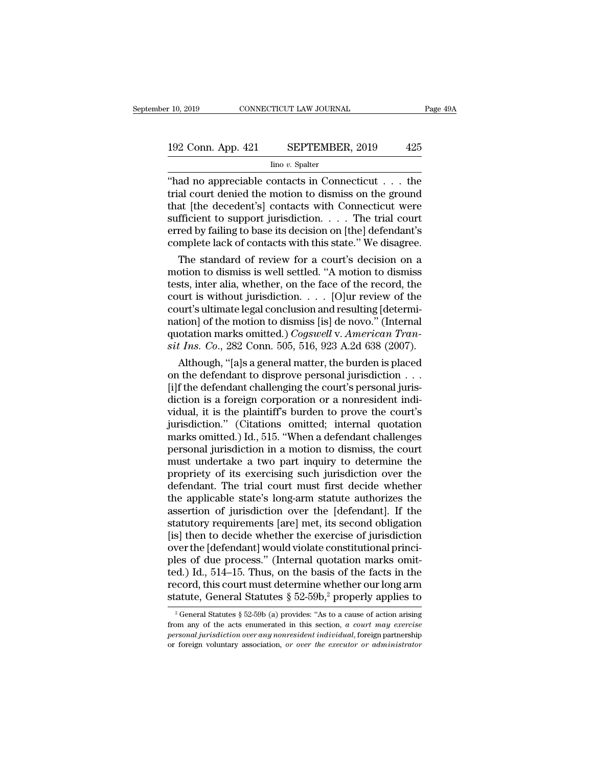# $\begin{array}{r}\n 10,2019 \quad \text{CONNECTICUT LAW JOURNAL} \quad \text{Page 49A} \\
 192 \text{ Conn. App. 421} \quad \text{SEPTEMBER, } 2019 \quad \text{425} \\
 \text{line } v. \text{ Spalter}\n \end{array}$

### Iino *v.* Spalter

 $\begin{array}{lll}\n & \text{COMRECTICUT LAW JOURNAL} & \text{Page 49A} \\
 \hline\n & \text{192 Conn. App. 421} & \text{SEPTEMBER, 2019} & \text{425} \\
 & \text{line } v. \text{ Spalter} \\
 \hline\n & \text{"had no appreciable contacts in Connecticut . . . the trial court denied the motion to dismiss on the ground that I the decoder'sl contacts with Connecticut were\n} \end{array}$ 192 Conn. App. 421 SEPTEMBER, 2019 425<br>
ino v. Spalter<br>
"had no appreciable contacts in Connecticut . . . the<br>
trial court denied the motion to dismiss on the ground<br>
that [the decedent's] contacts with Connecticut were<br>
s 192 Conn. App. 421 SEPTEMBER, 2019 425<br>  $\frac{\text{line }v. \text{ Spalter}}{\text{line }v. \text{ Spalter}}$ <br>
"had no appreciable contacts in Connecticut  $\dots$  the trial court denied the motion to dismiss on the ground that [the decedent's] contacts with Conne 192 Conn. App. 421 SEPTEMBER, 2019 425<br>  $\frac{\text{line }v. \text{ Spalter}}{\text{line }v. \text{ Spalter}}$ <br>
"had no appreciable contacts in Connecticut . . . the<br>
trial court denied the motion to dismiss on the ground<br>
that [the decedent's] contacts with Co For Sommarriggs in the basis in Connecticut . . . the<br>
"had no appreciable contacts in Connecticut . . . the<br>
trial court denied the motion to dismiss on the ground<br>
that [the decedent's] contacts with Connecticut were<br>
s  $\frac{\text{line }v. \text{ Spalter}}{\text{the trial court denied the motion to dismiss on the ground that [the decoder's] contacts with Connecticut were sufficient to support jurisdiction. . . . The trial court erred by failing to base its decision on [the] defendant's complete lack of contacts with this state." We disagree. The standard of review for a court's decision on a$ ad no appreciable contacts in Connecticut  $\ldots$  the<br>al court denied the motion to dismiss on the ground<br>at [the decedent's] contacts with Connecticut were<br>fficient to support jurisdiction.  $\ldots$  The trial court<br>red by fai trial court denied the motion to dismiss on the ground<br>that [the decedent's] contacts with Connecticut were<br>sufficient to support jurisdiction. . . . The trial court<br>erred by failing to base its decision on [the] defendan

that [the decedent's] contacts with Connecticut were<br>sufficient to support jurisdiction. . . . The trial court<br>erred by failing to base its decision on [the] defendant's<br>complete lack of contacts with this state." We disa sufficient to support jurisdiction. . . . . The trial court<br>erred by failing to base its decision on [the] defendant's<br>complete lack of contacts with this state." We disagree.<br>The standard of review for a court's decision erred by failing to base its decision on [the] defendant's<br>complete lack of contacts with this state." We disagree.<br>The standard of review for a court's decision on a<br>motion to dismiss is well settled. "A motion to dismis complete lack of contacts with this state." We disagree.<br>
The standard of review for a court's decision on a<br>
motion to dismiss is well settled. "A motion to dismiss<br>
tests, inter alia, whether, on the face of the record, The standard of review for a court's decision on a<br>motion to dismiss is well settled. "A motion to dismiss<br>tests, inter alia, whether, on the face of the record, the<br>court is without jurisdiction. . . . [O]ur review of the motion to dismiss is well settled. "A motion to dismiss<br>tests, inter alia, whether, on the face of the record, the<br>court is without jurisdiction. . . . . [O]ur review of the<br>court's ultimate legal conclusion and resulting sts, inter alia, whether, on the face of the record, the<br>urt is without jurisdiction. . . . [O]ur review of the<br>urt's ultimate legal conclusion and resulting [determi-<br>tion] of the motion to dismiss [is] de novo." (Intern court is without jurisdiction. . . . . [O]ur review of the<br>court's ultimate legal conclusion and resulting [determi-<br>nation] of the motion to dismiss [is] de novo." (Internal<br>quotation marks omitted.) *Cogswell* v. Americ

court's ultimate legal conclusion and resulting [determination] of the motion to dismiss [is] de novo." (Internal quotation marks omitted.) *Cogswell* v. American Transit Ins. Co., 282 Conn. 505, 516, 923 A.2d 638 (2007). nation] of the motion to dismiss [is] de novo." (Internal<br>quotation marks omitted.) *Cogswell* v. American Tran-<br>sit Ins. Co., 282 Conn. 505, 516, 923 A.2d 638 (2007).<br>Although, "[a]s a general matter, the burden is place quotation marks omitted.) *Cogswell v. American Transit Ins. Co.*, 282 Conn. 505, 516, 923 A.2d 638 (2007).<br>Although, "[a]s a general matter, the burden is placed<br>on the defendant to disprove personal jurisdiction  $\ldots$ <br>[ sit Ins. Co., 282 Conn. 505, 516, 923 A.2d 638 (2007).<br>
Although, "[a]s a general matter, the burden is placed<br>
on the defendant to disprove personal jurisdiction  $\ldots$ <br>
[i]f the defendant challenging the court's personal Although, "[a]s a general matter, the burden is placed<br>on the defendant to disprove personal jurisdiction  $\ldots$ .<br>[i]f the defendant challenging the court's personal juris-<br>diction is a foreign corporation or a nonresident on the defendant to disprove personal jurisdiction  $\ldots$  [i]f the defendant challenging the court's personal jurisdiction is a foreign corporation or a nonresident individual, it is the plaintiff's burden to prove the cou [i]f the defendant challenging the court's personal juris-<br>diction is a foreign corporation or a nonresident indi-<br>vidual, it is the plaintiff's burden to prove the court's<br>jurisdiction." (Citations omitted; internal quota diction is a foreign corporation or a nonresident individual, it is the plaintiff's burden to prove the court's<br>jurisdiction." (Citations omitted; internal quotation<br>marks omitted.) Id., 515. "When a defendant challenges<br>p vidual, it is the plaintiff's burden to prove the court's<br>jurisdiction." (Citations omitted; internal quotation<br>marks omitted.) Id., 515. "When a defendant challenges<br>personal jurisdiction in a motion to dismiss, the court jurisdiction." (Citations omitted; internal quotation<br>marks omitted.) Id., 515. "When a defendant challenges<br>personal jurisdiction in a motion to dismiss, the court<br>must undertake a two part inquiry to determine the<br>propri marks omitted.) Id., 515. "When a defendant challenges<br>personal jurisdiction in a motion to dismiss, the court<br>must undertake a two part inquiry to determine the<br>propriety of its exercising such jurisdiction over the<br>defen personal jurisdiction in a motion to dismiss, the court<br>must undertake a two part inquiry to determine the<br>propriety of its exercising such jurisdiction over the<br>defendant. The trial court must first decide whether<br>the app must undertake a two part inquiry to determine the<br>propriety of its exercising such jurisdiction over the<br>defendant. The trial court must first decide whether<br>the applicable state's long-arm statute authorizes the<br>assertio propriety of its exercising such jurisdiction over the defendant. The trial court must first decide whether the applicable state's long-arm statute authorizes the assertion of jurisdiction over the [defendant]. If the stat defendant. The trial court must first decide whether<br>the applicable state's long-arm statute authorizes the<br>assertion of jurisdiction over the [defendant]. If the<br>statutory requirements [are] met, its second obligation<br>[is the applicable state's long-arm statute authorizes the<br>assertion of jurisdiction over the [defendant]. If the<br>statutory requirements [are] met, its second obligation<br>[is] then to decide whether the exercise of jurisdiction assertion of jurisdiction over the [defendant]. If the statutory requirements [are] met, its second obligation [is] then to decide whether the exercise of jurisdiction over the [defendant] would violate constitutional pri statutory requirements [are] met, its second obligation<br>[is] then to decide whether the exercise of jurisdiction<br>over the [defendant] would violate constitutional princi-<br>ples of due process." (Internal quotation marks om les of due process." (Internal quotation marks omit-<br>cd.) Id., 514–15. Thus, on the basis of the facts in the<br>ccord, this court must determine whether our long arm<br>atute, General Statutes § 52-59b (a) provides: "As to a c from any of the acts in the basis of the facts in the record, this court must determine whether our long arm statute, General Statutes  $\S 52-59b$ , <sup>2</sup> properly applies to  $\frac{1}{2}$  General Statutes  $\S 52-59b$  (a) provides statute, General Statutes § 52-59b,<sup>2</sup> properly applies to

**personal in the contract of the set of the set of the set of the statute, General Statutes**  $\S 52-59b$ **,<sup>2</sup> properly applies to**  $\frac{1}{2}$  **General Statutes**  $\S 52-59b$  **(a) provides: "As to a cause of action arising from any**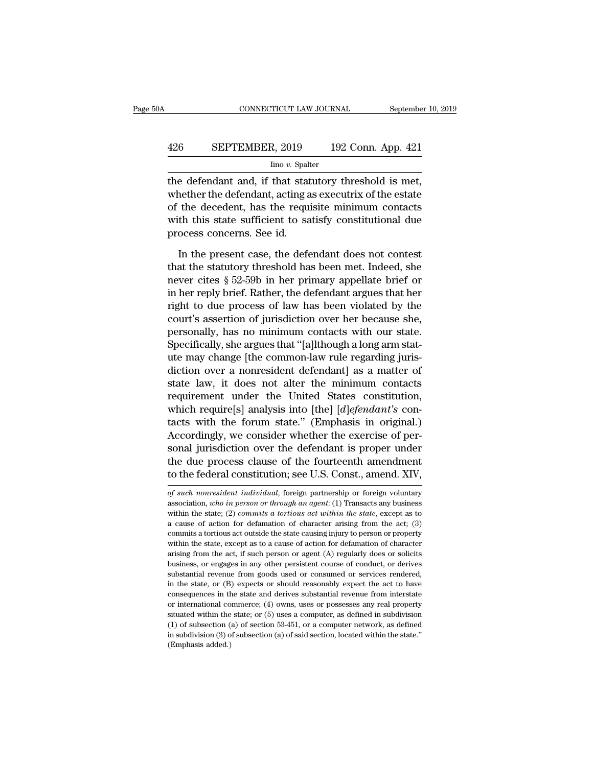### CONNECTICUT LAW JOURNAL September 10, 2019<br>426 SEPTEMBER, 2019 192 Conn. App. 421<br>lino v. Spalter Iino *v.* Spalter

CONNECTICUT LAW JOURNAL September 10, 2<br>  $\begin{array}{r}\n 426 \text{ } \text{SEPTEMBER, } 2019 \text{ } \text{ } 192 \text{ Conn. App. 421} \\
 \hline\n \text{line } v. \text{ Spalter} \\
 \text{the defendant and, if that statutory threshold is met,} \\
 \text{whether the defendant, acting as executive of the estate} \\
 \text{of the deadlock has the resulting minimum contact.} \end{array}$ EPTEMBER, 2019 192 Conn. App. 421<br>  $\frac{\text{line }v \text{. Spalter}}{v \text{. Spalter}}$ <br>
the defendant and, if that statutory threshold is met,<br>
whether the defendant, acting as executrix of the estate<br>
of the decedent, has the requisite minimum c **EXEPTEMBER, 2019** 192 Conn. App. 421<br>  $\frac{\text{line }v. \text{ Spalter}}{\text{the defendant and, if that statutory threshold is met,}}$ <br>
whether the defendant, acting as executrix of the estate<br>
of the decedent, has the requisite minimum contacts<br>
with this state sufficient to satis  $\frac{\text{SEPTEMBER, 2019}}{\text{line }v.\text{ Spalter}}$ <br>
the defendant and, if that statutory threshold is met,<br>
whether the defendant, acting as executrix of the estate<br>
of the decedent, has the requisite minimum contacts<br>
with this state suffic  $\frac{1}{2}$  line *v*. Spalt<br>the defendant and, if that stat<br>whether the defendant, acting a<br>of the decedent, has the requi<br>with this state sufficient to sa<br>process concerns. See id.<br>In the present case, the defe e defendant and, if that statutory threshold is met,<br>nether the defendant, acting as executrix of the estate<br>the decedent, has the requisite minimum contacts<br>th this state sufficient to satisfy constitutional due<br>ocess con whether the defendant, acting as executrix of the estate<br>of the decedent, has the requisite minimum contacts<br>with this state sufficient to satisfy constitutional due<br>process concerns. See id.<br>In the present case, the defen

of the decedent, has the requisite minimum contacts<br>with this state sufficient to satisfy constitutional due<br>process concerns. See id.<br>In the present case, the defendant does not contest<br>that the statutory threshold has be with this state sufficient to satisfy constitutional due<br>process concerns. See id.<br>In the present case, the defendant does not contest<br>that the statutory threshold has been met. Indeed, she<br>never cites § 52-59b in her prim process concerns. See id.<br>
In the present case, the defendant does not contest<br>
that the statutory threshold has been met. Indeed, she<br>
never cites  $\S 52-59b$  in her primary appellate brief or<br>
in her reply brief. Rather, In the present case, the defendant does not contest<br>that the statutory threshold has been met. Indeed, she<br>never cites § 52-59b in her primary appellate brief or<br>in her reply brief. Rather, the defendant argues that her<br>ri In the present case, the defendant does not contest<br>that the statutory threshold has been met. Indeed, she<br>never cites § 52-59b in her primary appellate brief or<br>in her reply brief. Rather, the defendant argues that her<br>ri that the statutory threshold has been met. Indeed, she<br>never cites  $\S$  52-59b in her primary appellate brief or<br>in her reply brief. Rather, the defendant argues that her<br>right to due process of law has been violated by th never cites § 52-59b in her primary appellate brief or<br>in her reply brief. Rather, the defendant argues that her<br>right to due process of law has been violated by the<br>court's assertion of jurisdiction over her because she,<br> in her reply brief. Rather, the defendant argues that her<br>right to due process of law has been violated by the<br>court's assertion of jurisdiction over her because she,<br>personally, has no minimum contacts with our state.<br>Spe right to due process of law has been violated by the<br>court's assertion of jurisdiction over her because she,<br>personally, has no minimum contacts with our state.<br>Specifically, she argues that "[a]lthough a long arm stat-<br>ut court's assertion of jurisdiction over her because she,<br>personally, has no minimum contacts with our state.<br>Specifically, she argues that "[a]lthough a long arm stat-<br>ute may change [the common-law rule regarding juris-<br>di personally, has no minimum contacts with our state.<br>Specifically, she argues that "[a]lthough a long arm stat-<br>ute may change [the common-law rule regarding juris-<br>diction over a nonresident defendant] as a matter of<br>state Specifically, she argues that "[a]]though a long arm stat-<br>ute may change [the common-law rule regarding juris-<br>diction over a nonresident defendant] as a matter of<br>state law, it does not alter the minimum contacts<br>requir ute may change [the common-law rule regarding juris-<br>diction over a nonresident defendant] as a matter of<br>state law, it does not alter the minimum contacts<br>requirement under the United States constitution,<br>which require[s diction over a nonresident defendant] as a matter of<br>state law, it does not alter the minimum contacts<br>requirement under the United States constitution,<br>which require[s] analysis into [the] [*d*]*efendant's* con-<br>tacts wi state law, it does not alter the minimum contacts<br>requirement under the United States constitution,<br>which require[s] analysis into [the] [*d*]*efendant's* con-<br>tacts with the forum state." (Emphasis in original.)<br>According requirement under the United States constitution,<br>which require[s] analysis into [the] [*d]efendant's* con-<br>tacts with the forum state." (Emphasis in original.)<br>Accordingly, we consider whether the exercise of per-<br>sonal j *Accordingly, we consider whether the exercise of personal jurisdiction over the defendant is proper under the due process clause of the fourteenth amendment to the federal constitution; see U.S. Const., amend. XIV, of suc* sonal jurisdiction over the defendant is proper under<br>the due process clause of the fourteenth amendment<br>to the federal constitution; see U.S. Const., amend. XIV,<br>of such nonresident individual, foreign partnership or fore

the due process clause of the fourteenth amendment<br>to the federal constitution; see U.S. Const., amend. XIV,<br>of such nonresident individual, foreign partnership or foreign voluntary<br>association, who in person or through an to the federal constitution; see U.S. Const., amend. XIV,<br>of such nonresident individual, foreign partnership or foreign voluntary<br>association, who in person or through an agent: (1) Transacts any business<br>within the stat commits a tortious act outside the state causing partnership or foreign voluntary<br>of such nonresident individual, foreign partnership or foreign voluntary<br>association, who in person or through an agent: (1) Transacts any of such nonresident individual, foreign partnership or foreign voluntary<br>association, who in person or through an agent: (1) Transacts any business<br>within the state; (2) commits a tortious act within the state, except as association, *who in person or through an agent*: (1) Transacts any business<br>association, *who in person or through an agent*: (1) Transacts any business<br>within the state; (2) *commits a tortious act within the state*, ex within the state; (2) commits a tortious act within the state, except as to a cause of action for defamation of character arising from the act; (3) commits a tortious act outside the state causing injury to person or prop arising from the act, if such person or agent (A) regularly does or solicits<br>business, or engages in any other persistent course of conduct, or derives<br>substantial revenue from goods used or consumed or services rendered, commits a tortious act outside the state causing injury to person or property within the state, except as to a cause of action for defamation of character arising from the act, if such person or agent (A) regularly does or within the state, except as to a cause of action for defamation of character arising from the act, if such person or agent (A) regularly does or solicits business, or engages in any other persistent course of conduct, or means arising from the act, if such person or agent (A) regularly does or solicits business, or engages in any other persistent course of conduct, or derives substantial revenue from goods used or consumed or services ren business, or engages in any other persistent course of conduct, or derives substantial revenue from goods used or consumed or services rendered, in the state, or (B) expects or should reasonably expect the act to have con substantial revenue from goods used or consumed or services rendered, in the state, or (B) expects or should reasonably expect the act to have consequences in the state and derives substantial revenue from interstate or i in the state, or (B) expects or should reasonably expect the act to have consequences in the state and derives substantial revenue from interstate or international commerce; (4) owns, uses or possesses any real property s m on sequences in the onsequences in the original costuated within the (1) of subsection (<br>in subdivision (3) of subsection (1) consequences in the subdivision (3) of subsection (2) or (Emphasis added.)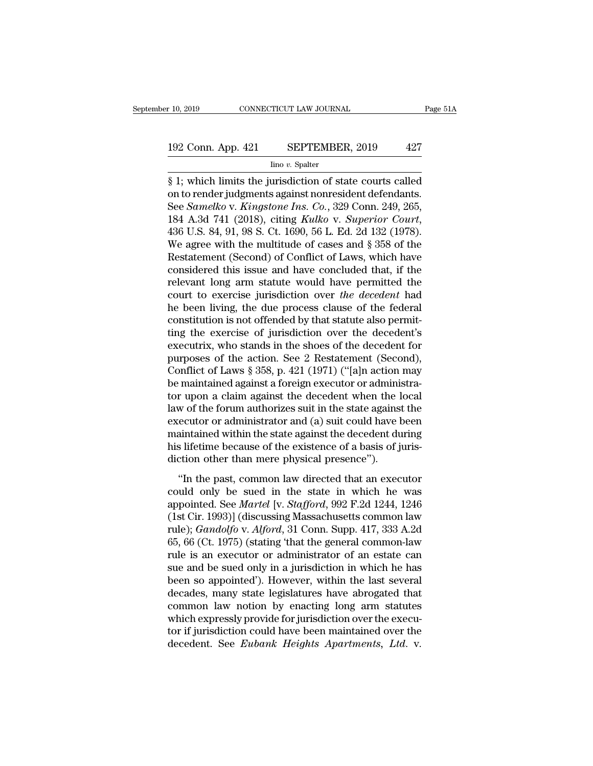# 10, 2019 CONNECTICUT LAW JOURNAL Page 51A<br>192 Conn. App. 421 SEPTEMBER, 2019 427<br>192 Conn. App. 421 SEPTEMBER, 2019 427

### Iino *v.* Spalter

F 10, 2019 CONNECTICUT LAW JOURNAL Page 51A<br>
192 Conn. App. 421 SEPTEMBER, 2019 427<br>  $\frac{1}{2}$  line v. Spalter<br>  $\frac{1}{2}$  line v. Spalter<br>  $\frac{1}{2}$  line v. Spalter<br>
S 1; which limits the jurisdiction of state courts call 192 Conn. App. 421 SEPTEMBER, 2019 427<br>  $\frac{1}{2}$  I spater<br>  $\frac{1}{2}$  involvements against nonresident defendants.<br>
See *Samelko v. Kingstone Ins. Co.*, 329 Conn. 249, 265,<br>
184 A 3d 741 (2018) citing *Kallice v. Supervio* 192 Conn. App. 421 SEPTEMBER, 2019 427<br>
<sup>Imo v. Spalter</sup><br>
§ 1; which limits the jurisdiction of state courts called<br>
on to render judgments against nonresident defendants.<br>
See *Samelko* v. *Kingstone Ins. Co.*, 329 Conn. 192 Conn. App. 421 SEPTEMBER, 2019 427<br>
<sup>Ino v.</sup> Spalter<br>
§ 1; which limits the jurisdiction of state courts called<br>
on to render judgments against nonresident defendants.<br>
See *Samelko* v. *Kingstone Ins. Co.*, 329 Conn.  $\frac{\text{Im } \sigma v. \text{ Spatter}}{\$ 1; which limits the jurisdiction of state courts called on to render judgments against nonresident defendants. See *Samelko v. Kingsstone Ins. Co.*, 329 Conn. 249, 265, 184 A.3d 741 (2018), city *Kulko v. Superior Court*, 436 U.S. 84, 91, 98 S. Ct. 1690, 56 L. Ed. 2d 132 (1978). We agree with the multitude of cases and § 358 of the Restatement (Second) of Conflict of Laws, which have considered this issue and have concluded that if the$ § 1; which limits the jurisdiction of state courts called<br>on to render judgments against nonresident defendants.<br>See *Samelko* v. *Kingstone Ins. Co.*, 329 Conn. 249, 265,<br>184 A.3d 741 (2018), citing *Kulko* v. *Superior* on to render judgments against nonresident defendants.<br>See *Samelko* v. *Kingstone Ins. Co.*, 329 Conn. 249, 265, 184 A.3d 741 (2018), citing *Kulko* v. *Superior Court*, 436 U.S. 84, 91, 98 S. Ct. 1690, 56 L. Ed. 2d 132 ( See *Samelko* v. *Kingstone Ins. Co.*, 329 Conn. 249, 265, 184 A.3d 741 (2018), citing *Kulko* v. *Superior Court*, 436 U.S. 84, 91, 98 S. Ct. 1690, 56 L. Ed. 2d 132 (1978). We agree with the multitude of cases and § 358 o 184 A.3d 741 (2018), citing *Kulko v. Superior Court*,<br>436 U.S. 84, 91, 98 S. Ct. 1690, 56 L. Ed. 2d 132 (1978).<br>We agree with the multitude of cases and § 358 of the<br>Restatement (Second) of Conflict of Laws, which have<br>co 436 U.S. 84, 91, 98 S. Ct. 1690, 56 L. Ed. 2d 132 (1978).<br>We agree with the multitude of cases and § 358 of the<br>Restatement (Second) of Conflict of Laws, which have<br>considered this issue and have concluded that, if the<br>re We agree with the multitude of cases and  $\S$  358 of the Restatement (Second) of Conflict of Laws, which have considered this issue and have concluded that, if the relevant long arm statute would have permitted the court t Restatement (Second) of Conflict of Laws, which have<br>considered this issue and have concluded that, if the<br>relevant long arm statute would have permitted the<br>court to exercise jurisdiction over the decedent had<br>he been liv considered this issue and have concluded that, if the relevant long arm statute would have permitted the court to exercise jurisdiction over *the decedent* had he been living, the due process clause of the federal constit relevant long arm statute would have permitted the<br>court to exercise jurisdiction over *the decedent* had<br>he been living, the due process clause of the federal<br>constitution is not offended by that statute also permit-<br>ting court to exercise jurisdiction over *the decedent* had<br>he been living, the due process clause of the federal<br>constitution is not offended by that statute also permit-<br>ting the exercise of jurisdiction over the decedent's<br>e he been living, the due process clause of the federal constitution is not offended by that statute also permitting the exercise of jurisdiction over the decedent's executrix, who stands in the shoes of the decedent for pur constitution is not offended by that statute also permit-<br>ting the exercise of jurisdiction over the decedent's<br>executrix, who stands in the shoes of the decedent for<br>purposes of the action. See 2 Restatement (Second),<br>Co ting the exercise of jurisdiction over the decedent's<br>executrix, who stands in the shoes of the decedent for<br>purposes of the action. See 2 Restatement (Second),<br>Conflict of Laws § 358, p. 421 (1971) ("[a]n action may<br>be ma executrix, who stands in the shoes of the decedent for<br>purposes of the action. See 2 Restatement (Second),<br>Conflict of Laws § 358, p. 421 (1971) ("[a]n action may<br>be maintained against a foreign executor or administra-<br>tor purposes of the action. See 2 Restatement (Second),<br>Conflict of Laws § 358, p. 421 (1971) ("[a]n action may<br>be maintained against a foreign executor or administra-<br>tor upon a claim against the decedent when the local<br>law o Conflict of Laws § 358, p. 421 (1971) ("[a]n action may<br>be maintained against a foreign executor or administra-<br>tor upon a claim against the decedent when the local<br>law of the forum authorizes suit in the state against the be maintained against a foreign executor or administor upon a claim against the decedent when the l<br>law of the forum authorizes suit in the state agains<br>executor or administrator and (a) suit could have l<br>maintained within w of the forum authorizes suit in the state against the eccutor or administrator and (a) suit could have been<br>aintained within the state against the decedent during<br>s lifetime because of the existence of a basis of juris-Executor or administrator and (a) suit could have been<br>maintained within the state against the decedent during<br>his lifetime because of the existence of a basis of juris-<br>diction other than mere physical presence").<br>"In th

executor of administrator and (a) sure coder natre seen<br>maintained within the state against the decedent during<br>his lifetime because of the existence of a basis of juris-<br>diction other than mere physical presence").<br>"In th manualities whall are state against are accession aning<br>his lifetime because of the existence of a basis of juris-<br>diction other than mere physical presence").<br>"In the past, common law directed that an executor<br>could only rule) is an excellence of the characteric of a state of junior<br>
diction other than mere physical presence").<br>
"In the past, common law directed that an executor<br>
could only be sued in the state in which he was<br>
appointed. "In the past, common law directed that an executor<br>could only be sued in the state in which he was<br>appointed. See *Martel* [v. *Stafford*, 992 F.2d 1244, 1246<br>(1st Cir. 1993)] (discussing Massachusetts common-law<br>rule); "In the past, common law directed that an executor<br>could only be sued in the state in which he was<br>appointed. See *Martel* [v. *Stafford*, 992 F.2d 1244, 1246<br>(1st Cir. 1993)] (discussing Massachusetts common law<br>rule); could only be sued in the state in which he was<br>appointed. See *Martel* [v. *Stafford*, 992 F.2d 1244, 1246<br>(1st Cir. 1993)] (discussing Massachusetts common law<br>rule); *Gandolfo* v. *Alford*, 31 Conn. Supp. 417, 333 A.2d<br> appointed. See *Martel* [v. *Stafford*, 992 F.2d 1244, 1246<br>(1st Cir. 1993)] (discussing Massachusetts common law<br>rule); *Gandolfo* v. *Alford*, 31 Conn. Supp. 417, 333 A.2d<br>65, 66 (Ct. 1975) (stating 'that the general com (1st Cir. 1993)] (discussing Massachusetts common law<br>rule); *Gandolfo* v. *Alford*, 31 Conn. Supp. 417, 333 A.2d<br>65, 66 (Ct. 1975) (stating 'that the general common-law<br>rule is an executor or administrator of an estate c rule); *Gandolfo v. Alford*, 31 Conn. Supp. 417, 333 A.2d<br>65, 66 (Ct. 1975) (stating 'that the general common-law<br>rule is an executor or administrator of an estate can<br>sue and be sued only in a jurisdiction in which he has 65, 66 (Ct. 1975) (stating 'that the general common-law<br>rule is an executor or administrator of an estate can<br>sue and be sued only in a jurisdiction in which he has<br>been so appointed'). However, within the last several<br>de rule is an executor or administrator of an estate can<br>sue and be sued only in a jurisdiction in which he has<br>been so appointed'). However, within the last several<br>decades, many state legislatures have abrogated that<br>common sue and be sued only in a jurisdiction in which he has<br>been so appointed'). However, within the last several<br>decades, many state legislatures have abrogated that<br>common law notion by enacting long arm statutes<br>which expres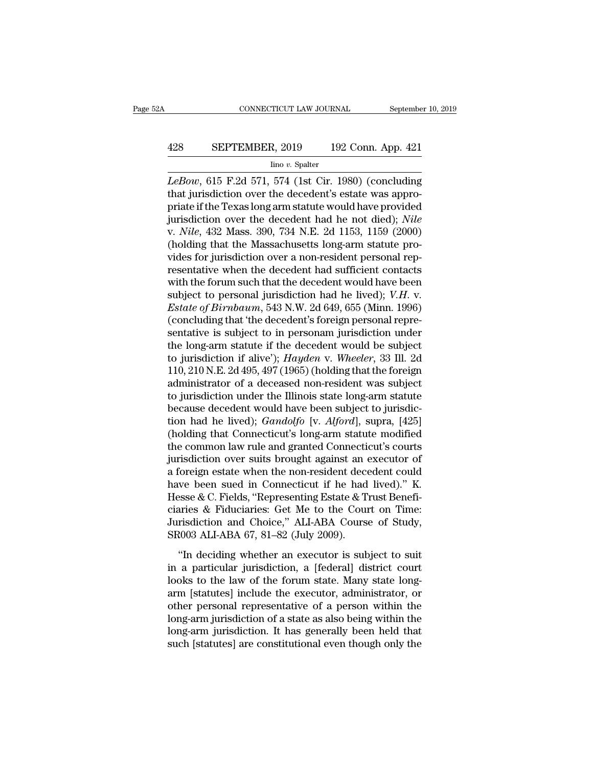# CONNECTICUT LAW JOURNAL September 10, 2019<br>428 SEPTEMBER, 2019 192 Conn. App. 421<br>100 v. Spalter

Iino *v.* Spalter

CONNECTICUT LAW JOURNAL September 10, 2019<br> *LeBow*, 615 F.2d 571, 574 (1st Cir. 1980) (concluding<br>
that jurisdiction over the decedent's estate was appropriate if the Toyos long arm statute would be verticaled EXTEMBER, 2019 192 Conn. App. 421<br>
lino v. Spalter<br>
LeBow, 615 F.2d 571, 574 (1st Cir. 1980) (concluding<br>
that jurisdiction over the decedent's estate was appro-<br>
priate if the Texas long arm statute would have provided<br>
i **EXECUTEMBER, 2019** 192 Conn. App. 421<br>  $\frac{\text{line }v. \text{ Spalter}}{LeBow, 615 \text{ F.2d } 571, 574 \text{ (1st Cir. 1980) (concluding that jurisdiction over the decedent's estate was appropriate if the Texas long arm statue would have provided jurisdiction over the decedent had he not died); *Nile*  $v. \text{Nile } 422 \text{ Msgs } 300, 734 \text{ N F. } 24, 1153, 1150, (2000)$$ SEPTEMBER, 2019 192 Conn. App. 421<br>
Imo v. Spalter<br>
LeBow, 615 F.2d 571, 574 (1st Cir. 1980) (concluding<br>
that jurisdiction over the decedent's estate was appro-<br>
priate if the Texas long arm statute would have provided<br>
j Ino v. Spalter<br>
LeBow, 615 F.2d 571, 574 (1st Cir. 1980) (concluding<br>
that jurisdiction over the decedent's estate was appro-<br>
priate if the Texas long arm statute would have provided<br>
jurisdiction over the decedent had he  $\mu$  mov. spatter<br>
LeBow, 615 F.2d 571, 574 (1st Cir. 1980) (concluding<br>
that jurisdiction over the decedent's estate was appro-<br>
priate if the Texas long arm statute would have provided<br>
jurisdiction over the decedent ha LeBow, 615 F.2d 571, 574 (1st Cir. 1980) (concluding<br>that jurisdiction over the decedent's estate was appro-<br>priate if the Texas long arm statute would have provided<br>jurisdiction over the decedent had he not died); *Nile*<br> that jurisdiction over the decedent's estate was appropriate if the Texas long arm statute would have provided<br>jurisdiction over the decedent had he not died); *Nile*<br>v. *Nile*, 432 Mass. 390, 734 N.E. 2d 1153, 1159 (2000 priate if the Texas long arm statute would have provided<br>jurisdiction over the decedent had he not died); *Nile*<br>v. *Nile*, 432 Mass. 390, 734 N.E. 2d 1153, 1159 (2000)<br>(holding that the Massachusetts long-arm statute pro jurisdiction over the decedent had he not died); *Nile*<br>v. *Nile*, 432 Mass. 390, 734 N.E. 2d 1153, 1159 (2000)<br>(holding that the Massachusetts long-arm statute pro-<br>vides for jurisdiction over a non-resident personal rep-*Estate of Birnbaum, 543 N.E.* 2d 1153, 1159 (2000)<br>
(holding that the Massachusetts long-arm statute pro-<br>
vides for jurisdiction over a non-resident personal rep-<br>
resentative when the decedent had sufficient contacts<br>
w (holding that the Massachusetts long-arm statute provides for jurisdiction over a non-resident personal representative when the decedent had sufficient contacts with the forum such that the decedent would have been subjec vides for jurisdiction over a non-resident personal representative when the decedent had sufficient contacts<br>with the forum such that the decedent would have been<br>subject to personal jurisdiction had he lived);  $V.H. v.$ <br>*E* resentative when the decedent had sufficient contacts<br>with the forum such that the decedent would have been<br>subject to personal jurisdiction had he lived); *V.H.* v.<br>*Estate of Birmbaum*, 543 N.W. 2d 649, 655 (Minn. 1996) with the forum such that the decedent would have been<br>subject to personal jurisdiction had he lived); *V.H.* v.<br>*Estate of Birnbaum*, 543 N.W. 2d 649, 655 (Minn. 1996)<br>(concluding that 'the decedent's foreign personal repr subject to personal jurisdiction had he lived); *V.H. v.*<br>*Estate of Birnbaum*, 543 N.W. 2d 649, 655 (Minn. 1996)<br>(concluding that 'the decedent's foreign personal repre-<br>sentative is subject to in personam jurisdiction un *Estate of Birmbaum*, 543 N.W. 2d 649, 655 (Minn. 1996)<br>(concluding that 'the decedent's foreign personal representative is subject to in personam jurisdiction under<br>the long-arm statute if the decedent would be subject<br>t (concluding that 'the decedent's foreign personal representative is subject to in personam jurisdiction under<br>the long-arm statute if the decedent would be subject<br>to jurisdiction if alive'); *Hayden* v. Wheeler, 33 Ill. sentative is subject to in personam jurisdiction under<br>the long-arm statute if the decedent would be subject<br>to jurisdiction if alive');  $Hayden$  v. Wheeler, 33 Ill. 2d<br>110, 210 N.E. 2d 495, 497 (1965) (holding that the forei the long-arm statute if the decedent would be subject<br>to jurisdiction if alive'); *Hayden* v. *Wheeler*, 33 Ill. 2d<br>110, 210 N.E. 2d 495, 497 (1965) (holding that the foreign<br>administrator of a deceased non-resident was su to jurisdiction if alive');  $Hayden$  v. Wheeler, 33 Ill. 2d<br>110, 210 N.E. 2d 495, 497 (1965) (holding that the foreign<br>administrator of a deceased non-resident was subject<br>to jurisdiction under the Illinois state long-arm sta 110, 210 N.E. 2d 495, 497 (1965) (holding that the foreign<br>administrator of a deceased non-resident was subject<br>to jurisdiction under the Illinois state long-arm statute<br>because decedent would have been subject to jurisdi administrator of a deceased non-resident was subject<br>to jurisdiction under the Illinois state long-arm statute<br>because decedent would have been subject to jurisdic-<br>tion had he lived); *Gandolfo* [v. *Alford*], supra, [42 to jurisdiction under the Illinois state long-arm statute<br>because decedent would have been subject to jurisdic-<br>tion had he lived); *Gandolfo* [v. *Alford*], supra, [425]<br>(holding that Connecticut's long-arm statute modifi because decedent would have been subject to jurisdiction had he lived); *Gandolfo* [v. *Alford*], supra, [425] (holding that Connecticut's long-arm statute modified the common law rule and granted Connecticut's courts juri tion had he lived); *Gandolfo* [v. *Alford*], supra, [425] (holding that Connecticut's long-arm statute modified the common law rule and granted Connecticut's courts jurisdiction over suits brought against an executor of (holding that Connecticut's long-arm statute modified<br>the common law rule and granted Connecticut's courts<br>jurisdiction over suits brought against an executor of<br>a foreign estate when the non-resident decedent could<br>have the common law rule and granted Connecticut's courts<br>jurisdiction over suits brought against an executor of<br>a foreign estate when the non-resident decedent could<br>have been sued in Connecticut if he had lived)." K.<br>Hesse & jurisdiction over suits brought against an  $\alpha$  a foreign estate when the non-resident dece have been sued in Connecticut if he had Hesse & C. Fields, "Representing Estate & T ciaries & Fiduciaries: Get Me to the Cour Juri been sudd in Connecticut if he had lived)." K.<br>
sesse & C. Fields, "Representing Estate & Trust Benefi-<br>
aries & Fiduciaries: Get Me to the Court on Time:<br>
risdiction and Choice," ALI-ABA Course of Study,<br>
1003 ALI-ABA 67, In a particular is connected in the mathematic Hesse & C. Fields, "Representing Estate & Trust Beneficiaries: Get Me to the Court on Time:<br>Jurisdiction and Choice," ALI-ABA Course of Study, SR003 ALI-ABA 67, 81–82 (July 20

resse a of Fictus, Representing Estate a Frust Beneficiaries & Fiduciaries: Get Me to the Court on Time:<br>Jurisdiction and Choice," ALI-ABA Course of Study, SR003 ALI-ABA 67, 81–82 (July 2009).<br>"In deciding whether an execu Jurisdiction and Choice," ALI-ABA Course of Study,<br>SR003 ALI-ABA 67, 81–82 (July 2009).<br>"In deciding whether an executor is subject to suit<br>in a particular jurisdiction, a [federal] district court<br>looks to the law of the f SR003 ALI-ABA 67, 81–82 (July 2009).<br>
"In deciding whether an executor is subject to suit<br>
in a particular jurisdiction, a [federal] district court<br>
looks to the law of the forum state. Many state long-<br>
arm [statutes] in "In deciding whether an executor is subject to suit<br>in a particular jurisdiction, a [federal] district court<br>looks to the law of the forum state. Many state long-<br>arm [statutes] include the executor, administrator, or<br>oth "In deciding whether an executor is subject to suit<br>in a particular jurisdiction, a [federal] district court<br>looks to the law of the forum state. Many state long-<br>arm [statutes] include the executor, administrator, or<br>oth in a particular jurisdiction, a [federal] district court<br>looks to the law of the forum state. Many state long-<br>arm [statutes] include the executor, administrator, or<br>other personal representative of a person within the<br>lon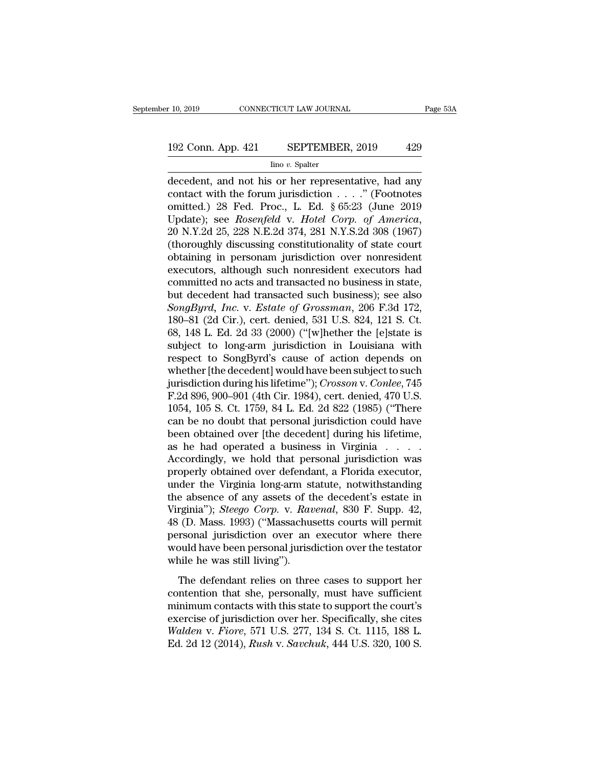# $\begin{array}{r} \text{10, 2019} \end{array}$  CONNECTICUT LAW JOURNAL Page 53A<br>192 Conn. App. 421 SEPTEMBER, 2019 429<br>192 Conn. App. 421 SEPTEMBER, 2019 429

Iino *v.* Spalter

r 10, 2019 CONNECTICUT LAW JOURNAL Page 53A<br>
192 Conn. App. 421 SEPTEMBER, 2019 429<br>
Ino v. Spalter<br>
decedent, and not his or her representative, had any<br>
contact with the forum jurisdiction . . . . " (Footnotes<br>
emitted) 192 Conn. App. 421 SEPTEMBER, 2019 429<br>
Imo v. Spalter<br>
decedent, and not his or her representative, had any<br>
contact with the forum jurisdiction . . . . " (Footnotes<br>
omitted.) 28 Fed. Proc., L. Ed. § 65:23 (June 2019<br>
Un 192 Conn. App. 421 SEPTEMBER, 2019 429<br>
lino v. Spatter<br>
decedent, and not his or her representative, had any<br>
contact with the forum jurisdiction . . . ." (Footnotes<br>
omitted.) 28 Fed. Proc., L. Ed. § 65:23 (June 2019<br>
U 192 Conn. App. 421 SEPTEMBER, 2019 429<br>
Imo v. Spalter<br>
decedent, and not his or her representative, had any<br>
contact with the forum jurisdiction . . . . ." (Footnotes<br>
omitted.) 28 Fed. Proc., L. Ed. § 65:23 (June 2019<br>
U  $\frac{\text{Im} \sigma v. \text{ Sphere}}{\text{hfootedent, and not his or her representative, had any contact with the forum jurisdiction}.$   $\ldots$   $\ldots$  (Footnotes omitted.) 28 Fed. Proc., L. Ed. § 65:23 (June 2019 Update); see *Rosenfeld* v. *Hotel Corp. of America*, 20 N.Y.2d 25, 228 N.E.2d 374, 281 N.Y.S.2d 308 (19 decedent, and not his or her representative, had any<br>contact with the forum jurisdiction . . . . ." (Footnotes<br>omitted.) 28 Fed. Proc., L. Ed. § 65:23 (June 2019<br>Update); see *Rosenfeld* v. *Hotel Corp. of America*,<br>20 N.Y contact with the forum jurisdiction . . . ." (Footnotes<br>omitted.) 28 Fed. Proc., L. Ed. § 65:23 (June 2019<br>Update); see *Rosenfeld* v. *Hotel Corp. of America*,<br>20 N.Y.2d 25, 228 N.E.2d 374, 281 N.Y.S.2d 308 (1967)<br>(thoro omitted.) 28 Fed. Proc., L. Ed. § 65:23 (June 2019<br>Update); see *Rosenfeld* v. *Hotel Corp. of America*,<br>20 N.Y.2d 25, 228 N.E.2d 374, 281 N.Y.S.2d 308 (1967)<br>(thoroughly discussing constitutionality of state court<br>obtaini Update); see *Rosenfeld* v. *Hotel Corp. of America*, 20 N.Y.2d 25, 228 N.E.2d 374, 281 N.Y.S.2d 308 (1967)<br>(thoroughly discussing constitutionality of state court obtaining in personam jurisdiction over nonresident exec 20 N.Y.2d 25, 228 N.E.2d 374, 281 N.Y.S.2d 308 (1967)<br>(thoroughly discussing constitutionality of state court<br>obtaining in personam jurisdiction over nonresident<br>executors, although such nonresident executors had<br>committed (thoroughly discussing constitutionality of state court<br>obtaining in personam jurisdiction over nonresident<br>executors, although such nonresident executors had<br>committed no acts and transacted no business); see also<br> $SongByrd$ obtaining in personam jurisdiction over nonresident<br>executors, although such nonresident executors had<br>committed no acts and transacted no business); see also<br>but decedent had transacted such business); see also<br> $SongByrd$ , In executors, although such nonresident executors had<br>committed no acts and transacted no business); see also<br>but decedent had transacted such business); see also<br>*SongByrd, Inc.* v. *Estate of Grossman*, 206 F.3d 172,<br>180–81 committed no acts and transacted no business in state,<br>but decedent had transacted such business); see also<br>*SongByrd, Inc.* v. *Estate of Grossman*, 206 F.3d 172,<br>180–81 (2d Cir.), cert. denied, 531 U.S. 824, 121 S. Ct.<br>6 but decedent had transacted such business); see also<br>
SongByrd, Inc. v. Estate of Grossman, 206 F.3d 172,<br>
180–81 (2d Cir.), cert. denied, 531 U.S. 824, 121 S. Ct.<br>
68, 148 L. Ed. 2d 33 (2000) ("[w]hether the [e]state is<br> SongByrd, *Inc.* v. *Estate of Grossman*, 206 F.3d 172, 180–81 (2d Cir.), cert. denied, 531 U.S. 824, 121 S. Ct. 68, 148 L. Ed. 2d 33 (2000) ("[w]hether the [e]state is subject to long-arm jurisdiction in Louisiana with re 180–81 (2d Cir.), cert. denied, 531 U.S. 824, 121 S. Ct.<br>68, 148 L. Ed. 2d 33 (2000) ("[w]hether the [e]state is<br>subject to long-arm jurisdiction in Louisiana with<br>respect to SongByrd's cause of action depends on<br>whether 68, 148 L. Ed. 2d 33 (2000) ("[w]hether the [e]state is<br>subject to long-arm jurisdiction in Louisiana with<br>respect to SongByrd's cause of action depends on<br>whether [the decedent] would have been subject to such<br>jurisdicti subject to long-arm jurisdiction in Louisiana with<br>respect to SongByrd's cause of action depends on<br>whether [the decedent] would have been subject to such<br>jurisdiction during his lifetime''); *Crosson* v. *Conlee*, 745<br>F.2 respect to SongByrd's cause of action depends on<br>whether [the decedent] would have been subject to such<br>jurisdiction during his lifetime"); *Crosson* v. *Conlee*, 745<br>F.2d 896, 900–901 (4th Cir. 1984), cert. denied, 470 U whether [the decedent] would have been subject to such<br>jurisdiction during his lifetime"); *Crosson v. Conlee*, 745<br>F.2d 896, 900–901 (4th Cir. 1984), cert. denied, 470 U.S.<br>1054, 105 S. Ct. 1759, 84 L. Ed. 2d 822 (1985) ( jurisdiction during his lifetime"); *Crosson* v. *Conlee*, 745<br>F.2d 896, 900–901 (4th Cir. 1984), cert. denied, 470 U.S.<br>1054, 105 S. Ct. 1759, 84 L. Ed. 2d 822 (1985) ("There<br>can be no doubt that personal jurisdiction co F.2d 896, 900–901 (4th Cir. 1984), cert. denied, 470 U.S.<br>1054, 105 S. Ct. 1759, 84 L. Ed. 2d 822 (1985) ("There<br>can be no doubt that personal jurisdiction could have<br>been obtained over [the decedent] during his lifetime,<br> 1054, 105 S. Ct. 1759, 84 L. Ed. 2d 822 (1985) ("There<br>can be no doubt that personal jurisdiction could have<br>been obtained over [the decedent] during his lifetime,<br>as he had operated a business in Virginia . . . . .<br>Accor can be no doubt that personal jurisdiction could have<br>been obtained over [the decedent] during his lifetime,<br>as he had operated a business in Virginia . . . . .<br>Accordingly, we hold that personal jurisdiction was<br>properly been obtained over [the decedent] during his lifetime,<br>as he had operated a business in Virginia . . . . .<br>Accordingly, we hold that personal jurisdiction was<br>properly obtained over defendant, a Florida executor,<br>under the as he had operated a business in Virginia  $\ldots$ .<br>Accordingly, we hold that personal jurisdiction was<br>properly obtained over defendant, a Florida executor,<br>under the Virginia long-arm statute, notwithstanding<br>the absence o Accordingly, we hold that personal jurisdiction was<br>properly obtained over defendant, a Florida executor,<br>under the Virginia long-arm statute, notwithstanding<br>the absence of any assets of the decedent's estate in<br>Virginia" properly obtained over defendant, a Florida executor,<br>under the Virginia long-arm statute, notwithstanding<br>the absence of any assets of the decedent's estate in<br>Virginia"); *Steego Corp.* v. *Ravenal*, 830 F. Supp. 42,<br>48 under the Virginia long-arm st<br>the absence of any assets of tl<br>Virginia''); *Steego Corp.* v. *Rau*<br>48 (D. Mass. 1993) ("Massachus<br>personal jurisdiction over an<br>would have been personal jurisd<br>while he was still living").<br> rginia"); *Steego Corp.* v. *Ravenal*, 830 F. Supp. 42, (D. Mass. 1993) ("Massachusetts courts will permit rsonal jurisdiction over an executor where there buld have been personal jurisdiction over the testator nile he wa Figure 7, 20039  $\degree$  ( $\degree$ ). That shall control as a 48 (D. Mass. 1993) ("Massachusetts courts will permit<br>personal jurisdiction over an executor where there<br>would have been personal jurisdiction over the testator<br>while h

personal jurisdiction over an executor where there<br>would have been personal jurisdiction over the testator<br>while he was still living").<br>The defendant relies on three cases to support her<br>contention that she, personally, m would have been personal jurisdiction over the testator<br>while he was still living").<br>The defendant relies on three cases to support her<br>contention that she, personally, must have sufficient<br>minimum contacts with this stat *We did have seen personaryand also some to the cestates*<br>while he was still living").<br>The defendant relies on three cases to support her<br>contention that she, personally, must have sufficient<br>minimum contacts with this sta The defendant relies on three cases to support her contention that she, personally, must have sufficient minimum contacts with this state to support the court's exercise of jurisdiction over her. Specifically, she cites *W*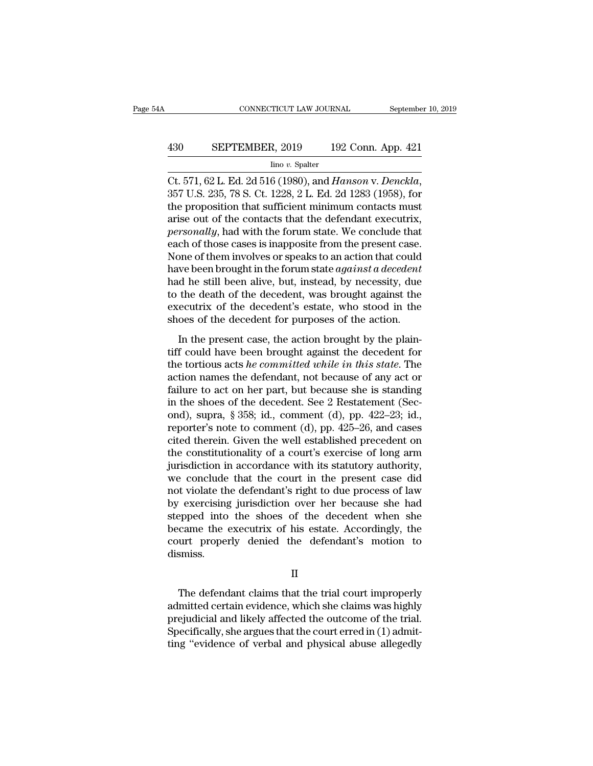# CONNECTICUT LAW JOURNAL September 10, 2019<br>
430 SEPTEMBER, 2019 192 Conn. App. 421<br>
192 Conn. App. 421

Iino *v.* Spalter

CONNECTICUT LAW JOURNAL<br>
September 10, 2019<br>
SEPTEMBER, 2019 192 Conn. App. 421<br>
Ino v. Spalter<br>
Ct. 571, 62 L. Ed. 2d 516 (1980), and *Hanson* v. *Denckla*,<br>
357 U.S. 235, 78 S. Ct. 1228, 2 L. Ed. 2d 1283 (1958), for<br>
the 430 SEPTEMBER, 2019 192 Conn. App. 421<br>  $\frac{\text{line }v. \text{ Spalter}}{\text{Ct. 571, 62 L. Ed. 2d 516 (1980), and *Hanson v. Denckla*, 357 U.S. 235, 78 S. Ct. 1228, 2 L. Ed. 2d 1283 (1958), for the proposition that sufficient minimum contacts must arise out of the contacts that the defendant executing necessarily hold with the form state. We conclude that$ 430 SEPTEMBER, 2019 192 Conn. App. 421<br>  $\frac{\text{line }v. \text{ Spalter}}{\text{Ct. 571, 62 L. Ed. 2d 516 (1980), and *Hanson v. Denckla*, 357 U.S. 235, 78 S. Ct. 1228, 2 L. Ed. 2d 1283 (1958), for the proposition that sufficient minimum contacts must arise out of the contacts that the defendant executing *personally*, had with the forum state. We conclude that each of those cases is in composite from the present case.$ *personally, 2012 personally, 2012 personally*, 2014<br>*personally, 2013 personally, 357 U.S. 235, 78 S. Ct. 1228, 2 L. Ed. 2d 1283 (1958), for the proposition that sufficient minimum contacts must arise out of the con*  $\frac{\text{Im} \sigma v. \text{ Spalter}}{\text{Ct. 571, 62 L. Ed. 2d 516 (1980), and *Hanson v. Denchia,* 357 U.S. 235, 78 S. Ct. 1228, 2 L. Ed. 2d 1283 (1958), for the proposition that sufficient minimum contacts must arise out of the contacts that the defendant executive, *personally,* had with the forum state. We conclude that each of those cases is inappropriate from the present case. None of them involves or speaks to an action that could have been brought in the form state against a decoder at$ Ct. 571, 62 L. Ed. 2d 516 (1980), and *Hanson v. Denckla*,<br>357 U.S. 235, 78 S. Ct. 1228, 2 L. Ed. 2d 1283 (1958), for<br>the proposition that sufficient minimum contacts must<br>arise out of the contacts that the defendant execu 357 U.S. 235, 78 S. Ct. 1228, 2 L. Ed. 2d 1283 (1958), for<br>the proposition that sufficient minimum contacts must<br>arise out of the contacts that the defendant executrix,<br>*personally*, had with the forum state. We conclude t the proposition that sufficient minimum contacts must<br>arise out of the contacts that the defendant executrix,<br>*personally*, had with the forum state. We conclude that<br>each of those cases is inapposite from the present case arise out of the contacts that the defendant executrix,<br>personally, had with the forum state. We conclude that<br>each of those cases is inapposite from the present case.<br>None of them involves or speaks to an action that coul personally, had with the forum state. We conclude that<br>each of those cases is inapposite from the present case.<br>None of them involves or speaks to an action that could<br>have been brought in the forum state *against a decede* each of those cases is inapposite from the present case.<br>None of them involves or speaks to an action that could<br>have been brought in the forum state *against a decedent*<br>had he still been alive, but, instead, by necessit In the present case, the action brought by the plain-<br>In the still been alive, but, instead, by necessity, due<br>the death of the decedent, was brought against the<br>ecutrix of the decedent's estate, who stood in the<br>oes of th that is seen brought in the rotal instead, by necessity, due<br>to the death of the decedent, was brought against the<br>executrix of the decedent's estate, who stood in the<br>shoes of the decedent for purposes of the action.<br>In

the tortion of the decedent, was brought against the executrix of the decedent's estate, who stood in the shoes of the decedent for purposes of the action.<br>In the present case, the action brought by the plaintiff could hav action of the decedent, was stronght against the executrix of the decedent's estate, who stood in the shoes of the decedent for purposes of the action.<br>In the present case, the action brought by the plaintiff could have be shoes of the decedent of purposes of the action.<br>In the present case, the action brought by the plain-<br>tiff could have been brought against the decedent for<br>the tortious acts *he committed while in this state*. The<br>action In the present case, the action brought by the plain-<br>tiff could have been brought against the decedent for<br>the tortious acts *he committed while in this state*. The<br>action names the defendant, not because of any act or<br>f In the present case, the action brought by the plain-<br>tiff could have been brought against the decedent for<br>the tortious acts *he committed while in this state*. The<br>action names the defendant, not because of any act or<br>f tiff could have been brought against the decedent for<br>the tortious acts *he committed while in this state*. The<br>action names the defendant, not because of any act or<br>failure to act on her part, but because she is standing the tortious acts *he committed while in this state*. The action names the defendant, not because of any act or failure to act on her part, but because she is standing in the shoes of the decedent. See 2 Restatement (Seco action names the defendant, not because of any act or<br>failure to act on her part, but because she is standing<br>in the shoes of the decedent. See 2 Restatement (Sec-<br>ond), supra, § 358; id., comment (d), pp. 422–23; id.,<br>rep failure to act on her part, but because she is standing<br>in the shoes of the decedent. See 2 Restatement (Sec-<br>ond), supra, § 358; id., comment (d), pp. 422–23; id.,<br>reporter's note to comment (d), pp. 425–26, and cases<br>ci in the shoes of the decedent. See 2 Restatement (Second), supra, § 358; id., comment (d), pp. 422–23; id., reporter's note to comment (d), pp. 425–26, and cases cited therein. Given the well established precedent on the c ond), supra, § 358; id., comment (d), pp. 422–23; id.,<br>reporter's note to comment (d), pp. 425–26, and cases<br>cited therein. Given the well established precedent on<br>the constitutionality of a court's exercise of long arm<br>ju reporter's note to comment (d), pp. 425–26, and cases<br>cited therein. Given the well established precedent on<br>the constitutionality of a court's exercise of long arm<br>jurisdiction in accordance with its statutory authority,<br> cited therein. Given the well established precedent on<br>the constitutionality of a court's exercise of long arm<br>jurisdiction in accordance with its statutory authority,<br>we conclude that the court in the present case did<br>not the constitutionality of a court's exercise of long arm<br>jurisdiction in accordance with its statutory authority,<br>we conclude that the court in the present case did<br>not violate the defendant's right to due process of law<br>by jurisdiction in accordance with its statutory authority,<br>we conclude that the court in the present case did<br>not violate the defendant's right to due process of law<br>by exercising jurisdiction over her because she had<br>steppe dismiss. Pepped into the shoes of the decedent when she<br>came the executrix of his estate. Accordingly, the<br>urt properly denied the defendant's motion to<br>smiss.<br>II<br>The defendant claims that the trial court improperly<br>mitted certain

II

became the executrix of his estate. Accordingly, the<br>court properly denied the defendant's motion to<br>dismiss.<br>II<br>The defendant claims that the trial court improperly<br>admitted certain evidence, which she claims was highly<br>p court properly denied the defendant's motion to<br>dismiss.<br>II<br>The defendant claims that the trial court improperly<br>admitted certain evidence, which she claims was highly<br>prejudicial and likely affected the outcome of the tri II<br>II<br>The defendant claims that the trial court improperly<br>admitted certain evidence, which she claims was highly<br>prejudicial and likely affected the outcome of the trial.<br>Specifically, she argues that the court erred in ( II<br>The defendant claims that the trial court improperly<br>admitted certain evidence, which she claims was highly<br>prejudicial and likely affected the outcome of the trial.<br>Specifically, she argues that the court erred in (1)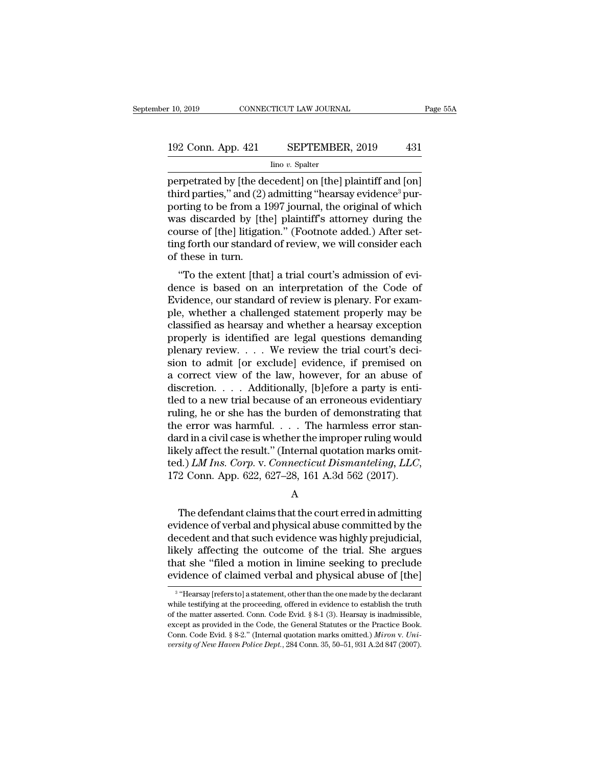# $\begin{tabular}{l} $10, 2019$ \hline \multicolumn{2}{c}{\text{CONNECTICUT LAW JOURNAL}} \end{tabular} \begin{tabular}{l} Page 55A \end{tabular}$   $\begin{tabular}{c} 192 Conn. App. 421 \hline \multicolumn{2}{c}{ \text{RSPTEMBER, 2019}} \end{tabular} \begin{tabular}{c} 431 \hline \multicolumn{2}{c}{ \text{I}} \end{tabular}$

Iino *v.* Spalter

perpetrated by [the decedent] on [the] plaintiff and [on]<br>third parties," and (2) admitting "hearsay evidence<sup>3</sup> pur-<br>perpetrated by [the decedent] on [the] plaintiff and [on]<br>third parties," and (2) admitting "hearsay ev 192 Conn. App. 421 SEPTEMBER, 2019 431<br>  $\frac{1}{2}$  Ino v. Spatter<br>
perpetrated by [the decedent] on [the] plaintiff and [on]<br>
third parties," and (2) admitting "hearsay evidence<sup>3</sup> pur-<br>
porting to be from a 1997 journal, 192 Conn. App. 421 SEPTEMBER, 2019 431<br>  $\frac{f_{\text{line }v.\text{ Spalter}}}{\text{perpetrated by [the decedent] on [the] plaintiff and [on]}\n \text{third parties," and (2) admitting "hearsay evidence<sup>3</sup> pur-  
porting to be from a 1997 journal, the original of which was discarded by [the] plaintiff's attempt during the course of [the] litation." (Eochote added) After set$ 192 Conn. App. 421 SEPTEMBER, 2019 431<br>  $\frac{1}{2}$  Ino v. Spalter<br>
perpetrated by [the decedent] on [the] plaintiff and [on]<br>
third parties," and (2) admitting "hearsay evidence<sup>3</sup> pur-<br>
porting to be from a 1997 journal, For  $\frac{1}{\text{min } v}$ . Set  $\frac{1}{\text{min } v}$ ,  $\frac{1}{\text{min } v}$ . Set  $\frac{1}{\text{min } v}$ . Set  $\frac{1}{\text{min } v}$ . Set  $\frac{1}{\text{min } v}$  (Footnote  $\frac{1}{\text{min } v}$ ) (Third parties," and (2) admitting "hearsay evidence<sup>3</sup> purporting to be from a  $\frac{\text{Im} \sigma v. \text{ Spalter}}{\text{perpetrated by [the decedent] on [the] plaintiff and [on] third parties," and (2) admitting "hearsay evidence<sup>3</sup> purporting to be from a 1997 journal, the original of which was discarded by [the] plaintiff's attempt during the course of [the] litigation." (Footnote added.) After setting forth our standard of review, we will consider each of these in turn.$ perpetrated by [the definite] thin the definition of the from a 1 was discarded by [the course of [the] litigation of these in turn.<br>"To the extent litigation" was the form a 1 was discarded by [the] litigation of these in The parties, and (2) admitting heatsay evidence pur-<br>
riting to be from a 1997 journal, the original of which<br>
as discarded by [the] plaintiff's attorney during the<br>
urse of [the] litigation." (Footnote added.) After setporting to be front a 1997 journal, the original of which<br>was discarded by [the] plaintiff's attorney during the<br>course of [the] litigation." (Footnote added.) After set-<br>ting forth our standard of review, we will consider

was uscarded by [the] plannin's attorney during the<br>course of [the] litigation." (Footnote added.) After set-<br>ting forth our standard of review, we will consider each<br>of these in turn.<br>"To the extent [that] a trial court's ple, the state of the magazine. The counse added a challeng forth our standard of review, we will consider each<br>of these in turn.<br>"To the extent [that] a trial court's admission of evi-<br>dence is based on an interpretation classified as hearsay and whether a hearsay exception<br>property results and a heart and whether a challenged statement properly may be<br>classified as hearsay and whether a hearsay exception<br>properly is identified are legal q To the extent [that] a trial court's admission of evidence is based on an interpretation of the Code of Evidence, our standard of review is plenary. For example, whether a challenged statement properly may be classified a "To the extent [that] a trial court's admission of evidence is based on an interpretation of the Code of Evidence, our standard of review is plenary. For example, whether a challenged statement properly may be classified dence is based on an interpretation of the Code of<br>Evidence, our standard of review is plenary. For exam-<br>ple, whether a challenged statement properly may be<br>classified as hearsay and whether a hearsay exception<br>properly i Evidence, our standard of review is plenary. For example, whether a challenged statement properly may be classified as hearsay and whether a hearsay exception properly is identified are legal questions demanding plenary r ple, whether a challenged statement properly may be classified as hearsay and whether a hearsay exception properly is identified are legal questions demanding plenary review. . . . We review the trial court's decision to a classified as hearsay and whether a hearsay exception<br>properly is identified are legal questions demanding<br>plenary review.... We review the trial court's deci-<br>sion to admit [or exclude] evidence, if premised on<br>a correct properly is identified are legal questions demanding<br>plenary review.... We review the trial court's deci-<br>sion to admit [or exclude] evidence, if premised on<br>a correct view of the law, however, for an abuse of<br>discretion. plenary review. . . . . We review the trial court's decision to admit [or exclude] evidence, if premised on<br>a correct view of the law, however, for an abuse of<br>discretion. . . . Additionally, [b]efore a party is enti-<br>tled sion to admit [or exclude] evidence, if premised on<br>a correct view of the law, however, for an abuse of<br>discretion. . . . Additionally, [b]efore a party is enti-<br>tled to a new trial because of an erroneous evidentiary<br>rul a correct view of the law, however, for an abuse of discretion. . . . Additionally, [b]efore a party is entitled to a new trial because of an erroneous evidentiary ruling, he or she has the burden of demonstrating that th discretion. . . . . Additionally, [b]efore a party is enti-<br>tled to a new trial because of an erroneous evidentiary<br>ruling, he or she has the burden of demonstrating that<br>the error was harmful. . . . The harmless error sta rd in a civil case is whether the improper ruling would<br>tely affect the result." (Internal quotation marks omit-<br>d.) *LM Ins. Corp.* v. *Connecticut Dismanteling*, *LLC*,<br>2 Conn. App. 622, 627–28, 161 A.3d 562 (2017).<br>A<br>Th

A

likely affect the result." (Internal quotation marks omitted.) *LM Ins. Corp.* v. *Connecticut Dismanteling, LLC*, 172 Conn. App. 622, 627–28, 161 A.3d 562 (2017).<br>
A<br>
The defendant claims that the court erred in admittin ted.) *LM Ins. Corp.* v. *Connecticut Dismanteling, LLC,*<br>172 Conn. App. 622, 627–28, 161 A.3d 562 (2017).<br>A<br>The defendant claims that the court erred in admitting<br>evidence of verbal and physical abuse committed by the<br>dec 172 Conn. App. 622, 627–28, 161 A.3d 562 (2017).<br>
A<br>
The defendant claims that the court erred in admitting<br>
evidence of verbal and physical abuse committed by the<br>
decedent and that such evidence was highly prejudicial,<br> A<br>
The defendant claims that the court erred in admitting<br>
evidence of verbal and physical abuse committed by the<br>
decedent and that such evidence was highly prejudicial,<br>
likely affecting the outcome of the trial. She arg The defendant claims that the court erred in admitting<br>evidence of verbal and physical abuse committed by the<br>decedent and that such evidence was highly prejudicial,<br>likely affecting the outcome of the trial. She argues<br>th cedent and that such evidence was highly prejudicial,<br>ely affecting the outcome of the trial. She argues<br>at she "filed a motion in limine seeking to preclude<br>idence of claimed verbal and physical abuse of [the]<br>"Hearsay [r likely affecting the outcome of the trial. She argues<br>that she "filed a motion in limine seeking to preclude<br>evidence of claimed verbal and physical abuse of [the]<br><sup>3</sup> "Hearsay [refersto] a statement, other than the one ma

 $3.4$ Hoor that she "filed a motion in limine seeking to preclude<br>evidence of claimed verbal and physical abuse of [the]<br><sup>3</sup> "Hearsay [refersto] a statement, other than the one made by the declarant<br>while testifying at the proceeding evidence of claimed verbal and physical abuse of [the]<br>
<sup>3</sup> "Hearsay [refers to] a statement, other than the one made by the declarant<br>
while testifying at the proceeding, offered in evidence to establish the truth<br>
of th <sup>3</sup> "Hearsay [refers to] a statement, other than the one made by the declarant while testifying at the proceeding, offered in evidence to establish the truth of the matter asserted. Conn. Code Evid. § 8-1 (3). Hearsay is i <sup>3</sup> "Hearsay [refers to] a statement, other than the one made by the declarant while testifying at the proceeding, offered in evidence to establish the truth of the matter asserted. Conn. Code Evid. § 8-1 (3). Hearsay is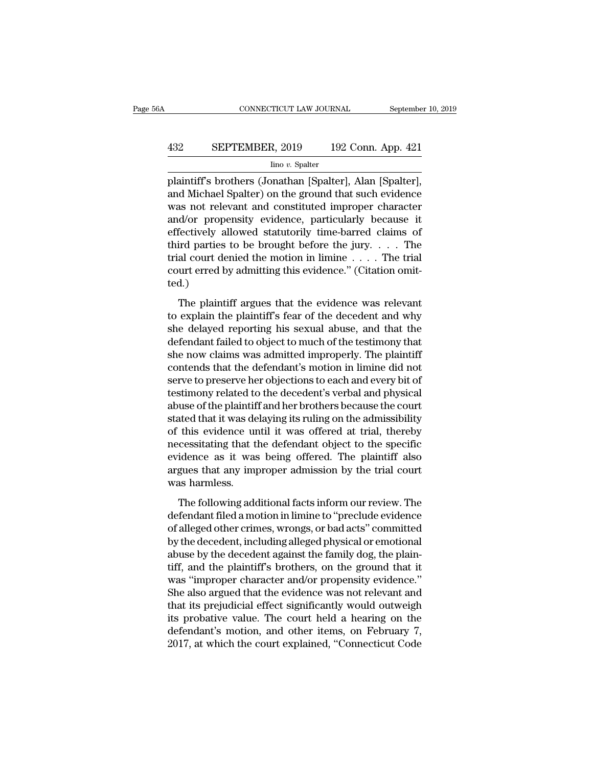# CONNECTICUT LAW JOURNAL September 10, 2019<br>432 SEPTEMBER, 2019 192 Conn. App. 421<br>100 v. Spalter

Iino *v.* Spalter

CONNECTICUT LAW JOURNAL September 10, 2<br>
SEPTEMBER, 2019 192 Conn. App. 421<br>
Ino v. Spalter<br>
plaintiff's brothers (Jonathan [Spalter], Alan [Spalter],<br>
and Michael Spalter) on the ground that such evidence SEPTEMBER, 2019 192 Conn. App. 421<br>
Ino v. Spalter<br>
plaintiff's brothers (Jonathan [Spalter], Alan [Spalter],<br>
and Michael Spalter) on the ground that such evidence<br>
was not relevant and constituted improper character<br>
and SEPTEMBER, 2019 192 Conn. App. 421<br>  $\frac{\text{line }v.\text{ Spalter}}{\text{plaintext}}$ <br>
plaintiff's brothers (Jonathan [Spalter], Alan [Spalter],<br>
and Michael Spalter) on the ground that such evidence<br>
was not relevant and constituted improper charac **EXEPTEMBER, 2019** 192 Conn. App. 421<br>  $\frac{1}{2}$  Ino *v*. Spalter<br>
plaintiff's brothers (Jonathan [Spalter], Alan [Spalter],<br>
and Michael Spalter) on the ground that such evidence<br>
was not relevant and constituted imprope Frame of the values of the plaintiff's brothers (Jonathan [Spalter], Alan [Spalter], and Michael Spalter) on the ground that such evidence was not relevant and constituted improper character and/or propensity evidence, pa  $\frac{1}{100}$  *v.* spater<br>plaintiff's brothers (Jonathan [Spalter], Alan [Spalter],<br>and Michael Spalter) on the ground that such evidence<br>was not relevant and constituted improper character<br>and/or propensity evidence, parti plaintiff's brothers (Jonathan [Spalter], Alan [Spalter],<br>and Michael Spalter) on the ground that such evidence<br>was not relevant and constituted improper character<br>and/or propensity evidence, particularly because it<br>effect and Michael Spalter) on the ground that such evidence<br>was not relevant and constituted improper character<br>and/or propensity evidence, particularly because it<br>effectively allowed statutorily time-barred claims of<br>third par ted.) The plantiff argues that the evidence was relevant<br>fectively allowed statutorily time-barred claims of<br>ird parties to be brought before the jury.  $\dots$  The<br>al court denied the motion in limine  $\dots$ . The trial<br>urt erred by third parties to be brought before the jury.  $\dots$  The trial court denied the motion in limine  $\dots$ . The trial court erred by admitting this evidence." (Citation omitted.)<br>The plaintiff argues that the evidence was relevan

Final court denied the motion in limine  $\dots$ . The trial court erred by admitting this evidence." (Citation omitted.)<br>The plaintiff argues that the evidence was relevant<br>to explain the plaintiff's fear of the decedent and Figure 1 and the testimon of the testimonic court erred by admitting this evidence." (Citation omitted.)<br>The plaintiff argues that the evidence was relevant<br>to explain the plaintiff's fear of the decedent and why<br>she delay ted.)<br>The plaintiff argues that the evidence was relevant<br>to explain the plaintiff's fear of the decedent and why<br>she delayed reporting his sexual abuse, and that the<br>defendant failed to object to much of the testimony tha The plaintiff argues that the evidence was relevant<br>to explain the plaintiff's fear of the decedent and why<br>she delayed reporting his sexual abuse, and that the<br>defendant failed to object to much of the testimony that<br>she The plaintiff argues that the evidence was relevant<br>to explain the plaintiff's fear of the decedent and why<br>she delayed reporting his sexual abuse, and that the<br>defendant failed to object to much of the testimony that<br>she to explain the plaintiff's fear of the decedent and why<br>she delayed reporting his sexual abuse, and that the<br>defendant failed to object to much of the testimony that<br>she now claims was admitted improperly. The plaintiff<br>co she delayed reporting his sexual abuse, and that the<br>defendant failed to object to much of the testimony that<br>she now claims was admitted improperly. The plaintiff<br>contends that the defendant's motion in limine did not<br>ser defendant failed to object to much of the testimony that<br>she now claims was admitted improperly. The plaintiff<br>contends that the defendant's motion in limine did not<br>serve to preserve her objections to each and every bit o she now claims was admitted improperly. The plaintiff<br>contends that the defendant's motion in limine did not<br>serve to preserve her objections to each and every bit of<br>testimony related to the decedent's verbal and physical contends that the defendant's motion in limine did not<br>serve to preserve her objections to each and every bit of<br>testimony related to the decedent's verbal and physical<br>abuse of the plaintiff and her brothers because the c serve to preserve her objections to each and every bit of<br>testimony related to the decedent's verbal and physical<br>abuse of the plaintiff and her brothers because the court<br>stated that it was delaying its ruling on the admi testimony related to the decedent's verbal and physical<br>abuse of the plaintiff and her brothers because the court<br>stated that it was delaying its ruling on the admissibility<br>of this evidence until it was offered at trial, abuse of the plaintif<br>stated that it was de<br>of this evidence ur<br>necessitating that t<br>evidence as it was<br>argues that any im<br>was harmless.<br>The following add this evidence until it was offered at trial, thereby<br>cessitating that the defendant object to the specific<br>idence as it was being offered. The plaintiff also<br>gues that any improper admission by the trial court<br>as harmless. necessitating that the defendant object to the specific<br>evidence as it was being offered. The plaintiff also<br>argues that any improper admission by the trial court<br>was harmless.<br>The following additional facts inform our rev

evidence as it was being offered. The plaintiff also<br>argues that any improper admission by the trial court<br>was harmless.<br>The following additional facts inform our review. The<br>defendant filed a motion in limine to "preclude argues that any improper admission by the trial court<br>was harmless.<br>The following additional facts inform our review. The<br>defendant filed a motion in limine to "preclude evidence<br>of alleged other crimes, wrongs, or bad act was harmless.<br>The following additional facts inform our review. The<br>defendant filed a motion in limine to "preclude evidence<br>of alleged other crimes, wrongs, or bad acts" committed<br>by the decedent, including alleged physic The following additional facts inform our review. The<br>defendant filed a motion in limine to "preclude evidence<br>of alleged other crimes, wrongs, or bad acts" committed<br>by the decedent, including alleged physical or emotiona The following additional facts inform our review. The<br>defendant filed a motion in limine to "preclude evidence<br>of alleged other crimes, wrongs, or bad acts" committed<br>by the decedent, including alleged physical or emotiona defendant filed a motion in limine to "preclude evidence<br>of alleged other crimes, wrongs, or bad acts" committed<br>by the decedent, including alleged physical or emotional<br>abuse by the decedent against the family dog, the pl of alleged other crimes, wrongs, or bad acts" committed<br>by the decedent, including alleged physical or emotional<br>abuse by the decedent against the family dog, the plain-<br>tiff, and the plaintiff's brothers, on the ground th by the decedent, including alleged physical or emotional<br>abuse by the decedent against the family dog, the plain-<br>tiff, and the plaintiff's brothers, on the ground that it<br>was "improper character and/or propensity evidence abuse by the decedent against the family dog, the plain-<br>tiff, and the plaintiff's brothers, on the ground that it<br>was "improper character and/or propensity evidence."<br>She also argued that the evidence was not relevant and tiff, and the plaintiff's brothers, on the ground that it<br>was "improper character and/or propensity evidence."<br>She also argued that the evidence was not relevant and<br>that its prejudicial effect significantly would outweigh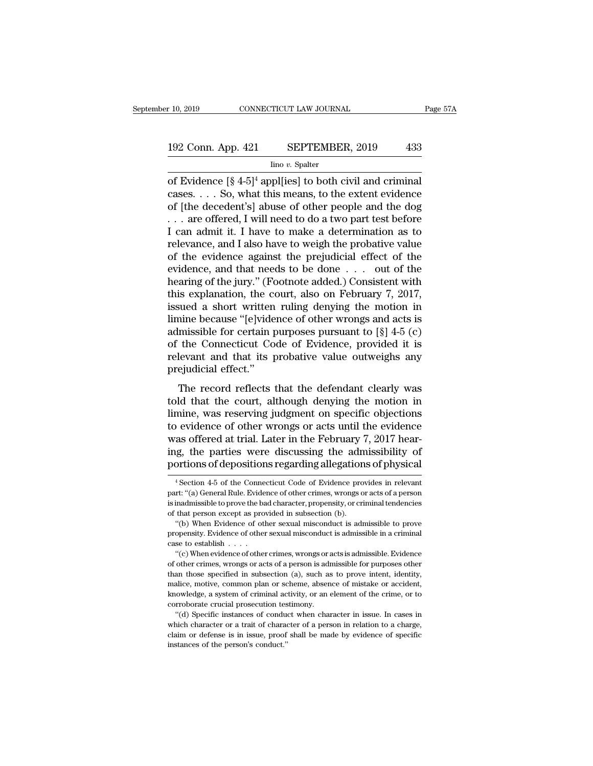# r 10, 2019 CONNECTICUT LAW JOURNAL Page 57A<br>192 Conn. App. 421 SEPTEMBER, 2019 433<br>Ino v. Spalter

Iino *v.* Spalter

F 10, 2019 CONNECTICUT LAW JOURNAL Page 5'<br>
192 Conn. App. 421 SEPTEMBER, 2019 433<br>
Ino v. Spalter<br>
of Evidence  $[\S 4-5]^4$  appl[ies] to both civil and criminal<br>
cases. . . . So, what this means, to the extent evidence<br>
of 192 Conn. App. 421 SEPTEMBER, 2019 433<br>  $\frac{100 \text{ eV}}{100 \text{ eV}}$  Spalter<br>
of Evidence  $[\frac{8}{4} - 5]^4$  appl[ies] to both civil and criminal<br>
cases. . . . So, what this means, to the extent evidence<br>
of [the decedent's] abus 192 Conn. App. 421 SEPTEMBER, 2019 433<br>  $\frac{\text{line }v. \text{ Spalter}}{\text{of Evidence } [\frac{8}{2}4-5]^4 \text{ appliles}]}$  to both civil and criminal cases. . . . So, what this means, to the extent evidence of [the decedent's] abuse of other people and the dog 192 Conn. App. 421 SEPTEMBER, 2019 433<br>  $\frac{1}{2}$  ino v. Spalter<br>
of Evidence  $[\frac{8}{2}4-5]^4$  appl[ies] to both civil and criminal<br>
cases. . . . So, what this means, to the extent evidence<br>
of [the decedent's] abuse of oth Internal and the v. Spaler<br>Internal and criminal<br>cases. . . . So, what this means, to the extent evidence<br>of [the decedent's] abuse of other people and the dog<br>. . . are offered, I will need to do a two part test before<br>I  $\frac{\ln 6 v. \text{ Spalter}}{\ln 6 v. \text{ Spatter}}$ <br>
of Evidence [§ 4-5]<sup>4</sup> appl[ies] to both civil and criminal<br>
cases. . . . So, what this means, to the extent evidence<br>
of [the decedent's] abuse of other people and the dog<br>
. . . are offered of Evidence  $[\S 4-5]^4$  appl[ies] to both civil and criminal<br>cases.... So, what this means, to the extent evidence<br>of [the decedent's] abuse of other people and the dog<br>... are offered, I will need to do a two part test be cases. . . . So, what this means, to the extent evidence<br>of [the decedent's] abuse of other people and the dog<br>. . . are offered, I will need to do a two part test before<br>I can admit it. I have to make a determination as of [the decedent's] abuse of other people and the dog<br>  $\dots$  are offered, I will need to do a two part test before<br>
I can admit it. I have to make a determination as to<br>
relevance, and I also have to weigh the probative va ... are offered, I will need to do a two part test before<br>I can admit it. I have to make a determination as to<br>relevance, and I also have to weigh the probative value<br>of the evidence against the prejudicial effect of the<br>e I can admit it. I have to make a determination as to<br>relevance, and I also have to weigh the probative value<br>of the evidence against the prejudicial effect of the<br>evidence, and that needs to be done . . . out of the<br>heari relevance, and I also have to weigh the probative value<br>of the evidence against the prejudicial effect of the<br>evidence, and that needs to be done . . . out of the<br>hearing of the jury." (Footnote added.) Consistent with<br>th of the evidence against the prejudicial effect of the<br>evidence, and that needs to be done . . . out of the<br>hearing of the jury." (Footnote added.) Consistent with<br>this explanation, the court, also on February 7, 2017,<br>iss evidence, and that needs to be done . . . out of the<br>hearing of the jury." (Footnote added.) Consistent with<br>this explanation, the court, also on February 7, 2017,<br>issued a short written ruling denying the motion in<br>limin hearing of the jury." (Footnote added.) Consistent with<br>this explanation, the court, also on February 7, 2017,<br>issued a short written ruling denying the motion in<br>limine because "[e]vidence of other wrongs and acts is<br>adm this explanation, the consisted a short written<br>limine because "[e]vide<br>admissible for certain p<br>of the Connecticut Co<br>relevant and that its p<br>prejudicial effect."<br>The record reflects Fig. 2.1 and that the connection is also that the connection of the connection purposes pursuant to  $[\S]$  4-5 (c) the Connecticut Code of Evidence, provided it is levant and that its probative value outweighs any ejudicia mante because  $\alpha$  reproached to other wrongs and acts is<br>admissible for certain purposes pursuant to  $\lceil \S \rceil$  4-5 (c)<br>of the Connecticut Code of Evidence, provided it is<br>relevant and that its probative value outweighs

damission for ecrtain purposes pursuant to  $[s]$  +9 (e)<br>of the Connecticut Code of Evidence, provided it is<br>relevant and that its probative value outweighs any<br>prejudicial effect."<br>The record reflects that the defendant cl of the conflected code of Evidence, provided it is<br>relevant and that its probative value outweighs any<br>prejudicial effect."<br>The record reflects that the defendant clearly was<br>told that the court, although denying the motio referent and that its probative value outwerghs any<br>prejudicial effect."<br>The record reflects that the defendant clearly was<br>told that the court, although denying the motion in<br>limine, was reserving judgment on specific obj The record reflects that the defendant clearly was<br>told that the court, although denying the motion in<br>limine, was reserving judgment on specific objections<br>to evidence of other wrongs or acts until the evidence<br>was offere The record reflects that the defendant clearly was<br>told that the court, although denying the motion in<br>limine, was reserving judgment on specific objections<br>to evidence of other wrongs or acts until the evidence<br>was offer evidence of other wrongs or acts until the evidence<br>as offered at trial. Later in the February 7, 2017 hear-<br>ig, the parties were discussing the admissibility of<br>ortions of depositions regarding allegations of physical<br><sup>4</sup> was offered at trial. Later in the February 7, 2017 hearing, the parties were discussing the admissibility of portions of depositions regarding allegations of physical  $\frac{4}{1}$  Section 4-5 of the Connecticut Code of Evid

ing, the parties were discussing the admissibility of<br>portions of depositions regarding allegations of physical<br><sup>4</sup>Section 4-5 of the Connecticut Code of Evidence provides in relevant<br>part: "(a) General Rule. Evidence of o portions of depositions regarding allegations of physical<br>
<sup>4</sup> Section 4-5 of the Connecticut Code of Evidence provides in relevant<br>
part: "(a) General Rule. Evidence of other crimes, wrongs or acts of a person<br>
is inadmis <sup>4</sup> Section 4-5 of the Connecticut Code of Evidence provides in relevant<br>
<sup>4</sup> Section 4-5 of the Connecticut Code of Evidence provides in relevant<br>
rt: "(a) General Rule. Evidence of other crimes, wrongs or acts of a perso <sup>4</sup> Section 4-5 of the Connecticut Code of Evidence provides in relevant part: "(a) General Rule. Evidence of other crimes, wrongs or acts of a person is inadmissible to prove the bad character, propensity, or criminal te part: "(a) General Rule. Evidence of other crimes, wrongs or acts of a person<br>is inadmissible to prove the bad character, propensity, or criminal tendencies<br>of that person except as provided in subsection (b).<br>"(b) When E

The distribution of the bad character, propensity, or criminal tendencies<br>that person except as provided in subsection (b).<br>"(b) When Evidence of other sexual misconduct is admissible to prove<br>opensity. Evidence of other s

of that person except as provided in subsection (b).<br>
"(b) When Evidence of other sexual misconduct is admissible to prove<br>
propensity. Evidence of other sexual misconduct is admissible in a criminal<br>
case to establish . "(b) When Evidence of other sexual misconduct is admissible to prove<br>propensity. Evidence of other sexual misconduct is admissible in a criminal<br>case to establish . . . .<br>"(c) When evidence of other crimes, wrongs or acts propensity. Evidence of other sexual misconduct is admissible in a criminal case to establish . . . . "(c) When evidence of other crimes, wrongs or acts is admissible. Evidence of other crimes, wrongs or acts of a person i knowledge, a system of criminal activity, or an element of the crime, or to "(c) When evidence of other crimes, wrongs or a<br>"(c) When evidence of other crimes, wrongs or a<br>do fother crimes, wrongs or acts of a person is admained than those specified in subsection (a), such as<br>malice, motive, commo (c) means, wrongs or acts of a person is admissible for purposes other other crimes, wrongs or acts of a person is admissible for purposes other an those specified in subsection (a), such as to prove intent, identity, alic or a trait of character or a trait of character or a person in relation of a person in than those specified in subsection (a), such as to prove intent, identity, malice, motive, common plan or scheme, absence of mistake or

malice, motive, common plan or scheme, absence of mistake or accident, knowledge, a system of criminal activity, or an element of the crime, or to corroborate crucial prosecution testimony.<br>"(d) Specific instances of condu manowledge, a system of criminal accorroborate crucial prosecution tes<br>
"(d) Specific instances of conduction the state of the person's conduction of defense is in issue, proof<br>
instances of the person's conduct."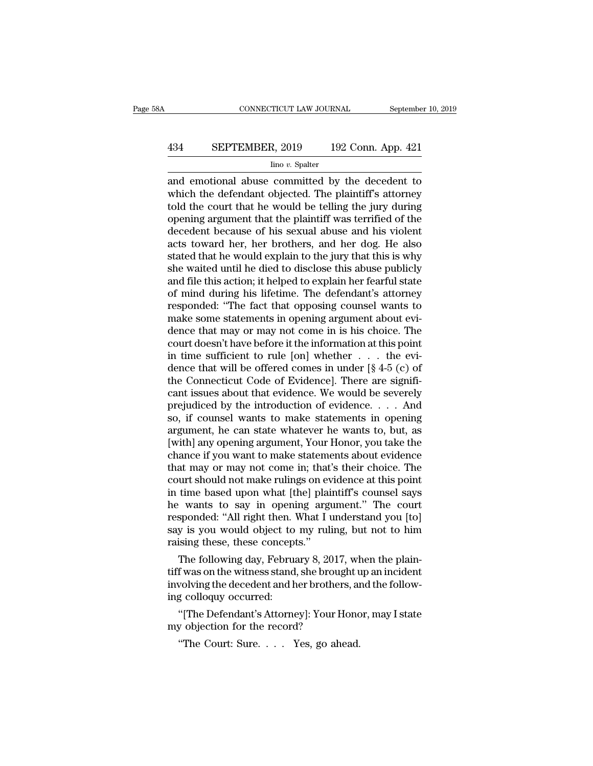# CONNECTICUT LAW JOURNAL September 10, 2019<br>434 SEPTEMBER, 2019 192 Conn. App. 421<br>100 v. Spalter

Iino *v.* Spalter

 $\begin{tabular}{ll} \multicolumn{1}{l}{{\bf CONPECTICUT LAW JOURNAL}} & \multicolumn{1}{l}{September 10, 2019} \\ \hline & \multicolumn{1}{l}{\bf 192 Conn. App. 421} \\ & \multicolumn{1}{l}{\bf 190} & \multicolumn{1}{l}{\bf 192 Conn. App. 421} \\ \hline & \multicolumn{1}{l}{\bf 190} & \multicolumn{1}{l}{\bf 192 Conn. App. 421} \\ & \multicolumn{1}{l}{\bf 190} & \multicolumn{1}{l}{\bf 192 Conn. App. 421} \\ & \multicolumn{1$ We detected. The defendant objected. The plaintiff's attorney and emotional abuse committed by the decedent to which the defendant objected. The plaintiff's attorney told the court that he would be telling the jury during  $\frac{434}{\text{C}}$  SEPTEMBER, 2019 192 Conn. App. 421<br>  $\frac{\text{C}}{\text{C}}$  ino *v*. Spalter<br>
and emotional abuse committed by the decedent to<br>
which the defendant objected. The plaintiff's attorney<br>
told the court that he would be **EPTEMBER, 2019** 192 Conn. App. 421<br>  $\frac{1}{2}$  line v. Spalter<br>
and emotional abuse committed by the decedent to<br>
which the defendant objected. The plaintiff's attorney<br>
told the court that he would be telling the jury du  $\frac{\text{line }v. \text{ Spalter}}{\text{line }v. \text{ Spalter}}$ <br>and emotional abuse committed by the decedent to<br>which the defendant objected. The plaintiff's attorney<br>told the court that he would be telling the jury during<br>opening argument that the plai  $\frac{\text{line }v. \text{ Spalter}}{\text{and emotional abuse committed by the decoder to which the defendant objected. The plaintiff's attempt to hold the court that he would be telling the jury during opening argument that the plaintiff was territorial of the decoder because of his sexual abuse and his violent acts toward her, her brothers, and her dog. He also stated that he would explain to the jury that this is why she waited until he died to disclose this abuse publicly.$ and emotional abuse committed by the decedent to<br>which the defendant objected. The plaintiff's attorney<br>told the court that he would be telling the jury during<br>opening argument that the plaintiff was terrified of the<br>deced which the defendant objected. The plaintiff's attorney<br>told the court that he would be telling the jury during<br>opening argument that the plaintiff was terrified of the<br>decedent because of his sexual abuse and his violent<br>a told the court that he would be telling the jury during<br>opening argument that the plaintiff was terrified of the<br>decedent because of his sexual abuse and his violent<br>acts toward her, her brothers, and her dog. He also<br>stat opening argument that the plaintiff was terrified of the<br>decedent because of his sexual abuse and his violent<br>acts toward her, her brothers, and her dog. He also<br>stated that he would explain to the jury that this is why<br>sh decedent because of his sexual abuse and his violent<br>acts toward her, her brothers, and her dog. He also<br>stated that he would explain to the jury that this is why<br>she waited until he died to disclose this abuse publicly<br>an acts toward her, her brothers, and her dog. He also<br>stated that he would explain to the jury that this is why<br>she waited until he died to disclose this abuse publicly<br>and file this action; it helped to explain her fearful stated that he would explain to the jury that this is why<br>she waited until he died to disclose this abuse publicly<br>and file this action; it helped to explain her fearful state<br>of mind during his lifetime. The defendant's a she waited until he died to disclose this abuse publicly<br>and file this action; it helped to explain her fearful state<br>of mind during his lifetime. The defendant's attorney<br>responded: "The fact that opposing counsel wants and file this action; it helped to explain her fearful state<br>of mind during his lifetime. The defendant's attorney<br>responded: "The fact that opposing counsel wants to<br>make some statements in opening argument about evi-<br>de of mind during his lifetime. The defendant's attorney<br>responded: "The fact that opposing counsel wants to<br>make some statements in opening argument about evi-<br>dence that may or may not come in is his choice. The<br>court does responded: "The fact that opposing counsel wants to<br>make some statements in opening argument about evi-<br>dence that may or may not come in is his choice. The<br>court doesn't have before it the information at this point<br>in ti make some statements in opening argument about evidence that may or may not come in is his choice. The court doesn't have before it the information at this point in time sufficient to rule [on] whether  $\dots$  the evidence t dence that may or may not come in is his choice. The<br>court doesn't have before it the information at this point<br>in time sufficient to rule [on] whether  $\dots$  the evi-<br>dence that will be offered comes in under [§ 4-5 (c) of court doesn't have before it the information at this point<br>in time sufficient to rule [on] whether  $\dots$  the evi-<br>dence that will be offered comes in under [§ 4-5 (c) of<br>the Connecticut Code of Evidence]. There are signifi in time sufficient to rule [on] whether  $\ldots$  the evidence that will be offered comes in under [§ 4-5 (c) of the Connecticut Code of Evidence]. There are significant issues about that evidence. We would be severely prejud dence that will be offered comes in under  $[\S 4-5$  (c) of<br>the Connecticut Code of Evidence]. There are signifi-<br>cant issues about that evidence. We would be severely<br>prejudiced by the introduction of evidence. . . . And<br>s the Connecticut Code of Evidence]. There are significant issues about that evidence. We would be severely prejudiced by the introduction of evidence. . . . And so, if counsel wants to make statements in opening argument, cant issues about that evidence. We would be severely<br>prejudiced by the introduction of evidence. . . . And<br>so, if counsel wants to make statements in opening<br>argument, he can state whatever he wants to, but, as<br>[with] an prejudiced by the introduction of evidence. . . . And<br>so, if counsel wants to make statements in opening<br>argument, he can state whatever he wants to, but, as<br>[with] any opening argument, Your Honor, you take the<br>chance if so, if counsel wants to make statements in opening<br>argument, he can state whatever he wants to, but, as<br>[with] any opening argument, Your Honor, you take the<br>chance if you want to make statements about evidence<br>that may or argument, he can state whatever he wants to, but, as<br>[with] any opening argument, Your Honor, you take the<br>chance if you want to make statements about evidence<br>that may or may not come in; that's their choice. The<br>court sh [with] any opening argument, Your Honor, you take the chance if you want to make statements about evidence that may or may not come in; that's their choice. The court should not make rulings on evidence at this point in ti chance if you want to make statements about evidence<br>that may or may not come in; that's their choice. The<br>court should not make rulings on evidence at this point<br>in time based upon what [the] plaintiff's counsel says<br>he w that may or may not come in; that<br>court should not make rulings on ev<br>in time based upon what [the] plai<br>he wants to say in opening arg<br>responded: "All right then. What I i<br>say is you would object to my ruli<br>raising these, urt should not make rulings on evidence at this point<br>time based upon what [the] plaintiff's counsel says<br>wants to say in opening argument." The court<br>sponded: "All right then. What I understand you [to]<br>y is you would obj In time based upon what [the] plaintiff s counser says<br>he wants to say in opening argument." The court<br>responded: "All right then. What I understand you [to]<br>say is you would object to my ruling, but not to him<br>raising the

ne wants to say in opening argument." The court<br>responded: "All right then. What I understand you [to]<br>say is you would object to my ruling, but not to him<br>raising these, these concepts."<br>The following day, February 8, 201 responded: All right then.<br>
say is you would object to<br>
raising these, these concept<br>
The following day, Februa<br>
tiff was on the witness stand<br>
involving the decedent and h<br>
ing colloquy occurred:<br>
"[The Defendant's Attorn ising these, these concepts."<br>The following day, February 8, 2017, when the plain-<br>f was on the witness stand, she brought up an incident<br>volving the decedent and her brothers, and the follow-<br>g colloquy occurred:<br>"[The De The following day, February 8, 2017,<br>tiff was on the witness stand, she broug<br>involving the decedent and her brothers<br>ing colloquy occurred:<br>"[The Defendant's Attorney]: Your H<br>my objection for the record?<br>"The Court: Sure f was on the witness stand, she brought under wolving the decedent and her brothers, and colloquy occurred:<br>"The Defendant's Attorney]: Your Honce objection for the record?<br>"The Court: Sure.... Yes, go ahead.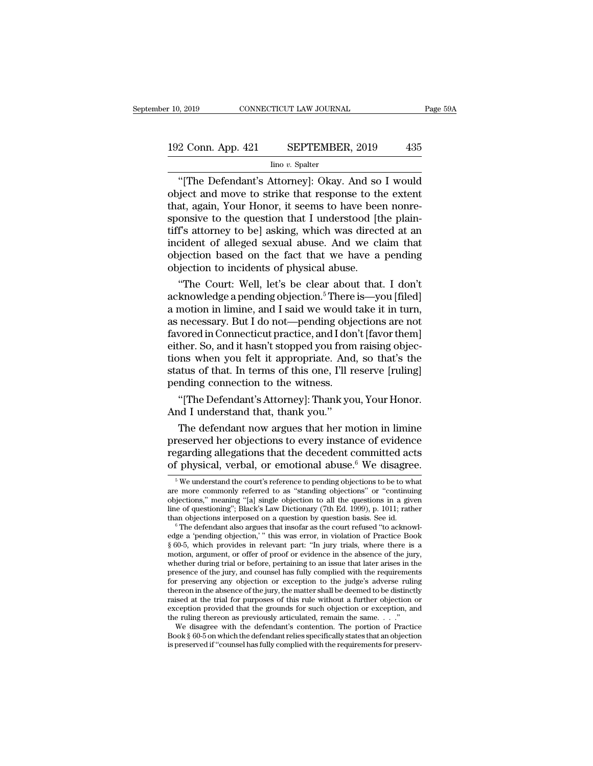# 192 Conn. App. 421 SEPTEMBER, 2019 <sup>435</sup>

### Iino *v.* Spalter

<sup>2</sup> Conn. App. 421 SEPTEMBER, 2019 435<br>
<sup>1</sup> Ino *v*. Spalter<br>
<sup>1</sup> The Defendant's Attorney]: Okay. And so I would<br>
19 ino *v*. Spalter<br>
19 ino *v*. Spalter<br>
19 in *V*our Honor, it somes to bayo boop nonrote that attended t 192 Conn. App. 421 SEPTEMBER, 2019 435<br>
lino v. Spalter<br>
"[The Defendant's Attorney]: Okay. And so I would<br>
object and move to strike that response to the extent<br>
that, again, Your Honor, it seems to have been nonre-<br>
spon 192 Conn. App. 421 SEPTEMBER, 2019 435<br>  $\frac{\text{line }v. \text{ Spalter}}{\text{line }v. \text{ Spalter}}$  (The Defendant's Attorney]: Okay. And so I would<br>
object and move to strike that response to the extent<br>
that, again, Your Honor, it seems to have bee 192 Conn. App. 421 SEPTEMBER, 2019 435<br>  $\frac{1}{2}$  Imo v. Spalter<br>
"[The Defendant's Attorney]: Okay. And so I would<br>
object and move to strike that response to the extent<br>
that, again, Your Honor, it seems to have been no The Defendant's Attorney]: Okay. And so I would<br>object and move to strike that response to the extent<br>that, again, Your Honor, it seems to have been nonre-<br>sponsive to the question that I understood [the plain-<br>tiff's att <sup>lino v.</sup> Spalter<br>
"[The Defendant's Attorney]: Okay. And so I would<br>
object and move to strike that response to the extent<br>
that, again, Your Honor, it seems to have been nonre-<br>
sponsive to the question that I understood "[The Defendant's Attorney]: Okay. And so I would<br>object and move to strike that response to the extent<br>that, again, Your Honor, it seems to have been nonre-<br>sponsive to the question that I understood [the plain-<br>tiff's at object and move to strike that response to the extent<br>that, again, Your Honor, it seems to have been nonre-<br>sponsive to the question that I understood [the plain-<br>tiff's attorney to be] asking, which was directed at an<br>in at, again, Your Honor, it seems to have been nonre-<br>onsive to the question that I understood [the plain-<br>f's attorney to be] asking, which was directed at an<br>cident of alleged sexual abuse. And we claim that<br>jection based sponsive to the question that I understood [the plain-<br>tiff's attorney to be] asking, which was directed at an<br>incident of alleged sexual abuse. And we claim that<br>objection based on the fact that we have a pending<br>objectio

tiff's attorney to be] asking, which was directed at an<br>incident of alleged sexual abuse. And we claim that<br>objection based on the fact that we have a pending<br>objection to incidents of physical abuse.<br>"The Court: Well, let incident of alleged sexual abuse. And we claim that<br>objection based on the fact that we have a pending<br>objection to incidents of physical abuse.<br>"The Court: Well, let's be clear about that. I don't<br>acknowledge a pending ob objection based on the fact that we have a pending<br>objection to incidents of physical abuse.<br>"The Court: Well, let's be clear about that. I don't<br>acknowledge a pending objection.<sup>5</sup> There is—you [filed]<br>a motion in limine, objection to incidents of physical abuse.<br>
"The Court: Well, let's be clear about that. I don't<br>
acknowledge a pending objection.<sup>5</sup> There is—you [filed]<br>
a motion in limine, and I said we would take it in turn,<br>
as necess "The Court: Well, let's be clear about that. I don't<br>acknowledge a pending objection.<sup>5</sup> There is—you [filed]<br>a motion in limine, and I said we would take it in turn,<br>as necessary. But I do not—pending objections are not<br>f acknowledge a pending objection.<sup>5</sup> There is—you [filed]<br>a motion in limine, and I said we would take it in turn,<br>as necessary. But I do not—pending objections are not<br>favored in Connecticut practice, and I don't [favor th a motion in limine, and I said we would that as necessary. But I do not—pending obje favored in Connecticut practice, and I don<br>either. So, and it hasn't stopped you from<br>tions when you felt it appropriate. And<br>status of t necessary. But I do not—pending objections are not<br>vored in Connecticut practice, and I don't [favor them]<br>ther. So, and it hasn't stopped you from raising objec-<br>ons when you felt it appropriate. And, so that's the<br>attus favored in Connecticut practice, and I doi<br>either. So, and it hasn't stopped you from<br>tions when you felt it appropriate. And<br>status of that. In terms of this one, I'll r<br>pending connection to the witness.<br>"[The Defendant' The defendant is supplyed you hold raising objections when you felt it appropriate. And, so that's the attus of that. In terms of this one, I'll reserve [ruling] inding connection to the witness.<br>"[The Defendant's Attorney

preserved her objections to every instance of evidence of the set of that. In terms of this one, I'll reserve [ruling]<br>pending connection to the witness.<br>"[The Defendant's Attorney]: Thank you, Your Honor.<br>And I understan states of that. In terms of this one, The reserve plaints<br>pending connection to the witness.<br>"[The Defendant's Attorney]: Thank you, Your Honor.<br>And I understand that, thank you."<br>The defendant now argues that her motion i "The Defendant's Attorney]: Thank you, Your Honor.<br>And I understand that, thank you."<br>The defendant now argues that her motion in limine<br>preserved her objections to every instance of evidence<br>regarding allegations that th The defendant now argues that her motion in limine<br>reserved her objections to every instance of evidence<br>garding allegations that the decedent committed acts<br>f physical, verbal, or emotional abuse.<sup>6</sup> We disagree.<br> $\frac{5}{8$ preserved her objections to every instance of evidence<br>regarding allegations that the decedent committed acts<br>of physical, verbal, or emotional abuse.<sup>6</sup> We disagree.<br><sup>5</sup> We understand the court's reference to pending obj

regarding allegations that the decedent committed acts<br>of physical, verbal, or emotional abuse.<sup>6</sup> We disagree.<br> $\frac{1}{\sqrt{6}}$  We understand the court's reference to pending objections to be to what<br>are more commonly referr regarding allegations that the decedent committed acts<br>of physical, verbal, or emotional abuse.<sup>6</sup> We disagree.<br><sup>5</sup> We understand the court's reference to pending objections to be to what<br>are more commonly referred to as " of physical, verbal, or emotional abuse.<sup>6</sup> We disagree.<br>
<sup>5</sup> We understand the court's reference to pending objections to be to what<br>
are more commonly referred to as "standing objections" or "continuing<br>
objections," me <sup>5</sup> We understand the court's reference to pending objections to be to what are more commonly referred to as "standing objections" or "continuing objections," meaning "[a] single objection to all the questions in a given

are more commonly referred to as "standing objections" or "continuing<br>objections," meaning "[a] single objection to all the questions in a given<br>line of questioning"; Black's Law Dictionary (7th Ed. 1999), p. 1011; rather<br> objections," meaning "[a] single objection to all the questions in a given<br>line of questioning"; Black's Law Dictionary (7th Ed. 1999), p. 1011; rather<br>than objections interposed on a question by question basis. See id.<br>
<sup></sup> line of questioning"; Black's Law Dictionary (7th Ed. 1999), p. 1011; rather than objections interposed on a question by question basis. See id.<br>  $\degree$  The defendant also argues that insofar as the court refused "to acknow <sup>6</sup> The defendant also argues that insofar as the court refused "to acknowledge a 'pending objection," this was error, in violation of Practice Book § 60-5, which provides in relevant part: "In jury trials, where there is <sup>6</sup> The defendant also argues that insofar as the court refused "to acknowledge a 'pending objection,'" this was error, in violation of Practice Book § 60-5, which provides in relevant part: "In jury trials, where there i edge a 'pending objection,' " this was error, in violation of Practice Book § 60-5, which provides in relevant part: "In jury trials, where there is a motion, argument, or offer of proof or evidence in the absence of the j raised at the trial for purposes of this rule without a further objection or exception provided that the grounds for such objection or exception, and the ruling thereon as previously articulated, remain the same.  $\ldots$ ." motion, argument, or offer of proof or evidence in the absence of the jury, whether during trial or before, pertaining to an issue that later arises in the presence of the jury, and counsel has fully complied with the req whether during trial or before, pertaining to an issue that later arises in the presence of the jury, and counsel has fully complied with the requirement for preserving any objection or exception to the judge's adverse ru esence of the jury, and counsel has fully complied with the requirements<br>r preserving any objection or exception to the judge's adverse ruling<br>ereon in the absence of the jury, the matter shall be deemed to be distinctly<br> for preserving any objection or exception to the judge's adverse ruling<br>thereon in the absence of the jury, the matter shall be deemed to be distinctly<br>raised at the trial for purposes of this rule without a further objec thereon in the absence of the jury, the matter shall be deemed to be distinctly raised at the trial for purposes of this rule without a further objection or exception provided that the grounds for such objection or except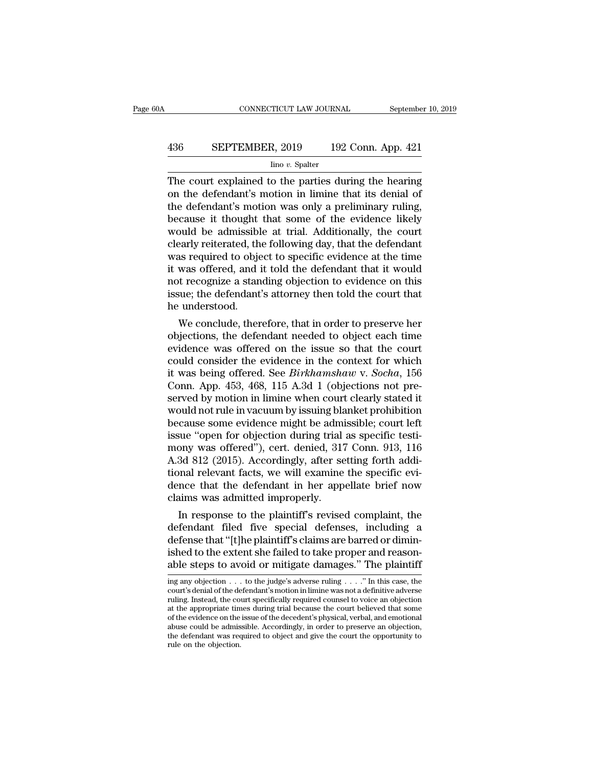# CONNECTICUT LAW JOURNAL September 10, 2019<br>436 SEPTEMBER, 2019 192 Conn. App. 421<br>100 v. Spalter

### Iino *v.* Spalter

CONNECTICUT LAW JOURNAL September 10, 2019<br>  $\begin{array}{r} \text{36} \text{SEPTEMBER, } 2019 \text{ 192 Conn. App. 421} \\ \text{line } v. \text{ Spalter} \\ \hline \end{array}$ <br>
The court explained to the parties during the hearing<br>
on the defendant's motion in limine that its denial **EXEMBER, 2019** 192 Conn. App. 421<br>  $\frac{\text{line }v. \text{ Spalter}}{\text{line }v. \text{ Spalter}}$ <br>
The court explained to the parties during the hearing<br>
on the defendant's motion in limine that its denial of<br>
the defendant's motion was only a prelimin 436 SEPTEMBER, 2019 192 Conn. App. 421<br>  $\frac{\text{line }v. \text{ Spalter}}{\text{line }v. \text{ Spalter}}$ <br>
The court explained to the parties during the hearing<br>
on the defendant's motion in limine that its denial of<br>
the defendant's motion was only a prel **EXEPTEMBER, 2019** 192 Conn. App. 421<br>  $\frac{1}{2}$  Ino v. Spalter<br>
The court explained to the parties during the hearing<br>
on the defendant's motion in limine that its denial of<br>
the defendant's motion was only a preliminary The court explained to the parties during the hearing<br>on the defendant's motion in limine that its denial of<br>the defendant's motion was only a preliminary ruling,<br>because it thought that some of the evidence likely<br>would  $\frac{\text{Im } \sigma v. \text{ Spalter}}{\text{Im } \sigma v. \text{ Spatter}}$ <br>The court explained to the parties during the hearing<br>on the defendant's motion in limine that its denial of<br>the defendant's motion was only a preliminary ruling,<br>because it thought that The court explained to the parties during the hearing<br>on the defendant's motion in limine that its denial of<br>the defendant's motion was only a preliminary ruling,<br>because it thought that some of the evidence likely<br>would b on the defendant's motion in limine that its denial of<br>the defendant's motion was only a preliminary ruling,<br>because it thought that some of the evidence likely<br>would be admissible at trial. Additionally, the court<br>clearly the defendant's motion was only a preliminary ruling,<br>because it thought that some of the evidence likely<br>would be admissible at trial. Additionally, the court<br>clearly reiterated, the following day, that the defendant<br>was because it thought that some of the evidence likely<br>would be admissible at trial. Additionally, the court<br>clearly reiterated, the following day, that the defendant<br>was required to object to specific evidence at the time<br>it would be admissible<br>clearly reiterated, th<br>was required to obje<br>it was offered, and i<br>not recognize a stan<br>issue; the defendant<br>he understood.<br>We conclude, ther early retierated, the following day, that the defendant<br>as required to object to specific evidence at the time<br>was offered, and it told the defendant that it would<br>t recognize a standing objection to evidence on this<br>sue; was required to object to specific evidence at the time<br>it was offered, and it told the defendant that it would<br>not recognize a standing objection to evidence on this<br>issue; the defendant's attorney then told the court tha

It was offered, and it told the defendant that it would<br>not recognize a standing objection to evidence on this<br>issue; the defendant's attorney then told the court that<br>he understood.<br>We conclude, therefore, that in order t not recognize a standing objection to evidence on this<br>issue; the defendant's attorney then told the court that<br>he understood.<br>We conclude, therefore, that in order to preserve her<br>objections, the defendant needed to obje issue; the defendant's attorney then told the court that<br>he understood.<br>We conclude, therefore, that in order to preserve her<br>objections, the defendant needed to object each time<br>evidence was offered on the issue so that t We conclude, therefore, that in order to preserve her<br>objections, the defendant needed to object each time<br>evidence was offered on the issue so that the court<br>could consider the evidence in the context for which<br>it was bei We conclude, therefore, that in order to preserve her objections, the defendant needed to object each time evidence was offered on the issue so that the court could consider the evidence in the context for which it was bei objections, the defendant needed to object each time<br>evidence was offered on the issue so that the court<br>could consider the evidence in the context for which<br>it was being offered. See *Birkhamshaw* v. *Socha*, 156<br>Conn. Ap evidence was offered on the issue so that the court<br>could consider the evidence in the context for which<br>it was being offered. See *Birkhamshaw* v. *Socha*, 156<br>Conn. App. 453, 468, 115 A.3d 1 (objections not pre-<br>served b could consider the evidence in the context for which<br>it was being offered. See *Birkhamshaw* v. *Socha*, 156<br>Conn. App. 453, 468, 115 A.3d 1 (objections not pre-<br>served by motion in limine when court clearly stated it<br>wou it was being offered. See *Birkhamshaw* v. *Socha*, 156<br>Conn. App. 453, 468, 115 A.3d 1 (objections not pre-<br>served by motion in limine when court clearly stated it<br>would not rule in vacuum by issuing blanket prohibition<br>b Conn. App. 453, 468, 115 A.3d 1 (objections not preserved by motion in limine when court clearly stated it would not rule in vacuum by issuing blanket prohibition because some evidence might be admissible; court left issue served by motion in limine when court clearly stated it would not rule in vacuum by issuing blanket prohibition<br>because some evidence might be admissible; court left<br>issue "open for objection during trial as specific testi would not rule in vacuum by issuing blanket prohibition<br>because some evidence might be admissible; court left<br>issue "open for objection during trial as specific testi-<br>mony was offered"), cert. denied, 317 Conn. 913, 116<br>A because some evidence might be adminissue "open for objection during trial<br>mony was offered"), cert. denied, 317<br>A.3d 812 (2015). Accordingly, after se<br>tional relevant facts, we will examine<br>dence that the defendant in her sue open for objection during trial as specific testi-<br>
In a small control of the planning of the planning forth addi-<br>
In relevant facts, we will examine the specific evi-<br>
Ince that the defendant in her appellate brief n mony was oriered"), cert. denied, 317 Conn. 913, 116<br>A.3d 812 (2015). Accordingly, after setting forth addi-<br>tional relevant facts, we will examine the specific evi-<br>dence that the defendant in her appellate brief now<br>cla

A.3d 812 (2015). Accordingly, after setting forth additional relevant facts, we will examine the specific evidence that the defendant in her appellate brief now claims was admitted improperly.<br>In response to the plaintiff' tional relevant racts, we will examine the specific evidence that the defendant in her appellate brief now claims was admitted improperly.<br>In response to the plaintiff's revised complaint, the defendant filed five special definition and the defendant in the appenate orier now<br>claims was admitted improperly.<br>In response to the plaintiff's revised complaint, the<br>defendant filed five special defenses, including a<br>defense that "[t]he plaintiff defendant filed five special defenses, including a<br>defense that "[t]he plaintiff's claims are barred or dimin-<br>ished to the extent she failed to take proper and reason-<br>able steps to avoid or mitigate damages." The plaint defense that "[t]he plaintiff's claims are barred or diminished to the extent she failed to take proper and reasonable steps to avoid or mitigate damages." The plaintiff ing any objection  $\dots$  to the judge's adverse rulin

ished to the extent she failed to take proper and reasonable steps to avoid or mitigate damages." The plaintiff ing any objection  $\dots$  to the judge's adverse ruling  $\dots$ ." In this case, the court's denial of the defendant ished to the extent she failed to take proper and reason-<br>able steps to avoid or mitigate damages." The plaintiff<br>imag any objection  $\dots$  to the judge's adverse ruling  $\dots$ ." In this case, the<br>court's denial of the defend able steps to avoid or mitigate damages." The plaintiff<br>ing any objection  $\dots$  to the judge's adverse ruling  $\dots$ ." In this case, the<br>court's denial of the defendant's motion in limine was not a definitive adverse<br>ruling. ing any objection . . . to the judge's adverse ruling . . . . " In this case, the court's denial of the defendant's motion in limine was not a definitive adverse ruling. Instead, the court specifically required counsel to ing any objection  $\ldots$  to the judge's adverse ruling  $\ldots$ ." In this case, the court's denial of the defendant's motion in limine was not a definitive adverse ruling. Instead, the court specifically required counsel to v ruling. Instead, the court specifically required counsel to voice an objection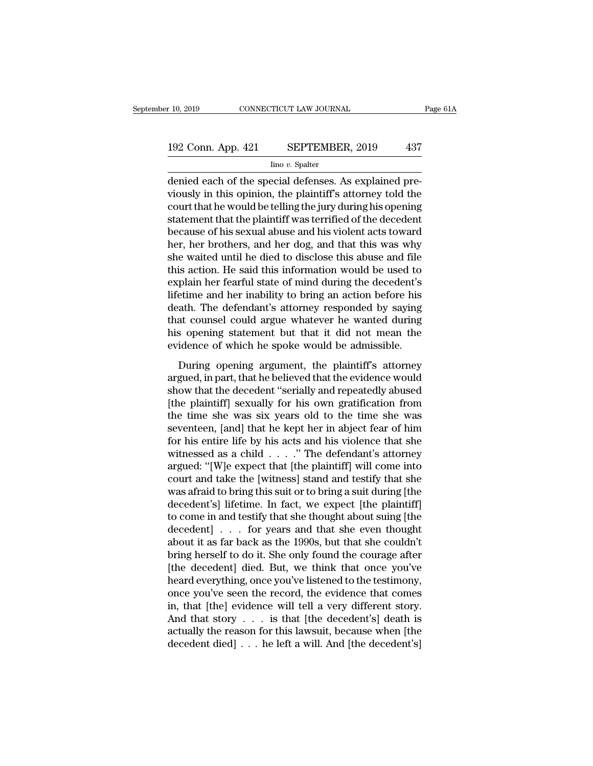# $\begin{array}{r} \text{10, 2019} \end{array}$  CONNECTICUT LAW JOURNAL Page 61A<br>192 Conn. App. 421 SEPTEMBER, 2019 437<br>192 Conn. App. 421 SEPTEMBER, 2019 437

Iino *v.* Spalter

r 10, 2019 CONNECTICUT LAW JOURNAL<br>
192 Conn. App. 421 SEPTEMBER, 2019 437<br>
<sup>Ino v.</sup> Spalter<br>
denied each of the special defenses. As explained pre-<br>
viously in this opinion, the plaintiff's attorney told the<br>
court that b 192 Conn. App. 421 SEPTEMBER, 2019 437<br>
Imo v. Spatter<br>
denied each of the special defenses. As explained previously in this opinion, the plaintiff's attorney told the<br>
court that he would be telling the jury during his op 192 Conn. App. 421 SEPTEMBER, 2019 437<br>  $\frac{\text{line }v. \text{ Spalter}}{\text{denied each of the special defenses. As explained previously in this opinion, the plaintiff's attempt told the court that he would be telling the jury during his opening statement that the plaintiff was territorial of the decoder to be a good bit violent acts toward$ 192 Conn. App. 421 SEPTEMBER, 2019 437<br>  $\frac{1}{2}$  Ino *v*. Spalter<br>
denied each of the special defenses. As explained previously in this opinion, the plaintiff's attorney told the<br>
court that he would be telling the jury Frame of the special defenses. As explained previously in this opinion, the plaintiff's attorney told the court that he would be telling the jury during his opening statement that the plaintiff was terrified of the deceden  $\frac{\text{Im } \text{o } v. \text{ Spatter}}{\text{denied each of the special defenses. As explained previously in this opinion, the plaintiff's attempt told the court that he would be telling the jury during his opening statement that the plaintiff was territorial of the decoder because of his sexual abuse and his violent acts toward her, her brothers, and her dog, and that this was why she waited until he died to disclose this abuse and file this action. Ho said this information would be used to$ denied each of the special defenses. As explained pre-<br>viously in this opinion, the plaintiff's attorney told the<br>court that he would be telling the jury during his opening<br>statement that the plaintiff was terrified of the viously in this opinion, the plaintiff's attorney told the<br>court that he would be telling the jury during his opening<br>statement that the plaintiff was terrified of the decedent<br>because of his sexual abuse and his violent a court that he would be telling the jury during his opening<br>statement that the plaintiff was terrified of the decedent<br>because of his sexual abuse and his violent acts toward<br>her, her brothers, and her dog, and that this wa statement that the plaintiff was terrified of the decedent<br>because of his sexual abuse and his violent acts toward<br>her, her brothers, and her dog, and that this was why<br>she waited until he died to disclose this abuse and f because of his sexual abuse and his violent acts toward<br>her, her brothers, and her dog, and that this was why<br>she waited until he died to disclose this abuse and file<br>this action. He said this information would be used to<br> her, her brothers, and her dog, and that this was why<br>she waited until he died to disclose this abuse and file<br>this action. He said this information would be used to<br>explain her fearful state of mind during the decedent's<br> she waited until he died to disclose this abuse and file<br>this action. He said this information would be used to<br>explain her fearful state of mind during the decedent's<br>lifetime and her inability to bring an action before h this action. He said this information would be used to explain her fearful state of mind during the decedent's lifetime and her inability to bring an action before his death. The defendant's attorney responded by saying th plant her tearm state of hand dating are decedents<br>etime and her inability to bring an action before his<br>ath. The defendant's attorney responded by saying<br>at counsel could argue whatever he wanted during<br>s opening statemen metallic that her matching to oring the teach octobe his<br>death. The defendant's attorney responded by saying<br>that counsel could argue whatever he wanted during<br>his opening statement but that it did not mean the<br>evidence of

show that counsel could argue whatever he wanted during<br>his opening statement but that it did not mean the<br>evidence of which he spoke would be admissible.<br>During opening argument, the plaintiff's attorney<br>argued, in part, his opening statement but that it did not mean the evidence of which he spoke would be admissible.<br>
During opening argument, the plaintiff's attorney<br>
argued, in part, that he believed that the evidence would<br>
show that th the vidence of which he spoke would be admissible.<br>
During opening argument, the plaintiff's attorney<br>
argued, in part, that he believed that the evidence would<br>
show that the decedent "serially and repeatedly abused<br>
[the During opening argument, the plaintiff's attorney<br>argued, in part, that he believed that the evidence would<br>show that the decedent "serially and repeatedly abused<br>[the plaintiff] sexually for his own gratification from<br>the During opening argument, the plaintiff's attorney<br>argued, in part, that he believed that the evidence would<br>show that the decedent "serially and repeatedly abused<br>[the plaintiff] sexually for his own gratification from<br>th argued, in part, that he believed that the evidence would<br>show that the decedent "serially and repeatedly abused<br>[the plaintiff] sexually for his own gratification from<br>the time she was six years old to the time she was<br>se show that the decedent "serially and repeatedly abused<br>[the plaintiff] sexually for his own gratification from<br>the time she was six years old to the time she was<br>seventeen, [and] that he kept her in abject fear of him<br>for [the plaintiff] sexually for his own gratification from<br>the time she was six years old to the time she was<br>seventeen, [and] that he kept her in abject fear of him<br>for his entire life by his acts and his violence that she<br> the time she was six years old to the time she was seventeen, [and] that he kept her in abject fear of him<br>for his entire life by his acts and his violence that she<br>witnessed as a child  $\ldots$ ." The defendant's attorney<br>ar seventeen, [and] that he kept her in abject fear of him<br>for his entire life by his acts and his violence that she<br>witnessed as a child  $\ldots$ ." The defendant's attorney<br>argued: "[W]e expect that [the plaintiff] will come i for his entire life by his acts and his violence that she<br>witnessed as a child . . . . " The defendant's attorney<br>argued: "[W]e expect that [the plaintiff] will come into<br>court and take the [witness] stand and testify tha witnessed as a child . . . ." The defendant's attorney<br>argued: "[W]e expect that [the plaintiff] will come into<br>court and take the [witness] stand and testify that she<br>was afraid to bring this suit or to bring a suit duri argued: "[W]e expect that [the plaintiff] will come into court and take the [witness] stand and testify that she was afraid to bring this suit or to bring a suit during [the decedent's] lifetime. In fact, we expect [the p court and take the [witness] stand and testify that she<br>was afraid to bring this suit or to bring a suit during [the<br>decedent's] lifetime. In fact, we expect [the plaintiff]<br>to come in and testify that she thought about su was afraid to bring this suit or to bring a suit during [the decedent's] lifetime. In fact, we expect [the plaintiff] to come in and testify that she thought about suing [the decedent]  $\ldots$  for years and that she even th decedent's] lifetime. In fact, we expect [the plaintiff]<br>to come in and testify that she thought about suing [the<br>decedent] . . . for years and that she even thought<br>about it as far back as the 1990s, but that she couldn't to come in and testify that she thought about suing [the decedent]  $\ldots$  for years and that she even thought about it as far back as the 1990s, but that she couldn't bring herself to do it. She only found the courage afte decedent] . . . for years and that she even thought<br>about it as far back as the 1990s, but that she couldn't<br>bring herself to do it. She only found the courage after<br>[the decedent] died. But, we think that once you've<br>hear about it as far back as the 1990s, but that she couldn't<br>bring herself to do it. She only found the courage after<br>[the decedent] died. But, we think that once you've<br>heard everything, once you've listened to the testimony, bring herself to do it. She only found the courage after<br>[the decedent] died. But, we think that once you've<br>heard everything, once you've listened to the testimony,<br>once you've seen the record, the evidence that comes<br>in, [the decedent] died. But, we think that once you've heard everything, once you've listened to the testimony, once you've seen the record, the evidence that comes in, that [the] evidence will tell a very different story. A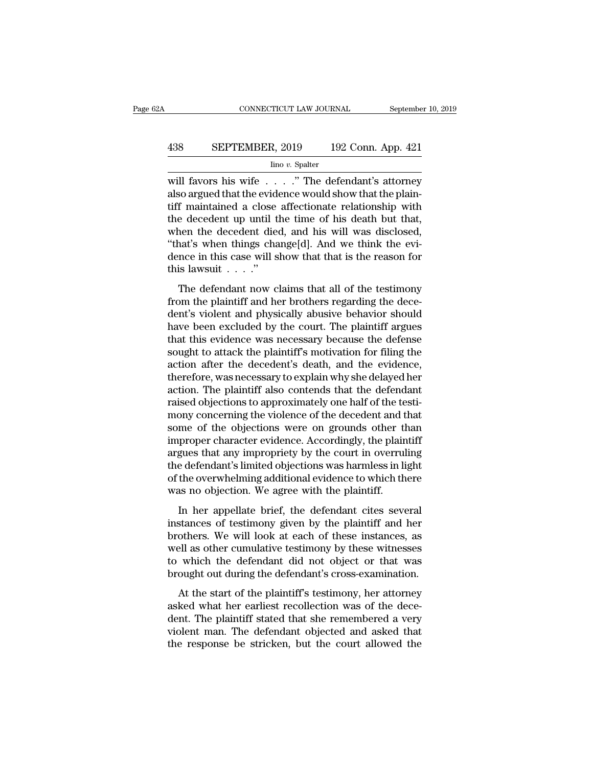# CONNECTICUT LAW JOURNAL September 10, 2019<br>438 SEPTEMBER, 2019 192 Conn. App. 421<br>100 v. Spalter

Iino *v.* Spalter

CONNECTICUT LAW JOURNAL September 10, 2019<br>
438 SEPTEMBER, 2019 192 Conn. App. 421<br>
<sup>Ino v.</sup> Spalter<br>
will favors his wife . . . . .'' The defendant's attorney<br>
also argued that the evidence would show that the plain-<br>
tif 438 SEPTEMBER, 2019 192 Conn. App. 421<br>  $\frac{1}{2}$  Inno v. Spalter<br>
will favors his wife . . . ." The defendant's attorney<br>
also argued that the evidence would show that the plain-<br>
tiff maintained a close affectionate rel 438 SEPTEMBER, 2019 192 Conn. App. 421<br>  $\frac{\text{line }v.\text{ Spalter}}{\text{will favors his wife } \dots ..}$  The defendant's attorney<br>
also argued that the evidence would show that the plain-<br>
tiff maintained a close affectionate relationship with<br>
the decedent 438 SEPTEMBER, 2019 192 Conn. App. 421<br>  $\frac{\text{line }v. \text{ Spalter}}{\text{will favors his wife } \dots \dots}$  The defendant's attorney<br>
also argued that the evidence would show that the plain-<br>
tiff maintained a close affectionate relationship with<br>
the decede For the decedent of the defendant's attorney<br>also argued that the evidence would show that the plain-<br>tiff maintained a close affectionate relationship with<br>the decedent up until the time of his death but that,<br>when the d  $\frac{\text{Im } \sigma v. \text{ Spalter}}{\text{will favors his wife } \ldots}$ ." The defendant's attorney also argued that the evidence would show that the plaintiff maintained a close affectionate relationship with the decedent up until the time of his death but that will favors his wife  $\ldots$  ." The defendant's attorney also argued that the evidence would show that the plain-<br>tiff maintained a close affectionate relationship with<br>the decedent up until the time of his death but that,<br> also argued that the evidentiff maintained a close<br>the decedent up until t<br>when the decedent die<br>"that's when things charge in this case will s<br>this lawsuit  $\ldots$ ."<br>The defendant now c Final manufactor at easie and contract relationship with<br>the decedent up until the time of his death but that,<br>nen the decedent died, and his will was disclosed,<br>nat's when things change[d]. And we think the evi-<br>nce in t From the decedent died, and his will was disclosed,<br>"that's when things change[d]. And we think the evidence in this case will show that that is the reason for<br>this lawsuit  $\ldots$ ."<br>The defendant now claims that all of the

when the three decompositions, that is with was therefore,<br>
"that's when things change[d]. And we think the evi-<br>
dence in this case will show that that is the reason for<br>
this lawsuit  $\ldots$ ."<br>
The defendant now claims th dence in this case will show that that is the reason for<br>dence in this case will show that that is the reason for<br>this lawsuit  $\ldots$ ."<br>The defendant now claims that all of the testimony<br>from the plaintiff and her brothers this lawsuit  $\ldots$ ."<br>The defendant now claims that all of the testimony<br>from the plaintiff and her brothers regarding the dece-<br>dent's violent and physically abusive behavior should<br>have been excluded by the court. The pl The defendant now claims that all of the testimony<br>from the plaintiff and her brothers regarding the dece-<br>dent's violent and physically abusive behavior should<br>have been excluded by the court. The plaintiff argues<br>that t The defendant now claims that all of the testimony<br>from the plaintiff and her brothers regarding the dece-<br>dent's violent and physically abusive behavior should<br>have been excluded by the court. The plaintiff argues<br>that th from the plaintiff and her brothers regarding the decedent's violent and physically abusive behavior should have been excluded by the court. The plaintiff argues that this evidence was necessary because the defense sought dent's violent and physically abusive behavior should<br>have been excluded by the court. The plaintiff argues<br>that this evidence was necessary because the defense<br>sought to attack the plaintiff's motivation for filing the<br>ac have been excluded by the court. The plaintiff argues<br>that this evidence was necessary because the defense<br>sought to attack the plaintiff's motivation for filing the<br>action after the decedent's death, and the evidence,<br>the that this evidence was necessary because the defense<br>sought to attack the plaintiff's motivation for filing the<br>action after the decedent's death, and the evidence,<br>therefore, was necessary to explain why she delayed her<br>a sought to attack the plaintiff's motivation for filing the<br>action after the decedent's death, and the evidence,<br>therefore, was necessary to explain why she delayed her<br>action. The plaintiff also contends that the defendant action after the decedent's death, and the evidence,<br>therefore, was necessary to explain why she delayed her<br>action. The plaintiff also contends that the defendant<br>raised objections to approximately one half of the testi-<br> therefore, was necessary to explain why she delayed her<br>action. The plaintiff also contends that the defendant<br>raised objections to approximately one half of the testi-<br>mony concerning the violence of the decedent and that action. The plaintiff also contends that the defendant<br>traised objections to approximately one half of the testi-<br>mony concerning the violence of the decedent and that<br>some of the objections were on grounds other than<br>impr raised objections to approximately one half of the testi-<br>mony concerning the violence of the decedent and that<br>some of the objections were on grounds other than<br>improper character evidence. Accordingly, the plaintiff<br>argu mony concerning the violence of the decedent and t<br>some of the objections were on grounds other the<br>improper character evidence. Accordingly, the plain<br>argues that any impropriety by the court in overrul<br>the defendant's li In the oral objections were on grounds offer than<br>the proper character evidence. Accordingly, the plaintiff<br>gues that any impropriety by the court in overruling<br>e defendant's limited objections was harmless in light<br>the ov instructure of the court in overruling<br>argues that any impropriety by the court in overruling<br>the defendant's limited objections was harmless in light<br>of the overwhelming additional evidence to which there<br>was no objection

deterministic different and the defendant's limited objections was harmless in light<br>of the overwhelming additional evidence to which there<br>was no objection. We agree with the plaintiff.<br>In her appellate brief, the defenda are detendants inhibited objections was narriacles in right<br>of the overwhelming additional evidence to which there<br>was no objection. We agree with the plaintiff.<br>In her appellate brief, the defendant cites several<br>instance of the overwhelming additional evidence to which there was no objection. We agree with the plaintiff.<br>In her appellate brief, the defendant cites several instances of testimony given by the plaintiff and her brothers. We w In her appellate brief, the defendant cites several<br>instances of testimony given by the plaintiff and her<br>brothers. We will look at each of these instances, as<br>well as other cumulative testimony by these witnesses<br>to which In the appendate strest, are determined these several stances of testimony given by the plaintiff and her others. We will look at each of these instances, as ell as other cumulative testimony by these witnesses which the d asked what her earliest recollection was of these instances, as<br>well as other cumulative testimony by these witnesses<br>to which the defendant did not object or that was<br>brought out during the defendant's cross-examination.<br>

dentifies. We will look at each of allese instances, as<br>well as other cumulative testimony by these witnesses<br>to which the defendant did not object or that was<br>brought out during the defendant's cross-examination.<br>At the s via as said calindary essainting by also whatesses<br>to which the defendant did not object or that was<br>brought out during the defendant's cross-examination.<br>At the start of the plaintiff's testimony, her attorney<br>asked what the response to which the defendant did not object of that was<br>brought out during the defendant's cross-examination.<br>At the start of the plaintiff's testimony, her attorney<br>asked what her earliest recollection was of the d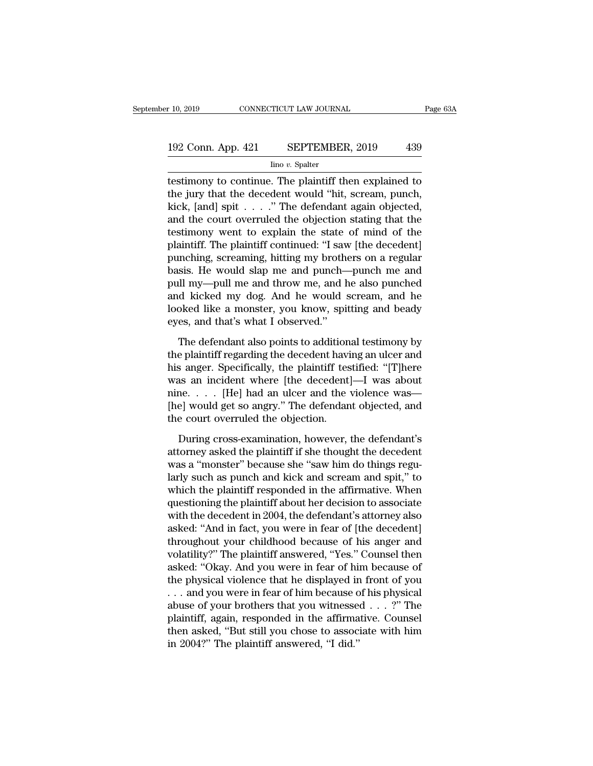# $\begin{array}{r} \text{10, 2019} \end{array}$  CONNECTICUT LAW JOURNAL Page 63A<br>192 Conn. App. 421 SEPTEMBER, 2019 439<br>192 Conn. App. 421 SEPTEMBER, 2019 439

Iino *v.* Spalter

The Fig. 2019 CONNECTICUT LAW JOURNAL Page 63A<br>
192 Conn. App. 421 SEPTEMBER, 2019 439<br>
193 Conn. App. 421 SEPTEMBER, 2019 439<br>
193 Conninue. The plaintiff then explained to<br>
the jury that the decedent would "hit, scream, 192 Conn. App. 421 SEPTEMBER, 2019 439<br>
Imo v. Spalter<br>
testimony to continue. The plaintiff then explained to<br>
the jury that the decedent would "hit, scream, punch,<br>
kick, [and] spit . . . . ." The defendant again objecte 192 Conn. App. 421 SEPTEMBER, 2019 439<br>  $\frac{\text{line }v.\text{ Spalter}}{\text{testimony to continue. The plaintiff then explained to the jury that the decoder would "hit, screen, punched, kick, [and] spirit . . . . " The defendant again objected, and the court overruled the objection stating that the totenonym worth to explain the state of mind of the$ 192 Conn. App. 421 SEPTEMBER, 2019 439<br>  $\frac{1}{2}$  Ino v. Spatter<br>
testimony to continue. The plaintiff then explained to<br>
the jury that the decedent would "hit, scream, punch,<br>
kick, [and] spit . . . . " The defendant aga  $\frac{1}{2}$  lino v. Spalter<br>
testimony to continue. The plaintiff then explained to<br>
the jury that the decedent would "hit, scream, punch,<br>
kick, [and] spit . . . . " The defendant again objected,<br>
and the court overruled t  $\frac{1}{2}$  mo *v*. spaner<br>testimony to continue. The plaintiff then explained to<br>the jury that the decedent would "hit, scream, punch,<br>kick, [and] spit . . . . ." The defendant again objected,<br>and the court overruled the o testimony to continue. The plaintiff then explained to<br>the jury that the decedent would "hit, scream, punch,<br>kick, [and] spit  $\ldots$  ." The defendant again objected,<br>and the court overruled the objection stating that the<br>t the jury that the decedent would "hit, scream, punch,<br>kick, [and] spit  $\ldots$  ." The defendant again objected,<br>and the court overruled the objection stating that the<br>testimony went to explain the state of mind of the<br>plain kick, [and] spit  $\ldots$  ." The defendant again objected,<br>and the court overruled the objection stating that the<br>testimony went to explain the state of mind of the<br>plaintiff. The plaintiff continued: "I saw [the decedent]<br>p and the court overruled the objection stating that the<br>testimony went to explain the state of mind of the<br>plaintiff. The plaintiff continued: "I saw [the decedent]<br>punching, screaming, hitting my brothers on a regular<br>basi testimony went to explain the state of mind of the<br>plaintiff. The plaintiff continued: "I saw [the decedent]<br>punching, screaming, hitting my brothers on a regular<br>basis. He would slap me and punch—punch me and<br>pull my—pull plaintiff. The plaintiff continued: "I saw<br>punching, screaming, hitting my broth<br>basis. He would slap me and punch—<br>pull my—pull me and throw me, and I<br>and kicked my dog. And he would :<br>looked like a monster, you know, spi Example, and punch—punch me and<br>sis. He would slap me and punch—punch me and<br>d kicked my dog. And he would scream, and he<br>oked like a monster, you know, spitting and beady<br>es, and that's what I observed."<br>The defendant als pull my—pull me and throw me, and he also punched<br>and kicked my dog. And he would scream, and he<br>looked like a monster, you know, spitting and beady<br>eyes, and that's what I observed."<br>The defendant also points to additiona

and kicked my dog. And he would scream, and he<br>looked like a monster, you know, spitting and beady<br>eyes, and that's what I observed."<br>The defendant also points to additional testimony by<br>the plaintiff regarding the deceden looked like a monster, you know, spitting and beady<br>eyes, and that's what I observed."<br>The defendant also points to additional testimony by<br>the plaintiff regarding the decedent having an ulcer and<br>his anger. Specifically, eyes, and that's what I observed."<br>The defendant also points to additional testimony by<br>the plaintiff regarding the decedent having an ulcer and<br>his anger. Specifically, the plaintiff testified: "[T]here<br>was an incident wh The defendant also points to additional testimony by<br>the plaintiff regarding the decedent having an ulcer and<br>his anger. Specifically, the plaintiff testified: "[T]here<br>was an incident where [the decedent]—I was about<br>nin The defendant also points to addition<br>the plaintiff regarding the decedent havi<br>his anger. Specifically, the plaintiff tes<br>was an incident where [the decedent]<br>nine. . . . [He] had an ulcer and the<br>[he] would get so angry. s anger. Specifically, the plaintiff testified: "[T]here<br>as an incident where [the decedent]—I was about<br>ne. . . . [He] had an ulcer and the violence was—<br>e] would get so angry." The defendant objected, and<br>e court overru was an incident where [the decedent]—I was about<br>nine. . . . [He] had an ulcer and the violence was—<br>[he] would get so angry." The defendant objected, and<br>the court overruled the objection.<br>During cross-examination, howev

nine. . . . [He] had an ulcer and the violence was—<br>[he] would get so angry." The defendant objected, and<br>the court overruled the objection.<br>During cross-examination, however, the defendant's<br>attorney asked the plaintiff i [he] would get so angry." The defendant objected, and<br>the court overruled the objection.<br>During cross-examination, however, the defendant's<br>attorney asked the plaintiff if she thought the decedent<br>was a "monster" because s the court overruled the objection.<br>
During cross-examination, however, the defendant's<br>
attorney asked the plaintiff if she thought the decedent<br>
was a "monster" because she "saw him do things regu-<br>
larly such as punch an During cross-examination, however, the defendant's<br>attorney asked the plaintiff if she thought the decedent<br>was a "monster" because she "saw him do things regu-<br>larly such as punch and kick and scream and spit," to<br>which t During cross-examination, however, the defendant's<br>attorney asked the plaintiff if she thought the decedent<br>was a "monster" because she "saw him do things regu-<br>larly such as punch and kick and scream and spit," to<br>which t attorney asked the plaintiff if she thought the decedent<br>was a "monster" because she "saw him do things regu-<br>larly such as punch and kick and scream and spit," to<br>which the plaintiff responded in the affirmative. When<br>que was a "monster" because she "saw him do things regularly such as punch and kick and scream and spit," to which the plaintiff responded in the affirmative. When questioning the plaintiff about her decision to associate with larly such as punch and kick and scream and spit," to<br>which the plaintiff responded in the affirmative. When<br>questioning the plaintiff about her decision to associate<br>with the decedent in 2004, the defendant's attorney als which the plaintiff responded in the affirmative. When<br>questioning the plaintiff about her decision to associate<br>with the decedent in 2004, the defendant's attorney also<br>asked: "And in fact, you were in fear of [the decede questioning the plaintiff about her decision to associate<br>with the decedent in 2004, the defendant's attorney also<br>asked: "And in fact, you were in fear of [the decedent]<br>throughout your childhood because of his anger and<br> with the decedent in 2004, the defendant's attorney also<br>asked: "And in fact, you were in fear of [the decedent]<br>throughout your childhood because of his anger and<br>volatility?" The plaintiff answered, "Yes." Counsel then<br> asked: "And in fact, you were in fear of [the decedent]<br>throughout your childhood because of his anger and<br>volatility?" The plaintiff answered, "Yes." Counsel then<br>asked: "Okay. And you were in fear of him because of<br>the p throughout your childhood because of his anger and<br>volatility?" The plaintiff answered, "Yes." Counsel then<br>asked: "Okay. And you were in fear of him because of<br>the physical violence that he displayed in front of you<br>... a volatility?" The plaintiff answered, "Yes." Counsel then<br>asked: "Okay. And you were in fear of him because of<br>the physical violence that he displayed in front of you<br>... and you were in fear of him because of his physical<br> asked: "Okay. And you were in fear of him because of<br>the physical violence that he displayed in front of you<br> $\dots$  and you were in fear of him because of his physical<br>abuse of your brothers that you witnessed  $\dots$ ?" The<br>pl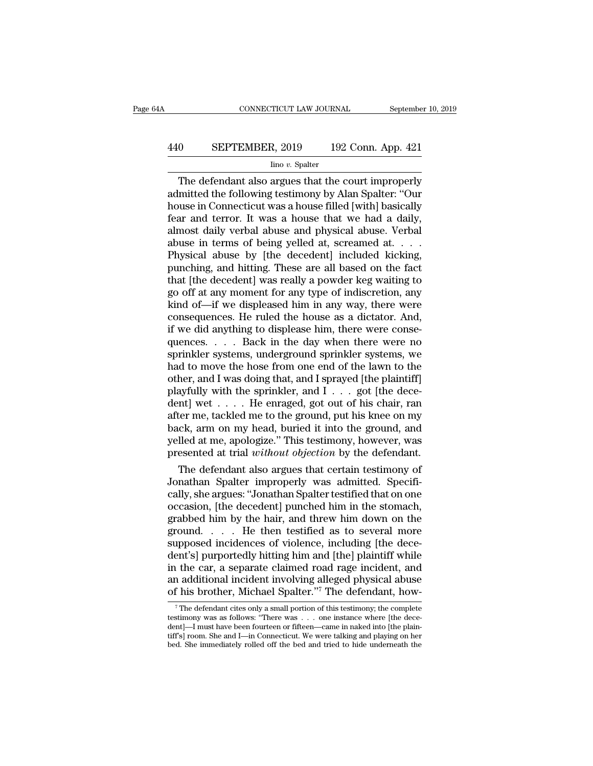# CONNECTICUT LAW JOURNAL September 10, 2019<br>440 SEPTEMBER, 2019 192 Conn. App. 421<br>100 v. Spalter

### Iino *v.* Spalter

CONNECTICUT LAW JOURNAL September 10, 2019<br>
0 SEPTEMBER, 2019 192 Conn. App. 421<br>
<sup>Ino v.</sup> Spalter<br>
The defendant also argues that the court improperly<br>
mitted the following testimony by Alan Spalter: "Our<br>
we in Connectic EPTEMBER, 2019 192 Conn. App. 421<br>
Imo v. Spalter<br>
The defendant also argues that the court improperly<br>
admitted the following testimony by Alan Spalter: "Our<br>
house in Connecticut was a house filled [with] basically<br>
fear **EXPTEMBER, 2019** 192 Conn. App. 421<br>  $\frac{\text{line }v. \text{ Spalter}}{\text{line }v. \text{ Spalter}}$ <br>
The defendant also argues that the court improperly<br>
admitted the following testimony by Alan Spalter: "Our<br>
house in Connecticut was a house filled [w FRAMER, 2019 192 Conn. App. 421<br>  $\frac{\text{line }v. \text{ Spalter}}{\text{line }v. \text{ Spalter}}$ <br>
The defendant also argues that the court improperly<br>
admitted the following testimony by Alan Spalter: "Our<br>
house in Connecticut was a house filled [with] The defendant also argues that the court improperly<br>admitted the following testimony by Alan Spalter: "Our<br>house in Connecticut was a house filled [with] basically<br>fear and terror. It was a house that we had a daily,<br>almo Imo v. Spalter<br>
The defendant also argues that the court improperly<br>
admitted the following testimony by Alan Spalter: "Our<br>
house in Connecticut was a house filled [with] basically<br>
fear and terror. It was a house that we The defendant also argues that the court improperly<br>admitted the following testimony by Alan Spalter: "Our<br>house in Connecticut was a house filled [with] basically<br>fear and terror. It was a house that we had a daily,<br>almos admitted the following testimony by Alan Spalter: "Our house in Connecticut was a house filled [with] basically fear and terror. It was a house that we had a daily, almost daily verbal abuse and physical abuse. Verbal abus house in Connecticut was a house filled [with] basically<br>fear and terror. It was a house that we had a daily,<br>almost daily verbal abuse and physical abuse. Verbal<br>abuse in terms of being yelled at, screamed at. . . .<br>Physi fear and terror. It was a house that we had a daily,<br>almost daily verbal abuse and physical abuse. Verbal<br>abuse in terms of being yelled at, screamed at. . . .<br>Physical abuse by [the decedent] included kicking,<br>punching, a almost daily verbal abuse and physical abuse. Verbal<br>abuse in terms of being yelled at, screamed at. . . .<br>Physical abuse by [the decedent] included kicking,<br>punching, and hitting. These are all based on the fact<br>that [the consequences. He ruled the house as a dictator. And, Physical abuse by [the decedent] included kicking, punching, and hitting. These are all based on the fact that [the decedent] was really a powder keg waiting to go off at any moment for any type of indiscretion, any kind punching, and hitting. These are all based on the fact<br>that [the decedent] was really a powder keg waiting to<br>go off at any moment for any type of indiscretion, any<br>kind of—if we displeased him in any way, there were<br>conse that [the decedent] was really a powder keg waiting to<br>go off at any moment for any type of indiscretion, any<br>kind of—if we displeased him in any way, there were<br>consequences. He ruled the house as a dictator. And,<br>if we d go off at any moment for any type of indiscretion, any<br>kind of—if we displeased him in any way, there were<br>consequences. He ruled the house as a dictator. And,<br>if we did anything to displease him, there were conse-<br>quences kind of—if we displeased him in any way, there were consequences. He ruled the house as a dictator. And, if we did anything to displease him, there were consequences. . . . Back in the day when there were no sprinkler sys had to move the hose from one end of the lawn to the other, and I was doing that, and I sprayed [the plaintiff] playfully with the sprinkler, and I . . . got [the decedent] wet . . . . He enraged, got out of his chair, ra if we did anything to displease him, there were consequences. . . . . Back in the day when there were no sprinkler systems, we had to move the hose from one end of the lawn to the other, and I was doing that, and I spraye quences. . . . . Back in the day when there were no<br>sprinkler systems, underground sprinkler systems, we<br>had to move the hose from one end of the lawn to the<br>other, and I was doing that, and I sprayed [the plaintiff]<br>playf sprinkler systems, underground sprinkler systems, we<br>had to move the hose from one end of the lawn to the<br>other, and I was doing that, and I sprayed [the plaintiff]<br>playfully with the sprinkler, and I  $\ldots$  got [the decehad to move the hose from one end of the lawn to the other, and I was doing that, and I sprayed [the plaintiff] playfully with the sprinkler, and  $I \ldots$  got [the decedent] wet  $\ldots$ . He enraged, got out of his chair, ran other, and I was doing that, and I sprayed [the plaintiff]<br>playfully with the sprinkler, and I . . . got [the dece-<br>dent] wet . . . . He enraged, got out of his chair, ran<br>after me, tackled me to the ground, put his knee o ayfully with the sprinkler, and  $1 \ldots$  got [the decent] wet  $\ldots$ . He enraged, got out of his chair, ran ter me, tackled me to the ground, put his knee on my ck, arm on my head, buried it into the ground, and lled at me, dent] wet  $\ldots$ . He enraged, got out of his chair, ran after me, tackled me to the ground, put his knee on my back, arm on my head, buried it into the ground, and yelled at me, apologize." This testimony, however, was pre

after me, tackled me to the ground, put his knee on my<br>back, arm on my head, buried it into the ground, and<br>yelled at me, apologize." This testimony, however, was<br>presented at trial *without objection* by the defendant.<br>Th back, arm on my head, buried it into the ground, and<br>yelled at me, apologize." This testimony, however, was<br>presented at trial *without objection* by the defendant.<br>The defendant also argues that certain testimony of<br>Jonat yelled at me, apologize." This testimony, however, was<br>presented at trial *without objection* by the defendant.<br>The defendant also argues that certain testimony of<br>Jonathan Spalter improperly was admitted. Specifi-<br>cally, presented at trial *without objection* by the defendant.<br>
The defendant also argues that certain testimony of<br>
Jonathan Spalter improperly was admitted. Specifi-<br>
cally, she argues: "Jonathan Spalter testified that on one<br> The defendant also argues that certain testimony of<br>Jonathan Spalter improperly was admitted. Specifi-<br>cally, she argues: "Jonathan Spalter testified that on one<br>occasion, [the decedent] punched him in the stomach,<br>grabbed Jonathan Spalter improperly was admitted. Specifically, she argues: "Jonathan Spalter testified that on one occasion, [the decedent] punched him in the stomach, grabbed him by the hair, and threw him down on the ground. . cally, she argues: "Jonathan Spalter testified that on one<br>occasion, [the decedent] punched him in the stomach,<br>grabbed him by the hair, and threw him down on the<br>ground.... He then testified as to several more<br>supposed in occasion, [the decedent] punched him in the stomach,<br>grabbed him by the hair, and threw him down on the<br>ground.  $\ldots$  He then testified as to several more<br>supposed incidences of violence, including [the dece-<br>dent's] purp grabbed him by the hair, and threw him down on the<br>ground.... He then testified as to several more<br>supposed incidences of violence, including [the dece-<br>dent's] purportedly hitting him and [the] plaintiff while<br>in the car ent's] purportedly hitting him and [the] plaintiff while<br>
i the car, a separate claimed road rage incident, and<br>
in additional incident involving alleged physical abuse<br>
if his brother, Michael Spalter."<sup>7</sup> The defendant, in the car, a separate claimed road rage incident, and<br>an additional incident involving alleged physical abuse<br>of his brother, Michael Spalter."<sup>7</sup> The defendant, how-<br><sup>7</sup>The defendant cites only a small portion of this t

In the Car, a separate clanned road rage incluent, and<br>an additional incident involving alleged physical abuse<br>of his brother, Michael Spalter."<sup>7</sup> The defendant, how-<br><sup>7</sup> The defendant cites only a small portion of this t an additional incident involving alleged physical abuse<br>of his brother, Michael Spalter."<sup>7</sup> The defendant, how-<br> $\frac{1}{7}$ The defendant cites only a small portion of this testimony; the complete<br>testimony was as follows: of his brother, Michael Spalter."<sup>7</sup> The defendant, how-<br><sup>7</sup>The defendant cites only a small portion of this testimony; the complete<br>testimony was as follows: "There was . . . one instance where [the dece-<br>dent]—I must ha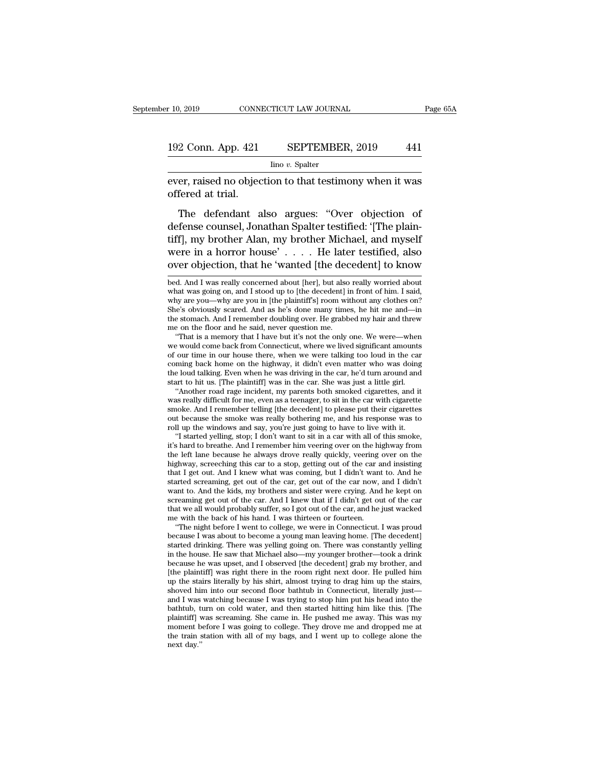Iino *v.* Spalter

ever, raised no objection to that testimony when it was<br>offered at trial. 192 Conn. App. 421<br>ever, raised no objec<br>offered at trial.<br>The defendant a

2 Conn. App. 421 SEPTEMBER, 2019 441<br>
Imo v. Spalter<br>
er, raised no objection to that testimony when it was<br>
fered at trial.<br>
The defendant also argues: "Over objection of<br>
fense counsel, Jonathan Spalter testified: '[The 192 Conn. App. 421 SEPTEMBER, 2019 441<br>  $\frac{1}{2}$  Ino v. Spalter<br>
ever, raised no objection to that testimony when it was<br>
offered at trial.<br>
The defendant also argues: "Over objection of<br>
defense counsel, Jonathan Spalte  $\frac{1}{2}$  into v. Spalter<br>
ever, raised no objection to that testimony when it was<br>
offered at trial.<br>
The defendant also argues: "Over objection of<br>
defense counsel, Jonathan Spalter testified: "[The plain-<br>
tiff], my br ever, raised no objection to that testimony when it was<br>offered at trial.<br>The defendant also argues: "Over objection of<br>defense counsel, Jonathan Spalter testified: "[The plain-<br>tiff], my brother Alan, my brother Michael, offered at trial.<br>
The defendant also argues: "Over objection of<br>
defense counsel, Jonathan Spalter testified: "[The plain-<br>
tiff], my brother Alan, my brother Michael, and myself<br>
were in a horror house'.... He later test defense counsel, Jonathan Spalter testified: '[The plain-<br>tiff], my brother Alan, my brother Michael, and myself<br>were in a horror house' . . . . He later testified, also<br>over objection, that he 'wanted [the decedent] to kn tiff], my brother Alan, my brother Michael, and myself<br>were in a horror house'.... He later testified, also<br>over objection, that he 'wanted [the decedent] to know<br>bed. And I was really concerned about [her], but also reall

why are you—why are you in [the plaintiff's] room without any clothes on?<br>She's obviously scared. And as he's done many times, he hit me and—in<br>the stomach. And I remember doubling over. He grabbed my hair and threw<br>me on She's obviously scared. And as he's done many times, he hit me and—in<br>the stomach. And I remember doubling over. He grabbed my hair and threw<br>me on the floor and he said, never question me.<br>"That is a memory that I have bu the stomach. And I remember doubling over. He grabbed my hair and threw<br>me on the floor and he said, never question me.<br>"That is a memory that I have but it's not the only one. We were—when<br>we would come back from Connecti of our time in our house there, when we were talking too loud in the car coming back home on the highway, it didn't even matter who was doing the loud talking. Even when he was driving in the car, he'd turn around and star "That is a memory that I have but it's not the only one. We were—when<br>e would come back from Connecticut, where we lived significant amounts<br>our time in our house there, when we were talking too loud in the car<br>ming back h we would come back from Connecticut, where we lived significant amounts<br>of our time in our house there, when we were talking too loud in the car<br>coming back home on the highway, it didn't even matter who was doing<br>the loud

of our time in our house there, when we were talking too loud in the car<br>coming back home on the highway, it didn't even matter who was doing<br>the loud talking. Even when he was driving in the car, he'd turn around and<br>star coming back home on the highway, it didn't even matter who was doing<br>the loud talking. Even when he was driving in the car, he'd turn around and<br>start to hit us. [The plaintiff] was in the car. She was just a little girl.<br> smoke. And I remember telling [the decedent] to please put their cigarettes out because the smoke was really bothering me, and his response was to roll up the windows and say, you're just going to have to live with it. "I art to hit us. [The plaintiff] was in the car. She was just a little girl. "Another road rage incident, my parents both smoked cigarettes, and it as really difficult for me, even as a teenager, to sit in the car with cigar "Another road rage incident, my parents both smoked cigarettes, and it was really difficult for me, even as a teenager, to sit in the car with cigarette smoke. And I remember telling [the decedent] to please put their ciga

was really difficult for me, even as a teenager, to sit in the car with cigarette<br>smoke. And I remember telling [the decedent] to please put their cigarettes<br>out because the smoke was really bothering me, and his response smoke. And I remember telling [the decedent] to please put their cigarettes<br>out because the smoke was really bothering me, and his response was to<br>roll up the windows and say, you're just going to have to live with it.<br>"I out because the smoke was really bothering me, and his response was to<br>roll up the windows and say, you're just going to have to live with it.<br>"I started yelling, stop; I don't want to sit in a car with all of this smoke,<br> roll up the windows and say, you're just going to have to live with it.<br>
"I started yelling, stop; I don't want to sit in a car with all of this smoke,<br>
it's hard to breathe. And I remember him veering over on the highway "I started yelling, stop; I don't want to sit in a car with all of this smoke, it's hard to breathe. And I remember him veering over on the highway from the left lane because he always drove really quickly, veering over o it's hard to breathe. And I remember him veering over on the highway from<br>the left lane because he always drove really quickly, veering over on the<br>highway, screeching this car to a stop, getting out of the car and insisti the left lane because he always drove really quickly, veering over on the highway, screeching this car to a stop, getting out of the car and insisting that I get out. And I knew what was coming, but I didn't want to. And h highway, screeching this car to a stop, getting out of the car a<br>that I get out. And I knew what was coming, but I didn't want<br>started screaming, get out of the car, get out of the car now,<br>want to. And the kids, my brothe at I get out. And I knew what was coming, but I didn't want to. And he arted screaming, get out of the car, get out of the car now, and I didn't ant to. And the kids, my brothers and sister were crying. And he kept on ream started screaming, get out of the car, get out of the car now, and I didn't<br>want to. And the kids, my brothers and sister were crying. And he kept on<br>screaming get out of the car. And I knew that if I didn't get out of the

want to. And the kids, my brothers and sister were crying. And he kept on screaming get out of the car. And I knew that if I didn't get out of the car that we all would probably suffer, so I got out of the car, and he just screaming get out of the car. And I knew that if I didn't get out of the car<br>that we all would probably suffer, so I got out of the car, and he just wacked<br>me with the back of his hand. I was thirteen or fourteen.<br>"The nig that we all would probably suffer, so I got out of the car, and he just wacked<br>me with the back of his hand. I was thirteen or fourteen.<br>"The night before I went to college, we were in Connecticut. I was proud<br>because I wa me with the back of his hand. I was thirteen or fourteen.<br>
"The night before I went to college, we were in Connecticut. I was proud<br>
because I was about to become a young man leaving home. [The decedent]<br>
started drinking. "The night before I went to college, we were in Connecticut. I was proud because I was about to become a young man leaving home. [The decedent] started drinking. There was yelling going on. There was constantly yelling in because I was about to become a young man leaving home. [The decedent]<br>started drinking. There was yelling going on. There was constantly yelling<br>in the house. He saw that Michael also—my younger brother—took a drink<br>becau started drinking. There was yelling going on. There was constantly yelling<br>in the house. He saw that Michael also—my younger brother—took a drink<br>because he was upset, and I observed [the decedent] grab my brother, and<br>[th in the house. He saw that Michael also—my younger brother—took a drink<br>because he was upset, and I observed [the decedent] grab my brother, and<br>[the plaintiff] was right there in the room right next door. He pulled him<br>up because he was upset, and I observed [the decedent] grab my brother, and [the plaintiff] was right there in the room right next door. He pulled him up the stairs literally by his shirt, almost trying to drag him up the sta [the plaintiff] was right there in the room right next door. He pulled him<br>up the stairs literally by his shirt, almost trying to drag him up the stairs,<br>shoved him into our second floor bathtub in Connecticut, literally j up the stains literally by his shirt, almost trying to drag him up the stains, shoved him into our second floor bathtub in Connecticut, literally just—and I was watching because I was trying to stop him put his head into t shoved hii<br>and I was<br>bathtub, t<br>plaintiff] v<br>moment b<br>the train s<br>next day.''

were in a horror house'  $\ldots$ . He later testified, also<br>over objection, that he 'wanted [the decedent] to know<br>bed. And I was really concerned about [her], but also really worried about<br>what was going on, and I stood up t over objection, that he 'wanted [the decedent] to know<br>bed. And I was really concerned about [her], but also really worried about<br>what was going on, and I stood up to [the decedent] in front of him. I said,<br>why are you—why over objection, that he 'wanted [the decedent] to know<br>bed. And I was really concerned about [her], but also really worried about<br>what was going on, and I stood up to [the decedent] in front of him. I said,<br>why are you—why bed. And I was really concerned about [her], but also really worried about what was going on, and I stood up to [the decedent] in front of him. I said, why are you—why are you in [the plaintiff's] room without any clothes d. And I was really concerned about [her], but also really worried about<br>nat was going on, and I stood up to [the decedent] in front of him. I said,<br>ny are you—why are you in [the plaintiff's] room without any clothes on?<br> what was going on, and I stood up to [the decedent] in front of him. I said, why are you—why are you in [the plaintiff's] room without any clothes on?<br>She's obviously scared. And as he's done many times, he hit me and—in<br>t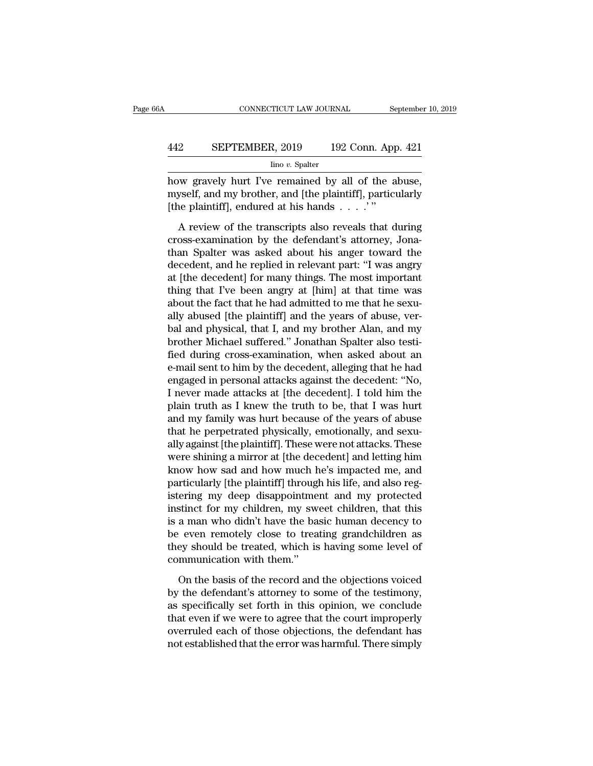### CONNECTICUT LAW JOURNAL September 10, 2019<br>442 SEPTEMBER, 2019 192 Conn. App. 421<br>100 v. Spalter Iino *v.* Spalter

CONNECTICUT LAW JOURNAL September 10, 2<br>
How SEPTEMBER, 2019 192 Conn. App. 421<br>
Ino v. Spalter<br>
how gravely hurt I've remained by all of the abuse,<br>
myself, and my brother, and [the plaintiff], particularly<br>
Ithe plaintif SEPTEMBER, 2019 192 Conn. App. 421<br>
lino v. Spalter<br>
how gravely hurt I've remained by all of the abuse,<br>
myself, and my brother, and [the plaintiff], particularly<br>
[the plaintiff], endured at his hands . . . . " **EXEPTEMBER, 2019** 192 Conn. App<br>  $\frac{\text{line }v. \text{ Spalter}}{\text{how gravity hurt I've remained by all of the a} }$ <br>
now gravely hurt I've remained by all of the a myself, and my brother, and [the plaintiff], particular (the plaintiff], endured at his hands . . . .'"<br> EXEPTEMBER, 2019 192 Conn. App. 421<br>  $\frac{1}{2}$  line v. Spalter<br>
inc v. Spalter<br>
we gravely hurt I've remained by all of the abuse,<br>
yself, and my brother, and [the plaintiff], particularly<br>
ne plaintiff], endured at his h

 $\frac{\text{line }v}{\text{line }v}$  Spalter<br>how gravely hurt I've remained by all of the abuse,<br>myself, and my brother, and [the plaintiff], particularly<br>[the plaintiff], endured at his hands . . . . . "<br>A review of the transcripts also r how gravely hurt I've remained by all of the abuse,<br>myself, and my brother, and [the plaintiff], particularly<br>[the plaintiff], endured at his hands  $\ldots$ .'"<br>A review of the transcripts also reveals that during<br>cross-exami decedent, and my brother, and [the plaintiff], particularly<br>
[the plaintiff], endured at his hands . . . . "<br>
A review of the transcripts also reveals that during<br>
cross-examination by the defendant's attorney, Jona-<br>
than The plaintiff], endured at his hands  $\ldots$ ."<br>A review of the transcripts also reveals that during<br>cross-examination by the defendant's attorney, Jona-<br>than Spalter was asked about his anger toward the<br>decedent, and he rep A review of the transcripts also reveals that during<br>cross-examination by the defendant's attorney, Jona-<br>than Spalter was asked about his anger toward the<br>decedent, and he replied in relevant part: "I was angry<br>at [the d A review of the transcripts also reveals that during<br>cross-examination by the defendant's attorney, Jona-<br>than Spalter was asked about his anger toward the<br>decedent, and he replied in relevant part: "I was angry<br>at [the de cross-examination by the defendant's attorney, Jona-<br>than Spalter was asked about his anger toward the<br>decedent, and he replied in relevant part: "I was angry<br>at [the decedent] for many things. The most important<br>thing tha than Spalter was asked about his anger toward the<br>decedent, and he replied in relevant part: "I was angry<br>at [the decedent] for many things. The most important<br>thing that I've been angry at [him] at that time was<br>about the decedent, and he replied in relevant part: "I was angry<br>at [the decedent] for many things. The most important<br>thing that I've been angry at [him] at that time was<br>about the fact that he had admitted to me that he sexu-<br>all at [the decedent] for many things. The most important<br>thing that I've been angry at [him] at that time was<br>about the fact that he had admitted to me that he sexu-<br>ally abused [the plaintiff] and the years of abuse, ver-<br>ba thing that I've been angry at [him] at that time was<br>about the fact that he had admitted to me that he sexu-<br>ally abused [the plaintiff] and the years of abuse, ver-<br>bal and physical, that I, and my brother Alan, and my<br>br about the fact that he had admitted to me that he sexually abused [the plaintiff] and the years of abuse, verbal and physical, that I, and my brother Alan, and my brother Michael suffered." Jonathan Spalter also testified ally abused [the plaintiff] and the years of abuse, verbal and physical, that I, and my brother Alan, and my<br>brother Michael suffered." Jonathan Spalter also testi-<br>fied during cross-examination, when asked about an<br>e-mail bal and physical, that I, and my brother Alan, and my<br>brother Michael suffered." Jonathan Spalter also testi-<br>fied during cross-examination, when asked about an<br>e-mail sent to him by the decedent, alleging that he had<br>enga brother Michael suffered." Jonathan Spalter also testi-<br>fied during cross-examination, when asked about an<br>e-mail sent to him by the decedent, alleging that he had<br>engaged in personal attacks against the decedent: "No,<br>I n fied during cross-examination, when asked about an<br>e-mail sent to him by the decedent, alleging that he had<br>engaged in personal attacks against the decedent: "No,<br>I never made attacks at [the decedent]. I told him the<br>plai e-mail sent to him by the decedent, alleging that he had<br>engaged in personal attacks against the decedent: "No,<br>I never made attacks at [the decedent]. I told him the<br>plain truth as I knew the truth to be, that I was hurt<br> engaged in personal attacks against the decedent: "No,<br>I never made attacks at [the decedent]. I told him the<br>plain truth as I knew the truth to be, that I was hurt<br>and my family was hurt because of the years of abuse<br>that I never made attacks at [the decedent]. I told him the<br>plain truth as I knew the truth to be, that I was hurt<br>and my family was hurt because of the years of abuse<br>that he perpetrated physically, emotionally, and sexu-<br>ally plain truth as I knew the truth to be, that I was hurt<br>and my family was hurt because of the years of abuse<br>that he perpetrated physically, emotionally, and sexu-<br>ally against [the plaintiff]. These were not attacks. These and my family was hurt because of the years of abuse<br>that he perpetrated physically, emotionally, and sexu-<br>ally against [the plaintiff]. These were not attacks. These<br>were shining a mirror at [the decedent] and letting hi that he perpetrated physically, emotionally, and sexually against [the plaintiff]. These were not attacks. These were shining a mirror at [the decedent] and letting him know how sad and how much he's impacted me, and parti ally against [the plaintiff]. These were not attacks. These<br>were shining a mirror at [the decedent] and letting him<br>know how sad and how much he's impacted me, and<br>particularly [the plaintiff] through his life, and also re were shining a mirror at [the decedent] and letting him<br>know how sad and how much he's impacted me, and<br>particularly [the plaintiff] through his life, and also reg-<br>istering my deep disappointment and my protected<br>instinct know how sad and how much he's impacted me, and<br>particularly [the plaintiff] through his life, and also reg-<br>istering my deep disappointment and my protected<br>instinct for my children, my sweet children, that this<br>is a man particularly [the plaintiff] through<br>istering my deep disappointme:<br>instinct for my children, my swe<br>is a man who didn't have the ba:<br>be even remotely close to trea<br>they should be treated, which is<br>communication with them. stinct for my children, my sweet children, that this<br>a man who didn't have the basic human decency to<br>even remotely close to treating grandchildren as<br>ey should be treated, which is having some level of<br>mmunication with t is a man who didn't have the basic human decency to<br>be even remotely close to treating grandchildren as<br>they should be treated, which is having some level of<br>communication with them."<br>On the basis of the record and the obj

be even remotely close to treating grandchildren as<br>they should be treated, which is having some level of<br>communication with them."<br>On the basis of the record and the objections voiced<br>by the defendant's attorney to some o they should be treated, which is having some level of<br>communication with them."<br>On the basis of the record and the objections voiced<br>by the defendant's attorney to some of the testimony,<br>as specifically set forth in this o communication with them."<br>
On the basis of the record and the objections voiced<br>
by the defendant's attorney to some of the testimony,<br>
as specifically set forth in this opinion, we conclude<br>
that even if we were to agree On the basis of the record and the objections voiced<br>by the defendant's attorney to some of the testimony,<br>as specifically set forth in this opinion, we conclude<br>that even if we were to agree that the court improperly<br>over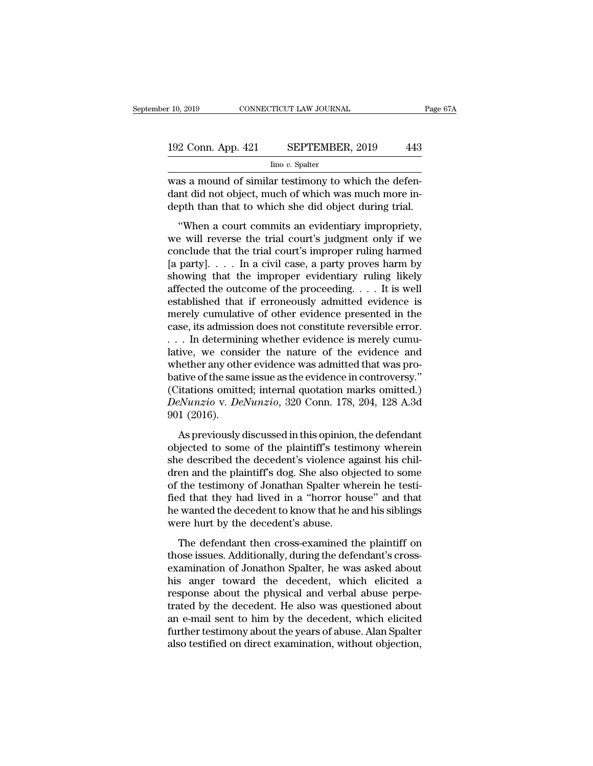# $\begin{array}{r} \text{10, 2019} \end{array}$  CONNECTICUT LAW JOURNAL Page 67A<br>192 Conn. App. 421 SEPTEMBER, 2019 443<br>192 Conn. App. 421 SEPTEMBER, 2019 443

Iino *v.* Spalter

r 10, 2019 CONNECTICUT LAW JOURNAL<br>
192 Conn. App. 421 SEPTEMBER, 2019 443<br>
<sup>Ino v.</sup> Spalter<br>
was a mound of similar testimony to which the defen-<br>
dant did not object, much of which was much more in-<br>
don't then that to w 192 Conn. App. 421 SEPTEMBER, 2019 443<br>  $\frac{\text{line }v. \text{ Spalter}}{\text{max } a \text{ mound of similar testimony to which the defen-  
dant did not object, much of which was much more in-  
depth than that to which she did object during trial.$ 192 Conn. App. 421 SEPTEMBER, 2019 443<br>  $\frac{\text{line }v \cdot \text{Spalter}}{\text{was a mound of similar testimony to which the defen-  
dant did not object, much of which was much more in-  
depth than that to which she did object during trial.$ "When a court commits an evidentiary impropriety, <sup>2</sup> Conn. App. 421 SEPTEMBER, 2019 443<br>  $\frac{1}{2}$  line v. Spalter<br>
as a mound of similar testimony to which the defen-<br>
ant did not object, much of which was much more in-<br>
opth than that to which she did object during tr

 $\frac{\text{line }v. \text{ Spalter}}{\text{was a mound of similar testimony to which the defendant did not object, much of which was much more in-depth than that to which she did object during trial. \n\n"When a court commits an evidently improperity, we will reverse the trial court's judgment only if we conclude that the trial court's improper ruling harm by a civil case, a next's inverse is a particular.$ was a mound of similar testimony to which the defendant did not object, much of which was much more in-<br>depth than that to which she did object during trial.<br>"When a court commits an evidentiary impropriety,<br>we will revers was a modula of similar testinony to which the deter-<br>dant did not object, much of which was much more in-<br>depth than that to which she did object during trial.<br>"When a court commits an evidentiary impropriety,<br>we will re dank did not object, matri of which was matri more in<br>depth than that to which she did object during trial.<br>"When a court commits an evidentiary impropriety,<br>we will reverse the trial court's judgment only if we<br>conclude "When a court commits an evidentiary impropriety,<br>we will reverse the trial court's judgment only if we<br>conclude that the trial court's improper ruling harmed<br>[a party]. . . . In a civil case, a party proves harm by<br>showi "When a court commits an evidentiary impropriety,<br>we will reverse the trial court's judgment only if we<br>conclude that the trial court's improper ruling harmed<br>[a party]. . . . In a civil case, a party proves harm by<br>showi we will reverse the trial court's judgment only if we conclude that the trial court's improper ruling harmed [a party].  $\dots$  In a civil case, a party proves harm by showing that the improper evidentiary ruling likely affe conclude that the trial court's improper ruling harmed<br>[a party].... In a civil case, a party proves harm by<br>showing that the improper evidentiary ruling likely<br>affected the outcome of the proceeding.... It is well<br>establ [a party]. . . . . In a civil case, a party proves harm by showing that the improper evidentiary ruling likely affected the outcome of the proceeding. . . . It is well established that if erroneously admitted evidence is showing that the improper evidentiary ruling likely<br>affected the outcome of the proceeding. . . . It is well<br>established that if erroneously admitted evidence is<br>merely cumulative of other evidence presented in the<br>case, affected the outcome of the proceeding. . . . It is well established that if erroneously admitted evidence is merely cumulative of other evidence presented in the case, its admission does not constitute reversible error. established that if erroneously admitted evidence is<br>merely cumulative of other evidence presented in the<br>case, its admission does not constitute reversible error.<br> $\dots$  In determining whether evidence is merely cumu-<br>lati merely cumulative of other evidence presented in the case, its admission does not constitute reversible error.<br>
. . . In determining whether evidence is merely cumulative, we consider the nature of the evidence and whethe case, its admission does not constitute reversible error.<br> *Denotive,* we consider the nature of the evidence and<br>
whether any other evidence was admitted that was pro-<br>
bative of the same issue as the evidence in controve ... In determin<br>lative, we consi<br>whether any oth<br>bative of the sam<br>(Citations omitt<br>DeNunzio v. De<br>901 (2016).<br>As previously The same interest and mether any other evidence was admitted that was pro-<br>tive of the same issue as the evidence in controversy."<br>itations omitted; internal quotation marks omitted.)<br>eNunzio v. DeNunzio, 320 Conn. 178, 20 bative of the same issue as the evidence in controversy."<br>
(Citations omitted; internal quotation marks omitted.)<br> *DeNunzio* v. *DeNunzio*, 320 Conn. 178, 204, 128 A.3d<br>
901 (2016).<br>
As previously discussed in this opini

share of the same issue as the evidence in controversy.<br>
(Citations omitted; internal quotation marks omitted.)<br>
DeNunzio v. DeNunzio, 320 Conn. 178, 204, 128 A.3d<br>
901 (2016).<br>
As previously discussed in this opinion, the DeNunzio v. DeNunzio, 320 Conn. 178, 204, 128 A.3d<br>901 (2016).<br>As previously discussed in this opinion, the defendant<br>objected to some of the plaintiff's testimony wherein<br>she described the decedent's violence against his of the testimony of Jonathan Spalter wherein<br>the defendant objected to some of the plaintiff's testimony wherein<br>she described the decedent's violence against his chil-<br>dren and the plaintiff's dog. She also objected to s foot (2010).<br>As previously discussed in this opinion, the defendant<br>objected to some of the plaintiff's testimony wherein<br>she described the decedent's violence against his chil-<br>dren and the plaintiff's dog. She also objec As previously discussed in this opinion, the defendant<br>objected to some of the plaintiff's testimony wherein<br>she described the decedent's violence against his chil-<br>dren and the plaintiff's dog. She also objected to some<br>o objected to some of the plaintiff's testin<br>she described the decedent's violence ag<br>dren and the plaintiff's dog. She also obj<br>of the testimony of Jonathan Spalter wh<br>fied that they had lived in a "horror ho<br>he wanted the en and the plaintiff's dog. She also objected to some<br>the testimony of Jonathan Spalter wherein he testi-<br>d that they had lived in a "horror house" and that<br>wanted the decedent to know that he and his siblings<br>pere hurt by the designment of the testimony of Jonathan Spalter wherein he testi-<br>fied that they had lived in a "horror house" and that<br>he wanted the decedent to know that he and his siblings<br>were hurt by the decedent's abuse.<br>The def

examination of Jonathan Spalter, wherein he test<br>fied that they had lived in a "horror house" and that<br>he wanted the decedent to know that he and his siblings<br>were hurt by the decedent's abuse.<br>The defendant then cross-exa he wanted the decedent to know that he and his siblings<br>were hurt by the decedent's abuse.<br>The defendant then cross-examined the plaintiff on<br>those issues. Additionally, during the defendant's cross-<br>examination of Jonatho response that the decedent is abuse.<br>The defendant then cross-examined the plaintiff on<br>those issues. Additionally, during the defendant's cross-<br>examination of Jonathon Spalter, he was asked about<br>his anger toward the dec The defendant then cross-examined the plaintiff on<br>those issues. Additionally, during the defendant's cross-<br>examination of Jonathon Spalter, he was asked about<br>his anger toward the decedent, which elicited a<br>response abou The defendant then cross-examined the plaintiff on<br>those issues. Additionally, during the defendant's cross-<br>examination of Jonathon Spalter, he was asked about<br>his anger toward the decedent, which elicited a<br>response abou those issues. Additionally, during the defendant's cross-<br>examination of Jonathon Spalter, he was asked about<br>his anger toward the decedent, which elicited a<br>response about the physical and verbal abuse perpe-<br>trated by th examination of Jonathon Spalter, he was asked about<br>his anger toward the decedent, which elicited a<br>response about the physical and verbal abuse perpe-<br>trated by the decedent. He also was questioned about<br>an e-mail sent to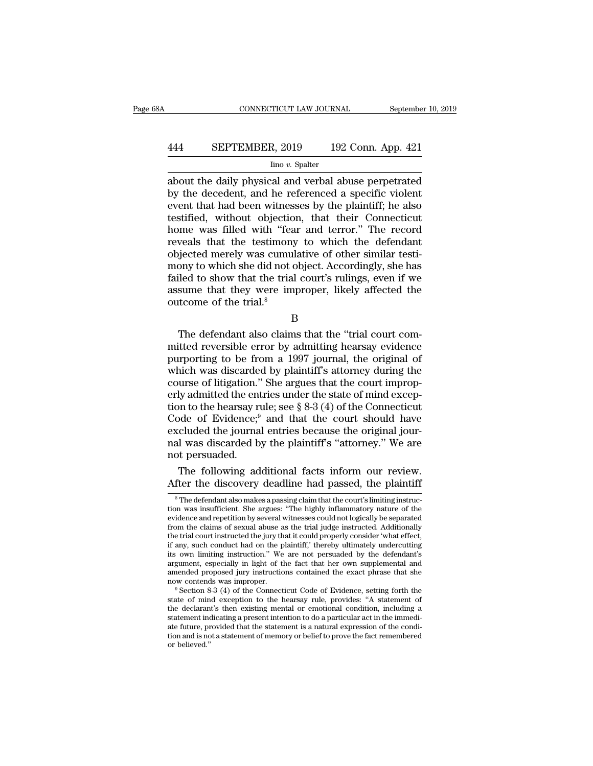# CONNECTICUT LAW JOURNAL September 10, 2019<br>444 SEPTEMBER, 2019 192 Conn. App. 421<br>100 v. Spalter

### Iino *v.* Spalter

 $\begin{tabular}{ll} \multicolumn{1}{l}{{\small \textbf{COMRECTICUT LAW JOURNAL}}} & \multicolumn{1}{l}{\small \textbf{September 10, 2019}}\\ \hline & \multicolumn{1}{l}{\small \textbf{SEPTEMBER, 2019}} & \multicolumn{1}{l}{\small \textbf{192 Conn. App. 421}}\\ \hline & \multicolumn{1}{l}{\small \textbf{Ino }v. \textbf{ Spalter}}\\ \hline & \multicolumn{1}{l}{\small \textbf{a}bout the daily physical and verbal abuse perpetrated} \\ \hline & \multicolumn{1}{l}{\small \textbf{by the decedent, and he referenced a specific violent}$ **EXECUTEMBER, 2019** 192 Conn. App. 421<br>  $\frac{1}{2}$  line v. Spalter<br>
about the daily physical and verbal abuse perpetrated<br>
by the decedent, and he referenced a specific violent<br>
event that had been witnesses by the plainti EPTEMBER, 2019 192 Conn. App. 421<br>  $\frac{\text{line }v.\text{ Spattern}}{\text{line }v.\text{ Spattern}}$ <br>
about the daily physical and verbal abuse perpetrated<br>
by the decedent, and he referenced a specific violent<br>
event that had been witnesses by the plaintiff **EXEPTEMBER, 2019** 192 Conn. App. 421<br>  $\frac{1}{2}$  line v. Spalter<br>
about the daily physical and verbal abuse perpetrated<br>
by the decedent, and he referenced a specific violent<br>
event that had been witnesses by the plaintif  $\frac{\text{line }v. \text{ Spalter}}{\text{line }v. \text{ Spalter}}$ <br>  $\frac{\text{line }v. \text{ Spalter}}{\text{about the daily physical and verbal abuse perpetrated}}$ <br>
by the decedent, and he referenced a specific violent<br>
event that had been witnesses by the plaintiff; he also<br>
testified, without objection, that their Con  $\frac{\text{line }v. \text{ Spalter}}{\text{about the daily physical and verbal abuse perpetrated}}$ <br>about the daily physical and verbal abuse perpetrated<br>by the decedent, and he referenced a specific violent<br>event that had been witnesses by the plaintiff; he also<br>testified, without objec about the daily physical and verbal abuse perpetrated<br>by the decedent, and he referenced a specific violent<br>event that had been witnesses by the plaintiff; he also<br>testified, without objection, that their Connecticut<br>home by the decedent, and he referenced a specific violent<br>event that had been witnesses by the plaintiff; he also<br>testified, without objection, that their Connecticut<br>home was filled with "fear and terror." The record<br>reveals event that had been witnesses by the plaintiff; he also<br>testified, without objection, that their Connecticut<br>home was filled with "fear and terror." The record<br>reveals that the testimony to which the defendant<br>objected mer testified, without objection, that their Connecticut<br>home was filled with "fear and terror." The record<br>reveals that the testimony to which the defendant<br>objected merely was cumulative of other similar testi-<br>mony to which home was filled with "fea<br>reveals that the testimony<br>objected merely was cumul<br>mony to which she did not c<br>failed to show that the trial<br>assume that they were impoutcome of the trial.<sup>8</sup> bected inerely was culturalive of other similar testi-<br>ony to which she did not object. Accordingly, she has<br>led to show that the trial court's rulings, even if we<br>sume that they were improper, likely affected the<br>trial co

B

mony to which she that hot object. Accordingly, she has<br>failed to show that the trial court's rulings, even if we<br>assume that they were improper, likely affected the<br>outcome of the trial.<sup>8</sup><br>B<br>The defendant also claims th purporting to show that the that court's runngs, even if we<br>assume that they were improper, likely affected the<br>outcome of the trial.<sup>8</sup><br>B<br>The defendant also claims that the "trial court com-<br>mitted reversible error by adm assume that they were improper, invery anected the<br>outcome of the trial.<sup>8</sup><br>B<br>The defendant also claims that the "trial court com-<br>mitted reversible error by admitting hearsay evidence<br>purporting to be from a 1997 journal, B<br>B<br>The defendant also claims that the "trial court com-<br>mitted reversible error by admitting hearsay evidence<br>purporting to be from a 1997 journal, the original of<br>which was discarded by plaintiff's attorney during the<br>co B<br>The defendant also claims that the "trial court com-<br>mitted reversible error by admitting hearsay evidence<br>purporting to be from a 1997 journal, the original of<br>which was discarded by plaintiff's attorney during the<br>cou The defendant also claims that the "trial court committed reversible error by admitting hearsay evidence<br>purporting to be from a 1997 journal, the original of<br>which was discarded by plaintiff's attorney during the<br>course mitted reversible error by admitting hearsay evidence<br>purporting to be from a 1997 journal, the original of<br>which was discarded by plaintiff's attorney during the<br>course of litigation." She argues that the court improp-<br>er purporting to be from a 1997 journal, the original of<br>which was discarded by plaintiff's attorney during the<br>course of litigation." She argues that the court improp-<br>erly admitted the entries under the state of mind excep which was discarded by plaintiff's attorney during the course of litigation." She argues that the court improperly admitted the entries under the state of mind exception to the hearsay rule; see  $\S 8-3 (4)$  of the Connecti course of litigation."<br>erly admitted the ent<br>tion to the hearsay r<br>Code of Evidence;<sup>9</sup><br>excluded the journa<br>nal was discarded b<br>not persuaded.<br>The following ad It due to the entries under the state of mind exception to the hearsay rule; see  $\S 8-3(4)$  of the Connecticut ode of Evidence;<sup>9</sup> and that the court should have cluded the journal entries because the original journal was tion to the hearsay rule; see § 8-3 (4) of the Connecticut<br>
Code of Evidence;<sup>9</sup> and that the court should have<br>
excluded the journal entries because the original jour-<br>
nal was discarded by the plaintiff's "attorney." We

al was discarded by the plaintiff's "attorney." We are<br>ot persuaded.<br>The following additional facts inform our review.<br>fter the discovery deadline had passed, the plaintiff<br><sup>8</sup>The defendant also makes a passing claim that

not persuaded.<br>The following additional facts inform our review.<br>After the discovery deadline had passed, the plaintiff<br><sup>8</sup>The defendant also makes a passing claim that the court's limiting instruc-<br>tion was insufficient. The following additional facts inform our review.<br>After the discovery deadline had passed, the plaintiff<br><sup>8</sup>The defendant also makes a passing claim that the court's limiting instruc-<br>tion was insufficient. She argues: "Th The following additional facts inform our review.<br>
After the discovery deadline had passed, the plaintiff<br>  $^{\circ}$ The defendant also makes a passing claim that the court's limiting instruc-<br>
tion was insufficient. She argu After the discovery deadline had passed, the plaintiff<br>
<sup>8</sup>The defendant also makes a passing claim that the court's limiting instruction was insufficient. She argues: "The highly inflammatory nature of the evidence and re <sup>8</sup> The defendant also makes a passing claim that the court's limiting instruction was insufficient. She argues: "The highly inflammatory nature of the evidence and repetition by several witnesses could not logically be se  $^8$  The defendant also makes a passing claim that the court's limiting instruction was insufficient. She argues: "The highly inflammatory nature of the evidence and repetition by several witnesses could not logically be tion was insufficient. She argues: "The highly inflammatory nature of the evidence and repetition by several witnesses could not logically be separated from the claims of sexual abuse as the trial judge instructed. Additio evidence and repetition by several witnesses could not logically be separated<br>from the claims of sexual abuse as the trial judge instructed. Additionally<br>the trial court instructed the jury that it could properly consider from the claims of sexual abuse as the trial judge instructed. Additionally<br>the trial court instructed the jury that it could properly consider 'what effect,<br>if any, such conduct had on the plaintiff,' thereby ultimately u if any, such conduct had on the plaintiff,' thereby ultimately undercutting<br>its own limiting instruction." We are not persuaded by the defendant's<br>argument, especially in light of the fact that her own supplemental and<br>ame

its own limiting instruction." We are not persuaded by the defendant's argument, especially in light of the fact that her own supplemental and amended proposed jury instructions contained the exact phrase that she now cont argument, especially in light of the fact that her own supplemental and<br>amended proposed jury instructions contained the exact phrase that she<br>now contends was improper.<br><sup>9</sup> Section 8-3 (4) of the Connecticut Code of Evide annended proposed jury instructions contained the exact phrase that she<br>now contends was improper.<br><sup>9</sup> Section 8-3 (4) of the Connecticut Code of Evidence, setting forth the<br>state of mind exception to the hearsay rule, pro now contends was improper.<br>
<sup>9</sup> Section 8-3 (4) of the Connecticut Code of Evidence, setting forth the state of mind exception to the hearsay rule, provides: "A statement of the declarant's then existing mental or emotiona state of mind exception to the hearsay rule, provides: "A statement of the declarant's then existing mental or emotional condition, including a statement indicating a present intention to do a particular act in the immedi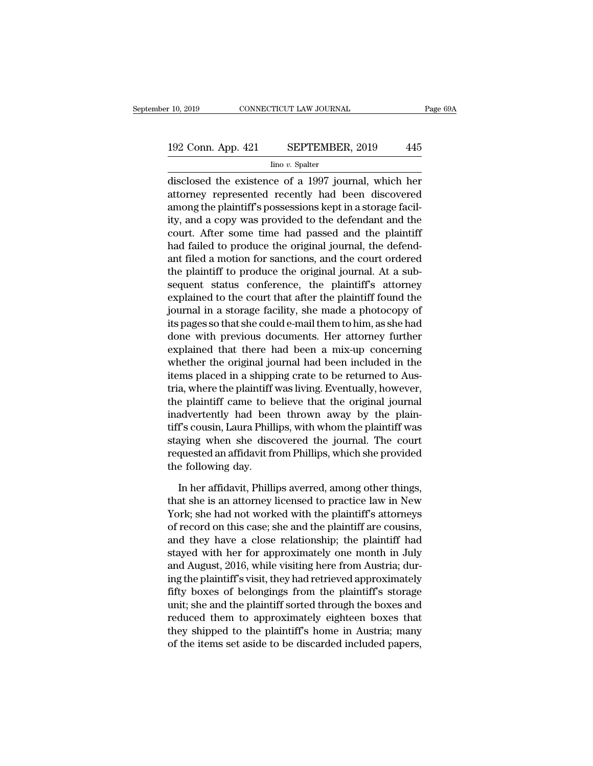# 192 Conn. App. 421 SEPTEMBER, 2019 <sup>445</sup>

Iino *v.* Spalter

 $\begin{array}{|l|l|} \hline \text{10, 2019} & \text{CONNECTICUT LAW JOURNAL} & \text{Page 69A} \ \hline \end{array}$ <br>192 Conn. App. 421 SEPTEMBER, 2019 445<br> $\hline \text{line } v. \text{ Spalter} \ \hline \text{disclosed the existence of a 1997 journal, which her \ \hline \text{attorney represented recently had been discovered} \\ \hline \text{amount the relativified necessary from the other hand.}$ 192 Conn. App. 421 SEPTEMBER, 2019 445<br>  $\frac{\text{line }v. \text{ Spalter}}{\text{disclosed the existence of a 1997 journal, which her}}$ <br>
attorney represented recently had been discovered<br>
among the plaintiff's possessions kept in a storage facility and a seny was provided to the 192 Conn. App. 421 SEPTEMBER, 2019 445<br>  $\frac{\text{line }v. \text{ Spalter}}{\text{disclosed the existence of a 1997 journal, which her}$ <br>
attorney represented recently had been discovered<br>
among the plaintiff's possessions kept in a storage facil-<br>
ity, and a copy was provided to 192 Conn. App. 421 SEPTEMBER, 2019 445<br>  $\frac{1}{\text{line }v \cdot \text{Spattern}}$ <br>
disclosed the existence of a 1997 journal, which her<br>
attorney represented recently had been discovered<br>
among the plaintiff's possessions kept in a storage f  $\frac{1}{2}$  line *v*. Spalter<br>disclosed the existence of a 1997 journal, which her<br>attorney represented recently had been discovered<br>among the plaintiff's possessions kept in a storage facil-<br>ity, and a copy was provided to  $\frac{1}{2}$  and  $\frac{1}{2}$  and  $\frac{1}{2}$  and  $\frac{1}{2}$  and  $\frac{1}{2}$  and  $\frac{1}{2}$  and  $\frac{1}{2}$  are presented recently had been discovered among the plaintiff's possessions kept in a storage facility, and a copy was provide disclosed the existence of a 1997 journal, which her<br>attorney represented recently had been discovered<br>among the plaintiff's possessions kept in a storage facil-<br>ity, and a copy was provided to the defendant and the<br>court. attorney represented recently had been discovered<br>among the plaintiff's possessions kept in a storage facil-<br>ity, and a copy was provided to the defendant and the<br>court. After some time had passed and the plaintiff<br>had fai among the plaintiff's possessions kept in a storage facility, and a copy was provided to the defendant and the<br>court. After some time had passed and the plaintiff<br>had failed to produce the original journal, the defend-<br>ant ity, and a copy was provided to the defendant and the<br>court. After some time had passed and the plaintiff<br>had failed to produce the original journal, the defend-<br>ant filed a motion for sanctions, and the court ordered<br>the court. After some time had passed and the plaintiff<br>had failed to produce the original journal, the defend-<br>ant filed a motion for sanctions, and the court ordered<br>the plaintiff to produce the original journal. At a sub-<br>s had failed to produce the original journal, the defend-<br>ant filed a motion for sanctions, and the court ordered<br>the plaintiff to produce the original journal. At a sub-<br>sequent status conference, the plaintiff's attorney<br>e ant filed a motion for sanctions, and the court ordered<br>the plaintiff to produce the original journal. At a sub-<br>sequent status conference, the plaintiff's attorney<br>explained to the court that after the plaintiff found the the plaintiff to produce the original journal. At a sub-<br>sequent status conference, the plaintiff's attorney<br>explained to the court that after the plaintiff found the<br>journal in a storage facility, she made a photocopy of<br> sequent status conference, the plaintiff's attorney<br>explained to the court that after the plaintiff found the<br>journal in a storage facility, she made a photocopy of<br>its pages so that she could e-mail them to him, as she ha explained to the court that after the plaintiff found the<br>journal in a storage facility, she made a photocopy of<br>its pages so that she could e-mail them to him, as she had<br>done with previous documents. Her attorney further journal in a storage facility, she made a photocopy of<br>its pages so that she could e-mail them to him, as she had<br>done with previous documents. Her attorney further<br>explained that there had been a mix-up concerning<br>whether its pages so that she could e-mail them to him, as she had<br>done with previous documents. Her attorney further<br>explained that there had been a mix-up concerning<br>whether the original journal had been included in the<br>items pl done with previous documents. Her attorney further<br>explained that there had been a mix-up concerning<br>whether the original journal had been included in the<br>items placed in a shipping crate to be returned to Aus-<br>tria, where explained that there had been a mix-up concerning<br>whether the original journal had been included in the<br>items placed in a shipping crate to be returned to Aus-<br>tria, where the plaintiff was living. Eventually, however,<br>the whether the original journal had been included in the<br>items placed in a shipping crate to be returned to Aus-<br>tria, where the plaintiff was living. Eventually, however,<br>the plaintiff came to believe that the original journ items placed in a shipping crate to be returned to Austria, where the plaintiff was living. Eventually, however, the plaintiff came to believe that the original journal inadvertently had been thrown away by the plaintiff's tria, where the plaintiff<br>the plaintiff came to b<br>inadvertently had beet<br>tiff's cousin, Laura Phill<br>staying when she disc<br>requested an affidavit fr<br>the following day.<br>In her affidavit, Philli advertently had been thrown away by the plain-<br>
if's cousin, Laura Phillips, with whom the plaintiff was<br>
aying when she discovered the journal. The court<br>
quested an affidavit from Phillips, which she provided<br>
e followin tiff's cousin, Laura Phillips, with whom the plaintiff was<br>staying when she discovered the journal. The court<br>requested an affidavit from Phillips, which she provided<br>the following day.<br>In her affidavit, Phillips averred,

staying when she discovered the journal. The court<br>requested an affidavit from Phillips, which she provided<br>the following day.<br>In her affidavit, Phillips averred, among other things,<br>that she is an attorney licensed to pra requested an affidavit from Phillips, which she provided<br>the following day.<br>In her affidavit, Phillips averred, among other things,<br>that she is an attorney licensed to practice law in New<br>York; she had not worked with the the following day.<br>
In her affidavit, Phillips averred, among other things,<br>
that she is an attorney licensed to practice law in New<br>
York; she had not worked with the plaintiff's attorneys<br>
of record on this case; she and In her affidavit, Phillips averred, among other things,<br>that she is an attorney licensed to practice law in New<br>York; she had not worked with the plaintiff's attorneys<br>of record on this case; she and the plaintiff are cous In her affidavit, Phillips averred, among other things,<br>that she is an attorney licensed to practice law in New<br>York; she had not worked with the plaintiff's attorneys<br>of record on this case; she and the plaintiff are cous that she is an attorney licensed to practice law in New<br>York; she had not worked with the plaintiff's attorneys<br>of record on this case; she and the plaintiff are cousins,<br>and they have a close relationship; the plaintiff h York; she had not worked with the plaintiff's attorneys<br>of record on this case; she and the plaintiff are cousins,<br>and they have a close relationship; the plaintiff had<br>stayed with her for approximately one month in July<br>a of record on this case; she and the plaintiff are cousins,<br>and they have a close relationship; the plaintiff had<br>stayed with her for approximately one month in July<br>and August, 2016, while visiting here from Austria; dur-<br> and they have a close relationship; the plaintiff had<br>stayed with her for approximately one month in July<br>and August, 2016, while visiting here from Austria; dur-<br>ing the plaintiff's visit, they had retrieved approximately stayed with her for approximately one month in July<br>and August, 2016, while visiting here from Austria; dur-<br>ing the plaintiff's visit, they had retrieved approximately<br>fifty boxes of belongings from the plaintiff's storag and August, 2016, while visiting here from Austria; during the plaintiff's visit, they had retrieved approximately fifty boxes of belongings from the plaintiff's storage unit; she and the plaintiff sorted through the boxes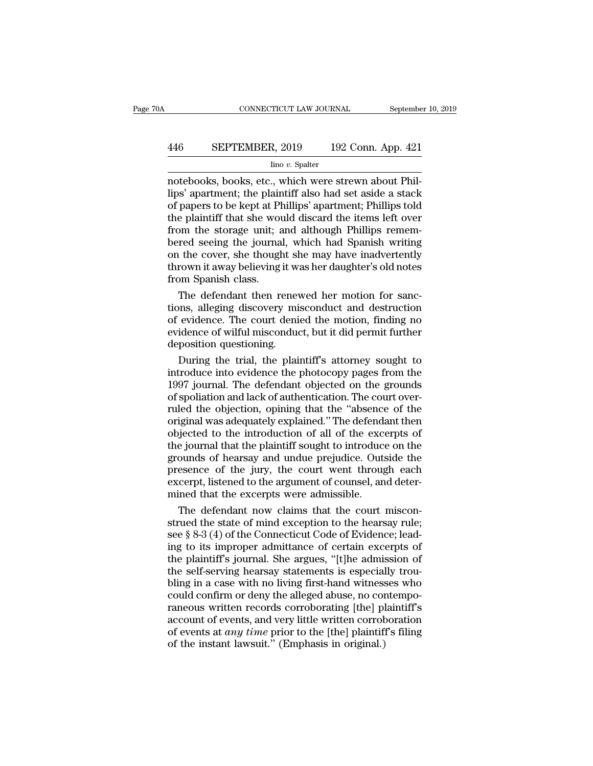# CONNECTICUT LAW JOURNAL September 10, 2019<br>446 SEPTEMBER, 2019 192 Conn. App. 421<br>100 v. Spalter

### Iino *v.* Spalter

CONNECTICUT LAW JOURNAL September<br>
446 SEPTEMBER, 2019 192 Conn. App. 421<br>
192 Conn. App. 421<br>
192 Conn. App. 421<br>
192 Conn. App. 421<br>
193 Conn. App. 421<br>
193 Conn. App. 421<br>
193 Connect Division Were strewn about Phil-<br>
1 SEPTEMBER, 2019 192 Conn. App. 421<br>
lino v. Spalter<br>
notebooks, books, etc., which were strewn about Phil-<br>
lips' apartment; the plaintiff also had set aside a stack<br>
of papers to be kept at Phillips' apartment; Phillips t **EXPTEMBER, 2019** 192 Conn. App. 421<br>  $\frac{\text{line }v.\text{ Spalter}}{\text{notebooks, books, etc., which were stream about Phillips' apartment; the plaintiff also had set aside a stack of papers to be kept at Phillips' apartment; Phillips told the plaintiff that she would discard the items left over from the storage unit: and although Phillips remem \frac{\text{EPTEMBER, 2019}}{\text{line }v.\text{ Spalter}}$ <br>
Imo  $v.\text{ Spalter}$ <br>
notebooks, books, etc., which were strewn about Phillips' apartment; the plaintiff also had set aside a stack<br>
of papers to be kept at Phillips' apartment; Phillips told<br>
the  $\frac{1}{100}$  bin Thandar, 2010  $\frac{1}{102}$  colligent. App. 121<br>
Ino v. Spalter<br>
notebooks, books, etc., which were strewn about Phil-<br>
lips' apartment; the plaintiff also had set aside a stack<br>
of papers to be kept at Phil  $\frac{\text{line }v. \text{ Spalter}}{\text{notebooks, books, etc., which were stream about Phil-} \text{lips' apartment; the plaintiff also had set aside a stack of papers to be kept at Phillips' apartment; Phillips told the plaintiff that she would discard the items left over from the storage unit; and although Phillips remembered seeing the journal, which had Spanish writing on the cover, she thought she may have inadvertently thrown it away heliaving it was her daughter's old notes.$ notebooks, books, etc., which were strewn about Philips' apartment; the plaintiff also had set aside a stack of papers to be kept at Phillips' apartment; Phillips told the plaintiff that she would discard the items left ov lips' apartment; the plaintiff also had set aside a stack<br>of papers to be kept at Phillips' apartment; Phillips told<br>the plaintiff that she would discard the items left over<br>from the storage unit; and although Phillips rem of papers to be kept at P<br>the plaintiff that she wou<br>from the storage unit; a<br>bered seeing the journa<br>on the cover, she though<br>thrown it away believing<br>from Spanish class.<br>The defendant then re e plaintiff that she would discard the items left over<br>om the storage unit; and although Phillips remem-<br>red seeing the journal, which had Spanish writing<br>the cover, she thought she may have inadvertently<br>rown it away beli from the storage unit; and although Phillips remem-<br>bered seeing the journal, which had Spanish writing<br>on the cover, she thought she may have inadvertently<br>thrown it away believing it was her daughter's old notes<br>from Spa

bered seeing the journal, which had Spanish writing<br>on the cover, she thought she may have inadvertently<br>thrown it away believing it was her daughter's old notes<br>from Spanish class.<br>The defendant then renewed her motion fo on the cover, she thought she may have inadvertently<br>thrown it away believing it was her daughter's old notes<br>from Spanish class.<br>The defendant then renewed her motion for sanc-<br>tions, alleging discovery misconduct and des thrown it away believing it with<br>from Spanish class.<br>The defendant then renev<br>tions, alleging discovery mi<br>of evidence. The court deni<br>evidence of wilful misconduc<br>deposition questioning.<br>During the trial, the plai The defendant then renewed her motion for sanc-<br>ons, alleging discovery misconduct and destruction<br>evidence. The court denied the motion, finding no<br>idence of wilful misconduct, but it did permit further<br>position questioni The defendant then renewed her motion for sanc-<br>tions, alleging discovery misconduct and destruction<br>of evidence. The court denied the motion, finding no<br>evidence of wilful misconduct, but it did permit further<br>deposition

tions, alleging discovery misconduct and destruction<br>of evidence. The court denied the motion, finding no<br>evidence of wilful misconduct, but it did permit further<br>deposition questioning.<br>During the trial, the plaintiff's a of evidence. The court denied the motion, finding no<br>evidence of wilful misconduct, but it did permit further<br>deposition questioning.<br>During the trial, the plaintiff's attorney sought to<br>introduce into evidence the photoco evidence of wilful misconduct, but it did permit further<br>deposition questioning.<br>During the trial, the plaintiff's attorney sought to<br>introduce into evidence the photocopy pages from the<br>1997 journal. The defendant objecte deposition questioning.<br>
During the trial, the plaintiff's attorney sought to<br>
introduce into evidence the photocopy pages from the<br>
1997 journal. The defendant objected on the grounds<br>
of spoliation and lack of authentica During the trial, the plaintiff's attorney sought to<br>introduce into evidence the photocopy pages from the<br>1997 journal. The defendant objected on the grounds<br>of spoliation and lack of authentication. The court over-<br>ruled introduce into evidence the photocopy pages from the<br>1997 journal. The defendant objected on the grounds<br>of spoliation and lack of authentication. The court over-<br>ruled the objection, opining that the "absence of the<br>origi 1997 journal. The defendant objected on the grounds<br>of spoliation and lack of authentication. The court over-<br>ruled the objection, opining that the "absence of the<br>original was adequately explained." The defendant then<br>obj of spoliation and lack of authentication. The court over-<br>ruled the objection, opining that the "absence of the<br>original was adequately explained." The defendant then<br>objected to the introduction of all of the excerpts of<br> ruled the objection, opining that the "absence of the original was adequately explained." The defendant then objected to the introduction of all of the excerpts of the journal that the plaintiff sought to introduce on the original was adequately explained." The defendate objected to the introduction of all of the excerpt objected to the introduction of all of the excerpt grounds of hearsay and undue prejudice. Outs presence of the jury, the giected to the introduction of all of the excerpts of<br>e journal that the plaintiff sought to introduce on the<br>ounds of hearsay and undue prejudice. Outside the<br>esence of the jury, the court went through each<br>cerpt, listen the journal that the plaintiff sought to introduce on the<br>grounds of hearsay and undue prejudice. Outside the<br>presence of the jury, the court went through each<br>excerpt, listened to the argument of counsel, and deter-<br>mined

grounds of hearsay and undue prejudice. Outside the<br>presence of the jury, the court went through each<br>excerpt, listened to the argument of counsel, and deter-<br>mined that the excerpts were admissible.<br>The defendant now clai presence of the jury, the court went through each<br>excerpt, listened to the argument of counsel, and deter-<br>mined that the excerpts were admissible.<br>The defendant now claims that the court miscon-<br>strued the state of mind e excerpt, listened to the argument of counsel, and deter-<br>mined that the excerpts were admissible.<br>The defendant now claims that the court miscon-<br>strued the state of mind exception to the hearsay rule;<br>see § 8-3 (4) of the mined that the excerpts were admissible.<br>The defendant now claims that the court misconstrued the state of mind exception to the hearsay rule;<br>see § 8-3 (4) of the Connecticut Code of Evidence; lead-<br>ing to its improper ad The defendant now claims that the court misconstrued the state of mind exception to the hearsay rule;<br>see § 8-3 (4) of the Connecticut Code of Evidence; lead-<br>ing to its improper admittance of certain excerpts of<br>the plain strued the state of mind exception to the hearsay rule;<br>see § 8-3 (4) of the Connecticut Code of Evidence; lead-<br>ing to its improper admittance of certain excerpts of<br>the plaintiff's journal. She argues, "[t]he admission o see § 8-3 (4) of the Connecticut Code of Evidence; lead-<br>ing to its improper admittance of certain excerpts of<br>the plaintiff's journal. She argues, "[t]he admission of<br>the self-serving hearsay statements is especially trou ing to its improper admittance of certain excerpts of<br>the plaintiff's journal. She argues, "[t]he admission of<br>the self-serving hearsay statements is especially trou-<br>bling in a case with no living first-hand witnesses who the plaintiff's journal. She argues, "[t]he admission of<br>the self-serving hearsay statements is especially trou-<br>bling in a case with no living first-hand witnesses who<br>could confirm or deny the alleged abuse, no contempothe self-serving hearsay statements is especial<br>bling in a case with no living first-hand witness<br>could confirm or deny the alleged abuse, no cor<br>raneous written records corroborating [the] pl<br>account of events, and very l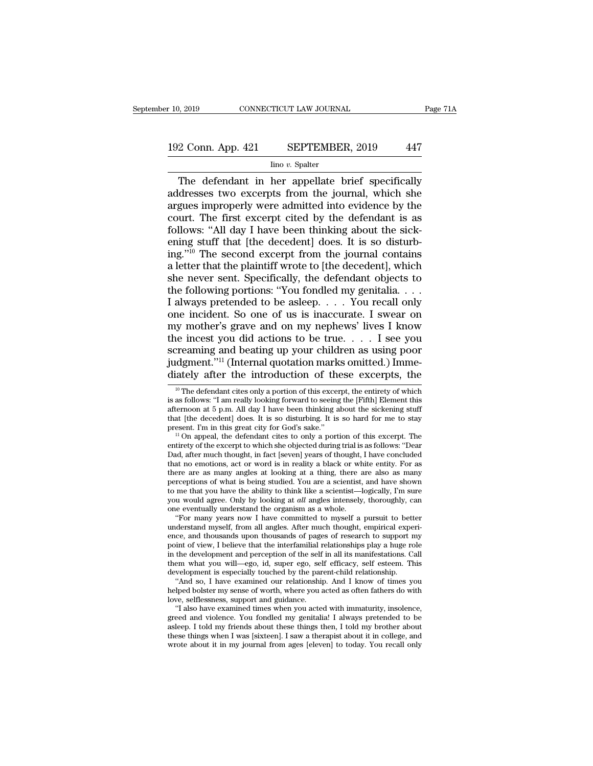# 10, 2019 CONNECTICUT LAW JOURNAL Page 71A<br>192 Conn. App. 421 SEPTEMBER, 2019 447<br>Ino v. Spalter

### Iino *v.* Spalter

 $\frac{2 \text{ Conn. App. 421}}{2 \text{ Conn. App. 421}}$  SEPTEMBER, 2019 447<br>Ino v. Spatter<br>The defendant in her appellate brief specifically<br>dresses two excerpts from the journal, which she<br>gues improperly were admitted into evidence by the 192 Conn. App. 421 SEPTEMBER, 2019 447<br>
Ino v. Spatter<br>
The defendant in her appellate brief specifically<br>
addresses two excerpts from the journal, which she<br>
argues improperly were admitted into evidence by the<br>
court. Th 192 Conn. App. 421 SEPTEMBER, 2019 447<br>  $\frac{\text{line }v. \text{ Spalter}}{\text{Time } v. \text{ Spatter}}$ <br>
The defendant in her appellate brief specifically<br>
addresses two excerpts from the journal, which she<br>
argues improperly were admitted into evidence 192 Conn. App. 421 SEPTEMBER, 2019 447<br>  $\frac{1}{2}$  Ino v. Spalter<br>
The defendant in her appellate brief specifically<br>
addresses two excerpts from the journal, which she<br>
argues improperly were admitted into evidence by the Follows: 'App. 421 B21 LEMBLR, 2019<br>The defendant in her appellate brief specifically<br>addresses two excerpts from the journal, which she<br>argues improperly were admitted into evidence by the<br>court. The first excerpt cited Ino v. Spalter<br>
The defendant in her appellate brief specifically<br>
addresses two excerpts from the journal, which she<br>
argues improperly were admitted into evidence by the<br>
court. The first excerpt cited by the defendant The defendant in her appellate brief specifically<br>addresses two excerpts from the journal, which she<br>argues improperly were admitted into evidence by the<br>court. The first excerpt cited by the defendant is as<br>follows: "All addresses two excerpts from the journal, which she<br>argues improperly were admitted into evidence by the<br>court. The first excerpt cited by the defendant is as<br>follows: "All day I have been thinking about the sick-<br>ening stu argues improperly were admitted into evidence by the<br>court. The first excerpt cited by the defendant is as<br>follows: "All day I have been thinking about the sick-<br>ening stuff that [the decedent] does. It is so disturb-<br>ing court. The first excerpt cited by the defendant is as follows: "All day I have been thinking about the sickening stuff that [the decedent] does. It is so disturbing."<sup>10</sup> The second excerpt from the journal contains a let follows: "All day I have been thinking about the sick-<br>ening stuff that [the decedent] does. It is so disturb-<br>ing."<sup>10</sup> The second excerpt from the journal contains<br>a letter that the plaintiff wrote to [the decedent], wh ening stuff that [the decedent] does. It is so disturbing."<sup>10</sup> The second excerpt from the journal contains a letter that the plaintiff wrote to [the decedent], which she never sent. Specifically, the defendant objects t ing."<sup>10</sup> The second excerpt from the journal contains<br>a letter that the plaintiff wrote to [the decedent], which<br>she never sent. Specifically, the defendant objects to<br>the following portions: "You fondled my genitalia... a letter that the plaintiff wrote to [the decedent], which<br>she never sent. Specifically, the defendant objects to<br>the following portions: "You fondled my genitalia....<br>I always pretended to be asleep.... You recall only<br>o she never sent. Specifically, the defendant objects to<br>the following portions: "You fondled my genitalia....<br>I always pretended to be asleep.... You recall only<br>one incident. So one of us is inaccurate. I swear on<br>my moth the following portions: "You fondled my genitalia. . . . I always pretended to be asleep. . . . You recall only one incident. So one of us is inaccurate. I swear on my mother's grave and on my nephews' lives I know the in I always pretended to be asleep. . . . You recall only<br>one incident. So one of us is inaccurate. I swear on<br>my mother's grave and on my nephews' lives I know<br>the incest you did actions to be true. . . . I see you<br>screamin 10 Internal defendant cites only a portion of these excerpts, the method of the defendant cites only a portion of these excerpts, the  $\frac{10}{10}$  The defendant cites only a portion of this excerpt, the entirety of which a screaming and beating up your children as using poor<br>judgment."<sup>11</sup> (Internal quotation marks omitted.) Imme-<br>diately after the introduction of these excerpts, the<br><sup>10</sup> The defendant cites only a portion of this excerpt,

perceptions of what is being studied. You are a scientist, and have shown<br>to me that you have the ability to think like a scientist—logically, I'm sure<br>you would agree. Only by looking at *all* angles intensely, thoroughly to me that you have the ability to think like a scientist—logically, I'm sure<br>you would agree. Only by looking at *all* angles intensely, thoroughly, can<br>one eventually understand the organism as a whole.<br>"For many years you would agree. Only by looking at *all* angles intensely, thoroughly, can<br>one eventually understand the organism as a whole.<br>"For many years now I have committed to myself a pursuit to better<br>understand myself, from all one eventually understand the organism as a whole.<br>
"For many years now I have committed to myself a pursuit to better<br>
understand myself, from all angles. After much thought, empirical experi-<br>
ence, and thousands upon th "For many years now I have committed to myself a pursuit to better understand myself, from all angles. After much thought, empirical experience, and thousands upon thousands of pages of research to support my point of vie derstand myself, from all angles. After much thought, empirical experice, and thousands upon thousands of pages of research to support my int of view, I believe that the interfamilial relationships play a huge role the dev ence, and thousands upon thousands of pages of research to support my<br>point of view, I believe that the interfamilial relationships play a huge role<br>in the development and perception of the self in all its manifestations. in the development and perception of the self in all its manifestations. Call them what you will—ego, id, super ego, self efficacy, self esteem. This development is especially touched by the parent-child relationship. "And the development and perception of the self in all its manifestations. Call<br>the what you will—ego, id, super ego, self efficacy, self esteem. This<br>welopment is especially touched by the parent-child relationship.<br>"And so, I

them what you will—ego, id, super ego, self efficacy, self esteem. This<br>development is especially touched by the parent-child relationship.<br>"And so, I have examined our relationship. And I know of times you<br>helped bolster development is especially touched by the parent-child relationship.<br>
"And so, I have examined our relationship. And I know of times you<br>
helped bolster my sense of worth, where you acted as often fathers do with<br>
love, sel "And so, I have examined our relationship. And I know of times you helped bolster my sense of worth, where you acted as often fathers do with love, selflessness, support and guidance.<br>"I also have examined times when you helped bolster my sense of worth, where you acted as often fathers do with<br>love, selflessness, support and guidance.<br>"I also have examined times when you acted with immaturity, insolence,<br>greed and violence. You fondled my

Screaming and beaing up your cinitient as using poor<br>judgment."<sup>11</sup> (Internal quotation marks omitted.) Imme-<br>diately after the introduction of these excerpts, the<br> $\frac{10}{10}$  The defendant cites only a portion of this ex diately after the introduction of these excerpts, the  $\frac{10}{10}$  The defendant cites only a portion of this excerpt, the entirety of which is as follows: "I am really looking forward to seeing the [Fifth] Element this af diately after the introduction of these excerpts, the<br>
<sup>10</sup> The defendant cites only a portion of this excerpt, the entirety of which<br>
is as follows: "I am really looking forward to seeing the [Fifth] Element this<br>
aftern

afternoon at 5 p.m. All day I have been thinking about the sickening stuff that [the decedent] does. It is so disturbing. It is so hard for me to stay present. I'm in this great city for God's sake."<br>
" On appeal, the def is as follows: "I am really looking forward to seeing the [Fifth] Element this afternoon at 5 p.m. All day I have been thinking about the sickening stuff that [the decedent] does. It is so disturbing. It is so hard for me entirety of the excerpt to which she objected during trial is as follows: "Dear<br>Dad, after much thought, in fact [seven] years of thought, I have concluded<br>that no emotions, act or word is in reality a black or white entit that [the decedent] does. It is so disturbing. It is so hard for me to stay<br>present. I'm in this great city for God's sake."<br>
<sup>11</sup> On appeal, the defendant cites to only a portion of this excerpt. The<br>
entirety of the exce present. I'm in this great city for God's sake."<br>
<sup>11</sup> On appeal, the defendant cites to only a portion of this excerpt. The<br>
entirety of the excerpt to which she objected during trial is as follows: "Dear<br>
Dad, after muc <sup>11</sup> On appeal, the defendant cites to only a portion of this excerpt. The entirety of the excerpt to which she objected during trial is as follows: "Dear Dad, after much thought, in fact [seven] years of thought, I have entirety of the excerpt to which she objected during trial is as follows: "Dear<br>Dad, after much thought, in fact [seven] years of thought, I have concluded<br>that no emotions, act or word is in reality a black or white entit Dad, after much thought, in fact [seven] years of thought,<br>that no emotions, act or word is in reality a black or wh<br>there are as many angles at looking at a thing, there a<br>perceptions of what is being studied. You are a at no emotions, act or word is in reality a black or white entity. For as<br>ere are as many angles at looking at a thing, there are also as many<br>rceptions of what is being studied. You are a scientist, and have shown<br>me that there are as many angles at looking at a thing, there are also as many<br>perceptions of what is being studied. You are a scientist, and have shown<br>to me that you have the ability to think like a scientist—logically, I'm sure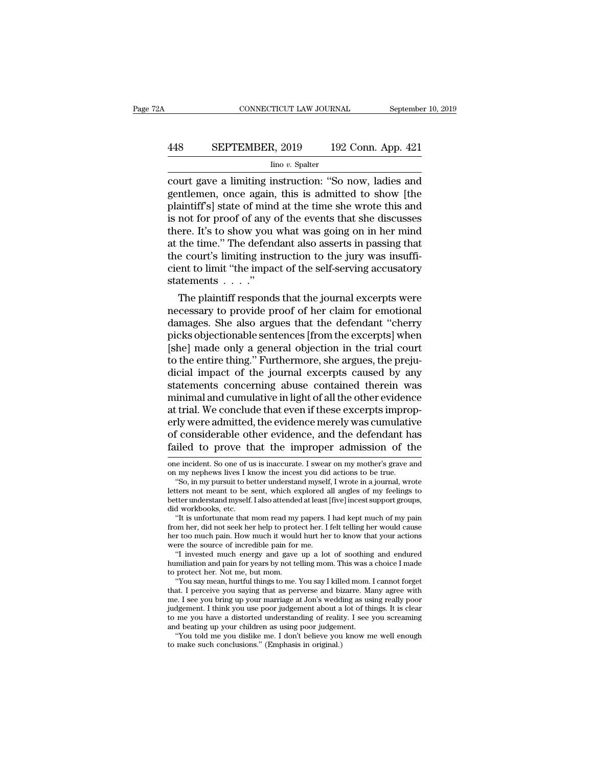# CONNECTICUT LAW JOURNAL September 10, 2019<br>448 SEPTEMBER, 2019 192 Conn. App. 421<br>100 v. Spalter

### Iino *v.* Spalter

CONNECTICUT LAW JOURNAL September 10, 2019<br>
448 SEPTEMBER, 2019 192 Conn. App. 421<br>
192 Conn. App. 421<br>
192 Conn. App. 421<br>
2001 European September 10, 2019<br>
2011 European September 2013<br>
2011 European September 1913<br>
2011 SEPTEMBER, 2019 192 Conn. App. 421<br>
Imo v. Spalter<br>
court gave a limiting instruction: "So now, ladies and<br>
gentlemen, once again, this is admitted to show [the<br>
plaintiff's] state of mind at the time she wrote this and<br>
i **EXEPTEMBER, 2019** 192 Conn. App. 421<br>  $\frac{\text{line }v. \text{ Spalter}}{\text{count gave a limiting instruction: "So now, ladies and  
gentlemen, once again, this is admitted to show [the  
plaintiff's] state of mind at the time she wrote this and  
is not for proof of any of the events that she discusses  
there. It's to show you what was going on in her mind$ **EXECTEMBER, 2019** 192 Conn. App. 421<br>  $\frac{1}{2}$  Inno v. Spalter<br>
court gave a limiting instruction: "So now, ladies and<br>
gentlemen, once again, this is admitted to show [the<br>
plaintiff's] state of mind at the time she wr  $\frac{\text{line }v. \text{ Spalter}}{\text{count gave a limiting instruction: "So now, ladies and  
gentlemen, once again, this is admitted to show [the  
plaintext's] state of mind at the time she wrote this and  
is not for proof of any of the events that she discusses  
there. It's to show you what was going on in her mind  
at the time." The defendant also asserts in passing that  
the court's limiting instruction to the jury was insight.$  $\frac{\text{line }v \cdot \text{Spattern}}{\text{count gave a limiting instruction: "So now, ladies and  
gentlemen, once again, this is admitted to show [the  
plaintiff's] state of mind at the time she wrote this and  
is not for proof of any of the events that she discusses  
there. It's to show you what was going on in her mind  
at the time." The defendant also asserts in passing that  
the court's limiting instruction to the jury was insuffi-  
cient to limit "the impact of the self serving necessary$ court gave a limiting instruction: "So now, ladies and<br>gentlemen, once again, this is admitted to show [the<br>plaintiff's] state of mind at the time she wrote this and<br>is not for proof of any of the events that she discusses gentlemen, once again, this is admitted to show [the plaintiff's] state of mind at the time she wrote this and is not for proof of any of the events that she discusses there. It's to show you what was going on in her mind plaintiff's] state of mind<br>is not for proof of any of<br>there. It's to show you<br>at the time." The defend<br>the court's limiting inst<br>cient to limit "the impace<br>statements . . . . ."<br>The plaintiff respond: not for proof of any of the events that she discusses<br>ere. It's to show you what was going on in her mind<br>the time." The defendant also asserts in passing that<br>e court's limiting instruction to the jury was insuffi-<br>ent to there. It's to show you what was going on in her mind<br>at the time." The defendant also asserts in passing that<br>the court's limiting instruction to the jury was insuffi-<br>cient to limit "the impact of the self-serving accusa

at the time. The defendant also asserts in passing that<br>the court's limiting instruction to the jury was insuffi-<br>cient to limit "the impact of the self-serving accusatory<br>statements . . . ."<br>The plaintiff responds that th the court s imiting instruction to the jury was insum-<br>cient to limit "the impact of the self-serving accusatory<br>statements . . . ."<br>The plaintiff responds that the journal excerpts were<br>necessary to provide proof of her c cient to limit "the impact of the self-serving accusatory<br>statements  $\ldots$ ."<br>The plaintiff responds that the journal excerpts were<br>necessary to provide proof of her claim for emotional<br>damages. She also argues that the de statements . . . .<br>The plaintiff responds that the journal excerpts were<br>necessary to provide proof of her claim for emotional<br>damages. She also argues that the defendant "cherry<br>picks objectionable sentences [from the exc The plaintiff responds that the journal excerpts were<br>necessary to provide proof of her claim for emotional<br>damages. She also argues that the defendant "cherry<br>picks objectionable sentences [from the excerpts] when<br>[she] m necessary to provide proof of her claim for emotional<br>damages. She also argues that the defendant "cherry<br>picks objectionable sentences [from the excerpts] when<br>[she] made only a general objection in the trial court<br>to the damages. She also argues that the defendant "cherry<br>picks objectionable sentences [from the excerpts] when<br>[she] made only a general objection in the trial court<br>to the entire thing." Furthermore, she argues, the preju-<br>di picks objectionable sentences [from the excerpts] when<br>[she] made only a general objection in the trial court<br>to the entire thing." Furthermore, she argues, the preju-<br>dicial impact of the journal excerpts caused by any<br>st [she] made only a general objection in the trial court<br>to the entire thing." Furthermore, she argues, the preju-<br>dicial impact of the journal excerpts caused by any<br>statements concerning abuse contained therein was<br>minimal to the entire thing." Furthermore, she argues, the preju-<br>dicial impact of the journal excerpts caused by any<br>statements concerning abuse contained therein was<br>minimal and cumulative in light of all the other evidence<br>at t dicial impact of the journal excerpts caused by any<br>statements concerning abuse contained therein was<br>minimal and cumulative in light of all the other evidence<br>at trial. We conclude that even if these excerpts improp-<br>erly at trial. We conclude that even if these excerpts improperly were admitted, the evidence merely was cumulative<br>of considerable other evidence, and the defendant has<br>failed to prove that the improper admission of the<br>one in erly were admitted, the evidence merely was cumulative<br>of considerable other evidence, and the defendant ha<br>failed to prove that the improper admission of the<br>me incident. So one of us is inaccurate. I swear on my mother's The solution of the evolution of the defendant has<br>
iled to prove that the improper admission of the<br>
ile incident. So one of us is inaccurate. I swear on my mother's grave and<br>
in my nephews lives I know the incest you di

of considerable other evidence, and the defendant has<br>failed to prove that the improper admission of the<br>one incident. So one of us is inaccurate. I swear on my mother's grave and<br>on my nephews lives I know the incest you failed to prove that the improper admission of the<br>one incident. So one of us is inaccurate. I swear on my mother's grave and<br>on my nephews lives I know the incest you did actions to be true.<br>"So, in my pursuit to better u one incident. So one of us is inaccurate. I swear on my mother's grave and<br>on my nephews lives I know the incest you did actions to be true.<br>"So, in my pursuit to better understand myself, I wrote in a journal, wrote<br>lette is unity of the moment of the increases in the increase in the may nephews lives I know the incest you did actions to be true.<br>
"So, in my pursuit to better understand myself, I wrote in a journal, wrote<br>
ters not meant to on my nephews lives I know the incest you did actions to be true.<br>
"So, in my pursuit to better understand myself, I wrote in a journal, wrote<br>
letters not meant to be sent, which explored all angles of my feelings to<br>
bet

letters not meant to be sent, which explored all angles of my feelings to better understand myself. I also attended at least [five] incest support groups, did workbooks, etc. "It is unfortunate that mom read my papers. I h better understand myself. I also attended at least [five] incest support groups,<br>did workbooks, etc.<br>"It is unfortunate that mom read my papers. I had kept much of my pain<br>from her, did not seek her help to protect her. I tter understand myself. I also attended at least [five] incest support groups,<br>
"It is unfortunate that mom read my papers. I had kept much of my pain<br>
"It is unfortunate that mom read my papers. I had kept much of my pain did workbooks, etc.<br>
"It is unfortunate that mom read my papers. I had kept much of my pain<br>
from her, did not seek her help to protect her. I felt telling her would cause<br>
her too much pain. How much it would hurt her to from her, did not seek her help to protect her. I felt telling her would cause<br>her too much pain. How much it would hurt her to know that your actions<br>were the source of incredible pain for me.<br>"I invested much energy and of the mean and the seek her help to protect her. I felt telling her would cause<br>or too much pain. How much it would hurt her to know that your actions<br>ere the source of incredible pain for me.<br>"I invested much energy and

her too much pain. How much it would hurt her to know that your actions<br>were the source of incredible pain for me.<br>"I invested much energy and gave up a lot of soothing and endured<br>humiliation and pain for years by not tel were the source of incredible pain for me.<br>
"I invested much energy and gave up a lot of soothing and endured<br>
humiliation and pain for years by not telling mom. This was a choice I made<br>
to protect her. Not me, but mom.<br> "I invested much energy and gave up a lot of soothing and endured<br>humiliation and pain for years by not telling mom. This was a choice I made<br>to protect her. Not me, but mom.<br>"You say mean, hurtful things to me. You say I humiliation and pain for years by not telling mom. This was a choice I made<br>to protect her. Not me, but mom.<br>"You say mean, hurtful things to me. You say I killed mom. I cannot forget<br>that. I perceive you saying that as pe to protect her. Not me, but mom.<br>
"You say mean, hurtful things to me. You say I killed mom. "<br>
that. I perceive you saying that as perverse and bizarre. Ma<br>
me. I see you bring up your marriage at Jon's wedding as usi<br>
ju "You say mean, hurtful things to me. You say I killed mom. I cannot forget at. I perceive you saying that as perverse and bizarre. Many agree with e. I see you bring up your marriage at Jon's wedding as using really poor d me. I see you bring up your marriage at Jon's wedding as using really poor judgement. I think you use poor judgement about a lot of things. It is clear to me you have a distorted understanding of reality. I see you screami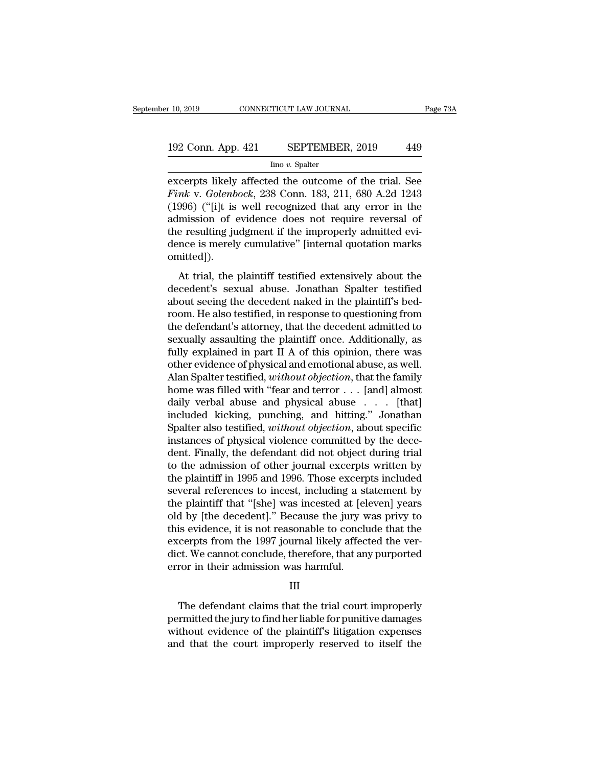# 10, 2019 CONNECTICUT LAW JOURNAL Page 73A<br>192 Conn. App. 421 SEPTEMBER, 2019 449<br>192 Conn. App. 421 SEPTEMBER, 2019 449

Iino *v.* Spalter

excerpts likely affected the outcome of the trial. See<br>
Finds connection of the trial. See<br>
Finds v. Golenbock, 238 Conn. 183, 211, 680 A.2d 1243<br>
(1996) ("Tilt is well recognized that any error in the **Find** 2008. The *Fink* v. *Golenbock*, 238 Conn. 183, 211, 680 A.2d 1243<br> **Fink** v. *Golenbock*, 238 Conn. 183, 211, 680 A.2d 1243<br> **Fink** v. *Golenbock*, 238 Conn. 183, 211, 680 A.2d 1243<br> **Fink** is well recognized that 192 Conn. App. 421 SEPTEMBER, 2019 449<br>  $\frac{\text{line }v. \text{ Spalter}}{\text{excepts likely affected the outcome of the trial. See}$ <br>
Fink v. Golenbock, 238 Conn. 183, 211, 680 A.2d 1243<br>
(1996) ("[i]t is well recognized that any error in the<br>
admission of evidence does not requir 192 Conn. App. 421 SEPTEMBER, 2019 449<br>  $\frac{1}{2}$  Imo v. Spalter<br>
excerpts likely affected the outcome of the trial. See<br> *Fink* v. *Golenbock*, 238 Conn. 183, 211, 680 A.2d 1243<br>
(1996) ("[i]t is well recognized that any  $\frac{\text{line }v. \text{ Spalter}}{\text{line }v. \text{ Spalter}}$ <br>  $\frac{\text{line }v. \text{ Spalter}}{\text{error}}$ <br>  $\frac{\text{Fink } v. \text{ Golenbock, 238 Conn. 183, 211, 680 A.2d 1243}}{\text{(1996)} \cdot \text{(``[i]t is well recognized that any error in the admission of evidence does not require reversal of the resulting judgment if the improperly admitted evidence is merely cumulative'' [internal quotation marks omitted])}$  $\frac{\text{Im} \sigma v. \text{ Spattern}}{\text{ex} \text{cor} \text{Fink v.} \text{ Golenbook, 238 Conn. 183, 211, 680 A.2d 1243}}$ <br>(1996) ("[i]t is well recognized that any error in the admission of evidence does not require reversal of the resulting judgment if the improperly omitted]). Mary: doctoroota, 250 Colai. 155, 211, 656 T.2d 1216<br>996) ("[i]t is well recognized that any error in the<br>mission of evidence does not require reversal of<br>e resulting judgment if the improperly admitted evi-<br>nce is merely (1555) (Fig. is well recognized that any error in the admission of evidence does not require reversal of the resulting judgment if the improperly admitted evidence is merely cumulative" [internal quotation marks omitted])

admission of evidence does not require reversal of<br>the resulting judgment if the improperly admitted evi-<br>dence is merely cumulative" [internal quotation marks<br>omitted]).<br>At trial, the plaintiff testified extensively about room. He also testified extensively admitted cwidence is merely cumulative" [internal quotation marks<br>omitted]).<br>At trial, the plaintiff testified extensively about the<br>decedent's sexual abuse. Jonathan Spalter testified<br>a omitted]).<br>
At trial, the plaintiff testified extensively about the<br>
decedent's sexual abuse. Jonathan Spalter testified<br>
about seeing the decedent naked in the plaintiff's bed-<br>
room. He also testified, in response to qu At trial, the plaintiff testified extensively about the decedent's sexual abuse. Jonathan Spalter testified about seeing the decedent naked in the plaintiff's bedroom. He also testified, in response to questioning from the At trial, the plaintiff testified extensively about the<br>decedent's sexual abuse. Jonathan Spalter testified<br>about seeing the decedent naked in the plaintiff's bed-<br>room. He also testified, in response to questioning from<br>t decedent's sexual abuse. Jonathan Spalter testified<br>about seeing the decedent naked in the plaintiff's bed-<br>room. He also testified, in response to questioning from<br>the defendant's attorney, that the decedent admitted to<br>s about seeing the decedent naked in the plaintiff's bed-<br>room. He also testified, in response to questioning from<br>the defendant's attorney, that the decedent admitted to<br>sexually assaulting the plaintiff once. Additionally, room. He also testified, in response to questioning from<br>the defendant's attorney, that the decedent admitted to<br>sexually assaulting the plaintiff once. Additionally, as<br>fully explained in part II A of this opinion, there the defendant's attorney, that the decedent admitted to<br>sexually assaulting the plaintiff once. Additionally, as<br>fully explained in part II A of this opinion, there was<br>other evidence of physical and emotional abuse, as we sexually assaulting the plaintiff once. Additionally, as<br>fully explained in part II A of this opinion, there was<br>other evidence of physical and emotional abuse, as well.<br>Alan Spalter testified, without objection, that the fully explained in part II A of this opinion, there was<br>other evidence of physical and emotional abuse, as well.<br>Alan Spalter testified, *without objection*, that the family<br>home was filled with "fear and terror . . . [and other evidence of physical and emotional abuse, as well.<br>Alan Spalter testified, *without objection*, that the family<br>home was filled with "fear and terror  $\ldots$  [and] almost<br>daily verbal abuse and physical abuse  $\ldots$  [t Alan Spalter testified, *without objection*, that the family<br>home was filled with "fear and terror  $\ldots$  [and] almost<br>daily verbal abuse and physical abuse  $\ldots$  [that]<br>included kicking, punching, and hitting." Jonathan<br>S home was filled with "fear and terror  $\dots$  [and] almost<br>daily verbal abuse and physical abuse  $\dots$  [that]<br>included kicking, punching, and hitting." Jonathan<br>Spalter also testified, *without objection*, about specific<br>inst daily verbal abuse and physical abuse . . . [that]<br>included kicking, punching, and hitting." Jonathan<br>Spalter also testified, *without objection*, about specific<br>instances of physical violence committed by the dece-<br>dent. included kicking, punching, and hitting." Jonathan<br>Spalter also testified, *without objection*, about specific<br>instances of physical violence committed by the dece-<br>dent. Finally, the defendant did not object during trial<br> Spalter also testified, *without objection*, about specific<br>instances of physical violence committed by the dece-<br>dent. Finally, the defendant did not object during trial<br>to the admission of other journal excerpts written instances of physical violence committed by the decedent. Finally, the defendant did not object during trial<br>to the admission of other journal excerpts written by<br>the plaintiff in 1995 and 1996. Those excerpts included<br>sev dent. Finally, the defendant did not object during trial<br>to the admission of other journal excerpts written by<br>the plaintiff in 1995 and 1996. Those excerpts included<br>several references to incest, including a statement by<br> to the admission of other journal excerpts written by<br>the plaintiff in 1995 and 1996. Those excerpts included<br>several references to incest, including a statement by<br>the plaintiff that "[she] was incested at [eleven] years<br> the plaintiff in 1995 and 1996. Those excerpts included<br>several references to incest, including a statement by<br>the plaintiff that "[she] was incested at [eleven] years<br>old by [the decedent]." Because the jury was privy to<br> several references to incest, including a st<br>the plaintiff that "[she] was incested at [el<br>old by [the decedent]." Because the jury v<br>this evidence, it is not reasonable to conclu<br>excerpts from the 1997 journal likely affe is evidence, it is not reasonable to conclude that the<br>cerpts from the 1997 journal likely affected the ver-<br>ct. We cannot conclude, therefore, that any purported<br>ror in their admission was harmful.<br>III<br>The defendant claim

### III

excerpts from the 1997 journal likely affected the ver-<br>dict. We cannot conclude, therefore, that any purported<br>error in their admission was harmful.<br>III<br>The defendant claims that the trial court improperly<br>permitted the j dict. We cannot conclude, therefore, that any purported<br>error in their admission was harmful.<br>III<br>The defendant claims that the trial court improperly<br>permitted the jury to find her liable for punitive damages<br>without evid error in their admission was harmful.<br>
III<br>
The defendant claims that the trial court improperly<br>
permitted the jury to find her liable for punitive damages<br>
without evidence of the plaintiff's litigation expenses<br>
and tha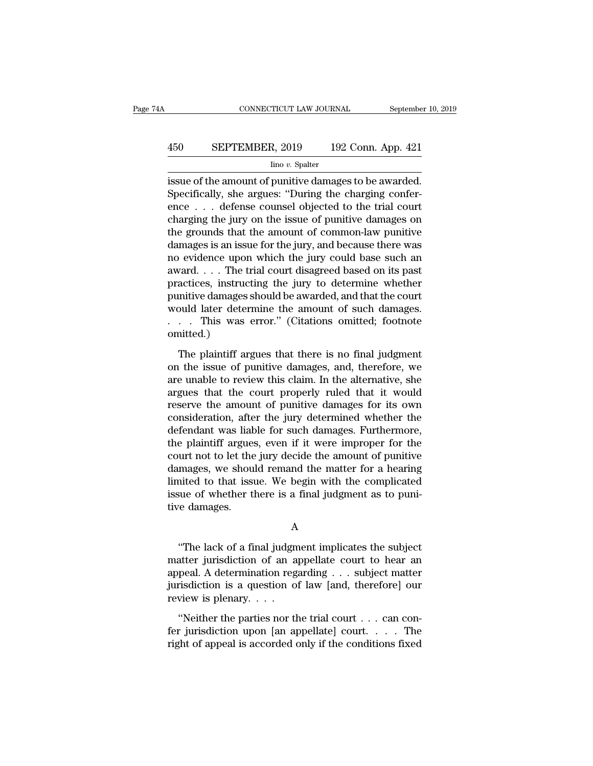# CONNECTICUT LAW JOURNAL September 10, 2019<br>450 SEPTEMBER, 2019 192 Conn. App. 421<br>100 v. Spalter

#### Iino *v.* Spalter

CONNECTICUT LAW JOURNAL September 10, 2<br>
450 SEPTEMBER, 2019 192 Conn. App. 421<br>
192 Conn. App. 421<br>
192 Conn. App. 421<br>
192 Conn. App. 421<br>
192 Conn. App. 421<br>
192 Conn. App. 421<br>
192 Conn. App. 421<br>
192 Conn. App. 421<br>
1 SEPTEMBER, 2019 192 Conn. App. 421<br>  $\frac{\text{line }v. \text{ Spalter}}{\text{line }v. \text{ Spatter}}$ <br>
Specifically, she argues: "During the charging confer-<br>
ence . . . defense counsel objected to the trial court<br>
charging the jury on the issue of punitiv 450 SEPTEMBER, 2019 192 Conn. App. 421<br>  $\frac{\text{line }v. \text{ Spalter}}{\text{is sue of the amount of punity damages to be awarded.}}$ <br>
Specifically, she argues: "During the charging conference . . . defense counsel objected to the trial court<br>
charging the jury on the issue of pu EPTEMBER, 2019 192 Conn. App. 421<br>  $\frac{\text{line }v. \text{ Spalter}}{\text{line }v. \text{ Spatter}}$ <br>
issue of the amount of punitive damages to be awarded.<br>
Specifically, she argues: "During the charging confer-<br>
ence . . . defense counsel objected to the  $\frac{1}{11}$  line v. Spalter<br>
issue of the amount of punitive damages to be awarded.<br>
Specifically, she argues: "During the charging confer-<br>
ence . . . defense counsel objected to the trial court<br>
charging the jury on the  $\frac{1}{2}$  into v. spatier<br>issue of the amount of punitive damages to be awarded.<br>Specifically, she argues: "During the charging confer-<br>ence . . . defense counsel objected to the trial court<br>charging the jury on the issue issue of the amount of punitive damages to be awarded.<br>Specifically, she argues: "During the charging conference . . . defense counsel objected to the trial court<br>charging the jury on the issue of punitive damages on<br>the Specifically, she argues: "During the charging conference . . . defense counsel objected to the trial court charging the jury on the issue of punitive damages on the grounds that the amount of common-law punitive damages ence  $\dots$  defense counsel objected to the trial court<br>charging the jury on the issue of punitive damages on<br>the grounds that the amount of common-law punitive<br>damages is an issue for the jury, and because there was<br>no evi charging the jury on the issue of punitive damages on<br>the grounds that the amount of common-law punitive<br>damages is an issue for the jury, and because there was<br>no evidence upon which the jury could base such an<br>award. . . the grounds that the amount of common-law punitive<br>damages is an issue for the jury, and because there was<br>no evidence upon which the jury could base such an<br>award....The trial court disagreed based on its past<br>practices, damages is an issue for the jury, and because there was<br>no evidence upon which the jury could base such an<br>award....The trial court disagreed based on its past<br>practices, instructing the jury to determine whether<br>punitive omitted.) actices, instructing the jury to determine whether<br>mitive damages should be awarded, and that the court<br>build later determine the amount of such damages.<br>... This was error." (Citations omitted; footnote<br>nitted.)<br>The plai punitive damages should be awarded, and that the court<br>would later determine the amount of such damages.<br> $\ldots$  This was error." (Citations omitted; footnote<br>omitted.)<br>The plaintiff argues that there is no final judgment<br>o

would later determine the amount of such damages.<br>  $\dots$  This was error." (Citations omitted; footnote omitted.)<br>
The plaintiff argues that there is no final judgment<br>
on the issue of punitive damages, and, therefore, we<br> argues that there is no final judgment<br>and the plaintiff argues that there is no final judgment<br>on the issue of punitive damages, and, therefore, we<br>are unable to review this claim. In the alternative, she<br>argues that the reserve the plaintiff argues that there is no final judgment<br>on the issue of punitive damages, and, therefore, we<br>are unable to review this claim. In the alternative, she<br>argues that the court properly ruled that it would<br> The plaintiff argues that there is no final judgment<br>on the issue of punitive damages, and, therefore, we<br>are unable to review this claim. In the alternative, she<br>argues that the court properly ruled that it would<br>reserve The plaintiff argues that there is no final judgment<br>on the issue of punitive damages, and, therefore, we<br>are unable to review this claim. In the alternative, she<br>argues that the court properly ruled that it would<br>reserve on the issue of punitive damages, and, therefore, we<br>are unable to review this claim. In the alternative, she<br>argues that the court properly ruled that it would<br>reserve the amount of punitive damages for its own<br>considerat are unable to review this claim. In the alternative, she<br>argues that the court properly ruled that it would<br>reserve the amount of punitive damages for its own<br>consideration, after the jury determined whether the<br>defendant argues that the court properly ruled that it would<br>reserve the amount of punitive damages for its own<br>consideration, after the jury determined whether the<br>defendant was liable for such damages. Furthermore,<br>the plaintiff a reserve the amount of punitive damages for its own<br>consideration, after the jury determined whether the<br>defendant was liable for such damages. Furthermore,<br>the plaintiff argues, even if it were improper for the<br>court not t consideration, after the jury determined whether the<br>defendant was liable for such damages. Furthermore,<br>the plaintiff argues, even if it were improper for the<br>court not to let the jury decide the amount of punitive<br>damage defendant was liak<br>the plaintiff argues<br>court not to let the<br>damages, we shou<br>limited to that issu<br>issue of whether tl<br>tive damages. mages, we should remand the matter for a hearing<br>
inted to that issue. We begin with the complicated<br>
sue of whether there is a final judgment as to puni-<br>
re damages.<br>
A<br>
"The lack of a final judgment implicates the subje

A

limited to that issue. We begin with the complicated<br>issue of whether there is a final judgment as to puni-<br>tive damages.<br>A<br>"The lack of a final judgment implicates the subject<br>matter jurisdiction of an appellate court to issue of whether there is a final judgment as to punitive damages.<br>
A<br>
"The lack of a final judgment implicates the subject<br>
matter jurisdiction of an appellate court to hear an<br>
appeal. A determination regarding . . . sub A<br>
"The lack of a final judgment implicates the subject<br>
matter jurisdiction of an appellate court to hear an<br>
appeal. A determination regarding . . . subject matter<br>
jurisdiction is a question of law [and, therefore] our<br> A<br>
"The lack of a final judgm<br>
matter jurisdiction of an a<br>
appeal. A determination regi<br>
jurisdiction is a question of<br>
review is plenary. . . .<br>
"Neither the parties nor the "The lack of a final judgment implicates the subject<br>atter jurisdiction of an appellate court to hear an<br>peal. A determination regarding . . . subject matter<br>risdiction is a question of law [and, therefore] our<br>view is pl matter jurisdiction of an appellate court to hear an appeal. A determination regarding . . . subject matter jurisdiction is a question of law [and, therefore] our review is plenary. . . .<br>"Neither the parties nor the tria appeal. A determination regarding  $\ldots$  subject matter jurisdiction is a question of law [and, therefore] our review is plenary.  $\ldots$  "Neither the parties nor the trial court  $\ldots$  can confer jurisdiction upon [an appell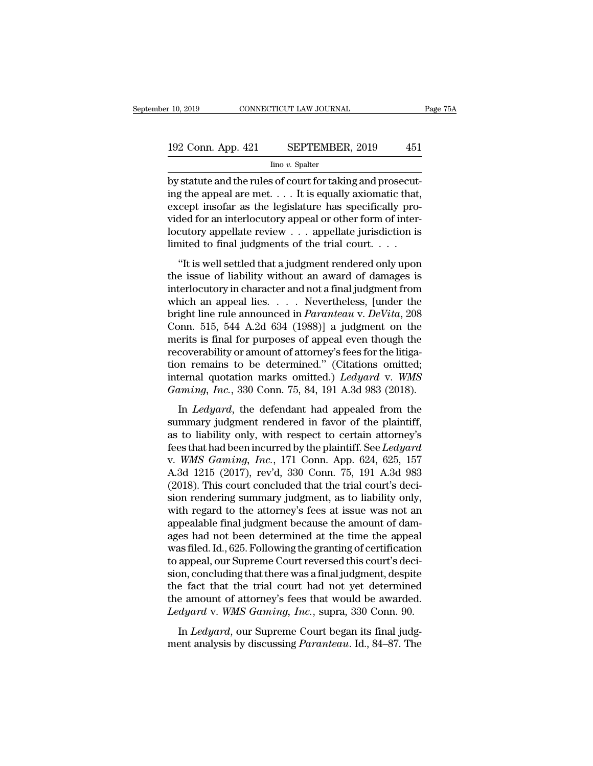# $\begin{tabular}{l l l l} \hline r10, 2019 & & & & & & \mbox{\textbf{CONNECTICUT LAW JOURNAL}} \\\hline \end{tabular} \begin{tabular}{l l l l l} \hline & & & & \mbox{\textbf{StepTEMBER, 2019}} \\\hline & & & \mbox{\textbf{line }v. Spalter} \\\hline \end{tabular}$

Iino *v.* Spalter

by statute and the rules of court for taking and prosecuting the appeal are met. . . . It is equally axiomatic that, and the rules of court for taking and prosecuting the appeal are met. . . . It is equally axiomatic that, 192 Conn. App. 421 SEPTEMBER, 2019 451<br>  $\frac{1}{2}$  into v. Spalter<br>
by statute and the rules of court for taking and prosecuting the appeal are met. . . . It is equally axiomatic that,<br>
except insofar as the legislature ha 192 Conn. App. 421 SEPTEMBER, 2019 451<br>  $\frac{\text{line }v. \text{ Spalter}}{\text{line }v. \text{ Spalter}}$ <br>
by statute and the rules of court for taking and prosecuting the appeal are met. . . . It is equally axiomatic that, except insofar as the legislatur 192 Conn. App. 421 SEPTEMBER, 2019 451<br>  $\frac{1}{2}$  Ino *v*. Spalter<br>
by statute and the rules of court for taking and prosecut-<br>
ing the appeal are met. . . . It is equally axiomatic that,<br>
except insofar as the legislatur  $\frac{\text{line }v. \text{ Spalter}}{\text{line }v. \text{ Spalter}}$ <br>
by statute and the rules of court for taking and prosecuting the appeal are met. . . . It is equally axiomatic that, except insofar as the legislature has specifically provided for an inter  $\frac{\ln 6 v. \text{ Spalter}}{\ln 6 v. \text{ Spatter}}$ <br>by statute and the rules of court for taking and prosecuting the appeal are met. . . . It is equally axiomatic that,<br>except insofar as the legislature has specifically pro-<br>vided for an interl Statute and the rules of court for taking and prosecute<br>g the appeal are met. . . . It is equally axiomatic that,<br>cept insofar as the legislature has specifically pro-<br>ded for an interlocutory appeal or other form of inte the issue of liability without an award of damages inter-<br>interlocutory appellate review  $\ldots$  appellate jurisdiction is<br>limited to final judgments of the trial court.  $\ldots$ <br>"It is well settled that a judgment rendered on

vided for an interlocutory appeal or other form of inter-<br>locutory appellate review  $\dots$  appellate jurisdiction is<br>limited to final judgments of the trial court.  $\dots$ <br>"It is well settled that a judgment rendered only upon bocutory appellate review . . . appellate jurisdiction is<br>limited to final judgments of the trial court. . . .<br>"It is well settled that a judgment rendered only upon<br>the issue of liability without an award of damages is<br>i bright limited to final judgments of the trial court.<br>
"It is well settled that a judgment rendered only upon<br>
the issue of liability without an award of damages is<br>
interlocutory in character and not a final judgment from "It is well settled that a judgment rendered only upon<br>the issue of liability without an award of damages is<br>interlocutory in character and not a final judgment from<br>which an appeal lies. . . . Nevertheless, [under the<br>br "It is well settled that a judgment rendered only upon<br>the issue of liability without an award of damages is<br>interlocutory in character and not a final judgment from<br>which an appeal lies. . . . Nevertheless, [under the<br>br the issue of liability without an award of damages is<br>interlocutory in character and not a final judgment from<br>which an appeal lies. . . . Nevertheless, [under the<br>bright line rule announced in *Paranteau* v. *DeVita*, 20 interlocutory in character and not a final judgment from<br>which an appeal lies.... Nevertheless, [under the<br>bright line rule announced in *Paranteau* v. *DeVita*, 208<br>Conn. 515, 544 A.2d 634 (1988)] a judgment on the<br>merit which an appeal lies. . . . Nevertheless, [under the<br>bright line rule announced in *Paranteau* v. *DeVita*, 208<br>Conn. 515, 544 A.2d 634 (1988)] a judgment on the<br>merits is final for purposes of appeal even though the<br>recov bright line rule announced in *Paranteau* v. *DeVita*, 208<br>Conn. 515, 544 A.2d 634 (1988)] a judgment on the<br>merits is final for purposes of appeal even though the<br>recoverability or amount of attorney's fees for the litiga Final *CDS*, *CHT* 1.2d *CDT* (1600)] a jaignent on the erits is final for purposes of appeal even though the coverability or amount of attorney's fees for the litiga-<br>on remains to be determined." (Citations omitted; tern summary is many or appear of appear of a longitude<br>recoverability or amount of attorney's fees for the litiga-<br>tion remains to be determined." (Citations omitted;<br>internal quotation marks omitted.) *Ledyard* v. WMS<br>Gaming,

recoverasing or anoan or anomicy sites for the hagaroon remains to be determined." (Citations omitted;<br>internal quotation marks omitted.) Ledyard v. WMS<br>Gaming, Inc., 330 Conn. 75, 84, 191 A.3d 983 (2018).<br>In Ledyard, the internal quotation marks omitted.) *Ledyard* v. *WMS*<br>Gaming, Inc., 330 Conn. 75, 84, 191 A.3d 983 (2018).<br>In *Ledyard*, the defendant had appealed from the<br>summary judgment rendered in favor of the plaintiff,<br>as to liabil Gaming, Inc., 330 Conn. 75, 84, 191 A.3d 983 (2018).<br>In *Ledyard*, the defendant had appealed from the<br>summary judgment rendered in favor of the plaintiff,<br>as to liability only, with respect to certain attorney's<br>fees that In *Ledyard*, the defendant had appealed from the<br>summary judgment rendered in favor of the plaintiff,<br>as to liability only, with respect to certain attorney's<br>fees that had been incurred by the plaintiff. See *Ledyard*<br>v In *Ledyard*, the defendant had appealed from the<br>summary judgment rendered in favor of the plaintiff,<br>as to liability only, with respect to certain attorney's<br>fees that had been incurred by the plaintiff. See *Ledyard*<br>v. summary judgment rendered in favor of the plaintiff,<br>as to liability only, with respect to certain attorney's<br>fees that had been incurred by the plaintiff. See *Ledyard*<br>v. *WMS Gaming, Inc.*, 171 Conn. App. 624, 625, 157<br> as to liability only, with respect to certain attorney's<br>fees that had been incurred by the plaintiff. See *Ledyard*<br>v. *WMS Gaming, Inc.*, 171 Conn. App. 624, 625, 157<br>A.3d 1215 (2017), rev'd, 330 Conn. 75, 191 A.3d 983<br>( fees that had been incurred by the plaintiff. See *Ledyard* v. WMS Gaming, Inc., 171 Conn. App. 624, 625, 157 A.3d 1215 (2017), rev'd, 330 Conn. 75, 191 A.3d 983 (2018). This court concluded that the trial court's decision v. *WMS Gaming, Inc.*, 171 Conn. App. 624, 625, 157<br>A.3d 1215 (2017), rev'd, 330 Conn. 75, 191 A.3d 983<br>(2018). This court concluded that the trial court's deci-<br>sion rendering summary judgment, as to liability only,<br>with A.3d 1215 (2017), rev'd, 330 Conn. 75, 191 A.3d 983<br>(2018). This court concluded that the trial court's deci-<br>sion rendering summary judgment, as to liability only,<br>with regard to the attorney's fees at issue was not an<br>ap (2018). This court concluded that the trial court's decision rendering summary judgment, as to liability only, with regard to the attorney's fees at issue was not an appealable final judgment because the amount of damages sion rendering summary judgment, as to liability only,<br>with regard to the attorney's fees at issue was not an<br>appealable final judgment because the amount of dam-<br>ages had not been determined at the time the appeal<br>was fil with regard to the attorney's fees at issue was not an appealable final judgment because the amount of damages had not been determined at the time the appeal was filed. Id., 625. Following the granting of certification to appealable final judgment because the amount of dam-<br>ages had not been determined at the time the appeal<br>was filed. Id., 625. Following the granting of certification<br>to appeal, our Supreme Court reversed this court's deciages had not been determined at the time the appeal<br>was filed. Id., 625. Following the granting of certification<br>to appeal, our Supreme Court reversed this court's deci-<br>sion, concluding that there was a final judgment, de as med. td., 626.1 one whig are graining or extrined<br>appeal, our Supreme Court reversed this court's deci-<br>on, concluding that there was a final judgment, despite<br>e fact that the trial court had not yet determined<br>e amount to appear, our supposite court reversed and courts accretion, concluding that there was a final judgment, despite the fact that the trial court had not yet determined the amount of attorney's fees that would be awarded. *L*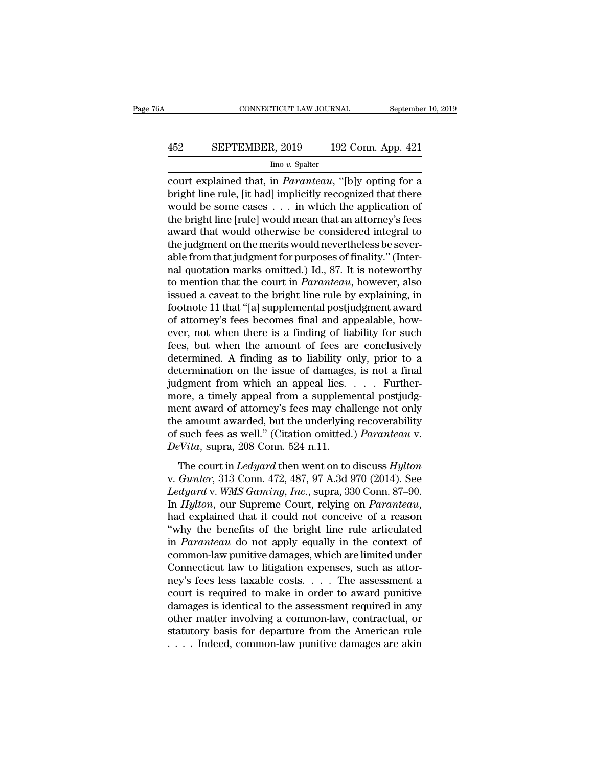# CONNECTICUT LAW JOURNAL September 10, 2019<br>452 SEPTEMBER, 2019 192 Conn. App. 421<br>100 v. Spalter

Iino *v.* Spalter

CONNECTICUT LAW JOURNAL September 10, 2019<br>
452 SEPTEMBER, 2019 192 Conn. App. 421<br>
<sup>192</sup> Conn. App. 421<br>
<sup>192</sup> Conn. App. 421<br>
court explained that, in *Paranteau*, "[b]y opting for a<br>
bright line rule, [it had] implicitl Bright line rule, [it had] implicitly recognized that there would be some cases . . . in which the application of the bright line [rule] would mean that an atternou's fees EXEPTEMBER, 2019 192 Conn. App. 421<br>
ino v. Spalter<br>
court explained that, in *Paranteau*, "[b]y opting for a<br>
bright line rule, [it had] implicitly recognized that there<br>
would be some cases . . . in which the applicatio EPTEMBER, 2019 192 Conn. App. 421<br>  $\frac{\text{line }v. \text{ Spalter}}{\text{count explained that, in } Paramteau, \text{``[b]}y \text{ opting for a}}$ <br>
bright line rule, [it had] implicitly recognized that there<br>
would be some cases . . . in which the application of<br>
the bright line [rule] For the system of the property and that would be some cases  $\ldots$  in which the application of the bright line [rule] would mean that an attorney's fees award that would otherwise be considered integral to the judgment on  $\frac{\text{Im } \sigma v. \text{ Spalter}}{\text{count}}$  court explained that, in *Paranteau*, "[b]y opting for a bright line rule, [it had] implicitly recognized that there would be some cases . . . in which the application of the bright line [rule] wo court explained that, in *Paranteau*, "[b]y opting for a<br>bright line rule, [it had] implicitly recognized that there<br>would be some cases  $\ldots$  in which the application of<br>the bright line [rule] would mean that an attorney bright line rule, [it had] implicitly recognized that there would be some cases  $\ldots$  in which the application of the bright line [rule] would mean that an attorney's fees award that would otherwise be considered integral would be some cases . . . . in which the application of<br>the bright line [rule] would mean that an attorney's fees<br>award that would otherwise be considered integral to<br>the judgment on the merits would nevertheless be severthe bright line [rule] would mean that an attorney's fees<br>award that would otherwise be considered integral to<br>the judgment on the merits would nevertheless be sever-<br>able from that judgment for purposes of finality." (Int award that would otherwise be considered integral to<br>the judgment on the merits would nevertheless be sever-<br>able from that judgment for purposes of finality." (Inter-<br>nal quotation marks omitted.) Id., 87. It is noteworth the judgment on the merits would nevertheless be severable from that judgment for purposes of finality." (Internal quotation marks omitted.) Id., 87. It is noteworthy to mention that the court in *Paranteau*, however, also able from that judgment for purposes of finality." (Inter-<br>nal quotation marks omitted.) Id., 87. It is noteworthy<br>to mention that the court in *Paranteau*, however, also<br>issued a caveat to the bright line rule by explaini nal quotation marks omitted.) Id., 87. It is noteworthy<br>to mention that the court in *Paranteau*, however, also<br>issued a caveat to the bright line rule by explaining, in<br>footnote 11 that "[a] supplemental postjudgment awar to mention that the court in *Paranteau*, however, also<br>issued a caveat to the bright line rule by explaining, in<br>footnote 11 that "[a] supplemental postjudgment award<br>of attorney's fees becomes final and appealable, howissued a caveat to the bright line rule by explaining, in<br>footnote 11 that "[a] supplemental postjudgment award<br>of attorney's fees becomes final and appealable, how-<br>ever, not when there is a finding of liability for such<br> footnote 11 that "[a] supplemental postjudgment award<br>of attorney's fees becomes final and appealable, how-<br>ever, not when there is a finding of liability for such<br>fees, but when the amount of fees are conclusively<br>determi of attorney's fees becomes final and appealable, how-<br>ever, not when there is a finding of liability for such<br>fees, but when the amount of fees are conclusively<br>determined. A finding as to liability only, prior to a<br>determ ever, not when there is a finding of liability for such<br>fees, but when the amount of fees are conclusively<br>determined. A finding as to liability only, prior to a<br>determination on the issue of damages, is not a final<br>judgme fees, but when the amount of fees are conclusively<br>determined. A finding as to liability only, prior to a<br>determination on the issue of damages, is not a final<br>judgment from which an appeal lies. . . . Further-<br>more, a ti determined. A finding as to liability only, prior to a<br>determination on the issue of damages, is not a final<br>judgment from which an appeal lies. . . . Further-<br>more, a timely appeal from a supplemental postjudg-<br>ment award determination on the issue of damages<br>judgment from which an appeal lies.<br>more, a timely appeal from a suppleme<br>ment award of attorney's fees may chal<br>the amount awarded, but the underlying<br>of such fees as well." (Citation ore, a timely appeal from a supplemental postjudgent award of attorney's fees may challenge not only<br>e amount awarded, but the underlying recoverability<br>such fees as well." (Citation omitted.) *Paranteau* v.<br>*Vita*, supra, ment award of attorney's fees may challenge not only<br>the amount awarded, but the underlying recoverability<br>of such fees as well." (Citation omitted.) *Paranteau* v.<br>*DeVita*, supra, 208 Conn. 524 n.11.<br>The court in *Ledyar* 

*Let us a mount award of accordcy 5 recs may enancing necoverability*<br>*DeVita, supra, 208 Conn. 524 n.11.*<br>*DeVita, supra, 208 Conn. 524 n.11.*<br>The court in *Ledyard* then went on to discuss *Hylton*<br>v. *Gunter*, 313 Conn. In *Hylton*, our Superince Court, relying the court in *Ledyard* then went on to discuss *Hylton*<br>v. *Gunter*, 313 Conn. 524 n.11.<br>The court in *Ledyard* then went on to discuss *Hylton*<br>v. *Gunter*, 313 Conn. 472, 487, 97 The court in *Ledyard* then went on to discuss *Hylton*<br>
v. *Gunter*, 313 Conn. 472, 487, 97 A.3d 970 (2014). See<br> *Ledyard* v. *WMS Gaming, Inc.*, supra, 330 Conn. 87–90.<br>
In *Hylton*, our Supreme Court, relying on *Paran* The court in *Ledyard* then went on to discuss *Hylton*<br>v. *Gunter*, 313 Conn. 472, 487, 97 A.3d 970 (2014). See<br>*Ledyard* v. *WMS Gaming, Inc.*, supra, 330 Conn. 87–90.<br>In *Hylton*, our Supreme Court, relying on *Parantea* v. *Gunter*, 313 Conn. 472, 487, 97 A.3d 970 (2014). See<br>Ledyard v. *WMS Gaming*, *Inc.*, supra, 330 Conn. 87–90.<br>In *Hylton*, our Supreme Court, relying on *Paranteau*,<br>had explained that it could not conceive of a reason Ledyard v. WMS Gaming, Inc., supra, 330 Conn. 87–90.<br>In Hylton, our Supreme Court, relying on Paranteau,<br>had explained that it could not conceive of a reason<br>"why the benefits of the bright line rule articulated<br>in Parante In *Hylton*, our Supreme Court, relying on *Paranteau*,<br>had explained that it could not conceive of a reason<br>"why the benefits of the bright line rule articulated<br>in *Paranteau* do not apply equally in the context of<br>comm had explained that it could not conceive of a reason<br>"why the benefits of the bright line rule articulated<br>in *Paranteau* do not apply equally in the context of<br>common-law punitive damages, which are limited under<br>Connect "why the benefits of the bright line rule articulated<br>in *Paranteau* do not apply equally in the context of<br>common-law punitive damages, which are limited under<br>Connecticut law to litigation expenses, such as attor-<br>ney's in *Paranteau* do not apply equally in the context of<br>common-law punitive damages, which are limited under<br>Connecticut law to litigation expenses, such as attor-<br>ney's fees less taxable costs. . . . The assessment a<br>court common-law punitive damages, which are limited under<br>Connecticut law to litigation expenses, such as attor-<br>ney's fees less taxable costs. . . . The assessment a<br>court is required to make in order to award punitive<br>damage Connecticut law to litigation expenses, such as attorney's fees less taxable costs. . . . The assessment a court is required to make in order to award punitive damages is identical to the assessment required in any other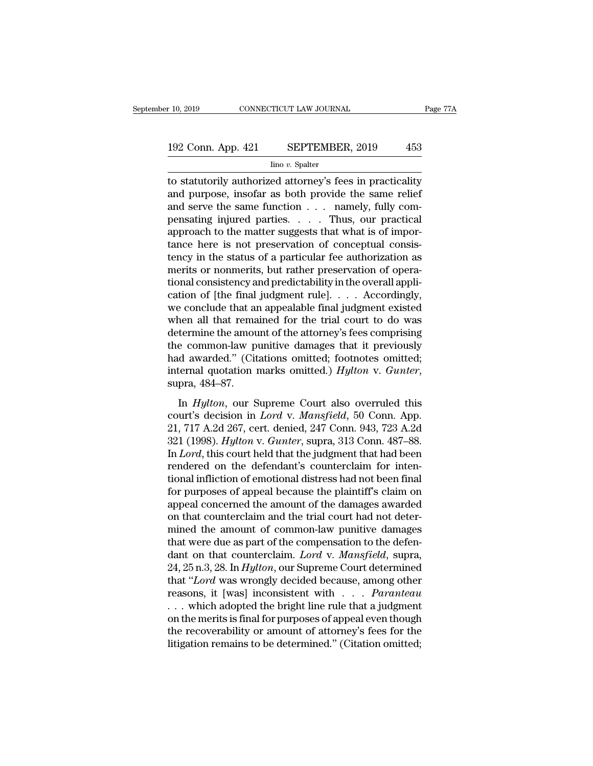# 10, 2019 CONNECTICUT LAW JOURNAL Page 77A<br>192 Conn. App. 421 SEPTEMBER, 2019 453<br>Ino v. Spalter

Iino *v.* Spalter

The statutorily authorized attorney's fees in practicality<br>and purpose, insofar as both provide the same relief<br>and some function and purpose the same function and purpose the same function and purpose  $\frac{1}{2}$  and some f 192 Conn. App. 421 SEPTEMBER, 2019 453<br>  $\frac{\text{line }v. \text{ Sphere}}{\text{line }v. \text{ Sphere}}$ <br>
to statutorily authorized attorney's fees in practicality<br>
and purpose, insofar as both provide the same relief<br>
and serve the same function . . . . 192 Conn. App. 421 SEPTEMBER, 2019 453<br>  $\frac{100 v. \text{ Spalter}}{100 v. \text{ Spalter}}$ <br>
to statutorily authorized attorney's fees in practicality<br>
and purpose, insofar as both provide the same relief<br>
and serve the same function . . . . . 192 Conn. App. 421 SEPTEMBER, 2019 453<br>  $\frac{100 \text{ v. Spalter}}{100 \text{ v. Spalter}}$ <br>
to statutorily authorized attorney's fees in practicality<br>
and purpose, insofar as both provide the same relief<br>
and serve the same function . . . . ma Figure 1991 and the matter such the matter of the matter of a particulity<br>and purpose, insofar as both provide the same relief<br>and serve the same function . . . namely, fully com-<br>pensating injured parties. . . . . Thus, o  $\frac{1}{2}$  into v. Spatter<br>to statutorily authorized attorney's fees in practicality<br>and purpose, insofar as both provide the same relief<br>and serve the same function  $\dots$  namely, fully com-<br>pensating injured parties.  $\dots$  to statutorily authorized attorney's fees in practicality<br>and purpose, insofar as both provide the same relief<br>and serve the same function  $\dots$  namely, fully com-<br>pensating injured parties.  $\dots$  Thus, our practical<br>approa and purpose, insofar as both provide the same relief<br>and serve the same function  $\dots$  namely, fully com-<br>pensating injured parties.  $\dots$  Thus, our practical<br>approach to the matter suggests that what is of impor-<br>tance her and serve the same function  $\dots$  namely, fully compensating injured parties.  $\dots$  Thus, our practical approach to the matter suggests that what is of importance here is not preservation of conceptual consistency in the st pensating injured parties. . . . . Thus, our practical approach to the matter suggests that what is of importance here is not preservation of conceptual consistency in the status of a particular fee authorization as merit approach to the matter suggests that what is of importance here is not preservation of conceptual consistency in the status of a particular fee authorization as merits or nonmerits, but rather preservation of operational tance here is not preservation of conceptual consistency in the status of a particular fee authorization as<br>merits or nonmerits, but rather preservation of operational consistency and predictability in the overall applica tency in the status of a particular fee authorization as<br>merits or nonmerits, but rather preservation of opera-<br>tional consistency and predictability in the overall appli-<br>cation of [the final judgment rule]. . . . Accordi merits or nonmerits, but rather preservation of operational consistency and predictability in the overall application of [the final judgment rule].  $\ldots$  Accordingly, we conclude that an appealable final judgment existed tional consistency and predictability in the overall application of [the final judgment rule]. . . . Accordingly, we conclude that an appealable final judgment existed when all that remained for the trial court to do was cation of [the final judgment rule].  $\ldots$  Accordingly,<br>we conclude that an appealable final judgment existed<br>when all that remained for the trial court to do was<br>determine the amount of the attorney's fees comprising<br>the In *Hylton*, our Supreme Court also overruled this<br>
termine the amount of the attorney's fees comprising<br>
d awarded." (Citations omitted; footnotes omitted;<br>
termal quotation marks omitted.) *Hylton* v. *Gunter*,<br>
pra, 484 decentric are altroated of are alterney of the strength of the common-law punitive damages that it previously<br>that awarded." (Citations omitted; footnotes omitted;<br>internal quotation marks omitted.) *Hylton* v. *Gunter*,<br>s

and awarded." (Citations omitted; footnotes omitted;<br>internal quotation marks omitted.) *Hylton v. Gunter*,<br>supra, 484–87.<br>In *Hylton*, our Supreme Court also overruled this<br>court's decision in *Lord v. Mansfield*, 50 Conn internal quotation marks omitted.) *Hylton* v. *Gunter*,<br>supra, 484–87.<br>In *Hylton*, our Supreme Court also overruled this<br>court's decision in *Lord* v. *Mansfield*, 50 Conn. App.<br>21, 717 A.2d 267, cert. denied, 247 Conn. In *Hylton*, our Supreme Court also overruled this<br>court's decision in *Lord* v. *Mansfield*, 50 Conn. App.<br>21, 717 A.2d 267, cert. denied, 247 Conn. 943, 723 A.2d<br>321 (1998). *Hylton* v. *Gunter*, supra, 313 Conn. 487–88. In  $Hylton$ , our Supreme Court also overruled this<br>court's decision in *Lord v. Mansfield*, 50 Conn. App.<br>21, 717 A.2d 267, cert. denied, 247 Conn. 943, 723 A.2d<br>321 (1998). *Hylton v. Gunter*, supra, 313 Conn. 487–88.<br>In *L* In Hylton, our Supreme Court also overruled this<br>court's decision in Lord v. Mansfield, 50 Conn. App.<br>21, 717 A.2d 267, cert. denied, 247 Conn. 943, 723 A.2d<br>321 (1998). Hylton v. Gunter, supra, 313 Conn. 487–88.<br>In Lord, court's decision in *Lord* v. *Mansfield*, 50 Conn. App.<br>21, 717 A.2d 267, cert. denied, 247 Conn. 943, 723 A.2d<br>321 (1998). *Hylton* v. *Gunter*, supra, 313 Conn. 487–88.<br>In *Lord*, this court held that the judgment that 21, 717 A.2d 267, cert. denied, 247 Conn. 943, 723 A.2d<br>321 (1998).  $Hylton$  v.  $Gunter$ , supra, 313 Conn. 487–88.<br>In  $Lord$ , this court held that the judgment that had been<br>rendered on the defendant's counterclaim for inten-<br>tiona 321 (1998).  $Hylton$  v.  $Gunter$ , supra, 313 Conn. 487–88.<br>In  $Lord$ , this court held that the judgment that had been<br>rendered on the defendant's counterclaim for inten-<br>tional infliction of emotional distress had not been final<br>fo In *Lord*, this court held that the judgment that had been<br>rendered on the defendant's counterclaim for inten-<br>tional infliction of emotional distress had not been final<br>for purposes of appeal because the plaintiff's clai rendered on the defendant's counterclaim for intentional infliction of emotional distress had not been final<br>for purposes of appeal because the plaintiff's claim on<br>appeal concerned the amount of the damages awarded<br>on th tional infliction of emotional distress had not been final<br>for purposes of appeal because the plaintiff's claim on<br>appeal concerned the amount of the damages awarded<br>on that counterclaim and the trial court had not deter-<br> for purposes of appeal because the plaintiff's claim on<br>appeal concerned the amount of the damages awarded<br>on that counterclaim and the trial court had not deter-<br>mined the amount of common-law punitive damages<br>that were d appeal concerned the amount of the damages awarded<br>
on that counterclaim and the trial court had not deter-<br>
mined the amount of common-law punitive damages<br>
that were due as part of the compensation to the defen-<br>
dant on on that counterclaim and the trial court had not deter-<br>mined the amount of common-law punitive damages<br>that were due as part of the compensation to the defen-<br>dant on that counterclaim. *Lord* v. *Mansfield*, supra,<br>24, 2 mined the amount of common-law punitive damages<br>that were due as part of the compensation to the defen-<br>dant on that counterclaim. *Lord* v. *Mansfield*, supra,<br>24, 25 n.3, 28. In *Hylton*, our Supreme Court determined<br>th that were due as part of the compensation to the defendant on that counterclaim. *Lord* v. *Mansfield*, supra, 24, 25 n.3, 28. In *Hylton*, our Supreme Court determined that "*Lord* was wrongly decided because, among othe dant on that counterclaim. *Lord* v. *Mansfield*, supra, 24, 25 n.3, 28. In *Hylton*, our Supreme Court determined that "*Lord* was wrongly decided because, among other reasons, it [was] inconsistent with . . . *Paranteau* 24, 25 n.3, 28. In *Hylton*, our Supreme Court determined<br>that "*Lord* was wrongly decided because, among other<br>reasons, it [was] inconsistent with . . . *Paranteau*<br>. . . which adopted the bright line rule that a judgmen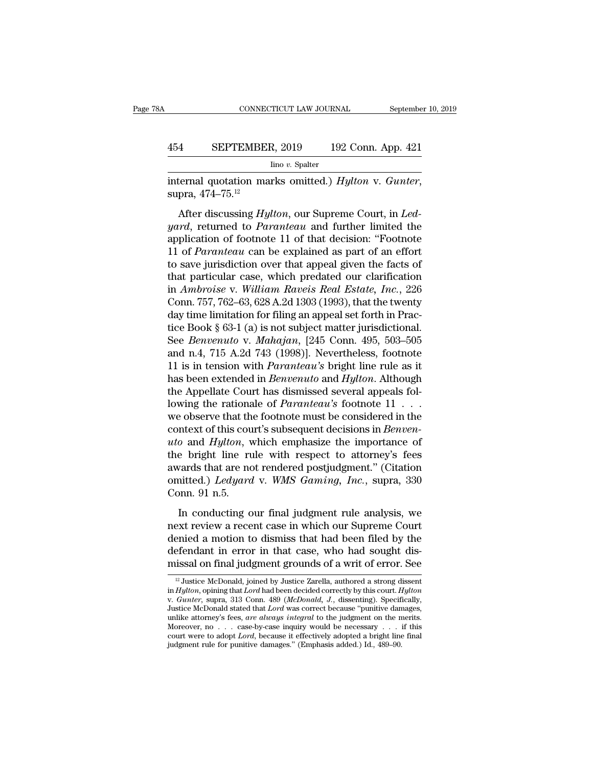# CONNECTICUT LAW JOURNAL September 10, 2019<br>454 SEPTEMBER, 2019 192 Conn. App. 421<br>100 v. Spalter

Iino *v.* Spalter

internal quotation marks omitted.) *Hylton* v. *Gunter*, supra, 474–75.<sup>12</sup><br>After discussing *Hylton*, our Supreme Court, in *Led*-

SEPTEMBER, 2019 192 Conn. App. 421<br>
<sup>lino</sup> *v*. Spalter<br>
ternal quotation marks omitted.) *Hylton* v. *Gunter*,<br>
pra, 474–75.<sup>12</sup><br>
After discussing *Hylton*, our Supreme Court, in *Led-*<br> *erd*, returned to *Paranteau* and *FREPTEMBER, 2019* 192 Conn. App. 421<br>
Ino *v.* Spalter<br>
internal quotation marks omitted.) *Hylton v. Gunter*,<br>
supra, 474–75.<sup>12</sup><br>
After discussing *Hylton*, our Supreme Court, in *Led-<br>
yard*, returned to *Paranteau* an  $\frac{\text{line }v. \text{ Spalter}}{\text{interral quotation marks omitted.}}$  Hylton v. Gunter,<br>supra, 474–75.<sup>12</sup><br>After discussing Hylton, our Supreme Court, in Led-<br>yard, returned to Paranteau and further limited the<br>application of footnote 11 of that decision: "Footno internal quotation marks omitted.) *Hylton v. Gunter*,<br>supra, 474–75.<sup>12</sup><br>After discussing *Hylton*, our Supreme Court, in *Led-<br>yard*, returned to *Paranteau* and further limited the<br>application of footnote 11 of that dec the ring of saturation function of superior of superior of superior states,<br>supra, 474–75.<sup>12</sup><br>After discussing *Hylton*, our Supreme Court, in *Led-<br>yard*, returned to *Paranteau* and further limited the<br>application of f After discussing *Hylton*, our Supreme Court, in *Ledgard*, returned to *Paranteau* and further limited the application of footnote 11 of that decision: "Footnote 11 of *Paranteau* can be explained as part of an effort to After discussing *Hylton*, our Supreme Court, in *Led-<br>yard*, returned to *Paranteau* and further limited the<br>application of footnote 11 of that decision: "Footnote<br>11 of *Paranteau* can be explained as part of an effort<br>t *yard*, returned to *Paranteau* and further limited the<br>application of footnote 11 of that decision: "Footnote<br>11 of *Paranteau* can be explained as part of an effort<br>to save jurisdiction over that appeal given the facts o application of footnote 11 of that decision: "Footnote 11 of *Paranteau* can be explained as part of an effort to save jurisdiction over that appeal given the facts of that particular case, which predated our clarificatio 11 of *Paranteau* can be explained as part of an effort<br>to save jurisdiction over that appeal given the facts of<br>that particular case, which predated our clarification<br>in *Ambroise* v. William Raveis Real Estate, Inc., 22 to save jurisdiction over that appeal given the facts of<br>that particular case, which predated our clarification<br>in *Ambroise* v. *William Raveis Real Estate, Inc.*, 226<br>Conn. 757, 762–63, 628 A.2d 1303 (1993), that the twe that particular case, which predated our clarification<br>in Ambroise v. William Raveis Real Estate, Inc., 226<br>Conn. 757, 762–63, 628 A.2d 1303 (1993), that the twenty<br>day time limitation for filing an appeal set forth in Pr in Ambroise v. William Raveis Real Estate, Inc., 226<br>Conn. 757, 762–63, 628 A.2d 1303 (1993), that the twenty<br>day time limitation for filing an appeal set forth in Prac-<br>tice Book § 63-1 (a) is not subject matter jurisdict Conn. 757, 762–63, 628 A.2d 1303 (1993), that the twenty<br>day time limitation for filing an appeal set forth in Prac-<br>tice Book § 63-1 (a) is not subject matter jurisdictional.<br>See *Benvenuto* v. *Mahajan*, [245 Conn. 495, day time limitation for filing an appeal set forth in Practice Book § 63-1 (a) is not subject matter jurisdictional.<br>See *Benvenuto* v. *Mahajan*, [245 Conn. 495, 503–505<br>and n.4, 715 A.2d 743 (1998)]. Nevertheless, footn tice Book § 63-1 (a) is not subject matter jurisdictional.<br>See *Benvenuto* v. *Mahajan*, [245 Conn. 495, 503–505<br>and n.4, 715 A.2d 743 (1998)]. Nevertheless, footnote<br>11 is in tension with *Paranteau's* bright line rule as See *Benvenuto* v. *Mahajan*, [245 Conn. 495, 503–505<br>and n.4, 715 A.2d 743 (1998)]. Nevertheless, footnote<br>11 is in tension with *Paranteau's* bright line rule as it<br>has been extended in *Benvenuto* and *Hylton*. Althoug and n.4, 715 A.2d 743 (1998)]. Nevertheless, footnote<br>11 is in tension with *Paranteau's* bright line rule as it<br>has been extended in *Benvenuto* and *Hylton*. Although<br>the Appellate Court has dismissed several appeals fol 11 is in tension with *Paranteau's* bright line rule as it has been extended in *Benvenuto* and *Hylton*. Although the Appellate Court has dismissed several appeals following the rationale of *Paranteau's* footnote  $11 \ldots$ has been extended in *Benvenuto* and *Hylton*. Although<br>the Appellate Court has dismissed several appeals fol-<br>lowing the rationale of *Paranteau's* footnote 11 . . .<br>we observe that the footnote must be considered in the the Appellate Court has dismissed several appeals following the rationale of *Paranteau's* footnote  $11$ ...<br>we observe that the footnote must be considered in the context of this court's subsequent decisions in *Benven-*<br> lowing the rationale of *Paranteau's* footnote 11 . . .<br>we observe that the footnote must be considered in the<br>context of this court's subsequent decisions in *Benven-*<br>*uto* and *Hylton*, which emphasize the importance of we observe that th<br>context of this cou<br>*uto* and *Hylton*, v<br>the bright line ru<br>awards that are nc<br>omitted.) *Ledyard*<br>Conn. 91 n.5.<br>In conducting o o and *Hylton*, which emphasize the importance of<br>e bright line rule with respect to attorney's fees<br>vards that are not rendered postjudgment." (Citation<br>nitted.) *Ledyard* v. *WMS Gaming*, *Inc.*, supra, 330<br>pnn. 91 n.5. are and right, which engineed at importance of<br>the bright line rule with respect to attorney's fees<br>awards that are not rendered postjudgment." (Citation<br>omitted.) Ledyard v. WMS Gaming, Inc., supra, 330<br>Conn. 91 n.5.<br>In c

awards that are not rendered postjudgment." (Citation<br>omitted.) *Ledyard* v. WMS Gaming, Inc., supra, 330<br>Conn. 91 n.5.<br>In conducting our final judgment rule analysis, we<br>next review a recent case in which our Supreme Cour definited.) *Ledyard* v. WMS Gaming, Inc., supra, 330<br>Conn. 91 n.5.<br>In conducting our final judgment rule analysis, we<br>next review a recent case in which our Supreme Court<br>denied a motion to dismiss that had been filed by Conn. 91 n.5.<br>
In conducting our final judgment rule analysis, we<br>
next review a recent case in which our Supreme Court<br>
denied a motion to dismiss that had been filed by the<br>
defendant in error in that case, who had soug ext review a recent case in which our Supreme Court<br>enied a motion to dismiss that had been filed by the<br>efendant in error in that case, who had sought dis-<br>issal on final judgment grounds of a writ of error. See<br> $\frac{12}$  denied a motion to dismiss that had been filed by the<br>defendant in error in that case, who had sought dis-<br>missal on final judgment grounds of a writ of error. See<br> $\frac{12 \text{ Justice McDonald}}{1 \text{a} \cdot \text{Michael}}$ , authored a strong dissent<br>in

defendant in error in that case, who had sought dis-<br>missal on final judgment grounds of a writ of error. See<br><sup>12</sup> Justice McDonald, joined by Justice Zarella, authored a strong dissent<br>in *Hylton*, opining that *Lord* had defendant in error in that case, who had sought dis-<br>missal on final judgment grounds of a writ of error. See<br> $\frac{12 \text{ Justice McDonald, joined by Justice Zarella, authored a strong dissent in } Hybrid the *Hylton*, opening that *Lord* had been decided correctly by this court. *Hylton* v. *Gunter*, supra, 313 Conn. 489 (*McDonald, J.*, dissenting). Specifically, Justice McDonald stated that *Lord*$ missal on final judgment grounds of a writ of error. See<br>
<sup>12</sup> Justice McDonald, joined by Justice Zarella, authored a strong dissent<br>
in *Hylton*, opining that *Lord* had been decided correctly by this court. *Hylton*<br>
v. <sup>12</sup> Justice McDonald, joined by Justice Zarella, authored a strong dissent<br>in *Hylton*, opining that *Lord* had been decided correctly by this court. *Hylton*<br>v. *Gunter*, supra, 313 Conn. 489 (*McDonald, J.*, dissenting <sup>12</sup> Justice McDonald, joined by Justice Zarella, authored a strong dissent in *Hylton*, opining that *Lord* had been decided correctly by this court. *Hylton* v. *Gunter*, supra, 313 Conn. 489 (*McDonald, J.*, dissenting in *Hylton*, opining that *Lord* had been decided correctly by this court. *H*, v. *Gunter*, supra, 313 Conn. 489 *(McDonald, J., dissenting)*. Specif. Justice McDonald stated that *Lord* was correct because "punitive dama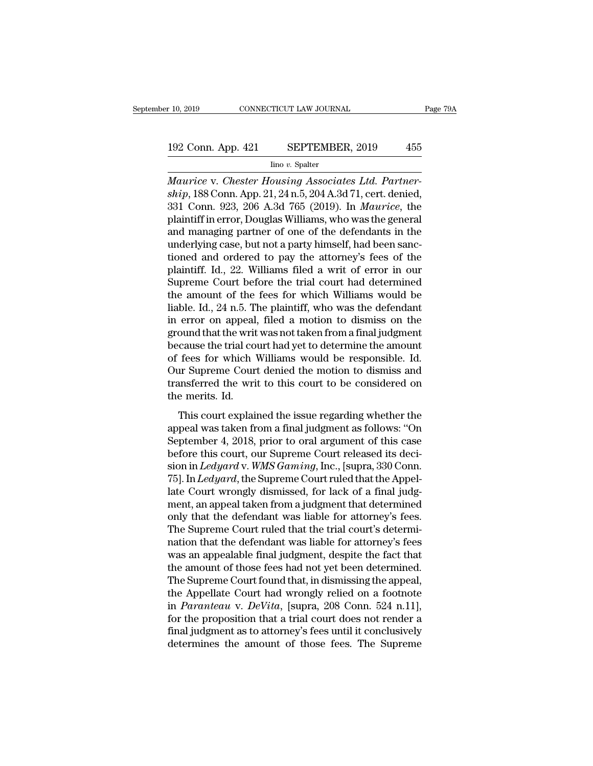# 10, 2019 CONNECTICUT LAW JOURNAL Page 79A<br>192 Conn. App. 421 SEPTEMBER, 2019 455<br>Ino v. Spalter

Iino *v.* Spalter

*Maurice* v. *Chester Housing Associates Ltd. Partner-*<br> *Maurice* v. *Chester Housing Associates Ltd. Partner-*<br> *Maurice* v. *Chester Housing Associates Ltd. Partner-*<br> *Maurice* v. *Chester Housing Associates Ltd. Partn* 192 Conn. App. 421 SEPTEMBER, 2019 455<br>
<sup>lino v. Spalter</sup><br> *Maurice v. Chester Housing Associates Ltd. Partner-ship*, 188 Conn. App. 21, 24 n.5, 204 A.3d 71, cert. denied,<br>
331 Conn. 923, 206 A.3d 765 (2019). In *Maurice*, 192 Conn. App. 421 SEPTEMBER, 2019 455<br>
Imo v. Spatter<br>
Maurice v. Chester Housing Associates Ltd. Partner-<br>
ship, 188 Conn. App. 21, 24 n.5, 204 A.3d 71, cert. denied,<br>
331 Conn. 923, 206 A.3d 765 (2019). In *Maurice*, th 192 Conn. App. 421 SEPTEMBER, 2019 455<br>
Imo v. Spalter<br>
Maurice v. Chester Housing Associates Ltd. Partner-<br>
ship, 188 Conn. App. 21, 24 n.5, 204 A.3d 71, cert. denied,<br>
331 Conn. 923, 206 A.3d 765 (2019). In Maurice, the From Collection of the defendants in the underlying case, but not a party himself, and managing case, but not a party himself, had been sanctioned and ordered to nay the attenuation of the defendants in the underlying case mo v. Spatter<br>
Maurice v. Chester Housing Associates Ltd. Partner-<br>
ship, 188 Conn. App. 21, 24 n.5, 204 A.3d 71, cert. denied,<br>
331 Conn. 923, 206 A.3d 765 (2019). In *Maurice*, the<br>
plaintiff in error, Douglas Williams, Maurice v. Chester Housing Associates Ltd. Partner-<br>ship, 188 Conn. App. 21, 24 n.5, 204 A.3d 71, cert. denied,<br>331 Conn. 923, 206 A.3d 765 (2019). In *Maurice*, the<br>plaintiff in error, Douglas Williams, who was the genera ship, 188 Conn. App. 21, 24 n.5, 204 A.3d 71, cert. denied,<br>331 Conn. 923, 206 A.3d 765 (2019). In *Maurice*, the<br>plaintiff in error, Douglas Williams, who was the general<br>and managing partner of one of the defendants in t 331 Conn. 923, 206 A.3d 765 (2019). In *Maurice*, the plaintiff in error, Douglas Williams, who was the general and managing partner of one of the defendants in the underlying case, but not a party himself, had been sanct plaintiff in error, Douglas Williams, who was the general<br>and managing partner of one of the defendants in the<br>underlying case, but not a party himself, had been sanc-<br>tioned and ordered to pay the attorney's fees of the<br>p and managing partner of one of the defendants in the underlying case, but not a party himself, had been sanctioned and ordered to pay the attorney's fees of the plaintiff. Id., 22. Williams filed a writ of error in our Sup underlying case, but not a party himself, had been sanctioned and ordered to pay the attorney's fees of the plaintiff. Id., 22. Williams filed a writ of error in our Supreme Court before the trial court had determined the tioned and ordered to pay the attorney's fees of the plaintiff. Id., 22. Williams filed a writ of error in our Supreme Court before the trial court had determined the amount of the fees for which Williams would be liable. plaintiff. Id., 22. Williams filed a writ of error in our<br>Supreme Court before the trial court had determined<br>the amount of the fees for which Williams would be<br>liable. Id., 24 n.5. The plaintiff, who was the defendant<br>in Supreme Court before the trial court had determined<br>the amount of the fees for which Williams would be<br>liable. Id., 24 n.5. The plaintiff, who was the defendant<br>in error on appeal, filed a motion to dismiss on the<br>ground t the amount of the fees for which Williams would be<br>liable. Id., 24 n.5. The plaintiff, who was the defendant<br>in error on appeal, filed a motion to dismiss on the<br>ground that the writ was not taken from a final judgment<br>bec liable. Id., 24 n.5. The plaintiff, who was the defendant<br>in error on appeal, filed a motion to dismiss on the<br>ground that the writ was not taken from a final judgment<br>because the trial court had yet to determine the amoun in error on appeal<br>ground that the writ<br>because the trial co<br>of fees for which<br>Our Supreme Cour<br>transferred the wri<br>the merits. Id.<br>This court explain Equivalent with was not distributed individually class the trial court had yet to determine the amount<br>fees for which Williams would be responsible. Id.<br>in Supreme Court denied the motion to dismiss and<br>insferred the writ because are analysis of determine are amount<br>of fees for which Williams would be responsible. Id.<br>Our Supreme Court denied the motion to dismiss and<br>transferred the writ to this court to be considered on<br>the merits. Id.<br>Th

September 4, 2018, prior to oral argument of this case<br>before the writ to this court to be considered on<br>the merits. Id.<br>This court explained the issue regarding whether the<br>appeal was taken from a final judgment as follow before the writ to this court to be considered on<br>the merits. Id.<br>This court explained the issue regarding whether the<br>appeal was taken from a final judgment as follows: "On<br>September 4, 2018, prior to oral argument of th statistical are wint to also count to be considered on<br>the merits. Id.<br>This court explained the issue regarding whether the<br>appeal was taken from a final judgment as follows: "On<br>September 4, 2018, prior to oral argument o This court explained the issue regarding whether the<br>appeal was taken from a final judgment as follows: "On<br>September 4, 2018, prior to oral argument of this case<br>before this court, our Supreme Court released its deci-<br>sio This court explained the issue regarding whether the<br>appeal was taken from a final judgment as follows: "On<br>September 4, 2018, prior to oral argument of this case<br>before this court, our Supreme Court released its deci-<br>sio appeal was taken from a final judgment as follows: "On<br>September 4, 2018, prior to oral argument of this case<br>before this court, our Supreme Court released its deci-<br>sion in *Ledyard* v. WMS Gaming, Inc., [supra, 330 Conn. September 4, 2018, prior to oral argument of this case<br>before this court, our Supreme Court released its deci-<br>sion in *Ledyard* v. *WMS Gaming*, Inc., [supra, 330 Conn.<br>75]. In *Ledyard*, the Supreme Court ruled that the before this court, our Supreme Court released its decision in *Ledyard* v. WMS Gaming, Inc., [supra, 330 Conn. 75]. In *Ledyard*, the Supreme Court ruled that the Appellate Court wrongly dismissed, for lack of a final judg sion in *Ledyard* v. *WMS Gaming*, Inc., [supra, 330 Conn.<br>75]. In *Ledyard*, the Supreme Court ruled that the Appel-<br>late Court wrongly dismissed, for lack of a final judg-<br>ment, an appeal taken from a judgment that deter 75]. In *Ledyard*, the Supreme Court ruled that the Appellate Court wrongly dismissed, for lack of a final judgment, an appeal taken from a judgment that determined only that the defendant was liable for attorney's fees. late Court wrongly dismissed, for lack of a final judgment, an appeal taken from a judgment that determined<br>only that the defendant was liable for attorney's fees.<br>The Supreme Court ruled that the trial court's determinati ment, an appeal taken from a judgment that determined<br>only that the defendant was liable for attorney's fees.<br>The Supreme Court ruled that the trial court's determi-<br>nation that the defendant was liable for attorney's fees only that the defendant was liable for attorney's fees.<br>The Supreme Court ruled that the trial court's determi-<br>nation that the defendant was liable for attorney's fees<br>was an appealable final judgment, despite the fact th The Supreme Court ruled that the trial court's determination that the defendant was liable for attorney's fees was an appealable final judgment, despite the fact that the amount of those fees had not yet been determined. T nation that the defendant was liable for attorney's fees<br>was an appealable final judgment, despite the fact that<br>the amount of those fees had not yet been determined.<br>The Supreme Court found that, in dismissing the appeal, was an appealable final judgment, despite the fact that<br>the amount of those fees had not yet been determined.<br>The Supreme Court found that, in dismissing the appeal,<br>the Appellate Court had wrongly relied on a footnote<br>in the amount of those fees had not yet been determined.<br>The Supreme Court found that, in dismissing the appeal,<br>the Appellate Court had wrongly relied on a footnote<br>in *Paranteau* v. *DeVita*, [supra, 208 Conn. 524 n.11],<br>fo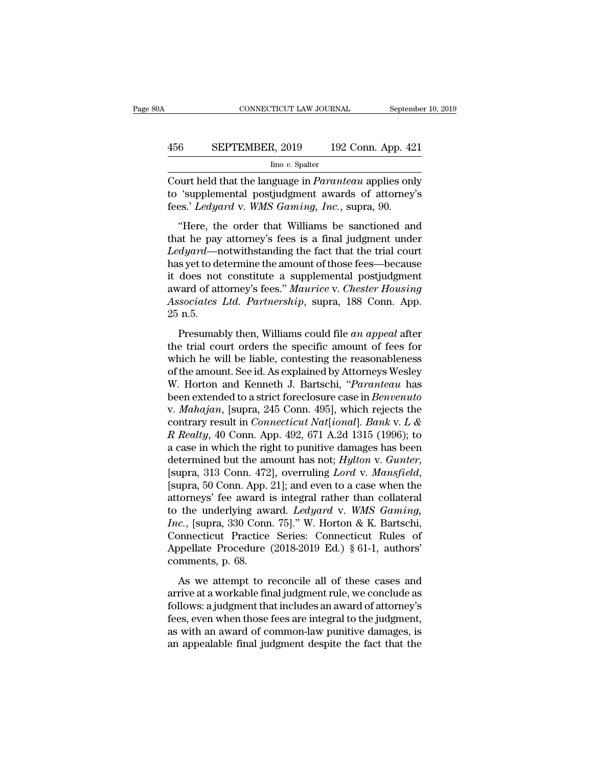# CONNECTICUT LAW JOURNAL September 10, 2019<br>456 SEPTEMBER, 2019 192 Conn. App. 421<br>100 v. Spalter

Iino *v.* Spalter

CONNECTICUT LAW JOURNAL September 10, 2019<br>
456 SEPTEMBER, 2019 192 Conn. App. 421<br>
<sup>Ino v.</sup> Spalter<br>
Court held that the language in *Paranteau* applies only<br>
to 'supplemental postjudgment awards of attorney's<br>
foos' Ledu EPTEMBER, 2019 192 Conn. App. 421<br>
<sup>Ino v.</sup> Spalter<br>
Court held that the language in *Paranteau* applies only<br>
to 'supplemental postjudgment awards of attorney's<br>
fees.' *Ledyard* v. *WMS Gaming, Inc.*, supra, 90. FREPTEMBER, 2019 192 Conn. App. 42<br>
<u>lino v. Spalter</u><br>
Court held that the language in *Paranteau* applies onl<br>
to 'supplemental postjudgment awards of attorney<br>
fees.' *Ledyard* v. *WMS Gaming, Inc.*, supra, 90.<br>
"Here, t SEPTEMBER, 2019 192 Conn. App. 421<br>  $\frac{1}{2}$  line v. Spalter<br>
burt held that the language in *Paranteau* applies only<br>
'supplemental postjudgment awards of attorney's<br>
es.' *Ledyard* v. WMS Gaming, Inc., supra, 90.<br>
"Her

 $\frac{1}{100}$  in the payment in the payment awards of attorney's to 'supplemental postjudgment awards of attorney's fees.' *Ledyard* v. *WMS Gaming, Inc.*, supra, 90. <br>
"Here, the order that Williams be sanctioned and that Court held that the language in *Paranteau* applies only<br>to 'supplemental postjudgment awards of attorney's<br>fees.' *Ledyard* v. *WMS Gaming*, *Inc.*, supra, 90.<br>"Here, the order that Williams be sanctioned and<br>that he pay bound held that the tanguage in Furthelia applies only<br>to 'supplemental postjudgment awards of attorney's<br>fees.' Ledyard v. WMS Gaming, Inc., supra, 90.<br>"Here, the order that Williams be sanctioned and<br>that he pay attorne fees.' Ledyard v. WMS Gaming, Inc., supra, 90.<br>
"Here, the order that Williams be sanctioned and<br>
that he pay attorney's fees is a final judgment under<br>
Ledyard—notwithstanding the fact that the trial court<br>
has yet to de above. *Leagura v. while duming, The.*, supra, 50.<br>
"Here, the order that Williams be sanctioned and<br>
that he pay attorney's fees is a final judgment under<br> *Ledyard*—notwithstanding the fact that the trial court<br>
has yet "Here, the order that Williams be sanctioned and<br>that he pay attorney's fees is a final judgment under<br>*Ledyard*—notwithstanding the fact that the trial court<br>has yet to determine the amount of those fees—because<br>it does n that he pay<br>*Ledyard*—n<br>has yet to de<br>it does not<br>award of att<br>*Associates*<br>25 n.5.<br>Presumat Experience in the mount of those fees—because<br>does not constitute a supplemental postjudgment<br>vard of attorney's fees." *Maurice* v. *Chester Housing*<br>sociates Ltd. Partnership, supra, 188 Conn. App.<br>n.5.<br>Presumably then, the trial court of a supplemental postjudgment<br>it does not constitute a supplemental postjudgment<br>award of attorney's fees." *Maurice* v. *Chester Housing*<br>Associates Ltd. Partnership, supra, 188 Conn. App.<br>25 n.5.<br>Presuma

where the ends are the suppremediate postparent and a say and of attorney's fees." *Maurice v. Chester Housing*<br>Associates Ltd. Partnership, supra, 188 Conn. App.<br>25 n.5.<br>Presumably then, Williams could file *an appeal* af Associates Ltd. Partnership, supra, 188 Conn. App.<br>25 n.5.<br>Presumably then, Williams could file an appeal after<br>the trial court orders the specific amount of fees for<br>which he will be liable, contesting the reasonableness<br> These<br>
25 n.5.<br>
Presumably then, Williams could file *an appeal* after<br>
the trial court orders the specific amount of fees for<br>
which he will be liable, contesting the reasonableness<br>
of the amount. See id. As explained by Been Externally then, Williams could file *an appeal* after<br>the trial court orders the specific amount of fees for<br>which he will be liable, contesting the reasonableness<br>of the amount. See id. As explained by Attorneys Wes Presumably then, Williams could file *an appeal* after<br>the trial court orders the specific amount of fees for<br>which he will be liable, contesting the reasonableness<br>of the amount. See id. As explained by Attorneys Wesley<br>W the trial court orders the specific amount of fees for<br>which he will be liable, contesting the reasonableness<br>of the amount. See id. As explained by Attorneys Wesley<br>W. Horton and Kenneth J. Bartschi, *"Paranteau* has<br>been which he will be liable, contesting the reasonableness<br>of the amount. See id. As explained by Attorneys Wesley<br>W. Horton and Kenneth J. Bartschi, *"Paranteau* has<br>been extended to a strict foreclosure case in *Benvenuto*<br>v of the amount. See id. As explained by Attorneys Wesley<br>W. Horton and Kenneth J. Bartschi, "*Paranteau* has<br>been extended to a strict foreclosure case in *Benvenuto*<br>v. *Mahajan*, [supra, 245 Conn. 495], which rejects the W. Horton and Kenneth J. Bartschi, "*Paranteau* has<br>been extended to a strict foreclosure case in *Benvenuto*<br>v. *Mahajan*, [supra, 245 Conn. 495], which rejects the<br>contrary result in *Connecticut Nat*[*ional*]. *Bank* v. contrary result in *Connecticut Nat*[*ional*]. *Bank* v. *L* & *R Realty*, 40 Conn. App. 492, 671 A.2d 1315 (1996); to a case in which the right to punitive damages has been determined but the amount has not; *Hylton* v. R Realty, 40 Conn. App. 492, 671 A.2d 1315 (1996); to<br>a case in which the right to punitive damages has been<br>determined but the amount has not; *Hylton v. Gunter*,<br>[supra, 313 Conn. 472], overruling *Lord v. Mansfield*,<br>[s *Inc.* a case in which the right to punitive damages has been<br>determined but the amount has not; *Hylton v. Gunter*,<br>[supra, 313 Conn. 472], overruling *Lord v. Mansfield*,<br>[supra, 50 Conn. App. 21]; and even to a case whe determined but the amount has not;  $Hylton$  v. Gunter,<br>[supra, 313 Conn. 472], overruling *Lord* v. *Mansfield*,<br>[supra, 50 Conn. App. 21]; and even to a case when the<br>attorneys' fee award is integral rather than collateral<br> [supra, 313 Conn. 472], overruling *Lord* v. *Mansfield*, [supra, 50 Conn. App. 21]; and even to a case when the attorneys' fee award is integral rather than collateral to the underlying award. *Ledyard* v. *WMS Gaming, I* [supra, 50 Conn. App. 21]; and even to a case when the attorneys' fee award is integral rather than collateral<br>to the underlying award. *Ledyard* v. *WMS Gaming, Inc.*, [supra, 330 Conn. 75]." W. Horton & K. Bartschi, C the underlying award. *Ledyard* v. *WMS Gaming*,<br>c., [supra, 330 Conn. 75]." W. Horton & K. Bartschi,<br>pnnecticut Practice Series: Connecticut Rules of<br>ppellate Procedure (2018-2019 Ed.) § 61-1, authors'<br>mments, p. 68.<br>As Find a materiying amata: Evayara V. Mills Samong,<br>
Inc., [supra, 330 Conn. 75]." W. Horton & K. Bartschi,<br>
Connecticut Practice Series: Connecticut Rules of<br>
Appellate Procedure (2018-2019 Ed.) § 61-1, authors'<br>
comments,

From paper, 335 Solutions, 191. We have the material,<br>Connecticut Practice Series: Connecticut Rules of<br>Appellate Procedure (2018-2019 Ed.) § 61-1, authors'<br>comments, p. 68.<br>As we attempt to reconcile all of these cases a Example 1 ractice series. Connecticut rates of<br>Appellate Procedure (2018-2019 Ed.) § 61-1, authors'<br>comments, p. 68.<br>As we attempt to reconcile all of these cases and<br>arrive at a workable final judgment rule, we conclude Experiment and the commode and arrive at a workable final judgment rule, we conclude as follows: a judgment that includes an award of attorney's fees, even when those fees are integral to the judgment, as with an award of As we attempt to reconcile all of these cases and<br>arrive at a workable final judgment rule, we conclude as<br>follows: a judgment that includes an award of attorney's<br>fees, even when those fees are integral to the judgment,<br>a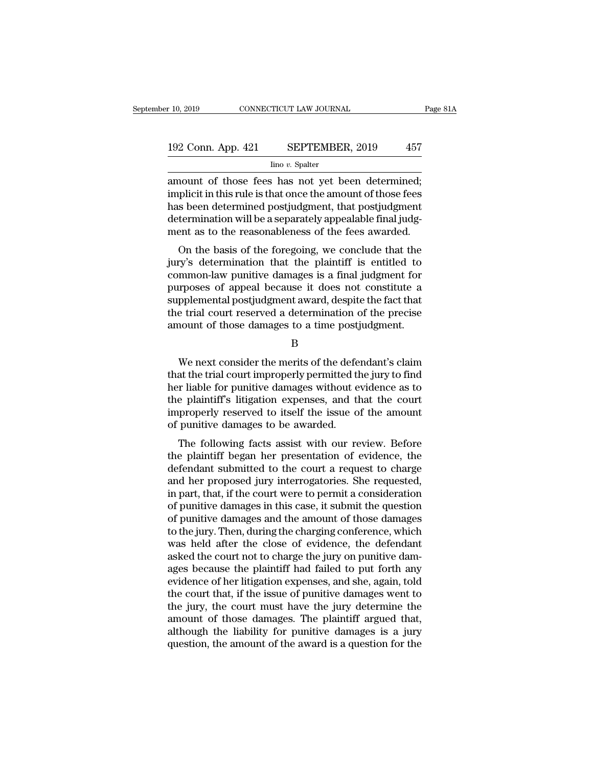# 10, 2019 CONNECTICUT LAW JOURNAL Page 81A<br>192 Conn. App. 421 SEPTEMBER, 2019 457<br>Ino v. Spalter

Iino *v.* Spalter

 $\begin{array}{r}\n \text{A 10, 2019}\n \text{COMRECTICUT LAW JOURNAL}\n \end{array}\n \begin{array}{r}\n \text{Page 8}\n \text{Page 192 Conn. App. 421}\n \text{SEPTEMBER, 2019}\n \text{Ino } v. \text{ Spalter}\n \end{array}\n \begin{array}{r}\n \text{A 57}\n \text{Ino } v. \text{Spalter}\n \text{Ino } v. \text{Spalter}\n \text{Ino 10, 11}\n \text{Ino 20, 12}\n \text{Ino 30, 13}\n \text{Ino 40, 14}\n \text{$ 192 Conn. App. 421 SEPTEMBER, 2019 457<br>
Ino v. Spalter<br>
amount of those fees has not yet been determined;<br>
implicit in this rule is that once the amount of those fees<br>
has been determined postjudgment, that postjudgment<br>
d 192 Conn. App. 421 SEPTEMBER, 2019 457<br>  $\frac{\text{line }v. \text{ Spalter}}{\text{amount of those fees has not yet been determined}}$ <br>
implicit in this rule is that once the amount of those fees<br>
has been determined postjudgment, that postjudgment<br>
determination will be a separately  $\begin{tabular}{l l l l} \hline & \multicolumn{1}{l}{{\bf SEPTEMBER}, 2019} & \multicolumn{1}{l}{{\bf 457}}\\ \hline & \multicolumn{1}{l}{\bf 100}~v. Spalter\\ \hline \hline & \multicolumn{1}{l}{\bf 301} & \multicolumn{1}{l}{\bf 457}\\ \hline & \multicolumn{1}{l}{\bf 458} & \multicolumn{1}{l}{\bf 59} & \multicolumn{1}{l}{\bf 59} & \multicolumn{1}{l}{\bf 69} & \multicolumn{1}{l}{\bf 69} & \multicolumn{1}{l}{\bf 6$ ment as to the reasonableness of the fees awarded.<br>
The v. Spatter<br>
implicit in this rule is that once the amount of those fees<br>
has been determined postjudgment, that postjudgment<br>
determination will be a separately appea Nount of those fees has not yet been determined;<br>plicit in this rule is that once the amount of those fees<br>s been determined postjudgment, that postjudgment<br>termination will be a separately appealable final judg-<br>ent as to amount of those fees has not yet been determined,<br>implicit in this rule is that once the amount of those fees<br>has been determined postjudgment, that postjudgment<br>determination will be a separately appealable final judg-<br>me

miphor in this rule is that office the amount of those rees<br>has been determined postjudgment, that postjudgment<br>determination will be a separately appealable final judg-<br>ment as to the reasonableness of the fees awarded.<br>O ras been determined postjudgment, that postjudgment<br>determination will be a separately appealable final judgment<br>as to the reasonableness of the fees awarded.<br>On the basis of the foregoing, we conclude that the<br>jury's dete supplemental postiguary appearance interaction and the feest and the plantiff as to the basis of the foregoing, we conclude that the jury's determination that the plaintiff is entitled to common-law punitive damages is a f thent as to the reasonable these of the fees awarded.<br>On the basis of the foregoing, we conclude that the<br>jury's determination that the plaintiff is entitled to<br>common-law punitive damages is a final judgment for<br>purposes On the basis of the foregoing, we conclude that the<br>jury's determination that the plaintiff is entitled to<br>common-law punitive damages is a final judgment for<br>purposes of appeal because it does not constitute a<br>supplementa requires of appeal because it does not constitute a<br>pplemental postjudgment award, despite the fact that<br>e trial court reserved a determination of the precise<br>nount of those damages to a time postjudgment.<br>B<br>We next consid

B

supplemental postjudgment award, despite the fact that<br>the trial court reserved a determination of the precise<br>amount of those damages to a time postjudgment.<br>B<br>We next consider the merits of the defendant's claim<br>that the the trial court reserved a determination of the precise<br>amount of those damages to a time postjudgment.<br>B<br>We next consider the merits of the defendant's claim<br>that the trial court improperly permitted the jury to find<br>her amount of those damages to a time postjudgment.<br>
B<br>
We next consider the merits of the defendant's claim<br>
that the trial court improperly permitted the jury to find<br>
her liable for punitive damages without evidence as to<br> B<br>We next consider the merits of the defendant's claim<br>that the trial court improperly permitted the jury to find<br>her liable for punitive damages without evidence as to<br>the plaintiff's litigation expenses, and that the cou b<br>We next consider the merits of the defecthat the trial court improperly permitted the<br>her liable for punitive damages without e<br>the plaintiff's litigation expenses, and the<br>improperly reserved to itself the issue of<br>puni We hext consider the merits of the detendant's claim<br>at the trial court improperly permitted the jury to find<br>r liable for punitive damages without evidence as to<br>e plaintiff's litigation expenses, and that the court<br>prope the plaintiff's litigation expenses, and that the court<br>timproperly reserved to itself the issue of the amount<br>of punitive damages to be awarded.<br>The following facts assist with our review. Before<br>the plaintiff began her p

the plaintiff's litigation expenses, and that the court<br>improperly reserved to itself the issue of the amount<br>of punitive damages to be awarded.<br>The following facts assist with our review. Before<br>the plaintiff began her pr the plaintin's higadon expenses, and that the court<br>improperly reserved to itself the issue of the amount<br>of punitive damages to be awarded.<br>The following facts assist with our review. Before<br>the plaintiff began her presen improperly reserved to usen the issue of the amount<br>of punitive damages to be awarded.<br>The following facts assist with our review. Before<br>the plaintiff began her presentation of evidence, the<br>defendant submitted to the cou of punitive damages to be awarded.<br>The following facts assist with our review. Before<br>the plaintiff began her presentation of evidence, the<br>defendant submitted to the court a request to charge<br>and her proposed jury interro The following facts assist with our review. Before<br>the plaintiff began her presentation of evidence, the<br>defendant submitted to the court a request to charge<br>and her proposed jury interrogatories. She requested,<br>in part, t the plaintiff began her presentation of evidence, the<br>defendant submitted to the court a request to charge<br>and her proposed jury interrogatories. She requested,<br>in part, that, if the court were to permit a consideration<br>of defendant submitted to the court a request to charge<br>and her proposed jury interrogatories. She requested,<br>in part, that, if the court were to permit a consideration<br>of punitive damages in this case, it submit the question and her proposed jury interrogatories. She requested,<br>in part, that, if the court were to permit a consideration<br>of punitive damages in this case, it submit the question<br>of punitive damages and the amount of those damages<br> in part, that, if the court were to permit a consideration<br>of punitive damages in this case, it submit the question<br>of punitive damages and the amount of those damages<br>to the jury. Then, during the charging conference, whi of punitive damages in this case, it submit the question<br>of punitive damages and the amount of those damages<br>to the jury. Then, during the charging conference, which<br>was held after the close of evidence, the defendant<br>aske of punitive damages and the amount of those damages<br>to the jury. Then, during the charging conference, which<br>was held after the close of evidence, the defendant<br>asked the court not to charge the jury on punitive dam-<br>ages to the jury. Then, during the charging conference, which<br>was held after the close of evidence, the defendant<br>asked the court not to charge the jury on punitive dam-<br>ages because the plaintiff had failed to put forth any<br>ev was held after the close of evidence, the defendant<br>asked the court not to charge the jury on punitive dam-<br>ages because the plaintiff had failed to put forth any<br>evidence of her litigation expenses, and she, again, told<br>t asked the court not to charge the jury on punitive dam-<br>ages because the plaintiff had failed to put forth any<br>evidence of her litigation expenses, and she, again, told<br>the court that, if the issue of punitive damages went ages because the plaintiff had failed to put forth any<br>evidence of her litigation expenses, and she, again, told<br>the court that, if the issue of punitive damages went to<br>the jury, the court must have the jury determine the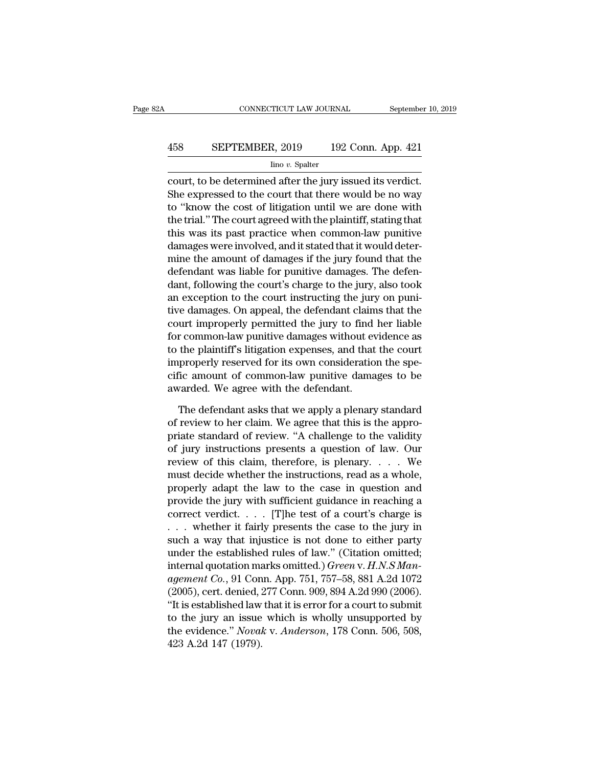# CONNECTICUT LAW JOURNAL September 10, 2019<br>458 SEPTEMBER, 2019 192 Conn. App. 421<br>100 v. Spalter

Iino *v.* Spalter

CONNECTICUT LAW JOURNAL September 10, 2<br>  $\begin{array}{r} \text{5.2}\end{array}$ <br>  $\begin{array}{r} \text{5.3}\end{array}$  CONNECTICUT LAW JOURNAL September 10, 2<br>  $\begin{array}{r} \text{5.4}\end{array}$ <br>  $\begin{array}{r} \text{5.5}\end{array}$  Theory issued its verdict.<br>
She expressed to the cour SEPTEMBER, 2019 192 Conn. App. 421<br>  $\frac{\text{line }v \text{. Spalter}}{\text{count, to be determined after the jury issued its vertical.}}$ <br>
She expressed to the court that there would be no way<br>
to "know the cost of litigation until we are done with<br>
the trial." The court are dought the pl 458 SEPTEMBER, 2019 192 Conn. App. 421<br>  $\frac{\text{line }v.\text{ Spalter}}{\text{count}, \text{to be determined after the jury issued its verdict.}}$ <br>
She expressed to the court that there would be no way<br>
to "know the cost of litigation until we are done with<br>
the trial." The court agreed wit EXEPTEMBER, 2019 192 Conn. App. 421<br>  $\frac{\text{line }v. \text{ Spalter}}{\text{count, to be determined after the jury issued its vertical.}}$ <br>
She expressed to the court that there would be no way<br>
to "know the cost of litigation until we are done with<br>
the trial." The court agreed with the  $\frac{1}{2}$  line v. Spalter<br>court, to be determined after the jury issued its verdict.<br>She expressed to the court that there would be no way<br>to "know the cost of litigation until we are done with<br>the trial." The court agree  $\frac{1}{2}$  and  $\frac{1}{2}$  and  $\frac{1}{2}$  and  $\frac{1}{2}$  and  $\frac{1}{2}$  and  $\frac{1}{2}$  are expressed to the court that there would be no way to "know the cost of litigation until we are done with the trial." The court agreed wit court, to be determined after the jury issued its verdict.<br>She expressed to the court that there would be no way<br>to "know the cost of litigation until we are done with<br>the trial." The court agreed with the plaintiff, stati She expressed to the court that there would be no way<br>to "know the cost of litigation until we are done with<br>the trial." The court agreed with the plaintiff, stating that<br>this was its past practice when common-law punitive to "know the cost of litigation until we are done with<br>the trial." The court agreed with the plaintiff, stating that<br>this was its past practice when common-law punitive<br>damages were involved, and it stated that it would de the trial." The court agreed with the plaintiff, stating that<br>this was its past practice when common-law punitive<br>damages were involved, and it stated that it would deter-<br>mine the amount of damages if the jury found that this was its past practice when common-law punitive<br>damages were involved, and it stated that it would deter-<br>mine the amount of damages if the jury found that the<br>defendant was liable for punitive damages. The defen-<br>dant damages were involved, and it stated that it would deter-<br>mine the amount of damages if the jury found that the<br>defendant was liable for punitive damages. The defen-<br>dant, following the court's charge to the jury, also too mine the amount of damages if the jury found that the<br>defendant was liable for punitive damages. The defen-<br>dant, following the court's charge to the jury, also took<br>an exception to the court instructing the jury on puni-<br> defendant was liable for punitive damages. The defen-<br>dant, following the court's charge to the jury, also took<br>an exception to the court instructing the jury on puni-<br>tive damages. On appeal, the defendant claims that the dant, following the court's charge to the jury, also took<br>an exception to the court instructing the jury on puni-<br>tive damages. On appeal, the defendant claims that the<br>court improperly permitted the jury to find her liabl an exception to the court instructing the jury on punitive damages. On appeal, the defendant claims that the court improperly permitted the jury to find her liable for common-law punitive damages without evidence as to the tive damages. On appeal, the defendant claim<br>court improperly permitted the jury to find<br>for common-law punitive damages without ev<br>to the plaintiff's litigation expenses, and that<br>improperly reserved for its own considera r common-law punitive damages without evidence as<br>the plaintiff's litigation expenses, and that the court<br>properly reserved for its own consideration the spe-<br>ic amount of common-law punitive damages to be<br>varded. We agree to the plaintiff's litigation expenses, and that the court<br>improperly reserved for its own consideration the spe-<br>cific amount of common-law punitive damages to be<br>awarded. We agree with the defendant.<br>The defendant asks t

improperly reserved for its own consideration the specific amount of common-law punitive damages to be awarded. We agree with the defendant.<br>The defendant asks that we apply a plenary standard of review to her claim. We ag cific amount of common-law punitive damages to be<br>awarded. We agree with the defendant.<br>The defendant asks that we apply a plenary standard<br>of review to her claim. We agree that this is the appro-<br>priate standard of review awarded. We agree with the defendant.<br>The defendant asks that we apply a plenary standard<br>of review to her claim. We agree that this is the appro-<br>priate standard of review. "A challenge to the validity<br>of jury instruction The defendant asks that we apply a plenary standard<br>of review to her claim. We agree that this is the appro-<br>priate standard of review. "A challenge to the validity<br>of jury instructions presents a question of law. Our<br>revi The defendant asks that we apply a plenary standard<br>of review to her claim. We agree that this is the appro-<br>priate standard of review. "A challenge to the validity<br>of jury instructions presents a question of law. Our<br>rev of review to her claim. We agree that this is the appropriate standard of review. "A challenge to the validity<br>of jury instructions presents a question of law. Our<br>review of this claim, therefore, is plenary. . . . We<br>must priate standard of review. "A challenge to the validity<br>of jury instructions presents a question of law. Our<br>review of this claim, therefore, is plenary. . . . We<br>must decide whether the instructions, read as a whole,<br>pro of jury instructions presents a question of law. Our<br>review of this claim, therefore, is plenary. . . . . We<br>must decide whether the instructions, read as a whole,<br>properly adapt the law to the case in question and<br>provid review of this claim, therefore, is plenary.... We<br>must decide whether the instructions, read as a whole,<br>properly adapt the law to the case in question and<br>provide the jury with sufficient guidance in reaching a<br>correct must decide whether the instructions, read as a whole,<br>properly adapt the law to the case in question and<br>provide the jury with sufficient guidance in reaching a<br>correct verdict.... [T]he test of a court's charge is<br>... w properly adapt the law to the case in question and<br>provide the jury with sufficient guidance in reaching a<br>correct verdict.... [T]he test of a court's charge is<br>... whether it fairly presents the case to the jury in<br>such provide the jury with sufficient guidance in reaching a<br>correct verdict.... [T]he test of a court's charge is<br>... whether it fairly presents the case to the jury in<br>such a way that injustice is not done to either party<br>und correct verdict. . . . . [T]he test of a court's charge is<br>
. . . whether it fairly presents the case to the jury in<br>
such a way that injustice is not done to either party<br>
under the established rules of law." (Citation o ... whether it fairly presents the case to the jury in such a way that injustice is not done to either party under the established rules of law." (Citation omitted; internal quotation marks omitted.) *Green v. H.N.S Manag* such a way that injustice is not done to either party<br>under the established rules of law." (Citation omitted;<br>internal quotation marks omitted.) *Green v. H.N.S Man-<br>agement Co.*, 91 Conn. App. 751, 757–58, 881 A.2d 1072<br> under the established rules of law." (Citation omitted;<br>internal quotation marks omitted.) *Green v. H.N.S Man-*<br>agement *Co.*, 91 Conn. App. 751, 757–58, 881 A.2d 1072<br>(2005), cert. denied, 277 Conn. 909, 894 A.2d 990 (20 internal quotation ma<br> *agement Co.*, 91 Con<br>
(2005), cert. denied, :<br>
"It is established law<br>
to the jury an issue<br>
the evidence." *Noval*<br>
423 A.2d 147 (1979).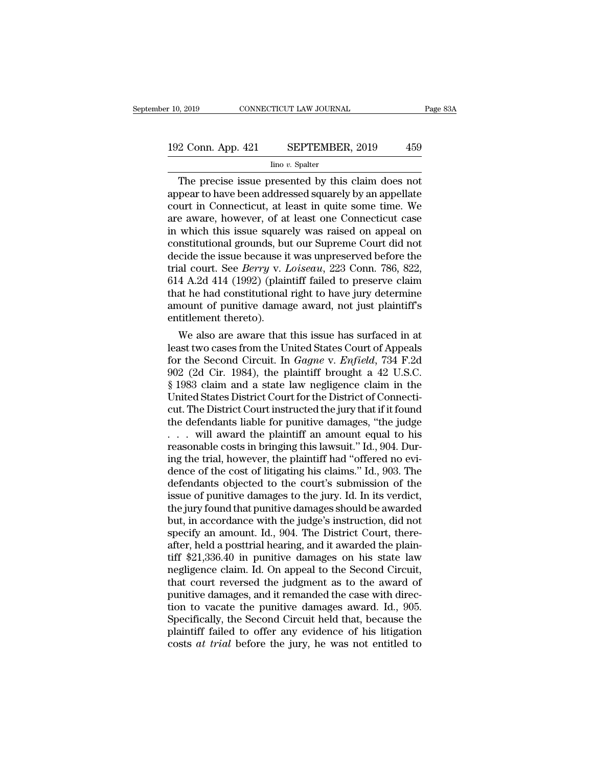# 10, 2019 CONNECTICUT LAW JOURNAL Page 83A<br>192 Conn. App. 421 SEPTEMBER, 2019 459<br>192 Conn. App. 421 SEPTEMBER, 2019 459

#### Iino *v.* Spalter

 $\begin{array}{r|l} \text{Page 832}\ \text{Pose 834}\ \text{Pose 834}\ \text{Pose 834}\ \text{Pose 834}\ \text{Pose 834}\ \text{Pose 834}\ \text{Pose 834}\ \text{Pose 834}\ \text{Pose 834}\ \text{Pose 834}\ \text{Pose 834}\ \text{Pose 834}\ \text{Pose 834}\ \text{Pose 834}\ \text{Pose 834}\ \text{Pose 834}\ \text{Pose 834}\ \text{Pose 834}\ \text{Pose 834}\ \text{Pose 834}\ \$ 192 Conn. App. 421 SEPTEMBER, 2019 459<br>
Ino v. Spalter<br>
The precise issue presented by this claim does not<br>
appear to have been addressed squarely by an appellate<br>
court in Connecticut, at least in quite some time. We<br>
are 192 Conn. App. 421 SEPTEMBER, 2019 459<br>  $\frac{\text{line }v. \text{ Spalter}}{\text{line }v. \text{ Spalter}}$ <br>
The precise issue presented by this claim does not<br>
appear to have been addressed squarely by an appellate<br>
court in Connecticut, at least in quite s 192 Conn. App. 421 SEPTEMBER, 2019 459<br>  $\frac{1}{2}$  Ino v. Spalter<br>
The precise issue presented by this claim does not<br>
appear to have been addressed squarely by an appellate<br>
court in Connecticut, at least in quite some ti The precise issue presented by this claim does not<br>appear to have been addressed squarely by an appellate<br>court in Connecticut, at least in quite some time. We<br>are aware, however, of at least one Connecticut case<br>in which The precise issue presented by this claim does not<br>appear to have been addressed squarely by an appellate<br>court in Connecticut, at least in quite some time. We<br>are aware, however, of at least one Connecticut case<br>in which The precise issue presented by this claim does not<br>appear to have been addressed squarely by an appellate<br>court in Connecticut, at least in quite some time. We<br>are aware, however, of at least one Connecticut case<br>in which appear to have been addressed squarely by an appellate<br>court in Connecticut, at least in quite some time. We<br>are aware, however, of at least one Connecticut case<br>in which this issue squarely was raised on appeal on<br>constit court in Connecticut, at least in quite some time. We<br>are aware, however, of at least one Connecticut case<br>in which this issue squarely was raised on appeal on<br>constitutional grounds, but our Supreme Court did not<br>decide t are aware, however, of at least one Connecticut case<br>in which this issue squarely was raised on appeal on<br>constitutional grounds, but our Supreme Court did not<br>decide the issue because it was unpreserved before the<br>trial c in which this issue squarely was raised on appeal on<br>constitutional grounds, but our Supreme Court did not<br>decide the issue because it was unpreserved before the<br>trial court. See *Berry* v. *Loiseau*, 223 Conn. 786, 822,<br>6 constitutional grounds, bu<br>decide the issue because it<br>trial court. See *Berry* v.  $l$ <br>614 A.2d 414 (1992) (plain<br>that he had constitutional<br>amount of punitive dama<br>entitlement thereto).<br>We also are aware that cide the issue because it was unpreserved before the<br>al court. See *Berry* v. *Loiseau*, 223 Conn. 786, 822,<br>4 A.2d 414 (1992) (plaintiff failed to preserve claim<br>at he had constitutional right to have jury determine<br>noun Irlai court. See *Berry* v. *Loiseau*, 223 Conn. 786, 822, 614 A.2d 414 (1992) (plaintiff failed to preserve claim that he had constitutional right to have jury determine amount of punitive damage award, not just plaintif

614 A.2d 414 (1992) (plaintiff ratio to preserve claim<br>that he had constitutional right to have jury determine<br>amount of punitive damage award, not just plaintiff's<br>entitlement thereto).<br>We also are aware that this issue h that he had constitutional right to have jury determine<br>amount of punitive damage award, not just plaintiff's<br>entitlement thereto).<br>We also are aware that this issue has surfaced in at<br>least two cases from the United Stat amount or punitive damage award, not just plaintiff's<br>entitlement thereto).<br>We also are aware that this issue has surfaced in at<br>least two cases from the United States Court of Appeals<br>for the Second Circuit. In *Gagne* v. entitlement thereto).<br>We also are aware that this issue has surfaced in at<br>least two cases from the United States Court of Appeals<br>for the Second Circuit. In *Gagne* v. *Enfield*, 734 F.2d<br>902 (2d Cir. 1984), the plaintiff We also are aware that this issue has surfaced in at<br>least two cases from the United States Court of Appeals<br>for the Second Circuit. In *Gagne* v. *Enfield*, 734 F.2d<br>902 (2d Cir. 1984), the plaintiff brought a 42 U.S.C.<br>§ least two cases from the United States Court of Appeals<br>for the Second Circuit. In *Gagne* v. *Enfield*, 734 F.2d<br>902 (2d Cir. 1984), the plaintiff brought a 42 U.S.C.<br>§ 1983 claim and a state law negligence claim in the<br>U for the Second Circuit. In *Gagne* v. *Enfield*, 734 F.2d 902 (2d Cir. 1984), the plaintiff brought a 42 U.S.C. § 1983 claim and a state law negligence claim in the United States District Court for the District of Connect 902 (2d Cir. 1984), the plaintiff brought a 42 U.S.C.<br>§ 1983 claim and a state law negligence claim in the<br>United States District Court for the District of Connecti-<br>cut. The District Court instructed the jury that if it § 1983 claim and a state law negligence claim in the United States District Court for the District of Connecticut. The District Court instructed the jury that if it found the defendants liable for punitive damages, "the ju United States District Court for the District of Connecticut. The District Court instructed the jury that if it found<br>the defendants liable for punitive damages, "the judge<br>. . . . will award the plaintiff an amount equal cut. The District Court instructed the jury that if it found<br>the defendants liable for punitive damages, "the judge<br> $\dots$  will award the plaintiff an amount equal to his<br>reasonable costs in bringing this lawsuit." Id., 904 the defendants liable for punitive damages, "the judge  $\ldots$  will award the plaintiff an amount equal to his reasonable costs in bringing this lawsuit." Id., 904. During the trial, however, the plaintiff had "offered no e ... will award the plaintiff an amount equal to his<br>reasonable costs in bringing this lawsuit." Id., 904. Dur-<br>ing the trial, however, the plaintiff had "offered no evi-<br>dence of the cost of litigating his claims." Id., 9 reasonable costs in bringing this lawsuit." Id., 904. During the trial, however, the plaintiff had "offered no evidence of the cost of litigating his claims." Id., 903. The defendants objected to the court's submission of ing the trial, however, the plaintiff had "offered no evidence of the cost of litigating his claims." Id., 903. The defendants objected to the court's submission of the issue of punitive damages to the jury. Id. In its ver dence of the cost of litigating his claims." Id., 903. The<br>defendants objected to the court's submission of the<br>issue of punitive damages to the jury. Id. In its verdict,<br>the jury found that punitive damages should be awar defendants objected to the court's submission of the<br>issue of punitive damages to the jury. Id. In its verdict,<br>the jury found that punitive damages should be awarded<br>but, in accordance with the judge's instruction, did no issue of punitive damages to the jury. Id. In its verdict,<br>the jury found that punitive damages should be awarded<br>but, in accordance with the judge's instruction, did not<br>specify an amount. Id., 904. The District Court, th the jury found that punitive damages should be awarded<br>but, in accordance with the judge's instruction, did not<br>specify an amount. Id., 904. The District Court, there-<br>after, held a posttrial hearing, and it awarded the pl but, in accordance with the judge's instruction, did not specify an amount. Id., 904. The District Court, there-<br>after, held a posttrial hearing, and it awarded the plain-<br>tiff \$21,336.40 in punitive damages on his state l specify an amount. Id., 904. The District Court, there-<br>after, held a posttrial hearing, and it awarded the plain-<br>tiff \$21,336.40 in punitive damages on his state law<br>negligence claim. Id. On appeal to the Second Circuit, after, held a posttrial hearing, and it awarded the plain-<br>tiff \$21,336.40 in punitive damages on his state law<br>negligence claim. Id. On appeal to the Second Circuit,<br>that court reversed the judgment as to the award of<br>pun tiff \$21,336.40 in punitive damages on his state law<br>negligence claim. Id. On appeal to the Second Circuit,<br>that court reversed the judgment as to the award of<br>punitive damages, and it remanded the case with direc-<br>tion t negligence claim. Id. On appeal to the Second Circuit, that court reversed the judgment as to the award of punitive damages, and it remanded the case with direction to vacate the punitive damages award. Id., 905. Specifica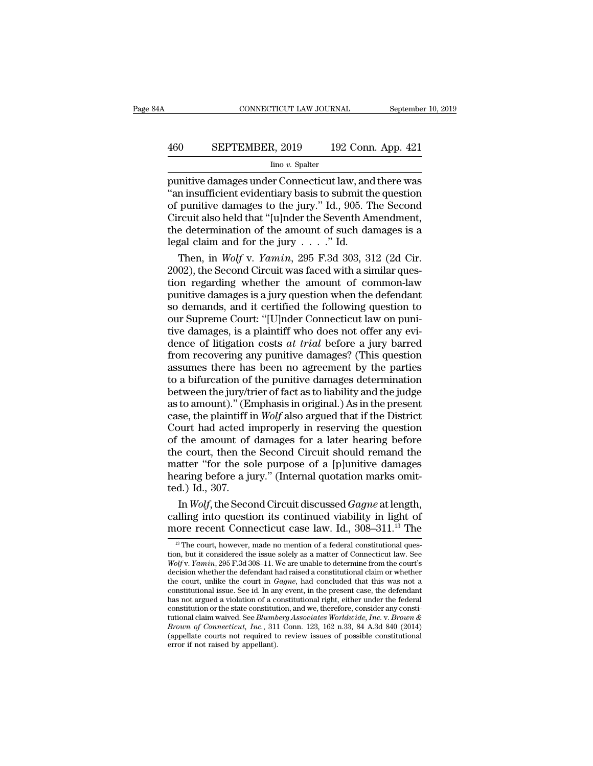# CONNECTICUT LAW JOURNAL September 10, 2019<br>460 SEPTEMBER, 2019 192 Conn. App. 421<br>100 v. Spalter

#### Iino *v.* Spalter

 $\begin{tabular}{ll} \multicolumn{1}{l}{{\small \textbf{COMRECTICUT LAW JOURNAL}}} & \multicolumn{1}{l}{\small \textbf{September 10, 2019}}\\ \hline & \multicolumn{1}{l}{\small \textbf{SEPTEMBER, 2019}} & \multicolumn{1}{l}{\small \textbf{192 Conn. App. 421}}\\ & \multicolumn{1}{l}{\small \textbf{Ino }v. \textbf{ Spalter}}\\ \hline \textbf{p} \textbf{unitive damages under Connecticut law, and there was ``an insufficient evolutionary basis to submit the question of nunitive damages to the jury '' Id. 905. The Second} \end{tabular}$ SEPTEMBER, 2019 192 Conn. App. 421<br>
<sup>Ino v.</sup> Spalter<br>
punitive damages under Connecticut law, and there was<br>
"an insufficient evidentiary basis to submit the question<br>
of punitive damages to the jury." Id., 905. The Second **460** SEPTEMBER, 2019 192 Conn. App. 421<br>  $\frac{\text{line }v.\text{ Spattern}}{\text{punitive damages under Connecticut law, and there was}}$ <br>
"an insufficient evidentiary basis to submit the question<br>
of punitive damages to the jury." Id., 905. The Second<br>
Circuit also held that "[u]nder 460 SEPTEMBER, 2019 192 Conn. App. 421<br>  $\frac{1}{2}$  lino v. Spalter<br>
punitive damages under Connecticut law, and there was<br>
"an insufficient evidentiary basis to submit the question<br>
of punitive damages to the jury." Id., 9 For the determination of the amount of such an angle of such an amount of punitive damages under Connecticut law, and there was<br>
"an insufficient evidentiary basis to submit the question<br>
of punitive damages to the jury." lino *v*. Spalter<br>
punitive damages under Connecticut law, and<br>
"an insufficient evidentiary basis to submit the<br>
of punitive damages to the jury." Id., 905. T<br>
Circuit also held that "[u]nder the Seventh An<br>
the determin mitive damages under Connecticut law, and there was<br>n insufficient evidentiary basis to submit the question<br>punitive damages to the jury." Id., 905. The Second<br>rcuit also held that "[u]nder the Seventh Amendment,<br>e determi "an insufficient evidentiary basis to submit the question<br>of punitive damages to the jury." Id., 905. The Second<br>Circuit also held that "[u]nder the Seventh Amendment,<br>the determination of the amount of such damages is a<br>

of punitive damages to the jury." Id., 905. The Second<br>Circuit also held that "[u]nder the Seventh Amendment,<br>the determination of the amount of such damages is a<br>legal claim and for the jury . . . . ." Id.<br>Then, in *Wolf* Circuit also held that "[u]nder the Seventh Amendment,<br>the determination of the amount of such damages is a<br>legal claim and for the jury  $\ldots$ ." Id.<br>Then, in *Wolf* v. *Yamin*, 295 F.3d 303, 312 (2d Cir.<br>2002), the Second the determination of the amount of such damages is a<br>legal claim and for the jury  $\ldots$ ." Id.<br>Then, in *Wolf v. Yamin*, 295 F.3d 303, 312 (2d Cir.<br>2002), the Second Circuit was faced with a similar ques-<br>tion regarding wh legal claim and for the jury  $\ldots$ ." Id.<br>Then, in *Wolf v. Yamin*, 295 F.3d 303, 312 (2d Cir.<br>2002), the Second Circuit was faced with a similar question regarding whether the amount of common-law<br>punitive damages is a ju Then, in *Wolf v. Yamin*, 295 F.3d 303, 312 (2d Cir. 2002), the Second Circuit was faced with a similar question regarding whether the amount of common-law punitive damages is a jury question when the defendant so demands 2002), the Second Circuit was faced with a similar question regarding whether the amount of common-law<br>punitive damages is a jury question when the defendant<br>so demands, and it certified the following question to<br>our Supre tion regarding whether the amount of common-law<br>punitive damages is a jury question when the defendant<br>so demands, and it certified the following question to<br>our Supreme Court: "[U]nder Connecticut law on puni-<br>tive damag punitive damages is a jury question when the defendant<br>so demands, and it certified the following question to<br>our Supreme Court: "[U]nder Connecticut law on puni-<br>tive damages, is a plaintiff who does not offer any evi-<br>de so demands, and it certified the following question to<br>our Supreme Court: "[U]nder Connecticut law on puni-<br>tive damages, is a plaintiff who does not offer any evi-<br>dence of litigation costs *at trial* before a jury barred our Supreme Court: "[U]nder Connecticut law on punitive damages, is a plaintiff who does not offer any evidence of litigation costs *at trial* before a jury barred from recovering any punitive damages? (This question assu tive damages, is a plaintiff who does not offer any evidence of litigation costs *at trial* before a jury barred<br>from recovering any punitive damages? (This question<br>assumes there has been no agreement by the parties<br>to a dence of litigation costs *at trial* before a jury barred<br>from recovering any punitive damages? (This question<br>assumes there has been no agreement by the parties<br>to a bifurcation of the punitive damages determination<br>betwe from recovering any punitive damages? (This question<br>assumes there has been no agreement by the parties<br>to a bifurcation of the punitive damages determination<br>between the jury/trier of fact as to liability and the judge<br>a assumes there has been no agreement by the parties<br>to a bifurcation of the punitive damages determination<br>between the jury/trier of fact as to liability and the judge<br>as to amount)." (Emphasis in original.) As in the pres to a bifurcation of the punitive damages determination<br>between the jury/trier of fact as to liability and the judge<br>as to amount)." (Emphasis in original.) As in the present<br>case, the plaintiff in *Wolf* also argued that between the jury/trier of fact as to liability and the judge<br>as to amount)." (Emphasis in original.) As in the present<br>case, the plaintiff in *Wolf* also argued that if the District<br>Court had acted improperly in reserving between the jury/trier of fact as to liability and the judge<br>as to amount)." (Emphasis in original.) As in the present<br>case, the plaintiff in *Wolf* also argued that if the District<br>Court had acted improperly in reserving case, the plaintiff if court had acted in<br>
of the amount of<br>
the court, then the<br>
matter "for the so<br>
hearing before a ju<br>
ted.) Id., 307.<br>
In *Wolf*, the Seco burt had acted improperly in reserving the question<br>the amount of damages for a later hearing before<br>e court, then the Second Circuit should remand the<br>atter "for the sole purpose of a [p]unitive damages<br>aring before a jur of the amount of damages for a later hearing before<br>the court, then the Second Circuit should remand the<br>matter "for the sole purpose of a [p]unitive damages<br>hearing before a jury." (Internal quotation marks omit-<br>ted.) I the court, then the Second Circuit should remand the<br>matter "for the sole purpose of a [p]unitive damages<br>hearing before a jury." (Internal quotation marks omit-<br>ted.) Id., 307.<br>In *Wolf*, the Second Circuit discussed *Ga* 

13 Id., 307.<br>
In *Wolf*, the Second Circuit discussed *Gagne* at length,<br>
alling into question its continued viability in light of<br>
10 ore recent Connecticut case law. Id., 308–311.<sup>13</sup> The<br>
<sup>13</sup> The court, however, made In *Wolf*, the Second Circuit discussed *Gagne* at length,<br>calling into question its continued viability in light of<br>more recent Connecticut case law. Id., 308–311.<sup>13</sup> The<br><sup>13</sup> The court, however, made no mention of a fe

*Wolf*, the second Cricult discussed *Guylie* at length,<br>calling into question its continued viability in light of<br>more recent Connecticut case law. Id., 308–311.<sup>13</sup> The<br><sup>13</sup> The court, however, made no mention of a feder calling into question its continued viability in light of<br>more recent Connecticut case law. Id., 308–311.<sup>13</sup> The<br><sup>13</sup> The court, however, made no mention of a federal constitutional ques-<br>tion, but it considered the issu more recent Connecticut case law. Id., 308–311.<sup>13</sup> The<br>
<sup>13</sup> The court, however, made no mention of a federal constitutional question, but it considered the issue solely as a matter of Connecticut law. See<br> *Wolf v. Yamin* <sup>13</sup> The court, however, made no mention of a federal constitutional question, but it considered the issue solely as a matter of Connecticut law. See *Wolf v. Yamin*, 295 F.3d 308–11. We are unable to determine from the co <sup>13</sup> The court, however, made no mention of a federal constitutional question, but it considered the issue solely as a matter of Connecticut law. See *Wolf v. Yamin*, 295 F.3d 308–11. We are unable to determine from the c tion, but it considered the issue solely as a matter of Connecticut law. See *Wolf v. Yamin*, 295 F.3d 308–11. We are unable to determine from the court's decision whether the defendant had raised a constitutional claim o *Wolf* v. *Yamin*, 295 F.3d 308–11. We are unable to determine from the court's decision whether the defendant had raised a constitutional claim or whether the court, unlike the court in *Gagne*, had concluded that this wa decision whether the defendant had raised a constitutional claim or whether<br>the court, unlike the court in *Gagne*, had concluded that this was not a<br>constitutional issue. See id. In any event, in the present case, the def the court, unlike the court in *Gagne*, had concluded that this was not a constitutional issue. See id. In any event, in the present case, the defendant has not argued a violation of a constitutional right, either under t constitutional issue. See id. In an<br>has not argued a violation of a constitutional claim waived. See *Blumb*<br>Brown of Connecticut, Inc., 311<br>(appellate courts not required to<br>error if not raised by appellant).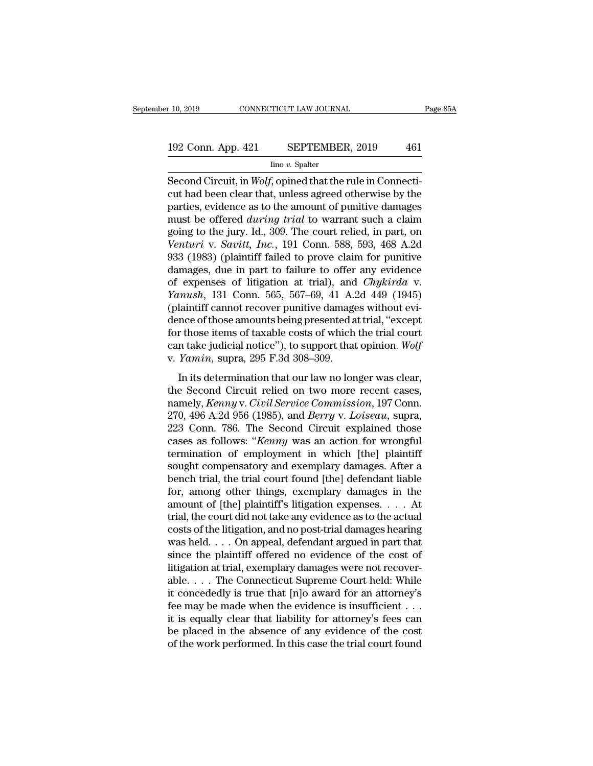# 10, 2019 CONNECTICUT LAW JOURNAL Page 85A<br>192 Conn. App. 421 SEPTEMBER, 2019 461<br>Ino v. Spalter

Iino *v.* Spalter

F 10, 2019 CONNECTICUT LAW JOURNAL<br>
192 Conn. App. 421 SEPTEMBER, 2019 461<br>
<sup>Ino v.</sup> Spalter<br>
Second Circuit, in *Wolf*, opined that the rule in Connecti-<br>
cut had been clear that, unless agreed otherwise by the 192 Conn. App. 421 SEPTEMBER, 2019 461<br>
Ino v. Spatter<br>
Second Circuit, in *Wolf*, opined that the rule in Connecticut had been clear that, unless agreed otherwise by the parties, evidence as to the amount of punitive dama 192 Conn. App. 421 SEPTEMBER, 2019 461<br>  $\frac{\text{line }v. \text{ Spalter}}{\text{Second Circuit, in } Wolf, \text{opined that the rule in Connecti-} \text{cut had been clear that, unless agreed otherwise by the \text{parties, evidence as to the amount of punitive damages} \text{must be offered during trial to warrant such a claim \text{seins to the jury. Id. 300. The court relied in part. On.}$ 192 Conn. App. 421 SEPTEMBER, 2019 461<br>
<sup>lino</sup> *v*. Spalter<br>
Second Circuit, in *Wolf*, opined that the rule in Connecticut had been clear that, unless agreed otherwise by the<br>
parties, evidence as to the amount of punitiv For the vertex states of the vertex states of the second Circuit, in *Wolf*, opined that the rule in Connecticut had been clear that, unless agreed otherwise by the parties, evidence as to the amount of punitive damages m Imo *v*. Spatter<br>
Second Circuit, in *Wolf*, opined that the rule in Connecti-<br>
cut had been clear that, unless agreed otherwise by the<br>
parties, evidence as to the amount of punitive damages<br>
must be offered *during trial* Second Circuit, in *Wolf*, opined that the rule in Connecticut had been clear that, unless agreed otherwise by the parties, evidence as to the amount of punitive damages must be offered *during trial* to warrant such a cl cut had been clear that, unless agreed otherwise by the<br>parties, evidence as to the amount of punitive damages<br>must be offered *during trial* to warrant such a claim<br>going to the jury. Id., 309. The court relied, in part, parties, evidence as to the amount of punitive damages<br>must be offered *during trial* to warrant such a claim<br>going to the jury. Id., 309. The court relied, in part, on<br>Venturi v. Savitt, Inc., 191 Conn. 588, 593, 468 A.2d must be offered *during trial* to warrant such a claim<br>going to the jury. Id., 309. The court relied, in part, on<br>*Venturi* v. *Savitt*, *Inc.*, 191 Conn. 588, 593, 468 A.2d<br>933 (1983) (plaintiff failed to prove claim for going to the jury. Id., 309. The court relied, in part, on<br>Venturi v. Savitt, Inc., 191 Conn. 588, 593, 468 A.2d<br>933 (1983) (plaintiff failed to prove claim for punitive<br>damages, due in part to failure to offer any evidenc Venturi v. Savitt, Inc., 191 Conn. 588, 593, 468 A.2d<br>933 (1983) (plaintiff failed to prove claim for punitive<br>damages, due in part to failure to offer any evidence<br>of expenses of litigation at trial), and *Chykirda* v.<br>Y 933 (1983) (plaintiff failed to prove claim for punitive<br>damages, due in part to failure to offer any evidence<br>of expenses of litigation at trial), and *Chykirda* v.<br>*Yanush*, 131 Conn. 565, 567–69, 41 A.2d 449 (1945)<br>(pl damages, due in part to failure to offer any evidence<br>of expenses of litigation at trial), and *Chykirda* v.<br>*Yanush*, 131 Conn. 565, 567–69, 41 A.2d 449 (1945)<br>(plaintiff cannot recover punitive damages without evi-<br>dence of expenses of litigation at trial), and<br>*Yanush*, 131 Conn. 565, 567–69, 41 A.2<br>(plaintiff cannot recover punitive damage<br>dence of those amounts being presented a<br>for those items of taxable costs of which<br>can take judicia In its determination that our law no longer was clear,<br>those items of taxable costs of which the trial court<br>in take judicial notice"), to support that opinion. Wolf<br>Yamin, supra, 295 F.3d 308–309.<br>In its determination th dence of those amounts being presented at trial, "except<br>dence of those items of taxable costs of which the trial court<br>can take judicial notice"), to support that opinion. Wolf<br>v. *Yamin*, supra, 295 F.3d 308–309.<br>In its

namely, *Kenny* v. *Civil Service Commission*, 197 Connection 232 Connection 286 The Second Circuit commission, 197 Connection, 209 Connection 286 The Second Circuit Commission, 197 Connection, 270, 496 A.2d 956 (1985), an 223 Com. 786. The Second Circuit explained those<br>
270, 496 A.2d 956 (1985), and *Berry* v. *Loiseau*, supra,<br>
270, 496 A.2d 956 (1985), and *Berry* v. *Loiseau*, supra,<br>
223 Com. 786. The Second Circuit explained those<br>
28 v. *Yamin*, supra, 295 F.3d 308–309.<br>In its determination that our law no longer was clear,<br>the Second Circuit relied on two more recent cases,<br>namely, *Kenny* v. *Civil Service Commission*, 197 Conn.<br>270, 496 A.2d 956 (19 cases as follows: ''' *Kenny* was clear,<br>the Second Circuit relied on two more recent cases,<br>namely, *Kenny* v. *Civil Service Commission*, 197 Conn.<br>270, 496 A.2d 956 (1985), and *Berry* v. *Loiseau*, supra,<br>223 Conn. 786 In its determination that our law no longer was clear,<br>the Second Circuit relied on two more recent cases,<br>namely, *Kenny* v. *Civil Service Commission*, 197 Conn.<br>270, 496 A.2d 956 (1985), and *Berry* v. *Loiseau*, supra, the Second Circuit relied on two more recent cases,<br>namely, *Kenny* v. *Civil Service Commission*, 197 Conn.<br>270, 496 A.2d 956 (1985), and *Berry* v. *Loiseau*, supra,<br>223 Conn. 786. The Second Circuit explained those<br>case namely, *Kenny* v. *Civil Service Commission*, 197 Conn.<br>270, 496 A.2d 956 (1985), and *Berry* v. *Loiseau*, supra,<br>223 Conn. 786. The Second Circuit explained those<br>cases as follows: "*Kenny* was an action for wrongful<br>te 270, 496 A.2d 956 (1985), and *Berry* v. *Loiseau*, supra,<br>223 Conn. 786. The Second Circuit explained those<br>cases as follows: "*Kenny* was an action for wrongful<br>termination of employment in which [the] plaintiff<br>sought 223 Conn. 786. The Second Circuit explained those<br>cases as follows: "*Kenny* was an action for wrongful<br>termination of employment in which [the] plaintiff<br>sought compensatory and exemplary damages. After a<br>bench trial, th cases as follows: "*Kenny* was an action for wrongful termination of employment in which [the] plaintiff sought compensatory and exemplary damages. After a bench trial, the trial court found [the] defendant liable for, am termination of employment in which [the] plaintiff<br>sought compensatory and exemplary damages. After a<br>bench trial, the trial court found [the] defendant liable<br>for, among other things, exemplary damages in the<br>amount of [t sought compensatory and exemplary damages. After a<br>bench trial, the trial court found [the] defendant liable<br>for, among other things, exemplary damages in the<br>amount of [the] plaintiff's litigation expenses. . . . At<br>trial bench trial, the trial court found [the] defendant liable<br>for, among other things, exemplary damages in the<br>amount of [the] plaintiff's litigation expenses. . . . At<br>trial, the court did not take any evidence as to the act for, among other things, exemplary damages in the amount of [the] plaintiff's litigation expenses. . . . At trial, the court did not take any evidence as to the actual costs of the litigation, and no post-trial damages he amount of [the] plaintiff's litigation expenses. . . . At<br>trial, the court did not take any evidence as to the actual<br>costs of the litigation, and no post-trial damages hearing<br>was held. . . . On appeal, defendant argued trial, the court did not take any evidence as to the actual<br>costs of the litigation, and no post-trial damages hearing<br>was held. . . . On appeal, defendant argued in part that<br>since the plaintiff offered no evidence of th costs of the litigation, and no post-trial damages hearing<br>was held. . . . On appeal, defendant argued in part that<br>since the plaintiff offered no evidence of the cost of<br>litigation at trial, exemplary damages were not re was held. . . . On appeal, defendant argued in part that<br>since the plaintiff offered no evidence of the cost of<br>litigation at trial, exemplary damages were not recover-<br>able. . . . The Connecticut Supreme Court held: Whil since the plaintiff offered no evidence of the cost of<br>litigation at trial, exemplary damages were not recover-<br>able.... The Connecticut Supreme Court held: While<br>it concededly is true that [n]o award for an attorney's<br>fe litigation at trial, exemplary damages were not recoverable. . . . The Connecticut Supreme Court held: While it concededly is true that [n]o award for an attorney's fee may be made when the evidence is insufficient . . . i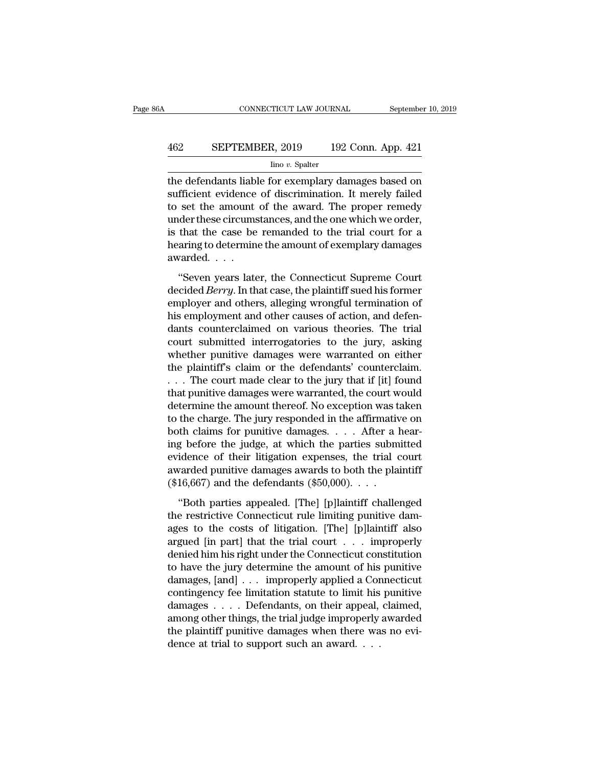# CONNECTICUT LAW JOURNAL September 10, 2019<br>462 SEPTEMBER, 2019 192 Conn. App. 421<br>100 v. Spalter

Iino *v.* Spalter

 $\begin{tabular}{ll} \multicolumn{1}{l}{{\bf CONPECTICUT LAW JOURNAL}} & \multicolumn{1}{l}{September 10, 2019} \\ \hline & \multicolumn{1}{l}{\bf The OFTEMBER, 2019} & \multicolumn{1}{l}{\bf 192 Conn. App. 421} \\ & \multicolumn{1}{l}{\bf 100 $v. Spalter} \\ \hline & \multicolumn{1}{l}{\bf 101} & \multicolumn{1}{l}{\bf 1192 Conn. App. 421} \\ & \multicolumn{1}{l}{\bf 1100 $v. Spalter} \\ \hline & \multicolumn{1}{l}{\bf 111} & \$ SEPTEMBER, 2019 192 Conn. App. 421<br>
Imo v. Spalter<br>
the defendants liable for exemplary damages based on<br>
sufficient evidence of discrimination. It merely failed<br>
to set the amount of the award. The proper remedy<br>
under th  $\begin{array}{lll}\n & \text{SEPTEMBER, 2019} & \text{192 Conn. App. 421}\n \hline\n & \text{line } v. \text{ Spalter} \\
 \hline\n \text{the defendants liable for exemplary damages based on}\n \text{sufficient evidence of discrimination. It merely failed}\nto set the amount of the award. The proper remedy\n \text{under these circumstances, and the one which we order,}\n \text{is that the case be rounded to the trial court for a}\n \end{array}$ EPTEMBER, 2019 192 Conn. App. 421<br>  $\frac{\text{line }v. \text{ Spalter}}{\text{line }v. \text{ Spalter}}$ <br>
the defendants liable for exemplary damages based on<br>
sufficient evidence of discrimination. It merely failed<br>
to set the amount of the award. The proper  $\frac{1}{2}$  line v. Spalter<br>the defendants liable for exemplary damages based on<br>sufficient evidence of discrimination. It merely failed<br>to set the amount of the award. The proper remedy<br>under these circumstances, and the o  $\frac{1}{2}$  and  $\overline{v}$ . Spatier<br>the defendants liable for exemplary damages based on<br>sufficient evidence of discrimination. It merely failed<br>to set the amount of the award. The proper remedy<br>under these circumstances, and the defendants liabl<br>sufficient evidence<br>to set the amount<br>under these circums<br>is that the case be<br>hearing to determin<br>awarded. . . . .<br>"Seven years late Set the amount of the award. The proper remedy<br>
der these circumstances, and the one which we order,<br>
that the case be remanded to the trial court for a<br>
aring to determine the amount of exemplary damages<br>
varded....<br>
"Sev decided *Berry*. In that case, and the one which we order,<br>is that the case be remanded to the trial court for a<br>hearing to determine the amount of exemplary damages<br>awarded....<br>"Seven years later, the Connecticut Supreme

is that the case be remanded to the trial court for a<br>hearing to determine the amount of exemplary damages<br>awarded....<br>"Seven years later, the Connecticut Supreme Court<br>decided *Berry*. In that case, the plaintiff sued his hearing to determine the amount of exemplary damages<br>awarded....<br>"Seven years later, the Connecticut Supreme Court<br>decided *Berry*. In that case, the plaintiff sued his former<br>employer and others, alleging wrongful termina decided . . . .<br>
"Seven years later, the Connecticut Supreme Court<br>
decided *Berry*. In that case, the plaintiff sued his former<br>
employer and others, alleging wrongful termination of<br>
his employment and other causes of ac "Seven years later, the Connecticut Supreme Court<br>decided *Berry*. In that case, the plaintiff sued his former<br>employer and others, alleging wrongful termination of<br>his employment and other causes of action, and defen-<br>da "Seven years later, the Connecticut Supreme Court<br>decided *Berry*. In that case, the plaintiff sued his former<br>employer and others, alleging wrongful termination of<br>his employment and other causes of action, and defen-<br>da decided *Berry*. In that case, the plaintiff sued his former<br>employer and others, alleging wrongful termination of<br>his employment and other causes of action, and defen-<br>dants counterclaimed on various theories. The trial<br>c employer and others, alleging wrongful termination of<br>his employment and other causes of action, and defen-<br>dants counterclaimed on various theories. The trial<br>court submitted interrogatories to the jury, asking<br>whether pu his employment and other causes of action, and defendants counterclaimed on various theories. The trial<br>court submitted interrogatories to the jury, asking<br>whether punitive damages were warranted on either<br>the plaintiff's dants counterclaimed on various theories. The trial<br>court submitted interrogatories to the jury, asking<br>whether punitive damages were warranted on either<br>the plaintiff's claim or the defendants' counterclaim.<br>... The court court submitted interrogatories to the jury, asking<br>whether punitive damages were warranted on either<br>the plaintiff's claim or the defendants' counterclaim.<br> $\dots$  The court made clear to the jury that if [it] found<br>that pu whether punitive damages were warranted on either<br>the plaintiff's claim or the defendants' counterclaim.<br>... The court made clear to the jury that if [it] found<br>that punitive damages were warranted, the court would<br>determ the plaintiff's claim or the defendants' counterclaim.<br>  $\dots$  The court made clear to the jury that if [it] found<br>
that punitive damages were warranted, the court would<br>
determine the amount thereof. No exception was taken ... The court made clear to the jury that if [it] found<br>that punitive damages were warranted, the court would<br>determine the amount thereof. No exception was taken<br>to the charge. The jury responded in the affirmative on<br>bo that punitive damages were warranted, the court would<br>determine the amount thereof. No exception was taken<br>to the charge. The jury responded in the affirmative on<br>both claims for punitive damages.... After a hear-<br>ing bef determine the amount thereof. No exception was taken<br>to the charge. The jury responded in the affirmative on<br>both claims for punitive damages. . . . After a hear-<br>ing before the judge, at which the parties submitted<br>evide th claims for punitive damages.  $\ldots$  After a hear-<br>g before the judge, at which the parties submitted<br>idence of their litigation expenses, the trial court<br>varded punitive damages awards to both the plaintiff<br>16,667) and

the restrictive Connecticut rule limiting punitive dam-<br>ages to the costs of litigation. [The] [p]laintiff also<br>argued [in part] that the trial court . . . improperly evidence of their litigation expenses, the trial court<br>awarded punitive damages awards to both the plaintiff<br>(\$16,667) and the defendants (\$50,000). . . .<br>"Both parties appealed. [The] [p]laintiff challenged<br>the restricti awarded punitive damages awards to both the plaintiff<br>  $(\$16,667)$  and the defendants  $(\$50,000)$ . . . .<br>
"Both parties appealed. [The] [p]laintiff challenged<br>
the restrictive Connecticut rule limiting punitive dam-<br>
ages t (\$16,667) and the defendants (\$50,000). . . .<br>
"Both parties appealed. [The] [p]laintiff challenged<br>
the restrictive Connecticut rule limiting punitive dam-<br>
ages to the costs of litigation. [The] [p]laintiff also<br>
argued "Both parties appealed. [The] [p]laintiff challenged<br>the restrictive Connecticut rule limiting punitive dam-<br>ages to the costs of litigation. [The] [p]laintiff also<br>argued [in part] that the trial court  $\dots$  improperly<br>de "Both parties appealed. [The] [p]laintiff challenged<br>the restrictive Connecticut rule limiting punitive dam-<br>ages to the costs of litigation. [The] [p]laintiff also<br>argued [in part] that the trial court . . . improperly<br>d the restrictive Connecticut rule limiting punitive damages to the costs of litigation. [The] [p]laintiff also argued [in part] that the trial court  $\ldots$  improperly denied him his right under the Connecticut constitution ages to the costs of litigation. [The] [p]laintiff also<br>argued [in part] that the trial court . . . improperly<br>denied him his right under the Connecticut constitution<br>to have the jury determine the amount of his punitive<br> argued [in part] that the trial court . . . . improperly<br>denied him his right under the Connecticut constitution<br>to have the jury determine the amount of his punitive<br>damages, [and] . . . improperly applied a Connecticut<br>c denied him his right under the Connecticut constitution<br>to have the jury determine the amount of his punitive<br>damages, [and] . . . improperly applied a Connecticut<br>contingency fee limitation statute to limit his punitive<br>d to have the jury determine the amount of his damages,  $[and] \ldots$  improperly applied a Cor contingency fee limitation statute to limit his damages  $\ldots$ . Defendants, on their appeal, among other things, the trial judge impro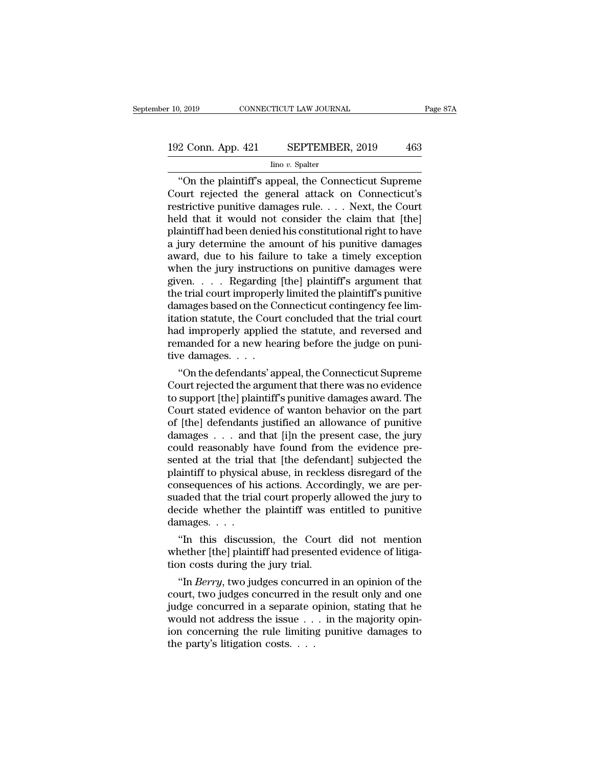# 10, 2019 CONNECTICUT LAW JOURNAL Page 87A<br>192 Conn. App. 421 SEPTEMBER, 2019 463<br>192 Conn. App. 421 SEPTEMBER, 2019 463

#### Iino *v.* Spalter

<sup>2</sup> Conn. App. 421 SEPTEMBER, 2019 463<br>
<sup>1</sup> Ino *v*. Spatter<br> **EXECONDER 2019** 463<br>
<sup>1</sup> Ino *v*. Spatter<br> **EXECONDER 463**<br> **EXECONDER 463**<br> **EXECONDER 463**<br> **EXECONDER 463**<br> **EXECONDER 463**<br> **EXECONDER 463**<br> **EXECONDER 463** 192 Conn. App. 421 SEPTEMBER, 2019 463<br>
Imo v. Spalter<br>
"On the plaintiff's appeal, the Connecticut Supreme<br>
Court rejected the general attack on Connecticut's<br>
restrictive punitive damages rule.... Next, the Court<br>
hold t 192 Conn. App. 421 SEPTEMBER, 2019 463<br>  $\frac{\text{line }v. \text{ Spalter}}{\text{`On the plaintiff's appeal, the Connecticut Supreme}}$ <br>
Court rejected the general attack on Connecticut's<br>
restrictive punitive damages rule. . . . Next, the Court<br>
held that it would not consider the cl 192 Conn. App. 421 SEPTEMBER, 2019 463<br>  $\frac{1}{2}$  Ino v. Spalter<br>
"On the plaintiff's appeal, the Connecticut Supreme<br>
Court rejected the general attack on Connecticut's<br>
restrictive punitive damages rule.... Next, the Co For the plaintiff's appeal, the Connecticut Supreme<br>Court rejected the general attack on Connecticut's<br>restrictive punitive damages rule.... Next, the Court<br>held that it would not consider the claim that [the]<br>plaintiff h  $\frac{\text{line }v \cdot \text{Spalter}}{\text{Court}}$  on the plaintiff's appeal, the Connecticut Supreme<br>Court rejected the general attack on Connecticut's<br>restrictive punitive damages rule.... Next, the Court<br>held that it would not consider the cla "On the plaintiff's appeal, the Connecticut Supreme<br>Court rejected the general attack on Connecticut's<br>restrictive punitive damages rule.... Next, the Court<br>held that it would not consider the claim that [the]<br>plaintiff h Court rejected the general attack on Connecticut's<br>restrictive punitive damages rule. . . . Next, the Court<br>held that it would not consider the claim that [the]<br>plaintiff had been denied his constitutional right to have<br>a restrictive punitive damages rule. . . . Next, the Court<br>held that it would not consider the claim that [the]<br>plaintiff had been denied his constitutional right to have<br>a jury determine the amount of his punitive damages<br>a held that it would not consider the claim that [the]<br>plaintiff had been denied his constitutional right to have<br>a jury determine the amount of his punitive damages<br>award, due to his failure to take a timely exception<br>when plaintiff had been denied his constitutional right to have<br>a jury determine the amount of his punitive damages<br>award, due to his failure to take a timely exception<br>when the jury instructions on punitive damages were<br>given. a jury determine the amount of his punitive damages<br>award, due to his failure to take a timely exception<br>when the jury instructions on punitive damages were<br>given. . . . Regarding [the] plaintiff's argument that<br>the trial award, due to his failure to take a timely exception<br>when the jury instructions on punitive damages were<br>given. . . . Regarding [the] plaintiff's argument that<br>the trial court improperly limited the plaintiff's punitive<br>d when the jury instructions on punitive damages were<br>given. . . . Regarding [the] plaintiff's argument that<br>the trial court improperly limited the plaintiff's punitive<br>damages based on the Connecticut contingency fee lim-<br> given. . . . . Regarding<br>the trial court improperl<br>damages based on the Cour<br>itation statute, the Cour<br>had improperly applied<br>remanded for a new hea<br>tive damages. . . . .<br>"On the defendants' ap e trial court improperly imitied the plaintiff spunitive<br>
mages based on the Connecticut contingency fee lim-<br>
tion statute, the Court concluded that the trial court<br>
d improperly applied the statute, and reversed and<br>
man damages based on the Connecticut contingency ree infinition statute, the Court concluded that the trial court<br>had improperly applied the statute, and reversed and<br>remanded for a new hearing before the judge on puni-<br>tive d

tration statute, the Court concluded that the trial court<br>had improperly applied the statute, and reversed and<br>remanded for a new hearing before the judge on puni-<br>tive damages. . . .<br>"On the defendants' appeal, the Connec nad improperly applied the statute, and reversed and<br>remanded for a new hearing before the judge on puni-<br>tive damages. . . .<br>"On the defendants' appeal, the Connecticut Supreme<br>Court rejected the argument that there was n remanded for a new nearing before the judge on punitive damages. . . .<br>"On the defendants' appeal, the Connecticut Supreme<br>Court rejected the argument that there was no evidence<br>to support [the] plaintiff's punitive damage dive damages. . . .<br>
"On the defendants' appeal, the Connecticut Supreme<br>
Court rejected the argument that there was no evidence<br>
to support [the] plaintiff's punitive damages award. The<br>
Court stated evidence of wanton be "On the defendants' appeal, the Connecticut Supreme<br>Court rejected the argument that there was no evidence<br>to support [the] plaintiff's punitive damages award. The<br>Court stated evidence of wanton behavior on the part<br>of [t Court rejected the argument that there was no evidence<br>to support [the] plaintiff's punitive damages award. The<br>Court stated evidence of wanton behavior on the part<br>of [the] defendants justified an allowance of punitive<br>da to support [the] plaintiff's punitive damages award. The<br>Court stated evidence of wanton behavior on the part<br>of [the] defendants justified an allowance of punitive<br>damages . . . and that [i]n the present case, the jury<br>co Court stated evidence of wanton behavior on the part of [the] defendants justified an allowance of punitive damages  $\dots$  and that [i]n the present case, the jury could reasonably have found from the evidence presented at of [the] defendants justified an allowance of punitive<br>damages . . . and that [i]n the present case, the jury<br>could reasonably have found from the evidence pre-<br>sented at the trial that [the defendant] subjected the<br>plaint damages . . . and that [i]n the present case, the jury<br>could reasonably have found from the evidence pre-<br>sented at the trial that [the defendant] subjected the<br>plaintiff to physical abuse, in reckless disregard of the<br>con could reasonably h<br>sented at the trial<br>plaintiff to physical<br>consequences of his<br>suaded that the tria<br>decide whether the<br>damages. . . .<br>"In this discuss nted at the trial that [the defendant] subjected the<br>aintiff to physical abuse, in reckless disregard of the<br>msequences of his actions. Accordingly, we are per-<br>aded that the trial court properly allowed the jury to<br>cide w plaintiff to physical abuse, in reckless disregard of the<br>consequences of his actions. Accordingly, we are per-<br>suaded that the trial court properly allowed the jury to<br>decide whether the plaintiff was entitled to punitive consequences or nis actions. Accord<br>suaded that the trial court properly a<br>decide whether the plaintiff was eld<br>amages.  $\ldots$ .<br>"In this discussion, the Court<br>whether [the] plaintiff had presented<br>tion costs during the jur

cide whether the plaintiff was entitled to punitive<br>
"In this discussion, the Court did not mention<br>
nether [the] plaintiff had presented evidence of litiga-<br>
"In *Berry*, two judges concurred in an opinion of the<br>
urt, tw

damages. . . . .<br>
"In this discussion, the Court did not mention<br>
whether [the] plaintiff had presented evidence of litiga-<br>
tion costs during the jury trial.<br>
"In *Berry*, two judges concurred in an opinion of the<br>
court "In this discussion, the Court did not mention<br>whether [the] plaintiff had presented evidence of litiga-<br>tion costs during the jury trial.<br>"In *Berry*, two judges concurred in an opinion of the<br>court, two judges concurred In this discussion, the Court did not mention<br>whether [the] plaintiff had presented evidence of litiga-<br>tion costs during the jury trial.<br>"In *Berry*, two judges concurred in an opinion of the<br>court, two judges concurred whether [the] plaintif had presented evidence of litigation costs during the jury trial.<br>
"In *Berry*, two judges concurred in an opinion of the court, two judges concurred in the result only and one judge concurred in a tion costs during the jury trial.<br>
"In *Berry*, two judges concurred in the party's litigation concerning the rule limiting<br>
ion concerning the rule limiting<br>
the party's litigation costs. . . . .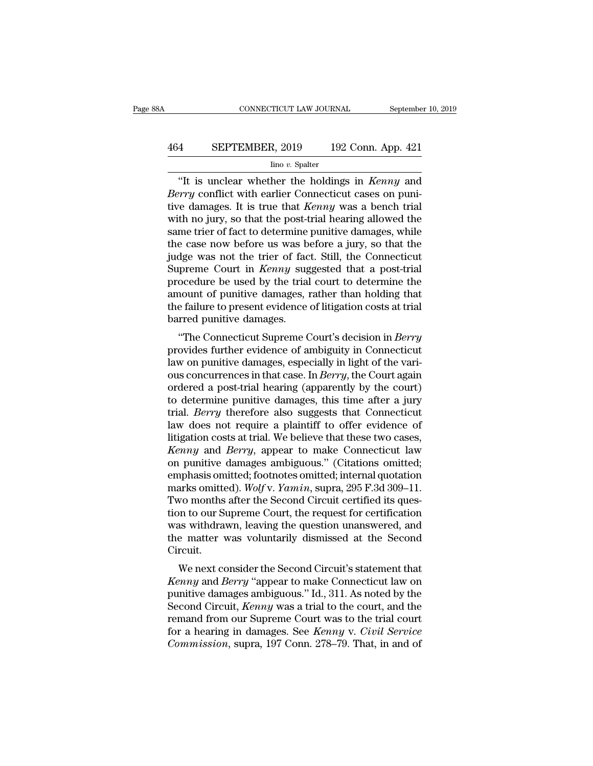# CONNECTICUT LAW JOURNAL September 10, 2019<br>464 SEPTEMBER, 2019 192 Conn. App. 421<br>100 v. Spalter

#### Iino *v.* Spalter

CONNECTICUT LAW JOURNAL September 10, 2019<br>
4 SEPTEMBER, 2019 192 Conn. App. 421<br>
<sup>Ino v.</sup> Spalter<br>
"It is unclear whether the holdings in *Kenny* and<br>
"It is unclear whether the holdings in *Kenny* and<br>
"Y conflict with e *Berrember, 2019 Berrember, 2019 Berry* Connections *Berry* conflict with earlier Connecticut cases on puni-<br>*Berry* conflict with earlier Connecticut cases on puni-<br>*Berry* conflict with earlier Connecticut cases on p **EXEPTEMBER, 2019** 192 Conn. App. 421<br>  $\frac{1}{2}$  line v. Spalter<br>
"It is unclear whether the holdings in *Kenny* and<br> *Berry* conflict with earlier Connecticut cases on punitive damages. It is true that *Kenny* was a benc EPTEMBER, 2019 192 Conn. App. 421<br>  $\frac{1}{2}$  ino v. Spalter<br>
"It is unclear whether the holdings in *Kenny* and<br> *Berry* conflict with earlier Connecticut cases on puni-<br>
tive damages. It is true that *Kenny* was a bench For the same trier of spatter<br>
Theo v. Spatter<br>
"It is unclear whether the holdings in *Kenny* and<br> *Berry* conflict with earlier Connecticut cases on puni-<br>
tive damages. It is true that *Kenny* was a bench trial<br>
with n the case in the case in the matrice of the the the dimension of Berry conflict with earlier Connecticut cases on punitive damages. It is true that *Kenny* was a bench trial with no jury, so that the post-trial hearing all "It is unclear whether the holdings in *Kenny* and *Berry* conflict with earlier Connecticut cases on punitive damages. It is true that *Kenny* was a bench trial with no jury, so that the post-trial hearing allowed the sa Berry conflict with earlier Connecticut cases on punitive damages. It is true that *Kenny* was a bench trial with no jury, so that the post-trial hearing allowed the same trier of fact to determine punitive damages, while tive damages. It is true that *Kenny* was a bench trial<br>with no jury, so that the post-trial hearing allowed the<br>same trier of fact to determine punitive damages, while<br>the case now before us was before a jury, so that the with no jury, so that the post-trial hearing allowed the<br>same trier of fact to determine punitive damages, while<br>the case now before us was before a jury, so that the<br>judge was not the trier of fact. Still, the Connecticut same trier of fact to determine punitive damages, while<br>the case now before us was before a jury, so that the<br>judge was not the trier of fact. Still, the Connecticut<br>Supreme Court in *Kenny* suggested that a post-trial<br>pro the case now before us was b<br>judge was not the trier of face<br>Supreme Court in *Kenny* sug<br>procedure be used by the trial<br>amount of punitive damages, 1<br>the failure to present evidence<br>barred punitive damages.<br>"The Connectic the Court in *Kenny* suggested that a post-trial<br>ocedure be used by the trial court to determine the<br>nount of punitive damages, rather than holding that<br>e failure to present evidence of litigation costs at trial<br>rred punit supreme Court in *Renny* suggested that a post-trial<br>procedure be used by the trial court to determine the<br>amount of punitive damages, rather than holding that<br>the failure to present evidence of litigation costs at trial<br>b

procedure be used by the trial court to determine the<br>amount of punitive damages, rather than holding that<br>the failure to present evidence of litigation costs at trial<br>barred punitive damages.<br>"The Connecticut Supreme Cour amount of puntive damages, rather than holding that<br>the failure to present evidence of litigation costs at trial<br>barred punitive damages.<br>"The Connecticut Supreme Court's decision in *Berry*<br>provides further evidence of am the familie to present evidence of infigation costs at that<br>barred punitive damages.<br>"The Connecticut Supreme Court's decision in *Berry*<br>provides further evidence of ambiguity in Connecticut<br>law on punitive damages, espec barred punitive damages.<br>
"The Connecticut Supreme Court's decision in *Berry*<br>
provides further evidence of ambiguity in Connecticut<br>
law on punitive damages, especially in light of the vari-<br>
ous concurrences in that ca "The Connecticut Supreme Court's decision in *Berry*<br>provides further evidence of ambiguity in Connecticut<br>law on punitive damages, especially in light of the vari-<br>ous concurrences in that case. In *Berry*, the Court agai provides further evidence of ambiguity in Connecticut<br>law on punitive damages, especially in light of the vari-<br>ous concurrences in that case. In *Berry*, the Court again<br>ordered a post-trial hearing (apparently by the cou law on punitive damages, especially in light of the various concurrences in that case. In *Berry*, the Court again ordered a post-trial hearing (apparently by the court) to determine punitive damages, this time after a jur ous concurrences in that case. In *Berry*, the Court again<br>ordered a post-trial hearing (apparently by the court)<br>to determine punitive damages, this time after a jury<br>trial. *Berry* therefore also suggests that Connecticu ordered a post-trial hearing (apparently by the court)<br>to determine punitive damages, this time after a jury<br>trial. *Berry* therefore also suggests that Connecticut<br>law does not require a plaintiff to offer evidence of<br>li to determine punitive damages, this time after a jury<br>trial. *Berry* therefore also suggests that Connecticut<br>law does not require a plaintiff to offer evidence of<br>litigation costs at trial. We believe that these two case trial. *Berry* therefore also suggests that Connecticut<br>law does not require a plaintiff to offer evidence of<br>litigation costs at trial. We believe that these two cases,<br>*Kenny* and *Berry*, appear to make Connecticut law<br> law does not require a plaintiff to offer evidence of litigation costs at trial. We believe that these two cases, *Kenny* and *Berry*, appear to make Connecticut law on punitive damages ambiguous." (Citations omitted; emp litigation costs at trial. We believe that these two cases,<br> *Kenny* and *Berry*, appear to make Connecticut law<br>
on punitive damages ambiguous." (Citations omitted;<br>
emphasis omitted; footnotes omitted; internal quotation Kenny and Berry, appear to make Connecticut law<br>on punitive damages ambiguous." (Citations omitted;<br>emphasis omitted; footnotes omitted; internal quotation<br>marks omitted). Wolf v. Yamin, supra, 295 F.3d 309–11.<br>Two months on punitive damages ambiguous." (Citations omitted;<br>emphasis omitted; footnotes omitted; internal quotation<br>marks omitted). Wolf v. Yamin, supra, 295 F.3d 309–11.<br>Two months after the Second Circuit certified its ques-<br>tio Circuit. arks onlined). Wolf v. Famen, supra, 255 F.5d 505–11.<br>Wo months after the Second Circuit certified its question to our Supreme Court, the request for certification<br>as withdrawn, leaving the question unanswered, and<br>e-matt *Kenny* and *Berry* "appear to make Connective and the matter was voluntarily dismissed at the Second Circuit.<br> *Kenny* and *Berry* "appear to make Connecticut law on punitive damages ambiguous." Id., 311. As noted by the

punitive damages ambiguous." Id., 311. As noted by the means of the matter was voluntarily dismissed at the Second Circuit.<br>
We next consider the Second Circuit's statement that<br> *Kenny* and *Berry* "appear to make Connect was windrawn, leaving the question unanswered, and<br>the matter was voluntarily dismissed at the Second<br>Circuit.<br>*Kenny* and *Berry* "appear to make Connecticut law on<br>punitive damages ambiguous." Id., 311. As noted by the<br>S The matter was voluntarily dishussed at the Second<br>Circuit.<br>We next consider the Second Circuit's statement that<br>*Kenny* and *Berry* "appear to make Connecticut law on<br>punitive damages ambiguous." Id., 311. As noted by the We next consider the Second Circuit's statement that *Kenny* and *Berry* "appear to make Connecticut law on punitive damages ambiguous." Id., 311. As noted by the Second Circuit, *Kenny* was a trial to the court, and the r *We next consider the Second Circuit's statement that Kenny* and *Berry* "appear to make Connecticut law on punitive damages ambiguous." Id., 311. As noted by the Second Circuit, *Kenny* was a trial to the court, and the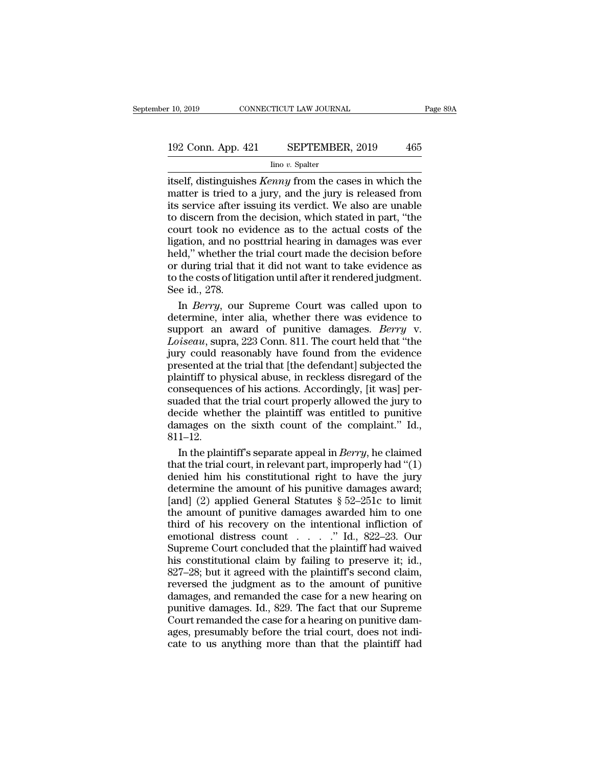# 10, 2019 CONNECTICUT LAW JOURNAL Page 89A<br>192 Conn. App. 421 SEPTEMBER, 2019 465<br>192 Conn. App. 421 SEPTEMBER, 2019 465

#### Iino *v.* Spalter

<sup>r</sup> 10, 2019 CONNECTICUT LAW JOURNAL Page 89A<br>
192 Conn. App. 421 SEPTEMBER, 2019 465<br>
<sup>Ino v.</sup> Spatter<br>
itself, distinguishes *Kenny* from the cases in which the<br>
matter is tried to a jury, and the jury is released from<br> 192 Conn. App. 421 SEPTEMBER, 2019 465<br>
ino v. Spalter<br>
itself, distinguishes *Kenny* from the cases in which the<br>
matter is tried to a jury, and the jury is released from<br>
its service after issuing its verdict. We also ar 192 Conn. App. 421 SEPTEMBER, 2019 465<br>  $\frac{\text{line }v. \text{ Spalter}}{\text{line }v. \text{ Spalter}}$ <br>
itself, distinguishes *Kenny* from the cases in which the<br>
matter is tried to a jury, and the jury is released from<br>
its service after issuing its ve 192 Conn. App. 421 SEPTEMBER, 2019 465<br>  $\frac{1}{2}$  Ino v. Spalter<br>
itself, distinguishes *Kenny* from the cases in which the<br>
matter is tried to a jury, and the jury is released from<br>
its service after issuing its verdict. For the actual court. Apple  $\frac{1}{2}$  is the actual costs in which the matter is tried to a jury, and the jury is released from its service after issuing its verdict. We also are unable to discern from the decision, which  $\frac{\text{line }v. \text{ Spalter}}{\text{itself, distinguishes } \text{Kenny from the cases in which the matter is tried to a jury, and the jury is released from its service after issuing its verdict. We also are unable to discern from the decision, which stated in part, "the court took no evidence as to the actual costs of the ligation, and no posttrial hearing in damages was ever held," whether the trial court made the decision before or during trial that it did not want to take evidence as$ itself, distinguishes *Kenny* from the cases in which the<br>matter is tried to a jury, and the jury is released from<br>its service after issuing its verdict. We also are unable<br>to discern from the decision, which stated in par matter is tried to a jury, and the jury is released from<br>its service after issuing its verdict. We also are unable<br>to discern from the decision, which stated in part, "the<br>court took no evidence as to the actual costs of t its service after issuing its verdict. We also are unable<br>to discern from the decision, which stated in part, "the<br>court took no evidence as to the actual costs of the<br>ligation, and no posttrial hearing in damages was ever to discern from the court took no evaluation, and no pheld," whether the or during trial that to the costs of litigues in the set of litig See id., 278. In *Berry*, our urt took no evidence as to the actual costs of the<br>
gation, and no posttrial hearing in damages was ever<br>
Id," whether the trial court made the decision before<br>
during trial that it did not want to take evidence as<br>
the co ligation, and no posttrial hearing in damages was ever<br>held," whether the trial court made the decision before<br>or during trial that it did not want to take evidence as<br>to the costs of litigation until after it rendered ju

held," whether the trial court made the decision before<br>or during trial that it did not want to take evidence as<br>to the costs of litigation until after it rendered judgment.<br>See id., 278.<br>In *Berry*, our Supreme Court was or during trial that it did not want to take evidence as<br>
to the costs of litigation until after it rendered judgment.<br>
See id., 278.<br>
In *Berry*, our Supreme Court was called upon to<br>
determine, inter alia, whether there to the costs of litigation until after it rendered judgment.<br>See id., 278.<br>In *Berry*, our Supreme Court was called upon to<br>determine, inter alia, whether there was evidence to<br>support an award of punitive damages. *Berry* See id., 278.<br>
In *Berry*, our Supreme Court was called upon to<br>
determine, inter alia, whether there was evidence to<br>
support an award of punitive damages. *Berry* v.<br> *Loiseau*, supra, 223 Conn. 811. The court held that In *Berry*, our Supreme Court was called upon to<br>determine, inter alia, whether there was evidence to<br>support an award of punitive damages. *Berry* v.<br>*Loiseau*, supra, 223 Conn. 811. The court held that "the<br>jury could re consequences of his actions. The example of the set of determine, inter alia, whether there was evidence to support an award of punitive damages. *Berry* v. *Loiseau*, supra, 223 Conn. 811. The court held that "the jury co support an award of punitive damages. *Berry* v.<br>Loiseau, supra, 223 Conn. 811. The court held that "the<br>jury could reasonably have found from the evidence<br>presented at the trial that [the defendant] subjected the<br>plaintif Loiseau, supra, 223 Conn. 811. The court held that "the<br>jury could reasonably have found from the evidence<br>presented at the trial that [the defendant] subjected the<br>plaintiff to physical abuse, in reckless disregard of th Everyon, suppress also that of the complete from the evidence<br>presented at the trial that [the defendant] subjected the<br>plaintiff to physical abuse, in reckless disregard of the<br>consequences of his actions. Accordingly, [ 811–12. aintiff to physical abuse, in reckless disregard of the<br>msequences of his actions. Accordingly, [it was] per-<br>aded that the trial court properly allowed the jury to<br>cide whether the plaintiff was entitled to punitive<br>mages consequences of his actions. Accordingly, [it was] per-<br>suaded that the trial court properly allowed the jury to<br>decide whether the plaintiff was entitled to punitive<br>damages on the sixth count of the complaint." Id.,<br> $81$ 

suaded that the trial court properly allowed the jury to<br>decide whether the plaintiff was entitled to punitive<br>damages on the sixth count of the complaint." Id.,<br> $811-12$ .<br>In the plaintiff's separate appeal in *Berry*, he decide whether the plaintiff was entitled to punitive<br>damages on the sixth count of the complaint." Id.,<br>811–12.<br>In the plaintiff's separate appeal in *Berry*, he claimed<br>that the trial court, in relevant part, improperly damages on the sixth count of the complaint." Id.,  $811-12$ .<br>In the plaintiff's separate appeal in *Berry*, he claimed<br>that the trial court, in relevant part, improperly had "(1)<br>denied him his constitutional right to hav 811–12.<br>In the plaintiff's separate appeal in *Berry*, he claimed<br>that the trial court, in relevant part, improperly had "(1)<br>denied him his constitutional right to have the jury<br>determine the amount of his punitive damag In the plaintiff's separate appeal in *Berry*, he claimed<br>that the trial court, in relevant part, improperly had "(1)<br>denied him his constitutional right to have the jury<br>determine the amount of his punitive damages award that the trial court, in relevant part, improperly had "(1)<br>denied him his constitutional right to have the jury<br>determine the amount of his punitive damages award;<br>[and] (2) applied General Statutes § 52–251c to limit<br>th denied him his constitutional right to have the jury<br>determine the amount of his punitive damages award;<br>[and] (2) applied General Statutes § 52–251c to limit<br>the amount of punitive damages awarded him to one<br>third of his determine the amount of his punitive damages award;<br>[and] (2) applied General Statutes  $\S$  52–251c to limit<br>the amount of punitive damages awarded him to one<br>third of his recovery on the intentional infliction of<br>emotiona Finally (2) applied General Statutes  $\S 52-251c$  to limit<br>the amount of punitive damages awarded him to one<br>third of his recovery on the intentional infliction of<br>emotional distress count . . . . " Id., 822–23. Our<br>Suprem the amount of punitive damages awarded him to one<br>third of his recovery on the intentional infliction of<br>emotional distress count  $\ldots$   $\ldots$   $\ldots$   $\ldots$   $\ldots$   $\ldots$   $\ldots$   $\ldots$   $\ldots$   $\ldots$   $\ldots$   $\ldots$   $\ldots$   $\ldots$   $\ldots$  third of his recovery on the intentional infliction of<br>emotional distress count  $\dots$   $\ddots$  d., 822–23. Our<br>Supreme Court concluded that the plaintiff had waived<br>his constitutional claim by failing to preserve it; id.,<br>827 emotional distress count  $\ldots$   $\ldots$   $\ldots$  Id., 822–23. Our<br>Supreme Court concluded that the plaintiff had waived<br>his constitutional claim by failing to preserve it; id.,<br>827–28; but it agreed with the plaintiff's second Supreme Court concluded that the plaintiff had waived<br>his constitutional claim by failing to preserve it; id.,<br>827–28; but it agreed with the plaintiff's second claim,<br>reversed the judgment as to the amount of punitive<br>dam suppose it is constitutional claim by failing to preserve it; id., 827–28; but it agreed with the plaintiff's second claim, reversed the judgment as to the amount of punitive damages, and remanded the case for a new hearin 2827–28; but it agreed with the plaintiff's second claim,<br>second the judgment as to the amount of punitive<br>damages, and remanded the case for a new hearing on<br>punitive damages. Id., 829. The fact that our Supreme<br>Court rem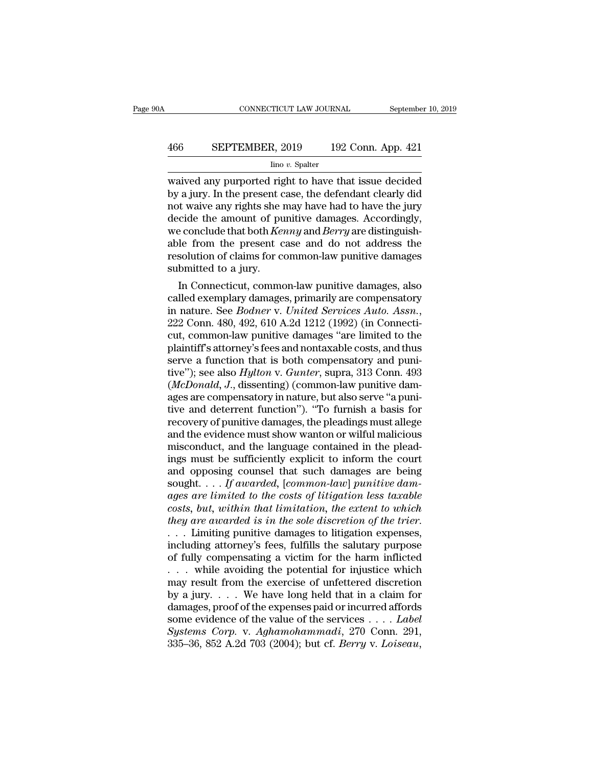# CONNECTICUT LAW JOURNAL September 10, 2019<br>466 SEPTEMBER, 2019 192 Conn. App. 421<br>100 v. Spalter

#### Iino *v.* Spalter

waived any purported right to have that issue decided BEPTEMBER, 2019 192 Conn. App. 421<br>
Imo v. Spalter<br>
waived any purported right to have that issue decided<br>
by a jury. In the present case, the defendant clearly did<br>
not waive any rights she may have had to have the jury<br> EXPTEMBER, 2019 192 Conn. App. 421<br>  $\frac{\text{line }v. \text{ Spalter}}{\text{waveed any purported right to have that issue decided}}$ <br>
by a jury. In the present case, the defendant clearly did<br>
not waive any rights she may have had to have the jury<br>
decide the amount of punitive damag 466 SEPTEMBER, 2019 192 Conn. App. 421<br>  $\frac{1}{2}$  line v. Spalter<br>
waived any purported right to have that issue decided<br>
by a jury. In the present case, the defendant clearly did<br>
not waive any rights she may have had to For the Contribution of the Thington *Spalter*<br>
into *v*. Spalter<br>
waived any purported right to have that issue decided<br>
by a jury. In the present case, the defendant clearly did<br>
not waive any rights she may have had to  $\frac{\text{line }v \cdot \text{Spalter}}{\text{waive}}$ <br>waived any purported right to have that issue decided<br>by a jury. In the present case, the defendant clearly did<br>not waive any rights she may have had to have the jury<br>decide the amount of punitive waived any purported right to have that issue decided<br>by a jury. In the present case, the defendant clearly did<br>not waive any rights she may have had to have the jury<br>decide the amount of punitive damages. Accordingly,<br>we by a jury. In the present c<br>not waive any rights she if<br>decide the amount of pure conclude that both  $Ke$ <br>able from the present c<br>resolution of claims for c<br>submitted to a jury.<br>In Connecticut, commo It waive any rights she may have had to have the jury<br>cide the amount of punitive damages. Accordingly,<br>e conclude that both *Kenny* and *Berry* are distinguish-<br>le from the present case and do not address the<br>solution of decide the amount of punitive damages. Accordingly,<br>we conclude that both *Kenny* and *Berry* are distinguish-<br>able from the present case and do not address the<br>resolution of claims for common-law punitive damages<br>submitt

we conclude that both *Kenny* and *Berry* are distinguishable from the present case and do not address the resolution of claims for common-law punitive damages, submitted to a jury.<br>In Connecticut, common-law punitive dama resolution or claims for common-law punitive damages<br>submitted to a jury.<br>In Connecticut, common-law punitive damages, also<br>called exemplary damages, primarily are compensatory<br>in nature. See *Bodner* v. *United Services A* submitted to a jury.<br>
In Connecticut, common-law punitive damages, also<br>
called exemplary damages, primarily are compensatory<br>
in nature. See *Bodner* v. United Services Auto. Assn.,<br>
222 Conn. 480, 492, 610 A.2d 1212 (199 In Connecticut, common-law punitive damages, also<br>called exemplary damages, primarily are compensatory<br>in nature. See *Bodner* v. *United Services Auto. Assn.*,<br>222 Conn. 480, 492, 610 A.2d 1212 (1992) (in Connecti-<br>cut, called exemplary damages, primarily are compensatory<br>in nature. See *Bodner* v. *United Services Auto. Assn.*,<br>222 Conn. 480, 492, 610 A.2d 1212 (1992) (in Connecti-<br>cut, common-law punitive damages "are limited to the<br>pla in nature. See *Bodner* v. *United Services Auto. Assn.*, 222 Conn. 480, 492, 610 A.2d 1212 (1992) (in Connecticut, common-law punitive damages "are limited to the plaintiff's attorney's fees and nontaxable costs, and thus 222 Conn. 480, 492, 610 A.2d 1212 (1992) (in Connecticut, common-law punitive damages "are limited to the plaintiff's attorney's fees and nontaxable costs, and thus serve a function that is both compensatory and punitive" cut, common-law punitive damages "are limited to the plaintiff's attorney's fees and nontaxable costs, and thus serve a function that is both compensatory and punitive"); see also *Hylton* v. *Gunter*, supra, 313 Conn. 493 plaintiff's attorney's fees and nontaxable costs, and thus<br>serve a function that is both compensatory and puni-<br>tive''); see also *Hylton v. Gunter*, supra, 313 Conn. 493<br>(*McDonald*, *J.*, dissenting) (common-law punitive serve a function that is both compensatory and punitive"); see also *Hylton* v. *Gunter*, supra, 313 Conn. 493 (*McDonald, J.,* dissenting) (common-law punitive damages are compensatory in nature, but also serve "a punitiv tive"); see also *Hylton v. Gunter*, supra, 313 Conn. 493<br>(*McDonald*, *J.*, dissenting) (common-law punitive dam-<br>ages are compensatory in nature, but also serve "a puni-<br>tive and deterrent function"). "To furnish a basis (*McDonald, J.,* dissenting) (common-law punitive dam-<br>ages are compensatory in nature, but also serve "a puni-<br>tive and deterrent function"). "To furnish a basis for<br>recovery of punitive damages, the pleadings must alleg ages are compensatory in nature, but also serve "a punitive and deterrent function"). "To furnish a basis for<br>recovery of punitive damages, the pleadings must allege<br>and the evidence must show wanton or wilful malicious<br>m tive and deterrent function"). "To furnish a basis for<br>recovery of punitive damages, the pleadings must allege<br>and the evidence must show wanton or wilful malicious<br>misconduct, and the language contained in the plead-<br>ings *recovery of punitive damages, the pleadings must allege*<br>and the evidence must show wanton or wilful malicious<br>misconduct, and the language contained in the plead-<br>ings must be sufficiently explicit to inform the court<br>an and the evidence must show wanton or wilful malicious<br>misconduct, and the language contained in the plead-<br>ings must be sufficiently explicit to inform the court<br>and opposing counsel that such damages are being<br>sought.... misconduct, and the language contained in the pleadings must be sufficiently explicit to inform the court<br>and opposing counsel that such damages are being<br>sought.... *If awarded*, [common-law] punitive dam-<br>ages are limite ings must be sufficiently explicit to inform the court<br>and opposing counsel that such damages are being<br>sought.... If awarded, [common-law] punitive dam-<br>ages are limited to the costs of litigation less taxable<br>costs, but and opposing counsel that such damages are being<br>sought.... If awarded, [common-law] punitive dam-<br>ages are limited to the costs of litigation less taxable<br>costs, but, within that limitation, the extent to which<br>they are sought. . . . If awarded, [common-law] punitive dam-<br>ages are limited to the costs of litigation less taxable<br>costs, but, within that limitation, the extent to which<br>they are awarded is in the sole discretion of the trier ages are limited to the costs of litigation less taxable<br>costs, but, within that limitation, the extent to which<br>they are awarded is in the sole discretion of the trier.<br>... Limiting punitive damages to litigation expense costs, but, within that limitation, the extent to which<br>they are awarded is in the sole discretion of the trier.<br>... Limiting punitive damages to litigation expenses,<br>including attorney's fees, fulfills the salutary purpo they are awarded is in the sole discretion of the trier.<br>
. . . Limiting punitive damages to litigation expenses,<br>
including attorney's fees, fulfills the salutary purpose<br>
of fully compensating a victim for the harm infl ... Limiting punitive damages to litigation expenses,<br>including attorney's fees, fulfills the salutary purpose<br>of fully compensating a victim for the harm inflicted<br>... while avoiding the potential for injustice which<br>may including attorney's fees, fulfills the salutary purpose<br>of fully compensating a victim for the harm inflicted<br>... while avoiding the potential for injustice which<br>may result from the exercise of unfettered discretion<br>by of fully compensating a victim for the harm inflicted<br>
... while avoiding the potential for injustice which<br>
may result from the exercise of unfettered discretion<br>
by a jury.... We have long held that in a claim for<br>
damag 335–36, 852 A.2d 703 (2004); but cf. *Berry* v. *Loiseau*, 852 A.2d 703 (2004); but cf. *Berry* v. *Loiseau*,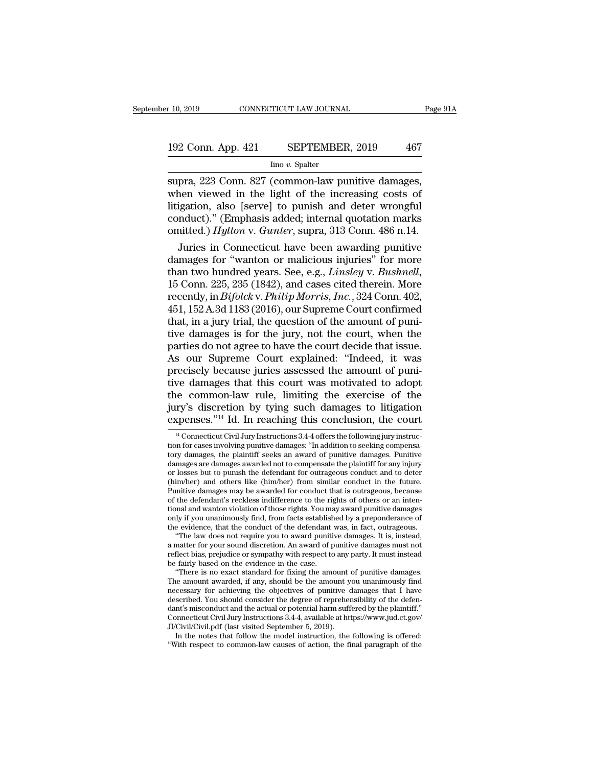# 192 Conn. App. 421 SEPTEMBER, 2019 <sup>467</sup>

Iino *v.* Spalter

 $\begin{array}{ll}\n \text{F} & 10, 2019 \quad \text{COMRECTICUT LAW JOURNAL} \quad \text{Page 9}\n \end{array}$ <br>  $\begin{array}{ll}\n \text{192 Conn. App. 421} & \text{SEPTEMBER, 2019} \quad \text{467} \\
 \text{Iino } v. \text{ Spalter} \quad \text{Supra, 223 Conn. 827 (common-law \text{punitive damages, when viewed in the light of the increasing costs of, and, and, and, and, and, and, and, and, are the same as follows:}\n \end{array}$ 192 Conn. App. 421 SEPTEMBER, 2019 467<br>  $\frac{1}{2}$  Inno v. Spalter<br>
supra, 223 Conn. 827 (common-law punitive damages,<br>
when viewed in the light of the increasing costs of<br>
litigation, also [serve] to punish and deter wron 192 Conn. App. 421 SEPTEMBER, 2019 467<br>  $\frac{\text{line }v \cdot \text{Spalter}}{\text{supra, 223 Conn. 827 (common-law pointive damages, when viewed in the light of the increasing costs of  
litigation, also [serve] to punishment and deter wrongful  
conduct).'' (Emphasis added; internal quotation marks  
omitted.) *Hulton y. Gunter* supra-313 Conn. 486 n 14$ 192 Conn. App. 421 SEPTEMBER, 2019 467<br>  $\frac{1}{2}$  Inno v. Spalter<br>
supra, 223 Conn. 827 (common-law punitive damages,<br>
when viewed in the light of the increasing costs of<br>
litigation, also [serve] to punish and deter wron For Coldin Tipp. 221 Bill Thin Director 10.<br>
Ilmo v. Spalter<br>
supra, 223 Conn. 827 (common-law punitive damages,<br>
when viewed in the light of the increasing costs of<br>
litigation, also [serve] to punish and deter wrongful<br>  $\frac{1}{2}$  and  $\frac{1}{2}$  and  $\frac{1}{2}$  and  $\frac{1}{2}$  and  $\frac{1}{2}$  common-law punitive damages,<br>nen viewed in the light of the increasing costs of<br>igation, also [serve] to punish and deter wrongful<br>nduct)." (Emphasis added supra, 223 Conn. 827 (common-law punitive damages,<br>when viewed in the light of the increasing costs of<br>litigation, also [serve] to punish and deter wrongful<br>conduct)." (Emphasis added; internal quotation marks<br>omitted.)

when viewed in the light of the increasing costs of<br>litigation, also [serve] to punish and deter wrongful<br>conduct)." (Emphasis added; internal quotation marks<br>omitted.) *Hylton* v. *Gunter*, supra, 313 Conn. 486 n.14.<br>Juri conduct)." (Emphasis added; internal quotation marks<br>omitted.) *Hylton* v. *Gunter*, supra, 313 Conn. 486 n.14.<br>Juries in Connecticut have been awarding punitive<br>damages for "wanton or malicious injuries" for more<br>than two omitted.) *Hylton* v. *Gunter*, supra, 313 Conn. 486 n.14.<br>Juries in Connecticut have been awarding punitive<br>damages for "wanton or malicious injuries" for more<br>than two hundred years. See, e.g., *Linsley* v. *Bushnell*,<br>1 Juries in Connecticut have been awarding punitive<br>damages for "wanton or malicious injuries" for more<br>than two hundred years. See, e.g., *Linsley v. Bushnell*,<br>15 Conn. 225, 235 (1842), and cases cited therein. More<br>recent damages for "wanton or malicious injuries" for more<br>than two hundred years. See, e.g., *Linsley* v. *Bushnell*,<br>15 Conn. 225, 235 (1842), and cases cited therein. More<br>recently, in *Bifolck* v. *Philip Morris, Inc.*, 324 C than two hundred years. See, e.g., *Linsley v. Bushnell*,<br>15 Conn. 225, 235 (1842), and cases cited therein. More<br>recently, in *Bifolck v. Philip Morris, Inc.*, 324 Conn. 402,<br>451, 152 A.3d 1183 (2016), our Supreme Court c 15 Conn. 225, 235 (1842), and cases cited therein. More<br>recently, in *Bifolck* v. *Philip Morris, Inc.*, 324 Conn. 402,<br>451, 152 A.3d 1183 (2016), our Supreme Court confirmed<br>that, in a jury trial, the question of the amo recently, in *Bifolck* v. *Philip Morris, Inc.*, 324 Conn. 402, 451, 152 A.3d 1183 (2016), our Supreme Court confirmed that, in a jury trial, the question of the amount of punitive damages is for the jury, not the court, w 451, 152 A.3d 1183 (2016), our Supreme Court confirmed<br>that, in a jury trial, the question of the amount of puni-<br>tive damages is for the jury, not the court, when the<br>parties do not agree to have the court decide that is that, in a jury trial, the question of the amount of punitive damages is for the jury, not the court, when the parties do not agree to have the court decide that issue.<br>As our Supreme Court explained: "Indeed, it was preci tive damages is for the jury, not the court, when the parties do not agree to have the court decide that issue.<br>As our Supreme Court explained: "Indeed, it was precisely because juries assessed the amount of punitive damag parties do not agree to have the court decide that issue.<br>As our Supreme Court explained: "Indeed, it was<br>precisely because juries assessed the amount of puni-<br>tive damages that this court was motivated to adopt<br>the common We damages that this court was motivated to adopt<br>the common-law rule, limiting the exercise of the<br>try's discretion by tying such damages to litigation<br>spenses."<sup>14</sup> Id. In reaching this conclusion, the court<br><sup>14</sup> Connect the common-law rule, limiting the exercise of the jury's discretion by tying such damages to litigation expenses."<sup>14</sup> Id. In reaching this conclusion, the court  $\frac{14}{4}$  Connecticut Civil Jury Instructions 3.4-4 offers

of the defendant's reckless indifference to the rights of others or an intentional and wanton violation of those rights. You may award punitive damages only if you unanimously find, from facts established by a preponderanc tional and wanton violation of those rights. You ma<br>only if you unanimously find, from facts establish<br>the evidence, that the conduct of the defendant<br>"The law does not require you to award puniti<br>a matter for your sound d It is you unanimously find, from facts established by a preponderance of<br>e evidence, that the conduct of the defendant was, in fact, outrageous.<br>"The law does not require you to award punitive damages. It is, instead,<br>matt the evidence, that the conduct of the defendant was, in fact, outrageous.<br>
"The law does not require you to award punitive damages. It is, instead,<br>
a matter for your sound discretion. An award of punitive damages must not

"The law does not require you to award punitive damages. It is, instead, a matter for your sound discretion. An award of punitive damages must not reflect bias, prejudice or sympathy with respect to any party. It must ins a matter for your sound discretion. An award of punitive damages must not reflect bias, prejudice or sympathy with respect to any party. It must instead be fairly based on the evidence in the case.<br>
"There is no exact sta reflect bias, prejudice or sympathy with respect to any party. It must instead<br>be fairly based on the evidence in the case.<br>"There is no exact standard for fixing the amount of punitive damages.<br>The amount awarded, if any, be fairly based on the evidence in the case.<br>
"There is no exact standard for fixing the amount of punitive damages.<br>
The amount awarded, if any, should be the amount you unanimously find<br>
necessary for achieving the objec "There is no exact standard for fixing the amount of<br>The amount awarded, if any, should be the amount y<br>necessary for achieving the objectives of punitive  $\dot{\alpha}$ <br>described. You should consider the degree of reprehenced<br>d In the amount awarded, if any, should be the amount you unanimously find<br>cessary for achieving the objectives of punitive damages that I have<br>scribed. You should consider the degree of reprehensibility of the defen-<br>nt's m described. You should consider the degree of reprehensibility of the defendant's misconduct and the actual or potential harm suffered by the plaintiff."<br>Connecticut Civil Jury Instructions 3.4-4, available at https://www.

the Common-Law Tule, inhiting the exercise of the<br>jury's discretion by tying such damages to litigation<br>expenses."<sup>14</sup> Id. In reaching this conclusion, the court<br> $\frac{14}{10}$ Connecticut Civil Jury Instructions 3.4-4 offers jury's discretion by tying such damages to litigation expenses."<sup>14</sup> Id. In reaching this conclusion, the court  $\frac{14}{4}$  Connecticut Civil Jury Instructions 3.4-4 offers the following jury instruction for cases involvin **expenses.**"<sup>14</sup> Id. In reaching this conclusion, the court  $\frac{14}{4}$  Connecticut Civil Jury Instructions 3.4-4 offers the following jury instruction for cases involving punitive damages: "In addition to seeking compensa <sup>14</sup> Connecticut Civil Jury Instructions 3.4-4 offers the following jury instruction for cases involving punitive damages: "In addition to seeking compensatory damages, the plaintiff seeks an award of punitive damages. Pu <sup>14</sup> Connecticut Civil Jury Instructions 3.4-4 offers the following jury instruction for cases involving punitive damages: "In addition to seeking compensatory damages, the plaintiff seeks an award of punitive damages. Pu tion for cases involving punitive damages: "In addition to seeking compensatory damages, the plaintiff seeks an award of punitive damages. Punitive damages are damages awarded not to compensate the plaintiff for any injury tory damages, the plaintiff seeks an award of punitive damages. Punitive damages are damages awarded not to compensate the plaintiff for any injury or losses but to punish the defendant for outrageous conduct and to deter damages are damages awarded not to compensate the plaintiff for any injury<br>or losses but to punish the defendant for outrageous conduct and to deter<br>(him/her) and others like (him/her) from similar conduct in the future.<br>P or losses but to punish the defendant for outrageous conduct and to deter (him/her) and others like (him/her) from similar conduct in the future.<br>Punitive damages may be awarded for conduct that is outrageous, because<br>of t  $\lim$ /her) and others like ( $\lim$ /her) from similar conduct in the future.<br>
unitive damages may be awarded for conduct that is outrageous, because<br>
the defendant's reckless indifference to the rights of others or an inten-<br> Punitive damages may be awarded for conduct that is outrageous, because<br>of the defendant's reckless indifference to the rights of others or an inten-<br>tional and wanton violation of those rights. You may award punitive dama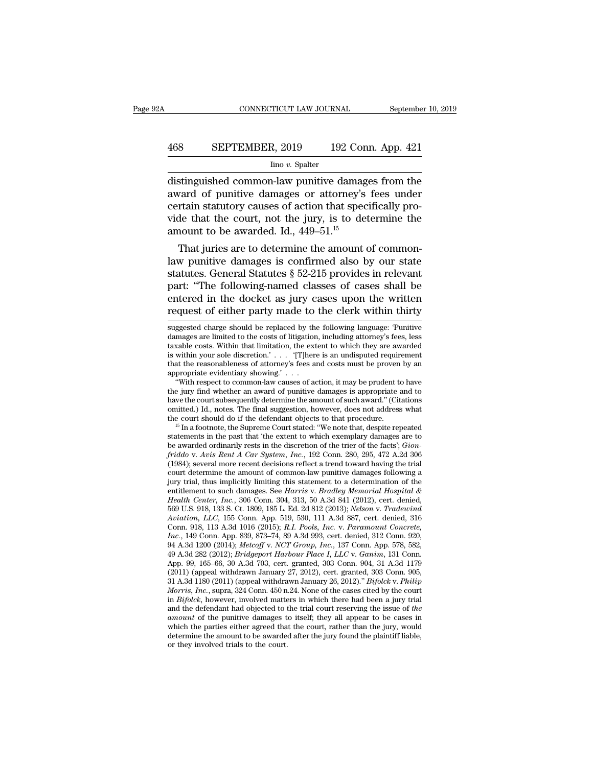# CONNECTICUT LAW JOURNAL September 10, 2019<br>468 SEPTEMBER, 2019 192 Conn. App. 421<br>100 v. Spalter

#### Iino *v.* Spalter

CONNECTICUT LAW JOURNAL September 10, 2019<br>
468 SEPTEMBER, 2019 192 Conn. App. 421<br>
<sup>100</sup> *ino v.* Spalter<br>
distinguished common-law punitive damages from the<br>
award of punitive damages or attorney's fees under<br>
cortain st EPTEMBER, 2019 192 Conn. App. 421<br>
lino v. Spalter<br>
distinguished common-law punitive damages from the<br>
award of punitive damages or attorney's fees under<br>
certain statutory causes of action that specifically pro-<br>
vide th 468 SEPTEMBER, 2019 192 Conn. App. 421<br>  $\frac{\text{line }v. \text{ Spalter}}{\text{distinguished common-law punitive damages from the}$ <br>
award of punitive damages or attorney's fees under<br>
certain statutory causes of action that specifically pro-<br>
vide that the court, not the jury, i EXEPTEMBER, 2019 192 Conn. App. 421<br>  $\frac{1}{2}$  lino v. Spalter<br>
distinguished common-law punitive damages from the<br>
award of punitive damages or attorney's fees under<br>
certain statutory causes of action that specifically  $\frac{1}{2}$  line v. Spalter<br>distinguished common-law punitive damage award of punitive damages or attorney's<br>certain statutory causes of action that spec<br>vide that the court, not the jury, is to de<br>amount to be awarded. Id. stinguished common-law punitive damages from the vard of punitive damages or attorney's fees under<br>rtain statutory causes of action that specifically pro-<br>de that the court, not the jury, is to determine the<br>nount to be a distinguished common-law punitive damages from the<br>award of punitive damages or attorney's fees under<br>certain statutory causes of action that specifically pro-<br>vide that the court, not the jury, is to determine the<br>amount

statutes. General Statutes § 52-215 provides in relevant particular statutory causes of action that specifically provide that the court, not the jury, is to determine the amount to be awarded. Id., 449–51.<sup>15</sup><br>That juries certain statutory causes of action that specifically provide that the court, not the jury, is to determine the amount to be awarded. Id.,  $449-51$ .<sup>15</sup><br>That juries are to determine the amount of common-<br>law punitive damag Fig. 2.15<br>amount to be awarded. Id., 449–51.<sup>15</sup><br>That juries are to determine the amount of common-<br>law punitive damages is confirmed also by our state<br>statutes. General Statutes § 52-215 provides in relevant<br>part: "The f amount to be awarded. Id., 449–51. $\degree$ <br>That juries are to determine the amount of common-<br>law punitive damages is confirmed also by our state<br>statutes. General Statutes § 52-215 provides in relevant<br>part: "The following-n statutes. General Statutes § 52-215 provides in relevant<br>part: "The following-named classes of cases shall be<br>entered in the docket as jury cases upon the written<br>request of either party made to the clerk within thirty<br>sug part: "The following-named classes of cases shall be<br>entered in the docket as jury cases upon the written<br>request of either party made to the clerk within thirty<br>suggested charge should be replaced by the following languag

part. The following named classes of cases sharm be<br>entered in the docket as jury cases upon the written<br>request of either party made to the clerk within thirty<br>suggested charge should be replaced by the following language entered in the docket as jury cases upon the written<br>request of either party made to the clerk within thirty<br>suggested charge should be replaced by the following language: 'Punitive<br>damages are limited to the costs of lit request of either party made to the clerk within thirty<br>suggested charge should be replaced by the following language: 'Punitive<br>damages are limited to the costs of litigation, including attorney's fees, less<br>taxable costs suggested charge should be replaced by the following language: 'Punitive damages are limited to the costs of litigation, including attorney's fees, less taxable costs. Within that limitation, the extent to which they are ggested charge should be replaced by the following language: 'Punitive mages are limited to the costs of litigation, including attorney's fees, less wable costs. Within that limitation, the extent to which they are awarded damages are limited to the costs of litigation, including attorney's fees, less<br>taxable costs. Within that limitation, the extent to which they are awarded<br>is within your sole discretion.' . . . . . . . . . . . . . . . .

taxable costs. Within that limitation, the extent to which they are awarded<br>is within your sole discretion.' . . . . '[T]here is an undisputed requirement<br>that the reasonableness of attorney's fees and costs must be proven is within your sole discretion.' . . . . '[T]here is an undisputed requirement<br>that the reasonableness of attorney's fees and costs must be proven by an<br>appropriate evidentiary showing.' . . .<br>"With respect to common-law that the reasonableness of attorney's fees and costs must be proven by an appropriate evidentiary showing.' . . .<br>
"With respect to common-law causes of action, it may be prudent to have the jury find whether an award of "With respect to common-law causes of action, it may be prudent to have the jury find whether an award of punitive damages is appropriate and to have the court subsequently determine the amount of such award." (Citations

the jury find whether an award of punitive damages is appropriate and to have the court subsequently determine the amount of such award." (Citations omitted.) Id., notes. The final suggestion, however, does not address wha have the court subsequently determine the amount of such award." (Citations omitted.) Id., notes. The final suggestion, however, does not address what the court should do if the defendant objects to that procedure.<br><sup>15</sup> In omitted.) Id., notes. The final suggestion, however, does not address what<br>the court should do if the defendant objects to that procedure.<br><sup>15</sup> In a footnote, the Supreme Court stated: "We note that, despite repeated<br>stat the court should do if the defendant objects to that procedure.<br><sup>15</sup> In a footnote, the Supreme Court stated: "We note that, despite repeated statements in the past that 'the extent to which exemplary damages are to be aw <sup>15</sup> In a footnote, the Supreme Court stated: "We note that, despite repeated statements in the past that 'the extent to which exemplary damages are to be awarded ordinarily rests in the discretion of the trier of the fac statements in the past that 'the extent to which exemplary damages are to<br>be awarded ordinarily rests in the discretion of the trier of the facts'; *Gion-*<br>friddo v. *Avis Rent A Car System, Inc.*, 192 Conn. 280, 295, 472 be awarded ordinarily rests in the discretion of the trier of the facts'; *Gion-*<br>*friddo v. Avis Rent A Car System, Inc.*, 192 Conn. 280, 295, 472 A.2d 306<br>(1984); several more recent decisions reflect a trend toward havi friddo v. Avis Rent A Car System, Inc., 192 Conn. 280, 295, 472 A.2d 306 (1984); several more recent decisions reflect a trend toward having the trial court determine the amount of common-law punitive damages following a j (1984); several more recent decisions reflect a trend toward having the trial<br>
court determine the amount of common-law punitive damages following a<br>
jury trial, thus implicitly limiting this statement to a determination court determine the amount of common-law punitive damages following a<br>jury trial, thus implicitly limiting this statement to a determination of the<br>entitlement to such damages. See *Harris* v. *Bradley Memorial Hospital & Jury trial, thus implicitly limiting this statement to a determination of the*<br> *Intilement to such damages. See Harris v. Bradley Memorial Hospital &*<br> *Intealth Center, Inc.*, 306 Conn. 304, 313, 50 A.3d 841 (2012), cer entitlement to such damages. See *Harris* v. *Bradley Memorial Hospital &*<br>*Health Center, Inc.*, 306 Conn. 304, 313, 50 A.3d 841 (2012), cert. denied, 569 U.S. 918, 133 S. Ct. 1809, 185 L. Ed. 2d 812 (2013); *Nelson* v. Health Center, Inc., 306 Conn. 304, 313, 50 A.3d 841 (2012), cert. denied, 569 U.S. 918, 133 S. Ct. 1809, 185 L. Ed. 2d 812 (2013); *Nelson v. Tradewind Aviation, LLC*, 155 Conn. App. 519, 530, 111 A.3d 887, cert. denied, 569 U.S. 918, 133 S. Ct. 1809, 185 L. Ed. 2d 812 (2013); *Nelson v. Tradewind*<br>*Aviation, LLC*, 155 Conn. App. 519, 530, 111 A.3d 887, cert. denied, 316<br>Conn. 918, 113 A.3d 1016 (2015); *R.I. Pools, Inc. v. Paramount Concr* Aviation, LLC, 155 Conn. App. 519, 530, 111 A.3d 887, cert. denied, 316 Conn. 918, 113 A.3d 1016 (2015); R.I. Pools, Inc. v. Paramount Concrete, Inc., 149 Conn. App. 839, 873–74, 89 A.3d 993, cert. denied, 312 Conn. 920, Conn. 918, 113 A.3d 1016 (2015); *R.I. Pools, Inc. v. Paramount Concrete,*<br> *Inc.*, 149 Conn. App. 839, 873–74, 89 A.3d 993, cert. denied, 312 Conn. 920,<br>
94 A.3d 1200 (2014); *Metcoff v. NCT Group, Inc.*, 137 Conn. App. 5 *Inc.*, 149 Conn. App. 839, 873–74, 89 A.3d 993, cert. denied, 312 Conn. 920, 94 A.3d 1200 (2014); *Metcoff v. NCT Group, Inc.*, 137 Conn. App. 578, 582, 49 A.3d 282 (2012); *Bridgeport Harbour Place I, LLC v. Ganim*, 131 94 A.3d 1200 (2014); *Metcoff v. NCT Group, Inc.*, 137 Conn. App. 578, 582, 49 A.3d 282 (2012); *Bridgeport Harbour Place I, LLC v. Ganim*, 131 Conn. App. 99, 165–66, 30 A.3d 703, cert. granted, 303 Conn. 904, 31 A.3d 1179 49 A.3d 282 (2012); *Bridgeport Harbour Place I, LLC v. Ganim*, 131 Conn.<br>App. 99, 165–66, 30 A.3d 703, cert. granted, 303 Conn. 904, 31 A.3d 1179<br>(2011) (appeal withdrawn January 27, 2012), cert. granted, 303 Conn. 905,<br>3 App. 99, 165–66, 30 A.3d 703, cert. granted, 303 Conn. 904, 31 A.3d 1179 (2011) (appeal withdrawn January 27, 2012), cert. granted, 303 Conn. 905, 31 A.3d 1180 (2011) (appeal withdrawn January 26, 2012)." *Bifolck* v. *Phi* (2011) (appeal withdrawn January 27, 2012), cert. granted, 303 Conn. 905, 31 A.3d 1180 (2011) (appeal withdrawn January 26, 2012)." *Bifolck* v. *Philip Morris, Inc.*, supra, 324 Conn. 450 n.24. None of the cases cited by 31 A.3d 1180 (2011) (appeal withdrawn January 26, 2012)." *Bifolck v. Philip Morris, Inc.*, supra, 324 Conn. 450 n.24. None of the cases cited by the court in *Bifolck*, however, involved matters in which there had been a in  $Bifolck$ , however, involved matters in which there had been a jury trial and the defendant had objected to the trial court reserving the issue of the *amount* of the punitive damages to itself; they all appear to be case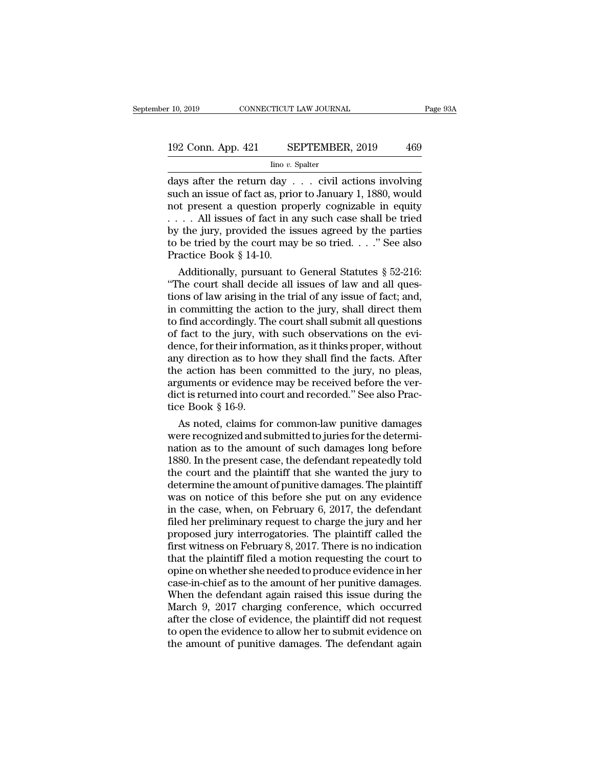# 10, 2019 CONNECTICUT LAW JOURNAL Page 93A<br>192 Conn. App. 421 SEPTEMBER, 2019 469<br>192 Conn. App. 421 SEPTEMBER, 2019 469

Iino *v.* Spalter

r 10, 2019 CONNECTICUT LAW JOURNAL Page 93A<br>
192 Conn. App. 421 SEPTEMBER, 2019 469<br>
Ino v. Spalter<br>
days after the return day . . . civil actions involving<br>
such an issue of fact as, prior to January 1, 1880, would<br>
not p 192 Conn. App. 421 SEPTEMBER, 2019 469<br>
Imo v. Spalter<br>
days after the return day . . . civil actions involving<br>
such an issue of fact as, prior to January 1, 1880, would<br>
not present a question properly cognizable in equi 192 Conn. App. 421 SEPTEMBER, 2019 469<br>  $\frac{\text{line }v. \text{ Spalter}}{\text{days after the return day . . . civil actions involving}}$ <br>
such an issue of fact as, prior to January 1, 1880, would<br>
not present a question properly cognizable in equity<br>
.... All issues of fact in any su 192 Conn. App. 421 SEPTEMBER, 2019 469<br>  $\frac{\text{line }v. \text{ Spalter}}{\text{days after the return day } \dots \text{ civil actions involving}}$ <br>
such an issue of fact as, prior to January 1, 1880, would<br>
not present a question properly cognizable in equity<br>  $\dots$  All issues of fact in any by the system of the system of the value of the incorrect days after the return day . . . civil actions involving<br>such an issue of fact as, prior to January 1, 1880, would<br>not present a question properly cognizable in equ  $\frac{\text{line }v. \text{ Spalter}}{\text{days after the return day . . . civil actions involving such an issue of fact as, prior to January 1, 1880, would not present a question properly cognizable in equity . . . . All issues of fact in any such case shall be tried by the jury, provided the issues agreed by the parties to be tried by the court may be so tried . . . " See also Practice Book § 14-10.$ days after the return day . . . civil actions involving<br>such an issue of fact as, prior to January 1, 1880, would<br>not present a question properly cognizable in equity<br>... . All issues of fact in any such case shall be tri ch an issue of fact as, prior to January 1, 1880, would<br>t present a question properly cognizable in equity<br>... All issues of fact in any such case shall be tried<br>the jury, provided the issues agreed by the parties<br>be trie not present a question properly cognizable in equity<br>  $\ldots$  All issues of fact in any such case shall be tried<br>
by the jury, provided the issues agreed by the parties<br>
to be tried by the court may be so tried.  $\ldots$  "See

Fig. 7. All issues of fact in any such case shall be tried<br>by the jury, provided the issues agreed by the parties<br>to be tried by the court may be so tried. . . ." See also<br>Practice Book § 14-10.<br>Additionally, pursuant to by the jury, provided the issues agreed by the parties<br>to be tried by the court may be so tried. . . ." See also<br>Practice Book § 14-10.<br>Additionally, pursuant to General Statutes § 52-216:<br>"The court shall decide all issu to be tried by the court may be so tried. . . ." See also<br>Practice Book § 14-10.<br>Additionally, pursuant to General Statutes § 52-216:<br>"The court shall decide all issues of law and all ques-<br>tions of law arising in the tri Practice Book § 14-10.<br>
Additionally, pursuant to General Statutes § 52-216:<br>
"The court shall decide all issues of law and all questions of law arising in the trial of any issue of fact; and,<br>
in committing the action to Additionally, pursuant to General Statutes  $\S$  52-216:<br>
"The court shall decide all issues of law and all questions of law arising in the trial of any issue of fact; and,<br>
in committing the action to the jury, shall direc "The court shall decide all issues of law and all questions of law arising in the trial of any issue of fact; and, in committing the action to the jury, shall direct them to find accordingly. The court shall submit all que tions of law arising in the trial of any issue of fact; and,<br>in committing the action to the jury, shall direct them<br>to find accordingly. The court shall submit all questions<br>of fact to the jury, with such observations on in committing the action to the jury, shall direct them<br>to find accordingly. The court shall submit all questions<br>of fact to the jury, with such observations on the evi-<br>dence, for their information, as it thinks proper, w to find accordingly. The court shall submit all questions of fact to the jury, with such observations on the evidence, for their information, as it thinks proper, without any direction as to how they shall find the facts. of fact to the jury, wi<br>dence, for their inform<br>any direction as to ho<br>the action has been c<br>arguments or evidence<br>dict is returned into co<br>tice Book § 16-9.<br>As noted, claims fo nce, for their information, as it thinks proper, without<br>y direction as to how they shall find the facts. After<br>e action has been committed to the jury, no pleas,<br>guments or evidence may be received before the ver-<br>ct is r any direction as to how they shall find the facts. After<br>the action has been committed to the jury, no pleas,<br>arguments or evidence may be received before the ver-<br>dict is returned into court and recorded." See also Prac-<br>

the action has been committed to the jury, no pleas,<br>arguments or evidence may be received before the ver-<br>dict is returned into court and recorded." See also Prac-<br>tice Book § 16-9.<br>As noted, claims for common-law punitiv arguments or evidence may be received before the ver-<br>dict is returned into court and recorded." See also Prac-<br>tice Book § 16-9.<br>As noted, claims for common-law punitive damages<br>were recognized and submitted to juries for dict is returned into court and recorded." See also Practice Book § 16-9.<br>As noted, claims for common-law punitive damages<br>were recognized and submitted to juries for the determi-<br>nation as to the amount of such damages lo tice Book § 16-9.<br>
As noted, claims for common-law punitive damages<br>
were recognized and submitted to juries for the determi-<br>
nation as to the amount of such damages long before<br>
1880. In the present case, the defendant As noted, claims for common-law punitive damages<br>were recognized and submitted to juries for the determi-<br>nation as to the amount of such damages long before<br>1880. In the present case, the defendant repeatedly told<br>the cou were recognized and submitted to juries for the determination as to the amount of such damages long before<br>1880. In the present case, the defendant repeatedly told<br>the court and the plaintiff that she wanted the jury to<br>de nation as to the amount of such damages long before<br>1880. In the present case, the defendant repeatedly told<br>the court and the plaintiff that she wanted the jury to<br>determine the amount of punitive damages. The plaintiff<br>w 1880. In the present case, the defendant repeatedly told<br>the court and the plaintiff that she wanted the jury to<br>determine the amount of punitive damages. The plaintiff<br>was on notice of this before she put on any evidence<br> the court and the plaintiff that she wanted the jury to<br>determine the amount of punitive damages. The plaintiff<br>was on notice of this before she put on any evidence<br>in the case, when, on February 6, 2017, the defendant<br>fil determine the amount of punitive damages. The plaintiff<br>was on notice of this before she put on any evidence<br>in the case, when, on February 6, 2017, the defendant<br>filed her preliminary request to charge the jury and her<br>pr was on notice of this before she put on any evidence<br>in the case, when, on February 6, 2017, the defendant<br>filed her preliminary request to charge the jury and her<br>proposed jury interrogatories. The plaintiff called the<br>fi in the case, when, on February 6, 2017, the defendant<br>filed her preliminary request to charge the jury and her<br>proposed jury interrogatories. The plaintiff called the<br>first witness on February 8, 2017. There is no indicat filed her preliminary request to charge the jury and her<br>proposed jury interrogatories. The plaintiff called the<br>first witness on February 8, 2017. There is no indication<br>that the plaintiff filed a motion requesting the co proposed jury interrogatories. The plaintiff called the<br>first witness on February 8, 2017. There is no indication<br>that the plaintiff filed a motion requesting the court to<br>opine on whether she needed to produce evidence in first witness on February 8, 2017. There is no indication<br>that the plaintiff filed a motion requesting the court to<br>opine on whether she needed to produce evidence in her<br>case-in-chief as to the amount of her punitive dama that the plaintiff filed a motion requesting the court to<br>opine on whether she needed to produce evidence in her<br>case-in-chief as to the amount of her punitive damages.<br>When the defendant again raised this issue during the opine on whether she needed to produce evidence in her case-in-chief as to the amount of her punitive damages.<br>When the defendant again raised this issue during the March 9, 2017 charging conference, which occurred<br>after t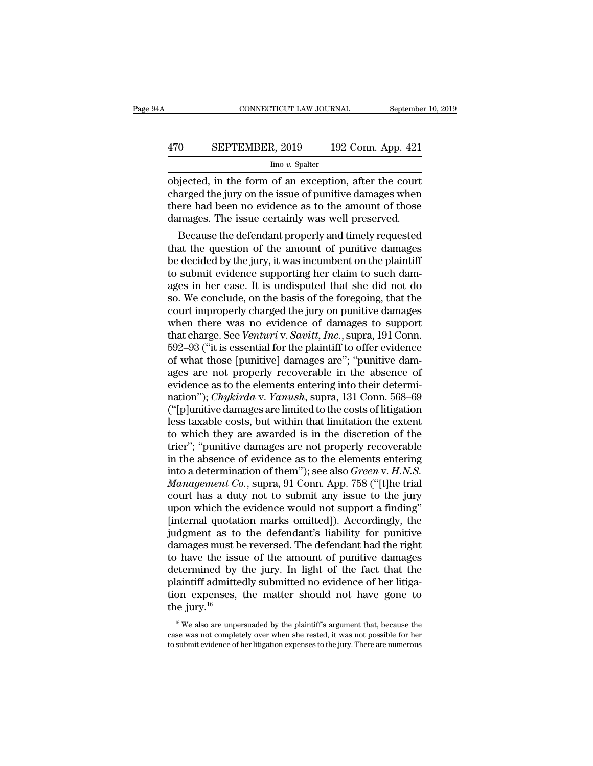# CONNECTICUT LAW JOURNAL September 10, 2019<br>470 SEPTEMBER, 2019 192 Conn. App. 421<br>lino v. Spalter

#### Iino *v.* Spalter

CONNECTICUT LAW JOURNAL September 10, 2019<br>
SEPTEMBER, 2019 192 Conn. App. 421<br>
Ino v. Spalter<br>
objected, in the form of an exception, after the court<br>
charged the jury on the issue of punitive damages when<br>
there had been EPTEMBER, 2019 192 Conn. App. 421<br>
ino v. Spalter<br>
objected, in the form of an exception, after the court<br>
charged the jury on the issue of punitive damages when<br>
there had been no evidence as to the amount of those<br>
damag 470 SEPTEMBER, 2019 192 Conn. App. 421<br>  $\frac{\text{line }v. \text{ Spalter}}{\text{objected, in the form of an exception, after the court charged the jury on the issue of punitive damages when there had been no evidence as to the amount of those damages. The issue certainly was well preserved.}$ 470 SEPTEMBER, 2019 192 Conn. App. 421<br>  $\frac{\text{line }v. \text{ Spalter}}{\text{objected, in the form of an exception, after the court charged the jury on the issue of a particle of the body.}$ The issue certainly was well preserved.<br>
Because the defendant properly and timely requested  $\frac{1}{2}$  line v. Spalter<br>
by interpreted, in the form of an exception, after the court<br>
arged the jury on the issue of punitive damages when<br>
ere had been no evidence as to the amount of those<br>
mages. The issue certainly objected, in the form of an exception, after the court<br>charged the jury on the issue of punitive damages when<br>there had been no evidence as to the amount of those<br>damages. The issue certainly was well preserved.<br>Because th

objected, in the form of an exception, after the court<br>charged the jury on the issue of punitive damages when<br>there had been no evidence as to the amount of those<br>damages. The issue certainly was well preserved.<br>Because th charged the jury on the issue of punitive damages when<br>there had been no evidence as to the amount of those<br>damages. The issue certainly was well preserved.<br>Because the defendant properly and timely requested<br>that the ques there had been no evidence as to the amount of those<br>damages. The issue certainly was well preserved.<br>Because the defendant properly and timely requested<br>that the question of the amount of punitive damages<br>be decided by th damages. The issue certainly was well preserved.<br>Because the defendant properly and timely requested<br>that the question of the amount of punitive damages<br>be decided by the jury, it was incumbent on the plaintiff<br>to submit e Because the defendant properly and timely requested<br>that the question of the amount of punitive damages<br>be decided by the jury, it was incumbent on the plaintiff<br>to submit evidence supporting her claim to such dam-<br>ages in that the question of the amount of punitive damages<br>be decided by the jury, it was incumbent on the plaintiff<br>to submit evidence supporting her claim to such dam-<br>ages in her case. It is undisputed that she did not do<br>so. be decided by the jury, it was incumbent on the plaintiff<br>to submit evidence supporting her claim to such dam-<br>ages in her case. It is undisputed that she did not do<br>so. We conclude, on the basis of the foregoing, that the to submit evidence supporting her claim to such damages in her case. It is undisputed that she did not do<br>so. We conclude, on the basis of the foregoing, that the<br>court improperly charged the jury on punitive damages<br>when ages in her case. It is undisputed that she did not do<br>so. We conclude, on the basis of the foregoing, that the<br>court improperly charged the jury on punitive damages<br>when there was no evidence of damages to support<br>that ch so. We conclude, on the basis of the foregoing, that the<br>court improperly charged the jury on punitive damages<br>when there was no evidence of damages to support<br>that charge. See *Venturi* v. *Savitt*, *Inc.*, supra, 191 Co court improperly charged the jury on punitive damages<br>when there was no evidence of damages to support<br>that charge. See *Venturi* v. *Savitt*, *Inc*., supra, 191 Conn.<br>592–93 ("it is essential for the plaintiff to offer ev when there was no evidence of damages to support<br>that charge. See *Venturi* v. *Savitt*, *Inc.*, supra, 191 Conn.<br>592–93 ("it is essential for the plaintiff to offer evidence<br>of what those [punitive] damages are"; "punitiv that charge. See *Venturi* v. *Savitt*, *Inc.*, supra, 191 Conn.<br>592–93 ("it is essential for the plaintiff to offer evidence<br>of what those [punitive] damages are"; "punitive dam-<br>ages are not properly recoverable in the a 592–93 ("it is essential for the plaintiff to offer evidence<br>of what those [punitive] damages are"; "punitive dam-<br>ages are not properly recoverable in the absence of<br>evidence as to the elements entering into their determ of what those [punitive] damages are"; "punitive damages are not properly recoverable in the absence of evidence as to the elements entering into their determination"); *Chykirda* v. *Yanush*, supra, 131 Conn. 568–69 ("[p] ages are not properly recoverable in the absence of<br>evidence as to the elements entering into their determi-<br>nation''); *Chykirda* v. *Yanush*, supra, 131 Conn. 568–69<br>("[p]unitive damages are limited to the costs of liti evidence as to the elements entering into their determination"); *Chykirda* v. *Yanush*, supra, 131 Conn. 568–69 ("[p]unitive damages are limited to the costs of litigation less taxable costs, but within that limitation th nation"); *Chykirda* v. *Yanush*, supra, 131 Conn. 568–69<br>("[p]unitive damages are limited to the costs of litigation<br>less taxable costs, but within that limitation the extent<br>to which they are awarded is in the discretion ("[p]unitive damages are limited to the costs of litigation<br>less taxable costs, but within that limitation the extent<br>to which they are awarded is in the discretion of the<br>trier"; "punitive damages are not properly recover less taxable costs, but within that limitation the extent<br>to which they are awarded is in the discretion of the<br>trier"; "punitive damages are not properly recoverable<br>in the absence of evidence as to the elements entering to which they are awarded is in the discretion of the<br>trier"; "punitive damages are not properly recoverable<br>in the absence of evidence as to the elements entering<br>into a determination of them"); see also *Green* v. *H.N.S* trier"; "punitive damages are not properly recoverable<br>in the absence of evidence as to the elements entering<br>into a determination of them"); see also *Green v. H.N.S.*<br>*Management Co.*, supra, 91 Conn. App. 758 ("[t]he tr in the absence of evidence as to the elements entering<br>into a determination of them"); see also *Green v. H.N.S.*<br>*Management Co.*, supra, 91 Conn. App. 758 ("[t]he trial<br>court has a duty not to submit any issue to the jur into a determination of them"); see also *Green v. H.N.S.*<br>Management *Co.*, supra, 91 Conn. App. 758 ("[t]he trial<br>court has a duty not to submit any issue to the jury<br>upon which the evidence would not support a finding" Management Co., supra, 91 Conn. App. 758 ("[t]he trial<br>court has a duty not to submit any issue to the jury<br>upon which the evidence would not support a finding"<br>[internal quotation marks omitted]). Accordingly, the<br>judgmen court has a duty not to submit any issue to the jury<br>upon which the evidence would not support a finding"<br>[internal quotation marks omitted]). Accordingly, the<br>judgment as to the defendant's liability for punitive<br>damages upon which the evidence would not support a finding"<br>[internal quotation marks omitted]). Accordingly, the<br>judgment as to the defendant's liability for punitive<br>damages must be reversed. The defendant had the right<br>to have [internal quotation marks omitted]). Accordingly, the judgment as to the defendant's liability for punitive damages must be reversed. The defendant had the right to have the issue of the amount of punitive damages determi judgment as to<br>damages must b<br>to have the issu<br>determined by<br>plaintiff admitte<br>tion expenses,<br>the jury.<sup>16</sup> etermined by the jury. In light of the fact that the<br>laintiff admittedly submitted no evidence of her litiga-<br>on expenses, the matter should not have gone to<br>le jury.<sup>16</sup><br><sup>16</sup> We also are unpersuaded by the plaintiff's arg plaintiff admittedly submitted no evidence of her litigation expenses, the matter should not have gone to the jury.<sup>16</sup><br>
<sup>16</sup> We also are unpersuaded by the plaintiff's argument that, because the case was not completely o tion expenses, the matter should not have gone to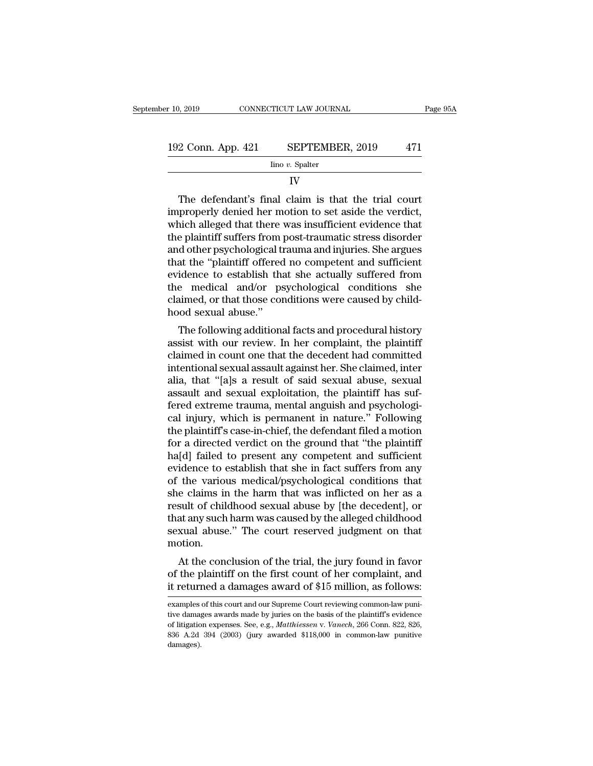| r 10, 2019         | CONNECTICUT LAW JOURNAL | Page 95A |
|--------------------|-------------------------|----------|
| 192 Conn. App. 421 | SEPTEMBER, 2019         | 471      |
|                    | Iino v. Spalter         |          |

#### IV

 $\begin{array}{r} \text{2 Conn. App. 421} \quad \text{SEPTEMBER, 2019} \quad \text{471} \ \text{line } v. \text{ Spattern} \quad \text{IV} \ \text{The defendant's final claim is that the trial court properly denied her motion to set aside the verdict, which allowed that there was insufficient evidence that$ 192 Conn. App. 421 SEPTEMBER, 2019 471<br>  $\frac{1}{2}$  Ino v. Spalter<br>
IV<br>
The defendant's final claim is that the trial court<br>
improperly denied her motion to set aside the verdict,<br>
which alleged that there was insufficient 192 Conn. App. 421 SEPTEMBER, 2019 471<br>  $\frac{1}{2}$  Ino v. Spalter<br>
IV<br>
The defendant's final claim is that the trial court<br>
improperly denied her motion to set aside the verdict,<br>
which alleged that there was insufficient  $\frac{1}{2}$  in  $\frac{1}{2}$  in  $\frac{1}{2}$  in  $\frac{1}{2}$  in  $\frac{1}{2}$  in  $\frac{1}{2}$  in  $\frac{1}{2}$  in  $\frac{1}{2}$  in  $\frac{1}{2}$  in  $\frac{1}{2}$  in  $\frac{1}{2}$  in  $\frac{1}{2}$  in  $\frac{1}{2}$  in  $\frac{1}{2}$  in  $\frac{1}{2}$  in  $\frac{1}{2}$  in  $\frac{1}{2}$  in IV<br>
The defendant's final claim is that the trial court<br>
improperly denied her motion to set aside the verdict,<br>
which alleged that there was insufficient evidence that<br>
the plaintiff suffers from post-traumatic stress dis The defendant's final claim is that the trial court<br>improperly denied her motion to set aside the verdict,<br>which alleged that there was insufficient evidence that<br>the plaintiff suffers from post-traumatic stress disorder<br> The defendant's final claim is that the trial court<br>improperly denied her motion to set aside the verdict,<br>which alleged that there was insufficient evidence that<br>the plaintiff suffers from post-traumatic stress disorder<br>a improperly denied her motion to set aside the verdict,<br>which alleged that there was insufficient evidence that<br>the plaintiff suffers from post-traumatic stress disorder<br>and other psychological trauma and injuries. She argu which alleged that there was insufficient evidence that<br>the plaintiff suffers from post-traumatic stress disorder<br>and other psychological trauma and injuries. She argues<br>that the "plaintiff offered no competent and suffici the plaintiff suffers from<br>and other psychological ti<br>that the "plaintiff offered<br>evidence to establish tha<br>the medical and/or ps<br>claimed, or that those con<br>hood sexual abuse."<br>The following additions a burier psychological traditional figures. She argues<br>at the "plaintiff offered no competent and sufficient<br>idence to establish that she actually suffered from<br>e-medical and/or-psychological conditions she<br>aimed, or that as the plant of the divergence in the summer evidence to establish that she actually suffered from<br>the medical and/or psychological conditions she<br>claimed, or that those conditions were caused by child-<br>hood sexual abuse."

evidence to establish that she actually suffered from<br>the medical and/or psychological conditions she<br>claimed, or that those conditions were caused by child-<br>hood sexual abuse."<br>The following additional facts and procedura inter intentional sexual abuse."<br>
The following additional facts and procedural history<br>
assist with our review. In her complaint, the plaintiff<br>
claimed in count one that the decedent had committed<br>
intentional sexual ass relatived, or that those conditions were caused by child-<br>hood sexual abuse."<br>The following additional facts and procedural history<br>assist with our review. In her complaint, the plaintiff<br>claimed in count one that the dece The following additional facts and procedural history<br>assist with our review. In her complaint, the plaintiff<br>claimed in count one that the decedent had committed<br>intentional sexual assault against her. She claimed, inter<br> The following additional facts and procedural history<br>assist with our review. In her complaint, the plaintiff<br>claimed in count one that the decedent had committed<br>intentional sexual assault against her. She claimed, inter<br> assist with our review. In her complaint, the plaintiff<br>claimed in count one that the decedent had committed<br>intentional sexual assault against her. She claimed, inter<br>alia, that "[a]s a result of said sexual abuse, sexual claimed in count one that the decedent had committed<br>intentional sexual assault against her. She claimed, inter<br>alia, that "[a]s a result of said sexual abuse, sexual<br>assault and sexual exploitation, the plaintiff has sufintentional sexual assault against her. She claimed, inter<br>alia, that "[a]s a result of said sexual abuse, sexual<br>assault and sexual exploitation, the plaintiff has suf-<br>fered extreme trauma, mental anguish and psychologialia, that "[a]s a result of said sexual abuse, sexual assault and sexual exploitation, the plaintiff has suf-<br>fered extreme trauma, mental anguish and psychological injury, which is permanent in nature." Following<br>the pla assault and sexual exploitation, the plaintiff has suf-<br>fered extreme trauma, mental anguish and psychologi-<br>cal injury, which is permanent in nature." Following<br>the plaintiff's case-in-chief, the defendant filed a motion<br> fered extreme trauma, mental anguish and psychological injury, which is permanent in nature." Following<br>the plaintiff's case-in-chief, the defendant filed a motion<br>for a directed verdict on the ground that "the plaintiff<br>h cal injury, which is permanent in nature." Following<br>the plaintiff's case-in-chief, the defendant filed a motion<br>for a directed verdict on the ground that "the plaintiff<br>ha[d] failed to present any competent and sufficient the plaintiff's case-in-chief, the defendant filed a motion<br>for a directed verdict on the ground that "the plaintiff<br>ha[d] failed to present any competent and sufficient<br>evidence to establish that she in fact suffers from for a directed verdict on the ground that "the plaintiff<br>ha[d] failed to present any competent and sufficient<br>evidence to establish that she in fact suffers from any<br>of the various medical/psychological conditions that<br>she ha[d] failed to present any competent and sufficient<br>evidence to establish that she in fact suffers from any<br>of the various medical/psychological conditions that<br>she claims in the harm that was inflicted on her as a<br>result motion. the various methcarpsychological conditions that<br>e claims in the harm that was inflicted on her as a<br>sult of childhood sexual abuse by [the decedent], or<br>at any such harm was caused by the alleged childhood<br>xual abuse." Th she claims in the harm that was inflicted on her as a<br>result of childhood sexual abuse by [the decedent], or<br>that any such harm was caused by the alleged childhood<br>sexual abuse." The court reserved judgment on that<br>motion. result of childhood sexual abuse by [the decedent], or<br>that any such harm was caused by the alleged childhood<br>sexual abuse." The court reserved judgment on that<br>motion.<br>At the conclusion of the trial, the jury found in fav

At the conclusion of the trial, the jury found in favor<br>of the plaintiff on the first count of her complaint, and<br>it returned a damages award of \$15 million, as follows:<br>examples of this court and our Supreme Court reviewi At the conclusion of the trial, the jury found in favor<br>of the plaintiff on the first count of her complaint, and<br>it returned a damages award of \$15 million, as follows:<br>examples of this court and our Supreme Court review

of the plaintiff on the first count of her complaint, and<br>it returned a damages award of \$15 million, as follows:<br>examples of this court and our Supreme Court reviewing common-law puni-<br>tive damages awards made by juries o it returned a damages award of \$15 million, as follows:<br>examples of this court and our Supreme Court reviewing common-law puni-<br>tive damages awards made by juries on the basis of the plaintiff's evidence<br>of litigation exp damages).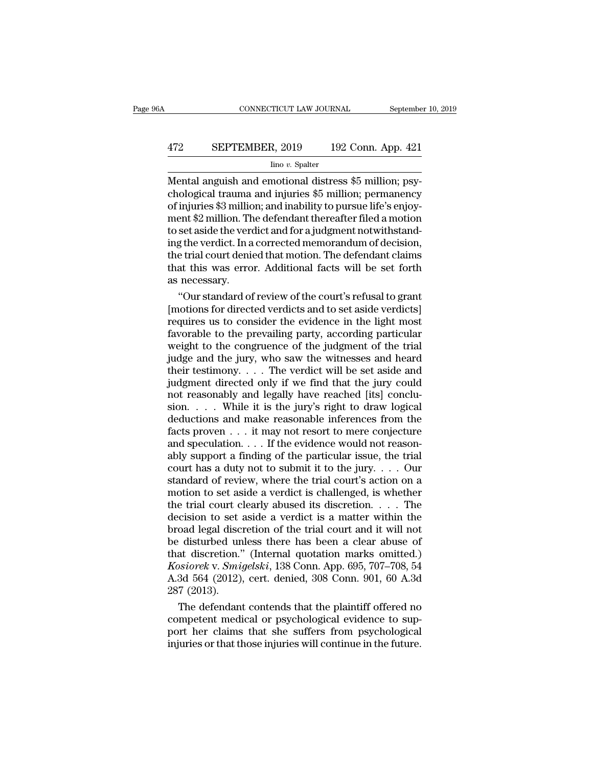# CONNECTICUT LAW JOURNAL September 10, 2019<br>472 SEPTEMBER, 2019 192 Conn. App. 421<br>100 v. Spalter

#### Iino *v.* Spalter

CONNECTICUT LAW JOURNAL September<br>472 SEPTEMBER, 2019 192 Conn. App. 421<br>100 v. Spalter<br>Mental anguish and emotional distress \$5 million; psy-<br>chological trauma and injuries \$5 million; permanency<br>of injuries \$3 million; a EPTEMBER, 2019 192 Conn. App. 421<br>
lino v. Spalter<br>
Mental anguish and emotional distress \$5 million; psychological trauma and injuries \$5 million; permanency<br>
of injuries \$3 million; and inability to pursue life's enjoy-<br> 472 SEPTEMBER, 2019 192 Conn. App. 421<br>  $\frac{\text{line }v. \text{ Spalter}}{\text{Mental angular and emotional distress $5 million; psy-}\end{top}$ <br>
Mental anguish and emotional distress \$5 million; psy-<br>
chological trauma and injuries \$5 million; permanency<br>
of injuries \$3 million; and in EPTEMBER, 2019 192 Conn. App. 421<br>  $\frac{1}{2}$  mino v. Spalter<br>
Mental anguish and emotional distress \$5 million; psychological trauma and injuries \$5 million; permanency<br>
of injuries \$3 million; and inability to pursue lif The verdict and emotional distress \$5 million; psychological trauma and injuries \$5 million; psychological trauma and injuries \$5 million; permanency of injuries \$3 million; and inability to pursue life's enjoyment \$2 mill lino v. Spalter<br>
Mental anguish and emotional distress \$5 million; psychological trauma and injuries \$5 million; permanency<br>
of injuries \$3 million; and inability to pursue life's enjoy-<br>
ment \$2 million. The defendant the Mental anguish and emotional distress \$5 million; psychological trauma and injuries \$5 million; permanency of injuries \$3 million; and inability to pursue life's enjoyment \$2 million. The defendant thereafter filed a motio chological trauma and injuries \$5 million; permanency<br>of injuries \$3 million; and inability to pursue life's enjoy-<br>ment \$2 million. The defendant thereafter filed a motion<br>to set aside the verdict and for a judgment notwi of injuries \$3 million.<br>The ment \$2 million. The to set aside the verdening the verdict. In a<br>the trial court dening that this was erro<br>as necessary.<br>"Our standard of ent \$2 million. The defendant thereafter filed a motion<br>set aside the verdict and for a judgment notwithstand-<br>g the verdict. In a corrected memorandum of decision,<br>e trial court denied that motion. The defendant claims<br>at to set aside the verdict and for a judgment notwithstand-<br>ing the verdict. In a corrected memorandum of decision,<br>the trial court denied that motion. The defendant claims<br>that this was error. Additional facts will be set f

ing the verdict. In a corrected memorandum of decision,<br>the trial court denied that motion. The defendant claims<br>that this was error. Additional facts will be set forth<br>as necessary.<br>"Our standard of review of the court's the trial court denied that motion. The defendant claims<br>that this was error. Additional facts will be set forth<br>as necessary.<br>"Our standard of review of the court's refusal to grant<br>[motions for directed verdicts and to s that this was error. Additional facts will be set forth<br>as necessary.<br>"Our standard of review of the court's refusal to grant<br>[motions for directed verdicts and to set aside verdicts]<br>requires us to consider the evidence i as necessary.<br>
"Our standard of review of the court's refusal to grant<br>
[motions for directed verdicts and to set aside verdicts]<br>
requires us to consider the evidence in the light most<br>
favorable to the prevailing party, "Our standard of review of the court's refusal to grant<br>[motions for directed verdicts and to set aside verdicts]<br>requires us to consider the evidence in the light most<br>favorable to the prevailing party, according particu [motions for directed verdicts and to set aside verdicts]<br>requires us to consider the evidence in the light most<br>favorable to the prevailing party, according particular<br>weight to the congruence of the judgment of the trial requires us to consider the evidence in the light most<br>favorable to the prevailing party, according particular<br>weight to the congruence of the judgment of the trial<br>judge and the jury, who saw the witnesses and heard<br>their favorable to the prevailing party, according particular<br>weight to the congruence of the judgment of the trial<br>judge and the jury, who saw the witnesses and heard<br>their testimony.... The verdict will be set aside and<br>judgm weight to the congruence of the judgment of the trial<br>judge and the jury, who saw the witnesses and heard<br>their testimony. . . . The verdict will be set aside and<br>judgment directed only if we find that the jury could<br>not judge and the jury, who saw the witnesses and heard<br>their testimony. . . . The verdict will be set aside and<br>judgment directed only if we find that the jury could<br>not reasonably and legally have reached [its] conclu-<br>sion their testimony. . . . The verdict will be set aside and<br>judgment directed only if we find that the jury could<br>not reasonably and legally have reached [its] conclu-<br>sion. . . . While it is the jury's right to draw logical judgment directed only if we find that the jury could<br>not reasonably and legally have reached [its] conclu-<br>sion. . . . While it is the jury's right to draw logical<br>deductions and make reasonable inferences from the<br>facts not reasonably and legally have reached [its] conclusion. . . . While it is the jury's right to draw logical deductions and make reasonable inferences from the facts proven . . . it may not resort to mere conjecture and s sion. . . . While it is the jury's right to draw logical deductions and make reasonable inferences from the facts proven . . . it may not resort to mere conjecture and speculation. . . . If the evidence would not reasonab deductions and make reasonable inferences from the<br>facts proven  $\dots$  it may not resort to mere conjecture<br>and speculation.  $\dots$  If the evidence would not reason-<br>ably support a finding of the particular issue, the trial<br>c facts proven . . . it may not resort to mere conjecture<br>and speculation. . . . If the evidence would not reason-<br>ably support a finding of the particular issue, the trial<br>court has a duty not to submit it to the jury. . . and speculation. . . . If the evidence would not reasonably support a finding of the particular issue, the trial court has a duty not to submit it to the jury. . . . Our standard of review, where the trial court's action ably support a finding of the particular issue, the trial court has a duty not to submit it to the jury. . . . Our standard of review, where the trial court's action on a motion to set aside a verdict is challenged, is wh court has a duty not to submit it to the jury.... Our<br>standard of review, where the trial court's action on a<br>motion to set aside a verdict is challenged, is whether<br>the trial court clearly abused its discretion.... The<br>d standard of review, where the trial court's action on a<br>motion to set aside a verdict is challenged, is whether<br>the trial court clearly abused its discretion.... The<br>decision to set aside a verdict is a matter within the<br> motion to set aside a verdict is challenged, is whether<br>the trial court clearly abused its discretion. . . . The<br>decision to set aside a verdict is a matter within the<br>broad legal discretion of the trial court and it will the trial court clearly abused its discretion. . . . The decision to set aside a verdict is a matter within the broad legal discretion of the trial court and it will not be disturbed unless there has been a clear abuse of decision to set<br>broad legal disc<br>be disturbed un<br>that discretion.'<br>*Kosiorek* v. *Smi*,<br>A.3d 564 (2012)<sub>.</sub><br>287 (2013).<br>The defendan oad legal discretion of the trial court and it will not<br>
disturbed unless there has been a clear abuse of<br>
at discretion." (Internal quotation marks omitted.)<br>
siorek v. Smigelski, 138 Conn. App. 695, 707–708, 54<br>
3d 564 be disturbed unless there has been a clear abuse of<br>that discretion." (Internal quotation marks omitted.)<br>*Kosiorek* v. *Smigelski*, 138 Conn. App. 695, 707–708, 54<br>A.3d 564 (2012), cert. denied, 308 Conn. 901, 60 A.3d<br>287

that discretion." (Internal quotation marks omitted.)<br>Kosiorek v. Smigelski, 138 Conn. App. 695, 707–708, 54<br>A.3d 564 (2012), cert. denied, 308 Conn. 901, 60 A.3d<br>287 (2013).<br>The defendant contends that the plaintiff offer Kosiorek v. Smigelski, 138 Conn. App. 695, 707–708, 54<br>A.3d 564 (2012), cert. denied, 308 Conn. 901, 60 A.3d<br>287 (2013).<br>The defendant contends that the plaintiff offered no<br>competent medical or psychological evidence to s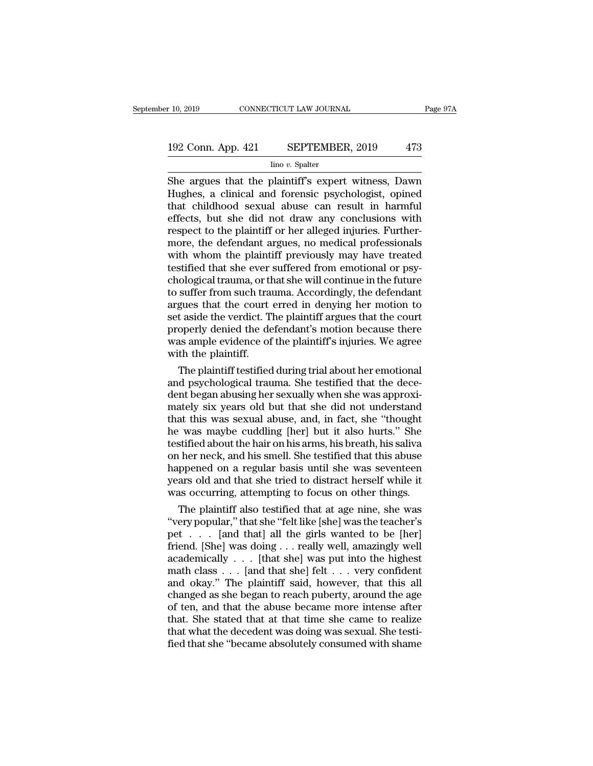# $\begin{tabular}{l} $10, 2019$ & \multicolumn{1}{c}{\text{CONNECTICUT LAW JOURNAL}} \end{tabular} \begin{tabular}{l} Page 97A \\ \hline \end{tabular}$   $\begin{tabular}{l} 192 Conn. App. 421 & \multicolumn{1}{c}{\text{SEPTEMBER, 2019}} \\ \hline \end{tabular} \begin{tabular}{r} 473 \\ \hline \end{tabular}$

#### Iino *v.* Spalter

F 10, 2019 CONNECTICUT LAW JOURNAL Page 97A<br>
192 Conn. App. 421 SEPTEMBER, 2019 473<br>
193 Lino v. Spalter<br>
She argues that the plaintiff's expert witness, Dawn<br>
Hughes, a clinical and forensic psychologist, opined<br>
that chi 192 Conn. App. 421 SEPTEMBER, 2019 473<br>
Imo v. Spalter<br>
She argues that the plaintiff's expert witness, Dawn<br>
Hughes, a clinical and forensic psychologist, opined<br>
that childhood sexual abuse can result in harmful<br>
effects 192 Conn. App. 421 SEPTEMBER, 2019 473<br>  $\frac{\text{line }v \cdot \text{Spalter}}{\text{line }v \cdot \text{Spalter}}$ <br>
She argues that the plaintiff's expert witness, Dawn<br>
Hughes, a clinical and forensic psychologist, opined<br>
that childhood sexual abuse can resul 192 Conn. App. 421 SEPTEMBER, 2019 473<br>  $\frac{\text{line }v. \text{ Spalter}}{\text{She argues that the plaintiff's expert witness, Dawn}}$ <br>
Hughes, a clinical and forensic psychologist, opined<br>
that childhood sexual abuse can result in harmful<br>
effects, but she did not draw any conclusi  $\frac{\text{line }v. \text{ Spater}}{\text{line }v. \text{ Spater}}$ <br>  $\frac{\text{line }v. \text{ Spater}}{\text{Im }v. \text{ Spater}}$ <br>  $\frac{\text{Hughes, a clinical and forensic psychologist, opined}}{\text{Im }v. \text{ Spatter}}$ <br>  $\frac{\text{Hughes, a clinical and forensic psychologist, opined}}{\text{Im }v. \text{ Spatter}}$ <br>  $\frac{\text{Hughes, a clinical and forensic psychologist, opined}}{\text{Im }v. \text{ Spatter}}$ <br>  $\frac{\text{Hughes, a clinical and forensic post-rotations with a clinical of the pretria-  
ing of the pretria-  
ing$ <sup>lino v.</sup> Spalter<br>
She argues that the plaintiff's expert witness, Dawn<br>
Hughes, a clinical and forensic psychologist, opined<br>
that childhood sexual abuse can result in harmful<br>
effects, but she did not draw any conclusion She argues that the plaintiff's expert witness, Dawn<br>Hughes, a clinical and forensic psychologist, opined<br>that childhood sexual abuse can result in harmful<br>effects, but she did not draw any conclusions with<br>respect to the Hughes, a clinical and forensic psychologist, opined<br>that childhood sexual abuse can result in harmful<br>effects, but she did not draw any conclusions with<br>respect to the plaintiff or her alleged injuries. Further-<br>more, the that childhood sexual abuse can result in harmful<br>effects, but she did not draw any conclusions with<br>respect to the plaintiff or her alleged injuries. Further-<br>more, the defendant argues, no medical professionals<br>with whom effects, but she did not draw any conclusions with<br>respect to the plaintiff or her alleged injuries. Further-<br>more, the defendant argues, no medical professionals<br>with whom the plaintiff previously may have treated<br>testifi respect to the plaintiff or her alleged injuries. Furthermore, the defendant argues, no medical professionals<br>with whom the plaintiff previously may have treated<br>testified that she ever suffered from emotional or psy-<br>chol more, the defendant argues, no medical professionals<br>with whom the plaintiff previously may have treated<br>testified that she ever suffered from emotional or psy-<br>chological trauma, or that she will continue in the future<br>to with whom the plaintiff previously may have treated<br>testified that she ever suffered from emotional or psy-<br>chological trauma, or that she will continue in the future<br>to suffer from such trauma. Accordingly, the defendant<br> testified that she ever suffered from emotional or psychological trauma, or that she will continue in the future to suffer from such trauma. Accordingly, the defendant argues that the court erred in denying her motion to s chological trauma, or the suffer from such transparent to suffer from such transparent set aside the verdict. The plaintiff.<br>The plaintiff.<br>The plaintiff. The plaintiff testified suffer from such trauma. Accordingly, the defendant<br>gues that the court erred in denying her motion to<br>t aside the verdict. The plaintiff argues that the court<br>operly denied the defendant's motion because there<br>as ample ev argues that the court erred in denying her motion to<br>set aside the verdict. The plaintiff argues that the court<br>properly denied the defendant's motion because there<br>was ample evidence of the plaintiff's injuries. We agree<br>

set aside the verdict. The plaintiff argues that the court<br>properly denied the defendant's motion because there<br>was ample evidence of the plaintiff's injuries. We agree<br>with the plaintiff.<br>The plaintiff testified during tr properly denied the defendant's motion because there<br>was ample evidence of the plaintiff's injuries. We agree<br>with the plaintiff.<br>The plaintiff testified during trial about her emotional<br>and psychological trauma. She testi was ample evidence of the plaintiff's injuries. We agree<br>with the plaintiff.<br>The plaintiff testified during trial about her emotional<br>and psychological trauma. She testified that the dece-<br>dent began abusing her sexually w with the plaintiff.<br>
The plaintiff testified during trial about her emotional<br>
and psychological trauma. She testified that the dece-<br>
dent began abusing her sexually when she was approxi-<br>
mately six years old but that sh The plaintiff testified during trial about her emotional<br>and psychological trauma. She testified that the dece-<br>dent began abusing her sexually when she was approxi-<br>mately six years old but that she did not understand<br>tha and psychological trauma. She testified that the decedent began abusing her sexually when she was approximately six years old but that she did not understand that this was sexual abuse, and, in fact, she "thought he was ma dent began abusing her sexually when she was approximately six years old but that she did not understand<br>that this was sexual abuse, and, in fact, she "thought<br>he was maybe cuddling [her] but it also hurts." She<br>testified mately six years old but that she did not understand<br>that this was sexual abuse, and, in fact, she "thought<br>he was maybe cuddling [her] but it also hurts." She<br>testified about the hair on his arms, his breath, his saliva<br>o that this was sexual abuse, and, in fact, she "thought<br>he was maybe cuddling [her] but it also hurts." She<br>testified about the hair on his arms, his breath, his saliva<br>on her neck, and his smell. She testified that this ab E was maybe cuddling [her] but it also hurts." She<br>stified about the hair on his arms, his breath, his saliva<br>her neck, and his smell. She testified that this abuse<br>ppened on a regular basis until she was seventeen<br>ars ol testified about the hair on his arms, his breath, his saliva<br>on her neck, and his smell. She testified that this abuse<br>happened on a regular basis until she was seventeen<br>years old and that she tried to distract herself wh

on her neck, and his smell. She testified that this abuse<br>happened on a regular basis until she was seventeen<br>years old and that she tried to distract herself while it<br>was occurring, attempting to focus on other things.<br>Th happened on a regular basis until she was seventeen<br>years old and that she tried to distract herself while it<br>was occurring, attempting to focus on other things.<br>The plaintiff also testified that at age nine, she was<br>"ver years old and that she tried to distract herself while it<br>was occurring, attempting to focus on other things.<br>The plaintiff also testified that at age nine, she was<br>"very popular," that she "felt like [she] was the teacher was occurring, attempting to focus on other things.<br>
The plaintiff also testified that at age nine, she was<br>
"very popular," that she "felt like [she] was the teacher's<br>
pet . . . [and that] all the girls wanted to be [he The plaintiff also testified that at age nine, she was<br>
"very popular," that she "felt like [she] was the teacher's<br>
pet . . . . [and that] all the girls wanted to be [her]<br>
friend. [She] was doing . . . really well, amaz "very popular," that she "felt like [she] was the teacher's<br>pet . . . . [and that] all the girls wanted to be [her]<br>friend. [She] was doing . . . really well, amazingly well<br>academically . . . [that she] was put into the pet . . . . [and that] all the girls wanted to be [her]<br>friend. [She] was doing . . . really well, amazingly well<br>academically . . . [that she] was put into the highest<br>math class . . . [and that she] felt . . . very confi friend. [She] was doing . . . really well, amazingly well<br>academically . . . [that she] was put into the highest<br>math class . . . [and that she] felt . . . very confident<br>and okay." The plaintiff said, however, that this academically  $\ldots$  [that she] was put into the highest math class  $\ldots$  [and that she] felt  $\ldots$  very confident and okay." The plaintiff said, however, that this all changed as she began to reach puberty, around the age math class  $\ldots$  [and that she] felt  $\ldots$  very confident and okay." The plaintiff said, however, that this all changed as she began to reach puberty, around the age of ten, and that the abuse became more intense after th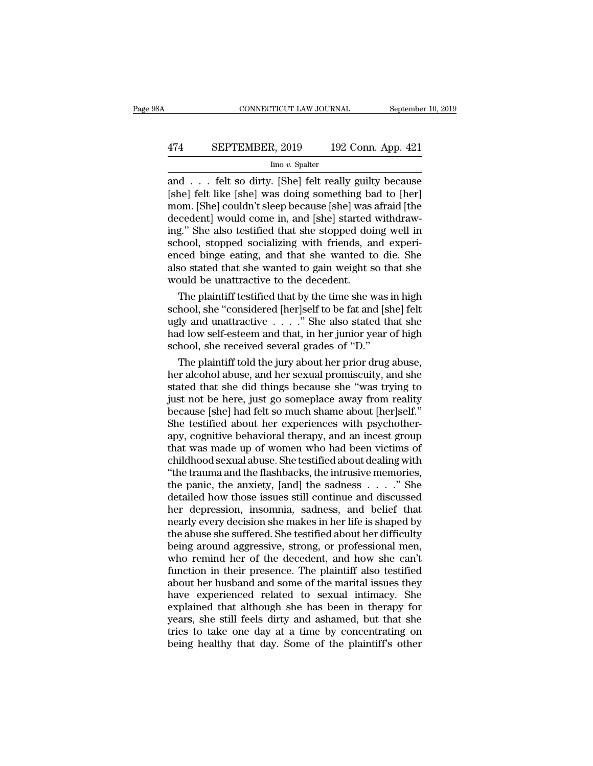# CONNECTICUT LAW JOURNAL September 10, 2019<br>474 SEPTEMBER, 2019 192 Conn. App. 421<br>lino v. Spalter

#### Iino *v.* Spalter

CONNECTICUT LAW JOURNAL September 10, 2019<br>
474 SEPTEMBER, 2019 192 Conn. App. 421<br>
192 Conn. App. 421<br>
192 Conn. App. 421<br>
192 Conn. App. 421<br>
192 Conn. App. 421<br>
192 Conn. App. 421<br>
193 Conn. App. 421<br>
193 Conn. App. 421 SEPTEMBER, 2019 192 Conn. App. 421<br>
Imo v. Spalter<br>
and . . . felt so dirty. [She] felt really guilty because<br>
[she] felt like [she] was doing something bad to [her]<br>
mom. [She] couldn't sleep because [she] was afraid [the EXPTEMBER, 2019 192 Conn. App. 421<br>  $\frac{\text{line }v. \text{ Spalter}}{\text{line }v. \text{ [She] felt really guilty because}}$ <br>
and . . . felt so dirty. [She] felt really guilty because<br>
[she] felt like [she] was doing something bad to [her]<br>
mom. [She] couldn't sleep because 474 SEPTEMBER, 2019 192 Conn. App. 421<br>  $\frac{1}{2}$  Imo v. Spalter<br>
and . . . felt so dirty. [She] felt really guilty because<br>
[she] felt like [she] was doing something bad to [her]<br>
mom. [She] couldn't sleep because [she]  $\frac{1}{2}$  in the set also test with she spatter<br>and . . . felt so dirty. [She] felt really guilty because<br>[she] felt like [she] was doing something bad to [her]<br>mom. [She] couldn't sleep because [she] was afraid [the<br>dece  $\frac{1}{2}$  ino *v*. Spalter<br>and . . . felt so dirty. [She] felt really guilty because<br>[she] felt like [she] was doing something bad to [her]<br>mom. [She] couldn't sleep because [she] was afraid [the<br>decedent] would come in, and . . . felt so dirty. [She] felt really guilty because<br>[she] felt like [she] was doing something bad to [her]<br>mom. [She] couldn't sleep because [she] was afraid [the<br>decedent] would come in, and [she] started withdraw-<br> [she] felt like [she] was doing something bad to [her]<br>mom. [She] couldn't sleep because [she] was afraid [the<br>decedent] would come in, and [she] started withdraw-<br>ing." She also testified that she stopped doing well in<br>sc mom. [She] couldn't sleep because [she] was<br>decedent] would come in, and [she] started<br>ing." She also testified that she stopped doi<br>school, stopped socializing with friends, a<br>enced binge eating, and that she wanted to<br>al cedent] would come in, and [she] started withdraw-<br>g." She also testified that she stopped doing well in<br>hool, stopped socializing with friends, and experi-<br>ced binge eating, and that she wanted to die. She<br>so stated that ing." She also testified that she stopped doing well in<br>school, stopped socializing with friends, and experi-<br>enced binge eating, and that she wanted to die. She<br>also stated that she wanted to gain weight so that she<br>would

school, stopped socializing with friends, and experienced binge eating, and that she wanted to die. She also stated that she wanted to gain weight so that she would be unattractive to the decedent.<br>The plaintiff testified enced binge eating, and that she wanted to die. She<br>also stated that she wanted to gain weight so that she<br>would be unattractive to the decedent.<br>The plaintiff testified that by the time she was in high<br>school, she "consi also stated that she wanted to gain weight so that she<br>would be unattractive to the decedent.<br>The plaintiff testified that by the time she was in high<br>school, she "considered [her]self to be fat and [she] felt<br>ugly and un The plaintiff testified that by the time she was in high<br>hool, she "considered [her]self to be fat and [she] felt<br>ly and unattractive  $\ldots$ " She also stated that she<br>d low self-esteem and that, in her junior year of high<br> The plaintiff testified that by the time she was in high<br>school, she "considered [her]self to be fat and [she] felt<br>ugly and unattractive  $\ldots$ ." She also stated that she<br>had low self-esteem and that, in her junior year o

school, she "considered [her]self to be fat and [she] felt<br>ugly and unattractive  $\ldots$ " She also stated that she<br>had low self-esteem and that, in her junior year of high<br>school, she received several grades of "D."<br>The pla ugly and unattractive . . . . ." She also stated that she<br>had low self-esteem and that, in her junior year of high<br>school, she received several grades of "D."<br>The plaintiff told the jury about her prior drug abuse,<br>her alc had low self-esteem and that, in her junior year of high<br>school, she received several grades of "D."<br>The plaintiff told the jury about her prior drug abuse,<br>her alcohol abuse, and her sexual promiscuity, and she<br>stated tha school, she received several grades of "D."<br>The plaintiff told the jury about her prior drug abuse,<br>her alcohol abuse, and her sexual promiscuity, and she<br>stated that she did things because she "was trying to<br>just not be h The plaintiff told the jury about her prior drug abuse,<br>her alcohol abuse, and her sexual promiscuity, and she<br>stated that she did things because she "was trying to<br>just not be here, just go someplace away from reality<br>bec her alcohol abuse, and her sexual promiscuity, and she<br>stated that she did things because she "was trying to<br>just not be here, just go someplace away from reality<br>because [she] had felt so much shame about [her]self."<br>She stated that she did things because she "was trying to<br>just not be here, just go someplace away from reality<br>because [she] had felt so much shame about [her]self."<br>She testified about her experiences with psychother-<br>apy, c just not be here, just go someplace away from reality<br>because [she] had felt so much shame about [her]self."<br>She testified about her experiences with psychother-<br>apy, cognitive behavioral therapy, and an incest group<br>that because [she] had felt so much shame about [her]self."<br>She testified about her experiences with psychother-<br>apy, cognitive behavioral therapy, and an incest group<br>that was made up of women who had been victims of<br>childhood She testified about her experiences with psychother-<br>apy, cognitive behavioral therapy, and an incest group<br>that was made up of women who had been victims of<br>childhood sexual abuse. She testified about dealing with<br>"the t apy, cognitive behavioral therapy, and an incest group<br>that was made up of women who had been victims of<br>childhood sexual abuse. She testified about dealing with<br>"the trauma and the flashbacks, the intrusive memories,<br>the that was made up of women who had been victims of<br>childhood sexual abuse. She testified about dealing with<br>"the trauma and the flashbacks, the intrusive memories,<br>the panic, the anxiety, [and] the sadness . . . . " She<br>det childhood sexual abuse. She testified about dealing with<br>
"the trauma and the flashbacks, the intrusive memories,<br>
the panic, the anxiety, [and] the sadness . . . . ." She<br>
detailed how those issues still continue and disc "the trauma and the flashbacks, the intrusive memories,<br>the panic, the anxiety, [and] the sadness  $\ldots$ ." She<br>detailed how those issues still continue and discussed<br>her depression, insomnia, sadness, and belief that<br>nearl the panic, the anxiety, [and] the sadness . . . . ." She<br>detailed how those issues still continue and discussed<br>her depression, insomnia, sadness, and belief that<br>nearly every decision she makes in her life is shaped by<br>th detailed how those issues still continue and discussed<br>her depression, insomnia, sadness, and belief that<br>nearly every decision she makes in her life is shaped by<br>the abuse she suffered. She testified about her difficulty<br> her depression, insomnia, sadness, and belief that<br>nearly every decision she makes in her life is shaped by<br>the abuse she suffered. She testified about her difficulty<br>being around aggressive, strong, or professional men,<br>w have experienced in the havas been also seemed by<br>the abuse she suffered. She testified about her difficulty<br>being around aggressive, strong, or professional men,<br>who remind her of the decedent, and how she can't<br>function the abuse she suffered. She testified about her difficulty<br>being around aggressive, strong, or professional men,<br>who remind her of the decedent, and how she can't<br>function in their presence. The plaintiff also testified<br>ab being around aggressive, strong, or professional men,<br>who remind her of the decedent, and how she can't<br>function in their presence. The plaintiff also testified<br>about her husband and some of the marital issues they<br>have ex who remind her of the decedent, and how she can't<br>function in their presence. The plaintiff also testified<br>about her husband and some of the marital issues they<br>have experienced related to sexual intimacy. She<br>explained th function in their presence. The plaintiff also testified<br>about her husband and some of the marital issues they<br>have experienced related to sexual intimacy. She<br>explained that although she has been in therapy for<br>years, she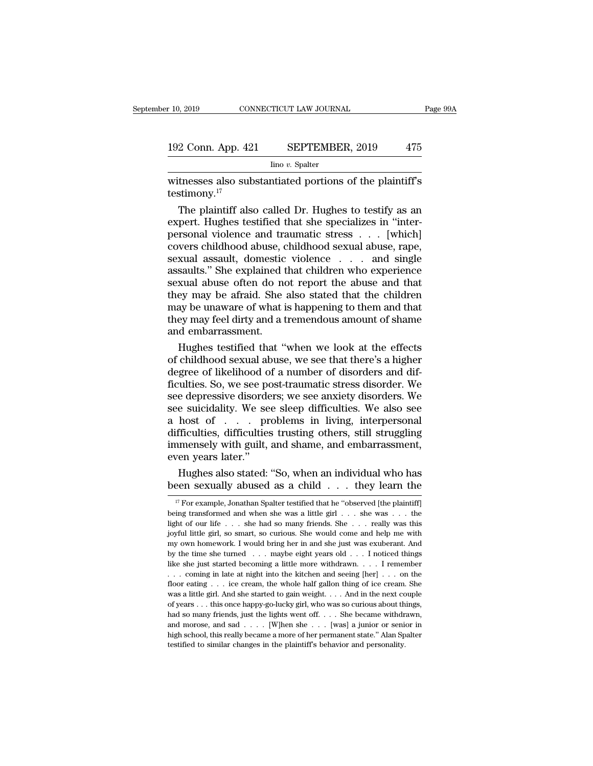# 192 Conn. App. 421 SEPTEMBER, 2019 <sup>475</sup>

Iino *v.* Spalter

 $\begin{array}{ll}\n & \text{COMRECTICUT LAW JOURNAL} & \text{Page 99A} \\
 \hline\n 192 \text{ Conn. App. 421} & \text{SEPTEMBER, 2019} & 475 \\
 \hline\n & \text{line } v. \text{ Spalter} \\
 \hline\n \text{witnesses also substantiated portions of the plaintiff's} \\
 \text{testimony.}^{17}\n \end{array}$ testimony.<sup>17</sup>

 $\frac{\text{Ino } v. \text{ Spalter}}{\text{Ino } v. \text{ Spalter}}$ <br>  $\frac{\text{Ino } v. \text{ Spalter}}{\text{Inem, 17}}$ <br>  $\frac{\text{Ino } v. \text{ Spalter}}{\text{Stim, 17}}$ <br>
The plaintiff also called Dr. Hughes to testify as an<br>
pert. Hughes testified that she specializes in "inter-<br>
record violence 192 Conn. App. 421 SEPTEMBER, 2019 475<br>  $\frac{1}{2}$  line v. Spalter<br>
witnesses also substantiated portions of the plaintiff's<br>
testimony.<sup>17</sup><br>
The plaintiff also called Dr. Hughes to testify as an<br>
expert. Hughes testified  $\frac{\text{line }v. \text{ Spalter}}{\text{witnesses also substantiated portions of the plaintiff's  
testimony.<sup>17</sup>}$ <br>The plaintiff also called Dr. Hughes to testify as an<br>expert. Hughes testified that she specializes in "inter-<br>personal violence and traumatic stress . . . [which]<br>covers childh modelight abuse of the plaintiff's<br>testimony.<sup>17</sup><br>The plaintiff also called Dr. Hughes to testify as an<br>expert. Hughes testified that she specializes in "inter-<br>personal violence and traumatic stress . . . [which]<br>covers witnesses also substantiated portions of the plaintiff's<br>testimony.<sup>17</sup><br>The plaintiff also called Dr. Hughes to testify as an<br>expert. Hughes testified that she specializes in "inter-<br>personal violence and traumatic stress testimony.<sup>17</sup><br>The plaintiff also called Dr. Hughes to testify as an<br>expert. Hughes testified that she specializes in "inter-<br>personal violence and traumatic stress . . . [which]<br>covers childhood abuse, childhood sexual ab The plaintiff also called Dr. Hughes to testify as an expert. Hughes testified that she specializes in "inter-<br>personal violence and traumatic stress  $\ldots$  [which]<br>covers childhood abuse, childhood sexual abuse, rape,<br>sex expert. Hughes testified that she specializes in "inter-<br>personal violence and traumatic stress  $\ldots$  [which]<br>covers childhood abuse, childhood sexual abuse, rape,<br>sexual assault, domestic violence  $\ldots$  and single<br>assaul personal violence and traumatic stress . . . [which]<br>covers childhood abuse, childhood sexual abuse, rape,<br>sexual assault, domestic violence . . . and single<br>assaults." She explained that children who experience<br>sexual abu they may be absoluted abuse, childhood sexual abuse, rape, sexual assault, domestic violence . . . . and single assaults." She explained that children who experience sexual abuse often do not report the abuse and that they sexual assault, domestic<br>assaults." She explained t<br>sexual abuse often do no<br>they may be afraid. She<br>may be unaware of what i<br>they may feel dirty and a t<br>and embarrassment.<br>Hughes testified that " saults." She explained that children who experience<br>xual abuse often do not report the abuse and that<br>ey may be afraid. She also stated that the children<br>ay be unaware of what is happening to them and that<br>ey may feel dirt sexual abuse often do not report the abuse and that<br>they may be afraid. She also stated that the children<br>may be unaware of what is happening to them and that<br>they may feel dirty and a tremendous amount of shame<br>and embarr

they may be afraid. She also stated that the children<br>may be unaware of what is happening to them and that<br>they may feel dirty and a tremendous amount of shame<br>and embarrassment.<br>Hughes testified that "when we look at the may be unaware of what is happening to them and that<br>they may feel dirty and a tremendous amount of shame<br>and embarrassment.<br>Hughes testified that "when we look at the effects<br>of childhood sexual abuse, we see that there's they may feel dirty and a tremendous amount of shame<br>and embarrassment.<br>Hughes testified that "when we look at the effects<br>of childhood sexual abuse, we see that there's a higher<br>degree of likelihood of a number of disorde and embarrassment.<br>
Hughes testified that "when we look at the effects<br>
of childhood sexual abuse, we see that there's a higher<br>
degree of likelihood of a number of disorders and dif-<br>
ficulties. So, we see post-traumatic Hughes testified that "when we look at the effects<br>of childhood sexual abuse, we see that there's a higher<br>degree of likelihood of a number of disorders and dif-<br>ficulties. So, we see post-traumatic stress disorder. We<br>see of childhood sexual abuse, we see that there's a higher<br>degree of likelihood of a number of disorders and dif-<br>ficulties. So, we see post-traumatic stress disorder. We<br>see depressive disorders; we see anxiety disorders. We degree of likelihood of a number of disorders and difficulties. So, we see post-traumatic stress disorder. We see depressive disorders; we see anxiety disorders. We see suicidality. We see sleep difficulties. We also see a ficulties. So, we see po<br>see depressive disorde<br>see suicidality. We se<br>a host of . . . pr<br>difficulties, difficulties<br>immensely with guilt,<br>even years later."<br>Hughes also stated: e depressive disorders; we see anxiety disorders. We<br>e suicidality. We see sleep difficulties. We also see<br>host of . . . problems in living, interpersonal<br>fficulties, difficulties trusting others, still struggling<br>mensely see suicidality. We see sleep difficulties. We also see<br>a host of . . . problems in living, interpersonal<br>difficulties, difficulties trusting others, still struggling<br>immensely with guilt, and shame, and embarrassment,<br>ev

17 For example, Jonathan Spalter testified that he "observed [the plaintiff]<br>
17 For example, Jonathan Spalter testified that he "observed [the plaintiff]<br>
17 For example, Jonathan Spalter testified that he "observed [the

being transformed and when she was a little girl . . . they learn the was been sexually abused as a child . . . they learn the was example, Jonathan Spalter testified that he "observed [the plaintiff] being transformed an Hughes also stated: "So, when an individual who has<br>been sexually abused as a child . . . they learn the<br> $\frac{17}{17}$  For example, Jonathan Spalter testified that he "observed [the plaintiff]<br>being transformed and when she Figures also stated. Bo, when an individual who has<br>been sexually abused as a child . . . they learn the<br> $\frac{17}{17}$  For example, Jonathan Spalter testified that he "observed [the plaintiff]<br>being transformed and when she Deen Sexually abused as a Child . . . Uley learnt the  $\frac{1}{17}$  For example, Jonathan Spalter testified that he "observed [the plaintiff] being transformed and when she was a little girl . . . she was . . . the light of <sup>17</sup> For example, Jonathan Spalter testified that he "observed [the plaintiff] being transformed and when she was a little girl . . . she was . . . the light of our life . . . she had so many friends. She . . . really was being transformed and when she was a little girl . . . she was . . . the light of our life . . . she had so many friends. She . . . really was this joyful little girl, so smart, so curious. She would come and help me with Light of our life . . . she had so many friends. She . . . really was this joyful little girl, so smart, so curious. She would come and help me with my own homework. I would bring her in and she just was exuberant. And by floor eating . . . ice cream, the whole half gallon thing of ice cream. She my own homework. I would bring her in and she just was exuberant. And by the time she turned ... maybe eight years old ... I noticed things like she just started becoming a little more withdrawn. ... I remember ... coming by the time she turned . . . . maybe eight years old . . . I noticed things like she just started becoming a little more withdrawn. . . . I remember . . . coming in late at night into the kitchen and seeing [her] . . . on like she just started becoming a little more withdrawn. . . . I remember . . . coming in late at night into the kitchen and seeing [her] . . . on the floor eating . . . ice cream, the whole half gallon thing of ice cream. and morphism in late at night into the kitchen and seeing [her]  $\ldots$  on the floor eating  $\ldots$  ice cream, the whole half gallon thing of ice cream. She was a little girl. And she started to gain weight.  $\ldots$  And in the floor eating . . . ice cream, the whole half gallon thing of ice cream. She was a little girl. And she started to gain weight. . . . And in the next couple of years . . . this once happy-go-lucky girl, who was so curious was a little girl. And she started to gain weight. . . . And in the next couple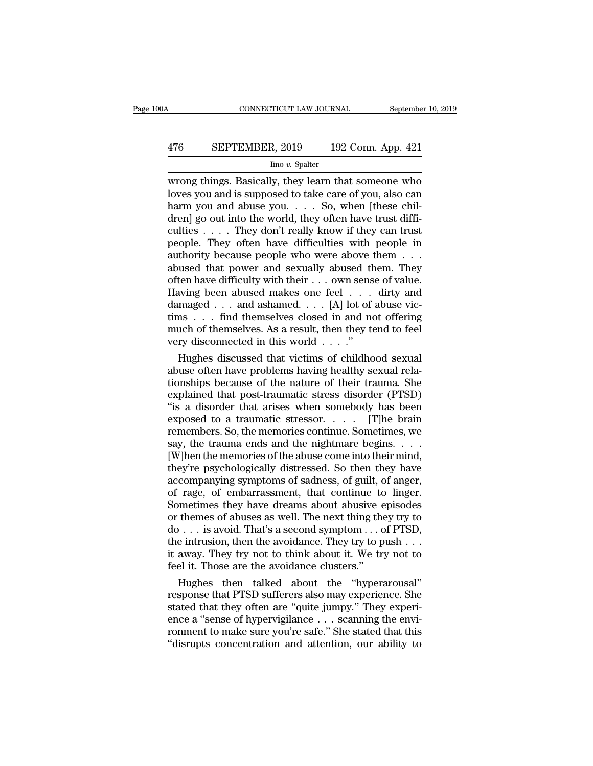# CONNECTICUT LAW JOURNAL September 10, 2019<br>476 SEPTEMBER, 2019 192 Conn. App. 421<br>lino v. Spalter

#### Iino *v.* Spalter

CONNECTICUT LAW JOURNAL September 10, 2019<br>  $\frac{476}{\text{line }v. \text{ Spalter}}$  SEPTEMBER, 2019  $\frac{192 \text{ Conn. App. 421}}{\text{line }v. \text{ Spalter}}$ <br>
wrong things. Basically, they learn that someone who<br>
loves you and is supposed to take care of you, al SEPTEMBER, 2019 192 Conn. App. 421<br>
lino v. Spalter<br>
wrong things. Basically, they learn that someone who<br>
loves you and is supposed to take care of you, also can<br>
harm you and abuse you.... So, when [these chil-<br>
dren! go 476 SEPTEMBER, 2019 192 Conn. App. 421<br>  $\frac{\text{line }v. \text{ Spalter}}{\text{wrong things. Basically, they learn that someone who  
loves you and is supposed to take care of you, also can  
harm you and abuse you. . . . So, when [these chil-  
dren] go out into the world, they often have trust diffi-  
culties.$ 476 SEPTEMBER, 2019 192 Conn. App. 421<br>  $\frac{\text{line }v. \text{ Spalter}}{\text{wrong things. Basically, they learn that someone who  
loves you and is supposed to take care of you, also can  
harm you and abuse you. . . . So, when [these chil-  
dren] go out into the world, they often have trust diffi-  
culties . . . . They don't really know if they can trust  
people. They often have difficulties with people in$ For the set of the set of the set of the set of the set of the set of you, also can harm you and is supposed to take care of you, also can harm you and abuse you.  $\ldots$  So, when [these children] go out into the world, the  $\frac{\text{line }v. \text{ Spalter}}{\text{wrong things. Basically, they learn that someone who}$ <br>loves you and is supposed to take care of you, also can<br>harm you and abuse you. . . . So, when [these chil-<br>dren] go out into the world, they often have trust diffi-<br>culties . . . . They do wrong things. Basically, they learn that someone who loves you and is supposed to take care of you, also can harm you and abuse you. . . . So, when [these children] go out into the world, they often have trust difficultie loves you and is supposed to take care of you, also can<br>harm you and abuse you. . . . So, when [these chil-<br>dren] go out into the world, they often have trust diffi-<br>culties . . . . They don't really know if they can trus harm you and abuse you. . . . So, when [these children] go out into the world, they often have trust difficulties . . . . They don't really know if they can trust people. They often have difficulties with people in author dren] go out into the world, they often have trust difficulties . . . . They don't really know if they can trust<br>people. They often have difficulties with people in<br>authority because people who were above them . . .<br>abused culties . . . . They don't really know if they can trust<br>people. They often have difficulties with people in<br>authority because people who were above them . . .<br>abused that power and sexually abused them. They<br>often have d people. They often have difficulties with people in authority because people who were above them . . . .<br>abused that power and sexually abused them. They often have difficulty with their . . . own sense of value.<br>Having b authority because people who were above them . . . abused that power and sexually abused them. They often have difficulty with their . . . own sense of value.<br>Having been abused makes one feel . . . dirty and damaged . . % abused that power and sexually abused the often have difficulty with their . . . own sens Having been abused makes one feel . . . . damaged . . . and ashamed. . . . [A] lot of tims . . . find themselves closed in and no ten have difficulty with their  $\dots$  own sense of value.<br>
wing been abused makes one feel  $\dots$  dirty and<br>
maged  $\dots$  and ashamed.  $\dots$  [A] lot of abuse vic-<br>
ns  $\dots$  find themselves closed in and not offering<br>
uch of thems Having been abused makes one feel  $\ldots$  dirty and<br>damaged  $\ldots$  and ashamed.  $\ldots$  [A] lot of abuse vic-<br>tims  $\ldots$  find themselves closed in and not offering<br>much of themselves. As a result, then they tend to feel<br>very d

damaged  $\ldots$  and ashamed  $\ldots$  [A] lot of abuse victims  $\ldots$  find themselves closed in and not offering<br>much of themselves. As a result, then they tend to feel<br>very disconnected in this world  $\ldots$ ."<br>Hughes discussed th tims  $\ldots$  find themselves closed in and not offering<br>much of themselves. As a result, then they tend to feel<br>very disconnected in this world  $\ldots$ ."<br>Hughes discussed that victims of childhood sexual<br>abuse often have prob much of themselves. As a result, then they tend to feel<br>very disconnected in this world  $\ldots$ ."<br>Hughes discussed that victims of childhood sexual<br>abuse often have problems having healthy sexual rela-<br>tionships because of very disconnected in this world . . . ."<br>
Hughes discussed that victims of childhood sexual<br>
abuse often have problems having healthy sexual rela-<br>
tionships because of the nature of their trauma. She<br>
explained that post Hughes discussed that victims of childhood sexual<br>abuse often have problems having healthy sexual rela-<br>tionships because of the nature of their trauma. She<br>explained that post-traumatic stresss disorder (PTSD)<br>"is a disor abuse often have problems having healthy sexual rela-<br>tionships because of the nature of their trauma. She<br>explained that post-traumatic stress disorder (PTSD)<br>"is a disorder that arises when somebody has been<br>exposed to a tionships because of the nature of their trauma. She explained that post-traumatic stress disorder (PTSD) "is a disorder that arises when somebody has been exposed to a traumatic stressor.  $\ldots$  [T]he brain remembers. So, explained that post-traumatic stress disorder (PTSD)<br>
"is a disorder that arises when somebody has been<br>
exposed to a traumatic stressor. . . . . . . . . . . .<br>
The brain<br>
remembers. So, the memories continue. Sometimes, w "is a disorder that arises when somebody has been<br>exposed to a traumatic stressor. . . . . [T]he brain<br>remembers. So, the memories continue. Sometimes, we<br>say, the trauma ends and the nightmare begins. . . .<br>[W]hen the me exposed to a traumatic stressor.  $\ldots$  [T]he brain<br>remembers. So, the memories continue. Sometimes, we<br>say, the trauma ends and the nightmare begins.  $\ldots$ <br>[W]hen the memories of the abuse come into their mind,<br>they're ps remembers. So, the memories continue. Sometimes, we<br>say, the trauma ends and the nightmare begins. . . .<br>[W]hen the memories of the abuse come into their mind,<br>they're psychologically distressed. So then they have<br>accompan say, the trauma ends and the nightmare begins. . . .<br>[W]hen the memories of the abuse come into their mind,<br>they're psychologically distressed. So then they have<br>accompanying symptoms of sadness, of guilt, of anger,<br>of ra [W]hen the memories of the abuse come into their mind,<br>they're psychologically distressed. So then they have<br>accompanying symptoms of sadness, of guilt, of anger,<br>of rage, of embarrassment, that continue to linger.<br>Someti they're psychologically distressed. So then they have accompanying symptoms of sadness, of guilt, of anger, of rage, of embarrassment, that continue to linger. Sometimes they have dreams about abusive episodes or themes of accompanying symptoms of sadness, of guilt, of anger,<br>of rage, of embarrassment, that continue to linger.<br>Sometimes they have dreams about abusive episodes<br>or themes of abuses as well. The next thing they try to<br>do . . . i of rage, of embarrassment, that continue to<br>Sometimes they have dreams about abusive  $\epsilon$ <br>or themes of abuses as well. The next thing the<br>do . . . is avoid. That's a second symptom . . . c<br>the intrusion, then the avoidanc metimes they have dreams about abusive episodes<br>themes of abuses as well. The next thing they try to<br> $\ldots$  is avoid. That's a second symptom  $\ldots$  of PTSD,<br>e intrusion, then the avoidance. They try to push  $\ldots$ <br>away. The or themes of abuses as well. The next thing they try to<br>do . . . is avoid. That's a second symptom . . . of PTSD,<br>the intrusion, then the avoidance. They try to push . . .<br>it away. They try not to think about it. We try no

do . . . is avoid. That's a second symptom . . . of PTSD,<br>the intrusion, then the avoidance. They try to push . . .<br>it away. They try not to think about it. We try not to<br>feel it. Those are the avoidance clusters."<br>Hughes the intrusion, then the avoidance. They try to push . . .<br>it away. They try not to think about it. We try not to<br>feel it. Those are the avoidance clusters."<br>Hughes then talked about the "hyperarousal"<br>response that PTSD su it away. They try not to think about it. We try not to<br>feel it. Those are the avoidance clusters."<br>Hughes then talked about the "hyperarousal"<br>response that PTSD sufferers also may experience. She<br>stated that they often ar feel it. Those are the avoidance clusters."<br>
Hughes then talked about the "hyperarousal"<br>
response that PTSD sufferers also may experience. She<br>
stated that they often are "quite jumpy." They experi-<br>
ence a "sense of hype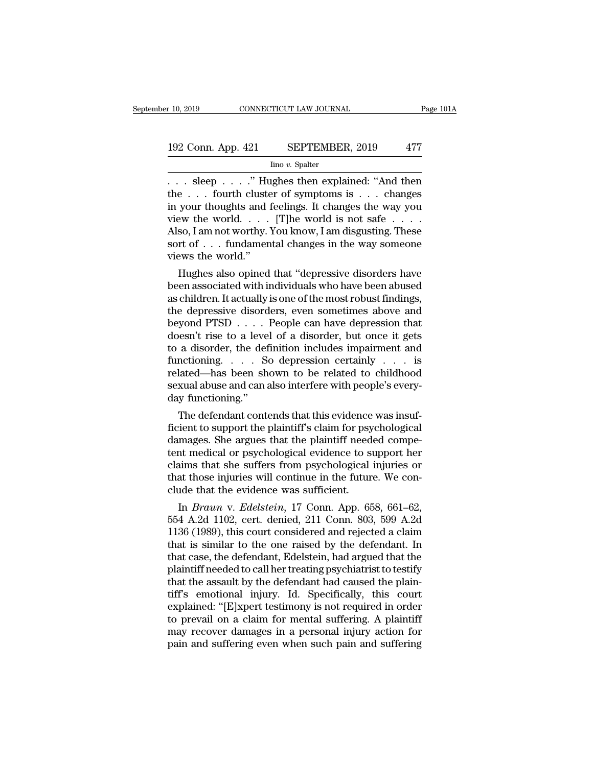# 10, 2019 CONNECTICUT LAW JOURNAL Page 101A<br>192 Conn. App. 421 SEPTEMBER, 2019 477<br>Ino v. Spalter

Iino *v.* Spalter

 $\begin{array}{llll}\n & \text{row\\ \text{ECTICUT LAW JOURNAL} & \text{Page 101A}\n\end{array}$ <br>
192 Conn. App. 421 SEPTEMBER, 2019 477<br>  $\begin{array}{llll}\n & \text{line } v. \text{ Spalter} \\
 \hline\n & \text{line } v. \text{ Spalter}\n\end{array}$ <br>  $\begin{array}{llll}\n & \text{Step } . . . . \text{'} \text{ Hughes then explained: "And then}\n & \text{the } . . . \text{ fourth cluster of symptoms is . . . changes}\n & \text{row to the two two two two two two two two two two two two two two$ 192 Conn. App. 421 SEPTEMBER, 2019 477<br>
Ino v. Spalter<br>
... sleep ....." Hughes then explained: "And then<br>
the ... fourth cluster of symptoms is ... changes<br>
in your thoughts and feelings. It changes the way you<br>
view the 192 Conn. App. 421 SEPTEMBER, 2019 477<br>  $\frac{\text{line }v. \text{ Spalter}}{\dots \text{sleep } \dots \text{." Hughes then explained: "And then}}$ <br>
the . . . fourth cluster of symptoms is . . . changes<br>
in your thoughts and feelings. It changes the way you<br>
view the world. . . . [T]he wor 192 Conn. App. 421 SEPTEMBER, 2019 477<br>  $\frac{1}{2}$  Ino v. Spalter<br>  $\therefore$  sleep  $\therefore$   $\therefore$  "Hughes then explained: "And then<br>
the  $\therefore$  fourth cluster of symptoms is  $\therefore$  changes<br>
in your thoughts and feelings. It changes  $\frac{\text{line }v. \text{ Spalter}}{\text{line }v. \text{ Sphere}}$ <br>Ino  $v. \text{ Spalter}$ <br>the ... fourth cluster of symptoms is ... changes<br>in your thoughts and feelings. It changes the way you<br>view the world... [T]he world is not safe ....<br>Also, I am not worthy. Y  $\begin{array}{l} \hline \end{array}$ .... sleep ....." Hughes then explained: "And then the ... fourth cluster of symptoms is ... changes in your thoughts and feelings. It changes the way you view the world. ... [T]he world is not safe ..... views the world.<br>
in your thoughts and in your thoughts and in your thoughts and in view the world.<br>
Also, I am not worthy.<br>
Sort of . . . fundamen<br>
views the world."<br>
Hughes also opined  $e \ldots$  fourth cluster of symptoms is  $\ldots$  changes<br>your thoughts and feelings. It changes the way you<br>ew the world.  $\ldots$  [T]he world is not safe  $\ldots$  .<br>so, I am not worthy. You know, I am disgusting. These<br>rt of  $\ldots$  f In your thoughts and reeings. It changes the way you<br>view the world. . . . . [T]he world is not safe . . . . .<br>Also, I am not worthy. You know, I am disgusting. These<br>sort of . . . fundamental changes in the way someone<br>v

view the world. . . . . [1] he world is not safe . . . . .<br>Also, I am not worthy. You know, I am disgusting. These<br>sort of . . . fundamental changes in the way someone<br>views the world."<br>Hughes also opined that "depressive Also, I am not worthy. You know, I am disgusting. These<br>sort of . . . fundamental changes in the way someone<br>views the world."<br>Hughes also opined that "depressive disorders have<br>been associated with individuals who have b sort or . . . . Tundamental changes in the way someone<br>views the world."<br>Hughes also opined that "depressive disorders have<br>been associated with individuals who have been abused<br>as children. It actually is one of the most Hughes also opined that "depressive disorders have<br>been associated with individuals who have been abused<br>as children. It actually is one of the most robust findings,<br>the depressive disorders, even sometimes above and<br>beyon Hughes also opined that "depressive disorders have<br>been associated with individuals who have been abused<br>as children. It actually is one of the most robust findings,<br>the depressive disorders, even sometimes above and<br>beyo been associated with individuals who have been abused<br>as children. It actually is one of the most robust findings,<br>the depressive disorders, even sometimes above and<br>beyond PTSD . . . . People can have depression that<br>does as children. It actually is one of the most robust findings,<br>the depressive disorders, even sometimes above and<br>beyond PTSD . . . . People can have depression that<br>doesn't rise to a level of a disorder, but once it gets<br>to the depressive disorders, even sometimes above and<br>beyond PTSD  $\dots$ . People can have depression that<br>doesn't rise to a level of a disorder, but once it gets<br>to a disorder, the definition includes impairment and<br>functionin beyond PTSD . . . .<br>doesn't rise to a leve<br>to a disorder, the def<br>functioning. . . . . S<br>related—has been sh<br>sexual abuse and can a<br>day functioning."<br>The defendant conte Example 18 a disorder, the definition includes impairment and notioning. . . . So depression certainly . . . is lated—has been shown to be related to childhood xual abuse and can also interfere with people's every-<br>y func to a disorder, the definition includes impairment and<br>functioning. . . . So depression certainly . . . is<br>related—has been shown to be related to childhood<br>sexual abuse and can also interfere with people's every-<br>day funct

runctioning. . . . . So depression certainly . . . . is<br>related—has been shown to be related to childhood<br>sexual abuse and can also interfere with people's every-<br>day functioning."<br>The defendant contends that this evidence related—nas been shown to be related to childhood<br>sexual abuse and can also interfere with people's every-<br>day functioning."<br>The defendant contends that this evidence was insuf-<br>ficient to support the plaintiff's claim for sexual abuse and can also interfere with people s every-<br>day functioning."<br>The defendant contends that this evidence was insuf-<br>ficient to support the plaintiff's claim for psychological<br>damages. She argues that the plaint day runctioning.<br>The defendant contends that this evidence was insuf-<br>ficient to support the plaintiff's claim for psychological<br>damages. She argues that the plaintiff needed compe-<br>tent medical or psychological evidence t The defendant contends that this evidence<br>ficient to support the plaintiff's claim for psy<br>damages. She argues that the plaintiff need<br>tent medical or psychological evidence to si<br>claims that she suffers from psychological The *Brauna v. Edelstein*, 17 Conn. 803, 599 A.2d<br>4 a.2d 1102, err. denies that the plaintiff needed compe-<br>the mims that she suffers from psychological injuries or<br>at those injuries will continue in the future. We con-<br>id damages. She argues that the plaintif needed competent medical or psychological evidence to support her claims that she suffers from psychological injuries or that those injuries will continue in the future. We conclude th

tent meatcal or psychological evidence to support her<br>claims that she suffers from psychological injuries or<br>that those injuries will continue in the future. We con-<br>clude that the evidence was sufficient.<br>In *Braun v. Ede* claims that she surfers from psychological injuries or<br>that those injuries will continue in the future. We con-<br>clude that the evidence was sufficient.<br>In *Braun* v. *Edelstein*, 17 Conn. App. 658, 661–62,<br>554 A.2d 1102, that those injuries will continue in the future. We conclude that the evidence was sufficient.<br>
In *Braun v. Edelstein*, 17 Conn. App. 658, 661–62,<br>
554 A.2d 1102, cert. denied, 211 Conn. 803, 599 A.2d<br>
1136 (1989), this c clude that the evidence was sumclent.<br>
In *Braun* v. *Edelstein*, 17 Conn. App. 658, 661–62,<br>
554 A.2d 1102, cert. denied, 211 Conn. 803, 599 A.2d<br>
1136 (1989), this court considered and rejected a claim<br>
that is similar In *Braun* v. *Edelstein*, 17 Conn. App. 658, 661–62, 554 A.2d 1102, cert. denied, 211 Conn. 803, 599 A.2d 1136 (1989), this court considered and rejected a claim that is similar to the one raised by the defendant. In that 554 A.2d 1102, cert. denied, 211 Conn. 803, 599 A.2d<br>1136 (1989), this court considered and rejected a claim<br>that is similar to the one raised by the defendant. In<br>that case, the defendant, Edelstein, had argued that the<br>p 1136 (1989), this court considered and rejected a claim<br>that is similar to the one raised by the defendant. In<br>that case, the defendant, Edelstein, had argued that the<br>plaintiff needed to call her treating psychiatrist to that is similar to the one raised by the defendant. In<br>that case, the defendant, Edelstein, had argued that the<br>plaintiff needed to call her treating psychiatrist to testify<br>that the assault by the defendant had caused the that case, the defendant, Edelstein, had argued that the plaintiff needed to call her treating psychiatrist to testify that the assault by the defendant had caused the plaintiff's emotional injury. Id. Specifically, this c plaintiff needed to call her treating psychiatrist to testify<br>that the assault by the defendant had caused the plain-<br>tiff's emotional injury. Id. Specifically, this court<br>explained: "[E]xpert testimony is not required in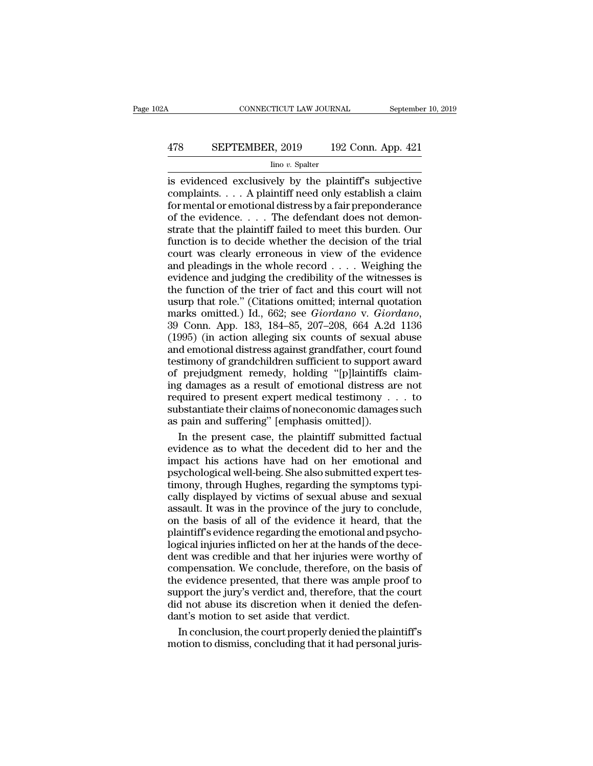# CONNECTICUT LAW JOURNAL September 10, 2019<br>478 SEPTEMBER, 2019 192 Conn. App. 421<br>lino v. Spalter

#### Iino *v.* Spalter

CONNECTICUT LAW JOURNAL September 10, 2019<br>
478 SEPTEMBER, 2019 192 Conn. App. 421<br>
192 Conn. App. 421<br>
192 Conn. App. 421<br>
192 Conn. App. 421<br>
192 Conn. App. 421<br>
192 Conn. App. 421<br>
192 Conn. App. 421<br>
192 Conn. App. 421 EPTEMBER, 2019 192 Conn. App. 421<br>
lino v. Spalter<br>
is evidenced exclusively by the plaintiff's subjective<br>
complaints. . . . A plaintiff need only establish a claim<br>
for mental or emotional distress by a fair preponderanc For the Mindolensian of the plaintiff's subjective<br>is evidenced exclusively by the plaintiff's subjective<br>complaints.... A plaintiff need only establish a claim<br>for mental or emotional distress by a fair preponderance<br>of 478 SEPTEMBER, 2019 192 Conn. App. 421<br>  $\frac{\text{line }v. \text{ Spalter}}{v. \text{ Spalter}}$ <br>
is evidenced exclusively by the plaintiff's subjective<br>
complaints.... A plaintiff need only establish a claim<br>
for mental or emotional distress by a fai  $\frac{\text{In number, 2013}}{\text{In row. Spalter}}$ <br>is evidenced exclusively by the plaintiff's subjective<br>complaints.... A plaintiff need only establish a claim<br>for mental or emotional distress by a fair preponderance<br>of the evidence.... The defe  $\frac{\text{line }v. \text{ Spalter}}{\text{line }w. \text{ Spalter}}$ <br>is evidenced exclusively by the plaintiff's subjective<br>complaints. . . . A plaintiff need only establish a claim<br>for mental or emotional distress by a fair preponderance<br>of the evidence. . . is evidenced exclusively by the plaintiff's subjective<br>complaints. . . . A plaintiff need only establish a claim<br>for mental or emotional distress by a fair preponderance<br>of the evidence. . . . The defendant does not demon complaints. . . . A plaintiff need only establish a claim<br>for mental or emotional distress by a fair preponderance<br>of the evidence. . . . . The defendant does not demon-<br>strate that the plaintiff failed to meet this burde for mental or emotional distress by a fair preponderance<br>of the evidence. . . . The defendant does not demon-<br>strate that the plaintiff failed to meet this burden. Our<br>function is to decide whether the decision of the tri of the evidence. . . . The defendant does not demonstrate that the plaintiff failed to meet this burden. Our function is to decide whether the decision of the trial court was clearly erroneous in view of the evidence and strate that the plaintiff failed to meet this burden. Our function is to decide whether the decision of the trial court was clearly erroneous in view of the evidence and pleadings in the whole record  $\ldots$ . Weighing the e function is to decide whether the decision of the trial<br>court was clearly erroneous in view of the evidence<br>and pleadings in the whole record . . . . Weighing the<br>evidence and judging the credibility of the witnesses is<br>th and pleadings in the whole record  $\ldots$ . Weighing the evidence and judging the credibility of the witnesses is the function of the trier of fact and this court will not usurp that role." (Citations omitted; internal quota evidence and judging the credibility of the witnesses is<br>the function of the trier of fact and this court will not<br>usurp that role." (Citations omitted; internal quotation<br>marks omitted.) Id., 662; see *Giordano* v. *Giord* the function of the trier of fact and this court will not<br>usurp that role." (Citations omitted; internal quotation<br>marks omitted.) Id., 662; see *Giordano* v. *Giordano*,<br>39 Conn. App. 183, 184–85, 207–208, 664 A.2d 1136<br>( and ranket release that the costs with rise<br>usurp that role." (Citations omitted; internal quotation<br>marks omitted.) Id., 662; see *Giordano* v. *Giordano*,<br>39 Conn. App. 183, 184–85, 207–208, 664 A.2d 1136<br>(1995) (in acti marks omitted.) Id., 662; see *Giordano* v. *Giordano*, 39 Conn. App. 183, 184–85, 207–208, 664 A.2d 1136 (1995) (in action alleging six counts of sexual abuse and emotional distress against grandfather, court found testi France of the principle 183, 184–85, 207–208, 664 A.2d 1136<br>(1995) (in action alleging six counts of sexual abuse<br>and emotional distress against grandfather, court found<br>testimony of grandchildren sufficient to support aw (1995) (in action alleging six counts of sexual abuse<br>and emotional distress against grandfather, court found<br>testimony of grandchildren sufficient to support award<br>of prejudgment remedy, holding "[p]laintiffs claim-<br>ing and emotional distress against grandfather, court<br>testimony of grandchildren sufficient to support a<br>of prejudgment remedy, holding "[p]laintiffs of<br>ing damages as a result of emotional distress an<br>required to present expe stimony of grandchildren sufficient to support award<br>prejudgment remedy, holding "[p]laintiffs claim-<br>g damages as a result of emotional distress are not<br>quired to present expert medical testimony . . . to<br>bstantiate their of prejudgment remedy, holding "[p]laintiffs claim-<br>ing damages as a result of emotional distress are not<br>required to present expert medical testimony  $\dots$  to<br>substantiate their claims of noneconomic damages such<br>as pain

ing damages as a result of emotional distress are not<br>required to present expert medical testimony  $\dots$  to<br>substantiate their claims of noneconomic damages such<br>as pain and suffering" [emphasis omitted]).<br>In the present c required to present expert medical testimony . . . to<br>substantiate their claims of noneconomic damages such<br>as pain and suffering" [emphasis omitted]).<br>In the present case, the plaintiff submitted factual<br>evidence as to wh substantiate their claims of noneconomic damages such<br>as pain and suffering" [emphasis omitted]).<br>In the present case, the plaintiff submitted factual<br>evidence as to what the decedent did to her and the<br>impact his actions as pain and suffering" [emphasis omitted]).<br>
In the present case, the plaintiff submitted factual<br>
evidence as to what the decedent did to her and the<br>
impact his actions have had on her emotional and<br>
psychological well-b In the present case, the plaintiff submitted factual<br>evidence as to what the decedent did to her and the<br>impact his actions have had on her emotional and<br>psychological well-being. She also submitted expert tes-<br>timony, thr evidence as to what the decedent did to her and the<br>impact his actions have had on her emotional and<br>psychological well-being. She also submitted expert tes-<br>timony, through Hughes, regarding the symptoms typi-<br>cally displ impact his actions have had on her emotional and<br>impact his actions have had on her emotional and<br>psychological well-being. She also submitted expert tes-<br>timony, through Hughes, regarding the symptoms typi-<br>cally displaye mapper in the logical well-being. She also submitted expert tes-<br>timony, through Hughes, regarding the symptoms typically displayed by victims of sexual abuse and sexual<br>assault. It was in the province of the jury to concl dentify through Hughes, regarding the symptoms typically displayed by victims of sexual abuse and sexual assault. It was in the province of the jury to conclude, on the basis of all of the evidence it heard, that the plain cally displayed by victims of sexual abuse and sexual<br>assault. It was in the province of the jury to conclude,<br>on the basis of all of the evidence it heard, that the<br>plaintiff's evidence regarding the emotional and psycho-Easy displays a sy Treatin of Softline in the giury to conclude,<br>assault. It was in the province of the jury to conclude,<br>on the basis of all of the evidence it heard, that the<br>plaintiff's evidence regarding the emotional support the basis of all of the evidence it heard, that the plaintiff's evidence regarding the emotional and psychological injuries inflicted on her at the hands of the decedent was credible and that her injuries were wort Frame of abut the expection of the detectional and psychological injuries inflicted on her at the hands of the decedent was credible and that her injuries were worthy of compensation. We conclude, therefore, on the basis o paralla injuries inflicted on her at the hands of dent was credible and that her injuries were compensation. We conclude, therefore, on the evidence presented, that there was amples<br>upport the jury's verdict and, therefore nt was credible and that her injuries were worthy of<br>mpensation. We conclude, therefore, on the basis of<br>e evidence presented, that there was ample proof to<br>pport the jury's verdict and, therefore, that the court<br>d not abu compensation. We conclude, therefore, on the basis of<br>the evidence presented, that there was ample proof to<br>support the jury's verdict and, therefore, that the court<br>did not abuse its discretion when it denied the defen-<br>d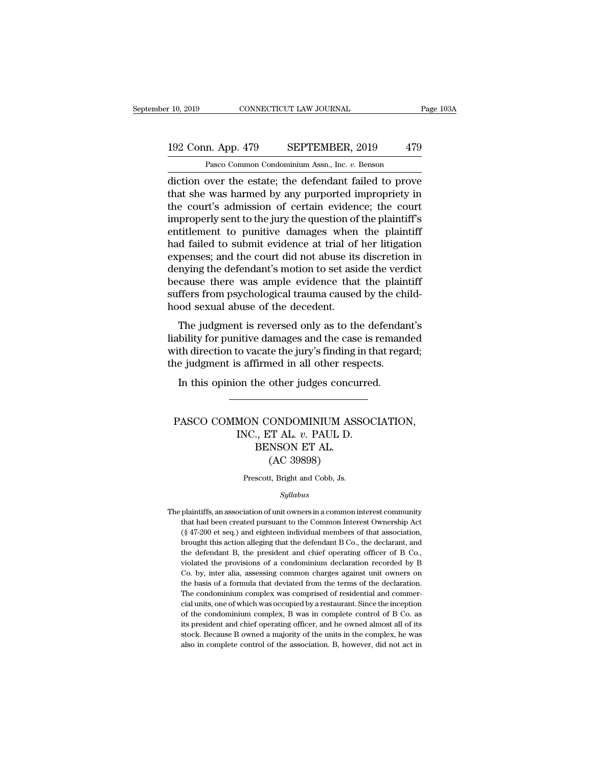#### 10, 2019 CONNECTICUT LAW JOURNAL Page 103A<br>192 Conn. App. 479 SEPTEMBER, 2019 479<br>Pasco Common Condominium Assn., Inc. v. Benson CONNECTICUT LAW JOURNAL<br>
1<br>
1<br>
2 Pasco Common Condominium Assn., Inc. *v.* Benson<br>
2 Pasco Common Condominium Assn., Inc. *v.* Benson<br>
2 Pasco Common Condominium Assn., Inc. *v.* Benson

r 10, 2019 CONNECTICUT LAW JOURNAL Page 103A<br>
192 Conn. App. 479 SEPTEMBER, 2019 479<br>
Pasco Common Condominium Assn., Inc. v. Benson<br>
diction over the estate; the defendant failed to prove<br>
that she was harmed by any purpo 192 Conn. App. 479 SEPTEMBER, 2019 479<br>
Pasco Common Condominium Assn., Inc. v. Benson<br>
diction over the estate; the defendant failed to prove<br>
that she was harmed by any purported impropriety in<br>
the court's admission of 192 Conn. App. 479 SEPTEMBER, 2019 479<br>
Pasco Common Condominium Assn., Inc.  $v$ . Benson<br>
diction over the estate; the defendant failed to prove<br>
that she was harmed by any purported impropriety in<br>
the court's admission 192 Conn. App. 479 SEPTEMBER, 2019 479<br>
Pasco Common Condominium Assn., Inc. v. Benson<br>
diction over the estate; the defendant failed to prove<br>
that she was harmed by any purported impropriety in<br>
the court's admission of Pasco Common Condominium Assn., Inc. v. Benson<br>diction over the estate; the defendant failed to prove<br>that she was harmed by any purported impropriety in<br>the court's admission of certain evidence; the court<br>improperly sent Pasco Common Condominium Assn., Inc.  $v$ . Benson<br>
diction over the estate; the defendant failed to prove<br>
that she was harmed by any purported impropriety in<br>
the court's admission of certain evidence; the court<br>
improper diction over the estate; the defendant failed to prove<br>that she was harmed by any purported impropriety in<br>the court's admission of certain evidence; the court<br>improperly sent to the jury the question of the plaintiff's<br>en that she was harmed by any purported impropriety in<br>the court's admission of certain evidence; the court<br>improperly sent to the jury the question of the plaintiff's<br>entitlement to punitive damages when the plaintiff<br>had fa the court's admission of certain evidence; the court<br>improperly sent to the jury the question of the plaintiff's<br>entitlement to punitive damages when the plaintiff<br>had failed to submit evidence at trial of her litigation<br>e improperly sent to the jury the question of the plaintiff's<br>entitlement to punitive damages when the plaintiff<br>had failed to submit evidence at trial of her litigation<br>expenses; and the court did not abuse its discretion i entitlement to punitive damages when<br>had failed to submit evidence at trial of<br>expenses; and the court did not abuse its<br>denying the defendant's motion to set asi<br>because there was ample evidence that<br>suffers from psycholo to failed to subtint evidence at that of her inigation<br>penses; and the court did not abuse its discretion in<br>nying the defendant's motion to set aside the verdict<br>cause there was ample evidence that the plaintiff<br>ffers fro Expenses, and the court dut not abuse its usercubit in<br>denying the defendant's motion to set aside the verdict<br>because there was ample evidence that the plaintiff<br>suffers from psychological trauma caused by the child-<br>hood

weriying the detendant's hiotion to set aside the vertice<br>because there was ample evidence that the plaintiff<br>suffers from psychological trauma caused by the child-<br>hood sexual abuse of the decedent.<br>The judgment is revers because there was ample evidence that the plain<br>suffers from psychological trauma caused by the ch<br>hood sexual abuse of the decedent.<br>The judgment is reversed only as to the defendar<br>liability for punitive damages and the In the judgment is reversed only as to the defenda<br>Dility for punitive damages and the case is remant<br>th direction to vacate the jury's finding in that regare<br>is affirmed in all other respects.<br>In this opinion the other ju

#### The parameter of the same state of the same state in that regard;<br>
ith direction to vacate the jury's finding in that regard;<br>
In this opinion the other judges concurred.<br>
PASCO COMMON CONDOMINIUM ASSOCIATION,<br>
INC., ET AL IS affirmed in all other respect<br>on the other judges concurred<br>mon condominium assoc<br>INC., ET AL. *v.* PAUL D.<br>BENSON ET AL. Note that the state state<br>
He other judges concu<br>
BENSON ET AL.<br>
BENSON ET AL.<br>
(AC 39898) other judges concu<br>
CONDOMINIUM AS:<br>
TT AL. v. PAUL D.<br>
NSON ET AL.<br>
(AC 39898)<br>
t, Bright and Cobb, Js. PASCO COMMON CONDOMINIUM ASSOCIATION,<br>INC., ET AL. v. PAUL D.<br>BENSON ET AL.<br>(AC 39898)<br>Prescott, Bright and Cobb, Js.

#### *Syllabus*

 $(AC 39898)$ <br>Prescott, Bright and Cobb, Js.<br> $Syllabus$ <br>The plaintiffs, an association of unit owners in a common interest community<br>that had been created pursuant to the Common Interest Ownership Act Frescott, Bright and Cobb, Js.<br>Syllabus<br>plaintiffs, an association of unit owners in a common interest community<br>that had been created pursuant to the Common Interest Ownership Act<br>(§ 47-200 et seq.) and eighteen individua Frescott, Bright and Cobb, Js.<br>
Syllabus<br>
plaintiffs, an association of unit owners in a common interest community<br>
that had been created pursuant to the Common Interest Ownership Act<br>
(§ 47-200 et seq.) and eighteen indiv  $Syllabus$ <br>plaintiffs, an association of unit owners in a common interest community<br>that had been created pursuant to the Common Interest Ownership Act<br>(§ 47-200 et seq.) and eighteen individual members of that association,<br>b sylatous<br>plaintiffs, an association of unit owners in a common interest community<br>that had been created pursuant to the Common Interest Ownership Act<br>(§ 47-200 et seq.) and eighteen individual members of that association,<br> plaintiffs, an association of unit owners in a common interest community<br>that had been created pursuant to the Common Interest Ownership Act<br>(§ 47-200 et seq.) and eighteen individual members of that association,<br>brought t that had been created pursuant to the Common Interest Ownership Act (§ 47-200 et seq.) and eighteen individual members of that association, brought this action alleging that the defendant B Co., the declarant, and the defe (§ 47-200 et seq.) and eighteen individual members of that association, brought this action alleging that the defendant B Co., the declarant, and the defendant B, the president and chief operating officer of B Co., violat (§ 47-200 et seq.) and eighteen individual members of that association, brought this action alleging that the defendant B Co., the declarant, and the defendant B, the president and chief operating officer of B Co., violat the defendant B, the president and chief operating officer of B Co., violated the provisions of a condominium declaration recorded by B Co. by, inter alia, assessing common charges against unit owners on the basis of a for violated the provisions of a condominium declaration recorded by B Co. by, inter alia, assessing common charges against unit owners on the basis of a formula that deviated from the terms of the declaration. The condominium Co. by, inter alia, assessing common charges against unit owners on<br>the basis of a formula that deviated from the terms of the declaration.<br>The condominium complex was comprised of residential and commer-<br>cial units, one o the basis of a formula that deviated from the terms of the declaration.<br>The condominium complex was comprised of residential and commer-<br>cial units, one of which was occupied by a restaurant. Since the inception<br>of the con The condominium complex was comprised of residential and commer-<br>cial units, one of which was occupied by a restaurant. Since the inception<br>of the condominium complex, B was in complete control of B Co. as<br>its president an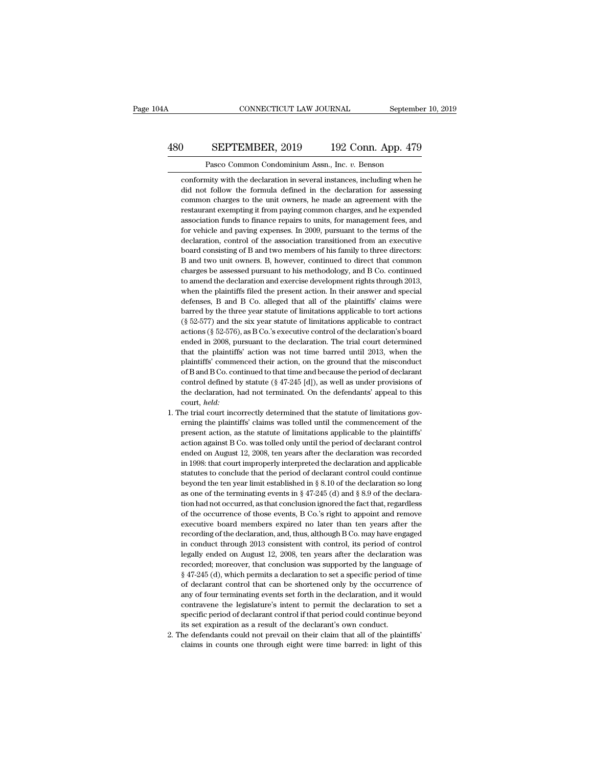#### CONNECTICUT LAW JOURNAL September 10, 2019<br>480 SEPTEMBER, 2019 192 Conn. App. 479<br>Pasco Common Condominium Assn., Inc. v. Benson CONNECTICUT LAW JOURNAL Septembe<br>
SEPTEMBER, 2019 192 Conn. App. 479<br>
Pasco Common Condominium Assn., Inc. *v.* Benson<br>
mity with the declaration in several instances, including when he

COLORET WERE, 2019 192 Conn. App. 479<br>
Pasco Common Condominium Assn., Inc. v. Benson<br>
conformity with the declaration in several instances, including when he<br>
did not follow the formula defined in the declaration for asse **SEPTEMBER, 2019** 192 Conn. App. 479<br>Pasco Common Condominium Assn., Inc. v. Benson<br>conformity with the declaration in several instances, including when he<br>did not follow the formula defined in the declaration for assessin Common Condominium Assn., Inc. *v.* Benson<br>
conformity with the declaration in several instances, including when he<br>
did not follow the formula defined in the declaration for assessing<br>
common charges to the unit owners, h Pasco Common Condominium Assn., Inc. v. Benson<br>conformity with the declaration in several instances, including when he<br>did not follow the formula defined in the declaration for assessing<br>common charges to the unit owners, Pasco Common Condominium Assn., Inc. v. Benson<br>conformity with the declaration in several instances, including when he<br>did not follow the formula defined in the declaration for assessing<br>common charges to the unit owners, conformity with the declaration in several instances, including when he<br>did not follow the formula defined in the declaration for assessing<br>common charges to the unit owners, he made an agreement with the<br>restaurant exempt did not follow the formula defined in the declaration for assessing common charges to the unit owners, he made an agreement with the restaurant exempting it from paying common charges, and he expended association funds to common charges to the unit owners, he made an agreement with the restaurant exempting it from paying common charges, and he expended association funds to finance repairs to units, for management fees, and for vehicle and p restaurant exempting it from paying common charges, and he expended association funds to finance repairs to units, for management fees, and for vehicle and paying expenses. In 2009, pursuant to the terms of the declaration essociation funds to finance repairs to units, for management fees, and for vehicle and paving expenses. In 2009, pursuant to the terms of the declaration, control of the association transitioned from an executive board co for vehicle and paving expenses. In 2009, pursuant to the terms of the declaration, control of the association transitioned from an executive board consisting of B and two members of his family to three directors: B and tw declaration, control of the association transitioned from an executive board consisting of B and two members of his family to three directors: B and two unit owners. B, however, continued to direct that common charges be a board consisting of B and two members of his family to three directors:<br>B and two unit owners. B, however, continued to direct that common<br>charges be assessed pursuant to his methodology, and B Co. continued<br>to amend the d B and two unit owners. B, however, continued to direct that common charges be assessed pursuant to his methodology, and B Co. continued to amend the declaration and exercise development rights through 2013, when the plaint Example and the declaration is methodology, and B Co. continued to amend the declaration and exercise development rights through 2013, when the plaintiffs filed the present action. In their answer and special defenses, B a actually to amend the declaration and exercise development rights through 2013, when the plaintiffs filed the present action. In their answer and special defenses, B and B Co. alleged that all of the plaintiffs' claims wer when the plaintiffs filed the present action. In their answer and special defenses, B and B Co. alleged that all of the plaintiffs' claims were barred by the three year statute of limitations applicable to tort actions (§ the defenses, B and B Co. alleged that all of the plaintiffs' claims were barred by the three year statute of limitations applicable to tort actions  $(\S 52-577)$  and the six year statute of limitations applicable to contr barred by the three year statute of limitations applicable to tort actions (§ 52-577) and the six year statute of limitations applicable to contract actions (§ 52-576), as B Co.'s executive control of the declaration's bo  $($ § 52-577) and the six year statute of limitations applicable to contract actions (§ 52-576), as B Co.'s executive control of the declaration's board ended in 2008, pursuant to the declaration. The trial court determine control defined by stature of the declaration's board ended in 2008, pursuant to the declaration. The trial court determined that the plaintiffs' action was not time barred until 2013, when the plaintiffs' commenced their ended in 2008, pursuant to the declaration. The trial court determined that the plaintiffs' action was not time barred until 2013, when the plaintiffs' commenced their action, on the ground that the misconduct of B and B court, *held:* plaintiffs' commenced their action, on the ground that the misconduct of B and B Co. continued to that time and because the period of declarant control defined by statute  $(\S 47-245 \text{ [d]})$ , as well as under provisions of for B and B Co. continued to that time and because the period of declarant control defined by statute (§ 47-245 [d]), as well as under provisions of the declaration, had not terminated. On the defendants' appeal to this c

- % of B and B Co. continued to that time and because the period of declarant control defined by statute ( $\S$  47-245 [d]), as well as under provisions of the declaration, had not terminated. On the defendants' appeal to thi the declaration, had not terminated. On the defendants' appeal to this court, *held*:<br>the trial court incorrectly determined that the statute of limitations governing the plaintiffs' claims was tolled until the commenceme court, *held*:<br>court, *held*:<br>he trial court incorrectly determined that the statute of limitations gov-<br>erning the plaintiffs' claims was tolled until the commencement of the<br>present action, as the statute of limitations he trial court incorrectly determined that the statute of limitations governing the plaintiffs' claims was tolled until the commencement of the present action, as the statute of limitations applicable to the plaintiffs' ac erning the plaintiffs' claims was tolled until the commencement of the present action, as the statute of limitations applicable to the plaintiffs' action against B Co. was tolled only until the period of declarant control beyond the statute of limitations applicable to the plaintiffs'<br>present action, as the statute of limitations applicable to the plaintiffs'<br>action against B Co. was tolled only until the period of declarant control<br>ended in 1998: that court improperly interpreted the declaration and applicable statutes to conclude that the period of declarant control could continue beyond the ten year limit established in § 8.10 of the declaration so long ended on August 12, 2008, ten years after the declaration was recorded<br>in 1998: that court improperly interpreted the declaration and applicable<br>statutes to conclude that the period of declarant control could continue<br>bey in 1998: that court improperly interpreted the declaration and applicable statutes to conclude that the period of declarant control could continue beyond the ten year limit established in  $\S 8.10$  of the declaration so lo executive board members expired no later than ten years after than ten year later than ten year limit established in § 8.10 of the declaration so long as one of the terminating events in § 47-245 (d) and § 8.9 of the decl beyond the ten year limit established in § 8.10 of the declaration so long<br>as one of the terminating events in § 47-245 (d) and § 8.9 of the declara-<br>tion had not occurred, as that conclusion ignored the fact that, regard as one of the terminating events in § 47-245 (d) and § 8.9 of the declara-<br>tion had not occurred, as that conclusion ignored the fact that, regardless<br>of the occurrence of those events, B Co.'s right to appoint and remove Legally ended on August 12, 2008, ten years after the declaration was recorded the fact that, regardless of the occurrence of those events, B Co.'s right to appoint and remove executive board members expired no later than of the occurrence of those events, B Co.'s right to appoint and remove<br>executive board members expired no later than ten years after the<br>recording of the declaration, and, thus, although B Co. may have engaged<br>in conduct executive board members expired no later than ten years after the recording of the declaration, and, thus, although B Co. may have engaged in conduct through 2013 consistent with control, its period of control legally ende recording of the declaration, and, thus, although B Co. may have engaged<br>in conduct through 2013 consistent with control, its period of control<br>legally ended on August 12, 2008, ten years after the declaration was<br>recorded in conduct through 2013 consistent with control, its period of control<br>legally ended on August 12, 2008, ten years after the declaration was<br>recorded; moreover, that conclusion was supported by the language of<br> $\S 47-245$  contravene the legislature's intent to permit the declaration to set a specific period is mereover, that conclusion was supported by the language of  $\S$  47-245 (d), which permits a declaration to set a specific period of time of declarant control that can be shortened only by the occurrence  $\frac{1}{2}$  set expiration between the declarant control that can be shortened only by the occurrent any of four terminating events set forth in the declaration, and it w contravene the legislature's intent to permit the de 2. The defendants could not be shortened only by the occurrence of any of four terminating events set forth in the declaration, and it would contravene the legislature's intent to permit the declaration to set a specific calculate contact and calculate can be indeeded only by the declaration and it would contravene the legislature's intent to permit the declaration to set a specific period of declarant control if that period could continue
-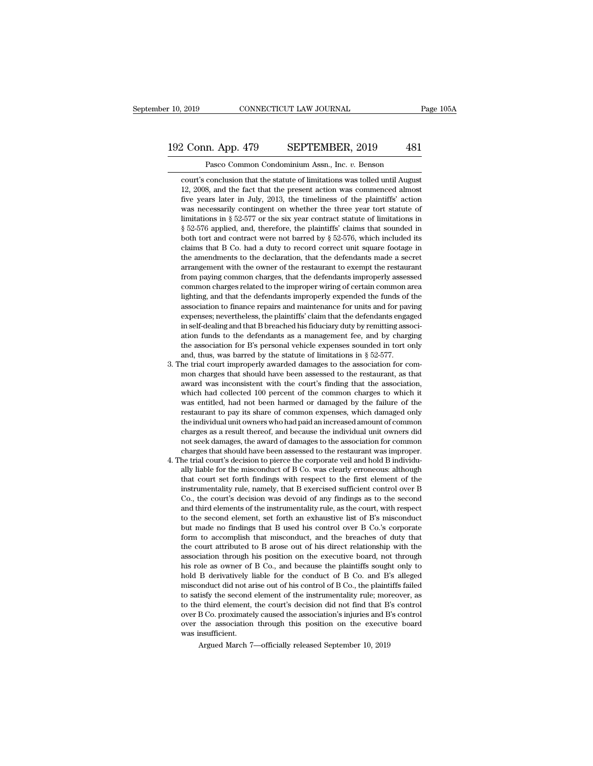#### 10, 2019 CONNECTICUT LAW JOURNAL Page 105A<br>192 Conn. App. 479 SEPTEMBER, 2019 481<br>Pasco Common Condominium Assn., Inc. v. Benson CONNECTICUT LAW JOURNAL<br>
1<br> **Pasco Common Condominium Assn., Inc.** *v.* **Benson<br>
conclusion that the statute of limitations was tolled until August**

comments of the SEPTEMBER, 2019<br>
Pasco Common Condominium Assn., Inc. v. Benson<br>
court's conclusion that the statute of limitations was tolled until August<br>
12, 2008, and the fact that the present action was commenced almo 2 Conn. App. 479 SEPTEMBER, 2019 481<br>Pasco Common Condominium Assn., Inc. v. Benson<br>court's conclusion that the statute of limitations was tolled until August<br>12, 2008, and the fact that the present action was commenced al Fig. 2019 22 Conn. App. 479 5 SEPTEMBER, 2019 481<br>
Pasco Common Condominium Assn., Inc. v. Benson<br>
court's conclusion that the statute of limitations was tolled until August<br>
12, 2008, and the fact that the present action Pasco Common Condominium Assn., Inc. *v.* Benson<br>court's conclusion that the statute of limitations was tolled until August<br>12, 2008, and the fact that the present action was commenced almost<br>five years later in July, 2013 Pasco Common Condominium Assn., Inc.  $v$ . Benson<br>court's conclusion that the statute of limitations was tolled until August<br>12, 2008, and the fact that the present action was commenced almost<br>five years later in July, 201 court's conclusion that the statute of limitations was tolled until August 12, 2008, and the fact that the present action was commenced almost five years later in July, 2013, the timeliness of the plaintiffs' action was n court's conclusion that the statute of initiations was toned that Hagust 12, 2008, and the fact that the present action was commenced almost five years later in July, 2013, the timeliness of the plaintiffs' action was nec 12, 2006, and the lact that the present action was continented almost<br>five years later in July, 2013, the timeliness of the plaintiffs' action<br>was necessarily contingent on whether the three year tort statute of<br>limitatio the years tater in Juty, 2013, the timeliness of the plaintins action<br>was necessarily contingent on whether the three year tort statute of<br>limitations in § 52-576 applied, and, therefore, the plaintiffs' claims that sounde was necessarily contingent on whether the three year tort statue of limitations in § 52-576 applied, and, therefore, the plaintiffs' claims that sounded in § 52-576 applied, and, therefore, the plaintiffs' claims that sou miniations in  $\frac{1}{8}$   $\frac{32-577}{20}$  or the six year contract statute of initiations in  $\frac{5}{2}$   $\frac{52-576}{20}$  applied, and, therefore, the plaintiffs' claims that sounded in both tort and contract were not barred b  $\frac{1}{2}$   $\frac{1}{2}$   $\frac{1}{2}$   $\frac{1}{2}$  and contract were not barred by  $\frac{8}{2}$   $\frac{52}{-576}$ , which included its claims that B Co. had a duty to record correct unit square footage in the amendments to the declaration, both tort and contract were not barred by  $\frac{1}{3}$   $\frac{2-5}{10}$ , which included its claims that B Co. had a duty to record correct unit square footage in the amendments to the declaration, that the defendants made a secr claims that B Co. had a duty to record correct until square lootage in<br>the amendments to the declaration, that the defendants made a secret<br>arrangement with the owner of the restaurant to exempt the restaurant<br>from paying the antendments to the declaration, that the defendants inade a secret<br>arrangement with the owner of the restaurant to exempt the restaurant<br>from paying common charges, that the defendants improperly assessed<br>common charge arrangement with the owner of the restaurant to exempt the restaurant from paying common charges, that the defendants improperly assessed common charges related to the improper wiring of certain common area lighting, and t From paying common charges, that the defendants improperty assessed<br>common charges related to the improper wiring of certain common area<br>lighting, and that the defendants improperly expended the funds of the<br>association to common charges related to the improper wiring of certain common area lighting, and that the defendants improperly expended the funds of the association to finance repairs and maintenance for units and for paving expenses; the association for B's personal vehicle expenses sounded in tort only<br>and, thus, was barred by the statute of limitations in  $\S$  52-577.<br>3. The trial court improperly awarded damages to the association for com-<br>mon charg association to mance repairs and maintenance for units and for paving<br>expenses; nevertheless, the plaintiffs' claim that the defendants engaged<br>in self-dealing and that B breached his fiduciary duty by remitting associ-<br>a expenses; nevertheless, the planturis claim that the derendants engaged<br>in self-dealing and that B breached his fiduciary duty by remitting associ-<br>ation funds to the defendants as a management fee, and by charging<br>the as

- in self-dealing and that B breached his induciary duty by remitting association funds to the defendants as a management fee, and by charging the association for B's personal vehicle expenses sounded in tort only and, thus ation runds to the derendants as a management ree, and by charging<br>the association for B's personal vehicle expenses sounded in tort only<br>and, thus, was barred by the statute of limitations in  $\S$  52-577.<br>he trial court i the association for BS personal vehicle expenses sounded in tort only<br>and, thus, was barred by the statute of limitations in  $\S$  52-577.<br>he trial court improperly awarded damages to the association for com-<br>mon charges th and, thus, was barred by the statute of limitations in  $\S$   $52-577$ .<br>he trial court improperly awarded damages to the association for com-<br>mon charges that should have been assessed to the restaurant, as that<br>award was in the trial court improperty awarded damages to the association for common charges that should have been assessed to the restaurant, as that award was inconsistent with the court's finding that the association, which had col mon charges that should have been assessed to the restaurant, as that award was inconsistent with the court's finding that the association, which had collected 100 percent of the common charges to which it was entitled, ha award was inconsistent with the court's intuing that the association, which had collected 100 percent of the common charges to which it was entitled, had not been harmed or damaged by the failure of the restaurant to pay i which had collected 100 percent of the common charges to which it<br>was entitled, had not been harmed or damaged by the failure of the<br>restaurant to pay its share of common expenses, which damaged only<br>the individual unit ow was entitied, nad not been narmed or damaged by the tailure of the<br>restaurant to pay its share of common expenses, which damaged only<br>the individual unit owners who had paid an increased amount of common<br>charges as a resul restaurant to pay its share of common expenses, which damaged only<br>the individual unit owners who had paid an increased amount of common<br>charges as a result thereof, and because the individual unit owners did<br>not seek dama
- the maturatual unit owners who had paid an increased amount of common<br>charges as a result thereof, and because the individual unit owners did<br>not seek damages, the award of damages to the association for common<br>charges tha charges as a result thereof, and because the individual unit owners did<br>not seek damages, the award of damages to the association for common<br>charges that should have been assessed to the restaurant was improper.<br>he trial c not seek damages, the award of damages to the association for common<br>charges that should have been assessed to the restaurant was improper.<br>he trial court's decision to pierce the corporate veil and hold B individu-<br>ally l charges that should have been assessed to the restaurant was improper.<br>he trial court's decision to pierce the corporate veil and hold B individually liable for the misconduct of B Co. was clearly erroneous: although<br>that the transformal court states and the comporate vell and note is may<br>hally liable for the misconduct of B Co. was clearly erroneous: although<br>that court set forth findings with respect to the first element of the<br>instrument any habie for the histoniated of B Co. was clearly erroneous: antiough<br>that court set forth findings with respect to the first element of the<br>instrumentality rule, namely, that B exercised sufficient control over B<br>Co., th that court set forth miams with respect to the first element of the instrumentality rule, namely, that B exercised sufficient control over B Co., the court's decision was devoid of any findings as to the second and third e Instrumentality rule, hallely, that B exercised sufficient control over B<br>Co., the court's decision was devoid of any findings as to the second<br>and third elements of the instrumentality rule, as the court, with respect<br>to Co., the court s decision was devoid of any imaings as to the second<br>and third elements of the instrumentality rule, as the court, with respect<br>to the second element, set forth an exhaustive list of B's misconduct<br>but made and three elements of the instrumentatity rule, as the court, with respect<br>to the second element, set forth an exhaustive list of B's misconduct<br>but made no findings that B used his control over B Co.'s corporate<br>form to a to the second element, set forth an exhaustive list of B s misconduct<br>but made no findings that B used his control over B Co.'s corporate<br>form to accomplish that misconduct, and the breaches of duty that<br>the court attribut but made no manngs that B used his control over B Co. s corporate<br>form to accomplish that misconduct, and the breaches of duty that<br>the court attributed to B arose out of his direct relationship with the<br>association throug form to accomplish that misconduct, and the breaches of duty that<br>the court attributed to B arose out of his direct relationship with the<br>association through his position on the executive board, not through<br>his role as own the court attributed to B arose out or his direct relationship with the association through his position on the executive board, not through his role as owner of B Co., and because the plaintiffs sought only to hold B deri association through his position on the executive board, not through his role as owner of B Co., and because the plaintiffs sought only to hold B derivatively liable for the conduct of B Co. and B's alleged misconduct did nt is role as owner of B Co., and because the plaintins sought only to hold B derivatively liable for the conduct of B Co. and B's alleged misconduct did not arise out of his control of B Co., the plaintiffs failed to sati noid B derivatively I<br>misconduct did not an<br>to satisfy the second<br>to the third element,<br>over B Co. proximatel<br>over the association<br>was insufficient.<br>Argued March 7  $\mu$ ardical and mot all be on the instrumentality rule; more eithing the second element of the instrumentality rule; more eithin element, the court's decision did not find that B' B' Co. proximately caused the association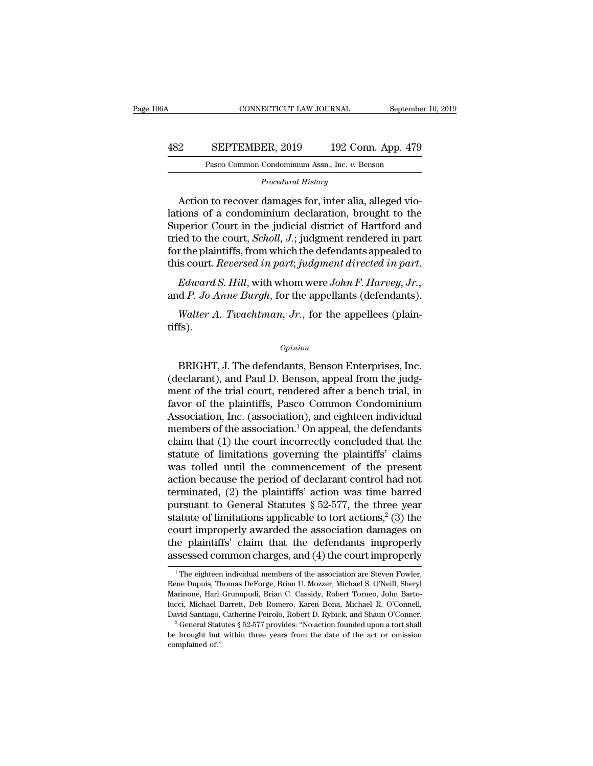#### CONNECTICUT LAW JOURNAL September 10, 2019<br>482 SEPTEMBER, 2019 192 Conn. App. 479<br>Pasco Common Condominium Assn., Inc. v. Benson EXEPTEMBER, 2019 192 Conn. App. 479<br>Pasco Common Condominium Assn., Inc. *v.* Benson<br>Procedural History **PROFICALAGER, 2019** 192 Conn. App. 479<br>
Pasco Common Condominium Assn., Inc. *v.* Benson<br> *Procedural History*<br>
Action to recover damages for, inter alia, alleged vio-

SEPTEMBER, 2019 192 Conn. App. 479<br>
Pasco Common Condominium Assn., Inc. v. Benson<br>
Procedural History<br>
Action to recover damages for, inter alia, alleged vio-<br>
ions of a condominium declaration, brought to the SEPTEMBER, 2019 192 Conn. App. 479<br>
Pasco Common Condominium Assn., Inc. v. Benson<br>
Procedural History<br>
Action to recover damages for, inter alia, alleged violations of a condominium declaration, brought to the<br>
Superior C  $\begin{array}{r} \text{482} & \text{SEPTEMBER, } 2019 & \text{192 Conn. App. 479} \\ \hline \text{Pasco Common Condominium Assn., Inc. } v. \text{ Benson} \end{array}$ <br>  $\begin{array}{r} \text{Proceedural History} \\ \text{Action to recover damages for, inter alia, alleged violations of a condominium declaration, brought to the Superior Court in the judicial district of Hartford and tried to the court, *Scholl, J.*; judgment rendered in part for the plaintexts from which the deformators employed to$ Pasco Common Condominium Assn., Inc. *v.* Benson<br> *Procedural History*<br>
Action to recover damages for, inter alia, alleged vio-<br>
lations of a condominium declaration, brought to the<br>
Superior Court in the judicial district Frocedural History<br>Action to recover damages for, inter alia, alleged vio-<br>lations of a condominium declaration, brought to the<br>Superior Court in the judicial district of Hartford and<br>tried to the court, *Scholl*, *J*.; ju Action to recover damages for, inter alia, alleged violations of a condominium declaration, brought to the Superior Court in the judicial district of Hartford and tried to the court, *Scholl*, *J*.; judgment rendered in pa and *P. Jo Anne Burgh*, for the appellants (defendants).<br> *P. Jongsetto Court in the judicial district of Hartford and*<br> *P. Jo Anne Burgh*, for the appellants appealed to<br> *P. Jo Anne Burgh*, for the appellants (defendant *ed to the court, Scholl, J.*; judgment rendered in part r the plaintiffs, from which the defendants appealed to is court. *Reversed in part*; *judgment directed in part. Edward S. Hill, with whom were John F. Harvey, Jr* 

tiffs).

*Opinion*

 $B$  and  $B$ . Jo Anne Burgh, for the appellants (defendants).<br>  $Walter$  A. Twachtman, Jr., for the appellees (plain-<br>
fs).<br>  $\frac{opinion}{\text{BRIGHT, J. The defendants, Benson Enterprise, Inc.}$ <br>  $\frac{1}{2}$  eclarant), and Paul D. Benson, appeal from the judg-<br>  $\frac{1}{2}$  o Walter A. Twachtman, Jr., for the appellees (plain-<br>
Units).<br>
Opinion<br>
BRIGHT, J. The defendants, Benson Enterprises, Inc.<br>
(declarant), and Paul D. Benson, appeal from the judg-<br>
ment of the trial court, rendered after a Walter A. Twachtman, Jr., for the appellees (plain-<br>tiffs).<br> $opinion$ <br> $BrlGHT$ , J. The defendants, Benson Enterprises, Inc.<br>(declarant), and Paul D. Benson, appeal from the judg-<br>ment of the trial court, rendered after a bench t opinion<br>
opinion<br>
BRIGHT, J. The defendants, Benson Enterprises, Inc.<br>
(declarant), and Paul D. Benson, appeal from the judg-<br>
ment of the trial court, rendered after a bench trial, in<br>
favor of the plaintiffs, Pasco Commo <sup>Opinion</sup><br>
BRIGHT, J. The defendants, Benson Enterprises, Inc.<br>
(declarant), and Paul D. Benson, appeal from the judg-<br>
ment of the trial court, rendered after a bench trial, in<br>
favor of the plaintiffs, Pasco Common Cond BRIGHT, J. The defendants, Benson Enterprises, Inc.<br>(declarant), and Paul D. Benson, appeal from the judg-<br>ment of the trial court, rendered after a bench trial, in<br>favor of the plaintiffs, Pasco Common Condominium<br>Associ BRIGHT, J. The defendants, Benson Enterprises, Inc.<br>(declarant), and Paul D. Benson, appeal from the judg-<br>ment of the trial court, rendered after a bench trial, in<br>favor of the plaintiffs, Pasco Common Condominium<br>Associa (declarant), and Paul D. Benson, appeal from the judgment of the trial court, rendered after a bench trial, in favor of the plaintiffs, Pasco Common Condominium Association, Inc. (association), and eighteen individual memb ment of the trial court, rendered after a bench trial, in<br>favor of the plaintiffs, Pasco Common Condominium<br>Association, Inc. (association), and eighteen individual<br>members of the association.<sup>1</sup> On appeal, the defendants favor of the plaintiffs, Pasco Common Condominium<br>Association, Inc. (association), and eighteen individual<br>members of the association.<sup>1</sup> On appeal, the defendants<br>claim that (1) the court incorrectly concluded that the<br>s Association, Inc. (association), and eighteen individual<br>members of the association.<sup>1</sup> On appeal, the defendants<br>claim that (1) the court incorrectly concluded that the<br>statute of limitations governing the plaintiffs' cl members of the association.<sup>1</sup> On appeal, the defendants<br>claim that (1) the court incorrectly concluded that the<br>statute of limitations governing the plaintiffs' claims<br>was tolled until the commencement of the present<br>act claim that (1) the court incorrectly concluded that the<br>statute of limitations governing the plaintiffs' claims<br>was tolled until the commencement of the present<br>action because the period of declarant control had not<br>termi statute of limitations governing the plaintiffs' claims<br>was tolled until the commencement of the present<br>action because the period of declarant control had not<br>terminated, (2) the plaintiffs' action was time barred<br>pursua was tolled until the commencement of the present<br>action because the period of declarant control had not<br>terminated, (2) the plaintiffs' action was time barred<br>pursuant to General Statutes § 52-577, the three year<br>statute action because the period of declarant control had not<br>terminated, (2) the plaintiffs' action was time barred<br>pursuant to General Statutes § 52-577, the three year<br>statute of limitations applicable to tort actions,<sup>2</sup> (3) atute of limitations applicable to tort actions,<sup>2</sup> (3) the<br>ourt improperly awarded the association damages on<br>ne plaintiffs' claim that the defendants improperly<br>ssessed common charges, and (4) the court improperly<br><sup>1</sup>The court improperly awarded the association damages on<br>the plaintiffs' claim that the defendants improperly<br>assessed common charges, and (4) the court improperly<br><sup>1</sup>The eighteen individual members of the association are Steve

the plaintiffs' claim that the defendants improperly assessed common charges, and (4) the court improperly  $\frac{1}{1}$  The eighteen individual members of the association are Steven Fowler, Rene Dupuis, Thomas DeForge, Brian assessed common charges, and (4) the court improperly<br>
<sup>1</sup> The eighteen individual members of the association are Steven Fowler,<br>
Rene Dupuis, Thomas DeForge, Brian U. Mozzer, Michael S. O'Neill, Sheryl<br>
Marinone, Hari Gr Assessed Common Charges, and (4) the Court Improperty<br>
<sup>1</sup> The eighteen individual members of the association are Steven Fowler,<br>
Rene Dupuis, Thomas DeForge, Brian U. Mozzer, Michael S. O'Neill, Sheryl<br>
Marinone, Hari Gru Free Dupuis, Thomas DeForge, Brian U. Mozzer, Michael S. O'Neill, Sheyl<br>Marinone, Hari Grunupudi, Brian C. Cassidy, Robert Torneo, John Barto-<br>lucci, Michael Barrett, Deb Romero, Karen Bona, Michael R. O'Connell,<br>David San Marinone, Hari Grunupudi, Brian C. Cassidy, Robert Torneo, John Barto-lucci, Michael Barrett, Deb Romero, Karen Bona, Michael R. O'Connell, David Santiago, Catherine Peirolo, Robert D. Rybick, and Shaun O'Conner.<br>
<sup>2</sup> Gen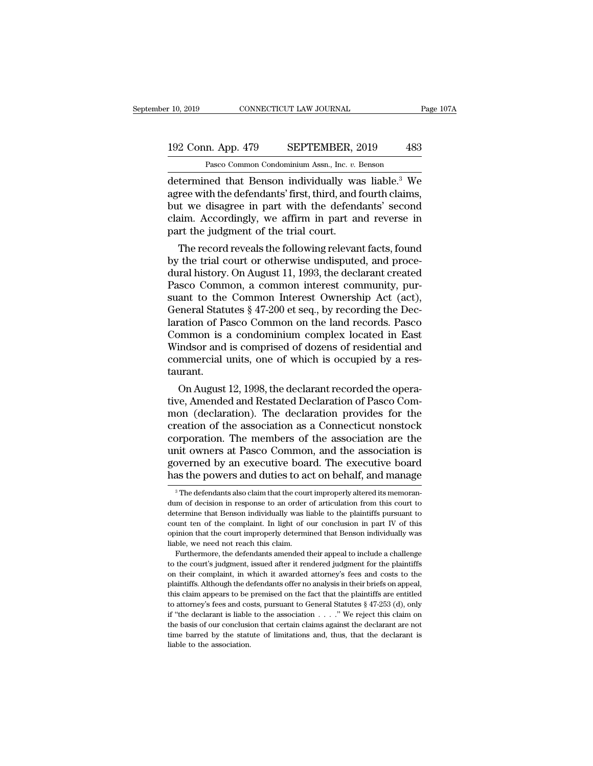#### 10, 2019 CONNECTICUT LAW JOURNAL Page 107A<br>192 Conn. App. 479 SEPTEMBER, 2019 483<br>Pasco Common Condominium Assn., Inc. v. Benson Pasco Common Condominium Assn., Inc. *v.* Benson

r 10, 2019 CONNECTICUT LAW JOURNAL Page 107A<br>
192 Conn. App. 479 SEPTEMBER, 2019 483<br>
Pasco Common Condominium Assn., Inc. *v.* Benson<br>
determined that Benson individually was liable.<sup>3</sup> We<br>
agree with the defendants' firs 192 Conn. App. 479 SEPTEMBER, 2019 483<br>
Pasco Common Condominium Assn., Inc. v. Benson<br>
determined that Benson individually was liable.<sup>3</sup> We<br>
agree with the defendants' first, third, and fourth claims,<br>
but we disagree in 192 Conn. App. 479 SEPTEMBER, 2019 483<br>
Pasco Common Condominium Assn., Inc. v. Benson<br>
determined that Benson individually was liable.<sup>3</sup> We<br>
agree with the defendants' first, third, and fourth claims,<br>
but we disagree in 192 Conn. App. 479 SEPTEMBER, 2019 483<br>
Pasco Common Condominium Assn., Inc. v. Benson<br>
determined that Benson individually was liable.<sup>3</sup> We<br>
agree with the defendants' first, third, and fourth claims,<br>
but we disagree in Pasco Common Condominium Assn., Inc. v. 1<br>determined that Benson individually was<br>agree with the defendants' first, third, and if<br>but we disagree in part with the defend<br>claim. Accordingly, we affirm in part are<br>part the j termined that Benson individually was liable.<sup>3</sup> We<br>ree with the defendants' first, third, and fourth claims,<br>it we disagree in part with the defendants' second<br>aim. Accordingly, we affirm in part and reverse in<br>rt the jud determined that Benson individually was hable." We<br>agree with the defendants' first, third, and fourth claims,<br>but we disagree in part with the defendants' second<br>claim. Accordingly, we affirm in part and reverse in<br>part t

agree with the defendants first, third, and fourth claims,<br>but we disagree in part with the defendants' second<br>claim. Accordingly, we affirm in part and reverse in<br>part the judgment of the trial court.<br>The record reveals t but we disagree in part with the defendants' second<br>claim. Accordingly, we affirm in part and reverse in<br>part the judgment of the trial court.<br>The record reveals the following relevant facts, found<br>by the trial court or ot ciam. Accordingly, we amirm in part and reverse in<br>part the judgment of the trial court.<br>The record reveals the following relevant facts, found<br>by the trial court or otherwise undisputed, and proce-<br>dural history. On Augus part the judgment of the trial court.<br>The record reveals the following relevant facts, found<br>by the trial court or otherwise undisputed, and proce-<br>dural history. On August 11, 1993, the declarant created<br>Pasco Common, a c The record reveals the following relevant facts, found<br>by the trial court or otherwise undisputed, and proce-<br>dural history. On August 11, 1993, the declarant created<br>Pasco Common, a common interest community, pur-<br>suant t by the trial court or otherwise undisputed, and proce-<br>dural history. On August 11, 1993, the declarant created<br>Pasco Common, a common interest community, pur-<br>suant to the Common Interest Ownership Act (act),<br>General Stat dural history. On August 11, 1993, the declarant created<br>Pasco Common, a common interest community, pur-<br>suant to the Common Interest Ownership Act (act),<br>General Statutes § 47-200 et seq., by recording the Dec-<br>laration o Pasco Common, a common interest community, pursuant to the Common Interest Ownership Act (act), General Statutes § 47-200 et seq., by recording the Declaration of Pasco Common on the land records. Pasco Common is a condomi taurant. Prefrain Statutes § 47-200 et seq., by recording the Dec-<br>
ration of Pasco Common on the land records. Pasco<br>
promon is a condominium complex located in East<br>
indsor and is comprised of dozens of residential and<br>
mmercial relation of Pasco Common on the land records. Pasco<br>Common is a condominium complex located in East<br>Windsor and is comprised of dozens of residential and<br>commercial units, one of which is occupied by a res-<br>taurant.<br>On Aug

Common is a condominium complex located in East<br>Windsor and is comprised of dozens of residential and<br>commercial units, one of which is occupied by a res-<br>taurant.<br>On August 12, 1998, the declarant recorded the opera-<br>tive windsor and is comprised of dozens of residential and<br>commercial units, one of which is occupied by a res-<br>taurant.<br>On August 12, 1998, the declarant recorded the opera-<br>tive, Amended and Restated Declaration of Pasco Comcommercial units, one of which is occupied by a restaurant.<br>
On August 12, 1998, the declarant recorded the operative, Amended and Restated Declaration of Pasco Common (declaration). The declaration provides for the creati taurant.<br>
On August 12, 1998, the declarant recorded the operative, Amended and Restated Declaration of Pasco Common<br>
(declaration). The declaration provides for the<br>
creation of the association as a Connecticut nonstock<br> On August 12, 1998, the declarant recorded the operative, Amended and Restated Declaration of Pasco Common (declaration). The declaration provides for the creation of the association as a Connecticut nonstock corporation. tive, Amended and Restated Declaration of Pasco Com-<br>mon (declaration). The declaration provides for the<br>creation of the association as a Connecticut nonstock<br>corporation. The members of the association are the<br>unit owners beyonded are the members of the association are the mit owners at Pasco Common, and the association is by a sexecutive board. The executive board as the powers and duties to act on behalf, and manage  $\frac{3}{10}$  The defenda unit owners at Pasco Common, and the association is<br>governed by an executive board. The executive board<br>has the powers and duties to act on behalf, and manage<br><sup>3</sup>The defendants also claim that the court improperly altered

governed by an executive board. The executive board<br>has the powers and duties to act on behalf, and manage<br> $\frac{3}{10}$  The defendants also claim that the court improperly altered its memoran-<br>dum of decision in response to has the powers and duties to act on behalf, and manage  $\frac{1}{3}$  The defendants also claim that the court improperly altered its memorandum of decision in response to an order of articulation from this court to determine The defendants also claim that the court improperly altered its memorandum of decision in response to an order of articulation from this court to determine that Benson individually was liable to the plaintiffs pursuant to Furthermore, the defendants amended their appeal to include a challenge the court is determine that Benson individually was liable to the plaintiffs pursuant to unt ten of the complaint. In light of our conclusion in part determine that Benson individually was liable to the plaintiffs pursuant to count ten of the complaint. In light of our conclusion in part IV of this opinion that the court improperly determined that Benson individually wa

Furthermore, the defendants amended their appeal to include a challenge count ten of the complaint. In light of our conclusion in part IV of this opinion that the court improperly determined that Benson individually was liable, we need not reach this claim.<br>Furthermore, the defendants amended popinion that the court improperly determined that Benson individually was liable, we need not reach this claim.<br>Furthermore, the defendants amended their appeal to include a challenge to the court's judgment, issued after Finally, we need not reach this claim.<br>
Furthermore, the defendants amended their appeal to include a challenge<br>
to the court's judgment, issued after it rendered judgment for the plaintiffs<br>
on their complaint, in which Furthermore, the defendants amended their appeal to include a challenge<br>for the court's judgment, issued after it rendered judgment for the plaintiffs<br>on their complaint, in which it awarded attorney's fees and costs to t <sup>1</sup> to the court's judgment, issued after it rendered judgment for the plaintiffs on their complaint, in which it awarded attorney's fees and costs to the plaintiffs. Although the defendants offer no analysis in their brie on their complaint, in which it awarded attorney's fees and costs to the plaintiffs. Although the defendants offer no analysis in their briefs on appeal, this claim appears to be premised on the fact that the plaintiffs a plaintiffs. Although the defendants offer no analysis in their briefs on appeal, this claim appears to be premised on the fact that the plaintiffs are entitled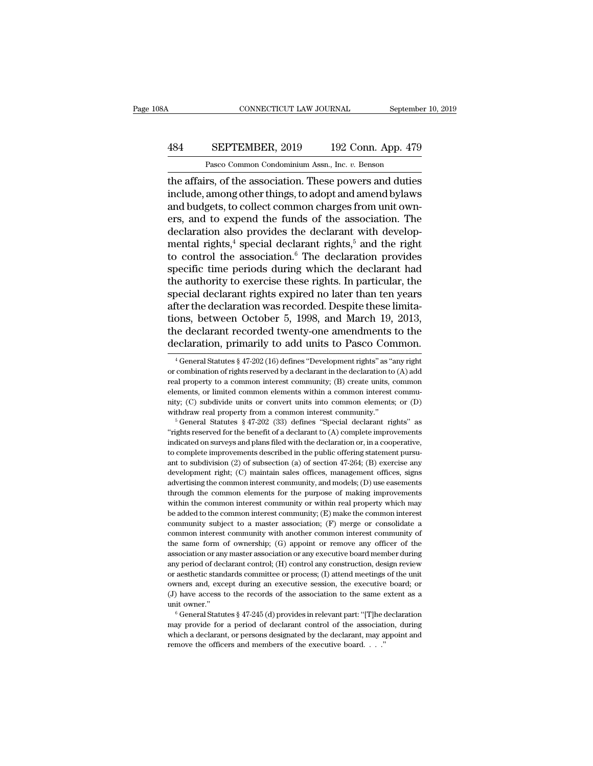#### CONNECTICUT LAW JOURNAL September 10, 2019<br>484 SEPTEMBER, 2019 192 Conn. App. 479<br>Pasco Common Condominium Assn., Inc. v. Benson CONNECTICUT LAW JOURNAL Septembe<br>
SEPTEMBER, 2019 192 Conn. App. 479<br>
Pasco Common Condominium Assn., Inc. *v.* Benson<br>
rs of the association These powers and duties

CONNECTICUT LAW JOURNAL September 10, 2019<br>
484 SEPTEMBER, 2019 192 Conn. App. 479<br>
Pasco Common Condominium Assn., Inc. v. Benson<br>
the affairs, of the association. These powers and duties<br>
include, among other things, to EPTEMBER, 2019 192 Conn. App. 479<br>Pasco Common Condominium Assn., Inc. v. Benson<br>the affairs, of the association. These powers and duties<br>include, among other things, to adopt and amend bylaws<br>and budgets, to collect commo 484 SEPTEMBER, 2019 192 Conn. App. 479<br>
Pasco Common Condominium Assn., Inc.  $v$ . Benson<br>
the affairs, of the association. These powers and duties<br>
include, among other things, to adopt and amend bylaws<br>
and budgets, to c **EXEPTEMBER, 2019** 192 Conn. App. 479<br>
Pasco Common Condominium Assn., Inc. *v.* Benson<br>
the affairs, of the association. These powers and duties<br>
include, among other things, to adopt and amend bylaws<br>
and budgets, to co Pasco Common Condominium Assn., Inc. v. Benson<br>the affairs, of the association. These powers and duties<br>include, among other things, to adopt and amend bylaws<br>and budgets, to collect common charges from unit own-<br>ers, and Pasco Common Condominium Assn., inc.  $v$ . Benson<br>the affairs, of the association. These powers and duties<br>include, among other things, to adopt and amend bylaws<br>and budgets, to collect common charges from unit own-<br>ers, a the affairs, of the association. These powers and duties<br>include, among other things, to adopt and amend bylaws<br>and budgets, to collect common charges from unit own-<br>ers, and to expend the funds of the association. The<br>dec include, among other things, to adopt and amend bylaws<br>and budgets, to collect common charges from unit own-<br>ers, and to expend the funds of the association. The<br>declaration also provides the declarant with develop-<br>mental and budgets, to collect common charges from unit own-<br>ers, and to expend the funds of the association. The<br>declaration also provides the declarant with develop-<br>mental rights,<sup>4</sup> special declarant rights,<sup>5</sup> and the right<br> ers, and to expend the funds of the association. The<br>declaration also provides the declarant with develop-<br>mental rights,<sup>4</sup> special declarant rights,<sup>5</sup> and the right<br>to control the association.<sup>6</sup> The declaration provid declaration also provides the declarant with developmental rights,<sup>4</sup> special declarant rights,<sup>5</sup> and the right to control the association.<sup>6</sup> The declaration provides specific time periods during which the declarant had mental rights,<sup>4</sup> special declarant rights,<sup>5</sup> and the right<br>to control the association.<sup>6</sup> The declaration provides<br>specific time periods during which the declarant had<br>the authority to exercise these rights. In particula to control the association.<sup>6</sup> The declaration provides<br>specific time periods during which the declarant had<br>the authority to exercise these rights. In particular, the<br>special declarant rights expired no later than ten yea specific time periods during which the declarant had<br>the authority to exercise these rights. In particular, the<br>special declarant rights expired no later than ten years<br>after the declaration was recorded. Despite these lim ter the declaration was recorded. Despite these limita-<br>ons, between October 5, 1998, and March 19, 2013,<br>le declarant recorded twenty-one amendments to the<br>eclaration, primarily to add units to Pasco Common.<br> $\frac{4}{3}$  Ge tions, between October 5, 1998, and March 19, 2013,<br>the declarant recorded twenty-one amendments to the<br>declaration, primarily to add units to Pasco Common.<br><sup>4</sup> General Statutes § 47-202 (16) defines "Development rights"

the declarant recorded twenty-one amendments to the declaration, primarily to add units to Pasco Common.<br>  $\frac{4 \text{ General Statistics } \frac{8}{3}47-202}{16}$  defines "Development rights" as "any right or combination of rights reserved by a dec declaration, primarily to add units to Pasco Common.<br>  $^{4}$ General Statutes § 47-202 (16) defines "Development rights" as "any right<br>
or combination of rights reserved by a declarant in the declaration to (A) add<br>
real pr declariation, printiarity to add utilits to Pasco Continuon.<br>
<sup>4</sup> General Statutes § 47-202 (16) defines "Development rights" as "any right<br>
or combination of rights reserved by a declarant in the declaration to (A) add<br> <sup>4</sup> General Statutes § 47-202 (16) defines "Development rights" as "any right<br>or combination of rights reserved by a declarant in the declaration to (A) add<br>real property to a common interest community; (B) create units, real property to a common interest community; (B) create units, common elements, or limited common elements within a common interest community; (C) subdivide units or convert units into common elements; or (D) withdraw re

From surveys and plans filed with the declaration of emperts, or limited common elements within a common interest community; (C) subdivide units or convert units into common elements; or (D) withdraw real property from a inty; (C) subdivide units or convert units into common elements; or (D) withdraw real property from a common interest community."<br>
<sup>5</sup> General Statutes § 47-202 (33) defines "Special declarant rights" as "rights reserved and the subdivision (3) of subsection (a) of section 47-264; (B) exercise any development rights  $\frac{1}{2}$  of subsection (A) complete improvements indicated on surveys and plans filed with the declaration or, in a coopera <sup>6</sup> General Statutes § 47-202 (33) defines "Special declarant rights" as "rights reserved for the benefit of a declarant to (A) complete improvements indicated on surveys and plans filed with the declaration or, in a coop "rights reserved for the benefit of a declarant to  $(A)$  complete improvements indicated on surveys and plans filed with the declaration or, in a cooperative, to complete improvements described in the public offering state Indicated on surveys and plans filed with the declaration or, in a cooperative, to complete improvements described in the public offering statement pursuant to subdivision (2) of subsection (a) of section 47-264; (B) exerc to complete improvements described in the public offering statement pursuant to subdivision (2) of subsection (a) of section 47-264; (B) exercise any development right; (C) maintain sales offices, management offices, sign and to subdivision (2) of subsection (a) of section 47-264; (B) exercise any development right; (C) maintain sales offices, management offices, signs advertising the common interest community, and models; (D) use easement development right; (C) maintain sales offices, management offices, signs advertising the common interest community, and models; (D) use easements through the common elements for the purpose of making improvements within th advertising the common interest community, and models; (D) use easements through the common interest community, and models; (D) use easements within the common interest community or within real property which may be added through the common elements for the purpose of making improvements<br>within the common elements for the purpose of making improvements<br>within the common interest community or within real property which may<br>be added to the co within the common interest community or within real property which may<br>be added to the common interest community; (E) make the common interest<br>community subject to a master association; (F) merge or consolidate a<br>common i we added to the common interest community; (E) make the common interest community subject to a master association; (F) merge or consolidate a common interest community with another common interest community of the same fo community subject to a master association;  $(F)$  merge or consolidate a common interest community with another common interest community of the same form of ownership;  $(G)$  appoint or remove any officer of the association common interest community with another common interest community of the same form of ownership; (G) appoint or remove any officer of the association or any master association or any executive board member during any period the same form of ownership; (G) appoint or remove any officer of the association or any master association or any executive board member during any period of declarant control; (H) control any construction, design review association or any master association or any executive board member during<br>any period of declarant control; (H) control any construction, design review<br>or aesthetic standards committee or process; (I) attend meetings of t and period of declarant control, (1) controllers and meetings of the unit<br>owners and, except during an executive session, the executive board; or<br>(J) have access to the records of the association to the same extent as a<br>un

of where stated variables or process, (c) attent meetings of and the order of (J) have access to the records of the association to the same extent as a unit owner."<br>  $\degree$  General Statutes § 47-245 (d) provides in relevant % owners and, except during an executive session, the executive board; or (J) have access to the records of the association to the same extent as a unit owner."<br>
" General Statutes § 47-245 (d) provides in relevant part: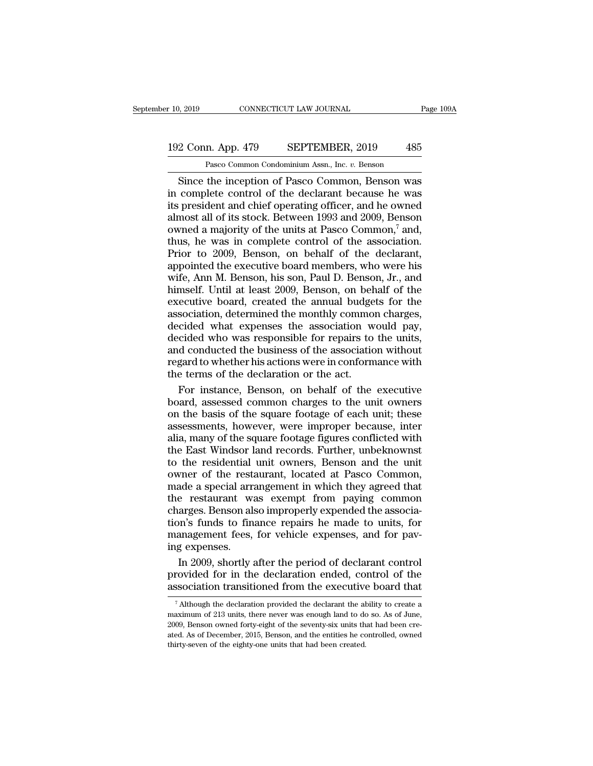#### 10, 2019 CONNECTICUT LAW JOURNAL Page 109A<br>192 Conn. App. 479 SEPTEMBER, 2019 485<br>Pasco Common Condominium Assn., Inc. v. Benson Pasco Common Condominium Assn., Inc. *v.* Benson

Since the inception of Pasco Common, Benson was<br>
Since the inception of Pasco Common, Benson was<br>
complete control of the declarant because he was<br>
complete control of the declarant because he was<br>
complete control of the 192 Conn. App. 479 SEPTEMBER, 2019 485<br>
Pasco Common Condominium Assn., Inc. v. Benson<br>
Since the inception of Pasco Common, Benson was<br>
in complete control of the declarant because he was<br>
its president and chief operatin 192 Conn. App. 479 SEPTEMBER, 2019 485<br>
Pasco Common Condominium Assn., Inc.  $v$ . Benson<br>
Since the inception of Pasco Common, Benson was<br>
in complete control of the declarant because he was<br>
its president and chief opera 192 Conn. App. 479 SEPTEMBER, 2019 485<br>
Pasco Common Condominium Assn., Inc.  $v$ . Benson<br>
Since the inception of Pasco Common, Benson was<br>
in complete control of the declarant because he was<br>
its president and chief opera Pasco Common Condominium Assn., Inc.  $v$ . Benson<br>
Since the inception of Pasco Common, Benson was<br>
in complete control of the declarant because he was<br>
its president and chief operating officer, and he owned<br>
almost all o Pasco Common Condominium Assn., Inc.  $v$ . Benson<br>
Since the inception of Pasco Common, Benson was<br>
in complete control of the declarant because he was<br>
its president and chief operating officer, and he owned<br>
almost all o Since the inception of Pasco Common, Benson was<br>in complete control of the declarant because he was<br>its president and chief operating officer, and he owned<br>almost all of its stock. Between 1993 and 2009, Benson<br>owned a ma in complete control of the declarant because he was<br>its president and chief operating officer, and he owned<br>almost all of its stock. Between 1993 and 2009, Benson<br>owned a majority of the units at Pasco Common,<sup>7</sup> and,<br>thu its president and chief operating officer, and he owned<br>almost all of its stock. Between 1993 and 2009, Benson<br>owned a majority of the units at Pasco Common,<sup>7</sup> and,<br>thus, he was in complete control of the association.<br>Pri almost all of its stock. Between 1993 and 2009, Benson<br>owned a majority of the units at Pasco Common,<sup>7</sup> and,<br>thus, he was in complete control of the association.<br>Prior to 2009, Benson, on behalf of the declarant,<br>appointe owned a majority of the units at Pasco Common,<sup>7</sup> and,<br>thus, he was in complete control of the association.<br>Prior to 2009, Benson, on behalf of the declarant,<br>appointed the executive board members, who were his<br>wife, Ann M thus, he was in complete control of the association.<br>Prior to 2009, Benson, on behalf of the declarant,<br>appointed the executive board members, who were his<br>wife, Ann M. Benson, his son, Paul D. Benson, Jr., and<br>himself. Un Prior to 2009, Benson, on behalf of the declarant,<br>appointed the executive board members, who were his<br>wife, Ann M. Benson, his son, Paul D. Benson, Jr., and<br>himself. Until at least 2009, Benson, on behalf of the<br>executive appointed the executive board members, who were his<br>wife, Ann M. Benson, his son, Paul D. Benson, Jr., and<br>himself. Until at least 2009, Benson, on behalf of the<br>executive board, created the annual budgets for the<br>associat wife, Ann M. Benson, his son, Paul D. Benson, Jr., and<br>himself. Until at least 2009, Benson, on behalf of the<br>executive board, created the annual budgets for the<br>association, determined the monthly common charges,<br>decided himself. Until at least 2009, Benson, on behalf of the executive board, created the annual budgets for the association, determined the monthly common charges, decided what expenses the association would pay, decided who wa executive board, created the annual budge<br>association, determined the monthly commo:<br>decided what expenses the association w<br>decided who was responsible for repairs to<br>and conducted the business of the associatio<br>regard to sociation, determined the monthly common charges,<br>cided who was responsible for repairs to the units,<br>d conducted the business of the association without<br>gard to whether his actions were in conformance with<br>e terms of the decided what expenses the association would pay,<br>decided who was responsible for repairs to the units,<br>and conducted the business of the association without<br>regard to whether his actions were in conformance with<br>the terms

decided who was responsible for repairs to the units,<br>and conducted the business of the association without<br>regard to whether his actions were in conformance with<br>the terms of the declaration or the act.<br>For instance, Bens and conducted the business of the association without<br>regard to whether his actions were in conformance with<br>the terms of the declaration or the act.<br>For instance, Benson, on behalf of the executive<br>board, assessed common regard to whether his actions were in conformance with<br>the terms of the declaration or the act.<br>For instance, Benson, on behalf of the executive<br>board, assessed common charges to the unit owners<br>on the basis of the square the terms of the declaration or the act.<br>For instance, Benson, on behalf of the executive<br>board, assessed common charges to the unit owners<br>on the basis of the square footage of each unit; these<br>assessments, however, were For instance, Benson, on behalf of the executive<br>board, assessed common charges to the unit owners<br>on the basis of the square footage of each unit; these<br>assessments, however, were improper because, inter<br>alia, many of the board, assessed common charges to the unit owners<br>on the basis of the square footage of each unit; these<br>assessments, however, were improper because, inter<br>alia, many of the square footage figures conflicted with<br>the East on the basis of the square footage of each unit; these<br>assessments, however, were improper because, inter<br>alia, many of the square footage figures conflicted with<br>the East Windsor land records. Further, unbeknownst<br>to the assessments, however, were improper because, inter<br>alia, many of the square footage figures conflicted with<br>the East Windsor land records. Further, unbeknownst<br>to the residential unit owners, Benson and the unit<br>owner of t alia, many of the square footage figures conflicted with<br>the East Windsor land records. Further, unbeknownst<br>to the residential unit owners, Benson and the unit<br>owner of the restaurant, located at Pasco Common,<br>made a spec the East Windsor land records. Further, unbeknownst<br>to the residential unit owners, Benson and the unit<br>owner of the restaurant, located at Pasco Common,<br>made a special arrangement in which they agreed that<br>the restaurant to the residential unit owners, Benson and the unit<br>owner of the restaurant, located at Pasco Common,<br>made a special arrangement in which they agreed that<br>the restaurant was exempt from paying common<br>charges. Benson also i owner of the rest:<br>made a special arri<br>the restaurant wish<br>charges. Benson als<br>tion's funds to fin<br>management fees,<br>ing expenses.<br>In 2009, shortly a ade a special arrangement in which they agreed that<br>e-restaurant was exempt from paying common<br>arges. Benson also improperly expended the associa-<br>m's funds to finance repairs he made to units, for<br>anagement fees, for vehi the restaurant was exempt from paying common charges. Benson also improperly expended the association's funds to finance repairs he made to units, for management fees, for vehicle expenses, and for paying expenses.<br>In 2009 charges. Benson also improperly expended the association's funds to finance repairs he made to units, for management fees, for vehicle expenses, and for paving expenses.<br>In 2009, shortly after the period of declarant cont

In 2009, shortly after the period of declarant control<br>rovided for in the declaration ended, control of the<br>ssociation transitioned from the executive board that<br> $\frac{7}{7}$ Although the declaration provided the declarant th In 2009, shortly after the period of declarant control provided for in the declaration ended, control of the association transitioned from the executive board that  $\frac{7}{4}$  Although the declaration provided the declarant

provided for in the declaration ended, control of the association transitioned from the executive board that  $\frac{7}{4}$  Although the declaration provided the declarant the ability to create a maximum of 213 units, there nev association transitioned from the executive board that<br>
<sup>7</sup> Although the declaration provided the declarant the ability to create a<br>
maximum of 213 units, there never was enough land to do so. As of June,<br>
2009, Benson own association transitioned from the executive board that  $\frac{7}{4}$  Although the declaration provided the declarant the ability to create a maximum of 213 units, there never was enough land to do so. As of June, 2009, Benson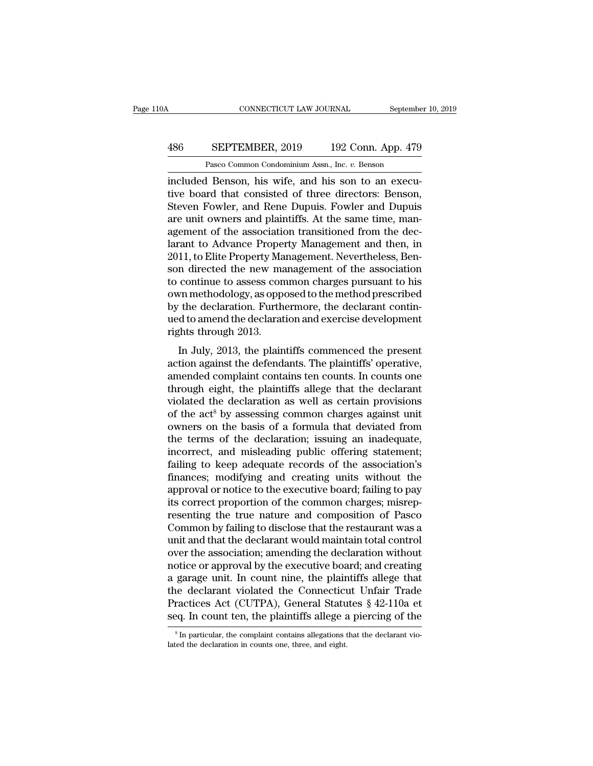### CONNECTICUT LAW JOURNAL September 10, 2019<br>486 SEPTEMBER, 2019 192 Conn. App. 479<br>Pasco Common Condominium Assn., Inc. v. Benson CONNECTICUT LAW JOURNAL Septembe<br>
SEPTEMBER, 2019 192 Conn. App. 479<br>
Pasco Common Condominium Assn., Inc. *v.* Benson<br>
Henson his wife and his son to an execu-

CONNECTICUT LAW JOURNAL September<br>
192 Conn. App. 479<br>
Pasco Common Condominium Assn., Inc. v. Benson<br>
192 Conn. App. 479<br>
Pasco Common Condominium Assn., Inc. v. Benson<br>
192 Conn. App. 479<br>
192 Conn. App. 479<br>
192 Conn. A SEPTEMBER, 2019 192 Conn. App. 479<br>
Pasco Common Condominium Assn., Inc. v. Benson<br>
included Benson, his wife, and his son to an execu-<br>
tive board that consisted of three directors: Benson,<br>
Steven Fowler, and Rene Dupuis SEPTEMBER, 2019 192 Conn. App. 479<br>
Pasco Common Condominium Assn., Inc. v. Benson<br>
included Benson, his wife, and his son to an execu-<br>
tive board that consisted of three directors: Benson,<br>
Steven Fowler, and Rene Dupuis 486 SEPTEMBER, 2019 192 Conn. App. 479<br>
Pasco Common Condominium Assn., Inc. v. Benson<br>
included Benson, his wife, and his son to an execu-<br>
tive board that consisted of three directors: Benson,<br>
Steven Fowler, and Rene Du Pasco Common Condominium Assn., Inc. v. Benson<br>included Benson, his wife, and his son to an execu-<br>tive board that consisted of three directors: Benson,<br>Steven Fowler, and Rene Dupuis. Fowler and Dupuis<br>are unit owners and Pasco Common Condominium Assn., Inc.  $v$ . Benson<br>included Benson, his wife, and his son to an execu-<br>tive board that consisted of three directors: Benson,<br>Steven Fowler, and Rene Dupuis. Fowler and Dupuis<br>are unit owners included Benson, his wife, and his son to an executive board that consisted of three directors: Benson, Steven Fowler, and Rene Dupuis. Fowler and Dupuis are unit owners and plaintiffs. At the same time, management of the tive board that consisted of three directors: Benson,<br>Steven Fowler, and Rene Dupuis. Fowler and Dupuis<br>are unit owners and plaintiffs. At the same time, man-<br>agement of the association transitioned from the dec-<br>larant to Steven Fowler, and Rene Dupuis. Fowler and Dupuis<br>are unit owners and plaintiffs. At the same time, man-<br>agement of the association transitioned from the dec-<br>larant to Advance Property Management and then, in<br>2011, to Eli are unit owners and plaintiffs. At the same time, man-<br>agement of the association transitioned from the dec-<br>larant to Advance Property Management and then, in<br>2011, to Elite Property Management. Nevertheless, Ben-<br>son dir agement of the association transitioned from the declarant to Advance Property Management and then, in 2011, to Elite Property Management. Nevertheless, Benson directed the new management of the association to continue to larant to Advance Property Management and then, in 2011, to Elite Property Management. Nevertheless, Benson directed the new management of the association to continue to assess common charges pursuant to his own methodolog 2011, to Elite Property Ma<br>son directed the new ma<br>to continue to assess con<br>own methodology, as oppo<br>by the declaration. Furth<br>ued to amend the declarat<br>rights through 2013.<br>In July, 2013, the plain In the declaration of the association<br>
in methodology, as opposed to the method prescribed<br>
the declaration. Furthermore, the declarant contin-<br>
d to amend the declaration and exercise development<br>
shifts through 2013.<br>
In to commit to assess common enarges pursuant to his<br>own methodology, as opposed to the method prescribed<br>by the declaration. Furthermore, the declarant contin-<br>ued to amend the declaration and exercise development<br>rights th

by the declaration. Furthermore, the declarant continued to amend the declaration and exercise development<br>rights through 2013.<br>In July, 2013, the plaintiffs commenced the present<br>action against the defendants. The plainti by the declaration. I directmore, the declarant conducted to amend the declaration and exercise development<br>rights through 2013.<br>In July, 2013, the plaintiffs commenced the present<br>action against the defendants. The plain rights through 2013.<br>
In July, 2013, the plaintiffs commenced the present<br>
action against the defendants. The plaintiffs' operative,<br>
amended complaint contains ten counts. In counts one<br>
through eight, the plaintiffs all In July, 2013, the plaintiffs commenced the present<br>action against the defendants. The plaintiffs' operative,<br>amended complaint contains ten counts. In counts one<br>through eight, the plaintiffs allege that the declarant<br>vi In July, 2013, the plaintiffs commenced the present<br>action against the defendants. The plaintiffs' operative,<br>amended complaint contains ten counts. In counts one<br>through eight, the plaintiffs allege that the declarant<br>vi action against the defendants. The plaintiffs' operative,<br>amended complaint contains ten counts. In counts one<br>through eight, the plaintiffs allege that the declarant<br>violated the declaration as well as certain provisions<br> amended complaint contains ten counts. In counts one<br>through eight, the plaintiffs allege that the declarant<br>violated the declaration as well as certain provisions<br>of the act<sup>8</sup> by assessing common charges against unit<br>own through eight, the plaintiffs allege that the declarant<br>violated the declaration as well as certain provisions<br>of the act<sup>8</sup> by assessing common charges against unit<br>owners on the basis of a formula that deviated from<br>the violated the declaration as well as certain provisions<br>of the act<sup>8</sup> by assessing common charges against unit<br>owners on the basis of a formula that deviated from<br>the terms of the declaration; issuing an inadequate,<br>incorre of the act<sup>8</sup> by assessing common charges against unit<br>owners on the basis of a formula that deviated from<br>the terms of the declaration; issuing an inadequate,<br>incorrect, and misleading public offering statement;<br>failing t owners on the basis of a formula that deviated from<br>the terms of the declaration; issuing an inadequate,<br>incorrect, and misleading public offering statement;<br>failing to keep adequate records of the association's<br>finances; the terms of the declaration; issuing an inadequate,<br>incorrect, and misleading public offering statement;<br>failing to keep adequate records of the association's<br>finances; modifying and creating units without the<br>approval or incorrect, and misleading public offering statement;<br>failing to keep adequate records of the association's<br>finances; modifying and creating units without the<br>approval or notice to the executive board; failing to pay<br>its co failing to keep adequate records of the association's<br>finances; modifying and creating units without the<br>approval or notice to the executive board; failing to pay<br>its correct proportion of the common charges; misrep-<br>resen finances; modifying and creating units without the<br>approval or notice to the executive board; failing to pay<br>its correct proportion of the common charges; misrep-<br>resenting the true nature and composition of Pasco<br>Common b approval or notice to the executive board; failing to pay<br>its correct proportion of the common charges; misrep-<br>resenting the true nature and composition of Pasco<br>Common by failing to disclose that the restaurant was a<br>uni its correct proportion of the common charges; misrep-<br>resenting the true nature and composition of Pasco<br>Common by failing to disclose that the restaurant was a<br>unit and that the declarant would maintain total control<br>over resenting the true nature and composition of Pasco<br>Common by failing to disclose that the restaurant was a<br>unit and that the declarant would maintain total control<br>over the association; amending the declaration without<br>not Common by failing to disclose that the restaurant was a<br>unit and that the declarant would maintain total control<br>over the association; amending the declaration without<br>notice or approval by the executive board; and creatin unit and that the declarant would maintain total control<br>over the association; amending the declaration without<br>notice or approval by the executive board; and creating<br>a garage unit. In count nine, the plaintiffs allege th a garage unit. In count nine, the plaintiffs allege that the declarant violated the Connecticut Unfair Trade Practices Act (CUTPA), General Statutes  $§ 42-110a$  et seq. In count ten, the plaintiffs allege a piercing of th seq. In count ten, the plaintiffs allege a piercing of the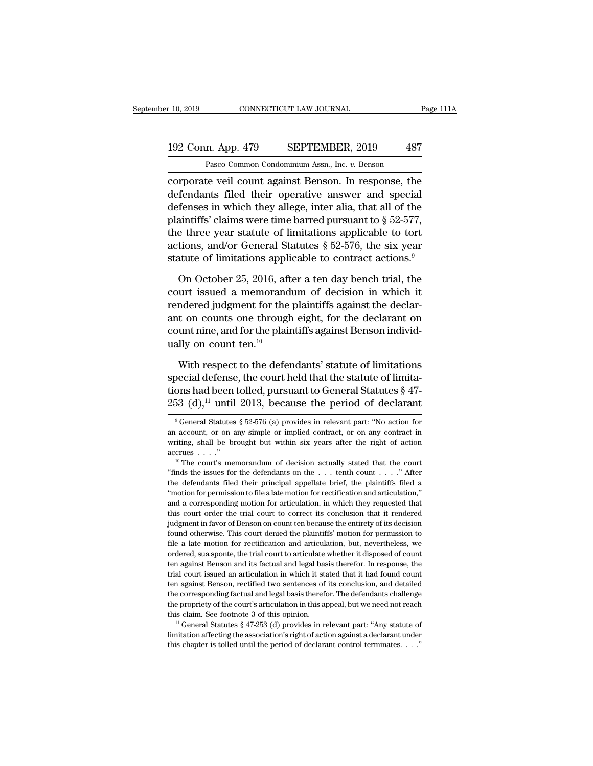### 10, 2019 CONNECTICUT LAW JOURNAL Page 111A<br>192 Conn. App. 479 SEPTEMBER, 2019 487<br>Pasco Common Condominium Assn., Inc. v. Benson EXECTICUT LAW JOURNAL<br>
1 Pasco Common Condominium Assn., Inc. *v.* Benson<br>
Te veil count against Benson In response the

corporate veil count against Benson. In response, the<br>defendants filed their operative answer and special<br>defendants filed their operative answer and special<br>defendants filed their operative answer and special<br>defenses in 192 Conn. App. 479 SEPTEMBER, 2019 487<br>
Pasco Common Condominium Assn., Inc.  $v$ . Benson<br>
corporate veil count against Benson. In response, the<br>
defendants filed their operative answer and special<br>
defenses in which they 192 Conn. App. 479 SEPTEMBER, 2019 487<br>
Pasco Common Condominium Assn., Inc. v. Benson<br>
corporate veil count against Benson. In response, the<br>
defendants filed their operative answer and special<br>
defenses in which they al 192 Conn. App. 479 SEPTEMBER, 2019 487<br>
Pasco Common Condominium Assn., Inc. v. Benson<br>
corporate veil count against Benson. In response, the<br>
defendants filed their operative answer and special<br>
defenses in which they al Pasco Common Condominium Assn., Inc.  $v$ . Benson<br>
corporate veil count against Benson. In response, the<br>
defendants filed their operative answer and special<br>
defenses in which they allege, inter alia, that all of the<br>
pla Fasco Common Condominum Assn., mc. v. Benson<br>
corporate veil count against Benson. In response, the<br>
defendants filed their operative answer and special<br>
defenses in which they allege, inter alia, that all of the<br>
plainti corporate veil count against Benson. In response, the<br>defendants filed their operative answer and special<br>defenses in which they allege, inter alia, that all of the<br>plaintiffs' claims were time barred pursuant to  $\S 52-57$ fenses in which they allege, inter alia, that all of the<br>aintiffs' claims were time barred pursuant to  $\S$  52-577,<br>e three year statute of limitations applicable to tort<br>tions, and/or General Statutes  $\S$  52-576, the six plaintiffs' claims were time barred pursuant to  $\S$  52-577,<br>the three year statute of limitations applicable to tort<br>actions, and/or General Statutes  $\S$  52-576, the six year<br>statute of limitations applicable to contract

The three year statute of limitations applicable to tort actions, and/or General Statutes  $\S$  52-576, the six year statute of limitations applicable to contract actions.<sup>9</sup><br>On October 25, 2016, after a ten day bench trial actions, and/or General Statutes § 52-576, the six year<br>statute of limitations applicable to contract actions.<sup>9</sup><br>On October 25, 2016, after a ten day bench trial, the<br>court issued a memorandum of decision in which it<br>ren statute of limitations applicable to contract actions.<sup>9</sup><br>On October 25, 2016, after a ten day bench trial, the<br>court issued a memorandum of decision in which it<br>rendered judgment for the plaintiffs against the declar-<br>an On October 25, 2016, aft<br>court issued a memorand<br>rendered judgment for the<br>ant on counts one through<br>count nine, and for the plain<br>ually on count ten.<sup>10</sup><br>With respect to the defer urt issued a memorandum of decision in which it<br>indered judgment for the plaintiffs against the declar-<br>t on counts one through eight, for the declarant on<br>unt nine, and for the plaintiffs against Benson individ-<br>lly on co rendered judgment for the plaintiffs against the declarant<br>ant on counts one through eight, for the declarant on<br>count nine, and for the plaintiffs against Benson individ-<br>ually on count ten.<sup>10</sup><br>With respect to the defen

% and to modular to counts one through eight, for the declarant on<br>count nine, and for the plaintiffs against Benson individually<br>on count ten.<sup>10</sup><br>With respect to the defendants' statute of limitations<br>special defense, t count nine, and for the plaintiffs against Benson individually on count ten.<sup>10</sup><br>With respect to the defendants' statute of limitations<br>special defense, the court held that the statute of limita-<br>tions had been tolled, pu with respect to the detendants statute of limitations<br>becial defense, the court held that the statute of limita-<br>ons had been tolled, pursuant to General Statutes § 47-<br>53 (d),<sup>11</sup> until 2013, because the period of declar special defense, the court held that the statute of limitations had been tolled, pursuant to General Statutes § 47-<br>253 (d),<sup>11</sup> until 2013, because the period of declarant <sup>9</sup> General Statutes § 52-576 (a) provides in re

tions had been tolled, pursuant to General Statutes § 47-<br>253 (d),<sup>11</sup> until 2013, because the period of declarant<br><sup>9</sup> General Statutes § 52-576 (a) provides in relevant part: "No action for<br>an account, or on any simple o 253 (d),<sup>11</sup> until 2013, because the period of declarant  $\frac{1}{2}$  of General Statutes § 52-576 (a) provides in relevant part: "No action for an account, or on any simple or implied contract, or on any contract in writing <sup>9</sup> General Statutes § 52-576 (a) provides in relevant part: "No action for an account, or on any simple or implied contract, or on any contract in writing, shall be brought but within six years after the right of action

an account, or on any simple or implied contract, or on any contract in writing, shall be brought but within six years after the right of action accrues . . . ."<br>with the court's memorandum of decision actually stated tha writing, shall be brought but within six years after the right of action accrues . . . ."<br>"The court's memorandum of decision actually stated that the court "finds the issues for the defendants on the . . . tenth count . and a corresponding motion for articulation, in which they requested that the court's memorandum of decision actually stated that the court "finds the issues for the defendants on the . . . tenth count . . . ." After the <sup>10</sup> The court's memorandum of decision actually stated that the court<br>
"Inds the issues for the defendants on the  $\ldots$  tenth count  $\ldots$ ". After<br>
the defendants filed their principal appellate brief, the plaintiffs file "finds the issues for the defendants on the  $\ldots$  tenth count  $\ldots$ ." After the defendants filed their principal appellate brief, the plaintiffs filed a "motion for permission to file a late motion for rectification and a found the defendants filed their principal appellate brief, the plaintiffs filed a "motion for permission to file a late motion for rectification and articulation," and a corresponding motion for articulation, in which the file a late motion for permission to file a late motion for rectification and articulation,"<br>
"motion for permission to file a late motion for rectification and articulation,"<br>
and a corresponding motion for articulation, and a corresponding motion for articulation, in which they requested hat this court order the trial court to correct its conclusion that it rendered judgment in favor of Benson on count ten because the entirety of its deci this court order the trial court to correct its conclusion that it rendered judgment in favor of Benson on count ten because the entirety of its decision found otherwise. This court denied the plaintiffs' motion for permis judgment in favor of Benson on count ten because the entirety of its decision found otherwise. This court denied the plaintiffs' motion for permission to file a late motion for rectification and articulation, but, neverthe found otherwise. This court denied the plaintiffs' motion for permission to file a late motion for rectification and articulation, but, nevertheless, we ordered, sua sponte, the trial court to articulate whether it dispose File a late motion for rectification and articulation, but, nevertheless, we ordered, sua sponte, the trial court to articulate whether it disposed of count ten against Benson and its factual and legal basis therefor. In r ordered, sua sponte, the trial court to articulate whether it disposed of count<br>ten against Benson and its factual and legal basis therefor. In response, the<br>trial court issued an articulation in which it stated that it ha then against Benson and its factual and legal basis therefor. In response, the trial court issued an articulation in which it stated that it had found count ten against Benson, rectified two sentences of its conclusion, a Limitation affecting the association's right-off-conclusion, and detailed the corresponding factual and legal basis therefor. The defendants challenge the propriety of the court's articulation in this appeal, but we need the corresponding factual and legal basis therefor. The defendants challenge<br>the propriety of the court's articulation in this appeal, but we need not reach<br>this claim. See footnote 3 of this opinion.<br> $11$  General Statute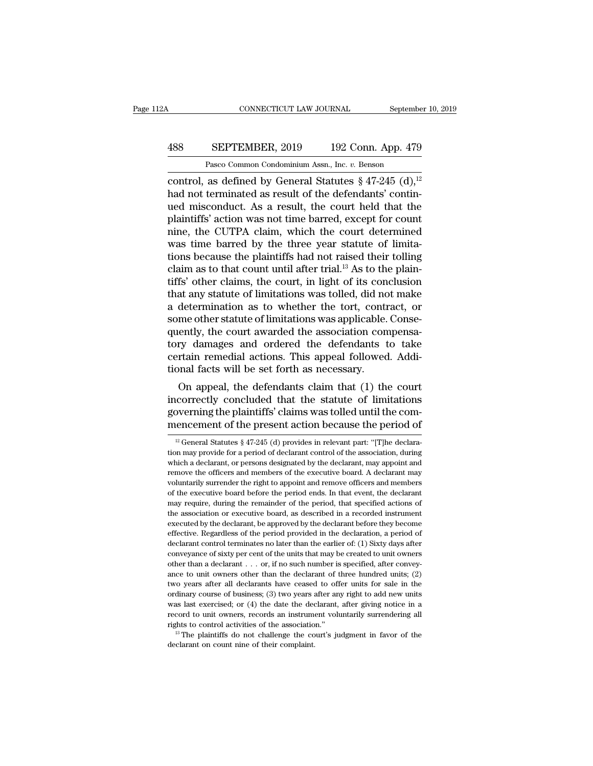# CONNECTICUT LAW JOURNAL September 10, 2019<br>488 SEPTEMBER, 2019 192 Conn. App. 479<br>Pasco Common Condominium Assn., Inc. v. Benson

CONNECTICUT LAW JOURNAL Septembe<br> **Pasco Common Condominium Assn.**, Inc. *v.* Benson<br>
control, as defined by General Statutes § 47-245 (d),<sup>12</sup><br>
had not terminated as result of the defendants' contin-<br>
ued misconduct. As a cONNECTICUT LAW JOURNAL September 10, 201<br>
488 SEPTEMBER, 2019 192 Conn. App. 479<br>
Pasco Common Condominium Assn., Inc. v. Benson<br>
control, as defined by General Statutes § 47-245 (d),<sup>12</sup><br>
had not terminated as result of 488 SEPTEMBER, 2019 192 Conn. App. 479<br>
Pasco Common Condominium Assn., Inc. v. Benson<br>
control, as defined by General Statutes  $\S 47-245 (d),$ <sup>12</sup><br>
had not terminated as result of the defendants' continued misconduct. As a **488** SEPTEMBER, 2019 192 Conn. App. 479<br>
Pasco Common Condominium Assn., Inc. v. Benson<br>
control, as defined by General Statutes  $\S 47-245 (d),$ <sup>12</sup><br>
had not terminated as result of the defendants' contin-<br>
ued misconduct. Pasco Common Condominium Assn., Inc. v. Benson<br>
control, as defined by General Statutes  $\S 47-245$  (d),<sup>12</sup><br>
had not terminated as result of the defendants' contin-<br>
ued misconduct. As a result, the court held that the<br>
p Pasco Common Condominium Assn., Inc. v. Benson<br>
control, as defined by General Statutes § 47-245 (d),<sup>12</sup><br>
had not terminated as result of the defendants' contin-<br>
ued misconduct. As a result, the court held that the<br>
pla control, as defined by General Statutes  $\S$  47-245 (d),<sup>12</sup><br>had not terminated as result of the defendants' contin-<br>ued misconduct. As a result, the court held that the<br>plaintiffs' action was not time barred, except for c had not terminated as result of the defendants' continued misconduct. As a result, the court held that the plaintiffs' action was not time barred, except for count nine, the CUTPA claim, which the court determined was time ued misconduct. As a result, the court held that the plaintiffs' action was not time barred, except for count<br>nine, the CUTPA claim, which the court determined<br>was time barred by the three year statute of limita-<br>tions bec plaintiffs' action was not time barred, except for count<br>nine, the CUTPA claim, which the court determined<br>was time barred by the three year statute of limita-<br>tions because the plaintiffs had not raised their tolling<br>clai nine, the CUTPA claim, which the court determined<br>was time barred by the three year statute of limita-<br>tions because the plaintiffs had not raised their tolling<br>claim as to that count until after trial.<sup>13</sup> As to the plain was time barred by the three year statute of limitations because the plaintiffs had not raised their tolling claim as to that count until after trial.<sup>13</sup> As to the plaintiffs' other claims, the court, in light of its conc tions because the plaintiffs had not raised their tolling<br>claim as to that count until after trial.<sup>13</sup> As to the plain-<br>tiffs' other claims, the court, in light of its conclusion<br>that any statute of limitations was tolled claim as to that count until after trial.<sup>13</sup> As to the plain-<br>tiffs' other claims, the court, in light of its conclusion<br>that any statute of limitations was tolled, did not make<br>a determination as to whether the tort, con tiffs' other claims, the court, in light of its conclusion<br>that any statute of limitations was tolled, did not make<br>a determination as to whether the tort, contract, or<br>some other statute of limitations was applicable. Con that any statute of limitations was tolled, did not<br>a determination as to whether the tort, contr<br>some other statute of limitations was applicable.<br>quently, the court awarded the association con<br>tory damages and ordered th determination as to whether the tort, contract, or<br>me other statute of limitations was applicable. Conse-<br>ently, the court awarded the association compensa-<br>ry damages and ordered the defendants to take<br>rtain remedial acti some other statute of limitations was applicable. Consequently, the court awarded the association compensa-<br>tory damages and ordered the defendants to take<br>certain remedial actions. This appeal followed. Addi-<br>tional facts

quently, the court awarded the association compensatory damages and ordered the defendants to take certain remedial actions. This appeal followed. Additional facts will be set forth as necessary.<br>On appeal, the defendants for the present actions. This appeal followed. Additional facts will be set forth as necessary.<br>On appeal, the defendants claim that (1) the court incorrectly concluded that the statute of limitations governing the plaint On appeal, the defendants claim that (1) the court<br>correctly concluded that the statute of limitations<br>overning the plaintiffs' claims was tolled until the com-<br>encement of the present action because the period of<br> $\frac{12}{$ incorrectly concluded that the statute of limitations<br>governing the plaintiffs' claims was tolled until the com-<br>mencement of the present action because the period of<br> $\frac{12 \text{ General Statistics § } 47-245 \text{ (d) provides in relevant part: } \text{``[T]he declaration may provide for a period of declaration control of the association, during$ 

governing the plaintiffs' claims was tolled until the com-<br>mencement of the present action because the period of<br> $\frac{12}{12}$  General Statutes § 47-245 (d) provides in relevant part: "[T]he declara-<br>tion may provide for a mencement of the present action because the period of  $\frac{12}{12}$  General Statutes § 47-245 (d) provides in relevant part: "[T]he declaration may provide for a period of declarant control of the association, during which Thence intert of the present action because the period of  $\frac{12}{12}$  General Statutes § 47-245 (d) provides in relevant part: "[T]he declaration may provide for a period of declarant control of the association, during wh <sup>12</sup> General Statutes § 47-245 (d) provides in relevant part: "[T]he declaration may provide for a period of declarant control of the association, during which a declarant, or persons designated by the declarant, may appo may provide for a period of declarant control of the association, during which a declarant, or persons designated by the declarant, may appoint and remove the officers and members of the executive board. A declarant may v The association or executive board, as described in a recorded instrument or executive board. A declarant may<br>voluntarily surrender the right to appoint and remove officers and members<br>of the executive board before the per remove the officers and members of the executive board. A declarant may voluntarily surrender the right to appoint and remove officers and members of the executive board before the period ends. In that event, the declarant effective. Regardless of the period provided in the declaration is declared to the executive board before the period ends. In that event, the declarant may require, during the remainder of the period, that specified action of the executive board before the period ends. In that event, the declarant may require, during the remainder of the period, that specified actions of the association or executive board, as described in a recorded instrum may require, during the remainder of the period, that specified actions of the association or executive board, as described in a recorded instrument executed by the declarant, be approved by the declarant before they beco the association or executive board, as described in a recorded instrument<br>executed by the declarant, be approved by the declarant before they become<br>effective. Regardless of the period provided in the declaration, a perio executed by the declarant, be approved by the declarant before they become effective. Regardless of the period provided in the declaration, a period of declarant control terminates no later than the earlier of: (1) Sixty effective. Regardless of the period provided in the declaration, a period of declarant control terminates no later than the earlier of: (1) Sixty days after conveyance of sixty per cent of the units that may be created to declarant control terminates no later than the earlier of: (1) Sixty days after conveyance of sixty per cent of the units that may be created to unit owners other than a declarant . . . or, if no such number is specified, conveyance of sixty per cent of the units that may be created to unit owners<br>other than a declarant . . . or, if no such number is specified, after convey-<br>ance to unit owners other than the declarant of three hundred unit other than a declarant . . . or, if no such number is specified, after conveyance to unit owners other than the declarant of three hundred units; (2) two years after all declarants have ceased to offer units for sale in t ance to unit owners other than the declarant of three hundred units; (2) two years after all declarants have ceased to offer units for sale in the ordinary course of business; (3) two years after any right to add new unit ordinary course of business; (3) two years after any right to add new units<br>was last exercised; or (4) the date the declarant, after giving notice in a<br>record to unit owners, records an instrument voluntarily surrendering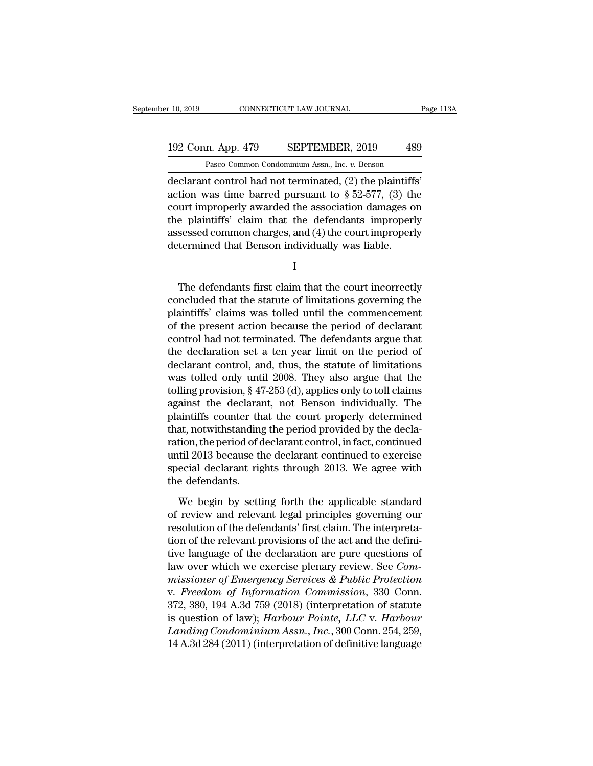### 10, 2019 CONNECTICUT LAW JOURNAL Page 113A<br>192 Conn. App. 479 SEPTEMBER, 2019 489<br>Pasco Common Condominium Assn., Inc. v. Benson EXECTICUT LAW JOURNAL<br>
1 Pasco Common Condominium Assn., Inc. *v.* Benson<br>
1 Pasco Common Condominium Assn., Inc. *v.* Benson<br>
1 Control had not terminated (2) the plaintiffs'

r 10, 2019 CONNECTICUT LAW JOURNAL Page 1<br>
192 Conn. App. 479 SEPTEMBER, 2019 489<br>
Pasco Common Condominium Assn., Inc. v. Benson<br>
declarant control had not terminated, (2) the plaintiffs'<br>
action was time barred pursuant 192 Conn. App. 479 SEPTEMBER, 2019 489<br>
Pasco Common Condominium Assn., Inc. v. Benson<br>
declarant control had not terminated, (2) the plaintiffs'<br>
action was time barred pursuant to  $\S 52-577$ , (3) the<br>
court improperly a 192 Conn. App. 479 SEPTEMBER, 2019 489<br>
Pasco Common Condominium Assn., Inc. v. Benson<br>
declarant control had not terminated, (2) the plaintiffs'<br>
action was time barred pursuant to  $\S 52-577$ , (3) the<br>
court improperly a 192 Conn. App. 479 SEPTEMBER, 2019 489<br>
Pasco Common Condominium Assn., Inc. v. Benson<br>
declarant control had not terminated, (2) the plaintiffs'<br>
action was time barred pursuant to  $\S$  52-577, (3) the<br>
court improperly a Pasco Common Condominium Assn., Inc.  $v$ . Benson<br>declarant control had not terminated, (2) the plaintiffs'<br>action was time barred pursuant to  $\S 52-577$ , (3) the<br>court improperly awarded the association damages on<br>the pla Fasco common condominant Assn., me.  $v$ . Benson declarant control had not terminated, (2) the plaintiffs action was time barred pursuant to  $\S$  52-577, (3) th court improperly awarded the association damages of the plaint Unt improperly awarded the association damages on<br>
e plaintiffs' claim that the defendants improperly<br>
sessed common charges, and (4) the court improperly<br>
termined that Benson individually was liable.<br>
I<br>
The defendants f

I

the plaintins claim that the defendants improperly<br>assessed common charges, and (4) the court improperly<br>determined that Benson individually was liable.<br>I<br>The defendants first claim that the court incorrectly<br>concluded tha assessed common charges, and (4) the court improperty<br>determined that Benson individually was liable.<br>I<br>The defendants first claim that the court incorrectly<br>concluded that the statute of limitations governing the<br>plaintif I<br>I<br>The defendants first claim that the court incorrectly<br>concluded that the statute of limitations governing the<br>plaintiffs' claims was tolled until the commencement<br>of the present action because the period of declarant<br>c I<br>
The defendants first claim that the court incorrectly<br>
concluded that the statute of limitations governing the<br>
plaintiffs' claims was tolled until the commencement<br>
of the present action because the period of declarant The defendants first claim that the court incorrectly<br>concluded that the statute of limitations governing the<br>plaintiffs' claims was tolled until the commencement<br>of the present action because the period of declarant<br>contr The defendants first claim that the court incorrectly<br>concluded that the statute of limitations governing the<br>plaintiffs' claims was tolled until the commencement<br>of the present action because the period of declarant<br>cont concluded that the statute of limitations governing the<br>plaintiffs' claims was tolled until the commencement<br>of the present action because the period of declarant<br>control had not terminated. The defendants argue that<br>the d plaintiffs' claims was tolled until the commencement<br>of the present action because the period of declarant<br>control had not terminated. The defendants argue that<br>the declarant control, and, thus, the statute of limitations<br> of the present action because the period of declarant<br>control had not terminated. The defendants argue that<br>the declaration set a ten year limit on the period of<br>declarant control, and, thus, the statute of limitations<br>was control had not terminated. The defendants argue that<br>the declaration set a ten year limit on the period of<br>declarant control, and, thus, the statute of limitations<br>was tolled only until 2008. They also argue that the<br>toll the declaration set a ten year limit on the period of<br>declarant control, and, thus, the statute of limitations<br>was tolled only until 2008. They also argue that the<br>tolling provision, § 47-253 (d), applies only to toll clai declarant control, and, thus, the statute of limitations<br>was tolled only until 2008. They also argue that the<br>tolling provision, § 47-253 (d), applies only to toll claims<br>against the declarant, not Benson individually. The was tolled only until 2008. They also argue that the<br>tolling provision, § 47-253 (d), applies only to toll claims<br>against the declarant, not Benson individually. The<br>plaintiffs counter that the court properly determined<br>th tolling provision, § 47-253 (d), applies only to toll claims<br>against the declarant, not Benson individually. The<br>plaintiffs counter that the court properly determined<br>that, notwithstanding the period provided by the declaagainst the declarar<br>plaintiffs counter th<br>that, notwithstanding<br>ration, the period of d<br>until 2013 because th<br>special declarant rig<br>the defendants.<br>We begin by setti at, notwithstanding the period provided by the declation, the period of declarant control, in fact, continued<br>til 2013 because the declarant continued to exercise<br>ecial declarant rights through 2013. We agree with<br>e defend ration, the period of declarant control, in fact, continued<br>until 2013 because the declarant continued to exercise<br>special declarant rights through 2013. We agree with<br>the defendants.<br>We begin by setting forth the applicab

until 2013 because the declarant continued to exercise<br>special declarant rights through 2013. We agree with<br>the defendants.<br>We begin by setting forth the applicable standard<br>of review and relevant legal principles governin special declarant rights through 2013. We agree with<br>the defendants.<br>We begin by setting forth the applicable standard<br>of review and relevant legal principles governing our<br>resolution of the defendants' first claim. The in the defendants.<br>We begin by setting forth the applicable standard<br>of review and relevant legal principles governing our<br>resolution of the defendants' first claim. The interpreta-<br>tion of the relevant provisions of the act We begin by setting forth the applicable standard<br>of review and relevant legal principles governing our<br>resolution of the defendants' first claim. The interpreta-<br>tion of the relevant provisions of the act and the defini-<br> We begin by setting forth the applicable standard<br>of review and relevant legal principles governing our<br>resolution of the defendants' first claim. The interpreta-<br>tion of the relevant provisions of the act and the defini-<br> of review and relevant legal principles governing our<br>resolution of the defendants' first claim. The interpreta-<br>tion of the relevant provisions of the act and the defini-<br>tive language of the declaration are pure question resolution of the defendants' first claim. The interpreta-<br>tion of the relevant provisions of the act and the defini-<br>tive language of the declaration are pure questions of<br>law over which we exercise plenary review. See *C* tion of the relevant provisions of the act and the definitive language of the declaration are pure questions of<br>law over which we exercise plenary review. See *Commissioner of Emergency Services & Public Protection*<br>v. *Fr* rive language of the declaration are pure questions of<br>law over which we exercise plenary review. See *Com-*<br>*missioner of Emergency Services & Public Protection*<br>v. *Freedom of Information Commission*, 330 Conn.<br>372, 380, law over which we exercise plenary review. See *Commissioner of Emergency Services & Public Protection*<br>v. *Freedom of Information Commission*, 330 Conn.<br>372, 380, 194 A.3d 759 (2018) (interpretation of statute<br>is question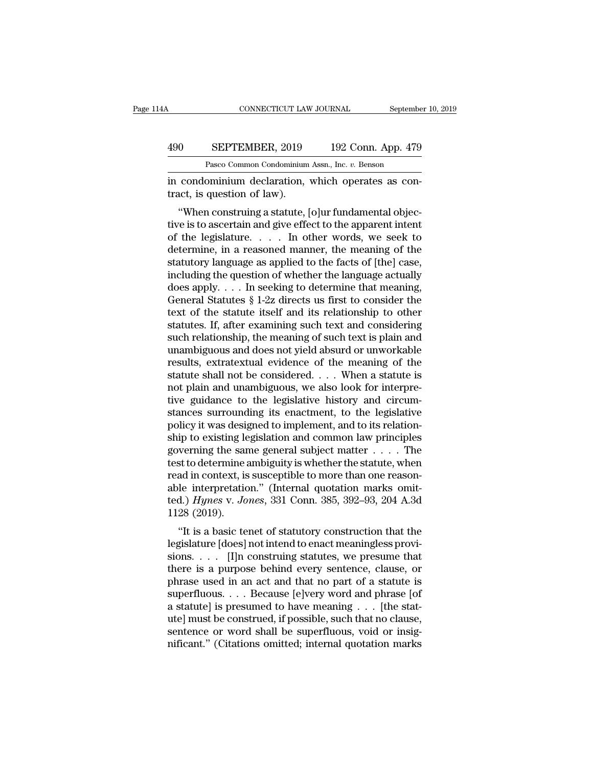### CONNECTICUT LAW JOURNAL September 10, 2019<br>490 SEPTEMBER, 2019 192 Conn. App. 479<br>Pasco Common Condominium Assn., Inc. v. Benson CONNECTICUT LAW JOURNAL Septembe<br>
SEPTEMBER, 2019 192 Conn. App. 479<br>
Pasco Common Condominium Assn., Inc. *v.* Benson<br>
ominium declaration which operates as con-

CONNECTICUT LAW JOURNAL September<br>
1990 SEPTEMBER, 2019 192 Conn. App. 479<br>
Pasco Common Condominium Assn., Inc. v. Benson<br>
192 Conn. App. 479<br>
in condominium declaration, which operates as con-<br>
tract, is question of law) 490 SEPTEMBER, 2019<br>Pasco Common Condominium<br>in condominium declaration,<br>tract, is question of law).<br>"When construing a statute, |

<sup>0</sup> SEPTEMBER, 2019 192 Conn. App. 479<br>
<sup>Pasco</sup> Common Condominium Assn., Inc. v. Benson<br>
condominium declaration, which operates as con-<br>
act, is question of law).<br>
"When construing a statute, [o]ur fundamental objec-<br>
re 490 SEPTEMBER, 2019 192 Conn. App. 479<br>
Pasco Common Condominium Assn., Inc. v. Benson<br>
in condominium declaration, which operates as con-<br>
tract, is question of law).<br>
"When construing a statute, [o]ur fundamental objec-Pasco Common Condominium Assn., Inc.  $v$ . Benson<br>in condominium declaration, which operates as con-<br>tract, is question of law).<br>"When construing a statute, [o]ur fundamental objec-<br>tive is to ascertain and give effect to in condominium declaration, which operates as contract, is question of law).<br>
"When construing a statute, [o]ur fundamental objective is to ascertain and give effect to the apparent intent<br>
of the legislature. . . . . In o In condominant declaration, which operates as contract, is question of law).<br>
"When construing a statute, [o]ur fundamental objective is to ascertain and give effect to the apparent intent<br>
of the legislature. . . . . In o tract, is question of raw).<br>
"When construing a statute, [o]ur fundamental objective is to ascertain and give effect to the apparent intent<br>
of the legislature. . . . . In other words, we seek to<br>
determine, in a reasoned "When construing a statute, [o]ur fundamental objective is to ascertain and give effect to the apparent intent<br>of the legislature. . . . . In other words, we seek to<br>determine, in a reasoned manner, the meaning of the<br>sta tive is to ascertain and give effect to the apparent intent<br>of the legislature.  $\dots$  In other words, we seek to<br>determine, in a reasoned manner, the meaning of the<br>statutory language as applied to the facts of [the] case, of the legislature. . . . . In other words, we seek to<br>determine, in a reasoned manner, the meaning of the<br>statutory language as applied to the facts of [the] case,<br>including the question of whether the language actually<br> determine, in a reasoned manner, the meaning of the<br>statutory language as applied to the facts of [the] case,<br>including the question of whether the language actually<br>does apply. . . . In seeking to determine that meaning,<br> statutory language as applied to the facts of [the] case,<br>including the question of whether the language actually<br>does apply. . . . In seeking to determine that meaning,<br>General Statutes § 1-2z directs us first to consider including the question of whether the language actually<br>does apply. . . . In seeking to determine that meaning,<br>General Statutes § 1-2z directs us first to consider the<br>text of the statute itself and its relationship to o does apply. . . . In seeking to determine that meaning,<br>General Statutes § 1-2z directs us first to consider the<br>text of the statute itself and its relationship to other<br>statutes. If, after examining such text and conside General Statutes § 1-2z directs us first to consider the<br>text of the statute itself and its relationship to other<br>statutes. If, after examining such text and considering<br>such relationship, the meaning of such text is plai text of the statute itself and its relationship to other<br>statutes. If, after examining such text and considering<br>such relationship, the meaning of such text is plain and<br>unambiguous and does not yield absurd or unworkable<br> statutes. If, after examining such text and considering<br>such relationship, the meaning of such text is plain and<br>unambiguous and does not yield absurd or unworkable<br>results, extratextual evidence of the meaning of the<br>stat such relationship, the meaning of such text is plain and<br>unambiguous and does not yield absurd or unworkable<br>results, extratextual evidence of the meaning of the<br>statute shall not be considered. . . . When a statute is<br>not unambiguous and does not yield absurd or unworkable<br>results, extratextual evidence of the meaning of the<br>statute shall not be considered. . . . When a statute is<br>not plain and unambiguous, we also look for interpre-<br>tive g results, extratextual evidence of the meaning of the<br>statute shall not be considered. . . . When a statute is<br>not plain and unambiguous, we also look for interpre-<br>tive guidance to the legislative history and circum-<br>stan statute shall not be considered. . . . When a statute is<br>not plain and unambiguous, we also look for interpre-<br>tive guidance to the legislative history and circum-<br>stances surrounding its enactment, to the legislative<br>pol not plain and unambiguous, we also look for interpretive guidance to the legislative history and circumstances surrounding its enactment, to the legislative policy it was designed to implement, and to its relationship to tive guidance to the legislative history and circum-<br>stances surrounding its enactment, to the legislative<br>policy it was designed to implement, and to its relation-<br>ship to existing legislation and common law principles<br>g stances surrounding its enactment, to the legislative<br>policy it was designed to implement, and to its relation-<br>ship to existing legislation and common law principles<br>governing the same general subject matter  $\dots$ . The<br>te policy it was designed to implement, and to its relationship to existing legislation and common law principles governing the same general subject matter . . . . . The test to determine ambiguity is whether the statute, whe ship to existing le<br>governing the sare<br>test to determine a<br>read in context, is<br>able interpretatic<br>ted.) Hynes v. Jo<br>1128 (2019).<br>"It is a basic te For the same sense alloged matter  $\ldots$  . The<br>st to determine ambiguity is whether the statute, when<br>ad in context, is susceptible to more than one reason-<br>le interpretation." (Internal quotation marks omit-<br>d.) Hynes v. lest to determine anoiginty is whether the statute, when<br>read in context, is susceptible to more than one reason-<br>able interpretation." (Internal quotation marks omit-<br>ted.) Hynes v. Jones, 331 Conn. 385, 392–93, 204 A.3d

Fraction. The interpretation." (Internal quotation marks omitted.) Hynes v. Jones, 331 Conn. 385, 392–93, 204 A.3d 1128 (2019).<br>"It is a basic tenet of statutory construction that the legislature [does] not intend to enac able interpretation. (internal quotation marks onlited.) Hynes v. Jones, 331 Conn. 385, 392–93, 204 A.3d 1128 (2019).<br>
"It is a basic tenet of statutory construction that the legislature [does] not intend to enact meaning phrase v. *Jones*, 351 Comm. 365, 382–85, 204 A.5d 1128 (2019).<br>
"It is a basic tenet of statutory construction that the legislature [does] not intend to enact meaningless provisions. . . . [I]n construing statutes, we pr The construction that the legislature [does] not intend to enact meaningless provisions. . . . [I]n construing statutes, we presume that there is a purpose behind every sentence, clause, or phrase used in an act and that "It is a basic tenet of statutory construction that the legislature [does] not intend to enact meaningless provisions. . . . [I]n construing statutes, we presume that there is a purpose behind every sentence, clause, or p legislature [does] not intend to enact meaningless provisions. . . . [I]n construing statutes, we presume that<br>there is a purpose behind every sentence, clause, or<br>phrase used in an act and that no part of a statute is<br>sup sions. . . . [I]n construing statutes, we presume that<br>there is a purpose behind every sentence, clause, or<br>phrase used in an act and that no part of a statute is<br>superfluous. . . . Because [e]very word and phrase [of<br>a s there is a purpose behind every sentence, clause, or phrase used in an act and that no part of a statute is superfluous. . . . Because [e]very word and phrase [of a statute] is presumed to have meaning . . . [the statute]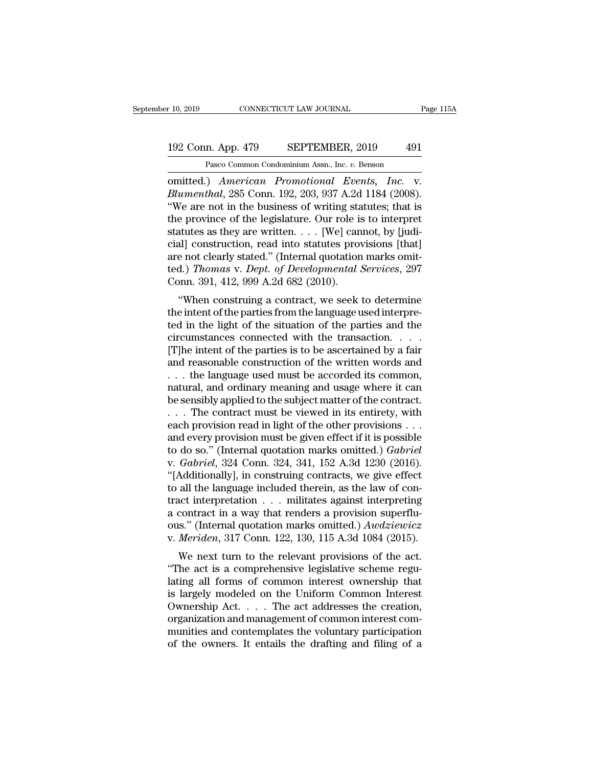# 10, 2019 CONNECTICUT LAW JOURNAL Page 115A<br>192 Conn. App. 479 SEPTEMBER, 2019 491<br>Pasco Common Condominium Assn., Inc. v. Benson

r 10, 2019 CONNECTICUT LAW JOURNAL Page 115A<br>192 Conn. App. 479 SEPTEMBER, 2019 491<br>Pasco Common Condominium Assn., Inc. *v.* Benson<br>0mitted.) *American Promotional Events*, *Inc.* v. omitted.) *American Promotional Events, Inc.* v.<br> *American Promotional Events, Inc.* v.<br> *American Promotional Events, Inc.* v.<br> *Alumenthal*, 285 Conn. 192, 203, 937 A.2d 1184 (2008).<br> **Alumenthal**, 285 Conn. 192, 203, 9 **Blumenthal**, 285 Connon Condominium Assn., Inc. *v.* Benson<br> **Blumenthal**, 285 Conn. 192, 203, 937 A.2d 1184 (2008).<br> **Blumenthal**, 285 Conn. 192, 203, 937 A.2d 1184 (2008).<br> **Evaluate 2008** Connection and the business of <sup>192</sup> Conn. App. 479 SEPTEMBER, 2019 491<br>
<sup>Pasco Common Condominium Assn., Inc. v. Benson<br>
omitted.) *American Promotional Events*, *Inc.* v.<br> *Blumenthal*, 285 Conn. 192, 203, 937 A.2d 1184 (2008).<br>
"We are not in the bu</sup> 192 Conn. App. 479 SEPTEMBER, 2019 491<br>
Pasco Common Condominium Assn., Inc. v. Benson<br>
omitted.) *American Promotional Events, Inc.* v.<br> *Blumenthal*, 285 Conn. 192, 203, 937 A.2d 1184 (2008).<br>
"We are not in the business Pasco Common Condominium Assn., Inc. v. Benson<br>
omitted.) American Promotional Events, Inc. v.<br>
Blumenthal, 285 Conn. 192, 203, 937 A.2d 1184 (2008).<br>
"We are not in the business of writing statutes; that is<br>
the province Pasco Common Condominium Assn., inc. v. Benson<br>
consitted.) American Promotional Events, Inc. v.<br>
Blumenthal, 285 Conn. 192, 203, 937 A.2d 1184 (2008).<br>
"We are not in the business of writing statutes; that is<br>
the provin omitted.) *American Promotional Events, Inc.* v.<br>Blumenthal, 285 Conn. 192, 203, 937 A.2d 1184 (2008).<br>"We are not in the business of writing statutes; that is<br>the province of the legislature. Our role is to interpret<br>sta Blumenthal, 285 Conn. 192, 203, 937 A.2d 1184 (2008).<br>
"We are not in the business of writing statutes; that is<br>
the province of the legislature. Our role is to interpret<br>
statutes as they are written. . . . [We] cannot, b "We are not in the business of writing state province of the legislature. Our role is statutes as they are written. . . . [We] can cial] construction, read into statutes provare not clearly stated." (Internal quotation te The province of the regislature. Our fole is to interpret<br>attutes as they are written.... [We] cannot, by [judi-<br>al] construction, read into statutes provisions [that]<br>a) Thomas v. Dept. of Developmental Services, 297<br>pnn statues as they are writtent  $\ldots$  [we] cannot, by [Judicial] construction, read into statutes provisions [that] are not clearly stated." (Internal quotation marks omitted.) *Thomas v. Dept. of Developmental Services*, 29

ted.) Thomas v. Dept. of Developmental Services, 297<br>Conn. 391, 412, 999 A.2d 682 (2010).<br>"When construing a contract, we seek to determine<br>the intent of the parties from the language used interpre-<br>ted in the light of the are not clearly stated. (Internal quotation marks onticled.) Thomas v. Dept. of Developmental Services, 297<br>Conn. 391, 412, 999 A.2d 682 (2010).<br>
"When construing a contract, we seek to determine<br>the intent of the parties (ed.) Thomas v. Dept. of Developmental Services, 257<br>Conn. 391, 412, 999 A.2d 682 (2010).<br>
"When construing a contract, we seek to determine<br>
the intent of the parties from the language used interpre-<br>
ted in the light of Confi. 351, 412, 333 A.2d 062 (2010).<br>
"When construing a contract, we seek to determine<br>
the intent of the parties from the language used interpre-<br>
ted in the light of the situation of the parties and the<br>
circumstances "When construing a contract, we seek to determine<br>the intent of the parties from the language used interpre-<br>ted in the light of the situation of the parties and the<br>circumstances connected with the transaction. . . . .<br>[ natural, and ordinary meaning and usage where it can ted in the light of the situation of the parties and the circumstances connected with the transaction. . . . . [T]he intent of the parties is to be ascertained by a fair and reasonable construction of the written words and . . . The contract must be viewed in its entirety, with [T]he intent of the parties is to be ascertained by a fair<br>and reasonable construction of the written words and<br>... the language used must be accorded its common,<br>natural, and ordinary meaning and usage where it can<br>be se and reasonable construction of the written words and<br>
... the language used must be accorded its common,<br>
natural, and ordinary meaning and usage where it can<br>
be sensibly applied to the subject matter of the contract.<br>
. . . . the language used must be accorded its common,<br>natural, and ordinary meaning and usage where it can<br>be sensibly applied to the subject matter of the contract.<br>. . . The contract must be viewed in its entirety, with<br>e natural, and ordinary meaning and usage where it can<br>be sensibly applied to the subject matter of the contract.<br>... The contract must be viewed in its entirety, with<br>each provision read in light of the other provisions ... be sensibly applied to the subject matter of the contract.<br>  $\ldots$  The contract must be viewed in its entirety, with<br>
each provision read in light of the other provisions  $\ldots$ <br>
and every provision must be given effect if ... The contract must be viewed in its entirety, with each provision read in light of the other provisions ...<br>and every provision must be given effect if it is possible<br>to do so." (Internal quotation marks omitted.) *Gab* each provision read in light of the other provisions . . .<br>and every provision must be given effect if it is possible<br>to do so." (Internal quotation marks omitted.) *Gabriel*<br>v. *Gabriel*, 324 Conn. 324, 341, 152 A.3d 123 and every provision must be given effect if it is possible<br>to do so." (Internal quotation marks omitted.) *Gabriel*<br>v. *Gabriel*, 324 Conn. 324, 341, 152 A.3d 1230 (2016).<br>"[Additionally], in construing contracts, we give to do so." (Internal quotation marks omitted.) *Gabriel*<br>v. *Gabriel*, 324 Conn. 324, 341, 152 A.3d 1230 (2016).<br>"[Additionally], in construing contracts, we give effect<br>to all the language included therein, as the law of v. *Gabriel*, 324 Conn. 324, 341, 152 A.3d 1230 (2016).<br>
"[Additionally], in construing contracts, we give effect<br>
to all the language included therein, as the law of con-<br>
tract interpretation . . . militates against inte Additionary], in constraing contracts, we give enect<br>all the language included therein, as the law of con-<br>act interpretation . . . militates against interpreting<br>contract in a way that renders a provision superflu-<br>s." ( to an the language included therein, as the law of contract interpretation . . . militates against interpreting a contract in a way that renders a provision superflu-<br>ous." (Internal quotation marks omitted.)  $\text{A}wdziewicz$ <br>

a contract in a way that renders a provision superflu-<br>ous." (Internal quotation marks omitted.)  $Awdziewicz$ <br>v. Meriden, 317 Conn. 122, 130, 115 A.3d 1084 (2015).<br>We next turn to the relevant provisions of the act.<br>"The act i a contract in a way that renders a provision supernu-<br>ous." (Internal quotation marks omitted.)  $Awdziewicz$ <br>v. Meriden, 317 Conn. 122, 130, 115 A.3d 1084 (2015).<br>We next turn to the relevant provisions of the act.<br>"The act is ous. (Internal quotation marks omitted.) Awaziewicz<br>v. Meriden, 317 Conn. 122, 130, 115 A.3d 1084 (2015).<br>We next turn to the relevant provisions of the act.<br>"The act is a comprehensive legislative scheme regu-<br>lating all We next turn to the relevant provisions of the act.<br>
"The act is a comprehensive legislative scheme regulating all forms of common interest ownership that<br>
is largely modeled on the Uniform Common Interest<br>
Ownership Act. We next turn to the relevant provisions of the act.<br>
"The act is a comprehensive legislative scheme regulating all forms of common interest ownership that<br>
is largely modeled on the Uniform Common Interest<br>
Ownership Act. "The act is a comprehensive legislative scheme regulating all forms of common interest ownership that is largely modeled on the Uniform Common Interest Ownership Act.  $\dots$  The act addresses the creation, organization and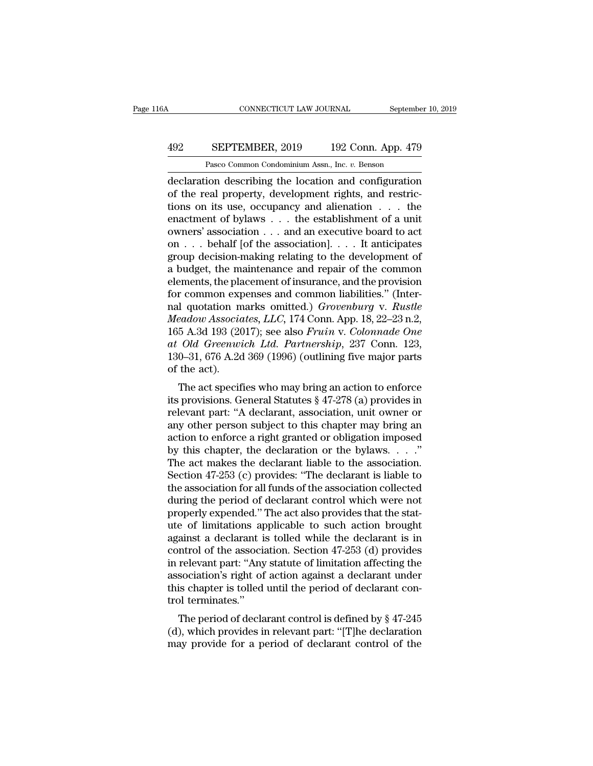### CONNECTICUT LAW JOURNAL September 10, 2019<br>492 SEPTEMBER, 2019 192 Conn. App. 479<br>Pasco Common Condominium Assn., Inc. v. Benson CONNECTICUT LAW JOURNAL Septembe<br>
SEPTEMBER, 2019 192 Conn. App. 479<br>
Pasco Common Condominium Assn., Inc. *v.* Benson<br>
ion describing the location and configuration

CONNECTICUT LAW JOURNAL September 10, 2019<br>
492 SEPTEMBER, 2019 192 Conn. App. 479<br>
Pasco Common Condominium Assn., Inc. v. Benson<br>
declaration describing the location and configuration<br>
of the real property, development r **SEPTEMBER, 2019** 192 Conn. App. 479<br>
Pasco Common Condominium Assn., Inc. v. Benson<br>
declaration describing the location and configuration<br>
of the real property, development rights, and restric-<br>
tions on its use, occupan EXEPTEMBER, 2019 192 Conn. App. 479<br>
Pasco Common Condominium Assn., Inc. v. Benson<br>
declaration describing the location and configuration<br>
of the real property, development rights, and restric-<br>
tions on its use, occupan **EXEPTEMBER, 2019** 192 Conn. App. 479<br>
Pasco Common Condominium Assn., Inc. v. Benson<br>
declaration describing the location and configuration<br>
of the real property, development rights, and restric-<br>
tions on its use, occup Pasco Common Condominium Assn., Inc. v. Benson<br>
declaration describing the location and configuration<br>
of the real property, development rights, and restric-<br>
tions on its use, occupancy and alienation . . . the<br>
enactmen Pasco Common Condominium Assn., inc.  $v$ . Benson<br>declaration describing the location and configuration<br>of the real property, development rights, and restric-<br>tions on its use, occupancy and alienation  $\dots$  the<br>enactment o declaration describing the location and configuration<br>of the real property, development rights, and restric-<br>tions on its use, occupancy and alienation . . . the<br>enactment of bylaws . . . the establishment of a unit<br>owners % of the real property, development rights, and restrictions on its use, occupancy and alienation . . . the enactment of bylaws . . . the establishment of a unit owners' association . . . and an executive board to act on tions on its use, occupancy and alienation . . . the<br>enactment of bylaws . . . the establishment of a unit<br>owners' association . . . and an executive board to act<br>on . . . behalf [of the association]. . . . It anticipates enactment of bylaws . . . the establishment of a unit<br>owners' association . . . and an executive board to act<br>on . . . behalf [of the association]. . . . It anticipates<br>group decision-making relating to the development of owners' association . . . and an executive board to act<br>on . . . behalf [of the association]. . . . It anticipates<br>group decision-making relating to the development of<br>a budget, the maintenance and repair of the common<br>ele on . . . behalf [of the association]. . . . It anticipates<br>group decision-making relating to the development of<br>a budget, the maintenance and repair of the common<br>elements, the placement of insurance, and the provision<br>for group decision-making relating to the development of<br>a budget, the maintenance and repair of the common<br>elements, the placement of insurance, and the provision<br>for common expenses and common liabilities." (Inter-<br>nal quota *a* budget, the maintenance and repair of the common elements, the placement of insurance, and the provision for common expenses and common liabilities." (Internal quotation marks omitted.) *Grovenburg* v. *Rustle Meadow A* elements, the placement of insurance, and the provision<br>for common expenses and common liabilities." (Inter-<br>nal quotation marks omitted.) *Grovenburg* v. *Rustle*<br>*Meadow Associates, LLC,* 174 Conn. App. 18, 22–23 n.2,<br>16 for common exp<br>nal quotation m<br>*Meadow Associa*<br>165 A.3d 193 (20<br>*at Old Greenwi*<br>130–31, 676 A.2d<br>of the act).<br>The act specif Transformation considers and the acts of the acts of the acts of the acts of the acts of the acts of the acts.<br>The act specifies who may bring an action to enforce provisions. General Statutes  $\S 47-278$  (a) provides in l ineuable Associates, EEC, 174 Colin. App. 18, 22–25 ft.2,<br>165 A.3d 193 (2017); see also *Fruin v. Colonnade One*<br>at *Old Greenwich Ltd. Partnership*, 237 Conn. 123,<br>130–31, 676 A.2d 369 (1996) (outlining five major parts<br>

relevant particles and Table 2017), see also Frainty. Colombia one<br>at Old Greenwich Ltd. Partnership, 237 Conn. 123,<br>130–31, 676 A.2d 369 (1996) (outlining five major parts<br>of the act).<br>The act specifies who may bring an at Old Greenwich Ltd. Fartnership, 251 Collit. 125,<br>130–31, 676 A.2d 369 (1996) (outlining five major parts<br>of the act).<br>The act specifies who may bring an action to enforce<br>its provisions. General Statutes § 47-278 (a) p The act specifies who may bring an action to enforce<br>its provisions. General Statutes § 47-278 (a) provides in<br>relevant part: "A declarant, association, unit owner or<br>any other person subject to this chapter may bring an<br> The act specifies who may bring an action to enforce<br>its provisions. General Statutes § 47-278 (a) provides in<br>relevant part: "A declarant, association, unit owner or<br>any other person subject to this chapter may bring an<br> The act specifies who may bring an action to enforce<br>its provisions. General Statutes  $\S 47-278$  (a) provides in<br>relevant part: "A declarant, association, unit owner or<br>any other person subject to this chapter may bring a its provisions. General Statutes § 47-278 (a) provides in<br>relevant part: "A declarant, association, unit owner or<br>any other person subject to this chapter may bring an<br>action to enforce a right granted or obligation impose relevant part: "A declarant, association, unit owner or<br>any other person subject to this chapter may bring an<br>action to enforce a right granted or obligation imposed<br>by this chapter, the declaration or the bylaws. . . ."<br>T any other person subject to this chapter may bring an action to enforce a right granted or obligation imposed<br>by this chapter, the declaration or the bylaws.  $\dots$ ."<br>The act makes the declarant liable to the association.<br>S action to enforce a right granted or obligation imposed<br>by this chapter, the declaration or the bylaws.  $\ldots$ ."<br>The act makes the declarant liable to the association.<br>Section 47-253 (c) provides: "The declarant is liable by this chapter, the declaration or the bylaws.  $\ldots$ "<br>The act makes the declarant liable to the association.<br>Section 47-253 (c) provides: "The declarant is liable to<br>the association for all funds of the association colle The act makes the declarant liable to the association.<br>Section 47-253 (c) provides: "The declarant is liable to<br>the association for all funds of the association collected<br>during the period of declarant control which were n Section 47-253 (c) provides: "The declarant is liable to<br>the association for all funds of the association collected<br>during the period of declarant control which were not<br>properly expended." The act also provides that the s the association for all funds of the association collected<br>during the period of declarant control which were not<br>properly expended." The act also provides that the stat-<br>ute of limitations applicable to such action brought during the period of declarant control which were not<br>properly expended." The act also provides that the stat-<br>ute of limitations applicable to such action brought<br>against a declarant is tolled while the declarant is in<br>co properly expended." The act also provides that the statute of limitations applicable to such action brought against a declarant is tolled while the declarant is in control of the association. Section 47-253 (d) provides in ute of limitations approaches a<br>against a declarant in control of the association is right of<br>this chapter is tolled<br>trol terminates.''<br>The period of decla anst a declarant is toned while the declarant is in<br>
ntrol of the association. Section 47-253 (d) provides<br>
relevant part: "Any statute of limitation affecting the<br>
sociation's right of action against a declarant under<br>
i control of the association. Section 47-255 (d) provides<br>in relevant part: "Any statute of limitation affecting the<br>association's right of action against a declarant under<br>this chapter is tolled until the period of declara m relevant part. Any statute of initiation affecting the association's right of action against a declarant under this chapter is tolled until the period of declarant control terminates."<br>The period of declarant control is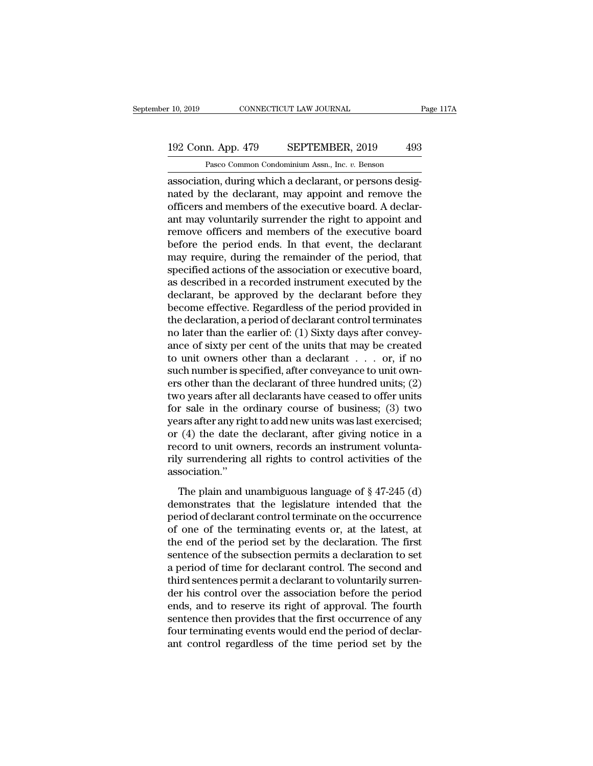### 10, 2019 CONNECTICUT LAW JOURNAL Page 117A<br>192 Conn. App. 479 SEPTEMBER, 2019 493<br>Pasco Common Condominium Assn., Inc. v. Benson EXECTICUT LAW JOURNAL<br>
1 Pasco Common Condominium Assn., Inc. *v.* Benson<br>
1 Pasco Common Condominium Assn., Inc. *v.* Benson<br>
10 Pasco Curing which a declarant or persons desig-

r 10, 2019 CONNECTICUT LAW JOURNAL<br>
192 Conn. App. 479 SEPTEMBER, 2019 493<br>
Pasco Common Condominium Assn., Inc. v. Benson<br>
association, during which a declarant, or persons desig-<br>
nated by the declarant, may appoint and 192 Conn. App. 479 SEPTEMBER, 2019 493<br>
Pasco Common Condominium Assn., Inc. v. Benson<br>
association, during which a declarant, or persons designated by the declarant, may appoint and remove the<br>
officers and members of the 192 Conn. App. 479 SEPTEMBER, 2019 493<br>
Pasco Common Condominium Assn., Inc. v. Benson<br>
association, during which a declarant, or persons desig-<br>
nated by the declarant, may appoint and remove the<br>
officers and members of 192 Conn. App. 479 SEPTEMBER, 2019 493<br>
Pasco Common Condominium Assn., Inc. v. Benson<br>
association, during which a declarant, or persons desig-<br>
nated by the declarant, may appoint and remove the<br>
officers and members of Pasco Common Condominium Assn., Inc. *v.* Benson<br>association, during which a declarant, or persons designated by the declarant, may appoint and remove the<br>officers and members of the executive board. A declar-<br>ant may volu Pasco Common Condominium Assn., inc.  $v$ . Benson<br>association, during which a declarant, or persons desig-<br>nated by the declarant, may appoint and remove the<br>officers and members of the executive board. A declar-<br>ant may v association, during which a declarant, or persons designated by the declarant, may appoint and remove the officers and members of the executive board. A declarant may voluntarily surrender the right to appoint and remove o nated by the declarant, may appoint and remove the officers and members of the executive board. A declarant may voluntarily surrender the right to appoint and remove officers and members of the executive board before the p officers and members of the executive board. A declarant may voluntarily surrender the right to appoint and remove officers and members of the executive board before the period ends. In that event, the declarant may requir ant may voluntarily surrender the right to appoint and<br>remove officers and members of the executive board<br>before the period ends. In that event, the declarant<br>may require, during the remainder of the period, that<br>specified remove officers and members of the executive board<br>before the period ends. In that event, the declarant<br>may require, during the remainder of the period, that<br>specified actions of the association or executive board,<br>as desc before the period ends. In that event, the declarant<br>may require, during the remainder of the period, that<br>specified actions of the association or executive board,<br>as described in a recorded instrument executed by the<br>decl may require, during the remainder of the period, that<br>specified actions of the association or executive board,<br>as described in a recorded instrument executed by the<br>declarant, be approved by the declarant before they<br>becom specified actions of the association or executive board,<br>as described in a recorded instrument executed by the<br>declarant, be approved by the declarant before they<br>become effective. Regardless of the period provided in<br>the as described in a recorded instrument executed by the declarant, be approved by the declarant before they become effective. Regardless of the period provided in the declaration, a period of declarant control terminates no declarant, be approved by the declarant before they<br>become effective. Regardless of the period provided in<br>the declaration, a period of declarant control terminates<br>no later than the earlier of: (1) Sixty days after convey become effective. Regardless of the period provided in<br>the declaration, a period of declarant control terminates<br>no later than the earlier of: (1) Sixty days after convey-<br>ance of sixty per cent of the units that may be c the declaration, a period of declarant control terminates<br>no later than the earlier of: (1) Sixty days after convey-<br>ance of sixty per cent of the units that may be created<br>to unit owners other than a declarant . . . or, i mo later than the earlier of: (1) Sixty days after convey-<br>ance of sixty per cent of the units that may be created<br>to unit owners other than a declarant  $\dots$  or, if no<br>such number is specified, after conveyance to unit ow ance of sixty per cent of the units that may be created<br>to unit owners other than a declarant  $\ldots$  or, if no<br>such number is specified, after conveyance to unit own-<br>ers other than the declarant of three hundred units; (2 to unit owners other than a declarant  $\dots$  or, if no<br>such number is specified, after conveyance to unit own-<br>ers other than the declarant of three hundred units; (2)<br>two years after all declarants have ceased to offer uni such number is specified, after conveyance to unit own-<br>ers other than the declarant of three hundred units; (2)<br>two years after all declarants have ceased to offer units<br>for sale in the ordinary course of business; (3) tw ers other than the declarant of three hundred units; (2)<br>two years after all declarants have ceased to offer units<br>for sale in the ordinary course of business; (3) two<br>years after any right to add new units was last exerci association.'' The plain and unambiguous language of § 47-245 (d)<br>monstrates that the declarant, after giving notice in a<br>cord to unit owners, records an instrument volunta-<br>y surrendering all rights to control activities of the<br>sociati demonstrates that the declarant, after giving notice in a<br>record to unit owners, records an instrument volunta-<br>rily surrendering all rights to control activities of the<br>association."<br>The plain and unambiguous language of

period of the normal set also are instrument voluntary<br>record to unit owners, records an instrument volunta-<br>rily surrendering all rights to control activities of the<br>association."<br>The plain and unambiguous language of  $\S$ rily surrendering all rights to control activities of the<br>association."<br>The plain and unambiguous language of  $\S$  47-245 (d)<br>demonstrates that the legislature intended that the<br>period of declarant control terminate on the The plain and unambiguous language of  $\S$  47-245 (d)<br>demonstrates that the legislature intended that the<br>period of declarant control terminate on the occurrence<br>of one of the terminating events or, at the latest, at<br>the e The plain and unambiguous language of  $\S$  47-245 (d)<br>demonstrates that the legislature intended that the<br>period of declarant control terminate on the occurrence<br>of one of the terminating events or, at the latest, at<br>the e The plain and unambiguous language of  $\S$  47-245 (d)<br>demonstrates that the legislature intended that the<br>period of declarant control terminate on the occurrence<br>of one of the terminating events or, at the latest, at<br>the e demonstrates that the legislature intended that the period of declarant control terminate on the occurrence of one of the terminating events or, at the latest, at the end of the period set by the declaration. The first sen period of declarant control terminate on the occurrence<br>of one of the terminating events or, at the latest, at<br>the end of the period set by the declaration. The first<br>sentence of the subsection permits a declaration to set of one of the terminating events or, at the latest, at<br>the end of the period set by the declaration. The first<br>sentence of the subsection permits a declaration to set<br>a period of time for declarant control. The second and<br> the end of the period set by the declaration. The first<br>sentence of the subsection permits a declaration to set<br>a period of time for declarant control. The second and<br>third sentences permit a declarant to voluntarily surre sentence of the subsection permits a declaration to set<br>a period of time for declarant control. The second and<br>third sentences permit a declarant to voluntarily surren-<br>der his control over the association before the perio a period of time for declarant control. The second and<br>third sentences permit a declarant to voluntarily surren-<br>der his control over the association before the period<br>ends, and to reserve its right of approval. The fourth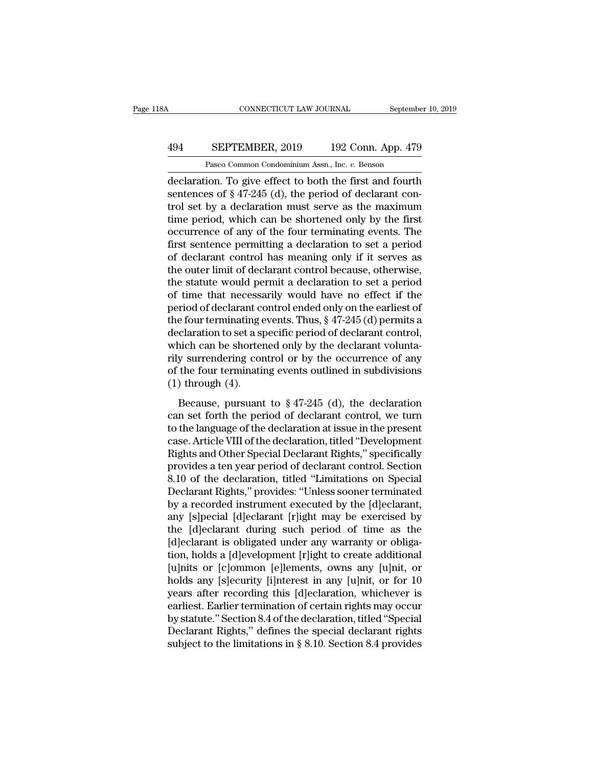### CONNECTICUT LAW JOURNAL September 10, 2019<br>494 SEPTEMBER, 2019 192 Conn. App. 479<br>Pasco Common Condominium Assn., Inc. v. Benson CONNECTICUT LAW JOURNAL Septembe<br>
SEPTEMBER, 2019 192 Conn. App. 479<br>
Pasco Common Condominium Assn., Inc. *v.* Benson<br>
ion To give effect to both the first and fourth

CONNECTICUT LAW JOURNAL September 10, 2019<br>
494 SEPTEMBER, 2019 192 Conn. App. 479<br>
Pasco Common Condominium Assn., Inc. v. Benson<br>
declaration. To give effect to both the first and fourth<br>
sentences of § 47-245 (d), the p SEPTEMBER, 2019 192 Conn. App. 479<br>
Pasco Common Condominium Assn., Inc. v. Benson<br>
declaration. To give effect to both the first and fourth<br>
sentences of § 47-245 (d), the period of declarant con-<br>
trol set by a declarati 494 SEPTEMBER, 2019 192 Conn. App. 479<br>
Pasco Common Condominium Assn., Inc. v. Benson<br>
declaration. To give effect to both the first and fourth<br>
sentences of § 47-245 (d), the period of declarant con-<br>
trol set by a decl **EXEPTEMBER, 2019** 192 Conn. App. 479<br>
Pasco Common Condominium Assn., Inc. v. Benson<br>
declaration. To give effect to both the first and fourth<br>
sentences of § 47-245 (d), the period of declarant con-<br>
trol set by a decla Pasco Common Condominium Assn., Inc. v. Benson<br>declaration. To give effect to both the first and fourth<br>sentences of § 47-245 (d), the period of declarant con-<br>trol set by a declaration must serve as the maximum<br>time peri Pasco Common Condominium Assn., inc.  $v$ . Benson<br>declaration. To give effect to both the first and fourth<br>sentences of  $\S 47-245$  (d), the period of declarant con-<br>trol set by a declaration must serve as the maximum<br>time declaration. To give effect to both the first and fourth<br>sentences of § 47-245 (d), the period of declarant con-<br>trol set by a declaration must serve as the maximum<br>time period, which can be shortened only by the first<br>occ sentences of  $\S 47-245$  (d), the period of declarant control set by a declaration must serve as the maximum<br>time period, which can be shortened only by the first<br>occurrence of any of the four terminating events. The<br>first trol set by a declaration must serve as the maximum<br>time period, which can be shortened only by the first<br>occurrence of any of the four terminating events. The<br>first sentence permitting a declaration to set a period<br>of dec time period, which can be shortened only by the first<br>occurrence of any of the four terminating events. The<br>first sentence permitting a declaration to set a period<br>of declarant control has meaning only if it serves as<br>the occurrence of any of the four terminating events. The<br>first sentence permitting a declaration to set a period<br>of declarant control has meaning only if it serves as<br>the outer limit of declarant control because, otherwise,<br>t first sentence permitting a declaration to set a period<br>of declarant control has meaning only if it serves as<br>the outer limit of declarant control because, otherwise,<br>the statute would permit a declaration to set a period of declarant control has meaning only if it serves as<br>the outer limit of declarant control because, otherwise,<br>the statute would permit a declaration to set a period<br>of time that necessarily would have no effect if the<br>per the outer limit of declarant control because, otherwise,<br>the statute would permit a declaration to set a period<br>of time that necessarily would have no effect if the<br>period of declarant control ended only on the earliest of the statute would permit a declaration to set a period<br>of time that necessarily would have no effect if the<br>period of declarant control ended only on the earliest of<br>the four terminating events. Thus,  $\S 47-245$  (d) permi of time that necessarily would have no effect if the period of declarant control ended only on the earliest of the four terminating events. Thus,  $\S 47-245$  (d) permits a declaration to set a specific period of declarant period of declarant combined the four terminating explored as a spectral which can be shorter rily surrendering condition of the four termination (1) through (4). Because, pursuant Example 12.6 (d) permains and claration to set a specific period of declarant control, anche can be shortened only by the declarant volunta-<br>y surrendering control or by the occurrence of any the four terminating events o declaration to set a specific period of declarant control,<br>which can be shortened only by the declarant volunta-<br>rily surrendering control or by the occurrence of any<br>of the four terminating events outlined in subdivisions

Figure 1.1 The language of the declaration at issue in the present property of the four terminating events outlined in subdivisions (1) through (4).<br>Because, pursuant to  $\S 47-245$  (d), the declaration can set forth the p rify sarichaering contor of  $v_j$  are occurrence of any<br>of the four terminating events outlined in subdivisions<br>(1) through (4).<br>Because, pursuant to  $\S$  47-245 (d), the declaration<br>can set forth the period of declaration (1) through (4).<br>
Because, pursuant to  $\S$  47-245 (d), the declaration<br>
can set forth the period of declarant control, we turn<br>
to the language of the declaration at issue in the present<br>
case. Article VIII of the declara Because, pursuant to  $\S 47-245$  (d), the declaration<br>can set forth the period of declarant control, we turn<br>to the language of the declaration at issue in the present<br>case. Article VIII of the declaration, titled "Develop Because, pursuant to  $\S 47-245$  (d), the declaration<br>can set forth the period of declarant control, we turn<br>to the language of the declaration at issue in the present<br>case. Article VIII of the declaration, titled "Develop can set forth the period of declarant control, we turn<br>to the language of the declaration at issue in the present<br>case. Article VIII of the declaration, titled "Development<br>Rights and Other Special Declarant Rights," speci to the language of the declaration at issue in the present<br>case. Article VIII of the declaration, titled "Development<br>Rights and Other Special Declarant Rights," specifically<br>provides a ten year period of declarant control case. Article VIII of the declaration, titled "Development<br>Rights and Other Special Declarant Rights," specifically<br>provides a ten year period of declarant control. Section<br>8.10 of the declaration, titled "Limitations on S Rights and Other Special Declarant Rights," specifically<br>provides a ten year period of declarant control. Section<br>8.10 of the declaration, titled "Limitations on Special<br>Declarant Rights," provides: "Unless sooner terminat provides a ten year period of declarant control. Section 8.10 of the declaration, titled "Limitations on Special Declarant Rights," provides: "Unless sooner terminated by a recorded instrument executed by the [d]eclarant, 8.10 of the declaration, titled "Limitations on Special<br>Declarant Rights," provides: "Unless sooner terminated<br>by a recorded instrument executed by the [d]eclarant,<br>any [s]pecial [d]eclarant [r]ight may be exercised by<br>the Declarant Rights," provides: "Unless sooner terminated<br>by a recorded instrument executed by the [d]eclarant,<br>any [s]pecial [d]eclarant [r]ight may be exercised by<br>the [d]eclarant during such period of time as the<br>[d]eclara by a recorded instrument executed by the [d]eclarant,<br>any [s]pecial [d]eclarant [r]ight may be exercised by<br>the [d]eclarant during such period of time as the<br>[d]eclarant is obligated under any warranty or obliga-<br>tion, hol any [s]pecial [d]eclarant [r]ight may be exercised by<br>the [d]eclarant during such period of time as the<br>[d]eclarant is obligated under any warranty or obliga-<br>tion, holds a [d]evelopment [r]ight to create additional<br>[u]nit the [d]eclarant during such period of time as the<br>[d]eclarant is obligated under any warranty or obliga-<br>tion, holds a [d]evelopment [r]ight to create additional<br>[u]nits or [c]ommon [e]lements, owns any [u]nit, or<br>holds an [d]eclarant is obligated under any warranty or obligation, holds a [d]evelopment [r]ight to create additional<br>[u]nits or [c]ommon [e]lements, owns any [u]nit, or<br>holds any [s]ecurity [i]nterest in any [u]nit, or for 10<br>yea tion, holds a [d]evelopment [r]ight to create additional<br>[u]nits or [c]ommon [e]lements, owns any [u]nit, or<br>holds any [s]ecurity [i]nterest in any [u]nit, or for 10<br>years after recording this [d]eclaration, whichever is<br>e [u]nits or [c]ommon [e]lements, owns any [u]nit, or holds any [s]ecurity [i]nterest in any [u]nit, or for 10 years after recording this [d]eclaration, whichever is earliest. Earlier termination of certain rights may occur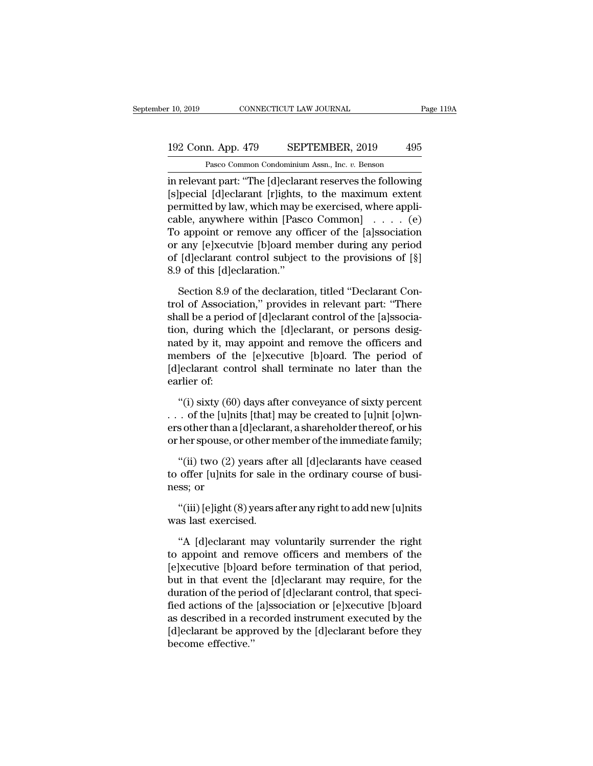### 10, 2019 CONNECTICUT LAW JOURNAL Page 119A<br>192 Conn. App. 479 SEPTEMBER, 2019 495<br>Pasco Common Condominium Assn., Inc. v. Benson Pasco Common Condominium Assn., Inc. *v.* Benson

r 10, 2019 CONNECTICUT LAW JOURNAL Page 119A<br>
192 Conn. App. 479 SEPTEMBER, 2019 495<br>
Pasco Common Condominium Assn., Inc. *v.* Benson<br>
in relevant part: "The [d]eclarant reserves the following<br>
[s]pecial [d]eclarant [r]ig 192 Conn. App. 479 SEPTEMBER, 2019 495<br>Pasco Common Condominium Assn., Inc. v. Benson<br>in relevant part: "The [d]eclarant reserves the following<br>[s]pecial [d]eclarant [r]ights, to the maximum extent<br>permitted by law, which 192 Conn. App. 479 SEPTEMBER, 2019 495<br>
Pasco Common Condominium Assn., Inc. v. Benson<br>
in relevant part: "The [d]eclarant reserves the following<br>
[s]pecial [d]eclarant [r]ights, to the maximum extent<br>
permitted by law, w 192 Conn. App. 479 SEPTEMBER, 2019 495<br>
Pasco Common Condominium Assn., Inc. v. Benson<br>
in relevant part: "The [d]eclarant reserves the following<br>
[s]pecial [d]eclarant [r]ights, to the maximum extent<br>
permitted by law, w Pasco Common Condominium Assn., Inc. v. Benson<br>in relevant part: "The [d]eclarant reserves the following<br>[s]pecial [d]eclarant [r]ights, to the maximum extent<br>permitted by law, which may be exercised, where appli-<br>cable, Pasco Common Condominum Assn., inc.  $v$ . Benson<br>in relevant part: "The [d]eclarant reserves the following<br>[s]pecial [d]eclarant [r]ights, to the maximum extent<br>permitted by law, which may be exercised, where appli-<br>cable, in relevant part: "The [d]eclarant reserves the following<br>[s]pecial [d]eclarant [r]ights, to the maximum extent<br>permitted by law, which may be exercised, where appli-<br>cable, anywhere within [Pasco Common] . . . . . (e)<br>To [s]pecial [d]eclarant [r]ights,<br>permitted by law, which may b<br>cable, anywhere within [Pasc<br>To appoint or remove any of<br>or any [e]xecutvie [b]oard me<br>of [d]eclarant control subject<br>8.9 of this [d]eclaration."<br>Section 8.9 of ble, anywhere within [Pasco Common]  $\ldots$  (e)<br>
appoint or remove any officer of the [a]ssociation<br>
any [e]xecutvie [b]oard member during any period<br>
[d]eclarant control subject to the provisions of [§]<br>
9 of this [d]eclar To appoint or remove any officer of the [a]ssociation<br>or any [e]xecutvie [b]oard member during any period<br>of [d]eclarant control subject to the provisions of [§]<br>8.9 of this [d]eclaration."<br>Section 8.9 of the declaration,

or any [e]xecutvie [b]oard member during any period<br>of [d]eclarant control subject to the provisions of [§]<br>8.9 of this [d]eclaration."<br>Section 8.9 of the declaration, titled "Declarant Con-<br>trol of Association," provides of [d]eclarant control subject to the provisions of [§]<br>8.9 of this [d]eclaration."<br>Section 8.9 of the declaration, titled "Declarant Con-<br>trol of Association," provides in relevant part: "There<br>shall be a period of [d]ecl 8.9 of this [d]eclaration."<br>
Section 8.9 of the declaration, titled "Declarant Control of Association," provides in relevant part: "There<br>
shall be a period of [d]eclarant control of the [a]ssocia-<br>
tion, during which the Section 8.9 of the declaration, titled "Declarant Control of Association," provides in relevant part: "There<br>shall be a period of [d]eclarant control of the [a]ssocia-<br>tion, during which the [d]eclarant, or persons desig-<br> Section 8.9 of the declaration, titled "Declarant Control of Association," provides in relevant part: "There shall be a period of [d]eclarant control of the [a]ssociation, during which the [d]eclarant, or persons designate trol of Associa<br>shall be a perio<br>tion, during wi<br>nated by it, ma<br>members of tl<br>[d]eclarant con<br>earlier of:<br>"(i) sixty (60 on, during which the [d]eclarant, or persons desig-<br>ted by it, may appoint and remove the officers and<br>embers of the [e]xecutive [b]oard. The period of<br>]eclarant control shall terminate no later than the<br>rlier of:<br>"(i) si nated by it, may appoint and remove the officers and<br>members of the [e]xecutive [b]oard. The period of<br>[d]eclarant control shall terminate no later than the<br>earlier of:<br>"(i) sixty (60) days after conveyance of sixty perce

members of the [e]xecutive [b]oard. The period of<br>[d]eclarant control shall terminate no later than the<br>earlier of:<br>"(i) sixty (60) days after conveyance of sixty percent<br>... of the [u]nits [that] may be created to [u]nit [d]eclarant control shall terminate no later than the<br>earlier of:<br>"(i) sixty (60) days after conveyance of sixty percent<br>... of the [u]nits [that] may be created to [u]nit [o]wn-<br>ers other than a [d]eclarant, a shareholde "(i) sixty (60) days after conveyance of sixty percent<br>
"(i) sixty (60) days after conveyance of sixty percent<br>
. of the [u]nits [that] may be created to [u]nit [o]wn-<br>
sother than a [d]eclarant, a shareholder thereof, or "(i) sixty (60) days after conveyance of sixty percent . . . of the [u]nits [that] may be created to [u]nit [o]wners other than a [d]eclarant, a shareholder thereof, or his or her spouse, or other member of the immediate ... of the [u]nit<br>ers other than a |<br>or her spouse, or<br>"(ii) two (2) y<br>to offer [u]nits 1<br>ness; or<br>"(iii) [e]ight (8

s other than a [d]ectarant, a snareholder thereor, or fusher spouse, or other member of the immediate family;<br>"(ii) two (2) years after all [d]eclarants have ceased<br>offer [u]nits for sale in the ordinary course of busi-<br>ss or ner spouse, or other html<br>
"(ii) two (2) years after to offer [u]nits for sale in<br>
ness; or<br>
"(iii) [e]ight (8) years a<br>
was last exercised.<br>
"A [d]eclarant may v (ii) two  $(2)$  years after an [d]eclarants have ceased<br>offer [u]nits for sale in the ordinary course of busi-<br>ss; or<br>"(iii) [e]ight (8) years after any right to add new [u]nits<br>as last exercised.<br>"A [d]eclarant may volunt

to oner jujins for safe in the ordinary course of business; or<br>
"(iii) [e]ight (8) years after any right to add new [u]nits<br>
was last exercised.<br>
"A [d]eclarant may voluntarily surrender the right<br>
to appoint and remove of "(iii) [e]ight (8) years after any right to add new [u]nits<br>was last exercised.<br>"A [d]eclarant may voluntarily surrender the right<br>to appoint and remove officers and members of the<br>[e]xecutive [b]oard before termination of "(iii) [e]ight (8) years after any right to add new [u]nits<br>was last exercised.<br>"A [d]eclarant may voluntarily surrender the right<br>to appoint and remove officers and members of the<br>[e]xecutive [b]oard before termination of was last exercised.<br>
"A [d]eclarant may voluntarily surrender the right<br>
to appoint and remove officers and members of the<br>
[e]xecutive [b]oard before termination of that period,<br>
but in that event the [d]eclarant may requ "A [d]eclarant may voluntarily surrender the right<br>to appoint and remove officers and members of the<br>[e]xecutive [b]oard before termination of that period,<br>but in that event the [d]eclarant may require, for the<br>duration of "A [d]eclarant may voluntarily surrender the right<br>to appoint and remove officers and members of the<br>[e]xecutive [b]oard before termination of that period,<br>but in that event the [d]eclarant may require, for the<br>duration o to appoint and remove officers and members of the<br>[e]xecutive [b]oard before termination of that period,<br>but in that event the [d]eclarant may require, for the<br>duration of the period of [d]eclarant control, that speci-<br>fie [e]xecutive [b]oard<br>but in that event t<br>duration of the peri<br>fied actions of the<br>as described in a re<br>[d]eclarant be appı<br>become effective.''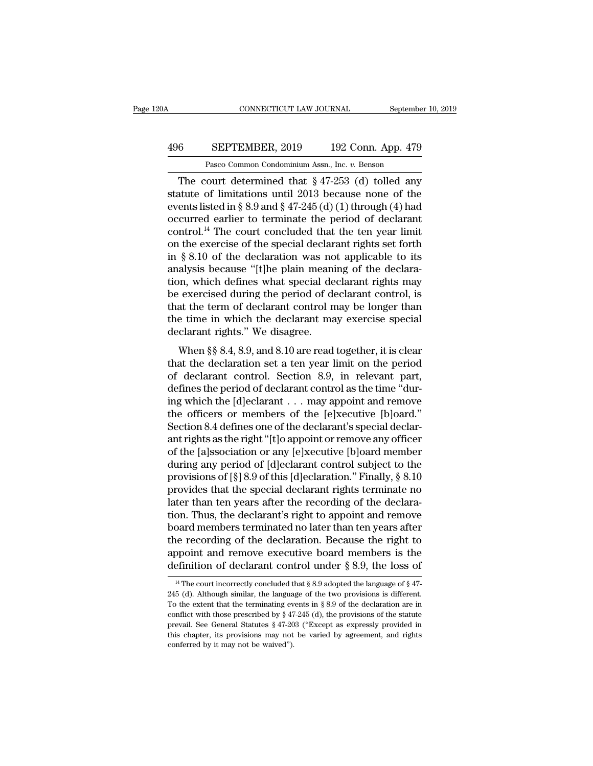## CONNECTICUT LAW JOURNAL September 10, 2019<br>496 SEPTEMBER, 2019 192 Conn. App. 479<br>Pasco Common Condominium Assn., Inc. v. Benson CONNECTICUT LAW JOURNAL September 10, 2019<br>
6 SEPTEMBER, 2019 192 Conn. App. 479<br>
Pasco Common Condominium Assn., Inc. *v.* Benson<br>
The court determined that § 47-253 (d) tolled any

CONNECTICUT LAW JOURNAL September 10, 2019<br>
6 SEPTEMBER, 2019 192 Conn. App. 479<br>
Pasco Common Condominium Assn., Inc. *v.* Benson<br>
The court determined that § 47-253 (d) tolled any<br>
atute of limitations until 2013 because SEPTEMBER, 2019 192 Conn. App. 479<br>
Pasco Common Condominium Assn., Inc. v. Benson<br>
The court determined that  $\S 47-253$  (d) tolled any<br>
statute of limitations until 2013 because none of the<br>
events listed in  $\S 8.9$  and EXPTEMBER, 2019 192 Conn. App. 479<br>
Pasco Common Condominium Assn., Inc. v. Benson<br>
The court determined that § 47-253 (d) tolled any<br>
statute of limitations until 2013 because none of the<br>
events listed in § 8.9 and § 47 **496** SEPTEMBER, 2019 192 Conn. App. 479<br>
Pasco Common Condominium Assn., Inc. v. Benson<br>
The court determined that § 47-253 (d) tolled any<br>
statute of limitations until 2013 because none of the<br>
events listed in § 8.9 an Pasco Common Condominium Assn., Inc. v. Benson<br>The court determined that  $\S 47-253$  (d) tolled any<br>statute of limitations until 2013 because none of the<br>events listed in  $\S 8.9$  and  $\S 47-245$  (d) (1) through (4) had<br>occu Pasco Common Condominium Assn., Inc. v. Benson<br>
The court determined that § 47-253 (d) tolled any<br>
statute of limitations until 2013 because none of the<br>
events listed in § 8.9 and § 47-245 (d) (1) through (4) had<br>
occurr The court determined that  $\S 47-253$  (d) tolled any<br>statute of limitations until 2013 because none of the<br>events listed in  $\S 8.9$  and  $\S 47-245$  (d) (1) through (4) had<br>occurred earlier to terminate the period of declara statute of limitations until 2013 because none of the events listed in § 8.9 and § 47-245 (d) (1) through (4) had occurred earlier to terminate the period of declarant control.<sup>14</sup> The court concluded that the ten year li events listed in § 8.9 and § 47-245 (d) (1) through (4) had<br>occurred earlier to terminate the period of declarant<br>control.<sup>14</sup> The court concluded that the ten year limit<br>on the exercise of the special declarant rights se occurred earlier to terminate the period of declarant<br>control.<sup>14</sup> The court concluded that the ten year limit<br>on the exercise of the special declarant rights set forth<br>in § 8.10 of the declaration was not applicable to it control.<sup>14</sup> The court concluded that the ten year limit<br>on the exercise of the special declarant rights set forth<br>in § 8.10 of the declaration was not applicable to its<br>analysis because "[t]he plain meaning of the declara on the exercise of the special declarant rights set forth<br>in  $\S 8.10$  of the declaration was not applicable to its<br>analysis because "[t]he plain meaning of the declara-<br>tion, which defines what special declarant rights ma in § 8.10 of the declaration was no<br>analysis because "[t]he plain meani<br>tion, which defines what special de<br>be exercised during the period of de<br>that the term of declarant control n<br>the time in which the declarant ma<br>decl Mysis because [t]ne piant meaning of the declarat<br>in, which defines what special declarant rights may<br>exercised during the period of declarant control, is<br>at the term of declarant control may be longer than<br>e time in which tion, which defines what special declarant rights hay<br>be exercised during the period of declarant control, is<br>that the term of declarant control may be longer than<br>the time in which the declarant may exercise special<br>decla

be exercised daring the period of declarant control, is<br>that the term of declarant control may be longer than<br>the time in which the declarant may exercise special<br>declarant rights." We disagree.<br>When §§ 8.4, 8.9, and 8.10 declarant in which the declarant may be folger than<br>the time in which the declarant may exercise special<br>declarant rights." We disagree.<br>When §§ 8.4, 8.9, and 8.10 are read together, it is clear<br>that the declaration set a Incommunity the disagree.<br>
The same of declarant rights." We disagree.<br>
When §§ 8.4, 8.9, and 8.10 are read together, it is clear<br>
that the declaration set a ten year limit on the period<br>
of declarant control. Section 8.9, When §§ 8.4, 8.9, and 8.10 are read together, it is clear<br>that the declaration set a ten year limit on the period<br>of declarant control. Section 8.9, in relevant part,<br>defines the period of declarant control as the time "d When §§ 8.4, 8.9, and 8.10 are read together, it is clear<br>that the declaration set a ten year limit on the period<br>of declarant control. Section 8.9, in relevant part,<br>defines the period of declarant control as the time "d that the declaration set a ten year limit on the period<br>of declarant control. Section 8.9, in relevant part,<br>defines the period of declarant control as the time "dur-<br>ing which the [d]eclarant . . . may appoint and remove<br> of declarant control. Section 8.9, in relevant part,<br>defines the period of declarant control as the time "dur-<br>ing which the [d]eclarant . . . may appoint and remove<br>the officers or members of the [e]xecutive [b]oard."<br>Se defines the period of declarant control as the time "during which the [d]eclarant . . . may appoint and remove<br>the officers or members of the [e]xecutive [b]oard."<br>Section 8.4 defines one of the declarant's special declaring which the [d]eclarant . . . . may appoint and remove<br>the officers or members of the [e]xecutive [b]oard."<br>Section 8.4 defines one of the declarant's special declar-<br>ant rights as the right "[t]o appoint or remove any o the officers or members of the [e]xecutive [b]oard."<br>Section 8.4 defines one of the declarant's special declar-<br>ant rights as the right "[t]o appoint or remove any officer<br>of the [a]ssociation or any [e]xecutive [b]oard me Section 8.4 defines one of the declarant's special declar-<br>ant rights as the right "[t]o appoint or remove any officer<br>of the [a]ssociation or any [e]xecutive [b]oard member<br>during any period of [d]eclarant control subject ant rights as the right "[t]o appoint or remove any officer<br>of the [a]ssociation or any [e]xecutive [b]oard member<br>during any period of [d]eclarant control subject to the<br>provisions of [§] 8.9 of this [d]eclaration." Final of the [a]ssociation or any [e]xecutive [b]oard member<br>during any period of [d]eclarant control subject to the<br>provisions of [§] 8.9 of this [d]eclaration." Finally, § 8.10<br>provides that the special declarant rights termin during any period of [d]eclarant control subject to the<br>provisions of [§] 8.9 of this [d]eclaration." Finally, § 8.10<br>provides that the special declarant rights terminate no<br>later than ten years after the recording of the provisions of [§] 8.9 of this [d]eclaration." Finally, § 8.10<br>provides that the special declarant rights terminate no<br>later than ten years after the recording of the declara-<br>tion. Thus, the declarant's right to appoint a provides that the special declarant rights terminate no<br>later than ten years after the recording of the declara-<br>tion. Thus, the declarant's right to appoint and remove<br>board members terminated no later than ten years aft between the correctly concluded that § 8.9 adopted the language of § 47-<br><sup>14</sup> The court incorrectly concluded that § 8.9 adopted the language of § 47-<br><sup>14</sup> The court incorrectly concluded that § 8.9 adopted the language o the recording of the declaration. Because the right to appoint and remove executive board members is the definition of declarant control under § 8.9, the loss of  $\frac{14}{10}$  The court incorrectly concluded that § 8.9 adop

appoint and remove executive board members is the definition of declarant control under § 8.9, the loss of  $\frac{14}{10}$  The court incorrectly concluded that § 8.9 adopted the language of § 47-245 (d). Although similar, the definition of declarant control under § 8.9, the loss of  $\frac{14}{14}$  The court incorrectly concluded that § 8.9 adopted the language of § 47-245 (d). Although similar, the language of the two provisions is different.<br>To t Fig. 3.3, the 1088 of the Hintitori of decident Control direct  $\frac{1}{2}$  o.5, the 1088 of  $\frac{1}{4}$ .<br>The court incorrectly concluded that  $\frac{1}{8}$  8.9 adopted the language of  $\frac{1}{8}$  47-245 (d). Although similar, the l <sup>14</sup> The court incorrectly concluded that § 8.9 adopted the language of § 47-245 (d). Although similar, the language of the two provisions is different. To the extent that the terminating events in § 8.9 of the declaratio 245 (d). Although similar, the language of the two provisions is different. To the extent that the terminating events in  $\S 8.9$  of the declaration are in conflict with those prescribed by  $\S 47-245$  (d), the provisions o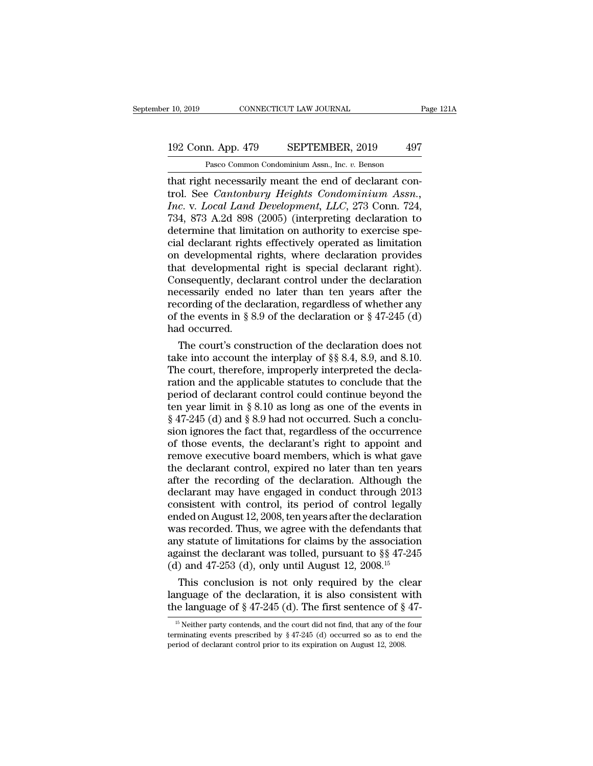### 10, 2019 CONNECTICUT LAW JOURNAL Page 121A<br>192 Conn. App. 479 SEPTEMBER, 2019 497<br>Pasco Common Condominium Assn., Inc. v. Benson CONNECTICUT LAW JOURNAL<br>
1<br>
1<br>
1<br>
2 Pasco Common Condominium Assn., Inc. *v.* Benson<br>
1<br>
1<br>
1<br>
1<br>
1<br>
Pasco Common Condominium Assn., Inc. *v.* Benson<br>
1<br>
1<br>
1<br>
1<br>
1<br>
1<br>
2<br>
2<br>
2<br>
2<br>
2<br>
2<br>
2<br>
2<br>
3<br>
3<br>
3<br>
3<br>
3<br>
3<br>
3<br>
3<br>
3<br>
3<br>

the right necessarily meant the end of declarant con-<br>
that right necessarily meant the end of declarant con-<br>
that right necessarily meant the end of declarant con-<br>
trol. See *Cantonbury Heights Condominium Assn.*, 192 Conn. App. 479 SEPTEMBER, 2019 497<br>
Pasco Common Condominium Assn., Inc. v. Benson<br>
that right necessarily meant the end of declarant con-<br>
trol. See *Cantonbury Heights Condominium Assn.*,<br> *Inc.* v. *Local Land Devel I92 Conn. App. 479 SEPTEMBER, 2019 497*<br> *Pasco Common Condominium Assn., Inc. v. Benson*<br> *Interviewed in the end of declarant control. See Cantonbury Heights Condominium Assn., Inc. v. Local Land Development, LLC, 2* 192 Conn. App. 479 SEPTEMBER, 2019 497<br>
Pasco Common Condominium Assn., Inc. v. Benson<br>
that right necessarily meant the end of declarant con-<br>
trol. See *Cantonbury Heights Condominium Assn.*,<br> *Inc.* v. *Local Land Devel* Pasco Common Condominium Assn., Inc. v. Benson<br>
that right necessarily meant the end of declarant con-<br>
trol. See *Cantonbury Heights Condominium Assn.*,<br> *Inc.* v. *Local Land Development*, *LLC*, 273 Conn. 724,<br>
734, 873 Pasco Common Condominium Assn., Inc. v. Benson<br>
that right necessarily meant the end of declarant con-<br>
trol. See *Cantonbury Heights Condominium Assn.*,<br> *Inc.* v. *Local Land Development*, *LLC*, 273 Conn. 724,<br>
734, 87 that right necessarily meant the end of declarant control. See *Cantonbury Heights Condominium Assn.*, *Inc.* v. *Local Land Development*, *LLC*, 273 Conn. 724, 734, 873 A.2d 898 (2005) (interpreting declaration to determi trol. See *Cantonbury Heights Condominium Assn.*,<br>*Inc.* v. *Local Land Development*, *LLC*, 273 Conn. 724,<br>734, 873 A.2d 898 (2005) (interpreting declaration to<br>determine that limitation on authority to exercise spe-<br>cial Inc. v. Local Land Development, LLC, 273 Conn. 724, 734, 873 A.2d 898 (2005) (interpreting declaration to determine that limitation on authority to exercise special declarant rights effectively operated as limitation on de 734, 873 A.2d 898 (2005) (interpreting declaration to<br>determine that limitation on authority to exercise spe-<br>cial declarant rights effectively operated as limitation<br>on developmental rights, where declaration provides<br>th determine that limitation on authority to exercise special declarant rights effectively operated as limitation<br>on developmental rights, where declaration provides<br>that developmental right is special declarant right).<br>Conse cial declarant rights effectively operated as limitation<br>on developmental rights, where declaration provides<br>that developmental right is special declarant right).<br>Consequently, declarant control under the declaration<br>neces on developmental<br>that developmenta<br>Consequently, decl<br>necessarily ended<br>recording of the de-<br>of the events in § 8<br>had occurred.<br>The court's cons at developmental right is special declarant right).<br>
onsequently, declarant control under the declaration<br>
cessarily ended no later than ten years after the<br>
cording of the declaration, regardless of whether any<br>
the even Consequently, declarant control under the declaration<br>necessarily ended no later than ten years after the<br>recording of the declaration, regardless of whether any<br>of the events in § 8.9 of the declaration or § 47-245 (d)<br>h

necessarily ended no later than ten years after the<br>recording of the declaration, regardless of whether any<br>of the events in § 8.9 of the declaration or § 47-245 (d)<br>had occurred.<br>The court's construction of the declarati recording of the declaration, regardless of whether any<br>of the events in § 8.9 of the declaration or § 47-245 (d)<br>had occurred.<br>The court's construction of the declaration does not<br>take into account the interplay of §§ 8. of the events in § 8.9 of the declaration or § 47-245 (d)<br>had occurred.<br>The court's construction of the declaration does not<br>take into account the interplay of §§ 8.4, 8.9, and 8.10.<br>The court, therefore, improperly inter had occurred.<br>The court's construction of the declaration does not<br>take into account the interplay of §§ 8.4, 8.9, and 8.10.<br>The court, therefore, improperly interpreted the decla-<br>ration and the applicable statutes to co The court's construction of the declaration does not take into account the interplay of  $\S$  8.4, 8.9, and 8.10.<br>The court, therefore, improperly interpreted the declaration and the applicable statutes to conclude that the take into account the interplay of  $\S$  8.4, 8.9, and 8.10.<br>The court, therefore, improperly interpreted the declaration and the applicable statutes to conclude that the<br>period of declarant control could continue beyond th The court, therefore, improperly interpreted the declaration and the applicable statutes to conclude that the period of declarant control could continue beyond the ten year limit in  $\S 8.10$  as long as one of the events i ration and the applicable statutes to conclude that the<br>period of declarant control could continue beyond the<br>ten year limit in § 8.10 as long as one of the events in<br>§ 47-245 (d) and § 8.9 had not occurred. Such a conclu period of declarant control could continue beyond the<br>ten year limit in § 8.10 as long as one of the events in<br>§ 47-245 (d) and § 8.9 had not occurred. Such a conclu-<br>sion ignores the fact that, regardless of the occurren ten year limit in § 8.10 as long as one of the events in § 47-245 (d) and § 8.9 had not occurred. Such a conclusion ignores the fact that, regardless of the occurrence of those events, the declarant's right to appoint and  $\S$  47-245 (d) and  $\S$  8.9 had not occurred. Such a conclusion ignores the fact that, regardless of the occurrence of those events, the declarant's right to appoint and remove executive board members, which is what gave t sion ignores the fact that, regardless of the occurrence<br>of those events, the declarant's right to appoint and<br>remove executive board members, which is what gave<br>the declarant control, expired no later than ten years<br>after of those events, the declarant's right to appoint and<br>remove executive board members, which is what gave<br>the declarant control, expired no later than ten years<br>after the recording of the declaration. Although the<br>declarant remove executive board members, which is what gave<br>the declarant control, expired no later than ten years<br>after the recording of the declaration. Although the<br>declarant may have engaged in conduct through 2013<br>consistent the declarant control, expired no later than ten years<br>after the recording of the declaration. Although the<br>declarant may have engaged in conduct through 2013<br>consistent with control, its period of control legally<br>ended o after the recording of the declaration. Although the declarant may have engaged in conduct through 2013 consistent with control, its period of control legally ended on August 12, 2008, ten years after the declaration was declarant may have engaged in conduct through 2013<br>consistent with control, its period of control legally<br>ended on August 12, 2008, ten years after the declaratior<br>was recorded. Thus, we agree with the defendants tha<br>any s msistent with control, its period of control legally<br>ded on August 12, 2008, ten years after the declaration<br>as recorded. Thus, we agree with the defendants that<br>y statute of limitations for claims by the association<br>ains ended on August 12, 2008, ten years after the declaration<br>was recorded. Thus, we agree with the defendants that<br>any statute of limitations for claims by the association<br>against the declarant was tolled, pursuant to §§ 47was recorded. Thus, we agree with the defendants that<br>any statute of limitations for claims by the association<br>against the declarant was tolled, pursuant to §§ 47-245<br>(d) and 47-253 (d), only until August 12, 2008.<sup>15</sup><br>Th

1) and 47-255 (d), only until August 12, 2006.<br>This conclusion is not only required by the clear<br>nguage of the declaration, it is also consistent with<br>the language of § 47-245 (d). The first sentence of § 47-<br><sup>15</sup> Neither This conclusion is not only required by the clear<br>language of the declaration, it is also consistent with<br>the language of § 47-245 (d). The first sentence of § 47-<br><sup>15</sup> Neither party contends, and the court did not find, language of the declaration, it is also consistent w<br>the language of  $\S 47-245$  (d). The first sentence of  $\S$ <br><sup>15</sup> Neither party contends, and the court did not find, that any of the<br>terminating events prescribed by  $\S 4$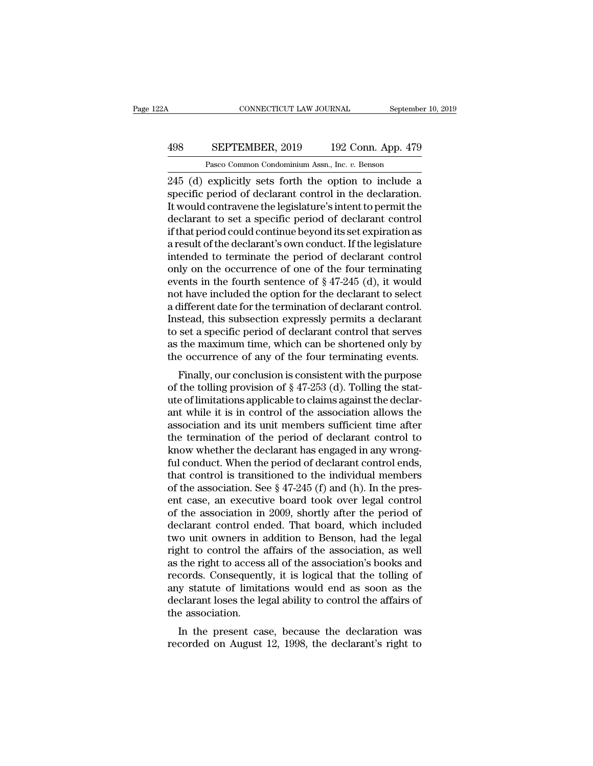### CONNECTICUT LAW JOURNAL September 10, 2019<br>498 SEPTEMBER, 2019 192 Conn. App. 479<br>Pasco Common Condominium Assn., Inc. v. Benson CONNECTICUT LAW JOURNAL Septembe<br>
SEPTEMBER, 2019 192 Conn. App. 479<br>
Pasco Common Condominium Assn., Inc. *v.* Benson<br>
explicitly sets forth the option to include a

CONNECTICUT LAW JOURNAL September 10, 2019<br>
245 (d) explicitly sets forth the option to include a<br>
245 (d) explicitly sets forth the option to include a<br>
245 (d) explicitly sets forth the option to include a<br>
245 (d) expli SEPTEMBER, 2019 192 Conn. App. 479<br>
Pasco Common Condominium Assn., Inc. v. Benson<br>
245 (d) explicitly sets forth the option to include a<br>
specific period of declarant control in the declaration.<br>
It would contravene the l EXPTEMBER, 2019 192 Conn. App. 479<br>
Pasco Common Condominium Assn., Inc.  $v$ . Benson<br>
245 (d) explicitly sets forth the option to include a<br>
specific period of declarant control in the declaration.<br>
It would contravene th 498 SEPTEMBER, 2019 192 Conn. App. 479<br>
Pasco Common Condominium Assn., Inc.  $v$ . Benson<br>
245 (d) explicitly sets forth the option to include a<br>
specific period of declarant control in the declaration.<br>
It would contraven Pasco Common Condominium Assn., Inc.  $v$ . Benson<br>245 (d) explicitly sets forth the option to include a<br>specific period of declarant control in the declaration.<br>It would contravene the legislature's intent to permit the<br>de Pasco Common Condominium Assn., Inc.  $v$ . Benson<br>245 (d) explicitly sets forth the option to include a<br>specific period of declarant control in the declaration.<br>It would contravene the legislature's intent to permit the<br>de 245 (d) explicitly sets forth the option to include a<br>specific period of declarant control in the declaration.<br>It would contravene the legislature's intent to permit the<br>declarant to set a specific period of declarant con specific period of declarant control in the declaration.<br>It would contravene the legislature's intent to permit the<br>declarant to set a specific period of declarant control<br>if that period could continue beyond its set expi It would contravene the legislature's intent to permit the<br>declarant to set a specific period of declarant control<br>if that period could continue beyond its set expiration as<br>a result of the declarant's own conduct. If the declarant to set a specific period of declarant control<br>if that period could continue beyond its set expiration as<br>a result of the declarant's own conduct. If the legislature<br>intended to terminate the period of declarant c if that period could continue beyond its set expiration as<br>a result of the declarant's own conduct. If the legislature<br>intended to terminate the period of declarant control<br>only on the occurrence of one of the four termina a result of the declarant's own conduct. If the legislature<br>intended to terminate the period of declarant control<br>only on the occurrence of one of the four terminating<br>events in the fourth sentence of § 47-245 (d), it woul intended to terminate the period of declarant control<br>only on the occurrence of one of the four terminating<br>events in the fourth sentence of  $\S 47-245$  (d), it would<br>not have included the option for the declarant to selec only on the occurrence of one of the four terminating<br>events in the fourth sentence of  $\S 47-245$  (d), it would<br>not have included the option for the declarant to select<br>a different date for the termination of declarant co events in the fourth sentence of  $\S$  47-245 (d), it would<br>not have included the option for the declarant to select<br>a different date for the termination of declarant control.<br>Instead, this subsection expressly permits a de Finally, our conclusion is consistent with the purpose the termination of declarant control.<br>
Stead, this subsection expressly permits a declarant<br>
set a specific period of declarant control that serves<br>
the maximum time, at the torus in the termination of declarant control.<br>Instead, this subsection expressly permits a declarant<br>to set a specific period of declarant control that serves<br>as the maximum time, which can be shortened only by<br>the

Instead, this subsection expressly permits a declarant<br>to set a specific period of declarant control that serves<br>as the maximum time, which can be shortened only by<br>the occurrence of any of the four terminating events.<br>Fi to set a specific period of declarant control that serves<br>as the maximum time, which can be shortened only by<br>the occurrence of any of the four terminating events.<br>Finally, our conclusion is consistent with the purpose<br>of as the maximum time, which can be shortened only by<br>the occurrence of any of the four terminating events.<br>Finally, our conclusion is consistent with the purpose<br>of the tolling provision of  $\S 47-253$  (d). Tolling the stat Finally, our conclusion is consistent with the purpose<br>of the tolling provision of  $\S 47-253$  (d). Tolling the stat-<br>ute of limitations applicable to claims against the declar-<br>ant while it is in control of the associatio Finally, our conclusion is consistent with the purpose<br>of the tolling provision of  $\S 47-253$  (d). Tolling the stat-<br>ute of limitations applicable to claims against the declar-<br>ant while it is in control of the associatio of the tolling provision of § 47-253 (d). Tolling the stat-<br>ute of limitations applicable to claims against the declar-<br>ant while it is in control of the association allows the<br>association and its unit members sufficient ute of limitations applicable to claims against the declarant while it is in control of the association allows the association and its unit members sufficient time after the termination of the period of declarant control t ant while it is in control of the association allows the association and its unit members sufficient time after the termination of the period of declarant control to know whether the declarant has engaged in any wrong-<br>fu association and its unit members sufficient time after<br>the termination of the period of declarant control to<br>know whether the declarant has engaged in any wrong-<br>ful conduct. When the period of declarant control ends,<br>tha the termination of the period of declarant control to<br>know whether the declarant has engaged in any wrong-<br>ful conduct. When the period of declarant control ends,<br>that control is transitioned to the individual members<br>of t know whether the declarant has engaged in any wrong-<br>ful conduct. When the period of declarant control ends,<br>that control is transitioned to the individual members<br>of the association. See § 47-245 (f) and (h). In the pres ful conduct. When the period of declarant control ends,<br>that control is transitioned to the individual members<br>of the association. See  $\S 47-245$  (f) and (h). In the pres-<br>ent case, an executive board took over legal cont that control is transitioned to the individual members<br>of the association. See  $\S$  47-245 (f) and (h). In the pres-<br>ent case, an executive board took over legal control<br>of the association in 2009, shortly after the period of the association. See  $\S$  47-245 (f) and (h). In the present case, an executive board took over legal control<br>of the association in 2009, shortly after the period of<br>declarant control ended. That board, which included<br>t ent case, an executive board took over legal control<br>of the association in 2009, shortly after the period of<br>declarant control ended. That board, which included<br>two unit owners in addition to Benson, had the legal<br>right to of the association in 2009, shortly after the period of<br>declarant control ended. That board, which included<br>two unit owners in addition to Benson, had the legal<br>right to control the affairs of the association's books and<br>r declarant control ended. That board, which included<br>two unit owners in addition to Benson, had the legal<br>right to control the affairs of the association, as well<br>as the right to access all of the association's books and<br>re two unit owners in a<br>right to control the :<br>as the right to access<br>records. Consequent<br>any statute of limita<br>declarant loses the le<br>the association.<br>In the present ca Fin to control the analys of the association, as well<br>the right to access all of the association's books and<br>cords. Consequently, it is logical that the tolling of<br>y statute of limitations would end as soon as the<br>clarant as the right to access an of the association's books and<br>records. Consequently, it is logical that the tolling of<br>any statute of limitations would end as soon as the<br>declarant loses the legal ability to control the affairs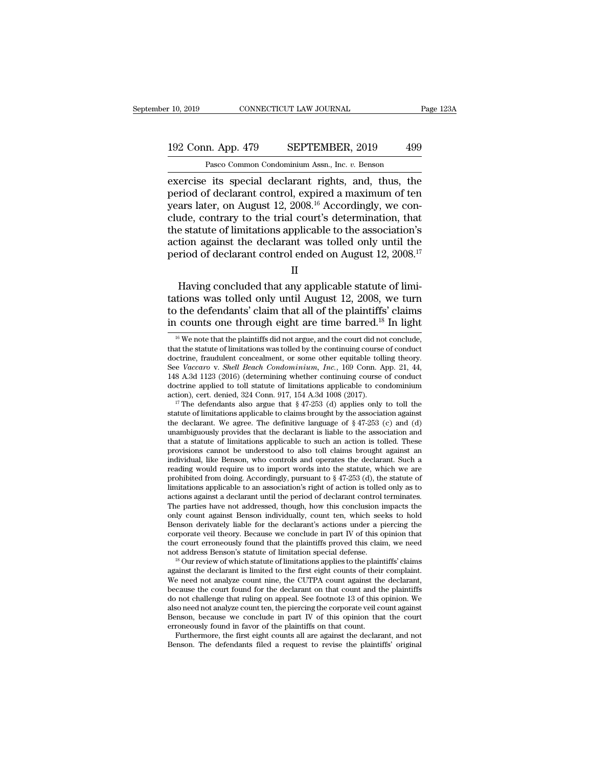### 10, 2019 CONNECTICUT LAW JOURNAL Page 123A<br>192 Conn. App. 479 SEPTEMBER, 2019 499<br>Pasco Common Condominium Assn., Inc. v. Benson CONNECTICUT LAW JOURNAL<br>
1<br>
1<br>
1<br>
Pasco Common Condominium Assn., Inc. *v.* Benson<br>
1<br>
1<br>
its special declarant rights and thus the

exercise its special declarant rights, and, thus, the period of declarant control, expired a maximum of tenuvars later on August 12 2008 <sup>16</sup> Accordingly we con-192 Conn. App. 479 SEPTEMBER, 2019 499<br>
Pasco Common Condominium Assn., Inc. v. Benson<br>
exercise its special declarant rights, and, thus, the<br>
period of declarant control, expired a maximum of ten<br>
years later, on August 1 192 Conn. App. 479 SEPTEMBER, 2019 499<br>
Pasco Common Condominium Assn., Inc. v. Benson<br>
exercise its special declarant rights, and, thus, the<br>
period of declarant control, expired a maximum of ten<br>
years later, on August 192 Conn. App. 479 SEPTEMBER, 2019 499<br>
Pasco Common Condominium Assn., Inc. v. Benson<br>
exercise its special declarant rights, and, thus, the<br>
period of declarant control, expired a maximum of ten<br>
years later, on August Pasco Common Condominium Assn., Inc.  $v$ . Benson<br>exercise its special declarant rights, and, thus, the<br>period of declarant control, expired a maximum of ten<br>years later, on August 12, 2008.<sup>16</sup> Accordingly, we con-<br>clude, Pasco Common Condominium Assn., Inc.  $v$ . Benson<br>exercise its special declarant rights, and, thus, the<br>period of declarant control, expired a maximum of ten<br>years later, on August 12, 2008.<sup>16</sup> Accordingly, we con-<br>clude, exercise its special declarant rights, and, thus, the period of declarant control, expired a maximum of ten years later, on August 12, 2008.<sup>16</sup> Accordingly, we conclude, contrary to the trial court's determination, that Favorian Having concluded that any applicable statute of limitations applicable to the association's<br>tion against the declarant was tolled only until the<br>riod of declarant control ended on August 12, 2008.<sup>17</sup><br> $\hbox{II}$ <br>Ha clude, contrary to the that court's determination, that<br>the statute of limitations applicable to the association's<br>action against the declarant was tolled only until the<br>period of declarant control ended on August 12, 200

#### II

the statute of initiations applicable to the association is<br>action against the declarant was tolled only until the<br>period of declarant control ended on August 12, 2008.<sup>17</sup><br>II<br>Having concluded that any applicable statute o Example 18 and the declarant was to the one through eight are time barrel.<br>
II<br>
Having concluded that any applicable statute of limitations was tolled only until August 12, 2008, we turn<br>
to the defendants' claim that all Having concluded that any applicable statute of limitations was tolled only until August 12, 2008, we turn to the defendants' claim that all of the plaintiffs' claims in counts one through eight are time barred.<sup>18</sup> In li tations was tolled only until August 12, 2008, we turn<br>to the defendants' claim that all of the plaintiffs' claims<br>in counts one through eight are time barred.<sup>18</sup> In light<br><sup>16</sup> We note that the plaintiffs did not argue, to the defendants' claim that all of the plaintiffs' claims

Benson derivately liable for the declarant's actions under a piercing the corporate veil theory. Because we conclude in part IV of this opinion that the court erroneously found that the plaintiffs proved this claim, we ne corporate veil theory. Because we conclude in part IV of this opinion that<br>the court erroneously found that the plaintiffs proved this claim, we need<br>not address Benson's statute of limitation special defense.<br><sup>18</sup> Our rev the court erroneously found that the plaintiffs proved this claim, we need<br>not address Benson's statute of limitation special defense.<br><sup>18</sup> Our review of which statute of limitations applies to the plaintiffs' claims<br>again not address Benson's statute of limitation special defense.<br><sup>18</sup> Our review of which statute of limitations applies to the plaintiffs' claims against the declarant is limited to the first eight counts of their complaint.<br>W <sup>18</sup> Our review of which statute of limitations applies to the plaintiffs' claims against the declarant is limited to the first eight counts of their complaint. We need not analyze count nine, the CUTPA count against the against the declarant is limited to the first eight counts of their<br>We need not analyze count nine, the CUTPA count against the<br>because the court found for the declarant on that count and the<br>do not challenge that ruling o e need not analyze count nine, the CUTPA count against the declarant, cause the court found for the declarant on that count and the plaintiffs not challenge that ruling on appeal. See footnote 13 of this opinion. We so nee do not challenge that ruling on appeal. See footnote 13 of this opinion. We also need not analyze count ten, the piercing the corporate veil count against Benson, because we conclude in part  $N$  of this opinion that the c

in counts one through eight are time barred.<sup>18</sup> In light <sup>16</sup> We note that the plaintiffs did not argue, and the court did not conclude, that the statute of limitations was tolled by the continuing course of conduct doctr in counts one through eight are time barred.<sup>18</sup> In light  $\frac{1}{16}$  we note that the plaintiffs did not argue, and the court did not conclude, that the statute of limitations was tolled by the continuing course of conduc <sup>16</sup> We note that the plaintiffs did not argue, and the court did not conclude, that the statute of limitations was tolled by the continuing course of conduct doctrine, fraudulent concealment, or some other equitable toll <sup>16</sup> We note that the plaintiffs did not argue, and the court did not conclude, that the statute of limitations was tolled by the continuing course of conduct doctrine, fraudulent concealment, or some other equitable toll doctrine, fraudulent concealment, or some other equitable tolling theory.<br>See *Vaccaro* v. *Shell Beach Condominium*, *Inc.*, 169 Conn. App. 21, 44, 148 A.3d 1123 (2016) (determining whether continuing course of conduct d

See Vaccaro v. Shell Beach Condominium, Inc., 169 Conn. App. 21, 44, 148 A.3d 1123 (2016) (determining whether continuing course of conduct doctrine applied to toll statute of limitations applicable to condominium action) 148 A.3d 1123 (2016) (determining whether continuing course of conduct doctrine applied to toll statute of limitations applicable to condominium action), cert. denied, 324 Conn. 917, 154 A.3d 1008 (2017).<br><sup>17</sup> The defenda doctrine applied to toll statute of limitations applicable to condominium action), cert. denied, 324 Conn. 917, 154 A.3d 1008 (2017).<br><sup>17</sup> The defendants also argue that § 47-253 (d) applies only to toll the statute of li action), cert. denied, 324 Conn. 917, 154 A.3d 1008 (2017).<br><sup>17</sup> The defendants also argue that § 47-253 (d) applies only to toll the statute of limitations applicable to claims brought by the association against the decl <sup>17</sup> The defendants also argue that § 47-253 (d) applies only to toll the statute of limitations applicable to claims brought by the association against the declarant. We agree. The definitive language of § 47-253 (c) and statute of limitations applicable to claims brought by the association against<br>the declarant. We agree. The definitive language of  $\S 47-253$  (c) and (d)<br>unambiguously provides that the declarant is liable to the associat the declarant. We agree. The definitive language of § 47-253 (c) and (d) unambiguously provides that the declarant is liable to the association and that a statute of limitations applicable to such an action is tolled. The unambiguously provides that the declarant is liable to the association and<br>that a statute of limitations applicable to such an action is tolled. These<br>provisions cannot be understood to also toll claims brought against an that a statute of limitations applicable to such an action is tolled. These provisions cannot be understood to also toll claims brought against an individual, like Benson, who controls and operates the declarant. Such a r provisions cannot be understood to also toll claims brought against an individual, like Benson, who controls and operates the declarant. Such a reading would require us to import words into the statute, which we are prohi individual, like Benson, who controls and operates the declarant. Such a<br>reading would require us to import words into the statute, which we are<br>prohibited from doing. Accordingly, pursuant to  $\S 47-253$  (d), the statute reading would require us to import words into the statute, which we are prohibited from doing. Accordingly, pursuant to  $\S 47-253$  (d), the statute of limitations applicable to an association's right of action is tolled o limitations applicable to an association's right of action is tolled only as to actions against a declarant until the period of declarant control terminates. The parties have not addressed, though, how this conclusion imp limitations applicable to an association's right of action is tolled only as to<br>actions against a declarant until the period of declarant control terminates.<br>The parties have not addressed, though, how this conclusion impa actions against a declarant until the period of declarant control terminates.<br>The parties have not addressed, though, how this conclusion impacts the<br>only count against Benson individually, count ten, which seeks to hold<br>B only count against Benson individually, count ten, which seeks to hold Benson derivately liable for the declarant's actions under a piercing the corporate veil theory. Because we conclude in part IV of this opinion that th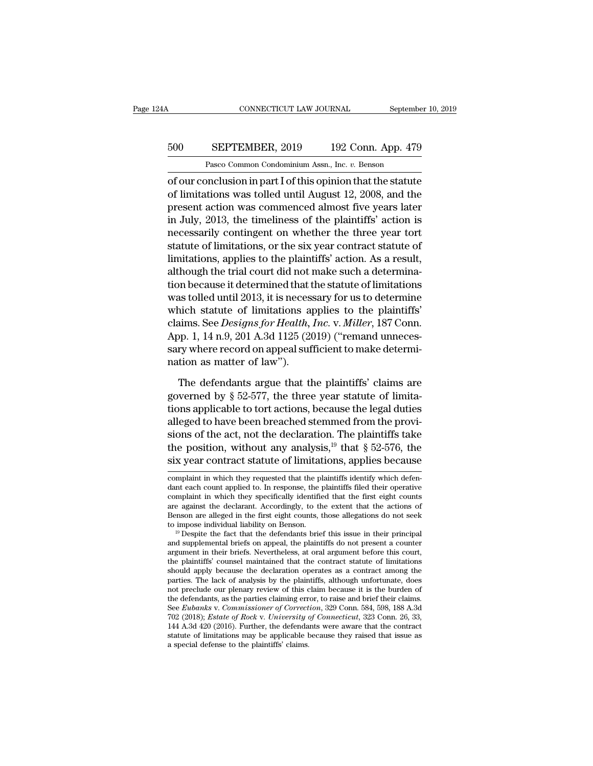### CONNECTICUT LAW JOURNAL September 10, 2019<br>500 SEPTEMBER, 2019 192 Conn. App. 479<br>Pasco Common Condominium Assn., Inc. v. Benson EXEMPLE CONNECTICUT LAW JOURNAL Septembe<br>
SEPTEMBER, 2019 192 Conn. App. 479<br>
Pasco Common Condominium Assn., Inc. *v.* Benson<br>
Pasco Common Condominium Assn., Inc. *v.* Benson

CONNECTICUT LAW JOURNAL September 10, 2019<br>
500 SEPTEMBER, 2019 192 Conn. App. 479<br>
Pasco Common Condominium Assn., Inc. *v.* Benson<br>
of our conclusion in part I of this opinion that the statute<br>
of limitations was tolled SEPTEMBER, 2019 192 Conn. App. 479<br>
Pasco Common Condominium Assn., Inc. v. Benson<br>
of our conclusion in part I of this opinion that the statute<br>
of limitations was tolled until August 12, 2008, and the<br>
present action was 500 SEPTEMBER, 2019 192 Conn. App. 479<br>
Pasco Common Condominium Assn., Inc.  $v$ . Benson<br>
of our conclusion in part I of this opinion that the statute<br>
of limitations was tolled until August 12, 2008, and the<br>
present act 500 SEPTEMBER, 2019 192 Conn. App. 479<br>
Pasco Common Condominium Assn., Inc. v. Benson<br>
of our conclusion in part I of this opinion that the statute<br>
of limitations was tolled until August 12, 2008, and the<br>
present action Pasco Common Condominium Assn., Inc.  $v$ . Benson<br>
of our conclusion in part I of this opinion that the statute<br>
of limitations was tolled until August 12, 2008, and the<br>
present action was commenced almost five years late Fasco common comonumum assu, me.  $v$ . Benson<br>of our conclusion in part I of this opinion that the statute<br>of limitations was tolled until August 12, 2008, and the<br>present action was commenced almost five years later<br>in Ju of our conclusion in part I of this opinion that the statute<br>of limitations was tolled until August 12, 2008, and the<br>present action was commenced almost five years later<br>in July, 2013, the timeliness of the plaintiffs' ac of limitations was tolled until August 12, 2008, and the<br>present action was commenced almost five years later<br>in July, 2013, the timeliness of the plaintiffs' action is<br>necessarily contingent on whether the three year tort present action was commenced almost five years later<br>in July, 2013, the timeliness of the plaintiffs' action is<br>necessarily contingent on whether the three year tort<br>statute of limitations, or the six year contract statute in July, 2013, the timeliness of the plaintiffs' action is<br>necessarily contingent on whether the three year tort<br>statute of limitations, or the six year contract statute of<br>limitations, applies to the plaintiffs' action. necessarily contingent on whether the three year tort<br>statute of limitations, or the six year contract statute of<br>limitations, applies to the plaintiffs' action. As a result,<br>although the trial court did not make such a de statute of limitations, or the six year contract statute of<br>limitations, applies to the plaintiffs' action. As a result,<br>although the trial court did not make such a determina-<br>tion because it determined that the statute o limitations, applies to the plaintiffs' action. As a result,<br>although the trial court did not make such a determina-<br>tion because it determined that the statute of limitations<br>was tolled until 2013, it is necessary for us although the trial court did not make such a determination because it determined that the statute of limitations was tolled until 2013, it is necessary for us to determine which statute of limitations applies to the plaint tion because it determined that t<br>was tolled until 2013, it is necess<br>which statute of limitations ap<br>claims. See *Designs for Health*,<br>App. 1, 14 n.9, 201 A.3d 1125 (20<br>sary where record on appeal suf<br>nation as matter of included in the plaintiffs'<br>
in S. See *Designs for Health, Inc.* v. *Miller*, 187 Conn.<br>
pp. 1, 14 n.9, 201 A.3d 1125 (2019) ("remand unneces-<br>
ry where record on appeal sufficient to make determi-<br>
tion as matter of law" claims. See *Designs for Health*, *Inc.* v. *Miller*, 187 Conn.<br>App. 1, 14 n.9, 201 A.3d 1125 (2019) ("remand unnecessary where record on appeal sufficient to make determination as matter of law").<br>The defendants argue tha

App. 1, 14 n.9, 201 A.3d 1125 (2019) ("remand unnecessary where record on appeal sufficient to make determination as matter of law").<br>The defendants argue that the plaintiffs' claims are governed by  $\S 52-577$ , the three sary where record on appeal sufficient to make determination as matter of law").<br>The defendants argue that the plaintiffs' claims are<br>governed by § 52-577, the three year statute of limita-<br>tions applicable to tort action nation as matter of law").<br>The defendants argue that the plaintiffs' claims are<br>governed by § 52-577, the three year statute of limita-<br>tions applicable to tort actions, because the legal duties<br>alleged to have been breac The defendants argue that the plaintiffs' claims are<br>governed by § 52-577, the three year statute of limita-<br>tions applicable to tort actions, because the legal duties<br>alleged to have been breached stemmed from the provi-The defendants argue that the plaintiffs' claims are<br>governed by § 52-577, the three year statute of limita-<br>tions applicable to tort actions, because the legal duties<br>alleged to have been breached stemmed from the provialleged to have been breached stemmed from the provisions of the act, not the declaration. The plaintiffs take<br>the position, without any analysis,<sup>19</sup> that  $\S 52-576$ , the<br>six year contract statute of limitations, applies sions of the act, not the declaration. The plaintiffs take<br>the position, without any analysis,<sup>19</sup> that  $\S$  52-576, the<br>six year contract statute of limitations, applies because<br>complaint in which they requested that the the position, without any analysis,<sup>19</sup> that  $\S$  52-576, the six year contract statute of limitations, applies because complaint in which they requested that the plaintiffs identify which defendant each count applied to.

six year contract statute of limitations, applies because<br>complaint in which they requested that the plaintiffs identify which defen-<br>dant each count applied to. In response, the plaintiffs filed their operative<br>complaint Six year contract statute of limitations, applies because<br>
complaint in which they requested that the plaintiffs identify which defen-<br>
dant each count applied to. In response, the plaintiffs filed their operative<br>
complai complaint in which they requested that the plaintiffs identify which defendant each count applied to. In response, the plaintiffs filed their operative complaint in which they specifically identified that the first eight dant each count applied to. In response, the plaintiffs filed their operative<br>complaint in which they specifically identified that the first eight counts<br>are against the declarant. Accordingly, to the extent that the actio

are against the declarant. Accordingly, to the extent that the actions of Benson are alleged in the first eight counts, those allegations do not seek to impose individual liability on Benson.<br><sup>19</sup> Despite the fact that th Benson are alleged in the first eight counts, those allegations do not seek<br>to impose individual liability on Benson.<br><sup>19</sup> Despite the fact that the defendants brief this issue in their principal<br>and supplemental briefs o Benson are alleged in the first eight counts, those allegations do not seek<br>to impose individual liability on Benson.<br><sup>19</sup> Despite the fact that the defendants brief this issue in their principal<br>and supplemental briefs on not preclude our plenary review of this claim because it is the burden of <sup>19</sup> Despite the fact that the defendants brief this issue in their principal<br>and supplemental briefs on appeal, the plaintiffs do not present a counter<br>argument in their briefs. Nevertheless, at oral argument before this and supplemental briefs on appeal, the plaintiffs do not present a counter argument in their briefs. Nevertheless, at oral argument before this court, the plaintiffs' counsel maintained that the contract statute of limita argument in their briefs. Nevertheless, at oral argument before this court,<br>the plaintiffs' counsel maintained that the contract statute of limitations<br>should apply because the declaration operates as a contract among the<br> the plaintiffs' counsel maintained that the contract statute of limitations should apply because the declaration operates as a contract among the parties. The lack of analysis by the plaintiffs, although unfortunate, does should apply because the declaration operates as a contract among the parties. The lack of analysis by the plaintiffs, although unfortunate, does not preclude our plenary review of this claim because it is the burden of th parties. The lack of analysis by the plaintiffs, although unfortunate, does<br>not preclude our plenary review of this claim because it is the burden of<br>the defendants, as the parties claiming error, to raise and brief their not preclude our plenary review of this c<br>the defendants, as the parties claiming err<br>See *Eubanks v. Commissioner of Correct*<br>702 (2018); *Estate of Rock v. University d*<br>144 A.3d 420 (2016). Further, the defenda<br>statute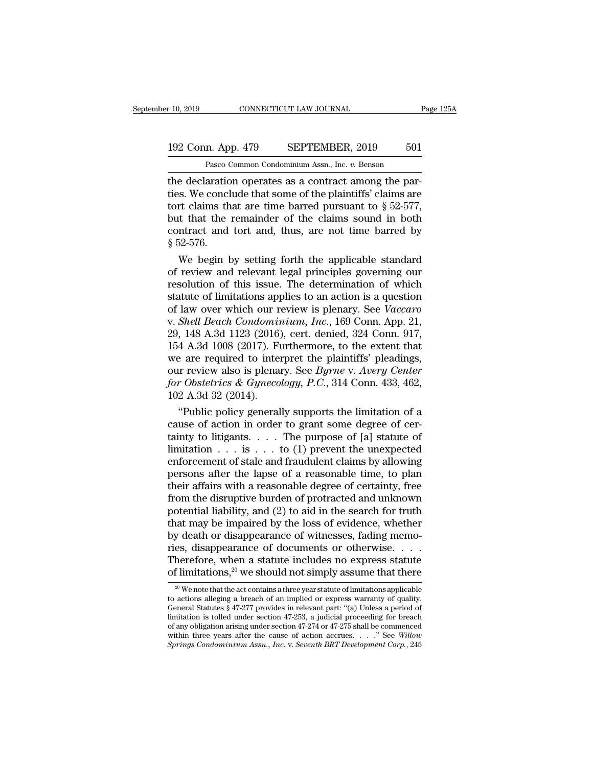### 10, 2019 CONNECTICUT LAW JOURNAL Page 125A<br>192 Conn. App. 479 SEPTEMBER, 2019 501<br>Pasco Common Condominium Assn., Inc. v. Benson CONNECTICUT LAW JOURNAL<br>
1<br>
1<br>
2 Pasco Common Condominium Assn., Inc. *v.* Benson<br>
2 Pasco Common Condominium Assn., Inc. *v.* Benson<br>
2 Pasco Common Condominium Assn., Inc. *v.* Benson<br>
2 Pasco Common Condominium Assn., I

the declaration operates as a contract among the parties.<br>The declaration operates as a contract among the par-<br>ties. We conclude that some of the plaintiffs' claims are<br>tort claims that are time barred pursuant to  $8.52.$ 192 Conn. App. 479 SEPTEMBER, 2019 501<br>
Pasco Common Condominium Assn., Inc.  $v$ . Benson<br>
the declaration operates as a contract among the par-<br>
ties. We conclude that some of the plaintiffs' claims are<br>
tort claims that 192 Conn. App. 479 SEPTEMBER, 2019 501<br>
Pasco Common Condominium Assn., Inc. v. Benson<br>
the declaration operates as a contract among the par-<br>
ties. We conclude that some of the plaintiffs' claims are<br>
tort claims that ar 192 Conn. App. 479 SEPTEMBER, 2019 501<br>
Pasco Common Condominium Assn., Inc. v. Benson<br>
the declaration operates as a contract among the par-<br>
ties. We conclude that some of the plaintiffs' claims are<br>
tort claims that ar Pasco Common Condominium Assn., Inc. v. Benson<br>the declaration operates as a contract among the par-<br>ties. We conclude that some of the plaintiffs' claims are<br>tort claims that are time barred pursuant to  $\S 52-577$ ,<br>but t Pasco Common Condominium Assn., Inc.  $v$ . Benson<br>the declaration operates as a contract among the par-<br>ties. We conclude that some of the plaintiffs' claims are<br>tort claims that are time barred pursuant to  $\S$  52-577,<br>but e declaration operates as a contract among the parties.<br>We conclude that some of the plaintiffs' claims are<br>rt claims that are time barred pursuant to  $\S$  52-577,<br>it that the remainder of the claims sound in both<br>ntract a ties. We conclude that some of the plaintiffs' claims are<br>tort claims that are time barred pursuant to  $\S$  52-577,<br>but that the remainder of the claims sound in both<br>contract and tort and, thus, are not time barred by<br> $\S$ 

fort claims that are time barred pursuant to  $\S$  52-577,<br>but that the remainder of the claims sound in both<br>contract and tort and, thus, are not time barred by<br> $\S$  52-576.<br>We begin by setting forth the applicable standard but that the remainder of the claims sound in both<br>contract and tort and, thus, are not time barred by<br> $\S 52-576$ .<br>We begin by setting forth the applicable standard<br>of review and relevant legal principles governing our<br>re contract and tort and, thus, are not time barred by<br>
§ 52-576.<br>
We begin by setting forth the applicable standard<br>
of review and relevant legal principles governing our<br>
resolution of this issue. The determination of which § 52-576.<br>We begin by setting forth the applicable standard<br>of review and relevant legal principles governing our<br>resolution of this issue. The determination of which<br>statute of limitations applies to an action is a questi We begin by setting forth the applicable standard<br>of review and relevant legal principles governing our<br>resolution of this issue. The determination of which<br>statute of limitations applies to an action is a question<br>of law of review and relevant legal principles governing our<br>resolution of this issue. The determination of which<br>statute of limitations applies to an action is a question<br>of law over which our review is plenary. See *Vaccaro*<br>v. resolution of this issue. The determination of which<br>statute of limitations applies to an action is a question<br>of law over which our review is plenary. See *Vaccaro*<br>v. *Shell Beach Condominium, Inc.*, 169 Conn. App. 21,<br> statute of limitations applies to an action is a question<br>of law over which our review is plenary. See *Vaccaro*<br>v. *Shell Beach Condominium, Inc.*, 169 Conn. App. 21,<br>29, 148 A.3d 1123 (2016), cert. denied, 324 Conn. 917, of law over which our review is plenary. See *Vaccaro* v. *Shell Beach Condominium, Inc.*, 169 Conn. App. 21, 29, 148 A.3d 1123 (2016), cert. denied, 324 Conn. 917, 154 A.3d 1008 (2017). Furthermore, to the extent that we v. *Shell Beach Condomin*<br>29, 148 A.3d 1123 (2016)<br>154 A.3d 1008 (2017). Fu<br>we are required to inter<br>our review also is plena:<br>for Obstetrics & Gyneco<br>102 A.3d 32 (2014).<br>"Public policy general , 148 A.3d 1123 (2016), cert. denied, 324 Conn. 917, 4 A.3d 1008 (2017). Furthermore, to the extent that e are required to interpret the plaintiffs' pleadings, ir review also is plenary. See *Byrne* v. Avery Center r Obst 154 A.3d 1008 (2017). Furthermore, to the extent that<br>we are required to interpret the plaintiffs' pleadings,<br>our review also is plenary. See *Byrne* v. Avery Center<br>for Obstetrics & Gynecology, P.C., 314 Conn. 433, 462,<br>

we are required to interpret the plaintiffs' pleadings,<br>our review also is plenary. See *Byrne* v. Avery Center<br>for Obstetrics & Gynecology, P.C., 314 Conn. 433, 462,<br>102 A.3d 32 (2014).<br>"Public policy generally supports our review also is plenary. See *Byrne* v. *Avery Center*<br>for Obstetrics & Gynecology, P.C., 314 Conn. 433, 462,<br>102 A.3d 32 (2014).<br>"Public policy generally supports the limitation of a<br>cause of action in order to grant s for Obstetrics & Gynecology, P.C., 314 Conn. 433, 462,<br>102 A.3d 32 (2014).<br>"Public policy generally supports the limitation of a<br>cause of action in order to grant some degree of cer-<br>tainty to litigants.... The purpose of 102 A.3d 32 (2014).<br>
"Public policy generally supports the limitation of a<br>
cause of action in order to grant some degree of cer-<br>
tainty to litigants. . . . The purpose of [a] statute of<br>
limitation . . . is . . . to (1) "Public policy generally supports the limitation of a<br>cause of action in order to grant some degree of cer-<br>tainty to litigants. . . . The purpose of [a] statute of<br>limitation . . . is . . . to (1) prevent the unexpected<br> cause of action in order to grant some degree of certainty to litigants. . . . The purpose of [a] statute of limitation . . . is . . . to (1) prevent the unexpected enforcement of stale and fraudulent claims by allowing p tainty to litigants. . . . The purpose of [a] statute of<br>limitation . . . is . . . to (1) prevent the unexpected<br>enforcement of stale and fraudulent claims by allowing<br>persons after the lapse of a reasonable time, to plan limitation . . . is . . . to (1) prevent the unexpected<br>enforcement of stale and fraudulent claims by allowing<br>persons after the lapse of a reasonable time, to plan<br>their affairs with a reasonable degree of certainty, free enforcement of stale and fraudulent claims by allowing<br>persons after the lapse of a reasonable time, to plan<br>their affairs with a reasonable degree of certainty, free<br>from the disruptive burden of protracted and unknown<br>po persons after the lapse of a reasonable time, to plan<br>their affairs with a reasonable degree of certainty, free<br>from the disruptive burden of protracted and unknown<br>potential liability, and (2) to aid in the search for tr their affairs with a reasonable degree of certainty, free<br>from the disruptive burden of protracted and unknown<br>potential liability, and (2) to aid in the search for truth<br>that may be impaired by the loss of evidence, whet from the disruptive burden of protracted and unknown<br>potential liability, and (2) to aid in the search for truth<br>that may be impaired by the loss of evidence, whether<br>by death or disappearance of witnesses, fading memo-<br>r by death or disappearance of witnesses, fading memo-<br>es, disappearance of documents or otherwise. . . . .<br>herefore, when a statute includes no express statute<br>f limitations,<sup>20</sup> we should not simply assume that there<br> $\frac{$ ries, disappearance of documents or otherwise. . . . . Therefore, when a statute includes no express statute<br>of limitations,<sup>20</sup> we should not simply assume that there<br> $\frac{1}{20}$  We note that the act contains a three year

Therefore, when a statute includes no express statute<br>of limitations,<sup>20</sup> we should not simply assume that there<br> $\frac{1}{20}$  We note that the act contains a three year statute of limitations applicable<br>to actions alleging Therefore, when a statute includes no express statute<br>of limitations,<sup>20</sup> we should not simply assume that there<br> $\frac{1}{20}$  we mote that the act contains a three year statute of limitations applicable<br>to actions alleging of limitations,<sup>20</sup> we should not simply assume that there<br>
<sup>20</sup> We note that the act contains a three year statute of limitations applicable<br>
to actions alleging a breach of an implied or express warranty of quality.<br>
Ge <sup>20</sup> We note that the act contains a three year statute of limitations applicable to actions alleging a breach of an implied or express warranty of quality. General Statutes § 47-277 provides in relevant part: "(a) Unless <sup>20</sup> We note that the act contains a three year statute of limitations applicable to actions alleging a breach of an implied or express warranty of quality. General Statutes § 47-277 provides in relevant part: "(a) Unless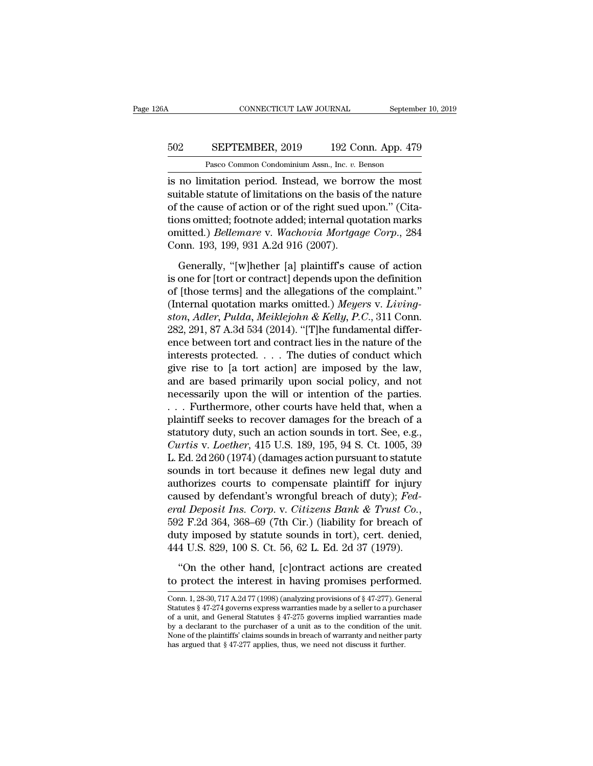### CONNECTICUT LAW JOURNAL September 10, 2019<br>502 SEPTEMBER, 2019 192 Conn. App. 479<br>Pasco Common Condominium Assn., Inc. v. Benson CONNECTICUT LAW JOURNAL Septembe<br>
SEPTEMBER, 2019 192 Conn. App. 479<br>
Pasco Common Condominium Assn., Inc. *v.* Benson<br>
mitation period Instead we borrow the most

CONNECTICUT LAW JOURNAL September 10, 2019<br>
SEPTEMBER, 2019 192 Conn. App. 479<br>
Pasco Common Condominium Assn., Inc. v. Benson<br>
is no limitation period. Instead, we borrow the most<br>
suitable statute of limitations on the b SEPTEMBER, 2019 192 Conn. App. 479<br>Pasco Common Condominium Assn., Inc. v. Benson<br>is no limitation period. Instead, we borrow the most<br>suitable statute of limitations on the basis of the nature<br>of the cause of action or of 502 SEPTEMBER, 2019 192 Conn. App. 479<br>
Pasco Common Condominium Assn., Inc. v. Benson<br>
is no limitation period. Instead, we borrow the most<br>
suitable statute of limitations on the basis of the nature<br>
of the cause of act 502 SEPTEMBER, 2019 192 Conn. App. 479<br>
Pasco Common Condominium Assn., Inc. v. Benson<br>
is no limitation period. Instead, we borrow the most<br>
suitable statute of limitations on the basis of the nature<br>
of the cause of acti Pasco Common Condominium Assn., Inc. *v.* Benson<br>is no limitation period. Instead, we borrow the most<br>suitable statute of limitations on the basis of the nature<br>of the cause of action or of the right sued upon." (Cita-<br>tio Fasco Connon Condominum Assn., me. *v.* F<br>is no limitation period. Instead, we borr<br>suitable statute of limitations on the basis<br>of the cause of action or of the right sued<br>tions omitted; footnote added; internal quo<br>omitt itable statute of limitations on the basis of the nature<br>the cause of action or of the right sued upon." (Cita-<br>ons omitted; footnote added; internal quotation marks<br>nitted.) *Bellemare* v. Wachovia Mortgage Corp., 284<br>por of the cause of action or of the right sued upon." (Citations omitted; footnote added; internal quotation marks<br>
omitted.) *Bellemare* v. *Wachovia Mortgage Corp.*, 284<br>
Conn. 193, 199, 931 A.2d 916 (2007).<br>
Generally, "[w

tions omitted; footnote added; internal quotation marks<br>
omitted.) *Bellemare* v. *Wachovia Mortgage Corp.*, 284<br>
Conn. 193, 199, 931 A.2d 916 (2007).<br>
Generally, "[w]hether [a] plaintiff's cause of action<br>
is one for [to omitted.) *Bellemare* v. *Wachovia Mortgage Corp.*, 284<br>Conn. 193, 199, 931 A.2d 916 (2007).<br>Generally, "[w]hether [a] plaintiff's cause of action<br>is one for [tort or contract] depends upon the definition<br>of [those terms] *standary* 193, 199, 931 A.2d 916 (2007).<br> *Generally,* "[w]hether [a] plaintiff's cause of action<br>
is one for [tort or contract] depends upon the definition<br>
of [those terms] and the allegations of the complaint."<br>
(Inter Conn. 193, 199, 931 A.2d 916 (2007).<br>
Generally, "[w]hether [a] plaintiff's cause of action<br>
is one for [tort or contract] depends upon the definition<br>
of [those terms] and the allegations of the complaint."<br>
(Internal qu Generally, "[w]hether [a] plaintiff's cause of action<br>is one for [tort or contract] depends upon the definition<br>of [those terms] and the allegations of the complaint."<br>(Internal quotation marks omitted.) Meyers v. Livingis one for [tort or contract] depends upon the definition<br>of [those terms] and the allegations of the complaint."<br>(Internal quotation marks omitted.) Meyers v. Living-<br>ston, Adler, Pulda, Meiklejohn & Kelly, P.C., 311 Con of [those terms] and the allegations of the complaint."<br>(Internal quotation marks omitted.) Meyers v. Living-<br>ston, Adler, Pulda, Meiklejohn & Kelly, P.C., 311 Conn.<br>282, 291, 87 A.3d 534 (2014). "[T]he fundamental differ (Internal quotation marks omitted.) Meyers v. Living-<br>ston, Adler, Pulda, Meiklejohn & Kelly, P.C., 311 Conn.<br>282, 291, 87 A.3d 534 (2014). "[T]he fundamental differ-<br>ence between tort and contract lies in the nature of t ston, Adler, Pulda, Meiklejohn & Kelly, P.C., 311 Conn.<br>282, 291, 87 A.3d 534 (2014). "[T]he fundamental difference between tort and contract lies in the nature of the<br>interests protected. . . . The duties of conduct whic 282, 291, 87 A.3d 534 (2014). "[T]he fundamental difference between tort and contract lies in the nature of the interests protected. . . . The duties of conduct which give rise to [a tort action] are imposed by the law, a ence between tort and contract lies in the nature of the<br>interests protected. . . . The duties of conduct which<br>give rise to [a tort action] are imposed by the law,<br>and are based primarily upon social policy, and not<br>nece interests protected. . . . The duties of conduct which<br>give rise to [a tort action] are imposed by the law,<br>and are based primarily upon social policy, and not<br>necessarily upon the will or intention of the parties.<br>. . . give rise to [a tort action] are imposed by the law,<br>and are based primarily upon social policy, and not<br>necessarily upon the will or intention of the parties.<br>. . . Furthermore, other courts have held that, when a<br>plainti and are based primarily upon social policy, and not<br>necessarily upon the will or intention of the parties.<br> $\ldots$  Furthermore, other courts have held that, when a<br>plaintiff seeks to recover damages for the breach of a<br>stat necessarily upon the will or intention of the parties.<br>  $\ldots$  Furthermore, other courts have held that, when a<br>
plaintiff seeks to recover damages for the breach of a<br>
statutory duty, such an action sounds in tort. See, e ... Furthermore, other courts have held that, when a<br>plaintiff seeks to recover damages for the breach of a<br>statutory duty, such an action sounds in tort. See, e.g.,<br>*Curtis v. Loether*, 415 U.S. 189, 195, 94 S. Ct. 1005, plaintiff seeks to recover damages for the breach of a<br>statutory duty, such an action sounds in tort. See, e.g.,<br>*Curtis v. Loether*, 415 U.S. 189, 195, 94 S. Ct. 1005, 39<br>L. Ed. 2d 260 (1974) (damages action pursuant to s *eral Deposit Ins. Corp.* Comparison Corp. 2013. At the Section Pursuant Controls Bank L. Ed. 2d 260 (1974) (damages action pursuant to statute sounds in tort because it defines new legal duty and authorizes courts to comp L. Ed. 2d 260 (1974) (damages action pursuant to statute<br>sounds in tort because it defines new legal duty and<br>authorizes courts to compensate plaintiff for injury<br>caused by defendant's wrongful breach of duty); *Fed-*<br>*era* sounds in tort because it defines new legal duty and<br>authorizes courts to compensate plaintiff for injury<br>caused by defendant's wrongful breach of duty); *Fed-*<br>*eral Deposit Ins. Corp.* v. *Citizens Bank & Trust Co.*,<br>592 used by defendant's wrongful breach of duty); *Fedal Deposit Ins. Corp.* v. *Citizens Bank & Trust Co.*, 2 F.2d 364, 368–69 (7th Cir.) (liability for breach of thy imposed by statute sounds in tort), cert. denied, 4 U.S. 8 eral Deposit Ins. Corp. v. Citizens Bank & Trust Co.,<br>592 F.2d 364, 368–69 (7th Cir.) (liability for breach of<br>duty imposed by statute sounds in tort), cert. denied,<br>444 U.S. 829, 100 S. Ct. 56, 62 L. Ed. 2d 37 (1979).<br>"O

<sup>444</sup> U.S. 829, 100 S. Ct. 56, 62 L. Ed. 2d 37 (1979).<br>
"On the other hand, [c]ontract actions are created<br>
to protect the interest in having promises performed.<br>
Conn. 1, 28-30, 717 A.2d 77 (1998) (analyzing provisions of THE 0.53. 025, 100 15. 01. 50, 02 11. 131. 24 51 (1515).<br>
"On the other hand, [c]ontract actions are created<br>
to protect the interest in having promises performed.<br>
Conn. 1, 28-30, 717 A.2d 77 (1998) (analyzing provisions "On the other hand, [c]ontract actions are created<br>to protect the interest in having promises performed.<br>Conn. 1, 28-30, 717 A.2d 77 (1998) (analyzing provisions of § 47-277). General<br>Statutes § 47-274 governs express war Off the other hand, [CJ0111act actions are created<br>to protect the interest in having promises performed.<br>Conn. 1, 28-30, 717 A.2d 77 (1998) (analyzing provisions of § 47-277). General<br>Statutes § 47-274 governs express war to protect the interest in having promises performed.<br>
Conn. 1, 28-30, 717 A.2d 77 (1998) (analyzing provisions of § 47-277). General<br>
Statutes § 47-274 governs express warranties made by a seller to a purchaser<br>
of a uni Conn. 1, 28-30, 717 A.2d 77 (1998) (analyzing provisions of § 47-277). General status § 47-274 governs express warranties made by a seller to a purch of a unit, and General Statuse § 47-275 governs implied warranties by a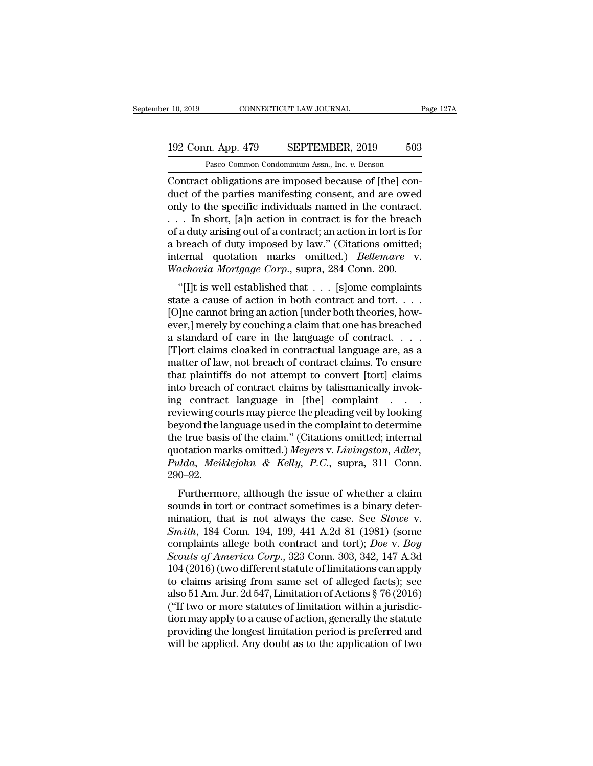### 10, 2019 CONNECTICUT LAW JOURNAL Page 127A<br>192 Conn. App. 479 SEPTEMBER, 2019 503<br>Pasco Common Condominium Assn., Inc. v. Benson CONNECTICUT LAW JOURNAL<br>
1<br>
1<br>
2 Rasco Common Condominium Assn., Inc. *v.* Benson<br>
2 Pasco Common Condominium Assn., Inc. *v.* Benson<br>
1 colligations are imposed because of [the] con-

CONNECTICUT LAW JOURNAL<br>
192 Conn. App. 479 SEPTEMBER, 2019 503<br>
Pasco Common Condominium Assn., Inc. v. Benson<br>
Contract obligations are imposed because of [the] con-<br>
duct of the parties manifesting consent, and are owed 192 Conn. App. 479 SEPTEMBER, 2019 503<br>
Pasco Common Condominium Assn., Inc. v. Benson<br>
Contract obligations are imposed because of [the] con-<br>
duct of the parties manifesting consent, and are owed<br>
only to the specific in 192 Conn. App. 479 SEPTEMBER, 2019 503<br>
Pasco Common Condominium Assn., Inc. v. Benson<br>
Contract obligations are imposed because of [the] con-<br>
duct of the parties manifesting consent, and are owed<br>
only to the specific in 192 Conn. App. 479 SEPTEMBER, 2019 503<br>
Pasco Common Condominium Assn., Inc. v. Benson<br>
Contract obligations are imposed because of [the] con-<br>
duct of the parties manifesting consent, and are owed<br>
only to the specific i Pasco Common Condominium Assn., Inc. v. Benson<br>
Contract obligations are imposed because of [the] con-<br>
duct of the parties manifesting consent, and are owed<br>
only to the specific individuals named in the contract.<br>
. . . Pasco Common Condominium Assn., Inc.  $v$ . Benson<br>Contract obligations are imposed because of [the] con-<br>duct of the parties manifesting consent, and are owed<br>only to the specific individuals named in the contract.<br> $\dots$  In Contract obligations are imposed because of [the] conduct of the parties manifesting consent, and are owed only to the specific individuals named in the contract.<br>
. . . In short, [a]n action in contract is for the breach duct of the parties manifesting consent, and are owed<br>only to the specific individuals named in the contract.<br>... In short, [a]n action in contract is for the breach<br>of a duty arising out of a contract; an action in tort i It is well established that we discussed by the specific in the contract.<br>
In short, [a]n action in contract is for the breach<br>
a duty arising out of a contract; an action in tort is for<br>
breach of duty imposed by law." ( state a cause of a contract is for the breach<br>of a duty arising out of a contract; an action in tort is for<br>a breach of duty imposed by law." (Citations omitted;<br>internal quotation marks omitted.) *Bellemare* v.<br>Wachovia

or a duly arising out or a contract, an action in tort is for<br>a breach of duty imposed by law." (Citations omitted;<br>internal quotation marks omitted.) *Bellemare* v.<br>Wachovia Mortgage Corp., supra, 284 Conn. 200.<br>"[I]t is a breach of duly imposed by faw. (Chanons omitted,<br>internal quotation marks omitted.) *Bellemare* v.<br>Wachovia Mortgage Corp., supra, 284 Conn. 200.<br>"[I]t is well established that . . . [S]ome complaints<br>state a cause of ac Finderial quotation marks on<br>the language of comparison and the V. Wachovia Mortgage Corp., supra, 284 Conn. 200.<br>
"[I]t is well established that  $\ldots$  [s]ome complaints<br>
state a cause of action in both contract and tort. wathoota mortgage Corp., supra, 264 Conn. 200.<br>
"[I]t is well established that  $\dots$  [S]ome complaints<br>
state a cause of action in both contract and tort.  $\dots$ ]<br>
[O]ne cannot bring an action [under both theories, how-<br>
eve "[I]t is well established that  $\dots$  [s]ome complaints<br>state a cause of action in both contract and tort.  $\dots$ <br>[O]ne cannot bring an action [under both theories, how-<br>ever,] merely by couching a claim that one has breached that plaintiffs do not attempt to convert [tort] claims [O]ne cannot bring an action [under both theories, how-<br>ever,] merely by couching a claim that one has breached<br>a standard of care in the language of contract....<br> $[T]$ ort claims cloaked in contractual language are, as a<br>m ever,] merely by couching a claim that one has breached<br>a standard of care in the language of contract. . . .<br>[T]ort claims cloaked in contractual language are, as a<br>matter of law, not breach of contract claims. To ensure<br> a standard of care in the language of contract. . . . .<br>[T]ort claims cloaked in contractual language are, as a<br>matter of law, not breach of contract claims. To ensure<br>that plaintiffs do not attempt to convert [tort] claim [T]ort claims cloaked in contractual language are, as a<br>matter of law, not breach of contract claims. To ensure<br>that plaintiffs do not attempt to convert [tort] claims<br>into breach of contract claims by talismanically invo matter of law, not breach of contract claims. To ensure<br>that plaintiffs do not attempt to convert [tort] claims<br>into breach of contract claims by talismanically invok-<br>ing contract language in [the] complaint  $\dots$ <br>reviewi that plaintiffs do not attempt to convert [tort] claims<br>into breach of contract claims by talismanically invok-<br>ing contract language in [the] complaint . . . .<br>reviewing courts may pierce the pleading veil by looking<br>beyo into breach of contract claims by talismanically invoking contract language in [the] complaint . . . . . reviewing courts may pierce the pleading veil by looking beyond the language used in the complaint to determine the t 290–92. Furthermore, although the issue of whether a claim<br>under the interval of the chaim." (Citations omitted; internal<br>otation marks omitted.) Meyers v. Livingston, Adler,<br>ulda, Meiklejohn & Kelly, P.C., supra, 311 Conn.<br>0–92. beyond the language used in the complaint to determine<br>the true basis of the claim." (Citations omitted; internal<br>quotation marks omitted.) Meyers v. Livingston, Adler,<br>Pulda, Meiklejohn & Kelly, P.C., supra, 311 Conn.<br>29

the true basis of the claim. (Chations offitted, internal<br>quotation marks omitted.) *Meyers v. Livingston, Adler,*<br>*Pulda, Meiklejohn & Kelly, P.C.*, supra, 311 Conn.<br>290–92.<br>Furthermore, although the issue of whether a cl quotation marks onlited.) *Meyers* v. *Ltotngston*, *Adder*,<br>*Pulda, Meiklejohn & Kelly, P.C.*, supra, 311 Conn.<br>290–92.<br>Furthermore, although the issue of whether a claim<br>sounds in tort or contract sometimes is a binary d *Complement Arthua, methodynn & Retty, P.C., suppa, 311 Comp.*<br>290–92.<br>Furthermore, although the issue of whether a claim<br>sounds in tort or contract sometimes is a binary deter-<br>mination, that is not always the case. See *Sco*–52.<br> *Furthermore, although the issue of whether a claim*<br>
sounds in tort or contract sometimes is a binary deter-<br>
mination, that is not always the case. See *Stowe v.*<br> *Smith*, 184 Conn. 194, 199, 441 A.2d 81 (198 Furthermore, although the issue of whether a claim<br>sounds in tort or contract sometimes is a binary deter-<br>mination, that is not always the case. See *Stowe* v.<br>*Smith*, 184 Conn. 194, 199, 441 A.2d 81 (1981) (some<br>compla sounds in tort or contract sometimes is a binary determination, that is not always the case. See *Stowe* v.<br> *Smith*, 184 Conn. 194, 199, 441 A.2d 81 (1981) (some<br>
complaints allege both contract and tort); *Doe* v. *Boy* mination, that is not always the case. See *Stowe v.*<br> *Smith*, 184 Conn. 194, 199, 441 A.2d 81 (1981) (some<br>
complaints allege both contract and tort); *Doe v. Boy*<br> *Scouts of America Corp.*, 323 Conn. 303, 342, 147 A.3d Smith, 184 Conn. 194, 199, 441 A.2d 81 (1981) (some complaints allege both contract and tort); *Doe* v. *Boy* Scouts of America Corp., 323 Conn. 303, 342, 147 A.3d 104 (2016) (two different statute of limitations can appl complaints allege both contract and tort); *Doe* v. *Boy*<br>*Scouts of America Corp.*, 323 Conn. 303, 342, 147 A.3d<br>104 (2016) (two different statute of limitations can apply<br>to claims arising from same set of alleged facts) Scouts of America Corp., 323 Conn. 303, 342, 147 A.3d<br>104 (2016) (two different statute of limitations can apply<br>to claims arising from same set of alleged facts); see<br>also 51 Am. Jur. 2d 547, Limitation of Actions § 76 ( 104 (2016) (two different statute of limitations can apply<br>to claims arising from same set of alleged facts); see<br>also 51 Am. Jur. 2d 547, Limitation of Actions § 76 (2016)<br>("If two or more statutes of limitation within a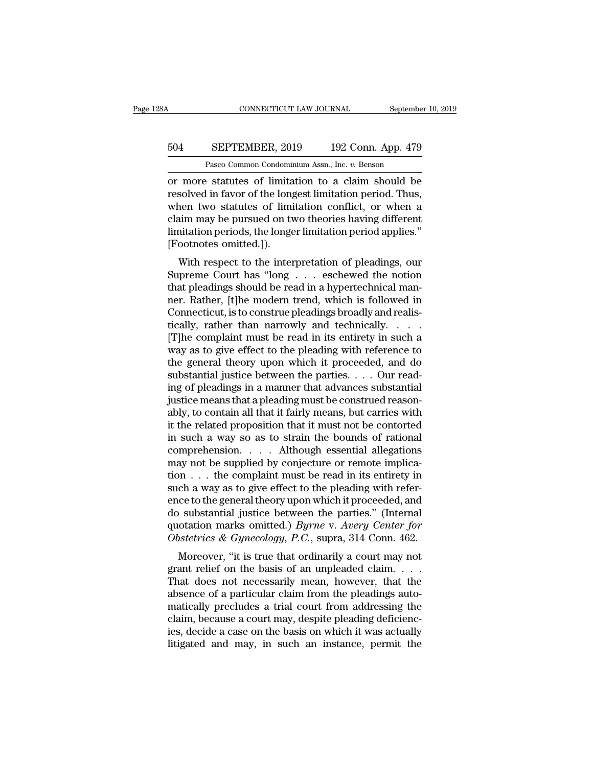### CONNECTICUT LAW JOURNAL September 10, 2019<br>504 SEPTEMBER, 2019 192 Conn. App. 479<br>Pasco Common Condominium Assn., Inc. v. Benson CONNECTICUT LAW JOURNAL Septembe<br>
SEPTEMBER, 2019 192 Conn. App. 479<br>
Pasco Common Condominium Assn., Inc. *v.* Benson<br>
Statutes of limitation to a claim should be

CONNECTICUT LAW JOURNAL September 10, 2019<br>
504 SEPTEMBER, 2019 192 Conn. App. 479<br>
Pasco Common Condominium Assn., Inc. v. Benson<br>
or more statutes of limitation to a claim should be<br>
resolved in favor of the longest limi SEPTEMBER, 2019 192 Conn. App. 479<br>
Pasco Common Condominium Assn., Inc. v. Benson<br>
or more statutes of limitation to a claim should be<br>
resolved in favor of the longest limitation period. Thus,<br>
when two statutes of limit SEPTEMBER, 2019 192 Conn. App. 479<br>
Pasco Common Condominium Assn., Inc.  $v$ . Benson<br>
or more statutes of limitation to a claim should be<br>
resolved in favor of the longest limitation period. Thus,<br>
when two statutes of li 504 SEPTEMBER, 2019 192 Conn. App. 479<br>
Pasco Common Condominium Assn., Inc. v. Benson<br>
or more statutes of limitation to a claim should be<br>
resolved in favor of the longest limitation period. Thus,<br>
when two statutes of l Pasco Common Condominium Assn., Inc. *v.* Benson<br>
or more statutes of limitation to a claim should be<br>
resolved in favor of the longest limitation period. Thus,<br>
when two statutes of limitation conflict, or when a<br>
claim m Pasco Common Condomur<br>
or more statutes of limita<br>
resolved in favor of the long<br>
when two statutes of limi<br>
claim may be pursued on tv<br>
limitation periods, the longe<br>
[Footnotes omitted.]).<br>
With respect to the inter more statutes of initiation to a claim should be<br>solved in favor of the longest limitation period. Thus,<br>nen two statutes of limitation conflict, or when a<br>aim may be pursued on two theories having different<br>initation per Fesoived in favor of the longest influation period. Thus,<br>
when two statutes of limitation conflict, or when a<br>
claim may be pursued on two theories having different<br>
limitation periods, the longer limitation period applie

when two statutes of influation conflict, of when a<br>claim may be pursued on two theories having different<br>limitation periods, the longer limitation period applies."<br>[Footnotes omitted.]).<br>With respect to the interpretation claim may be pursued on two dieones having different<br>limitation periods, the longer limitation period applies."<br>[Footnotes omitted.]).<br>With respect to the interpretation of pleadings, our<br>Supreme Court has "long . . . esch Frootnotes omitted.]).<br>
With respect to the interpretation of pleadings, our<br>
Supreme Court has "long  $\ldots$  eschewed the notion<br>
that pleadings should be read in a hypertechnical man-<br>
ner. Rather, [t]he modern trend, whi With respect to the interpretation of pleadings, our<br>Supreme Court has "long  $\ldots$  eschewed the notion<br>that pleadings should be read in a hypertechnical man-<br>ner. Rather, [t]he modern trend, which is followed in<br>Connectic With respect to the interpretation of pleadings, our<br>Supreme Court has "long  $\ldots$  eschewed the notion<br>that pleadings should be read in a hypertechnical man-<br>ner. Rather, [t]he modern trend, which is followed in<br>Connectic Supreme Court has "long  $\ldots$  eschewed the notion<br>that pleadings should be read in a hypertechnical man-<br>ner. Rather, [t]he modern trend, which is followed in<br>Connecticut, is to construe pleadings broadly and realis-<br>tica that pleadings should be read in a hypertechnical man-<br>ner. Rather, [t]he modern trend, which is followed in<br>Connecticut, is to construe pleadings broadly and realis-<br>tically, rather than narrowly and technically. . . . .<br> ner. Rather, [t]he modern trend, which is followed in Connecticut, is to construe pleadings broadly and realistically, rather than narrowly and technically. . . . . . [T]he complaint must be read in its entirety in such a ing of pleadings in a manner that advances substantial tically, rather than narrowly and technically.  $\ldots$  [T]he complaint must be read in its entirety in such a way as to give effect to the pleading with reference to the general theory upon which it proceeded, and do substa [T]he complaint must be read in its entirety in such a<br>way as to give effect to the pleading with reference to<br>the general theory upon which it proceeded, and do<br>substantial justice between the parties. . . . Our read-<br>in way as to give effect to the pleading with reference to<br>the general theory upon which it proceeded, and do<br>substantial justice between the parties. . . . Our read-<br>ing of pleadings in a manner that advances substantial<br>ju the general theory upon which it proceeded, and do<br>substantial justice between the parties. . . . Our read-<br>ing of pleadings in a manner that advances substantial<br>justice means that a pleading must be construed reason-<br>ab substantial justice between the parties. . . . Our read-<br>ing of pleadings in a manner that advances substantial<br>justice means that a pleading must be construed reason-<br>ably, to contain all that it fairly means, but carrie ing of pleadings in a manner that advances substantial<br>justice means that a pleading must be construed reason-<br>ably, to contain all that it fairly means, but carries with<br>it the related proposition that it must not be con justice means that a pleading must be construed reasonably, to contain all that it fairly means, but carries with<br>it the related proposition that it must not be contorted<br>in such a way so as to strain the bounds of rationa ably, to contain all that it fairly means, but carries with<br>it the related proposition that it must not be contorted<br>in such a way so as to strain the bounds of rational<br>comprehension. . . . . Although essential allegation it the related proposition that it must not be contorted<br>in such a way so as to strain the bounds of rational<br>comprehension.... Although essential allegations<br>may not be supplied by conjecture or remote implica-<br>tion ... in such a way so as to strain the bounds of rational<br>comprehension.... Although essential allegations<br>may not be supplied by conjecture or remote implica-<br>tion... the complaint must be read in its entirety in<br>such a way a comprehension. . . . . Although essential allegations<br>may not be supplied by conjecture or remote implica-<br>tion . . . the complaint must be read in its entirety in<br>such a way as to give effect to the pleading with refer-<br>e may not be supplied by conjecture or remote implication . . . the complaint must be read in its entirety in such a way as to give effect to the pleading with reference to the general theory upon which it proceeded, and do of  $\alpha$ ... the complaint must be read in its emilety in<br>ch a way as to give effect to the pleading with refer-<br>ce to the general theory upon which it proceeded, and<br>is substantial justice between the parties." (Internal<br>o such a way as to give effect to the pleading with refer-<br>ence to the general theory upon which it proceeded, and<br>do substantial justice between the parties." (Internal<br>quotation marks omitted.) *Byrne* v. Avery Center for

ence to the general theory upon which it proceeded, and<br>do substantial justice between the parties." (Internal<br>quotation marks omitted.) *Byrne* v. Avery Center for<br>Obstetrics & Gynecology, P.C., supra, 314 Conn. 462.<br>More absolution marks omitted.) *Byrne* v. *Avery Center for*<br>division marks omitted.) *Byrne* v. *Avery Center for*<br>*Obstetrics & Gynecology, P.C.*, supra, 314 Conn. 462.<br>Moreover, "it is true that ordinarily a court may not<br>g Quotation marks omitted.) *By the* v. *Abery Center for*<br>Obstetrics & Gynecology, P.C., supra, 314 Conn. 462.<br>Moreover, "it is true that ordinarily a court may not<br>grant relief on the basis of an unpleaded claim....<br>That Coster its  $\alpha$  cynectology, 1.0., supra, 514 Conn. 402.<br>Moreover, "it is true that ordinarily a court may not<br>grant relief on the basis of an unpleaded claim.....<br>That does not necessarily mean, however, that the<br>absence Moreover, "it is true that ordinarily a court may not grant relief on the basis of an unpleaded claim.  $\dots$  That does not necessarily mean, however, that the absence of a particular claim from the pleadings automatically grant relief on the basis of an unpleaded claim.  $\ldots$ . That does not necessarily mean, however, that the absence of a particular claim from the pleadings automatically precludes a trial court from addressing the claim, b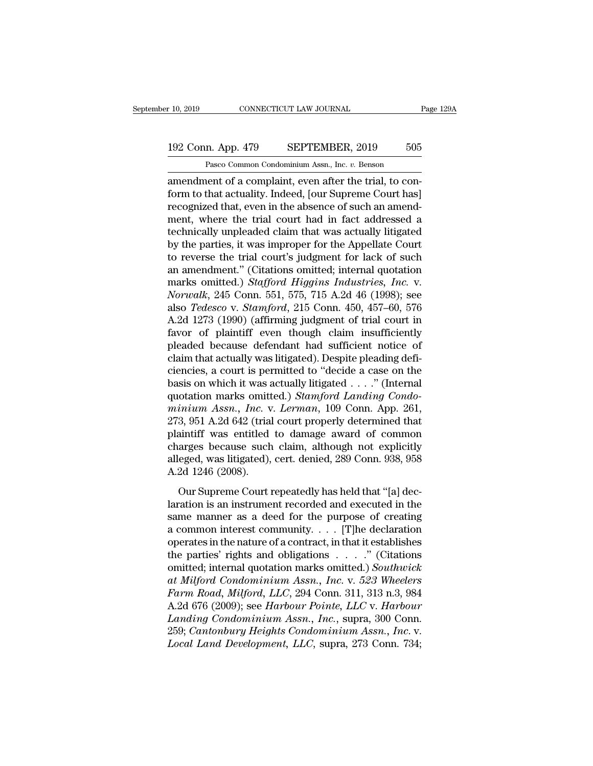### 10, 2019 CONNECTICUT LAW JOURNAL Page 129A<br>192 Conn. App. 479 SEPTEMBER, 2019 505<br>Pasco Common Condominium Assn., Inc. v. Benson CONNECTICUT LAW JOURNAL<br>
1<br>
1<br>
2019 Dianon Condominium Assn., Inc. *v.* Benson<br>
2019 Dianon Condominium Assn., Inc. *v.* Benson<br>
2019 Dianon Condominium Assn., Inc. *v.* Benson<br>
2019 Dianon Condominium Assn., Inc. *v.* Ben

r 10, 2019 CONNECTICUT LAW JOURNAL<br>
192 Conn. App. 479 SEPTEMBER, 2019 505<br>
Pasco Common Condominium Assn., Inc. v. Benson<br>
amendment of a complaint, even after the trial, to con-<br>
form to that actuality. Indeed, [our Supr 192 Conn. App. 479 SEPTEMBER, 2019 505<br>Pasco Common Condominium Assn., Inc. v. Benson<br>amendment of a complaint, even after the trial, to con-<br>form to that actuality. Indeed, [our Supreme Court has]<br>recognized that, even in 192 Conn. App. 479 SEPTEMBER, 2019 505<br>
Pasco Common Condominium Assn., Inc. v. Benson<br>
amendment of a complaint, even after the trial, to conform to that actuality. Indeed, [our Supreme Court has]<br>
recognized that, even i 192 Conn. App. 479 SEPTEMBER, 2019 505<br>
Pasco Common Condominium Assn., Inc.  $v$ . Benson<br>
amendment of a complaint, even after the trial, to con-<br>
form to that actuality. Indeed, [our Supreme Court has]<br>
recognized that, Pasco Common Condominium Assn., Inc. *v.* Benson<br>amendment of a complaint, even after the trial, to con-<br>form to that actuality. Indeed, [our Supreme Court has]<br>recognized that, even in the absence of such an amend-<br>ment, Pasco Common Condominium Assn., inc.  $v$ . Benson<br>amendment of a complaint, even after the trial, to con-<br>form to that actuality. Indeed, [our Supreme Court has]<br>recognized that, even in the absence of such an amend-<br>ment, amendment of a complaint, even after the trial, to conform to that actuality. Indeed, [our Supreme Court has]<br>recognized that, even in the absence of such an amendment, where the trial court had in fact addressed a<br>technic form to that actuality. Indeed, [our Supreme Court has]<br>recognized that, even in the absence of such an amend-<br>ment, where the trial court had in fact addressed a<br>technically unpleaded claim that was actually litigated<br>by recognized that, even in the absence of such an amendment, where the trial court had in fact addressed a technically unpleaded claim that was actually litigated by the parties, it was improper for the Appellate Court to re ment, where the trial court had in fact addressed a<br>technically unpleaded claim that was actually litigated<br>by the parties, it was improper for the Appellate Court<br>to reverse the trial court's judgment for lack of such<br>an technically unpleaded claim that was actually litigated<br>by the parties, it was improper for the Appellate Court<br>to reverse the trial court's judgment for lack of such<br>an amendment." (Citations omitted; internal quotation<br>m by the parties, it was improper for the Appellate Court<br>to reverse the trial court's judgment for lack of such<br>an amendment." (Citations omitted; internal quotation<br>marks omitted.) *Stafford Higgins Industries, Inc.* v.<br>No to reverse the trial court's judgment for lack of such<br>an amendment." (Citations omitted; internal quotation<br>marks omitted.) *Stafford Higgins Industries, Inc.* v.<br>Norwalk, 245 Conn. 551, 575, 715 A.2d 46 (1998); see<br>also an amendment." (Citations omitted; internal quotation<br>marks omitted.) *Stafford Higgins Industries*, *Inc.* v.<br>*Norwalk*, 245 Conn. 551, 575, 715 A.2d 46 (1998); see<br>also *Tedesco* v. *Stamford*, 215 Conn. 450, 457–60, 576 marks omitted.) *Stafford Higgins Industries, Inc. v.*<br>Norwalk, 245 Conn. 551, 575, 715 A.2d 46 (1998); see<br>also *Tedesco v. Stamford*, 215 Conn. 450, 457–60, 576<br>A.2d 1273 (1990) (affirming judgment of trial court in<br>favo Norwalk, 245 Conn. 551, 575, 715 A.2d 46 (1998); see<br>also *Tedesco* v. *Stamford*, 215 Conn. 450, 457–60, 576<br>A.2d 1273 (1990) (affirming judgment of trial court in<br>favor of plaintiff even though claim insufficiently<br>plead also *Tedesco* v. *Stamford*, 215 Conn. 450, 457–60, 576<br>A.2d 1273 (1990) (affirming judgment of trial court in<br>favor of plaintiff even though claim insufficiently<br>pleaded because defendant had sufficient notice of<br>claim A.2d 1273 (1990) (affirming judgment of trial court in favor of plaintiff even though claim insufficiently pleaded because defendant had sufficient notice of claim that actually was litigated). Despite pleading deficiencie favor of plaintiff even though claim insufficiently<br>pleaded because defendant had sufficient notice of<br>claim that actually was litigated). Despite pleading defi-<br>ciencies, a court is permitted to "decide a case on the<br>basi pleaded because defendant had sufficient notice of<br>claim that actually was litigated). Despite pleading defi-<br>ciencies, a court is permitted to "decide a case on the<br>basis on which it was actually litigated . . . ." (Inter claim that actually was litigated). Despite pleading deficiencies, a court is permitted to "decide a case on the basis on which it was actually litigated . . . ." (Internal quotation marks omitted.) *Stamford Landing Cond* ciencies, a court is permitted to "decide a case on the<br>basis on which it was actually litigated . . . ." (Internal<br>quotation marks omitted.) *Stamford Landing Condo-*<br>minium Assn., Inc. v. Lerman, 109 Conn. App. 261,<br>273 basis on which it was actually litigated . . . ." (Internal quotation marks omitted.) *Stamford Landing Condominium Assn., Inc.* v. *Lerman,* 109 Conn. App. 261, 273, 951 A.2d 642 (trial court properly determined that pla quotation marks omitt<br>
minium Assn., Inc. v<br>
273, 951 A.2d 642 (trial<br>
plaintiff was entitled<br>
charges because such<br>
alleged, was litigated),<br>
A.2d 1246 (2008).<br>
Our Supreme Court i Superior Superior Court Fighter Court Property determined that<br>
aintiff was entitled to damage award of common<br>
arges because such claim, although not explicitly<br>
eged, was litigated), cert. denied, 289 Conn. 938, 958<br>
2d 213, 631 11.24 612 (and code property determined data<br>plaintiff was entitled to damage award of common<br>charges because such claim, although not explicitly<br>alleged, was litigated), cert. denied, 289 Conn. 938, 958<br>A.2d 1246

plantar was character to daimage award of contributed charges because such claim, although not explicitly alleged, was litigated), cert. denied, 289 Conn. 938, 958 A.2d 1246 (2008).<br>Our Supreme Court repeatedly has held t alleged, was litigated), cert. denied, 289 Conn. 938, 958<br>A.2d 1246 (2008).<br>Our Supreme Court repeatedly has held that "[a] declaration is an instrument recorded and executed in the<br>same manner as a deed for the purpose o A.2d 1246 (2008).<br>
Our Supreme Court repeatedly has held that "[a] declaration is an instrument recorded and executed in the<br>
same manner as a deed for the purpose of creating<br>
a common interest community. . . . [T]he dec Our Supreme Court repeatedly has held that "[a] declaration is an instrument recorded and executed in the same manner as a deed for the purpose of creating a common interest community. . . . [T]he declaration operates in Our Supreme Court repeatedly has held that "[a] declaration is an instrument recorded and executed in the same manner as a deed for the purpose of creating a common interest community. . . . [T]he declaration operates in *ation* is an instrument recorded and executed in the<br>
same manner as a deed for the purpose of creating<br> *a* common interest community. . . . [T]he declaration<br>
operates in the nature of a contract, in that it establishes **Exame manner as a deed for the purpose of creating<br>
a common interest community. . . . [T]he declaration<br>
operates in the nature of a contract, in that it establishes<br>
the parties' rights and obligations . . . . ." (Citat** a common interest community. . . . . [T]he declaration<br>operates in the nature of a contract, in that it establishes<br>the parties' rights and obligations . . . . ." (Citations<br>omitted; internal quotation marks omitted.) *Sou* operates in the nature of a contract, in that it establishes<br>the parties' rights and obligations . . . . . " (Citations<br>omitted; internal quotation marks omitted.) *Southwick*<br>at Milford Condominium Assn., Inc. v. 523 Whee the parties' rights and obligations . . . ." (Citations<br>
omitted; internal quotation marks omitted.) Southwick<br>
at Milford Condominium Assn., Inc. v. 523 Wheelers<br>
Farm Road, Milford, LLC, 294 Conn. 311, 313 n.3, 984<br>
A.2d omitted; internal quotation marks omitted.) *Southwick*<br>*at Milford Condominium Assn., Inc.* v. 523 Wheelers<br>*Farm Road, Milford, LLC*, 294 Conn. 311, 313 n.3, 984<br>A.2d 676 (2009); see *Harbour Pointe, LLC* v. *Harbour*<br>*L*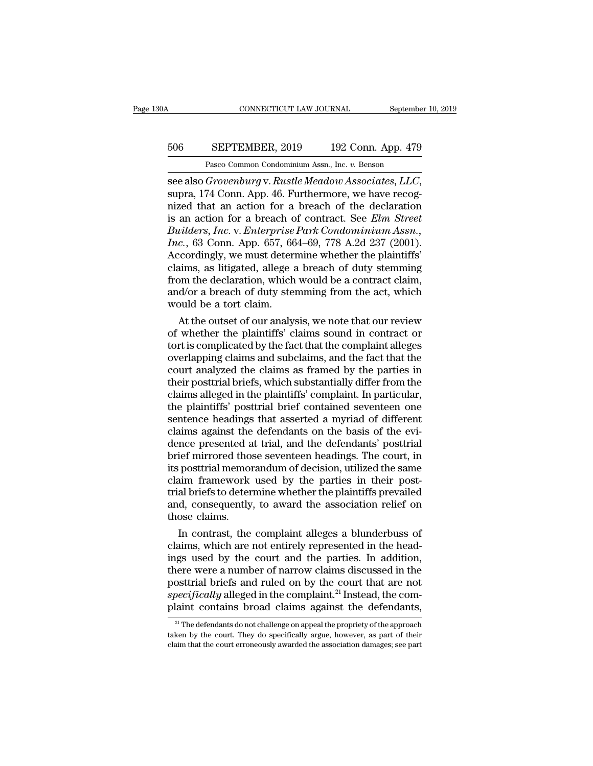### CONNECTICUT LAW JOURNAL September 10, 2019<br>506 SEPTEMBER, 2019 192 Conn. App. 479<br>Pasco Common Condominium Assn., Inc. v. Benson EXEMPLE CONNECTICUT LAW JOURNAL Septembe<br>
SEPTEMBER, 2019 192 Conn. App. 479<br>
Pasco Common Condominium Assn., Inc. *v.* Benson<br> *Grovenburg v. Rustle Meadow Associates LLC*

SEPTEMBER, 2019 192 Conn. App. 479<br>
Pasco Common Condominium Assn., Inc. *v.* Benson<br>
see also *Grovenburg* v. *Rustle Meadow Associates, LLC*,<br>
supra, 174 Conn. App. 46. Furthermore, we have recog-<br>
nized that an action f 506 SEPTEMBER, 2019 192 Conn. App. 479<br>
Pasco Common Condominium Assn., Inc. v. Benson<br>
see also *Grovenburg* v. *Rustle Meadow Associates, LLC*,<br>
supra, 174 Conn. App. 46. Furthermore, we have recog-<br>
nized that an actio 506 SEPTEMBER, 2019 192 Conn. App. 479<br>
Pasco Common Condominium Assn., Inc. v. Benson<br>
see also *Grovenburg* v. *Rustle Meadow Associates, LLC*,<br>
supra, 174 Conn. App. 46. Furthermore, we have recog-<br>
nized that an action Park Common Condominium Assn., Inc. *v.* Benson<br> **Builders,** *Builders, Inc. Builders, ILC*,<br> **Builders, 174 Conn.** App. 46. Furthermore, we have recog-<br>
inized that an action for a breach of the declaration<br>
is an actio Pasco Common Condominium Assn., Inc. *v.* Benson<br> **III.** See also *Grovenburg* v. *Rustle Meadow Associates, LLC*,<br> **III.** Supra, 174 Conn. App. 46. Furthermore, we have recog-<br>
nized that an action for a breach of the dec see also *Grovenburg* v. *Rustle Meadow Associates, LLC,*<br>supra, 174 Conn. App. 46. Furthermore, we have recog-<br>nized that an action for a breach of the declaration<br>is an action for a breach of contract. See *Elm Street*<br> supra, 174 Conn. App. 46. Furthermore, we have recognized that an action for a breach of the declaration<br>is an action for a breach of contract. See *Elm Street*<br>*Builders, Inc.* v. *Enterprise Park Condominium Assn.,*<br>*Inc* mized that an action for a breach of the declaration<br>is an action for a breach of contract. See *Elm Street*<br>*Builders, Inc.* v. *Enterprise Park Condominium Assn.,*<br>*Inc.*, 63 Conn. App. 657, 664–69, 778 A.2d 237 (2001).<br> is an action for a breach of contract. See *Elm Street*<br>Builders, Inc. v. *Enterprise Park Condominium Assn.*,<br>Inc., 63 Conn. App. 657, 664–69, 778 A.2d 237 (2001).<br>Accordingly, we must determine whether the plaintiffs'<br>cl Builders, Inc. v. Enterprise<br>Inc., 63 Conn. App. 657, 66<br>Accordingly, we must detern<br>claims, as litigated, allege a<br>from the declaration, which<br>and/or a breach of duty stee<br>would be a tort claim.<br>At the outset of our analy c., 63 Conn. App. 657, 664–69, 778 A.2d 237 (2001).<br>
coordingly, we must determine whether the plaintiffs'<br>
aims, as litigated, allege a breach of duty stemming<br>
om the declaration, which would be a contract claim,<br>
d/or Accordingly, we must determine whether the plaintiffs'<br>claims, as litigated, allege a breach of duty stemming<br>from the declaration, which would be a contract claim,<br>and/or a breach of duty stemming from the act, which<br>woul

claims, as litigated, allege a breach of duty stemming<br>from the declaration, which would be a contract claim,<br>and/or a breach of duty stemming from the act, which<br>would be a tort claim.<br>At the outset of our analysis, we no from the declaration, which would be a contract claim,<br>and/or a breach of duty stemming from the act, which<br>would be a tort claim.<br>At the outset of our analysis, we note that our review<br>of whether the plaintiffs' claims so and/or a breach of duty stemming from the act, which<br>would be a tort claim.<br>At the outset of our analysis, we note that our review<br>of whether the plaintiffs' claims sound in contract or<br>tort is complicated by the fact that would be a tort claim.<br>At the outset of our analysis, we note that our review<br>of whether the plaintiffs' claims sound in contract or<br>tort is complicated by the fact that the complaint alleges<br>overlapping claims and subclai At the outset of our analysis, we note that our review<br>of whether the plaintiffs' claims sound in contract or<br>tort is complicated by the fact that the complaint alleges<br>overlapping claims and subclaims, and the fact that t of whether the plaintiffs' claims sound in contract or<br>tort is complicated by the fact that the complaint alleges<br>overlapping claims and subclaims, and the fact that the<br>court analyzed the claims as framed by the parties i tort is complicated by the fact that the complaint alleges<br>overlapping claims and subclaims, and the fact that the<br>court analyzed the claims as framed by the parties in<br>their posttrial briefs, which substantially differ fr overlapping claims and subclaims, and the fact that the court analyzed the claims as framed by the parties in their posttrial briefs, which substantially differ from the claims alleged in the plaintiffs' complaint. In part court analyzed the claims as framed by the parties in their posttrial briefs, which substantially differ from the claims alleged in the plaintiffs' complaint. In particular, the plaintiffs' posttrial brief contained sevent their posttrial briefs, which substantially differ from the claims alleged in the plaintiffs' complaint. In particular, the plaintiffs' posttrial brief contained seventeen one sentence headings that asserted a myriad of di claims alleged in the plaintiffs' complaint. In particular,<br>the plaintiffs' posttrial brief contained seventeen one<br>sentence headings that asserted a myriad of different<br>claims against the defendants on the basis of the ev the plaintiffs' posttrial brief contained seventeen one<br>sentence headings that asserted a myriad of different<br>claims against the defendants on the basis of the evi-<br>dence presented at trial, and the defendants' post-<br>trial sentence headings that asserted a myriad of different claims against the defendants on the basis of the evidence presented at trial, and the defendants' posttrial brief mirrored those seventeen headings. The court, in its claims against the defendants on the basis of the evi-<br>dence presented at trial, and the defendants' posttrial<br>brief mirrored those seventeen headings. The court, in<br>its posttrial memorandum of decision, utilized the same<br> dence presented a<br>brief mirrored thos<br>its posttrial memor<br>claim framework<br>trial briefs to deter<br>and, consequently<br>those claims.<br>In contrast, the ief mirrored those seventeen headings. The court, in<br>posttrial memorandum of decision, utilized the same<br>aim framework used by the parties in their post-<br>al briefs to determine whether the plaintiffs prevailed<br>d, consequen its posttrial memorandum of decision, utilized the same<br>claim framework used by the parties in their post-<br>trial briefs to determine whether the plaintiffs prevailed<br>and, consequently, to award the association relief on<br>th

claim framework used by the parties in their post-<br>trial briefs to determine whether the plaintiffs prevailed<br>and, consequently, to award the association relief on<br>those claims.<br>In contrast, the complaint alleges a blunder trial briefs to determine whether the plaintiffs prevailed<br>and, consequently, to award the association relief on<br>those claims.<br>In contrast, the complaint alleges a blunderbuss of<br>claims, which are not entirely represented and, consequently, to award the association relief on<br>those claims.<br>In contrast, the complaint alleges a blunderbuss of<br>claims, which are not entirely represented in the head-<br>ings used by the court and the parties. In add those claims.<br>In contrast, the complaint alleges a blunderbuss of<br>claims, which are not entirely represented in the head-<br>ings used by the court and the parties. In addition,<br>there were a number of narrow claims discussed In contrast, the complaint alleges a blunderbuss of claims, which are not entirely represented in the headings used by the court and the parties. In addition, there were a number of narrow claims discussed in the posttria nere were a number of narrow claims discussed in the osttrial briefs and ruled on by the court that are not *oecifically* alleged in the complaint.<sup>21</sup> Instead, the complaint contains broad claims against the defendants, posttrial briefs and ruled on by the court that are not *specifically* alleged in the complaint.<sup>21</sup> Instead, the complaint contains broad claims against the defendants,<br><sup>21</sup> The defendants do not challenge on appeal the p specifically alleged in the complaint.<sup>21</sup> Instead, the complaint contains broad claims against the defendants,<br><sup>21</sup> The defendants do not challenge on appeal the propriety of the approach taken by the court. They do speci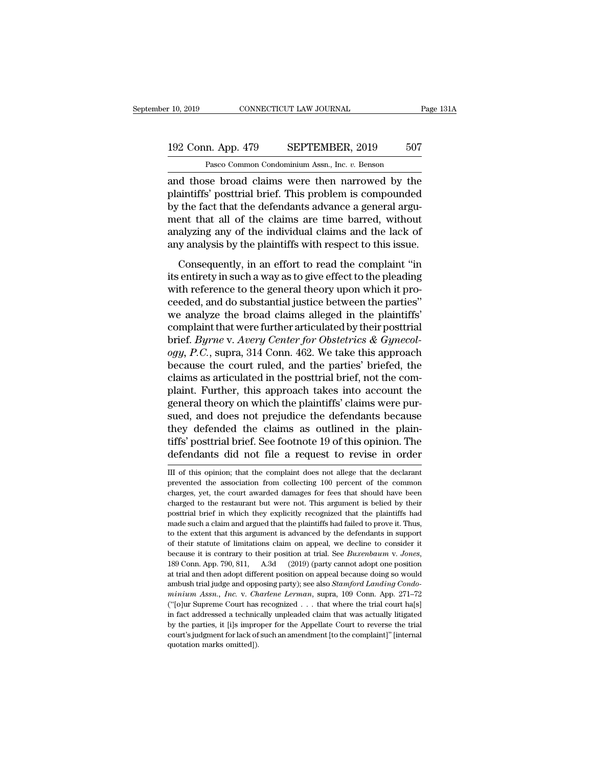### 10, 2019 CONNECTICUT LAW JOURNAL Page 131A<br>192 Conn. App. 479 SEPTEMBER, 2019 507<br>Pasco Common Condominium Assn., Inc. v. Benson CONNECTICUT LAW JOURNAL<br>
1<br>
1<br>
2 Rasco Common Condominium Assn., Inc. *v.* Benson<br>
2 Pasco Common Condominium Assn., Inc. *v.* Benson<br>
2 Pasco Common Condominium Assn., Inc. *v.* Benson<br>
2 Pasco Common Condominium Assn., I

r 10, 2019 CONNECTICUT LAW JOURNAL Page 131A<br>
192 Conn. App. 479 SEPTEMBER, 2019 507<br>
Pasco Common Condominium Assn., Inc. *v.* Benson<br>
and those broad claims were then narrowed by the<br>
plaintiffs' posttrial brief. This pr 192 Conn. App. 479 SEPTEMBER, 2019 507<br>Pasco Common Condominium Assn., Inc. v. Benson<br>and those broad claims were then narrowed by the<br>plaintiffs' posttrial brief. This problem is compounded<br>by the fact that the defendants 192 Conn. App. 479 SEPTEMBER, 2019 507<br>
Pasco Common Condominium Assn., Inc.  $v$ . Benson<br>
and those broad claims were then narrowed by the<br>
plaintiffs' posttrial brief. This problem is compounded<br>
by the fact that the def 192 Conn. App. 479 SEPTEMBER, 2019 507<br>
Pasco Common Condominium Assn., Inc. v. Benson<br>
and those broad claims were then narrowed by the<br>
plaintiffs' posttrial brief. This problem is compounded<br>
by the fact that the defend Pasco Common Condominium Assn., Inc. v. Benson<br>and those broad claims were then narrowed by the<br>plaintiffs' posttrial brief. This problem is compounded<br>by the fact that the defendants advance a general argu-<br>ment that all Pasco Common Condominium Assn., inc.  $v$ . Benson<br>and those broad claims were then narrowed by the<br>plaintiffs' posttrial brief. This problem is compounded<br>by the fact that the defendants advance a general argu-<br>ment that a an different in the complement in a series that the defendants advance a general arguent that all of the claims are time barred, without alyzing any of the individual claims and the lack of y analysis by the plaintiffs wit planting postala stref. This prostent is compounded<br>by the fact that the defendants advance a general argu-<br>ment that all of the claims are time barred, without<br>analyzing any of the individual claims and the lack of<br>any an

by the fact that the determinis develoce a general tigal<br>ment that all of the claims are time barred, without<br>analyzing any of the individual claims and the lack of<br>any analysis by the plaintiffs with respect to this issue ment allet an of the enamistice time barred, while analyzing any of the individual claims and the lack of any analysis by the plaintiffs with respect to this issue.<br>Consequently, in an effort to read the complaint "in its analyzing any of the manifoldal claims and the latter of<br>any analysis by the plaintiffs with respect to this issue.<br>Consequently, in an effort to read the complaint "in<br>its entirety in such a way as to give effect to the p complaintly, in an effort to read the complaint "in<br>its entirety in such a way as to give effect to the pleading<br>with reference to the general theory upon which it pro-<br>ceeded, and do substantial justice between the parti Consequently, in an effort to read the complaint "in<br>its entirety in such a way as to give effect to the pleading<br>with reference to the general theory upon which it pro-<br>ceeded, and do substantial justice between the parti its entirety in such a way as to give effect to the pleading<br>with reference to the general theory upon which it pro-<br>ceeded, and do substantial justice between the parties"<br>we analyze the broad claims alleged in the plaint with reference to the general theory upon which it proceeded, and do substantial justice between the parties"<br>we analyze the broad claims alleged in the plaintiffs"<br>complaint that were further articulated by their posttria ceeded, and do substantial justice between the parties"<br>we analyze the broad claims alleged in the plaintiffs'<br>complaint that were further articulated by their posttrial<br>brief. *Byrne* v. *Avery Center for Obstetrics* & *G* we analyze the broad claims alleged in the plaintiffs'<br>complaint that were further articulated by their posttrial<br>brief. Byrne v. Avery Center for Obstetrics & Gynecol-<br>ogy, P.C., supra, 314 Conn. 462. We take this approac complaint that were further articulated by their posttrial<br>brief. Byrne v. Avery Center for Obstetrics & Gynecol-<br>ogy, P.C., supra, 314 Conn. 462. We take this approach<br>because the court ruled, and the parties' briefed, th brief. *Byrne* v. *Avery Center for Obstetrics & Gynecology, P.C.*, supra, 314 Conn. 462. We take this approach because the court ruled, and the parties' briefed, the claims as articulated in the posttrial brief, not the c ogy, P.C., supra, 314 Conn. 462. We take this approach<br>because the court ruled, and the parties' briefed, the<br>claims as articulated in the posttrial brief, not the com-<br>plaint. Further, this approach takes into account the because the court ruled, and the parties' briefed, the claims as articulated in the posttrial brief, not the complaint. Further, this approach takes into account the general theory on which the plaintiffs' claims were purs claims as articulated in the posttrial brief, not the complaint. Further, this approach takes into account the general theory on which the plaintiffs' claims were pursued, and does not prejudice the defendants because the sued, and does not prejudice the detendants because<br>they defended the claims as outlined in the plain-<br>tiffs' posttrial brief. See footnote 19 of this opinion. The<br>defendants did not file a request to revise in order<br> $\overline{$ they defended the claims as outlined in the plaintiffs' posttrial brief. See footnote 19 of this opinion. The defendants did not file a request to revise in order III of this opinion; that the complaint does not allege tha

tiffs' posttrial brief. See footnote 19 of this opinion. The defendants did not file a request to revise in order  $\overline{III}$  of this opinion; that the complaint does not allege that the declarant prevented the association fr defendants did not file a request to revise in order<br>III of this opinion; that the complaint does not allege that the declarant<br>prevented the association from collecting 100 percent of the common<br>charges, yet, the court aw position of this opinion; that the complaint does not allege that the declarant<br>prevented the association from collecting 100 percent of the common<br>charges, yet, the court awarded damages for fees that should have been<br>cha III of this opinion; that the complaint does not allege that the declarant<br>prevented the association from collecting 100 percent of the common<br>charges, yet, the court awarded damages for fees that should have been<br>charged the extent that sessociation from collecting 100 percent of the common<br>charges, yet, the court awarded damages for fees that should have been<br>charged to the restaurant but were not. This argument is belied by their<br>posttri charges, yet, the court awarded damages for fees that should have been charged to the restaurant but were not. This argument is belied by their posttrial brief in which they explicitly recognized that the plaintiffs had ma charged to the restaurant but were not. This argument is belied by their posttrial brief in which they explicitly recognized that the plaintiffs had made such a claim and argued that the plaintiffs had failed to prove it. made such a claim and argued that the plaintiffs had failed to prove it. Thus, to the extent that this argument is advanced by the defendants in support of their statute of limitations claim on appeal, we decline to consid ambush trial in extent that this argument is advanced by the defendants in support of their statute of limitations claim on appeal, we decline to consider it because it is contrary to their position at trial. See *Buxenbau* of their statute of limitations claim on appeal, we decline to consider it because it is contrary to their position at trial. See *Buxenbaum v. Jones*, 189 Conn. App. 790, 811, A.3d (2019) (party cannot adopt one position because it is contrary to their position at trial. See *Buxenbaum v. Jones*, 189 Conn. App. 790, 811, A.3d (2019) (party cannot adopt one position at trial and then adopt different position on appeal because doing so would <sup>189</sup> Conn. App. 790, 811, A.3d (2019) (party cannot adopt one position at trial and then adopt different position on appeal because doing so would ambush trial judge and opposing party); see also *Stamford Landing Condom* 189 Conn. App. 790, 811, A.3d (2019) (party cannot adopt one position at trial and then adopt different position on appeal because doing so would ambush trial judge and opposing party); see also *Stamford Landing Condomin* ambush trial judge and opposing party); see also Stamford Landing Condominium Assn., Inc. v. Charlene Lerman, supra, 109 Conn. App. 271-72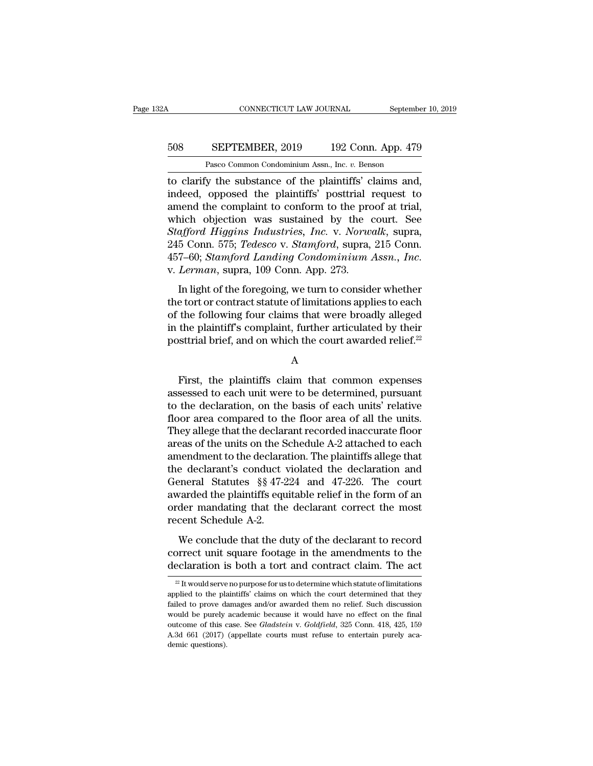### CONNECTICUT LAW JOURNAL September 10, 2019<br>508 SEPTEMBER, 2019 192 Conn. App. 479<br>Pasco Common Condominium Assn., Inc. v. Benson CONNECTICUT LAW JOURNAL Septembe<br>
SEPTEMBER, 2019 192 Conn. App. 479<br>
Pasco Common Condominium Assn., Inc. *v.* Benson<br>
iv the substance of the plaintiffs' claims and

CONNECTICUT LAW JOURNAL September 10, 2<br>
SEPTEMBER, 2019 192 Conn. App. 479<br>
Pasco Common Condominium Assn., Inc. v. Benson<br>
to clarify the substance of the plaintiffs' claims and,<br>
indeed, opposed the plaintiffs' posttria SEPTEMBER, 2019 192 Conn. App. 479<br>
Pasco Common Condominium Assn., Inc. v. Benson<br>
to clarify the substance of the plaintiffs' claims and,<br>
indeed, opposed the plaintiffs' posttrial request to<br>
amend the complaint to conf 508 SEPTEMBER, 2019 192 Conn. App. 479<br>
Pasco Common Condominium Assn., Inc. v. Benson<br>
to clarify the substance of the plaintiffs' claims and,<br>
indeed, opposed the plaintiffs' posttrial request to<br>
amend the complaint to SO8 SEPTEMBER, 2019 192 Conn. App. 479<br>
Pasco Common Condominium Assn., Inc.  $v$ . Benson<br>
to clarify the substance of the plaintiffs' claims and,<br>
indeed, opposed the plaintiffs' posttrial request to<br>
amend the complaint Pasco Common Condominium Assn., Inc. *v.* Benson<br> **ISLECT COMMON EXAMPLE COMMON EXAMPLE PROOF**<br> **Stafford All plantiffs'** posttrial request to<br>
amend the complaint to conform to the proof at trial,<br>
which objection was sus Pasco Common Condominum Assn., inc. *v.* Benson<br>to clarify the substance of the plaintiffs' claims and,<br>indeed, opposed the plaintiffs' posttrial request to<br>amend the complaint to conform to the proof at trial,<br>which objec to clarify the substance of the plaintiffs' claims and,<br>indeed, opposed the plaintiffs' posttrial request to<br>amend the complaint to conform to the proof at trial,<br>which objection was sustained by the court. See<br>Stafford Hi In die oorlynant to conform to the froor at that,<br>
inch objection was sustained by the court. See<br>
afford Higgins Industries, Inc. v. Norwalk, supra,<br>
5 Conn. 575; Tedesco v. Stamford, supra, 215 Conn.<br>
7–60; Stamford Land Stafford Higgins Industries, Inc. v. Norwalk, supra,<br>245 Conn. 575; Tedesco v. Stamford, supra, 215 Conn.<br>457–60; Stamford Landing Condominium Assn., Inc.<br>v. Lerman, supra, 109 Conn. App. 273.<br>In light of the foregoing, w

245 Conn. 575; *Tedesco* v. *Stamford*, supra, 215 Conn.<br>245 Conn. 575; *Tedesco* v. *Stamford*, supra, 215 Conn.<br>457–60; *Stamford Landing Condominium Assn.*, *Inc.*<br>v. *Lerman*, supra, 109 Conn. App. 273.<br>In light of th 215 Common, Fourtherm, furthermore, supplementation, Fig. 315 Commonlated 457–60; *Stamford Landing Condominium Assn.*, *Inc.*<br>v. *Lerman*, supra, 109 Conn. App. 273.<br>In light of the foregoing, we turn to consider whether posterior, standard relationship scheme in the consider whether<br>the tort or contract statute of limitations applies to each<br>of the following four claims that were broadly alleged<br>in the plaintiff's complaint, further arti Exercise to each<br>the following four claims that were broadly alleged<br>the plaintiff's complaint, further articulated by their<br>sttrial brief, and on which the court awarded relief.<sup>22</sup><br>A<br>First, the plaintiffs claim that comm

A

of the following four claims that were broadly alleged<br>in the plaintiff's complaint, further articulated by their<br>posttrial brief, and on which the court awarded relief.<sup>22</sup><br>A<br>First, the plaintiffs claim that common expens in the plaintiff's complaint, further articulated by their<br>posttrial brief, and on which the court awarded relief.<sup>22</sup><br> $\,$ <br> $\,$ <br>First, the plaintiffs claim that common expenses<br>assessed to each unit were to be determined posttrial brief, and on which the court awarded relief.<sup>22</sup><br>A<br>Hirst, the plaintiffs claim that common expenses<br>assessed to each unit were to be determined, pursuant<br>to the declaration, on the basis of each units' relative<br> A<br>
First, the plaintiffs claim that common expenses<br>
assessed to each unit were to be determined, pursuant<br>
to the declaration, on the basis of each units' relative<br>
floor area compared to the floor area of all the units.<br> First, the plaintiffs claim that common expenses<br>assessed to each unit were to be determined, pursuant<br>to the declaration, on the basis of each units' relative<br>floor area compared to the floor area of all the units.<br>They a First, the plaintiffs claim that common expenses<br>assessed to each unit were to be determined, pursuant<br>to the declaration, on the basis of each units' relative<br>floor area compared to the floor area of all the units.<br>They assessed to each unit were to be determined, pursuant<br>to the declaration, on the basis of each units' relative<br>floor area compared to the floor area of all the units.<br>They allege that the declarant recorded inaccurate floo to the declaration, on the basis of each units' relative<br>floor area compared to the floor area of all the units.<br>They allege that the declarant recorded inaccurate floor<br>areas of the units on the Schedule A-2 attached to e floor area compared to the floor area of all the units.<br>They allege that the declarant recorded inaccurate floor<br>areas of the units on the Schedule A-2 attached to each<br>amendment to the declaration. The plaintiffs allege t They allege that the declarant recorded inaccurate floor<br>areas of the units on the Schedule A-2 attached to each<br>amendment to the declaration. The plaintiffs allege that<br>the declarant's conduct violated the declaration and areas of the units on the S<br>amendment to the declarar<br>the declarant's conduct v<br>General Statutes §§ 47-2<br>awarded the plaintiffs equ<br>order mandating that the<br>recent Schedule A-2.<br>We conclude that the du restantion of the declaration and<br>e declarant's conduct violated the declaration and<br>eneral Statutes §§ 47-224 and 47-226. The court<br>varded the plaintiffs equitable relief in the form of an<br>der mandating that the declarant correct statutes  $$47-224$  and  $47-226$ . The court<br>awarded the plaintiffs equitable relief in the form of an<br>order mandating that the declarant correct the most<br>recent Schedule A-2.<br>We conclude that the duty of the declara awarded the plaintiffs equitable relief in the form of an order mandating that the declarant correct the most<br>recent Schedule A-2.<br>We conclude that the duty of the declarant to record<br>correct unit square footage in the am

We conclude that the duty of the declarant to record<br>prrect unit square footage in the amendments to the<br>eclaration is both a tort and contract claim. The act<br> $\frac{22}{1}$  It would serve no purpose for us to determine which We conclude that the duty of the declarant to record<br>correct unit square footage in the amendments to the<br>declaration is both a tort and contract claim. The act<br> $\frac{2}{x}$  It wouldserve no purpose for us to determine which

correct unit square footage in the amendments to the declaration is both a tort and contract claim. The act  $\frac{1}{2}$  it wouldserve no purpose for us to determine which statute of limitations applied to the plaintiffs' cl declaration is both a tort and contract claim. The act<br>
<sup>22</sup> It would serve no purpose for us to determine which statute of limitations<br>
applied to the plaintiffs' claims on which the court determined that they<br>
failed to <sup>22</sup> It would serve no purpose for us to determine which statute of limitations applied to the plaintiffs' claims on which the court determined that they failed to prove damages and/or awarded them no relief. Such discussi <sup>22</sup> It would serve no purpose for us to determine which statute of limitations applied to the plaintiffs' claims on which the court determined that they failed to prove damages and/or awarded them no relief. Such discuss applied to the plaintiffs' claims on which the court determined that they failed to prove damages and/or awarded them no relief. Such discussion would be purely academic because it would have no effect on the final outcom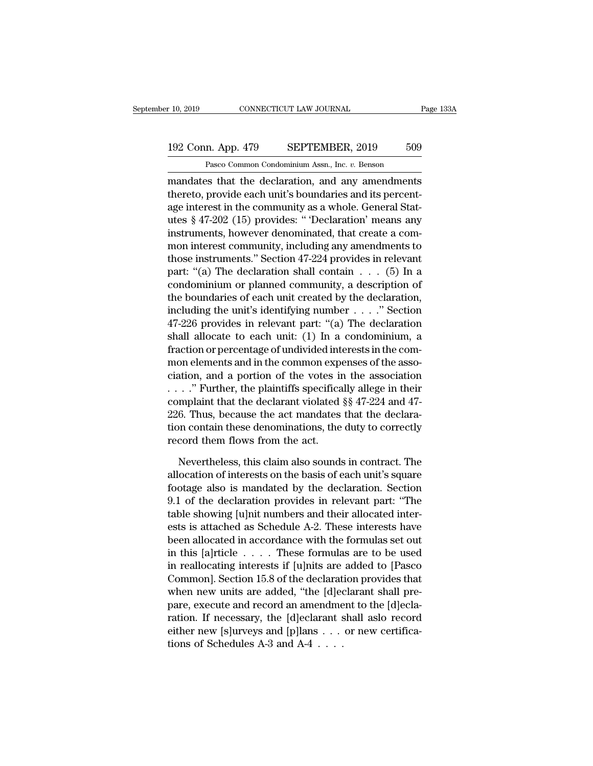### 10, 2019 CONNECTICUT LAW JOURNAL Page 133A<br>192 Conn. App. 479 SEPTEMBER, 2019 509<br>Pasco Common Condominium Assn., Inc. v. Benson CONNECTICUT LAW JOURNAL<br>
1<br>
2 Rasco Common Condominium Assn., Inc. *v.* Benson<br>
2 Pasco Common Condominium Assn., Inc. *v.* Benson<br>
2 Past that the declaration and any amendments

r 10, 2019 CONNECTICUT LAW JOURNAL Page 133A<br>
192 Conn. App. 479 SEPTEMBER, 2019 509<br>
Pasco Common Condominium Assn., Inc. v. Benson<br>
mandates that the declaration, and any amendments<br>
thereto, provide each unit's boundari 192 Conn. App. 479 SEPTEMBER, 2019 509<br>Pasco Common Condominium Assn., Inc. v. Benson<br>mandates that the declaration, and any amendments<br>thereto, provide each unit's boundaries and its percent-<br>age interest in the community 192 Conn. App. 479 SEPTEMBER, 2019 509<br>
Pasco Common Condominium Assn., Inc. v. Benson<br>
mandates that the declaration, and any amendments<br>
thereto, provide each unit's boundaries and its percent-<br>
age interest in the commu 192 Conn. App. 479 SEPTEMBER, 2019 509<br>
Pasco Common Condominium Assn., Inc.  $v$ . Benson<br>
mandates that the declaration, and any amendments<br>
thereto, provide each unit's boundaries and its percent-<br>
age interest in the co Pasco Common Condominium Assn., Inc.  $v$ . Benson<br>mandates that the declaration, and any amendments<br>thereto, provide each unit's boundaries and its percent-<br>age interest in the community as a whole. General Stat-<br>utes § 47 rasco common condominant assn., me.  $v$ . benson<br>mandates that the declaration, and any amendments<br>thereto, provide each unit's boundaries and its percent-<br>age interest in the community as a whole. General Stat-<br>utes § 47mandates that the declaration, and any amendments<br>thereto, provide each unit's boundaries and its percent-<br>age interest in the community as a whole. General Stat-<br>utes § 47-202 (15) provides: " Declaration' means any<br>inst thereto, provide each unit's boundaries and its percent-<br>age interest in the community as a whole. General Stat-<br>utes § 47-202 (15) provides: " 'Declaration' means any<br>instruments, however denominated, that create a com-<br>m age interest in the community as a whole. General Stat-<br>utes § 47-202 (15) provides: " Declaration' means any<br>instruments, however denominated, that create a com-<br>mon interest community, including any amendments to<br>those utes § 47-202 (15) provides: "Declaration' means any<br>instruments, however denominated, that create a com-<br>mon interest community, including any amendments to<br>those instruments." Section 47-224 provides in relevant<br>part: " instruments, however denominated, that create a com-<br>mon interest community, including any amendments to<br>those instruments." Section 47-224 provides in relevant<br>part: "(a) The declaration shall contain . . . . (5) In a<br>con mon interest community, including any amendments to<br>those instruments." Section 47-224 provides in relevant<br>part: "(a) The declaration shall contain . . . (5) In a<br>condominium or planned community, a description of<br>the bo those instruments." Section 47-224 provides in relevant<br>part: "(a) The declaration shall contain . . . (5) In a<br>condominium or planned community, a description of<br>the boundaries of each unit created by the declaration,<br>in part: "(a) The declaration shall contain  $\dots$  (5) In a condominium or planned community, a description of the boundaries of each unit created by the declaration, including the unit's identifying number  $\dots$ ." Section 47-2 condominium or planned community, a description of<br>the boundaries of each unit created by the declaration,<br>including the unit's identifying number  $\dots$ ." Section<br>47-226 provides in relevant part: "(a) The declaration<br>shal the boundaries of each unit created by the declaration,<br>including the unit's identifying number  $\dots$ ." Section<br>47-226 provides in relevant part: "(a) The declaration<br>shall allocate to each unit: (1) In a condominium, a<br>fr including the unit's identifying number . . . ." Section 47-226 provides in relevant part: "(a) The declaration shall allocate to each unit: (1) In a condominium, a fraction or percentage of undivided interests in the com 47-226 provides in relevant part: "(a) The declaration<br>shall allocate to each unit: (1) In a condominium, a<br>fraction or percentage of undivided interests in the com-<br>mon elements and in the common expenses of the asso-<br>ci shall allocate to each unit: (1) In a condominium, a<br>fraction or percentage of undivided interests in the com-<br>mon elements and in the common expenses of the asso-<br>ciation, and a portion of the votes in the association<br> $\$ fraction or percentage of undivided interests in the common elements and in the common expenses of the association, and a portion of the votes in the association  $\ldots$  "." Further, the plaintiffs specifically allege in th mon elements and in the common experiation, and a portion of the votes in . . . . " Further, the plaintiffs specifical complaint that the declarant violated 226. Thus, because the act mandates tion contain these denominat . ." Further, the plaintiffs specifically allege in their<br>mplaint that the declarant violated  $\S$   $\P$   $\P$   $47-6$ . Thus, because the act mandates that the declara-<br>on contain these denominations, the duty to correctly<br>cord complaint that the declarant violated  $\S$ § 47-224 and 47-226. Thus, because the act mandates that the declaration contain these denominations, the duty to correctly record them flows from the act.<br>Nevertheless, this claim

226. Thus, because the act mandates that the declaration contain these denominations, the duty to correctly<br>record them flows from the act.<br>Nevertheless, this claim also sounds in contract. The<br>allocation of interests on t tion contain these denominations, the duty to correctly<br>record them flows from the act.<br>Nevertheless, this claim also sounds in contract. The<br>allocation of interests on the basis of each unit's square<br>footage also is manda record them flows from the act.<br>Nevertheless, this claim also sounds in contract. The<br>allocation of interests on the basis of each unit's square<br>footage also is mandated by the declaration. Section<br>9.1 of the declaration p Nevertheless, this claim also sounds in contract. The<br>allocation of interests on the basis of each unit's square<br>footage also is mandated by the declaration. Section<br>9.1 of the declaration provides in relevant part: "The<br>t Nevertheless, this claim also sounds in contract. The<br>allocation of interests on the basis of each unit's square<br>footage also is mandated by the declaration. Section<br>9.1 of the declaration provides in relevant part: "The<br> allocation of interests on the basis of each unit's square<br>footage also is mandated by the declaration. Section<br>9.1 of the declaration provides in relevant part: "The<br>table showing [u]nit numbers and their allocated interfootage also is mandated by the declaration. Section<br>9.1 of the declaration provides in relevant part: "The<br>table showing [u]nit numbers and their allocated inter-<br>ests is attached as Schedule A-2. These interests have<br>be 9.1 of the declaration provides in relevant part: "The<br>table showing [u]nit numbers and their allocated inter-<br>ests is attached as Schedule A-2. These interests have<br>been allocated in accordance with the formulas set out<br> table showing [u]nit numbers and their allocated interests is attached as Schedule A-2. These interests have<br>been allocated in accordance with the formulas set out<br>in this [a]rticle  $\,\ldots\,\ldots$  These formulas are to be use ests is attached as Schedule A-2. These interests have<br>been allocated in accordance with the formulas set out<br>in this [a]rticle  $\ldots$ . These formulas are to be used<br>in reallocating interests if [u]nits are added to [Pasco been allocated in accordance with the formulas set out<br>in this [a]rticle . . . . . These formulas are to be used<br>in reallocating interests if [u]nits are added to [Pasco<br>Common]. Section 15.8 of the declaration provides t in this [a]rticle . . . . These formulas are to be used<br>in reallocating interests if [u]nits are added to [Pasco<br>Common]. Section 15.8 of the declaration provides that<br>when new units are added, "the [d]eclarant shall prein reallocating interests if [u]nits are Common]. Section 15.8 of the declarat<br>when new units are added, "the [d]ec<br>pare, execute and record an amendme<br>ration. If necessary, the [d]eclarant s<br>either new [s]urveys and [p]la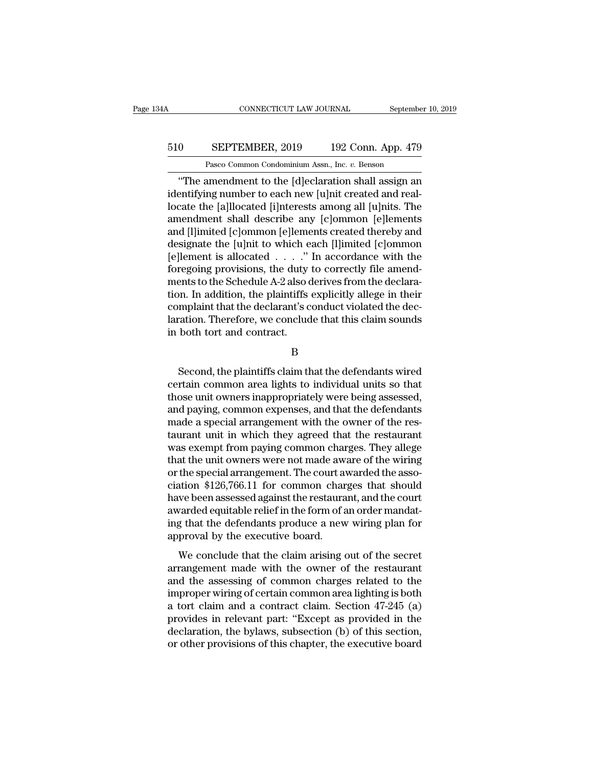### CONNECTICUT LAW JOURNAL September 10, 2019<br>510 SEPTEMBER, 2019 192 Conn. App. 479<br>Pasco Common Condominium Assn., Inc. v. Benson CONNECTICUT LAW JOURNAL Septembe<br>
SEPTEMBER, 2019 192 Conn. App. 479<br>
Pasco Common Condominium Assn., Inc. *v.* Benson<br>
amendment to the [dleclaration shall assign an

CONNECTICUT LAW JOURNAL September 10, 2019<br>
0 SEPTEMBER, 2019 192 Conn. App. 479<br>
Pasco Common Condominium Assn., Inc. v. Benson<br>
"The amendment to the [d]eclaration shall assign an<br>
entifying number to each new [u]nit cre 510 SEPTEMBER, 2019 192 Conn. App. 479<br>Pasco Common Condominium Assn., Inc. v. Benson<br>
"The amendment to the [d]eclaration shall assign an<br>
identifying number to each new [u]nit created and real-<br>
locate the [a]llocated [i SEPTEMBER, 2019 192 Conn. App. 479<br>
Pasco Common Condominium Assn., Inc. v. Benson<br>
"The amendment to the [d]eclaration shall assign an<br>
identifying number to each new [u]nit created and real-<br>
locate the [a]llocated [i]nt 510 SEPTEMBER, 2019 192 Conn. App. 479<br>
Pasco Common Condominium Assn., Inc. v. Benson<br>
"The amendment to the [d]eclaration shall assign an<br>
identifying number to each new [u]nit created and real-<br>
locate the [a]llocated [ Pasco Common Condominium Assn., Inc. v. Benson<br>
"The amendment to the [d]eclaration shall assign an<br>
identifying number to each new [u]nit created and real-<br>
locate the [a]llocated [i]nterests among all [u]nits. The<br>
amend Pasco Common Condominium Assn., inc.  $v$ . Benson<br>
"The amendment to the [d]eclaration shall assign an<br>
identifying number to each new [u]nit created and real-<br>
locate the [a]llocated [i]nterests among all [u]nits. The<br>
am "The amendment to the [d]eclaration shall assign an<br>identifying number to each new [u]nit created and real-<br>locate the [a]llocated [i]nterests among all [u]nits. The<br>amendment shall describe any [c]ommon [e]lements<br>and [l identifying number to each new [u]nit created and real-<br>locate the [a]llocated [i]nterests among all [u]nits. The<br>amendment shall describe any [c]ommon [e]lements<br>and [l]imited [c]ommon [e]lements created thereby and<br>desig locate the [a]llocated [i]nterests among all [u]nits. The<br>amendment shall describe any [c]ommon [e]lements<br>and [l]imited [c]ommon [e]lements created thereby and<br>designate the [u]nit to which each [l]imited [c]ommon<br>[e]leme amendment shall describe any [c]ommon [e]lements<br>and [l]imited [c]ommon [e]lements created thereby and<br>designate the [u]nit to which each [l]imited [c]ommon<br>[e]lement is allocated . . . . " In accordance with the<br>foregoing and [1]imited [c]ommon [e]lements created thereby and<br>designate the [u]nit to which each [1]imited [c]ommon<br>[e]lement is allocated  $\ldots$ ..." In accordance with the<br>foregoing provisions, the duty to correctly file amend-<br>m designate the [u]nit to which each [l]imited [c]ommon<br>[e]lement is allocated . . . . ." In accordance with the<br>foregoing provisions, the duty to correctly file amend-<br>ments to the Schedule A-2 also derives from the declara [e]lement is allocated . . . ."<br>foregoing provisions, the duty<br>ments to the Schedule A-2 also  $\alpha$ <br>tion. In addition, the plaintiffs<br>complaint that the declarant's c<br>laration. Therefore, we conclud<br>in both tort and contrac or in addition, the plaintiffs explicitly allege in their<br>mplaint that the declarant's conduct violated the dec-<br>ration. Therefore, we conclude that this claim sounds<br>both tort and contract.<br>B<br>Second, the plaintiffs claim

B

complaint that the declarant's conduct violated the declaration. Therefore, we conclude that this claim sounds<br>in both tort and contract.<br>B<br>Second, the plaintiffs claim that the defendants wired<br>certain common area lights laration. Therefore, we conclude that this claim sounds<br>in both tort and contract.<br>B<br>Second, the plaintiffs claim that the defendants wired<br>certain common area lights to individual units so that<br>those unit owners inappropr B<br>B<br>Second, the plaintiffs claim that the defendants wired<br>certain common area lights to individual units so that<br>those unit owners inappropriately were being assessed,<br>and paying, common expenses, and that the defendants<br> B<br>
Second, the plaintiffs claim that the defendants wired<br>
certain common area lights to individual units so that<br>
those unit owners inappropriately were being assessed,<br>
and paying, common expenses, and that the defendant Second, the plaintiffs claim that the defendants wired<br>certain common area lights to individual units so that<br>those unit owners inappropriately were being assessed,<br>and paying, common expenses, and that the defendants<br>made Second, the plaintiffs claim that the defendants wired<br>certain common area lights to individual units so that<br>those unit owners inappropriately were being assessed,<br>and paying, common expenses, and that the defendants<br>made certain common area lights to individual units so that<br>those unit owners inappropriately were being assessed,<br>and paying, common expenses, and that the defendants<br>made a special arrangement with the owner of the rest<br>taura those unit owners inappropriately were being assessed,<br>and paying, common expenses, and that the defendants<br>made a special arrangement with the owner of the rest<br>aurant unit in which they agreed that the restaurant<br>was exe and paying, common expenses, and that the defendants<br>made a special arrangement with the owner of the restaurant<br>taurant unit in which they agreed that the restaurant<br>was exempt from paying common charges. They allege<br>that made a special arrangement with the owner of the restaurant<br>taurant unit in which they agreed that the restaurant<br>was exempt from paying common charges. They allege<br>that the unit owners were not made aware of the wiring<br>or taurant unit in which they agreed that the restaurant<br>was exempt from paying common charges. They allege<br>that the unit owners were not made aware of the wiring<br>or the special arrangement. The court awarded the asso-<br>ciatio was exempt from paying common charges. They allege<br>that the unit owners were not made aware of the wiring<br>or the special arrangement. The court awarded the asso-<br>ciation \$126,766.11 for common charges that should<br>have been that the unit owners were not made aw<br>or the special arrangement. The court aveclation \$126,766.11 for common char<br>have been assessed against the restaura<br>awarded equitable relief in the form of a<br>ing that the defendants p and \$126,766.11 for common charges that should<br>we been assessed against the restaurant, and the court<br>varded equitable relief in the form of an order mandat-<br>g that the defendants produce a new wiring plan for<br>proval by th Example and the common enarges and should<br>have been assessed against the restaurant, and the court<br>awarded equitable relief in the form of an order mandat-<br>ing that the defendants produce a new wiring plan for<br>approval by

awarded equitable relief in the form of an order mandating that the defendants produce a new wiring plan for approval by the executive board.<br>We conclude that the claim arising out of the secret arrangement made with the ing that the defendants produce a new wiring plan for<br>approval by the executive board.<br>We conclude that the claim arising out of the secret<br>arrangement made with the owner of the restaurant<br>and the assessing of common char approval by the executive board.<br>We conclude that the claim arising out of the secret<br>arrangement made with the owner of the restaurant<br>and the assessing of common charges related to the<br>improper wiring of certain common We conclude that the claim arising out of the secret<br>arrangement made with the owner of the restaurant<br>and the assessing of common charges related to the<br>improper wiring of certain common area lighting is both<br>a tort claim We conclude that the claim arising out of the secret<br>arrangement made with the owner of the restaurant<br>and the assessing of common charges related to the<br>improper wiring of certain common area lighting is both<br>a tort claim arrangement made with the owner of the restaurant<br>and the assessing of common charges related to the<br>improper wiring of certain common area lighting is both<br>a tort claim and a contract claim. Section 47-245 (a)<br>provides in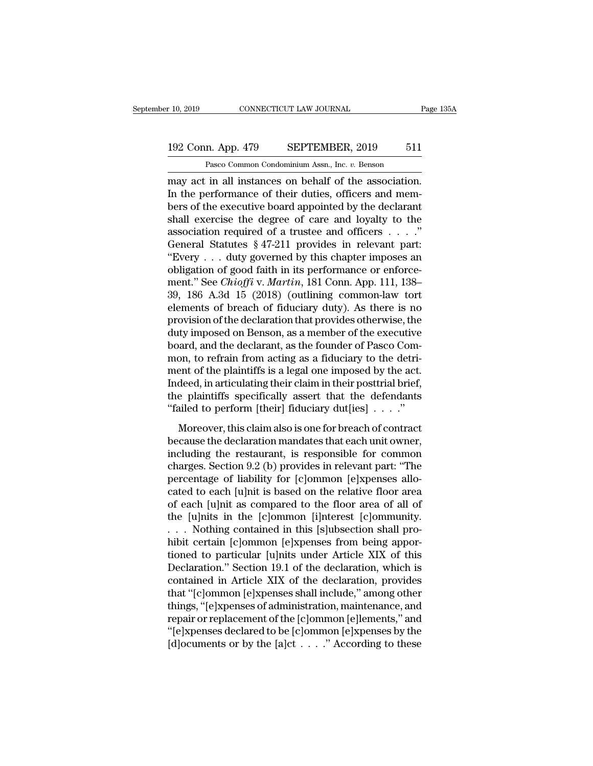### 10, 2019 CONNECTICUT LAW JOURNAL Page 135A<br>192 Conn. App. 479 SEPTEMBER, 2019 511<br>Pasco Common Condominium Assn., Inc. v. Benson CONNECTICUT LAW JOURNAL<br>
1<br>
1<br>
2 Rasco Common Condominium Assn., Inc. *v.* Benson<br>
1<br>
1 Instances on behalf of the association

r 10, 2019 CONNECTICUT LAW JOURNAL Page 13<br>
192 Conn. App. 479 SEPTEMBER, 2019 511<br>
Pasco Common Condominium Assn., Inc. v. Benson<br>
may act in all instances on behalf of the association.<br>
In the performance of their duties 192 Conn. App. 479 SEPTEMBER, 2019 511<br>
Pasco Common Condominium Assn., Inc. v. Benson<br>
may act in all instances on behalf of the association.<br>
In the performance of their duties, officers and mem-<br>
best of the executive b 192 Conn. App. 479 SEPTEMBER, 2019 511<br>
Pasco Common Condominium Assn., Inc. v. Benson<br>
may act in all instances on behalf of the association.<br>
In the performance of their duties, officers and mem-<br>
bers of the executive b 192 Conn. App. 479 SEPTEMBER, 2019 511<br>
Pasco Common Condominium Assn., Inc. v. Benson<br>
may act in all instances on behalf of the association.<br>
In the performance of their duties, officers and mem-<br>
bers of the executive Pasco Common Condominium Assn., Inc. v. Benson<br>may act in all instances on behalf of the association.<br>In the performance of their duties, officers and mem-<br>bers of the executive board appointed by the declarant<br>shall exerc Pasco Common Condominum Assn., inc.  $v$ . Benson<br>
Imay act in all instances on behalf of the association.<br>
In the performance of their duties, officers and mem-<br>
bers of the executive board appointed by the declarant<br>
shal may act in all instances on behalf of the association.<br>
In the performance of their duties, officers and members of the executive board appointed by the declarant<br>
shall exercise the degree of care and loyalty to the<br>
ass In the performance of their duties, officers and members of the executive board appointed by the declarant shall exercise the degree of care and loyalty to the association required of a trustee and officers  $\dots$ . The asso bers of the executive board appointed by the declarant<br>
shall exercise the degree of care and loyalty to the<br>
association required of a trustee and officers . . . . ."<br>
General Statutes § 47-211 provides in relevant part:<br> shall exercise the degree of care and loyalty to the<br>association required of a trustee and officers  $\dots$ ."<br>General Statutes § 47-211 provides in relevant part:<br>"Every  $\dots$  duty governed by this chapter imposes an<br>obligati association required of a trustee and officers  $\dots$ ."<br>General Statutes § 47-211 provides in relevant part:<br>"Every  $\dots$  duty governed by this chapter imposes an<br>obligation of good faith in its performance or enforce-<br>ment. General Statutes § 47-211 provides in relevant part:<br>
"Every . . . duty governed by this chapter imposes an<br>
obligation of good faith in its performance or enforce-<br>
ment." See *Chioffi* v. *Martin*, 181 Conn. App. 111, 1 "Every . . . duty governed by this chapter imposes an obligation of good faith in its performance or enforcement." See *Chioffi* v. *Martin*, 181 Conn. App. 111, 138–39, 186 A.3d 15 (2018) (outlining common-law tort eleme obligation of good faith in its performance or enforcement." See *Chioffi* v. *Martin*, 181 Conn. App. 111, 138–39, 186 A.3d 15 (2018) (outlining common-law tort elements of breach of fiduciary duty). As there is no provis ment." See *Chioffi* v. *Martin*, 181 Conn. App. 111, 138–39, 186 A.3d 15 (2018) (outlining common-law tort elements of breach of fiduciary duty). As there is no provision of the declaration that provides otherwise, the du 39, 186 A.3d 15 (2018) (outlining common-law tort<br>elements of breach of fiduciary duty). As there is no<br>provision of the declaration that provides otherwise, the<br>duty imposed on Benson, as a member of the executive<br>board, elements of breach of fiduciary duty). As there is no<br>provision of the declaration that provides otherwise, the<br>duty imposed on Benson, as a member of the executive<br>board, and the declarant, as the founder of Pasco Com-<br>mo provision of the declaration that provides otherwise, the<br>duty imposed on Benson, as a member of the executive<br>board, and the declarant, as the founder of Pasco Com-<br>mon, to refrain from acting as a fiduciary to the detri duty imposed on Benson, as a member of the executive<br>board, and the declarant, as the founder of Pasco Com-<br>mon, to refrain from acting as a fiduciary to the detri-<br>ment of the plaintiffs is a legal one imposed by the act on, to refrain from acting as a fiduciary to the detri-<br>ent of the plaintiffs is a legal one imposed by the act.<br>deed, in articulating their claim in their posttrial brief,<br>e plaintiffs specifically assert that the defend mon, to tend in from a<br>cange as a materialy solar dear ment of the plaintiffs is a legal one imposed by the act.<br>Indeed, in articulating their claim in their posttrial brief,<br>the plaintiffs specifically assert that the de

including their claim in their posttrial brief,<br>the plaintiffs specifically assert that the defendants<br>"failed to perform [their] fiduciary dut[ies]  $\ldots$ ."<br>Moreover, this claim also is one for breach of contract<br>because mated, in a detailing their claim in their posterial street,<br>the plaintiffs specifically assert that the defendants<br>"failed to perform [their] fiduciary dut[ies]  $\ldots$ ."<br>Moreover, this claim also is one for breach of cont "failed to perform [their] fiduciary dut[ies]  $\ldots$ ."<br>"Moreover, this claim also is one for breach of contract<br>because the declaration mandates that each unit owner,<br>including the restaurant, is responsible for common<br>cha Moreover, this claim also is one for breach of contract<br>because the declaration mandates that each unit owner,<br>including the restaurant, is responsible for common<br>charges. Section 9.2 (b) provides in relevant part: "The<br>p Moreover, this claim also is one for breach of contract<br>because the declaration mandates that each unit owner,<br>including the restaurant, is responsible for common<br>charges. Section 9.2 (b) provides in relevant part: "The<br>pe because the declaration mandates that each unit owner,<br>including the restaurant, is responsible for common<br>charges. Section 9.2 (b) provides in relevant part: "The<br>percentage of liability for [c]ommon [e]xpenses allo-<br>cate including the restaurant, is responsible for common charges. Section 9.2 (b) provides in relevant part: "The percentage of liability for [c]ommon [e]xpenses allocated to each [u]nit is based on the relative floor area of charges. Section 9.2 (b) provides in relevant part: "The<br>percentage of liability for [c]ommon [e]xpenses allo-<br>cated to each [u]nit is based on the relative floor area<br>of each [u]nit as compared to the floor area of all of percentage of liability for [c]ommon [e]xpenses allocated to each [u]nit is based on the relative floor area<br>of each [u]nit as compared to the floor area of all of<br>the [u]nits in the [c]ommon [i]nterest [c]ommunity.<br>... No cated to each [u]nit is based on the relative floor area<br>of each [u]nit as compared to the floor area of all of<br>the [u]nits in the [c]ommon [i]nterest [c]ommunity.<br>. . . Nothing contained in this [s]ubsection shall pro-<br>hi of each [u]nit as compared to the floor area of all of<br>the [u]nits in the [c]ommon [i]nterest [c]ommunity.<br>... Nothing contained in this [s]ubsection shall pro-<br>hibit certain [c]ommon [e]xpenses from being appor-<br>tioned to the [u]nits in the [c]ommon [i]nterest [c]ommunity.<br>
. . . Nothing contained in this [s]ubsection shall pro-<br>
hibit certain [c]ommon [e]xpenses from being appor-<br>
tioned to particular [u]nits under Article XIX of this<br>
Dec . . . Nothing contained in this [s]ubsection shall pro-<br>hibit certain [c]ommon [e]xpenses from being appor-<br>tioned to particular [u]nits under Article XIX of this<br>Declaration." Section 19.1 of the declaration, which is<br>con hibit certain [c]ommon [e]xpenses from being apportioned to particular [u]nits under Article XIX of this<br>Declaration." Section 19.1 of the declaration, which is<br>contained in Article XIX of the declaration, provides<br>that "[ tioned to particular [u]nits under Article XIX of this<br>Declaration." Section 19.1 of the declaration, which is<br>contained in Article XIX of the declaration, provides<br>that "[c]ommon [e]xpenses shall include," among other<br>thi Declaration." Section 19.1 of the declaration, which is<br>contained in Article XIX of the declaration, provides<br>that "[c]ommon [e]xpenses shall include," among other<br>things, "[e]xpenses of administration, maintenance, and<br>re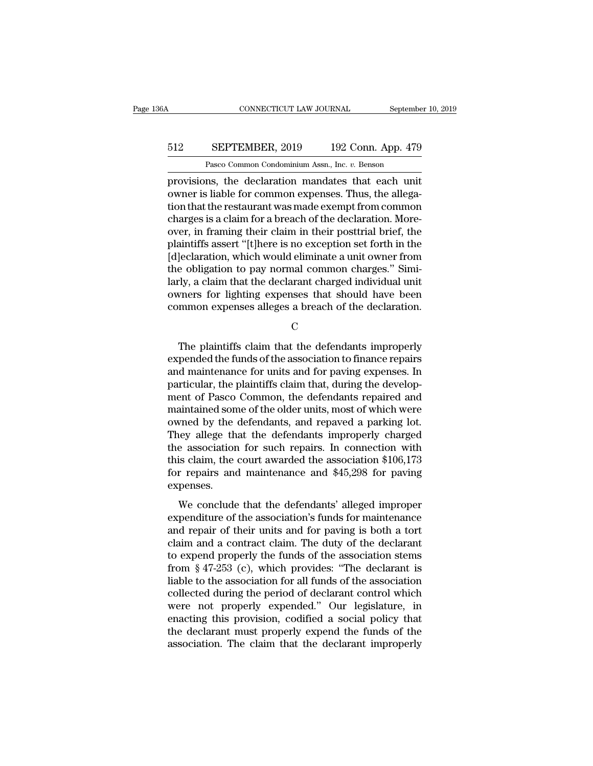### CONNECTICUT LAW JOURNAL September 10, 2019<br>512 SEPTEMBER, 2019 192 Conn. App. 479<br>Pasco Common Condominium Assn., Inc. v. Benson CONNECTICUT LAW JOURNAL Septembe<br>
SEPTEMBER, 2019 192 Conn. App. 479<br>
Pasco Common Condominium Assn., Inc. *v.* Benson<br>
ns the declaration mandates that each unit

CONNECTICUT LAW JOURNAL September 10, 2019<br>
SEPTEMBER, 2019 192 Conn. App. 479<br>
Pasco Common Condominium Assn., Inc. v. Benson<br>
provisions, the declaration mandates that each unit<br>
owner is liable for common expenses. Thus **SEPTEMBER**, 2019 192 Conn. App. 479<br>
Pasco Common Condominium Assn., Inc. v. Benson<br>
provisions, the declaration mandates that each unit<br>
owner is liable for common expenses. Thus, the allega-<br>
tion that the restaurant wa 512 SEPTEMBER, 2019 192 Conn. App. 479<br>
Pasco Common Condominium Assn., Inc.  $v$ . Benson<br>
provisions, the declaration mandates that each unit<br>
owner is liable for common expenses. Thus, the allega-<br>
tion that the restaura 512 SEPTEMBER, 2019 192 Conn. App. 479<br>
Pasco Common Condominium Assn., Inc. v. Benson<br>
provisions, the declaration mandates that each unit<br>
owner is liable for common expenses. Thus, the allega-<br>
tion that the restaurant Pasco Common Condominium Assn., Inc. *v.* Benson<br>provisions, the declaration mandates that each unit<br>owner is liable for common expenses. Thus, the allega-<br>tion that the restaurant was made exempt from common<br>charges is a Pasco Common Condominium Assn., Inc.  $v$ . Benson<br>provisions, the declaration mandates that each unit<br>owner is liable for common expenses. Thus, the allega-<br>tion that the restaurant was made exempt from common<br>charges is a provisions, the declaration mandates that each unit<br>owner is liable for common expenses. Thus, the allega-<br>tion that the restaurant was made exempt from common<br>charges is a claim for a breach of the declaration. More-<br>over owner is liable for common expenses. Thus, the allegation that the restaurant was made exempt from common charges is a claim for a breach of the declaration. Moreover, in framing their claim in their posttrial brief, the p tion that the restaurant was made exempt from common charges is a claim for a breach of the declaration. Moreover, in framing their claim in their posttrial brief, the plaintiffs assert "[t]here is no exception set forth i charges is a claim for a breach of the declaration. More-<br>over, in framing their claim in their posttrial brief, the<br>plaintiffs assert "[t]here is no exception set forth in the<br>[d]eclaration, which would eliminate a unit o over, in framing their claim in their posttrial brief, the plaintiffs assert "[t]here is no exception set forth in the [d]eclaration, which would eliminate a unit owner from the obligation to pay normal common charges." Si e obligation to pay normal common charges." Simi-<br>Ty, a claim that the declarant charged individual unit<br>vners for lighting expenses that should have been<br>mmon expenses alleges a breach of the declaration.<br>C<br>The plaintiffs

C<sub>c</sub>

larly, a claim that the declarant charged individual unit<br>owners for lighting expenses that should have been<br>common expenses alleges a breach of the declaration.<br>C<br>The plaintiffs claim that the defendants improperly<br>expend owners for lighting expenses that should have been<br>common expenses alleges a breach of the declaration.<br>C<br>The plaintiffs claim that the defendants improperly<br>expended the funds of the association to finance repairs<br>and mai common expenses alleges a breach of the declaration.<br>C<br>C<br>The plaintiffs claim that the defendants improperly<br>expended the funds of the association to finance repairs<br>and maintenance for units and for paving expenses. In<br>pa C<br>
The plaintiffs claim that the defendants improperly<br>
expended the funds of the association to finance repairs<br>
and maintenance for units and for paving expenses. In<br>
particular, the plaintiffs claim that, during the dev The plaintiffs claim that the defendants improperly<br>expended the funds of the association to finance repairs<br>and maintenance for units and for paving expenses. In<br>particular, the plaintiffs claim that, during the develop-<br> The plaintiffs claim that the defendants improperly<br>expended the funds of the association to finance repairs<br>and maintenance for units and for paving expenses. In<br>particular, the plaintiffs claim that, during the develop-<br> expended the funds of the association to finance repairs<br>and maintenance for units and for paving expenses. In<br>particular, the plaintiffs claim that, during the develop-<br>ment of Pasco Common, the defendants repaired and<br>ma and maintenance for units and for paving expenses. In<br>particular, the plaintiffs claim that, during the develop-<br>ment of Pasco Common, the defendants repaired and<br>maintained some of the older units, most of which were<br>owne particular, the plaintiffs claim that, during the development of Pasco Common, the defendants repaired and maintained some of the older units, most of which were owned by the defendants, and repaved a parking lot. They all ment of Pasco Common, the defendants repaired and<br>maintained some of the older units, most of which were<br>owned by the defendants, and repaved a parking lot.<br>They allege that the defendants improperly charged<br>the associatio expenses. Fired by the defendants, and reparca a parting form<br>they allege that the defendants improperly charged<br>e association for such repairs. In connection with<br>is claim, the court awarded the association \$106,173<br>r repairs and m rhey analysis and the determinate improperty emaged<br>the association for such repairs. In connection with<br>this claim, the court awarded the association \$106,173<br>for repairs and maintenance and \$45,298 for paving<br>expenses.<br>W

and a contract daim. The solution of the selection of 106,173<br>for repairs and maintenance and \$45,298 for paving<br>expenses.<br>We conclude that the defendants' alleged improper<br>expenditure of the association's funds for mainte for repairs and maintenance and \$45,298 for paving<br>expenses.<br>We conclude that the defendants' alleged improper<br>expenditure of the association's funds for maintenance<br>and repair of their units and for paving is both a tort to repairs and maintenance and  $\sqrt{16,250}$  for paving<br>expenses.<br>We conclude that the defendants' alleged improper<br>expenditure of the association's funds for maintenance<br>and repair of their units and for paving is both a We conclude that the defendants' alleged improper<br>expenditure of the association's funds for maintenance<br>and repair of their units and for paving is both a tort<br>claim and a contract claim. The duty of the declarant<br>to exp We conclude that the defendants' alleged improper<br>expenditure of the association's funds for maintenance<br>and repair of their units and for paving is both a tort<br>claim and a contract claim. The duty of the declarant<br>to exp expenditure of the association's funds for maintenance<br>and repair of their units and for paving is both a tort<br>claim and a contract claim. The duty of the declarant<br>to expend properly the funds of the association stems<br>fro and repair of their units and for paving is both a tort<br>claim and a contract claim. The duty of the declarant<br>to expend properly the funds of the association stems<br>from § 47-253 (c), which provides: "The declarant is<br>liabl claim and a contract claim. The duty of the declarant<br>to expend properly the funds of the association stems<br>from § 47-253 (c), which provides: "The declarant is<br>liable to the association for all funds of the association<br>co to expend properly the funds of the association stems<br>from § 47-253 (c), which provides: "The declarant is<br>liable to the association for all funds of the association<br>collected during the period of declarant control which<br>w from  $\S$  47-253 (c), which provides: "The declarant is<br>liable to the association for all funds of the association<br>collected during the period of declarant control which<br>were not properly expended." Our legislature, in<br>ena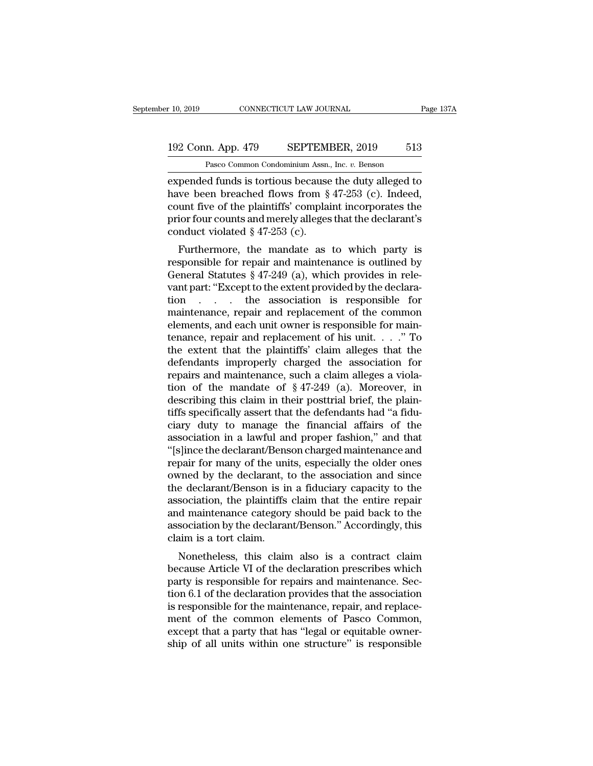### 10, 2019 CONNECTICUT LAW JOURNAL Page 137A<br>192 Conn. App. 479 SEPTEMBER, 2019 513<br>Pasco Common Condominium Assn., Inc. v. Benson CONNECTICUT LAW JOURNAL<br>
1<br>
1<br>
2 Pasco Common Condominium Assn., Inc. *v.* Benson<br>
1<br>
2 Pasco Common Condominium Assn., Inc. *v.* Benson<br>
1<br>
2 Further is tortious because the duty alleged to

expended funds is tortious because the duty alleged to<br>
rate been breached flows from § 47-253 (c). Indeed,<br>
rate been breached flows from § 47-253 (c). Indeed,<br>
rate funds is tortious because the duty alleged to<br>
rate bee 192 Conn. App. 479 SEPTEMBER, 2019 513<br>
Pasco Common Condominium Assn., Inc. v. Benson<br>
expended funds is tortious because the duty alleged to<br>
have been breached flows from § 47-253 (c). Indeed,<br>
count five of the plainti 192 Conn. App. 479 SEPTEMBER, 2019 513<br>
Pasco Common Condominium Assn., Inc. v. Benson<br>
expended funds is tortious because the duty alleged to<br>
have been breached flows from § 47-253 (c). Indeed,<br>
count five of the plaint 192 Conn. App. 479 SEPTEMBER, 2019 513<br>
Pasco Common Condominium Assn., Inc. v. Benson<br>
expended funds is tortious because the duty alleged to<br>
have been breached flows from § 47-253 (c). Indeed,<br>
count five of the plainti Pasco Common Condominium Assn.<br>
expended funds is tortious because<br>
have been breached flows from §<br>
count five of the plaintiffs' complai<br>
prior four counts and merely alleges<br>
conduct violated § 47-253 (c).<br>
Furthermore, pended funds is tortious because the duty alleged to<br>we been breached flows from § 47-253 (c). Indeed,<br>unt five of the plaintiffs' complaint incorporates the<br>ior four counts and merely alleges that the declarant's<br>nduct v Experiment runts is torritous because the duty aneged to<br>have been breached flows from § 47-253 (c). Indeed,<br>count five of the plaintiffs' complaint incorporates the<br>prior four counts and merely alleges that the declarant

Frace is been breached flows from  $\S$  47-255 (c). Indeed,<br>count five of the plaintiffs' complaint incorporates the<br>prior four counts and merely alleges that the declarant's<br>conduct violated  $\S$  47-253 (c).<br>Furthermore, th beyond the of the plantins complaint incorporates the<br>prior four counts and merely alleges that the declarant's<br>conduct violated  $\S$  47-253 (c).<br>Furthermore, the mandate as to which party is<br>responsible for repair and mai prior four counts and merery aneges that the declarant s<br>conduct violated § 47-253 (c).<br>Furthermore, the mandate as to which party is<br>responsible for repair and maintenance is outlined by<br>General Statutes § 47-249 (a), wh Furthermore, the mandate as to which party is<br>responsible for repair and maintenance is outlined by<br>General Statutes § 47-249 (a), which provides in rele-<br>vant part: "Except to the extent provided by the declara-<br>tion... Furthermore, the mandate as to which party is<br>responsible for repair and maintenance is outlined by<br>General Statutes § 47-249 (a), which provides in rele-<br>vant part: "Except to the extent provided by the declara-<br>tion . . responsible for repair and maintenance is outlined by<br>General Statutes  $\S$  47-249 (a), which provides in rele-<br>vant part: "Except to the extent provided by the declara-<br>tion . . . . the association is responsible for<br>main General Statutes § 47-249 (a), which provides in relevant part: "Except to the extent provided by the declaration  $\ldots$  the association is responsible for maintenance, repair and replacement of the common elements, and ea vant part: "Except to the extent provided by the declaration  $\ldots$  the association is responsible for maintenance, repair and replacement of the common elements, and each unit owner is responsible for maintenance, repair tion  $\ldots$  the association is responsible for maintenance, repair and replacement of the common elements, and each unit owner is responsible for maintenance, repair and replacement of his unit.  $\ldots$  "To the extent that t maintenance, repair and replacement of the common<br>elements, and each unit owner is responsible for main-<br>tenance, repair and replacement of his unit. . . . ." To<br>the extent that the plaintiffs' claim alleges that the<br>defe elements, and each unit owner is responsible for main-<br>tenance, repair and replacement of his unit. . . ." To<br>the extent that the plaintiffs' claim alleges that the<br>defendants improperly charged the association for<br>repair tenance, repair and replacement of his unit. . . ." To<br>the extent that the plaintiffs' claim alleges that the<br>defendants improperly charged the association for<br>repairs and maintenance, such a claim alleges a viola-<br>tion o the extent that the plaintiffs' claim alleges that the<br>defendants improperly charged the association for<br>repairs and maintenance, such a claim alleges a viola-<br>tion of the mandate of  $\S 47-249$  (a). Moreover, in<br>describin defendants improperly charged the association for<br>repairs and maintenance, such a claim alleges a viola-<br>tion of the mandate of §47-249 (a). Moreover, in<br>describing this claim in their posttrial brief, the plain-<br>tiffs spe repairs and maintenance, such a claim alleges a violation of the mandate of §47-249 (a). Moreover, in describing this claim in their posttrial brief, the plaintiffs specifically assert that the defendants had "a fiduciary tion of the mandate of  $\S 47-249$  (a). Moreover, in<br>describing this claim in their posttrial brief, the plain-<br>tiffs specifically assert that the defendants had "a fidu-<br>ciary duty to manage the financial affairs of the<br>a describing this claim in their posttrial brief, the plain-<br>tiffs specifically assert that the defendants had "a fidu-<br>ciary duty to manage the financial affairs of the<br>association in a lawful and proper fashion," and that<br> tiffs specifically assert that the defendants had "a fiduciary duty to manage the financial affairs of the association in a lawful and proper fashion," and that "[s]ince the declarant/Benson charged maintenance and repair ciary duty to manage the financial affairs of the<br>association in a lawful and proper fashion," and that<br>"[s]ince the declarant/Benson charged maintenance and<br>repair for many of the units, especially the older ones<br>owned by association in a lawful and proper fashion," and that<br>"[s]ince the declarant/Benson charged maintenance and<br>repair for many of the units, especially the older ones<br>owned by the declarant, to the association and since<br>the d "[s]ince the declarant/Benson charged maintenance and<br>repair for many of the units, especially the older ones<br>owned by the declarant, to the association and since<br>the declarant/Benson is in a fiduciary capacity to the<br>asso repair for many of the university owned by the declarant, the declarant/Benson is in association, the plaintiffs and maintenance category association by the declaranclaim is a tort claim.<br>Nonetheless, this claim Freed by the declarant, to the association and since<br>e declarant/Benson is in a fiduciary capacity to the<br>sociation, the plaintiffs claim that the entire repair<br>d maintenance category should be paid back to the<br>sociation b the declarative Britain is in a nutchary capacity to the<br>association, the plaintiffs claim that the entire repair<br>and maintenance category should be paid back to the<br>association by the declarant/Benson." Accordingly, this<br>

association, the plantifis claim that the entire repair<br>and maintenance category should be paid back to the<br>association by the declarant/Benson." Accordingly, this<br>claim is a tort claim.<br>Nonetheless, this claim also is a c and maintenance category should be paid back to the<br>association by the declarant/Benson." Accordingly, this<br>claim is a tort claim.<br>Nonetheless, this claim also is a contract claim<br>because Article VI of the declaration pres association by the declarativ behson. Accordingly, this<br>claim is a tort claim.<br>because Article VI of the declaration prescribes which<br>party is responsible for repairs and maintenance. Sec-<br>tion 6.1 of the declaration provi Monetheless, this claim also is a contract claim<br>because Article VI of the declaration prescribes which<br>party is responsible for repairs and maintenance. Sec-<br>tion 6.1 of the declaration provides that the association<br>is re Nonetheless, this claim also is a contract claim<br>because Article VI of the declaration prescribes which<br>party is responsible for repairs and maintenance. Sec-<br>tion 6.1 of the declaration provides that the association<br>is re because Article VI of the declaration prescribes which party is responsible for repairs and maintenance. Section 6.1 of the declaration provides that the association is responsible for the maintenance, repair, and replacem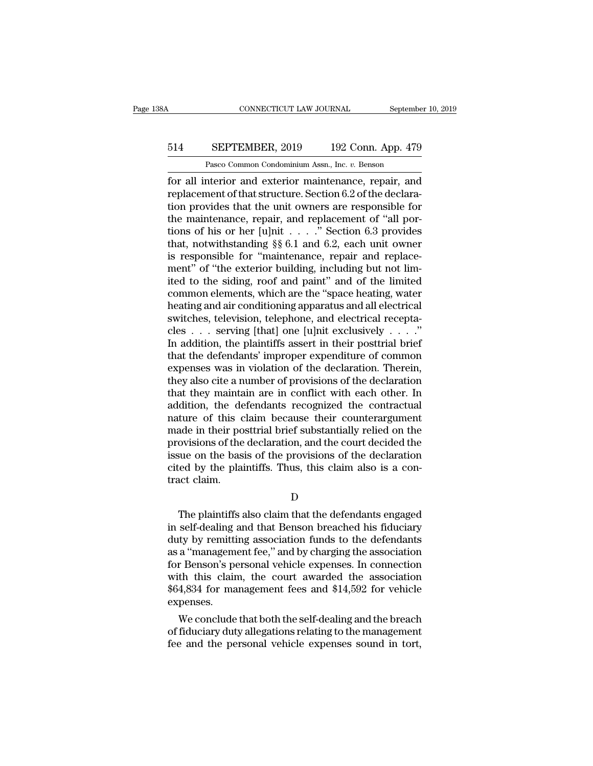### CONNECTICUT LAW JOURNAL September 10, 2019<br>514 SEPTEMBER, 2019 192 Conn. App. 479<br>Pasco Common Condominium Assn., Inc. v. Benson CONNECTICUT LAW JOURNAL Septembe<br>
SEPTEMBER, 2019 192 Conn. App. 479<br>
Pasco Common Condominium Assn., Inc. *v.* Benson<br>
nterior and exterior maintenance renair and

For all interior and exterior maintenance, repair, and<br>
For all interior and exterior maintenance, repair, and<br>
replacement of that structure. Section 6.2 of the declaration provides that the unit extraction are reproperib EPTEMBER, 2019 192 Conn. App. 479<br>Pasco Common Condominium Assn., Inc. v. Benson<br>for all interior and exterior maintenance, repair, and<br>replacement of that structure. Section 6.2 of the declara-<br>tion provides that the unit 514 SEPTEMBER, 2019 192 Conn. App. 479<br>
Pasco Common Condominium Assn., Inc.  $v$ . Benson<br>
for all interior and exterior maintenance, repair, and<br>
replacement of that structure. Section 6.2 of the declara-<br>
tion provides t 514 SEPTEMBER, 2019 192 Conn. App. 479<br>
Pasco Common Condominium Assn., Inc. v. Benson<br>
for all interior and exterior maintenance, repair, and<br>
replacement of that structure. Section 6.2 of the declara-<br>
tion provides tha Pasco Common Condominium Assn., Inc. v. Benson<br>for all interior and exterior maintenance, repair, and<br>replacement of that structure. Section 6.2 of the declara-<br>tion provides that the unit owners are responsible for<br>the m Pasco Common Condominium Assn., Inc.  $v$ . Benson<br>for all interior and exterior maintenance, repair, and<br>replacement of that structure. Section 6.2 of the declara-<br>tion provides that the unit owners are responsible for<br>the for all interior and exterior maintenance, repair, and<br>replacement of that structure. Section 6.2 of the declara-<br>tion provides that the unit owners are responsible for<br>the maintenance, repair, and replacement of "all por replacement of that structure. Section 6.2 of the declaration provides that the unit owners are responsible for<br>the maintenance, repair, and replacement of "all por-<br>tions of his or her [u]nit . . . . " Section 6.3 provide tion provides that the unit owners are responsible for<br>the maintenance, repair, and replacement of "all por-<br>tions of his or her [u]nit  $\dots$ ." Section 6.3 provides<br>that, notwithstanding §§ 6.1 and 6.2, each unit owner<br>is the maintenance, repair, and replacement of "all portions of his or her [u]nit  $\dots$ ." Section 6.3 provides<br>that, notwithstanding §§ 6.1 and 6.2, each unit owner<br>is responsible for "maintenance, repair and replace-<br>ment" o tions of his or her [u]nit  $\dots$  " Section 6.3 provides<br>that, notwithstanding §§ 6.1 and 6.2, each unit owner<br>is responsible for "maintenance, repair and replace-<br>ment" of "the exterior building, including but not lim-<br>ite that, notwithstanding §§ 6.1 and 6.2, each unit owner<br>is responsible for "maintenance, repair and replace-<br>ment" of "the exterior building, including but not lim-<br>ited to the siding, roof and paint" and of the limited<br>com is responsible for "maintenance, repair and replacement" of "the exterior building, including but not limited to the siding, roof and paint" and of the limited common elements, which are the "space heating, water heating ment" of "the exterior building, including but not limited to the siding, roof and paint" and of the limited common elements, which are the "space heating, water heating and air conditioning apparatus and all electrical sw ited to the siding, roof and paint" and of the limited<br>common elements, which are the "space heating, water<br>heating and air conditioning apparatus and all electrical<br>switches, television, telephone, and electrical receptacommon elements, which are the "space heating, water<br>heating and air conditioning apparatus and all electrical<br>switches, television, telephone, and electrical recepta-<br>cles  $\ldots$  serving [that] one [u]nit exclusively  $\ldots$ heating and air conditioning apparatus and all electrical<br>switches, television, telephone, and electrical recepta-<br>cles  $\ldots$  serving [that] one [u]nit exclusively  $\ldots$ ."<br>In addition, the plaintiffs assert in their postt switches, television, telephone, and electrical receptacles . . . serving [that] one [u]nit exclusively . . . ."<br>In addition, the plaintiffs assert in their posttrial brief that the defendants' improper expenditure of com cles . . . serving [that] one [u]nit exclusively . . . ."<br>In addition, the plaintiffs assert in their posttrial brief<br>that the defendants' improper expenditure of common<br>expenses was in violation of the declaration. There In addition, the plaintiffs assert in their posttrial brief<br>that the defendants' improper expenditure of common<br>expenses was in violation of the declaration. Therein,<br>they also cite a number of provisions of the declaratio that the defendants' improper expenditure of common<br>expenses was in violation of the declaration. Therein,<br>they also cite a number of provisions of the declaration<br>that they maintain are in conflict with each other. In<br>add expenses was in violation of the declaration. Therein,<br>they also cite a number of provisions of the declaration<br>that they maintain are in conflict with each other. In<br>addition, the defendants recognized the contractual<br>nat they also cite a number of provisions of the declaration<br>that they maintain are in conflict with each other. In<br>addition, the defendants recognized the contractual<br>nature of this claim because their counterargument<br>made in that they maintain are in conflict with each other. In addition, the defendants recognized the contractual nature of this claim because their counterargument made in their posttrial brief substantially relied on the provis addition, the denature of this c<br>made in their po<br>provisions of the<br>issue on the bas<br>cited by the plai<br>tract claim. ovisions of the declaration, and the court decided the<br>sue on the basis of the provisions of the declaration<br>red by the plaintiffs. Thus, this claim also is a con-<br>act claim.<br>D<br>The plaintiffs also claim that the defendants

D<sub>a</sub>

Fissue on the basis of the provisions of the declaration<br>cited by the plaintiffs. Thus, this claim also is a contract claim.<br>D<br>The plaintiffs also claim that the defendants engaged<br>in self-dealing and that Benson breached cited by the plaintiffs. Thus, this claim also is a contract claim.<br>
D<br>
The plaintiffs also claim that the defendants engaged<br>
in self-dealing and that Benson breached his fiduciary<br>
duty by remitting association funds to IT The plaintiffs also claim that the defendants engaged<br>in self-dealing and that Benson breached his fiduciary<br>duty by remitting association funds to the defendants<br>as a "management fee," and by charging the association<br>f D<br>
The plaintiffs also claim that the defendants engaged<br>
in self-dealing and that Benson breached his fiduciary<br>
duty by remitting association funds to the defendants<br>
as a "management fee," and by charging the associatio D<br>The plaintiffs also claim that the defendants engaged<br>in self-dealing and that Benson breached his fiduciary<br>duty by remitting association funds to the defendants<br>as a "management fee," and by charging the association<br>fo The plaintiffs also claim that the defendants engaged<br>in self-dealing and that Benson breached his fiduciary<br>duty by remitting association funds to the defendants<br>as a "management fee," and by charging the association<br>for expenses. ity by remiting association runds to the defendants<br>a "management fee," and by charging the association<br>r Benson's personal vehicle expenses. In connection<br>th this claim, the court awarded the association<br>4,834 for managem as a "management ree," and by charging the association<br>for Benson's personal vehicle expenses. In connection<br>with this claim, the court awarded the association<br>\$64,834 for management fees and \$14,592 for vehicle<br>expenses.<br> for Benson's personal vehicle expenses. In connection<br>with this claim, the court awarded the association<br>\$64,834 for management fees and \$14,592 for vehicle<br>expenses.<br>We conclude that both the self-dealing and the breach<br>o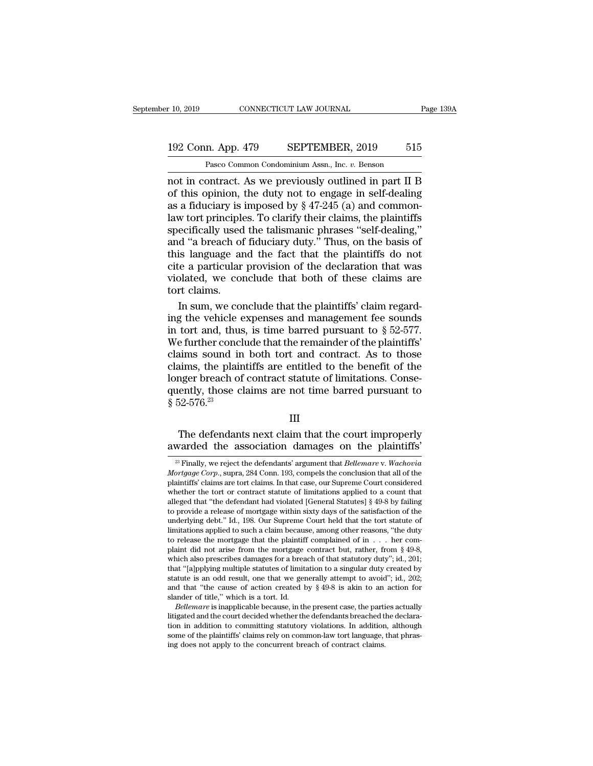## 10, 2019 CONNECTICUT LAW JOURNAL Page 139A<br>192 Conn. App. 479 SEPTEMBER, 2019 515<br>Pasco Common Condominium Assn., Inc. v. Benson Page 139A<br>
Page 139A<br>
Page 139A<br>
Pasco Common Condominium Assn., Inc. *v.* Benson<br>
not in contract. As we previously outlined in part II B

not in contract. As we previously outlined in part II B<br>
as a fiduciary is imposed by  $8.47-245$  (a) and common-<br>
as a fiduciary is imposed by  $8.47-245$  (a) and common-192 Conn. App. 479 SEPTEMBER, 2019 515<br>
Pasco Common Condominium Assn., Inc. v. Benson<br>
not in contract. As we previously outlined in part II B<br>
of this opinion, the duty not to engage in self-dealing<br>
as a fiduciary is i 192 Conn. App. 479 SEPTEMBER, 2019 515<br>
Pasco Common Condominium Assn., Inc. v. Benson<br>
not in contract. As we previously outlined in part II B<br>
of this opinion, the duty not to engage in self-dealing<br>
as a fiduciary is i 192 Conn. App. 479 SEPTEMBER, 2019 515<br>
Pasco Common Condominium Assn., Inc. v. Benson<br>
not in contract. As we previously outlined in part II B<br>
of this opinion, the duty not to engage in self-dealing<br>
as a fiduciary is im Pasco Common Condominium Assn., Inc. v. Benson<br>not in contract. As we previously outlined in part II B<br>of this opinion, the duty not to engage in self-dealing<br>as a fiduciary is imposed by  $\S 47-245$  (a) and common-<br>law to Pasco Common Condominium Assn., Inc.  $v$ . Benson<br>
not in contract. As we previously outlined in part II B<br>
of this opinion, the duty not to engage in self-dealing<br>
as a fiduciary is imposed by  $\S 47-245$  (a) and common-<br> not in contract. As we previously outlined in part II B<br>of this opinion, the duty not to engage in self-dealing<br>as a fiduciary is imposed by § 47-245 (a) and common-<br>law tort principles. To clarify their claims, the plaint of this opinion, the duty not to engage in self-dealing<br>as a fiduciary is imposed by  $\S$  47-245 (a) and common-<br>law tort principles. To clarify their claims, the plaintiffs<br>specifically used the talismanic phrases "self-d as a fiduciary is imposed by  $\S$  47-245 (a) and common-<br>law tort principles. To clarify their claims, the plaintiffs<br>specifically used the talismanic phrases "self-dealing,"<br>and "a breach of fiduciary duty." Thus, on the law tort principle<br>specifically used<br>and "a breach of<br>this language ar<br>cite a particular<br>violated, we con<br>tort claims.<br>In sum, we con ecifically used the talismanic phrases "self-dealing,"<br>
d "a breach of fiduciary duty." Thus, on the basis of<br>
is language and the fact that the plaintiffs do not<br>
ce a particular provision of the declaration that was<br>
bla and "a breach of fiduciary duty." Thus, on the basis of<br>this language and the fact that the plaintiffs do not<br>cite a particular provision of the declaration that was<br>violated, we conclude that both of these claims are<br>tor

this language and the fact that the plaintiffs do not<br>cite a particular provision of the declaration that was<br>violated, we conclude that both of these claims are<br>tort claims.<br>In sum, we conclude that the plaintiffs' claim cite a particular provision of the declaration that was<br>violated, we conclude that both of these claims are<br>tort claims.<br>In sum, we conclude that the plaintiffs' claim regard-<br>ing the vehicle expenses and management fee so violated, we conclude that both of these claims are<br>tort claims.<br>In sum, we conclude that the plaintiffs' claim regard-<br>ing the vehicle expenses and management fee sounds<br>in tort and, thus, is time barred pursuant to  $\S 5$ tort claims.<br>In sum, we conclude that the plaintiffs' claim regard-<br>ing the vehicle expenses and management fee sounds<br>in tort and, thus, is time barred pursuant to  $\S 52-577$ .<br>We further conclude that the remainder of th In sum, we conclude that the plaintiffs' claim regarding the vehicle expenses and management fee sounds<br>in tort and, thus, is time barred pursuant to  $\S$  52-577.<br>We further conclude that the remainder of the plaintiffs'<br>c ing the vehicle expenses and management fee sounds<br>in tort and, thus, is time barred pursuant to  $\S$  52-577.<br>We further conclude that the remainder of the plaintiffs'<br>claims sound in both tort and contract. As to those<br>cl in tort and, thus<br>We further concl<br>claims sound in<br>claims, the plair<br>longer breach of<br>quently, those c<br>§ 52-576.<sup>23</sup> Figure 1.4 and the defendants are entitled to the benefit of the deference benefit of the defendants are not time barred pursuant to  $52-576.^{23}$  [II]<br>The defendants next claim that the court improperly varded the associa ciality, the plaintiffs are entitled to the benefit of the longer breach of contract statute of limitations. Consequently, those claims are not time barred pursuant to  $\frac{8}{5}$  52-576.<sup>23</sup><br>III<br>The defendants next claim t

#### III

III<br>
23 Finally, we reject the defendants' argument that *Bellemare* v. *Wachovia*<br>
<sup>23</sup> Finally, we reject the defendants' argument that *Bellemare* v. *Wachovia*<br> *prigage Corp.*, supra, 284 Conn. 193, compels the conclu

*Mortgage Corp.*, supra, 284 Conn. 193, compels the court improperly awarded the association damages on the plaintiffs'<br><sup>28</sup> Finally, we reject the defendants' argument that *Bellemare* v. *Wachovia Mortgage Corp.*, supra, The defendants next claim that the court improperly<br>awarded the association damages on the plaintiffs'<br> $\frac{1}{2}$  Finally, we reject the defendants' argument that *Bellemare* v. *Wachovia*<br>*Mortgage Corp.*, supra, 284 Conn The defendants flext claim that the court improperty<br>awarded the association damages on the plaintiffs'<br> $\frac{1}{2}$  Finally, we reject the defendants' argument that *Bellemare* v. *Wachovia*<br>*Mortgage Corp.*, supra, 284 Con awarded the association damages on the plaintiffs'<br>
<sup>23</sup> Finally, we reject the defendants' argument that *Bellemare* v. Wachovia<br> *Mortgage Corp.*, supra, 284 Conn. 193, compels the conclusion that all of the<br>
plaintiffs <sup>23</sup> Finally, we reject the defendants' argument that *Bellemare* v. *Wachovia Mortgage Corp.*, supra, 284 Conn. 193, compels the conclusion that all of the plaintiffs' claims are tort claims. In that case, our Supreme <sup>20</sup> Finally, we reject the defendants' argument that *Bellemare* v. *Wachovia Mortgage Corp.*, supra, 284 Conn. 193, compels the conclusion that all of the plaintiffs' claims are tort claims. In that case, our Supreme Mortgage Corp., supra, 284 Conn. 193, compels the conclusion that all of the plaintiffs' claims are tort claims. In that case, our Supreme Court considered whether the tort or contract statute of limitations applied to a plaintiffs' claims are tort claims. In that case, our Supreme Court considered whether the tort or contract statute of limitations applied to a count that alleged that "the defendant had violated [General Statutes]  $\$  4 whether the tort or contract statute of imutations applied to a count that alleged that "the defendant had violated [General Statutes] § 49-8 by failing to provide a release of mortgage within sixty days of the satisfacti alleged that "the defendant had violated [General Statutes] § 49-8 by failing<br>to provide a release of mortgage within sixty days of the satisfaction of the<br>underlying debt." Id., 198. Our Supreme Court held that the tort s to provide a release of mortgage within sixty days of the satisfaction of the underlying debt." Id., 198. Our Supreme Court held that the tort statute of limitations applied to such a claim because, among other reasons, " underlying debt." Id., 198. Our Supreme Court held that the tort statute of limitations applied to such a claim because, among other reasons, "the duty to release the mortgage that the plaintiff complained of in . . . her Imutations applied to such a claim because, among other reasons, "the duty<br>to release the mortgage that the plaintiff complained of in  $\ldots$  her com-<br>plaint did not arise from the mortgage contract but, rather, from § 49to release the mortgage that the plantified<br>plaint did not arise from the mortgage<br>which also prescribes damages for a brea<br>that "[a]pplying multiple statutes of limit<br>statute is an odd result, one that we ger<br>and that "th ant did not arise from the mortgage contract but, rather, from § 49-8, inch also prescribes damages for a breach of that statutory duty"; id., 201; at "[a]pplying multiple statutes of limitation to a singular duty created that "[a]pplying multiple statutes of limitation to a singular duty created by statute is an odd result, one that we generally attempt to avoid"; id., 202; and that "the cause of action created by  $\S$  49-8 is akin to an a

that "[a]pplying multiple statutes of limitation to a singular duty created by statute is an odd result, one that we generally attempt to avoid"; id.,  $202$ ; and that "the cause of action created by  $\S$  49-8 is akin to an statute is an odd result, one that we generally attempt to avoid"; id., 202; and that "the cause of action created by  $\S$  49-8 is akin to an action for slander of title," which is a tort. Id.<br> *Bellemare* is inapplicable and that "the cause of action created by § 49-8 is akin to an slander of title," which is a tort. Id.<br> *Bellemare* is inapplicable because, in the present case, the partilitigated and the court decided whether the defendan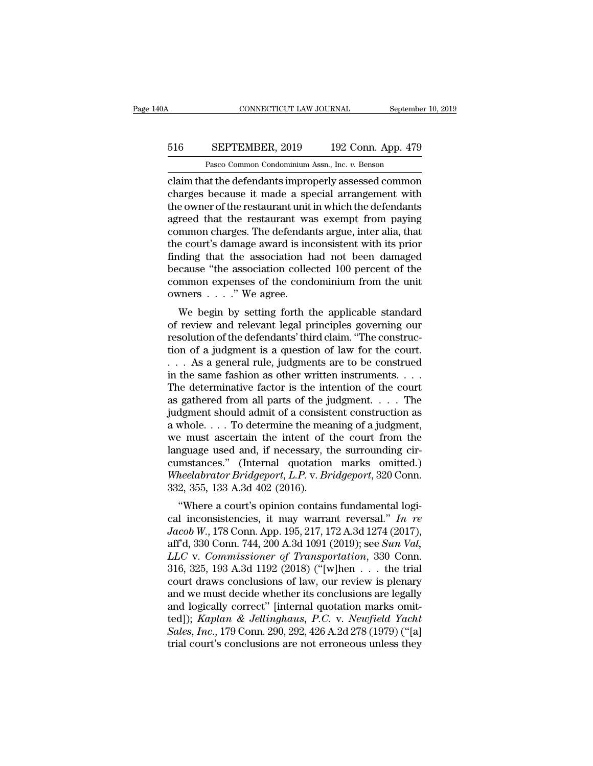### CONNECTICUT LAW JOURNAL September 10, 2019<br>516 SEPTEMBER, 2019 192 Conn. App. 479<br>Pasco Common Condominium Assn., Inc. v. Benson CONNECTICUT LAW JOURNAL Septembe<br>
SEPTEMBER, 2019 192 Conn. App. 479<br>
Pasco Common Condominium Assn., Inc. *v.* Benson<br>
at the defendants improperly assessed common

CONNECTICUT LAW JOURNAL September 10, 2019<br>
SEPTEMBER, 2019 192 Conn. App. 479<br>
Pasco Common Condominium Assn., Inc. v. Benson<br>
Claim that the defendants improperly assessed common<br>
charges because it made a special arrang EXEPTEMBER, 2019 192 Conn. App. 479<br>
Pasco Common Condominium Assn., Inc. v. Benson<br>
claim that the defendants improperly assessed common<br>
charges because it made a special arrangement with<br>
the owner of the restaurant uni 516 SEPTEMBER, 2019 192 Conn. App. 479<br>Pasco Common Condominium Assn., Inc. v. Benson<br>claim that the defendants improperly assessed common<br>charges because it made a special arrangement with<br>the owner of the restaurant unit EXEPTEMBER, 2019 192 Conn. App. 479<br>
Pasco Common Condominium Assn., Inc.  $v$ . Benson<br>
claim that the defendants improperly assessed common<br>
charges because it made a special arrangement with<br>
the owner of the restaurant Pasco Common Condominium Assn., Inc. v. Benson<br>Claim that the defendants improperly assessed common<br>charges because it made a special arrangement with<br>the owner of the restaurant unit in which the defendants<br>agreed that th Pasco Common Condominium Assn., Inc.  $v$ . Benson<br>
claim that the defendants improperly assessed common<br>
charges because it made a special arrangement with<br>
the owner of the restaurant unit in which the defendants<br>
agreed claim that the defendants improperly assessed common<br>charges because it made a special arrangement with<br>the owner of the restaurant unit in which the defendants<br>agreed that the restaurant was exempt from paying<br>common char charges because it made a special arrangement with<br>the owner of the restaurant unit in which the defendants<br>agreed that the restaurant was exempt from paying<br>common charges. The defendants argue, inter alia, that<br>the court the owner of the restaurant unit in which the defendants<br>agreed that the restaurant was exempt from paying<br>common charges. The defendants argue, inter alia, that<br>the court's damage award is inconsistent with its prior<br>fin agreed that the restaurant wa<br>common charges. The defendar<br>the court's damage award is ine<br>finding that the association colle<br>because "the association colle<br>common expenses of the cond<br>owners . . . ." We agree.<br>We begin by minion charges. The defendants argue, inter ana, that<br>e court's damage award is inconsistent with its prior<br>iding that the association had not been damaged<br>cause "the association collected 100 percent of the<br>mmon expenses the court's dantage award is inconsistent which is prior<br>finding that the association had not been damaged<br>because "the association collected 100 percent of the<br>common expenses of the condominium from the unit<br>owners . . .

Finally that the association riad not been daniaged<br>because "the association collected 100 percent of the<br>common expenses of the condominium from the unit<br>owners  $\dots$ ." We agree.<br>We begin by setting forth the applicable s because the association conected foo percent of the<br>common expenses of the condominium from the unit<br>owners . . . ." We agree.<br>We begin by setting forth the applicable standard<br>of review and relevant legal principles gover beyonds and the condominant from the unit<br>owners  $\dots$ ." We agree.<br>We begin by setting forth the applicable standard<br>of review and relevant legal principles governing our<br>resolution of the defendants' third claim. "The con We begin by setting forth the applicable standard<br>of review and relevant legal principles governing our<br>resolution of the defendants' third claim. "The construc-<br>tion of a judgment is a question of law for the court.<br> $\ldots$ We begin by setting forth the applicable standard<br>of review and relevant legal principles governing our<br>resolution of the defendants' third claim. "The construc-<br>tion of a judgment is a question of law for the court.<br> $\ldots$ % of review and relevant legal principles governing our resolution of the defendants' third claim. "The construction of a judgment is a question of law for the court.<br>  $\ldots$  As a general rule, judgments are to be construe resolution of the defendants' third claim. "The construction of a judgment is a question of law for the court.<br>  $\ldots$  As a general rule, judgments are to be construed<br>
in the same fashion as other written instruments.<br>  $\$ tion of a judgment is a question of law for the court.<br>
. . . As a general rule, judgments are to be construed<br>
in the same fashion as other written instruments. . . .<br>
The determinative factor is the intention of the cou when the same fashion as other written instruments. . . . The determinative factor is the intention of the court<br>as gathered from all parts of the judgment. . . . The<br>judgment should admit of a consistent construction as<br> in the same fashion as other written instruments. . . . The determinative factor is the intention of the court<br>as gathered from all parts of the judgment. . . . The<br>judgment should admit of a consistent construction as<br>a The determinative factor is the intention of the court<br>as gathered from all parts of the judgment. . . . The<br>judgment should admit of a consistent construction as<br>a whole. . . . To determine the meaning of a judgment,<br>we as gathered from all parts of the judgment. . . . . The<br>judgment should admit of a consistent construction as<br>a whole. . . . To determine the meaning of a judgment,<br>we must ascertain the intent of the court from the<br>langua judgment should admit of a consist<br>a whole.... To determine the mea<br>we must ascertain the intent of 1<br>language used and, if necessary, t<br>cumstances." (Internal quotation<br>Wheelabrator Bridgeport, L.P. v. Br<br>332, 355, 133 A. whole:  $\ldots$  10 determine the meaning of a judgment,<br>
a must ascertain the intent of the court from the<br>
nguage used and, if necessary, the surrounding cir-<br>
mstances." (Internal quotation marks omitted.)<br>
heelabrator Bri we must ascertain the mient of the court from the<br>language used and, if necessary, the surrounding cir-<br>cumstances." (Internal quotation marks omitted.)<br>Wheelabrator Bridgeport, L.P. v. Bridgeport, 320 Conn.<br>332, 355, 133

*Janguage used and, if necessary, the surfounding cn-<br>
<i>Cumstances."* (Internal quotation marks omitted.)<br> *Wheelabrator Bridgeport, L.P. v. Bridgeport,* 320 Conn.<br>
332, 355, 133 A.3d 402 (2016).<br>
"Where a court's opinion cunistances. (internal quotation marks omitted.)<br>
Wheelabrator Bridgeport, L.P. v. Bridgeport, 320 Conn.<br>
332, 355, 133 A.3d 402 (2016).<br>
"Where a court's opinion contains fundamental logi-<br>
cal inconsistencies, it may war *L.F. v. Brugeport, 520* Conn.<br>
332, 355, 133 A.3d 402 (2016).<br>
"Where a court's opinion contains fundamental logical inconsistencies, it may warrant reversal." In re<br> *Jacob W.*, 178 Conn. App. 195, 217, 172 A.3d 1274 (20 332, 333, 133 A.3d 402 (2010).<br>
"Where a court's opinion contains fundamental logical inconsistencies, it may warrant reversal." In re<br>
Jacob W., 178 Conn. App. 195, 217, 172 A.3d 1274 (2017),<br>
aff'd, 330 Conn. 744, 200 A "Where a court's opinion contains fundamental logical inconsistencies, it may warrant reversal." In re<br>Jacob W., 178 Conn. App. 195, 217, 172 A.3d 1274 (2017),<br>aff'd, 330 Conn. 744, 200 A.3d 1091 (2019); see *Sun Val,*<br>LL cal inconsistencies, it may warrant reversal." In re<br>Jacob W., 178 Conn. App. 195, 217, 172 A.3d 1274 (2017),<br>aff'd, 330 Conn. 744, 200 A.3d 1091 (2019); see Sun Val,<br>LLC v. Commissioner of Transportation, 330 Conn.<br>316, Jacob W., 178 Conn. App. 195, 217, 172 A.3d 1274 (2017),<br>aff'd, 330 Conn. 744, 200 A.3d 1091 (2019); see Sun Val,<br>LLC v. Commissioner of Transportation, 330 Conn.<br>316, 325, 193 A.3d 1192 (2018) ("[w]hen . . . the trial<br>co aff'd, 330 Conn. 744, 200 A.3d 1091 (2019); see *Sun Val,*<br>*LLC* v. *Commissioner of Transportation*, 330 Conn.<br>316, 325, 193 A.3d 1192 (2018) ("[w]hen . . . the trial<br>court draws conclusions of law, our review is plenary<br> *LLC* v. *Commissioner of Transportation*, 330 Conn.<br>316, 325, 193 A.3d 1192 (2018) ("[w]hen . . . the trial<br>court draws conclusions of law, our review is plenary<br>and we must decide whether its conclusions are legally<br>and 316, 325, 193 A.3d 1192 (2018) ("[w]hen  $\ldots$  the trial court draws conclusions of law, our review is plenary and we must decide whether its conclusions are legally and logically correct" [internal quotation marks omitted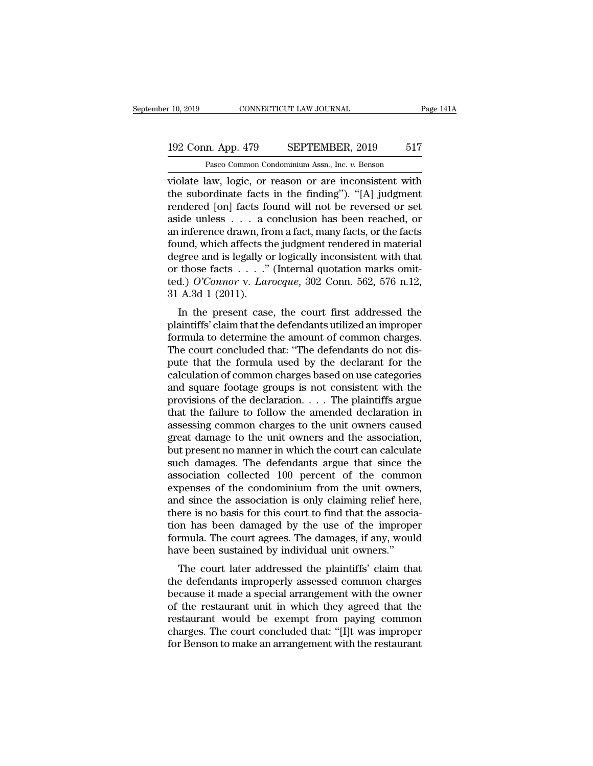### 10, 2019 CONNECTICUT LAW JOURNAL Page 141A<br>192 Conn. App. 479 SEPTEMBER, 2019 517<br>Pasco Common Condominium Assn., Inc. v. Benson CONNECTICUT LAW JOURNAL<br>
1<br>
1<br>
2 Pasco Common Condominium Assn., Inc. *v.* Benson<br>
2 Pasco Common Condominium Assn., Inc. *v.* Benson<br>
2 Pasco Logic or reason or are inconsistent with

value of the connective law Journal of Page 1414<br>
192 Conn. App. 479 SEPTEMBER, 2019 517<br>
Pasco Common Condominium Assn., Inc. v. Benson<br>
violate law, logic, or reason or are inconsistent with<br>
the subordinate facts in the 192 Conn. App. 479 SEPTEMBER, 2019 517<br>
Pasco Common Condominium Assn., Inc. v. Benson<br>
violate law, logic, or reason or are inconsistent with<br>
the subordinate facts in the finding''). "[A] judgment<br>
rendered [on] facts fo 192 Conn. App. 479 SEPTEMBER, 2019 517<br>
Pasco Common Condominium Assn., Inc. v. Benson<br>
violate law, logic, or reason or are inconsistent with<br>
the subordinate facts in the finding"). "[A] judgment<br>
rendered [on] facts fou 192 Conn. App. 479 SEPTEMBER, 2019 517<br>
Pasco Common Condominium Assn., Inc.  $v$ . Benson<br>
violate law, logic, or reason or are inconsistent with<br>
the subordinate facts in the finding"). "[A] judgment<br>
rendered [on] facts Pasco Common Condominium Assn., Inc. v. Benson<br>violate law, logic, or reason or are inconsistent with<br>the subordinate facts in the finding"). "[A] judgment<br>rendered [on] facts found will not be reversed or set<br>aside unles Pasco Common Condominum Assn., Inc.  $v$ . Benson<br>violate law, logic, or reason or are inconsistent with<br>the subordinate facts in the finding"). "[A] judgment<br>rendered [on] facts found will not be reversed or set<br>aside unle violate law, logic, or reason or are inconsistent with<br>the subordinate facts in the finding"). "[A] judgment<br>rendered [on] facts found will not be reversed or set<br>aside unless . . . a conclusion has been reached, or<br>an in the subordinate facts in the finding"). "[A] judgment<br>rendered [on] facts found will not be reversed or set<br>aside unless . . . a conclusion has been reached, or<br>an inference drawn, from a fact, many facts, or the facts<br>fo rendered [on] facts found will not be reversed or set<br>aside unless  $\ldots$  a conclusion has been reached, or<br>an inference drawn, from a fact, many facts, or the facts<br>found, which affects the judgment rendered in material<br>d aside unless . . . a c<br>an inference drawn, fro<br>found, which affects the<br>degree and is legally o<br>or those facts . . . ."<br>ted.) *O'Connor* v. *Lar*<br>31 A.3d 1 (2011).<br>In the present case Interence drawn, from a fact, many facts, or the facts<br>und, which affects the judgment rendered in material<br>gree and is legally or logically inconsistent with that<br>those facts  $\ldots$ ." (Internal quotation marks omit-<br>d.) O bound, which arects the judgment rendered in inaterial<br>degree and is legally or logically inconsistent with that<br>or those facts  $\ldots$ ." (Internal quotation marks omit-<br>ted.) O'Connor v. Larocque, 302 Conn. 562, 576 n.12,<br>

degree and is legally of logically inconsistent with that<br>or those facts . . . ." (Internal quotation marks omit-<br>ted.) O'Connor v. Larocque, 302 Conn. 562, 576 n.12,<br>31 A.3d 1 (2011).<br>In the present case, the court first of those facts  $\ldots$  (internal quotation marks onti-<br>ted.) O'Connor v. Larocque, 302 Conn. 562, 576 n.12,<br>31 A.3d 1 (2011).<br>In the present case, the court first addressed the<br>plaintiffs' claim that the defendants utilized puted by Common V. Eurocque, 302 Comm. 302, 370 n.12,<br>31 A.3d 1 (2011).<br>In the present case, the court first addressed the<br>plaintiffs' claim that the defendants utilized an improper<br>formula to determine the amount of commo of A.5d 1 (2011).<br>In the present case, the court first addressed the plaintiffs' claim that the defendants utilized an improper<br>formula to determine the amount of common charges.<br>The court concluded that: "The defendants In the present case, the court first addressed the<br>plaintiffs' claim that the defendants utilized an improper<br>formula to determine the amount of common charges.<br>The court concluded that: "The defendants do not dis-<br>pute t plaintiffs' claim that the defendants utilized an improper<br>formula to determine the amount of common charges.<br>The court concluded that: "The defendants do not dis-<br>pute that the formula used by the declarant for the<br>calcul formula to determine the amount of common charges.<br>The court concluded that: "The defendants do not dis-<br>pute that the formula used by the declarant for the<br>calculation of common charges based on use categories<br>and square The court concluded that: "The defendants do not dis-<br>pute that the formula used by the declarant for the<br>calculation of common charges based on use categories<br>and square footage groups is not consistent with the<br>provisio pute that the formula used by the declarant for the calculation of common charges based on use categories and square footage groups is not consistent with the provisions of the declaration. . . . The plaintiffs argue that calculation of common charges based on use categories<br>and square footage groups is not consistent with the<br>provisions of the declaration. . . . The plaintiffs argue<br>that the failure to follow the amended declaration in<br>as and square footage groups is not consistent with the<br>provisions of the declaration. . . . The plaintiffs argue<br>that the failure to follow the amended declaration in<br>assessing common charges to the unit owners caused<br>great provisions of the declaration.  $\dots$  The plaintiffs argue<br>that the failure to follow the amended declaration in<br>assessing common charges to the unit owners caused<br>great damage to the unit owners and the association,<br>but pr that the failure to follow the amended declaration in<br>assessing common charges to the unit owners caused<br>great damage to the unit owners and the association,<br>but present no manner in which the court can calculate<br>such dama assessing common charges to the unit owners caused<br>great damage to the unit owners and the association,<br>but present no manner in which the court can calculate<br>such damages. The defendants argue that since the<br>association c great damage to the unit owners and the association,<br>but present no manner in which the court can calculate<br>such damages. The defendants argue that since the<br>association collected 100 percent of the common<br>expenses of the but present no manner in which the court can calculate<br>such damages. The defendants argue that since the<br>association collected 100 percent of the common<br>expenses of the condominium from the unit owners,<br>and since the assoc such damages. The defendants argue that since the<br>association collected 100 percent of the common<br>expenses of the condominium from the unit owners,<br>and since the association is only claiming relief here,<br>there is no basis association collected 100 percent of the commo<br>expenses of the condominium from the unit owner:<br>'and since the association is only claiming relief here<br>there is no basis for this court to find that the association<br>has been penses of the condominum from the unit owners,<br>d since the association is only claiming relief here,<br>ere is no basis for this court to find that the associa-<br>nn has been damaged by the use of the improper<br>rmula. The court and since the association is only claiming feller here,<br>there is no basis for this court to find that the associa-<br>tion has been damaged by the use of the improper<br>formula. The court agrees. The damages, if any, would<br>have

there is no basis for this court to find that the association has been damaged by the use of the improper formula. The court agrees. The damages, if any, would have been sustained by individual unit owners."<br>The court late formula. The court agrees. The damages, if any, would<br>have been sustained by individual unit owners."<br>The court later addressed the plaintiffs' claim that<br>the defendants improperly assessed common charges<br>because it made a restaurant would be exempt from paying control the restaurant of the paintiffs of the defendants improperly assessed common charges<br>because it made a special arrangement with the owner<br>of the restaurant unit in which they rative been sustained by individual difful owners.<br>The court later addressed the plaintiffs' claim that<br>the defendants improperly assessed common charges<br>because it made a special arrangement with the owner<br>of the restaura The court later addressed the plaintiffs' claim that<br>the defendants improperly assessed common charges<br>because it made a special arrangement with the owner<br>of the restaurant unit in which they agreed that the<br>restaurant wo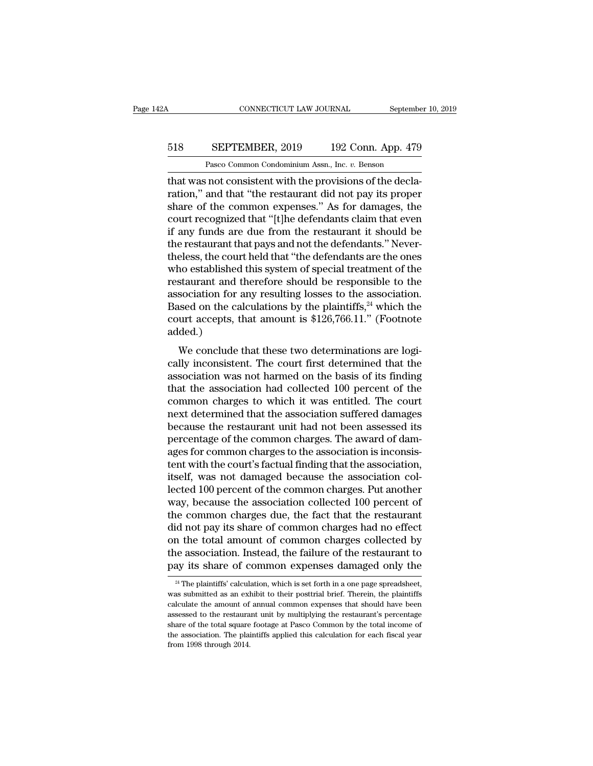### CONNECTICUT LAW JOURNAL September 10, 2019<br>518 SEPTEMBER, 2019 192 Conn. App. 479<br>Pasco Common Condominium Assn., Inc. v. Benson CONNECTICUT LAW JOURNAL Septembe<br>
SEPTEMBER, 2019 192 Conn. App. 479<br>
Pasco Common Condominium Assn., Inc. *v.* Benson<br>
and consistent with the provisions of the decla-

CONNECTICUT LAW JOURNAL September<br>
SEPTEMBER, 2019 192 Conn. App. 479<br>
Pasco Common Condominium Assn., Inc. v. Benson<br>
that was not consistent with the provisions of the decla-<br>
ration," and that "the restaurant did not pa EPTEMBER, 2019 192 Conn. App. 479<br>Pasco Common Condominium Assn., Inc. v. Benson<br>that was not consistent with the provisions of the decla-<br>ration," and that "the restaurant did not pay its proper<br>share of the common expens SEPTEMBER, 2019 192 Conn. App. 479<br>
Pasco Common Condominium Assn., Inc.  $v$ . Benson<br>
that was not consistent with the provisions of the decla-<br>
ration," and that "the restaurant did not pay its proper<br>
share of the commo SEPTEMBER, 2019 192 Conn. App. 479<br>
Pasco Common Condominium Assn., Inc. v. Benson<br>
that was not consistent with the provisions of the decla-<br>
ration," and that "the restaurant did not pay its proper<br>
share of the common e Pasco Common Condominium Assn., Inc. *v.* Benson<br>that was not consistent with the provisions of the decla-<br>ration," and that "the restaurant did not pay its proper<br>share of the common expenses." As for damages, the<br>court r Pasco Common Condominium Assn., Inc.  $v$ . Benson<br>that was not consistent with the provisions of the decla-<br>ration," and that "the restaurant did not pay its proper<br>share of the common expenses." As for damages, the<br>court that was not consistent with the provisions of the declaration," and that "the restaurant did not pay its proper share of the common expenses." As for damages, the court recognized that "[t]he defendants claim that even if ration," and that "the restaurant did not pay its proper<br>share of the common expenses." As for damages, the<br>court recognized that "[t]he defendants claim that even<br>if any funds are due from the restaurant it should be<br>the share of the common expenses." As for damages, the<br>court recognized that "[t]he defendants claim that even<br>if any funds are due from the restaurant it should be<br>the restaurant that pays and not the defendants." Never-<br>thel court recognized that "[t]he defendants claim that even<br>if any funds are due from the restaurant it should be<br>the restaurant that pays and not the defendants." Never-<br>theless, the court held that "the defendants are the on if any funds are due from the restaurant it should be<br>the restaurant that pays and not the defendants." Never-<br>theless, the court held that "the defendants are the ones<br>who established this system of special treatment of the restaurant that pays and not the defendants." Never-<br>theless, the court held that "the defendants are the ones<br>who established this system of special treatment of the<br>restaurant and therefore should be responsible to t added.) who established this system of special treatment of the restaurant and therefore should be responsible to the association. Based on the calculations by the plaintiffs,<sup>24</sup> which the court accepts, that amount is \$126,766. restaurant and therefore should be responsible to the<br>association for any resulting losses to the association.<br>Based on the calculations by the plaintiffs,<sup>24</sup> which the<br>court accepts, that amount is \$126,766.11." (Footnot

association for any resulting fosses to the association.<br>Based on the calculations by the plaintiffs,<sup>24</sup> which the<br>court accepts, that amount is \$126,766.11." (Footnote<br>added.)<br>We conclude that these two determinations a Eased on the calculations by the plantins, which the<br>court accepts, that amount is \$126,766.11." (Footnote<br>added.)<br>We conclude that these two determinations are logi-<br>cally inconsistent. The court first determined that th court accepts, that amount is  $\psi$ 120,100.11. (Toothote added.)<br>
We conclude that these two determinations are logi-<br>
cally inconsistent. The court first determined that the<br>
association was not harmed on the basis of its We conclude that these two determinations are logically inconsistent. The court first determined that the association was not harmed on the basis of its finding that the association had collected  $100$  percent of the comm We conclude that these two determinations are logically inconsistent. The court first determined that the association was not harmed on the basis of its finding that the association had collected 100 percent of the common cally inconsistent. The court first determined that the association was not harmed on the basis of its finding that the association had collected 100 percent of the common charges to which it was entitled. The court next d association was not harmed on the basis of its finding<br>that the association had collected 100 percent of the<br>common charges to which it was entitled. The court<br>next determined that the association suffered damages<br>because that the association had collected 100 percent of the common charges to which it was entitled. The court<br>next determined that the association suffered damages<br>because the restaurant unit had not been assessed its<br>percentag common charges to which it was entitled. The court<br>next determined that the association suffered damages<br>because the restaurant unit had not been assessed its<br>percentage of the common charges. The award of dam-<br>ages for co next determined that the association suffered damages<br>because the restaurant unit had not been assessed its<br>percentage of the common charges. The award of dam-<br>ages for common charges to the association is inconsis-<br>tent w because the restaurant unit had not been assessed its<br>percentage of the common charges. The award of dam-<br>ages for common charges to the association is inconsis-<br>tent with the court's factual finding that the association,<br> percentage of the common charges. The award of dam-<br>ages for common charges to the association is inconsis-<br>tent with the court's factual finding that the association,<br>itself, was not damaged because the association col-<br>l ages for common charges to the association is inconsistent with the court's factual finding that the association, itself, was not damaged because the association collected 100 percent of the common charges. Put another way tent with the court's factual finding that the association,<br>itself, was not damaged because the association col-<br>lected 100 percent of the common charges. Put another<br>way, because the association collected 100 percent of<br>t itself, was not damaged because the association collected 100 percent of the common charges. Put another way, because the association collected 100 percent of the common charges due, the fact that the restaurant did not pa lected 100 percent of the common charges. Put another<br>way, because the association collected 100 percent of<br>the common charges due, the fact that the restaurant<br>did not pay its share of common charges had no effect<br>on the did not pay its share of common charges had no effect<br>on the total amount of common charges collected by<br>the association. Instead, the failure of the restaurant to<br>pay its share of common expenses damaged only the<br> $\frac{24}{$ on the total amount of common charges collected by<br>the association. Instead, the failure of the restaurant to<br>pay its share of common expenses damaged only the<br> $\frac{24}{4}$ The plaintiffs' calculation, which is set forth in

the association. Instead, the failure of the restaurant to<br>pay its share of common expenses damaged only the<br><sup>24</sup> The plaintiffs' calculation, which is set forth in a one page spreadsheet,<br>was submitted as an exhibit to th pay its share of common expenses damaged only the  $\frac{24}{1}$  The plaintiffs' calculation, which is set forth in a one page spreadsheet, was submitted as an exhibit to their posttrial brief. Therein, the plaintiffs calcula By TRS SHare OF CONTRIDUM experises daritaged OHTy the  $\frac{24}{4}$  The plaintiffs' calculation, which is set forth in a one page spreadsheet, was submitted as an exhibit to their posttrial brief. Therein, the plaintiffs ca <sup>24</sup> The plaintiffs' calculation, which is set forth in a one page spreadsheet, was submitted as an exhibit to their posttrial brief. Therein, the plaintiffs calculate the amount of annual common expenses that should have was submitted as an exhibit to their posttrial brief. Therein, the plaintiffs calculate the amount of annual common expenses that should have been assessed to the restaurant unit by multiplying the restaurant's percentage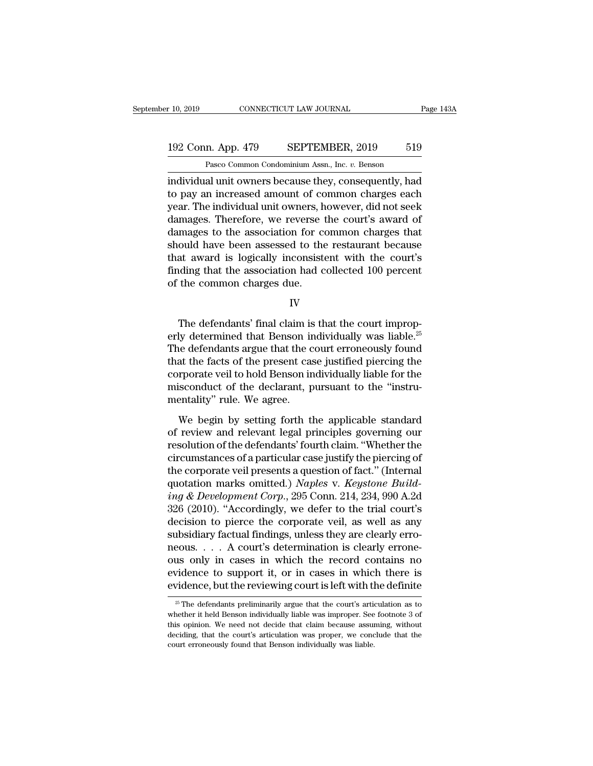### 10, 2019 CONNECTICUT LAW JOURNAL Page 143A<br>192 Conn. App. 479 SEPTEMBER, 2019 519<br>Pasco Common Condominium Assn., Inc. v. Benson CONNECTICUT LAW JOURNAL<br>
1<br>
1<br>
2 Pasco Common Condominium Assn., Inc. *v.* Benson<br>
2 Pasco Common Condominium Assn., Inc. *v.* Benson<br>
2 Pasco Common Condominium Assn., Inc. *v.* Benson<br>
2 Pasco Common Condominium Assn., I

F 10, 2019 CONNECTICUT LAW JOURNAL Page 143A<br>
192 Conn. App. 479 SEPTEMBER, 2019 519<br>
Pasco Common Condominium Assn., Inc. v. Benson<br>
individual unit owners because they, consequently, had<br>
to pay an increased amount of co 192 Conn. App. 479 SEPTEMBER, 2019 519<br>
Pasco Common Condominium Assn., Inc. v. Benson<br>
individual unit owners because they, consequently, had<br>
to pay an increased amount of common charges each<br>
year. The individual unit o 192 Conn. App. 479 SEPTEMBER, 2019 519<br>
Pasco Common Condominium Assn., Inc. v. Benson<br>
individual unit owners because they, consequently, had<br>
to pay an increased amount of common charges each<br>
year. The individual unit o 192 Conn. App. 479 SEPTEMBER, 2019 519<br>
Pasco Common Condominium Assn., Inc. v. Benson<br>
individual unit owners because they, consequently, had<br>
to pay an increased amount of common charges each<br>
year. The individual unit o Pasco Common Condominium Assn., Inc. v. Benson<br>
individual unit owners because they, consequently, had<br>
to pay an increased amount of common charges each<br>
year. The individual unit owners, however, did not seek<br>
damages. T raseo common condominum assn., me.  $v$ . Benson<br>individual unit owners because they, consequently, had<br>to pay an increased amount of common charges each<br>year. The individual unit owners, however, did not seek<br>damages. Ther individual unit owners because they, consequently, had<br>to pay an increased amount of common charges each<br>year. The individual unit owners, however, did not seek<br>damages. Therefore, we reverse the court's award of<br>damages t to pay an increased amount of common charges each<br>year. The individual unit owners, however, did not seek<br>damages. Therefore, we reverse the court's award of<br>damages to the association for common charges that<br>should have b year. The individual unit owners, h<br>damages. Therefore, we reverse t<br>damages to the association for co<br>should have been assessed to the<br>that award is logically inconsiste<br>finding that the association had c<br>of the common ch ould have been assessed to the restaurant because<br>at award is logically inconsistent with the court's<br>iding that the association had collected 100 percent<br>the common charges due.<br>IV<br>The defendants' final claim is that the

IV

that award is logically inconsistent with the court's<br>finding that the association had collected 100 percent<br>of the common charges due.<br> $IV$ <br>The defendants' final claim is that the court improp-<br>erly determined that Benson finding that the association had collected 100 percent<br>of the common charges due.<br> $IV$ <br>The defendants' final claim is that the court improp-<br>erly determined that Benson individually was liable.<sup>25</sup><br>The defendants argue tha of the common charges due.<br>
IV<br>
The defendants' final claim is that the court improperly<br>
determined that Benson individually was liable.<sup>25</sup><br>
The defendants argue that the court erroneously found<br>
that the facts of the pr IV<br>The defendants' final claim is that the court improp-<br>erly determined that Benson individually was liable.<sup>25</sup><br>The defendants argue that the court erroneously found<br>that the facts of the present case justified piercing The defendants' final claim is that the court improperly determined that Benson individually was liable.<sup>25</sup><br>The defendants argue that the court erroneously found<br>that the facts of the present case justified piercing the<br>c The defendants' final claim is<br>erly determined that Benson in<br>The defendants argue that the c<br>that the facts of the present case<br>corporate veil to hold Benson in<br>misconduct of the declarant, p<br>mentality'' rule. We agree.<br>W We defendants argue that the court erroneously found<br>at the facts of the present case justified piercing the<br>rporate veil to hold Benson individually liable for the<br>isconduct of the declarant, pursuant to the "instru-<br>enta That the facts of the present case justified piercing the<br>corporate veil to hold Benson individually liable for the<br>misconduct of the declarant, pursuant to the "instru-<br>mentality" rule. We agree.<br>We begin by setting forth

resolution of the declarant, pursuant to the "instrumentality" rule. We agree.<br>We begin by setting forth the applicable standard<br>of review and relevant legal principles governing our<br>resolution of the defendants' fourth cl misconduct of the declarant, pursuant to the "instrumentality" rule. We agree.<br>We begin by setting forth the applicable standard<br>of review and relevant legal principles governing our<br>resolution of the defendants' fourth cl mentality" rule. We agree.<br>
We begin by setting forth the applicable standard<br>
of review and relevant legal principles governing our<br>
resolution of the defendants' fourth claim. "Whether the<br>
circumstances of a particular We begin by setting forth the applicable standard<br>of review and relevant legal principles governing our<br>resolution of the defendants' fourth claim. "Whether the<br>circumstances of a particular case justify the piercing of<br>th We begin by setting forth the applicable standard<br>of review and relevant legal principles governing our<br>resolution of the defendants' fourth claim. "Whether the<br>circumstances of a particular case justify the piercing of<br>th of review and relevant legal principles governing our<br>resolution of the defendants' fourth claim. "Whether the<br>circumstances of a particular case justify the piercing of<br>the corporate veil presents a question of fact." (In resolution of the defendants' fourth claim. "Whether the<br>circumstances of a particular case justify the piercing of<br>the corporate veil presents a question of fact." (Internal<br>quotation marks omitted.) *Naples v. Keystone* circumstances of a particular case justify the piercing of<br>the corporate veil presents a question of fact." (Internal<br>quotation marks omitted.) *Naples* v. *Keystone Build-*<br>ing & Development Corp., 295 Conn. 214, 234, 990 the corporate veil presents a question of fact." (Internal quotation marks omitted.) *Naples* v. *Keystone Building* & *Development Corp.*, 295 Conn. 214, 234, 990 A.2d 326 (2010). "Accordingly, we defer to the trial cour quotation marks omitted.) Naples v. Keystone Build-<br>ing & Development Corp., 295 Conn. 214, 234, 990 A.2d<br>326 (2010). "Accordingly, we defer to the trial court's<br>decision to pierce the corporate veil, as well as any<br>subsi ing & Development Corp., 295 Conn. 214, 234, 990 A.2d<br>326 (2010). "Accordingly, we defer to the trial court's<br>decision to pierce the corporate veil, as well as any<br>subsidiary factual findings, unless they are clearly erro-326 (2010). "Accordingly, we defer to the trial court's decision to pierce the corporate veil, as well as any subsidiary factual findings, unless they are clearly erroneous.... A court's determination is clearly erroneous 25 The defendants preliminarily argue that the court's articulation as to  $\frac{25}{25}$  The defendants preliminarily argue that the court's articulation as to  $\frac{25}{25}$  The defendants preliminarily argue that the court's ous only in cases in which the record contains no evidence to support it, or in cases in which there is evidence, but the reviewing court is left with the definite  $\frac{25}{5}$  The defendants preliminarily argue that the co

evidence to support it, or in cases in which there is<br>evidence, but the reviewing court is left with the definite<br> $\frac{1}{20}$ The defendants preliminarily argue that the court's articulation as to<br>whether it held Benson ind evidence, but the reviewing court is left with the definite<br> $\frac{1}{25}$  The defendants preliminarily argue that the court's articulation as to<br>whether it held Benson individually liable was improper. See footnote 3 of<br>this  $^{25}$  The defendants preliminarily argue that the court's articulation as to whether it held Benson individually liable was improper. See footnote 3 of this opinion. We need not decide that claim because assuming, withou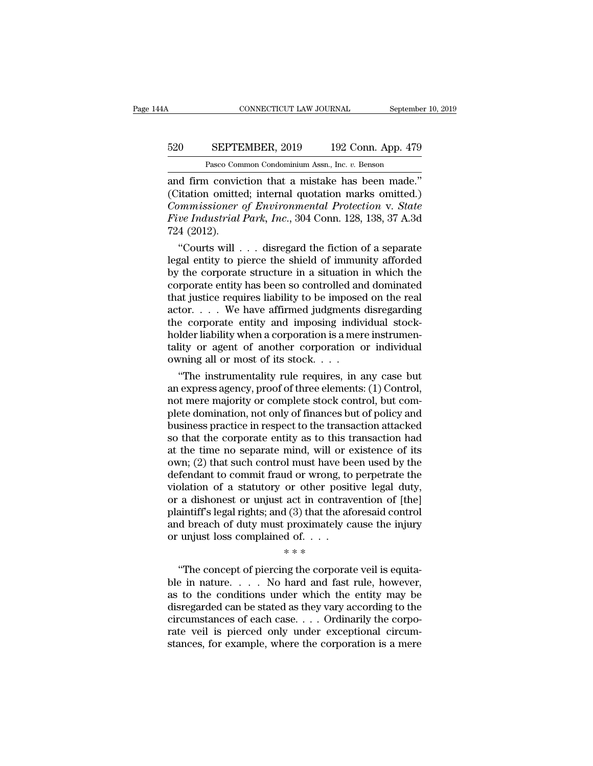### CONNECTICUT LAW JOURNAL September 10, 2019<br>520 SEPTEMBER, 2019 192 Conn. App. 479<br>Pasco Common Condominium Assn., Inc. v. Benson CONNECTICUT LAW JOURNAL Septembe<br>
SEPTEMBER, 2019 192 Conn. App. 479<br>
Pasco Common Condominium Assn., Inc. *v.* Benson<br>
1 conviction that a mistake has been made<sup>"</sup>

CONNECTICUT LAW JOURNAL September 10, 2<br>
SEPTEMBER, 2019 192 Conn. App. 479<br>
Pasco Common Condominium Assn., Inc. v. Benson<br>
and firm conviction that a mistake has been made.''<br>
(Citation omitted; internal quotation marks SEPTEMBER, 2019 192 Conn. App. 479<br>
Pasco Common Condominium Assn., Inc. v. Benson<br>
and firm conviction that a mistake has been made."<br>
(Citation omitted; internal quotation marks omitted.)<br>
Commissioner of Environmental P *Commissioner of Environmental Protection* v. *State Five Industrial Park, Inc. v. Benson*<br>*Commissioner of Environmental Protection* v. *State*<br>*Five Industrial Park, Inc., 304 Conn. 128, 138, 37 A.3d*<br>*Z24 (2012)* **FIGURE 520 FIGURE EXECUTE INDUSTRIAL PARK COMMON DEAD PARKO COMMON COMMON CONCORDING A** and firm conviction that a mistake has been made."<br>
(Citation omitted; internal quotation marks omitted.)<br> *Commissioner of Environ* Pasco Com<br>
and firm convic<br>
(Citation omitte<br>
Commissioner<br>
Five Industrial<br>
724 (2012).<br>
"Courts will. d firm conviction that a mistake has been made."<br>
itation omitted; internal quotation marks omitted.)<br>
mumissioner of Environmental Protection v. State<br>
ve Industrial Park, Inc., 304 Conn. 128, 138, 37 A.3d<br>
4 (2012).<br>
"Co and firm conviction that a mistake has been made."<br>
(Citation omitted; internal quotation marks omitted.)<br> *Commissioner of Environmental Protection v. State*<br> *Five Industrial Park, Inc.*, 304 Conn. 128, 138, 37 A.3d<br>
72

(Citation omitted; internal quotation marks omitted.)<br> *Commissioner of Environmental Protection v. State*<br> *Five Industrial Park, Inc.*, 304 Conn. 128, 138, 37 A.3d<br>
724 (2012).<br>
"Courts will . . . disregard the fiction Commissioner of Environmental Protection v. State<br>Five Industrial Park, Inc., 304 Conn. 128, 138, 37 A.3d<br>724 (2012).<br>"Courts will . . . disregard the fiction of a separate<br>legal entity to pierce the shield of immunity af Five maustrial Park, Inc., 304 Conn. 128, 138, 37 A.3d<br>
724 (2012).<br>
"Courts will . . . disregard the fiction of a separate<br>
legal entity to pierce the shield of immunity afforded<br>
by the corporate structure in a situatio 724 (2012).<br>
"Courts will . . . disregard the fiction of a separate<br>
legal entity to pierce the shield of immunity afforded<br>
by the corporate structure in a situation in which the<br>
corporate entity has been so controlled "Courts will  $\ldots$  disregard the fiction of a separate<br>legal entity to pierce the shield of immunity afforded<br>by the corporate structure in a situation in which the<br>corporate entity has been so controlled and dominated<br>th legal entity to pierce the shield of immunity afforded<br>by the corporate structure in a situation in which the<br>corporate entity has been so controlled and dominated<br>that justice requires liability to be imposed on the real<br> by the corporate structure in a situation in which the corporate entity has been so controlled and dominated that justice requires liability to be imposed on the real actor.  $\dots$  We have affirmed judgments disregarding th corporate entity has been so controlled an that justice requires liability to be imposed actor. . . . We have affirmed judgments the corporate entity and imposing individed holder liability when a corporation is a merical at justice requires liability to be imposed on the real<br>tor.... We have affirmed judgments disregarding<br>e corporate entity and imposing individual stock-<br>lder liability when a corporation is a mere instrumen-<br>ity or agent actor. . . . . We have affirmed judgments disregarding<br>the corporate entity and imposing individual stock-<br>holder liability when a corporation is a mere instrumen-<br>tality or agent of another corporation or individual<br>ownin

the corporate entity and imposing individual stock-<br>holder liability when a corporation is a mere instrumen-<br>tality or agent of another corporation or individual<br>owning all or most of its stock. . . .<br>"The instrumentality holder liability when a corporation is a mere instrumentality or agent of another corporation or individual<br>owning all or most of its stock. . . .<br>"The instrumentality rule requires, in any case but<br>an express agency, proo tality or agent of another corporation or individual<br>owning all or most of its stock. . . .<br>"The instrumentality rule requires, in any case but<br>an express agency, proof of three elements: (1) Control,<br>not mere majority or owning all or most of its stock. . . . .<br>
"The instrumentality rule requires, in any case but<br>
an express agency, proof of three elements: (1) Control,<br>
not mere majority or complete stock control, but com-<br>
plete dominat "The instrumentality rule requires, in any case but<br>an express agency, proof of three elements: (1) Control,<br>not mere majority or complete stock control, but com-<br>plete domination, not only of finances but of policy and<br>bu an express agency, proof of three elements: (1) Control,<br>not mere majority or complete stock control, but com-<br>plete domination, not only of finances but of policy and<br>business practice in respect to the transaction attack not mere majority or complete stock control, but complete domination, not only of finances but of policy and<br>business practice in respect to the transaction attacked<br>so that the corporate entity as to this transaction had<br> plete domination, not only of finances but of policy and<br>business practice in respect to the transaction attacked<br>so that the corporate entity as to this transaction had<br>at the time no separate mind, will or existence of i business practice in respect to the transaction attacked<br>so that the corporate entity as to this transaction had<br>at the time no separate mind, will or existence of its<br>own; (2) that such control must have been used by the<br> so that the corporate entity as to this transaction had<br>at the time no separate mind, will or existence of its<br>own; (2) that such control must have been used by the<br>defendant to commit fraud or wrong, to perpetrate the<br>vio at the time no separate mind, will or existence of its<br>own; (2) that such control must have been used by the<br>defendant to commit fraud or wrong, to perpetrate the<br>violation of a statutory or other positive legal duty,<br>or a own; (2) that such control must have be<br>defendant to commit fraud or wrong, to<br>violation of a statutory or other posit<br>or a dishonest or unjust act in contrav<br>plaintiff's legal rights; and (3) that the aft<br>and breach of d % and or wrong, to<br>or other position to the position of the algorithm of the set of the set<br>of the set of the set of the set of the corporation of the corporation<br>of the corporation of the corporation of the corporation o a dishonest or unjust act in contravention of [the]<br>
aintiff's legal rights; and (3) that the aforesaid control<br>
d breach of duty must proximately cause the injury<br>
unjust loss complained of...<br>  $**$ <br>
"The concept of pierc

blands of a distribute of any distributed in contracted on the plaintiff's legal rights; and (3) that the aforesaid control<br>and breach of duty must proximately cause the injury<br>or unjust loss complained of  $\dots$ <br> $**$ <br>...... and breach of duty must proximately cause the injury<br>and breach of duty must proximately cause the injury<br>or unjust loss complained of....<br> $**$ <br>"The concept of piercing the corporate veil is equita-<br>ble in nature.... No ha or unjust loss complained of. . . .<br>  $**$ <br>
"The concept of piercing the corporate veil is equita-<br>
ble in nature. . . . No hard and fast rule, however,<br>
as to the conditions under which the entity may be<br>
disregarded can b  $**$ <br>
"The concept of piercing the corporate veil is equita-<br>
ble in nature. . . . No hard and fast rule, however,<br>
as to the conditions under which the entity may be<br>
disregarded can be stated as they vary according to th "The concept of piercing the corporate veil is equita-<br>ble in nature.... No hard and fast rule, however,<br>as to the conditions under which the entity may be<br>disregarded can be stated as they vary according to the<br>circumsta "The concept of piercing the corporate veil is equita-<br>ble in nature.... No hard and fast rule, however,<br>as to the conditions under which the entity may be<br>disregarded can be stated as they vary according to the<br>circumsta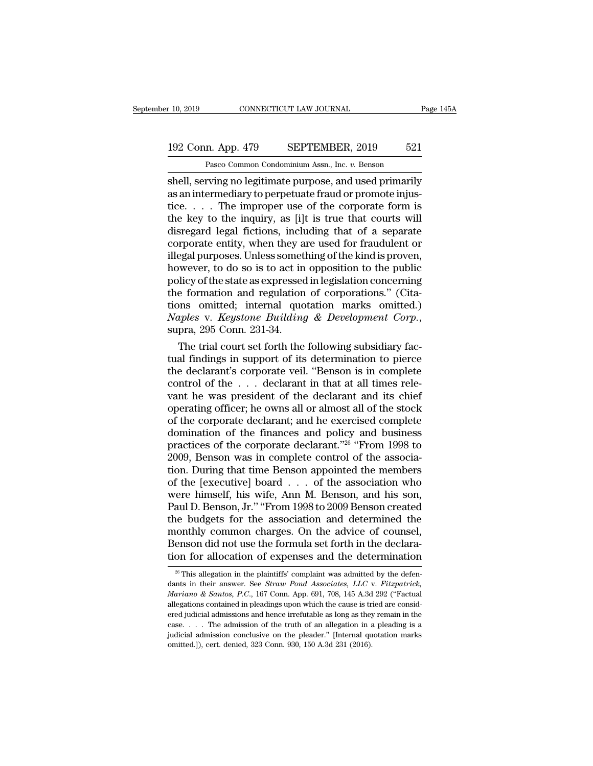### 10, 2019 CONNECTICUT LAW JOURNAL Page 145A<br>192 Conn. App. 479 SEPTEMBER, 2019 521<br>Pasco Common Condominium Assn., Inc. v. Benson CONNECTICUT LAW JOURNAL<br>
1<br>
21 Pasco Common Condominium Assn., Inc. *v.* Benson<br>
Pasco Common Condominium Assn., Inc. *v.* Benson<br>
1<br>
1<br>
Pasco Common Condominium Assn., Inc. *v.* Benson<br>
1

r 10, 2019 CONNECTICUT LAW JOURNAL Page 145A<br>
192 Conn. App. 479 SEPTEMBER, 2019 521<br>
Pasco Common Condominium Assn., Inc. *v.* Benson<br>
Shell, serving no legitimate purpose, and used primarily<br>
as an intermediary to perpet 192 Conn. App. 479 SEPTEMBER, 2019 521<br>
Pasco Common Condominium Assn., Inc. v. Benson<br>
shell, serving no legitimate purpose, and used primarily<br>
as an intermediary to perpetuate fraud or promote injus-<br>
tice.... The impro 192 Conn. App. 479 SEPTEMBER, 2019 521<br>
Pasco Common Condominium Assn., Inc. v. Benson<br>
shell, serving no legitimate purpose, and used primarily<br>
as an intermediary to perpetuate fraud or promote injus-<br>
tice..... The imp 192 Conn. App. 479 SEPTEMBER, 2019 521<br>
Pasco Common Condominium Assn., Inc.  $v$ . Benson<br>
shell, serving no legitimate purpose, and used primarily<br>
as an intermediary to perpetuate fraud or promote injus-<br>
tice.... The im Pasco Common Condominium Assn., Inc. v. Benson<br>
shell, serving no legitimate purpose, and used primarily<br>
as an intermediary to perpetuate fraud or promote injus-<br>
tice.... The improper use of the corporate form is<br>
the k Pasco Common Condominium Assn., Inc.  $v$ . Benson<br>
shell, serving no legitimate purpose, and used primarily<br>
as an intermediary to perpetuate fraud or promote injus-<br>
tice.... The improper use of the corporate form is<br>
the shell, serving no legitimate purpose, and used primarily<br>as an intermediary to perpetuate fraud or promote injus-<br>tice.  $\dots$ . The improper use of the corporate form is<br>the key to the inquiry, as [i]t is true that courts w as an intermediary to perpetuate fraud or promote injustice. . . . The improper use of the corporate form is<br>the key to the inquiry, as [i]t is true that courts will<br>disregard legal fictions, including that of a separate<br> tice. . . . . The improper use of the corporate form is<br>the key to the inquiry, as [i]t is true that courts will<br>disregard legal fictions, including that of a separate<br>corporate entity, when they are used for fraudulent or the key to the inquiry, as [i]t is true that courts will<br>disregard legal fictions, including that of a separate<br>corporate entity, when they are used for fraudulent or<br>illegal purposes. Unless something of the kind is prove disregard legal fictions, including that of a separate<br>corporate entity, when they are used for fraudulent or<br>illegal purposes. Unless something of the kind is proven,<br>however, to do so is to act in opposition to the publi *Naples in the Corporate entity, when they are used for fraudulent or illegal purposes. Unless something of the kind is proven, however, to do so is to act in opposition to the public policy of the state as expressed in le* wever, to do so is to act in opposition to the public<br>licy of the state as expressed in legislation concerning<br>e formation and regulation of corporations." (Cita-<br>ms omitted; internal quotation marks omitted.)<br>uples v. Key policy of the state as expressed in legislation concerning<br>the formation and regulation of corporations." (Cita-<br>tions omitted; internal quotation marks omitted.)<br>Naples v. Keystone Building & Development Corp.,<br>supra, 295

the formation and regulation of corporations." (Citations omitted; internal quotation marks omitted.)<br> *Naples v. Keystone Building & Development Corp.*,<br>
supra, 295 Conn. 231-34.<br>
The trial court set forth the following tions omitted; internal quotation marks omitted.)<br> *Naples* v. *Keystone Building* & *Development Corp.*,<br>
supra, 295 Conn. 231-34.<br>
The trial court set forth the following subsidiary fac-<br>
tual findings in support of its Naples v. Keystone Building & Development Corp.,<br>supra, 295 Conn. 231-34.<br>The trial court set forth the following subsidiary fac-<br>tual findings in support of its determination to pierce<br>the declarant's corporate veil. "Be supra, 295 Conn. 231-34.<br>
The trial court set forth the following subsidiary fac-<br>
tual findings in support of its determination to pierce<br>
the declarant's corporate veil. "Benson is in complete<br>
control of the . . . decla The trial court set forth the following subsidiary factual findings in support of its determination to pierce<br>the declarant's corporate veil. "Benson is in complete<br>control of the  $\dots$  declarant in that at all times reletual findings in support of its determination to pierce<br>the declarant's corporate veil. "Benson is in complete<br>control of the  $\ldots$  declarant in that at all times rele-<br>vant he was president of the declarant and its chief the declarant's corporate veil. "Benson is in complete<br>control of the . . . declarant in that at all times rele-<br>vant he was president of the declarant and its chief<br>operating officer; he owns all or almost all of the sto % of the corporate declarant; and he exercised complete domination of the finances and policy and business practices of the corporate declarant."<sup>26</sup> "From 1998 to 2009, Benson was in complete control of the association. vant he was president of the declarant and its chief<br>operating officer; he owns all or almost all of the stock<br>of the corporate declarant; and he exercised complete<br>domination of the finances and policy and business<br>pract operating officer; he owns all or almost all of the stock<br>of the corporate declarant; and he exercised complete<br>domination of the finances and policy and business<br>practices of the corporate declarant."<sup>26</sup> "From 1998 to<br>20 of the corporate declarant; and he exercised complete<br>domination of the finances and policy and business<br>practices of the corporate declarant."<sup>26</sup> "From 1998 to<br>2009, Benson was in complete control of the associa-<br>tion. D domination of the finances and policy and business<br>practices of the corporate declarant."<sup>26</sup> "From 1998 to<br>2009, Benson was in complete control of the associa-<br>tion. During that time Benson appointed the members<br>of the [e practices of the corporate declarant."<sup>26</sup> "From 1998 to 2009, Benson was in complete control of the association. During that time Benson appointed the members of the [executive] board  $\ldots$  of the association who were hi 2009, Benson was in complete control of the association. During that time Benson appointed the members<br>of the [executive] board  $\ldots$  of the association who<br>were himself, his wife, Ann M. Benson, and his son,<br>Paul D. Bens were himself, his wife, Ann M. Benson, and his son, Paul D. Benson, Jr." "From 1998 to 2009 Benson created the budgets for the association and determined the monthly common charges. On the advice of counsel, Benson did no of the [executive] board . . . of the association who<br>were himself, his wife, Ann M. Benson, and his son,<br>Paul D. Benson, Jr." "From 1998 to 2009 Benson created<br>the budgets for the association and determined the<br>monthly co ie budgets for the association and determined the controllant common charges. On the advice of counsel, enson did not use the formula set forth in the declaration for allocation of expenses and the determination  $\frac{1}{26}$ monthly common charges. On the advice of counsel,<br>Benson did not use the formula set forth in the declara-<br>tion for allocation of expenses and the determination<br><sup>26</sup> This allegation in the plaintiffs' complaint was admitte

**Benson did not use the formula set forth in the declaration for allocation of expenses and the determination**<br><sup>26</sup> This allegation in the plaintiffs' complaint was admitted by the defendants in their answer. See *Straw Po* tion for allocation of expenses and the determination  $\frac{1}{26}$  This allegation in the plaintiffs' complaint was admitted by the defendants in their answer. See *Straw Pond Associates, LLC* v. *Fitzpatrick, Mariano & San* Example 10011 Tor annotation of experises and the determination<br>
<sup>26</sup> This allegation in the plaintiffs' complaint was admitted by the defendants in their answer. See *Straw Pond Associates, LLC v. Fitzpatrick, Mariano* <sup>26</sup> This allegation in the plaintiffs' complaint was admitted by the defendants in their answer. See *Straw Pond Associates, LLC* v. *Fitzpatrick, Mariano & Santos, P.C.*, 167 Conn. App. 691, 708, 145 A.3d 292 ("Factual dants in their answer. See *Straw Pond Associates, LLC v. Fitzpatrick, Mariano & Santos, P.C.*, 167 Conn. App. 691, 708, 145 A.3d 292 ("Factual allegations contained in pleadings upon which the cause is tried are consider Mariano & Santos, P.C., 167 Conn. App. 691, 708, 145 A.3d allegations contained in pleadings upon which the cause is treed judicial admissions and hence irrefutable as long as they case. . . . The admission of the truth of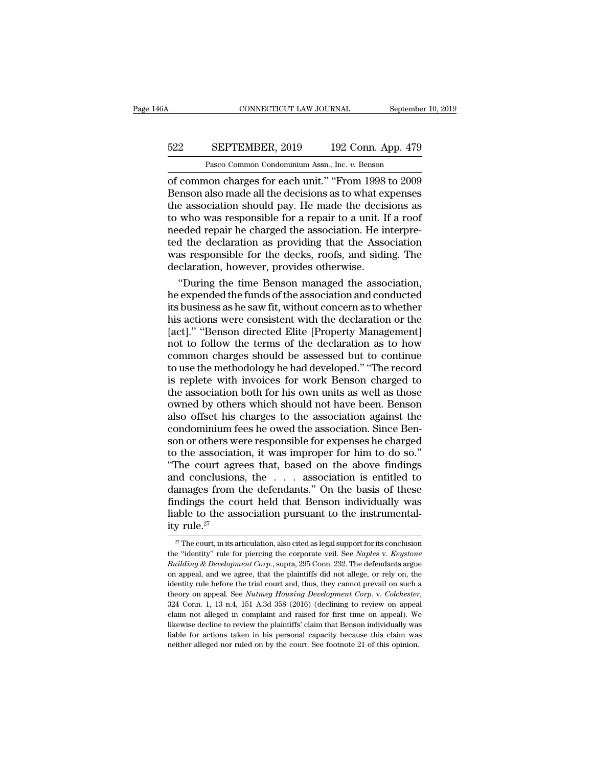## CONNECTICUT LAW JOURNAL September 10, 2019<br>522 SEPTEMBER, 2019 192 Conn. App. 479<br>Pasco Common Condominium Assn., Inc. v. Benson CONNECTICUT LAW JOURNAL September 10, 2019<br>
Fasco Common Condominium Assn., Inc. *v.* Benson<br>
of common charges for each unit." "From 1998 to 2009

CONNECTICUT LAW JOURNAL September 10, 2019<br>
522 SEPTEMBER, 2019 192 Conn. App. 479<br>
Pasco Common Condominium Assn., Inc. *v.* Benson<br>
of common charges for each unit.'' "From 1998 to 2009<br>
Benson also made all the decision SEPTEMBER, 2019 192 Conn. App. 479<br>Pasco Common Condominium Assn., Inc. v. Benson<br>of common charges for each unit." "From 1998 to 2009<br>Benson also made all the decisions as to what expenses<br>the association should pay. He m 522 SEPTEMBER, 2019 192 Conn. App. 479<br>
Pasco Common Condominium Assn., Inc.  $v$ . Benson<br>
of common charges for each unit." "From 1998 to 2009<br>
Benson also made all the decisions as to what expenses<br>
the association shoul 522 SEPTEMBER, 2019 192 Conn. App. 479<br>
Pasco Common Condominium Assn., Inc. v. Benson<br>
of common charges for each unit." "From 1998 to 2009<br>
Benson also made all the decisions as to what expenses<br>
the association should p Pasco Common Condominium Assn., Inc. v. Benson<br>
of common charges for each unit." "From 1998 to 2009<br>
Benson also made all the decisions as to what expenses<br>
the association should pay. He made the decisions as<br>
to who wa Pasco Common Condominium Assn., Inc. v. Benson<br>
of common charges for each unit." "From 1998 to 2009<br>
Benson also made all the decisions as to what expenses<br>
the association should pay. He made the decisions as<br>
to who was of common charges for each unit." "From 1998 to 2009<br>Benson also made all the decisions as to what expenses<br>the association should pay. He made the decisions as<br>to who was responsible for a repair to a unit. If a roof<br>need Benson also made all the decisions as to what exercit the association should pay. He made the decision to who was responsible for a repair to a unit. If needed repair he charged the association. He in ted the declaration a e association should pay. He made the decisions as<br>
who was responsible for a repair to a unit. If a roof<br>
eded repair he charged the association. He interpre-<br>
d the declaration as providing that the Association<br>
as respo to who was responsible for a repair to a unit. If a roof<br>needed repair he charged the association. He interpre-<br>ted the declaration as providing that the Association<br>was responsible for the decks, roofs, and siding. The<br>de

needed repair he charged the association. He interpreted the declaration as providing that the Association<br>was responsible for the decks, roofs, and siding. The<br>declaration, however, provides otherwise.<br>"During the time Be ted the declaration as providing that the Association<br>was responsible for the decks, roofs, and siding. The<br>declaration, however, provides otherwise.<br>"During the time Benson managed the association,<br>he expended the funds o was responsible for the decks, roofs, and siding. The<br>declaration, however, provides otherwise.<br>"During the time Benson managed the association,<br>he expended the funds of the association and conducted<br>its business as he saw declaration, however, provides otherwise.<br>
"During the time Benson managed the association,<br>
he expended the funds of the association and conducted<br>
its business as he saw fit, without concern as to whether<br>
his actions we "During the time Benson managed the association,<br>he expended the funds of the association and conducted<br>its business as he saw fit, without concern as to whether<br>his actions were consistent with the declaration or the<br>[act he expended the funds of the association and conducted<br>its business as he saw fit, without concern as to whether<br>his actions were consistent with the declaration or the<br>[act].'' "Benson directed Elite [Property Management] its business as he saw fit, without concern as to whether<br>his actions were consistent with the declaration or the<br>[act]." "Benson directed Elite [Property Management]<br>not to follow the terms of the declaration as to how<br>co his actions were consistent with the declaration or the [act]." "Benson directed Elite [Property Management]<br>not to follow the terms of the declaration as to how<br>common charges should be assessed but to continue<br>to use the [act]." "Benson directed Elite [Property Management]<br>not to follow the terms of the declaration as to how<br>common charges should be assessed but to continue<br>to use the methodology he had developed." "The record<br>is replete w not to follow the terms of the declaration as to how<br>common charges should be assessed but to continue<br>to use the methodology he had developed." "The record<br>is replete with invoices for work Benson charged to<br>the associati common charges should be assessed but to continue<br>to use the methodology he had developed." "The record<br>is replete with invoices for work Benson charged to<br>the association both for his own units as well as those<br>owned by o to use the methodology he had developed." "The record<br>is replete with invoices for work Benson charged to<br>the association both for his own units as well as those<br>owned by others which should not have been. Benson<br>also offs is replete with invoices for work Benson charged to<br>the association both for his own units as well as those<br>owned by others which should not have been. Benson<br>also offset his charges to the association against the<br>condomin the association both for his own units as well as those<br>
owned by others which should not have been. Benson<br>
also offset his charges to the association against the<br>
condominium fees he owed the association. Since Ben-<br>
son owned by others which should not have been. Benson<br>also offset his charges to the association against the<br>condominium fees he owed the association. Since Ben-<br>son or others were responsible for expenses he charged<br>to the a also offset his charges to the association against the condominium fees he owed the association. Since Benson or others were responsible for expenses he charged to the association, it was improper for him to do so."<br>"The c condominium fees he owed the association. Since Benson or others were responsible for expenses he charged to the association, it was improper for him to do so."<br>"The court agrees that, based on the above findings and conc son or others were responsible for expenses he charged<br>to the association, it was improper for him to do so."<br>"The court agrees that, based on the above findings<br>and conclusions, the  $\ldots$  association is entitled to<br>damag to the associati<br>
"The court agr<br>
and conclusion<br>
damages from<br>
findings the co<br>
liable to the ass<br>  $\frac{1}{27}$  The court, in its a amages from the defendants." On the basis of these<br>ndings the court held that Benson individually was<br>able to the association pursuant to the instrumental-<br>y rule.<sup>27</sup><br> $\frac{27}{127}$  The court, in its articulation, also cit findings the court held that Benson individually was<br>liable to the association pursuant to the instrumental-<br>ity rule.<sup>27</sup><br><sup>27</sup> The court, in its articulation, also cited as legal support for its conclusion<br>the "identity" liable to the association pursuant to the instrumental-

ity rule.<sup>27</sup><br>
<sup>27</sup> The court, in its articulation, also cited as legal support for its conclusion<br>
the "identity" rule for piercing the corporate veil. See *Naples v. Keystone*<br> *Building & Development Corp.*, supra, 295 Ity Tule.<br>
<sup>27</sup> The court, in its articulation, also cited as legal support for its conclusion<br>
the "identity" rule for piercing the corporate veil. See *Naples v. Keystone*<br> *Building & Development Corp.*, supra, 295 Con <sup>27</sup> The court, in its articulation, also cited as legal support for its conclusion<br>the "identity" rule for piercing the corporate veil. See *Naples* v. *Keystone*<br>*Building* & *Development Corp.*, supra, 295 Conn. 232. Th *Euiding & Development Corp.*, supra, 295 Conn. 232. The defendants argue on appeal, and we agree, that the plaintiffs did not allege, or rely on, the identity rule before the trial court and, thus, they cannot prevail on on appeal, and we agree, that the plaintiffs did not allege, or rely on, the identity rule before the trial court and, thus, they cannot prevail on such a theory on appeal. See *Nutmeg Housing Development Corp.* v. *Colch* identity rule before the trial court and, thus, they cannot prevail on such a theory on appeal. See Nutmeg Housing Development Corp. v. Colchester,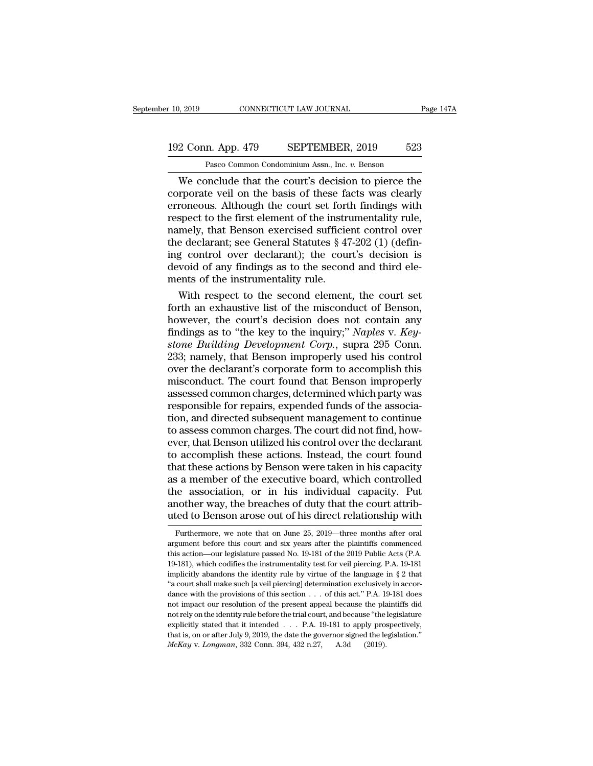## 10, 2019 CONNECTICUT LAW JOURNAL Page 147A<br>192 Conn. App. 479 SEPTEMBER, 2019 523<br>Pasco Common Condominium Assn., Inc. v. Benson CONNECTICUT LAW JOURNAL<br>
1<br>
1<br>
23<br>
Pasco Common Condominium Assn., Inc. *v.* Benson<br>
23<br>
Pasco Common Condominium Assn., Inc. *v.* Benson<br>
23<br>
24<br>
Parch Lude that the court's decision to pierce the

Nexta that the conclude that the court's decision to pierce the<br>
We conclude that the court's decision to pierce the<br>
pierce the conclude that the court's decision to pierce the<br>
properties veil on the basis of these facts 192 Conn. App. 479 SEPTEMBER, 2019 523<br>
Pasco Common Condominium Assn., Inc. v. Benson<br>
We conclude that the court's decision to pierce the<br>
corporate veil on the basis of these facts was clearly<br>
erroneous. Although the c 192 Conn. App. 479 SEPTEMBER, 2019 523<br>
Pasco Common Condominium Assn., Inc. v. Benson<br>
We conclude that the court's decision to pierce the<br>
corporate veil on the basis of these facts was clearly<br>
erroneous. Although the c 192 Conn. App. 479 SEPTEMBER, 2019 523<br>
Pasco Common Condominium Assn., Inc. v. Benson<br>
We conclude that the court's decision to pierce the<br>
corporate veil on the basis of these facts was clearly<br>
erroneous. Although the c Pasco Common Condominium Assn., Inc. v. Benson<br>We conclude that the court's decision to pierce the<br>corporate veil on the basis of these facts was clearly<br>erroneous. Although the court set forth findings with<br>respect to th Pasco Common Condominium Assn., Inc.  $v$ . Benson<br>We conclude that the court's decision to pierce the<br>corporate veil on the basis of these facts was clearly<br>erroneous. Although the court set forth findings with<br>respect to We conclude that the court's decision to pierce the<br>corporate veil on the basis of these facts was clearly<br>erroneous. Although the court set forth findings with<br>respect to the first element of the instrumentality rule,<br>na corporate veil on the basis of these facts was clearly<br>erroneous. Although the court set forth findings with<br>respect to the first element of the instrumentality rule,<br>namely, that Benson exercised sufficient control over<br>t erroneous. Although the court set fort<br>respect to the first element of the instru<br>namely, that Benson exercised sufficie<br>the declarant; see General Statutes § 47<br>ing control over declarant); the cour<br>devoid of any findings spect to the first element of the instrumentality rule,<br>mely, that Benson exercised sufficient control over<br>e declarant; see General Statutes § 47-202 (1) (defin-<br>g control over declarant); the court's decision is<br>void of mamely, that Benson exercised sufficient control over<br>the declarant; see General Statutes § 47-202 (1) (defin-<br>ing control over declarant); the court's decision is<br>devoid of any findings as to the second and third ele-<br>me

the declarant; see General Statutes § 47-202 (1) (defining control over declarant); the court's decision is devoid of any findings as to the second and third elements of the instrumentality rule.<br>With respect to the secon ing control over declarant); the court's decision is<br>devoid of any findings as to the second and third ele-<br>ments of the instrumentality rule.<br>With respect to the second element, the court set<br>forth an exhaustive list of t devoid of any findings as to the second and third elements of the instrumentality rule.<br>
With respect to the second element, the court set<br>
forth an exhaustive list of the misconduct of Benson,<br>
however, the court's decisi ments of the instrumentality rule.<br>
With respect to the second element, the court set<br>
forth an exhaustive list of the misconduct of Benson,<br>
however, the court's decision does not contain any<br>
findings as to "the key to t With respect to the second element, the court set<br>forth an exhaustive list of the misconduct of Benson,<br>however, the court's decision does not contain any<br>findings as to "the key to the inquiry;" *Naples v. Key-*<br>*stone Bu* forth an exhaustive list of the misconduct of Benson,<br>however, the court's decision does not contain any<br>findings as to "the key to the inquiry;" Naples v. Key-<br>stone Building Development Corp., supra 295 Conn.<br>233; namely however, the court's decision does not contain any<br>findings as to "the key to the inquiry;" *Naples* v. *Key-<br>stone Building Development Corp.*, supra 295 Conn.<br>233; namely, that Benson improperly used his control<br>over the findings as to "the key to the inquiry;" *Naples* v. *Keystone Building Development Corp.*, supra 295 Conn.<br>233; namely, that Benson improperly used his control<br>over the declarant's corporate form to accomplish this<br>miscon stone Building Development Corp., supra 295 Conn.<br>233; namely, that Benson improperly used his control<br>over the declarant's corporate form to accomplish this<br>misconduct. The court found that Benson improperly<br>assessed comm 233; namely, that Benson improperly used his control<br>over the declarant's corporate form to accomplish this<br>misconduct. The court found that Benson improperly<br>assessed common charges, determined which party was<br>responsible over the declarant's corporate form to accomplish this<br>misconduct. The court found that Benson improperly<br>assessed common charges, determined which party was<br>responsible for repairs, expended funds of the associa-<br>tion, an misconduct. The court found that Benson improperly<br>assessed common charges, determined which party was<br>responsible for repairs, expended funds of the associa-<br>tion, and directed subsequent management to continue<br>to assess assessed common charges, determined which party was<br>responsible for repairs, expended funds of the associa-<br>tion, and directed subsequent management to continue<br>to assess common charges. The court did not find, how-<br>ever, responsible for repairs, expended funds of the association, and directed subsequent management to continue<br>to assess common charges. The court did not find, how-<br>ever, that Benson utilized his control over the declarant<br>to tion, and directed subsequent management to continue<br>to assess common charges. The court did not find, how-<br>ever, that Benson utilized his control over the declarant<br>to accomplish these actions. Instead, the court found<br>th to assess common charges. The court did not find, however, that Benson utilized his control over the declarant to accomplish these actions. Instead, the court found that these actions by Benson were taken in his capacity a ever, that Benson utilized his control over the declarant<br>to accomplish these actions. Instead, the court found<br>that these actions by Benson were taken in his capacity<br>as a member of the executive board, which controlled<br>t Furthermore, we note that on June 25, 2019—three months after oral gument before that on June 25, 2019—three months after oral gument before this court and six years after the plaintiffs commenced gument before this court the association, or in his individual capacity. Put<br>another way, the breaches of duty that the court attributed to Benson arose out of his direct relationship with<br>Furthermore, we note that on June 25, 2019—three months af uted to Benson arose out of his direct relationship with

another way, the breaches of duty that the court attributed to Benson arose out of his direct relationship with<br>Furthermore, we note that on June 25, 2019—three months after oral<br>argument before this court and six years af implicitly abandons the identity rule by virtue of the language in § 2 that is action—our legislature passed No. 19-181 of the 2019 Public Acts (P.A. 19-181), which codifies the instrumentality test for veil piercing. P.A. Furthermore, we note that on June 25, 2019—three months after oral argument before this court and six years after the plaintiffs commenced this action—our legislature passed No. 19-181 of the 2019 Public Acts (P.A. 19-181 argument before this court and six years after the plaintiffs commenced<br>this action—our legislature passed No. 19-181 of the 2019 Public Acts (P.A.<br>19-181), which codifies the instrumentality test for veil piercing. P.A. 1 in this action—our legislature passed No. 19-181 of the 2019 Public Acts (P.A. 19-181), which codifies the instrumentality test for veil piercing. P.A. 19-181 implicitly abandons the identity rule by virtue of the languag 19-181), which codifies the instrumentality test for veil piercing. P.A. 19-181 implicitly abandons the identity rule by virtue of the language in § 2 that "a court shall make such [a veil piercing] determination exclusiv implicitly abandons the identity rule by virtue of the language in § 2 that "a court shall make such [a veil piercing] determination exclusively in accordance with the provisions of this section . . . of this act." P.A. 1 "a court shall make such [a veil piercing] determination exclusively in accornot impact our resolution of the present appeal because the plaintiffs did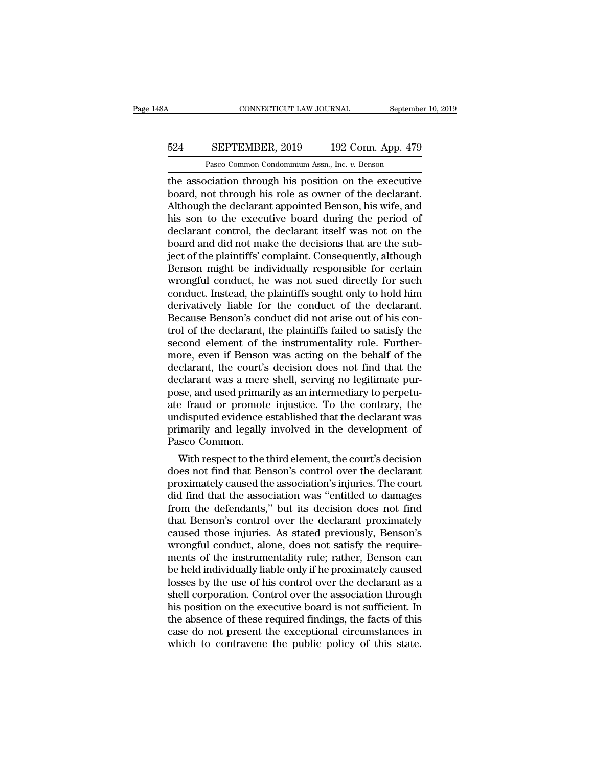## CONNECTICUT LAW JOURNAL September 10, 2019<br>524 SEPTEMBER, 2019 192 Conn. App. 479<br>Pasco Common Condominium Assn., Inc. v. Benson CONNECTICUT LAW JOURNAL Septembe<br>
SEPTEMBER, 2019 192 Conn. App. 479<br>
Pasco Common Condominium Assn., Inc. *v.* Benson<br>
poiation through his position on the executive

CONNECTICUT LAW JOURNAL September 10, 2019<br>
524 SEPTEMBER, 2019 192 Conn. App. 479<br>
Pasco Common Condominium Assn., Inc. *v.* Benson<br>
the association through his position on the executive<br>
board, not through his role as ow 524 SEPTEMBER, 2019 192 Conn. App. 479<br>Pasco Common Condominium Assn., Inc. v. Benson<br>the association through his position on the executive<br>board, not through his role as owner of the declarant.<br>Although the declarant appo SEPTEMBER, 2019 192 Conn. App. 479<br>
Pasco Common Condominium Assn., Inc. v. Benson<br>
the association through his position on the executive<br>
board, not through his role as owner of the declarant.<br>
Although the declarant appo SEPTEMBER, 2019 192 Conn. App. 479<br>
Pasco Common Condominium Assn., Inc. v. Benson<br>
the association through his position on the executive<br>
board, not through his role as owner of the declarant.<br>
Although the declarant appo Pasco Common Condominium Assn., Inc. *v.* Benson<br>the association through his position on the executive<br>board, not through his role as owner of the declarant.<br>Although the declarant appointed Benson, his wife, and<br>his son t Pasco Common Condominium Assn., Inc.  $v$ . Benson<br>the association through his position on the executive<br>board, not through his role as owner of the declarant.<br>Although the declarant appointed Benson, his wife, and<br>his son the association through his position on the executive<br>board, not through his role as owner of the declarant.<br>Although the declarant appointed Benson, his wife, and<br>his son to the executive board during the period of<br>declar board, not through his role as owner of the declarant.<br>Although the declarant appointed Benson, his wife, and<br>his son to the executive board during the period of<br>declarant control, the declarant itself was not on the<br>board Although the declarant appointed Benson, his wife, and<br>his son to the executive board during the period of<br>declarant control, the declarant itself was not on the<br>board and did not make the decisions that are the sub-<br>ject his son to the executive board during the period of<br>declarant control, the declarant itself was not on the<br>board and did not make the decisions that are the sub-<br>ject of the plaintiffs' complaint. Consequently, although<br>Be declarant control, the declarant itself was not on the<br>board and did not make the decisions that are the sub-<br>ject of the plaintiffs' complaint. Consequently, although<br>Benson might be individually responsible for certain<br>w board and did not make the decisions that are the sub-<br>ject of the plaintiffs' complaint. Consequently, although<br>Benson might be individually responsible for certain<br>wrongful conduct, he was not sued directly for such<br>cond ject of the plaintiffs' complaint. Consequently, although<br>Benson might be individually responsible for certain<br>wrongful conduct, he was not sued directly for such<br>conduct. Instead, the plaintiffs sought only to hold him<br>de Benson might be individually responsible for certain<br>wrongful conduct, he was not sued directly for such<br>conduct. Instead, the plaintiffs sought only to hold him<br>derivatively liable for the conduct of the declarant.<br>Becaus wrongful conduct, he was not sued directly for such<br>conduct. Instead, the plaintiffs sought only to hold him<br>derivatively liable for the conduct of the declarant.<br>Because Benson's conduct did not arise out of his con-<br>trol conduct. Instead, the plaintiffs sought only to hold him<br>derivatively liable for the conduct of the declarant.<br>Because Benson's conduct did not arise out of his con-<br>trol of the declarant, the plaintiffs failed to satisfy derivatively liable for the conduct of the declarant.<br>Because Benson's conduct did not arise out of his control of the declarant, the plaintiffs failed to satisfy the<br>second element of the instrumentality rule. Further-<br>mo Because Benson's conduct did not arise out of his control of the declarant, the plaintiffs failed to satisfy the second element of the instrumentality rule. Furthermore, even if Benson was acting on the behalf of the decla trol of the declarant, the plaintiffs failed to satisfy the<br>second element of the instrumentality rule. Further-<br>more, even if Benson was acting on the behalf of the<br>declarant, the court's decision does not find that the<br>d second element of the instrumentality rule. Furthermore, even if Benson was acting on the behalf of the declarant, the court's decision does not find that the declarant was a mere shell, serving no legitimate purpose, and more, even if Benson was acting on the behalf of the<br>declarant, the court's decision does not find that the<br>declarant was a mere shell, serving no legitimate pur-<br>pose, and used primarily as an intermediary to perpetu-<br>ate declarant, the court's<br>declarant was a mere<br>pose, and used primar<br>ate fraud or promote<br>undisputed evidence e<br>primarily and legally<br>Pasco Common.<br>With respect to the t clarant was a mere shell, serving no legitimate pur-<br>se, and used primarily as an intermediary to perpetu-<br>e fraud or promote injustice. To the contrary, the<br>disputed evidence established that the declarant was<br>imarily and pose, and used primarily as an intermediary to perpetu-<br>ate fraud or promote injustice. To the contrary, the<br>undisputed evidence established that the declarant was<br>primarily and legally involved in the development of<br>Pasco

ate fraud or promote injustice. To the contrary, the<br>undisputed evidence established that the declarant was<br>primarily and legally involved in the development of<br>Pasco Common.<br>With respect to the third element, the court's unaisputed evidence established that the declarant was<br>primarily and legally involved in the development of<br>Pasco Common.<br>With respect to the third element, the court's decision<br>does not find that Benson's control over the primarily and legally involved in the development of<br>Pasco Common.<br>With respect to the third element, the court's decision<br>does not find that Benson's control over the declarant<br>proximately caused the association was "enti Pasco Common.<br>
With respect to the third element, the court's decision<br>
does not find that Benson's control over the declarant<br>
proximately caused the association vas "entitled to damages<br>
from the defendants," but its dec With respect to the third element, the court's decision<br>does not find that Benson's control over the declarant<br>proximately caused the association's injuries. The court<br>did find that the association was "entitled to damages does not find that Benson's control over the declarant<br>proximately caused the association's injuries. The court<br>did find that the association was "entitled to damages<br>from the defendants," but its decision does not find<br>th proximately caused the association's injuries. The court<br>did find that the association was "entitled to damages<br>from the defendants," but its decision does not find<br>that Benson's control over the declarant proximately<br>caus did find that the association was "entitled to damages<br>from the defendants," but its decision does not find<br>that Benson's control over the declarant proximately<br>caused those injuries. As stated previously, Benson's<br>wrongfu from the defendants," but its decision does not find<br>that Benson's control over the declarant proximately<br>caused those injuries. As stated previously, Benson's<br>wrongful conduct, alone, does not satisfy the require-<br>ments o that Benson's control over the declarant proximately<br>caused those injuries. As stated previously, Benson's<br>wrongful conduct, alone, does not satisfy the require-<br>ments of the instrumentality rule; rather, Benson can<br>be hel caused those injuries. As stated previously, Benson's<br>wrongful conduct, alone, does not satisfy the require-<br>ments of the instrumentality rule; rather, Benson can<br>be held individually liable only if he proximately caused<br>l wrongful conduct, alone, does not satisfy the requirements of the instrumentality rule; rather, Benson can<br>be held individually liable only if he proximately caused<br>losses by the use of his control over the declarant as a<br> ments of the instrumentality rule; rather, Benson can<br>be held individually liable only if he proximately caused<br>losses by the use of his control over the declarant as a<br>shell corporation. Control over the association throu be held individually liable only if he proximately caused losses by the use of his control over the declarant as a shell corporation. Control over the association through his position on the executive board is not sufficie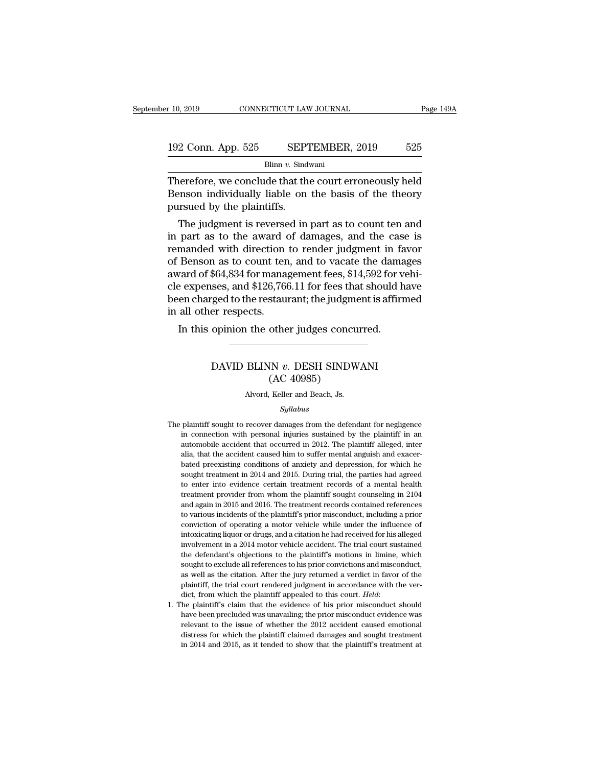# $\begin{tabular}{l l l l} \hline r 10, 2019 & & & & & & \mbox{\textbf{CONNECTICUT LAW JOURNAL}} & \multicolumn{2}{c|}{\textbf{Page 149A}} \\\\ \hline \multicolumn{2}{c|}{\textbf{192 Conn. App. 525}} & & & & \multicolumn{2}{c|}{\textbf{SEPTEMBER, 2019}} & & & \multicolumn{2}{c|}{\textbf{525}} \\\\ \hline & & & & \text{Blinn } v. \text{ Sindwani} & & & \end{tabular}$

Blinn *v.* Sindwani

Therefore, we conclude that the court erroneously held<br>
Therefore, we conclude that the court erroneously held<br>
Therefore, we conclude that the court erroneously held<br>
Benson individually liable on the basis of the theory 192 Conn. App. 525 SEPTEMBER, 2019 525<br>Blinn v. Sindwani<br>Therefore, we conclude that the court erroneously held<br>Benson individually liable on the basis of the theory<br>pursued by the plaintiffs. 192 Conn. App. 525 SEPTEMBER, 2019 525<br>Blinn v. Sindwani<br>Therefore, we conclude that the court erroneously held<br>Benson individually liable on the basis of the theory<br>pursued by the plaintiffs.<br>The judgment is reversed in 2 Conn. App. 525 SEPTEMBER, 2019 525<br>Blinn v. Sindwani<br>nerefore, we conclude that the court erroneously held<br>enson individually liable on the basis of the theory<br>is reversed by the plaintiffs.<br>The judgment is reversed in

Blinn v. Sindwani<br>
Therefore, we conclude that the court erroneously held<br>
Benson individually liable on the basis of the theory<br>
pursued by the plaintiffs.<br>
The judgment is reversed in part as to count ten and<br>
in part a Therefore, we conclude that the court erroneously held<br>Benson individually liable on the basis of the theory<br>pursued by the plaintiffs.<br>The judgment is reversed in part as to count ten and<br>in part as to the award of damag Therefore, we conclude that the court erroneously field<br>Benson individually liable on the basis of the theory<br>pursued by the plaintiffs.<br>The judgment is reversed in part as to count ten and<br>in part as to the award of dama benson marviolary habie on the basis of the theory<br>pursued by the plaintiffs.<br>The judgment is reversed in part as to count ten and<br>in part as to the award of damages, and the case is<br>remanded with direction to render judgm pursued by the plaintins.<br>The judgment is reversed in part as to count ten and<br>in part as to the award of damages, and the case is<br>remanded with direction to render judgment in favor<br>of Benson as to count ten, and to vacat The judgment is reversed in part as to count ten and<br>in part as to the award of damages, and the case is<br>remanded with direction to render judgment in favor<br>of Benson as to count ten, and to vacate the damages<br>award of \$64 in part as to the award of<br>remanded with direction<br>of Benson as to count ten<br>award of \$64,834 for mana,<br>cle expenses, and \$126,766<br>been charged to the restau<br>in all other respects.<br>In this opinion the othe In this opinion to render judgment in the Benson as to count ten, and to vacate the damarad of \$64,834 for management fees, \$14,592 for verse expenses, and \$126,766.11 for fees that should have charged to the restaurant; t ses, and \$120,700.11 for fees that should have<br>red to the restaurant; the judgment is affirm<br>er respects.<br>opinion the other judges concurred.<br>DAVID BLINN *v*. DESH SINDWANI<br>(AC 40985)

## staurant; the Judgme<br>
other judges concu<br>
IN v. DESH SINDW<br>
(AC 40985)<br>
Keller and Beach, Js. DAVID BLINN  $v$ . DESH SINDWANI<br>(AC 40985)<br>Alvord, Keller and Beach, Js.

## *Syllabus*

- DAVID BLINN  $v$ . DESH SINDWANI<br>
(AC 40985)<br>
Alvord, Keller and Beach, Js.<br>  $Syllabus$ <br>
The plaintiff sought to recover damages from the defendant for negligence<br>
in connection with personal injuries sustained by the plaintiff  $(AC 40985)$ <br>Alvord, Keller and Beach, Js.<br> $Syllabus$ <br>plaintiff sought to recover damages from the defendant for negligence<br>in connection with personal injuries sustained by the plaintiff in an<br>automobile accident that occurre Alvord, Keller and Beach, Js.<br>
Syllabus<br>
plaintiff sought to recover damages from the defendant for negligence<br>
in connection with personal injuries sustained by the plaintiff in an<br>
automobile accident that occurred in 20 The plaintiff sought to recover damages from the defendant for negligence<br>in connection with personal injuries sustained by the plaintiff in an<br>automobile accident that occurred in 2012. The plaintiff alleged, inter<br>alia, *Syllabus*<br>plaintiff sought to recover damages from the defendant for negligence<br>in connection with personal injuries sustained by the plaintiff in an<br>automobile accident that occurred in 2012. The plaintiff alleged, inter plaintiff sought to recover damages from the defendant for negligence<br>in connection with personal injuries sustained by the plaintiff in an<br>automobile accident that occurred in 2012. The plaintiff alleged, inter<br>alia, that plantant solgin to recover dantages nont and decreated by the plaintiff in an automobile accident that occurred in 2012. The plaintiff alleged, inter alia, that the accident caused him to suffer mental anguish and exacer-<br> In contection with personal nightes stashed by are plaintiff alleged, inter<br>atia, that the accident caused him to suffer mental anguish and exacer-<br>bated preexisting conditions of anxiety and depression, for which he<br>sough alla, that the accident and occurred in 2012. The plantiful angles, meed and again, that the accident caused him to suffer mental anguish and exacer-<br>bated preexisting conditions of anxiety and depression, for which he<br>sou the sought treatment in 2014 and 2015. During trial and the parties had agreed to enter into evidence certain treatment records of a mental health treatment provider from whom the plaintiff sought counseling in 2104 and ag backed precassing conditions of anticely and depression, for which ne<br>sought treatment in 2014 and 2015. During trial, the parties had agreed<br>to enter into evidence certain treatment records of a mental health<br>treatment pr into enter into evidence certain treatment records of a mental health treatment provider from whom the plaintiff sought counseling in 2104 and again in 2015 and 2016. The treatment records contained references to various i involvement provider from whom the plaintiff sought counseling in 2104 and again in 2015 and 2016. The treatment records contained references to various incidents of the plaintiff's prior misconduct, including a prior conv at danken provider Hom whom the plantian sodgate colludeding in 2003<br>and again in 2015 and 2016. The treatment records contained references<br>to various incidents of the plaintiff's prior misconduct, including a prior<br>convic and ugan in 2010 and 2010. The actual records contained reference<br>to various incidents of the plaintiff's prior misconduct, including a prior<br>conviction of operating a motor vehicle while under the influence of<br>intoxicatin as various incrucins of are plantant is prior insecutate, including a prior conviction of operating a motor vehicle while under the influence of intoxicating liquor or drugs, and a citation he had received for his alleged plantiff, the trial court rendered independent of the trial court sustained intoxicating liquor or drugs, and a citation he had received for his alleged involvement in a 2014 motor vehicle accident. The trial court sustain divided to the plaintiff's motions in limine, which sought to exclude all references to his prior convictions in limine, which sought to exclude all references to his prior convictions and misconduct, as well as the citati sought to exclude all references to his prior convictions and misconduct, as well as the citation. After the jury returned a verdict in favor of the plaintiff, the trial court rendered judgment in accordance with the verdi
- solgin to statial interference to its prior contributed at interference, as well as the citation. After the jury returned a verdict in favor of the plaintiff, the trial court rendered judgment in accordance with the verdic distress for which the plaintiff claimed a vertice in layor of all<br>plaintiff, the trial court rendered judgment in accordance with the ver-<br>dict, from which the plaintiff appealed to this court. *Held*:<br>the plaintiff's cla plantant, the trade of and contributed jaignment in accordance with the verdict, from which the plaintiff appealed to this court. *Held*: the plaintiff's claim that the evidence of his prior misconduct evidence was relevan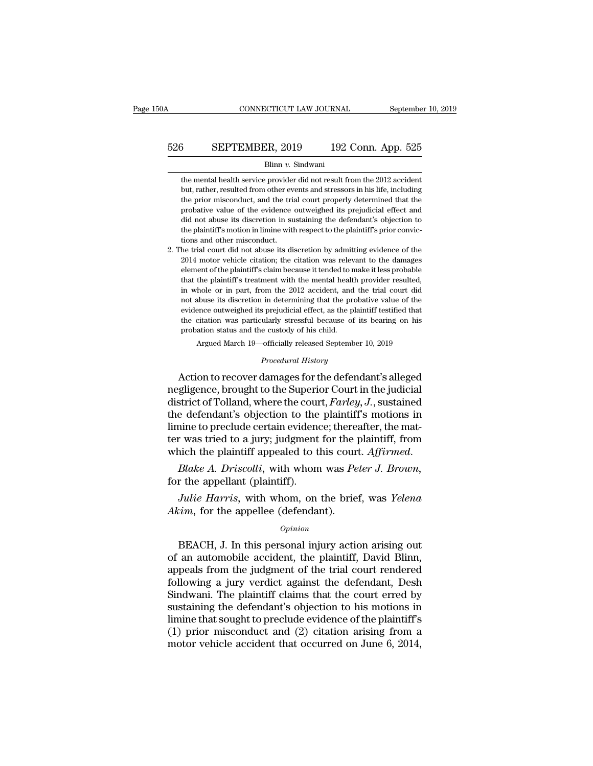# CONNECTICUT LAW JOURNAL September 10, 2019<br>526 SEPTEMBER, 2019 192 Conn. App. 525<br>Blinn v. Sindwani

## Blinn *v.* Sindwani

**SEPTEMBER, 2019** 192 Conn. App. 525<br>Blinn v. Sindwani<br>the mental health service provider did not result from the 2012 accident<br>but, rather, resulted from other events and stressors in his life, including **SEPTEMBER, 2019** 192 Conn. App. 525<br>Blinn v. Sindwani<br>the mental health service provider did not result from the 2012 accident<br>but, rather, resulted from other events and stressors in his life, including<br>the prior miscon **SEPTEMBER, 2019** 192 Conn. App. 525<br>Blinn v. Sindwani<br>the mental health service provider did not result from the 2012 accident<br>but, rather, resulted from other events and stressors in his life, including<br>the prior miscon Blinn v. Sindwani<br>Blinn v. Sindwani<br>the mental health service provider did not result from the 2012 accident<br>but, rather, resulted from other events and stressors in his life, including<br>the prior misconduct, and the trial Blinn  $v$ . Sindwani<br>the mental health service provider did not result from the 2012 accident<br>but, rather, resulted from other events and stressors in his life, including<br>the prior misconduct, and the trial court properly the mental health service provider did not result from the 2012 accident<br>but, rather, resulted from other events and stressors in his life, including<br>the prior misconduct, and the trial court properly determined that the<br>p but, rather, resulted from other evidence<br>but, rather, resulted from other evidence<br>probative value of the evidence<br>did not abuse its discretion in su<br>the plaintiff's motion in limine with<br>tions and other misconduct.<br>he tr 2. The trial court did not abuse its discretion by admitting evidence of the probative value of the evidence outweighed its prejudicial effect and did not abuse its discretion in sustaining the defendant's objection to the profit massen and the endired property determined and the probative value of the evidence outweighed its prejudicial effect and did not abuse its discretion in sustaining the defendant's objection to the plaintiff's motion

Frostal value is discretion in sustaining the defendant's objection to the plaintiff's motion in limine with respect to the plaintiff's prior convictions and other misconduct.<br>The trial court did not abuse its discretion b did not abuse its discretion in sustaining the defendant's objection to<br>the plaintiff's motion in limine with respect to the plaintiff's prior convic-<br>tions and other misconduct.<br>2. The trial court did not abuse its discr in whole or in part, from the 2012 accident, and the trial court did not abuse its discretion by admitting evidence of the 2014 motor vehicle citation; the citation was relevant to the damages element of the plaintiff's cl notes and outer miseonate.<br>
he trial court did not abuse its discretion by admitting evidence of the<br>
2014 motor vehicle citation; the citation was relevant to the damages<br>
element of the plaintiff's claim because it tende 2014 motor vehicle citation; the citation was relevant to the damages element of the plaintiff's claim because it tended to make it less probable that the plaintiff's treatment with the mental health provider resulted, in Extra mood vente entation, are entator was retevant to the damageo-<br>element of the plaintiff's claim because it tended to make it less probable<br>that the plaintiff's treatment with the mental health provider resulted,<br>in wh probation status and the mental health<br>in whole or in part, from the 2012 accident, and<br>not abuse its discretion in determining that the pre-<br>evidence outweighed its prejudicial effect, as the p<br>the citation was particular hole or in part, from the 2012 accident, and the trial court did<br>abuse its discretion in determining that the probative value of the<br>ence outweighed its prejudicial effect, as the plaintiff testified that<br>citation was part *Procedural and are procedured is prejudicial effect, as the plain*<br>*Procedural History*<br>*Procedural History*<br>*Procedural History*<br>*Procedural History*<br>**Procedural History** not abuse its discretion in determining that the probative value of the<br>evidence outweighed its prejudicial effect, as the plaintiff testified that<br>the citation was particularly stressful because of its bearing on his<br>pro

evidence outweighed its prejudicial effect, as the plantiff resulted that<br>the citation was particularly stressful because of its bearing on his<br>probation status and the custody of his child.<br>Argued March 19—officially rele district of Tolland, where the court, *Farley, J.*, sustained the defendant's objection to the Superior Court in the judicial district of Tolland, where the court, *Farley, J.*, sustained the defendant's objection to the p Argued March 19—officially released September 10, 2019<br>
Procedural History<br>
Action to recover damages for the defendant's alleged<br>
negligence, brought to the Superior Court in the judicial<br>
district of Tolland, where the c *Procedural History*<br>Action to recover damages for the defendant's alleged<br>negligence, brought to the Superior Court in the judicial<br>district of Tolland, where the court, *Farley*, *J*., sustained<br>the defendant's objection *Procedural History*<br>Action to recover damages for the defendant's alleged<br>negligence, brought to the Superior Court in the judicial<br>district of Tolland, where the court, *Farley*, *J*., sustained<br>the defendant's objection Action to recover damages for the defendant's alleged<br>negligence, brought to the Superior Court in the judicial<br>district of Tolland, where the court, *Farley*, *J*., sustained<br>the defendant's objection to the plaintiff's m district of Tolland, where the cour<br>the defendant's objection to the<br>limine to preclude certain evident<br>ter was tried to a jury; judgment<br>which the plaintiff appealed to the<br>*Blake A. Driscolli*, with whom<br>for the appellan *Julie Harris,* with whom, on the brief, was *Yelena Pharris* in the plaintiff, from inch the plaintiff appealed to this court. Affirmed.<br>*Blake A. Driscolli*, with whom was *Peter J. Brown*, r the appellant (plaintiff). *Akim*, for the appellee (defendant).<br>*Akim*, for the appellant (plaintiff).<br>*Akim*, for the appellant (plaintiff).<br>*Akim*, for the appellee (defendant).<br>*Opinion* 

## *Opinion*

Blake A. Driscolli, with whom was Peter J. Brown,<br>
r the appellant (plaintiff).<br>
Julie Harris, with whom, on the brief, was Yelena<br>
cim, for the appellee (defendant).<br>
Opinion<br>
BEACH, J. In this personal injury action aris for the appellant (plaintiff).<br>
Julie Harris, with whom, on the brief, was Yelena<br>
Akim, for the appellee (defendant).<br>  $opinion$ <br>
BEACH, J. In this personal injury action arising out<br>
of an automobile accident, the plaintiff, *Julie Harris*, with whom, on the brief, was *Yelena*<br>*Akim*, for the appellee (defendant).<br>*Opinion*<br>BEACH, J. In this personal injury action arising out<br>of an automobile accident, the plaintiff, David Blinn,<br>appeals from *Akim*, for the appellee (defendant).<br> *Opinion*<br>
BEACH, J. In this personal injury action arising out<br>
of an automobile accident, the plaintiff, David Blinn,<br>
appeals from the judgment of the trial court rendered<br>
followi  $\omega$ <br>  $\omega$  opinion<br>  $\omega$  BEACH, J. In this personal injury action arising out<br>
of an automobile accident, the plaintiff, David Blinn,<br>
appeals from the judgment of the trial court rendered<br>
following a jury verdict agains **EXACH, J.** In this personal injury action arising out of an automobile accident, the plaintiff, David Blinn, appeals from the judgment of the trial court rendered following a jury verdict against the defendant, Desh Sind BEACH, J. In this personal injury action arising out<br>of an automobile accident, the plaintiff, David Blinn,<br>appeals from the judgment of the trial court rendered<br>following a jury verdict against the defendant, Desh<br>Sindwan of an automobile accident, the plaintiff, David Blinn,<br>appeals from the judgment of the trial court rendered<br>following a jury verdict against the defendant, Desh<br>Sindwani. The plaintiff claims that the court erred by<br>susta appeals from the judgment of the trial court rendered<br>following a jury verdict against the defendant, Desh<br>Sindwani. The plaintiff claims that the court erred by<br>sustaining the defendant's objection to his motions in<br>limin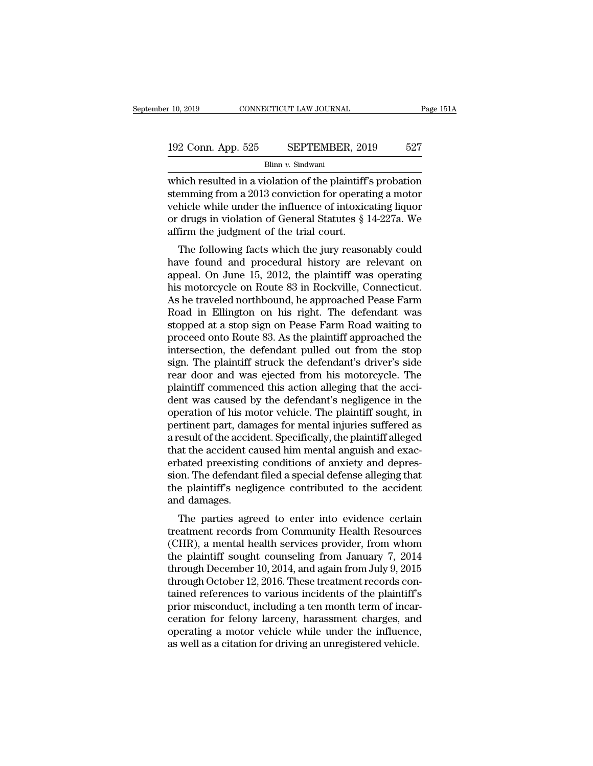# 192 Conn. App. 525 SEPTEMBER, 2019 <sup>527</sup>

Blinn *v.* Sindwani

r 10, 2019 CONNECTICUT LAW JOURNAL Page 151A<br>
192 Conn. App. 525 SEPTEMBER, 2019 527<br>
Blinn v. Sindwani<br>
which resulted in a violation of the plaintiff's probation<br>
stemming from a 2013 conviction for operating a motor<br>
w 192 Conn. App. 525 SEPTEMBER, 2019 527<br>Blinn v. Sindwani<br>which resulted in a violation of the plaintiff's probation<br>stemming from a 2013 conviction for operating a motor<br>vehicle while under the influence of intoxicating l 192 Conn. App. 525 SEPTEMBER, 2019 527<br>Blinn v. Sindwani<br>which resulted in a violation of the plaintiff's probation<br>stemming from a 2013 conviction for operating a motor<br>vehicle while under the influence of intoxicating l 192 Conn. App. 525 SEPTEMBER, 2019 527<br>Blinn v. Sindwani<br>which resulted in a violation of the plaintiff's probation<br>stemming from a 2013 conviction for operating a motor<br>vehicle while under the influence of intoxicating l Blinn v. Sindwani<br>Blinn v. Sindwani<br>which resulted in a violation of the plaintiff'<br>stemming from a 2013 conviction for operat<br>vehicle while under the influence of intoxic<br>or drugs in violation of General Statutes § 1<br>affi nich resulted in a violation of the plaintiff's probation<br>emming from a 2013 conviction for operating a motor<br>hicle while under the influence of intoxicating liquor<br>drugs in violation of General Statutes § 14-227a. We<br>firm which resulted in a violation of the plaintin's probation<br>stemming from a 2013 conviction for operating a motor<br>vehicle while under the influence of intoxicating liquor<br>or drugs in violation of General Statutes  $\S 14-227a$ 

stemming non a 2013 conviction for operating a motor<br>vehicle while under the influence of intoxicating liquor<br>or drugs in violation of General Statutes § 14-227a. We<br>affirm the judgment of the trial court.<br>The following fa venicle while under the inhuence of mtoxicating induor<br>or drugs in violation of General Statutes § 14-227a. We<br>affirm the judgment of the trial court.<br>The following facts which the jury reasonably could<br>have found and proc or urugs in violation or defieral statutes y 14-227a. We<br>affirm the judgment of the trial court.<br>The following facts which the jury reasonably could<br>have found and procedural history are relevant on<br>appeal. On June 15, 201 The following facts which the jury reasonably could<br>have found and procedural history are relevant on<br>appeal. On June 15, 2012, the plaintiff was operating<br>his motorcycle on Route 83 in Rockville, Connecticut.<br>As he travel The following facts which the jury reasonably could<br>have found and procedural history are relevant on<br>appeal. On June 15, 2012, the plaintiff was operating<br>his motorcycle on Route 83 in Rockville, Connecticut.<br>As he travel have found and procedural history are relevant on<br>appeal. On June 15, 2012, the plaintiff was operating<br>his motorcycle on Route 83 in Rockville, Connecticut.<br>As he traveled northbound, he approached Pease Farm<br>Road in Elli appeal. On June 15, 2012, the plaintiff was operating<br>his motorcycle on Route 83 in Rockville, Connecticut.<br>As he traveled northbound, he approached Pease Farm<br>Road in Ellington on his right. The defendant was<br>stopped at a his motorcycle on Route 83 in Rockville, Connecticut.<br>As he traveled northbound, he approached Pease Farm<br>Road in Ellington on his right. The defendant was<br>stopped at a stop sign on Pease Farm Road waiting to<br>proceed onto As he traveled northbound, he approached Pease Farm<br>Road in Ellington on his right. The defendant was<br>stopped at a stop sign on Pease Farm Road waiting to<br>proceed onto Route 83. As the plaintiff approached the<br>intersection Road in Ellington on his right. The defendant was<br>stopped at a stop sign on Pease Farm Road waiting to<br>proceed onto Route 83. As the plaintiff approached the<br>intersection, the defendant pulled out from the stop<br>sign. The p stopped at a stop sign on Pease Farm Road waiting to<br>proceed onto Route 83. As the plaintiff approached the<br>intersection, the defendant pulled out from the stop<br>sign. The plaintiff struck the defendant's driver's side<br>rear proceed onto Route 83. As the plaintiff approached the<br>intersection, the defendant pulled out from the stop<br>sign. The plaintiff struck the defendant's driver's side<br>rear door and was ejected from his motorcycle. The<br>plaint intersection, the defendant pulled out from the stop<br>sign. The plaintiff struck the defendant's driver's side<br>rear door and was ejected from his motorcycle. The<br>plaintiff commenced this action alleging that the acci-<br>dent sign. The plaintiff struck the defendant's driver's side<br>rear door and was ejected from his motorcycle. The<br>plaintiff commenced this action alleging that the acci-<br>dent was caused by the defendant's negligence in the<br>opera rear door and was ejected from his motorcycle. The<br>plaintiff commenced this action alleging that the acci-<br>dent was caused by the defendant's negligence in the<br>operation of his motor vehicle. The plaintiff sought, in<br>perti plaintiff commenced this action alleging that the accident was caused by the defendant's negligence in the operation of his motor vehicle. The plaintiff sought, in pertinent part, damages for mental injuries suffered as a dent was caused by the defendant's negligence in the operation of his motor vehicle. The plaintiff sought, in pertinent part, damages for mental injuries suffered as a result of the accident. Specifically, the plaintiff al operation of his motor vehicle. The plaintiff sought, in<br>pertinent part, damages for mental injuries suffered as<br>a result of the accident. Specifically, the plaintiff alleged<br>that the accident caused him mental anguish and pertinent part, dan<br>a result of the accid<br>that the accident carbated preexisting<br>sion. The defendan<br>the plaintiff's negl<br>and damages.<br>The parties agre Esunt of the accident. Specifically, the plantiff aneged<br>at the accident caused him mental anguish and exac-<br>bated preexisting conditions of anxiety and depres-<br>pn. The defendant filed a special defense alleging that<br>e pla trat the accident caused initial angulari and exacerbated preexisting conditions of anxiety and depression. The defendant filed a special defense alleging that<br>the plaintiff's negligence contributed to the accident<br>and dam

erbated preexisting conditions of arixiety and depres-<br>sion. The defendant filed a special defense alleging that<br>the plaintiff's negligence contributed to the accident<br>and damages.<br>The parties agreed to enter into evidence sion. The detendant lied a special detense aneglig that<br>the plaintiff's negligence contributed to the accident<br>and damages.<br>The parties agreed to enter into evidence certain<br>treatment records from Community Health Resource the plaintin's hegigence contributed to the accident<br>and damages.<br>The parties agreed to enter into evidence certain<br>treatment records from Community Health Resources<br>(CHR), a mental health services provider, from whom<br>the The parties agreed to enter into evidence certain<br>treatment records from Community Health Resources<br>(CHR), a mental health services provider, from whom<br>the plaintiff sought counseling from January 7, 2014<br>through December The parties agreed to enter into evidence certain<br>treatment records from Community Health Resources<br>(CHR), a mental health services provider, from whom<br>the plaintiff sought counseling from January 7, 2014<br>through December treatment records from Community Health Resources<br>(CHR), a mental health services provider, from whom<br>the plaintiff sought counseling from January 7, 2014<br>through December 10, 2014, and again from July 9, 2015<br>through Octo (CHR), a mental health services provider, from whom<br>the plaintiff sought counseling from January 7, 2014<br>through December 10, 2014, and again from July 9, 2015<br>through October 12, 2016. These treatment records con-<br>tained the plaintiff sought counseling from January 7, 2014<br>through December 10, 2014, and again from July 9, 2015<br>through October 12, 2016. These treatment records con-<br>tained references to various incidents of the plaintiff's<br>p through December 10, 2014, and again from July 9, 2015<br>through October 12, 2016. These treatment records con<br>tained references to various incidents of the plaintiff's<br>prior misconduct, including a ten month term of incar<br>c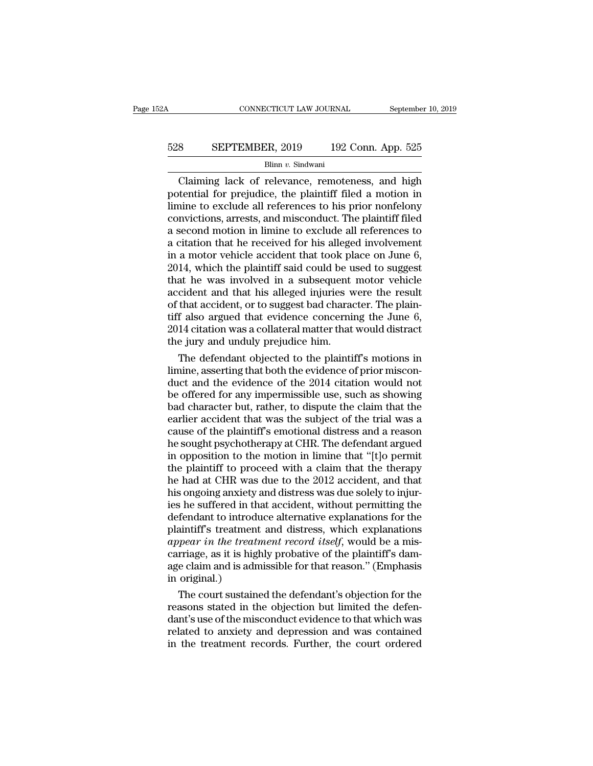# CONNECTICUT LAW JOURNAL September 10, 2019<br>528 SEPTEMBER, 2019 192 Conn. App. 525<br>Blinn v. Sindwani

## Blinn *v.* Sindwani

CONNECTICUT LAW JOURNAL September 10, 2019<br>
SEPTEMBER, 2019 192 Conn. App. 525<br>
Blinn v. Sindwani<br>
Claiming lack of relevance, remoteness, and high<br>
tential for prejudice, the plaintiff filed a motion in<br>
tential for preju SEPTEMBER, 2019 192 Conn. App. 525<br>Blinn v. Sindwani<br>Claiming lack of relevance, remoteness, and high<br>potential for prejudice, the plaintiff filed a motion in<br>limine to exclude all references to his prior nonfelony<br>convict EXEPTEMBER, 2019 192 Conn. App. 525<br>
Blinn v. Sindwani<br>
Claiming lack of relevance, remoteness, and high<br>
potential for prejudice, the plaintiff filed a motion in<br>
limine to exclude all references to his prior nonfelony<br> 528 SEPTEMBER, 2019 192 Conn. App. 525<br>Blinn v. Sindwani<br>Claiming lack of relevance, remoteness, and high<br>potential for prejudice, the plaintiff filed a motion in<br>limine to exclude all references to his prior nonfelony<br>co Blinn v. Sindwani<br>Blinn v. Sindwani<br>Claiming lack of relevance, remoteness, and high<br>potential for prejudice, the plaintiff filed a motion in<br>limine to exclude all references to his prior nonfelony<br>convictions, arrests, a Blinn v. Sindwani<br>Claiming lack of relevance, remoteness, and high<br>potential for prejudice, the plaintiff filed a motion in<br>limine to exclude all references to his prior nonfelony<br>convictions, arrests, and misconduct. The Claiming lack of relevance, remoteness, and high<br>potential for prejudice, the plaintiff filed a motion in<br>limine to exclude all references to his prior nonfelony<br>convictions, arrests, and misconduct. The plaintiff filed<br>a potential for prejudice, the plaintiff filed a motion in limine to exclude all references to his prior nonfelony convictions, arrests, and misconduct. The plaintiff filed a second motion in limine to exclude all references limine to exclude all references to his prior nonfelony<br>convictions, arrests, and misconduct. The plaintiff filed<br>a second motion in limine to exclude all references to<br>a citation that he received for his alleged involveme convictions, arrests, and misconduct. The plaintiff filed<br>a second motion in limine to exclude all references to<br>a citation that he received for his alleged involvement<br>in a motor vehicle accident that took place on June 6 a second motion in limine to exclude all references to<br>a citation that he received for his alleged involvement<br>in a motor vehicle accident that took place on June 6,<br>2014, which the plaintiff said could be used to suggest<br> a citation that he received for his alleged involvement<br>in a motor vehicle accident that took place on June 6,<br>2014, which the plaintiff said could be used to suggest<br>that he was involved in a subsequent motor vehicle<br>acci in a motor vehicle accident that took place on June 6,<br>2014, which the plaintiff said could be used to suggest<br>that he was involved in a subsequent motor vehicle<br>accident and that his alleged injuries were the result<br>of th 2014, which the plaintiff said could be u<br>that he was involved in a subsequent<br>accident and that his alleged injuries w<br>of that accident, or to suggest bad charac<br>tiff also argued that evidence concernii<br>2014 citation was at he was involved in a subsequent motor vehicle<br>cident and that his alleged injuries were the result<br>that accident, or to suggest bad character. The plain-<br>f also argued that evidence concerning the June 6,<br>14 citation wa accident and that his alleged injuries were the result<br>of that accident, or to suggest bad character. The plain-<br>tiff also argued that evidence concerning the June 6,<br>2014 citation was a collateral matter that would distra

of that accident, or to suggest bad character. The plain-<br>tiff also argued that evidence concerning the June 6,<br>2014 citation was a collateral matter that would distract<br>the jury and unduly prejudice him.<br>The defendant obj tiff also argued that evidence concerning the June 6,<br>2014 citation was a collateral matter that would distract<br>the jury and unduly prejudice him.<br>The defendant objected to the plaintiff's motions in<br>limine, asserting that 2014 citation was a collateral matter that would distract<br>the jury and unduly prejudice him.<br>The defendant objected to the plaintiff's motions in<br>limine, asserting that both the evidence of prior miscon-<br>duct and the evide the jury and unduly prejudice him.<br>
The defendant objected to the plaintiff's motions in<br>
limine, asserting that both the evidence of prior miscon-<br>
duct and the evidence of the 2014 citation would not<br>
be offered for any The defendant objected to the plaintiff's motions in<br>limine, asserting that both the evidence of prior miscon-<br>duct and the evidence of the 2014 citation would not<br>be offered for any impermissible use, such as showing<br>bad limine, asserting that both the evidence of prior misconduct and the evidence of the 2014 citation would not<br>be offered for any impermissible use, such as showing<br>bad character but, rather, to dispute the claim that the<br>ea duct and the evidence of the 2014 citation would not<br>be offered for any impermissible use, such as showing<br>bad character but, rather, to dispute the claim that the<br>earlier accident that was the subject of the trial was a<br>c be offered for any impermissible use, such as showing<br>bad character but, rather, to dispute the claim that the<br>earlier accident that was the subject of the trial was a<br>cause of the plaintiff's emotional distress and a reas bad character but, rather, to dispute the claim that the earlier accident that was the subject of the trial was a cause of the plaintiff's emotional distress and a reason he sought psychotherapy at CHR. The defendant argue earlier accident that was the subject of the trial was a<br>cause of the plaintiff's emotional distress and a reason<br>he sought psychotherapy at CHR. The defendant argued<br>in opposition to the motion in limine that "[t]o permit cause of the plaintiff's emotional distress and a reason<br>he sought psychotherapy at CHR. The defendant argued<br>in opposition to the motion in limine that "[t]o permit<br>the plaintiff to proceed with a claim that the therapy<br>h he sought psychotherapy at CHR. The defendant argued<br>in opposition to the motion in limine that "[t]o permit<br>the plaintiff to proceed with a claim that the therapy<br>he had at CHR was due to the 2012 accident, and that<br>his o in opposition to the motion in limine that "[t]o permit<br>the plaintiff to proceed with a claim that the therapy<br>he had at CHR was due to the 2012 accident, and that<br>his ongoing anxiety and distress was due solely to injur-<br> the plaintiff to proceed with a claim that the therapy<br>the had at CHR was due to the 2012 accident, and that<br>his ongoing anxiety and distress was due solely to injur-<br>ies he suffered in that accident, without permitting th he had at CHR was due to the 2012 accident, and that<br>his ongoing anxiety and distress was due solely to injur-<br>ies he suffered in that accident, without permitting the<br>defendant to introduce alternative explanations for th his ongoing anxiety and distress was due solely to injuries he suffered in that accident, without permitting the defendant to introduce alternative explanations for the plaintiff's treatment and distress, which explanation ies he suffered in the defendant to introduplaintiff's treatment<br>plaintiff's treatment<br>*appear in the treati*<br>carriage, as it is high<br>age claim and is adm<br>in original.)<br>The court sustainer fendant to introduce alternative explanations for the<br>aintiff's treatment and distress, which explanations<br>pear in the treatment record itself, would be a mis-<br>rriage, as it is highly probative of the plaintiff's dam-<br>e cl plaintiff's treatment and distress, which explanations<br>appear in the treatment record itself, would be a mis-<br>carriage, as it is highly probative of the plaintiff's dam-<br>age claim and is admissible for that reason." (Empha

appear in the treatment record itself, would be a mis-<br>carriage, as it is highly probative of the plaintiff's dam-<br>age claim and is admissible for that reason." (Emphasis<br>in original.)<br>The court sustained the defendant's o carriage, as it is highly probative of the plaintiff's dam-<br>age claim and is admissible for that reason." (Emphasis<br>in original.)<br>The court sustained the defendant's objection for the<br>reasons stated in the objection but li age claim and is admissible for that reason." (Emphasis<br>in original.)<br>The court sustained the defendant's objection for the<br>reasons stated in the objection but limited the defen-<br>dant's use of the misconduct evidence to th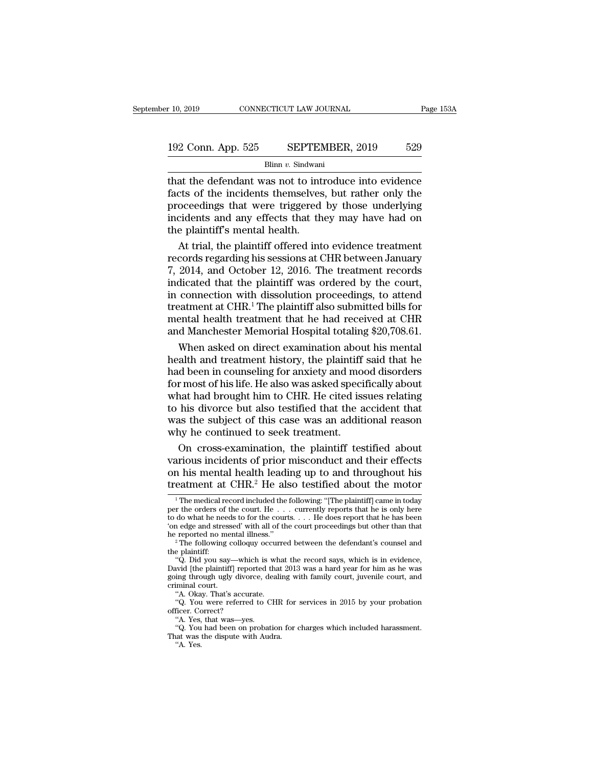Blinn *v.* Sindwani

the defendant was not to introduce into evidence<br>  $\frac{192 \text{ Conn. App. 525}}{\text{Blinn } v. \text{ Sindwani}}$ <br>  $\frac{192 \text{ Conn. App. 525}}{\text{Blinn } v. \text{ Sindwani}}$ <br>  $\frac{192 \text{ Conn. App. 525}}{\text{filum } v. \text{ Sindwani}}$ 192 Conn. App. 525 SEPTEMBER, 2019 529<br>Blinn v. Sindwani<br>that the defendant was not to introduce into evidence<br>facts of the incidents themselves, but rather only the<br>proceedings that were triggered by those underlying<br>inci 192 Conn. App. 525 SEPTEMBER, 2019 529<br>Blinn v. Sindwani<br>that the defendant was not to introduce into evidence<br>facts of the incidents themselves, but rather only the<br>proceedings that were triggered by those underlying<br>inc 192 Conn. App. 525 SEPTEMBER, 2019 529<br>Blinn v. Sindwani<br>that the defendant was not to introduce into evidence<br>facts of the incidents themselves, but rather only the<br>proceedings that were triggered by those underlying<br>inc  $\frac{B\text{Bin } v. \text{ Shif LHC}}{B\text{Min } v. \text{ Shidwani}}$ <br>that the defendant was not to interfacts of the incidents themselves<br>proceedings that were triggered<br>incidents and any effects that the<br>the plaintiff's mental health.<br>At trial, the p Butthe Conducter into evidence<br>at the defendant was not to introduce into evidence<br>cts of the incidents themselves, but rather only the<br>oceedings that were triggered by those underlying<br>cidents and any effects that they ma that the defendant was not to introduce into evidence<br>facts of the incidents themselves, but rather only the<br>proceedings that were triggered by those underlying<br>incidents and any effects that they may have had on<br>the plain

facts of the incidents themselves, but rather only the<br>proceedings that were triggered by those underlying<br>incidents and any effects that they may have had on<br>the plaintiff's mental health.<br>At trial, the plaintiff offered proceedings that were triggered by those underlying<br>incidents and any effects that they may have had on<br>the plaintiff's mental health.<br>At trial, the plaintiff offered into evidence treatment<br>records regarding his sessions incidents and any effects that they may have had on<br>the plaintiff's mental health.<br>At trial, the plaintiff offered into evidence treatment<br>records regarding his sessions at CHR between January<br>7, 2014, and October 12, 201 the plaintiff's mental health.<br>
At trial, the plaintiff offered into evidence treatment<br>
records regarding his sessions at CHR between January<br>
7, 2014, and October 12, 2016. The treatment records<br>
indicated that the plain At trial, the plaintiff offered into evidence treatment<br>records regarding his sessions at CHR between January<br>7, 2014, and October 12, 2016. The treatment records<br>indicated that the plaintiff was ordered by the court,<br>in c records regarding his sessions at CHR between January<br>7, 2014, and October 12, 2016. The treatment records<br>indicated that the plaintiff was ordered by the court,<br>in connection with dissolution proceedings, to attend<br>treatm 2014, and October 12, 2016. The treatment records<br>dicated that the plaintiff was ordered by the court,<br>connection with dissolution proceedings, to attend<br>atment at CHR.<sup>1</sup> The plaintiff also submitted bills for<br>ental healt indicated that the plaintiff was ordered by the court,<br>in connection with dissolution proceedings, to attend<br>treatment at CHR.<sup>1</sup> The plaintiff also submitted bills for<br>mental health treatment that he had received at CHR<br>a

in connection with dissolution proceedings, to attend<br>treatment at CHR.<sup>1</sup> The plaintiff also submitted bills for<br>mental health treatment that he had received at CHR<br>and Manchester Memorial Hospital totaling \$20,708.61.<br>Wh treatment at CHR.<sup>1</sup> The plaintiff also submitted bills for<br>mental health treatment that he had received at CHR<br>and Manchester Memorial Hospital totaling \$20,708.61.<br>When asked on direct examination about his mental<br>health mental health treatment that he had received at CHR<br>and Manchester Memorial Hospital totaling \$20,708.61.<br>When asked on direct examination about his mental<br>health and treatment history, the plaintiff said that he<br>had been and Manchester Memorial Hospital totaling \$20,708.61.<br>When asked on direct examination about his mental<br>health and treatment history, the plaintiff said that he<br>had been in counseling for anxiety and mood disorders<br>for mos When asked on direct examination about his mental<br>health and treatment history, the plaintiff said that he<br>had been in counseling for anxiety and mood disorders<br>for most of his life. He also was asked specifically about<br>wh health and treatment history, the plaintiff said that he<br>had been in counseling for anxiety and mood disorders<br>for most of his life. He also was asked specifically about<br>what had brought him to CHR. He cited issues relatin d been in counseling for anxiety and mood disorders<br>r most of his life. He also was asked specifically about<br>nat had brought him to CHR. He cited issues relating<br>his divorce but also testified that the accident that<br>as the for most of his life. He also was asked specifically about<br>what had brought him to CHR. He cited issues relating<br>to his divorce but also testified that the accident that<br>was the subject of this case was an additional reas what had brought him to CHR. He cited issues relating<br>to his divorce but also testified that the accident that<br>was the subject of this case was an additional reason<br>why he continued to seek treatment.<br>On cross-examination

to his divorce but also testified that the accident that<br>was the subject of this case was an additional reason<br>why he continued to seek treatment.<br>On cross-examination, the plaintiff testified about<br>various incidents of p On cross-examination, the plaintiff testified about<br>arious incidents of prior misconduct and their effects<br>a his mental health leading up to and throughout his<br>eatment at CHR.<sup>2</sup> He also testified about the motor<br><sup>1</sup> The various incidents of prior misconduct and their effects<br>on his mental health leading up to and throughout his<br>treatment at CHR.<sup>2</sup> He also testified about the motor<br> $\frac{1}{1}$  The medical record included the following: "[T

various incidents of prior misconduct and their effects<br>on his mental health leading up to and throughout his<br>treatment at CHR.<sup>2</sup> He also testified about the motor<br> $\overline{ }^{1}$ The medical record included the following: "[T on his mental health leading up to and throughout his<br>treatment at CHR.<sup>2</sup> He also testified about the motor<br> $\frac{1}{1}$ The medical record included the following: "[The plaintiff] came in today<br>per the orders of the court. treatment at CHR.<sup>2</sup> He also testified about the motor<br>
<sup>1</sup> The medical record included the following: "[The plaintiff] came in today<br>
per the orders of the court. He . . . currently reports that he is only here<br>
to do wh The medical record included the following: "[The plaintiff] came in today<br>per the orders of the court. He . . . currently reports that he is only here<br>to do what he needs to for the courts. . . . He does report that he ha The included record method included the rolling. The planting called the record of the court, He  $\ldots$  currently reports that he is only here do what he needs to for the courts.  $\ldots$  He does report that he has been a edg

per une orders or are count. He  $\cdot$  .  $\cdot$  . The does report that he has been<br>to do what he needs to for the courts.  $\cdot$  . He does report that he has been<br>'on edge and stressed' with all of the court proceedings but othe For the court with the court proceedings but other than that<br>the reported no mental illness."<br>
<sup>2</sup> The following colloquy occurred between the defendant's counsel and<br>
the plaintiff:<br>
"Q. Did you say—which is what the rec on euge and suesse<br>he reported no men<br>
<sup>2</sup> The following co<br>
the plaintiff:<br>
"Q. Did you say—<br>
David [the plaintiff]<br>
going through ugly<br>
criminal court.<br>"A. Okay. That's a<br>"Q. You were ref The following colloquy occurred<br>
The following colloquy occurre<br>
e plaintiff:<br>
"Q. Did you say—which is what<br>
wid [the plaintiff] reported that<br>
iminal court.<br>"A. Okay. That's accurate.<br>"Q. You wer referred to CHR<br>
"Q. You The following conoquy occurred between the detendants counser and<br>
"Q. Did you say—which is what the record says, which is in evidence,<br>
wid [the plaintiff] reported that 2013 was a hard year for him as he was<br>
imposing th "Q. Did you say—whic<br>David [the plaintiff] report<br>going through ugly divore<br>criminal court.<br>"A. Okay. That's accura<br>"Q. You were referred<br>officer. Correct?"<br>"A. Yes, that was—yes.<br>"O. You had been on p "<br>"A. Okay say—whech is<br>"A. Okay and the plaintiff" reported the plaintiff" reported<br>"A. Okay. That's accurate.<br>"A. Yes, that was—yes.<br>"Q. You had been on probat"<br>"Q. You had been on probat"<br>"Q. You had been on probat"<br>"A. From the paramating reported that 2015 was a hard year for him as he was<br>iminal court.<br>"A. Okay. That's accurate.<br>"Q. You were referred to CHR for services in 2015 by your probation<br>ficer. Correct?<br>"A. Yes, that was—yes.<br>"

Allmarc<br>"A. Oka,"<br>"Q. You<br>ficer. Cc<br>"A. Yes,<br>"A. Yes.<br>"A. Yes.

Franchinal court.<br>
Criminal court.<br>
"A. Okay. That's accurate.<br>
"Q. You were referred to CHR for<br>
officer. Correct?<br>
"A. Yes, that was—yes.<br>
"Q. You had been on probation for c<br>
That was the dispute with Audra.<br>
"A. Yes.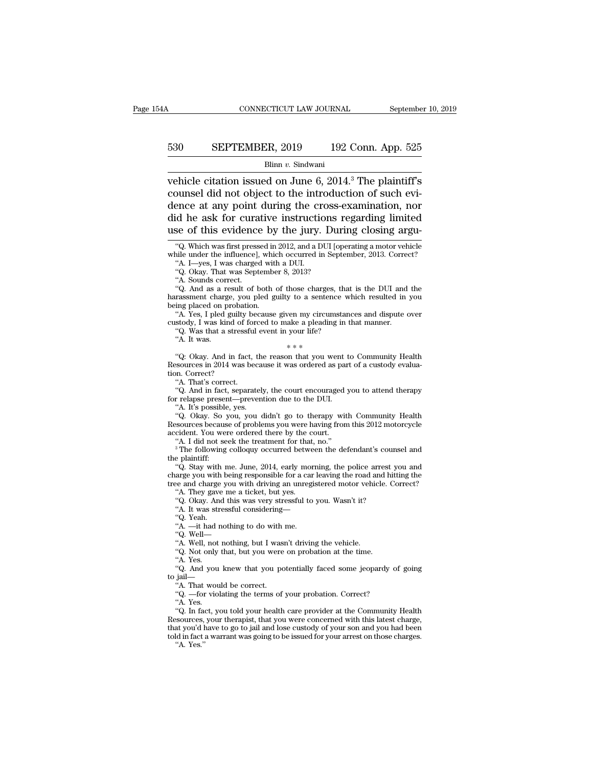# CONNECTICUT LAW JOURNAL September 10, 2019<br>530 SEPTEMBER, 2019 192 Conn. App. 525<br>Blinn v. Sindwani

## Blinn *v.* Sindwani

CONNECTICUT LAW JOURNAL September 10, 2019<br>
SEPTEMBER, 2019 192 Conn. App. 525<br>
Blinn v. Sindwani<br>
vehicle citation issued on June 6, 2014.<sup>3</sup> The plaintiff's<br>
counsel did not object to the introduction of such evi-EXEMPLE 530 SEPTEMBER, 2019 192 Conn. App. 525<br>Blinn v. Sindwani<br>vehicle citation issued on June 6, 2014.<sup>3</sup> The plaintiff's<br>counsel did not object to the introduction of such evi-<br>dence at any point during the cross-exam 530 SEPTEMBER, 2019 192 Conn. App. 525<br>Blinn v. Sindwani<br>
vehicle citation issued on June 6, 2014.<sup>3</sup> The plaintiff's<br>
counsel did not object to the introduction of such evi-<br>
dence at any point during the cross-examinati 530 SEPTEMBER, 2019 192 Conn. App. 525<br>Blinn v. Sindwani<br>vehicle citation issued on June 6, 2014.<sup>3</sup> The plaintiff's<br>counsel did not object to the introduction of such evi-<br>dence at any point during the cross-examination, Blinn v. Sindwani<br>
Wehicle citation issued on June 6, 2014.<sup>3</sup> The plaintiff's<br>
counsel did not object to the introduction of such evi-<br>
dence at any point during the cross-examination, nor<br>
did he ask for curative instru bounsel did not object to the introduction of such evi-<br>
ence at any point during the cross-examination, nor<br>
id he ask for curative instructions regarding limited<br>
se of this evidence by the jury. During closing argu-<br>
"Q dence at any point during the cross-examination, nor<br>did he ask for curative instructions regarding limited<br>use of this evidence by the jury. During closing argu-<br>"Q. Which was first pressed in 2012, and a DUI [operating a ence at any point during the critical<br>
id he ask for curative instructions<br>
of this evidence by the jury.<br>
"Q. Which was first pressed in 2012, and a D<br>
"A. I—yes, I was charged with a DUI.<br>"Q. Okay. That was September 8, id he ask for curative instructions<br>
se of this evidence by the jury. Dur<br>
"Q. Which was first pressed in 2012, and a DUI [op<br>
ile under the influence], which occurred in September 4. I—yes, I was charged with a DUI.<br>"Q. O

See Of this evidence by the Jury. During closing argu-<br>
"Q. Which was first pressed in 2012, and a DUI [operating a motor vehicle<br>
iile under the influence], which occurred in September, 2013. Correct?<br>
"A. I—yes, I was ch "Q. Which was first pressed in 2012, and a DUI [operating a motor vehicle while under the influence], which occurred in September, 2013. Correct?<br>
"A. I—yes, I was charged with a DUI.<br>
"Q. Okay. That was September 8, 2013 while under the influence], while<br>
while under the influence], while<br>
"A. I—yes, I was charged witl<br>
"Q. Okay. That was Septembe<br>
"A. Sounds correct.<br>
"Q. And as a result of both<br>
"A. Yes, I pled guilty because<br>
"A. Yes, I "A. I—yes, I was charged with a DUI.<br>"A. I—yes, I was charged with a DUI.<br>"Q. Okay. That was September 8, 2013?<br>"A. Sounds correct.<br>"Q. And as a result of both of those charges, that is the DUI and the<br>rassment charge, you A:  $-\text{y}_\text{ex}$ , I was charged with a DOI.<br>
"Q. Okay. That was September 8, 2013?<br>
"A. Sounds correct.<br>
"Q. And as a result of both of those charges, that is the DUI and<br>harassment charge, you pled guilty to a sentence whi ". Cary. That was supperfield by about the stressful event in a streament charge, you pled guilty to a sentence wing placed on probation.<br>The stressful event in your life?<br>The stressful event in your life?<br>The stressful ev A. Sounds correct.<br>
"Q. And as a result of both of those charges<br>
rassment charge, you pled guilty to a senten<br>
ing placed on probation.<br>
"A. Yes, I pled guilty because given my circun<br>
stody, I was kind of forced to make

ing placed on probation.<br>
"A. Yes, I pled guilty because given my circumstances and dispute over<br>
"A. Yes, I pled guilty because given my circumstances and dispute over<br>
"Q. Was that a stressful event in your life?<br>
"A. It Figure of Probation.<br>
"A. Yes, I pled guilty because given my circumstances and dispute over<br>
custody, I was kind of forced to make a pleading in that manner.<br>
"Q. Was that a stressful event in your life?<br>
"A. It was.<br>
""A. Yes, I pled guilty because given my circumstances and dispute over custody, I was kind of forced to make a pleading in that manner.<br>
"Q. Was that a stressful event in your life?"<br>
"A. It was.<br>
"Q: Okay. And in fact, t Stowy, I was kind of for<br>
"Q. Was that a stressful<br>
"A. It was.<br>"Q: Okay. And in fact,<br>"Q. Man's correct.<br>"A. That's correct.<br>"Q. And in fact, separat<br>"Q. And in fact, separat "A. It was that a stressic event in your life:<br>
"A. It was  $***$ "<br>
"Q: Okay. And in fact, the reason that you went to Community Health<br>
sources in 2014 was because it was ordered as part of a custody evalua-<br>
"A. That's cor <sup>\*</sup>\*\*<br>
"Q: Okay. And in fact, the reason that you went the<br>
Resources in 2014 was because it was ordered as partion. Correct?<br>
"A. That's correct.<br>
"Q. And in fact, separately, the court encouraged y<br>
for relapse present—p "Q: Okay. And in fact, the<br>sources in 2014 was becau<br>n. Correct?<br>"A. That's correct.<br>"A. That's correct.<br>"A. It's possible, yes.<br>"A. It's possible, yes.<br>"Q. Okay. So you, you can sources because of proble

"C. Okay. That in fact, the reason that you went to Community Health<br>
"Sources in 2014 was because it was ordered as part of a custody evalua-<br>
"A. That's correct.<br>"Q. And in fact, separately, the court encouraged you to a Resources because of problems was occurred as part of a custody evaluation. Correct?<br>
"A. That's correct.<br>
"Q. And in fact, separately, the court encouraged you to attend therapy<br>
for relapse present—prevention due to the "A. That's correct.<br>
"A. That's correct.<br>
"Q. And in fact, separately, the court encouraged<br>
for relapse present—prevention due to the DUI.<br>
"A. It's possible, yes.<br>
"Q. Okay. So you, you didn't go to therapy wit<br>
Resource "C. And in fact, separately, the court encouraged you to attend therapy<br>"A. It's possible, yes.<br>"A. It's possible, yes.<br>"Q. Okay. So you, you didn't go to therapy with Community Health<br>sources because of problems you were "A. It's possible, yes.<br>
"Q. Okay. So you, you didn't go to therapy with Community Health<br>
Resources because of problems you were having from this 2012 motorcycle<br>
accident. You were ordered there by the court.<br>
"A. I did "A. Is possible, yes.<br>"Q. Okay. So you, you didn't go to therapy with Community Health<br>"Sources because of problems you were having from this 2012 motorcycle<br>cident. You were ordered there by the court.<br>"A. I did not seek

Exources because of problems you were having from this 2012 motorcycle<br>accident. You were ordered there by the court.<br>"A. I did not seek the treatment for that, no."<br>"The following colloquy occurred between the defendant's Accordent. You were ordered there by the court.<br>
"A. I did not seek the treatment for that, no."<br>
"A. I did not seek the treatment for that, no."<br>
"A. I did not seek the treatment for that, no."<br>
"Q. Stay with me. June, 20 "A. I did not seek the treatment for that, no."<br>
<sup>3</sup> The following colloquy occurred between the defendare plaintiff:<br>
"Q. Stay with me. June, 2014, early morning, the police<br>
arge you with being responsible for a car lea <sup>3</sup> The following colloquy occurred between the defendant's counsel and e plaintiff: "Q. Stay with me. June, 2014, early morning, the police arrest you and arge you with being responsible for a car leaving the road and hi "Q. Stay with me. June, 2014, early morning, the police arrest you and arge you with being responsible for a car leaving the road and hitting the ee and charge you with driving an unregistered motor vehicle. Correct? "A. tree and charge you with driving an unregistered motor vehicle. Correct? See you with driving responsion<br>
"ee and charge you with driving<br>
"A. They gave me a ticket, but<br>
"Q. Okay. And this was very st<br>"A. It was stressful considering<br>"Q. Yeah.<br>"A. Well—<br>"A. Well, not nothing, but I was<br>"A. Wel

"A. It was stressful considering—"Q. Yeah.<br>"A. —it had nothing to do with  $\rm ^1Q.$  Well—

"A. They gave we at ticket, but yes.<br>"A. They gave me a ticket, but yes.<br>"Q. Okay. And this was very stressful to you. Wasn't it?<br>"A. It was stressful considering—<br>"Q. Yeah.<br>"A. —it had nothing to do with me.<br>"Q. Well—<br>"A. "A. They gave the a tacket, but yes.<br>"Q. Okay. And this was very stressful to you. Wasn't it?<br>"A. It was stressful considering—<br>"A. —it had nothing to do with me.<br>"Q. Well—<br>"A. Well, not nothing, but I wasn't driving the v

"A. It was sti<br>"A. It was sti<br>"Q. Yeah.<br>"A. —it had 1<br>"Q. Not only "A. Yes.<br>"A. Yes.<br>"A. Yes.<br>"A. Yes. "A. It was stessiu considering—<br>"Q. Yeah.<br>"A. —it had nothing to do with me.<br>"Q. Well—<br>"A. Well, not nothing, but I wasn't driving the vehicle.<br>"A. Yes.<br>"Q. And you knew that you potentially faced some jeopardy of going<br>"A "A. —it had nothing to do<br>
"A. —it had nothing, but<br>
"Q. Well—<br>
"A. Well, not nothing, but<br>
"Q. Not only that, but you<br>
"A. Tes.<br>
"Q. And you knew that y<br>
to jail—<br>"A. That would be correct". "A. That houling to do what<br>"Q. Well, not nothing, but I was<br>"Q. Not only that, but you were<br>"A. Yes.<br>"Q. And you knew that you po<br>jail—<br>"A. That would be correct.<br>"Q. —for violating the terms of<br>"A. Yes. "... Well, not nothing, but I wasn't driving the vehicle.<br>"A. Well, not only that, but you were on probation at the time.<br>"A. Yes.<br>"Q. And you knew that you potentially faced some jeopardy of<br>pail—<br>"A. Yes.<br>"A. Yes.<br>"A. Ye A. wen, not<br>"Q. Not only<br>"A. Yes.<br>"Q. And you<br>jail—<br>"A. That wou"<br>"A. Yes.<br>"Q. In fact, y"

"A. Yes.<br>"A. Yes.<br>"Q. And you knew that you potentially faced some jeopardy of going<br>jail—<br>"A. That would be correct.<br>"Q. —for violating the terms of your probation. Correct?<br>"A. Yes.<br>"Q. In fact, you told your health care A. T. T.s.<br>
"Q. And you knew that you potentially faced some jeopardy of going<br>
to jail—<br>
"A. That would be correct.<br>
"Q. —for violating the terms of your probation. Correct?<br>
"A. Yes.<br>
"Q. In fact, you told your health ca to jail—<br>to jail—<br>"A. That would be correct.<br>"Q. —for violating the terms of your probation. Correct?<br>"A. Yes.<br>"Q. In fact, you told your health care provider at the Community Health<br>Resources, your therapist, that you wer "A. That would be correct.<br>
"Q. —for violating the terms of your probation. Correct?<br>
"A. Yes.<br>
"Q. In fact, you told your health care provider at the Community Health<br>
Resources, your therapist, that you were concerned wi "A. That would be correct.<br>
"Q. —for violating the terms of your probation. Correct?<br>
"A. Yes.<br>
"Q. In fact, you told your health care provider at the Community Health<br>
Resources, your therapist, that you were concerned w

use of this evidence by the jury. During closing argu-<br>
"Q. Which was first pressed in 2012, and a DUI [operating a motor vehicle<br>
while under the influence], which occurred in September, 2013. Correct?<br>
"A. I—yes, I was c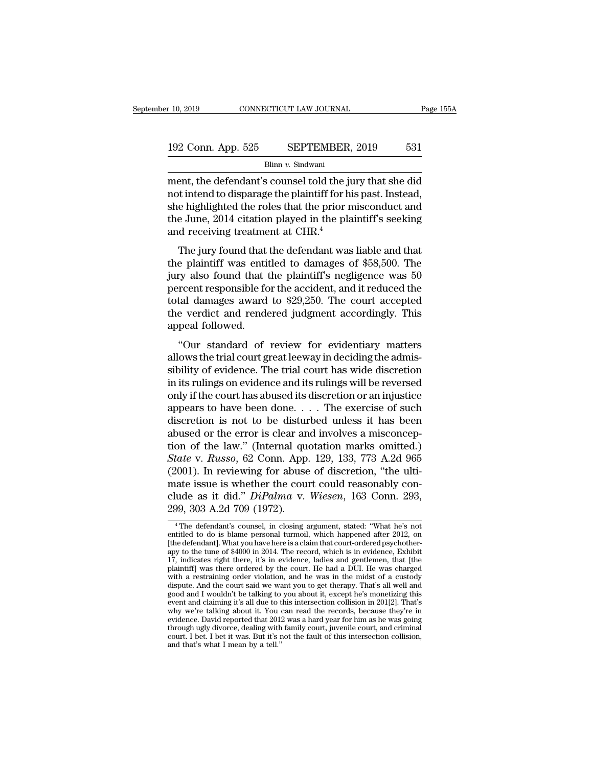# $\begin{tabular}{l l l l} \hline r 10, 2019 & & & & & & \mbox{\textbf{CONNECTICUT LAW JOURNAL}} & \multicolumn{2}{c|}{\textbf{Page 155A}} \\ \hline \multicolumn{2}{c|}{\textbf{192 Conn. App. 525}} & & & \multicolumn{2}{c|}{\textbf{SEPTEMBER, 2019}} & & & \multicolumn{2}{c|}{\textbf{531}} \\ \hline & & & \multicolumn{2}{c|}{\textbf{Blinn }v. {\text{ Sindwani}}} & & & \multicolumn{2}{c|}{\textbf{531}} \\ \hline \end{tabular}$

Blinn *v.* Sindwani

ment, the defendant's counsel told the jury that she did<br>
ment, the defendant's counsel told the jury that she did<br>
ment, the defendant's counsel told the jury that she did<br>
mot intend to disparage the plaintiff for his p 192 Conn. App. 525 SEPTEMBER, 2019 531<br>Blinn v. Sindwani<br>ment, the defendant's counsel told the jury that she did<br>not intend to disparage the plaintiff for his past. Instead,<br>she highlighted the roles that the prior misco 192 Conn. App. 525 SEPTEMBER, 2019 531<br>Blinn v. Sindwani<br>ment, the defendant's counsel told the jury that she did<br>not intend to disparage the plaintiff for his past. Instead,<br>she highlighted the roles that the prior misco 192 Conn. App. 525 SEPTEMBER, 2019 531<br>Blinn v. Sindwani<br>ment, the defendant's counsel told the jury that she did<br>not intend to disparage the plaintiff for his past. Instead,<br>she highlighted the roles that the prior misco 192 Conn. App. 525 SEPTEMBER, 2019 531<br>Blinn v. Sindwani<br>ment, the defendant's counsel told the jury that she did<br>not intend to disparage the plaintiff for his past. Instead,<br>she highlighted the roles that the prior misco ent, the defendant's counsel told the jury that she did<br>t intend to disparage the plaintiff for his past. Instead,<br>e highlighted the roles that the prior misconduct and<br>e June, 2014 citation played in the plaintiff's seeki thent, the detendant s'counser told the Jury that she did<br>not intend to disparage the plaintiff for his past. Instead,<br>she highlighted the roles that the prior misconduct and<br>the June, 2014 citation played in the plaintiff

for meria to disparage the plaintiff for this past. Instead,<br>she highlighted the roles that the prior misconduct and<br>the June, 2014 citation played in the plaintiff's seeking<br>and receiving treatment at CHR.<sup>4</sup><br>The jury fo she highlighted the roles that the phot misconduct and<br>the June, 2014 citation played in the plaintiff's seeking<br>and receiving treatment at CHR.<sup>4</sup><br>The jury found that the defendant was liable and that<br>the plaintiff was e and receiving treatment at CHR.<sup>4</sup><br>and receiving treatment at CHR.<sup>4</sup><br>The jury found that the defendant was liable and that<br>the plaintiff was entitled to damages of \$58,500. The<br>jury also found that the plaintiff's neglig The jury found that the defendant was liable and that<br>the plaintiff was entitled to damages of \$58,500. The<br>jury also found that the plaintiff's negligence was 50<br>percent responsible for the accident, and it reduced the<br>t The jury found that<br>the plaintiff was enti-<br>jury also found that<br>percent responsible for<br>total damages award<br>the verdict and rende<br>appeal followed.<br>"Our standard of E plantari was characted to datalages of  $\psi$ 50,000. The<br>ty also found that the plaintiff's negligence was 50<br>rcent responsible for the accident, and it reduced the<br>tal damages award to \$29,250. The court accepted<br>e verdi july also found that the plaintin's hegagence was so<br>percent responsible for the accident, and it reduced the<br>total damages award to \$29,250. The court accepted<br>the verdict and rendered judgment accordingly. This<br>appeal fo

percent responsible for the accrdent, and it reduced the<br>total damages award to \$29,250. The court accepted<br>the verdict and rendered judgment accordingly. This<br>appeal followed.<br>"Our standard of review for evidentiary matte file verdict and rendered judgment accordingly. This<br>appeal followed.<br>"Our standard of review for evidentiary matters<br>allows the trial court great leeway in deciding the admis-<br>sibility of evidence. The trial court has wi and followed.<br>
"Our standard of review for evidentiary matters<br>
allows the trial court great leeway in deciding the admis-<br>
sibility of evidence. The trial court has wide discretion<br>
in its rulings on evidence and its ruli "Our standard of review for evidentiary matters<br>allows the trial court great leeway in deciding the admissibility of evidence. The trial court has wide discretion<br>in its rulings on evidence and its rulings will be reverse "Our standard of review for evidentiary matters<br>allows the trial court great leeway in deciding the admis-<br>sibility of evidence. The trial court has wide discretion<br>in its rulings on evidence and its rulings will be rever allows the trial court great leeway in deciding the admissibility of evidence. The trial court has wide discretion<br>in its rulings on evidence and its rulings will be reversed<br>only if the court has abused its discretion or sibility of evidence. The trial court has wide discretion<br>in its rulings on evidence and its rulings will be reversed<br>only if the court has abused its discretion or an injustice<br>appears to have been done. . . . The exerci in its rulings on evidence and its rulings will be reversed<br>
only if the court has abused its discretion or an injustice<br>
appears to have been done. . . . The exercise of such<br>
discretion is not to be disturbed unless it h only if the court has abused its discretion or an injustice<br>appears to have been done. . . . The exercise of such<br>discretion is not to be disturbed unless it has been<br>abused or the error is clear and involves a misconcepappears to have been done. . . . The exercise of such discretion is not to be disturbed unless it has been abused or the error is clear and involves a misconception of the law." (Internal quotation marks omitted.) State v discretion is not to be disturbed unless it has been<br>abused or the error is clear and involves a misconcep-<br>tion of the law." (Internal quotation marks omitted.)<br>State v. Russo, 62 Conn. App. 129, 133, 773 A.2d 965<br>(2001). abused or the error is clear an<br>tion of the law." (Internal que<br>*State v. Russo*, 62 Conn. App.<br>(2001). In reviewing for abuse<br>mate issue is whether the cour<br>clude as it did." *DiPalma v.*<br>299, 303 A.2d 709 (1972). 2001). In reviewing for abuse of discretion, "the ulti-<br>ate issue is whether the court could reasonably con-<br>ude as it did." *DiPalma* v. *Wiesen*, 163 Conn. 293,<br>99, 303 A.2d 709 (1972).<br><sup>4</sup>The defendant's counsel, in cl mate issue is whether the court could reasonably conclude as it did." *DiPalma v. Wiesen*, 163 Conn. 293,<br>299, 303 A.2d 709 (1972).<br> $\frac{1}{4}$ The defendant's counsel, in closing argument, stated: "What he's not<br>entitled to

clude as it did." *DiPalma* v. *Wiesen*, 163 Conn. 293, 299, 303 A.2d 709 (1972).<br>
<sup>4</sup> The defendant's counsel, in closing argument, stated: "What he's not entitled to do is blame personal turmoil, which happened after 20 <sup>4</sup> The defendant's counsel, in closing argument, stated: "What he's not entitled to do is blame personal turmoil, which happened after 2012, on [the defendant]. What you have here is a claim that court-ordered psychother 299, 303 A.2d 709 (1972).<br>
<sup>4</sup> The defendant's counsel, in closing argument, stated: "What he's not<br>
entitled to do is blame personal turmoil, which happened after 2012, on<br>
[the defendant]. What you have here is a claim 299, 000 A.2d 109 (1912).<br>
<sup>4</sup> The defendant's counsel, in closing argument, stated: "What he's not<br>
entitled to do is blame personal turmoil, which happened after 2012, on<br>
[the defendant]. What you have here is a claim <sup>4</sup> The defendant's counsel, in closing argument, stated: "What he's not entitled to do is blame personal turmoil, which happened after 2012, on [the defendant]. What you have here is a claim that court-ordered psychother Find the change and the planticular securities to do is blame personal turmoil, which happened after 2012, on [the defendant]. What you have here is a claim that court-ordered psychotherapy to the tune of \$4000 in 2014. T chance to to is banke personar annion, when rappened and the defendant]. What you have here is a claim that court-ordered psychother-<br>apy to the tune of \$4000 in 2014. The record, which is in evidence, Exhibit 17, indicat provident and claiming it's all claiming it's all claiming the eventual count-once-eup systemation in a property indicates right there, it's in evidence, ladies and gentlemen, that [the plaintiff] was there ordered by the apy of the thire of v-root in zori-t. Ine record, when is in evidence, Eximity<br>17, indicates right there, it's in evidence, ladies and gentlemen, that [the<br>plaintiff] was there ordered by the court. He had a DUI. He was ch Fr, nuclears rign uncer, it is in evidence, alaces and genuation, una functional plaintiff] was there of dered by the court. He had a DUI. He was charged with a restraining order violation, and he was in the midst of a cu panum j was ulter ottered by the court. Ite had a both. Ite was transported dispute. And the court said we want you to get therapy. That's all well and good and I wouldn't be talking to you about it, except he's monetizing was in the custaining order violation, and the was in the faults of a custody<br>dispute. And the court said we want you to get therapy. That's all well and<br>good and I wouldn't be talking to you about it, except he's monetizi anspuce: That are court same we were<br>good and I wouldn't be talking to<br>event and claiming it's all due to t<br>why we're talking about it. You evidence. David reported that 201:<br>through ugly divorce, dealing with<br>court. I bet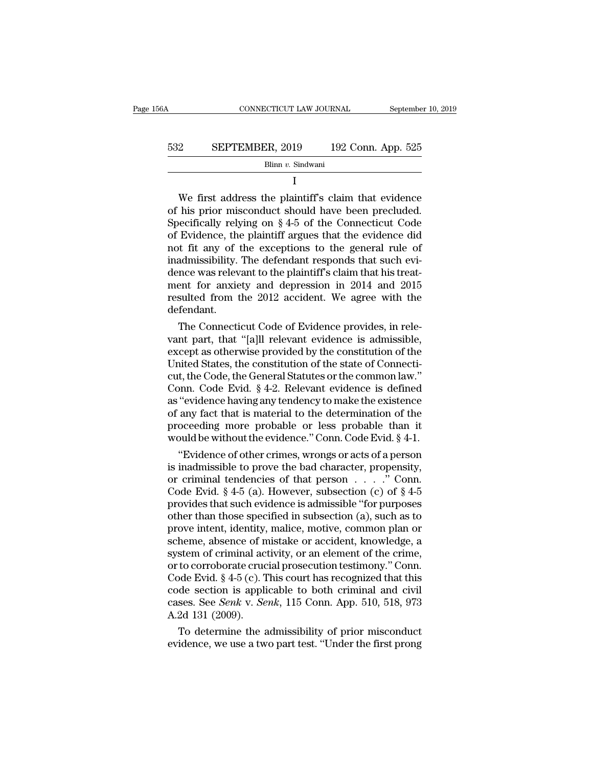| 56A | CONNECTICUT LAW JOURNAL |  | September 10, 2019 |
|-----|-------------------------|--|--------------------|
|     |                         |  |                    |
| 532 | SEPTEMBER, 2019         |  | 192 Conn. App. 525 |
|     | Blinn v. Sindwani       |  |                    |

I

SEPTEMBER, 2019 192 Conn. App. 525<br>Blinn v. Sindwani<br>I<br>We first address the plaintiff's claim that evidence<br>his prior misconduct should have been precluded.<br>exifically relying on  $8.4-5$  of the Connecticut Code SEPTEMBER, 2019 192 Conn. App. 525<br>Blinn v. Sindwani<br>I<br>We first address the plaintiff's claim that evidence<br>of his prior misconduct should have been precluded.<br>Specifically relying on § 4-5 of the Connecticut Code<br>of Evid SEPTEMBER, 2019 192 Conn. App. 525<br>Blinn v. Sindwani<br>I<br>We first address the plaintiff's claim that evidence<br>of his prior misconduct should have been precluded.<br>Specifically relying on § 4-5 of the Connecticut Code<br>of Evid Blinn v. Sindwani<br>
I<br>
We first address the plaintiff's claim that evidence<br>
of his prior misconduct should have been precluded.<br>
Specifically relying on § 4-5 of the Connecticut Code<br>
of Evidence, the plaintiff argues tha I<br>I We first address the plaintiff's claim that evidence<br>of his prior misconduct should have been precluded.<br>Specifically relying on  $\S 4{\text -}5$  of the Connecticut Code<br>of Evidence, the plaintiff argues that the evidence d I<br>We first address the plaintiff's claim that evidence<br>of his prior misconduct should have been precluded.<br>Specifically relying on  $\S 4-5$  of the Connecticut Code<br>of Evidence, the plaintiff argues that the evidence did<br>no We first address the plaintiff's claim that evidence<br>of his prior misconduct should have been precluded.<br>Specifically relying on  $\S 4-5$  of the Connecticut Code<br>of Evidence, the plaintiff argues that the evidence did<br>not of his prior misconduct should have been precluded.<br>Specifically relying on § 4-5 of the Connecticut Code<br>of Evidence, the plaintiff argues that the evidence did<br>not fit any of the exceptions to the general rule of<br>inadmis Specifically relying on  $\S$  4-5 of the Connecticut Code<br>of Evidence, the plaintiff argues that the evidence did<br>not fit any of the exceptions to the general rule of<br>inadmissibility. The defendant responds that such evi-<br>d defendant. It is any of the exceptions to the general rule of<br>admissibility. The defendant responds that such evi-<br>nce was relevant to the plaintiff's claim that his treat-<br>ent for anxiety and depression in 2014 and 2015<br>sulted from madmissibility. The defendant responds that such evidence was relevant to the plaintiff's claim that his treat-<br>ment for anxiety and depression in 2014 and 2015<br>resulted from the 2012 accident. We agree with the<br>defendant.

dence was relevant to the plaintiff's claim that his treat-<br>ment for anxiety and depression in 2014 and 2015<br>resulted from the 2012 accident. We agree with the<br>defendant.<br>The Connecticut Code of Evidence provides, in relement for anxiety and depression in 2014 and 2015<br>resulted from the 2012 accident. We agree with the<br>defendant.<br>The Connecticut Code of Evidence provides, in rele-<br>vant part, that "[a]ll relevant evidence is admissible,<br>exc resulted from the 2012 accident. We agree with the<br>defendant.<br>The Connecticut Code of Evidence provides, in rele-<br>vant part, that "[a]ll relevant evidence is admissible,<br>except as otherwise provided by the constitution of detendant.<br>
The Connecticut Code of Evidence provides, in relevant part, that "[a]ll relevant evidence is admissible,<br>
except as otherwise provided by the constitution of the<br>
United States, the constitution of the state o The Connecticut Code of Evidence provides, in relevant part, that "[a]ll relevant evidence is admissible, except as otherwise provided by the constitution of the United States, the constitution of the state of Connecticut, vant part, that "[a]ll relevant evidence is admissible,<br>except as otherwise provided by the constitution of the<br>United States, the constitution of the state of Connecti-<br>cut, the Code, the General Statutes or the common la except as otherwise provided by the constitution of the United States, the constitution of the state of Connecticut, the Code, the General Statutes or the common law."<br>Conn. Code Evid. § 4-2. Relevant evidence is defined a United States, the constitution of the state of Connecticut, the Code, the General Statutes or the common law."<br>Conn. Code Evid. § 4-2. Relevant evidence is defined<br>as "evidence having any tendency to make the existence<br>of t, the Code, the General Statutes or the common law."<br>
Shown. Code Evid. § 4-2. Relevant evidence is defined<br>
"evidence having any tendency to make the existence<br>
any fact that is material to the determination of the<br>
occe Conn. Code Evid. § 4-2. Relevant evidence is defined<br>as "evidence having any tendency to make the existence<br>of any fact that is material to the determination of the<br>proceeding more probable or less probable than it<br>would

as "evidence having any tendency to make the existence<br>of any fact that is material to the determination of the<br>proceeding more probable or less probable than it<br>would be without the evidence." Conn. Code Evid. § 4-1.<br>"Ev of any fact that is material to the determination of the<br>proceeding more probable or less probable than it<br>would be without the evidence." Conn. Code Evid. § 4-1.<br>"Evidence of other crimes, wrongs or acts of a person<br>is i proceeding more probable or less probable than it<br>would be without the evidence." Conn. Code Evid. § 4-1.<br>"Evidence of other crimes, wrongs or acts of a person<br>is inadmissible to prove the bad character, propensity,<br>or cr would be without the evidence." Conn. Code Evid. § 4-1.<br>
"Evidence of other crimes, wrongs or acts of a person<br>
is inadmissible to prove the bad character, propensity,<br>
or criminal tendencies of that person  $\ldots$ ." Conn.<br> "Evidence of other crimes, wrongs or acts of a person<br>is inadmissible to prove the bad character, propensity,<br>or criminal tendencies of that person  $\ldots$ ." Conn.<br>Code Evid. § 4-5 (a). However, subsection (c) of § 4-5<br>prov is inadmissible to prove the bad character, propensity,<br>or criminal tendencies of that person  $\ldots$ . " Conn.<br>Code Evid. § 4-5 (a). However, subsection (c) of § 4-5<br>provides that such evidence is admissible "for purposes<br>o or criminal tendencies of that person  $\dots$  . . . ." Conn.<br>Code Evid. § 4-5 (a). However, subsection (c) of § 4-5<br>provides that such evidence is admissible "for purposes<br>other than those specified in subsection (a), such a Code Evid.  $\S 4-5$  (a). However, subsection (c) of  $\S 4-5$ <br>provides that such evidence is admissible "for purposes<br>other than those specified in subsection (a), such as to<br>prove intent, identity, malice, motive, common pl provides that such evidence is admissible "for purposes<br>other than those specified in subsection (a), such as to<br>prove intent, identity, malice, motive, common plan or<br>scheme, absence of mistake or accident, knowledge, a<br> other than those specified in subsection (a), such as to<br>prove intent, identity, malice, motive, common plan or<br>scheme, absence of mistake or accident, knowledge, a<br>system of criminal activity, or an element of the crime, prove intent, identity, malice, motive, common plan or scheme, absence of mistake or accident, knowledge, a system of criminal activity, or an element of the crime, or to corroborate crucial prosecution testimony." Conn. C scheme, absence of n<br>system of criminal ac<br>or to corroborate cruc<br>Code Evid. § 4-5 (c). T<br>code section is appli<br>cases. See *Senk v. Se*<br>A.2d 131 (2009).<br>To determine the a stem of criminal activity, or an element of the crime,<br>to corroborate crucial prosecution testimony." Conn.<br>de Evid.  $§$  4-5 (c). This court has recognized that this<br>de section is applicable to both criminal and civil<br>ses or to corroborate crucial prosecution testimony." Conn.<br>Code Evid. § 4-5 (c). This court has recognized that this<br>code section is applicable to both criminal and civil<br>cases. See *Senk* v. *Senk*, 115 Conn. App. 510, 518,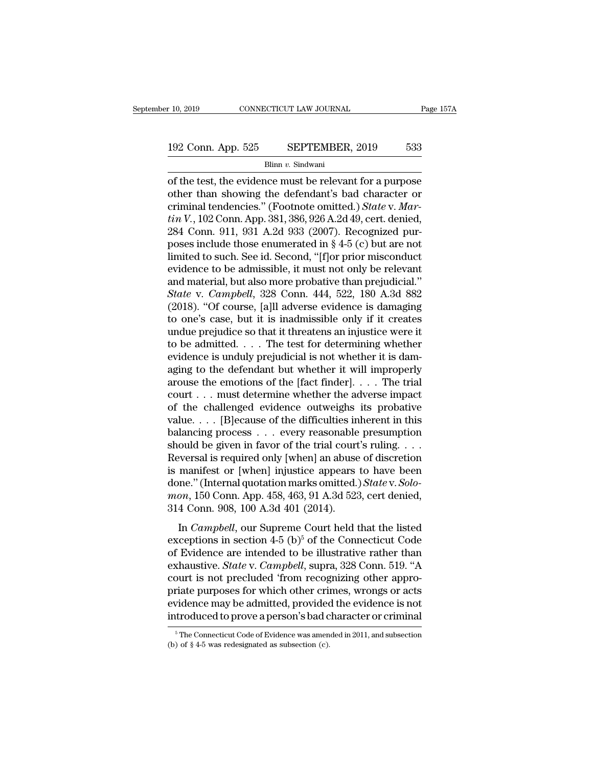# $\begin{tabular}{l l l l l} \hline r 10, 2019 & & & & & & \mbox{\textbf{CONNECTICUT LAW JOURNAL}} & \multicolumn{2}{c|}{\textbf{Page 157A}} \\\\ \hline 192 & \multicolumn{2}{c|}{\textbf{Conn. App. 525}} & & & \multicolumn{2}{c|}{\textbf{SEPTEMBER, 2019}} & & & \multicolumn{2}{c|}{\textbf{533}} \\\\ \hline & & & \multicolumn{2}{c|}{\textbf{Blinn }v. {\textbf{Sindwani}}} & & & & \multicolumn{2}{c|}{\textbf{533}} \end{tabular}$

Blinn *v.* Sindwani

 $\begin{array}{lll} \text{0, 2019} & \text{CONPECTICUT LAW JOURNAL} & \text{Page 157A} \ \end{array}$ <br>192 Conn. App. 525 SEPTEMBER, 2019 533<br>Blinn v. Sindwani<br>of the test, the evidence must be relevant for a purpose<br>other than showing the defendant's bad character or<br>cr 192 Conn. App. 525 SEPTEMBER, 2019 533<br>Blinn v. Sindwani<br>of the test, the evidence must be relevant for a purpose<br>other than showing the defendant's bad character or<br>criminal tendencies." (Footnote omitted.) *State v. Mar* 192 Conn. App. 525 SEPTEMBER, 2019 533<br>
Blinn v. Sindwani<br>
of the test, the evidence must be relevant for a purpose<br>
other than showing the defendant's bad character or<br>
criminal tendencies.'' (Footnote omitted.) *State* v *tin V.* Sindwani<br> *tim v. Sindwani*<br> *to the test, the evidence must be relevant for a purpose*<br> *other than showing the defendant's bad character or*<br> *criminal tendencies.'' (Footnote omitted.) State v. Mar-<br>
<i>tin V.*, Blinn v. Sindwani<br>
Blinn v. Sindwani<br>
Of the test, the evidence must be relevant for a purpose<br>
other than showing the defendant's bad character or<br>
criminal tendencies." (Footnote omitted.) *State v. Mar-*<br>
tin V., 102 C Blinn v. Sindwant<br>
of the test, the evidence must be relevant for a purpose<br>
other than showing the defendant's bad character or<br>
criminal tendencies." (Footnote omitted.) *State v. Mar-*<br>
tin V., 102 Conn. App. 381, 386, of the test, the evidence must be relevant for a purpose<br>other than showing the defendant's bad character or<br>criminal tendencies." (Footnote omitted.) *State* v. *Mar-*<br>tin V., 102 Conn. App. 381, 386, 926 A.2d 49, cert. d other than showing the defendant's bad character or<br>criminal tendencies." (Footnote omitted.) *State* v. *Mar-<br>tin V.*, 102 Conn. App. 381, 386, 926 A.2d 49, cert. denied,<br>284 Conn. 911, 931 A.2d 933 (2007). Recognized pu criminal tendencies." (Footnote omitted.) *State* v. *Martin V.*, 102 Conn. App. 381, 386, 926 A.2d 49, cert. denied, 284 Conn. 911, 931 A.2d 933 (2007). Recognized purposes include those enumerated in § 4-5 (c) but are n *tin V.*, 102 Conn. App. 381, 386, 926 A.2d 49, cert. denied, 284 Conn. 911, 931 A.2d 933 (2007). Recognized purposes include those enumerated in § 4-5 (c) but are not limited to such. See id. Second, "[f]or prior miscondu 284 Conn. 911, 931 A.2d 933 (2007). Recognized purposes include those enumerated in § 4-5 (c) but are not limited to such. See id. Second, "[f]or prior misconduct evidence to be admissible, it must not only be relevant an poses include those enumerated in § 4-5 (c) but are not<br>limited to such. See id. Second, "[f]or prior misconduct<br>evidence to be admissible, it must not only be relevant<br>and material, but also more probative than prejudici limited to such. See id. Second, "[f]or prior misconduct<br>evidence to be admissible, it must not only be relevant<br>and material, but also more probative than prejudicial."<br>State v. Campbell, 328 Conn. 444, 522, 180 A.3d 882<br> evidence to be admissible, it must not only be relevant<br>and material, but also more probative than prejudicial."<br>State v. Campbell, 328 Conn. 444, 522, 180 A.3d 882<br>(2018). "Of course, [a]ll adverse evidence is damaging<br>to and material, but also more probative than prejudicial."<br>
State v. Campbell, 328 Conn. 444, 522, 180 A.3d 882<br>
(2018). "Of course, [a]ll adverse evidence is damaging<br>
to one's case, but it is inadmissible only if it creat State v. Campbell, 328 Conn. 444, 522, 180 A.3d 882 (2018). "Of course, [a]ll adverse evidence is damaging<br>to one's case, but it is inadmissible only if it creates<br>undue prejudice so that it threatens an injustice were it (2018). "Of course, [a]ll adverse evidence is damaging<br>to one's case, but it is inadmissible only if it creates<br>undue prejudice so that it threatens an injustice were it<br>to be admitted. . . . The test for determining whet to one's case, but it is inadmissible only if it creates<br>undue prejudice so that it threatens an injustice were it<br>to be admitted. . . . The test for determining whether<br>evidence is unduly prejudicial is not whether it is undue prejudice so that it threatens an injustice were it<br>to be admitted. . . . The test for determining whether<br>evidence is unduly prejudicial is not whether it is dam-<br>aging to the defendant but whether it will improper to be admitted. . . . . The test for determining whether<br>evidence is unduly prejudicial is not whether it is dam-<br>aging to the defendant but whether it will improperly<br>arouse the emotions of the [fact finder]. . . . The t evidence is unduly prejudicial is not whether it is damaging to the defendant but whether it will improperly<br>arouse the emotions of the [fact finder]. . . . The trial<br>court . . . must determine whether the adverse impact<br> aging to the defendant but whether it will improperly<br>arouse the emotions of the [fact finder]. . . . The trial<br>court . . . must determine whether the adverse impact<br>of the challenged evidence outweighs its probative<br>valu arouse the emotions of the [fact finder]. . . . The trial<br>
court . . . must determine whether the adverse impact<br>
of the challenged evidence outweighs its probative<br>
value. . . . [B]ecause of the difficulties inherent in court . . . must determine whether the adverse impact<br>of the challenged evidence outweighs its probative<br>value. . . . [B]ecause of the difficulties inherent in this<br>balancing process . . . every reasonable presumption<br>sho of the challenged evidence outweighs its probative<br>value.... [B]ecause of the difficulties inherent in this<br>balancing process ... every reasonable presumption<br>should be given in favor of the trial court's ruling....<br>Revers value. . . . [B]ecause of the difficulties inherent in this<br>balancing process . . . every reasonable presumption<br>should be given in favor of the trial court's ruling. . . .<br>Reversal is required only [when] an abuse of disc balancing process  $\ldots$  every reasonable<br>should be given in favor of the trial court<br>Reversal is required only [when] an abuse<br>is manifest or [when] injustice appears<br>done." (Internal quotation marks omitted.)<br> $mon$ , 150 Co between the and of the that courts raing.  $\ldots$ <br>
inversal is required only [when] an abuse of discretion<br>
manifest or [when] injustice appears to have been<br>
me." (Internal quotation marks omitted.) *State* v. *Solo-*<br> *om* is manifest or [when] injustice appears to have been<br>done." (Internal quotation marks omitted.) *State v. Solo-<br>mon*, 150 Conn. App. 458, 463, 91 A.3d 523, cert denied,<br>314 Conn. 908, 100 A.3d 401 (2014).<br>In *Campbell*, o

of The individual matrix of twich in the island done." (Internal quotation marks omitted.) *State v. Solomon*, 150 Conn. App. 458, 463, 91 A.3d 523, cert denied, 314 Conn. 908, 100 A.3d 401 (2014).<br>In *Campbell*, our Supr mon, 150 Conn. App. 458, 463, 91 A.3d 523, cert denied,<br>314 Conn. 908, 100 A.3d 401 (2014).<br>In *Campbell*, our Supreme Court held that the listed<br>exceptions in section 4-5 (b)<sup>5</sup> of the Connecticut Code<br>of Evidence are int court is not precluded 'from recognizing other approaches and exceptions in section 4-5 (b)<sup>5</sup> of the Connecticut Code<br>of Evidence are intended to be illustrative rather than<br>exhaustive. *State* v. *Campbell*, supra, 328 In *Campbell*, our Supreme Court held that the listed<br>exceptions in section  $4-5$  (b)<sup>5</sup> of the Connecticut Code<br>of Evidence are intended to be illustrative rather than<br>exhaustive. *State* v. *Campbell*, supra, 328 Conn. In *Campbell*, our Supreme Court held that the listed<br>exceptions in section  $4-5$  (b)<sup>5</sup> of the Connecticut Code<br>of Evidence are intended to be illustrative rather than<br>exhaustive. *State* v. *Campbell*, supra, 328 Conn. exceptions in section 4-5 (b)<sup>5</sup> of the Connecticut Code<br>of Evidence are intended to be illustrative rather than<br>exhaustive. *State* v. *Campbell*, supra, 328 Conn. 519. "A<br>court is not precluded 'from recognizing other a court is not precluded 'from recognizing other appropriate purposes for which other crimes, wrongs or acts evidence may be admitted, provided the evidence is not introduced to prove a person's bad character or criminal  $\$ introduced to prove a person's bad character or criminal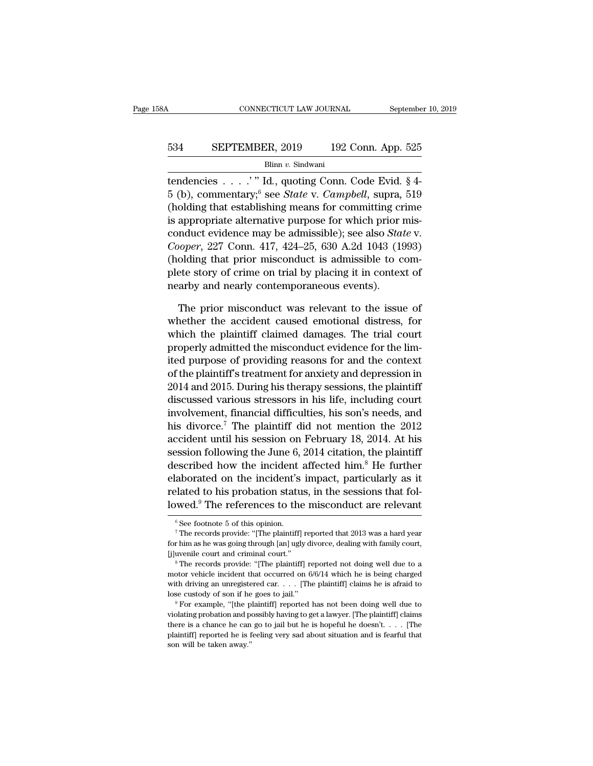# CONNECTICUT LAW JOURNAL September 10, 2019<br>534 SEPTEMBER, 2019 192 Conn. App. 525<br>Blinn v. Sindwani

Blinn *v.* Sindwani

CONNECTICUT LAW JOURNAL September 10, 20<br>
534 SEPTEMBER, 2019 192 Conn. App. 525<br>
<sup>Blinn v.</sup> Sindwani<br>
tendencies . . . . .' " Id., quoting Conn. Code Evid. § 4-<br>
5 (b), commentary; <sup>6</sup> see *State* v. *Campbell*, supra, 51 534 **SEPTEMBER**, 2019 192 Conn. App. 525<br>Blinn v. Sindwani<br>tendencies . . . . . " Id., quoting Conn. Code Evid. § 4-<br>5 (b), commentary;<sup>6</sup> see *State* v. *Campbell*, supra, 519<br>(holding that establishing means for committi 534 SEPTEMBER, 2019 192 Conn. App. 525<br>
Blinn v. Sindwani<br>
tendencies . . . . " Id., quoting Conn. Code Evid. § 4-<br>
5 (b), commentary, <sup>6</sup> see *State* v. *Campbell*, supra, 519<br>
(holding that establishing means for commit 534 SEPTEMBER, 2019 192 Conn. App. 525<br>Blinn v. Sindwani<br>tendencies . . . . " Id., quoting Conn. Code Evid. § 4-<br>5 (b), commentary,<sup>6</sup> see *State* v. *Campbell*, supra, 519<br>(holding that establishing means for committing Blinn v. Sindwani<br>tendencies . . . . . " Id., quoting Conn. Code Evid. § 4-<br>5 (b), commentary,<sup>6</sup> see *State* v. *Campbell*, supra, 519<br>(holding that establishing means for committing crime<br>is appropriate alternative purpo *Connetion C. Shawan*<br> *Coopera*, 227 Connetially, Supera, 519<br>
(holding that establishing means for committing crime<br>
is appropriate alternative purpose for which prior mis-<br>
conduct evidence may be admissible); see also tendencies  $\ldots$   $\ldots$   $\ldots$   $\ldots$  Id., quoting Conn. Code Evid. § 4-5 (b), commentary,<sup>6</sup> see *State* v. *Campbell*, supra, 519 (holding that establishing means for committing crime is appropriate alternative purpose for b (b), commentary; see *State v. Campbell*, supra, 519 (holding that establishing means for committing crime is appropriate alternative purpose for which prior misconduct evidence may be admissible); see also *State v. Co* (holding that establishing means for committing cr<br>is appropriate alternative purpose for which prior  $\alpha$ <br>conduct evidence may be admissible); see also *Sta.<br>Cooper*, 227 Conn. 417, 424–25, 630 A.2d 1043 (19)<br>(holding th mduct evidence may be admissible); see also *State* v.<br> *ooper*, 227 Conn. 417, 424–25, 630 A.2d 1043 (1993)<br>
olding that prior misconduct is admissible to com-<br>
ete story of crime on trial by placing it in context of<br>
arb Cooper, 227 Conn. 417, 424–25, 630 A.2d 1043 (1993)<br>(holding that prior misconduct is admissible to com-<br>plete story of crime on trial by placing it in context of<br>nearby and nearly contemporaneous events).<br>The prior miscon

(holding that prior misconduct is admissible to complete story of crime on trial by placing it in context of nearby and nearly contemporaneous events).<br>The prior misconduct was relevant to the issue of whether the accident plete story of crime on trial by placing it in context of<br>nearby and nearly contemporaneous events).<br>The prior misconduct was relevant to the issue of<br>whether the accident caused emotional distress, for<br>which the plaintiff nearby and nearly contemporaneous events).<br>
The prior misconduct was relevant to the issue of<br>
which the plaintiff claimed damages. The trial court<br>
properly admitted the misconduct evidence for the lim-<br>
ited purpose of p The prior misconduct was relevant to the issue of<br>whether the accident caused emotional distress, for<br>which the plaintiff' claimed damages. The trial court<br>properly admitted the misconduct evidence for the lim-<br>ited purpos The prior misconduct was relevant to the issue of<br>which the accident caused emotional distress, for<br>which the plaintiff claimed damages. The trial court<br>properly admitted the misconduct evidence for the lim-<br>ited purpose o whether the accident caused emotional distress, for<br>which the plaintiff claimed damages. The trial court<br>properly admitted the misconduct evidence for the lim-<br>ited purpose of providing reasons for and the context<br>of the p which the plaintiff claimed damages. The trial court<br>properly admitted the misconduct evidence for the lim-<br>ited purpose of providing reasons for and the context<br>of the plaintiff's treatment for anxiety and depression in<br>2 properly admitted the misconduct evidence for the limited purpose of providing reasons for and the context of the plaintiff's treatment for anxiety and depression in 2014 and 2015. During his therapy sessions, the plaintif ited purpose of providing reasons for and the context<br>of the plaintiff's treatment for anxiety and depression in<br>2014 and 2015. During his therapy sessions, the plaintiff<br>discussed various stressors in his life, including of the plaintiff's treatment for anxiety and depression in 2014 and 2015. During his therapy sessions, the plaintiff<br>discussed various stressors in his life, including court<br>involvement, financial difficulties, his son's n 2014 and 2015. During his therapy sessions, the plaintiff<br>discussed various stressors in his life, including court<br>involvement, financial difficulties, his son's needs, and<br>his divorce.<sup>7</sup> The plaintiff did not mention the discussed various stressors in his life, including court<br>involvement, financial difficulties, his son's needs, and<br>his divorce.<sup>7</sup> The plaintiff did not mention the 2012<br>accident until his session on February 18, 2014. At mvolvement, inancial difficulties, his son's needs, and<br>his divorce.<sup>7</sup> The plaintiff did not mention the 2012<br>accident until his session on February 18, 2014. At his<br>session following the June 6, 2014 citation, the plain hus divorce.<sup>1</sup> The plaintiff did not mention the 2012<br>accident until his session on February 18, 2014. At his<br>session following the June 6, 2014 citation, the plaintiff<br>described how the incident affected him.<sup>8</sup> He furt described how the incident's impact, particularly as it related to his probation status, in the sessions that followed.<sup>9</sup> The references to the misconduct are relevant  $\frac{1}{\text{e}}$  is operation.<br>
The records provide: "[T

related to his probation status, in the sessions that fol-<br>lowed.<sup>9</sup> The references to the misconduct are relevant<br><sup>6</sup> See footnote 5 of this opinion.<br><sup>7</sup> The records provide: "[The plaintiff] reported that 2013 was a hard **Example 19 11 The references to the misconduct are relevant**<br>
<sup>6</sup> See footnote 5 of this opinion.<br>
<sup>7</sup> The records provide: "[The plaintiff] reported that 2013 was a hard year<br>
for him as he was going through [an] ugly d

<sup>&</sup>lt;sup>6</sup> See footnote 5 of this opinion.<br>
<sup>7</sup> The records provide: "[The plaintiff] reported that 2013 was a hard year<br>
for him as he was going through [an] ugly divorce, dealing with family court,<br>
[j]uvenile court and crimin <sup>7</sup> The records provide: "[The plaintiff] reported that 2013 was a hard year for him as he was going through [an] ugly divorce, dealing with family court, [j] luvenile court and criminal court."<br><sup>8</sup> The records provide: " for him as he was going through [an] ugly divorce, dealing with family court,<br>
[j]uvenile court and criminal court."<br>
<sup>8</sup> The records provide: "[The plaintiff] reported not doing well due to a<br>
motor vehicle incident that <sup>8</sup> The records provide: "[The plaintiff] reported not doing well due to a motor vehicle incident that occurred on  $6/6/14$  which he is being charged with driving an unregistered car. . . . [The plaintiff] claims he is a<br> lose custody of son if he goes to jail."

motor vehicle incident that occurred on  $6/6/14$  which he is being charged with driving an unregistered car. . . . [The plaintiff] claims he is afraid to lose custody of son if he goes to jail."<br>" For example, "[the plain with driving an unregistered car. . . . [The plaintiff] claims he is a<br>fraid to lose custody of son if he goes to jail."<br>
<sup>9</sup> For example, "[the plaintiff] reported has not been doing well due to violating probation and p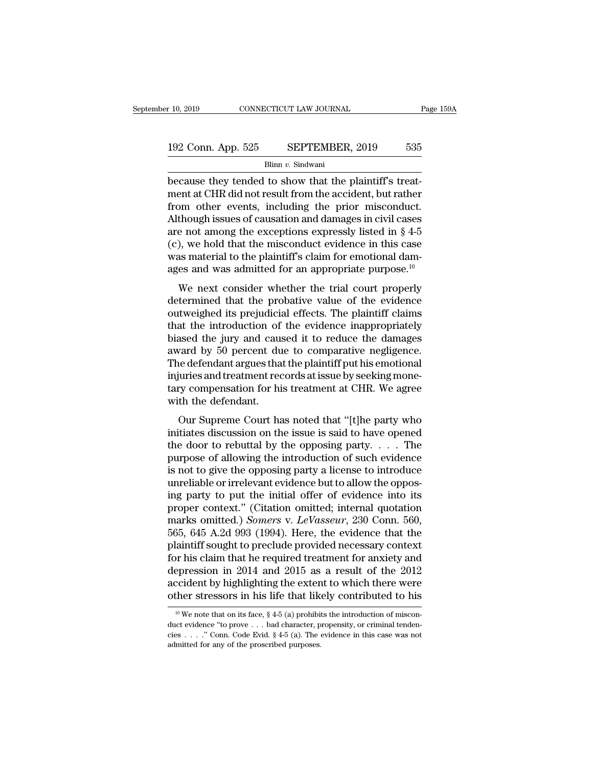# $\begin{tabular}{l l l l l} \hline r 10, 2019 & & & & & & \textbf{CoNNECTICUT LAW JOURNAL} & \multicolumn{2}{c|}{Page 159A} \\ \hline \multicolumn{2}{c|}{\textbf{192 Conn. App. 525} & \multicolumn{2}{c|}{\textbf{SEPTEMBER, 2019} & \textbf{535}} \\ \hline & \multicolumn{2}{c|}{\textbf{Blinn }v. {\text{ Sindwani}}} & \multicolumn{2}{c|}{\textbf{535}} \\ \hline \end{tabular}$

Blinn *v.* Sindwani

because they tended to show that the plaintiff's treat-<br>
because they tended to show that the plaintiff's treat-<br>
because they tended to show that the plaintiff's treat-<br>
from other events, including the prior misconduct 192 Conn. App. 525 SEPTEMBER, 2019 535<br>Blinn v. Sindwani<br>because they tended to show that the plaintiff's treat-<br>ment at CHR did not result from the accident, but rather<br>from other events, including the prior misconduct.<br>A 192 Conn. App. 525 SEPTEMBER, 2019 535<br>Blinn v. Sindwani<br>because they tended to show that the plaintiff's treat-<br>ment at CHR did not result from the accident, but rather<br>from other events, including the prior misconduct.<br> 192 Conn. App. 525 SEPTEMBER, 2019 535<br>Blinn v. Sindwani<br>because they tended to show that the plaintiff's treat-<br>ment at CHR did not result from the accident, but rather<br>from other events, including the prior misconduct.<br> Blinn v. Sindwani<br>Blinn v. Sindwani<br>Decause they tended to show that the plaintiff's treat-<br>ment at CHR did not result from the accident, but rather<br>from other events, including the prior misconduct.<br>Although issues of ca (c), we hold that the misconduct evidence in this case because they tended to show that the plaintiff's treat-<br>ment at CHR did not result from the accident, but rather<br>from other events, including the prior misconduct.<br>Although issues of causation and damages in civil cases<br>a ment at CHR did not result from the accident, but rather<br>from other events, including the prior misconduct.<br>Although issues of causation and damages in civil cases<br>are not among the exceptions expressly listed in  $\S 4-5$ <br> In order events, including the prior misconduct.<br>
though issues of causation and damages in civil cases<br>
e not among the exceptions expressly listed in § 4-5<br>
), we hold that the misconduct evidence in this case<br>
as mater Addotgli issues of causation and damages in ervirelases<br>are not among the exceptions expressly listed in  $\S$  4-5<br>(c), we hold that the misconduct evidence in this case<br>was material to the plaintiff's claim for emotional d

(c), we hold that the misconduct evidence in this case<br>was material to the plaintiff's claim for emotional dam-<br>ages and was admitted for an appropriate purpose.<sup>10</sup><br>We next consider whether the trial court properly<br>deter (c), we note that the introduct evidence in this case<br>was material to the plaintiff's claim for emotional dam-<br>ages and was admitted for an appropriate purpose.<sup>10</sup><br>We next consider whether the trial court properly<br>determ was matched to the plaintin's claim for chlocolar dam-<br>ages and was admitted for an appropriate purpose.<sup>10</sup><br>We next consider whether the trial court properly<br>determined that the probative value of the evidence<br>outweighed We next consider whether the trial court properly<br>determined that the probative value of the evidence<br>outweighed its prejudicial effects. The plaintiff claims<br>that the introduction of the evidence inappropriately<br>biased th We next consider whether the trial court properly<br>determined that the probative value of the evidence<br>outweighed its prejudicial effects. The plaintiff claims<br>that the introduction of the evidence inappropriately<br>biased th determined that the probative value of the evidence<br>outweighed its prejudicial effects. The plaintiff claims<br>that the introduction of the evidence inappropriately<br>biased the jury and caused it to reduce the damages<br>award b outweighed its prejudicial effects. The plaintiff claims<br>that the introduction of the evidence inappropriately<br>biased the jury and caused it to reduce the damages<br>award by 50 percent due to comparative negligence.<br>The defe that the introduction of<br>biased the jury and caus<br>award by 50 percent du<br>The defendant argues tha<br>injuries and treatment rec<br>tary compensation for hi<br>with the defendant.<br>Our Supreme Court ha Figure 2.1 The party and transfer that the plaintiff put his emotional<br>iuries and treatment records at issue by seeking mone-<br>ry compensation for his treatment at CHR. We agree<br>th the defendant.<br>Our Supreme Court has noted award by so percent due to comparative negagence.<br>The defendant argues that the plaintiff put his emotional<br>injuries and treatment records at issue by seeking mone-<br>tary compensation for his treatment at CHR. We agree<br>wit

The decendant argues that the plantini put its emotional<br>injuries and treatment records at issue by seeking mone-<br>tary compensation for his treatment at CHR. We agree<br>with the defendant.<br>Our Supreme Court has noted that "[ multing compensation for his treatment at CHR. We agree<br>with the defendant.<br>Our Supreme Court has noted that "[t]he party who<br>initiates discussion on the issue is said to have opened<br>the door to rebuttal by the opposing p Figure 1.1 The opposition of the streament at CHR. We agree<br>with the defendant.<br>Our Supreme Court has noted that "[t]he party who<br>initiates discussion on the issue is said to have opened<br>the door to rebuttal by the opposi Our Supreme Court has noted that "[t]he party who initiates discussion on the issue is said to have opened the door to rebuttal by the opposing party.  $\dots$  The purpose of allowing the introduction of such evidence is not Our Supreme Court has noted that "[t]he party who<br>initiates discussion on the issue is said to have opened<br>the door to rebuttal by the opposing party. . . . The<br>purpose of allowing the introduction of such evidence<br>is not initiates discussion on the issue is said to have opened<br>the door to rebuttal by the opposing party. . . . The<br>purpose of allowing the introduction of such evidence<br>is not to give the opposing party a license to introduce the door to rebuttal by the opposing party.  $\ldots$  The purpose of allowing the introduction of such evidence is not to give the opposing party a license to introduce unreliable or irrelevant evidence but to allow the oppos purpose of allowing the introduction of such evidence<br>is not to give the opposing party a license to introduce<br>unreliable or irrelevant evidence but to allow the oppos-<br>ing party to put the initial offer of evidence into i is not to give the opposing party a license to introduce<br>unreliable or irrelevant evidence but to allow the opposing<br>party to put the initial offer of evidence into its<br>proper context." (Citation omitted; internal quotati unreliable or irrelevant evidence but to allow the opposing party to put the initial offer of evidence into its<br>proper context." (Citation omitted; internal quotation<br>marks omitted.) *Somers* v. *LeVasseur*, 230 Conn. 560, ing party to put the initial offer of evidence into its<br>proper context." (Citation omitted; internal quotation<br>marks omitted.) *Somers* v. *LeVasseur*, 230 Conn. 560,<br>565, 645 A.2d 993 (1994). Here, the evidence that the<br>p proper context." (Citation omitted; internal quotation<br>marks omitted.) *Somers* v. *LeVasseur*, 230 Conn. 560,<br>565, 645 A.2d 993 (1994). Here, the evidence that the<br>plaintiff sought to preclude provided necessary context<br>f marks omitted.) *Somers* v. *LeVasseur*, 230 Conn. 560, 565, 645 A.2d 993 (1994). Here, the evidence that the plaintiff sought to preclude provided necessary context for his claim that he required treatment for anxiety an For his claim that he required treatment for anxiety and epression in 2014 and 2015 as a result of the 2012 ecident by highlighting the extent to which there were ther stressors in his life that likely contributed to his depression in 2014 and 2015 as a result of the 2012 accident by highlighting the extent to which there were other stressors in his life that likely contributed to his  $\frac{10 \text{ W}}{10 \text{ W}}$  we note that on its face, § 4-5 (

accident by highlighting the extent to which there were<br>other stressors in his life that likely contributed to his<br> $\frac{10 \text{ We}}{10 \text{ We}}$  note that on its face, § 4-5 (a) prohibits the introduction of miscon-<br>duct evidenc admitted for any of the proscribed purposes.<br>  $\frac{10 \text{ We}}{40 \text{ We}}$  and the prove  $\ldots$  bad character, point  $\ldots$  and  $\ldots$  and  $\ldots$  and  $\ldots$  and  $\ldots$  and  $\ldots$  and  $\ldots$  and  $\ldots$  and  $\ldots$  and  $\ldots$  and  $\ldots$  and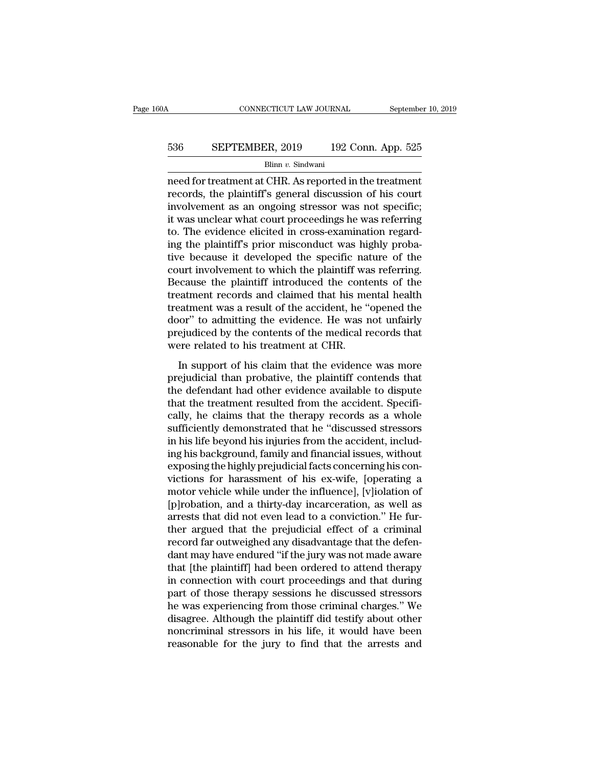# CONNECTICUT LAW JOURNAL September 10, 2019<br>536 SEPTEMBER, 2019 192 Conn. App. 525<br>Blinn v. Sindwani

Blinn *v.* Sindwani

CONNECTICUT LAW JOURNAL September 10, 2019<br>
536 SEPTEMBER, 2019 192 Conn. App. 525<br>
Blinn v. Sindwani<br>
Reed for treatment at CHR. As reported in the treatment<br>
records, the plaintiff's general discussion of his court<br>
inv EXECTEMBER, 2019 192 Conn. App. 525<br>Blinn v. Sindwani<br>need for treatment at CHR. As reported in the treatment<br>records, the plaintiff's general discussion of his court<br>involvement as an ongoing stressor was not specific;<br>it EXEPTEMBER, 2019 192 Conn. App. 525<br>
Blinn v. Sindwani<br>
need for treatment at CHR. As reported in the treatment<br>
records, the plaintiff's general discussion of his court<br>
involvement as an ongoing stressor was not specifi 536 SEPTEMBER, 2019 192 Conn. App. 525<br>  $\frac{\text{Blinn } v. \text{ Sindwani}}{\text{Plinn } v. \text{ Sindwani}}$ <br>
need for treatment at CHR. As reported in the treatment<br>
records, the plaintiff's general discussion of his court<br>
involvement as an ongoing st Blinn v. Sindwani<br>Blinn v. Sindwani<br>meed for treatment at CHR. As reported in the treatment<br>records, the plaintiff's general discussion of his court<br>involvement as an ongoing stressor was not specific;<br>it was unclear what  $\frac{\text{Bilm } v. \text{ Shawan}}{\text{mean}}$ <br>
meed for treatment at CHR. As reported in the treatment<br>
records, the plaintiff's general discussion of his court<br>
involvement as an ongoing stressor was not specific;<br>
it was unclear what court need for treatment at CHR. As reported in the treatment<br>records, the plaintiff's general discussion of his court<br>involvement as an ongoing stressor was not specific;<br>it was unclear what court proceedings he was referring<br>t records, the plaintiff's general discussion of his court<br>involvement as an ongoing stressor was not specific;<br>it was unclear what court proceedings he was referring<br>to. The evidence elicited in cross-examination regard-<br>in involvement as an ongoing stressor was not specific;<br>it was unclear what court proceedings he was referring<br>to. The evidence elicited in cross-examination regard-<br>ing the plaintiff's prior misconduct was highly proba-<br>tive it was unclear what court proceedings he was referring<br>to. The evidence elicited in cross-examination regard-<br>ing the plaintiff's prior misconduct was highly proba-<br>tive because it developed the specific nature of the<br>cour to. The evidence elicited in cross-examination regard-<br>ing the plaintiff's prior misconduct was highly proba-<br>tive because it developed the specific nature of the<br>court involvement to which the plaintiff was referring.<br>Bec ing the plaintiff's prior misconduct was highly probative because it developed the specific nature of the court involvement to which the plaintiff was referring.<br>Because the plaintiff introduced the contents of the treatme tive because it developed the specific nature of the court involvement to which the plaintiff was referring.<br>Because the plaintiff introduced the contents of the treatment records and claimed that his mental health treatme court involvement to which the plaintiff wa<br>Because the plaintiff introduced the cont<br>treatment records and claimed that his me<br>treatment was a result of the accident, he "<br>door" to admitting the evidence. He was r<br>prejudi Example and claimed that his mental health<br>atment records and claimed that his mental health<br>beatment was a result of the accident, he "opened the<br>oor" to admitting the evidence. He was not unfairly<br>ejudiced by the content reatment vectors and chance and its include reath<br>treatment was a result of the accident, he "opened the<br>door" to admitting the evidence. He was not unfairly<br>prejudiced by the contents of the medical records that<br>were rela

the defendant had states are defended, the species are<br>door" to admitting the evidence. He was not unfairly<br>prejudiced by the contents of the medical records that<br>were related to his treatment at CHR.<br>In support of his cla that the treatment at CHR.<br>In support of his claim that the evidence was more<br>prejudicial than probative, the plaintiff contends that<br>the defendant had other evidence available to dispute<br>that the treatment resulted from t prejudiced by the contents of the included records that<br>were related to his treatment at CHR.<br>In support of his claim that the evidence was more<br>prejudicial than probative, the plaintiff contends that<br>the defendant had oth In support of his claim that the evidence was more<br>prejudicial than probative, the plaintiff contends that<br>the defendant had other evidence available to dispute<br>that the treatment resulted from the accident. Specifi-<br>cally In support of his claim that the evidence was more<br>prejudicial than probative, the plaintiff contends that<br>the defendant had other evidence available to dispute<br>that the treatment resulted from the accident. Specifi-<br>cally prejudicial than probative, the plaintiff contends that<br>the defendant had other evidence available to dispute<br>that the treatment resulted from the accident. Specifi-<br>cally, he claims that the therapy records as a whole<br>suf the defendant had other evidence available to dispute<br>that the treatment resulted from the accident. Specifi-<br>cally, he claims that the therapy records as a whole<br>sufficiently demonstrated that he "discussed stressors<br>in h that the treatment resulted from the accident. Specifically, he claims that the therapy records as a whole sufficiently demonstrated that he "discussed stressors in his life beyond his injuries from the accident, including cally, he claims that the therapy records as a whole<br>sufficiently demonstrated that he "discussed stressors<br>in his life beyond his injuries from the accident, includ-<br>ing his background, family and financial issues, withou sufficiently demonstrated that he "discussed stressors<br>in his life beyond his injuries from the accident, includ-<br>ing his background, family and financial issues, without<br>exposing the highly prejudicial facts concerning hi in his life beyond his injuries from the accident, including his background, family and financial issues, without exposing the highly prejudicial facts concerning his convictions for harassment of his ex-wife, [operating a ing his background, family and financial issues, without<br>exposing the highly prejudicial facts concerning his con-<br>victions for harassment of his ex-wife, [operating a<br>motor vehicle while under the influence], [v]iolation exposing the highly prejudicial facts concerning his convictions for harassment of his ex-wife, [operating a motor vehicle while under the influence], [v]iolation of [p]robation, and a thirty-day incarceration, as well as victions for harassment of his ex-wife, [operating a<br>motor vehicle while under the influence], [v]iolation of<br>[p]robation, and a thirty-day incarceration, as well as<br>arrests that did not even lead to a conviction." He furmotor vehicle while under the influence], [v]iolation of<br>[p]robation, and a thirty-day incarceration, as well as<br>arrests that did not even lead to a conviction." He fur-<br>ther argued that the prejudicial effect of a crimina [p]robation, and a thirty-day incarceration, as well as<br>arrests that did not even lead to a conviction." He fur-<br>ther argued that the prejudicial effect of a criminal<br>record far outweighed any disadvantage that the defen-<br> arrests that did not even lead to a conviction." He further argued that the prejudicial effect of a criminal record far outweighed any disadvantage that the defendant may have endured "if the jury was not made aware that [ ther argued that the prejudicial effect of a criminal<br>record far outweighed any disadvantage that the defen-<br>dant may have endured "if the jury was not made aware<br>that [the plaintiff] had been ordered to attend therapy<br>in record far outweighed any disadvantage that the defendant may have endured "if the jury was not made aware<br>that [the plaintiff] had been ordered to attend therapy<br>in connection with court proceedings and that during<br>part o dant may have endured "if the jury was not made aware<br>that [the plaintiff] had been ordered to attend therapy<br>in connection with court proceedings and that during<br>part of those therapy sessions he discussed stressors<br>he wa that [the plaintiff] had been ordered to attend therapy<br>in connection with court proceedings and that during<br>part of those therapy sessions he discussed stressors<br>he was experiencing from those criminal charges." We<br>disagr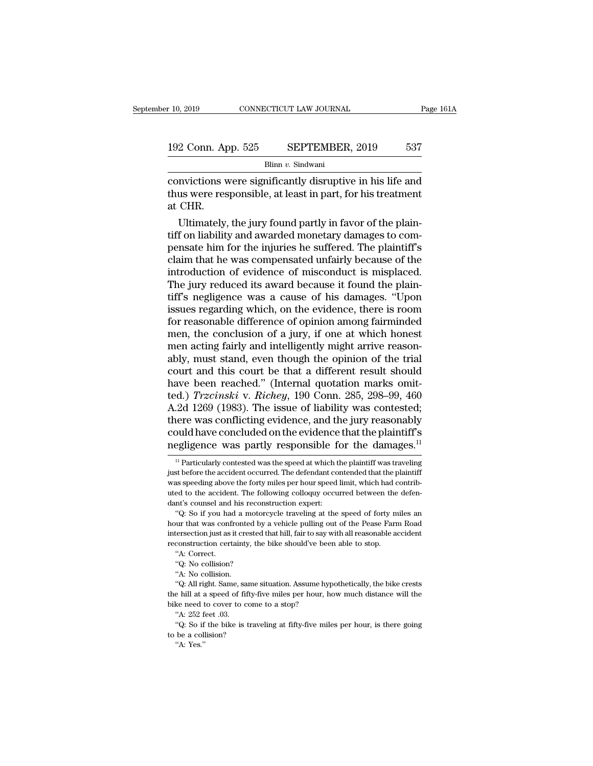Blinn *v.* Sindwani

convictions convections were significantly disruptive in his life and<br>thus were responsible, at least in part, for his treatment<br>et CHR 192 Conn. App. 525 SEPTEMBER, 2019 537<br>Blinn v. Sindwani<br>convictions were significantly disruptive in his life and<br>thus were responsible, at least in part, for his treatment<br>at CHR. 192 Conn. Ap<br>
convictions v<br>
thus were res<br>
at CHR.<br>
Ultimately, 2 Conn. App. 525 SEPTEMBER, 2019 537<br>Blinn v. Sindwani<br>mvictions were significantly disruptive in his life and<br>us were responsible, at least in part, for his treatment<br>CHR.<br>Ultimately, the jury found partly in favor of th

 $\begin{array}{l} \hline \text{Blinn } v. \text{ Standard} \\\hline \text{convictions were significantly disruptive in his life and thus were responsible, at least in part, for his treatment at CHR. \\\hline \text{Ultimately, the jury found partly in favor of the plaintiff on liability and awarded monetary damages to compensate him for the injuries he suffered. The plaintiff's claim that he was compensated unfairly because of the$ per convictions were significantly disruptive in his life and<br>thus were responsible, at least in part, for his treatment<br>at CHR.<br>Ultimately, the jury found partly in favor of the plain-<br>tiff on liability and awarded moneta convictions were significantly disruptive in his life and<br>thus were responsible, at least in part, for his treatment<br>at CHR.<br>Ultimately, the jury found partly in favor of the plain-<br>tiff on liability and awarded monetary d thus were responsible, at least in part, for his treatment<br>at CHR.<br>Ultimately, the jury found partly in favor of the plain-<br>tiff on liability and awarded monetary damages to com-<br>pensate him for the injuries he suffered. T at CHR.<br>Ultimately, the jury found partly in favor of the plain-<br>tiff on liability and awarded monetary damages to com-<br>pensate him for the injuries he suffered. The plaintiff's<br>claim that he was compensated unfairly becau Ultimately, the jury found partly in favor of the plaintiff on liability and awarded monetary damages to compensate him for the injuries he suffered. The plaintiff's claim that he was compensated unfairly because of the in tiff on liability and awarded monetary damages to compensate him for the injuries he suffered. The plaintiff's<br>claim that he was compensated unfairly because of the<br>introduction of evidence of misconduct is misplaced.<br>The pensate him for the injuries he suffered. The plaintiff's<br>claim that he was compensated unfairly because of the<br>introduction of evidence of misconduct is misplaced.<br>The jury reduced its award because it found the plain-<br>ti claim that he was compensated unfairly because of the<br>introduction of evidence of misconduct is misplaced.<br>The jury reduced its award because it found the plain-<br>tiff's negligence was a cause of his damages. "Upon<br>issues r introduction of evidence of misconduct is misplaced.<br>The jury reduced its award because it found the plain-<br>tiff's negligence was a cause of his damages. "Upon<br>issues regarding which, on the evidence, there is room<br>for rea The jury reduced its award because it found the plain-<br>tiff's negligence was a cause of his damages. "Upon<br>issues regarding which, on the evidence, there is room<br>for reasonable difference of opinion among fairminded<br>men, t tiff's negligence was a cause of his damages. "Upon<br>issues regarding which, on the evidence, there is room<br>for reasonable difference of opinion among fairminded<br>men, the conclusion of a jury, if one at which honest<br>men ac issues regarding which, on the evidence, there is room<br>for reasonable difference of opinion among fairminded<br>men, the conclusion of a jury, if one at which honest<br>men acting fairly and intelligently might arrive reason-<br>a for reasonable difference of opinion among fairminded<br>men, the conclusion of a jury, if one at which honest<br>men acting fairly and intelligently might arrive reason-<br>ably, must stand, even though the opinion of the trial<br>co men, the conclusion of a jury, if one at which honest<br>men acting fairly and intelligently might arrive reason-<br>ably, must stand, even though the opinion of the trial<br>court and this court be that a different result should<br>h men acting fairly and intelligently might arrive reasonably, must stand, even though the opinion of the trial<br>court and this court be that a different result should<br>have been reached." (Internal quotation marks omit-<br>ted.) ably, must stand, even though the opinion of the trial<br>court and this court be that a different result should<br>have been reached." (Internal quotation marks omit-<br>ted.) *Trzcinski* v. *Richey*, 190 Conn. 285, 298–99, 460<br>A. court and this court be that a different result should<br>have been reached." (Internal quotation marks omit-<br>ted.) *Trzcinski* v. *Richey*, 190 Conn. 285, 298–99, 460<br>A.2d 1269 (1983). The issue of liability was contested;<br> .2d 1269 (1983). The issue of liability was contested;<br>nere was conflicting evidence, and the jury reasonably<br>pould have concluded on the evidence that the plaintiff's<br>egligence was partly responsible for the damages.<sup>11</sup> there was conflicting evidence, and the jury reasonably<br>could have concluded on the evidence that the plaintiff's<br>negligence was partly responsible for the damages.<sup>11</sup><br><sup>11</sup> Particularly contested was the speed at which th

could have concluded on the evidence that the plaintiff's<br>negligence was partly responsible for the damages.<sup>11</sup><br> $\frac{11}{11}$ Particularly contested was the speed at which the plaintiff was traveling<br>just before the acciden negligence was partly responsible for the damages.<sup>11</sup><br>
<sup>11</sup> Particularly contested was the speed at which the plaintiff was traveling<br>
just before the accident occurred. The defendant contended that the plaintiff<br>
was sp just before the accident occurred. The defendant contended that the plaintiff was speeding above the forty miles per hour speed limit, which had contributed to the accident. The following colloquy occurred between the def <sup>11</sup> Particularly contested was the speed at which the plaintiff was traveling st before the accident occurred. The defendant contended that the plaintiff as speeding above the forty miles per hour speed limit, which had hour that was confronted by a vehicle pulling out of the Pease Farm Road intersection expecting above the forty miles per hour speed limit, which had contributed to the accident. The following colloquy occurred between the

was speeding above the forty miles per hour speed limit, which had contributed to the accident. The following colloquy occurred between the defendant's counsel and his reconstruction expert:<br>"Q: So if you had a motorcycle reconstruction certainty, the bike should've been able to stop.<br>
tuted to the accident. The following colloquy occurred between the<br>
dant's counsel and his reconstruction expert:<br>
"Q: So if you had a motorcycle traveling a nt's counsel and<br>the "Q: So if you had<br>"Q: So if you had<br>tersection just as is<br>construction cert<br>"A: Correct.<br>"Q: No collision? "Q: So if you had a motor"<br>"Q: So if you had a motor"<br>that was confronted by<br>tersection just as it crested<br>construction certainty, the<br>"A: Correct."<br>"Q: No collision?"<br>"A: No collision. "<br>"Wur that was confronte<br>tersection just as it cre<br>construction certainty<br>"A: Correct.<br>"Q: No collision?"<br>"A: No collision."<br>"Q: All right. Same, same The state of the same situation. Same with all reasonable accident construction certainty, the bike should've been able to stop.<br>
"A: Correct.<br>
"Q: No collision?<br>
"A: No collision."<br>
"Q: All right. Same, same situation. As

the construction certainty, the bike should've been able to stop.<br>
"A: Correct.<br>
"Q: No collision?<br>
"A: No collision?<br>
"A: No collision.<br>
"Q: All right. Same, same situation. Assume hypothetically, the bike crests<br>
the hil <sup>4</sup> A: Correct.<br>
"A: Correct.<br>
"Q: No collision?<br>
"A: No collision.<br>
"Q: All right. Same, same situation. Assume hy<br>
the hill at a speed of fifty-five miles per hour, b<br>
bike need to cover to come to a stop?<br>
"A: 252 feet "Q: No collision?<br>"A: No collision."<br>"A: No collision.<br>"Q: All right. Same, sa<br>e hill at a speed of fit<br>ke need to cover to c<br>"A: 252 feet .03.<br>"Q: So if the bike is "A: No collision.<br>"A: No collision.<br>"Q: All right. Same, same situation. Assume hypothetically, the bike crests<br>e hill at a speed of fifty-five miles per hour, how much distance will the<br>ke need to cover to come to a stop? "Q: All right. Same, same<br>the hill at a speed of fifty-<br>bike need to cover to com<br>"A:  $252$  feet .03.<br>"Q: So if the bike is tra<br>to be a collision?<br>"A: Yes." e hill at a<br>e hill at a<br>"A: 252 f<br>"Q: So if<br>be a coll<br>"A: Yes."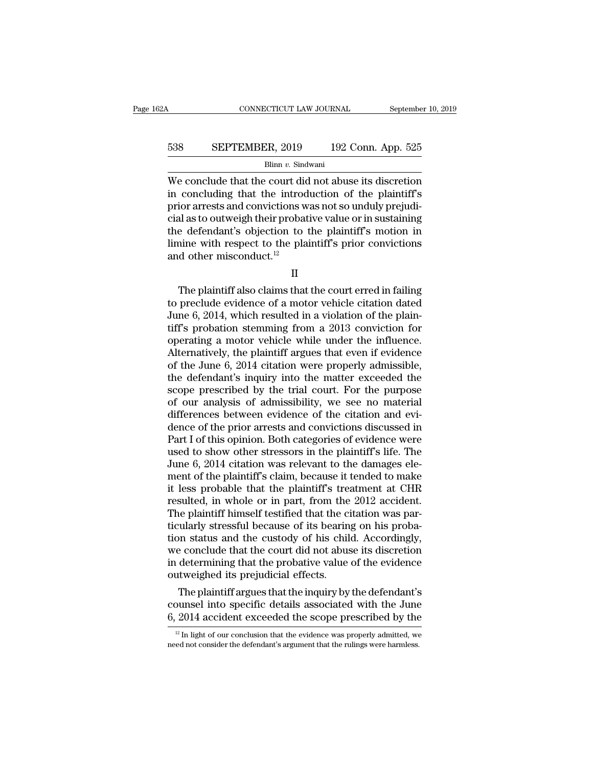# CONNECTICUT LAW JOURNAL September 10, 2019<br>538 SEPTEMBER, 2019 192 Conn. App. 525<br>Blinn v. Sindwani

## Blinn *v.* Sindwani

CONNECTICUT LAW JOURNAL September 10, 2019<br>
SEPTEMBER, 2019 192 Conn. App. 525<br>
Blinn v. Sindwani<br>
We conclude that the court did not abuse its discretion<br>
in concluding that the introduction of the plaintiff's<br>
prior arr EXEPTEMBER, 2019 192 Conn. App. 525<br>Blinn v. Sindwani<br>We conclude that the court did not abuse its discretion<br>in concluding that the introduction of the plaintiff's<br>prior arrests and convictions was not so unduly prejudi-538 SEPTEMBER, 2019 192 Conn. App. 525<br>Blinn v. Sindwani<br>We conclude that the court did not abuse its discretion<br>in concluding that the introduction of the plaintiff's<br>prior arrests and convictions was not so unduly preju EXEPTEMBER, 2019 192 Conn. App. 525<br>Blinn v. Sindwani<br>We conclude that the court did not abuse its discretion<br>in concluding that the introduction of the plaintiff's<br>prior arrests and convictions was not so unduly prejudi-Blinn v. Sindwani<br>Blinn v. Sindwani<br>We conclude that the court did not abuse its discretion<br>in concluding that the introduction of the plaintiff's<br>prior arrests and convictions was not so unduly prejudi-<br>cial as to outwei Blinn v. Sindwani<br>We conclude that the court did not abuse its discretion<br>in concluding that the introduction of the plaintiff's<br>prior arrests and convictions was not so unduly prejudi-<br>cial as to outweigh their probative We conclude that the court die<br>in concluding that the introd<br>prior arrests and convictions w<br>cial as to outweigh their probat<br>the defendant's objection to<br>limine with respect to the pla<br>and other misconduct.<sup>12</sup> % all as to outweigh their probative value or in sustaining<br>
e defendant's objection to the plaintiff's motion in<br>
inne with respect to the plaintiff's prior convictions<br>
d other misconduct.<sup>12</sup><br>  $\Pi$ <br>
The plaintiff also

II

the defendant's objection to the plaintiff's motion in<br>
limine with respect to the plaintiff's prior convictions<br>
and other misconduct.<sup>12</sup><br>
II<br>
The plaintiff also claims that the court erred in failing<br>
to preclude evide Final limine with respect to the plaintiff's prior convictions<br>and other misconduct.<sup>12</sup><br> $\rm II$ <br>The plaintiff also claims that the court erred in failing<br>to preclude evidence of a motor vehicle citation dated<br>June 6, 2014, and other misconduct.<sup>12</sup><br>
II<br>
The plaintiff also claims that the court erred in failing<br>
to preclude evidence of a motor vehicle citation dated<br>
June 6, 2014, which resulted in a violation of the plain-<br>
tiff's probation II<br>
The plaintiff also claims that the court erred in failing<br>
to preclude evidence of a motor vehicle citation dated<br>
June 6, 2014, which resulted in a violation of the plain-<br>
tiff's probation stemming from a 2013 convic II<br>The plaintiff also claims that the court erred in failing<br>to preclude evidence of a motor vehicle citation dated<br>June 6, 2014, which resulted in a violation of the plain-<br>tiff's probation stemming from a 2013 conviction The plaintiff also claims that the court erred in failing<br>to preclude evidence of a motor vehicle citation dated<br>June 6, 2014, which resulted in a violation of the plain-<br>tiff's probation stemming from a 2013 conviction fo to preclude evidence of a motor vehicle citation dated<br>June 6, 2014, which resulted in a violation of the plain-<br>tiff's probation stemming from a 2013 conviction for<br>operating a motor vehicle while under the influence.<br>Alt June 6, 2014, which resulted in a violation of the plain-<br>tiff's probation stemming from a 2013 conviction for<br>operating a motor vehicle while under the influence.<br>Alternatively, the plaintiff argues that even if evidence<br> tiff's probation stemming from a 2013 conviction for<br>operating a motor vehicle while under the influence.<br>Alternatively, the plaintiff argues that even if evidence<br>of the June 6, 2014 citation were properly admissible,<br>the operating a motor vehicle while under the influence.<br>Alternatively, the plaintiff argues that even if evidence<br>of the June 6, 2014 citation were properly admissible,<br>the defendant's inquiry into the matter exceeded the<br>sco Alternatively, the plaintiff argues that even if evidence<br>of the June 6, 2014 citation were properly admissible,<br>the defendant's inquiry into the matter exceeded the<br>scope prescribed by the trial court. For the purpose<br>of of the June 6, 2014 citation were properly admissible,<br>the defendant's inquiry into the matter exceeded the<br>scope prescribed by the trial court. For the purpose<br>of our analysis of admissibility, we see no material<br>differen the defendant's inquiry into the matter exceeded the<br>scope prescribed by the trial court. For the purpose<br>of our analysis of admissibility, we see no material<br>differences between evidence of the citation and evi-<br>dence of scope prescribed by the trial court. For the purpose<br>of our analysis of admissibility, we see no material<br>differences between evidence of the citation and evi-<br>dence of the prior arrests and convictions discussed in<br>Part I of our analysis of admissibility, we see no material<br>differences between evidence of the citation and evi-<br>dence of the prior arrests and convictions discussed in<br>Part I of this opinion. Both categories of evidence were<br>us differences between evidence of the citation and evidence of the prior arrests and convictions discussed in Part I of this opinion. Both categories of evidence were used to show other stressors in the plaintiff's life. The dence of the prior arrests and convictions discussed in Part I of this opinion. Both categories of evidence were used to show other stressors in the plaintiff's life. The June 6, 2014 citation was relevant to the damages e Part I of this opinion. Both categories of evidence were<br>used to show other stressors in the plaintiff's life. The<br>June 6, 2014 citation was relevant to the damages ele-<br>ment of the plaintiff's claim, because it tended to used to show other stressors in the plaintiff's life. The<br>June 6, 2014 citation was relevant to the damages ele-<br>ment of the plaintiff's claim, because it tended to make<br>it less probable that the plaintiff's treatment at C June 6, 2014 citation was relevant to the damages element of the plaintiff's claim, because it tended to make<br>it less probable that the plaintiff's treatment at CHR<br>resulted, in whole or in part, from the 2012 accident.<br>Th ment of the plaintiff's claim, because it tended to make<br>it less probable that the plaintiff's treatment at CHR<br>resulted, in whole or in part, from the 2012 accident.<br>The plaintiff himself testified that the citation was p it less probable that the plaintiff's treatment at CHR<br>resulted, in whole or in part, from the 2012 accident.<br>The plaintiff himself testified that the citation was par-<br>ticularly stressful because of its bearing on his pro resulted, in whole or in part, from the<br>The plaintiff himself testified that the ci<br>ticularly stressful because of its bearin<br>tion status and the custody of his chil<br>we conclude that the court did not abus<br>in determining t ie plaintiff himself testified that the citation was par-<br>ularly stressful because of its bearing on his proba-<br>on status and the custody of his child. Accordingly,<br>e conclude that the court did not abuse its discretion<br>de ticularly stressiul because of its bearing on his probation status and the custody of his child. Accordingly, we conclude that the court did not abuse its discretion in determining that the probative value of the evidence tion status and the custody of his child. Accordingly,<br>we conclude that the court did not abuse its discretion<br>in determining that the probative value of the evidence<br>outweighed its prejudicial effects.<br>The plaintiff argu

The plaintiff argues that the inquiry by the defendant's<br>bunsel into specific details associated with the June<br> $2014$  accident exceeded the scope prescribed by the<br> $\frac{12 \text{ In light of our conclusion that the evidence was properly admitted, we}$ ed not consider the defendant's a The plaintiff argues that the inquiry by the defendant's counsel into specific details associated with the June 6, 2014 accident exceeded the scope prescribed by the  $\frac{12 \text{ In light of our conclusion that the evidence was properly admitted, we need not consider the defendant's argument that the rulings were harmless.}$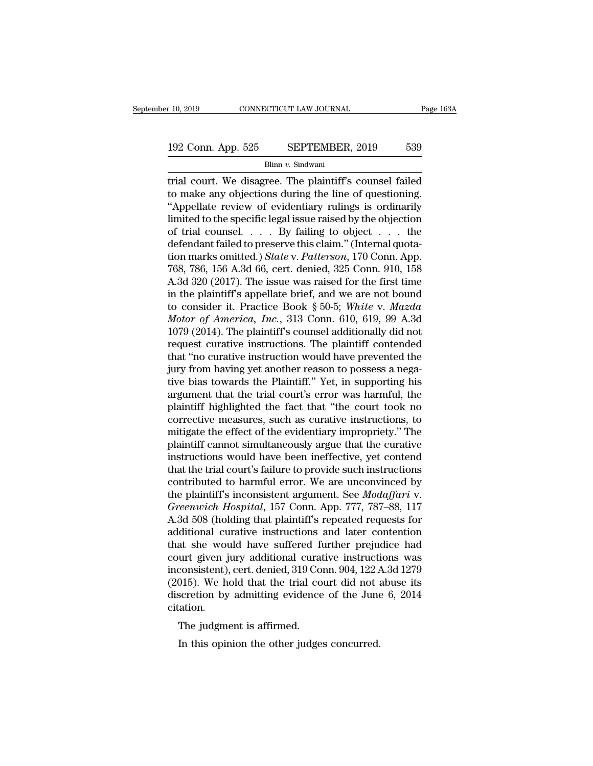# $\begin{tabular}{l|c|c} \hline r 10, 2019 & & & & & \hline \textbf{COMNECTICUT LAW JOURNAL} \\\hline \end{tabular} \begin{tabular}{l|c|c|c} \hline \multicolumn{1}{c|}{\textbf{Page 163A}} \\\hline \multicolumn{1}{c|}{\textbf{192 Conn. App. 525}} & & $\textbf{SEPTEMBER, 2019}$ & $\textbf{539}$ \\ \hline \multicolumn{1}{c|}{\textbf{Blinn $v$. Sindwani}} \end{tabular}$

Blinn *v.* Sindwani

trial court. App. 525 SEPTEMBER, 2019 S39<br>Blinn v. Sindwani<br>Trial court. We disagree. The plaintiff's counsel failed<br>to make any objections during the line of questioning.<br>"Appellate review of evidentiary rulings is ordin 192 Conn. App. 525 SEPTEMBER, 2019 539<br>Blinn v. Sindwani<br>trial court. We disagree. The plaintiff's counsel failed<br>to make any objections during the line of questioning.<br>"Appellate review of evidentiary rulings is ordinaril 192 Conn. App. 525 SEPTEMBER, 2019 539<br>
Blinn v. Sindwani<br>
trial court. We disagree. The plaintiff's counsel failed<br>
to make any objections during the line of questioning.<br>
"Appellate review of evidentiary rulings is ordi 192 Conn. App. 525 SEPTEMBER, 2019 539<br>Blinn v. Sindwani<br>Trial court. We disagree. The plaintiff's counsel failed<br>to make any objections during the line of questioning.<br>"Appellate review of evidentiary rulings is ordinari Blinn v. Sindwani<br>Blinn v. Sindwani<br>trial court. We disagree. The plaintiff's counsel failed<br>to make any objections during the line of questioning.<br>"Appellate review of evidentiary rulings is ordinarily<br>limited to the spe Blum *v*. Sindwant<br>
definal court. We disagree. The plaintiff's counsel failed<br>
to make any objections during the line of questioning.<br>
"Appellate review of evidentiary rulings is ordinarily<br>
limited to the specific legal trial court. We disagree. The plaintiff's counsel failed<br>to make any objections during the line of questioning.<br>"Appellate review of evidentiary rulings is ordinarily<br>limited to the specific legal issue raised by the objec to make any objections during the line of questioning.<br>
"Appellate review of evidentiary rulings is ordinarily<br>
limited to the specific legal issue raised by the objection<br>
of trial counsel.  $\ldots$  By failing to object  $\ld$ "Appellate review of evidentiary rulings is ordinarily<br>limited to the specific legal issue raised by the objection<br>of trial counsel. . . . By failing to object . . . the<br>defendant failed to preserve this claim." (Internal limited to the specific legal issue raised by the objection<br>of trial counsel. . . . By failing to object . . . the<br>defendant failed to preserve this claim." (Internal quota-<br>tion marks omitted.) *State* v. *Patterson*, 17 of trial counsel. . . . By failing to object . . . the<br>defendant failed to preserve this claim." (Internal quota-<br>tion marks omitted.) *State* v. *Patterson*, 170 Conn. App.<br>768, 786, 156 A.3d 66, cert. denied, 325 Conn. 9 defendant failed to preserve this claim." (Internal quotation marks omitted.) *State* v. *Patterson*, 170 Conn. App.<br>768, 786, 156 A.3d 66, cert. denied, 325 Conn. 910, 158<br>A.3d 320 (2017). The issue was raised for the fir tion marks omitted.) *State* v. *Patterson*, 170 Conn. App.<br>768, 786, 156 A.3d 66, cert. denied, 325 Conn. 910, 158<br>A.3d 320 (2017). The issue was raised for the first time<br>in the plaintiff's appellate brief, and we are n 768, 786, 156 A.3d 66, cert. denied, 325 Conn. 910, 158<br>A.3d 320 (2017). The issue was raised for the first time<br>in the plaintiff's appellate brief, and we are not bound<br>to consider it. Practice Book § 50-5; *White v. Maz* A.3d 320 (2017). The issue was raised for the first time<br>
in the plaintiff's appellate brief, and we are not bound<br>
to consider it. Practice Book § 50-5; White v. Mazda<br>
Motor of America, Inc., 313 Conn. 610, 619, 99 A.3d in the plaintiff's appellate brief, and we are not bound<br>to consider it. Practice Book § 50-5; White v. Mazda<br>Motor of America, Inc., 313 Conn. 610, 619, 99 A.3d<br>1079 (2014). The plaintiff's counsel additionally did not<br>r to consider it. Practice Book § 50-5; White v. Mazda<br>Motor of America, Inc., 313 Conn. 610, 619, 99 A.3d<br>1079 (2014). The plaintiff's counsel additionally did not<br>request curative instructions. The plaintiff contended<br>tha Motor of America, Inc., 313 Conn. 610, 619, 99 A.3d<br>1079 (2014). The plaintiff's counsel additionally did not<br>request curative instructions. The plaintiff contended<br>that "no curative instruction would have prevented the<br>ju 1079 (2014). The plaintiff's counsel additionally did not<br>request curative instructions. The plaintiff contended<br>that "no curative instruction would have prevented the<br>jury from having yet another reason to possess a negarequest curative instructions. The plaintiff contended<br>that "no curative instruction would have prevented the<br>jury from having yet another reason to possess a nega-<br>tive bias towards the Plaintiff." Yet, in supporting his<br> that "no curative instruction would have prevented the<br>jury from having yet another reason to possess a nega-<br>tive bias towards the Plaintiff." Yet, in supporting his<br>argument that the trial court's error was harmful, the<br> jury from having yet another reason to possess a negative bias towards the Plaintiff." Yet, in supporting his argument that the trial court's error was harmful, the plaintiff highlighted the fact that "the court took no co tive bias towards the Plaintiff." Yet, in supporting his<br>argument that the trial court's error was harmful, the<br>plaintiff highlighted the fact that "the court took no<br>corrective measures, such as curative instructions, to<br> argument that the trial court's error was harmful, the plaintiff highlighted the fact that "the court took no corrective measures, such as curative instructions, to mitigate the effect of the evidentiary impropriety." The plaintiff highlighted the fact that "the court took no<br>corrective measures, such as curative instructions, to<br>mitigate the effect of the evidentiary impropriety." The<br>plaintiff cannot simultaneously argue that the curative corrective measures, such as curative instructions, to<br>mitigate the effect of the evidentiary impropriety." The<br>plaintiff cannot simultaneously argue that the curative<br>instructions would have been ineffective, yet contend<br> mitigate the effect of the evidentiary impropriety." The plaintiff cannot simultaneously argue that the curative instructions would have been ineffective, yet contend that the trial court's failure to provide such instruct plaintiff cannot simultaneously argue that the curative<br>instructions would have been ineffective, yet contend<br>that the trial court's failure to provide such instructions<br>contributed to harmful error. We are unconvinced by<br> instructions would have been ineffective, yet contend<br>that the trial court's failure to provide such instructions<br>contributed to harmful error. We are unconvinced by<br>the plaintiff's inconsistent argument. See *Modaffari* v that the trial court's failure to provide such instructions<br>contributed to harmful error. We are unconvinced by<br>the plaintiff's inconsistent argument. See *Modaffari* v.<br>Greenwich Hospital, 157 Conn. App. 777, 787–88, 117<br> contributed to harmful error. We are unconvinced by<br>the plaintiff's inconsistent argument. See *Modaffari* v.<br>Greenwich Hospital, 157 Conn. App. 777, 787–88, 117<br>A.3d 508 (holding that plaintiff's repeated requests for<br>add the plaintiff's inconsistent argument. See *Modaffari* v.<br>Greenwich Hospital, 157 Conn. App. 777, 787–88, 117<br>A.3d 508 (holding that plaintiff's repeated requests for<br>additional curative instructions and later contention<br>t Greenwich Hospital, 157 Conn. App. 777, 787–88, 117<br>A.3d 508 (holding that plaintiff's repeated requests for<br>additional curative instructions and later contention<br>that she would have suffered further prejudice had<br>court gi A.3d 508 (holding that plaintiff's repeated requests for additional curative instructions and later contention that she would have suffered further prejudice had court given jury additional curative instructions was incons citation. at she would have suffered in<br>urt given jury additional curat<br>consistent), cert. denied, 319 Co.<br>015). We hold that the trial co<br>scretion by admitting evidence<br>ation.<br>The judgment is affirmed.<br>In this opinion the other jud Franch Consistent), cert. denied, 319 Conn. 904, 122  $\mu$  1015). We hold that the trial court did not ascretion by admitting evidence of the June ation.<br>The judgment is affirmed.<br>In this opinion the other judges concurred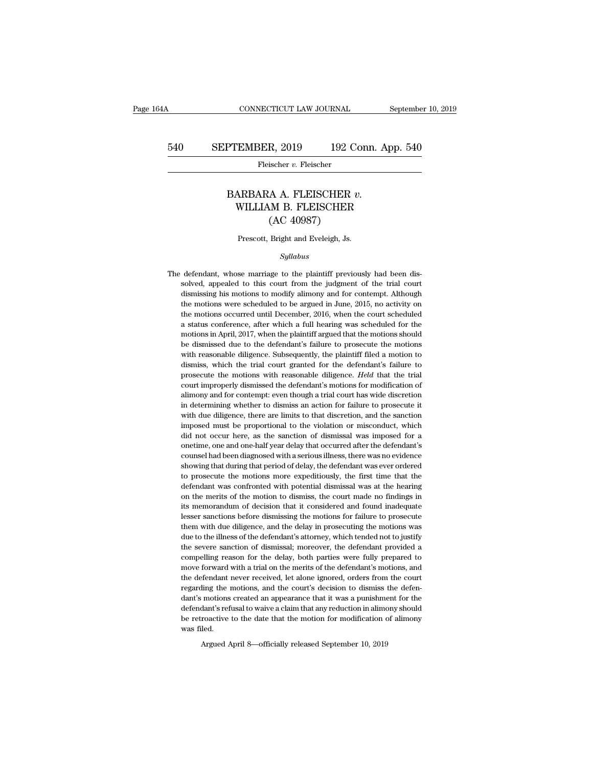# CONNECTICUT LAW JOURNAL September 10, 2019<br>540 SEPTEMBER, 2019 192 Conn. App. 540<br>Fleischer v. Fleischer

Fleischer v. Fleischer

## PTEMBER, 2019 192 Conn. App. 54<br>
Fleischer v. Fleischer<br>
BARBARA A. FLEISCHER v.<br>
WILLIAM B. FLEISCHER<br>
(AC 40097)  $\begin{tabular}{ll} \multicolumn{2}{l}{{\bf Flescher, 2019} } \multicolumn{2}{l}{{\bf 192 Conn. App. 540}}\\ \hline \multicolumn{2}{l}{\bf Flescher $v$. Flescher} \end{tabular}$ <br/> $\begin{tabular}{ll} $\text{ARBARA A. FLEISCHER $v$.}\\ \multicolumn{2}{l}{\bf WILLIAM B. FLEISCHER} $u$.\\ $\text{WILLIAM B. FLEISCHER} $ \end{tabular}$  $R$ , 2019  $192$  C<br>ischer v. Fleischer<br>A A. FLEISCHER v<br>M B. FLEISCHER<br>(AC 40987)<br>Bright and Eveleigh, Js. BARBARA A. FLEISCHER  $v$ .<br>WILLIAM B. FLEISCHER<br>(AC 40987)<br>Prescott, Bright and Eveleigh, Js.

## *Syllabus*

The defendant, whose marriage to the plaintiff previously had been dissolved, appealed to this court from the judgment of the trial court dismissing his motions to modify alimony and for contempt. Although Prescott, Bright and Eveleigh, Js.<br>
Syllabus<br>
defendant, whose marriage to the plaintiff previously had been dis-<br>
solved, appealed to this court from the judgment of the trial court<br>
dismissing his motions to modify alimo Prescott, Bright and Eveleigh, Js.<br>
Syllabus<br>
defendant, whose marriage to the plaintiff previously had been dis-<br>
solved, appealed to this court from the judgment of the trial court<br>
dismissing his motions to modify alimo *Syllabus*<br>defendant, whose marriage to the plaintiff previously had been dis-<br>solved, appealed to this court from the judgment of the trial court<br>dismissing his motions to modify alimony and for contempt. Although<br>the mot syluabus<br>defendant, whose marriage to the plaintiff previously had been dis-<br>solved, appealed to this court from the judgment of the trial court<br>dismissing his motions to modify alimony and for contempt. Although<br>the motio defendant, whose marriage to the plaintiff previously had been dissolved, appealed to this court from the judgment of the trial court dismissing his motions to modify alimony and for contempt. Although the motions were sch solved, appealed to this court from the judgment of the trial court dismissing his motions to modify alimony and for contempt. Although the motions were scheduled to be argued in June, 2015, no activity on the motions occu between species in the dismissing his motions to modify alimony and for contempt. Although the motions were scheduled to be argued in June, 2015, no activity on the motions occurred until December, 2016, when the court sch the motions were scheduled to be argued in June, 2015, no activity on<br>the motions occurred until December, 2016, when the court scheduled<br>a status conference, after which a full hearing was scheduled for the<br>motions in Apr the motions occurred until December, 2016, when the court scheduled a status conference, after which a full hearing was scheduled for the motions in April, 2017, when the plaintiff argued that the motions should be dismiss a status conference, after which a full hearing was scheduled for the motions in April, 2017, when the plaintiff argued that the motions should be dismissed due to the defendant's failure to prosecute the motions with reas motions in April, 2017, when the plaintiff argued that the motions should be dismissed due to the defendant's failure to prosecute the motions with reasonable diligence. Subsequently, the plaintiff filed a motion to dismis be dismissed due to the defendant's failure to prosecute the motions<br>with reasonable diligence. Subsequently, the plaintiff filed a motion to<br>dismiss, which the trial court granted for the defendant's failure to<br>prosecute with reasonable diligence. Subsequently, the plaintiff filed a motion to dismiss, which the trial court granted for the defendant's failure to prosecute the motions with reasonable diligence. *Held* that the trial court im dismiss, which the trial court granted for the defendant's failure to prosecute the motions with reasonable diligence. *Held* that the trial court improperly dismissed the defendant's motions for modification of alimony an imposecute the motions with reasonable diligence. *Held* that the trial court improperly dismissed the defendant's motions for modification of alimony and for contempt: even though a trial court has wide discretion in dete court improperly dismissed the defendant's motions for modification of alimony and for contempt: even though a trial court has wide discretion in determining whether to dismiss an action for failure to prosecute it with du sum any and for contempt: even though a trial court has wide discretion<br>in determining whether to dismiss an action for failure to prosecute it<br>with due diligence, there are limits to that discretion, and the sanction<br>impo in determining whether to dismiss an action for failure to prosecute it with due diligence, there are limits to that discretion, and the sanction imposed must be proportional to the violation or misconduct, which did not o in the during official that during that during the sanction imposed must be proportional to the violation or misconduct, which did not occur here, as the sanction of dismissal was imposed for a onetime, one and one-half ye imposed must be proportional to the violation or misconduct, which<br>did not occur here, as the sanction of dismissal was imposed for a<br>onetime, one and one-half year delay that occurred after the defendant's<br>counsel had bee did not occur here, as the sanction of dismissal was imposed for a onetime, one and one-half year delay that occurred after the defendant's counsel had been diagnosed with a serious illness, there was no evidence showing t onetime, one and one-half year delay that occurred after the defendant's counsel had been diagnosed with a serious illness, there was no evidence showing that during that period of delay, the defendant was ever ordered to counsel had been diagnosed with a serious illness, there was no evidence showing that during that period of delay, the defendant was ever ordered to prosecute the motions more expeditiously, the first time that the defenda showing that during that period of delay, the defendant was ever ordered to prosecute the motions more expeditiously, the first time that the defendant was confronted with potential dismissal was at the hearing on the meri to prosecute the motions more expeditiously, the first time that the defendant was confronted with potential dismissal was at the hearing on the merits of the motion to dismiss, the court made no findings in its memorandum defendant was confronted with potential dismissal was at the hearing on the merits of the motion to dismiss, the court made no findings in its memorandum of decision that it considered and found inadequate lesser sanctions on the merits of the motion to dismisse, the court made no findings in<br>its memorandum of decision that it considered and found inadequate<br>lesser sanctions before dismissing the motions for failure to prosecute<br>them with du its memorandum of decision that it considered and found inadequate lesser sanctions before dismissing the motions for failure to prosecute them with due diligence, and the delay in prosecuting the motions was due to the il lesser sanctions before dismissing the motions for failure to prosecute them with due diligence, and the delay in prosecuting the motions was due to the illness of the defendant's attorney, which tended not to justify the them with due diligence, and the delay in prosecuting the motions was<br>due to the illness of the defendant's attorney, which tended not to justify<br>the severe sanction of dismissal; moreover, the defendant provided a<br>compell due to the illness of the defendant's attorney, which tended not to justify the severe sanction of dismissal; moreover, the defendant provided a compelling reason for the delay, both parties were fully prepared to move for the severe sanction of dismissal; moreover, the defendant provided a compelling reason for the delay, both parties were fully prepared to move forward with a trial on the merits of the defendant's motions, and the defendan compelling reason for the delay, both parties were fully prepared to move forward with a trial on the merits of the defendant's motions, and the defendant never received, let alone ignored, orders from the court regarding move forward with a trial on the merits of the defendant's motions, and the defendant never received, let alone ignored, orders from the court regarding the motions, and the court's decision to dismiss the defendant's moti the defendant never received, let alone ignored, orders from the court regarding the motions, and the court's decision to dismiss the defendant's motions created an appearance that it was a punishment for the defendant's r

Argued April 8—officially released September 10, 2019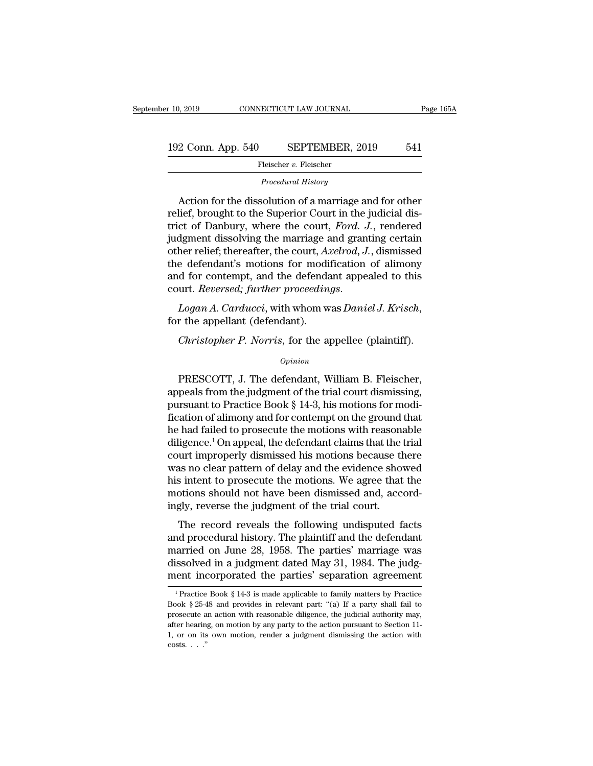## 192 Conn. App. 540 SEPTEMBER, 2019 <sup>541</sup> **Procedural History**<br>*Procedural History*<br>*Procedural History*

Fleischer v. Fleischer

2 Conn. App. 540 SEPTEMBER, 2019 541<br>
Fleischer v. Fleischer<br>
Procedural History<br>
Action for the dissolution of a marriage and for other<br>
lief, brought to the Superior Court in the judicial dis-<br>
ct of Danbury, where the 192 Conn. App. 540 SEPTEMBER, 2019 541<br>
Fleischer v. Fleischer<br>
Procedural History<br>
Action for the dissolution of a marriage and for other<br>
relief, brought to the Superior Court in the judicial dis-<br>
trict of Danbury, wher 192 Conn. App. 540 SEPTEMBER, 2019 541<br>
Fleischer v. Fleischer<br> *Procedural History*<br>
Action for the dissolution of a marriage and for other<br>
relief, brought to the Superior Court in the judicial dis-<br>
trict of Danbury, wh Fleischer v. Fleischer<br>
Procedural History<br>
Action for the dissolution of a marriage and for other<br>
relief, brought to the Superior Court in the judicial dis-<br>
trict of Danbury, where the court, Ford. J., rendered<br>
judgmen Procedural History<br>
Action for the dissolution of a marriage and for other<br>
relief, brought to the Superior Court in the judicial dis-<br>
trict of Danbury, where the court, *Ford. J.*, rendered<br>
judgment dissolving the marri Action for the dissolution of a marriage and for other<br>relief, brought to the Superior Court in the judicial dis-<br>trict of Danbury, where the court, *Ford. J.*, rendered<br>judgment dissolving the marriage and granting certai Action for the dissolution of a marriage and for other<br>relief, brought to the Superior Court in the judicial dis-<br>trict of Danbury, where the court, *Ford. J.*, rendered<br>judgment dissolving the marriage and granting certai relief, brought to the Superior Court in the judicial district of Danbury, where the court, *Ford. J.*, rendered judgment dissolving the marriage and granting certain other relief; thereafter, the court, *Axelrod*, *J.*, d *Christopher P. Norris*, for modification of alimony<br> *Christopher P. And the defendant appealed to this*<br> *Christopher P. Norris*, for the appellee (plaintiff).<br> *Christopher P. Norris*, for the appellee (plaintiff).<br> *Ch* 

*Opinion*

Logan A. Carducci, with whom was Daniel J. Krisch,<br>
r the appellant (defendant).<br>
Christopher P. Norris, for the appellee (plaintiff).<br>
opinion<br>
PRESCOTT, J. The defendant, William B. Fleischer,<br>
peals from the judgment of For the appellant (defendant).<br>  $Christopher P. Norris, for the apple (plaintext).$ <br>  $Opinion$ <br>
PRESCOTT, J. The defendant, William B. Fleischer,<br>
appeals from the judgment of the trial court dismissing,<br>
pursuant to Practice Book § 14-3, his motions for modi-<br> *Christopher P. Norris*, for the appellee (plaintiff).<br>  $\frac{opinion}{D}$ <br>
PRESCOTT, J. The defendant, William B. Fleischer,<br>
appeals from the judgment of the trial court dismissing,<br>
pursuant to Practice Book § 14-3, his motion *Christopher P. Norris*, for the appellee (plaintiff).<br>  $opinion$ <br>
PRESCOTT, J. The defendant, William B. Fleischer,<br>
appeals from the judgment of the trial court dismissing,<br>
pursuant to Practice Book § 14-3, his motions for *Opinion*<br>
PRESCOTT, J. The defendant, William B. Fleischer,<br>
appeals from the judgment of the trial court dismissing,<br>
pursuant to Practice Book § 14-3, his motions for modi-<br>
fication of alimony and for contempt on the PRESCOTT, J. The defendant, William B. Fleischer,<br>appeals from the judgment of the trial court dismissing,<br>pursuant to Practice Book § 14-3, his motions for modi-<br>fication of alimony and for contempt on the ground that<br>he PRESCOTT, J. The defendant, William B. Fleischer,<br>appeals from the judgment of the trial court dismissing,<br>pursuant to Practice Book § 14-3, his motions for modi-<br>fication of alimony and for contempt on the ground that<br>he appeals from the judgment of the trial court dismissing,<br>pursuant to Practice Book § 14-3, his motions for modi-<br>fication of alimony and for contempt on the ground that<br>he had failed to prosecute the motions with reasonabl pursuant to Practice Book § 14-3, his motions for modi-<br>fication of alimony and for contempt on the ground that<br>he had failed to prosecute the motions with reasonable<br>diligence.<sup>1</sup> On appeal, the defendant claims that the fication of alimony and for contempt on the ground that<br>he had failed to prosecute the motions with reasonable<br>diligence.<sup>1</sup> On appeal, the defendant claims that the trial<br>court improperly dismissed his motions because the he had failed to prosecute the motions with reasona<br>diligence.<sup>1</sup> On appeal, the defendant claims that the to<br>court improperly dismissed his motions because th<br>was no clear pattern of delay and the evidence show<br>his intent metals and the transfer and the transfer and the transfer and the evidence showed<br>as no clear pattern of delay and the evidence showed<br>is intent to prosecute the motions. We agree that the<br>otions should not have been dismi was no clear pattern of delay and the evidence showed<br>his intent to prosecute the motions. We agree that the<br>motions should not have been dismissed and, accord-<br>ingly, reverse the judgment of the trial court.<br>The record re

was no cical pattern of delay and the evidence showed<br>his intent to prosecute the motions. We agree that the<br>motions should not have been dismissed and, accord-<br>ingly, reverse the judgment of the trial court.<br>The record re discolved in a judgment of the trial court.<br>The record reveals the following undisputed facts<br>and procedural history. The plaintiff and the defendant<br>married on June 28, 1958. The parties' marriage was<br>dissolved in a judgm motions should not have been distinuised and, accordingly, reverse the judgment of the trial court.<br>The record reveals the following undisputed facts and procedural history. The plaintiff and the defendant married on June nd procedural history. The plaintiff and the defendant<br>arried on June 28, 1958. The parties' marriage was<br>issolved in a judgment dated May 31, 1984. The judg-<br>ent incorporated the parties' separation agreement<br><sup>1</sup>Practice married on June 28, 1958. The parties' marriage was<br>dissolved in a judgment dated May 31, 1984. The judg-<br>ment incorporated the parties' separation agreement<br> $\frac{1}{1}$ Practice Book § 14-3 is made applicable to family matt

dissolved in a judgment dated May 31, 1984. The judgment incorporated the parties' separation agreement<br> $\frac{1}{1}$ Practice Book § 14-3 is made applicable to family matters by Practice<br>Book § 25-48 and provides in relevant ment incorporated the parties' separation agreement<br>
<sup>1</sup> Practice Book § 14-3 is made applicable to family matters by Practice<br>
Book § 25-48 and provides in relevant part: "(a) If a party shall fail to<br>
prosecute an actio <sup>1</sup> Practice Book § 14-3 is made applicable to family matters by Practice Book § 25-48 and provides in relevant part: "(a) If a party shall fail to prosecute an action with reasonable diligence, the judicial authority may Practice<br>Book § 25-4<br>prosecute a<br>after hearing<br>1, or on its<br>costs. . . ."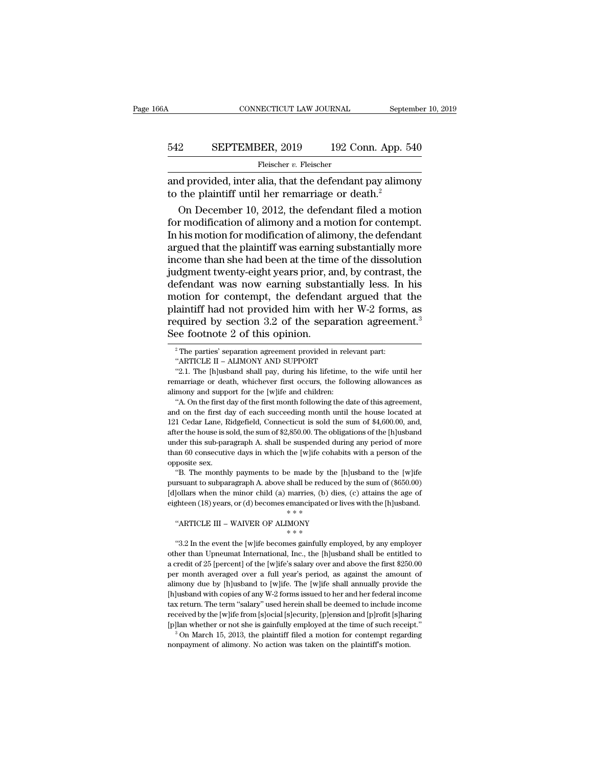# CONNECTICUT LAW JOURNAL September 10, 2019<br>542 SEPTEMBER, 2019 192 Conn. App. 540<br>Fleischer v. Fleischer

Fleischer v. Fleischer

 $\begin{tabular}{ll} \multicolumn{2}{l}{{\small \textbf{COMRECTICUT LAW JOURNAL}}} & \multicolumn{2}{l}{September 10, 2019} \\ \hline \multicolumn{2}{l}{\small \textbf{542}} & \multicolumn{2}{l}{\small \textbf{SEPTEMBER}}, 2019 & \multicolumn{2}{l}{\small \textbf{192 Conn}}. App. 540 \\ & \multicolumn{2}{l}{\small \textbf{Feischer } v. Fleischer} \\ \hline \multicolumn{2}{l}{\small \textbf{and provided, inter alia, that the defendant pay alimony} \\ \hline \multicolumn{2}{l}{\small \textbf{to the plaintiff until her remarriage or death.}$ 542 SEPTEMBER, 2019 192 Conn. App. 5<br>Fleischer v. Fleischer<br>and provided, inter alia, that the defendant pay alimo<br>to the plaintiff until her remarriage or death.<sup>2</sup><br>On December 10, 2012, the defendant filed a moti

**SEPTEMBER, 2019** 192 Conn. App. 540<br>
Fleischer v. Fleischer<br>
d provided, inter alia, that the defendant pay alimony<br>
the plaintiff until her remarriage or death.<sup>2</sup><br>
On December 10, 2012, the defendant filed a motion<br>
r 542 SEPTEMBER, 2019 192 Conn. App. 540<br>
Fleischer v. Fleischer<br>
and provided, inter alia, that the defendant pay alimony<br>
to the plaintiff until her remarriage or death.<sup>2</sup><br>
On December 10, 2012, the defendant filed a mot Fleischer  $v$ . Fleischer<br>
and provided, inter alia, that the defendant pay alimony<br>
to the plaintiff until her remarriage or death.<sup>2</sup><br>
On December 10, 2012, the defendant filed a motion<br>
for modification of alimony and a and provided, inter alia, that the defendant pay alimony<br>to the plaintiff until her remarriage or death.<sup>2</sup><br>On December 10, 2012, the defendant filed a motion<br>for modification of alimony and a motion for contempt.<br>In his m and provided, inter alia, that the defendant pay alimony<br>to the plaintiff until her remarriage or death.<sup>2</sup><br>On December 10, 2012, the defendant filed a motion<br>for modification of alimony and a motion for contempt.<br>In his m to the plaintiff until her remarriage or death.<sup>2</sup><br>On December 10, 2012, the defendant filed a motion<br>for modification of alimony and a motion for contempt.<br>In his motion for modification of alimony, the defendant<br>argued t On December 10, 2012, the defendant filed a motion<br>for modification of alimony and a motion for contempt.<br>In his motion for modification of alimony, the defendant<br>argued that the plaintiff was earning substantially more<br>i for modification of alimony and a motion for contempt.<br>In his motion for modification of alimony, the defendant<br>argued that the plaintiff was earning substantially more<br>income than she had been at the time of the dissolut In his motion for modification of alimony, the defendant<br>argued that the plaintiff was earning substantially more<br>income than she had been at the time of the dissolution<br>judgment twenty-eight years prior, and, by contrast argued that the plaintiff was earning substantially more<br>income than she had been at the time of the dissolution<br>judgment twenty-eight years prior, and, by contrast, the<br>defendant was now earning substantially less. In his income than she had been at the time<br>judgment twenty-eight years prior, at<br>defendant was now earning substa<br>motion for contempt, the defendar<br>plaintiff had not provided him with<br>required by section 3.2 of the sepa<br>See foot motion for contempt, the defendant argued that the plaintiff had not provided him with her W-2 forms, as required by section 3.2 of the separation agreement.<sup>3</sup> See footnote 2 of this opinion.<br><sup>2</sup> The parties' separation laintiff had not provided him with her V<br>
equired by section 3.2 of the separation<br>
ee footnote 2 of this opinion.<br>
<sup>2</sup>The parties' separation agreement provided in releva<br>
"ARTICLE II – ALIMONY AND SUPPORT"<br>
"2.1. The [h] equired by section 3.2 of the separation agreement.<sup>3</sup><br>
<sup>2</sup>The parties' separation agreement provided in relevant part:<br>
<sup>2</sup>The parties' separation agreement provided in relevant part:<br>
"ARTICLE II – ALIMONY AND SUPPORT"<br>

"ARTICLE II – ALIMONY AND SUPPORT"<br>
"2.1. The [h]usband shall pay, during his lifetime, to the wife until her<br>
remarriage or death, whichever first occurs, the following allowances as<br>
alimony and support for the [w]ife a "2.1. The [h] usband shall pay, during his lifetime, to the wife until her remarriage or death, whichever first occurs, the following allowances as alimony and support for the [w] ife and children: "A. On the first day of Franching or death, whichever first occurs, the following allowances as alimony and support for the [w]ife and children:<br>"A. On the first day of the first month following the date of this agreement,<br>and on the first day of European and support for the [w]ife and children:<br>
"A. On the first day of the first month following the date of this agreement,<br>
and on the first day of each succeeding month until the house located at<br>
121 Cedar Lane, R "A. On the first day of the first month following the date of this agreement, and on the first day of each succeeding month until the house located at 121 Cedar Lane, Ridgefield, Connecticut is sold the sum of \$4,600.00, "A. On the first day of the first month following the date of this agreement, and on the first day of each succeeding month until the house located at 121 Cedar Lane, Ridgefield, Connecticut is sold the sum of \$4,600.00, <sup>1</sup> I Cedar Lane, Ridgefield, Connecticut is sold the sum of \$4,600.00, and, ter the house is sold, the sum of \$2,850.00. The obligations of the [h]usband der this sub-paragraph A. shall be suspended during any period of Further the house is sold, the sum of \$2,850.00. The obligations of the [h]usband under this sub-paragraph A. shall be suspended during any period of more than 60 consecutive days in which the [w]ife cohabits with a perso

under this sub-paragraph A. shall be suspended during any period of more<br>than 60 consecutive days in which the [w]ife cohabits with a person of the<br>opposite sex.<br>"B. The monthly payments to be made by the [h]usband to the than 60 consecutive days in which the [w]ife cohabits with a person of the opposite sex.<br>
"B. The monthly payments to be made by the [h]usband to the [w]ife pursuant to subparagraph A. above shall be reduced by the sum of "B. The monthly payments to be made by the [h]usband to the [w]ife pursuant to subparagraph A. above shall be reduced by the sum of (\$650.00) [d]ollars when the minor child (a) marries, (b) dies, (c) attains the age of ei \* \* \* Figure 3.2 In the event the [w]ife becomes gainfully employed, by any employer when the event the [w]ife becomes emancipated or lives with the [h]usband.<br>
"ARTICLE III – WAIVER OF ALIMONY \*\*\*<br>
"3.2 In the event the [w]ife

eighteen (18) years, or (d) becomes emacropated or lives with the [h]usband.<br>
"ARTICLE III – WAIVER OF ALIMONY<br>  $* * *$ <br>
"3.2 In the event the [w]ife becomes gainfully employed, by any employer<br>
other than Upneumat Internat "ARTICLE III – WAIVER OF ALIMONY"<br>  $**$ <br>
"3.2 In the event the [w]ife becomes gainfully employed, by any employer<br>
other than Upneumat International, Inc., the [h]usband shall be entitled to<br>
a credit of 25 [percent] of th other than Upneumat International, Inc., the [h]usband shall be entitled to a credit of 25 [percent] of the [w]ife's salary over and above the first \$250.00 per month averaged over a full year's period, as against the amou ally employed, by any employer<br>  $**$ <br>  $**$ <br>  $**$ <br>
acredit of 25 [percent] of the [w]ife's salary over and above the first \$250.00<br>
per month averaged over a full year's period, as against the amount of<br>
alimony due by [h]usb "3.2 In the event the [w]ife becomes gainfully employed, by any employer other than Upneumat International, Inc., the [h]usband shall be entitled to a credit of 25 [percent] of the [w]ife's salary over and above the first other than Upneumat International, Inc., the [h]usband shall be entitled to a credit of 25 [percent] of the [w]ife's salary over and above the first \$250.00 per month averaged over a full year's period, as against the amou a credit of 25 [percent] of the [w]ife's salary over and above the first \$250.00<br>per month averaged over a full year's period, as against the amount of<br>alimony due by [h]usband to [w]ife. The [w]ife shall annually provide per month averaged over a full year's period, as against the amount of alimony due by [h]usband to [w]ife. The [w]ife shall annually provide the [h]usband with copies of any W-2 forms issued to her and her federal income t [h]usband with copies of any W-2 forms issued to her and her federal income tax return. The term "salary" used herein shall be deemed to include income received by the [w]ife from [s]ocial [s]ecurity, [p]ension and [p]rofi

Frequired by Section 0.2 of the Separation agreement.<br>See footnote 2 of this opinion.<br><sup>2</sup>The parties' separation agreement provided in relevant part:<br>"ARTICLE II – ALIMONY AND SUPPORT<br>"2.1. The [h]usband shall pay, during See TOOLHOTE 2 OT LITS OPHITON.<br>
<sup>2</sup> The parties' separation agreement provided in relearch in the "ARTICLE II – ALIMONY AND SUPPORT "2.1. The [h]usband shall pay, during his lifetime, remarriage or death, whichever first <sup>2</sup> The parties' separation agreement provided in relevant part:<br>
"ARTICLE II – ALIMONY AND SUPPORT"<br>
"2.1. The [h]usband shall pay, during his lifetime, to the wife until her<br>
marriage or death, whichever first occurs, t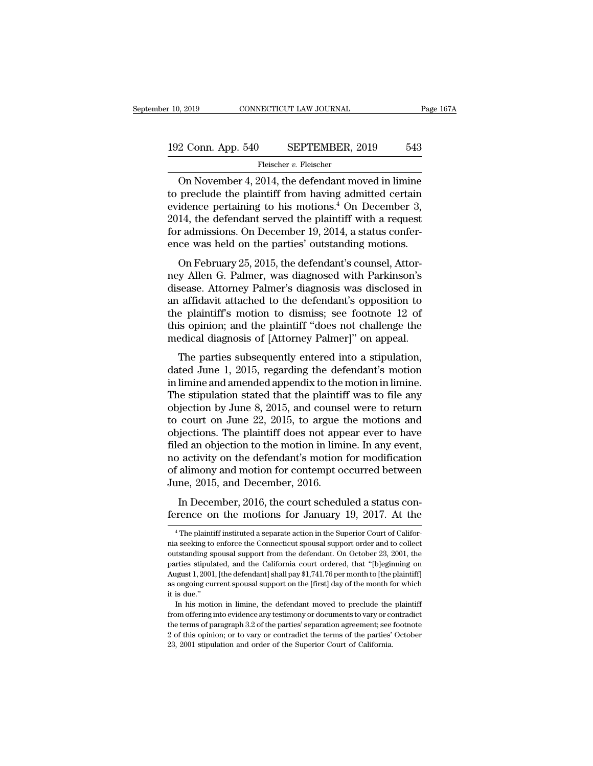# $\begin{tabular}{l l l l} \hline r 10, 2019 & & & & & & \mbox{\textbf{CONNECTICUT LAW JOURNAL}} & \multicolumn{2}{c|}{Page 167A} \\\\ \hline \multicolumn{2}{c|}{192\text{ Conn. App. 540} } & & $\text{SEPTEMBER, 2019} & & $543$ \\\\ \hline & & & \multicolumn{2}{c|}{Fleischer\text{ }v.~{\rm{Feischer}}} \end{tabular}$

## Fleischer *v.* Fleischer

 $\begin{array}{lll} \text{0, 2019} & \text{CONNETICUT LAW JOURNAL} & \text{Page 167A} \ \text{2. Conn. App. 540} & \text{SEPTEMBER, 2019} & \text{543} \ \text{Feischer } v. \text{Feischer} \ \text{On November 4, 2014, the defendant moved in limine} \ \text{preclude the plaintiff from having admitted certain} \ \text{infinite} & \text{infinite} \ \text{infinite} \ \text{infinite} & \text{infinite} \ \text{infinite} \ \text{infinite} \ \text{infinite} \ \text{infinite} \ \text{infinite} \ \text{infinite} \ \text{infinite} \ \text{$ 192 Conn. App. 540 SEPTEMBER, 2019 543<br>
Fleischer v. Fleischer<br>
On November 4, 2014, the defendant moved in limine<br>
to preclude the plaintiff from having admitted certain<br>
evidence pertaining to his motions.<sup>4</sup> On Decembe 192 Conn. App. 540 SEPTEMBER, 2019 543<br>
Fleischer v. Fleischer<br>
On November 4, 2014, the defendant moved in limine<br>
to preclude the plaintiff from having admitted certain<br>
evidence pertaining to his motions.<sup>4</sup> On Decembe 192 Conn. App. 540 SEPTEMBER, 2019 543<br>
Fleischer v. Fleischer<br>
On November 4, 2014, the defendant moved in limine<br>
to preclude the plaintiff from having admitted certain<br>
evidence pertaining to his motions.<sup>4</sup> On Decembe Fleischer v. Fleischer<br>
On November 4, 2014, the defendant moved in limine<br>
to preclude the plaintiff from having admitted certain<br>
evidence pertaining to his motions.<sup>4</sup> On December 3,<br>
2014, the defendant served the pla Fleischer v. Fleischer<br>
On November 4, 2014, the defendant moved in limine<br>
to preclude the plaintiff from having admitted certain<br>
evidence pertaining to his motions.<sup>4</sup> On December 3,<br>
2014, the defendant served the pla on November 4, 2014, the defendant moved in infinite<br>preclude the plaintiff from having admitted certain<br>idence pertaining to his motions.<sup>4</sup> On December 3,<br>14, the defendant served the plaintiff with a request<br>r admissio to precide the plantin from having admitted certain<br>evidence pertaining to his motions.<sup>4</sup> On December 3,<br>2014, the defendant served the plaintiff with a request<br>for admissions. On December 19, 2014, a status confer-<br>ence

Evidence pertaining to fils inotions. On December 5,<br>2014, the defendant served the plaintiff with a request<br>for admissions. On December 19, 2014, a status confer-<br>ence was held on the parties' outstanding motions.<br>On Febr 2014, the detendant served the plaintiff with a request<br>for admissions. On December 19, 2014, a status confer-<br>ence was held on the parties' outstanding motions.<br>On February 25, 2015, the defendant's counsel, Attor-<br>ney Al for admissions. On December 19, 2014, a status conference was held on the parties' outstanding motions.<br>On February 25, 2015, the defendant's counsel, Attor-<br>ney Allen G. Palmer, was diagnosed with Parkinson's<br>disease. Att In The partics of the partics constanting increase.<br>
On February 25, 2015, the defendant's counsel, Attor-<br>
ney Allen G. Palmer, was diagnosed with Parkinson's<br>
disease. Attorney Palmer's diagnosis was disclosed in<br>
an aff On February 25, 2015, the defendant's counsel, Attorney Allen G. Palmer, was diagnosed with Parkinson's disease. Attorney Palmer's diagnosis was disclosed in an affidavit attached to the defendant's opposition to the plain The parties subsequently entered into a stipulation<br>the plaintiff's motion to dismiss; see footnote 12 of<br>is opinion; and the plaintiff "does not challenge the<br>edical diagnosis of [Attorney Palmer]" on appeal.<br>The parties dated June 1, 2015, regarding the defendant's motion to the plaintiff's motion to dismiss; see footnote 12 of this opinion; and the plaintiff "does not challenge the medical diagnosis of [Attorney Palmer]" on appeal.<br>The p

an amazon attached to the detendant s opposition to<br>the plaintiff's motion to dismiss; see footnote 12 of<br>this opinion; and the plaintiff "does not challenge the<br>medical diagnosis of [Attorney Palmer]" on appeal.<br>The parti this opinion; and the plaintiff "does not challenge the<br>medical diagnosis of [Attorney Palmer]" on appeal.<br>The parties subsequently entered into a stipulation,<br>dated June 1, 2015, regarding the defendant's motion<br>in limine redical diagnosis of [Attorney Palmer]" on appeal.<br>
The parties subsequently entered into a stipulation,<br>
dated June 1, 2015, regarding the defendant's motion<br>
in limine and amended appendix to the motion in limine.<br>
The s The parties subsequently entered into a stipulation,<br>dated June 1, 2015, regarding the defendant's motion<br>in limine and amended appendix to the motion in limine.<br>The stipulation stated that the plaintiff was to file any<br>ob The parties subsequently entered into a stipulation,<br>dated June 1, 2015, regarding the defendant's motion<br>in limine and amended appendix to the motion in limine.<br>The stipulation stated that the plaintiff was to file any<br>ob dated June 1, 2015, regarding the defendant's motion<br>in limine and amended appendix to the motion in limine.<br>The stipulation stated that the plaintiff was to file any<br>objection by June 8, 2015, and counsel were to return<br>t in limine and amended appendix to the motion in limine.<br>The stipulation stated that the plaintiff was to file any<br>objection by June 8, 2015, and counsel were to return<br>to court on June 22, 2015, to argue the motions and<br>ob The stipulation stated that the plaintiff was to file any<br>objection by June 8, 2015, and counsel were to return<br>to court on June 22, 2015, to argue the motions and<br>objections. The plaintiff does not appear ever to have<br>fil % objection by June 8, 2015, and counsel were to return to court on June 22, 2015, to argue the motions and objections. The plaintiff does not appear ever to have filed an objection to the motion in limine. In any event, Gentrum state 22, 2010, to algae the motions and<br>igections. The plaintiff does not appear ever to have<br>ed an objection to the motion in limine. In any event,<br>activity on the defendant's motion for modification<br>alimony and filed an objection to the motion in limine. In any event,<br>filed an objection to the motion in limine. In any event,<br>no activity on the defendant's motion for modification<br>of alimony and motion for contempt occurred betwee

implement and December, 2016.<br>
In December, 2016, the court scheduled a status con-<br>
Frence on the motions for January 19, 2017. At the<br>
<sup>4</sup>The plaintiff instituted a separate action in the Superior Court of Califor-<br>
a se

In December, 2016, the court scheduled a status conference on the motions for January 19, 2017. At the  $\frac{4}{1}$  The plaintiff instituted a separate action in the Superior Court of California seeking to enforce the Connect In December, 2016, the court scheduled a status conference on the motions for January 19, 2017. At the  $\overline{ }^4$ The plaintiff instituted a separate action in the Superior Court of California seeking to enforce the Connecti ference on the motions for January 19, 2017. At the<br>
<sup>4</sup> The plaintiff instituted a separate action in the Superior Court of Califor-<br>
mia seeking to enforce the Connecticut spousal support order and to collect<br>
outstandin The defendent of the HOLTOITS TOT January 13, 2011. At the street of California seeking to enforce the Connecticut spousal support order and to collect outstanding spousal support from the defendant. On October 23, 2001, <sup>4</sup> The plaintiff instituted a separate action in the Superior Court of California seeking to enforce the Connecticut spousal support order and to collect outstanding spousal support from the defendant. On October 23, 200 in seeking to<br>nia seeking to<br>outstanding sp<br>parties stipula<br>August 1, 2001,<br>as ongoing cur<br>it is due." outstanding spousal support from the defendant. On October 23, 2001, the parties stipulated, and the California court ordered, that "[b]eginning on August 1, 2001, [the defendant] shall pay \$1,741.76 per month to [the plai parties stipulated, and the California court ordered, that "[b]eginning on August 1, 2001, [the defendant] shall pay  $1,2741.76$  per month to [the plaintiff] as ongoing current spousal support on the [first] day of the mo

Fugust 1, 2001, [the defendant] shall pay \$1,741.76 per month to [the plaintiff] as ongoing current spousal support on the [first] day of the month for which it is due."<br>In his motion in limine, the defendant moved to prec as ongoing current spousal support on the [first] day of the month for which<br>it is due."<br>In his motion in limine, the defendant moved to preclude the plaintiff<br>from offering into evidence any testimony or documents to vary In his motion in limine, the defendant moved to preclude the plaintiff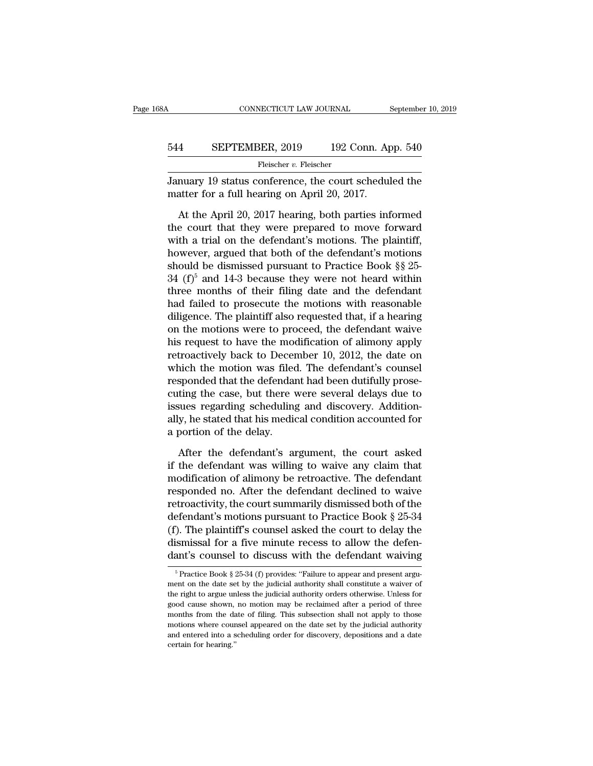## CONNECTICUT LAW JOURNAL September 10, 2019<br>544 SEPTEMBER, 2019 192 Conn. App. 540<br>Fleischer v. Fleischer Fleischer v. Fleischer

CONNECTICUT LAW JOURNAL September 10, 2019<br>
544 SEPTEMBER, 2019 192 Conn. App. 540<br>
Fleischer v. Fleischer<br>
January 19 status conference, the court scheduled the<br>
matter for a full hearing on April 20, 2017. 544 SEPTEMBER, 2019 192 Conn. April 20, 2017<br>Fleischer v. Fleischer<br>January 19 status conference, the court schedul<br>matter for a full hearing on April 20, 2017.<br>At the April 20, 2017 hearing, both parties inf

SEPTEMBER, 2019 192 Conn. App. 540<br>
Fleischer v. Fleischer<br>
muary 19 status conference, the court scheduled the<br>
atter for a full hearing on April 20, 2017.<br>
At the April 20, 2017 hearing, both parties informed<br>
e court th EXEPTENDER, 2019 192 Conn. App. 540<br>
Fleischer v. Fleischer<br>
January 19 status conference, the court scheduled the<br>
matter for a full hearing on April 20, 2017.<br>
At the April 20, 2017 hearing, both parties informed<br>
the c Fleischer v. Fleischer<br>January 19 status conference, the court scheduled the<br>matter for a full hearing on April 20, 2017.<br>At the April 20, 2017 hearing, both parties informed<br>the court that they were prepared to move forw January 19 status conference, the court scheduled the<br>matter for a full hearing on April 20, 2017.<br>At the April 20, 2017 hearing, both parties informed<br>the court that they were prepared to move forward<br>with a trial on the matter for a full hearing on April 20, 2017.<br>At the April 20, 2017 hearing, both parties informed<br>the court that they were prepared to move forward<br>with a trial on the defendant's motions. The plaintiff,<br>however, argued t At the April 20, 2017 hearing, both parties informed<br>the court that they were prepared to move forward<br>with a trial on the defendant's motions. The plaintiff,<br>however, argued that both of the defendant's motions<br>should be At the April 20, 2017 hearing, both parties informed<br>the court that they were prepared to move forward<br>with a trial on the defendant's motions. The plaintiff,<br>however, argued that both of the defendant's motions<br>should be the court that they were prepared to move forward<br>with a trial on the defendant's motions. The plaintiff,<br>however, argued that both of the defendant's motions<br>should be dismissed pursuant to Practice Book §§ 25-<br>34 (f)<sup>5</sup> with a trial on the defendant's motions. The plaintiff,<br>however, argued that both of the defendant's motions<br>should be dismissed pursuant to Practice Book §§ 25-<br> $34$  (f)<sup>5</sup> and 14-3 because they were not heard within<br>thr however, argued that both of the defendant's motions<br>should be dismissed pursuant to Practice Book §§ 25-<br>34 (f)<sup>5</sup> and 14-3 because they were not heard within<br>three months of their filing date and the defendant<br>had faile should be dismissed pursuant to Practice Book  $\S$  25-<br>34 (f)<sup>5</sup> and 14-3 because they were not heard within<br>three months of their filing date and the defendant<br>had failed to prosecute the motions with reasonable<br>diligence 34 (f)<sup>5</sup> and 14-3 because they were not heard within<br>three months of their filing date and the defendant<br>had failed to prosecute the motions with reasonable<br>diligence. The plaintiff also requested that, if a hearing<br>on t three months of their filing date and the defendant<br>had failed to prosecute the motions with reasonable<br>diligence. The plaintiff also requested that, if a hearing<br>on the motions were to proceed, the defendant waive<br>his req had failed to prosecute the motions with reasonable<br>diligence. The plaintiff also requested that, if a hearing<br>on the motions were to proceed, the defendant waive<br>his request to have the modification of alimony apply<br>retro diligence. The plaintiff also requested that, if a hearing<br>on the motions were to proceed, the defendant waive<br>his request to have the modification of alimony apply<br>retroactively back to December 10, 2012, the date on<br>whic on the motions were to proceed, the defendant waive<br>his request to have the modification of alimony apply<br>retroactively back to December 10, 2012, the date on<br>which the motion was filed. The defendant's counsel<br>responded t his request to have the modification of alimony apply<br>retroactively back to December 10, 2012, the date on<br>which the motion was filed. The defendant's counsel<br>responded that the defendant had been dutifully prose-<br>cuting t retroactively back to Decer<br>which the motion was filed<br>responded that the defendar<br>cuting the case, but there v<br>issues regarding scheduling<br>ally, he stated that his medic<br>a portion of the delay.<br>After the defendant's an sponded that the defendant had been dutifully proseting the case, but there were several delays due to<br>sues regarding scheduling and discovery. Addition-<br>y, he stated that his medical condition accounted for<br>portion of the cuting the case, but there were several delays due to<br>issues regarding scheduling and discovery. Addition-<br>ally, he stated that his medical condition accounted for<br>a portion of the delay.<br>After the defendant's argument, th

issues regarding scheduling and discovery. Additionally, he stated that his medical condition accounted for a portion of the delay.<br>After the defendant's argument, the court asked if the defendant was willing to waive any ally, he stated that his medical condition accounted for<br>a portion of the delay.<br>After the defendant's argument, the court asked<br>if the defendant was willing to waive any claim that<br>modification of alimony be retroactive. a portion of the delay.<br>
After the defendant's argument, the court asked<br>
if the defendant was willing to waive any claim that<br>
modification of alimony be retroactive. The defendant<br>
responded no. After the defendant decl After the defendant's argument, the court asked<br>if the defendant was willing to waive any claim that<br>modification of alimony be retroactive. The defendant<br>responded no. After the defendant declined to waive<br>retroactivity, After the defendant's argument, the court asked<br>if the defendant was willing to waive any claim that<br>modification of alimony be retroactive. The defendant<br>responded no. After the defendant declined to waive<br>retroactivity, if the defendant was willing to waive any claim that<br>modification of alimony be retroactive. The defendant<br>responded no. After the defendant declined to waive<br>retroactivity, the court summarily dismissed both of the<br>defend modification of alimony be retroactive. The defendant<br>
responded no. After the defendant declined to waive<br>
retroactivity, the court summarily dismissed both of the<br>
defendant's motions pursuant to Practice Book § 25-34<br> Exercise Book § 25-34<br>
5 Practice Book § 25-34<br>
5 Practice Book § 25-34 (f) provides: "Failure to appear and present argu-<br>
<sup>5</sup> Practice Book § 25-34 (f) provides: "Failure to appear and present argu-<br>
<sup>5</sup> Practice Book § (f). The plaintiff's counsel asked the court to delay the dismissal for a five minute recess to allow the defendant's counsel to discuss with the defendant waiving  $\frac{1}{\pi}$  Practice Book § 25-34 (f) provides: "Failure t

dismissal for a five minute recess to allow the defen-<br>dant's counsel to discuss with the defendant waiving<br> $\frac{1}{\sqrt{2}}$ <br> $\frac{1}{\sqrt{2}}$ <br> $\frac{1}{\sqrt{2}}$   $\frac{1}{\sqrt{2}}$   $\frac{1}{\sqrt{2}}$   $\frac{1}{\sqrt{2}}$   $\frac{1}{\sqrt{2}}$   $\frac{1}{\sqrt{2}}$   $\frac{1}{\sqrt{$ dant's counsel to discuss with the defendant waiving<br>
<sup>5</sup> Practice Book § 25-34 (f) provides: "Failure to appear and present argument on the date set by the judicial authority shall constitute a waiver of the right to argu  $\frac{1}{2}$   $\frac{1}{2}$   $\frac{1}{2}$   $\frac{1}{2}$   $\frac{1}{2}$   $\frac{1}{2}$   $\frac{1}{2}$   $\frac{1}{2}$   $\frac{1}{2}$   $\frac{1}{2}$  provides: "Failure to appear and present argument on the date set by the judicial authority shall constitute a waiver of <sup>5</sup> Practice Book § 25-34 (f) provides: "Failure to appear and present argument on the date set by the judicial authority shall constitute a waiver of the right to argue unless the judicial authority orders otherwise. Unl ment on the date set by the judicial authority shall constitute a waiver of the right to argue unless the judicial authority orders otherwise. Unless for good cause shown, no motion may be reclaimed after a period of three ment on the date set by the judicial authority shall constitute a waiver of the right to argue unless the judicial authority orders otherwise. Unless for good cause shown, no motion may be reclaimed after a period of three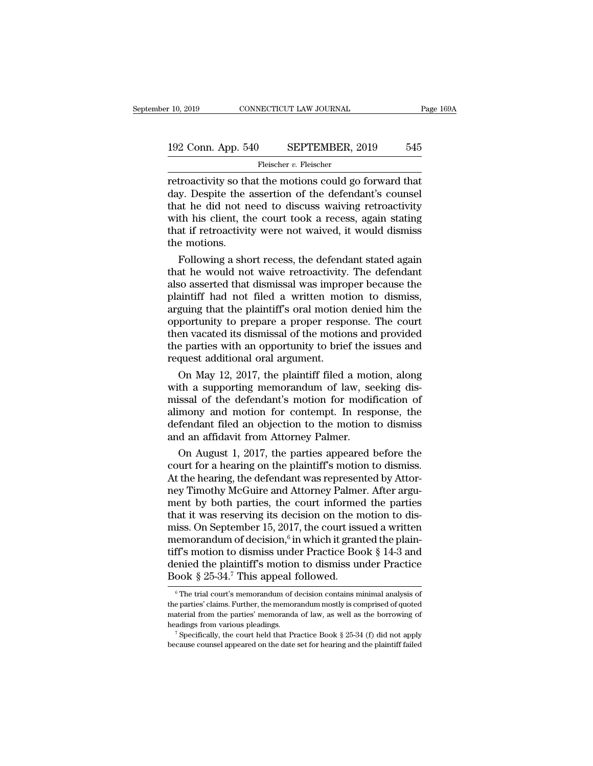# $\begin{tabular}{l l l l l} \hline r 10, 2019 & & & & & & \textbf{CoNNECTICUT LAW JOURNAL} & \multicolumn{2}{c}{\textbf{Page 169A}} \\ \hline \multicolumn{2}{c}{\textbf{192 Conn. App. 540} & \multicolumn{2}{c}{\textbf{SEPTEMBER, 2019} & \textbf{545}} \\ \hline \multicolumn{2}{c}{\textbf{Fleischer $v$. Fleischer} } \end{tabular}$

Fleischer *v.* Fleischer

retroactivity so that the motions could go forward that<br>
the motions could go forward that<br>
the motions could go forward that<br>
that he did not need to discuss waiving retroactivity<br>
that he did not need to discuss waiving 192 Conn. App. 540 SEPTEMBER, 2019 545<br>
Fleischer v. Fleischer<br>
Fleischer v. Fleischer<br>
Tetroactivity so that the motions could go forward that<br>
day. Despite the assertion of the defendant's counsel<br>
that he did not need 192 Conn. App. 540 SEPTEMBER, 2019 545<br>
Fleischer v. Fleischer<br>
retroactivity so that the motions could go forward that<br>
day. Despite the assertion of the defendant's counsel<br>
that he did not need to discuss waiving retro 192 Conn. App. 540 SEPTEMBER, 2019 545<br>
Fleischer v. Fleischer<br>
retroactivity so that the motions could go forward that<br>
day. Despite the assertion of the defendant's counsel<br>
that he did not need to discuss waiving retro Fleischer v. Fleischer<br>
Tetroactivity so that the motions could go forward that<br>
day. Despite the assertion of the defendant's counsel<br>
that he did not need to discuss waiving retroactivity<br>
with his client, the court too retroactivity so th<br>day. Despite the a<br>that he did not n<br>with his client, th<br>that if retroactivit<br>the motions.<br>Following a sho troactivity so that the motions could go forward that<br>y. Despite the assertion of the defendant's counsel<br>at he did not need to discuss waiving retroactivity<br>th his client, the court took a recess, again stating<br>at if retr day. Despite the assertion of the defendant's counsel<br>that he did not need to discuss waiving retroactivity<br>with his client, the court took a recess, again stating<br>that if retroactivity were not waived, it would dismiss<br>th

that he did not need to discuss waiving retroactivity<br>with his client, the court took a recess, again stating<br>that if retroactivity were not waived, it would dismiss<br>the motions.<br>Following a short recess, the defendant sta with his client, the court took a recess, again stating<br>that if retroactivity were not waived, it would dismiss<br>the motions.<br>Following a short recess, the defendant stated again<br>that he would not waive retroactivity. The d that if retroactivity were not waived, it would dismiss<br>the motions.<br>Following a short recess, the defendant stated again<br>that he would not waive retroactivity. The defendant<br>also asserted that dismissal was improper becau the motions.<br>Following a short recess, the defendant stated again<br>that he would not waive retroactivity. The defendant<br>also asserted that dismissal was improper because the<br>plaintiff had not filed a written motion to dismi Following a short recess, the defendant stated again<br>that he would not waive retroactivity. The defendant<br>also asserted that dismissal was improper because the<br>plaintiff had not filed a written motion to dismiss,<br>arguing t that he would not waive retroactivity. The defendant<br>also asserted that dismissal was improper because the<br>plaintiff had not filed a written motion to dismiss,<br>arguing that the plaintiff's oral motion denied him the<br>opport also asserted that dismissal was impro<br>plaintiff had not filed a written mot<br>arguing that the plaintiff's oral motion<br>opportunity to prepare a proper respe<br>then vacated its dismissal of the motion<br>the parties with an oppor anntiff had not filed a written motion to dismiss,<br>guing that the plaintiff's oral motion denied him the<br>portunity to prepare a proper response. The court<br>en vacated its dismissal of the motions and provided<br>e parties with arguing that the plaintiff's oral motion denied him the<br>opportunity to prepare a proper response. The court<br>then vacated its dismissal of the motions and provided<br>the parties with an opportunity to brief the issues and<br>req

opportunity to prepare a proper response. The court<br>then vacated its dismissal of the motions and provided<br>the parties with an opportunity to brief the issues and<br>request additional oral argument.<br>On May 12, 2017, the plai then vacated its dismissal of the motions and provided<br>the parties with an opportunity to brief the issues and<br>request additional oral argument.<br>On May 12, 2017, the plaintiff filed a motion, along<br>with a supporting memora the parties with an opportunity to brief the issues and<br>request additional oral argument.<br>On May 12, 2017, the plaintiff filed a motion, along<br>with a supporting memorandum of law, seeking dis-<br>missal of the defendant's mot request additional oral argument.<br>
On May 12, 2017, the plaintiff filed a mot<br>
with a supporting memorandum of law, se<br>
missal of the defendant's motion for modif<br>
alimony and motion for contempt. In resp<br>
defendant filed On May 12, 2017, the plaintiff filed a motion, along<br>th a supporting memorandum of law, seeking dis-<br>issal of the defendant's motion for modification of<br>mony and motion for contempt. In response, the<br>fendant filed an obje with a supporting memorandum of law, seeking dis-<br>missal of the defendant's motion for modification of<br>alimony and motion for contempt. In response, the<br>defendant filed an objection to the motion to dismiss<br>and an affidavi

missal of the defendant's motion for modification of<br>alimony and motion for contempt. In response, the<br>defendant filed an objection to the motion to dismiss<br>and an affidavit from Attorney Palmer.<br>On August 1, 2017, the par alimony and motion for contempt. In response, the<br>defendant filed an objection to the motion to dismiss<br>and an affidavit from Attorney Palmer.<br>On August 1, 2017, the parties appeared before the<br>court for a hearing on the p defendant filed an objection to the motion to dismiss<br>and an affidavit from Attorney Palmer.<br>On August 1, 2017, the parties appeared before the<br>court for a hearing on the plaintiff's motion to dismiss.<br>At the hearing, the and an affidavit from Attorney Palmer.<br>
On August 1, 2017, the parties appeared before the<br>
court for a hearing on the plaintiff's motion to dismiss.<br>
At the hearing, the defendant was represented by Attor-<br>
ney Timothy M On August 1, 2017, the parties appeared before the<br>court for a hearing on the plaintiff's motion to dismiss.<br>At the hearing, the defendant was represented by Attor-<br>ney Timothy McGuire and Attorney Palmer. After argu-<br>men court for a hearing on the plaint<br>At the hearing, the defendant was<br>ney Timothy McGuire and Attorn<br>ment by both parties, the court<br>that it was reserving its decision<br>miss. On September 15, 2017, the<br>memorandum of decision, plaintiff's motion to dismiss.<br>
In was represented by Attor-<br>
Attorney Palmer. After argu-<br>
court informed the parties<br>
cision on the motion to dis-<br>
7, the court issued a written<br>
in which it granted the plain-<br>
ler Pract At the hearing, the defendant was represented by Attor-<br>ney Timothy McGuire and Attorney Palmer. After argu-<br>ment by both parties, the court informed the parties<br>that it was reserving its decision on the motion to dis-<br>mis ney Timothy McGuire and Attorney Palmer. After argument by both parties, the court informed the parties that it was reserving its decision on the motion to dismiss. On September 15, 2017, the court issued a written memora ment by both parties, the court informed that it was reserving its decision on the m<br>miss. On September 15, 2017, the court issumemorandum of decision,  $6$  in which it gran<br>tiff's motion to dismiss under Practice Boodenie is morthly in which it granted the plain-<br>ff's motion to dismiss under Practice Book § 14-3 and<br>enied the plaintiff's motion to dismiss under Practice<br>ook § 25-34.<sup>7</sup> This appeal followed.<br><sup>6</sup>The trial court's memorandum tiff's motion to dismiss under Practice Book § 14-3 and<br>denied the plaintiff's motion to dismiss under Practice<br>Book § 25-34.<sup>7</sup> This appeal followed.<br><sup>6</sup> The trial court's memorandum of decision contains minimal analysis

denied the plaintiff's motion to dismiss under Practice<br>Book § 25-34.<sup>7</sup> This appeal followed.<br> $\frac{1}{\pi}$  The trial court's memorandum of decision contains minimal analysis of<br>the parties' claims. Further, the memorandum Herat divergiant is interest to distribused.<br>
For the trial court's memorandum of decision contains minimal analysis of<br>
the parties' claims. Further, the memorandum mostly is comprised of quoted<br>
material from the partie the parties' claims. Further, the memorandum mostly is comprised of quoted material from the parties' memoranda of law, as well as the borrowing of headings from various pleadings.<br>
<sup>7</sup> Specifically, the court held that P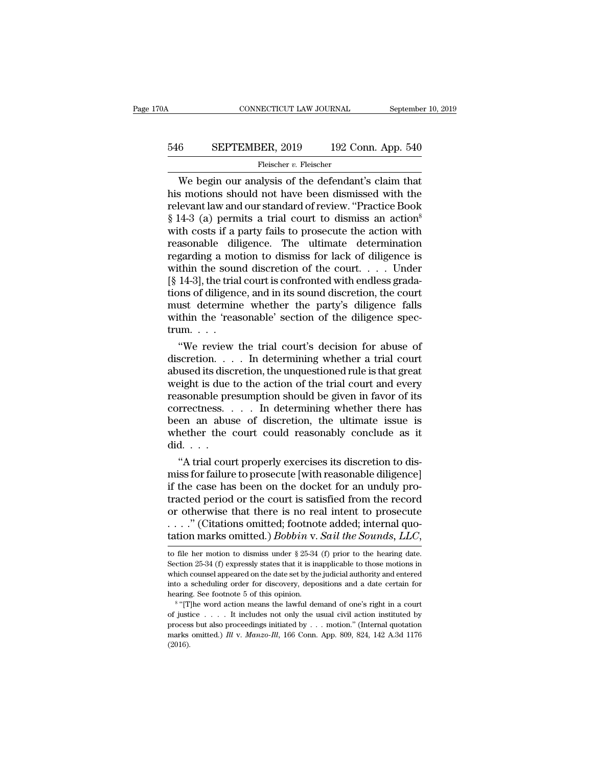# CONNECTICUT LAW JOURNAL September 10, 2019<br>546 SEPTEMBER, 2019 192 Conn. App. 540<br>Fleischer v. Fleischer

## Fleischer v. Fleischer

CONNECTICUT LAW JOURNAL September 10, 2019<br>
SEPTEMBER, 2019 192 Conn. App. 540<br>
Fleischer v. Fleischer<br>
We begin our analysis of the defendant's claim that<br>
s motions should not have been dismissed with the<br>
levent law and 546 SEPTEMBER, 2019 192 Conn. App. 540<br>
Fleischer v. Fleischer<br>
We begin our analysis of the defendant's claim that<br>
his motions should not have been dismissed with the<br>
relevant law and our standard of review. "Practice EXEPTEMBER, 2019 192 Conn. App. 540<br>
Fleischer v. Fleischer<br>
We begin our analysis of the defendant's claim that<br>
his motions should not have been dismissed with the<br>
relevant law and our standard of review. "Practice Boo **EXEPTEMBER, 2019** 192 Conn. App. 540<br>
Fleischer *v.* Fleischer<br>
We begin our analysis of the defendant's claim that<br>
his motions should not have been dismissed with the<br>
relevant law and our standard of review. "Practice We begin our analysis of the defendant's claim that<br>his motions should not have been dismissed with the<br>relevant law and our standard of review. "Practice Book<br> $$14-3$  (a) permits a trial court to dismiss an action<sup>8</sup><br>wit Fleischer v. Fleischer<br>We begin our analysis of the defendant's claim that<br>his motions should not have been dismissed with the<br>relevant law and our standard of review. "Practice Book<br> $§$  14-3 (a) permits a trial court to We begin our analysis of the defendant's claim that<br>his motions should not have been dismissed with the<br>relevant law and our standard of review. "Practice Book<br>§ 14-3 (a) permits a trial court to dismiss an action<sup>8</sup><br>with his motions should not have been dismissed with the relevant law and our standard of review. "Practice Book  $§$  14-3 (a) permits a trial court to dismiss an action<sup>8</sup> with costs if a party fails to prosecute the action wi relevant law and our standard of review. "Practice Book § 14-3 (a) permits a trial court to dismiss an action<sup>8</sup> with costs if a party fails to prosecute the action with reasonable diligence. The ultimate determination reg  $\S$  14-3 (a) permits a trial court to dismiss an action<sup>8</sup><br>with costs if a party fails to prosecute the action with<br>reasonable diligence. The ultimate determination<br>regarding a motion to dismiss for lack of diligence is<br>w with costs if a party fails to prosecute the action with<br>reasonable diligence. The ultimate determination<br>regarding a motion to dismiss for lack of diligence is<br>within the sound discretion of the court.... Under<br>[§ 14-3], reasonable diligence. The ultimate determination regarding a motion to dismiss for lack of diligence is within the sound discretion of the court.... Under  $[\S 14-3]$ , the trial court is confronted with endless gradations trum. . . . thin the sound discretion of the court. . . . Under<br>
14-3], the trial court is confronted with endless grada-<br>
ons of diligence, and in its sound discretion, the court<br>
ust determine whether the party's diligence falls<br>
t [§ 14-3], the trial court is contronted with endless gradations of diligence, and in its sound discretion, the court<br>must determine whether the party's diligence falls<br>within the 'reasonable' section of the diligence spec

tions of diligence, and in its sound discretion, the court<br>must determine whether the party's diligence falls<br>within the 'reasonable' section of the diligence spec-<br>trum....<br>"We review the trial court's decision for abuse must determine whether the party's diligence falls<br>within the 'reasonable' section of the diligence spec-<br>trum....<br>"We review the trial court's decision for abuse of<br>discretion.... In determining whether a trial court<br>abu within the 'reasonable' section of the diligence spec-<br>trum....<br>"We review the trial court's decision for abuse of<br>discretion.... In determining whether a trial court<br>abused its discretion, the unquestioned rule is that g trum. . . .<br>
"We review the trial court's decision for abuse of discretion. . . . . In determining whether a trial court<br>
abused its discretion, the unquestioned rule is that great<br>
weight is due to the action of the tria "We review the trial court's decision for abuse of discretion. . . . In determining whether a trial court abused its discretion, the unquestioned rule is that great weight is due to the action of the trial court and every discretion. . . . In determining whether a trial court<br>abused its discretion, the unquestioned rule is that great<br>weight is due to the action of the trial court and every<br>reasonable presumption should be given in favor of abused its disc<br>weight is due<br>reasonable pre<br>correctness.<br>been an abus<br>whether the<br>did.....<br>"A trial cou Eight is due to the action of the trial court and every<br>assonable presumption should be given in favor of its<br>rrectness. . . . In determining whether there has<br>en an abuse of discretion, the ultimate issue is<br>nether the c reasonable presumption should be given in favor of its<br>correctness. . . . . In determining whether there has<br>been an abuse of discretion, the ultimate issue is<br>whether the court could reasonably conclude as it<br>did. . . .<br>"

correctness.  $\ldots$  in determining whether there has<br>been an abuse of discretion, the ultimate issue is<br>whether the court could reasonably conclude as it<br>did.  $\ldots$ <br>"A trial court properly exercises its discretion to dis-<br> been an abuse of discretion, the ultimate issue is<br>whether the court could reasonably conclude as it<br>did....<br>"A trial court properly exercises its discretion to dis-<br>miss for failure to prosecute [with reasonable diligenc whether the court could reasonably conclude as it<br>did....<br>"A trial court properly exercises its discretion to dis-<br>miss for failure to prosecute [with reasonable diligence]<br>if the case has been on the docket for an unduly . . . .'' (Citations omitted; footnote added; internal quo-"A trial court properly exercises its discretion to dismiss for failure to prosecute [with reasonable diligence]<br>if the case has been on the docket for an unduly pro-<br>tracted period or the court is satisfied from the reco tracted period or the court is satisfied from the record<br>or otherwise that there is no real intent to prosecute<br>...." (Citations omitted; footnote added; internal quo-<br>tation marks omitted.) *Bobbin* v. *Sail the Sounds*, or otherwise that there is no real intent to prosecute<br>  $\ldots$ ." (Citations omitted; footnote added; internal quo-<br>
tation marks omitted.) *Bobbin* v. *Sail the Sounds*, *LLC*,<br>
to file her motion to dismiss under § 25-34

which counsel appeared on the date set by the *Sounds, LLC*, to file her motion to dismiss under § 25-34 (f) prior to the hearing date. Section 25-34 (f) expressly states that it is inapplicable to those motions in which **tation marks omitted.)** *Bobbin v. Sail the Sounds, LLC,* to file her motion to dismiss under § 25-34 (f) prior to the hearing date. Section 25-34 (f) expressly states that it is inapplicable to those motions in which co **LALION INATKS ONITTED.** JOUTH V.<br>
to file her motion to dismiss under  $\S$  25-34<br>
Section 25-34 (f) expressly states that it is in<br>
which counsel appeared on the date set by the<br>
into a scheduling order for discovery, dep file her motion to dismiss under § 25-34 (f) prior to the hearing date.<br>
tion 25-34 (f) expressly states that it is inapplicable to those motions in<br>
ch counsel appeared on the date set by the judicial authority and enter Section 25-34 (f) expressly states that it is inapplicable to those motions in which counsel appeared on the date set by the judicial authority and entered into a scheduling order for discovery, depositions and a date cer

which counsel appeared on the date set by the judicial authority and entered into a scheduling order for discovery, depositions and a date certain for hearing. See footnote 5 of this opinion.<br><sup>8</sup> "[T]he word action means marks omitted.) *Ill* v. *Manzo-Ill*, 166 Conn. App. 809, 824, 142 A.3d 1176 (2016).<br>
<sup>8</sup> "[The word action means the lawful demand of one's right in a court of justice . . . . It includes not only the usual civil action (2016).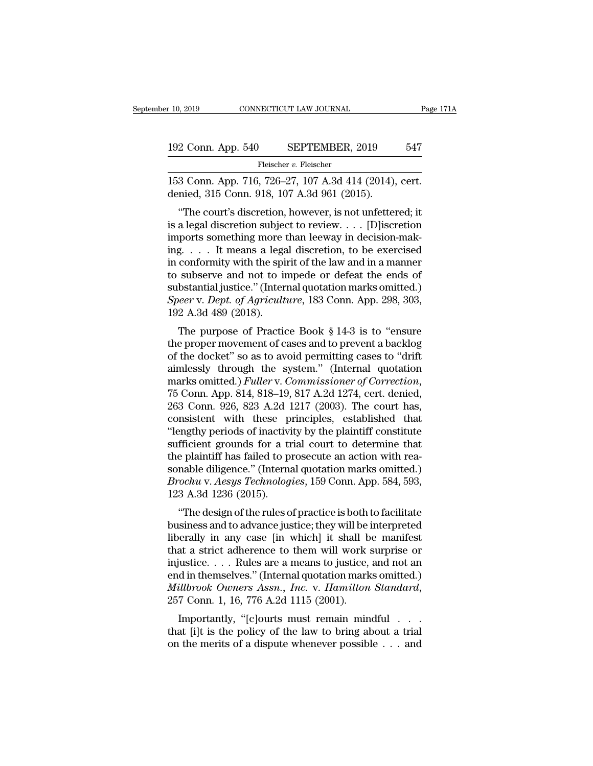# 10, 2019 CONNECTICUT LAW JOURNAL Page 171A<br>192 Conn. App. 540 SEPTEMBER, 2019 547<br>Fleischer v. Fleischer

Fleischer v. Fleischer

10, 2019 CONNECTICUT LAW JOURNAL Page 17<br>
192 Conn. App. 540 SEPTEMBER, 2019 547<br>
Fleischer v. Fleischer<br>
153 Conn. App. 716, 726–27, 107 A.3d 414 (2014), cert.<br>
denied, 315 Conn. 918, 107 A.3d 961 (2015). 192 Conn. App. 540 SEPTEMBER, 2019<br>
Fleischer v. Fleischer<br>
153 Conn. App. 716, 726–27, 107 A.3d 414 (2014),<br>
denied, 315 Conn. 918, 107 A.3d 961 (2015).<br>
"The court's discretion, however, is not unfetter

<sup>2</sup> Conn. App. 540 SEPTEMBER, 2019 547<br>
Fleischer v. Fleischer<br>
3 Conn. App. 716, 726–27, 107 A.3d 414 (2014), cert.<br>
ried, 315 Conn. 918, 107 A.3d 961 (2015).<br>
"The court's discretion, however, is not unfettered; it<br>
a l 192 Conn. App. 540 SEPTEMBER, 2019 547<br>
Fleischer v. Fleischer<br>
153 Conn. App. 716, 726–27, 107 A.3d 414 (2014), cert.<br>
denied, 315 Conn. 918, 107 A.3d 961 (2015).<br>
"The court's discretion, however, is not unfettered; it<br> Fleischer v. Fleischer<br>153 Conn. App. 716, 726–27, 107 A.3d 414 (2014), cert.<br>denied, 315 Conn. 918, 107 A.3d 961 (2015).<br>"The court's discretion, however, is not unfettered; it<br>is a legal discretion subject to review.... 153 Conn. App. 716, 726–27, 107 A.3d 414 (2014), cert.<br>denied, 315 Conn. 918, 107 A.3d 961 (2015).<br>"The court's discretion, however, is not unfettered; it<br>is a legal discretion subject to review.... [D]iscretion<br>imports s Foo Collit. App. 710, 720–27, 107 A.3d 414 (2014), Cert.<br>denied, 315 Conn. 918, 107 A.3d 961 (2015).<br>"The court's discretion, however, is not unfettered; it<br>is a legal discretion subject to review.... [D] iscretion<br>import The court's discretion, however, is not unfettered; it<br>is a legal discretion subject to review. . . . [D] iscretion<br>imports something more than leeway in decision-mak-<br>ing. . . . It means a legal discretion, to be exercis "The court's discretion, however, is not unfettered; it<br>is a legal discretion subject to review.... [D] iscretion<br>imports something more than leeway in decision-mak-<br>ing.... It means a legal discretion, to be exercised<br>in is a legal discretion subject to review. . . . [D]iscretion<br>imports something more than leeway in decision-mak-<br>ing. . . . It means a legal discretion, to be exercised<br>in conformity with the spirit of the law and in a mann imports something more ting. . . . It means a legatin conformity with the spit to subserve and not to in substantial justice." (Inter Speer v. Dept. of Agricult 192 A.3d 489 (2018). The purpose of Practic g.  $\ldots$  it includes a regal discretion, to be exercised conformity with the spirit of the law and in a manner subserve and not to impede or defeat the ends of bstantial justice." (Internal quotation marks omitted.) eer v In conforming with the spirit of the law and in a mailler<br>to subserve and not to impede or defeat the ends of<br>substantial justice." (Internal quotation marks omitted.)<br>Speer v. Dept. of Agriculture, 183 Conn. App. 298, 303

to subserve and not to impede or deteat the ends of<br>substantial justice." (Internal quotation marks omitted.)<br>Speer v. Dept. of Agriculture, 183 Conn. App. 298, 303,<br>192 A.3d 489 (2018).<br>The purpose of Practice Book § 14-Substantial justice. (Internal quotation marks on<br>integral of Agriculture, 183 Conn. App. 298, 303, 192 A.3d 489 (2018).<br>The purpose of Practice Book § 14-3 is to "ensure<br>the proper movement of cases and to prevent a back marks omitted.) *Fuller* v. *Conn.* App. 236, 303, 192 A.3d 489 (2018).<br>The purpose of Practice Book § 14-3 is to "ensure the proper movement of cases and to prevent a backlog of the docket" so as to avoid permitting cases The purpose of Practice Book § 14-3 is to "ensure<br>the proper movement of cases and to prevent a backlog<br>of the docket" so as to avoid permitting cases to "drift<br>aimlessly through the system." (Internal quotation<br>marks omi the proper movement of cases and to prevent a backlog<br>of the docket" so as to avoid permitting cases to "drift<br>aimlessly through the system." (Internal quotation<br>marks omitted.) *Fuller* v. Commissioner of Correction,<br>75 C of the docket" so as to avoid permitting cases to "drift<br>aimlessly through the system." (Internal quotation<br>marks omitted.) *Fuller* v. Commissioner of Correction,<br>75 Conn. App. 814, 818–19, 817 A.2d 1274, cert. denied,<br>26 aimlessly through the system." (Internal quotation<br>marks omitted.) Fuller v. Commissioner of Correction,<br>75 Conn. App. 814, 818–19, 817 A.2d 1274, cert. denied,<br>263 Conn. 926, 823 A.2d 1217 (2003). The court has,<br>consisten marks omitted.) *Fuller* v. *Commissioner of Correction*,<br>75 Conn. App. 814, 818–19, 817 A.2d 1274, cert. denied,<br>263 Conn. 926, 823 A.2d 1217 (2003). The court has,<br>consistent with these principles, established that<br>"leng 75 Conn. App. 814, 818–19, 817 A.2d 1274, cert. denied, 263 Conn. 926, 823 A.2d 1217 (2003). The court has, consistent with these principles, established that "lengthy periods of inactivity by the plaintiff constitute suff 263 Conn. 926, 823 A.2d 1217 (2003). The court has, consistent with these principles, established that "lengthy periods of inactivity by the plaintiff constitute sufficient grounds for a trial court to determine that the p consistent with these p<br>
"lengthy periods of inactivi<br>
sufficient grounds for a tr<br>
the plaintiff has failed to p<br>
sonable diligence." (Interna<br> *Brochu* v. *Aesys Technolog*<br>
123 A.3d 1236 (2015).<br>
"The design of the rule Enguly periods of mactivity by the plantific constitute<br>
fficient grounds for a trial court to determine that<br>
e plaintiff has failed to prosecute an action with rea-<br>
nable diligence." (Internal quotation marks omitted.)<br> sumetent grounds for a trial court to determine that<br>the plaintiff has failed to prosecute an action with rea-<br>sonable diligence." (Internal quotation marks omitted.)<br>*Brochu* v. *Aesys Technologies*, 159 Conn. App. 584, 5

lie plantin has falled to prosecute an action with reasonable diligence." (Internal quotation marks omitted.)<br>Brochu v. Aesys Technologies, 159 Conn. App. 584, 593, 123 A.3d 1236 (2015).<br>"The design of the rules of practic Sonable ungence. (Internal quotation marks omitted.)<br>Brochu v. Aesys Technologies, 159 Conn. App. 584, 593,<br>123 A.3d 1236 (2015).<br>"The design of the rules of practice is both to facilitate<br>business and to advance justice; EFOCAR V. Aesys Technologies, 155 Comit. App. 564, 555,<br>123 A.3d 1236 (2015).<br>
"The design of the rules of practice is both to facilitate<br>
business and to advance justice; they will be interpreted<br>
liberally in any case [ The design of the rules of practice is both to facilitate<br>business and to advance justice; they will be interpreted<br>liberally in any case [in which] it shall be manifest<br>that a strict adherence to them will work surprise "The design of the rules of practice is both to facilitate<br>business and to advance justice; they will be interpreted<br>liberally in any case [in which] it shall be manifest<br>that a strict adherence to them will work surprise Early in any case [in which] it shan be maintest<br>at a strict adherence to them will work surprise or<br>justice.... Rules are a means to justice, and not an<br>d in themselves." (Internal quotation marks omitted.)<br>*illbrook Owne* that a strict adderence to them will work surprise of<br>injustice.... Rules are a means to justice, and not an<br>end in themselves." (Internal quotation marks omitted.)<br>*Millbrook Owners Assn., Inc.* v. *Hamilton Standard*,<br>2 mjustice:  $\ldots$  in the merits of a diversion of a diversion marks omitted.)<br> *Millbrook Owners Assn., Inc.* v. *Hamilton Standard,*<br>
257 Conn. 1, 16, 776 A.2d 1115 (2001).<br>
Importantly, "[c]ourts must remain mindful  $\ldots$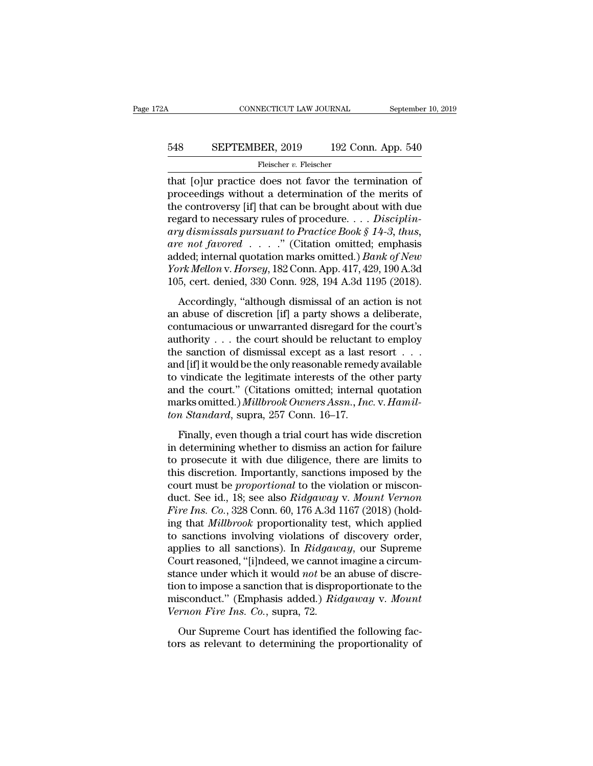# CONNECTICUT LAW JOURNAL September 10, 2019<br>548 SEPTEMBER, 2019 192 Conn. App. 540<br>Fleischer v. Fleischer

## Fleischer v. Fleischer

CONNECTICUT LAW JOURNAL September 10, 2019<br>
SEPTEMBER, 2019 192 Conn. App. 540<br>
Fleischer v. Fleischer<br>
that [o]ur practice does not favor the termination of<br>
proceedings without a determination of the merits of<br>
the contr Feischer 2019 192 Conn. App. 540<br>
Fleischer v. Fleischer<br>
That [o]ur practice does not favor the termination of<br>
proceedings without a determination of the merits of<br>
the controversy [if] that can be brought about with du 548 SEPTEMBER, 2019 192 Conn. App. 540<br>
Fleischer v. Fleischer<br>
that [o]ur practice does not favor the termination of<br>
proceedings without a determination of the merits of<br>
the controversy [if] that can be brought about w **EXECUTEMBER, 2019** 192 Conn. App. 540<br>
Fleischer *v*. Fleischer<br>
that [o]ur practice does not favor the termination of<br>
proceedings without a determination of the merits of<br>
the controversy [if] that can be brought about *ary dismissals, 2018 and the collar tipp.* 018<br> *Fleischer v. Fleischer*<br> **collar to Proceedings without a determination of the merits of**<br>
the controversy [if] that can be brought about with due<br>
regard to necessary ru Fleischer *v*. Fleischer<br> **are that** [o]ur practice does not favor the termination of<br>
proceedings without a determination of the merits of<br>
the controversy [if] that can be brought about with due<br>
regard to necessary rule that [o]ur practice does not favor the termination of<br>proceedings without a determination of the merits of<br>the controversy [if] that can be brought about with due<br>regard to necessary rules of procedure. . . . *Disciplin-*<br> proceedings without a determination of the merits of<br>the controversy [if] that can be brought about with due<br>regard to necessary rules of procedure.... *Disciplin-*<br>ary dismissals pursuant to Practice Book § 14-3, thus,<br>ar the controversy [if] that can be brought about with due<br>regard to necessary rules of procedure.... *Disciplin-*<br>ary dismissals pursuant to Practice Book § 14-3, thus,<br>are not favored ....." (Citation omitted; emphasis<br>add *y dismissals pursuant to Practice Book § 14-3, thus,*<br>*e not favored* . . . . " (Citation omitted; emphasis ded; internal quotation marks omitted.) *Bank of New*<br>*ork Mellon v. Horsey*, 182 Conn. App. 417, 429, 190 A.3d<br> are not favored  $\ldots$ ." (Citation omitted; emphasis added; internal quotation marks omitted.) *Bank of New* York Mellon v. Horsey, 182 Conn. App. 417, 429, 190 A.3d 105, cert. denied, 330 Conn. 928, 194 A.3d 1195 (2018).

and more internal quotation marks omitted.) Bank of New<br>
York Mellon v. Horsey, 182 Conn. App. 417, 429, 190 A.3d<br>
105, cert. denied, 330 Conn. 928, 194 A.3d 1195 (2018).<br>
Accordingly, "although dismissal of an action is Fork Mellon v. Horsey, 182 Conn. App. 417, 429, 190 A.3d<br>105, cert. denied, 330 Conn. 928, 194 A.3d 1195 (2018).<br>Accordingly, "although dismissal of an action is not<br>an abuse of discretion [if] a party shows a deliberate, 105, cert. denied, 330 Conn. 928, 194 A.3d 1195 (2018).<br>
Accordingly, "although dismissal of an action is not<br>
an abuse of discretion [if] a party shows a deliberate,<br>
contumacious or unwarranted disregard for the court's Accordingly, "although dismissal of an action is not<br>an abuse of discretion [if] a party shows a deliberate,<br>contumacious or unwarranted disregard for the court's<br>authority . . . the court should be reluctant to employ<br>th Accordingly, "although dismissal of an action is not<br>an abuse of discretion [if] a party shows a deliberate,<br>contumacious or unwarranted disregard for the court's<br>authority . . . the court should be reluctant to employ<br>th an abuse of discretion [if] a party shows a deliberate,<br>
contumacious or unwarranted disregard for the court's<br>
authority . . . the court should be reluctant to employ<br>
the sanction of dismissal except as a last resort . contumacious or unwarranted disregard for the court's<br>authority . . . the court should be reluctant to employ<br>the sanction of dismissal except as a last resort . . .<br>and [if] it would be the only reasonable remedy availabl authority . . . the court should be reluctant<br>the sanction of dismissal except as a last r<br>and [if] it would be the only reasonable remed<br>to vindicate the legitimate interests of the c<br>and the court." (Citations omitted; i d [if] it would be the only reasonable remedy available<br>vindicate the legitimate interests of the other party<br>d the court." (Citations omitted; internal quotation<br>arks omitted.) Millbrook Owners Assn., Inc. v. Hamil-<br>n St to vindicate the legitimate interests of the other party<br>to vindicate the legitimate interests of the other party<br>and the court." (Citations omitted; internal quotation<br>marks omitted.) Millbrook Owners Assn., Inc. v. Hami

and the court." (Citations omitted; internal quotation<br>marks omitted.) *Millbrook Owners Assn., Inc.* v. *Hamilton Standard*, supra, 257 Conn. 16–17.<br>Finally, even though a trial court has wide discretion<br>in determining w marks omitted.) *Millbrook Owners Assn.*, *Inc.* v. *Hamilton Standard*, supra, 257 Conn. 16–17.<br>Finally, even though a trial court has wide discretion<br>in determining whether to dismiss an action for failure<br>to prosecute ton *Standard*, supra, 257 Conn. 16–17.<br>Finally, even though a trial court has wide discretion<br>in determining whether to dismiss an action for failure<br>to prosecute it with due diligence, there are limits to<br>this discretion Finally, even though a trial court has wide discretion<br>in determining whether to dismiss an action for failure<br>to prosecute it with due diligence, there are limits to<br>this discretion. Importantly, sanctions imposed by the<br> Finally, even though a trial court has wide discretion<br>in determining whether to dismiss an action for failure<br>to prosecute it with due diligence, there are limits to<br>this discretion. Importantly, sanctions imposed by the<br> in determining whether to dismiss an action for failure<br>to prosecute it with due diligence, there are limits to<br>this discretion. Importantly, sanctions imposed by the<br>court must be *proportional* to the violation or miscon to prosecute it with due diligence, there are limits to<br>this discretion. Importantly, sanctions imposed by the<br>court must be *proportional* to the violation or miscon-<br>duct. See id., 18; see also  $Ridgaway$  v. Mount Vernon<br>Fi this discretion. Importantly, sanctions imposed by the<br>court must be *proportional* to the violation or miscon-<br>duct. See id., 18; see also *Ridgaway* v. *Mount Vernon<br>Fire Ins. Co.*, 328 Conn. 60, 176 A.3d 1167 (2018) (ho court must be *proportional* to the violation or misconduct. See id., 18; see also *Ridgaway* v. *Mount Vernon Fire Ins. Co.*, 328 Conn. 60, 176 A.3d 1167 (2018) (holding that *Millbrook* proportionality test, which appl duct. See id., 18; see also *Ridgaway v. Mount Vernon*<br>*Fire Ins. Co.*, 328 Conn. 60, 176 A.3d 1167 (2018) (holding that *Millbrook* proportionality test, which applied<br>to sanctions involving violations of discovery order, Fire Ins. Co., 328 Conn. 60, 176 A.3d 1167 (2018) (hold-<br>ing that *Millbrook* proportionality test, which applied<br>to sanctions involving violations of discovery order,<br>applies to all sanctions). In *Ridgaway*, our Supreme<br> ing that *Millbrook* proportionality test, which applied<br>to sanctions involving violations of discovery order,<br>applies to all sanctions). In *Ridgaway*, our Supreme<br>Court reasoned, "[i]ndeed, we cannot imagine a circum-<br>st to sanctions involving violations of<br>applies to all sanctions). In *Ridgaw*<br>Court reasoned, "[i]ndeed, we cannot is<br>stance under which it would *not* be are<br>tion to impose a sanction that is dispre-<br>misconduct." (Emphasis prices to an statements). In Transfactage, our suppreme<br>ourt reasoned, "[i]ndeed, we cannot imagine a circum-<br>ance under which it would *not* be an abuse of discre-<br>on to impose a sanction that is disproportionate to the<br>s stance under which it would *not* be an abuse of discretion to impose a sanction that is disproportionate to the misconduct." (Emphasis added.) *Ridgaway* v. *Mount Vernon Fire Ins. Co.*, supra, 72. Our Supreme Court has i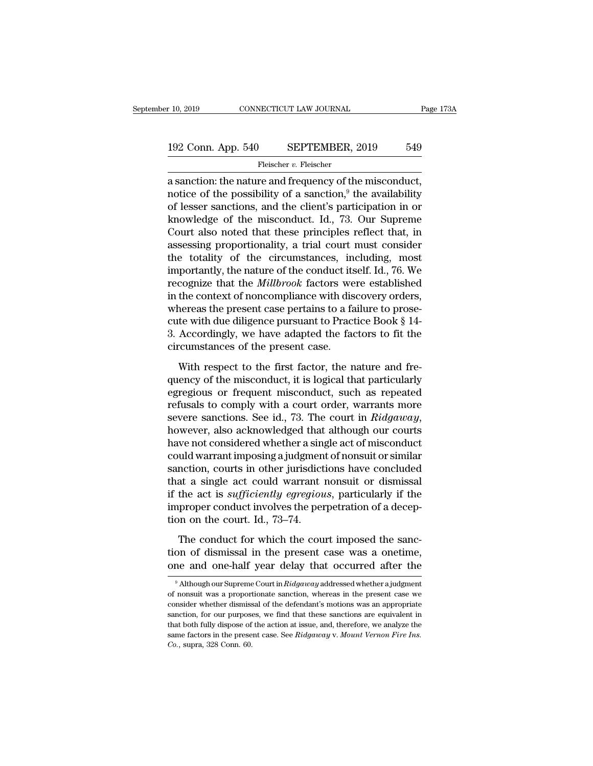# 10, 2019 CONNECTICUT LAW JOURNAL Page 173A<br>192 Conn. App. 540 SEPTEMBER, 2019 549<br>Fleischer v. Fleischer

Fleischer *v.*Fleischer

 $\begin{array}{|l|l|} \hline \text{10, 2019} & \text{COMRECTICUT LAW JOURNAL} & \text{Page 17} \ \hline \end{array}$ <br>192 Conn. App. 540 SEPTEMBER, 2019 549 Fleischer v. Fleischer and frequency of the misconduct, notice of the possibility of a sanction,<sup>9</sup> the availability of 192 Conn. App. 540 SEPTEMBER, 2019 549<br>
Fleischer v. Fleischer<br>
a sanction: the nature and frequency of the misconduct,<br>
notice of the possibility of a sanction,<sup>9</sup> the availability<br>
of lesser sanctions, and the client's 192 Conn. App. 540 SEPTEMBER, 2019 549<br>
Fleischer v. Fleischer<br>
a sanction: the nature and frequency of the misconduct,<br>
notice of the possibility of a sanction,<sup>9</sup> the availability<br>
of lesser sanctions, and the client's 192 Conn. App. 540 SEPTEMBER, 2019 549<br>
Fleischer v. Fleischer<br>
a sanction: the nature and frequency of the misconduct,<br>
notice of the possibility of a sanction,<sup>9</sup> the availability<br>
of lesser sanctions, and the client's Fleischer v. Fleischer<br>
a sanction: the nature and frequency of the misconduct,<br>
notice of the possibility of a sanction,<sup>9</sup> the availability<br>
of lesser sanctions, and the client's participation in or<br>
knowledge of the mi Figure 7. Figure 1 assessment assessment of the misconduct,<br>notice of the possibility of a sanction,<sup>9</sup> the availability<br>of lesser sanctions, and the client's participation in or<br>knowledge of the misconduct. Id., 73. Our a sanction: the nature and frequency of the misconduct,<br>notice of the possibility of a sanction,<sup>9</sup> the availability<br>of lesser sanctions, and the client's participation in or<br>knowledge of the misconduct. Id., 73. Our Supre notice of the possibility of a sanction,<sup>9</sup> the availability<br>of lesser sanctions, and the client's participation in or<br>knowledge of the misconduct. Id., 73. Our Supreme<br>Court also noted that these principles reflect that, of lesser sanctions, and the client's participation in or<br>knowledge of the misconduct. Id., 73. Our Supreme<br>Court also noted that these principles reflect that, in<br>assessing proportionality, a trial court must consider<br>the knowledge of the misconduct. Id., 73. Our Supreme<br>Court also noted that these principles reflect that, in<br>assessing proportionality, a trial court must consider<br>the totality of the circumstances, including, most<br>important Court also noted that these principles reflect that, in assessing proportionality, a trial court must consider the totality of the circumstances, including, most importantly, the nature of the conduct itself. Id., 76. We assessing proportionality, a trial court must consider<br>the totality of the circumstances, including, most<br>importantly, the nature of the conduct itself. Id., 76. We<br>recognize that the *Millbrook* factors were established<br>i the totality of the circumstances, including, most<br>importantly, the nature of the conduct itself. Id., 76. We<br>recognize that the *Millbrook* factors were established<br>in the context of noncompliance with discovery orders,<br> importantly, the nature of the conduct its<br>recognize that the *Millbrook* factors we<br>in the context of noncompliance with dis<br>whereas the present case pertains to a fa<br>circumstances of the present case.<br>With respect to the Figure context of noncompliance with discovery orders,<br>the context of noncompliance with discovery orders,<br>nereas the present case pertains to a failure to prose-<br>te with due diligence pursuant to Practice Book § 14-<br>Accor mereas the present case pertains to a failure to prosecute with due diligence pursuant to Practice Book § 14-<br>3. Accordingly, we have adapted the factors to fit the circumstances of the present case.<br>With respect to the fi

From the diligence pursuant to Practice Book § 14-<br>3. Accordingly, we have adapted the factors to fit the<br>circumstances of the present case.<br>With respect to the first factor, the nature and fre-<br>quency of the misconduct, 3. Accordingly, we have adapted the factors to fit the circumstances of the present case.<br>With respect to the first factor, the nature and frequency of the misconduct, it is logical that particularly egregious or frequent severe sanctions. See id., 73. The court in *Ridgaway*,<br>Nith respect to the first factor, the nature and frequency of the misconduct, it is logical that particularly<br>egregious or frequent misconduct, such as repeated<br>refus With respect to the first factor, the nature and frequency of the misconduct, it is logical that particularly egregious or frequent misconduct, such as repeated refusals to comply with a court order, warrants more severe s quency of the misconduct, it is logical that particularly<br>egregious or frequent misconduct, such as repeated<br>refusals to comply with a court order, warrants more<br>severe sanctions. See id., 73. The court in *Ridgaway*,<br>howe egregious or frequent misconduct, such as repeated<br>refusals to comply with a court order, warrants more<br>severe sanctions. See id., 73. The court in *Ridgaway*,<br>however, also acknowledged that although our courts<br>have not c refusals to comply with a court order, warrants more<br>severe sanctions. See id., 73. The court in *Ridgaway*,<br>however, also acknowledged that although our courts<br>have not considered whether a single act of misconduct<br>could severe sanctions. See id., 73. The court in *Ridgaway*,<br>however, also acknowledged that although our courts<br>have not considered whether a single act of misconduct<br>could warrant imposing a judgment of nonsuit or similar<br>san however, also acknowledged that although our courts<br>have not considered whether a single act of misconduct<br>could warrant imposing a judgment of nonsuit or similar<br>sanction, courts in other jurisdictions have concluded<br>that have not considered whether a sing<br>could warrant imposing a judgmen<br>sanction, courts in other jurisdict<br>that a single act could warrant i<br>if the act is *sufficiently egregiou*<br>improper conduct involves the per<br>tion on the and *individually suggestime* of formation courts in other jurisdictions have concluded<br>notion, courts in other jurisdictions have concluded<br>the act is *sufficiently egregious*, particularly if the<br>proper conduct involves that a single act could warrant nonsuit or dismissal<br>if the act is *sufficiently egregious*, particularly if the<br>improper conduct involves the perpetration of a decep-<br>tion on the court. Id., 73–74.<br>The conduct for which t if the act is *sufficiently egregious*, particularly if the improper conduct involves the perpetration of a deception on the court. Id., 73–74.<br>The conduct for which the court imposed the sanction of dismissal in the pres

The conduct for which the court imposed the sanc-<br>on of dismissal in the present case was a onetime,<br>ne and one-half year delay that occurred after the<br><sup>9</sup> Although our Supreme Court in *Ridgaway* addressed whether a judgm The conduct for which the court imposed the sanction of dismissal in the present case was a onetime, one and one-half year delay that occurred after the  $\frac{9}{4}$  Although our Supreme Court in *Ridgaway* addressed whether

tion of dismissal in the present case was a onetime,<br>one and one-half year delay that occurred after the<br> $\frac{9}{100}$  Although our Supreme Court in *Ridgaway* addressed whether a judgment<br>of nonsuit was a proportionate san one and one-half year delay that occurred after the<br>
<sup>9</sup> Although our Supreme Court in *Ridgaway* addressed whether a judgment<br>
of nonsuit was a proportionate sanction, whereas in the present case we<br>
consider whether dism The anti-order and one-hand year detay that occurried after the action of nonsuit was a proportionate sanction, whereas in the present case we consider whether dismissal of the defendant's motions was an appropriate sanct <sup>9</sup> Although our Supreme Court in *Ridgaway* addressed whether a judgment of nonsuit was a proportionate sanction, whereas in the present case we consider whether dismissal of the defendant's motions was an appropriate sa of nonsuit was a proportionate sanction, whereas in the present case we consider whether dismissal of the defendant's motions was an appropriate sanction, for our purposes, we find that these sanctions are equivalent in t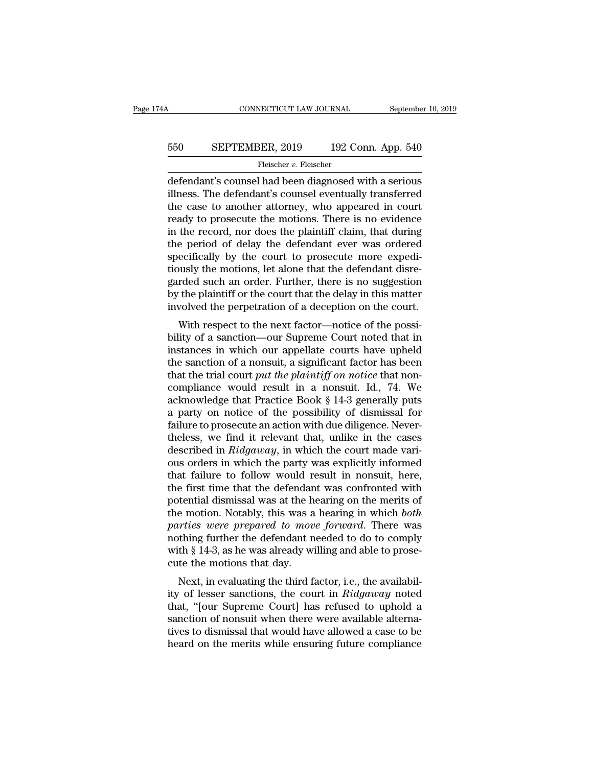# CONNECTICUT LAW JOURNAL September 10, 2019<br>550 SEPTEMBER, 2019 192 Conn. App. 540<br>Fleischer v. Fleischer

Fleischer v. Fleischer

CONNECTICUT LAW JOURNAL September 10, 2019<br>
SEPTEMBER, 2019 192 Conn. App. 540<br>
Fleischer v. Fleischer<br>
defendant's counsel had been diagnosed with a serious<br>
illness. The defendant's counsel eventually transferred<br>
the ga SEPTEMBER, 2019 192 Conn. App. 540<br>
Fleischer v. Fleischer<br>
defendant's counsel had been diagnosed with a serious<br>
illness. The defendant's counsel eventually transferred<br>
the case to another attorney, who appeared in cour  $\begin{tabular}{ll} \bf 550 & SEPTEMBER, 2019 & 192 Conn. App. 540 \\ \hline \end{tabular} \end{tabular} \begin{tabular}{ll} \bf 550 & SEPTEMBER, 2019 & 192 Conn. App. 540 \\ \bf 646 & 192 Conperforms of the original data, 241. \end{tabular} \end{tabular} \begin{tabular}{ll} \bf 550 & SEPTEMBER, 2019 & 192 Conn. App. 540 \\ \bf 646 & 192 Conperforms of the original data, 241. \end{tabular} \end{tabular} \begin{tabular}{ll} \bf 550 &$ Fleischer v. Fleischer<br>
Fleischer v. Fleischer<br>
defendant's counsel had been diagnosed with a serious<br>
illness. The defendant's counsel eventually transferred<br>
the case to another attorney, who appeared in court<br>
ready to Fleischer *v.* Fleischer<br>
defendant's counsel had been diagnosed with a serious<br>
illness. The defendant's counsel eventually transferred<br>
the case to another attorney, who appeared in court<br>
ready to prosecute the motions. Fleischer v. Fleischer<br>defendant's counsel had been diagnosed with a serious<br>illness. The defendant's counsel eventually transferred<br>the case to another attorney, who appeared in court<br>ready to prosecute the motions. Ther defendant's counsel had been diagnosed with a serious<br>illness. The defendant's counsel eventually transferred<br>the case to another attorney, who appeared in court<br>ready to prosecute the motions. There is no evidence<br>in the illness. The defendant's counsel eventually transferred<br>the case to another attorney, who appeared in court<br>ready to prosecute the motions. There is no evidence<br>in the record, nor does the plaintiff claim, that during<br>the the case to another attorney, who appeared in court<br>ready to prosecute the motions. There is no evidence<br>in the record, nor does the plaintiff claim, that during<br>the period of delay the defendant ever was ordered<br>specifica ready to prosecute the motions. There is no evidence<br>in the record, nor does the plaintiff claim, that during<br>the period of delay the defendant ever was ordered<br>specifically by the court to prosecute more expedi-<br>tiously t in the record, nor does the plaintiff claim, that during<br>the period of delay the defendant ever was ordered<br>specifically by the court to prosecute more expedi-<br>tiously the motions, let alone that the defendant disre-<br>garde e period of delay the defendant ever was ordered<br>ecifically by the court to prosecute more expedi-<br>usly the motions, let alone that the defendant disre-<br>rded such an order. Further, there is no suggestion<br>the plaintiff or specifically by the court to prosecute interestigations, let alone that the defendant disregarded such an order. Further, there is no suggestion by the plaintiff or the court that the delay in this matter involved the perp

fluoristy the inotions, let alone that the defendant dister-<br>garded such an order. Further, there is no suggestion<br>by the plaintiff or the court that the delay in this matter<br>involved the perpetration of a deception on the garded such an order. Further, there is no suggestion<br>by the plaintiff or the court that the delay in this matter<br>involved the perpetration of a deception on the court.<br>With respect to the next factor—notice of the possiby the plaintiff or the court that the delay in this matter<br>involved the perpetration of a deception on the court.<br>With respect to the next factor—notice of the possi-<br>bility of a sanction—our Supreme Court noted that in<br>i mvoived the perpetration of a deception on the court.<br>With respect to the next factor—notice of the possi-<br>bility of a sanction—our Supreme Court noted that in<br>instances in which our appellate courts have upheld<br>the sanct With respect to the next factor—notice of the possibility of a sanction—our Supreme Court noted that in instances in which our appellate courts have upheld the sanction of a nonsuit, a significant factor has been that the bility of a sanction—our Supreme Court noted that in instances in which our appellate courts have upheld the sanction of a nonsuit, a significant factor has been that the trial court *put the plaintiff on notice* that noninstances in which our appellate courts have upheld<br>the sanction of a nonsuit, a significant factor has been<br>that the trial court *put the plaintiff on notice* that non-<br>compliance would result in a nonsuit. Id., 74. We<br>a the sanction of a nonsuit, a significant factor has been<br>that the trial court *put the plaintiff on notice* that non-<br>compliance would result in a nonsuit. Id., 74. We<br>acknowledge that Practice Book § 14-3 generally puts<br> that the trial court *put the plaintiff on notice* that non-<br>compliance would result in a nonsuit. Id., 74. We<br>acknowledge that Practice Book § 14-3 generally puts<br>a party on notice of the possibility of dismissal for<br>fail compliance would result in a nonsuit. Id., 74. We<br>acknowledge that Practice Book § 14-3 generally puts<br>a party on notice of the possibility of dismissal for<br>failure to prosecute an action with due diligence. Never-<br>theless acknowledge that Practice Book § 14-3 generally puts<br>a party on notice of the possibility of dismissal for<br>failure to prosecute an action with due diligence. Never-<br>theless, we find it relevant that, unlike in the cases<br>d a party on notice of the possibility of dismissal for<br>failure to prosecute an action with due diligence. Never-<br>theless, we find it relevant that, unlike in the cases<br>described in *Ridgaway*, in which the court made vari-<br> failure to prosecute an action with due diligence. Never-<br>theless, we find it relevant that, unlike in the cases<br>described in *Ridgaway*, in which the court made vari-<br>ous orders in which the party was explicitly informed<br> theless, we find it relevant that, unlike in the cases<br>described in *Ridgaway*, in which the court made vari-<br>ous orders in which the party was explicitly informed<br>that failure to follow would result in nonsuit, here,<br>the described in *Ridgaway*, in which the court made various orders in which the party was explicitly informed<br>that failure to follow would result in nonsuit, here,<br>the first time that the defendant was confronted with<br>potenti ous orders in which the party was explicitly informed<br>that failure to follow would result in nonsuit, here,<br>the first time that the defendant was confronted with<br>potential dismissal was at the hearing on the merits of<br>the that failure to follow would result in nonsuit, here, the first time that the defendant was confronted with potential dismissal was at the hearing on the merits of the motion. Notably, this was a hearing in which *both* p the first time that the defendan<br>potential dismissal was at the h<br>the motion. Notably, this was a<br>*parties were prepared to mov*<br>nothing further the defendant n<br>with § 14-3, as he was already wi<br>cute the motions that day.<br> Nextran dishussar was at the hearing off the firernts of<br>e motion. Notably, this was a hearing in which *both*<br>*rties were prepared to move forward*. There was<br>thing further the defendant needed to do to comply<br>th § 14-3, the motion. Notably, this was a healing in which *both*<br>parties were prepared to move forward. There was<br>nothing further the defendant needed to do to comply<br>with § 14-3, as he was already willing and able to prose-<br>cute t

parties were prepared to move jorward. There was<br>nothing further the defendant needed to do to comply<br>with § 14-3, as he was already willing and able to prose-<br>cute the motions that day.<br>Next, in evaluating the third fact shown in the same interest to do to comply<br>with § 14-3, as he was already willing and able to prose-<br>cute the motions that day.<br>Next, in evaluating the third factor, i.e., the availabil-<br>ity of lesser sanctions, the court with  $\S$  14-0, as he was already whiling and able to prosecute the motions that day.<br>Next, in evaluating the third factor, i.e., the availability of lesser sanctions, the court in  $Ridgaway$  noted that, "[our Supreme Court] h Next, in evaluating the third factor, i.e., the availability of lesser sanctions, the court in *Ridgaway* noted that, "[our Supreme Court] has refused to uphold a sanction of nonsuit when there were available alternatives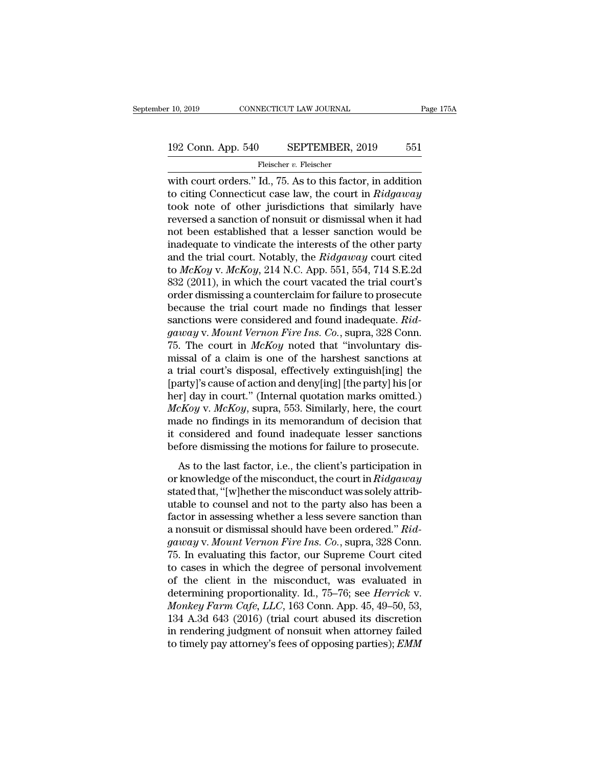# $\begin{tabular}{l l l l} \hline r 10, 2019 & & & & & & \mbox{\textbf{CONNECTICUT LAW JOURNAL}} & \multicolumn{2}{c|}{\textbf{Page 175A}} \\\\ \hline \multicolumn{2}{c|}{\textbf{192 Conn. App. 540}} & & & & \textbf{SEPTEMBER, 2019} & \multicolumn{2}{c|}{\textbf{551}} \\\\ \hline & & & & \textbf{Fleischer $v$. Fleischer} \end{tabular}$

Fleischer v. Fleischer

r 10, 2019 CONNECTICUT LAW JOURNAL Page 175A<br>
192 Conn. App. 540 SEPTEMBER, 2019 551<br>
Fleischer v. Fleischer<br>
with court orders.'' Id., 75. As to this factor, in addition<br>
to citing Connecticut case law, the court in *Ridg* 192 Conn. App. 540 SEPTEMBER, 2019 551<br>
Fleischer v. Fleischer<br>
with court orders." Id., 75. As to this factor, in addition<br>
to citing Connecticut case law, the court in *Ridgaway*<br>
took note of other jurisdictions that si 192 Conn. App. 540 SEPTEMBER, 2019 551<br>
Fleischer v. Fleischer<br>
with court orders." Id., 75. As to this factor, in addition<br>
to citing Connecticut case law, the court in *Ridgaway*<br>
took note of other jurisdictions that s 192 Conn. App. 540 SEPTEMBER, 2019 551<br>
Fleischer v. Fleischer<br>
with court orders." Id., 75. As to this factor, in addition<br>
to citing Connecticut case law, the court in *Ridgaway*<br>
took note of other jurisdictions that s Fleischer v. Fleischer<br>with court orders." Id., 75. As to this factor, in addition<br>to citing Connecticut case law, the court in *Ridgaway*<br>took note of other jurisdictions that similarly have<br>reversed a sanction of nonsui Fields over  $v$ . Fieldscher<br>with court orders." Id., 75. As to this factor, in addition<br>to citing Connecticut case law, the court in *Ridgaway*<br>took note of other jurisdictions that similarly have<br>reversed a sanction of n with court orders." Id., 75. As to this factor, in addition<br>to citing Connecticut case law, the court in *Ridgaway*<br>took note of other jurisdictions that similarly have<br>reversed a sanction of nonsuit or dismissal when it h to citing Connecticut case law, the court in *Ridgaway*<br>took note of other jurisdictions that similarly have<br>reversed a sanction of nonsuit or dismissal when it had<br>not been established that a lesser sanction would be<br>inad took note of other jurisdictions that similarly have<br>reversed a sanction of nonsuit or dismissal when it had<br>not been established that a lesser sanction would be<br>inadequate to vindicate the interests of the other party<br>and reversed a sanction of nonsuit or dismissal when it had<br>not been established that a lesser sanction would be<br>inadequate to vindicate the interests of the other party<br>and the trial court. Notably, the *Ridgaway* court cited not been established that a lesser sanction would be<br>inadequate to vindicate the interests of the other party<br>and the trial court. Notably, the *Ridgaway* court cited<br>to *McKoy* v. *McKoy*, 214 N.C. App. 551, 554, 714 S.E inadequate to vindicate the interests of the other party<br>and the trial court. Notably, the *Ridgaway* court cited<br>to *McKoy* v. *McKoy*, 214 N.C. App. 551, 554, 714 S.E.2d<br>832 (2011), in which the court vacated the trial c and the trial court. Notably, the *Ridgaway* court cited<br>to *McKoy* v. *McKoy*, 214 N.C. App. 551, 554, 714 S.E.2d<br>832 (2011), in which the court vacated the trial court's<br>order dismissing a counterclaim for failure to pro to *McKoy* v. *McKoy*, 214 N.C. App. 551, 554, 714 S.E.2d 832 (2011), in which the court vacated the trial court's order dismissing a counterclaim for failure to prosecute because the trial court made no findings that les 832 (2011), in which the court vacated the trial court's<br>order dismissing a counterclaim for failure to prosecute<br>because the trial court made no findings that lesser<br>sanctions were considered and found inadequate.  $Rid$ -<br> order dismissing a counterclaim for failure to prosecute<br>because the trial court made no findings that lesser<br>sanctions were considered and found inadequate. *Rid-*<br>*gaway* v. *Mount Vernon Fire Ins. Co.*, supra, 328 Conn. because the trial court made no findings that lesser<br>sanctions were considered and found inadequate.  $Rid$ -<br>gaway v. Mount Vernon Fire Ins. Co., supra, 328 Conn.<br>75. The court in McKoy noted that "involuntary dis-<br>missal o sanctions were considered and found inadequate.  $Rid$ -<br>gaway v. Mount Vernon Fire Ins. Co., supra, 328 Conn.<br>75. The court in McKoy noted that "involuntary dis-<br>missal of a claim is one of the harshest sanctions at<br>a trial *gaway* v. *Mount Vernon Fire Ins. Co.*, supra, 328 Conn.<br>75. The court in *McKoy* noted that "involuntary dis-<br>missal of a claim is one of the harshest sanctions at<br>a trial court's disposal, effectively extinguish[ing] th 75. The court in *McKoy* noted that "involuntary dismissal of a claim is one of the harshest sanctions at a trial court's disposal, effectively extinguish[ing] the [party]'s cause of action and deny[ing] [the party] his [ missal of a claim is one of the harshest sanctions at<br>a trial court's disposal, effectively extinguish[ing] the<br>[party]'s cause of action and deny[ing] [the party] his [or<br>her] day in court." (Internal quotation marks omit a trial court's disposal, effectively extinguish[ing] the [party]'s cause of action and deny[ing] [the party] his [or her] day in court." (Internal quotation marks omitted.)  $McKoy$  v.  $McKoy$ , supra, 553. Similarly, here, th  $dX$  is cause of action and deriy  $[\text{Hg}]$  (are party) inseted.)<br>  $dXoy$  v.  $McKoy$ , supra, 553. Similarly, here, the court<br>
ade no findings in its memorandum of decision that<br>
considered and found inadequate lesser sanction *McKoy v. McKoy*, supra, 553. Similarly, here, the court<br>made no findings in its memorandum of decision that<br>it considered and found inadequate lesser sanctions<br>before dismissing the motions for failure to prosecute.<br>As to

made no findings in its memorandum of decision that<br>it considered and found inadequate lesser sanctions<br>before dismissing the motions for failure to prosecute.<br>As to the last factor, i.e., the client's participation in<br>or it considered and found inadequate lesser sanctions<br>before dismissing the motions for failure to prosecute.<br>As to the last factor, i.e., the client's participation in<br>or knowledge of the misconduct, the court in  $Ridgaway$ <br>st factor dismissing the motions for failure to prosecute.<br>As to the last factor, i.e., the client's participation in<br>or knowledge of the misconduct, the court in  $Ridgaway$ <br>stated that, "[w]hether the misconduct was solely attr As to the last factor, i.e., the client's participation in<br>or knowledge of the misconduct, the court in *Ridgaway*<br>stated that, "[w]hether the misconduct was solely attrib-<br>utable to counsel and not to the party also has b As to the last factor, i.e., the client's participation in<br>or knowledge of the misconduct, the court in *Ridgaway*<br>stated that, "[w]hether the misconduct was solely attrib-<br>utable to counsel and not to the party also has b or knowledge of the misconduct, the court in *Ridgaway*<br>stated that, "[w]hether the misconduct was solely attrib-<br>utable to counsel and not to the party also has been a<br>factor in assessing whether a less severe sanction th stated that, "[w]hether the misconduct was solely attributable to counsel and not to the party also has been a<br>factor in assessing whether a less severe sanction than<br>a nonsuit or dismissal should have been ordered." *Rid*utable to counsel and not to the party also has been a<br>factor in assessing whether a less severe sanction than<br>a nonsuit or dismissal should have been ordered." *Rid-*<br>*gaway* v. *Mount Vernon Fire Ins. Co.*, supra, 328 Co factor in assessing whether a less severe sanction than<br>a nonsuit or dismissal should have been ordered." *Rid-*<br>*gaway* v. *Mount Vernon Fire Ins. Co.*, supra, 328 Conn.<br>75. In evaluating this factor, our Supreme Court ci a nonsuit or dismissal should have been ordered." *Ridgaway* v. *Mount Vernon Fire Ins. Co.*, supra, 328 Conn.<br>75. In evaluating this factor, our Supreme Court cited<br>to cases in which the degree of personal involvement<br>of *gaway* v. *Mount Vernon Fire Ins. Co.*, supra, 328 Conn.<br>75. In evaluating this factor, our Supreme Court cited<br>to cases in which the degree of personal involvement<br>of the client in the misconduct, was evaluated in<br>deter 75. In evaluating this factor, our Supreme Court cited<br>to cases in which the degree of personal involvement<br>of the client in the misconduct, was evaluated in<br>determining proportionality. Id., 75–76; see *Herrick* v.<br>*Monk* to cases in which the degree of personal involvement<br>of the client in the misconduct, was evaluated in<br>determining proportionality. Id., 75–76; see *Herrick* v.<br>*Monkey Farm Cafe, LLC*, 163 Conn. App. 45, 49–50, 53,<br>134 A.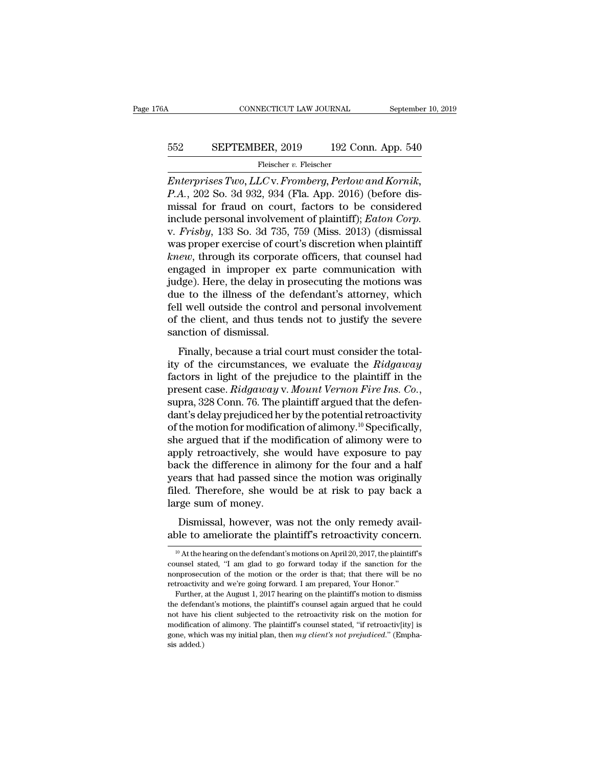# CONNECTICUT LAW JOURNAL September 10, 2019<br>552 SEPTEMBER, 2019 192 Conn. App. 540<br>Fleischer v. Fleischer

Fleischer v. Fleischer

CONNECTICUT LAW JOURNAL September 10, 20<br> **ENTEMBER**, 2019 192 Conn. App. 540<br>
Fleischer v. Fleischer<br> *Enterprises Two, LLC* v. *Fromberg, Perlow and Kornik,*<br> *P.A.*, 202 So. 3d 932, 934 (Fla. App. 2016) (before disminis *P.A.*, 202 SEPTEMBER, 2019 192 Conn. App. 540<br> *Peischer v. Fleischer*<br> *P.A.*, 202 So. 3d 932, 934 (Fla. App. 2016) (before dis-<br>
missal for fraud on court, factors to be considered<br>
include personal involvement of plain SEPTEMBER, 2019 192 Conn. App. 540<br>
Fleischer v. Fleischer<br>
Enterprises Two, LLC v. Fromberg, Perlow and Kornik,<br>
P.A., 202 So. 3d 932, 934 (Fla. App. 2016) (before dis-<br>
missal for fraud on court, factors to be considered SEPTEMBER, 2019 192 Conn. App. 540<br>
Fleischer v. Fleischer<br> *Enterprises Two, LLC* v. *Fromberg, Perlow and Kornik,*<br> *P.A.*, 202 So. 3d 932, 934 (Fla. App. 2016) (before dis-<br>
missal for fraud on court, factors to be cons Fleischer v. Fleischer<br>Friescher v. Fleischer<br>Friescher v. Fleischer<br>P.A., 202 So. 3d 932, 934 (Fla. App. 2016) (before dis-<br>missal for fraud on court, factors to be considered<br>include personal involvement of plaintiff); Fleischer v. Fleischer<br> *Enterprises Two, LLC* v. *Fromberg, Perlow and Kornik,*<br> *P.A.*, 202 So. 3d 932, 934 (Fla. App. 2016) (before dis-<br>
missal for fraud on court, factors to be considered<br>
include personal involvemen *Enterprises Two, LLC* v. *Fromberg, Perlow and Kornik,*<br>*P.A.*, 202 So. 3d 932, 934 (Fla. App. 2016) (before dis-<br>missal for fraud on court, factors to be considered<br>include personal involvement of plaintiff); *Eaton Corp P.A.*, 202 So. 3d 932, 934 (Fla. App. 2016) (before dis-<br>missal for fraud on court, factors to be considered<br>include personal involvement of plaintiff); *Eaton Corp.*<br>v. *Frisby*, 133 So. 3d 735, 759 (Miss. 2013) (dismiss missal for fraud on court, factors to be considered<br>include personal involvement of plaintiff); *Eaton Corp.*<br>v. *Frisby*, 133 So. 3d 735, 759 (Miss. 2013) (dismissal<br>was proper exercise of court's discretion when plaintif include personal involvement of plaintiff); *Eaton Corp*.<br>v. *Frisby*, 133 So. 3d 735, 759 (Miss. 2013) (dismissal<br>was proper exercise of court's discretion when plaintiff<br>*knew*, through its corporate officers, that couns v. *Frisby*, 133 So. 3d 735, 759 (Miss. 2013) (dismissal was proper exercise of court's discretion when plaintiff *knew*, through its corporate officers, that counsel had engaged in improper ex parte communication with jud was proper exercise of court's discretion when plaintiff *knew*, through its corporate officers, that counsel had engaged in improper ex parte communication with judge). Here, the delay in prosecuting the motions was due t knew, through its corporat<br>engaged in improper ex<br>judge). Here, the delay in p<br>due to the illness of the c<br>fell well outside the contro<br>of the client, and thus ten<br>sanction of dismissal.<br>Finally, because a trial co figure a trial communication with<br>dge). Here, the delay in prosecuting the motions was<br>te to the illness of the defendant's attorney, which<br>ll well outside the control and personal involvement<br>the client, and thus tends n judge). Here, are delay in prosecuting the includes was<br>due to the illness of the defendant's attorney, which<br>fell well outside the control and personal involvement<br>of the client, and thus tends not to justify the severe<br>s

fell well outside the control and personal involvement<br>fell well outside the control and personal involvement<br>of the client, and thus tends not to justify the severe<br>sanction of dismissal.<br>Finally, because a trial court mu present case. *Ridgaway* v. *Mount Vernon Fire Ins.* Co., suppresention of dismissal.<br>**Finally, because a trial court must consider the totality of the circumstances, we evaluate the** *Ridgaway* **factors in light of the prej** Finally, because a trial court must consider the totality of the circumstances, we evaluate the *Ridgaway* factors in light of the prejudice to the plaintiff in the present case. *Ridgaway v. Mount Vernon Fire Ins. Co.*, Finally, because a trial court must consider the totality of the circumstances, we evaluate the *Ridgaway* factors in light of the prejudice to the plaintiff in the present case. *Ridgaway* v. *Mount Vernon Fire Ins. Co.* ity of the circumstances, we evaluate the *Ridgaway*<br>factors in light of the prejudice to the plaintiff in the<br>present case. *Ridgaway* v. *Mount Vernon Fire Ins. Co.*,<br>supra, 328 Conn. 76. The plaintiff argued that the d factors in light of the prejudice to the plaintiff in the<br>present case. *Ridgaway* v. *Mount Vernon Fire Ins. Co.*,<br>supra, 328 Conn. 76. The plaintiff argued that the defen-<br>dant's delay prejudiced her by the potential re present case. *Ridgaway* v. *Mount Vernon Fire Ins. Co.*,<br>supra, 328 Conn. 76. The plaintiff argued that the defen-<br>dant's delay prejudiced her by the potential retroactivity<br>of the motion for modification of alimony.<sup>10</sup> supra, 328 Conn. 76. The plaintiff argued that the defen-<br>dant's delay prejudiced her by the potential retroactivity<br>of the motion for modification of alimony.<sup>10</sup> Specifically,<br>she argued that if the modification of alimo dant's delay prejudiced her by the potential retroactivity<br>of the motion for modification of alimony.<sup>10</sup> Specifically,<br>she argued that if the modification of alimony were to<br>apply retroactively, she would have exposure to of the motion for modifica<br>she argued that if the moo<br>apply retroactively, she v<br>back the difference in ali<br>years that had passed sin<br>filed. Therefore, she wou<br>large sum of money.<br>Dismissal, however, wa E algace that I are modification of almony were to<br>ply retroactively, she would have exposure to pay<br>ck the difference in alimony for the four and a half<br>ars that had passed since the motion was originally<br>ed. Therefore, s apply retroactively, site would have exposure to pay<br>back the difference in alimony for the four and a half<br>years that had passed since the motion was originally<br>filed. Therefore, she would be at risk to pay back a<br>large s

<sup>10</sup> The sum of money.<br>
10 At the hearing on the defendant's motions on April 20, 2017, the plaintiff's<br>
10 At the hearing on the defendant's motions on April 20, 2017, the plaintiff's<br>
10 At the hearing on the defendant's m Dismissal, however, was not the only remedy available to ameliorate the plaintiff's retroactivity concern.<br>
<sup>10</sup> At the hearing on the defendant's motions on April 20, 2017, the plaintiff's counsel stated, "I am glad to g Dismissal, however, was not the only remedy available to ameliorate the plaintiff's retroactivity concern.<br>
<sup>10</sup> At the hearing on the defendant's motions on April 20, 2017, the plaintiff's counsel stated, "I am glad to g able to ameliorate the plaintiff's retroactivity concernable to ameliorate the plaintiff's retroactivity concernable weak of "I am glad to go forward today if the sanction for the nonprosecution of the motion or the order <sup>10</sup> At the hearing on the defendant's motions on April 20, 2017, the plaintiff's unsel stated, "I am glad to go forward today if the sanction for the mprosecution of the motion or the order is that; that there will be no <sup>10</sup> At the hearing on the defendant's motions on April 20, 2017, the plaintiff's counsel stated, "I am glad to go forward today if the sanction for the nonprosecution of the motion or the order is that; that there will b

counsel stated, "I am glad to go forward today if the sanction for the nonprosecution of the motion or the order is that; that there will be no retroactivity and we're going forward. I am prepared, Your Honor." Further, a nonprosecution of the motion or the order is that; that there will be no<br>retroactivity and we're going forward. I am prepared, Your Honor."<br>Further, at the August 1, 2017 hearing on the plaintiff's motion to dismiss<br>the d retroactivity and we're going forward. I am prepared, Your Honor."<br>Further, at the August 1, 2017 hearing on the plaintiff's motion to dismiss<br>the defendant's motions, the plaintiff's counsel again argued that he could<br>not Further,<br>Further,<br>the defenda<br>not have h<br>modificatic<br>gone, whic<br>sis added.)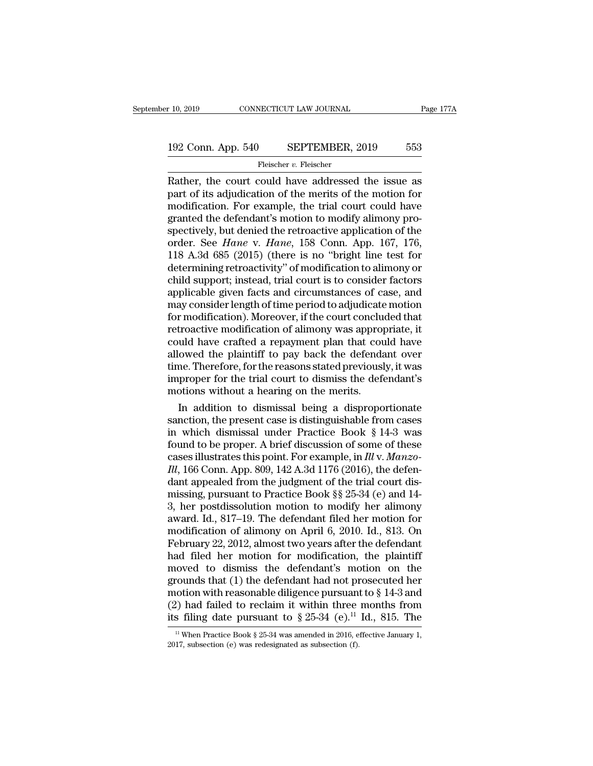# $\begin{tabular}{l l l l l} \hline r 10, 2019 & & & & & & \mbox{\textbf{CONNECTICUT LAW JOURNAL}} & \multicolumn{2}{c}{\textbf{Page 177A}} \\\\ \hline 192 & \multicolumn{2}{c}{\textbf{Conn. App. 540}} & & $\textbf{SEPTEMBER, 2019}$ & & $\textbf{553}$ \\ & & & & \textbf{Fleischer $v$. Fleischer} \end{tabular}$

## Fleischer *v.* Fleischer

r 10, 2019 CONNECTICUT LAW JOURNAL Page 177A<br>
192 Conn. App. 540 SEPTEMBER, 2019 553<br>
Fleischer v. Fleischer<br>
Rather, the court could have addressed the issue as<br>
part of its adjudication of the merits of the motion for<br>
m 192 Conn. App. 540 SEPTEMBER, 2019 553<br>
Fleischer v. Fleischer<br>
Rather, the court could have addressed the issue as<br>
part of its adjudication of the merits of the motion for<br>
modification. For example, the trial court coul 192 Conn. App. 540 SEPTEMBER, 2019 553<br>
Fleischer v. Fleischer<br>
Rather, the court could have addressed the issue as<br>
part of its adjudication of the merits of the motion for<br>
modification. For example, the trial court cou 192 Conn. App. 540 SEPTEMBER, 2019 553<br>
Fleischer v. Fleischer<br>
Rather, the court could have addressed the issue as<br>
part of its adjudication of the merits of the motion for<br>
modification. For example, the trial court cou Fleischer *v.* Fleischer<br>
Fleischer *v.* Fleischer<br> **Rather, the court could have addressed the issue as**<br>
part of its adjudication of the merits of the motion for<br>
modification. For example, the trial court could have<br>
g Fleischer *v*. Fleischer<br>
Rather, the court could have addressed the issue as<br>
part of its adjudication of the merits of the motion for<br>
modification. For example, the trial court could have<br>
granted the defendant's motion Rather, the court could have addressed the issue as<br>part of its adjudication of the merits of the motion for<br>modification. For example, the trial court could have<br>granted the defendant's motion to modify alimony pro-<br>spect part of its adjudication of the merits of the motion for<br>modification. For example, the trial court could have<br>granted the defendant's motion to modify alimony pro-<br>spectively, but denied the retroactive application of the modification. For example, the trial court could have<br>granted the defendant's motion to modify alimony pro-<br>spectively, but denied the retroactive application of the<br>order. See *Hane* v. *Hane*, 158 Conn. App. 167, 176,<br>11 granted the defendant's motion to modify alimony pro-<br>spectively, but denied the retroactive application of the<br>order. See *Hane* v. *Hane*, 158 Conn. App. 167, 176,<br>118 A.3d 685 (2015) (there is no "bright line test for<br>d spectively, but denied the retroactive application of the<br>order. See *Hane* v. *Hane*, 158 Conn. App. 167, 176,<br>118 A.3d 685 (2015) (there is no "bright line test for<br>determining retroactivity" of modification to alimony o order. See *Hane* v. *Hane*, 158 Conn. App. 167, 176, 118 A.3d 685 (2015) (there is no "bright line test for determining retroactivity" of modification to alimony or child support; instead, trial court is to consider facto 118 A.3d 685 (2015) (there is no "bright line test for<br>determining retroactivity" of modification to alimony or<br>child support; instead, trial court is to consider factors<br>applicable given facts and circumstances of case, a determining retroactivity" of modification to alimony or<br>child support; instead, trial court is to consider factors<br>applicable given facts and circumstances of case, and<br>may consider length of time period to adjudicate mot child support; instead, trial court is to consider factors<br>applicable given facts and circumstances of case, and<br>may consider length of time period to adjudicate motion<br>for modification). Moreover, if the court concluded t applicable given facts and circumstances of case, and<br>may consider length of time period to adjudicate motion<br>for modification). Moreover, if the court concluded that<br>retroactive modification of alimony was appropriate, it may consider length of time period to adjudicate motion<br>for modification). Moreover, if the court concluded that<br>retroactive modification of alimony was appropriate, it<br>could have crafted a repayment plan that could have<br>a for modification). Moreover, if the court concluse retroactive modification of alimony was approproved that could have crafted a repayment plan that could subsed the plaintiff to pay back the defendation. Therefore, for th troactive modification of alimony was appropriate, it<br>uld have crafted a repayment plan that could have<br>owed the plaintiff to pay back the defendant over<br>me. Therefore, for the reasons stated previously, it was<br>proper for could have crafted a repayment plan that could have<br>allowed the plaintiff to pay back the defendant over<br>time. Therefore, for the reasons stated previously, it was<br>improper for the trial court to dismiss the defendant's<br>m

allowed the plaintiff to pay back the defendant over<br>time. Therefore, for the reasons stated previously, it was<br>improper for the trial court to dismiss the defendant's<br>motions without a hearing on the merits.<br>In addition time. Therefore, for the reasons stated previously, it was<br>improper for the trial court to dismiss the defendant's<br>motions without a hearing on the merits.<br>In addition to dismissal being a disproportionate<br>sanction, the p improper for the trial court to dismiss the defendant's<br>motions without a hearing on the merits.<br>In addition to dismissal being a disproportionate<br>sanction, the present case is distinguishable from cases<br>in which dismissal motions without a hearing on the merits.<br>
In addition to dismissal being a disproportionate<br>
sanction, the present case is distinguishable from cases<br>
in which dismissal under Practice Book § 14-3 was<br>
found to be proper. In addition to dismissal being a disproportionate<br>sanction, the present case is distinguishable from cases<br>in which dismissal under Practice Book § 14-3 was<br>found to be proper. A brief discussion of some of these<br>cases il sanction, the present case is distinguishable from cases<br>in which dismissal under Practice Book § 14-3 was<br>found to be proper. A brief discussion of some of these<br>cases illustrates this point. For example, in *Ill* v. *Ma* in which dismissal under Practice Book § 14-3 was<br>found to be proper. A brief discussion of some of these<br>cases illustrates this point. For example, in *Ill v. Manzo-<br>Ill*, 166 Conn. App. 809, 142 A.3d 1176 (2016), the de found to be proper. A brief discussion of some of these<br>cases illustrates this point. For example, in *Ill* v. *Manzo-<br>Ill*, 166 Conn. App. 809, 142 A.3d 1176 (2016), the defen-<br>dant appealed from the judgment of the tria cases illustrates this point. For example, in *Ill v. Manzo-<br>Ill*, 166 Conn. App. 809, 142 A.3d 1176 (2016), the defen-<br>dant appealed from the judgment of the trial court dis-<br>missing, pursuant to Practice Book §§ 25-34 (e III, 166 Conn. App. 809, 142 A.3d 1176 (2016), the defendant appealed from the judgment of the trial court dismissing, pursuant to Practice Book §§ 25-34 (e) and 14-3, her postdissolution motion to modify her alimony awar dant appealed from the judgment of the trial court dis-<br>missing, pursuant to Practice Book §§ 25-34 (e) and 14-<br>3, her postdissolution motion to modify her alimony<br>award. Id., 817–19. The defendant filed her motion for<br>mod missing, pursuant to Practice Book §§ 25-34 (e) and 14-<br>3, her postdissolution motion to modify her alimony<br>award. Id., 817–19. The defendant filed her motion for<br>modification of alimony on April 6, 2010. Id., 813. On<br>Febr 3, her postdissolution motion to modify her alimony<br>award. Id., 817–19. The defendant filed her motion for<br>modification of alimony on April 6, 2010. Id., 813. On<br>February 22, 2012, almost two years after the defendant<br>had award. Id., 817–19. The defendant filed her motion for<br>modification of alimony on April 6, 2010. Id., 813. On<br>February 22, 2012, almost two years after the defendant<br>had filed her motion for modification, the plaintiff<br>mo modification of alimony on April 6, 2010. Id., 813. On<br>February 22, 2012, almost two years after the defendant<br>had filed her motion for modification, the plaintiff<br>moved to dismiss the defendant's motion on the<br>grounds th February 22, 2012, almost two years after the defendant<br>had filed her motion for modification, the plaintiff<br>moved to dismiss the defendant's motion on the<br>grounds that (1) the defendant had not prosecuted her<br>motion with rounds that (1) the defendant had not prosecuted her notion with reasonable diligence pursuant to § 14-3 and (2) had failed to reclaim it within three months from s filing date pursuant to § 25-34 (e).<sup>11</sup> Id., 815. The <sup></sup> motion with reasonable diligence pursuan<br>
(2) had failed to reclaim it within three<br>
its filing date pursuant to  $\S 25-34$  (e).<sup>11</sup><br>
<sup>11</sup> When Practice Book  $\S 25-34$  was amended in 2016, e<br>
2017, subsection (e) was redes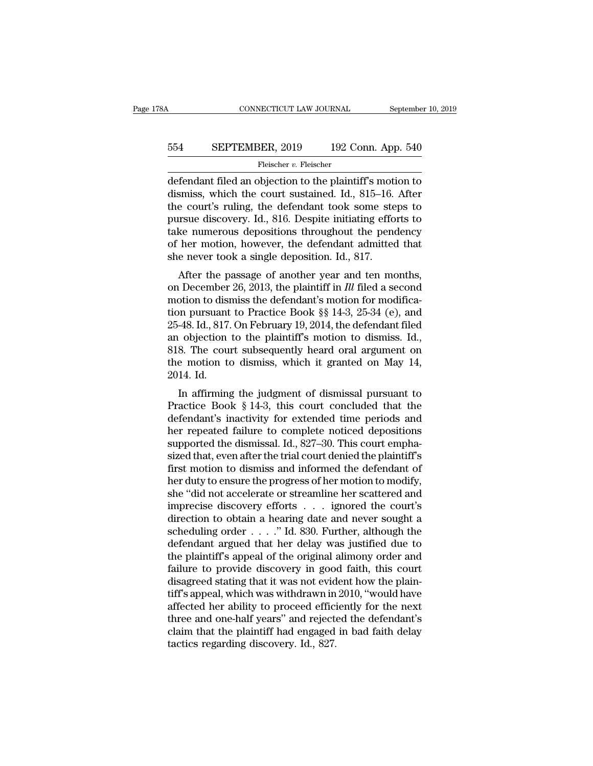# CONNECTICUT LAW JOURNAL September 10, 2019<br>554 SEPTEMBER, 2019 192 Conn. App. 540<br>Fleischer v. Fleischer

Fleischer v. Fleischer

CONNECTICUT LAW JOURNAL September 10, 2019<br>
554 SEPTEMBER, 2019 192 Conn. App. 540<br>
Fleischer v. Fleischer<br>
defendant filed an objection to the plaintiff's motion to<br>
dismiss, which the court sustained. Id., 815–16. After<br> 554 SEPTEMBER, 2019 192 Conn. App. 540<br>
Fleischer v. Fleischer<br>
defendant filed an objection to the plaintiff's motion to<br>
dismiss, which the court sustained. Id., 815–16. After<br>
the court's ruling, the defendant took some  $\begin{tabular}{ll} \bf 554 & SEPTEMBER, 2019 & 192 Conn. App. 540 \\ \hline \end{tabular} \end{tabular} \begin{tabular}{ll} \bf Flescher $v$. Flescher \\ \end{tabular} \end{tabular} \begin{tabular}{ll} \bf 554 & Flescher \\ \end{tabular} \end{tabular} \begin{tabular}{ll} \bf 555 & 540 \\ \bf 556 & 564 \\ \bf 657 & 676 \\ \bf 768 & 776 \\ \bf 778 & 776 \\ \bf 789 & 776 \\ \bf 799 & 776 \\ \bf 799 & 776$ 554 SEPTEMBER, 2019 192 Conn. App. 540<br>
Fleischer v. Fleischer<br>
defendant filed an objection to the plaintiff's motion to<br>
dismiss, which the court sustained. Id., 815–16. After<br>
the court's ruling, the defendant took som Fleischer v. Fleischer<br>
defendant filed an objection to the plaintiff's motion to<br>
dismiss, which the court sustained. Id., 815–16. After<br>
the court's ruling, the defendant took some steps to<br>
pursue discovery. Id., 816. Fleischer v. Fleischer<br>defendant filed an objection to the plaintiff's motion to<br>dismiss, which the court sustained. Id., 815–16. After<br>the court's ruling, the defendant took some steps to<br>pursue discovery. Id., 816. Desp defendant filed an objection to the plaintiff's motidismiss, which the court sustained. Id., 815–16.<br>the court's ruling, the defendant took some ste<br>pursue discovery. Id., 816. Despite initiating effo<br>take numerous deposit Shuss, which the court sustained. Id., 615–10. After<br>
e court's ruling, the defendant took some steps to<br>
irsue discovery. Id., 816. Despite initiating efforts to<br>
ke numerous depositions throughout the pendency<br>
her moti the court's ruling, the defendant took some steps to<br>pursue discovery. Id., 816. Despite initiating efforts to<br>take numerous depositions throughout the pendency<br>of her motion, however, the defendant admitted that<br>she never

pursue uncovery. Id., 510. Despite initiating errors to<br>take numerous depositions throughout the pendency<br>of her motion, however, the defendant admitted that<br>she never took a single deposition. Id., 817.<br>After the passage take numerous depositions unoughout the pendency<br>of her motion, however, the defendant admitted that<br>she never took a single deposition. Id., 817.<br>After the passage of another year and ten months,<br>on December 26, 2013, th of her motion, nowever, the defendant admitted that<br>she never took a single deposition. Id., 817.<br>After the passage of another year and ten months,<br>on December 26, 2013, the plaintiff in *Ill* filed a second<br>motion to dis She hever took a single deposition. Id., 617.<br>
After the passage of another year and ten months,<br>
on December 26, 2013, the plaintiff in *Ill* filed a second<br>
motion to dismiss the defendant's motion for modifica-<br>
tion p After the passage of another year and ten months,<br>on December 26, 2013, the plaintiff in *Ill* filed a second<br>motion to dismiss the defendant's motion for modifica-<br>tion pursuant to Practice Book §§ 14-3, 25-34 (e), and<br>2 on December 26, 2013, the plaintiff in *Ill* filed a second motion to dismiss the defendant's motion for modification pursuant to Practice Book  $\S$ § 14-3, 25-34 (e), and 25-48. Id., 817. On February 19, 2014, the defendan motion to disi<br>tion pursuant<br>25-48. Id., 817.<br>an objection<br>818. The cour<br>the motion to<br>2014. Id.<br>In affirming In pursuant to Tractice Book  $\S_8$  14-5, 25-54 (e), and<br>48. Id., 817. On February 19, 2014, the defendant filed<br>0 objection to the plaintiff's motion to dismiss. Id.,<br>8. The court subsequently heard oral argument on<br>e mot 25-48. id., 817. Off February 19, 2014, the defendant fied<br>an objection to the plaintiff's motion to dismiss. Id.,<br>818. The court subsequently heard oral argument on<br>the motion to dismiss, which it granted on May 14,<br>2014

an objection to the plantin's inotion to ushiss. Tal.,<br>
818. The court subsequently heard oral argument on<br>
the motion to dismiss, which it granted on May 14,<br>
2014. Id.<br>
In affirming the judgment of dismissal pursuant to ons. The court subsequently heard oral argument on<br>the motion to dismiss, which it granted on May 14,<br>2014. Id.<br>In affirming the judgment of dismissal pursuant to<br>Practice Book § 14-3, this court concluded that the<br>defend supported the dismissal pursuant to<br>The affirming the judgment of dismissal pursuant to<br>Practice Book § 14-3, this court concluded that the<br>defendant's inactivity for extended time periods and<br>her repeated failure to compl 2014. Id.<br>
In affirming the judgment of dismissal pursuant to<br>
Practice Book § 14-3, this court concluded that the<br>
defendant's inactivity for extended time periods and<br>
her repeated failure to complete noticed depositions In affirming the judgment of dismissal pursuant to<br>Practice Book § 14-3, this court concluded that the<br>defendant's inactivity for extended time periods and<br>her repeated failure to complete noticed depositions<br>supported th Practice Book § 14-3, this court concluded that the<br>defendant's inactivity for extended time periods and<br>her repeated failure to complete noticed depositions<br>supported the dismissal. Id., 827–30. This court empha-<br>sized t defendant's inactivity for extended time periods and<br>her repeated failure to complete noticed depositions<br>supported the dismissal. Id., 827–30. This court empha-<br>sized that, even after the trial court denied the plaintiff' her repeated failure to complete noticed depositions<br>supported the dismissal. Id., 827–30. This court empha-<br>sized that, even after the trial court denied the plaintiff's<br>first motion to dismiss and informed the defendant supported the dismissal. Id., 827–30. This court emphasized that, even after the trial court denied the plaintiff's<br>first motion to dismiss and informed the defendant of<br>her duty to ensure the progress of her motion to mo sized that, even after the trial court denied the plaintiff's<br>first motion to dismiss and informed the defendant of<br>her duty to ensure the progress of her motion to modify,<br>she "did not accelerate or streamline her scatter first motion to dismiss and informed the defendant of<br>her duty to ensure the progress of her motion to modify,<br>she "did not accelerate or streamline her scattered and<br>imprecise discovery efforts . . . . ignored the court's her duty to ensure the progress of her motion to modify,<br>she "did not accelerate or streamline her scattered and<br>imprecise discovery efforts . . . . ignored the court's<br>direction to obtain a hearing date and never sought a she "did not accelerate or streamline her scattered and<br>imprecise discovery efforts  $\ldots$  ignored the court's<br>direction to obtain a hearing date and never sought a<br>scheduling order  $\ldots$ ." Id. 830. Further, although the<br>d imprecise discovery efforts  $\ldots$  ignored the court's direction to obtain a hearing date and never sought a scheduling order  $\ldots$ ." Id. 830. Further, although the defendant argued that her delay was justified due to the direction to obtain a hearing date and never sought a<br>scheduling order  $\ldots$ ." Id. 830. Further, although the<br>defendant argued that her delay was justified due to<br>the plaintiff's appeal of the original alimony order and<br>f scheduling order  $\ldots$  ." Id. 830. Further, although the defendant argued that her delay was justified due to the plaintiff's appeal of the original alimony order and failure to provide discovery in good faith, this court defendant argued that her delay was justified due to<br>the plaintiff's appeal of the original alimony order and<br>failure to provide discovery in good faith, this court<br>disagreed stating that it was not evident how the plain-<br> the plaintiff's appeal of the original alimony order and<br>failure to provide discovery in good faith, this court<br>disagreed stating that it was not evident how the plain-<br>tiff's appeal, which was withdrawn in 2010, "would ha failure to provide discovery in goodisagreed stating that it was not evid<br>tiff's appeal, which was withdrawn in<br>affected her ability to proceed effici<br>three and one-half years" and reject<br>claim that the plaintiff had engag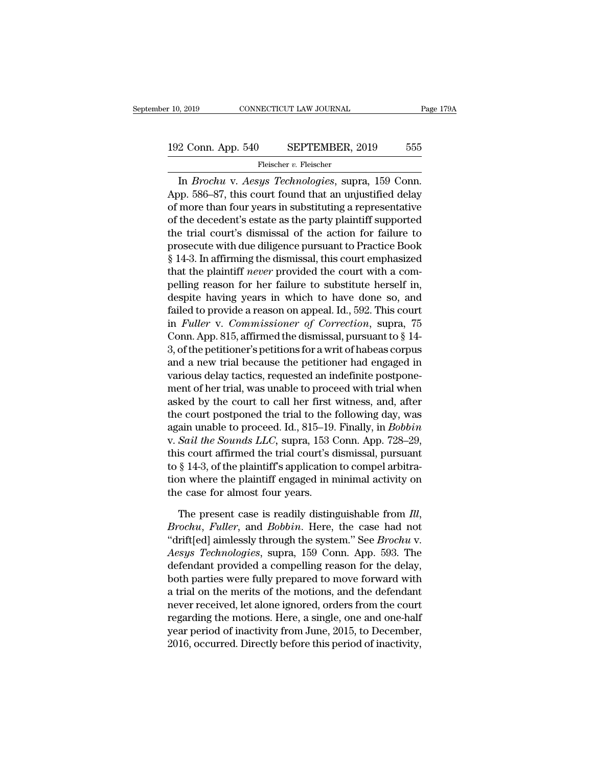## Fleischer v. Fleischer

In 2019 CONNECTICUT LAW JOURNAL Page 17<br>
2 Conn. App. 540 SEPTEMBER, 2019 555<br>
Fleischer v. Fleischer<br>
In *Brochu* v. *Aesys Technologies*, supra, 159 Conn.<br>
pp. 586–87, this court found that an unjustified delay<br>
mone tha 192 Conn. App. 540 SEPTEMBER, 2019 555<br>
Fleischer v. Fleischer<br>
In *Brochu* v. Aesys Technologies, supra, 159 Conn.<br>
App. 586–87, this court found that an unjustified delay<br>
of more than four years in substituting a repre 192 Conn. App. 540 SEPTEMBER, 2019 555<br>
Fleischer v. Fleischer<br>
In *Brochu* v. Aesys Technologies, supra, 159 Conn.<br>
App. 586–87, this court found that an unjustified delay<br>
of more than four years in substituting a repre 192 Conn. App. 540 SEPTEMBER, 2019 555<br>
Fleischer v. Fleischer<br>
In *Brochu* v. *Aesys Technologies*, supra, 159 Conn.<br>
App. 586–87, this court found that an unjustified delay<br>
of more than four years in substituting a rep Fleischer v. Fleischer<br>
In *Brochu* v. *Aesys Technologies*, supra, 159 Conn.<br>
App. 586–87, this court found that an unjustified delay<br>
of more than four years in substituting a representative<br>
of the decedent's estate as In *Brochu* v. *Aesys Technologies*, supra, 159 Conn.<br>App. 586–87, this court found that an unjustified delay<br>of more than four years in substituting a representative<br>of the decedent's estate as the party plaintiff support In *Brochu* v. *Aesys Technologies*, supra, 159 Conn.<br>App. 586–87, this court found that an unjustified delay<br>of more than four years in substituting a representative<br>of the decedent's estate as the party plaintiff suppor App. 586–87, this court found that an unjustified delay<br>of more than four years in substituting a representative<br>of the decedent's estate as the party plaintiff supported<br>the trial court's dismissal of the action for failu of more than four years in substituting a representative<br>of the decedent's estate as the party plaintiff supported<br>the trial court's dismissal of the action for failure to<br>prosecute with due diligence pursuant to Practice of the decedent's estate as the party plaintiff supported<br>the trial court's dismissal of the action for failure to<br>prosecute with due diligence pursuant to Practice Book<br>§ 14-3. In affirming the dismissal, this court emph the trial court's dismissal of the action for failure to<br>prosecute with due diligence pursuant to Practice Book<br>§ 14-3. In affirming the dismissal, this court emphasized<br>that the plaintiff *never* provided the court with prosecute with due diligence pursuant to Practice Book § 14-3. In affirming the dismissal, this court emphasized that the plaintiff *never* provided the court with a compelling reason for her failure to substitute herself  $\S$  14-3. In affirming the dismissal, this court emphasized<br>that the plaintiff *never* provided the court with a com-<br>pelling reason for her failure to substitute herself in,<br>despite having years in which to have done so, that the plaintiff *never* provided the court with a compelling reason for her failure to substitute herself in, despite having years in which to have done so, and failed to provide a reason on appeal. Id., 592. This cour pelling reason for her failure to substitute herself in,<br>despite having years in which to have done so, and<br>failed to provide a reason on appeal. Id., 592. This court<br>in *Fuller* v. *Commissioner of Correction*, supra, 75<br> despite having years in which to have done so, and<br>failed to provide a reason on appeal. Id., 592. This court<br>in *Fuller* v. *Commissioner of Correction*, supra, 75<br>Conn. App. 815, affirmed the dismissal, pursuant to § 14failed to provide a reason on appeal. Id., 592. This court<br>in *Fuller* v. *Commissioner of Correction*, supra, 75<br>Conn. App. 815, affirmed the dismissal, pursuant to § 14-<br>3, of the petitioner's petitions for a writ of hab in *Fuller* v. Commissioner of Correction, supra, 75<br>Conn. App. 815, affirmed the dismissal, pursuant to § 14-<br>3, of the petitioner's petitions for a writ of habeas corpus<br>and a new trial because the petitioner had engage Conn. App. 815, affirmed the dismissal, pursuant to  $\S$  14-<br>3, of the petitioner's petitions for a writ of habeas corpus<br>and a new trial because the petitioner had engaged in<br>various delay tactics, requested an indefinite 3, of the petitioner's petitions for a writ of habeas corpus<br>and a new trial because the petitioner had engaged in<br>various delay tactics, requested an indefinite postpone-<br>ment of her trial, was unable to proceed with tria and a new trial because the petitioner had engaged in<br>various delay tactics, requested an indefinite postpone-<br>ment of her trial, was unable to proceed with trial when<br>asked by the court to call her first witness, and, aft various delay tactics, requested an indefinite postponement of her trial, was unable to proceed with trial when asked by the court to call her first witness, and, after the court postponed the trial to the following day, ment of her trial, was unable to proceed with trial when<br>asked by the court to call her first witness, and, after<br>the court postponed the trial to the following day, was<br>again unable to proceed. Id., 815–19. Finally, in *B* asked by the court to call her first witness, and, after<br>the court postponed the trial to the following day, was<br>again unable to proceed. Id., 815–19. Finally, in *Bobbin*<br>v. *Sail the Sounds LLC*, supra, 153 Conn. App. 72 the court postponed the trial to the 1<br>again unable to proceed. Id., 815–19.<br>v. *Sail the Sounds LLC*, supra, 153 C<br>this court affirmed the trial court's d<br>to § 14-3, of the plaintiff's application<br>tion where the plaintiff v. Sail the Sounds LLC, supra, 153 Conn. App. 728–29,<br>this court affirmed the trial court's dismissal, pursuant<br>to § 14-3, of the plaintiff's application to compel arbitra-<br>tion where the plaintiff engaged in minimal activ

to § 14-3, of the plaintiff's application to compel arbitration where the plaintiff engaged in minimal activity on<br>the case for almost four years.<br>The present case is readily distinguishable from *Ill*,<br>*Brochu*, *Fuller*, *Aesys Technologies*, supra, 159 Conn. App. 393. The defendant provided a compelling reason for the delay, but having method a compelling reason for the delay, haster provided a compelling reason for the delay, haster prov the case for almost four years.<br>
The present case is readily distinguishable from *Ill*,<br> *Brochu*, *Fuller*, and *Bobbin*. Here, the case had not<br>
"drift[ed] aimlessly through the system." See *Brochu* v.<br> *Aesys Technolo* The present case is readily distinguishable from *Ill*,<br>*Brochu, Fuller*, and *Bobbin*. Here, the case had not<br>"drift[ed] aimlessly through the system." See *Brochu v.*<br>*Aesys Technologies*, supra, 159 Conn. App. 593. The<br> The present case is readily distinguishable from  $1ll$ ,<br>*Brochu*, *Fuller*, and *Bobbin*. Here, the case had not<br>"drift[ed] aimlessly through the system." See *Brochu* v.<br>*Aesys Technologies*, supra, 159 Conn. App. 593. Th *Brochu, Fuller,* and *Bobbin.* Here, the case had not<br>"drift[ed] aimlessly through the system." See *Brochu v.*<br>Aesys *Technologies*, supra, 159 Conn. App. 593. The<br>defendant provided a compelling reason for the delay,<br>bo "drift[ed] aimlessly through the system." See *Brochu v*.<br>Aesys *Technologies*, supra, 159 Conn. App. 593. The<br>defendant provided a compelling reason for the delay,<br>both parties were fully prepared to move forward with<br>a Aesys Technologies, supra, 159 Conn. App. 593. The<br>defendant provided a compelling reason for the delay,<br>both parties were fully prepared to move forward with<br>a trial on the merits of the motions, and the defendant<br>never r defendant provided a compelling reason for the delay,<br>both parties were fully prepared to move forward with<br>a trial on the merits of the motions, and the defendant<br>never received, let alone ignored, orders from the court<br>r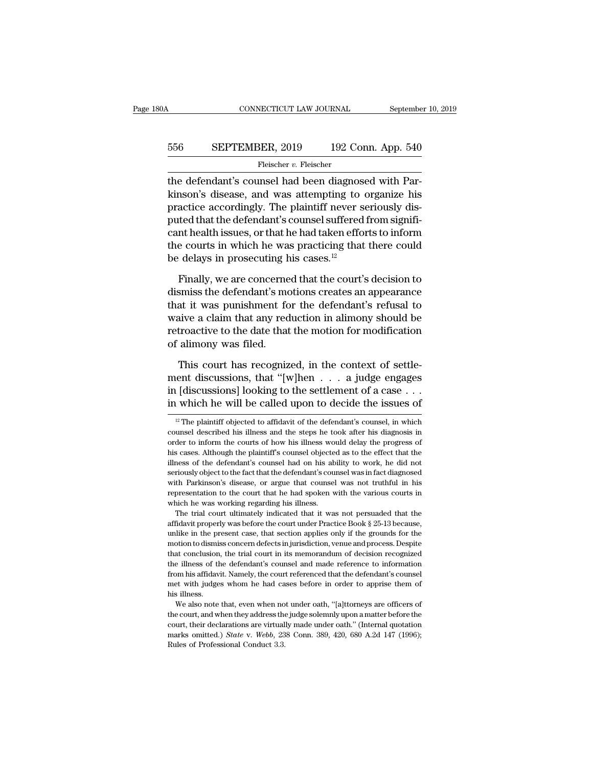# CONNECTICUT LAW JOURNAL September 10, 2019<br>556 SEPTEMBER, 2019 192 Conn. App. 540<br>Fleischer v. Fleischer

Fleischer v. Fleischer

CONNECTICUT LAW JOURNAL September<br>
SEPTEMBER, 2019 192 Conn. App. 540<br>
Fleischer v. Fleischer<br>
The defendant's counsel had been diagnosed with Par-<br>
kinson's disease, and was attempting to organize his EXPTEMBER, 2019 192 Conn. App. 540<br>
Fleischer v. Fleischer<br>
the defendant's counsel had been diagnosed with Parkinson's disease, and was attempting to organize his<br>
practice accordingly. The plaintiff never seriously dis-<br> 556 SEPTEMBER, 2019 192 Conn. App. 540<br>
Fleischer v. Fleischer<br>
the defendant's counsel had been diagnosed with Parkinson's disease, and was attempting to organize his<br>
practice accordingly. The plaintiff never seriously 556 SEPTEMBER, 2019 192 Conn. App. 540<br>
Fleischer v. Fleischer<br>
the defendant's counsel had been diagnosed with Parkinson's disease, and was attempting to organize his<br>
practice accordingly. The plaintiff never seriously Fleischer v. Fleischer<br>the defendant's counsel had been diagnosed with Par-<br>kinson's disease, and was attempting to organize his<br>practice accordingly. The plaintiff never seriously dis-<br>puted that the defendant's counsel The schere *v*. Figscher<br>the defendant's counsel had been diagnosed with Par-<br>kinson's disease, and was attempting to organize his<br>practice accordingly. The plaintiff never seriously dis-<br>puted that the defendant's counse the defendant's counsel had been diagnose<br>kinson's disease, and was attempting to  $\alpha$ <br>practice accordingly. The plaintiff never so<br>puted that the defendant's counsel suffered<br>cant health issues, or that he had taken effo actice accordingly. The plaintiff never seriously disted that the defendant's counsel suffered from signifi-<br>nt health issues, or that he had taken efforts to inform<br>e courts in which he was practicing that there could<br>de puted that the defendant's counsel suffered from significant health issues, or that he had taken efforts to inform<br>the courts in which he was practicing that there could<br>be delays in prosecuting his cases.<sup>12</sup><br>Finally, we

cant health issues, or that he had taken efforts to inform<br>the courts in which he was practicing that there could<br>be delays in prosecuting his cases. $12$ <br>Finally, we are concerned that the court's decision to<br>dismiss the the courts in which he was practicing that there could<br>be delays in prosecuting his cases.<sup>12</sup><br>Finally, we are concerned that the court's decision to<br>dismiss the defendant's motions creates an appearance<br>that it was punish be delays in prosecuting his cases.<sup>12</sup><br>Finally, we are concerned that the court's decision to<br>dismiss the defendant's motions creates an appearance<br>that it was punishment for the defendant's refusal to<br>waive a claim that Finally, we are concerned<br>ismiss the defendant's morthat it was punishment for<br>waive a claim that any red<br>retroactive to the date that<br>of alimony was filed.<br>This court has recognize smiss the defendant's motions creates an appearance<br>at it was punishment for the defendant's refusal to<br>aive a claim that any reduction in alimony should be<br>troactive to the date that the motion for modification<br>alimony w that it was punishment for the defendant's refusal to<br>waive a claim that any reduction in alimony should be<br>retroactive to the date that the motion for modification<br>of alimony was filed.<br>This court has recognized, in the

waive a claim that any reduction in alimony should be retroactive to the date that the motion for modification of alimony was filed.<br>This court has recognized, in the context of settlement discussions, that "[w]hen  $\dots$  a retroactive to the date that the motion for modification<br>of alimony was filed.<br>This court has recognized, in the context of settle-<br>ment discussions, that "[w]hen  $\dots$  a judge engages<br>in [discussions] looking to the settl 11 Ins court has recognized, in the context of settle-<br>
ent discussions, that "[w]hen . . . a judge engages<br>
1 [discussions] looking to the settlement of a case . . .<br>
1 which he will be called upon to decide the issues o ment discussions, that "[w]hen  $\dots$  a judge engages<br>in [discussions] looking to the settlement of a case  $\dots$ <br>in which he will be called upon to decide the issues of<br> $\frac{12}{12}$  The plaintiff objected to affidavit of the

but the Parkinson's disease, or argue that counsel was not truthful in his representation to the court that he had spoken with the various courts in which he was working regarding his illness.<br>The trial court ultimately in mericantization to discuss concern defects in jurisdiction, venue and process. The trial court ultimately indicated that it was not persuaded that the affidavit properly was before the court under Practice Book § 25-13 be From the was working regarding his illness.<br>The trial court ultimately indicated that it was not persuaded that the<br>affidavit properly was before the court under Practice Book § 25-13 because,<br>unlike in the present case, t The trial court ultimately indicated that it was not persuaded that the affidavit properly was before the court under Practice Book  $\S 25$ -13 because, unlike in the present case, that section applies only if the grounds f affidavit properly was before the court under Practice Book § 25-13 because, unlike in the present case, that section applies only if the grounds for the motion to dismiss concern defects in jurisdiction, venue and process unlike in the present case, that section applies only if the grounds for the motion to dismiss concern defects in jurisdiction, venue and process. Despite that conclusion, the trial court in its memorandum of decision reco motion to dismination to dismination to disminate order<br>that conclusion<br>the illness of the find and with judge<br>this illness.<br>We also note that conclusion, the trial court in its memorandum of decision recognized<br>the illness of the defendant's counsel and made reference to information<br>from his affidavit. Namely, the court referenced that the defendant's couns the illness of the defendant's coursel and made reference to information<br>the illness of the defendant's coursel and made reference to information<br>from his affidavit. Namely, the court referenced that the defendant's counse

in [discussions] looking to the settlement of a case  $\ldots$  in which he will be called upon to decide the issues of  $\frac{p}{p}$  The plaintiff objected to affidavit of the defendant's counsel, in which counsel described his i in which he will be called upon to decide the issues of  $\frac{12 \text{ The plaintiff} \text{objected to affidavit of the defendant's \text{counds, in which} }{12 \text{ cm} \text{cases}}$  is illness and the steps he took after his diagnosis in order to inform the courts of how his illness would delay If which he will be called upon to decide the issues of  $\frac{12}{12}$  The plaintiff objected to affidavit of the defendant's counsel, in which counsel described his illness and the steps he took after his diagnosis in order <sup>12</sup> The plaintiff objected to affidavit of the defendant's counsel, in which counsel described his illness and the steps he took after his diagnosis in order to inform the courts of how his illness would delay the progre counsel described his illness and the steps he took after his diagnosis in order to inform the courts of how his illness would delay the progress of his cases. Although the plaintiff's counsel objected as to the effect tha order to inform the courts of how his illness would delay the progress of his cases. Although the plaintiff's counsel objected as to the effect that the illness of the defendant's counsel had on his ability to work, he did order to inform the courts of how his illness would delay the progress of<br>his cases. Although the plaintiff's counsel objected as to the effect that the<br>illness of the defendant's counsel had on his ability to work, he di between the defendant's counsel had on his ability to work, he did not riously object to the fact that the defendant's counsel was in fact diagnosed the Parkinson's disease, or argue that counsel was not truthful in his p affidavit properly was before the court under Practice Book § 25-13 because, with Parkinson's disease, or argue that counsel was not truthful in his representation to the court that he had spoken with the various courts i

from his affidavit. Namely, the court referenced that the defendant's counsel<br>met with judges whom he had cases before in order to apprise them of<br>his illness.<br>We also note that, even when not under oath, "[a]ttorneys are met with judges whom he had cases before in order to apprise them of<br>his illness.<br>We also note that, even when not under oath, "[a]ttorneys are officers of<br>the court, and when they address the judge solemnly upon a matter We also note that, even when not under oath, "[a]ttorneys are officers of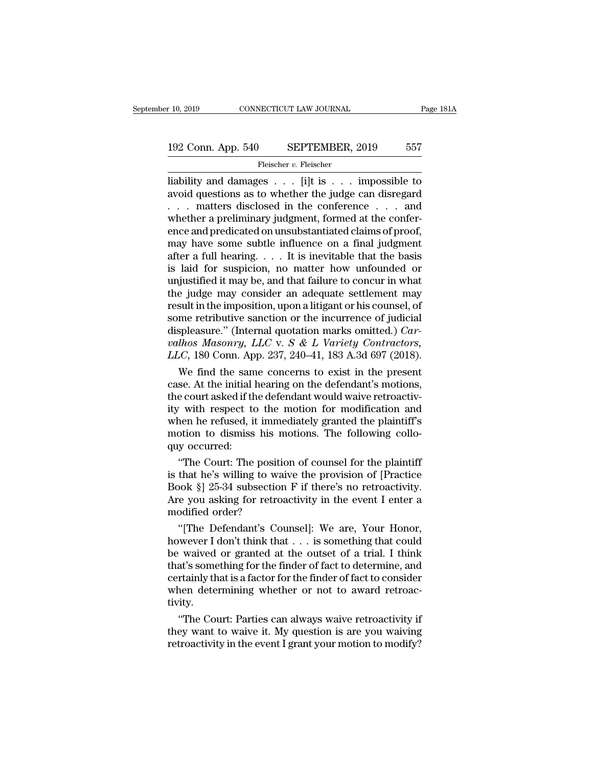# 10, 2019 CONNECTICUT LAW JOURNAL Page 181A<br>192 Conn. App. 540 SEPTEMBER, 2019 557<br>Fleischer v. Fleischer

Fleischer v. Fleischer

r 10, 2019 CONNECTICUT LAW JOURNAL Page 181A<br>
192 Conn. App. 540 SEPTEMBER, 2019 557<br>
Fleischer v. Fleischer<br>
liability and damages . . . [i]t is . . . impossible to<br>
avoid questions as to whether the judge can disregard<br> 192 Conn. App. 540 SEPTEMBER, 2019 557<br>
Fleischer v. Fleischer<br>
liability and damages . . . [i]t is . . . impossible to<br>
avoid questions as to whether the judge can disregard<br>
. . . matters disclosed in the conference . . 192 Conn. App. 540 SEPTEMBER, 2019 557<br>
Fleischer v. Fleischer<br>
liability and damages . . . [i]t is . . . impossible to<br>
avoid questions as to whether the judge can disregard<br>
. . . matters disclosed in the conference . . 192 Conn. App. 540 SEPTEMBER, 2019 557<br>
Fleischer v. Fleischer<br>
liability and damages . . . [i]t is . . . impossible to<br>
avoid questions as to whether the judge can disregard<br>
. . . matters disclosed in the conference . . Fleischer v. Fleischer<br>
Fleischer v. Fleischer<br>
liability and damages . . . [i]t is . . . impossible to<br>
avoid questions as to whether the judge can disregard<br>
. . . matters disclosed in the conference . . . and<br>
whether Fleischer v. Fleischer<br>liability and damages . . . [i]t is . . . impossible to<br>avoid questions as to whether the judge can disregard<br>. . . matters disclosed in the conference . . . and<br>whether a preliminary judgment, form liability and damages  $\dots$  [i]t is  $\dots$  impossible to<br>avoid questions as to whether the judge can disregard<br> $\dots$  matters disclosed in the conference  $\dots$  and<br>whether a preliminary judgment, formed at the confer-<br>ence and avoid questions as to whether the judge can disregard<br>  $\dots$  matters disclosed in the conference  $\dots$  and<br>
whether a preliminary judgment, formed at the confer-<br>
ence and predicated on unsubstantiated claims of proof,<br>
may ... matters disclosed in the conference ... and<br>whether a preliminary judgment, formed at the confer-<br>ence and predicated on unsubstantiated claims of proof,<br>may have some subtle influence on a final judgment<br>after a full whether a preliminary judgment, formed at the conference and predicated on unsubstantiated claims of proof,<br>may have some subtle influence on a final judgment<br>after a full hearing.... It is inevitable that the basis<br>is la ence and predicated on unsubstantiated claims of proof,<br>may have some subtle influence on a final judgment<br>after a full hearing. . . . It is inevitable that the basis<br>is laid for suspicion, no matter how unfounded or<br>unju may have some subtle influence on a final judgment<br>after a full hearing.... It is inevitable that the basis<br>is laid for suspicion, no matter how unfounded or<br>unjustified it may be, and that failure to concur in what<br>the j after a full hearing. . . . . It is inevitable that the basis<br>is laid for suspicion, no matter how unfounded or<br>unjustified it may be, and that failure to concur in what<br>the judge may consider an adequate settlement may<br>re is laid for suspicion, no matter how unfounded or<br>unjustified it may be, and that failure to concur in what<br>the judge may consider an adequate settlement may<br>result in the imposition, upon a litigant or his counsel, of<br>som unjustified it may be, and that failure to concur in what<br>the judge may consider an adequate settlement may<br>result in the imposition, upon a litigant or his counsel, of<br>some retributive sanction or the incurrence of judici e judge may consider an adequate settlement may<br>sult in the imposition, upon a litigant or his counsel, of<br>me retributive sanction or the incurrence of judicial<br>spleasure." (Internal quotation marks omitted.) *Car-<br>lhos M* result in the imposition, upon a litigant or his counsel, of<br>some retributive sanction or the incurrence of judicial<br>displeasure." (Internal quotation marks omitted.) *Car-<br>valhos Masonry, LLC* v. *S & L Variety Contracto* 

some retributive sanction or the incurrence of judicial<br>displeasure." (Internal quotation marks omitted.) *Car-*<br>*valhos Masonry, LLC* v. *S* & *L* Variety Contractors,<br>*LLC*, 180 Conn. App. 237, 240–41, 183 A.3d 697 (201 displeasure." (Internal quotation marks omitted.) *Carvalhos Masonry, LLC* v.  $S \& L$  *Variety Contractors, LLC*, 180 Conn. App. 237, 240–41, 183 A.3d 697 (2018).<br>We find the same concerns to exist in the present case. A valhos Masonry, LLC v. S & L Variety Contractors,<br>LLC, 180 Conn. App. 237, 240–41, 183 A.3d 697 (2018).<br>We find the same concerns to exist in the present<br>case. At the initial hearing on the defendant's motions,<br>the court *LLC*, 180 Conn. App. 237, 240–41, 183 A.3d 697 (2018).<br>We find the same concerns to exist in the present case. At the initial hearing on the defendant's motions, the court asked if the defendant would waive retroactivity We find the sam<br>case. At the initial l<br>the court asked if the<br>ity with respect to<br>when he refused, it<br>motion to dismiss<br>quy occurred:<br>"The Court: The se. At the mitial hearing on the defendant's motions,<br>
e court asked if the defendant would waive retroactiv-<br>
iv with respect to the motion for modification and<br>
nen he refused, it immediately granted the plaintiff's<br>
oti the court asked if the defendant would wave retroactivity<br>ity with respect to the motion for modification and<br>when he refused, it immediately granted the plaintiff's<br>motion to dismiss his motions. The following collo-<br>quy

ity with respect to the motion for modification and<br>when he refused, it immediately granted the plaintiff's<br>motion to dismiss his motions. The following collo-<br>quy occurred:<br>"The Court: The position of counsel for the plai when he retused, it immediately granted the plaintiff's<br>motion to dismiss his motions. The following collo-<br>quy occurred:<br>"The Court: The position of counsel for the plaintiff<br>is that he's willing to waive the provision of motion to dismiss his n<br>quy occurred:<br>"The Court: The positie<br>is that he's willing to wa<br>Book §] 25-34 subsection<br>Are you asking for retro:<br>modified order?<br>"[The Defendant's Cou "The Court: The position of counsel for the plaintiff<br>
that he's willing to waive the provision of [Practice<br>
ook §] 25-34 subsection F if there's no retroactivity.<br>
e you asking for retroactivity in the event I enter a<br> "The Court: The position of counsel for the plaintiff<br>is that he's willing to waive the provision of [Practice<br>Book §] 25-34 subsection F if there's no retroactivity.<br>Are you asking for retroactivity in the event I enter a

is that he's willing to waive the provision of [Practice]<br>Book §] 25-34 subsection F if there's no retroactivity.<br>Are you asking for retroactivity in the event I enter a<br>modified order?<br>"[The Defendant's Counsel]: We are, Book §] 25-34 subsection F if there's no retroactivity.<br>Are you asking for retroactivity in the event I enter a<br>modified order?<br>"[The Defendant's Counsel]: We are, Your Honor,<br>however I don't think that . . . is something Are you asking for retroactivity in the event I enter a<br>modified order?<br>"[The Defendant's Counsel]: We are, Your Honor,<br>however I don't think that . . . is something that could<br>be waived or granted at the outset of a trial modified order?<br>
"[The Defendant's Counsel]: We are, Your Honor,<br>
however I don't think that . . . is something that could<br>
be waived or granted at the outset of a trial. I think<br>
that's something for the finder of fact to tivity. Example wever I don't think that  $\ldots$  is something that could<br>  $\ddot{\text{r}}$  waived or granted at the outset of a trial. I think<br>
at's something for the finder of fact to determine, and<br>
retainly that is a factor for the fi be waved or granted at the outset of a trial. I think<br>that's something for the finder of fact to determine, and<br>certainly that is a factor for the finder of fact to consider<br>when determining whether or not to award retroac that's something for the finder of fact to determine, and<br>certainly that is a factor for the finder of fact to consider<br>when determining whether or not to award retroac-<br>tivity.<br>"The Court: Parties can always waive retroac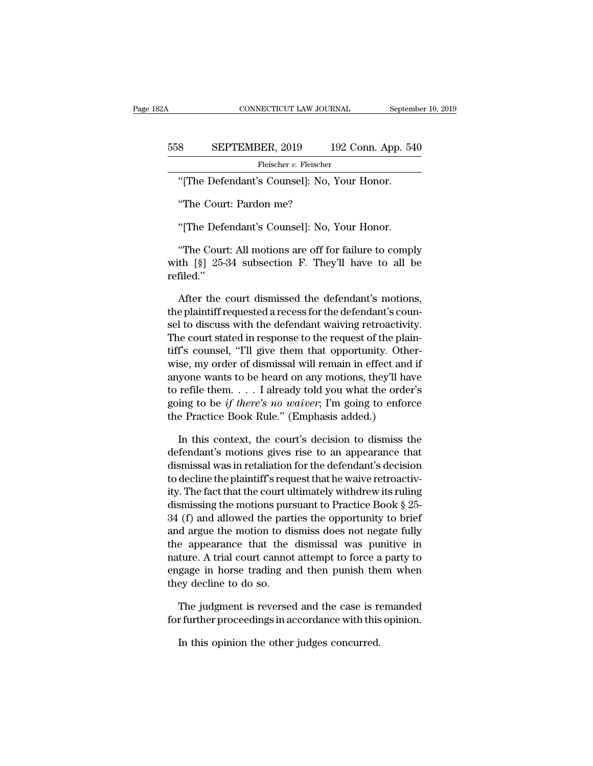### CONNECTICUT LAW JOURNAL September 10, 2019<br>558 SEPTEMBER, 2019 192 Conn. App. 540<br>Fleischer v. Fleischer Fleischer v. Fleischer CONNECTICUT LAW JOURNAL Septem<br>
SEPTEMBER, 2019 192 Conn. App. 54<br>
Fleischer v. Fleischer<br>
"[The Defendant's Counsel]: No, Your Honor.<br>
"The Court: Pardon me? SEPTEMBER, 2019 1<br>Fleischer v. Fleischer<br>"[The Defendant's Counsel]: No, `<br>"The Court: Pardon me?<br>"IThe Defendant's Counsell: No SEPTEMBER, 2019 192 Conn. App. 54<br>Fleischer v. Fleischer<br>"[The Defendant's Counsel]: No, Your Honor.<br>"The Court: Pardon me?<br>"[The Defendant's Counsel]: No, Your Honor.<br>"The Court: All motions are off for failure to compl

"[The Defendant's Counsel]: No, Your Honor.<br>"The Court: Pardon me?<br>"[The Defendant's Counsel]: No, Your Honor.<br>"The Court: All motions are off for failure to comply<br>th [§] 25-34 subsection F. They'll have to all be "The Detendant's Counser<sub>1</sub>. No, Tour Honor."<br>"The Court: Pardon me?"<br>"[The Defendant's Counsel]: No, Your Honor."<br>The Court: All motions are off for failure to comply<br>with [§] 25-34 subsection F. They'll have to all be<br>re refiled.'' "[The Defendant's Counsel]: No, Your Honor.<br>"The Court: All motions are off for failure to comply<br>th [§] 25-34 subsection F. They'll have to all be<br>filed."<br>After the court dismissed the defendant's motions,<br>e plaintiff req

"The Court: All motions are off for failure to comply<br>with  $[\S]$  25-34 subsection F. They'll have to all be<br>refiled."<br>After the court dismissed the defendant's motions,<br>the plaintiff requested a recess for the defendant's "The Court: All motions are off for failure to comply<br>with  $[\S]$  25-34 subsection F. They'll have to all be<br>refiled."<br>After the court dismissed the defendant's motions,<br>the plaintiff requested a recess for the defendant's with [§] 25-34 subsection F. They'll have to all be refiled."<br>
After the court dismissed the defendant's motions,<br>
the plaintiff requested a recess for the defendant's counsel<br>
to discuss with the defendant waiving retroac refiled."<br>After the court dismissed the defendant's motions,<br>the plaintiff requested a recess for the defendant's coun-<br>sel to discuss with the defendant waiving retroactivity.<br>The court stated in response to the request o After the court dismissed the defendant's motions,<br>the plaintiff requested a recess for the defendant's coun-<br>sel to discuss with the defendant waiving retroactivity.<br>The court stated in response to the request of the plai After the court dismissed the defendant's motions,<br>the plaintiff requested a recess for the defendant's coun-<br>sel to discuss with the defendant waiving retroactivity.<br>The court stated in response to the request of the pla the plantiff requested a recess for the defendant's counsel to discuss with the defendant waiving retroactivity.<br>The court stated in response to the request of the plaintiff's counsel, "I'll give them that opportunity. Ot sel to discuss with the defendant waiving retroactivity.<br>The court stated in response to the request of the plain-<br>tiff's counsel, "I'll give them that opportunity. Other-<br>wise, my order of dismissal will remain in effect The court stated in response to the request of the plain<br>tiff's counsel, "T'll give them that opportunity. Othe<br>wise, my order of dismissal will remain in effect and<br>anyone wants to be heard on any motions, they'll have<br>t se, my order of dismissal will remain in effect and if<br>yone wants to be heard on any motions, they'll have<br>refile them. . . . I already told you what the order's<br>ing to be *if there's no waiver*; I'm going to enforce<br>e Pr anyone wants to be heard on any motions, they'll have<br>to refile them. . . . I already told you what the order's<br>going to be *if there's no waiver*; I'm going to enforce<br>the Practice Book Rule." (Emphasis added.)<br>In this c

to refile them. . . . I already told you what the order's<br>going to be *if there's no waiver*; I'm going to enforce<br>the Practice Book Rule." (Emphasis added.)<br>In this context, the court's decision to dismiss the<br>defendant' going to be *if there's no waiver*; I'm going to enforce<br>the Practice Book Rule." (Emphasis added.)<br>In this context, the court's decision to dismiss the<br>defendant's motions gives rise to an appearance that<br>dismissal was i the Practice Book Rule." (Emphasis added.)<br>In this context, the court's decision to dismiss the<br>defendant's motions gives rise to an appearance that<br>dismissal was in retaliation for the defendant's decision<br>to decline the In this context, the court's decision to dismiss the<br>defendant's motions gives rise to an appearance that<br>dismissal was in retaliation for the defendant's decision<br>to decline the plaintiff's request that he waive retroacti In this context, the court's decision to dismiss the<br>defendant's motions gives rise to an appearance that<br>dismissal was in retaliation for the defendant's decision<br>to decline the plaintiff's request that he waive retroact detendant's motions gives rise to an appearance that<br>dismissal was in retaliation for the defendant's decision<br>to decline the plaintiff's request that he waive retroactiv-<br>ity. The fact that the court ultimately withdrew i dismissal was in retaliation for the defendant's decision<br>to decline the plaintiff's request that he waive retroactiv-<br>ity. The fact that the court ultimately withdrew its ruling<br>dismissing the motions pursuant to Practice to decline the plaintiff's request that he waive retroactivity. The fact that the court ultimately withdrew its ruling<br>dismissing the motions pursuant to Practice Book § 25-<br>34 (f) and allowed the parties the opportunity t ity. The fact that the court ultimately withdrew its ruling<br>dismissing the motions pursuant to Practice Book § 25-<br>34 (f) and allowed the parties the opportunity to brief<br>and argue the motion to dismiss does not negate ful dismissing the motions pur:<br>34 (f) and allowed the part<br>and argue the motion to di<br>the appearance that the<br>nature. A trial court cannot<br>engage in horse trading ar<br>they decline to do so.<br>The iudgment is reversed d argue the motion to dismiss does not negate fully<br>e appearance that the dismissal was punitive in<br>ture. A trial court cannot attempt to force a party to<br>gage in horse trading and then punish them when<br>ey decline to do so for the appearance that the dismissal was punitive in nature. A trial court cannot attempt to force a party to engage in horse trading and then punish them when they decline to do so.<br>The judgment is reversed and the case gage in horse trading and then punish the<br>ey decline to do so.<br>The judgment is reversed and the case is refurther proceedings in accordance with this<br>In this opinion the other judges concurred.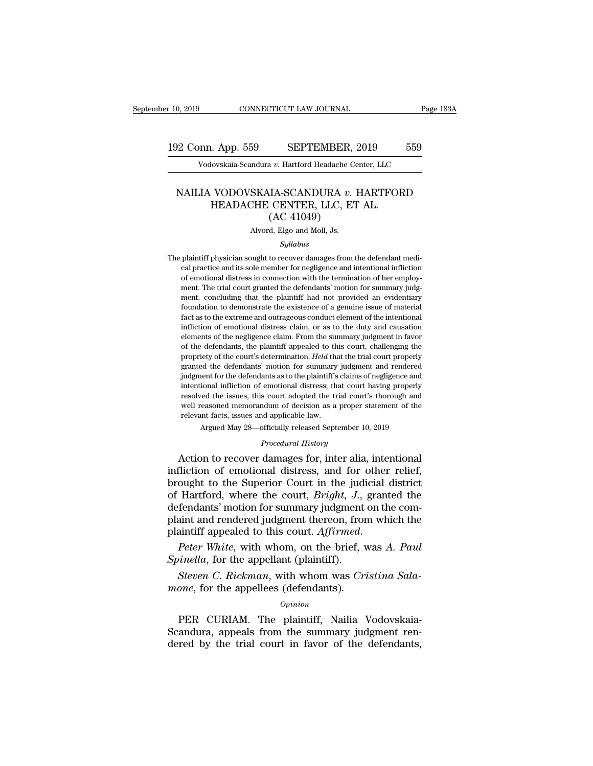# 10, 2019 CONNECTICUT LAW JOURNAL Page 183A<br>192 Conn. App. 559 SEPTEMBER, 2019 559<br>Vodovskaia-Scandura v. Hartford Headache Center, LLC Vodovskaia-Scandura *v.* Hartford Headache Center, LLC<br>Vodovskaia-Scandura *v.* Hartford Headache Center, LLC

### 12 Conn. App. 559 SEPTEMBER, 2019 559<br>
Vodovskaia-Scandura *v.* Hartford Headache Center, LLC<br>
NAILIA VODOVSKAIA-SCANDURA *v.* HARTFORD<br>
HEADACHE CENTER, LLC, ET AL. (AC 41049) EXAMPLE CENTER, 2019<br>
Hovskaia-Scandura v. Hartford Headache Center, LLC<br>
MODOVSKAIA-SCANDURA v. HARTFOF<br>
HEADACHE CENTER, LLC, ET AL.<br>
(AC 41049) SEPTEMBER, 2<br>
a v. Hartford Headache Ce<br>
JIA-SCANDURA v. 1<br>
CENTER, LLC, ET<br>
(AC 41049)<br>
d, Elgo and Moll, Js. NAILIA VODOVSKAIA-SCANDURA  $v$ . HARTFORD<br>HEADACHE CENTER, LLC, ET AL.<br>(AC 41049)<br>Alvord, Elgo and Moll, Js.

### *Syllabus*

HEADACHE CENTER, LLC, ET AL.<br>
(AC 41049)<br>
Alvord, Elgo and Moll, Js.<br>
Syllabus<br>
The plaintiff physician sought to recover damages from the defendant medi-<br>
cal practice and its sole member for negligence and intentional in  ${\rm (AC~41049)}$  <br> Alvord, Elgo and Moll, Js.<br>  $\label{thm:20} Syllabus$  plaintiff physician sought to recover damages from the defendant medical practice and its sole member for negligence and intentional infliction<br>of emotional distr Alvord, Elgo and Moll, Js.<br>
Syllabus<br>
plaintiff physician sought to recover damages from the defendant medi-<br>
cal practice and its sole member for negligence and intentional infliction<br>
of emotional distress in connection Moord, Elgo and Moll, Js.<br>Syllabus<br>plaintiff physician sought to recover damages from the defendant medical<br>practice and its sole member for negligence and intentional infliction<br>of emotional distress in connection with th *Syllabus*<br> *Syllabus*<br>
plaintiff physician sought to recover damages from the defendant medi-<br>
cal practice and its sole member for negligence and intentional infliction<br>
of emotional distress in connection with the termi plaintiff physician sought to recover damages from the defendant medical practice and its sole member for negligence and intentional infliction of emotional distress in connection with the termination of her employment. Th plantif physicial soligit to recover dantages from the detendant medical practice and its sole member for negligence and intentional infliction of emotional distress in connection with the termination of her employment. Th cal practice and its sole inentioer for negligence and intentional niniction<br>of emotional distress in connection with the termination of her employ-<br>ment, concluding that the plaintiff had not provided an evidentiary<br>found of enfotional distress in confection with the termination of her employment. The trial court granted the defendants' motion for summary judgment, concluding that the plaintiff had not provided an evidentiary foundation to ment, the dial court granted the defendants inodon to summary judg-<br>ment, concluding that the plaintiff had not provided an evidentiary<br>foundation to demonstrate the existence of a genuine issue of material<br>fact as to the propriety of the court's determination. *Held* that the trial courterinary foundation to demonstrate the existence of a genuine issue of material fact as to the extreme and outrageous conduct element of the intentional inf fact as to the extreme and outrageous conduct element of the intentional infliction of emotional distress claim, or as to the duty and causation elements of the negligence claim. From the summary judgment in favor of the d fact as to the extreme and outrageous conduct element of the intentional<br>infliction of emotional distress claim, or as to the duty and causation<br>elements of the negligence claim. From the summary judgment in favor<br>of the d innetion of emotional ustress claim, or as to the duty and causation<br>elements of the negligence claim. From the summary judgment in favor<br>of the defendants, the plaintiff appealed to this court, challenging the<br>propriety o resolved the issues, this court adopted the trial court challenging the propriety of the court's determination. *Held* that the trial court properly granted the defendants' motion for summary judgment and rendered judgment or the defendants, the plantiful appeared to this court, changing the<br>propriety of the court's determination. *Held* that the trial court properly<br>granted the defendants' motion for summary judgment and rendered<br>judgment f propriety of the court's determination. Held that the trial court properly granted the defendants' motion for summary judgment and rendered judgment for the defendants as to the plaintiff's claims of negligence and intent judgment for the defendants as to the plaint<br>iff's claims of negligence and intentional infliction of emotional distress;<br> that court having properly resolved the issues, this court adopted the trial court's thorough and Jacquetation of emotional distress; that court having properly<br>intentional infliction of emotional distress; that court having properly<br>resolved the issues, this court adopted the trial court's thorough and<br>well reasoned m

Argued May 28—officially released September 10, 2019<br>*Procedural History*<br>Action to recover damages for, inter alia, intentional resolved the issues, this court adopted the trial court's thorough and<br>well reasoned memorandum of decision as a proper statement of the<br>relevant facts, issues and applicable law.<br>Argued May 28—officially released Septembe well reasoned memorandum of decision as a proper statement of the<br>relevant facts, issues and applicable law.<br>Argued May 28—officially released September 10, 2019<br>*Procedural History*<br>Action to recover damages for, inter al relevant facts, issues and applicable law.<br>
Argued May 28—officially released September 10, 2019<br> *Procedural History*<br> **Action to recover damages for, inter alia, intentional infliction of emotional distress, and for othe** *Procedural History*<br>*Procedural History*<br>Action to recover damages for, inter alia, intentional<br>infliction of emotional distress, and for other relief,<br>brought to the Superior Court in the judicial district<br>of Hartford, w *Procedural History*<br>Action to recover damages for, inter alia, intentional<br>infliction of emotional distress, and for other relief,<br>brought to the Superior Court in the judicial district<br>of Hartford, where the court, *Brig* Action to recover damages for, inter alia, intentional<br>infliction of emotional distress, and for other relief,<br>brought to the Superior Court in the judicial district<br>of Hartford, where the court, *Bright*, *J.*, granted th brought to the Superior Court in the jud<br>of Hartford, where the court, *Bright*, *J.*,<br>defendants' motion for summary judgment<br>plaint and rendered judgment thereon, from<br>plaintiff appealed to this court. *Affirmed.*<br>*Peter* Fractional, where the court, *Bright*, *J.*, granted the fendants' motion for summary judgment on the comaint and rendered judgment thereon, from which the aintiff appealed to this court. *Affirmed.*<br>*Peter White*, with wh defendants inotion for summary judgment<br>plaint and rendered judgment thereon, from<br>plaintiff appealed to this court. Affirmed.<br>*Peter White*, with whom, on the brief, v<br>*Spinella*, for the appellant (plaintiff).<br>*Steven C.* 

### *Opinion*

Peter White, with whom, on the brief, was A. Paul<br>
inella, for the appellant (plaintiff).<br>
Steven C. Rickman, with whom was Cristina Sala-<br>
open, for the appellees (defendants).<br>
Opinion<br>
PER CURIAM. The plaintiff, Nailia  $\emph{Spinella},$  for the appellant (plaintiff).<br>Steven C. Rickman, with whom was Cristina Sala-<br>mone, for the appellees (defendants).<br> $\emph{opinion}$ <br>PER CURIAM. The plaintiff, Nailia Vodovskaia-<br>Scandura, appeals from the summary ju Steven C. Rickman, with whom was Cristina Sala-<br>mone, for the appellees (defendants).<br>opinion<br>PER CURIAM. The plaintiff, Nailia Vodovskaia-<br>Scandura, appeals from the summary judgment ren-<br>dered by the trial court in favor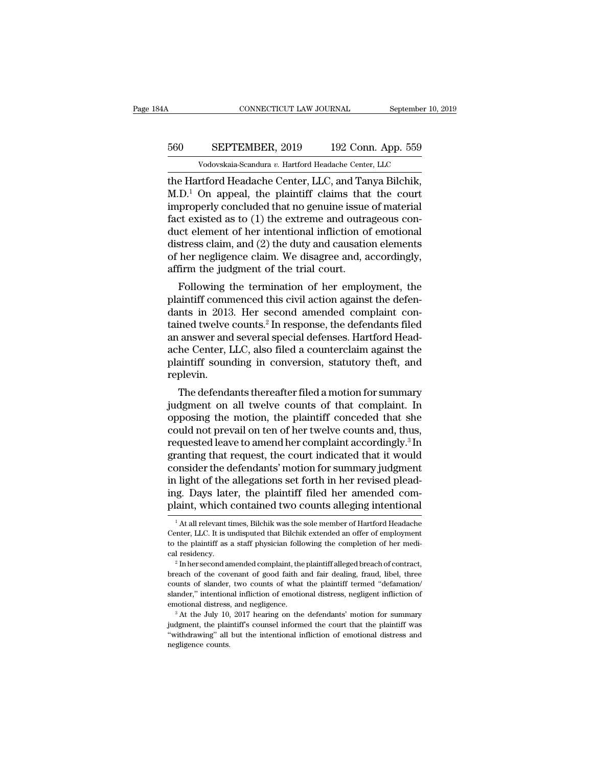# CONNECTICUT LAW JOURNAL September 10, 2019<br>560 SEPTEMBER, 2019 192 Conn. App. 559<br>Vodovskaia-Scandura v. Hartford Headache Center, LLC CONNECTICUT LAW JOURNAL September 10,<br>
SEPTEMBER, 2019 192 Conn. App. 559<br>
Vodovskaia-Scandura *v.* Hartford Headache Center, LLC<br>
Triford Headache Center, LLC, and Tanya Bilchik

CONNECTICUT LAW JOURNAL September 10, 2<br>
560 SEPTEMBER, 2019 192 Conn. App. 559<br>
Vodovskaia-Scandura v. Hartford Headache Center, LLC<br>
the Hartford Headache Center, LLC, and Tanya Bilchik,<br>
M.D.<sup>1</sup> On appeal, the plaintiff  $\frac{\text{SEPTEMBER}}{\text{Vodovskaja-Scandura } v. \text{ Hartford Headache Center, LLC}}$ <br>
the Hartford Headache Center, LLC, and Tanya Bilchik,<br>
M.D.<sup>1</sup> On appeal, the plaintiff claims that the court<br>
improperly concluded that no genuine issue of material<br>
fact existed a  $\frac{\text{SEPTEMBER, 2019}}{\text{Vodovskaja-Scandura } v. \text{ Hartford Headache Center, LLC}}$ <br>
the Hartford Headache Center, LLC, and Tanya Bilchik,<br>
M.D.<sup>1</sup> On appeal, the plaintiff claims that the court<br>
improperly concluded that no genuine issue of material<br>
fact exi  $\frac{\text{560}}{\text{Vodovskaja-Scandura } v. \text{ Hartford Headache Center, LLC}}$ <br>
Todovskaia-Scandura v. Hartford Headache Center, LLC<br>
the Hartford Headache Center, LLC, and Tanya Bilchik,<br>
M.D.<sup>1</sup> On appeal, the plaintiff claims that the court<br>
improperly conclu Vodovskaia-Scandura v. Hartford Headache Center, LLC<br>the Hartford Headache Center, LLC, and Tanya Bilchik,<br>M.D.<sup>1</sup> On appeal, the plaintiff claims that the court<br>improperly concluded that no genuine issue of material<br>fact vodovskaia-Scandura v. Hartford Headache Center, LLC<br>the Hartford Headache Center, LLC, and Tanya Bilchik,<br>M.D.<sup>1</sup> On appeal, the plaintiff claims that the court<br>improperly concluded that no genuine issue of material<br>fact the Hartford Headache Center, LLC, and Tanya Bilchik,<br>M.D.<sup>1</sup> On appeal, the plaintiff claims that the court<br>improperly concluded that no genuine issue of material<br>fact existed as to (1) the extreme and outrageous con-<br>duc  $M.D.^1$  On appeal, the plaintiff claims that<br>improperly concluded that no genuine issue<br>fact existed as to (1) the extreme and outra<br>duct element of her intentional infliction of<br>distress claim, and (2) the duty and causat properly concluded that ho gentume issue of material<br>ct existed as to (1) the extreme and outrageous con-<br>ict element of her intentional infliction of emotional<br>stress claim, and (2) the duty and causation elements<br>her neg ract existed as to (1) the extreme and outrageous conduct element of her intentional infliction of emotional<br>distress claim, and (2) the duty and causation elements<br>of her negligence claim. We disagree and, accordingly,<br>a

distress claim, and (2) the duty and causation elements<br>of her negligence claim. We disagree and, accordingly,<br>affirm the judgment of the trial court.<br>Following the termination of her employment, the<br>plaintiff commenced th distress claim, and (2) the duty and causation elements<br>of her negligence claim. We disagree and, accordingly,<br>affirm the judgment of the trial court.<br>Following the termination of her employment, the<br>plaintiff commenced t of her hegigence claim. We usagree and, accordingly,<br>affirm the judgment of the trial court.<br>Following the termination of her employment, the<br>plaintiff commenced this civil action against the defen-<br>dants in 2013. Her seco annum the judgment of the that court.<br>Following the termination of her employment, the<br>plaintiff commenced this civil action against the defen-<br>dants in 2013. Her second amended complaint con-<br>tained twelve counts.<sup>2</sup> In r Following the termination of her employment, the<br>plaintiff commenced this civil action against the defen-<br>dants in 2013. Her second amended complaint con-<br>tained twelve counts.<sup>2</sup> In response, the defendants filed<br>an answe replevin. Ints in 2013. Her second amended complaint con-<br>ined twelve counts.<sup>2</sup> In response, the defendants filed<br>answer and several special defenses. Hartford Head-<br>he Center, LLC, also filed a counterclaim against the<br>aintiff sou rained twelve counts. In response, the defendants filed<br>an answer and several special defenses. Hartford Head-<br>ache Center, LLC, also filed a counterclaim against the<br>plaintiff sounding in conversion, statutory theft, and<br>

an answer and several special defenses. Hartford Head-<br>ache Center, LLC, also filed a counterclaim against the<br>plaintiff sounding in conversion, statutory theft, and<br>replevin.<br>The defendants thereafter filed a motion for s ache Center, LLC, also thed a counterclaint against the plaintiff sounding in conversion, statutory theft, and<br>replevin.<br>The defendants thereafter filed a motion for summary<br>judgment on all twelve counts of that complaint. plantiful sounding in conversion, statutory then, and<br>replevin.<br>The defendants thereafter filed a motion for summary<br>judgment on all twelve counts of that complaint. In<br>opposing the motion, the plaintiff conceded that she<br> replevin.<br>The defendants thereafter filed a motion for summary<br>judgment on all twelve counts of that complaint. In<br>opposing the motion, the plaintiff conceded that she<br>could not prevail on ten of her twelve counts and, thu The defendants thereafter filed a motion for summary<br>judgment on all twelve counts of that complaint. In<br>opposing the motion, the plaintiff conceded that she<br>could not prevail on ten of her twelve counts and, thus,<br>request judgment on all twelve counts of that complaint. In opposing the motion, the plaintiff conceded that she could not prevail on ten of her twelve counts and, thus, requested leave to amend her complaint accordingly.<sup>3</sup> In gr opposing the motion, the plaintiff conceded that she<br>could not prevail on ten of her twelve counts and, thus,<br>requested leave to amend her complaint accordingly.<sup>3</sup> In<br>granting that request, the court indicated that it wou could not prevail on ten of her twelve counts and, thus,<br>requested leave to amend her complaint accordingly.<sup>3</sup> In<br>granting that request, the court indicated that it would<br>consider the defendants' motion for summary judgme onsider the defendants' motion for summary judgment<br>1 light of the allegations set forth in her revised plead-<br>1g. Days later, the plaintiff filed her amended com-<br>1 at all relevant times, Bilchik was the sole member of Ha in light of the allegations set forth in her revised pleading. Days later, the plaintiff filed her amended complaint, which contained two counts alleging intentional  $\frac{1}{1}$  At all relevant times, Bilchik was the sole m

ing. Days later, the plaintiff filed her amended complaint, which contained two counts alleging intentional<br><sup>1</sup> At all relevant times, Bilchik was the sole member of Hartford Headache<br>Center, LLC. It is undisputed that Bil plaint, which contained two counts alleging intentional<br>
<sup>1</sup>At all relevant times, Bilchik was the sole member of Hartford Headache<br>
Center, LLC. It is undisputed that Bilchik extended an offer of employment<br>
to the plain <sup>1</sup> At all relevant times, Bilchik was the sole member of Hartford Headache Center, LLC. It is undisputed that Bilchik extended an offer of employment to the plaintiff as a staff physician following the completion of her

Center, LLC. It is undisputed that Bilchik extended an offer of employment<br>to the plaintiff as a staff physician following the completion of her medi-<br>cal residency.<br><sup>2</sup> Inher second amended complaint, the plaintiff allege slander, the main influence and influence and once of employment to the plaintiff as a staff physician following the completion of her medical residency.<br>
<sup>2</sup> Inher second amended complaint, the plaintiff alleged breach of emotional distress, and negligence.<br>
<sup>2</sup> In her second amended complaint, the plaintiff alleged breach of contract, breach of the covenant of good faith and fair dealing, fraud, libel, three counts of slander, two counts o breach of the covenant of good faith and fair dealing, fraud, libel, three counts of slander, two counts of what the plaintiff termed "defamation/slander," intentional infliction of emotional distress, negligent inflictio slander," intentional infliction of emotional distress, negligent infliction of

counts of slander, two counts of what the plaintiff termed "defamation"<br>counts of slander, wo counts of what the plaintiff termed "defamation"<br>slander," intentional infliction of emotional distress, negligent infliction of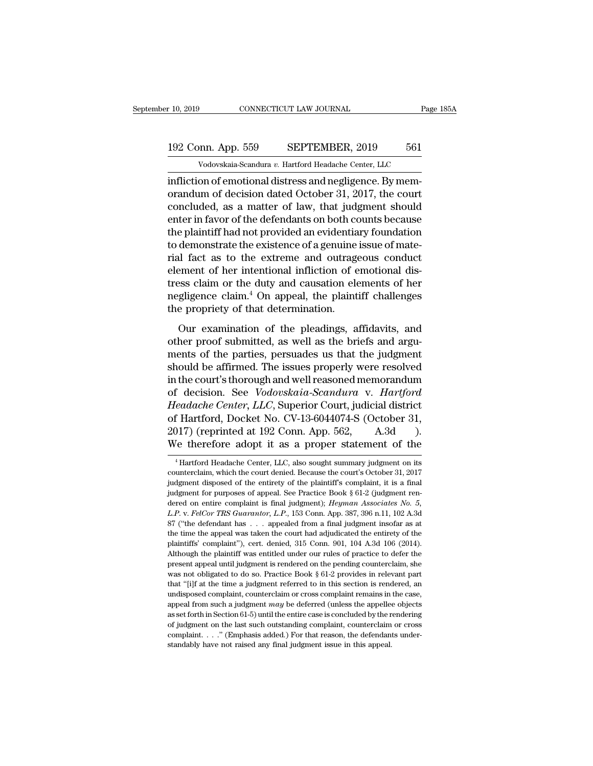# 10, 2019 CONNECTICUT LAW JOURNAL Page 185A<br>192 Conn. App. 559 SEPTEMBER, 2019 561<br>Vodovskaia-Scandura v. Hartford Headache Center, LLC Vodovskaia-Scandura *v.* Hartford Headache Center, LLC<br>Vodovskaia-Scandura *v.* Hartford Headache Center, LLC<br>On of emotional distress and negligence. By mem-

Infliction of emotional distress and negligence. By mem-<br>
The original distress and negligence. By mem-<br>
The original distress and negligence. By mem-<br>
First and negligence. By mem-<br>
The count appearance of law that indepe 192 Conn. App. 559 SEPTEMBER, 2019 561<br>Vodovskaia-Scandura v. Hartford Headache Center, LLC<br>infliction of emotional distress and negligence. By mem-<br>orandum of decision dated October 31, 2017, the court<br>concluded, as a mat 192 Conn. App. 559 SEPTEMBER, 2019 561<br>Vodovskaia-Scandura v. Hartford Headache Center, LLC<br>infliction of emotional distress and negligence. By mem-<br>orandum of decision dated October 31, 2017, the court<br>concluded, as a ma 192 Conn. App. 559 SEPTEMBER, 2019 561<br>
Vodovskaia-Scandura v. Hartford Headache Center, LLC<br>
infliction of emotional distress and negligence. By mem-<br>
orandum of decision dated October 31, 2017, the court<br>
concluded, as Vodovskaia-Scandura v. Hartford Headache Center, LLC<br>
infliction of emotional distress and negligence. By memorandum of decision dated October 31, 2017, the court<br>
concluded, as a matter of law, that judgment should<br>
ente volovskala-scandara v. Hartord Headache Center, LLC<br>infliction of emotional distress and negligence. By mem-<br>orandum of decision dated October 31, 2017, the court<br>concluded, as a matter of law, that judgment should<br>enter infliction of emotional distress and negligence. By memorandum of decision dated October 31, 2017, the court<br>concluded, as a matter of law, that judgment should<br>enter in favor of the defendants on both counts because<br>the p orandum of decision dated October 31, 2017, the court<br>concluded, as a matter of law, that judgment should<br>enter in favor of the defendants on both counts because<br>the plaintiff had not provided an evidentiary foundation<br>to concluded, as a matter of law, that judgment should<br>enter in favor of the defendants on both counts because<br>the plaintiff had not provided an evidentiary foundation<br>to demonstrate the existence of a genuine issue of mate-<br> enter in favor of the defendants on both counts because<br>the plaintiff had not provided an evidentiary foundation<br>to demonstrate the existence of a genuine issue of mate-<br>rial fact as to the extreme and outrageous conduct<br>e the plaintiff had not provided an evidentia<br>to demonstrate the existence of a genuine<br>rial fact as to the extreme and outrage<br>element of her intentional infliction of e<br>tress claim or the duty and causation ele<br>negligence If fact as to the extreme and outrageous conduct<br>
ement of her intentional infliction of emotional dis-<br>
ess claim or the duty and causation elements of her<br>
gligence claim.<sup>4</sup> On appeal, the plaintiff challenges<br>
e propri rial fact as to the extreme and outrageous conduct<br>element of her intentional infliction of emotional dis-<br>tress claim or the duty and causation elements of her<br>negligence claim.<sup>4</sup> On appeal, the plaintiff challenges<br>the

ments claim or the duty and causation elements of her<br>negligence claim.<sup>4</sup> On appeal, the plaintiff challenges<br>the propriety of that determination.<br>Our examination of the pleadings, affidavits, and<br>other proof submitted, a show that the plaintiff challenges<br>the propriety of that determination.<br>Our examination of the pleadings, affidavits, and<br>other proof submitted, as well as the briefs and argu-<br>ments of the parties, persuades us that the j the propriety of that determination.<br>
Our examination of the pleadings, affidavits, and<br>
other proof submitted, as well as the briefs and argu-<br>
ments of the parties, persuades us that the judgment<br>
should be affirmed. The Our examination of the pleadings, affidavits, and<br>other proof submitted, as well as the briefs and argu-<br>ments of the parties, persuades us that the judgment<br>should be affirmed. The issues properly were resolved<br>in the cou Our examination of the pleadings, affidavits, and<br>
other proof submitted, as well as the briefs and argu-<br>
ments of the parties, persuades us that the judgment<br>
should be affirmed. The issues properly were resolved<br>
in the other proof submitted, as well as the briefs and arguments of the parties, persuades us that the judgment<br>should be affirmed. The issues properly were resolved<br>in the court's thorough and well reasoned memorandum<br>of decisi ments of the parties, persuades us that the judgment<br>should be affirmed. The issues properly were resolved<br>in the court's thorough and well reasoned memorandum<br>of decision. See *Vodovskaia-Scandura* v. *Hartford*<br>*Headache* should be affirmed. The issues properly were resolved<br>in the court's thorough and well reasoned memorandum<br>of decision. See *Vodovskaia-Scandura* v. *Hartford*<br>*Headache Center*, *LLC*, Superior Court, judicial district<br>of Headache Center, LLC, Superior Court, judicial district<br>of Hartford, Docket No. CV-13-6044074-S (October 31,<br>2017) (reprinted at 192 Conn. App. 562, A.3d<br>We therefore adopt it as a proper statement of the<br><sup>4</sup>Hartford Heada of Hartford, Docket No. CV-13-6044074-S (October 31, 2017) (reprinted at 192 Conn. App. 562, A.3d ).<br>We therefore adopt it as a proper statement of the <sup>4</sup>Hartford Headache Center, LLC, also sought summary judgment on its

<sup>2017) (</sup>reprinted at 192 Conn. App. 562, A.3d ).<br>We therefore adopt it as a proper statement of the  $\overline{ }^4$ Hartford Headache Center, LLC, also sought summary judgment on its counterclaim, which the court denied. Because We therefore adopt it as a proper statement of the<br>
<sup>4</sup> Hartford Headache Center, LLC, also sought summary judgment on its<br>
counterclaim, which the court denied. Because the court's October 31, 2017<br>
judgment disposed of t <sup>4</sup> Hartford Headache Center, LLC, also sought summary judgment on its counterclaim, which the court denied. Because the court's October 31, 2017 judgment disposed of the entirety of the plaintiff's complaint, it is a fin <sup>4</sup> Hartford Headache Center, LLC, also sought summary judgment on its counterclaim, which the court denied. Because the court's October 31, 2017 judgment disposed of the entirety of the plaintiff's complaint, it is a fin counterclaim, which the court denied. Because the court's October 31, 2017<br>judgment disposed of the entirety of the plaintiff's complaint, it is a final<br>judgment for purposes of appeal. See Practice Book § 61-2 (judgment independent disposed of the entirety of the plaintiff's complaint, it is a final judgment for purposes of appeal. See Practice Book § 61-2 (judgment rendered on entire complaint is final judgment); *Heyman Associates No.* gludgment for purposes of appeal. See Practice Book § 61-2 (judgment rendered on entire complaint is final judgment); *Heyman Associates No.* 5, *L.P.* v. *FelCor TRS Guarantor*, *L.P.*, 153 Conn. App. 387, 396 n.11, 102 dered on entire complaint is final judgment); *Heyman Associates No. 5*, *L.P.* v. *FelCor TRS Guarantor*, *L.P.*, 153 Conn. App. 387, 396 n.11, 102 A.3d 87 ("the defendant has . . . appealed from a final judgment insofar L.P. v. FelCor TRS Guarantor, L.P., 153 Conn. App. 387, 396 n.11, 102 A.3d<br>E.P. v. FelCor TRS Guarantor, L.P., 153 Conn. App. 387, 396 n.11, 102 A.3d<br>87 ("the defendant has . . . appealed from a final judgment insofar as a 87 ("the defendant has . . . appealed from a final judgment insofar as at the time the appeal was taken the court had adjudicated the entirety of the plaintiffs' complaint"), cert. denied, 315 Conn. 901, 104 A.3d 106 (201 the time the appeal was taken the court had adjudicated the entirety of the plaintiffs' complaint"), cert. denied, 315 Conn. 901, 104 A.3d 106 (2014). Although the plaintiff was entitled under our rules of practice to defe plaintiffs' complaint"), cert. denied, 315 Conn. 901, 104 A.3d 106 (2014).<br>Although the plaintiff was entitled under our rules of practice to defer the<br>present appeal until judgment is rendered on the pending counterclaim Although the plaintiff was entitled under our rules of practice to defer the present appeal until judgment is rendered on the pending counterclaim, she was not obligated to do so. Practice Book  $\S$  61-2 provides in releva Fresent appeal until judgment is rendered on the pending counterclaim, she was not obligated to do so. Practice Book  $\S 61-2$  provides in relevant part that "[i]f at the time a judgment referred to in this section is rend was not obligated to do so. Practice Book § 61-2 provides in relevant part that "[i]f at the time a judgment referred to in this section is rendered, an undisposed complaint, counterclaim or cross complaint remains in the that "[i]f at the time a judgment referred to in this section is rendered, an appeal from such a judgment  $may$  be deferred (unless the appellee objects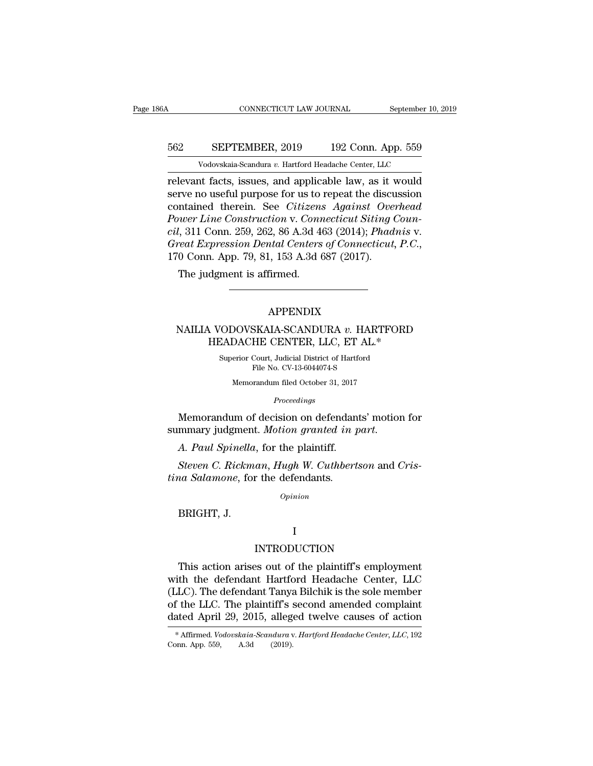# CONNECTICUT LAW JOURNAL September 10, 2019<br>562 SEPTEMBER, 2019 192 Conn. App. 559<br>Vodovskaia-Scandura v. Hartford Headache Center, LLC CONNECTICUT LAW JOURNAL September 10,<br>
SEPTEMBER, 2019 192 Conn. App. 559<br>
Vodovskaia-Scandura *v.* Hartford Headache Center, LLC<br>
and an applicable law as it would

CONNECTICUT LAW JOURNAL September 10, 2019<br>
SEPTEMBER, 2019 192 Conn. App. 559<br>
Vodovskaia-Scandura v. Hartford Headache Center, LLC<br>
relevant facts, issues, and applicable law, as it would<br>
serve no useful purpose for us SEPTEMBER, 2019 192 Conn. App. 559<br>
Vodovskaia-Scandura v. Hartford Headache Center, LLC<br>
relevant facts, issues, and applicable law, as it would<br>
serve no useful purpose for us to repeat the discussion<br>
contained therein. SEPTEMBER, 2019 192 Conn. App. 559<br>
Vodovskaia-Scandura v. Hartford Headache Center, LLC<br>
relevant facts, issues, and applicable law, as it would<br>
serve no useful purpose for us to repeat the discussion<br>
contained therein. *Por EPTEMBER, 2019* 192 Conn. App. 559<br> *Vodovskaia-Scandura v. Hartford Headache Center, LLC*<br> *Power Line Construction* v. *Connecticut Siting Coun-*<br> *Contained therein. See Citizens Against Overhead Power Line Constru Columbury, 2012* Columbury, 2013<br> *columbury v. Hartford Headache Center, LLC*<br>
relevant facts, issues, and applicable law, as it would<br>
serve no useful purpose for us to repeat the discussion<br>
contained therein. See *Cit* Vodovskaia-Scandura v. Hartford Headache Center, LLC<br>
relevant facts, issues, and applicable law, as it would<br>
serve no useful purpose for us to repeat the discussion<br>
contained therein. See *Citizens Against Overhead*<br> *P* rive no useful purpose for us to<br>mtained therein. See *Citizens*<br>*nuer Line Construction v. Conn*<br>*l*, 311 Conn. 259, 262, 86 A.3d 4<br>*eat Expression Dental Centers*<br>0 Conn. App. 79, 81, 153 A.3d 6<br>The judgment is affirmed.

### APPENDIX

### %10 Conn. App. 79, 81, 153 A.3d 687 (2017).<br>
The judgment is affirmed.<br>
MAILIA VODOVSKAIA-SCANDURA *v.* HARTFORD<br>
HEADACHE CENTER, LLC, ET AL.\* dgment is affirmed.<br>
APPENDIX<br>
APPENDIX<br>
AUCODOVSKAIA-SCANDURA v. HARTFORD<br>
HEADACHE CENTER, LLC, ET AL.\*<br>
Superior Court, Judicial District of Hartford<br>
File No. CV 13.6044974.8  $\begin{minipage}{0.9\linewidth} \textbf{APPENDIX} \\ \textbf{CADACHE CENTER, LLC, ET AL.*} \\ \textbf{Superior Court, Judicial District of Hartford File No. CV-13-6044074-S} \end{minipage}$ APPENDIX<br>SKAIA-SCANDURA v. HAF<br>HE CENTER, LLC, ET AL.<br>Court, Judicial District of Hartford<br>File No. CV-13-6044074-S<br>prandum filed October 31, 2017 OOVSKAIA-SCANDURA v. HARTF<br>DACHE CENTER, LLC, ET AL.\*<br>erior Court, Judicial District of Hartford<br>File No. CV-13-6044074-S<br>Memorandum filed October 31, 2017<br>Proceedings

*Proceedings*

HEADACHE CENTER, LLC, ET AL.\*<br>
Superior Court, Judicial District of Hartford<br>
File No. CV-13-6044074-S<br>
Memorandum filed October 31, 2017<br> *Proceedings*<br>
Memorandum of decision on defendants' motion for<br>
mmary judgment. *M* Superior Court, Judicial District of Hartford<br>File No. CV-13-6044074-S<br>Memorandum filed October 31, 2017<br>*Proceedings*<br>Memorandum of decision on defendants' motion<br>summary judgment. *Motion granted in part*.<br>A. Paul Spinel *Proceedings*<br>*Proceedings*<br>Memorandum of decision on defendants' motion for<br>mmary judgment. Motion granted in part.<br>A. Paul Spinella, for the plaintiff.<br>Steven C. Rickman, Hugh W. Cuthbertson and Cris-<br>na Salamone, for th *Proceedings*<br>
Memorandum of decision on defendan<br>
summary judgment. *Motion granted in*<br> *A. Paul Spinella*, for the plaintiff.<br> *Steven C. Rickman, Hugh W. Cuthbert*<br> *tina Salamone,* for the defendants.<br> *Opinion* 

A. Paul Spinella<br>A. Paul Spinella<br>Steven C. Rickm<br>na Salamone, for<br>BRIGHT, J.

*Opinion*

### I

### INTRODUCTION

Opinion<br>
DRIGHT, J.<br>
I<br>
This action arises out of the plaintiff's employment<br>
th the defendant Hartford Headache Center, LLC<br>
LC) The defendant Tanya Bilebik is the sole member BRIGHT, J.<br>
I<br>
INTRODUCTION<br>
This action arises out of the plaintiff's employment<br>
with the defendant Hartford Headache Center, LLC<br>
(LLC). The defendant Tanya Bilchik is the sole member<br>
of the LLC. The plaintiff's second I<br>
I<br>
I<br>
I<br>
INTRODUCTION<br>
This action arises out of the plaintiff's employment<br>
with the defendant Hartford Headache Center, LLC<br>
(LLC). The defendant Tanya Bilchik is the sole member<br>
of the LLC. The plaintiff's second am INTRODUCTION<br>This action arises out of the plaintiff's employment<br>with the defendant Hartford Headache Center, LLC<br>(LLC). The defendant Tanya Bilchik is the sole member<br>of the LLC. The plaintiff's second amended complaint<br> INTRODUCTION<br>This action arises out of the plaintiff's employment<br>with the defendant Hartford Headache Center, LLC<br>(LLC). The defendant Tanya Bilchik is the sole member<br>of the LLC. The plaintiff's second amended complaint<br> ith the defendant Hartford Headache Center, LLC<br>LLC). The defendant Tanya Bilchik is the sole member<br>f the LLC. The plaintiff's second amended complaint<br>ated April 29, 2015, alleged twelve causes of action<br>\*Affirmed. *Vodo* (LLC). The defendant Tanya<br>of the LLC. The plaintiff's :<br>dated April 29, 2015, alleg<br>\*Affirmed. *Vodovskaia-Scandura* v<br>Conn. App. 559, A.3d (2019).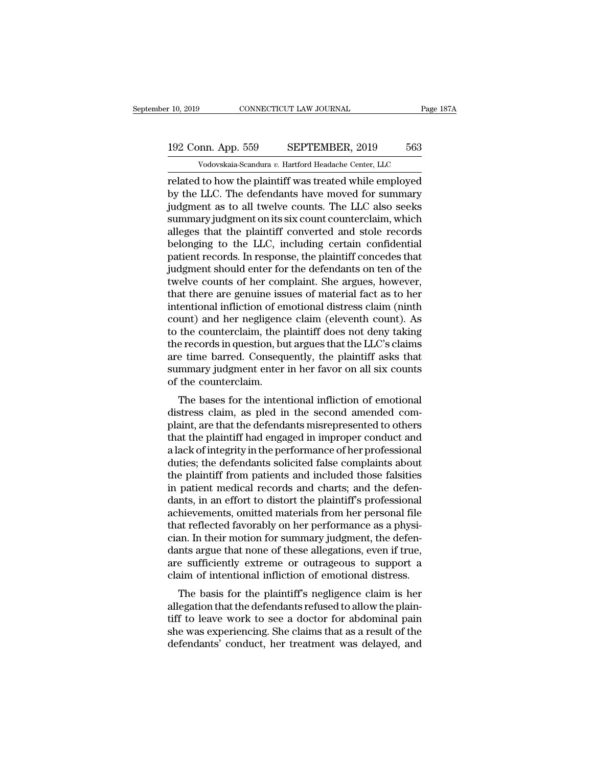# 10, 2019 CONNECTICUT LAW JOURNAL Page 187A<br>192 Conn. App. 559 SEPTEMBER, 2019 563<br>Vodovskaia-Scandura v. Hartford Headache Center, LLC Vodovskaia-Scandura *v.* Hartford Headache Center, LLC<br>Vodovskaia-Scandura *v.* Hartford Headache Center, LLC<br>Uto how the plaintiff was treated while employed

related to how the plaintiff was treated while employed<br>
to the LLC. The defendants have moved for summary<br>
related to how the plaintiff was treated while employed<br>
by the LLC. The defendants have moved for summary<br>
indime 192 Conn. App. 559 SEPTEMBER, 2019 563<br>Vodovskaia-Scandura v. Hartford Headache Center, LLC<br>related to how the plaintiff was treated while employed<br>by the LLC. The defendants have moved for summary<br>judgment as to all twelv 192 Conn. App. 559 SEPTEMBER, 2019 563<br>Vodovskaia-Scandura v. Hartford Headache Center, LLC<br>related to how the plaintiff was treated while employed<br>by the LLC. The defendants have moved for summary<br>judgment as to all twel 192 Conn. App. 559 SEPTEMBER, 2019 563<br>
Vodovskaia-Scandura v. Hartford Headache Center, LLC<br>
related to how the plaintiff was treated while employed<br>
by the LLC. The defendants have moved for summary<br>
judgment as to all t Vodovskaia-Scandura v. Hartford Headache Center, LLC<br>related to how the plaintiff was treated while employed<br>by the LLC. The defendants have moved for summary<br>judgment as to all twelve counts. The LLC also seeks<br>summary ju vodovskaa-Scandura v. Hartford Headache Center, LLC<br>related to how the plaintiff was treated while employed<br>by the LLC. The defendants have moved for summary<br>judgment as to all twelve counts. The LLC also seeks<br>summary ju related to how the plaintiff was treated while employed<br>by the LLC. The defendants have moved for summary<br>judgment as to all twelve counts. The LLC also seeks<br>summary judgment on its six count counterclaim, which<br>alleges t by the LLC. The defendants have moved for summary<br>judgment as to all twelve counts. The LLC also seeks<br>summary judgment on its six count counterclaim, which<br>alleges that the plaintiff converted and stole records<br>belonging judgment as to all twelve counts. The LLC also seeks<br>summary judgment on its six count counterclaim, which<br>alleges that the plaintiff converted and stole records<br>belonging to the LLC, including certain confidential<br>patient summary judgment on its six count counterclaim, which<br>alleges that the plaintiff converted and stole records<br>belonging to the LLC, including certain confidential<br>patient records. In response, the plaintiff concedes that<br>ju alleges that the plaintiff converted and stole records<br>belonging to the LLC, including certain confidential<br>patient records. In response, the plaintiff concedes that<br>judgment should enter for the defendants on ten of the<br>t belonging to the LLC, including certain confidential<br>patient records. In response, the plaintiff concedes that<br>judgment should enter for the defendants on ten of the<br>twelve counts of her complaint. She argues, however,<br>tha patient records. In response, the plaintiff concedes that<br>judgment should enter for the defendants on ten of the<br>twelve counts of her complaint. She argues, however,<br>that there are genuine issues of material fact as to her judgment should enter for the defendants on ten of the<br>twelve counts of her complaint. She argues, however,<br>that there are genuine issues of material fact as to her<br>intentional infliction of emotional distress claim (ninth twelve counts of her complaint. She argues, however,<br>that there are genuine issues of material fact as to her<br>intentional infliction of emotional distress claim (ninth<br>count) and her negligence claim (eleventh count). As<br>t that there are genuine issues of material fact as to her intentional infliction of emotional distress claim (ninth count) and her negligence claim (eleventh count). As to the counterclaim, the plaintiff does not deny takin intentional infliction of er<br>count) and her negligenc<br>to the counterclaim, the p<br>the records in question, bu<br>are time barred. Consequ<br>summary judgment enter<br>of the counterclaim.<br>The bases for the inten For the counterclaim, the plaintiff does not deny taking<br>the counterclaim, the plaintiff does not deny taking<br>e records in question, but argues that the LLC's claims<br>e time barred. Consequently, the plaintiff asks that<br>mma to the counterclaint, the plaintiff does not derly taking<br>the records in question, but argues that the LLC's claims<br>are time barred. Consequently, the plaintiff asks that<br>summary judgment enter in her favor on all six coun

Frame in the barrel. Consequently, the plaintiff asks that<br>summary judgment enter in her favor on all six counts<br>of the counterclaim.<br>The bases for the intentional infliction of emotional<br>distress claim, as pled in the sec are time barred. Consequently, the plaintiff asks that<br>summary judgment enter in her favor on all six counts<br>of the counterclaim.<br>The bases for the intentional infliction of emotional<br>distress claim, as pled in the second summary judgment enter in her lavor on an six counts<br>of the counterclaim.<br>The bases for the intentional infliction of emotional<br>distress claim, as pled in the second amended com-<br>plaint, are that the defendants misrepresen of the counterclaint.<br>The bases for the intentional infliction of emotional<br>distress claim, as pled in the second amended com-<br>plaint, are that the defendants misrepresented to others<br>that the plaintiff had engaged in impr The bases for the intentional infliction of emotional<br>distress claim, as pled in the second amended com-<br>plaint, are that the defendants misrepresented to others<br>that the plaintiff had engaged in improper conduct and<br>a lac distress claim, as pled in the second amended complaint, are that the defendants misrepresented to others that the plaintiff had engaged in improper conduct and a lack of integrity in the performance of her professional du plaint, are that the defendants misrepresented to others<br>that the plaintiff had engaged in improper conduct and<br>a lack of integrity in the performance of her professional<br>duties; the defendants solicited false complaints a that the plaintiff had engaged in improper conduct and<br>a lack of integrity in the performance of her professional<br>duties; the defendants solicited false complaints about<br>the plaintiff from patients and included those falsi a lack of integrity in the performance of her professional<br>duties; the defendants solicited false complaints about<br>the plaintiff from patients and included those falsities<br>in patient medical records and charts; and the def duties; the defendants solicited false complaints about<br>the plaintiff from patients and included those falsities<br>in patient medical records and charts; and the defen-<br>dants, in an effort to distort the plaintiff's professi the plaintiff from patients and included those falsities<br>in patient medical records and charts; and the defen-<br>dants, in an effort to distort the plaintiff's professional<br>achievements, omitted materials from her personal f in patient medical records and charts; and the defendants, in an effort to distort the plaintiff's professional achievements, omitted materials from her personal file that reflected favorably on her performance as a physic dants, in an effort to distort the plaintiff's professional achievements, omitted materials from her personal file<br>that reflected favorably on her performance as a physician. In their motion for summary judgment, the defen mevenients, omitted materials from her personal me<br>at reflected favorably on her performance as a physi-<br>an. In their motion for summary judgment, the defen-<br>nts argue that none of these allegations, even if true,<br>e suffic allegation. In their motion for summary judgment, the defendants argue that none of these allegations, even if true, are sufficiently extreme or outrageous to support a claim of intentional infliction of emotional distress

East. In their motion for summary judgment, the defendants argue that none of these allegations, even if true, are sufficiently extreme or outrageous to support a claim of intentional infliction of emotional distress.<br>The dants argue that hole of these anegations, even if the,<br>are sufficiently extreme or outrageous to support a<br>claim of intentional infliction of emotional distress.<br>The basis for the plaintiff's negligence claim is her<br>alleg are sunctently extreme of outrageous to support a<br>claim of intentional infliction of emotional distress.<br>The basis for the plaintiff's negligence claim is her<br>allegation that the defendants refused to allow the plain-<br>tiff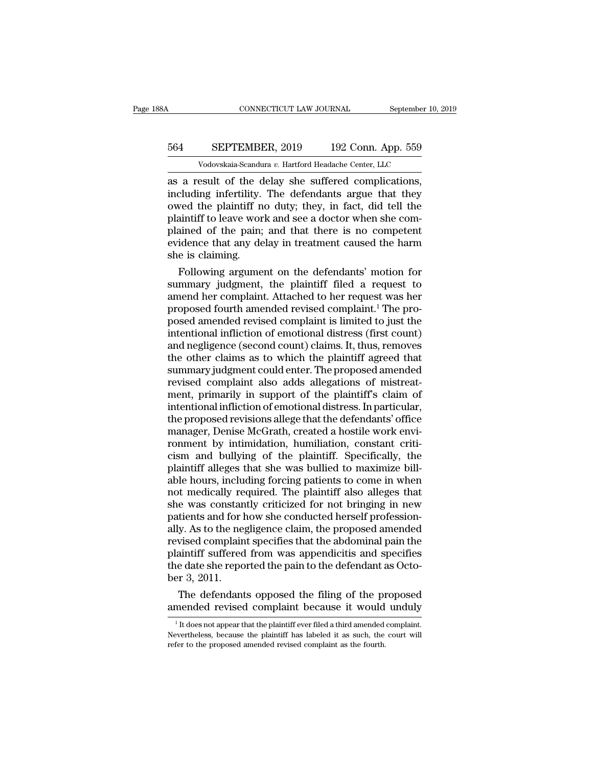# CONNECTICUT LAW JOURNAL September 10, 2019<br>564 SEPTEMBER, 2019 192 Conn. App. 559<br>Vodovskaia-Scandura v. Hartford Headache Center, LLC CONNECTICUT LAW JOURNAL September 10,<br>
SEPTEMBER, 2019 192 Conn. App. 559<br>
Vodovskaia-Scandura *v.* Hartford Headache Center, LLC<br>
esult of the delay she suffered complications

CONNECTICUT LAW JOURNAL September 10, 2<br>
564 SEPTEMBER, 2019 192 Conn. App. 559<br>
Vodovskaia-Scandura v. Hartford Headache Center, LLC<br>
as a result of the delay she suffered complications,<br>
including infertility. The defend 564 SEPTEMBER, 2019 192 Conn. App. 559<br>Vodovskaia-Scandura v. Hartford Headache Center, LLC<br>as a result of the delay she suffered complications,<br>including infertility. The defendants argue that they<br>owed the plaintiff no d 564 SEPTEMBER, 2019 192 Conn. App. 559<br>Vodovskaia-Scandura v. Hartford Headache Center, LLC<br>as a result of the delay she suffered complications,<br>including infertility. The defendants argue that they<br>owed the plaintiff no 564 SEPTEMBER, 2019 192 Conn. App. 559<br>Vodovskaia-Scandura v. Hartford Headache Center, LLC<br>as a result of the delay she suffered complications,<br>including infertility. The defendants argue that they<br>owed the plaintiff no d Vodovskaia-Scandura v. Hartford Headache Center, LLC<br>as a result of the delay she suffered complications,<br>including infertility. The defendants argue that they<br>owed the plaintiff no duty; they, in fact, did tell the<br>plain Vodovskaia-Scandura v. Hartford Headache Center, LLC<br>as a result of the delay she suffered complications,<br>including infertility. The defendants argue that they<br>owed the plaintiff no duty; they, in fact, did tell the<br>plain as a result of the d<br>including infertility.<br>owed the plaintiff n<br>plaintiff to leave wor<br>plained of the pain;<br>evidence that any de<br>she is claiming.<br>Following argume cluding infertility. The defendants argue that they<br>ved the plaintiff no duty; they, in fact, did tell the<br>aintiff to leave work and see a doctor when she com-<br>ained of the pain; and that there is no competent<br>idence that owed the plaintiff no duty; they, in fact, did tell the<br>plaintiff to leave work and see a doctor when she com-<br>plained of the pain; and that there is no competent<br>evidence that any delay in treatment caused the harm<br>she i

plaintiff to leave work and see a doctor when she complained of the pain; and that there is no competent<br>evidence that any delay in treatment caused the harm<br>she is claiming.<br>Following argument on the defendants' motion fo plained of the pain; and that there is no competent<br>evidence that any delay in treatment caused the harm<br>she is claiming.<br>Following argument on the defendants' motion for<br>summary judgment, the plaintiff filed a request to<br> evidence that any delay in treatment caused the harm<br>she is claiming.<br>Following argument on the defendants' motion for<br>summary judgment, the plaintiff filed a request to<br>amend her complaint. Attached to her request was her she is claiming.<br>Following argument on the defendants' motion for<br>summary judgment, the plaintiff filed a request to<br>amend her complaint. Attached to her request was her<br>proposed fourth amended revised complaint.<sup>1</sup> The pr Following argument on the defendants' motion for<br>summary judgment, the plaintiff filed a request to<br>amend her complaint. Attached to her request was her<br>proposed fourth amended revised complaint.<sup>1</sup> The pro-<br>posed amended summary judgment, the plaintiff filed a request to<br>amend her complaint. Attached to her request was her<br>proposed fourth amended revised complaint.<sup>1</sup> The pro-<br>posed amended revised complaint is limited to just the<br>intentio amend her complaint. Attached to her request was her<br>proposed fourth amended revised complaint.<sup>1</sup> The pro-<br>posed amended revised complaint is limited to just the<br>intentional infliction of emotional distress (first count)<br> proposed fourth amended revised complaint.<sup>1</sup> The proposed amended revised complaint is limited to just the intentional infliction of emotional distress (first count) and negligence (second count) claims. It, thus, removes posed amended revised complaint is limited to just the<br>intentional infliction of emotional distress (first count)<br>and negligence (second count) claims. It, thus, removes<br>the other claims as to which the plaintiff agreed th intentional infliction of emotional distress (first count)<br>and negligence (second count) claims. It, thus, removes<br>the other claims as to which the plaintiff agreed that<br>summary judgment could enter. The proposed amended<br>r and negligence (second count) claims. It, thus, removes<br>the other claims as to which the plaintiff agreed that<br>summary judgment could enter. The proposed amended<br>revised complaint also adds allegations of mistreat-<br>ment, p the other claims as to which the plaintiff agreed that<br>summary judgment could enter. The proposed amended<br>revised complaint also adds allegations of mistreat-<br>ment, primarily in support of the plaintiff's claim of<br>intentio summary judgment could enter. The proposed amended<br>revised complaint also adds allegations of mistreat-<br>ment, primarily in support of the plaintiff's claim of<br>intentional infliction of emotional distress. In particular,<br>th revised complaint also adds allegations of mistreat-<br>ment, primarily in support of the plaintiff's claim of<br>intentional infliction of emotional distress. In particular,<br>the proposed revisions allege that the defendants' of ment, primarily in support of the plaintiff's claim of intentional infliction of emotional distress. In particular, the proposed revisions allege that the defendants' office manager, Denise McGrath, created a hostile work intentional infliction of emotional distress. In particular,<br>the proposed revisions allege that the defendants' office<br>manager, Denise McGrath, created a hostile work envi-<br>romment by intimidation, humiliation, constant cr the proposed revisions allege that the defendants' office manager, Denise McGrath, created a hostile work environment by intimidation, humiliation, constant criticism and bullying of the plaintiff. Specifically, the plaint manager, Denise McGrath, created a hostile work environment by intimidation, humiliation, constant criticism and bullying of the plaintiff. Specifically, the plaintiff alleges that she was bullied to maximize billable hour ronment by intimidation, humiliation, constant criticism and bullying of the plaintiff. Specifically, the plaintiff alleges that she was bullied to maximize billable hours, including forcing patients to come in when not me cism and bullying of the plaintiff. Specifically, the plaintiff alleges that she was bullied to maximize bill-<br>able hours, including forcing patients to come in when not medically required. The plaintiff also alleges that<br> plaintiff alleges that she was bullied to maximize bill-<br>able hours, including forcing patients to come in when<br>not medically required. The plaintiff also alleges that<br>she was constantly criticized for not bringing in new<br> able hours, including forcing patients to come in when<br>not medically required. The plaintiff also alleges that<br>she was constantly criticized for not bringing in new<br>patients and for how she conducted herself profession-<br>al not medically required. The plaintiff also alleges that<br>she was constantly criticized for not bringing in new<br>patients and for how she conducted herself profession-<br>ally. As to the negligence claim, the proposed amended<br>re she was constant<br>patients and for l<br>ally. As to the neg<br>revised complain<br>plaintiff suffered<br>the date she repo<br>ber 3, 2011.<br>The defendant tients and for how she conducted herself profession-<br>y. As to the negligence claim, the proposed amended<br>vised complaint specifies that the abdominal pain the<br>aintiff suffered from was appendicitis and specifies<br>e date she ally. As to the negligence claim, the proposed amended<br>revised complaint specifies that the abdominal pain the<br>plaintiff suffered from was appendicitis and specifies<br>the date she reported the pain to the defendant as Octo-

the defendants opposed the filing of the proposed<br>the filing of the proposed<br>mended revised complaint because it would unduly<br><sup>1</sup>It does not appear that the plaintiff ever filed a third amended complaint.<br>evertheless, beca

Der 3, 2011.<br>The defendants opposed the filing of the proposed<br>amended revised complaint because it would unduly<br><sup>1</sup>It does not appear that the plaintiff ever filed a third amended complaint.<br>Nevertheless, because the plai The defendants opposed the filing of the plane<br>amended revised complaint because it would<br> $\frac{1}{1}$  It does not appear that the plaintiff ever filed a third amended<br>Nevertheless, because the plaintiff has labeled it as su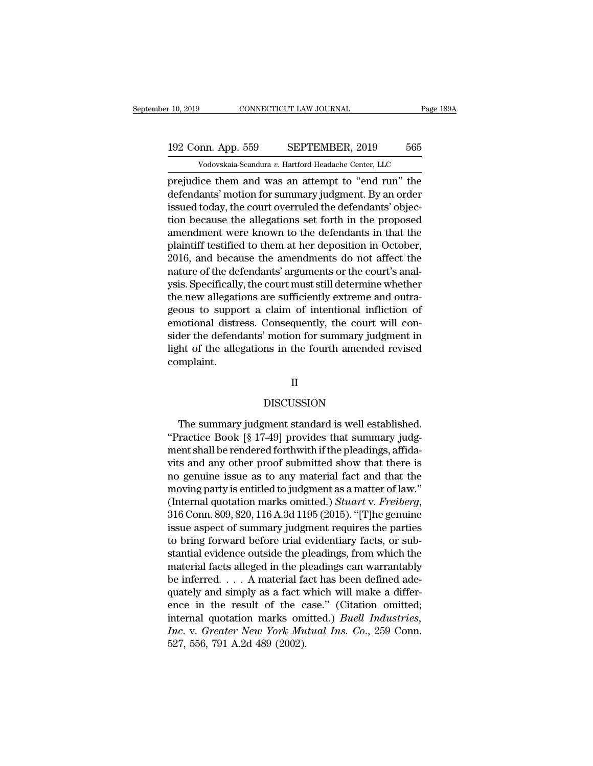# 10, 2019 CONNECTICUT LAW JOURNAL Page 189A<br>192 Conn. App. 559 SEPTEMBER, 2019 565<br>Vodovskaia-Scandura v. Hartford Headache Center, LLC Vodovskaia-Scandura *v.* Hartford Headache Center, LLC<br>Vodovskaia-Scandura *v.* Hartford Headache Center, LLC<br>Center, and was an attempt to "end run" the

prejudice them and was an attempt to ''end run'' the<br>defendants' motion for summary judgment. By an order<br>issued today the serve overwhed the defendants' motion for summary judgment. By an order<br>issued today the serve over 192 Conn. App. 559 SEPTEMBER, 2019 565<br>Vodovskaia-Scandura v. Hartford Headache Center, LLC<br>prejudice them and was an attempt to "end run" the<br>defendants' motion for summary judgment. By an order<br>issued today, the court ov 192 Conn. App. 559 SEPTEMBER, 2019 565<br>
Vodovskaia-Scandura v. Hartford Headache Center, LLC<br>
prejudice them and was an attempt to "end run" the<br>
defendants' motion for summary judgment. By an order<br>
issued today, the cou 192 Conn. App. 559 SEPTEMBER, 2019 565<br>  $\overline{V}$  Vodovskaia-Scandura v. Hartford Headache Center, LLC<br>
prejudice them and was an attempt to "end run" the<br>
defendants' motion for summary judgment. By an order<br>
issued today Vodovskaia-Scandura v. Hartford Headache Center, LLC<br>prejudice them and was an attempt to "end run" the<br>defendants' motion for summary judgment. By an order<br>issued today, the court overruled the defendants' objec-<br>tion be volovskala-scalidara v. hardon headache center, LLC<br>prejudice them and was an attempt to "end run" the<br>defendants' motion for summary judgment. By an order<br>issued today, the court overruled the defendants' objec-<br>tion bec prejudice them and was an attempt to "end run" the<br>defendants' motion for summary judgment. By an order<br>issued today, the court overruled the defendants' objec-<br>tion because the allegations set forth in the proposed<br>amendm defendants' motion for summary judgment. By an order<br>issued today, the court overruled the defendants' objec-<br>tion because the allegations set forth in the proposed<br>amendment were known to the defendants in that the<br>plaint issued today, the court overruled the defendants' objection because the allegations set forth in the proposed<br>amendment were known to the defendants in that the<br>plaintiff testified to them at her deposition in October,<br>201 tion because the allegations set forth in the proposed<br>amendment were known to the defendants in that the<br>plaintiff testified to them at her deposition in October,<br>2016, and because the amendments do not affect the<br>nature amendment were known to the defendants in that the<br>plaintiff testified to them at her deposition in October,<br>2016, and because the amendments do not affect the<br>nature of the defendants' arguments or the court's anal-<br>ysis. plaintiff testified to them at her deposition in October,<br>2016, and because the amendments do not affect the<br>nature of the defendants' arguments or the court's anal-<br>ysis. Specifically, the court must still determine wheth 2016, and because the amendments do not affect the<br>nature of the defendants' arguments or the court's anal-<br>ysis. Specifically, the court must still determine whether<br>the new allegations are sufficiently extreme and outranature of the defendants' arguments or the court's analysis. Specifically, the court must still determine whether the new allegations are sufficiently extreme and outrageous to support a claim of intentional infliction of complaint.

### II

### DISCUSSION

At of the allegations in the fourth amended revised<br>mplaint.<br>II<br>DISCUSSION<br>The summary judgment standard is well established.<br>Factice Book [§ 17-49] provides that summary judg-<br>anteball be readered forthwith if the pleadin OM DISCUSSION<br>The summary judgment standard is well established.<br>"Practice Book [§ 17-49] provides that summary judg-<br>ment shall be rendered forthwith if the pleadings, affida-<br>wite and any other proof submitted show that II<br>DISCUSSION<br>The summary judgment standard is well established.<br>"Practice Book [§ 17-49] provides that summary judg-<br>ment shall be rendered forthwith if the pleadings, affida-<br>vits and any other proof submitted show that DISCUSSION<br>
The summary judgment standard is well established.<br>
"Practice Book [§ 17-49] provides that summary judg-<br>
ment shall be rendered forthwith if the pleadings, affida-<br>
vits and any other proof submitted show that DISCUSSION<br>The summary judgment standard is well established.<br>"Practice Book [§ 17-49] provides that summary judgment shall be rendered forthwith if the pleadings, affidavits and any other proof submitted show that there The summary judgment standard is well established.<br>
"Practice Book [§ 17-49] provides that summary judgment shall be rendered forthwith if the pleadings, affida-<br>
vits and any other proof submitted show that there is<br>
no The summary judgment standard is well established.<br>
"Practice Book [§ 17-49] provides that summary judgment shall be rendered forthwith if the pleadings, affida-<br>
vits and any other proof submitted show that there is<br>
no g ment shall be rendered forthwith if the pleadings, affidavits and any other proof submitted show that there is<br>no genuine issue as to any material fact and that the<br>moving party is entitled to judgment as a matter of law." vits and any other proof submitted show that there is<br>no genuine issue as to any material fact and that the<br>moving party is entitled to judgment as a matter of law."<br>(Internal quotation marks omitted.) *Stuart v. Freiberg* no genuine issue as to any material fact and that the<br>moving party is entitled to judgment as a matter of law."<br>(Internal quotation marks omitted.) *Stuart v. Freiberg*,<br>316 Conn. 809, 820, 116 A.3d 1195 (2015). "[T]he ge moving party is entitled to judgment as a matter of law."<br>(Internal quotation marks omitted.) *Stuart* v. *Freiberg*,<br>316 Conn. 809, 820, 116 A.3d 1195 (2015). "[T]he genuine<br>issue aspect of summary judgment requires the p (Internal quotation marks omitted.) *Stuart v. Freiberg*, 316 Conn. 809, 820, 116 A.3d 1195 (2015). "[T]he genuine issue aspect of summary judgment requires the parties to bring forward before trial evidentiary facts, or 316 Conn. 809, 820, 116 A.3d 1195 (2015). "[T]he genuine<br>issue aspect of summary judgment requires the parties<br>to bring forward before trial evidentiary facts, or sub-<br>stantial evidence outside the pleadings, from which t issue aspect of summary judgment requires the parties<br>to bring forward before trial evidentiary facts, or sub-<br>stantial evidence outside the pleadings, from which the<br>material facts alleged in the pleadings can warrantabl to bring forward before trial evidentiary facts, or substantial evidence outside the pleadings, from which the material facts alleged in the pleadings can warrantably be inferred. . . . A material fact has been defined ade *Increading* is the pleadings, from which the material facts alleged in the pleadings can warrantably be inferred. . . . A material fact has been defined adequately and simply as a fact which will make a difference in the material facts alleged in the pl<br>be inferred.... A material fa<br>quately and simply as a fact v<br>ence in the result of the c<br>internal quotation marks om<br>Inc. v. Greater New York Mu<br>527, 556, 791 A.2d 489 (2002).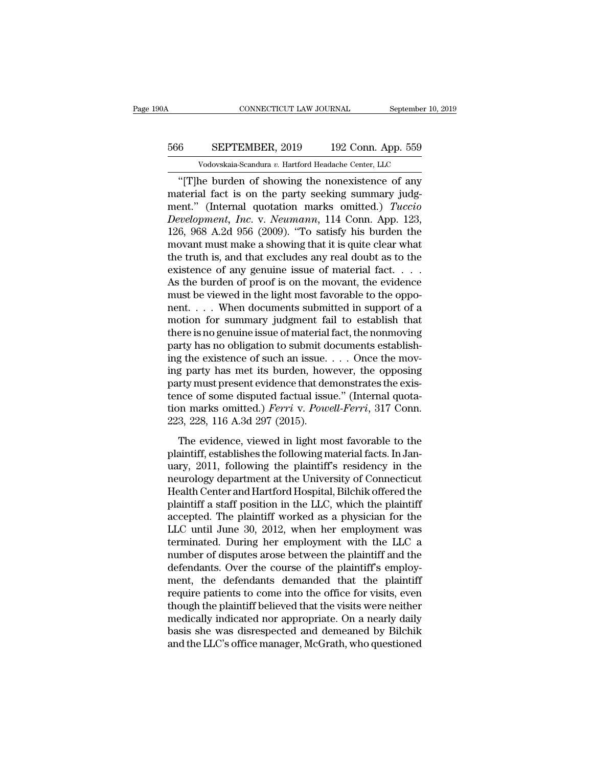# CONNECTICUT LAW JOURNAL September 10, 2019<br>566 SEPTEMBER, 2019 192 Conn. App. 559<br>Vodovskaia-Scandura v. Hartford Headache Center, LLC CONNECTICUT LAW JOURNAL September 10,<br>SEPTEMBER, 2019 192 Conn. App. 559<br>Vodovskaia-Scandura *v.* Hartford Headache Center, LLC<br>ne burden of showing the nonexistence of any

CONNECTICUT LAW JOURNAL September 10, 2019<br>
6 SEPTEMBER, 2019 192 Conn. App. 559<br>
Vodovskaia-Scandura v. Hartford Headache Center, LLC<br>
"[T]he burden of showing the nonexistence of any<br>
aterial fact is on the party seeking 566 SEPTEMBER, 2019 192 Conn. App. 559<br>Vodovskaia-Scandura v. Hartford Headache Center, LLC<br>"[T]he burden of showing the nonexistence of any<br>material fact is on the party seeking summary judg-<br>ment." (Internal quotation ma EXPTEMBER, 2019 192 Conn. App. 559<br>Vodovskaia-Scandura v. Hartford Headache Center, LLC<br>
"[T]he burden of showing the nonexistence of any<br>material fact is on the party seeking summary judg-<br>ment." (Internal quotation marks *Department, 2019 Department, 2019 Department, 2019 Development v. Hartford Headache Center, LLC*<br> *Colorskaia-Scandura v. Hartford Headache Center, LLC*<br> *Coloring the nonexistence of any material fact is on the p* Vodovskaia-Scandura v. Hartford Headache Center, LLC<br>
"[T]he burden of showing the nonexistence of any<br>
material fact is on the party seeking summary judg-<br>
ment." (Internal quotation marks omitted.) *Tuccio*<br>
Development, vodovskala-scandura v. Hartford Headache Center, LLC<br>
"[T]he burden of showing the nonexistence of any<br>
material fact is on the party seeking summary judg-<br>
ment." (Internal quotation marks omitted.) *Tuccio*<br> *Developmen* "[T]he burden of showing the nonexistence of any<br>material fact is on the party seeking summary judg-<br>ment." (Internal quotation marks omitted.) *Tuccio*<br>Development, Inc. v. Neumann, 114 Conn. App. 123,<br>126, 968 A.2d 956 material fact is on the party seeking summary judg-<br>ment." (Internal quotation marks omitted.) *Tuccio*<br>Development, Inc. v. Neumann, 114 Conn. App. 123,<br>126, 968 A.2d 956 (2009). "To satisfy his burden the<br>movant must mak ment." (Internal quotation marks omitted.) *Tuccio*<br>Development, Inc. v. Neumann, 114 Conn. App. 123,<br>126, 968 A.2d 956 (2009). "To satisfy his burden the<br>movant must make a showing that it is quite clear what<br>the truth i Development, Inc. v. Neumann, 114 Conn. App. 123, 126, 968 A.2d 956 (2009). "To satisfy his burden the movant must make a showing that it is quite clear what the truth is, and that excludes any real doubt as to the existe 126, 968 A.2d 956 (2009). "To satisfy his burden the<br>movant must make a showing that it is quite clear what<br>the truth is, and that excludes any real doubt as to the<br>existence of any genuine issue of material fact. . . .<br>A movant must make a showing that it is quite clear what<br>the truth is, and that excludes any real doubt as to the<br>existence of any genuine issue of material fact.  $\dots$ <br>As the burden of proof is on the movant, the evidence<br>m the truth is, and that excludes any real doubt as to the existence of any genuine issue of material fact.  $\dots$  As the burden of proof is on the movant, the evidence must be viewed in the light most favorable to the oppone existence of any genuine issue of material fact. . . . As the burden of proof is on the movant, the evidence<br>must be viewed in the light most favorable to the oppo-<br>nent. . . . When documents submitted in support of a<br>mot As the burden of proof is on the movant, the evidence<br>must be viewed in the light most favorable to the oppo-<br>nent.... When documents submitted in support of a<br>motion for summary judgment fail to establish that<br>there is n must be viewed in the light most favorable to the opponent. . . . When documents submitted in support of a motion for summary judgment fail to establish that there is no genuine issue of material fact, the nonmoving party nent. . . . When documents submitted in support of a<br>motion for summary judgment fail to establish that<br>there is no genuine issue of material fact, the nonmoving<br>party has no obligation to submit documents establish-<br>ing motion for summary judgment fail to establish that<br>there is no genuine issue of material fact, the nonmoving<br>party has no obligation to submit documents establish-<br>ing the existence of such an issue.... Once the mov-<br>ing there is no genuine issue of material fact, the nonmoving<br>party has no obligation to submit documents establish-<br>ing the existence of such an issue. . . . Once the mov-<br>ing party has met its burden, however, the opposing<br>p party has no obligation to submit do<br>ing the existence of such an issue.<br>ing party has met its burden, how<br>party must present evidence that der<br>tence of some disputed factual issu<br>tion marks omitted.) *Ferri* v. Powe<br>223, g party has met its burden, however, the opposing<br>try must present evidence that demonstrates the exis-<br>nce of some disputed factual issue." (Internal quota-<br>nn marks omitted.) *Ferri* v. *Powell-Ferri*, 317 Conn.<br>3, 228, may has net as salach, however, are opposing<br>party must present evidence that demonstrates the exis-<br>tence of some disputed factual issue." (Internal quota-<br>tion marks omitted.) *Ferri* v. *Powell-Ferri*, 317 Conn.<br>223, 22

party mast present evidence and demonstrates are existence of some disputed factual issue." (Internal quotation marks omitted.) *Ferri* v. *Powell-Ferri*, 317 Conn.<br>223, 228, 116 A.3d 297 (2015).<br>The evidence, viewed in li rence of some anguated ractual issue. (internal quotation marks omitted.) *Ferri* v. *Powell-Ferri*, 317 Conn.<br>223, 228, 116 A.3d 297 (2015).<br>The evidence, viewed in light most favorable to the<br>plaintiff, establishes the f 223, 228, 116 A.3d 297 (2015).<br>The evidence, viewed in light most favorable to the<br>plaintiff, establishes the following material facts. In Jan-<br>uary, 2011, following the plaintiff's residency in the<br>neurology department a The evidence, viewed in light most favorable to the plaintiff, establishes the following material facts. In January, 2011, following the plaintiff's residency in the neurology department at the University of Connecticut H The evidence, viewed in light most favorable to the plaintiff, establishes the following material facts. In January, 2011, following the plaintiff's residency in the neurology department at the University of Connecticut He plaintiff, establishes the following material facts. In January, 2011, following the plaintiff's residency in the neurology department at the University of Connecticut Health Center and Hartford Hospital, Bilchik offered t uary, 2011, following the plaintiff's residency in the<br>neurology department at the University of Connecticut<br>Health Center and Hartford Hospital, Bilchik offered the<br>plaintiff a staff position in the LLC, which the plainti neurology department at the University of Connecticut<br>Health Center and Hartford Hospital, Bilchik offered the<br>plaintiff a staff position in the LLC, which the plaintiff<br>accepted. The plaintiff worked as a physician for th Health Center and Hartford Hospital, Bilchik offered the plaintiff a staff position in the LLC, which the plaintiff accepted. The plaintiff worked as a physician for the LLC until June 30, 2012, when her employment was ter plaintiff a staff position in the LLC, which the plaintiff<br>accepted. The plaintiff worked as a physician for the<br>LLC until June 30, 2012, when her employment was<br>terminated. During her employment with the LLC a<br>number of d accepted. The plaintiff worked as a physician for the<br>LLC until June 30, 2012, when her employment was<br>terminated. During her employment with the LLC a<br>number of disputes arose between the plaintiff and the<br>defendants. Ove LLC until June 30, 2012, when her employment was<br>terminated. During her employment with the LLC a<br>number of disputes arose between the plaintiff and the<br>defendants. Over the course of the plaintiff's employ-<br>ment, the defe terminated. During her employment with the LLC a<br>number of disputes arose between the plaintiff and the<br>defendants. Over the course of the plaintiff's employ-<br>ment, the defendants demanded that the plaintiff<br>require patien number of disputes arose between the plaintiff and the<br>defendants. Over the course of the plaintiff's employ-<br>ment, the defendants demanded that the plaintiff<br>require patients to come into the office for visits, even<br>thoug defendants. Over the course of the plaintiff's employment, the defendants demanded that the plaintiff require patients to come into the office for visits, even though the plaintiff believed that the visits were neither med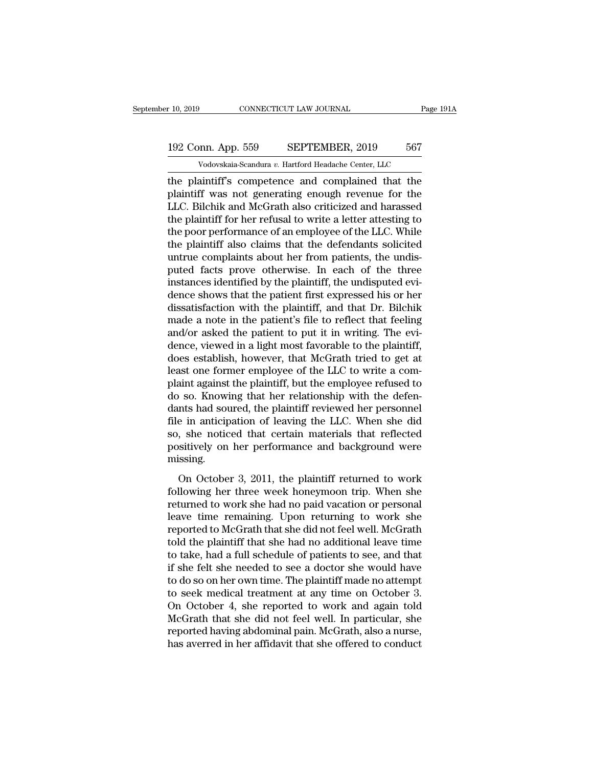# 10, 2019 CONNECTICUT LAW JOURNAL Page 191A<br>192 Conn. App. 559 SEPTEMBER, 2019 567<br>Vodovskaia-Scandura v. Hartford Headache Center, LLC Vodovskaia-Scandura *v.* Hartford Headache Center, LLC<br>Vodovskaia-Scandura *v.* Hartford Headache Center, LLC<br>Vodovskaia-Scandura *v.* Hartford Headache Center, LLC<br>Aintiff's commetence and commlained that the

the plaintiff's competence and complained that the plaintiff's competence and complained that the plaintiff was not generating enough revenue for the plaintiff was not generating enough revenue for the plaintiff was not ge 192 Conn. App. 559 SEPTEMBER, 2019 567<br>Vodovskaia-Scandura v. Hartford Headache Center, LLC<br>the plaintiff's competence and complained that the<br>plaintiff was not generating enough revenue for the<br>LLC. Bilchik and McGrath al 192 Conn. App. 559 SEPTEMBER, 2019 567<br>
Vodovskaia-Scandura v. Hartford Headache Center, LLC<br>
the plaintiff's competence and complained that the<br>
plaintiff was not generating enough revenue for the<br>
LLC. Bilchik and McGra 192 Conn. App. 559 SEPTEMBER, 2019 567<br>
Vodovskaia-Scandura v. Hartford Headache Center, LLC<br>
the plaintiff's competence and complained that the<br>
plaintiff was not generating enough revenue for the<br>
LLC. Bilchik and McGra Vodovskaia-Scandura v. Hartford Headache Center, LLC<br>the plaintiff's competence and complained that the<br>plaintiff was not generating enough revenue for the<br>LLC. Bilchik and McGrath also criticized and harassed<br>the plaintif vodovskala-scandura v. Hartford Headache Center, LLC<br>the plaintiff's competence and complained that the<br>plaintiff was not generating enough revenue for the<br>LLC. Bilchik and McGrath also criticized and harassed<br>the plainti the plaintiff's competence and complained that the plaintiff was not generating enough revenue for the LLC. Bilchik and McGrath also criticized and harassed the plaintiff for her refusal to write a letter attesting to the plaintiff was not generating enough revenue for the<br>LLC. Bilchik and McGrath also criticized and harassed<br>the plaintiff for her refusal to write a letter attesting to<br>the poor performance of an employee of the LLC. While<br>t LLC. Bilchik and McGrath also criticized and harassed<br>the plaintiff for her refusal to write a letter attesting to<br>the poor performance of an employee of the LLC. While<br>the plaintiff also claims that the defendants solicit the plaintiff for her refusal to write a letter attesting to<br>the poor performance of an employee of the LLC. While<br>the plaintiff also claims that the defendants solicited<br>untrue complaints about her from patients, the undi the poor performance of an employee of the LLC. While<br>the plaintiff also claims that the defendants solicited<br>untrue complaints about her from patients, the undis-<br>puted facts prove otherwise. In each of the three<br>instance the plaintiff also claims that the defendants solicited<br>untrue complaints about her from patients, the undis-<br>puted facts prove otherwise. In each of the three<br>instances identified by the plaintiff, the undisputed evi-<br>den untrue complaints about her from patients, the undis-<br>puted facts prove otherwise. In each of the three<br>instances identified by the plaintiff, the undisputed evi-<br>dence shows that the patient first expressed his or her<br>dis puted facts prove otherwise. In each of the three instances identified by the plaintiff, the undisputed evidence shows that the patient first expressed his or her dissatisfaction with the plaintiff, and that Dr. Bilchik ma instances identified by the plaintiff, the undisputed evidence shows that the patient first expressed his or her dissatisfaction with the plaintiff, and that Dr. Bilchik made a note in the patient's file to reflect that fe dence shows that the patient first expressed his or her dissatisfaction with the plaintiff, and that Dr. Bilchik made a note in the patient's file to reflect that feeling and/or asked the patient to put it in writing. The dissatisfaction with the plaintiff, and that Dr. Bilchik<br>made a note in the patient's file to reflect that feeling<br>and/or asked the patient to put it in writing. The evi-<br>dence, viewed in a light most favorable to the plai made a note in the patient's file to reflect that feeling<br>and/or asked the patient to put it in writing. The evi-<br>dence, viewed in a light most favorable to the plaintiff,<br>does establish, however, that McGrath tried to get and/or asked the patient to put it in writing. The evidence, viewed in a light most favorable to the plaintiff, does establish, however, that McGrath tried to get at least one former employee of the LLC to write a complain dence, viewed in a light most favorable to the plaintiff,<br>does establish, however, that McGrath tried to get at<br>least one former employee of the LLC to write a com-<br>plaint against the plaintiff, but the employee refused to does establish, however, that McGrath tried to get at least one former employee of the LLC to write a complaint against the plaintiff, but the employee refused to do so. Knowing that her relationship with the defendants ha least one former employee of the LLC to write a complaint against the plaintiff, but the employee refused to do so. Knowing that her relationship with the defendants had soured, the plaintiff reviewed her personnel file in missing. Foot Internal and Technology with the determints had soured, the plaintiff reviewed her personnel<br>e in anticipation of leaving the LLC. When she did<br>, she noticed that certain materials that reflected<br>sitively on her perfo file in anticipation of leaving the LLC. When she did<br>so, she noticed that certain materials that reflected<br>positively on her performance and background were<br>missing.<br>On October 3, 2011, the plaintiff returned to work<br>foll

returned to work she had no paid vacation or performance and background were<br>missing.<br>On October 3, 2011, the plaintiff returned to work<br>following her three week honeymoon trip. When she<br>returned to work she had no paid va booth the remaining and the remaining.<br>
The remaining on the performance and background were<br>
missing.<br>
On October 3, 2011, the plaintiff returned to work<br>
following her three week honeymoon trip. When she<br>
returned to wor postavely on the performance and sately out were<br>missing.<br>On October 3, 2011, the plaintiff returned to work<br>following her three week honeymoon trip. When she<br>returned to work she had no paid vacation or personal<br>leave tim on October 3, 2011, the plaintiff returned to work<br>following her three week honeymoon trip. When she<br>returned to work she had no paid vacation or personal<br>leave time remaining. Upon returning to work she<br>reported to McGrat On October 3, 2011, the plaintiff returned to work<br>following her three week honeymoon trip. When she<br>returned to work she had no paid vacation or personal<br>leave time remaining. Upon returning to work she<br>reported to McGrat following her three week honeymoon trip. When she<br>returned to work she had no paid vacation or personal<br>leave time remaining. Upon returning to work she<br>reported to McGrath that she did not feel well. McGrath<br>told the plai returned to work she had no paid vacation or personal<br>leave time remaining. Upon returning to work she<br>reported to McGrath that she did not feel well. McGrath<br>told the plaintiff that she had no additional leave time<br>to tak leave time remaining. Upon returning to work she<br>reported to McGrath that she did not feel well. McGrath<br>told the plaintiff that she had no additional leave time<br>to take, had a full schedule of patients to see, and that<br>if reported to McGrath that she did not feel well. McGrath<br>told the plaintiff that she had no additional leave time<br>to take, had a full schedule of patients to see, and that<br>if she felt she needed to see a doctor she would ha told the plaintiff that she had no additional leave time<br>to take, had a full schedule of patients to see, and that<br>if she felt she needed to see a doctor she would have<br>to do so on her own time. The plaintiff made no attem to take, had a full schedule of patients to see, and that<br>if she felt she needed to see a doctor she would have<br>to do so on her own time. The plaintiff made no attempt<br>to seek medical treatment at any time on October 3.<br>On if she felt she needed to see a doctor she would have<br>to do so on her own time. The plaintiff made no attempt<br>to seek medical treatment at any time on October 3.<br>On October 4, she reported to work and again told<br>McGrath th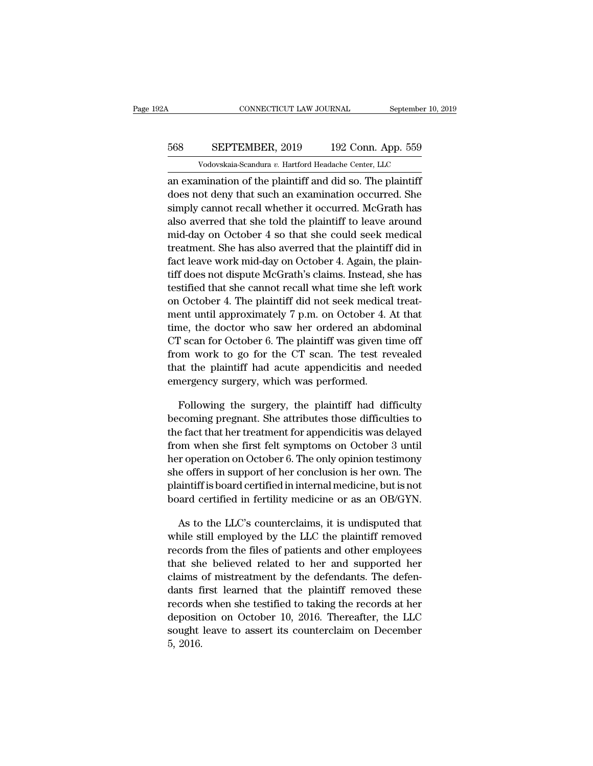# CONNECTICUT LAW JOURNAL September 10, 2019<br>568 SEPTEMBER, 2019 192 Conn. App. 559<br>Vodovskaia-Scandura v. Hartford Headache Center, LLC CONNECTICUT LAW JOURNAL September 10,<br>
SEPTEMBER, 2019 192 Conn. App. 559<br>
Vodovskaia-Scandura *v.* Hartford Headache Center, LLC<br>
mination of the plaintiff and did so The plaintiff

CONNECTICUT LAW JOURNAL September 10, 2019<br>
SEPTEMBER, 2019 192 Conn. App. 559<br>
Vodovskaia-Scandura v. Hartford Headache Center, LLC<br>
an examination of the plaintiff and did so. The plaintiff<br>
does not deny that such an ex SEPTEMBER, 2019 192 Conn. App. 559<br>Vodovskaia-Scandura v. Hartford Headache Center, LLC<br>an examination of the plaintiff and did so. The plaintiff<br>does not deny that such an examination occurred. She<br>simply cannot recall wh SEPTEMBER, 2019 192 Conn. App. 559<br>Vodovskaia-Scandura v. Hartford Headache Center, LLC<br>an examination of the plaintiff and did so. The plaintiff<br>does not deny that such an examination occurred. She<br>simply cannot recall w 568 SEPTEMBER, 2019 192 Conn. App. 559<br>
Vodovskaia-Scandura v. Hartford Headache Center, LLC<br>
an examination of the plaintiff and did so. The plaintiff<br>
does not deny that such an examination occurred. She<br>
simply cannot r Vodovskaia-Scandura v. Hartford Headache Center, LLC<br>an examination of the plaintiff and did so. The plaintiff<br>does not deny that such an examination occurred. She<br>simply cannot recall whether it occurred. McGrath has<br>als an examination of the plaintiff and did so. The plaintiff<br>does not deny that such an examination occurred. She<br>simply cannot recall whether it occurred. McGrath has<br>also averred that she told the plaintiff to leave around<br> an examination of the plaintiff and did so. The plaintiff<br>does not deny that such an examination occurred. She<br>simply cannot recall whether it occurred. McGrath has<br>also averred that she told the plaintiff to leave around<br> tiff does not deny that such an examination occurred. She<br>simply cannot recall whether it occurred. McGrath has<br>also averred that she told the plaintiff to leave around<br>mid-day on October 4 so that she could seek medical<br>t simply cannot recall whether it occurred. McGrath has<br>also averred that she told the plaintiff to leave around<br>mid-day on October 4 so that she could seek medical<br>treatment. She has also averred that the plaintiff did in<br>f also averred that she told the plaintiff to leave around<br>mid-day on October 4 so that she could seek medical<br>treatment. She has also averred that the plaintiff did in<br>fact leave work mid-day on October 4. Again, the plainmid-day on October 4 so that she could seek medical<br>treatment. She has also averred that the plaintiff did in<br>fact leave work mid-day on October 4. Again, the plain-<br>tiff does not dispute McGrath's claims. Instead, she ha treatment. She has also averred that the plaintiff does not dispute McGrath's claims. Instead, she has<br>testified that she cannot recall what time she left work<br>on October 4. The plaintiff did not seek medical treat-<br>ment u ract leave work mid-day on October 4. Again, the plain-<br>tiff does not dispute McGrath's claims. Instead, she has<br>testified that she cannot recall what time she left work<br>on October 4. The plaintiff did not seek medical tre the discountinum of the CH scanner of the CH scanner of the CH scanner testified that she cannot recall what time she left work<br>on October 4. The plaintiff did not seek medical treat-<br>ment until approximately 7 p.m. on Oct testified that she cannot recall what time she left work<br>on October 4. The plaintiff did not seek medical treat-<br>ment until approximately 7 p.m. on October 4. At that<br>time, the doctor who saw her ordered an abdominal<br>CT sc on October 4. The plaintin did not seek medical<br>ment until approximately 7 p.m. on October 4. *i*<br>time, the doctor who saw her ordered an abde<br>CT scan for October 6. The plaintiff was given ti<br>from work to go for the CT sc me, the doctor who saw her ordered an abdominal<br>
F scan for October 6. The plaintiff was given time off<br>
pm work to go for the CT scan. The test revealed<br>
at the plaintiff had acute appendicitis and needed<br>
nergency surger CT scan for October 6. The plaintiff was given time off<br>from work to go for the CT scan. The test revealed<br>that the plaintiff had acute appendicitis and needed<br>emergency surgery, which was performed.<br>Following the surgery

from work to go for the CT scan. The test revealed<br>that the plaintiff had acute appendicitis and needed<br>emergency surgery, which was performed.<br>Following the surgery, the plaintiff had difficulty<br>becoming pregnant. She at that the plaintiff had acute appendicitis and needed<br>emergency surgery, which was performed.<br>Following the surgery, the plaintiff had difficulty<br>becoming pregnant. She attributes those difficulties to<br>the fact that her tre emergency surgery, which was performed.<br>Following the surgery, the plaintiff had difficulty<br>becoming pregnant. She attributes those difficulties to<br>the fact that her treatment for appendicitis was delayed<br>from when she fir Following the surgery, the plaintiff had difficulty<br>becoming pregnant. She attributes those difficulties to<br>the fact that her treatment for appendicitis was delayed<br>from when she first felt symptoms on October 3 until<br>her Following the surgery, the plaintiff had difficulties to<br>becoming pregnant. She attributes those difficulties to<br>the fact that her treatment for appendicitis was delayed<br>from when she first felt symptoms on October 3 until becoming pregnant. She attributes those difficulties to<br>the fact that her treatment for appendicitis was delayed<br>from when she first felt symptoms on October 3 until<br>her operation on October 6. The only opinion testimony<br>s by m when she first felt symptoms on October 3 until<br>r operation on October 6. The only opinion testimony<br>e offers in support of her conclusion is her own. The<br>aintiff is board certified in internal medicine, but is not<br>aa her operation on October 6. The only opinion testimony<br>she offers in support of her conclusion is her own. The<br>plaintiff is board certified in internal medicine, but is not<br>board certified in fertility medicine or as an OB

she offers in support of her conclusion is her own. The<br>plaintiff is board certified in internal medicine, but is not<br>board certified in fertility medicine or as an OB/GYN.<br>As to the LLC's counterclaims, it is undisputed t plaintiff is board certified in internal medicine, but is not<br>board certified in fertility medicine or as an OB/GYN.<br>As to the LLC's counterclaims, it is undisputed that<br>while still employed by the LLC the plaintiff remove board certified in fertility medicine or as an OB/GYN.<br>As to the LLC's counterclaims, it is undisputed that<br>while still employed by the LLC the plaintiff removed<br>records from the files of patients and other employees<br>that As to the LLC's counterclaims, it is undisputed that<br>while still employed by the LLC the plaintiff removed<br>records from the files of patients and other employees<br>that she believed related to her and supported her<br>claims of As to the ELC s counterclaints, it is undisputed that<br>while still employed by the LLC the plaintiff removed<br>records from the files of patients and other employees<br>that she believed related to her and supported her<br>claims while still enployed by the LLC the plaintiff removed<br>records from the files of patients and other employees<br>that she believed related to her and supported her<br>claims of mistreatment by the defendants. The defen-<br>dants fir records from the files of patients and other employees<br>that she believed related to her and supported her<br>claims of mistreatment by the defendants. The defen-<br>dants first learned that the plaintiff removed these<br>records wh that she<br>claims<br>dants f<br>records<br>deposit<br>sought<br>5, 2016.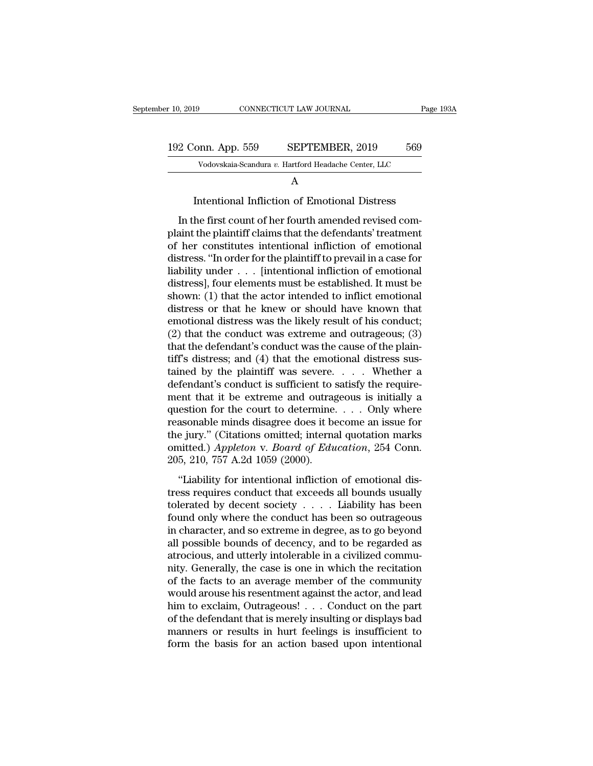| er 10, 2019        | CONNECTICUT LAW JOURNAL |                                                                                                                                                                               | Page 193A |
|--------------------|-------------------------|-------------------------------------------------------------------------------------------------------------------------------------------------------------------------------|-----------|
|                    |                         |                                                                                                                                                                               |           |
| 192 Conn. App. 559 |                         | SEPTEMBER, 2019                                                                                                                                                               | 569       |
|                    |                         | Vodovskaia-Scandura v. Hartford Headache Center, LLC                                                                                                                          |           |
|                    |                         | A                                                                                                                                                                             |           |
|                    |                         | Intentional Infliction of Emotional Distress                                                                                                                                  |           |
|                    |                         | In the first count of her fourth amended revised com-<br>plaint the plaintiff claims that the defendants' treatment<br>of her constitutes intentional infliction of emotional |           |

Vodovskaia-Scandura v. Hartford Headache Center, LLC<br>
A<br>
Intentional Infliction of Emotional Distress<br>
In the first count of her fourth amended revised com-<br>
plaint the plaintiff claims that the defendants' treatment<br>
of Fotoskaa-scandara *t*. Haddon Headache Center, ELC<br>
A<br>
Intentional Infliction of Emotional Distress<br>
In the first count of her fourth amended revised com-<br>
plaint the plaintiff claims that the defendants' treatment<br>
of he  $\,$   $\,$   $\,$  Intentional Infliction of Emotional Distress<br>
In the first count of her fourth amended revised complaint the plaintiff claims that the defendants' treatment<br>
of her constitutes intentional infliction of emo Intentional Infliction of Emotional Distress<br>In the first count of her fourth amended revised com-<br>plaint the plaintiff claims that the defendants' treatment<br>of her constitutes intentional infliction of emotional<br>distress In the first count of her fourth amended revised complaint the plaintiff claims that the defendants' treatment<br>of her constitutes intentional infliction of emotional<br>distress. "In order for the plaintiff to prevail in a c In the first count of her fourth amended revised complaint the plaintiff claims that the defendants' treatment<br>of her constitutes intentional infliction of emotional<br>distress. "In order for the plaintiff to prevail in a c plaint the plaintiff claims that the defendants' treatment<br>of her constitutes intentional infliction of emotional<br>distress. "In order for the plaintiff to prevail in a case for<br>liability under  $\dots$  [intentional infliction of her constitutes intentional infliction of emotional<br>distress. "In order for the plaintiff to prevail in a case for<br>liability under  $\ldots$  [intentional infliction of emotional<br>distress], four elements must be established distress. "In order for the plaintiff to prevail in a case for<br>liability under . . . [intentional infliction of emotional<br>distress], four elements must be established. It must be<br>shown: (1) that the actor intended to infl liability under  $\ldots$  [intentional infliction of emotional distress], four elements must be established. It must be shown: (1) that the actor intended to inflict emotional distress or that he knew or should have known tha distress], four elements must be established. It must be shown: (1) that the actor intended to inflict emotional distress or that he knew or should have known that emotional distress was the likely result of his conduct; ( shown: (1) that the actor intended to inflict emotional<br>distress or that he knew or should have known that<br>emotional distress was the likely result of his conduct;<br>(2) that the conduct was extreme and outrageous; (3)<br>that distress or that he knew or should have known that<br>emotional distress was the likely result of his conduct;<br>(2) that the conduct was extreme and outrageous; (3)<br>that the defendant's conduct was the cause of the plain-<br>tif emotional distress was the likely result of his conduct;<br>(2) that the conduct was extreme and outrageous; (3)<br>that the defendant's conduct was the cause of the plain-<br>tiff's distress; and (4) that the emotional distress s (2) that the conduct was extreme and outrageous; (3) that the defendant's conduct was the cause of the plain-<br>tiff's distress; and (4) that the emotional distress sus-<br>tained by the plaintiff was severe. . . . . Whether a that the defendant's conduct was the cause of the plain-<br>tiff's distress; and (4) that the emotional distress sus-<br>tained by the plaintiff was severe.... Whether a<br>defendant's conduct is sufficient to satisfy the requiretiff's distress; and (4) that the emotional distress sus-<br>tained by the plaintiff was severe.... Whether a<br>defendant's conduct is sufficient to satisfy the require-<br>ment that it be extreme and outrageous is initially a<br>qu tained by the plaintiff was severe. . . . . Whether a defendant's conduct is sufficient to satisfy the requirement that it be extreme and outrageous is initially a question for the court to determine. . . . Only where reas defendant's conduct is sufficient to s<br>ment that it be extreme and outrag<br>question for the court to determine.<br>reasonable minds disagree does it be<br>the jury." (Citations omitted; interna<br>omitted.) Appleton v. Board of Edu<br> EXECUTE THE CONFIDENT CONTROLLED IN A SECTION OF THE ASSESSMENT ASSESSMENT ASSESSMENT Appleton v. Board of Education, 254 Conn.<br>5, 210, 757 A.2d 1059 (2000).<br>"Liability for intentional infliction of emotional dis-<br>ss requ The reasonable minds disagree does it become an issue for<br>the jury." (Citations omitted; internal quotation marks<br>omitted.) Appleton v. Board of Education, 254 Conn.<br>205, 210, 757 A.2d 1059 (2000).<br>"Liability for intentio

the jury." (Citations omitted; internal quotation marks<br>omitted.) Appleton v. Board of Education, 254 Conn.<br>205, 210, 757 A.2d 1059 (2000).<br>"Liability for intentional infliction of emotional dis-<br>tress requires conduct th omitted.) Appleton v. Board of Education, 254 Conn.<br>205, 210, 757 A.2d 1059 (2000).<br>"Liability for intentional infliction of emotional dis-<br>tress requires conduct that exceeds all bounds usually<br>tolerated by decent societ 205, 210, 757 A.2d 1059 (2000).<br>
"Liability for intentional infliction of emotional dis-<br>
tress requires conduct that exceeds all bounds usually<br>
tolerated by decent society  $\dots$ . Liability has been<br>
found only where the They is also that infliction of emotional distress requires conduct that exceeds all bounds usually tolerated by decent society  $\dots$ . Liability has been found only where the conduct has been so outrageous in character, an "Liability for intentional infliction of emotional distress requires conduct that exceeds all bounds usually tolerated by decent society  $\ldots$ . Liability has been found only where the conduct has been so outrageous in cha tress requires conduct that exceeds all bounds usually<br>tolerated by decent society  $\dots$ . Liability has been<br>found only where the conduct has been so outrageous<br>in character, and so extreme in degree, as to go beyond<br>all p tolerated by decent society  $\ldots$  . Liability has been<br>found only where the conduct has been so outrageous<br>in character, and so extreme in degree, as to go beyond<br>all possible bounds of decency, and to be regarded as<br>atro found only where the conduct has been so outrageous<br>in character, and so extreme in degree, as to go beyond<br>all possible bounds of decency, and to be regarded as<br>atrocious, and utterly intolerable in a civilized commu-<br>nit in character, and so extreme in degree, as to go beyond<br>all possible bounds of decency, and to be regarded as<br>atrocious, and utterly intolerable in a civilized commu-<br>nity. Generally, the case is one in which the recitatio all possible bounds of decency, and to be regarded as<br>atrocious, and utterly intolerable in a civilized commu-<br>nity. Generally, the case is one in which the recitation<br>of the facts to an average member of the community<br>wou atrocious, and utterly intolerable in a civilized commu-<br>nity. Generally, the case is one in which the recitation<br>of the facts to an average member of the community<br>would arouse his resentment against the actor, and lead<br>h mity. Generally, the case is one in which the recitation<br>of the facts to an average member of the community<br>would arouse his resentment against the actor, and lead<br>him to exclaim, Outrageous!  $\ldots$  Conduct on the part<br>of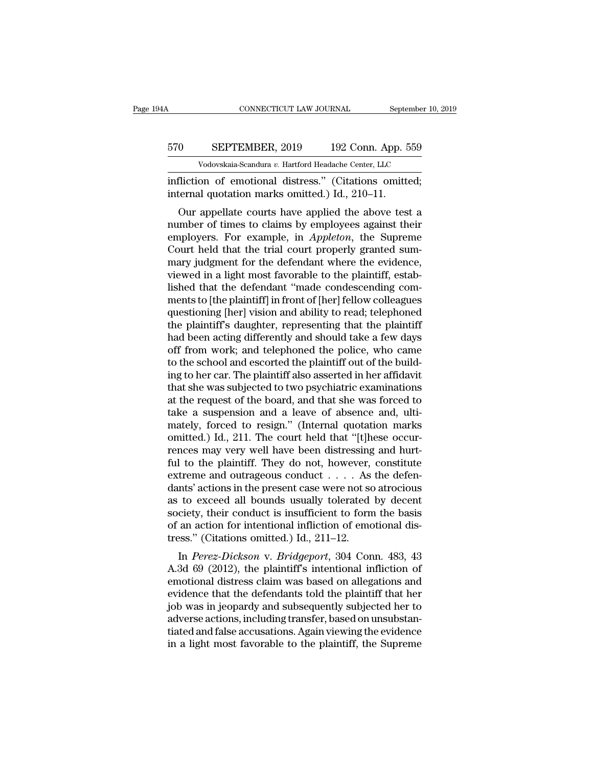# CONNECTICUT LAW JOURNAL September 10, 2019<br>570 SEPTEMBER, 2019 192 Conn. App. 559<br>Vodovskaia-Scandura v. Hartford Headache Center, LLC CONNECTICUT LAW JOURNAL September 10,<br>
SEPTEMBER, 2019 192 Conn. App. 559<br>
Vodovskaia-Scandura *v.* Hartford Headache Center, LLC<br>
on of emotional distress " (Citations omitted:

CONNECTICUT LAW JOURNAL September 10, 2<br>
570 SEPTEMBER, 2019 192 Conn. App. 559<br>
Vodovskaia-Scandura v. Hartford Headache Center, LLC<br>
infliction of emotional distress.'' (Citations omitted;<br>
internal quotation marks omitt 570 SEPTEMBER, 2019 192 Conn. App. 5<br>Vodovskaia-Scandura v. Hartford Headache Center, LLC<br>infliction of emotional distress." (Citations omitted.) Id., 210–11.<br>Our appellate courts have applied the above test

OURIENTEMBER, 2019 192 Conn. App. 559<br>
Vodovskaia-Scandura v. Hartford Headache Center, LLC<br>
fliction of emotional distress." (Citations omitted;<br>
ternal quotation marks omitted.) Id., 210–11.<br>
Our appellate courts have a 570 SEPTEMBER, 2019 192 Conn. App. 559<br>
vodovskaia-Scandura v. Hartford Headache Center, LLC<br>
infliction of emotional distress." (Citations omitted;<br>
internal quotation marks omitted.) Id., 210–11.<br>
Our appellate courts h Vodovskaia-Scandura v. Hartford Headache Center, LLC<br>infliction of emotional distress." (Citations omitted;<br>internal quotation marks omitted.) Id., 210–11.<br>Our appellate courts have applied the above test a<br>number of times infliction of emotional distress." (Citations omitted;<br>internal quotation marks omitted.) Id., 210–11.<br>Our appellate courts have applied the above test a<br>number of times to claims by employees against their<br>employers. For minetion of emotional distress. (Criations omitted,<br>internal quotation marks omitted.) Id., 210–11.<br>Our appellate courts have applied the above test a<br>number of times to claims by employees against their<br>employers. For exa fluerial quotation manks onlitted.) id., 210–11.<br>Our appellate courts have applied the above test a<br>number of times to claims by employees against their<br>employers. For example, in *Appleton*, the Supreme<br>Court held that th Our appellate courts have applied the above test a<br>number of times to claims by employees against their<br>employers. For example, in *Appleton*, the Supreme<br>Court held that the trial court properly granted sum-<br>mary judgment number of times to claims by employees against their<br>employers. For example, in *Appleton*, the Supreme<br>Court held that the trial court properly granted sum-<br>mary judgment for the defendant where the evidence,<br>viewed in a employers. For example, in *Appleton*, the Supreme<br>Court held that the trial court properly granted sum-<br>mary judgment for the defendant where the evidence,<br>viewed in a light most favorable to the plaintiff, estab-<br>lished Court held that the trial court properly granted summary judgment for the defendant where the evidence, viewed in a light most favorable to the plaintiff, established that the defendant "made condescending comments to [the mary judgment for the defendant where the evidence,<br>viewed in a light most favorable to the plaintiff, estab-<br>lished that the defendant "made condescending com-<br>ments to [the plaintiff] in front of [her] fellow colleagues<br> viewed in a light most favorable to the plaintiff, established that the defendant "made condescending comments to [the plaintiff] in front of [her] fellow colleagues questioning [her] vision and ability to read; telephoned lished that the defendant "made condescending comments to [the plaintiff] in front of [her] fellow colleagues questioning [her] vision and ability to read; telephoned the plaintiff's daughter, representing that the plainti ments to [the plaintiff] in front of [her] fellow colleagues<br>questioning [her] vision and ability to read; telephoned<br>the plaintiff's daughter, representing that the plaintiff<br>had been acting differently and should take a questioning [her] vision and ability to read; telephoned<br>the plaintiff's daughter, representing that the plaintiff<br>had been acting differently and should take a few days<br>off from work; and telephoned the police, who came<br>t the plaintiff's daughter, representing that the plaintiff<br>had been acting differently and should take a few days<br>off from work; and telephoned the police, who came<br>to the school and escorted the plaintiff out of the buildhad been acting differently and should take a few days<br>off from work; and telephoned the police, who came<br>to the school and escorted the plaintiff out of the build-<br>ing to her car. The plaintiff also asserted in her affid off from work; and telephoned the police, who came<br>to the school and escorted the plaintiff out of the build-<br>ing to her car. The plaintiff also asserted in her affidavit<br>that she was subjected to two psychiatric examinati to the school and escorted the plaintiff out of the building to her car. The plaintiff also asserted in her affidavit<br>that she was subjected to two psychiatric examinations<br>at the request of the board, and that she was for ing to her car. The plaintiff also asserted in her affidavit<br>that she was subjected to two psychiatric examinations<br>at the request of the board, and that she was forced to<br>take a suspension and a leave of absence and, ulti that she was subjected to two psychiatric examinations<br>at the request of the board, and that she was forced to<br>take a suspension and a leave of absence and, ulti-<br>mately, forced to resign." (Internal quotation marks<br>omitt at the request of the board, and that she was forced to take a suspension and a leave of absence and, ultimately, forced to resign." (Internal quotation marks omitted.) Id., 211. The court held that "[t]hese occurrences ma take a suspension and a leave of absence and, ultimately, forced to resign." (Internal quotation marks omitted.) Id., 211. The court held that "[t]hese occurrences may very well have been distressing and hurt-ful to the p mately, forced to resign." (Internal quotation marks<br>omitted.) Id., 211. The court held that "[t]hese occur-<br>rences may very well have been distressing and hurt-<br>ful to the plaintiff. They do not, however, constitute<br>extr omitted.) Id., 211. The court held that "[t]hese occurrences may very well have been distressing and hurt-<br>ful to the plaintiff. They do not, however, constitute<br>extreme and outrageous conduct  $\dots$ . As the defen-<br>dants' a rences may very well have been distressing and hurt-<br>ful to the plaintiff. They do not, however, constitute<br>extreme and outrageous conduct  $\dots$ . As the defen-<br>dants' actions in the present case were not so atrocious<br>as to ful to the plaintiff. They do not, however, extreme and outrageous conduct . . . . As dants' actions in the present case were not so as to exceed all bounds usually tolerated society, their conduct is insufficient to form In Fig. 2013, the present case were not so atrocious<br>to exceed all bounds usually tolerated by decent<br>ciety, their conduct is insufficient to form the basis<br>an action for intentional infliction of emotional dis-<br>sss." (Ci dants actions in the present case were not so atroctous<br>as to exceed all bounds usually tolerated by decent<br>society, their conduct is insufficient to form the basis<br>of an action for intentional infliction of emotional dis-

as to exceed an bounds usually tolerated by decent<br>society, their conduct is insufficient to form the basis<br>of an action for intentional infliction of emotional dis-<br>tress." (Citations omitted.) Id., 211–12.<br>In *Perez-Dick* society, their conduct is insulficient to form the basis<br>of an action for intentional infliction of emotional dis-<br>tress." (Citations omitted.) Id., 211–12.<br>In *Perez-Dickson* v. *Bridgeport*, 304 Conn. 483, 43<br>A.3d 69 (20 or an action for intentional infliction or emotional dis-<br>tress." (Citations omitted.) Id., 211–12.<br>In *Perez-Dickson* v. *Bridgeport*, 304 Conn. 483, 43<br>A.3d 69 (2012), the plaintiff's intentional infliction of<br>emotional In *Perez-Dickson* v. *Bridgeport*, 304 Conn. 483, 43<br>A.3d 69 (2012), the plaintiff's intentional infliction of<br>emotional distress claim was based on allegations and<br>evidence that the defendants told the plaintiff that her In *Perez-Dickson* v. *Bridgeport*, 304 Conn. 483, 43<br>A.3d 69 (2012), the plaintiff's intentional infliction of<br>emotional distress claim was based on allegations and<br>evidence that the defendants told the plaintiff that her A.3d 69 (2012), the plaintiff's intentional infliction of emotional distress claim was based on allegations and evidence that the defendants told the plaintiff that her job was in jeopardy and subsequently subjected her to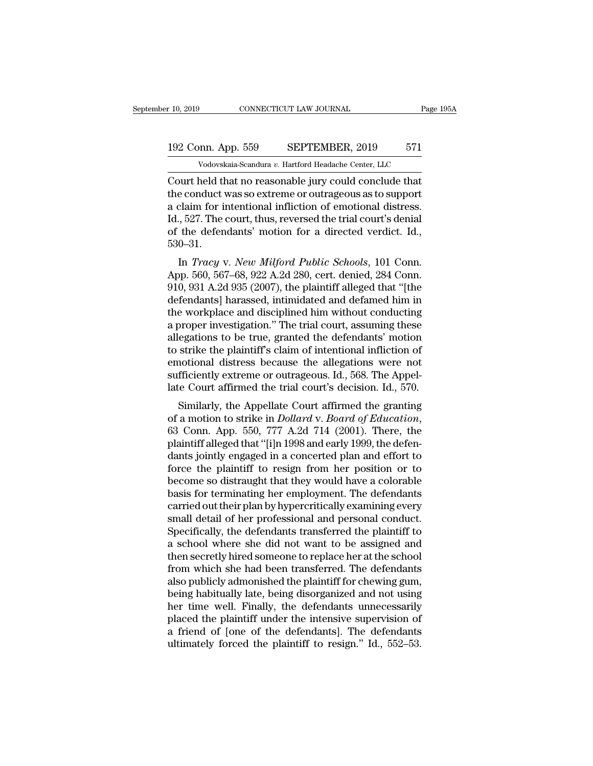# 10, 2019 CONNECTICUT LAW JOURNAL Page 195A<br>192 Conn. App. 559 SEPTEMBER, 2019 571<br>Vodovskaia-Scandura v. Hartford Headache Center, LLC Vodovskaia-Scandura *v.* Hartford Headache Center, LLC<br>Vodovskaia-Scandura *v.* Hartford Headache Center, LLC<br>Neld that no reasonable jury could conclude that

r 10, 2019 CONNECTICUT LAW JOURNAL Page 1954<br>
192 Conn. App. 559 SEPTEMBER, 2019 571<br>
Vodovskaia-Scandura v. Hartford Headache Center, LLC<br>
Court held that no reasonable jury could conclude that<br>
the conduct was so extreme 192 Conn. App. 559 SEPTEMBER, 2019 571<br>Vodovskaia-Scandura v. Hartford Headache Center, LLC<br>Court held that no reasonable jury could conclude that<br>the conduct was so extreme or outrageous as to support<br>a claim for intentio 192 Conn. App. 559 SEPTEMBER, 2019 571<br>
Vodovskaia-Scandura v. Hartford Headache Center, LLC<br>
Court held that no reasonable jury could conclude that<br>
the conduct was so extreme or outrageous as to support<br>
a claim for int 192 Conn. App. 559 SEPTEMBER, 2019 571<br>
Vodovskaia-Scandura v. Hartford Headache Center, LLC<br>
Court held that no reasonable jury could conclude that<br>
the conduct was so extreme or outrageous as to support<br>
a claim for int Vodovskaia-Scandura v. Hartford Headache Center, LLC<br>Court held that no reasonable jury could conclude that<br>the conduct was so extreme or outrageous as to support<br>a claim for intentional infliction of emotional distress.<br>I 530–31. ourt field that ho reasonable jury could conclude that<br>e conduct was so extreme or outrageous as to support<br>claim for intentional infliction of emotional distress.<br>., 527. The court, thus, reversed the trial court's denial the conduct was so extreme or outrageous as to support<br>a claim for intentional infliction of emotional distress.<br>Id., 527. The court, thus, reversed the trial court's denial<br>of the defendants' motion for a directed verdict

a claim for intentional infliction of emotional distress.<br>Id., 527. The court, thus, reversed the trial court's denial<br>of the defendants' motion for a directed verdict. Id.,<br>530–31.<br>In *Tracy v. New Milford Public Schools* deferred and defendants' motion for a directed verdict. Id.,<br>530–31.<br>In *Tracy v. New Milford Public Schools*, 101 Conn.<br>App. 560, 567–68, 922 A.2d 280, cert. denied, 284 Conn.<br>910, 931 A.2d 935 (2007), the plaintiff alleg of the defendants motion for a different vertict. Tu.,<br>530–31.<br>In *Tracy v. New Milford Public Schools*, 101 Conn.<br>App. 560, 567–68, 922 A.2d 280, cert. denied, 284 Conn.<br>910, 931 A.2d 935 (2007), the plaintiff alleged th In *Tracy v. New Milford Public Schools*, 101 Conn.<br>App. 560, 567–68, 922 A.2d 280, cert. denied, 284 Conn.<br>910, 931 A.2d 935 (2007), the plaintiff alleged that "[the<br>defendants] harassed, intimidated and defamed him in<br>t In *Tracy v. New Milford Public Schools*, 101 Conn.<br>App. 560, 567–68, 922 A.2d 280, cert. denied, 284 Conn.<br>910, 931 A.2d 935 (2007), the plaintiff alleged that "[the<br>defendants] harassed, intimidated and defamed him in<br>th App. 560, 567–68, 922 A.2d 280, cert. denied, 284 Conn.<br>910, 931 A.2d 935 (2007), the plaintiff alleged that "[the<br>defendants] harassed, intimidated and defamed him in<br>the workplace and disciplined him without conducting<br>a 910, 931 A.2d 935 (2007), the plaintiff alleged that "[the defendants] harassed, intimidated and defamed him in the workplace and disciplined him without conducting a proper investigation." The trial court, assuming these defendants] harassed, intimidated and defamed him in<br>the workplace and disciplined him without conducting<br>a proper investigation." The trial court, assuming these<br>allegations to be true, granted the defendants' motion<br>to s the workplace and disciplined him without conducting<br>a proper investigation." The trial court, assuming these<br>allegations to be true, granted the defendants' motion<br>to strike the plaintiff's claim of intentional infliction Similarly, the Appellate Court affirmed the granting university and infliction of notional distress because the allegations were not fficiently extreme or outrageous. Id., 568. The Appellate Court affirmed the trial court anegations to be true, granted the defendants motion<br>to strike the plaintiff's claim of intentional infliction of<br>emotional distress because the allegations were not<br>sufficiently extreme or outrageous. Id., 568. The Appel-

emotional distress because the anegations were not<br>sufficiently extreme or outrageous. Id., 568. The Appellate Court affirmed the trial court's decision. Id., 570.<br>Similarly, the Appellate Court affirmed the granting<br>of a sumerently extreme or outrageous. Tu., 506. The Appel-<br>late Court affirmed the trial court's decision. Id., 570.<br>Similarly, the Appellate Court affirmed the granting<br>of a motion to strike in *Dollard* v. *Board of Educatio* for a minimism of a model with the practice the distribution.<br>Similarly, the Appellate Court affirmed the granting<br>of a motion to strike in *Dollard* v. *Board of Education*,<br>63 Conn. App. 550, 777 A.2d 714 (2001). There, Similarly, the Appellate Court affirmed the granting<br>of a motion to strike in *Dollard* v. *Board of Education*,<br>63 Conn. App. 550, 777 A.2d 714 (2001). There, the<br>plaintiff alleged that "[i]n 1998 and early 1999, the defe of a motion to strike in *Dollard* v. *Board of Education*,<br>63 Conn. App. 550, 777 A.2d 714 (2001). There, the<br>plaintiff alleged that "[i]n 1998 and early 1999, the defen-<br>dants jointly engaged in a concerted plan and effo 63 Conn. App. 550, 777 A.2d 714 (2001). There, the plaintiff alleged that "[i]n 1998 and early 1999, the defendants jointly engaged in a concerted plan and effort to force the plaintiff to resign from her position or to be plaintiff alleged that "[i]n 1998 and early 1999, the defendants jointly engaged in a concerted plan and effort to force the plaintiff to resign from her position or to become so distraught that they would have a colorable dants jointly engaged in a concerted plan and effort to<br>force the plaintiff to resign from her position or to<br>become so distraught that they would have a colorable<br>basis for terminating her employment. The defendants<br>carri force the plaintiff to resign from her position or to<br>become so distraught that they would have a colorable<br>basis for terminating her employment. The defendants<br>carried out their plan by hypercritically examining every<br>sma become so distraught that they would have a colorable<br>basis for terminating her employment. The defendants<br>carried out their plan by hypercritically examining every<br>small detail of her professional and personal conduct.<br>Sp basis for terminating her employment. The defendants<br>carried out their plan by hypercritically examining every<br>small detail of her professional and personal conduct.<br>Specifically, the defendants transferred the plaintiff t carried out their plan by hypercritically examining every<br>small detail of her professional and personal conduct.<br>Specifically, the defendants transferred the plaintiff to<br>a school where she did not want to be assigned and<br> small detail of her professional and personal conduct.<br>Specifically, the defendants transferred the plaintiff to<br>a school where she did not want to be assigned and<br>then secretly hired someone to replace her at the school<br>f Specifically, the defendants transferred the plaintiff to<br>a school where she did not want to be assigned and<br>then secretly hired someone to replace her at the school<br>from which she had been transferred. The defendants<br>also a school where she did not want to be assigned and<br>then secretly hired someone to replace her at the school<br>from which she had been transferred. The defendants<br>also publicly admonished the plaintiff for chewing gum,<br>being then secretly hired someone to replace her at the school<br>from which she had been transferred. The defendants<br>also publicly admonished the plaintiff for chewing gum,<br>being habitually late, being disorganized and not using<br>h from which she had been transferred. The defendants<br>also publicly admonished the plaintiff for chewing gum,<br>being habitually late, being disorganized and not using<br>her time well. Finally, the defendants unnecessarily<br>place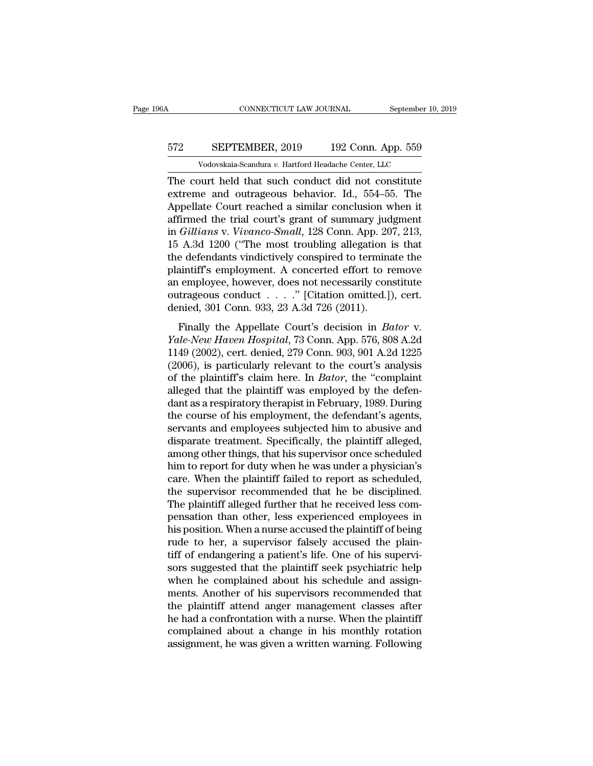# CONNECTICUT LAW JOURNAL September 10, 2019<br>572 SEPTEMBER, 2019 192 Conn. App. 559<br>Vodovskaia-Scandura v. Hartford Headache Center, LLC CONNECTICUT LAW JOURNAL September 10,<br>
SEPTEMBER, 2019 192 Conn. App. 559<br>
Vodovskaia-Scandura *v.* Hartford Headache Center, LLC<br>
Nurt held that such conduct did not constitute

CONNECTICUT LAW JOURNAL September 10, 2019<br>
572 SEPTEMBER, 2019 192 Conn. App. 559<br>
Vodovskaia-Scandura v. Hartford Headache Center, LLC<br>
The court held that such conduct did not constitute<br>
extreme and outrageous behavior EPTEMBER, 2019 192 Conn. App. 559<br>Vodovskaia-Scandura v. Hartford Headache Center, LLC<br>The court held that such conduct did not constitute<br>extreme and outrageous behavior. Id., 554–55. The<br>Appellate Court reached a similar SEPTEMBER, 2019 192 Conn. App. 559<br>
Vodovskaia-Scandura v. Hartford Headache Center, LLC<br>
The court held that such conduct did not constitute<br>
extreme and outrageous behavior. Id., 554–55. The<br>
Appellate Court reached a s 572 SEPTEMBER, 2019 192 Conn. App. 559<br>Vodovskaia-Scandura v. Hartford Headache Center, LLC<br>The court held that such conduct did not constitute<br>extreme and outrageous behavior. Id., 554–55. The<br>Appellate Court reached a s Vodovskaia-Scandura v. Hartford Headache Center, LLC<br>The court held that such conduct did not constitute<br>extreme and outrageous behavior. Id., 554–55. The<br>Appellate Court reached a similar conclusion when it<br>affirmed the t vodovskala-scandura v. Hartford Headache Center, LLC<br>The court held that such conduct did not constitute<br>extreme and outrageous behavior. Id., 554–55. The<br>Appellate Court reached a similar conclusion when it<br>affirmed the The court held that such conduct did not constitute<br>extreme and outrageous behavior. Id., 554–55. The<br>Appellate Court reached a similar conclusion when it<br>affirmed the trial court's grant of summary judgment<br>in *Gillians* extreme and outrageous behavior. Id., 554–55. The<br>Appellate Court reached a similar conclusion when it<br>affirmed the trial court's grant of summary judgment<br>in *Gillians* v. *Vivanco-Small*, 128 Conn. App. 207, 213,<br>15 A.3d Appellate Court reached a similar conclusion when it<br>affirmed the trial court's grant of summary judgment<br>in *Gillians* v. *Vivanco-Small*, 128 Conn. App. 207, 213,<br>15 A.3d 1200 ("The most troubling allegation is that<br>the affirmed the trial court's grant of summary judgment<br>in *Gillians* v. *Vivanco-Small*, 128 Conn. App. 207, 213,<br>15 A.3d 1200 ("The most troubling allegation is that<br>the defendants vindictively conspired to terminate the<br>pl in *Gillians* v. *Vivanco-Small*, 128 Conn. App. 207, 213, 15 A.3d 1200 ("The most troubling allegation is that the defendants vindictively conspired to terminate the plaintiff's employment. A concerted effort to remove a Final 1200 (The most abdomig anguator is that<br>e defendants vindictively conspired to terminate the<br>aintiff's employment. A concerted effort to remove<br>employee, however, does not necessarily constitute<br>trageous conduct . . *XAMERANCET CONSPITED to terminate the*<br> *Plaintiff's* employment. A concerted effort to remove<br>
an employee, however, does not necessarily constitute<br>
outrageous conduct . . . . . " [Citation omitted.]), cert.<br>
denied, 30

Frame is employment. The existence effect that is denieded an employee, however, does not necessarily constitute outrageous conduct  $\ldots$ . " [Citation omitted.]), cert.<br>denied, 301 Conn. 933, 23 A.3d 726 (2011).<br>Finally t (an employee, nowever, accessive necessarity constraint<br>outrageous conduct . . . ." [Citation omitted.]), cert.<br>denied, 301 Conn. 933, 23 A.3d 726 (2011).<br>Finally the Appellate Court's decision in *Bator* v.<br>Yale-New Have denied, 301 Conn. 933, 23 A.3d 726 (2011).<br>
Finally the Appellate Court's decision in *Bator* v.<br> *Yale-New Haven Hospital*, 73 Conn. App. 576, 808 A.2d<br>
1149 (2002), cert. denied, 279 Conn. 903, 901 A.2d 1225<br>
(2006), is Finally the Appellate Court's decision in *Bator* v.<br> *Yale-New Haven Hospital*, 73 Conn. App. 576, 808 A.2d<br>
1149 (2002), cert. denied, 279 Conn. 903, 901 A.2d 1225<br>
(2006), is particularly relevant to the court's analysi Finally the Appellate Court's decision in *Bator* v.<br> *Yale-New Haven Hospital*, 73 Conn. App. 576, 808 A.2d<br>
1149 (2002), cert. denied, 279 Conn. 903, 901 A.2d 1225<br>
(2006), is particularly relevant to the court's analysi *Yale-New Haven Hospital*, 73 Conn. App. 576, 808 A.2d<br>1149 (2002), cert. denied, 279 Conn. 903, 901 A.2d 1225<br>(2006), is particularly relevant to the court's analysis<br>of the plaintiff's claim here. In *Bator*, the "compla 1149 (2002), cert. denied, 279 Conn. 903, 901 A.2d 1225 (2006), is particularly relevant to the court's analysis<br>of the plaintiff's claim here. In *Bator*, the "complaint<br>alleged that the plaintiff was employed by the def (2006), is particularly relevant to the court's analysis<br>of the plaintiff's claim here. In *Bator*, the "complaint<br>alleged that the plaintiff was employed by the defen-<br>dant as a respiratory therapist in February, 1989. D of the plaintiff's claim here. In *Bator*, the "complaint<br>alleged that the plaintiff was employed by the defen-<br>dant as a respiratory therapist in February, 1989. During<br>the course of his employment, the defendant's agents alleged that the plaintiff was employed by the defen-<br>dant as a respiratory therapist in February, 1989. During<br>the course of his employment, the defendant's agents,<br>servants and employees subjected him to abusive and<br>disp dant as a respiratory therapist in February, 1989. During<br>the course of his employment, the defendant's agents,<br>servants and employees subjected him to abusive and<br>disparate treatment. Specifically, the plaintiff alleged,<br> the course of his employment, the defendant's agents,<br>servants and employees subjected him to abusive and<br>disparate treatment. Specifically, the plaintiff alleged,<br>among other things, that his supervisor once scheduled<br>him servants and employees subjected him to abusive and<br>disparate treatment. Specifically, the plaintiff alleged,<br>among other things, that his supervisor once scheduled<br>him to report for duty when he was under a physician's<br>ca disparate treatment. Specifically, the plaintiff alleged,<br>among other things, that his supervisor once scheduled<br>him to report for duty when he was under a physician's<br>care. When the plaintiff failed to report as scheduled among other things, that his supervisor once scheduled<br>him to report for duty when he was under a physician's<br>care. When the plaintiff failed to report as scheduled,<br>the supervisor recommended that he be disciplined.<br>The p him to report for duty when he was under a physician's<br>care. When the plaintiff failed to report as scheduled,<br>the supervisor recommended that he be disciplined.<br>The plaintiff alleged further that he received less com-<br>pen care. When the plaintiff failed to report as scheduled,<br>the supervisor recommended that he be disciplined.<br>The plaintiff alleged further that he received less com-<br>pensation than other, less experienced employees in<br>his po the supervisor recommended that he be disciplined.<br>The plaintiff alleged further that he received less compensation than other, less experienced employees in<br>his position. When a nurse accused the plaintiff of being<br>rude t The plaintiff alleged further that he received less compensation than other, less experienced employees in his position. When a nurse accused the plaintiff of being rude to her, a supervisor falsely accused the plaintiff o pensation than other, less experienced employees in<br>his position. When a nurse accused the plaintiff of being<br>rude to her, a supervisor falsely accused the plain-<br>tiff of endangering a patient's life. One of his supervi-<br>s his position. When a nurse accused the plaintiff of being<br>rude to her, a supervisor falsely accused the plain-<br>tiff of endangering a patient's life. One of his supervi-<br>sors suggested that the plaintiff seek psychiatric he rude to her, a supervisor falsely accused the plain-<br>tiff of endangering a patient's life. One of his supervi-<br>sors suggested that the plaintiff seek psychiatric help<br>when he complained about his schedule and assign-<br>ments tiff of endangering a patient's life. One of his supervisors suggested that the plaintiff seek psychiatric help<br>when he complained about his schedule and assign-<br>ments. Another of his supervisors recommended that<br>the plain sors suggested that the plaintiff seek psychiatric help<br>when he complained about his schedule and assign-<br>ments. Another of his supervisors recommended that<br>the plaintiff attend anger management classes after<br>he had a conf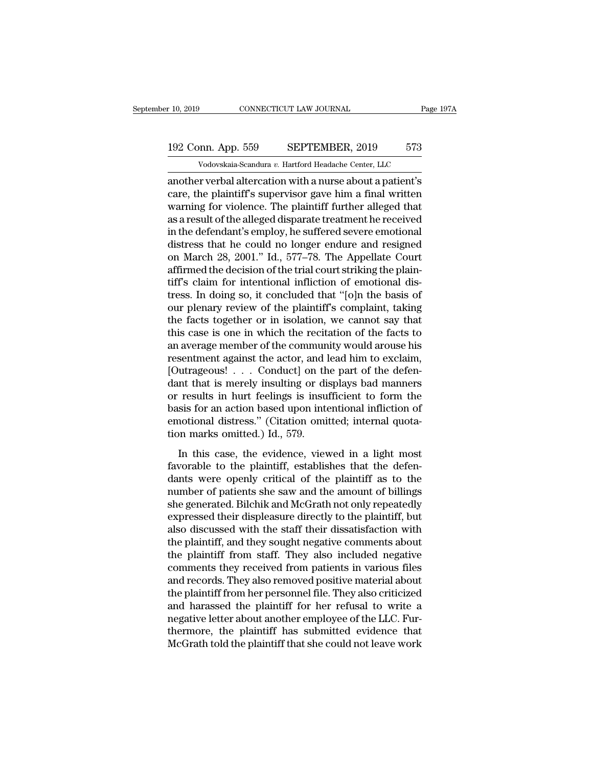# 10, 2019 CONNECTICUT LAW JOURNAL Page 197A<br>192 Conn. App. 559 SEPTEMBER, 2019 573<br>Vodovskaia-Scandura v. Hartford Headache Center, LLC Vodovskaia-Scandura *v.* Hartford Headache Center, LLC<br>Vodovskaia-Scandura *v.* Hartford Headache Center, LLC<br>Vodovskaia-Scandura *v.* Hartford Headache Center, LLC<br>In verbal alternation with a nurse about a natient's

r 10, 2019 CONNECTICUT LAW JOURNAL Page 197A<br>
192 Conn. App. 559 SEPTEMBER, 2019 573<br>
Vodovskaia-Scandura v. Hartford Headache Center, LLC<br>
another verbal altercation with a nurse about a patient's<br>
care, the plaintiff's s 192 Conn. App. 559 SEPTEMBER, 2019 573<br>Vodovskaia-Scandura v. Hartford Headache Center, LLC<br>another verbal altercation with a nurse about a patient's<br>care, the plaintiff's supervisor gave him a final written<br>warning for vi 192 Conn. App. 559 SEPTEMBER, 2019 573<br>
Vodovskaia-Scandura v. Hartford Headache Center, LLC<br>
another verbal altercation with a nurse about a patient's<br>
care, the plaintiff's supervisor gave him a final written<br>
warning f 192 Conn. App. 559 SEPTEMBER, 2019 573<br>Vodovskaia-Scandura v. Hartford Headache Center, LLC<br>another verbal altercation with a nurse about a patient's<br>care, the plaintiff's supervisor gave him a final written<br>warning for v Vodovskaia-Scandura v. Hartford Headache Center, LLC<br>another verbal altercation with a nurse about a patient's<br>care, the plaintiff's supervisor gave him a final written<br>warning for violence. The plaintiff further alleged vodovskala-scandura v. Hartford Headache Center, LLC<br>another verbal altercation with a nurse about a patient's<br>care, the plaintiff's supervisor gave him a final written<br>warning for violence. The plaintiff further alleged another verbal altercation with a nurse about a patient's<br>care, the plaintiff's supervisor gave him a final written<br>warning for violence. The plaintiff further alleged that<br>as a result of the alleged disparate treatment he care, the plaintiff's supervisor gave him a final written<br>warning for violence. The plaintiff further alleged that<br>as a result of the alleged disparate treatment he received<br>in the defendant's employ, he suffered severe em warning for violence. The plaintiff further alleged that<br>as a result of the alleged disparate treatment he received<br>in the defendant's employ, he suffered severe emotional<br>distress that he could no longer endure and resign as a result of the alleged disparate treatment he received<br>in the defendant's employ, he suffered severe emotional<br>distress that he could no longer endure and resigned<br>on March 28, 2001." Id., 577–78. The Appellate Court<br>a in the defendant's employ, he suffered severe emotional<br>distress that he could no longer endure and resigned<br>on March 28, 2001." Id., 577–78. The Appellate Court<br>affirmed the decision of the trial court striking the plaindistress that he could no longer endure and resigned<br>on March 28, 2001." Id., 577–78. The Appellate Court<br>affirmed the decision of the trial court striking the plain-<br>tiff's claim for intentional infliction of emotional di on March 28, 2001." Id., 577–78. The Appellate Court<br>affirmed the decision of the trial court striking the plain-<br>tiff's claim for intentional infliction of emotional dis-<br>tress. In doing so, it concluded that "[0]n the ba affirmed the decision of the trial court striking the plain-<br>tiff's claim for intentional infliction of emotional dis-<br>tress. In doing so, it concluded that "[0]n the basis of<br>our plenary review of the plaintiff's complain tiff's claim for intentional infliction of emotional distress. In doing so, it concluded that "[o]n the basis of<br>our plenary review of the plaintiff's complaint, taking<br>the facts together or in isolation, we cannot say tha tress. In doing so, it concluded that "[o]n the basis of<br>our plenary review of the plaintiff's complaint, taking<br>the facts together or in isolation, we cannot say that<br>this case is one in which the recitation of the facts our plenary review of the plaintiff's complaint, taking<br>the facts together or in isolation, we cannot say that<br>this case is one in which the recitation of the facts to<br>an average member of the community would arouse his<br>re the facts together or in isolation, we cannot say that<br>this case is one in which the recitation of the facts to<br>an average member of the community would arouse his<br>resentment against the actor, and lead him to exclaim,<br>[Ou this case is one in which the recitation of the facts to<br>an average member of the community would arouse his<br>resentment against the actor, and lead him to exclaim,<br>[Outrageous! . . . Conduct] on the part of the defen-<br>dan an average member of the community would arouse his<br>resentment against the actor, and lead him to exclaim,<br>[Outrageous!  $\ldots$  Conduct] on the part of the defen-<br>dant that is merely insulting or displays bad manners<br>or res resentment against the actor, and l<br>[Outrageous! . . . Conduct] on th<br>dant that is merely insulting or di<br>or results in hurt feelings is insu<br>basis for an action based upon inte<br>emotional distress." (Citation omi<br>tion mark In that is merely insulting or displays bad manners<br>
results in hurt feelings is insufficient to form the<br>
sis for an action based upon intentional infliction of<br>
notional distress." (Citation omitted; internal quota-<br>
no factor is in hurt feelings is insufficient to form the<br>basis for an action based upon intentional infliction of<br>emotional distress." (Citation omitted; internal quota-<br>tion marks omitted.) Id., 579.<br>In this case, the evide

dants are national distress." (Citation omitted; internal quotation marks omitted.) Id., 579.<br>In this case, the evidence, viewed in a light most favorable to the plaintiff, establishes that the defendants were openly crit basis for an action based apon international intreduction<br>emotional distress." (Citation omitted; internal quota-<br>tion marks omitted.) Id., 579.<br>In this case, the evidence, viewed in a light most<br>favorable to the plaintiff she generated. Bilchik and McGrath not only repeated in a light most favorable to the plaintiff, establishes that the defendants were openly critical of the plaintiff as to the number of patients she saw and the amount of In this case, the evidence, viewed in a light most<br>favorable to the plaintiff, establishes that the defen-<br>dants were openly critical of the plaintiff as to the<br>number of patients she saw and the amount of billings<br>she gen In this case, the evidence, viewed in a light most<br>favorable to the plaintiff, establishes that the defen-<br>dants were openly critical of the plaintiff as to the<br>number of patients she saw and the amount of billings<br>she gen favorable to the plaintiff, establishes that the defendants were openly critical of the plaintiff as to the number of patients she saw and the amount of billings she generated. Bilchik and McGrath not only repeatedly expre dants were openly critical of the plaintiff as to the<br>number of patients she saw and the amount of billings<br>she generated. Bilchik and McGrath not only repeatedly<br>expressed their displeasure directly to the plaintiff, but<br> number of patients she saw and the amount of billings<br>she generated. Bilchik and McGrath not only repeatedly<br>expressed their displeasure directly to the plaintiff, but<br>also discussed with the staff their dissatisfaction wi she generated. Bilchik and McGrath not only repeatedly<br>expressed their displeasure directly to the plaintiff, but<br>also discussed with the staff their dissatisfaction with<br>the plaintiff, and they sought negative comments ab expressed their displeasure directly to the plaintiff, but<br>also discussed with the staff their dissatisfaction with<br>the plaintiff, and they sought negative comments about<br>the plaintiff from staff. They also included negati also discussed with the staff their dissatisfaction with<br>the plaintiff, and they sought negative comments about<br>the plaintiff from staff. They also included negative<br>comments they received from patients in various files<br>an the plaintiff, and they sought negative comments about<br>the plaintiff from staff. They also included negative<br>comments they received from patients in various files<br>and records. They also removed positive material about<br>the the plaintiff from staff. They also included negative<br>comments they received from patients in various files<br>and records. They also removed positive material about<br>the plaintiff from her personnel file. They also criticized comments they received from patients in various files<br>and records. They also removed positive material about<br>the plaintiff from her personnel file. They also criticized<br>and harassed the plaintiff for her refusal to write a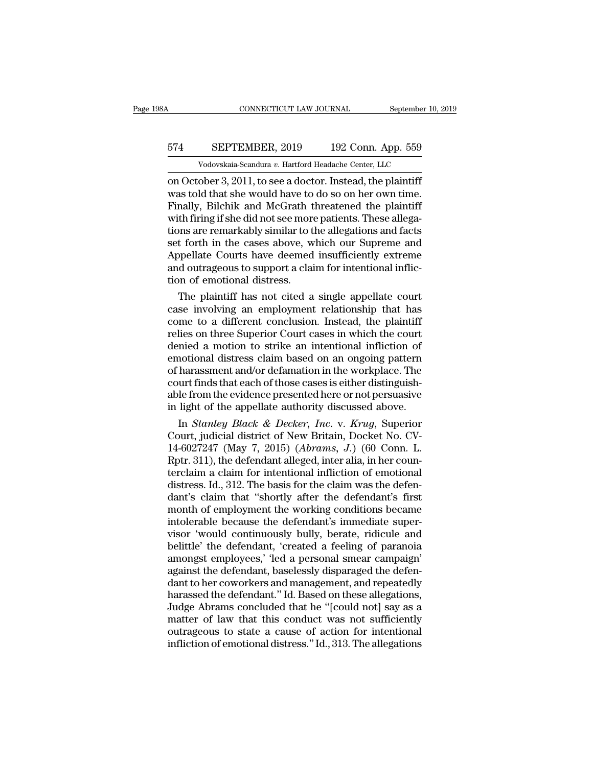# CONNECTICUT LAW JOURNAL September 10, 2019<br>574 SEPTEMBER, 2019 192 Conn. App. 559<br>Vodovskaia-Scandura v. Hartford Headache Center, LLC CONNECTICUT LAW JOURNAL September 10,<br>
SEPTEMBER, 2019 192 Conn. App. 559<br>
Vodovskaia-Scandura *v.* Hartford Headache Center, LLC<br>
ober 3 2011 to see a doctor Instead the plaintiff

CONNECTICUT LAW JOURNAL September 10, 2019<br>
SEPTEMBER, 2019 192 Conn. App. 559<br>
Vodovskaia-Scandura v. Hartford Headache Center, LLC<br>
on October 3, 2011, to see a doctor. Instead, the plaintiff<br>
was told that she would hav 574 SEPTEMBER, 2019 192 Conn. App. 559<br>Vodovskaia-Scandura v. Hartford Headache Center, LLC<br>on October 3, 2011, to see a doctor. Instead, the plaintiff<br>was told that she would have to do so on her own time.<br>Finally, Bilchi  $574$  SEPTEMBER, 2019 192 Conn. App. 559<br>
Vodovskaia-Scandura v. Hartford Headache Center, LLC<br>
on October 3, 2011, to see a doctor. Instead, the plaintiff<br>
was told that she would have to do so on her own time.<br>
Finally, 574 SEPTEMBER, 2019 192 Conn. App. 559<br>Vodovskaia-Scandura v. Hartford Headache Center, LLC<br>on October 3, 2011, to see a doctor. Instead, the plaintiff<br>was told that she would have to do so on her own time.<br>Finally, Bilchi Volovskaia-Scandura v. Hartford Headache Center, LLC<br>
on October 3, 2011, to see a doctor. Instead, the plaintiff<br>
was told that she would have to do so on her own time.<br>
Finally, Bilchik and McGrath threatened the plaint Vodovskaia-Scandura v. Hartford Headache Center, LLC<br>
on October 3, 2011, to see a doctor. Instead, the plaintiff<br>
was told that she would have to do so on her own time.<br>
Finally, Bilchik and McGrath threatened the plaint on October 3, 2011, to see a doctor. Instead, the plaintiff<br>was told that she would have to do so on her own time.<br>Finally, Bilchik and McGrath threatened the plaintiff<br>with firing if she did not see more patients. These a was told that she would have to do so on her own time.<br>Finally, Bilchik and McGrath threatened the plaintiff<br>with firing if she did not see more patients. These allega-<br>tions are remarkably similar to the allegations and f Finally, Bilchik and McGrath t<br>with firing if she did not see more<br>tions are remarkably similar to t<br>set forth in the cases above, w<br>Appellate Courts have deemed<br>and outrageous to support a clai<br>tion of emotional distress. th firing if she did not see more patients. These allega-<br>ons are remarkably similar to the allegations and facts<br>t forth in the cases above, which our Supreme and<br>opellate Courts have deemed insufficiently extreme<br>d outra tions are remarkably similar to the allegations and facts<br>set forth in the cases above, which our Supreme and<br>Appellate Courts have deemed insufficiently extreme<br>and outrageous to support a claim for intentional inflic-<br>ti

set forth in the cases above, which our Supreme and<br>Appellate Courts have deemed insufficiently extreme<br>and outrageous to support a claim for intentional inflic-<br>tion of emotional distress.<br>The plaintiff has not cited a si Appellate Courts have deemed insufficiently extreme<br>and outrageous to support a claim for intentional inflic-<br>tion of emotional distress.<br>The plaintiff has not cited a single appellate court<br>case involving an employment re and outrageous to support a claim for intentional infliction of emotional distress.<br>The plaintiff has not cited a single appellate court<br>case involving an employment relationship that has<br>come to a different conclusion. In tion of emotional distress.<br>
The plaintiff has not cited a single appellate court<br>
case involving an employment relationship that has<br>
come to a different conclusion. Instead, the plaintiff<br>
relies on three Superior Court The plaintiff has not cited a single appellate court<br>case involving an employment relationship that has<br>come to a different conclusion. Instead, the plaintiff<br>relies on three Superior Court cases in which the court<br>denied case involving an employment relationship that has<br>come to a different conclusion. Instead, the plaintiff<br>relies on three Superior Court cases in which the court<br>denied a motion to strike an intentional infliction of<br>emoti come to a different conclusion. Instead, the plaintiff<br>relies on three Superior Court cases in which the court<br>denied a motion to strike an intentional infliction of<br>emotional distress claim based on an ongoing pattern<br>of relies on three Superior Court cases in which the court<br>denied a motion to strike an intentional infliction of<br>emotional distress claim based on an ongoing pattern<br>of harassment and/or defamation in the workplace. The<br>cour initional distress claim based on an ongoing pattern<br>
harassment and/or defamation in the workplace. The<br>
urt finds that each of those cases is either distinguish-<br>
le from the evidence presented here or not persuasive<br>
li emotional distress claim based on an ongoing pattern<br>of harassment and/or defamation in the workplace. The<br>court finds that each of those cases is either distinguish-<br>able from the evidence presented here or not persuasive

of harassment and/or defamation in the workplace. The<br>court finds that each of those cases is either distinguish-<br>able from the evidence presented here or not persuasive<br>in light of the appellate authority discussed above. court finds that each of those cases is either distinguishable from the evidence presented here or not persuasive<br>in light of the appellate authority discussed above.<br>In *Stanley Black & Decker, Inc.* v. *Krug*, Superior<br> able from the evidence presented here or not persuasive<br>in light of the appellate authority discussed above.<br>In *Stanley Black & Decker, Inc.* v. *Krug*, Superior<br>Court, judicial district of New Britain, Docket No. CV-<br>14 in light of the appellate authority discussed above.<br>
In *Stanley Black & Decker*, *Inc.* v. *Krug*, Superior<br>
Court, judicial district of New Britain, Docket No. CV-<br>
14-6027247 (May 7, 2015) (*Abrams, J.*) (60 Conn. L.<br> In *Stanley Black & Decker, Inc.* v. *Krug*, Superior<br>Court, judicial district of New Britain, Docket No. CV-<br>14-6027247 (May 7, 2015) (*Abrams*, *J.*) (60 Conn. L.<br>Rptr. 311), the defendant alleged, inter alia, in her cou Court, judicial district of New Britain, Docket No. CV-<br>14-6027247 (May 7, 2015) (*Abrams, J.*) (60 Conn. L.<br>Rptr. 311), the defendant alleged, inter alia, in her coun-<br>terclaim a claim for intentional infliction of emoti 14-6027247 (May 7, 2015) (*Abrams, J.*) (60 Conn. L.<br>Rptr. 311), the defendant alleged, inter alia, in her coun-<br>terclaim a claim for intentional infliction of emotional<br>distress. Id., 312. The basis for the claim was the Rptr. 311), the defendant alleged, inter alia, in her counterclaim a claim for intentional infliction of emotional<br>distress. Id., 312. The basis for the claim was the defen-<br>dant's claim that "shortly after the defendant's terclaim a claim for intentional infliction of emotional<br>distress. Id., 312. The basis for the claim was the defen-<br>dant's claim that "shortly after the defendant's first<br>month of employment the working conditions became<br>i distress. Id., 312. The basis for the claim was the defendant's claim that "shortly after the defendant's first<br>month of employment the working conditions became<br>intolerable because the defendant's immediate super-<br>visor ' dant's claim that "shortly after the defendant's first<br>month of employment the working conditions became<br>intolerable because the defendant's immediate super-<br>visor 'would continuously bully, berate, ridicule and<br>belittle' month of employment the working conditions became<br>intolerable because the defendant's immediate super-<br>visor 'would continuously bully, berate, ridicule and<br>belittle' the defendant, 'created a feeling of paranoia<br>amongst e intolerable because the defendant's immediate super-<br>visor 'would continuously bully, berate, ridicule and<br>belittle' the defendant, 'created a feeling of paranoia<br>amongst employees,' 'led a personal smear campaign'<br>against visor 'would continuously bully, berate, ridicule and<br>belittle' the defendant, 'created a feeling of paranoia<br>amongst employees,' 'led a personal smear campaign'<br>against the defendant, baselessly disparaged the defen-<br>dant belittle' the defendant, 'created a feeling of paranoia<br>amongst employees,' 'led a personal smear campaign'<br>against the defendant, baselessly disparaged the defen-<br>dant to her coworkers and management, and repeatedly<br>haras amongst employees,' 'led a personal smear campaign'<br>against the defendant, baselessly disparaged the defen-<br>dant to her coworkers and management, and repeatedly<br>harassed the defendant.'' Id. Based on these allegations,<br>Jud against the defendant, baselessly disparaged the defendant to her coworkers and management, and repeatedly harassed the defendant." Id. Based on these allegations, Judge Abrams concluded that he "[could not] say as a matte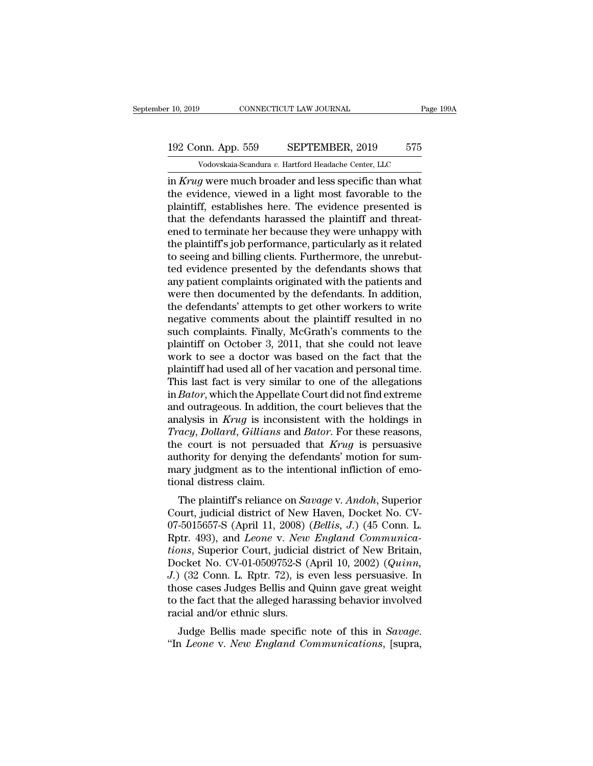# 10, 2019 CONNECTICUT LAW JOURNAL Page 199A<br>192 Conn. App. 559 SEPTEMBER, 2019 575<br>Vodovskaia-Scandura v. Hartford Headache Center, LLC Vodovskaia-Scandura *v.* Hartford Headache Center, LLC<br>Vodovskaia-Scandura *v.* Hartford Headache Center, LLC<br>Vodovskaia-Scandura *v.* Hartford Headache Center, LLC<br>Vodovskaia-Scandura *v.* Hartford Headache Center, LLC

F 10, 2019 CONNECTICUT LAW JOURNAL Page 1994<br>
192 Conn. App. 559 SEPTEMBER, 2019 575<br>
Vodovskaia-Scandura v. Hartford Headache Center, LLC<br>
in *Krug* were much broader and less specific than what<br>
the evidence, viewed in a 192 Conn. App. 559 SEPTEMBER, 2019 575<br>
Vodovskaia-Scandura v. Hartford Headache Center, LLC<br>
in *Krug* were much broader and less specific than what<br>
the evidence, viewed in a light most favorable to the<br>
plaintiff, estab 192 Conn. App. 559 SEPTEMBER, 2019 575<br>
Vodovskaia-Scandura v. Hartford Headache Center, LLC<br>
in *Krug* were much broader and less specific than what<br>
the evidence, viewed in a light most favorable to the<br>
plaintiff, esta 192 Conn. App. 559 SEPTEMBER, 2019 575<br>  $\frac{192 \text{ Co} \cdot \text{Vodovskaja-Scandura } v.$  Hartford Headache Center, LLC<br>
in *Krug* were much broader and less specific than what<br>
the evidence, viewed in a light most favorable to the<br>
plainti Vodovskaia-Scandura v. Hartford Headache Center, LLC<br>in Krug were much broader and less specific than what<br>the evidence, viewed in a light most favorable to the<br>plaintiff, establishes here. The evidence presented is<br>that vodovskaia-Scandura v. Hartford Headache Center, LLC<br>in Krug were much broader and less specific than what<br>the evidence, viewed in a light most favorable to the<br>plaintiff, establishes here. The evidence presented is<br>that in *Krug* were much broader and less specific than what<br>the evidence, viewed in a light most favorable to the<br>plaintiff, establishes here. The evidence presented is<br>that the defendants harassed the plaintiff and threat-<br>en the evidence, viewed in a light most favorable to the plaintiff, establishes here. The evidence presented is that the defendants harassed the plaintiff and threatened to terminate her because they were unhappy with the pla plaintiff, establishes here. The evidence presented is<br>that the defendants harassed the plaintiff and threat-<br>ened to terminate her because they were unhappy with<br>the plaintiff's job performance, particularly as it related that the defendants harassed the plaintiff and threatened to terminate her because they were unhappy with<br>the plaintiff's job performance, particularly as it related<br>to seeing and billing clients. Furthermore, the unrebutened to terminate her because they were unhappy with<br>the plaintiff's job performance, particularly as it related<br>to seeing and billing clients. Furthermore, the unrebut-<br>ted evidence presented by the defendants shows that<br> the plaintiff's job performance, particularly as it related<br>to seeing and billing clients. Furthermore, the unrebut-<br>ted evidence presented by the defendants shows that<br>any patient complaints originated with the patients a to seeing and billing clients. Furthermore, the unrebut-<br>ted evidence presented by the defendants shows that<br>any patient complaints originated with the patients and<br>were then documented by the defendants. In addition,<br>the ted evidence presented by the defendants shows that<br>any patient complaints originated with the patients and<br>were then documented by the defendants. In addition,<br>the defendants' attempts to get other workers to write<br>negati any patient complaints originated with the patients and<br>were then documented by the defendants. In addition,<br>the defendants' attempts to get other workers to write<br>negative comments about the plaintiff resulted in no<br>such were then documented by the defendants. In addition,<br>the defendants' attempts to get other workers to write<br>negative comments about the plaintiff resulted in no<br>such complaints. Finally, McGrath's comments to the<br>plaintiff the defendants' attempts to get other workers to write<br>negative comments about the plaintiff resulted in no<br>such complaints. Finally, McGrath's comments to the<br>plaintiff on October 3, 2011, that she could not leave<br>work to negative comments about the plaintiff resulted in no<br>such complaints. Finally, McGrath's comments to the<br>plaintiff on October 3, 2011, that she could not leave<br>work to see a doctor was based on the fact that the<br>plaintiff such complaints. Finally, McGrath's comments to the<br>plaintiff on October 3, 2011, that she could not leave<br>work to see a doctor was based on the fact that the<br>plaintiff had used all of her vacation and personal time.<br>This plaintiff on October 3, 2011, that she could not leave<br>work to see a doctor was based on the fact that the<br>plaintiff had used all of her vacation and personal time.<br>This last fact is very similar to one of the allegations<br> *Tracy*, *Dollard*, *Gillians* and *Bator This last fact is very similar to one of the allegations* in *Bator*, which the Appellate Court did not find extreme and outrageous. In addition, the court believes that the anal plaintiff had used all of her vacation and personal time.<br>This last fact is very similar to one of the allegations<br>in *Bator*, which the Appellate Court did not find extreme<br>and outrageous. In addition, the court believes This last fact is very similar to one of the allegations<br>in *Bator*, which the Appellate Court did not find extreme<br>and outrageous. In addition, the court believes that the<br>analysis in *Krug* is inconsistent with the holdi in *Bator*, which the Appellate Court did not find extreme<br>and outrageous. In addition, the court believes that the<br>analysis in *Krug* is inconsistent with the holdings in<br>*Tracy*, *Dollard*, *Gillians* and *Bator*. For t and outrageous. In additio<br>analysis in *Krug* is incon<br>*Tracy*, Dollard, Gillians a<br>the court is not persuad<br>authority for denying the<br>mary judgment as to the i<br>tional distress claim.<br>The plaintiff's reliance c Example 3 In Aray is inconsistent with the holdings in<br> *acy*, *Dollard*, *Gillians* and *Bator*. For these reasons,<br>
e court is not persuaded that *Krug* is persuasive<br>
thority for denying the defendants' motion for sum-<br> Fracy, *Dolara*, *Guttans* and *Butor*. For these reasons,<br>the court is not persuaded that *Krug* is persuasive<br>authority for denying the defendants' motion for sum-<br>mary judgment as to the intentional infliction of emo-<br>

Internative for the persuaded that *Krug* is persuasive<br>authority for denying the defendants' motion for sum-<br>mary judgment as to the intentional infliction of emo-<br>tional distress claim.<br>The plaintiff's reliance on *Savag* authority for denying the detendants induori for sun-<br>mary judgment as to the intentional infliction of emo-<br>tional distress claim.<br>The plaintiff's reliance on *Savage* v. *Andoh*, Superior<br>Court, judicial district of New *tional distress claim.*<br> *The plaintiff's reliance on Savage v. Andoh*, Superior Court, judicial district of New Haven, Docket No. CV-07-5015657-S (April 11, 2008) (*Bellis, J.*) (45 Conn. L. Rptr. 493), and *Leone v. New* The plaintiff's reliance on *Savage* v. *Andoh*, Superior<br>Court, judicial district of New Haven, Docket No. CV-<br>07-5015657-S (April 11, 2008) (*Bellis, J.*) (45 Conn. L.<br>Rptr. 493), and *Leone* v. *New England Communica-<br>t* The plaintiff's reliance on *Savage* v. *Andoh*, Superior<br>Court, judicial district of New Haven, Docket No. CV-<br>07-5015657-S (April 11, 2008) (*Bellis, J.*) (45 Conn. L.<br>Rptr. 493), and *Leone* v. *New England Communica-<br>t* Court, judicial district of New Haven, Docket No. CV-07-5015657-S (April 11, 2008) (*Bellis, J.*) (45 Conn. L.<br>Rptr. 493), and *Leone* v. *New England Communications*, Superior Court, judicial district of New Britain,<br>Dock 07-5015657-S (April 11, 2008) (*Bellis, J.*) (45 Conn. L.<br>Rptr. 493), and *Leone* v. *New England Communica-<br>tions*, Superior Court, judicial district of New Britain,<br>Docket No. CV-01-0509752-S (April 10, 2002) (*Quinn*,<br> Rptr. 493), and *Leone* v. *New*<br>tions, Superior Court, judicial<br>Docket No. CV-01-0509752-S (*J*.)<br>(32 Conn. L. Rptr. 72), is e<br>those cases Judges Bellis and (<br>to the fact that the alleged hara<br>racial and/or ethnic slurs.<br> Ins, superior Court, judicial district of New Britani,<br>Jocket No. CV-01-0509752-S (April 10, 2002) (*Quinn*,<br>1 (32 Conn. L. Rptr. 72), is even less persuasive. In<br>ose cases Judges Bellis and *Quinn* gave great weight<br>the f Docket No. Cv-01-0509762-5 (April 10, 2002) (*Quinh*, *J.*) (32 Conn. L. Rptr. 72), is even less persuasive. In those cases Judges Bellis and Quinn gave great weight to the fact that the alleged harassing behavior involved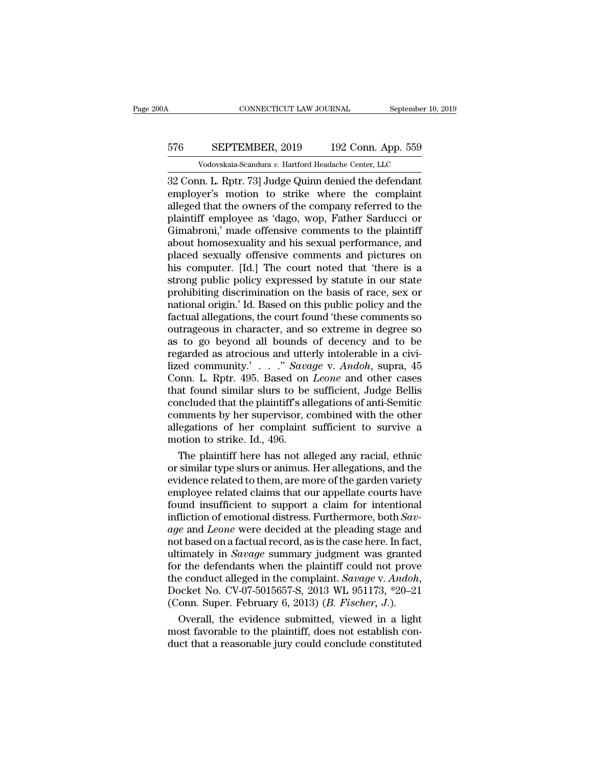# CONNECTICUT LAW JOURNAL September 10, 2019<br>576 SEPTEMBER, 2019 192 Conn. App. 559<br>Vodovskaia-Scandura v. Hartford Headache Center, LLC CONNECTICUT LAW JOURNAL September 10,<br>
SEPTEMBER, 2019 192 Conn. App. 559<br>
Vodovskaia-Scandura *v.* Hartford Headache Center, LLC<br>
In L. Rntr. 731 Judge Quinn denied the defendant

CONNECTICUT LAW JOURNAL September 10, 2019<br>
32 Conn. L. Rptr. 73] Judge Quinn denied the defendant<br>
32 Conn. L. Rptr. 73] Judge Quinn denied the defendant<br>
23 Conn. L. Rptr. 73] Judge Quinn denied the defendant<br>
21 Connect EPTEMBER, 2019 192 Conn. App. 559<br>Vodovskaia-Scandura v. Hartford Headache Center, LLC<br>32 Conn. L. Rptr. 73] Judge Quinn denied the defendant<br>employer's motion to strike where the complaint<br>alleged that the owners of the c  $\frac{\text{SEPTEMBER, 2019}}{\text{Vodovskaja-Scandura } v. \text{ Hartford Headache Center, LLC}}$ <br>  $\frac{32 \text{ Conn. L. Rptr. 73}}{\text{G20}}$  Judge Quinn denied the defendant<br>
employer's motion to strike where the complaint<br>
alleged that the owners of the company referred to the<br>
plainti 576 SEPTEMBER, 2019 192 Conn. App. 559<br>
Vodovskaia-Scandura v. Hartford Headache Center, LLC<br>
32 Conn. L. Rptr. 73] Judge Quinn denied the defendant<br>
employer's motion to strike where the complaint<br>
alleged that the owner Vodovskaia-Scandura v. Hartford Headache Center, LLC<br>32 Conn. L. Rptr. 73] Judge Quinn denied the defendant<br>employer's motion to strike where the complaint<br>alleged that the owners of the company referred to the<br>plaintiff Vodovskaia-Scandura v. Hartford Headache Center, LLC<br>
32 Conn. L. Rptr. 73] Judge Quinn denied the defendant<br>
employer's motion to strike where the complaint<br>
alleged that the owners of the company referred to the<br>
plaint 32 Conn. L. Rptr. 73] Judge Quinn denied the defendant<br>employer's motion to strike where the complaint<br>alleged that the owners of the company referred to the<br>plaintiff employee as 'dago, wop, Father Sarducci or<br>Gimabroni,' employer's motion to strike where the complaint<br>alleged that the owners of the company referred to the<br>plaintiff employee as 'dago, wop, Father Sarducci or<br>Gimabroni,' made offensive comments to the plaintiff<br>about homosex alleged that the owners of the company referred to the plaintiff employee as 'dago, wop, Father Sarducci or Gimabroni,' made offensive comments to the plaintiff about homosexuality and his sexual performance, and placed se plaintiff employee as 'dago, wop, Father Sarducci or<br>Gimabroni,' made offensive comments to the plaintiff<br>about homosexuality and his sexual performance, and<br>placed sexually offensive comments and pictures on<br>his computer. Gimabroni,' made offensive comments to the plaintiff<br>about homosexuality and his sexual performance, and<br>placed sexually offensive comments and pictures on<br>his computer. [Id.] The court noted that 'there is a<br>strong public about homosexuality and his sexual performance, and<br>placed sexually offensive comments and pictures on<br>his computer. [Id.] The court noted that 'there is a<br>strong public policy expressed by statute in our state<br>prohibiting placed sexually offensive comments and pictures on<br>his computer. [Id.] The court noted that 'there is a<br>strong public policy expressed by statute in our state<br>prohibiting discrimination on the basis of race, sex or<br>nationa his computer. [Id.] The court noted that 'there is a<br>strong public policy expressed by statute in our state<br>prohibiting discrimination on the basis of race, sex or<br>national origin.' Id. Based on this public policy and the<br> strong public policy expressed by statute in our state<br>prohibiting discrimination on the basis of race, sex or<br>national origin.' Id. Based on this public policy and the<br>factual allegations, the court found 'these comments prohibiting discrimination on the basis of race, sex or<br>national origin.' Id. Based on this public policy and the<br>factual allegations, the court found 'these comments so<br>outrageous in character, and so extreme in degree so national origin.' Id. Based on this public policy and the<br>factual allegations, the court found 'these comments so<br>outrageous in character, and so extreme in degree so<br>as to go beyond all bounds of decency and to be<br>regarde factual allegations, the court found 'these comments so<br>outrageous in character, and so extreme in degree so<br>as to go beyond all bounds of decency and to be<br>regarded as atrocious and utterly intolerable in a civi-<br>lized c outrageous in character, and so extreme in degree so<br>as to go beyond all bounds of decency and to be<br>regarded as atrocious and utterly intolerable in a civi-<br>lized community.' . . . ." Savage v. Andoh, supra, 45<br>Conn. L. R as to go beyond all bounds of decency and to be<br>regarded as atrocious and utterly intolerable in a civi-<br>lized community.' . . . ." Savage v. Andoh, supra, 45<br>Conn. L. Rptr. 495. Based on *Leone* and other cases<br>that foun regarded as atrocious and utterly intolerable in a civi-<br>lized community.' . . . ." Savage v. Andoh, supra, 45<br>Conn. L. Rptr. 495. Based on *Leone* and other cases<br>that found similar slurs to be sufficient, Judge Bellis<br>c lized community.' . . . ." Sava<br>Conn. L. Rptr. 495. Based on<br>that found similar slurs to be<br>concluded that the plaintiff's al<br>comments by her supervisor, c<br>allegations of her complaint<br>motion to strike. Id., 496.<br>The plain order in the plaintiff's allegations of anti-Semitical<br>at found similar slurs to be sufficient, Judge Bellis<br>notluded that the plaintiff's allegations of anti-Semitic<br>mments by her supervisor, combined with the other<br>egati that found similar slurs to be sufficient, Judge Bellis<br>concluded that the plaintiff's allegations of anti-Semitic<br>comments by her supervisor, combined with the other<br>allegations of her complaint sufficient to survive a<br>mo

concluded that the plaintiff's allegations of anti-Semitic<br>comments by her supervisor, combined with the other<br>allegations of her complaint sufficient to survive a<br>motion to strike. Id., 496.<br>The plaintiff here has not all comments by her supervisor, combined with the other<br>allegations of her complaint sufficient to survive a<br>motion to strike. Id., 496.<br>The plaintiff here has not alleged any racial, ethnic<br>or similar type slurs or animus. He allegations of her complaint sufficient to survive a<br>motion to strike. Id., 496.<br>The plaintiff here has not alleged any racial, ethnic<br>or similar type slurs or animus. Her allegations, and the<br>evidence related to them, ar motion to strike. Id., 496.<br>The plaintiff here has not alleged any racial, ethnic<br>or similar type slurs or animus. Her allegations, and the<br>evidence related to them, are more of the garden variety<br>employee related claims t The plaintiff here has not alleged any racial, ethnic<br>or similar type slurs or animus. Her allegations, and the<br>evidence related to them, are more of the garden variety<br>employee related claims that our appellate courts hav or similar type slurs or animus. Her allegations, and the evidence related to them, are more of the garden variety employee related claims that our appellate courts have found insufficient to support a claim for intention evidence related to them, are more of the garden variety<br>employee related claims that our appellate courts have<br>found insufficient to support a claim for intentional<br>infliction of emotional distress. Furthermore, both *Sav* employee related claims that our appellate courts have<br>found insufficient to support a claim for intentional<br>infliction of emotional distress. Furthermore, both *Sav-*<br>*age* and *Leone* were decided at the pleading stage found insufficient to support a claim for intentional<br>infliction of emotional distress. Furthermore, both *Sav-*<br>age and *Leone* were decided at the pleading stage and<br>not based on a factual record, as is the case here. In age and *Leone* were decided at the pleading stage and<br>not based on a factual record, as is the case here. In fact,<br>ultimately in *Savage* summary judgment was granted<br>for the defendants when the plaintiff could not prove<br> overall in Savage summary judgment was granted<br>the defendants when the plaintiff could not prove<br>e conduct alleged in the complaint. Savage v. Andoh,<br>ocket No. CV-07-5015657-S, 2013 WL 951173, \*20–21<br>onn. Super. February ultimately in *Savage* summary judgment was granted<br>for the defendants when the plaintiff could not prove<br>the conduct alleged in the complaint. *Savage* v. *Andoh*,<br>Docket No. CV-07-5015657-S, 2013 WL 951173, \*20–21<br>(Conn for the defendants when the plaintiff could not prove<br>the conduct alleged in the complaint. Savage v. Andoh,<br>Docket No. CV-07-5015657-S, 2013 WL 951173, \*20–21<br>(Conn. Super. February 6, 2013) (*B. Fischer*, *J.*).<br>Overall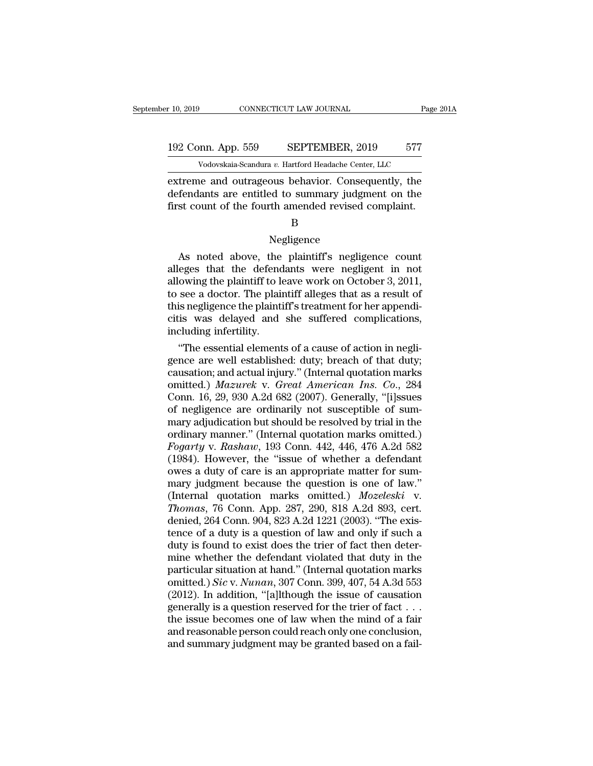# 10, 2019 CONNECTICUT LAW JOURNAL Page 201A<br>192 Conn. App. 559 SEPTEMBER, 2019 577<br>Vodovskaia-Scandura v. Hartford Headache Center, LLC Vodovskaia-Scandura *v.* Hartford Headache Center, LLC<br>Vodovskaia-Scandura *v.* Hartford Headache Center, LLC<br>De and outrageous behavior. Consequently, the

extreme and outrageous behavior. Consequently, the<br>defendants are entitled to summary judgment on the<br>defendants are entitled to summary judgment on the<br>first count of the fourth amonded revised complaint 192 Conn. App. 559 SEPTEMBER, 2019 577<br>Vodovskaia-Scandura v. Hartford Headache Center, LLC<br>extreme and outrageous behavior. Consequently, the<br>defendants are entitled to summary judgment on the<br>first count of the fourth am First count of the fourth amended revised complaint.<br>By a set of the fourth amended revised complaint.<br>First count of the fourth amended revised complaint.<br>B treme and outrageous behavior. Consequently, the<br>fendants are entitled to summary judgment on the<br>st count of the fourth amended revised complaint.<br>B<br>Negligence<br>As noted above, the plaintiff's negligence count<br>eges that th

### B

### Negligence

defendants are entitled to summary judgment on the<br>first count of the fourth amended revised complaint.<br>B<br>Negligence<br>As noted above, the plaintiff's negligence count<br>alleges that the defendants were negligent in not<br>allowi first count of the fourth amended revised complaint.<br>
B<br>
Negligence<br>
As noted above, the plaintiff's negligence count<br>
alleges that the defendants were negligent in not<br>
allowing the plaintiff to leave work on October 3, 2 B<br>
Regligence<br>
As noted above, the plaintiff's negligence count<br>
alleges that the defendants were negligent in not<br>
allowing the plaintiff to leave work on October 3, 2011,<br>
to see a doctor. The plaintiff alleges that as a Negligence<br>As noted above, the plaintiff's negligence count<br>alleges that the defendants were negligent in not<br>allowing the plaintiff to leave work on October 3, 2011,<br>to see a doctor. The plaintiff alleges that as a result Reginator As noted above, the plaintiff's negligence count<br>alleges that the defendants were negligent in not<br>allowing the plaintiff to leave work on October 3, 2011,<br>to see a doctor. The plaintiff alleges that as a result As noted above, the<br>alleges that the defend<br>allowing the plaintiff to le<br>to see a doctor. The plainti<br>this negligence the plainti<br>citis was delayed and<br>including infertility.<br>"The essential element eges that the detendants were negligent in not<br>
owing the plaintiff to leave work on October 3, 2011,<br>
see a doctor. The plaintiff alleges that as a result of<br>
is negligence the plaintiff's treatment for her appendi-<br>
is w allowing the plaintiff to leave work on October 3, 2011,<br>to see a doctor. The plaintiff alleges that as a result of<br>this negligence the plaintiff's treatment for her appendi-<br>citis was delayed and she suffered complicatio

to see a doctor. The plaintiff's treatment for her appendicitis was delayed and she suffered complications, including infertility.<br>
"The essential elements of a cause of action in negligence are well established: duty; br this negligence the plaintiff's treatment for her appendicitis was delayed and she suffered complications,<br>including infertility.<br>"The essential elements of a cause of action in negligence are well established: duty; breac citis was delayed and she suffered complications,<br>including infertility.<br>"The essential elements of a cause of action in negli-<br>gence are well established: duty; breach of that duty;<br>causation; and actual injury." (Interna including infertility.<br>
"The essential elements of a cause of action in negligence are well established: duty; breach of that duty;<br>
causation; and actual injury." (Internal quotation marks<br>
omitted.) *Mazurek v. Great Am* "The essential elements of a cause of action in negligence are well established: duty; breach of that duty; causation; and actual injury." (Internal quotation marks omitted.) *Mazurek v. Great American Ins. Co.*, 284 Conn gence are well established: duty; breach of that duty;<br>causation; and actual injury." (Internal quotation marks<br>omitted.) *Mazurek v. Great American Ins. Co.*, 284<br>Conn. 16, 29, 930 A.2d 682 (2007). Generally, "[i]ssues<br>of *Foremaire Causation; and actual injury."* (Internal quotation marks omitted.) *Mazurek v. Great American Ins. Co.*, 284 Conn. 16, 29, 930 A.2d 682 (2007). Generally, "[i]ssues of negligence are ordinarily not susceptible omitted.) *Mazurek v. Great American Ins. Co.*, 284<br>Conn. 16, 29, 930 A.2d 682 (2007). Generally, "[i]ssues<br>of negligence are ordinarily not susceptible of sum-<br>mary adjudication but should be resolved by trial in the<br>ordi Conn. 16, 29, 930 A.2d 682 (2007). Generally, "[i]ssues<br>of negligence are ordinarily not susceptible of sum-<br>mary adjudication but should be resolved by trial in the<br>ordinary manner." (Internal quotation marks omitted.)<br>of negligence are ordinarily not susceptible of sum-<br>mary adjudication but should be resolved by trial in the<br>ordinary manner." (Internal quotation marks omitted.)<br> $Fogarty$  v.  $Rashaw$ , 193 Conn. 442, 446, 476 A.2d 582<br>(1984). mary adjudication but should be resolved by trial in the ordinary manner." (Internal quotation marks omitted.) *Fogarty* v. *Rashaw*, 193 Conn. 442, 446, 476 A.2d 582 (1984). However, the "issue of whether a defendant owes ordinary manner." (Internal quotation marks omitted.)<br>*Fogarty* v. *Rashaw*, 193 Conn. 442, 446, 476 A.2d 582<br>(1984). However, the "issue of whether a defendant<br>owes a duty of care is an appropriate matter for sum-<br>mary ju Fogarty v. Rashaw, 193 Conn. 442, 446, 476 A.2d 582 (1984). However, the "issue of whether a defendant owes a duty of care is an appropriate matter for summary judgment because the question is one of law." (Internal quotat (1984). However, the "issue of whether a defendant<br>owes a duty of care is an appropriate matter for sum-<br>mary judgment because the question is one of law."<br>(Internal quotation marks omitted.) *Mozeleski* v.<br>*Thomas*, 76 C owes a duty of care is an appropriate matter for summary judgment because the question is one of law."<br>(Internal quotation marks omitted.) *Mozeleski* v.<br>Thomas, 76 Conn. App. 287, 290, 818 A.2d 893, cert.<br>denied, 264 Conn mary judgment because the question is one of law."<br>(Internal quotation marks omitted.) *Mozeleski* v.<br>*Thomas*, 76 Conn. App. 287, 290, 818 A.2d 893, cert.<br>denied, 264 Conn. 904, 823 A.2d 1221 (2003). "The exis-<br>tence of (Internal quotation marks omitted.) *Mozeleski* v.<br> *Thomas*, 76 Conn. App. 287, 290, 818 A.2d 893, cert.<br>
denied, 264 Conn. 904, 823 A.2d 1221 (2003). "The exis-<br>
tence of a duty is a question of law and only if such a<br> Thomas, 76 Conn. App. 287, 290, 818 A.2d 893, cert.<br>denied, 264 Conn. 904, 823 A.2d 1221 (2003). "The exis-<br>tence of a duty is a question of law and only if such a<br>duty is found to exist does the trier of fact then deter-<br> denied, 264 Conn. 904, 823 A.2d 1221 (2003). "The existence of a duty is a question of law and only if such a<br>duty is found to exist does the trier of fact then deter-<br>mine whether the defendant violated that duty in the<br> tence of a duty is a question of law and only if such a<br>duty is found to exist does the trier of fact then deter-<br>mine whether the defendant violated that duty in the<br>particular situation at hand." (Internal quotation mar duty is found to exist does the trier of fact then deter-<br>mine whether the defendant violated that duty in the<br>particular situation at hand." (Internal quotation marks<br>omitted.) *Sic v. Nunan*, 307 Conn. 399, 407, 54 A.3d mine whether the defendant violated that duty in the particular situation at hand." (Internal quotation marks omitted.) *Sic v. Nunan*, 307 Conn. 399, 407, 54 A.3d 553 (2012). In addition, "[a]lthough the issue of causati particular situation at hand." (Internal quotation marks<br>omitted.) *Sic v. Nunan*, 307 Conn. 399, 407, 54 A.3d 553<br>(2012). In addition, "[a]lthough the issue of causation<br>generally is a question reserved for the trier of f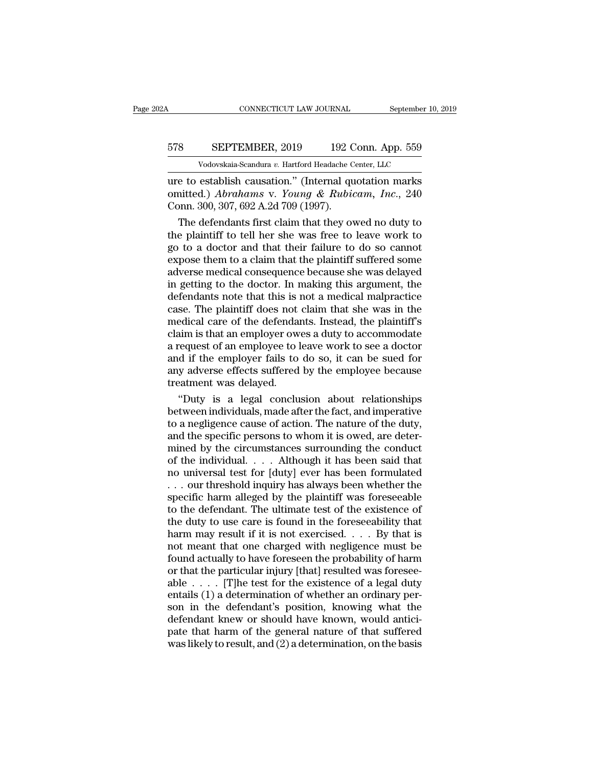# CONNECTICUT LAW JOURNAL September 10, 2019<br>578 SEPTEMBER, 2019 192 Conn. App. 559<br>Vodovskaia-Scandura v. Hartford Headache Center, LLC CONNECTICUT LAW JOURNAL September 10,<br>
SEPTEMBER, 2019 192 Conn. App. 559<br>
Vodovskaia-Scandura *v.* Hartford Headache Center, LLC<br>
establish causation " (Internal quotation marks

CONNECTICUT LAW JOURNAL September 10, 2019<br>
SEPTEMBER, 2019 192 Conn. App. 559<br>
Vodovskaia-Scandura v. Hartford Headache Center, LLC<br>
ure to establish causation.'' (Internal quotation marks<br>
omitted.) Abrahams v. Young & R SEPTEMBER, 2019 192 Conn. App. 559<br>Vodovskaia-Scandura v. Hartford Headache Center, LLC<br>ure to establish causation." (Internal quotation marks<br>omitted.) *Abrahams* v. *Young & Rubicam, Inc.*, 240<br>Conn. 300, 307, 692 A.2d 7 SEPTEMBER, 2019 192 C<br>
Vodovskaia-Scandura v. Hartford Headache C<br>
ure to establish causation." (Internal qu<br>
omitted.) *Abrahams* v. *Young & Rubic*<br>
Conn. 300, 307, 692 A.2d 709 (1997).<br>
The defendants first claim that t SEPTEMBER, 2019 192 Conn. App. 559<br>
Vodovskaia-Scandura v. Hartford Headache Center, LLC<br>
e to establish causation." (Internal quotation marks<br>
nitted.) *Abrahams* v. *Young & Rubicam*, *Inc.*, 240<br>
point. 300, 307, 692 A

Vodovskaia-Scandura v. Hartford Headache Center, LLC<br>
ure to establish causation." (Internal quotation marks<br>
omitted.) Abrahams v. Young & Rubicam, Inc., 240<br>
Conn. 300, 307, 692 A.2d 709 (1997).<br>
The defendants first cl Following the matrix change of matrix  $\overline{O}$  cases of the due to establish causation." (Internal quotation marks omitted.) *Abrahams* v. *Young & Rubicam, Inc.*, 240 Conn. 300, 307, 692 A.2d 709 (1997).<br>The defendants f ure to establish causation." (Internal quotation marks<br>omitted.) *Abrahams* v. *Young & Rubicam*, *Inc.*, 240<br>Conn. 300, 307, 692 A.2d 709 (1997).<br>The defendants first claim that they owed no duty to<br>the plaintiff to tell omitted.) Abrahams v. Young & Rubicam, Inc., 240<br>Conn. 300, 307, 692 A.2d 709 (1997).<br>The defendants first claim that they owed no duty to<br>the plaintiff to tell her she was free to leave work to<br>go to a doctor and that th Conn. 300, 307, 692 A.2d 709 (1997).<br>
The defendants first claim that they owed no duty to<br>
the plaintiff to tell her she was free to leave work to<br>
go to a doctor and that their failure to do so cannot<br>
expose them to a The defendants first claim that they owed no duty to<br>the plaintiff to tell her she was free to leave work to<br>go to a doctor and that their failure to do so cannot<br>expose them to a claim that the plaintiff suffered some<br>adv the plaintiff to tell her she was free to leave work to<br>go to a doctor and that their failure to do so cannot<br>expose them to a claim that the plaintiff suffered some<br>adverse medical consequence because she was delayed<br>in g go to a doctor and that their failure to do so cannot<br>expose them to a claim that the plaintiff suffered some<br>adverse medical consequence because she was delayed<br>in getting to the doctor. In making this argument, the<br>defen expose them to a claim that the plaintiff suffered some<br>adverse medical consequence because she was delayed<br>in getting to the doctor. In making this argument, the<br>defendants note that this is not a medical malpractice<br>case adverse medical consequence because she was delayed<br>in getting to the doctor. In making this argument, the<br>defendants note that this is not a medical malpractice<br>case. The plaintiff does not claim that she was in the<br>medic in getting to the doctor. In making this argument, the defendants note that this is not a medical malpractice case. The plaintiff does not claim that she was in the medical care of the defendants. Instead, the plaintiff's defendants note that this is not a medical malpractice<br>case. The plaintiff does not claim that she was in the<br>medical care of the defendants. Instead, the plaintiff's<br>claim is that an employer owes a duty to accommodate<br>a case. The plaintiff does not<br>medical care of the defendar<br>claim is that an employer ow<br>a request of an employee to l<br>and if the employer fails to<br>any adverse effects suffered<br>treatment was delayed.<br>"Duty is a legal conclu edical care of the defendants. Instead, the plaintiff's<br>
aim is that an employer owes a duty to accommodate<br>
request of an employee to leave work to see a doctor<br>
d if the employer fails to do so, it can be sued for<br>
y adv claim is that an employer owes a duty to accommodate<br>a request of an employee to leave work to see a doctor<br>and if the employer fails to do so, it can be sued for<br>any adverse effects suffered by the employee because<br>treatm

a request of an employee to leave work to see a doctor<br>and if the employer fails to do so, it can be sued for<br>any adverse effects suffered by the employee because<br>treatment was delayed.<br>"Duty is a legal conclusion about re and if the employer fails to do so, it can be sued for<br>any adverse effects suffered by the employee because<br>treatment was delayed.<br>"Duty is a legal conclusion about relationships<br>between individuals, made after the fact, a any adverse effects suffered by the employee because<br>treatment was delayed.<br>"Duty is a legal conclusion about relationships<br>between individuals, made after the fact, and imperative<br>to a negligence cause of action. The natu treatment was delayed.<br>
"Duty is a legal conclusion about relationships<br>
between individuals, made after the fact, and imperative<br>
to a negligence cause of action. The nature of the duty,<br>
and the specific persons to whom "Duty is a legal conclusion about relationships<br>between individuals, made after the fact, and imperative<br>to a negligence cause of action. The nature of the duty,<br>and the specific persons to whom it is owed, are deter-<br>min between individuals, made after the fact, and imperative<br>to a negligence cause of action. The nature of the duty,<br>and the specific persons to whom it is owed, are deter-<br>mined by the circumstances surrounding the conduct<br>o to a negligence cause of action. The nature of the duty,<br>and the specific persons to whom it is owed, are deter-<br>mined by the circumstances surrounding the conduct<br>of the individual. . . . . Although it has been said that and the specific persons to whom it is owed, are deter-<br>mined by the circumstances surrounding the conduct<br>of the individual. . . . Although it has been said that<br>no universal test for [duty] ever has been formulated<br> $\dots$ mined by the circumstances surrounding the conduct<br>of the individual. . . . Although it has been said that<br>no universal test for [duty] ever has been formulated<br>. . . our threshold inquiry has always been whether the<br>spec of the individual. . . . Although it has been said that<br>no universal test for [duty] ever has been formulated<br>. . . our threshold inquiry has always been whether the<br>specific harm alleged by the plaintiff was foreseeable<br> no universal test for [duty] ever has been formulated<br>
... our threshold inquiry has always been whether the<br>
specific harm alleged by the plaintiff was foreseeable<br>
to the defendant. The ultimate test of the existence of Four threshold inquiry has always been whether the<br>specific harm alleged by the plaintiff was foreseeable<br>to the defendant. The ultimate test of the existence of<br>the duty to use care is found in the foreseeability that<br>ha specific harm alleged by the plaintiff was foreseeable<br>to the defendant. The ultimate test of the existence of<br>the duty to use care is found in the foreseeability that<br>harm may result if it is not exercised.  $\ldots$  By that to the defendant. The ultimate test of the existence of<br>the duty to use care is found in the foreseeability that<br>harm may result if it is not exercised. . . . By that is<br>not meant that one charged with negligence must be<br> the duty to use care is found in the foreseeability that<br>harm may result if it is not exercised. . . . By that is<br>not meant that one charged with negligence must be<br>found actually to have foreseen the probability of harm<br> harm may result if it is not exercised. . . . By that is<br>not meant that one charged with negligence must be<br>found actually to have foreseen the probability of harm<br>or that the particular injury [that] resulted was foresee not meant that one charged with negligence must be<br>found actually to have foreseen the probability of harm<br>or that the particular injury [that] resulted was foresee-<br>able  $\ldots$ . [T]he test for the existence of a legal dut found actually to have foreseen the probability of harm<br>or that the particular injury [that] resulted was foresee-<br>able  $\ldots$ . [T]he test for the existence of a legal duty<br>entails (1) a determination of whether an ordinar or that the particular injury [that] resulted was foreseeable  $\ldots$ . [T]he test for the existence of a legal duty entails (1) a determination of whether an ordinary person in the defendant's position, knowing what the def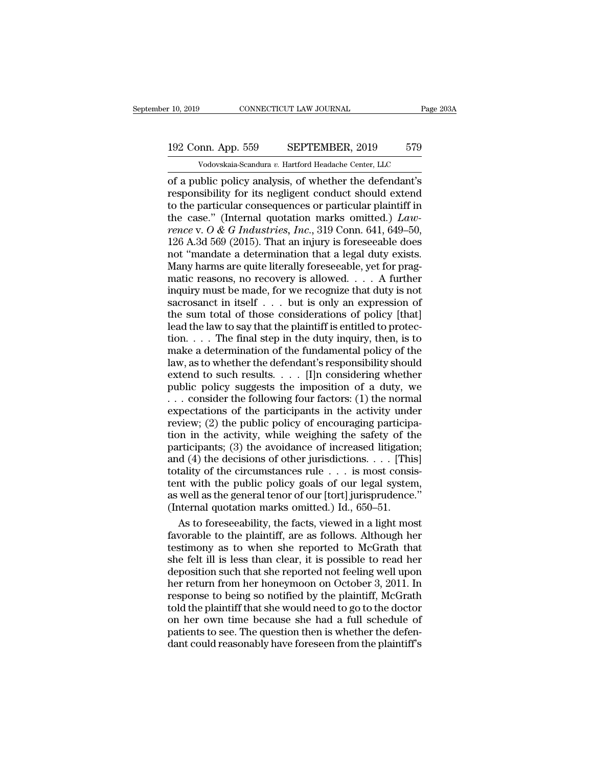# 10, 2019 CONNECTICUT LAW JOURNAL Page 203A<br>192 Conn. App. 559 SEPTEMBER, 2019 579<br>Vodovskaia-Scandura v. Hartford Headache Center, LLC Vodovskaia-Scandura *v.* Hartford Headache Center, LLC<br>Vodovskaia-Scandura *v.* Hartford Headache Center, LLC<br>Vodovskaia-Scandura *v.* Hartford Headache Center, LLC<br>Iblic policy analysis, of whether the defendant's

r 10, 2019 CONNECTICUT LAW JOURNAL Page 203A<br>
192 Conn. App. 559 SEPTEMBER, 2019 579<br>
Vodovskaia-Scandura v. Hartford Headache Center, LLC<br>
of a public policy analysis, of whether the defendant's<br>
responsibility for its ne 192 Conn. App. 559 SEPTEMBER, 2019 579<br>Vodovskaia-Scandura v. Hartford Headache Center, LLC<br>of a public policy analysis, of whether the defendant's<br>responsibility for its negligent conduct should extend<br>to the particular c 192 Conn. App. 559 SEPTEMBER, 2019 579<br>
Vodovskaia-Scandura v. Hartford Headache Center, LLC<br>
of a public policy analysis, of whether the defendant's<br>
responsibility for its negligent conduct should extend<br>
to the particu 192 Conn. App. 559 SEPTEMBER, 2019 579<br>
Vodovskaia-Scandura v. Hartford Headache Center, LLC<br>
of a public policy analysis, of whether the defendant's<br>
responsibility for its negligent conduct should extend<br>
to the particul *vodovskaia-Scandura v. Hartford Headache Center, LLC*<br>
of a public policy analysis, of whether the defendant's<br>
responsibility for its negligent conduct should extend<br>
to the particular consequences or particular plaintif Vodovskaia-Scandura v. Hartford Headache Center, LLC<br>
of a public policy analysis, of whether the defendant's<br>
responsibility for its negligent conduct should extend<br>
to the particular consequences or particular plaintiff of a public policy analysis, of whether the defendant's<br>responsibility for its negligent conduct should extend<br>to the particular consequences or particular plaintiff in<br>the case." (Internal quotation marks omitted.)  $Law-$ <br> responsibility for its negligent conduct should extend<br>to the particular consequences or particular plaintiff in<br>the case." (Internal quotation marks omitted.) Law-<br>rence v. O & G Industries, Inc., 319 Conn. 641, 649–50,<br> to the particular consequences or particular plaintiff in<br>the case." (Internal quotation marks omitted.)  $Law$ <br>rence v.  $O & G$  Industries, Inc., 319 Conn. 641, 649–50,<br>126 A.3d 569 (2015). That an injury is foreseeable does<br> the case." (Internal quotation marks omitted.) *Lawrence* v.  $O$  &  $G$  *Industries*, *Inc.*, 319 Conn. 641, 649–50, 126 A.3d 569 (2015). That an injury is foreseeable does not "mandate a determination that a legal duty ex rence v. O  $\&$  G Industries, Inc., 319 Conn. 641, 649–50, 126 A.3d 569 (2015). That an injury is foreseeable does not "mandate a determination that a legal duty exists. Many harms are quite literally foreseeable, yet for 126 A.3d 569 (2015). That an injury is foreseeable does<br>not "mandate a determination that a legal duty exists.<br>Many harms are quite literally foreseeable, yet for prag-<br>matic reasons, no recovery is allowed.  $\ldots$  A furth not "mandate a determination that a legal duty exists. Many harms are quite literally foreseeable, yet for pragmatic reasons, no recovery is allowed. . . . A further inquiry must be made, for we recognize that duty is not Many harms are quite literally foreseeable, yet for pragmatic reasons, no recovery is allowed. . . . A further inquiry must be made, for we recognize that duty is not sacrosanct in itself  $\ldots$  but is only an expression o matic reasons, no recovery is allowed.  $\ldots$  A further inquiry must be made, for we recognize that duty is not sacrosanct in itself  $\ldots$  but is only an expression of the sum total of those considerations of policy [that] inquiry must be made, for we recognize that duty is not sacrosanct in itself . . . but is only an expression of the sum total of those considerations of policy [that] lead the law to say that the plaintiff is entitled to sacrosanct in itself . . . but is only an expression of<br>the sum total of those considerations of policy [that]<br>lead the law to say that the plaintiff is entitled to protec-<br>tion. . . . The final step in the duty inquiry, the sum total of those considerations of policy [that]<br>lead the law to say that the plaintiff is entitled to protec-<br>tion. . . . The final step in the duty inquiry, then, is to<br>make a determination of the fundamental poli lead the law to say that the plaintiff is entitled to protection. . . . The final step in the duty inquiry, then, is to make a determination of the fundamental policy of the law, as to whether the defendant's responsibili tion. . . . The final step in the duty inquiry, then, is to make a determination of the fundamental policy of the law, as to whether the defendant's responsibility should extend to such results. . . . [I]n considering whe make a determination of the fundamental policy of the<br>law, as to whether the defendant's responsibility should<br>extend to such results. . . . [I]n considering whether<br>public policy suggests the imposition of a duty, we<br> $\dots$ law, as to whether the defendant's responsibility should<br>extend to such results. . . . [I]n considering whether<br>public policy suggests the imposition of a duty, we<br> $\ldots$  consider the following four factors: (1) the normal extend to such results. . . . [I]n considering whether<br>public policy suggests the imposition of a duty, we<br>... consider the following four factors: (1) the normal<br>expectations of the participants in the activity under<br>rev public policy suggests the imposition of a duty, we<br>
... consider the following four factors: (1) the normal<br>
expectations of the participants in the activity under<br>
review; (2) the public policy of encouraging participa-... consider the following four factors: (1) the normal expectations of the participants in the activity under review; (2) the public policy of encouraging participation in the activity, while weighing the safety of the p expectations of the participants in the activity under<br>review; (2) the public policy of encouraging participa-<br>tion in the activity, while weighing the safety of the<br>participants; (3) the avoidance of increased litigation review; (2) the public policy of encouraging participation in the activity, while weighing the safety of the participants; (3) the avoidance of increased litigation; and (4) the decisions of other jurisdictions. . . . [Th tion in the activity, while weighing the safety of the participants; (3) the avoidance of increased litigation and (4) the decisions of other jurisdictions. . . . [This totality of the circumstances rule . . . is most con rticipants; (3) the avoidance of increased litigation;<br>
d (4) the decisions of other jurisdictions. . . . [This]<br>
tality of the circumstances rule . . . is most consis-<br>
int with the public policy goals of our legal syste and (4) the decisions of other jurisdictions. . . . [This]<br>totality of the circumstances rule . . . is most consis-<br>tent with the public policy goals of our legal system,<br>as well as the general tenor of our [tort] jurispr

totality of the circumstances rule  $\ldots$  is most consistent with the public policy goals of our legal system,<br>as well as the general tenor of our [tort] jurisprudence."<br>(Internal quotation marks omitted.) Id., 650–51.<br>As tent with the public policy goals of our legal system,<br>as well as the general tenor of our [tort] jurisprudence."<br>(Internal quotation marks omitted.) Id., 650–51.<br>As to foreseeability, the facts, viewed in a light most<br>fav as well as the general tenor of our [tort] jurisprudence."<br>(Internal quotation marks omitted.) Id., 650–51.<br>As to foreseeability, the facts, viewed in a light most<br>favorable to the plaintiff, are as follows. Although her<br>t (Internal quotation marks omitted.) Id., 650–51.<br>As to foreseeability, the facts, viewed in a light most<br>favorable to the plaintiff, are as follows. Although her<br>testimony as to when she reported to McGrath that<br>she felt i As to foreseeability, the facts, viewed in a light most<br>favorable to the plaintiff, are as follows. Although her<br>testimony as to when she reported to McGrath that<br>she felt ill is less than clear, it is possible to read her favorable to the plaintiff, are as follows. Although her<br>testimony as to when she reported to McGrath that<br>she felt ill is less than clear, it is possible to read her<br>deposition such that she reported not feeling well upon testimony as to when she reported to McGrath that<br>she felt ill is less than clear, it is possible to read her<br>deposition such that she reported not feeling well upon<br>her return from her honeymoon on October 3, 2011. In<br>res she felt ill is less than clear, it is possible to read her deposition such that she reported not feeling well upon her return from her honeymoon on October 3, 2011. In response to being so notified by the plaintiff, McGra deposition such that she reported not feeling well upon<br>her return from her honeymoon on October 3, 2011. In<br>response to being so notified by the plaintiff, McGrath<br>told the plaintiff that she would need to go to the docto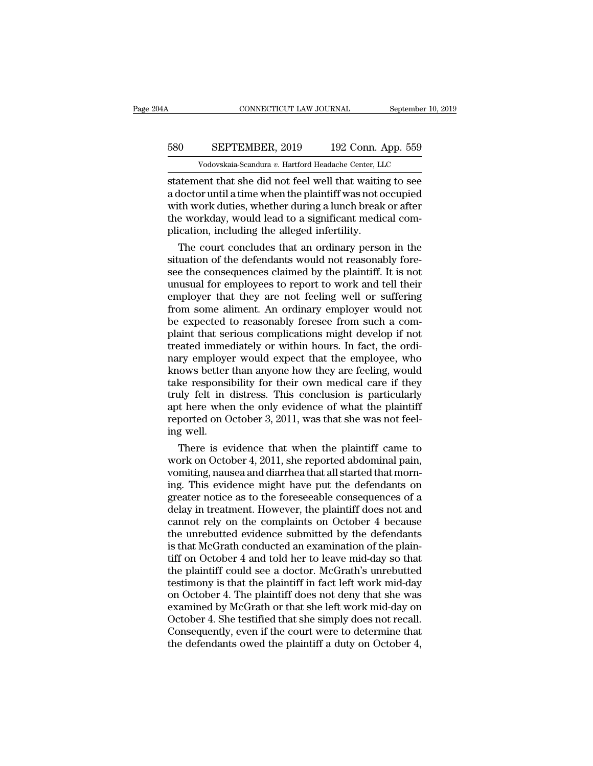# CONNECTICUT LAW JOURNAL September 10, 2019<br>580 SEPTEMBER, 2019 192 Conn. App. 559<br>Vodovskaia-Scandura v. Hartford Headache Center, LLC CONNECTICUT LAW JOURNAL September 10,<br>
SEPTEMBER, 2019 192 Conn. App. 559<br>
Vodovskaia-Scandura *v.* Hartford Headache Center, LLC<br>
ent that she did not feel well that waiting to see

CONNECTICUT LAW JOURNAL September 10, 2019<br>
Statement SEPTEMBER, 2019 192 Conn. App. 559<br>
Vodovskaia-Scandura v. Hartford Headache Center, LLC<br>
Statement that she did not feel well that waiting to see<br>
a doctor until a tim 580 SEPTEMBER, 2019 192 Conn. App. 559<br>Vodovskaia-Scandura v. Hartford Headache Center, LLC<br>statement that she did not feel well that waiting to see<br>a doctor until a time when the plaintiff was not occupied<br>with work dutie  $\frac{\text{SEPTEMBER, 2019}}{\text{Vodovskaja-Scandura } v. \text{ Hartford Headache Center, LLC}}$ <br>
statement that she did not feel well that waiting to see<br>
a doctor until a time when the plaintiff was not occupied<br>
with work duties, whether during a lunch break or after<br>
t 580 SEPTEMBER, 2019 192 Conn. App. 559<br>Vodovskaia-Scandura v. Hartford Headache Center, LLC<br>statement that she did not feel well that waiting to see<br>a doctor until a time when the plaintiff was not occupied<br>with work dutie Mathematics of the alleged infertility.<br>
The alleged including the alleged inferties and doctor until a time when the plaintiff was not of with work duties, whether during a lunch break the workday, would lead to a signifi The court concludes that are of the plaintiff was not occupied<br>the work duties, whether during a lunch break or after<br>e workday, would lead to a significant medical com-<br>ication, including the alleged infertility.<br>The cour statement that she did not feel well that waiting to see<br>a doctor until a time when the plaintiff was not occupied<br>with work duties, whether during a lunch break or after<br>the workday, would lead to a significant medical co

a doctor until a time when the plaintiff was not occupied<br>with work duties, whether during a lunch break or after<br>the workday, would lead to a significant medical com-<br>plication, including the alleged infertility.<br>The cour with work duties, whether during a lunch break or after<br>the workday, would lead to a significant medical com-<br>plication, including the alleged infertility.<br>The court concludes that an ordinary person in the<br>situation of th the workday, would lead to a significant medical complication, including the alleged infertility.<br>The court concludes that an ordinary person in the situation of the defendants would not reasonably fore-<br>see the consequenc plication, including the alleged infertility.<br>The court concludes that an ordinary person in the<br>situation of the defendants would not reasonably fore-<br>see the consequences claimed by the plaintiff. It is not<br>unusual for e The court concludes that an ordinary person in the situation of the defendants would not reasonably fore-<br>see the consequences claimed by the plaintiff. It is not unusual for employees to report to work and tell their<br>empl situation of the defendants would not reasonably fore-<br>see the consequences claimed by the plaintiff. It is not<br>unusual for employees to report to work and tell their<br>employer that they are not feeling well or suffering<br>fr see the consequences claimed by the plaintiff. It is not unusual for employees to report to work and tell their<br>employer that they are not feeling well or suffering<br>from some aliment. An ordinary employer would not<br>be expe unusual for employees to report to work and tell their<br>employer that they are not feeling well or suffering<br>from some aliment. An ordinary employer would not<br>be expected to reasonably foresee from such a com-<br>plaint that s employer that they are not feeling well or suffering<br>from some aliment. An ordinary employer would not<br>be expected to reasonably foresee from such a com-<br>plaint that serious complications might develop if not<br>treated immed from some aliment. An ordinary employer would not<br>be expected to reasonably foresee from such a com-<br>plaint that serious complications might develop if not<br>treated immediately or within hours. In fact, the ordi-<br>nary emplo be expected to reasonably foresee from such a complaint that serious complications might develop if not<br>treated immediately or within hours. In fact, the ordi-<br>nary employer would expect that the employee, who<br>knows better plaint that serious complications might develop if not<br>treated immediately or within hours. In fact, the ordi-<br>nary employer would expect that the employee, who<br>knows better than anyone how they are feeling, would<br>take res reated immediately or within hours. In fact, the ordinary employer would expect that the employee, who knows better than anyone how they are feeling, would take responsibility for their own medical care if they truly felt mary employe<br>knows better<br>take responsi<br>truly felt in e<br>apt here when<br>reported on O<br>ing well.<br>There is ev hows better than anyone how they are feeling, would<br>ke responsibility for their own medical care if they<br>ly felt in distress. This conclusion is particularly<br>t here when the only evidence of what the plaintiff<br>ported on Oc take responsibility for their own medical care if they<br>truly felt in distress. This conclusion is particularly<br>apt here when the only evidence of what the plaintiff<br>reported on October 3, 2011, was that she was not feel-<br>i

truly felt in distress. This conclusion is particularly<br>apt here when the only evidence of what the plaintiff<br>reported on October 3, 2011, was that she was not feel-<br>ing well.<br>There is evidence that when the plaintiff came apt here when the only evidence of what the plaintiff<br>reported on October 3, 2011, was that she was not feel-<br>ing well.<br>There is evidence that when the plaintiff came to<br>work on October 4, 2011, she reported abdominal pain reported on October 3, 2011, was that she was not feel-<br>ing well.<br>There is evidence that when the plaintiff came to<br>work on October 4, 2011, she reported abdominal pain,<br>vomiting, nausea and diarrhea that all started that ing well.<br>
There is evidence that when the plaintiff came to<br>
work on October 4, 2011, she reported abdominal pain,<br>
vomiting, nausea and diarrhea that all started that morn-<br>
ing. This evidence might have put the defendan There is evidence that when the plaintiff came to<br>work on October 4, 2011, she reported abdominal pain,<br>vomiting, nausea and diarrhea that all started that morn-<br>ing. This evidence might have put the defendants on<br>greater work on October 4, 2011, she reported abdominal pain,<br>vomiting, nausea and diarrhea that all started that morning. This evidence might have put the defendants on<br>greater notice as to the foreseeable consequences of a<br>delay vomiting, nausea and diarrhea that all started that morning. This evidence might have put the defendants on greater notice as to the foreseeable consequences of a delay in treatment. However, the plaintiff does not and can ing. This evidence might have put the defendants on<br>greater notice as to the foreseeable consequences of a<br>delay in treatment. However, the plaintiff does not and<br>cannot rely on the complaints on October 4 because<br>the unre greater notice as to the foreseeable consequences of a<br>delay in treatment. However, the plaintiff does not and<br>cannot rely on the complaints on October 4 because<br>the unrebutted evidence submitted by the defendants<br>is that delay in treatment. However, the plaintiff does not and<br>cannot rely on the complaints on October 4 because<br>the unrebutted evidence submitted by the defendants<br>is that McGrath conducted an examination of the plain-<br>tiff on cannot rely on the complaints on October 4 because<br>the unrebutted evidence submitted by the defendants<br>is that McGrath conducted an examination of the plain-<br>tiff on October 4 and told her to leave mid-day so that<br>the plai the unrebutted evidence submitted by the defendants<br>is that McGrath conducted an examination of the plain-<br>tiff on October 4 and told her to leave mid-day so that<br>the plaintiff could see a doctor. McGrath's unrebutted<br>test is that McGrath conducted an examination of the plaintiff on October 4 and told her to leave mid-day so that<br>the plaintiff could see a doctor. McGrath's unrebutted<br>testimony is that the plaintiff in fact left work mid-day<br> tiff on October 4 and told her to leave mid-day so that<br>the plaintiff could see a doctor. McGrath's unrebutted<br>testimony is that the plaintiff in fact left work mid-day<br>on October 4. The plaintiff does not deny that she wa the plaintiff could see a doctor. McGrath's unrebutted<br>testimony is that the plaintiff in fact left work mid-day<br>on October 4. The plaintiff does not deny that she was<br>examined by McGrath or that she left work mid-day on<br>O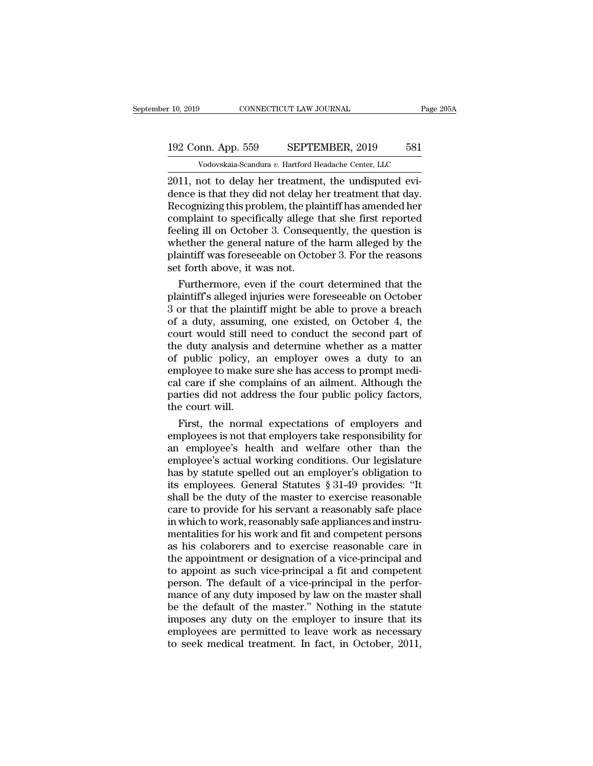# 10, 2019 CONNECTICUT LAW JOURNAL Page 205A<br>192 Conn. App. 559 SEPTEMBER, 2019 581<br>Vodovskaia-Scandura v. Hartford Headache Center, LLC Vodovskaia-Scandura *v.* Hartford Headache Center, LLC<br>Vodovskaia-Scandura *v.* Hartford Headache Center, LLC<br>Not to delay her treatment, the undisputed evi-

2019 CONNECTICUT LAW JOURNAL<br>
2011, not to delay her treatment, the undisputed evi-<br>
2011, not to delay her treatment, the undisputed evi-<br>
2011, not to delay her treatment, the undisputed evi-<br>
2012, proceduring this prob 192 Conn. App. 559 SEPTEMBER, 2019 581<br>Vodovskaia-Scandura v. Hartford Headache Center, LLC<br>2011, not to delay her treatment, the undisputed evi-<br>dence is that they did not delay her treatment that day.<br>Recognizing this pr 192 Conn. App. 559 SEPTEMBER, 2019 581<br>
Vodovskaia-Scandura v. Hartford Headache Center, LLC<br>
2011, not to delay her treatment, the undisputed evi-<br>
dence is that they did not delay her treatment that day.<br>
Recognizing th 192 Conn. App. 559 SEPTEMBER, 2019 581<br>Vodovskaia-Scandura v. Hartford Headache Center, LLC<br>2011, not to delay her treatment, the undisputed evi-<br>dence is that they did not delay her treatment that day.<br>Recognizing this pr For Collar Hyp. 338 EXP HEMERR, 2018 EST<br>
Vodovskaia-Scandura v. Hartford Headache Center, LLC<br>
2011, not to delay her treatment, the undisputed evi-<br>
dence is that they did not delay her treatment that day.<br>
Recognizing Vodovskaia-Scandura v. Hartford Headache Center, LLC<br>2011, not to delay her treatment, the undisputed evi-<br>dence is that they did not delay her treatment that day.<br>Recognizing this problem, the plaintiff has amended her<br>c 2011, not to delay her treatment, the undisputed evi-<br>dence is that they did not delay her treatment that day.<br>Recognizing this problem, the plaintiff has amended her<br>complaint to specifically allege that she first reporte dence is that they did not delay **Recognizing** this problem, the pla<br>complaint to specifically allege if<br>eeling ill on October 3. Conseq<br>whether the general nature of th<br>plaintiff was foreseeable on Octo<br>set forth above, i ecognizing this problem, the plaintiff has amended her<br>mplaint to specifically allege that she first reported<br>eling ill on October 3. Consequently, the question is<br>nether the general nature of the harm alleged by the<br>ainti complaint to specifically allege that she first reported<br>feeling ill on October 3. Consequently, the question is<br>whether the general nature of the harm alleged by the<br>plaintiff was foreseeable on October 3. For the reasons

Feeling ill on October 3. Consequently, the question is<br>whether the general nature of the harm alleged by the<br>plaintiff was foreseeable on October 3. For the reasons<br>set forth above, it was not.<br>Furthermore, even if the co whether the general nature of the harm alleged by the<br>plaintiff was foreseeable on October 3. For the reasons<br>set forth above, it was not.<br>Furthermore, even if the court determined that the<br>plaintiff's alleged injuries wer plaintiff was foreseeable on October 3. For the reasons<br>set forth above, it was not.<br>Furthermore, even if the court determined that the<br>plaintiff's alleged injuries were foreseeable on October<br>3 or that the plaintiff might set forth above, it was not.<br>Furthermore, even if the court determined that the<br>plaintiff's alleged injuries were foreseeable on October<br>3 or that the plaintiff might be able to prove a breach<br>of a duty, assuming, one exis Furthermore, even if the court determined that the plaintiff's alleged injuries were foreseeable on October 3 or that the plaintiff might be able to prove a breach of a duty, assuming, one existed, on October 4, the court plaintiff's alleged injuries were foreseeable on October 3 or that the plaintiff might be able to prove a breach of a duty, assuming, one existed, on October 4, the court would still need to conduct the second part of the 3 or that the plaintiff might be able to prove a breach<br>of a duty, assuming, one existed, on October 4, the<br>court would still need to conduct the second part of<br>the duty analysis and determine whether as a matter<br>of public of a duty, assuming, one existed, on October 4, the court would still need to conduct the second part of the duty analysis and determine whether as a matter of public policy, an employer owes a duty to an employee to make court would still net<br>the duty analysis a<br>of public policy, a<br>employee to make s<br>cal care if she com<br>parties did not add<br>the court will.<br>First, the normal e duty analysis and determine whether as a matter<br>public policy, an employer owes a duty to an<br>aployee to make sure she has access to prompt medi-<br>l care if she complains of an ailment. Although the<br>rties did not address t of public policy, an employer owes a duty to an<br>employee to make sure she has access to prompt medi-<br>cal care if she complains of an ailment. Although the<br>parties did not address the four public policy factors,<br>the court w

employee to make sure she has access to prompt medical care if she complains of an ailment. Although the<br>parties did not address the four public policy factors,<br>the court will.<br>First, the normal expectations of employers a cal care if she complains of an ailment. Although the<br>parties did not address the four public policy factors,<br>the court will.<br>First, the normal expectations of employers and<br>employees is not that employers take responsibil parties did not address the four public policy factors,<br>the court will.<br>First, the normal expectations of employers and<br>employees is not that employers take responsibility for<br>an employee's health and welfare other than th the court will.<br>First, the normal expectations of employers and<br>employees is not that employers take responsibility for<br>an employee's health and welfare other than the<br>employee's actual working conditions. Our legislature<br> First, the normal expectations of employers and<br>employees is not that employers take responsibility for<br>an employee's health and welfare other than the<br>employee's actual working conditions. Our legislature<br>has by statute employees is not that employers take responsibility for<br>an employee's health and welfare other than the<br>employee's actual working conditions. Our legislature<br>has by statute spelled out an employer's obligation to<br>its emplo an employee's health and welfare other than the<br>employee's actual working conditions. Our legislature<br>has by statute spelled out an employer's obligation to<br>its employees. General Statutes  $\S 31-49$  provides: "It<br>shall be employee's actual working conditions. Our legislature<br>has by statute spelled out an employer's obligation to<br>its employees. General Statutes § 31-49 provides: "It<br>shall be the duty of the master to exercise reasonable<br>care has by statute spelled out an employer's obligation to<br>its employees. General Statutes § 31-49 provides: "It<br>shall be the duty of the master to exercise reasonable<br>care to provide for his servant a reasonably safe place<br>in its employees. General Statutes § 31-49 provides: "It<br>shall be the duty of the master to exercise reasonable<br>care to provide for his servant a reasonably safe place<br>in which to work, reasonably safe appliances and instru-<br> shall be the duty of the master to exercise reasonable<br>care to provide for his servant a reasonably safe place<br>in which to work, reasonably safe appliances and instru-<br>mentalities for his work and fit and competent persons care to provide for his servant a reasonably safe place<br>in which to work, reasonably safe appliances and instru-<br>mentalities for his work and fit and competent persons<br>as his colaborers and to exercise reasonable care in<br>t in which to work, reasonably safe appliances and instrumentalities for his work and fit and competent persons<br>as his colaborers and to exercise reasonable care in<br>the appointment or designation of a vice-principal and<br>to a mentalities for his work and fit and competent persons<br>as his colaborers and to exercise reasonable care in<br>the appointment or designation of a vice-principal and<br>to appoint as such vice-principal a fit and competent<br>perso as his colaborers and to exercise reasonable care in<br>the appointment or designation of a vice-principal and<br>to appoint as such vice-principal a fit and competent<br>person. The default of a vice-principal in the perfor-<br>mance the appointment or designation of a vice-principal and<br>to appoint as such vice-principal a fit and competent<br>person. The default of a vice-principal in the perfor-<br>mance of any duty imposed by law on the master shall<br>be th to appoint as such vice-principal a fit and competent<br>person. The default of a vice-principal in the perfor-<br>mance of any duty imposed by law on the master shall<br>be the default of the master." Nothing in the statute<br>impose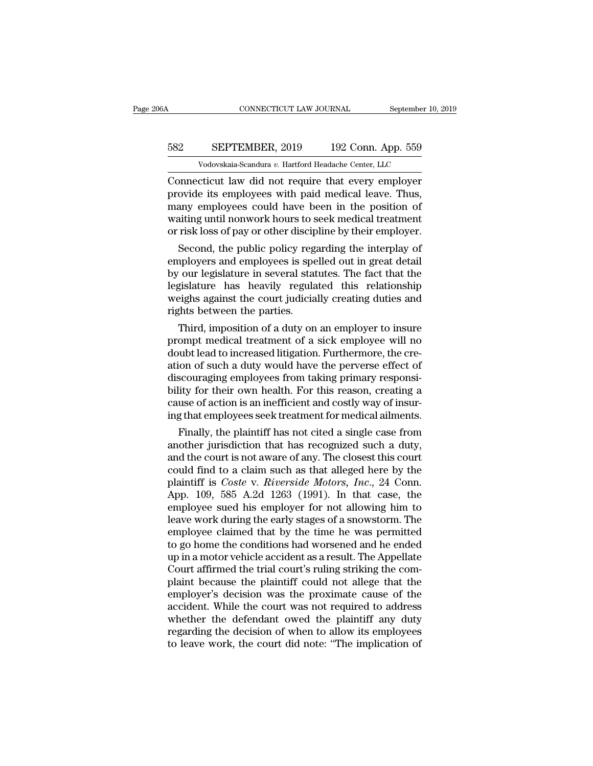# CONNECTICUT LAW JOURNAL September 10, 2019<br>582 SEPTEMBER, 2019 192 Conn. App. 559<br>Vodovskaia-Scandura v. Hartford Headache Center, LLC CONNECTICUT LAW JOURNAL September 10,<br>
SEPTEMBER, 2019 192 Conn. App. 559<br>
Vodovskaia-Scandura *v.* Hartford Headache Center, LLC<br>
Cticut law did not require that every employer

CONNECTICUT LAW JOURNAL September 10, 2019<br>
SEPTEMBER, 2019 192 Conn. App. 559<br>
Vodovskaia-Scandura v. Hartford Headache Center, LLC<br>
Connecticut law did not require that every employer<br>
provide its employees with paid med SEPTEMBER, 2019 192 Conn. App. 559<br>Vodovskaia-Scandura v. Hartford Headache Center, LLC<br>Connecticut law did not require that every employer<br>provide its employees with paid medical leave. Thus,<br>many employees could have bee  $\frac{\text{SEPTEMBER, 2019}}{\text{Vodovskaja-Scandura } v. \text{ Hartford Headache Center, LLC}}$ <br>Connecticut law did not require that every employer<br>provide its employees with paid medical leave. Thus,<br>many employees could have been in the position of<br>waiting until nonwork S82 SEPTEMBER, 2019 192 Conn. App. 559<br>Vodovskaia-Scandura v. Hartford Headache Center, LLC<br>Connecticut law did not require that every employer<br>provide its employees with paid medical leave. Thus,<br>many employees could have Vodovskaia-Scandura v. Hartford Headache Center, LLC<br>Connecticut law did not require that every employer<br>provide its employees with paid medical leave. Thus,<br>many employees could have been in the position of<br>waiting until metricut law did not require that every employer<br>ovide its employees with paid medical leave. Thus,<br>any employees could have been in the position of<br>aiting until nonwork hours to seek medical treatment<br>risk loss of pay or Connecticut law did not require that every employer<br>provide its employees with paid medical leave. Thus,<br>many employees could have been in the position of<br>waiting until nonwork hours to seek medical treatment<br>or risk loss

provide its employees with paid medical leave. Thus,<br>many employees could have been in the position of<br>waiting until nonwork hours to seek medical treatment<br>or risk loss of pay or other discipline by their employer.<br>Second many employees could nave been in the position of<br>waiting until nonwork hours to seek medical treatment<br>or risk loss of pay or other discipline by their employer.<br>Second, the public policy regarding the interplay of<br>employ watting until nonwork nours to seek medical treatment<br>or risk loss of pay or other discipline by their employer.<br>Second, the public policy regarding the interplay of<br>employers and employees is spelled out in great detail<br>b or risk loss of pay or other disciples or risk loss of pay or other disciples.<br>Second, the public policy region<br>employers and employees is spe<br>by our legislature in several stat<br>legislature has heavily regula<br>weighs agains Second, the public policy regarding the interplay of<br>nployers and employees is spelled out in great detail<br>our legislature in several statutes. The fact that the<br>gislature has heavily regulated this relationship<br>eighs agai employers and employees is spelled out in great detail<br>by our legislature in several statutes. The fact that the<br>legislature has heavily regulated this relationship<br>weighs against the court judicially creating duties and<br>r

by our regislature in several statutes. The fact that the legislature has heavily regulated this relationship weighs against the court judicially creating duties and rights between the parties.<br>Third, imposition of a duty regislature has heavily regulated this relationship<br>weighs against the court judicially creating duties and<br>rights between the parties.<br>Third, imposition of a duty on an employer to insure<br>prompt medical treatment of a sic weighs against the court judicially creating duties and<br>rights between the parties.<br>Third, imposition of a duty on an employer to insure<br>prompt medical treatment of a sick employee will no<br>doubt lead to increased litigatio rights between the parties.<br>
Third, imposition of a duty on an employer to insure<br>
prompt medical treatment of a sick employee will no<br>
doubt lead to increased litigation. Furthermore, the cre-<br>
ation of such a duty would Third, imposition of a duty on an employer to insure<br>prompt medical treatment of a sick employee will no<br>doubt lead to increased litigation. Furthermore, the cre-<br>ation of such a duty would have the perverse effect of<br>disc prompt medical treatment of a sick employee will no<br>doubt lead to increased litigation. Furthermore, the cre-<br>ation of such a duty would have the perverse effect of<br>discouraging employees from taking primary responsi-<br>bili Finally, the plaintiff has not cited a single case from<br>this couraging employees from taking primary responsi-<br>iity for their own health. For this reason, creating a<br>use of action is an inefficient and costly way of insuration or such a duty would have the perverse effect of<br>discouraging employees from taking primary responsi-<br>bility for their own health. For this reason, creating a<br>cause of action is an inefficient and costly way of insur

discouraging employees from taking primary responsibility for their own health. For this reason, creating a cause of action is an inefficient and costly way of insuring that employees seek treatment for medical ailments.<br> butty for their own heath. For this reason, creating a<br>cause of action is an inefficient and costly way of insur-<br>ing that employees seek treatment for medical ailments.<br>Finally, the plaintiff has not cited a single case cause or action is an inerricient and costly way or insur-<br>ing that employees seek treatment for medical ailments.<br>Finally, the plaintiff has not cited a single case from<br>another jurisdiction that has recognized such a dut Ing that employees seek treatment for medical allments.<br>
Finally, the plaintiff has not cited a single case from<br>
another jurisdiction that has recognized such a duty,<br>
and the court is not aware of any. The closest this c Finally, the plaintiff has not cited a single case from<br>another jurisdiction that has recognized such a duty,<br>and the court is not aware of any. The closest this court<br>could find to a claim such as that alleged here by the another jurisdiction that has recognized such a duty,<br>and the court is not aware of any. The closest this court<br>could find to a claim such as that alleged here by the<br>plaintiff is *Coste* v. *Riverside Motors*, *Inc.*, 24 and the court is not aware of any. The closest this court<br>could find to a claim such as that alleged here by the<br>plaintiff is *Coste v. Riverside Motors*, *Inc.*, 24 Conn.<br>App. 109, 585 A.2d 1263 (1991). In that case, the<br> could find to a claim such as that alleged here by the plaintiff is *Coste v. Riverside Motors, Inc.*, 24 Conn.<br>App. 109, 585 A.2d 1263 (1991). In that case, the employee sued his employer for not allowing him to leave wor plaintiff is *Coste v. Riverside Motors, Inc.*, 24 Conn.<br>App. 109, 585 A.2d 1263 (1991). In that case, the<br>employee sued his employer for not allowing him to<br>leave work during the early stages of a snowstorm. The<br>employee App. 109, 585 A.2d 1263 (1991). In that case, the employee sued his employer for not allowing him to leave work during the early stages of a snowstorm. The employee claimed that by the time he was permitted to go home the employee sued his employer for not allowing him to<br>leave work during the early stages of a snowstorm. The<br>employee claimed that by the time he was permitted<br>to go home the conditions had worsened and he ended<br>up in a motor leave work during the early stages of a snowstorm. The<br>employee claimed that by the time he was permitted<br>to go home the conditions had worsened and he ended<br>up in a motor vehicle accident as a result. The Appellate<br>Court employee claimed that by the time he was permitted<br>to go home the conditions had worsened and he ended<br>up in a motor vehicle accident as a result. The Appellate<br>Court affirmed the trial court's ruling striking the com-<br>pla to go home the conditions had worsened and he ended<br>up in a motor vehicle accident as a result. The Appellate<br>Court affirmed the trial court's ruling striking the com-<br>plaint because the plaintiff could not allege that the up in a motor vehicle accident as a result. The Appellate<br>Court affirmed the trial court's ruling striking the com-<br>plaint because the plaintiff could not allege that the<br>employer's decision was the proximate cause of the<br> Court affirmed the trial court's ruling striking the complaint because the plaintiff could not allege that the employer's decision was the proximate cause of the accident. While the court was not required to address whethe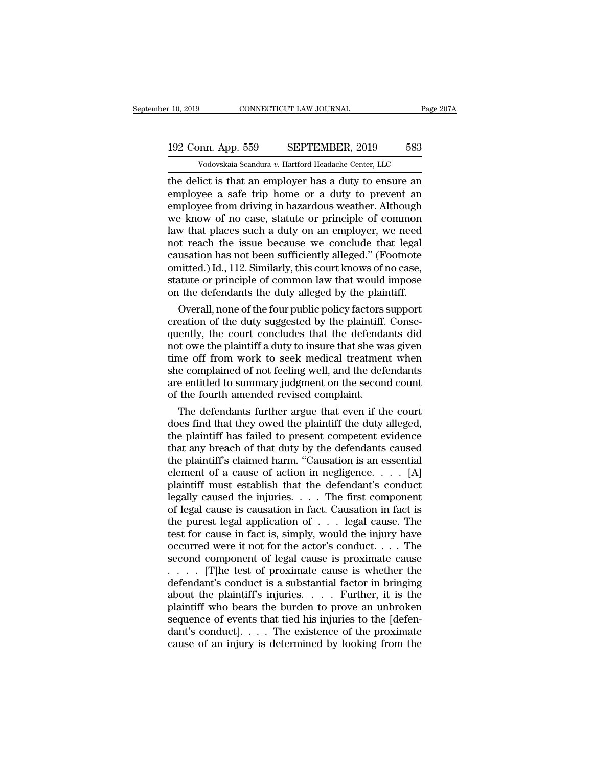# 10, 2019 CONNECTICUT LAW JOURNAL Page 207A<br>192 Conn. App. 559 SEPTEMBER, 2019 583<br>Vodovskaia-Scandura v. Hartford Headache Center, LLC Vodovskaia-Scandura *v.* Hartford Headache Center, LLC<br>Vodovskaia-Scandura *v.* Hartford Headache Center, LLC<br>lict is that an employer has a duty to ensure an

the delict is that an employer has a duty to ensure an employee a safe trip home or a duty to prevent an employee from driving in hazardous worthor Although 192 Conn. App. 559 SEPTEMBER, 2019 583<br>Vodovskaia-Scandura v. Hartford Headache Center, LLC<br>the delict is that an employer has a duty to ensure an<br>employee a safe trip home or a duty to prevent an<br>employee from driving in 192 Conn. App. 559 SEPTEMBER, 2019 583<br>
Vodovskaia-Scandura v. Hartford Headache Center, LLC<br>
the delict is that an employer has a duty to ensure an<br>
employee a safe trip home or a duty to prevent an<br>
employee from drivin 192 Conn. App. 559 SEPTEMBER, 2019 583<br>
Vodovskaia-Scandura v. Hartford Headache Center, LLC<br>
the delict is that an employer has a duty to ensure an<br>
employee a safe trip home or a duty to prevent an<br>
employee from drivin Vodovskaia-Scandura v. Hartford Headache Center, LLC<br>the delict is that an employer has a duty to ensure an<br>employee a safe trip home or a duty to prevent an<br>employee from driving in hazardous weather. Although<br>we know of Vodovskaia-Scandura v. Hartford Headache Center, LLC<br>the delict is that an employer has a duty to ensure an<br>employee a safe trip home or a duty to prevent an<br>employee from driving in hazardous weather. Although<br>we know of the delict is that an employer has a duty to ensure an employee a safe trip home or a duty to prevent an employee from driving in hazardous weather. Although we know of no case, statute or principle of common law that plac employee a safe trip home or a duty to prevent an employee from driving in hazardous weather. Although we know of no case, statute or principle of common law that places such a duty on an employer, we need not reach the is employee from driving in hazardous weather. Although<br>we know of no case, statute or principle of common<br>law that places such a duty on an employer, we need<br>not reach the issue because we conclude that legal<br>causation has n we know of no case, statute or principle of common<br>law that places such a duty on an employer, we need<br>not reach the issue because we conclude that legal<br>causation has not been sufficiently alleged." (Footnote<br>omitted.) Id w that places such a duty on an employer, we need<br>of reach the issue because we conclude that legal<br>usation has not been sufficiently alleged." (Footnote<br>nitted.) Id., 112. Similarly, this court knows of no case,<br>atute or not reach the issue because we conclude that legal causation has not been sufficiently alleged." (Footnote omitted.) Id., 112. Similarly, this court knows of no case, statute or principle of common law that would impose on

causation has not been sufficiently alleged." (Footnote<br>omitted.) Id., 112. Similarly, this court knows of no case,<br>statute or principle of common law that would impose<br>on the defendants the duty alleged by the plaintiff.<br> omitted.) Id., 112. Similarly, this court knows of no case,<br>statute or principle of common law that would impose<br>on the defendants the duty alleged by the plaintiff.<br>Overall, none of the four public policy factors support<br> statute or principle of common law that would impose<br>on the defendants the duty alleged by the plaintiff.<br>Overall, none of the four public policy factors support<br>creation of the duty suggested by the plaintiff. Conse-<br>quen on the defendants the duty alleged by the plaintiff.<br>Overall, none of the four public policy factors support<br>creation of the duty suggested by the plaintiff. Conse-<br>quently, the court concludes that the defendants did<br>not Overall, none of the four public policy factors support<br>creation of the duty suggested by the plaintiff. Conse-<br>quently, the court concludes that the defendants did<br>not owe the plaintiff a duty to insure that she was given creation of the duty suggested by the plaintiff.<br>quently, the court concludes that the defenda<br>not owe the plaintiff a duty to insure that she wa<br>time off from work to seek medical treatmen<br>she complained of not feeling we ently, the court concludes that the defendants did<br>t owe the plaintiff a duty to insure that she was given<br>me off from work to seek medical treatment when<br>e complained of not feeling well, and the defendants<br>e entitled to not owe the plaintiff a duty to insure that she was given<br>time off from work to seek medical treatment when<br>she complained of not feeling well, and the defendants<br>are entitled to summary judgment on the second count<br>of the

time off from work to seek medical treatment when<br>she complained of not feeling well, and the defendants<br>are entitled to summary judgment on the second count<br>of the fourth amended revised complaint.<br>The defendants further she complained of not feeling well, and the defendants<br>are entitled to summary judgment on the second count<br>of the fourth amended revised complaint.<br>The defendants further argue that even if the court<br>does find that they o are entitled to summary judgment on the second count<br>of the fourth amended revised complaint.<br>The defendants further argue that even if the court<br>does find that they owed the plaintiff the duty alleged,<br>the plaintiff has f of the fourth amended revised complaint.<br>The defendants further argue that even if the court<br>does find that they owed the plaintiff the duty alleged,<br>the plaintiff has failed to present competent evidence<br>that any breach o The defendants further argue that even if the court<br>does find that they owed the plaintiff the duty alleged,<br>the plaintiff has failed to present competent evidence<br>that any breach of that duty by the defendants caused<br>the does find that they owed the plaintiff the duty alleged,<br>the plaintiff has failed to present competent evidence<br>that any breach of that duty by the defendants caused<br>the plaintiff's claimed harm. "Causation is an essential the plaintiff has failed to present competent evidence<br>that any breach of that duty by the defendants caused<br>the plaintiff's claimed harm. "Causation is an essential<br>element of a cause of action in negligence.... [A]<br>plai that any breach of that duty by the defendants caused<br>the plaintiff's claimed harm. "Causation is an essential<br>element of a cause of action in negligence. . . . [A]<br>plaintiff must establish that the defendant's conduct<br>le the plaintiff's claimed harm. "Causation is an essential<br>element of a cause of action in negligence. . . . [A]<br>plaintiff must establish that the defendant's conduct<br>legally caused the injuries. . . . The first component<br>o element of a cause of action in negligence. . . . [A]<br>plaintiff must establish that the defendant's conduct<br>legally caused the injuries. . . . The first component<br>of legal cause is causation in fact. Causation in fact is<br> plaintiff must establish that the defendant's conduct<br>legally caused the injuries. . . . The first component<br>of legal cause is causation in fact. Causation in fact is<br>the purest legal application of . . . legal cause. The Legally caused the injuries. . . . The first component<br>of legal cause is causation in fact. Causation in fact is<br>the purest legal application of . . . legal cause. The<br>test for cause in fact is, simply, would the injury h of legal cause is causation in fact. Causation in fact is<br>the purest legal application of  $\ldots$  legal cause. The<br>test for cause in fact is, simply, would the injury have<br>occurred were it not for the actor's conduct.  $\ldots$ the purest legal application of . . . legal cause. The<br>test for cause in fact is, simply, would the injury have<br>occurred were it not for the actor's conduct. . . . The<br>second component of legal cause is proximate cause<br> $\$ plaintiff who bears the burden to prove an unbroken occurred were it not for the actor's conduct.... The second component of legal cause is proximate cause<br>..... [T]he test of proximate cause is whether the<br>defendant's conduct is a substantial factor in bringing<br>about the second component of legal cause is proximate cause<br>. . . . . [T]he test of proximate cause is whether the<br>defendant's conduct is a substantial factor in bringing<br>about the plaintiff's injuries. . . . Further, it is the<br>pl cause of an injury is determined by looking from the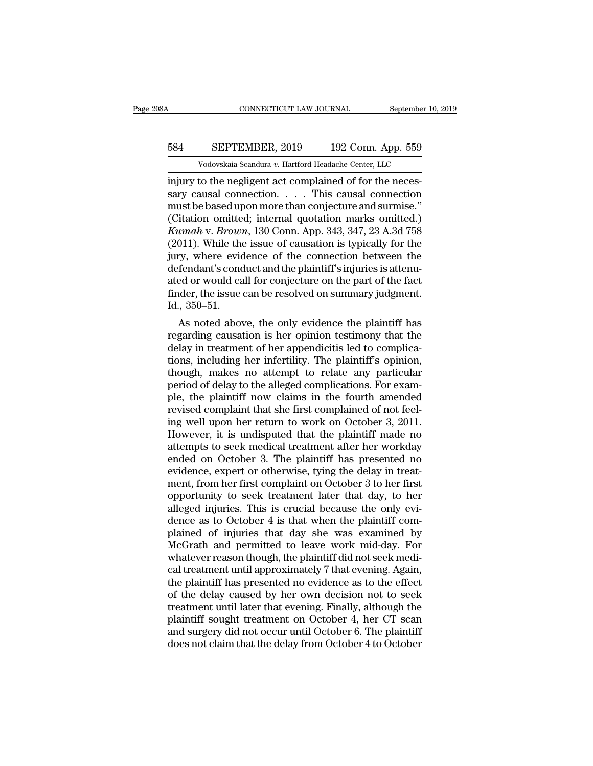# CONNECTICUT LAW JOURNAL September 10, 2019<br>584 SEPTEMBER, 2019 192 Conn. App. 559<br>Vodovskaia-Scandura v. Hartford Headache Center, LLC CONNECTICUT LAW JOURNAL September 10,<br>
SEPTEMBER, 2019 192 Conn. App. 559<br>
Vodovskaia-Scandura *v.* Hartford Headache Center, LLC<br>
to the negligent act complained of for the neces-

CONNECTICUT LAW JOURNAL September<br>
September 192 Conn. App. 559<br>
Vodovskaia-Scandura v. Hartford Headache Center, LLC<br>
injury to the negligent act complained of for the neces-<br>
sary causal connection. . . . . This causal c SEPTEMBER, 2019 192 Conn. App. 559<br>Vodovskaia-Scandura v. Hartford Headache Center, LLC<br>injury to the negligent act complained of for the neces-<br>sary causal connection. . . . This causal connection<br>must be based upon more 584 SEPTEMBER, 2019 192 Conn. App. 559<br>
Vodovskaia-Scandura v. Hartford Headache Center, LLC<br>
injury to the negligent act complained of for the neces-<br>
sary causal connection. . . . . This causal connection<br>
must be based 584 SEPTEMBER, 2019 192 Conn. App. 559<br>
Vodovskaia-Scandura v. Hartford Headache Center, LLC<br>
injury to the negligent act complained of for the neces-<br>
sary causal connection. . . . This causal connection<br>
must be based u *Kumaha* v. *Brownaua v. Hartford Headache Center, LLC*<br>
injury to the negligent act complained of for the necessary causal connection. . . . This causal connection<br>
must be based upon more than conjecture and surmise."<br>
( Vodovskaia-Scandura v. Hartford Headache Center, LLC<br>
injury to the negligent act complained of for the neces-<br>
sary causal connection. . . . . This causal connection<br>
must be based upon more than conjecture and surmise." injury to the negligent act complained of for the necessary causal connection. . . . . This causal connection<br>must be based upon more than conjecture and surmise."<br>(Citation omitted; internal quotation marks omitted.)<br> $Kum$ sary causal connection.  $\dots$  This causal connection<br>must be based upon more than conjecture and surmise."<br>(Citation omitted; internal quotation marks omitted.)<br> $Kumah$  v. Brown, 130 Conn. App. 343, 347, 23 A.3d 758<br>(2011). must be based upon more than conjecture and surmise."<br>(Citation omitted; internal quotation marks omitted.)<br>*Kumah* v. *Brown*, 130 Conn. App. 343, 347, 23 A.3d 758<br>(2011). While the issue of causation is typically for the (Citation omitted; internal quotation marks omitted.)<br>Kumah v. Brown, 130 Conn. App. 343, 347, 23 A.3d 758<br>(2011). While the issue of causation is typically for the<br>jury, where evidence of the connection between the<br>defend Kumah v. Brown<br>(2011). While the<br>jury, where evide<br>defendant's cond<br>ated or would ca<br>finder, the issue<br>Id., 350–51.<br>As noted abov 011). While the issue of causation is typically for the<br>ry, where evidence of the connection between the<br>fendant's conduct and the plaintiff's injuries is attenu-<br>ed or would call for conjecture on the part of the fact<br>der jury, where evidence of the connection between the<br>defendant's conduct and the plaintiff's injuries is attenu-<br>ated or would call for conjecture on the part of the fact<br>finder, the issue can be resolved on summary judgment

defendant s conduct and the plaintiff s injuries is attenuated or would call for conjecture on the part of the fact<br>finder, the issue can be resolved on summary judgment.<br>Id., 350–51.<br>As noted above, the only evidence the ated or would call for conjecture on the part of the fact<br>finder, the issue can be resolved on summary judgment.<br>Id., 350–51.<br>As noted above, the only evidence the plaintiff has<br>regarding causation is her opinion testimony maer, the issue can be resolved on summary judgment.<br>Id., 350–51.<br>As noted above, the only evidence the plaintiff has<br>regarding causation is her opinion testimony that the<br>delay in treatment of her appendicitis led to comp 1d., 350–51.<br>As noted above, the only evidence the plaintiff has<br>regarding causation is her opinion testimony that the<br>delay in treatment of her appendicitis led to complica-<br>tions, including her infertility. The plaintiff As noted above, the only evidence the plaintiff has<br>regarding causation is her opinion testimony that the<br>delay in treatment of her appendicitis led to complica-<br>tions, including her infertility. The plaintiff's opinion,<br> regarding causation is her opinion testimony that the delay in treatment of her appendicitis led to complications, including her infertility. The plaintiff's opinion, though, makes no attempt to relate any particular perio delay in treatment of her appendicitis led to complications, including her infertility. The plaintiff's opinion, though, makes no attempt to relate any particular period of delay to the alleged complications. For example, tions, including her infertility. The plaintiff's opinion,<br>though, makes no attempt to relate any particular<br>period of delay to the alleged complications. For exam-<br>ple, the plaintiff now claims in the fourth amended<br>revis though, makes no attempt to relate any particular<br>period of delay to the alleged complications. For exam-<br>ple, the plaintiff now claims in the fourth amended<br>revised complaint that she first complained of not feel-<br>ing wel period of delay to the alleged complications. For example, the plaintiff now claims in the fourth amended<br>revised complaint that she first complained of not feel-<br>ing well upon her return to work on October 3, 2011.<br>Howeve ple, the plaintiff now claims in the fourth amended<br>revised complaint that she first complained of not feel-<br>ing well upon her return to work on October 3, 2011.<br>However, it is undisputed that the plaintiff made no<br>attempt revised complaint that she first complained of not feel-<br>ing well upon her return to work on October 3, 2011.<br>However, it is undisputed that the plaintiff made no<br>attempts to seek medical treatment after her workday<br>ended ing well upon her return to work on October 3, 2011.<br>However, it is undisputed that the plaintiff made no<br>attempts to seek medical treatment after her workday<br>ended on October 3. The plaintiff has presented no<br>evidence, ex However, it is undisputed that the plaintiff made no<br>attempts to seek medical treatment after her workday<br>ended on October 3. The plaintiff has presented no<br>evidence, expert or otherwise, tying the delay in treat-<br>ment, fr attempts to seek medical treatment after her workday<br>ended on October 3. The plaintiff has presented no<br>evidence, expert or otherwise, tying the delay in treat-<br>ment, from her first complaint on October 3 to her first<br>oppo ended on October 3. The plaintiff has presented no<br>evidence, expert or otherwise, tying the delay in treat-<br>ment, from her first complaint on October 3 to her first<br>opportunity to seek treatment later that day, to her<br>alle evidence, expert or otherwise, tying the delay in treat-<br>ment, from her first complaint on October 3 to her first<br>opportunity to seek treatment later that day, to her<br>alleged injuries. This is crucial because the only eviment, from her first complaint on October 3 to her first opportunity to seek treatment later that day, to her alleged injuries. This is crucial because the only evidence as to October 4 is that when the plaintiff complaine opportunity to seek treatment later that day, to her alleged injuries. This is crucial because the only evidence as to October 4 is that when the plaintiff complained of injuries that day she was examined by McGrath and pe alleged injuries. This is crucial because the only evidence as to October 4 is that when the plaintiff complained of injuries that day she was examined by McGrath and permitted to leave work mid-day. For whatever reason th dence as to October 4 is that when the plaintiff complained of injuries that day she was examined by McGrath and permitted to leave work mid-day. For whatever reason though, the plaintiff did not seek medical treatment unt plained of injuries that day she was examined by<br>McGrath and permitted to leave work mid-day. For<br>whatever reason though, the plaintiff did not seek medi-<br>cal treatment until approximately 7 that evening. Again,<br>the plaint McGrath and permitted to leave work mid-day. For<br>whatever reason though, the plaintiff did not seek medi-<br>cal treatment until approximately 7 that evening. Again,<br>the plaintiff has presented no evidence as to the effect<br>of whatever reason though, the plaintiff did not seek medical treatment until approximately 7 that evening. Again, the plaintiff has presented no evidence as to the effect of the delay caused by her own decision not to seek t cal treatment until approximately 7 that evening. Again, the plaintiff has presented no evidence as to the effect of the delay caused by her own decision not to seek treatment until later that evening. Finally, although th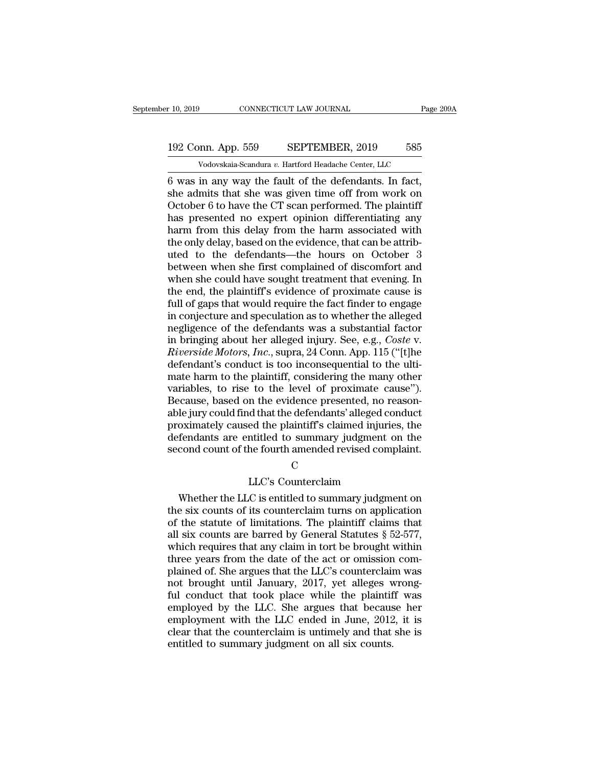### 10, 2019 CONNECTICUT LAW JOURNAL Page 209A<br>192 Conn. App. 559 SEPTEMBER, 2019 585<br>Vodovskaia-Scandura v. Hartford Headache Center, LLC September 10, 2019 CONNECTICUT LAW JOURNAL Page 209A<br>192 Conn. App. 559 SEPTEMBER, 2019 585<br>Vodovskaia-Scandura *v*. Hartford Headache Center, LLC

F 10, 2019 CONNECTICUT LAW JOURNAL Page 20<br>
192 Conn. App. 559 SEPTEMBER, 2019 585<br>
Vodovskaia-Scandura v. Hartford Headache Center, LLC<br>
6 was in any way the fault of the defendants. In fact,<br>
she admits that she was give 192 Conn. App. 559 SEPTEMBER, 2019 585<br>Vodovskaia-Scandura v. Hartford Headache Center, LLC<br>6 was in any way the fault of the defendants. In fact,<br>she admits that she was given time off from work on<br>October 6 to have the C 192 Conn. App. 559 SEPTEMBER, 2019 585<br>
Vodovskaia-Scandura v. Hartford Headache Center, LLC<br>
6 was in any way the fault of the defendants. In fact,<br>
she admits that she was given time off from work on<br>
October 6 to have 192 Conn. App. 559 SEPTEMBER, 2019 585<br>Vodovskaia-Scandura v. Hartford Headache Center, LLC<br>6 was in any way the fault of the defendants. In fact,<br>she admits that she was given time off from work on<br>October 6 to have the Vodovskaia-Scandura v. Hartford Headache Center, LLC<br>
6 was in any way the fault of the defendants. In fact,<br>
she admits that she was given time off from work on<br>
October 6 to have the CT scan performed. The plaintiff<br>
ha 6 was in any way the fault of the defendants. In fact, she admits that she was given time off from work on October 6 to have the CT scan performed. The plaintiff has presented no expert opinion differentiating any harm fr 6 was in any way the fault of the defendants. In fact,<br>she admits that she was given time off from work on<br>October 6 to have the CT scan performed. The plaintiff<br>has presented no expert opinion differentiating any<br>harm fr she admits that she was given time off from work on<br>October 6 to have the CT scan performed. The plaintiff<br>has presented no expert opinion differentiating any<br>harm from this delay from the harm associated with<br>the only del October 6 to have the CT scan performed. The plaintiff<br>has presented no expert opinion differentiating any<br>harm from this delay from the harm associated with<br>the only delay, based on the evidence, that can be attrib-<br>uted has presented no expert opinion differentiating any<br>harm from this delay from the harm associated with<br>the only delay, based on the evidence, that can be attrib-<br>uted to the defendants—the hours on October 3<br>between when s harm from this delay from the harm associated with<br>the only delay, based on the evidence, that can be attributed<br>to the defendants—the hours on October 3<br>between when she first complained of discomfort and<br>when she could h the only delay, based on the evidence, that can be attributed to the defendants—the hours on October 3<br>between when she first complained of discomfort and<br>when she could have sought treatment that evening. In<br>the end, the uted to the defendants—the hours on October 3<br>between when she first complained of discomfort and<br>when she could have sought treatment that evening. In<br>the end, the plaintiff's evidence of proximate cause is<br>full of gaps t between when she first complained of discomfort and<br>when she could have sought treatment that evening. In<br>the end, the plaintiff's evidence of proximate cause is<br>full of gaps that would require the fact finder to engage<br>in when she could have sought treatment that evening. In<br>the end, the plaintiff's evidence of proximate cause is<br>full of gaps that would require the fact finder to engage<br>in conjecture and speculation as to whether the allege the end, the plaintiff's evidence of proximate cause is<br>full of gaps that would require the fact finder to engage<br>in conjecture and speculation as to whether the alleged<br>negligence of the defendants was a substantial facto full of gaps that would require the fact finder to engage<br>in conjecture and speculation as to whether the alleged<br>negligence of the defendants was a substantial factor<br>in bringing about her alleged injury. See, e.g., *Cost* in conjecture and speculation as to whether the alleged<br>negligence of the defendants was a substantial factor<br>in bringing about her alleged injury. See, e.g., *Coste v.<br>Riverside Motors, Inc.*, supra, 24 Conn. App. 115 ("[ negligence of the defendants was a substantial factor<br>in bringing about her alleged injury. See, e.g., *Coste v.<br>Riverside Motors, Inc.*, supra, 24 Conn. App. 115 ("[t]he<br>defendant's conduct is too inconsequential to the u in bringing about her alleged injury. See, e.g., *Coste* v.<br>*Riverside Motors, Inc.*, supra, 24 Conn. App. 115 ("[t]he<br>defendant's conduct is too inconsequential to the ulti-<br>mate harm to the plaintiff, considering the man Riverside Motors, Inc., supra, 24 Conn. App. 115 ("[t]he<br>defendant's conduct is too inconsequential to the ulti-<br>mate harm to the plaintiff, considering the many other<br>variables, to rise to the level of proximate cause").<br> defendant's conduct is too inconsequential to the ulti-<br>mate harm to the plaintiff, considering the many other<br>variables, to rise to the level of proximate cause").<br>Because, based on the evidence presented, no reason-<br>able mate harm to the plaintiff, considering the many other variables, to rise to the level of proximate cause").<br>Because, based on the evidence presented, no reasonable jury could find that the defendants' alleged conduct prox It the evidence presented, no reason-<br>d that the defendants' alleged conduct<br>ed the plaintiff's claimed injuries, the<br>ntitled to summary judgment on the<br>he fourth amended revised complaint.<br>C<br>LLC's Counterclaim<br>C is entitl oximately caused the plaintiff's claimed injuries, the<br>fendants are entitled to summary judgment on the<br>cond count of the fourth amended revised complaint.<br>C<br> $LLC$ 's Counterclaim<br>Whether the LLC is entitled to summary judgm

### C<sub>c</sub>

defendants are entitled to summary judgment on the<br>second count of the fourth amended revised complaint.<br>C<br> $LIC$ 's Counterclaim<br>Whether the LLC is entitled to summary judgment on<br>the six counts of its counterclaim turns on second count of the fourth amended revised complaint.<br>
C<br>
LLC's Counterclaim<br>
Whether the LLC is entitled to summary judgment on<br>
the six counts of its counterclaim turns on application<br>
of the statute of limitations. The C<br>
LLC's Counterclaim<br>
Whether the LLC is entitled to summary judgment on<br>
the six counts of its counterclaim turns on application<br>
of the statute of limitations. The plaintiff claims that<br>
all six counts are barred by Gen LLC's Counterclaim<br>Whether the LLC is entitled to summary judgment on<br>the six counts of its counterclaim turns on application<br>of the statute of limitations. The plaintiff claims that<br>all six counts are barred by General S LLC's Counterclaim<br>Whether the LLC is entitled to summary judgment on<br>the six counts of its counterclaim turns on application<br>of the statute of limitations. The plaintiff claims that<br>all six counts are barred by General S Whether the LLC is entitled to summary judgment on<br>the six counts of its counterclaim turns on application<br>of the statute of limitations. The plaintiff claims that<br>all six counts are barred by General Statutes § 52-577,<br>wh the six counts of its counterclaim turns on application<br>of the statute of limitations. The plaintiff claims that<br>all six counts are barred by General Statutes  $\S 52-577$ ,<br>which requires that any claim in tort be brought w of the statute of limitations. The plaintiff claims that<br>all six counts are barred by General Statutes  $\S$  52-577,<br>which requires that any claim in tort be brought within<br>three years from the date of the act or omission c all six counts are barred by General Statutes § 52-577,<br>which requires that any claim in tort be brought within<br>three years from the date of the act or omission com-<br>plained of. She argues that the LLC's counterclaim was<br>n which requires that any claim in tort be brought within<br>three years from the date of the act or omission com-<br>plained of. She argues that the LLC's counterclaim was<br>not brought until January, 2017, yet alleges wrong-<br>ful c three years from the date of the act or omission complained of. She argues that the LLC's counterclaim was not brought until January, 2017, yet alleges wrong-<br>ful conduct that took place while the plaintiff was employed by plained of. She argues that the LLC's counterclain<br>not brought until January, 2017, yet alleges v<br>ful conduct that took place while the plaintif<br>employed by the LLC. She argues that becaus<br>employment with the LLC ended in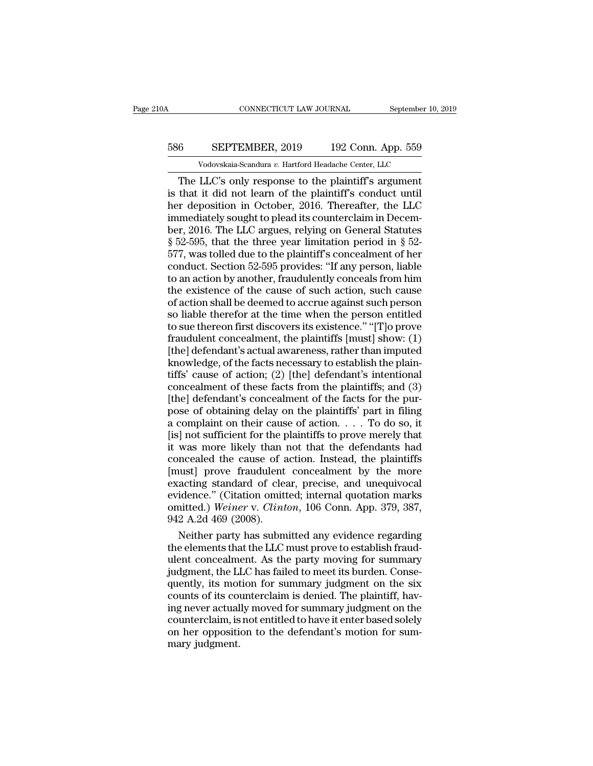# CONNECTICUT LAW JOURNAL September 10, 2019<br>586 SEPTEMBER, 2019 192 Conn. App. 559<br>Vodovskaia-Scandura v. Hartford Headache Center, LLC CONNECTICUT LAW JOURNAL September 10,<br>
SEPTEMBER, 2019 192 Conn. App. 559<br>
Vodovskaia-Scandura *v.* Hartford Headache Center, LLC<br>
LLC's only response to the plaintiff's argument

CONNECTICUT LAW JOURNAL September 10, 2019<br>
SEPTEMBER, 2019 192 Conn. App. 559<br>
Vodovskaia-Scandura v. Hartford Headache Center, LLC<br>
The LLC's only response to the plaintiff's argument<br>
that it did not learn of the plaint 586 SEPTEMBER, 2019 192 Conn. App. 559<br>Vodovskaia-Scandura v. Hartford Headache Center, LLC<br>The LLC's only response to the plaintiff's argument<br>is that it did not learn of the plaintiff's conduct until<br>her deposition in Oc 586 SEPTEMBER, 2019 192 Conn. App. 559<br>Vodovskaia-Scandura v. Hartford Headache Center, LLC<br>The LLC's only response to the plaintiff's argument<br>is that it did not learn of the plaintiff's conduct until<br>her deposition in O 586 SEPTEMBER, 2019 192 Conn. App. 559<br>Vodovskaia-Scandura v. Hartford Headache Center, LLC<br>The LLC's only response to the plaintiff's argument<br>is that it did not learn of the plaintiff's conduct until<br>her deposition in O Vodovskaia-Scandura v. Hartford Headache Center, LLC<br>
The LLC's only response to the plaintiff's argument<br>
is that it did not learn of the plaintiff's conduct until<br>
her deposition in October, 2016. Thereafter, the LLC<br>
i Vodovskaia-Scandura v. Hartford Headache Center, LLC<br>
The LLC's only response to the plaintiff's argument<br>
is that it did not learn of the plaintiff's conduct until<br>
her deposition in October, 2016. Thereafter, the LLC<br>
i The LLC's only response to the plaintiff's argument<br>is that it did not learn of the plaintiff's conduct until<br>her deposition in October, 2016. Thereafter, the LLC<br>immediately sought to plead its counterclaim in Decem-<br>ber, is that it did not learn of the plaintiff's conduct until<br>her deposition in October, 2016. Thereafter, the LLC<br>immediately sought to plead its counterclaim in Decem-<br>ber, 2016. The LLC argues, relying on General Statutes<br> her deposition in October, 2016. Thereafter, the LLC<br>immediately sought to plead its counterclaim in Decem-<br>ber, 2016. The LLC argues, relying on General Statutes<br>§ 52-595, that the three year limitation period in § 52-<br>57 immediately sought to plead its counterclaim in December, 2016. The LLC argues, relying on General Statutes § 52-595, that the three year limitation period in § 52-577, was tolled due to the plaintiff's concealment of her ber, 2016. The LLC argues, relying on General Statutes<br>§ 52-595, that the three year limitation period in § 52-<br>577, was tolled due to the plaintiff's concealment of her<br>conduct. Section 52-595 provides: "If any person, li  $\S$  52-595, that the three year limitation period in  $\S$  52-577, was tolled due to the plaintiff's concealment of her conduct. Section 52-595 provides: "If any person, liable to an action by another, fraudulently conceals 577, was tolled due to the plaintiff's concealment of her conduct. Section 52-595 provides: "If any person, liable to an action by another, fraudulently conceals from him the existence of the cause of such action, such ca conduct. Section 52-595 provides: "If any person, liable<br>to an action by another, fraudulently conceals from him<br>the existence of the cause of such action, such cause<br>of action shall be deemed to accrue against such person to an action by another, fraudulently conceals from him<br>the existence of the cause of such action, such cause<br>of action shall be deemed to accrue against such person<br>so liable therefor at the time when the person entitled<br> the existence of the cause of such action, such cause<br>of action shall be deemed to accrue against such person<br>so liable therefor at the time when the person entitled<br>to sue thereon first discovers its existence." "[T]o pro of action shall be deemed to accrue against such person<br>so liable therefor at the time when the person entitled<br>to sue thereon first discovers its existence." "[T]o prove<br>fraudulent concealment, the plaintiffs [must] show: so liable therefor at the time when the person entitled<br>to sue thereon first discovers its existence." "[T]o prove<br>fraudulent concealment, the plaintiffs [must] show: (1)<br>[the] defendant's actual awareness, rather than imp to sue thereon first discovers its existence." "[T]o prove<br>fraudulent concealment, the plaintiffs [must] show: (1)<br>[the] defendant's actual awareness, rather than imputed<br>knowledge, of the facts necessary to establish the fraudulent concealment, the plaintiffs [must] show: (1)<br>[the] defendant's actual awareness, rather than imputed<br>knowledge, of the facts necessary to establish the plain-<br>tiffs' cause of action; (2) [the] defendant's inten [the] defendant's actual awareness, rather than imputed<br>knowledge, of the facts necessary to establish the plain-<br>tiffs' cause of action; (2) [the] defendant's intentional<br>concealment of these facts from the plaintiffs; an knowledge, of the facts necessary to establish the plaintiffs' cause of action; (2) [the] defendant's intentional concealment of these facts from the plaintiffs; and (3) [the] defendant's concealment of the facts for the tiffs' cause of action; (2) [the] defendant's intentional<br>concealment of these facts from the plaintiffs; and (3)<br>[the] defendant's concealment of the facts for the pur-<br>pose of obtaining delay on the plaintiffs' part in concealment of these facts from the plaintiffs; and  $(3)$ <br>[the] defendant's concealment of the facts for the pur-<br>pose of obtaining delay on the plaintiffs' part in filing<br>a complaint on their cause of action.  $\ldots$  To do [the] defendant's concealment of the facts for the pur-<br>pose of obtaining delay on the plaintiffs' part in filing<br>a complaint on their cause of action.  $\ldots$  To do so, it<br>[is] not sufficient for the plaintiffs to prove me pose of obtaining delay on the plaintiffs' part in filing<br>a complaint on their cause of action. . . . To do so, it<br>[is] not sufficient for the plaintiffs to prove merely that<br>it was more likely than not that the defendant a complaint on their cause of action.... To do so, it<br>
[is] not sufficient for the plaintiffs to prove merely that<br>
it was more likely than not that the defendants had<br>
concealed the cause of action. Instead, the plaintif [is] not sufficient for the plaintiffs to prove merely that<br>it was more likely than not that the defendants had<br>concealed the cause of action. Instead, the plaintiffs<br>[must] prove fraudulent concealment by the more<br>exactin it was more likely than<br>concealed the cause of a<br>[must] prove fraudulent<br>exacting standard of clear<br>evidence." (Citation omitt<br>omitted.) Weiner v. Clint<br>942 A.2d 469 (2008).<br>Neither party has subm ncealed the cause of action. Instead, the plaintiffs<br>nust] prove fraudulent concealment by the more<br>acting standard of clear, precise, and unequivocal<br>idence." (Citation omitted; internal quotation marks<br>nitted.) Weiner v. [must] prove fraudulent concealment by the more<br>exacting standard of clear, precise, and unequivocal<br>evidence." (Citation omitted; internal quotation marks<br>omitted.) Weiner v. Clinton, 106 Conn. App. 379, 387,<br>942 A.2d 469

exacting standard of clear, precise, and unequivocal<br>evidence." (Citation omitted; internal quotation marks<br>omitted.) Weiner v. Clinton, 106 Conn. App. 379, 387,<br>942 A.2d 469 (2008).<br>Neither party has submitted any evidenc evidence." (Citation omitted; internal quotation marks<br>omitted.) Weiner v. Clinton, 106 Conn. App. 379, 387,<br>942 A.2d 469 (2008).<br>Neither party has submitted any evidence regarding<br>the elements that the LLC must prove to e omitted.) Weiner v. Clinton, 106 Conn. App. 379, 387,<br>942 A.2d 469 (2008).<br>Neither party has submitted any evidence regarding<br>the elements that the LLC must prove to establish fraud-<br>ulent concealment. As the party moving 942 A.2d 469 (2008).<br>Neither party has submitted any evidence regarding<br>the elements that the LLC must prove to establish fraud-<br>ulent concealment. As the party moving for summary<br>judgment, the LLC has failed to meet its b Neither party has submitted any evidence regarding<br>the elements that the LLC must prove to establish fraud-<br>ulent concealment. As the party moving for summary<br>judgment, the LLC has failed to meet its burden. Conse-<br>quently the elements that the LLC must prove to establish fraud-<br>ulent concealment. As the party moving for summary<br>judgment, the LLC has failed to meet its burden. Conse-<br>quently, its motion for summary judgment on the six<br>counts ulent concealment. As the party moving for summary<br>judgment, the LLC has failed to meet its burden. Conse-<br>quently, its motion for summary judgment on the six<br>counts of its counterclaim is denied. The plaintiff, hav-<br>ing n idely, the Laurently, its mot<br>counts of its counts of its counterclaim, is<br>counterclaim, is<br>on her oppositimary judgment.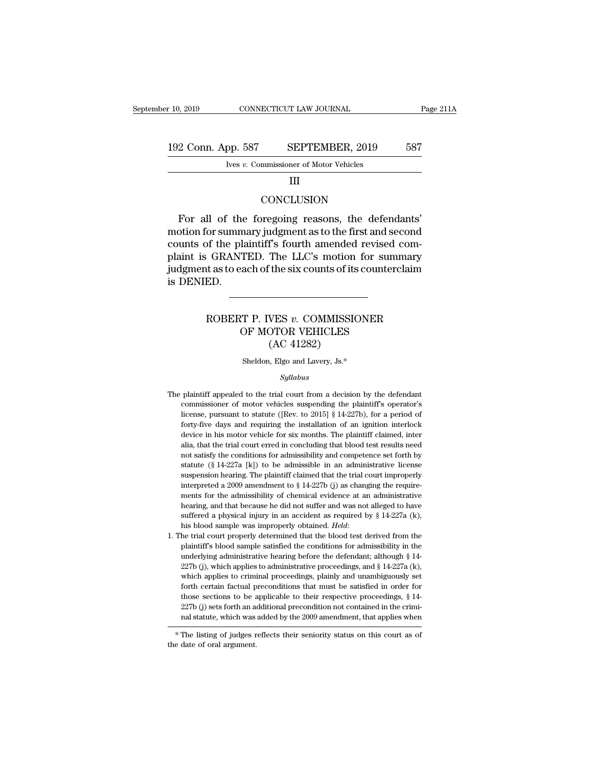# 10, 2019 CONNECTICUT LAW JOURNAL Page 211A<br>192 Conn. App. 587 SEPTEMBER, 2019 587<br>Ives v. Commissioner of Motor Vehicles CONNECTICUT LAW JOURNAL<br>
IVES 7. SEPTEMBER, 2019<br>
Ives *v.* Commissioner of Motor Vehicles<br>
III

### III

### **CONCLUSION**

 $\begin{array}{r@{\,}c@{\,}l} \text{2 Conn. App. 587} & \text{SEPTEMBER, 2019} & \text{587} \ \text{Ives } v. & \text{Commissioner of Motor Vehicles} \ \text{III} & \text{CONCLUSION} \ \end{array}$ <br>For all of the foregoing reasons, the defendants' otion for summary judgment as to the first and second unts of the plaintif motion for summary judgment as to the first and second<br>
motion for summary judgment as to the first and second<br>
motion for summary judgment as to the first and second<br>
relation for summary judgment as to the first and seco Ives v. Commissioner of Motor Venicles<br>
III<br>
CONCLUSION<br>
For all of the foregoing reasons, the defendants'<br>
motion for summary judgment as to the first and second<br>
counts of the plaintiff's fourth amended revised com-<br>
pla For all of the foregoing reasons, the defendants'<br>motion for summary judgment as to the first and second<br>counts of the plaintiff's fourth amended revised com-<br>plaint is GRANTED. The LLC's motion for summary<br>judgment as to CONCLUSION<br>For all of the foregoing reasons, the defendants'<br>motion for summary judgment as to the first and second<br>counts of the plaintiff's fourth amended revised com-<br>plaint is GRANTED. The LLC's motion for summary<br>judg For all of the<br>motion for summ<br>counts of the pla<br>plaint is GRANT<br>judgment as to ea<br>is DENIED. of the plaintiff's fourth amended revised com-<br>GRANTED. The LLC's motion for summary<br>at as to each of the six counts of its counterclaim<br>ED.<br>ROBERT P. IVES *v.* COMMISSIONER<br>OF MOTOR VEHICLES TED. The LLC's motion for summerach of the six counts of its counterchine<br>
TP. IVES v. COMMISSIONER<br>
OF MOTOR VEHICLES<br>
(AC 41282)

### The six counts of its<br>
VES v. COMMISSIC<br>
OTOR VEHICLES<br>
(AC 41282)<br>
<sub>I, Elgo and Lavery, Js.\*</sub> ROBERT P. IVES v. COMMISSIONER<br>OF MOTOR VEHICLES<br>(AC 41282)<br>Sheldon, Elgo and Lavery, Js.\*

### *Syllabus*

- $(AC 41282)$ <br>Sheldon, Elgo and Lavery, Js.\*<br>Syllabus<br>The plaintiff appealed to the trial court from a decision by the defendant<br>commissioner of motor vehicles suspending the plaintiff's operator's Sheldon, Elgo and Lavery, Js.\*<br>Syllabus<br>plaintiff appealed to the trial court from a decision by the defendant<br>commissioner of motor vehicles suspending the plaintiff's operator's<br>license, pursuant to statute ([Rev. to 20 Sheldon, Elgo and Lavery, Js.\*<br>
Syllabus<br>
plaintiff appealed to the trial court from a decision by the defendant<br>
commissioner of motor vehicles suspending the plaintiff's operator's<br>
license, pursuant to statute ([Rev. t *Syllabus*<br>plaintiff appealed to the trial court from a decision by the defendant<br>commissioner of motor vehicles suspending the plaintiff's operator's<br>license, pursuant to statute ([Rev. to 2015] § 14-227b), for a period  $Sylabus$ <br>plaintiff appealed to the trial court from a decision by the defendant<br>commissioner of motor vehicles suspending the plaintiff's operator's<br>license, pursuant to statute ([Rev. to 2015] § 14-227b), for a period of<br>f plaintiff appealed to the trial court from a decision by the defendant commissioner of motor vehicles suspending the plaintiff's operator's license, pursuant to statute ([Rev. to 2015]  $\S$  14-227b), for a period of fortyparamissioner of motor vehicles suspending the plaintiff's operator's commissioner of motor vehicles suspending the plaintiff's operator's license, pursuant to statute ([Rev. to 2015] § 14-227b), for a period of forty-fiv statute (gauge in the statute ([Rev. to 2015] § 14-227b), for a period of forty-five days and requiring the installation of an ignition interlock device in his motor vehicle for six months. The plaintiff claimed, inter al forty-five days and requiring the installation of an ignition interlock<br>forty-five days and requiring the installation of an ignition interlock<br>device in his motor vehicle for six months. The plaintiff claimed, inter<br>alia forty-five days and requiring the installation of an ignition interlock<br>device in his motor vehicle for six months. The plaintiff claimed, inter<br>alia, that the trial court erred in concluding that blood test results need<br> alia, that the trial court erred in concluding that blood test results need not satisfy the conditions for admissibility and competence set forth by statute (§ 14-227a [k]) to be admissible in an administrative license su and that we conditions for admissibility and competence set forth by statute (§ 14-227a [k]) to be admissible in an administrative license suspension hearing. The plaintiff claimed that the trial court improperly interpre statute (§ 14-227a [k]) to be admissible in an administrative license suspension hearing. The plaintiff claimed that the trial court improperly interpreted a 2009 amendment to § 14-227b (j) as changing the requirements fo suspension hearing. The plaintiff claimed that the trial court improperly<br>interpreted a 2009 amendment to § 14-227b (j) as changing the require-<br>ments for the admissibility of chemical evidence at an administrative<br>hearin ments for the admissibility of chemical evidence at an administrative hearing, and that because he did not suffer and was not alleged to have suffered a physical injury in an accident as required by  $\S 14-227a$  (k), his b
- hearing, and that because he did not suffer and was not alleged to have suffered a physical injury in an accident as required by § 14-227a (k), his blood sample was improperly obtained. *Held*: the trial court properly de suffered a physical injury in an accident as required by § 14-227a (k), his blood sample was improperly obtained. *Held*:<br>he trial court properly determined that the blood test derived from the plaintiff's blood sample sa which applies to a improperly obtained. Held:<br>his blood sample was improperly obtained. Held:<br>he trial court properly determined that the blood test derived from the<br>plaintiff's blood sample satisfied the conditions for a for the trial court properly determined that the blood test derived from the plaintiff's blood sample satisfied the conditions for admissibility in the underlying administrative hearing before the defendant; although  $\S$  plaintiff's blood sample satisfied the conditions for admissibility in the underlying administrative hearing before the defendant; although  $\S$  14-227b (j), which applies to administrative proceedings, and  $\S$  14-227a (k) plaintiff's blood sample satisfied the conditions for admissibility in the underlying administrative hearing before the defendant; although  $\S$  14-227b (j), which applies to administrative proceedings, and  $\S$  14-227a (k) 227b (j), which applies to administrative proceedings, and § 14-227a (k), which applies to criminal proceedings, plainly and unambiguously set forth certain factual preconditions that must be satisfied in order for those which applies to critical proceedings, plainly and unambiguously set<br>forth certain factual preconditions that must be satisfied in order for<br>those sections to be applicable to their respective proceedings,  $§$  14-<br>227b (j forth certain factual p<br>those sections to be a<br> $227b$  (j) sets forth an a<br>nal statute, which was<br> $*$  The listing of judges r<br>the date of oral argument.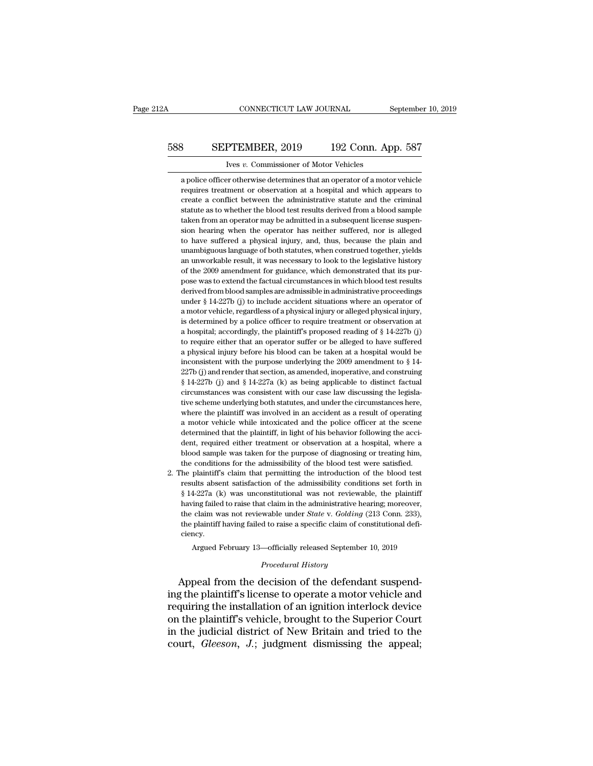# CONNECTICUT LAW JOURNAL September 10, 2019<br>588 SEPTEMBER, 2019 192 Conn. App. 587<br>Ives v. Commissioner of Motor Vehicles CONNECTICUT LAW JOURNAL<br>PTEMBER, 2019 192 Conn. Ap<br>Ives *v.* Commissioner of Motor Vehicles<br>Fr otherwise determines that an operator of a motor

SEPTEMBER, 2019 192 Conn. App. 587<br>
Ives v. Commissioner of Motor Vehicles<br>
a police officer otherwise determines that an operator of a motor vehicle<br>
requires treatment or observation at a hospital and which appears to **SEPTEMBER, 2019** 192 Conn. App. 587<br>Ives v. Commissioner of Motor Vehicles<br>a police officer otherwise determines that an operator of a motor vehicle<br>requires treatment or observation at a hospital and which appears to<br>cre SEPTEMBER,  $2019$  192 Conn. App. 587<br>
vers  $v$ . Commissioner of Motor Vehicles<br>
a police officer otherwise determines that an operator of a motor vehicle<br>
requires treatment or observation at a hospital and which appears France of Motor Vehicles<br>a police officer otherwise determines that an operator of a motor vehicle<br>requires treatment or observation at a hospital and which appears to<br>create a conflict between the administrative statute a Ives v. Commissioner of Motor Vehicles<br>a police officer otherwise determines that an operator of a motor vehicle<br>requires treatment or observation at a hospital and which appears to<br>create a conflict between the administra a police officer otherwise determines that an operator of a motor vehicle requires treatment or observation at a hospital and which appears to create a conflict between the administrative statute and the criminal statute a requires treatment or observation at a hospital and which appears to create a conflict between the administrative statute and the criminal statute as to whether the blood test results derived from a blood sample taken from requence a conflict between the administrative statute and the criminal statute as to whether the blood test results derived from a blood sample taken from an operator may be admitted in a subsequent license suspension hea extatute as to whether the blood test results derived from a blood sample taken from an operator may be admitted in a subsequent license suspension hearing when the operator has neither suffered, nor is alleged to have suf statute as to whether the blood test results derived from a blood sample taken from an operator may be admitted in a subsequent license suspension hearing when the operator has neither suffered, nor is alleged to have suff sion hearing when the operator has neither suffered, nor is alleged to have suffered a physical injury, and, thus, because the plain and unambiguous language of both statutes, when construed together, yields an unworkable to have suffered a physical injury, and, thus, because the plain and unambiguous language of both statutes, when construed together, yields an unworkable result, it was necessary to look to the legislative history of the unambiguous language of both statutes, when construed together, yields<br>an unworkable result, it was necessary to look to the legislative history<br>of the 2009 amendment for guidance, which demonstrated that its pur-<br>pose was an unworkable result, it was necessary to look to the legislative history<br>of the 2009 amendment for guidance, which demonstrated that its pur-<br>pose was to extend the factual circumstances in which blood test results<br>deriv of the 2009 amendment for guidance, which demonstrated that its purpose was to extend the factual circumstances in which blood test results derived from blood samples are admissible in administrative proceedings under § 1 pose was to extend the factual circumstances in which blood test results<br>derived from blood samples are admissible in administrative proceedings<br>under § 14-227b (j) to include accident situations where an operator of<br>a mo derived from blood samples are admissible in administrative proceedings under § 14-227b (j) to include accident situations where an operator of a motor vehicle, regardless of a physical injury or alleged physical injury, under § 14-227b (j) to include accident situations where an operator of a motor vehicle, regardless of a physical injury or alleged physical injury, is determined by a police officer to require treatment or observation at a motor vehicle, regardless of a physical injury or alleged physical injury, is determined by a police officer to require treatment or observation at a hospital; accordingly, the plaintiff's proposed reading of § 14-227b is determined by a police officer to require treatment or observation at a hospital; accordingly, the plaintiff's proposed reading of § 14-227b (j) to require either that an operator suffer or be alleged to have suffered a hospital; accordingly, the plaintiff's proposed reading of § 14-227b (j) to require either that an operator suffer or be alleged to have suffered a physical injury before his blood can be taken at a hospital would be in consistent with an operator suffer or be alleged to have suffered a physical injury before his blood can be taken at a hospital would be inconsistent with the purpose underlying the 2009 amendment to  $\S$  14-227b (j) and r a physical injury before his blood can be taken at a hospital would be inconsistent with the purpose underlying the 2009 amendment to  $\S$  14-227b (j) and render that section, as amended, inoperative, and construing  $\S$  14 inconsistent with the purpose underlying the 2009 amendment to § 14-227b (j) and render that section, as amended, inoperative, and construing § 14-227b (j) and § 14-227a (k) as being applicable to distinct factual circums 227b (j) and render that section, as amended, inoperative, and construing  $\S 14-227b$  (j) and  $\S 14-227a$  (k) as being applicable to distinct factual circumstances was consistent with our case law discussing the legislati  $\frac{1}{2}$  4.227b (j) and § 14-227a (k) as being applicable to distinct factual<br>circumstances was consistent with our case law discussing the legisla-<br>tive scheme underlying both statutes, and under the circumstances here, dentify the scheme in the second through a hour case law discussing the legislative scheme underlying both statutes, and under the circumstances here, where the plaintiff was involved in an accident as a result of operatin tive scheme underlying both statutes, and under the circumstances here, where the plaintiff was involved in an accident as a result of operating a motor vehicle while intoxicated and the police officer at the scene determi where the plaintiff was involved in an accident as a result of operating a motor vehicle while intoxicated and the police officer at the scene determined that the plaintiff, in light of his behavior following the accident, 2. The plaintiff's claim that permitting the introduction of the scene determined that the plaintiff, in light of his behavior following the accident, required either treatment or observation at a hospital, where a blood s determined that the plaintiff, in light of his behavior following the accident, required either treatment or observation at a hospital, where a blood sample was taken for the purpose of diagnosing or treating him, the cond

dent, required either treatment or observation at a hospital, where a blood sample was taken for the purpose of diagnosing or treating him, the conditions for the admissibility of the blood test were satisfied. The plainti bood sample was taken for the purpose of diagnosing or treating him, the conditions for the admissibility of the blood test were satisfied.<br>he plaintiff's claim that permitting the introduction of the blood test results a the conditions for the admissibility of the blood test were satisfied.<br>The plaintiff's claim that permitting the introduction of the blood test<br>results absent satisfaction of the admissibility conditions set forth in<br> $\S 14$ the plaintiff's claim that permitting the introduction of the blood test results absent satisfaction of the admissibility conditions set forth in § 14-227a (k) was unconstitutional was not reviewable, the plaintiff having ciency. 4-227a (k) was unconstitutional was not reviewable, the plaintiff<br>ing failed to raise that claim in the administrative hearing; moreover,<br>claim was not reviewable under *State* v. *Golding* (213 Conn. 233),<br>plaintiff havi having failed to raise that claim in the administrative hearing; moreover, the claim was not reviewable under *State* v. *Golding* (213 Conn. 233), the plaintiff having failed to raise a specific claim of constitutional de having failed to raise that claim in the administrative hearing; moreover,<br>the claim was not reviewable under *State v. Golding* (213 Conn. 233),<br>the plaintiff having failed to raise a specific claim of constitutional defi

In the plaintiff having failed to raise a specific claim of constitutional deficiency.<br>
Argued February 13—officially released September 10, 2019<br> *Procedural History*<br>
Appeal from the decision of the defendant suspend-<br>
i requiring the installation of the defendant suspending the plaintiff's license to operate a motor vehicle and requiring the installation of an ignition interlock device<br>on the plaintiff's vehicle, brought to the Superior C Argued February 13—officially released September 10, 2019<br> *Procedural History*<br>
Appeal from the decision of the defendant suspend-<br>
ing the plaintiff's license to operate a motor vehicle and<br>
requiring the installation of *Procedural History*<br>Appeal from the decision of the defendant suspend-<br>ing the plaintiff's license to operate a motor vehicle and<br>requiring the installation of an ignition interlock device<br>on the plaintiff's vehicle, brou *Procedural History*<br>Appeal from the decision of the defendant suspend-<br>ing the plaintiff's license to operate a motor vehicle and<br>requiring the installation of an ignition interlock device<br>on the plaintiff's vehicle, brou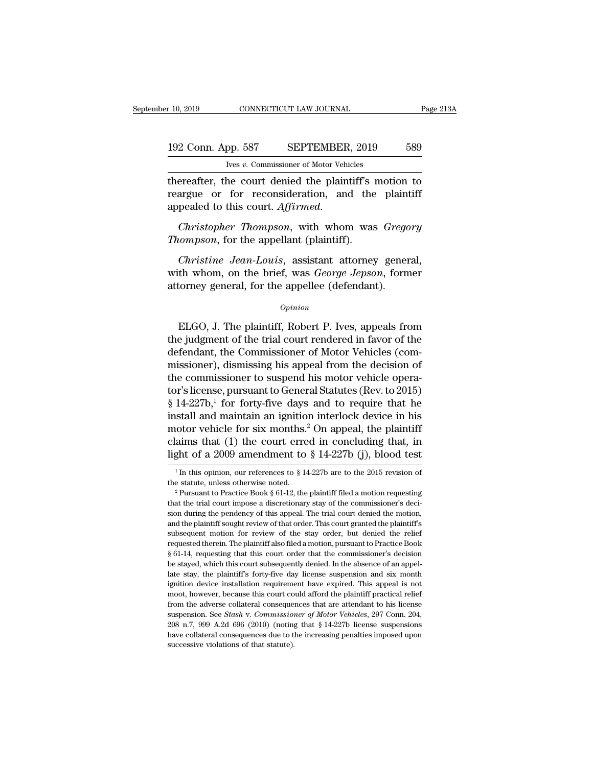# 10, 2019 CONNECTICUT LAW JOURNAL Page 213A<br>192 Conn. App. 587 SEPTEMBER, 2019 589<br>Ives v. Commissioner of Motor Vehicles Ives *v.* Commissioner of Motor Vehicles

the r 10, 2019 CONNECTICUT LAW JOURNAL Page 213A<br>
192 Conn. App. 587 SEPTEMBER, 2019 589<br>
193 Ives v. Commissioner of Motor Vehicles<br>
thereafter, the court denied the plaintiff's motion to<br>
reargue or for reconsideration, 192 Conn. App. 587 SEPTEMBER, 2019 589<br>
Ives v. Commissioner of Motor Vehicles<br>
thereafter, the court denied the plaintiff's motion to<br>
reargue or for reconsideration, and the plaintiff<br>
appealed to this court. Affirmed. 192 Conn. App. 587 SEPTEMBER<br>
<sup>Ives v. Commissioner of Motor Vehi<br>
thereafter, the court denied the plain<br>
reargue or for reconsideration, and<br>
appealed to this court. *Affirmed.*<br> *Christopher Thompson*, with whon</sup> *Christopher Thompson, SEPTENBER, 2019*<br> *Christopher Thompson, with whom was <i>Gregory*<br> *Christopher Thompson, with whom was <i>Gregory*<br> *Christopher Thompson, with whom was <i>Gregory*<br> *Christopher Thompson, with whom was Thes v. Commissioner of Motor Vehicles*<br> *Thereafter, the court denied the plaintiff's 1*<br> *Thereafter, the court denied the plaintiff's 1*<br> *Thompsoner Thompson, with whom was<br>
<i>Thompson, for the appellant (plaintiff).*<br> *Christian* and the plaintiff's motion to<br>argue or for reconsideration, and the plaintiff<br>pealed to this court. *Affirmed.*<br>*Christopher Thompson*, with whom was *Gregory*<br>*compson*, for the appellant (plaintiff).<br>*Christi* 

reargue or for reconsideration, and the plaintiff<br>appealed to this court. Affirmed.<br>Christopher Thompson, with whom was *Gregory*<br>Thompson, for the appellant (plaintiff).<br>Christine Jean-Louis, assistant attorney general,<br>w appealed to this court. Affirmed.<br>
Christopher Thompson, with whom was Grego<br>
Thompson, for the appellant (plaintiff).<br>
Christine Jean-Louis, assistant attorney gener<br>
with whom, on the brief, was George Jepson, form<br>
atto Christine Jean-Louis, assistant attorney general,<br>th whom, on the brief, was *George Jepson*, former<br>torney general, for the appellee (defendant).<br> $opinion$ <br>ELGO, J. The plaintiff, Robert P. Ives, appeals from<br>e judgment of the

### *Opinion*

Christine Jean-Louis, assistant attorney general,<br>with whom, on the brief, was *George Jepson*, former<br>attorney general, for the appellee (defendant).<br> $o_{pinion}$ <br>ELGO, J. The plaintiff, Robert P. Ives, appeals from<br>the judgme with whom, on the brief, was *George Jepson*, former<br>attorney general, for the appellee (defendant).<br> $o_{pinion}$ <br>ELGO, J. The plaintiff, Robert P. Ives, appeals from<br>the judgment of the trial court rendered in favor of the<br>de opinion<br>
opinion<br>
ELGO, J. The plaintiff, Robert P. Ives, appeals from<br>
the judgment of the trial court rendered in favor of the<br>
defendant, the Commissioner of Motor Vehicles (com-<br>
missioner), dismissing his appeal from **ELGO, J. The plaintiff, Robert P. Ives, appeals from**<br>the judgment of the trial court rendered in favor of the<br>defendant, the Commissioner of Motor Vehicles (com-<br>missioner), dismissing his appeal from the decision of<br>th ELGO, J. The plaintiff, Robert P. Ives, appeals from<br>the judgment of the trial court rendered in favor of the<br>defendant, the Commissioner of Motor Vehicles (com-<br>missioner), dismissing his appeal from the decision of<br>the ELGO, J. The plaintiff, Robert P. Ives, appeals from<br>the judgment of the trial court rendered in favor of the<br>defendant, the Commissioner of Motor Vehicles (com-<br>missioner), dismissing his appeal from the decision of<br>the the judgment of the trial court rendered in favor of the<br>defendant, the Commissioner of Motor Vehicles (com-<br>missioner), dismissing his appeal from the decision of<br>the commissioner to suspend his motor vehicle opera-<br>tor' defendant, the Commissioner of Motor Vehicles (commissioner), dismissing his appeal from the decision of the commissioner to suspend his motor vehicle operator's license, pursuant to General Statutes (Rev. to 2015) § 14-2 missioner), dismissing his appeal from the decision of<br>the commissioner to suspend his motor vehicle opera-<br>tor's license, pursuant to General Statutes (Rev. to 2015)<br>§ 14-227b,<sup>1</sup> for forty-five days and to require that the commissioner to suspend his motor vehicle operator's license, pursuant to General Statutes (Rev. to 2015) § 14-227b,<sup>1</sup> for forty-five days and to require that he install and maintain an ignition interlock device in h 1 In this opinion, our references to § 14-227b are to the 2015 revision of a 2009 amendment to § 14-227b (j), blood test  $\frac{1}{1}$  In this opinion, our references to § 14-227b are to the 2015 revision of  $\frac{1}{1}$  in this motor vehicle for six months.<sup>2</sup> On appeal, the plaintiff<br>claims that (1) the court erred in concluding that, in<br>light of a 2009 amendment to § 14-227b (j), blood test<br><sup>1</sup>In this opinion, our references to § 14-227b are t

light of a 2009 amendment to § 14-227b (j), blood test<br>  $\frac{1}{1}$  In this opinion, our references to § 14-227b are to the 2015 revision of<br>
the statute, unless otherwise noted.<br>
<sup>2</sup> Pursuant to Practice Book § 61-12, the <sup>1</sup> In this opinion, our references to § 14-227b are to the 2015 revision of the statute, unless otherwise noted.<br><sup>2</sup> Pursuant to Practice Book § 61-12, the plaintiff filed a motion requesting that the trial court impose <sup>1</sup> In this opinion, our references to § 14-227b are to the 2015 revision of the statute, unless otherwise noted.<br><sup>2</sup> Pursuant to Practice Book § 61-12, the plaintiff filed a motion requesting that the trial court impose the statute, unless otherwise noted.<br>
<sup>2</sup> Pursuant to Practice Book § 61-12, the plaintiff filed a motion requesting that the trial court impose a discretionary stay of the commissioner's decision during the pendency of t <sup>2</sup> Pursuant to Practice Book § 61-12, the plaintiff filed a motion requesting that the trial court impose a discretionary stay of the commissioner's decision during the pendency of this appeal. The trial court denied the that the trial court impose a discretionary stay of the commissioner's decision during the pendency of this appeal. The trial court denied the motion, and the plaintiff sought review of that order. This court granted the p stayed, which this court subsequent which the motion, and the plaintiff sought review of that order. This court granted the plaintiff's subsequent motion for review of the stay order, but denied the relief requested therei and the plaintiff sought review of that order. This court granted the plaintiff's subsequent motion for review of the stay order, but denied the relief requested therein. The plaintiff also filed a motion, pursuant to Prac subsequent motion for review of the stay order, but denied the relief requested therein. The plaintiff also filed a motion, pursuant to Practice Book § 61-14, requesting that this court order that the commissioner's decisi requested therein. The plaintiff also filed a motion, pursuant to Practice Book § 61-14, requesting that this court order that the commissioner's decision be stayed, which this court subsequently denied. In the absence of From the adverse collateral consequences that are attendant of the adverse stayed, which this court subsequently denied. In the absence of an appellate stay, the plaintiff's forty-five day license suspension and six month s of 1, requesting that and solar order that are commissioner of decision<br>be stayed, which this court subsequently denied. In the absence of an appel-<br>late stay, the plaintiff's forty-five day license suspension and six mo 208 n.7, 999 A.2d 696 (2010) (noting that § 14-227b license suspension and six month ignition device installation requirement have expired. This appeal is not moot, however, because this court could afford the plaintiff p magnition device installation requirement have expired. This appeal is not moot, however, because this court could afford the plaintiff practical relief from the adverse collateral consequences that are attendant to his l ignition device installation requirement have expired. This appeal is not moot, however, because this court could afford the plaintiff practical relief from the adverse collateral consequences that are attendant to his li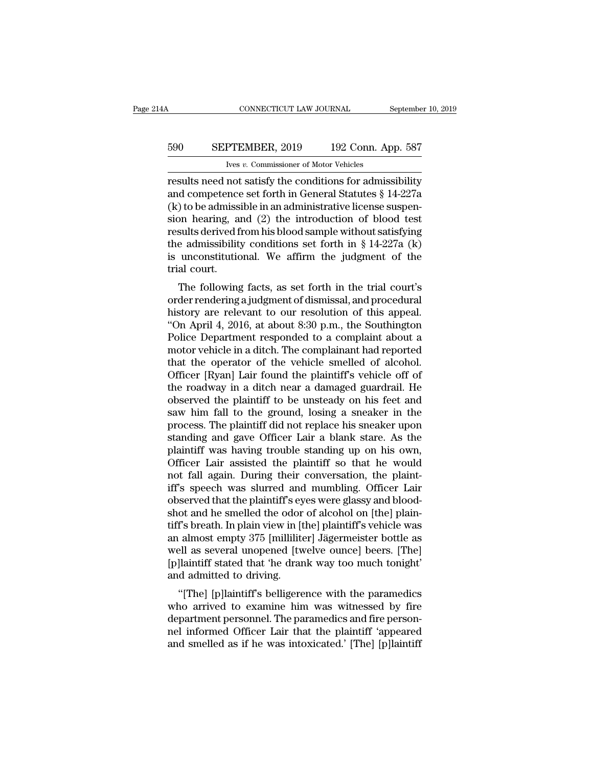# CONNECTICUT LAW JOURNAL September 10, 2019<br>590 SEPTEMBER, 2019 192 Conn. App. 587<br>Ives v. Commissioner of Motor Vehicles CONNECTICUT LAW JOURNAL<br>PTEMBER, 2019 192 Conn. Ap<br>Ives *v.* Commissioner of Motor Vehicles<br>not satisfy the conditions for admiss

CONNECTICUT LAW JOURNAL September 10, 2019<br>
590 SEPTEMBER, 2019 192 Conn. App. 587<br>
Ives v. Commissioner of Motor Vehicles<br>
results need not satisfy the conditions for admissibility<br>
and competence set forth in General Sta EXEPTEMBER, 2019 192 Conn. App. 587<br>
Ives v. Commissioner of Motor Vehicles<br>
results need not satisfy the conditions for admissibility<br>
and competence set forth in General Statutes § 14-227a<br>
(k) to be admissible in an ad 590 SEPTEMBER, 2019 192 Conn. App. 587<br>
Vers v. Commissioner of Motor Vehicles<br>
Tresults need not satisfy the conditions for admissibility<br>
and competence set forth in General Statutes § 14-227a<br>
(k) to be admissible in a Sim SEPTEMBER, 2019 192 Conn. App. 587<br>
Ives v. Commissioner of Motor Vehicles<br>
results need not satisfy the conditions for admissibility<br>
and competence set forth in General Statutes § 14-227a<br>
(k) to be admissible in an For the v. Commissioner of Motor Vehicles<br>results need not satisfy the conditions for admissibility<br>and competence set forth in General Statutes § 14-227a<br>(k) to be admissible in an administrative license suspen-<br>sion hea The admissioner of Motor Vehicles<br>results need not satisfy the conditions for admissibility<br>and competence set forth in General Statutes § 14-227a<br>(k) to be admissible in an administrative license suspen-<br>sion hearing, an results need not satisfy the conditions for admissibility<br>and competence set forth in General Statutes  $\S$  14-227a<br>(k) to be admissible in an administrative license suspen-<br>sion hearing, and (2) the introduction of blood and competence<br>(k) to be admiss<br>sion hearing, a<br>results derived f<br>the admissibility<br>is unconstitutic<br>trial court.<br>The following The following facts, as set forth in the trial court's<br>derived from his blood sample without satisfying<br>e admissibility conditions set forth in  $\S 14-227a$  (k)<br>unconstitutional. We affirm the judgment of the<br>al court.<br>The sion hearing, and ( $z$ ) the introduction of blood test<br>results derived from his blood sample without satisfying<br>the admissibility conditions set forth in § 14-227a (k)<br>is unconstitutional. We affirm the judgment of the<br>tr

results derived front its blood sample without satisfying<br>the admissibility conditions set forth in § 14-227a (k)<br>is unconstitutional. We affirm the judgment of the<br>trial court.<br>The following facts, as set forth in the tri the admissionly conductors set form in  $\S$  14-227*a* (K)<br>
is unconstitutional. We affirm the judgment of the<br>
trial court.<br>
The following facts, as set forth in the trial court's<br>
order rendering a judgment of dismissal, is unconstitutional. We allmit the judgment of the<br>trial court.<br>The following facts, as set forth in the trial court's<br>order rendering a judgment of dismissal, and procedural<br>history are relevant to our resolution of this The following facts, as set forth in the trial court's<br>order rendering a judgment of dismissal, and procedural<br>history are relevant to our resolution of this appeal.<br>"On April 4, 2016, at about 8:30 p.m., the Southington<br>P The following facts, as set forth in the trial court's<br>order rendering a judgment of dismissal, and procedural<br>history are relevant to our resolution of this appeal.<br>"On April 4, 2016, at about 8:30 p.m., the Southington<br>P order rendering a judgment of dismissal, and procedural<br>history are relevant to our resolution of this appeal.<br>"On April 4, 2016, at about 8:30 p.m., the Southington<br>Police Department responded to a complaint about a<br>motor history are relevant to our resolution of this appeal.<br>"On April 4, 2016, at about 8:30 p.m., the Southington<br>Police Department responded to a complaint about a<br>motor vehicle in a ditch. The complainant had reported<br>that t "On April 4, 2016, at about 8:30 p.m., the Southington<br>Police Department responded to a complaint about a<br>motor vehicle in a ditch. The complainant had reported<br>that the operator of the vehicle smelled of alcohol.<br>Officer Police Department responded to a complaint about a<br>motor vehicle in a ditch. The complainant had reported<br>that the operator of the vehicle smelled of alcohol.<br>Officer [Ryan] Lair found the plaintiff's vehicle off of<br>the ro motor vehicle in a ditch. The complainant had reported<br>that the operator of the vehicle smelled of alcohol.<br>Officer [Ryan] Lair found the plaintiff's vehicle off of<br>the roadway in a ditch near a damaged guardrail. He<br>obser that the operator of the vehicle smelled of alcohol.<br>Officer [Ryan] Lair found the plaintiff's vehicle off of<br>the roadway in a ditch near a damaged guardrail. He<br>observed the plaintiff to be unsteady on his feet and<br>saw hi Officer [Ryan] Lair found the plaintiff's vehicle off of<br>the roadway in a ditch near a damaged guardrail. He<br>observed the plaintiff to be unsteady on his feet and<br>saw him fall to the ground, losing a sneaker in the<br>process the roadway in a ditch near a damaged guardrail. He<br>observed the plaintiff to be unsteady on his feet and<br>saw him fall to the ground, losing a sneaker in the<br>process. The plaintiff did not replace his sneaker upon<br>standing observed the plaintiff to be unsteady on his feet and<br>saw him fall to the ground, losing a sneaker in the<br>process. The plaintiff did not replace his sneaker upon<br>standing and gave Officer Lair a blank stare. As the<br>plainti saw him fall to the ground, losing a sneaker in the<br>process. The plaintiff did not replace his sneaker upon<br>standing and gave Officer Lair a blank stare. As the<br>plaintiff was having trouble standing up on his own,<br>Officer process. The plaintiff did not replace his sneaker upon standing and gave Officer Lair a blank stare. As the plaintiff was having trouble standing up on his own, Officer Lair assisted the plaintiff so that he would not fal standing and gave Officer Lair a blank stare. As the plaintiff was having trouble standing up on his own, Officer Lair assisted the plaintiff so that he would not fall again. During their conversation, the plaintiff's spee plaintiff was having trouble standing up on his own,<br>Officer Lair assisted the plaintiff so that he would<br>not fall again. During their conversation, the plaint-<br>iff's speech was slurred and mumbling. Officer Lair<br>observed Officer Lair assisted the plaintiff so that he would<br>not fall again. During their conversation, the plaint-<br>iff's speech was slurred and mumbling. Officer Lair<br>observed that the plaintiff's eyes were glassy and blood-<br>shot not fall again. During their conversation, the plaint-<br>iff's speech was slurred and mumbling. Officer Lair<br>observed that the plaintiff's eyes were glassy and blood-<br>shot and he smelled the odor of alcohol on [the] plain-<br>t iff's speech was slurred and mumbling. Officer Lair<br>observed that the plaintiff's eyes were glassy and blood-<br>shot and he smelled the odor of alcohol on [the] plain-<br>tiff's breath. In plain view in [the] plaintiff's vehicl observed that the plaintiff's ey<br>shot and he smelled the odor<br>tiff's breath. In plain view in [t<br>an almost empty 375 [millilite<br>well as several unopened [tw<br>[p]laintiff stated that 'he dran<br>and admitted to driving.<br>"[The] of and he shiened the otor of alcohol on [the] plain-<br>
if's breath. In plain view in [the] plaintiff's vehicle was<br>
almost empty 375 [milliliter] Jägermeister bottle as<br>
all as several unopened [twelve ounce] beers. [The]<br> In s breath. In plain view in [the] plaintin's ventite was<br>an almost empty 375 [milliliter] Jägermeister bottle as<br>well as several unopened [twelve ounce] beers. [The]<br>[p]laintiff stated that 'he drank way too much tonight

an amost empty 375 [minimer] Jagermeister bottle as<br>well as several unopened [twelve ounce] beers. [The]<br>[p]laintiff stated that 'he drank way too much tonight'<br>and admitted to driving.<br>"[The] [p]laintiff's belligerence wi well as several unopened [twerve ounce] beers. [The]<br>[p]laintiff stated that 'he drank way too much tonight'<br>and admitted to driving.<br>"[The] [p]laintiff's belligerence with the paramedics<br>who arrived to examine him was wit Infinited as if he was intoxicated.' [The] [p]<br>and admitted to driving.<br>"[The] [p]laintiff's belligerence with the paramedics<br>who arrived to examine him was witnessed by fire<br>department personnel. The paramedics and fire p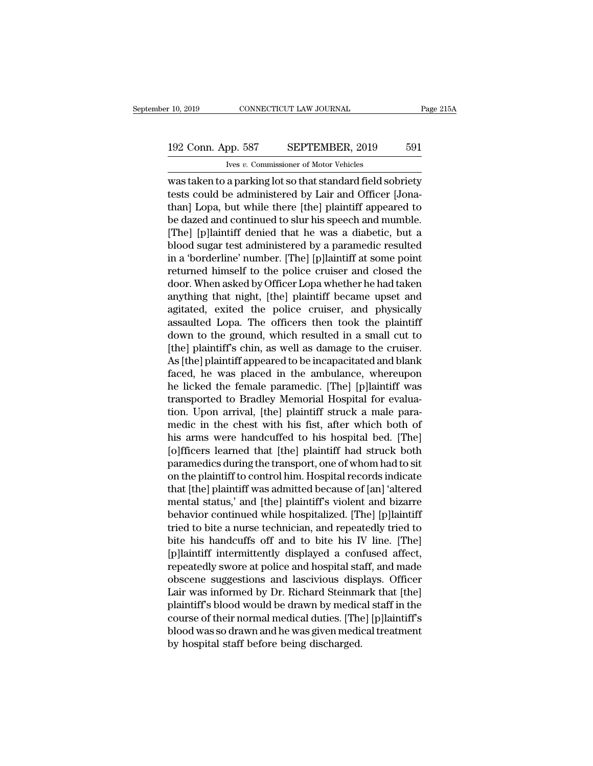# 10, 2019 CONNECTICUT LAW JOURNAL Page 215A<br>192 Conn. App. 587 SEPTEMBER, 2019 591<br>Ives v. Commissioner of Motor Vehicles

IVES 10, 2019 CONNECTICUT LAW JOURNAL<br>
IVES *v.* Commissioner of Motor Vehicles<br>
was taken to a parking lot so that standard field sobriety<br>
tests could be administered by Lair and Officer [Jona-<br>
than] Lopa, but while the r 10, 2019 CONNECTICUT LAW JOURNAL Page 215A<br>
192 Conn. App. 587 SEPTEMBER, 2019 591<br>
193 Conn. App. 587 SEPTEMBER, 2019 591<br>
193 Conn. App. 587 SEPTEMBER, 2019 591<br>
193 Connection of Motor Vehicles<br>
193 Connection of Moto 192 Conn. App. 587 SEPTEMBER, 2019 591<br>
Very v. Commissioner of Motor Vehicles<br>
Was taken to a parking lot so that standard field sobriety<br>
tests could be administered by Lair and Officer [Jona-<br>
than] Lopa, but while the 192 Conn. App. 587 SEPTEMBER, 2019 591<br>
Vers v. Commissioner of Motor Vehicles<br>
Was taken to a parking lot so that standard field sobriety<br>
tests could be administered by Lair and Officer [Jona-<br>
than] Lopa, but while the I'LLET UNITED THE USE OF MANAGED THE USE OF MANAGED THE WAS SERVED USE AN UNITED A DISPONDING THE UPPER THAN J Lopa, but while there [the] plaintiff appeared to be dazed and continued to slur his speech and mumble.<br>
[The] blood sugar test administered by Lair and Officer [Jonathan] Lopa, but while there [the] plaintiff appeared to be dazed and continued to slur his speech and mumble.<br>
[The] [p]laintiff denied that he was a diabetic, but a was taken to a parking lot so that standard field sobriety<br>tests could be administered by Lair and Officer [Jona-<br>than] Lopa, but while there [the] plaintiff appeared to<br>be dazed and continued to slur his speech and mumble tests could be administered by Lair and Officer [Jona-<br>than] Lopa, but while there [the] plaintiff appeared to<br>be dazed and continued to slur his speech and mumble.<br>[The] [p]laintiff denied that he was a diabetic, but a<br>bl than] Lopa, but while there [the] plaintiff appeared to<br>be dazed and continued to slur his speech and mumble.<br>[The] [p]laintiff denied that he was a diabetic, but a<br>blood sugar test administered by a paramedic resulted<br>in be dazed and continued to slur his speech and mumble.<br>[The] [p]laintiff denied that he was a diabetic, but a<br>blood sugar test administered by a paramedic resulted<br>in a 'borderline' number. [The] [p]laintiff at some point<br>r [The] [p]laintiff denied that he was a diabetic, but a<br>blood sugar test administered by a paramedic resulted<br>in a 'borderline' number. [The] [p]laintiff at some point<br>returned himself to the police cruiser and closed the<br>d blood sugar test administered by a paramedic resulted<br>in a 'borderline' number. [The] [p]laintiff at some point<br>returned himself to the police cruiser and closed the<br>door. When asked by Officer Lopa whether he had taken<br>an in a 'borderline' number. [The] [p]laintiff at some point<br>returned himself to the police cruiser and closed the<br>door. When asked by Officer Lopa whether he had taken<br>anything that night, [the] plaintiff became upset and<br>ag returned himself to the police cruiser and closed the<br>door. When asked by Officer Lopa whether he had taken<br>anything that night, [the] plaintiff became upset and<br>agitated, exited the police cruiser, and physically<br>assaulte door. When asked by Officer Lopa whether he had taken<br>anything that night, [the] plaintiff became upset and<br>agitated, exited the police cruiser, and physically<br>assaulted Lopa. The officers then took the plaintiff<br>down to t anything that night, [the] plaintiff became upset and<br>agitated, exited the police cruiser, and physically<br>assaulted Lopa. The officers then took the plaintiff<br>down to the ground, which resulted in a small cut to<br>[the] plai agitated, exited the police cruiser, and physically<br>assaulted Lopa. The officers then took the plaintiff<br>down to the ground, which resulted in a small cut to<br>[the] plaintiff's chin, as well as damage to the cruiser.<br>As [th assaulted Lopa. The officers then took the plaintiff<br>down to the ground, which resulted in a small cut to<br>[the] plaintiff's chin, as well as damage to the cruiser.<br>As [the] plaintiff appeared to be incapacitated and blank<br> down to the ground, which resulted in a small cut to<br>[the] plaintiff's chin, as well as damage to the cruiser.<br>As [the] plaintiff appeared to be incapacitated and blank<br>faced, he was placed in the ambulance, whereupon<br>he l [the] plaintiff's chin, as well as damage to the cruiser.<br>As [the] plaintiff appeared to be incapacitated and blank<br>faced, he was placed in the ambulance, whereupon<br>he licked the female paramedic. [The] [p]laintiff was<br>tra As [the] plaintiff appeared to be incapacitated and blank<br>faced, he was placed in the ambulance, whereupon<br>he licked the female paramedic. [The] [p]laintiff was<br>transported to Bradley Memorial Hospital for evalua-<br>tion. Up faced, he was placed in the ambulance, whereupon<br>he licked the female paramedic. [The] [p]laintiff was<br>transported to Bradley Memorial Hospital for evalua-<br>tion. Upon arrival, [the] plaintiff struck a male para-<br>medic in t he licked the female paramedic. [The] [p]laintiff was<br>transported to Bradley Memorial Hospital for evalua-<br>tion. Upon arrival, [the] plaintiff struck a male para-<br>medic in the chest with his fist, after which both of<br>his a transported to Bradley Memorial Hospital for evaluation. Upon arrival, [the] plaintiff struck a male paramedic in the chest with his fist, after which both of his arms were handcuffed to his hospital bed. [The] [o]fficers tion. Upon arrival, [the] plaintiff struck a male para-<br>medic in the chest with his fist, after which both of<br>his arms were handcuffed to his hospital bed. [The]<br>[o]fficers learned that [the] plaintiff had struck both<br>para medic in the chest with his fist, after which both of<br>his arms were handcuffed to his hospital bed. [The]<br>[o]fficers learned that [the] plaintiff had struck both<br>paramedics during the transport, one of whom had to sit<br>on t his arms were handcuffed to his hospital bed. [The]<br>[o]fficers learned that [the] plaintiff had struck both<br>paramedics during the transport, one of whom had to sit<br>on the plaintiff to control him. Hospital records indicate [o]fficers learned that [the] plaintiff had struck both<br>paramedics during the transport, one of whom had to sit<br>on the plaintiff to control him. Hospital records indicate<br>that [the] plaintiff was admitted because of [an] ' paramedics during the transport, one of whom had to sit<br>on the plaintiff to control him. Hospital records indicate<br>that [the] plaintiff was admitted because of [an] 'altered<br>mental status,' and [the] plaintiff's violent an on the plaintiff to control him. Hospital records indicate<br>that [the] plaintiff was admitted because of [an] 'altered<br>mental status,' and [the] plaintiff's violent and bizarre<br>behavior continued while hospitalized. [The] [ that [the] plaintiff was admitted because of [an] 'altered<br>mental status,' and [the] plaintiff's violent and bizarre<br>behavior continued while hospitalized. [The] [p]laintiff<br>tried to bite a nurse technician, and repeatedly mental status,' and [the] plaintiff's violent and bizarre<br>behavior continued while hospitalized. [The] [p]laintiff<br>tried to bite a nurse technician, and repeatedly tried to<br>bite his handcuffs off and to bite his IV line. [ behavior continued while hospitalized. [The] [p]laintiff<br>tried to bite a nurse technician, and repeatedly tried to<br>bite his handcuffs off and to bite his IV line. [The]<br>[p]laintiff intermittently displayed a confused affec tried to bite a nurse technician, and repeatedly tried to<br>bite his handcuffs off and to bite his IV line. [The]<br>[p]laintiff intermittently displayed a confused affect,<br>repeatedly swore at police and hospital staff, and mad bite his handcuffs off and to bite his IV line. [The]<br>[p]laintiff intermittently displayed a confused affect,<br>repeatedly swore at police and hospital staff, and made<br>obscene suggestions and lascivious displays. Officer<br>Lai [p]laintiff intermittently displayed a confused affect,<br>repeatedly swore at police and hospital staff, and made<br>obscene suggestions and lascivious displays. Officer<br>Lair was informed by Dr. Richard Steinmark that [the]<br>pla repeatedly swore at police and hospital sta<br>obscene suggestions and lascivious disp<br>Lair was informed by Dr. Richard Steinma<br>plaintiff's blood would be drawn by medic<br>course of their normal medical duties. [The<br>blood was s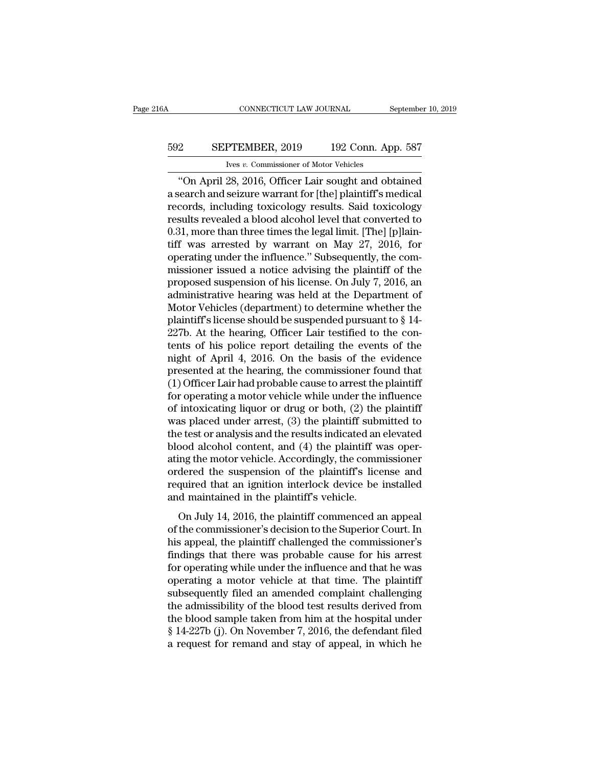# CONNECTICUT LAW JOURNAL September 10, 2019<br>592 SEPTEMBER, 2019 192 Conn. App. 587<br>Ives v. Commissioner of Motor Vehicles EXECTICUT LAW JOURNAL<br>IVES *v.* Commissioner of Motor Vehicles<br>28 2016 Officer Lair sought and obj

CONNECTICUT LAW JOURNAL September 10, 2019<br>
2 SEPTEMBER, 2019 192 Conn. App. 587<br>
192 Conn. App. 587<br>
192 Conn. App. 587<br>
192 Conn. App. 587<br>
192 Conn. App. 587<br>
192 Conn. App. 587<br>
192 Conn. App. 587<br>
192 Conn. App. 587<br> SEPTEMBER, 2019 192 Conn. App. 587<br>
Ives v. Commissioner of Motor Vehicles<br>
"On April 28, 2016, Officer Lair sought and obtained<br>
a search and seizure warrant for [the] plaintiff's medical<br>
records, including toxicology re SEPTEMBER, 2019 192 Conn. App. 587<br>
Vers v. Commissioner of Motor Vehicles<br>
"On April 28, 2016, Officer Lair sought and obtained<br>
a search and seizure warrant for [the] plaintiff's medical<br>
records, including toxicology re EXEPTEMBER, 2019 192 Conn. App. 587<br>
Ves v. Commissioner of Motor Vehicles<br>
"On April 28, 2016, Officer Lair sought and obtained<br>
a search and seizure warrant for [the] plaintiff's medical<br>
records, including toxicology r For the lines of Motor Vehicles<br>
"On April 28, 2016, Officer Lair sought and obtained<br>
a search and seizure warrant for [the] plaintiff's medical<br>
records, including toxicology results. Said toxicology<br>
results revealed a The vector vehicles<br>
"On April 28, 2016, Officer Lair sought and obtained<br>
a search and seizure warrant for [the] plaintiff's medical<br>
records, including toxicology results. Said toxicology<br>
results revealed a blood alcoh "On April 28, 2016, Officer Lair sought and obtained<br>a search and seizure warrant for [the] plaintiff's medical<br>records, including toxicology results. Said toxicology<br>results revealed a blood alcohol level that converted a search and seizure warrant for [the] plaintiff's medical<br>records, including toxicology results. Said toxicology<br>results revealed a blood alcohol level that converted to<br>0.31, more than three times the legal limit. [The] records, including toxicology results. Said toxicology<br>results revealed a blood alcohol level that converted to<br>0.31, more than three times the legal limit. [The] [p]lain-<br>tiff was arrested by warrant on May 27, 2016, for<br> results revealed a blood alcohol level that converted to 0.31, more than three times the legal limit. [The] [p]lain-<br>tiff was arrested by warrant on May 27, 2016, for<br>operating under the influence." Subsequently, the com-<br> 0.31, more than three times the legal limit. [The] [p]laintiff was arrested by warrant on May 27, 2016, for operating under the influence." Subsequently, the commissioner issued a notice advising the plaintiff of the prop tiff was arrested by warrant on May 27, 2016, for<br>operating under the influence." Subsequently, the com-<br>missioner issued a notice advising the plaintiff of the<br>proposed suspension of his license. On July 7, 2016, an<br>admi operating under the influence." Subsequently, the commissioner issued a notice advising the plaintiff of the proposed suspension of his license. On July 7, 2016, an administrative hearing was held at the Department of Mot missioner issued a notice advising the plaintiff of the<br>proposed suspension of his license. On July 7, 2016, an<br>administrative hearing was held at the Department of<br>Motor Vehicles (department) to determine whether the<br>plai proposed suspension of his license. On July 7, 2016, an<br>administrative hearing was held at the Department of<br>Motor Vehicles (department) to determine whether the<br>plaintiff's license should be suspended pursuant to § 14-<br>22 administrative hearing was held at the Department of<br>Motor Vehicles (department) to determine whether the<br>plaintiff's license should be suspended pursuant to § 14-<br>227b. At the hearing, Officer Lair testified to the con-<br>t Motor Vehicles (department) to determine whether the plaintiff's license should be suspended pursuant to  $\S$  14-227b. At the hearing, Officer Lair testified to the contents of his police report detailing the events of the plaintiff's license should be suspended pursuant to  $\S$  14-<br>227b. At the hearing, Officer Lair testified to the con-<br>tents of his police report detailing the events of the<br>night of April 4, 2016. On the basis of the evide 227b. At the hearing, Officer Lair testified to the contents of his police report detailing the events of the night of April 4, 2016. On the basis of the evidence presented at the hearing, the commissioner found that (1) O tents of his police report detailing the events of the<br>night of April 4, 2016. On the basis of the evidence<br>presented at the hearing, the commissioner found that<br>(1) Officer Lair had probable cause to arrest the plaintiff might of April 4, 2016. On the basis of the evidence<br>presented at the hearing, the commissioner found that<br>(1) Officer Lair had probable cause to arrest the plaintiff<br>for operating a motor vehicle while under the influence presented at the hearing, the commissioner found that<br>(1) Officer Lair had probable cause to arrest the plaintiff<br>for operating a motor vehicle while under the influence<br>of intoxicating liquor or drug or both, (2) the plai (1) Officer Lair had probable cause to arrest the plaintiff<br>for operating a motor vehicle while under the influence<br>of intoxicating liquor or drug or both, (2) the plaintiff<br>was placed under arrest, (3) the plaintiff subm for operating a motor vehicle while under the influence<br>of intoxicating liquor or drug or both, (2) the plaintiff<br>was placed under arrest, (3) the plaintiff submitted to<br>the test or analysis and the results indicated an el of intoxicating liquor or drug or both, (2) the plaintiff<br>was placed under arrest, (3) the plaintiff submitted to<br>the test or analysis and the results indicated an elevated<br>blood alcohol content, and (4) the plaintiff was was placed under arrest, (3) the plaintiff subility the test or analysis and the results indicated an blood alcohol content, and (4) the plaintiff wating the motor vehicle. Accordingly, the commordered the suspension of th ood alcohol content, and (4) the plaintiff was oper-<br>ood alcohol content, and (4) the plaintiff was oper-<br>ing the motor vehicle. Accordingly, the commissioner<br>dered the suspension of the plaintiff's license and<br>quired that of the motor vehicle. Accordingly, the commissioner<br>ordered the suspension of the plaintiff's license and<br>required that an ignition interlock device be installed<br>and maintained in the plaintiff's vehicle.<br>On July 14, 2016

ading are motor center. Here that an and the plaint of schemarist ordered that an ignition interlock device be installed and maintained in the plaint if s vehicle.<br>On July 14, 2016, the plaint if commenced an appeal of the Fraction are suspension of the plantings hecked and<br>required that an ignition interlock device be installed<br>and maintained in the plaintiff's vehicle.<br>On July 14, 2016, the plaintiff commenced an appeal<br>of the commissioner for a maximum and maintained in the plaintiff's vehicle.<br>
On July 14, 2016, the plaintiff commenced an appeal<br>
of the commissioner's decision to the Superior Court. In<br>
his appeal, the plaintiff challenged the commissioner on July 14, 2016, the plaintiff commenced an appeal<br>of the commissioner's decision to the Superior Court. In<br>his appeal, the plaintiff challenged the commissioner's<br>findings that there was probable cause for his arrest<br>for On July 14, 2016, the plaintiff commenced an appeal<br>of the commissioner's decision to the Superior Court. In<br>his appeal, the plaintiff challenged the commissioner's<br>findings that there was probable cause for his arrest<br>for of the commissioner's decision to the Superior Court. In<br>his appeal, the plaintiff challenged the commissioner's<br>findings that there was probable cause for his arrest<br>for operating while under the influence and that he was his appeal, the plaintiff challenged the commissioner's<br>findings that there was probable cause for his arrest<br>for operating while under the influence and that he was<br>operating a motor vehicle at that time. The plaintiff<br>su findings that there was probable cause for his arrest<br>for operating while under the influence and that he was<br>operating a motor vehicle at that time. The plaintiff<br>subsequently filed an amended complaint challenging<br>the ad for operating while under the influence and that he was<br>operating a motor vehicle at that time. The plaintiff<br>subsequently filed an amended complaint challenging<br>the admissibility of the blood test results derived from<br>th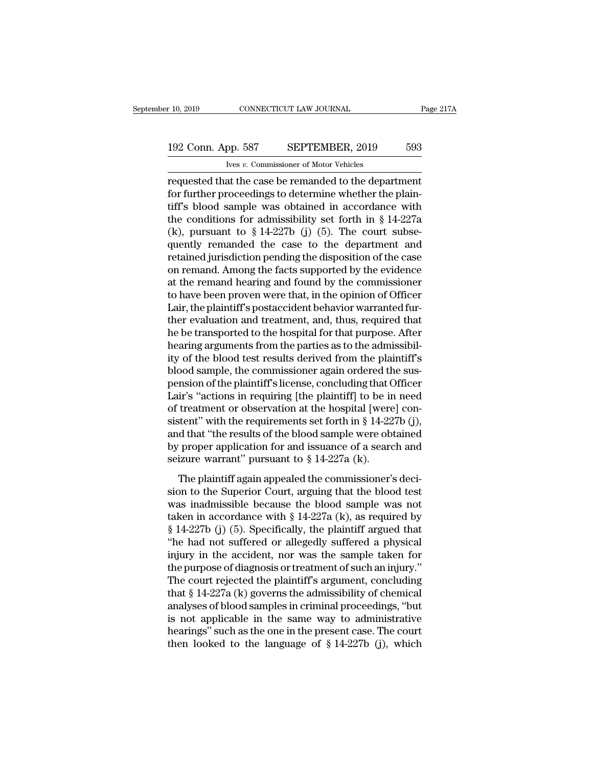# 10, 2019 CONNECTICUT LAW JOURNAL Page 217A<br>192 Conn. App. 587 SEPTEMBER, 2019 593<br>Ives v. Commissioner of Motor Vehicles

IVER 10, 2019 CONNECTICUT LAW JOURNAL<br>
192 Conn. App. 587 SEPTEMBER, 2019 593<br>
<sup>Ives *v*. Commissioner of Motor Vehicles<br>
requested that the case be remanded to the department<br>
for further proceedings to determine whether </sup> requested that the case be remanded to the department<br>that the case be remanded to the department<br>for further proceedings to determine whether the plain-<br>tiff's blood sample was obtained in assordance with 192 Conn. App. 587 SEPTEMBER, 2019 593<br>
Ves v. Commissioner of Motor Vehicles<br>
requested that the case be remanded to the department<br>
for further proceedings to determine whether the plain-<br>
tiff's blood sample was obtain 192 Conn. App. 587 SEPTEMBER, 2019 593<br>
Vers v. Commissioner of Motor Vehicles<br>
requested that the case be remanded to the department<br>
for further proceedings to determine whether the plain-<br>
tiff's blood sample was obtai (k), pursuant to § 14-227b (j) (5). The court subserequested that the case be remanded to the department<br>for further proceedings to determine whether the plain-<br>tiff's blood sample was obtained in accordance with<br>the conditions for admissibility set forth in § 14-227a<br>(k) requested that the case be remanded to the department<br>for further proceedings to determine whether the plain-<br>tiff's blood sample was obtained in accordance with<br>the conditions for admissibility set forth in § 14-227a<br>(k), for further proceedings to determine whether the plain-<br>tiff's blood sample was obtained in accordance with<br>the conditions for admissibility set forth in § 14-227a<br>(k), pursuant to § 14-227b (j) (5). The court subse-<br>quen tiff's blood sample was obtained in accordance with<br>the conditions for admissibility set forth in § 14-227a<br>(k), pursuant to § 14-227b (j) (5). The court subse-<br>quently remanded the case to the department and<br>retained jur the conditions for admissibility set forth in § 14-227a (k), pursuant to § 14-227b (j) (5). The court subsequently remanded the case to the department and retained jurisdiction pending the disposition of the case on reman (k), pursuant to  $\S$  14-227b (j) (5). The court subsequently remanded the case to the department and retained jurisdiction pending the disposition of the case on remand. Among the facts supported by the evidence at the re quently remanded the case to the department and<br>retained jurisdiction pending the disposition of the case<br>on remand. Among the facts supported by the evidence<br>at the remand hearing and found by the commissioner<br>to have bee retained jurisdiction pending the disposition of the case<br>on remand. Among the facts supported by the evidence<br>at the remand hearing and found by the commissioner<br>to have been proven were that, in the opinion of Officer<br>La on remand. Among the facts supported by the evidence<br>at the remand hearing and found by the commissioner<br>to have been proven were that, in the opinion of Officer<br>Lair, the plaintiff's postaccident behavior warranted fur-<br>t at the remand hearing and found by the commissioner<br>to have been proven were that, in the opinion of Officer<br>Lair, the plaintiff's postaccident behavior warranted fur-<br>ther evaluation and treatment, and, thus, required tha to have been proven were that, in the opinion of Officer<br>Lair, the plaintiff's postaccident behavior warranted fur-<br>ther evaluation and treatment, and, thus, required that<br>he be transported to the hospital for that purpose Lair, the plaintiff's postaccident behavior warranted fur-<br>ther evaluation and treatment, and, thus, required that<br>he be transported to the hospital for that purpose. After<br>hearing arguments from the parties as to the admi ther evaluation and treatment, and, thus, required that<br>
he be transported to the hospital for that purpose. After<br>
hearing arguments from the parties as to the admissibil-<br>
ity of the blood test results derived from the p he be transported to the hospital for that purpose. After<br>hearing arguments from the parties as to the admissibil-<br>ity of the blood test results derived from the plaintiff's<br>blood sample, the commissioner again ordered th hearing arguments from the parties as to the admissibility of the blood test results derived from the plaintiff's<br>blood sample, the commissioner again ordered the sus-<br>pension of the plaintiff's license, concluding that Of ity of the blood test results derived from the plaintiff's<br>blood sample, the commissioner again ordered the sus-<br>pension of the plaintiff's license, concluding that Officer<br>Lair's "actions in requiring [the plaintiff] to blood sample, the commissioner again ordered the sus-<br>pension of the plaintiff's license, concluding that Officer<br>Lair's "actions in requiring [the plaintiff] to be in need<br>of treatment or observation at the hospital [wer pension of the plaintiff's license, concluding that C<br>Lair's "actions in requiring [the plaintiff] to be ir<br>of treatment or observation at the hospital [were<br>sistent" with the requirements set forth in § 14-22<br>and that "th The plaintiff again appealed the commissioner's deci-<br>treatment or observation at the hospital [were] constent" with the requirements set forth in § 14-227b (j), d that "the results of the blood sample were obtained prope sistent" with the requirements set forth in § 14-227b (j),<br>and that "the results of the blood sample were obtained<br>by proper application for and issuance of a search and<br>seizure warrant" pursuant to § 14-227a (k).<br>The pla

and that "the results of the blood sample were obtained<br>by proper application for and issuance of a search and<br>seizure warrant" pursuant to § 14-227a (k).<br>The plaintiff again appealed the commissioner's deci-<br>sion to the by proper application for and issuance of a search and<br>seizure warrant" pursuant to § 14-227a (k).<br>The plaintiff again appealed the commissioner's deci-<br>sion to the Superior Court, arguing that the blood test<br>was inadmiss Solvet the plaintiff argued the commissioner's decision to the Superior Court, arguing that the blood test<br>was inadmissible because the blood sample was not<br>taken in accordance with § 14-227a (k), as required by<br>§ 14-227b The plaintiff again appealed the commissioner's decision to the Superior Court, arguing that the blood test was inadmissible because the blood sample was not taken in accordance with § 14-227a (k), as required by § 14-227 The plaintiff again appealed the commissioner's decision to the Superior Court, arguing that the blood test<br>was inadmissible because the blood sample was not<br>taken in accordance with § 14-227a (k), as required by<br>§ 14-227 sion to the Superior Court, arguing that the blood test<br>was inadmissible because the blood sample was not<br>taken in accordance with § 14-227a (k), as required by<br>§ 14-227b (j) (5). Specifically, the plaintiff argued that<br>" was inadmissible because the blood sample was not<br>taken in accordance with § 14-227a (k), as required by<br>§ 14-227b (j) (5). Specifically, the plaintiff argued that<br>"he had not suffered or allegedly suffered a physical<br>inj taken in accordance with § 14-227a (k), as required by § 14-227b (j) (5). Specifically, the plaintiff argued that "he had not suffered or allegedly suffered a physical injury in the accident, nor was the sample taken for  $\S$  14-227b (j) (5). Specifically, the plaintiff argued that<br>
"he had not suffered or allegedly suffered a physical<br>
injury in the accident, nor was the sample taken for<br>
the purpose of diagnosis or treatment of such an i "he had not suffered or allegedly suffered a physical<br>injury in the accident, nor was the sample taken for<br>the purpose of diagnosis or treatment of such an injury."<br>The court rejected the plaintiff's argument, concluding<br> injury in the accident, nor was the sample taken for<br>the purpose of diagnosis or treatment of such an injury."<br>The court rejected the plaintiff's argument, concluding<br>that  $\S 14-227a$  (k) governs the admissibility of chem the purpose of diagnosis or treatment of such an injury."<br>The court rejected the plaintiff's argument, concluding<br>that  $\S 14-227a$  (k) governs the admissibility of chemical<br>analyses of blood samples in criminal proceeding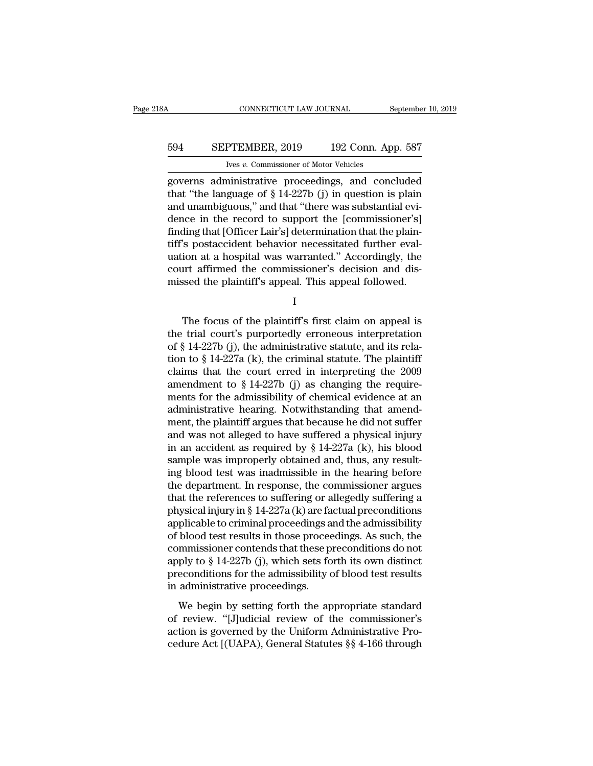## CONNECTICUT LAW JOURNAL September 10, 2019<br>594 SEPTEMBER, 2019 192 Conn. App. 587<br>Ives v. Commissioner of Motor Vehicles CONNECTICUT LAW JOURNAL<br>PTEMBER, 2019 192 Conn. Ap<br>Ives *v.* Commissioner of Motor Vehicles<br>ministrative proceedings and conc

CONNECTICUT LAW JOURNAL September 10, 2019<br>
SEPTEMBER, 2019 192 Conn. App. 587<br>
Ives v. Commissioner of Motor Vehicles<br>
governs administrative proceedings, and concluded<br>
that "the language of § 14-227b (j) in question is 594 SEPTEMBER, 2019 192 Conn. App. 587<br>
Ives v. Commissioner of Motor Vehicles<br>
governs administrative proceedings, and concluded<br>
that "the language of § 14-227b (j) in question is plain<br>
and unambiguous," and that "there 594 SEPTEMBER, 2019 192 Conn. App. 587<br>
ves v. Commissioner of Motor Vehicles<br>
governs administrative proceedings, and concluded<br>
that "the language of § 14-227b (j) in question is plain<br>
and unambiguous," and that "there 594 SEPTEMBER, 2019 192 Conn. App. 587<br>
Ives v. Commissioner of Motor Vehicles<br>
governs administrative proceedings, and concluded<br>
that "the language of  $\S 14-227b$  (j) in question is plain<br>
and unambiguous," and that "th Figure 2.11 Taking the Tampel of Notor Vehicles<br>governs administrative proceedings, and concluded<br>that "the language of § 14-227b (j) in question is plain<br>and unambiguous," and that "there was substantial evi-<br>dence in th The velocity commissioner of Motor Vencles<br>governs administrative proceedings, and concluded<br>that "the language of  $\S 14-227b$  (j) in question is plain<br>and unambiguous," and that "there was substantial evi-<br>dence in the r governs administrative proceedings, and concluded<br>that "the language of § 14-227b (j) in question is plain<br>and unambiguous," and that "there was substantial evi-<br>dence in the record to support the [commissioner's]<br>finding that "the language of  $\S$  14-227b (j) in question is plain<br>and unambiguous," and that "there was substantial evi-<br>dence in the record to support the [commissioner's]<br>finding that [Officer Lair's] determination that the pl and unambiguous," and that "there was substantial evidence in the record to support the [commissioner's] finding that [Officer Lair's] determination that the plaintiff's postaccident behavior necessitated further evaluatio The focus of the plaintiff's matrix of the plaintiff's appeal of the plaintiff's appeal followed.<br>
I<br>
The focus of the plaintiff's first claim on appeal is<br>
trial court's purportedly erroneous interpretation<br>  $\frac{1}{1}$ <br>
T

I

uation at a hospital was warranted." Accordingly, the<br>
court affirmed the commissioner's decision and dis-<br>
missed the plaintiff's appeal. This appeal followed.<br>
I<br>
The focus of the plaintiff's first claim on appeal is<br>
t court affirmed the commissioner's decision and dis-<br>missed the plaintiff's appeal. This appeal followed.<br>I<br>The focus of the plaintiff's first claim on appeal is<br>the trial court's purportedly erroneous interpretation<br>of § missed the plaintiff's appeal. This appeal followed.<br>
I<br>
The focus of the plaintiff's first claim on appeal is<br>
the trial court's purportedly erroneous interpretation<br>
of § 14-227b (j), the administrative statute, and its I<br>
The focus of the plaintiff's first claim on appeal is<br>
the trial court's purportedly erroneous interpretation<br>
of § 14-227b (j), the administrative statute, and its rela-<br>
tion to § 14-227a (k), the criminal statute. T The focus of the plaintiff's first claim on appeal is<br>the trial court's purportedly erroneous interpretation<br>of § 14-227b (j), the administrative statute, and its rela-<br>tion to § 14-227a (k), the criminal statute. The pla The focus of the plaintiff's first claim on appeal is<br>the trial court's purportedly erroneous interpretation<br>of § 14-227b (j), the administrative statute, and its rela-<br>tion to § 14-227a (k), the criminal statute. The pla the trial court's purportedly erroneous interpretation<br>of § 14-227b (j), the administrative statute, and its rela-<br>tion to § 14-227a (k), the criminal statute. The plaintiff<br>claims that the court erred in interpreting the of § 14-227b (j), the administrative statute, and its rela-<br>tion to § 14-227a (k), the criminal statute. The plaintiff<br>claims that the court erred in interpreting the 2009<br>amendment to § 14-227b (j) as changing the requir tion to  $\S$  14-227a (k), the criminal statute. The plaintiff<br>claims that the court erred in interpreting the 2009<br>amendment to  $\S$  14-227b (j) as changing the require-<br>ments for the admissibility of chemical evidence at a claims that the court erred in interpreting the 2009<br>amendment to § 14-227b (j) as changing the require-<br>ments for the admissibility of chemical evidence at an<br>administrative hearing. Notwithstanding that amend-<br>ment, the amendment to  $\S$  14-227b (j) as changing the requirements for the admissibility of chemical evidence at an administrative hearing. Notwithstanding that amendment, the plaintiff argues that because he did not suffer and wa ments for the admissibility of chemical evidence at an administrative hearing. Notwithstanding that amendment, the plaintiff argues that because he did not suffer and was not alleged to have suffered a physical injury in administrative hearing. Notwithstanding that amend-<br>ment, the plaintiff argues that because he did not suffer<br>and was not alleged to have suffered a physical injury<br>in an accident as required by § 14-227a (k), his blood<br>s ment, the plaintiff argues that because he did not suffer<br>and was not alleged to have suffered a physical injury<br>in an accident as required by  $\S 14-227a$  (k), his blood<br>sample was improperly obtained and, thus, any resul and was not alleged to have suffered a physical injury<br>in an accident as required by  $\S 14-227a$  (k), his blood<br>sample was improperly obtained and, thus, any result-<br>ing blood test was inadmissible in the hearing before<br>t in an accident as required by § 14-227a (k), his blood<br>sample was improperly obtained and, thus, any result-<br>ing blood test was inadmissible in the hearing before<br>the department. In response, the commissioner argues<br>that sample was improperly obtained and, thus, any result-<br>ing blood test was inadmissible in the hearing before<br>the department. In response, the commissioner argues<br>that the references to suffering or allegedly suffering a<br>ph ing blood test was inadmissible in the hearing before<br>the department. In response, the commissioner argues<br>that the references to suffering or allegedly suffering a<br>physical injury in § 14-227a (k) are factual preconditio the department. In response, the commissioner argues<br>that the references to suffering or allegedly suffering a<br>physical injury in  $\S$  14-227a (k) are factual preconditions<br>applicable to criminal proceedings and the admiss that the references to suffering or allegedly suffering a<br>physical injury in § 14-227a (k) are factual preconditions<br>applicable to criminal proceedings and the admissibility<br>of blood test results in those proceedings. As physical injury in § 14-227a (k) are fa<br>applicable to criminal proceedings a<br>of blood test results in those procee<br>commissioner contends that these p<br>apply to § 14-227b (j), which sets fo<br>preconditions for the admissibilit precaste to criminal proceedings and are damissioner,<br>blood test results in those proceedings. As such, the<br>mmissioner contends that these preconditions do not<br>ply to § 14-227b (j), which sets forth its own distinct<br>econdi of biood cost results in allow proceedings. To such, the<br>commissioner contends that these preconditions do not<br>apply to § 14-227b (j), which sets forth its own distinct<br>preconditions for the admissibility of blood test re

apply to  $\S$  14-227b (j), which sets forth its own distinct<br>preconditions for the admissibility of blood test results<br>in administrative proceedings.<br>We begin by setting forth the appropriate standard<br>of review. "[J]udicia preconditions for the admissibility of blood test results<br>preconditions for the admissibility of blood test results<br>in administrative proceedings.<br>We begin by setting forth the appropriate standard<br>of review. "[J]udicial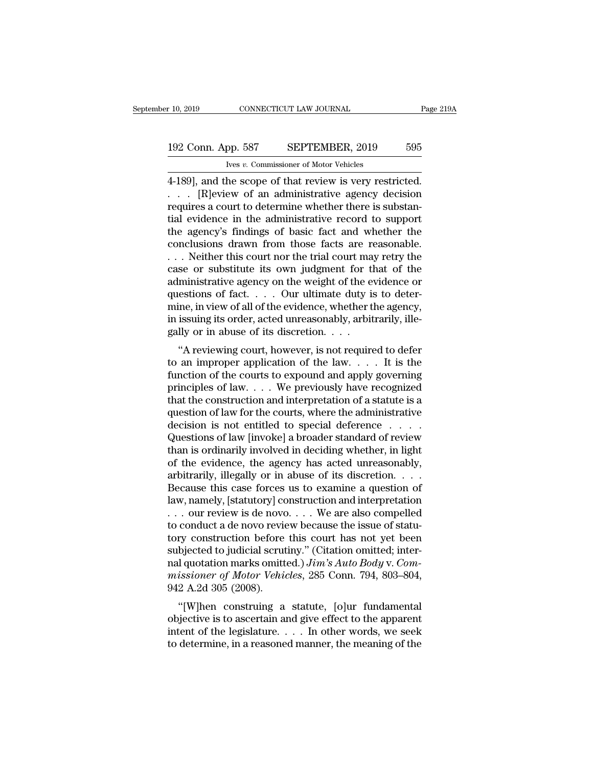r 10, 2019 CONNECTICUT LAW JOURNAL Page 21<br>
192 Conn. App. 587 SEPTEMBER, 2019 595<br>
Ives v. Commissioner of Motor Vehicles<br>
4-189], and the scope of that review is very restricted.<br>
. . . [R]eview of an administrative agen 192 Conn. App. 587 SEPTEMBER, 2019 595<br>
Ives v. Commissioner of Motor Vehicles<br>
4-189], and the scope of that review is very restricted.<br>
. . . [R]eview of an administrative agency decision<br>
requires a court to determine w 192 Conn. App. 587 SEPTEMBER, 2019 595<br>
Very commissioner of Motor Vehicles<br>
4-189], and the scope of that review is very restricted.<br>  $\therefore$  [R]eview of an administrative agency decision<br>
requires a court to determine whe 192 Conn. App. 587 SEPTEMBER, 2019 595<br>
Ives v. Commissioner of Motor Vehicles<br>
4-189], and the scope of that review is very restricted.<br>  $\ldots$  [R]eview of an administrative agency decision<br>
requires a court to determine For a collin tip  $F$ . Commissioner of Motor Vehicles<br>4-189], and the scope of that review is very restricted.<br> $\ldots$  [R]eview of an administrative agency decision<br>requires a court to determine whether there is substan-<br>tia Fig. 2. Commissioner of Motor Vehicles<br>
4-189], and the scope of that review is very restricted.<br>  $\ldots$  [R]eview of an administrative agency decision<br>
requires a court to determine whether there is substan-<br>
tial evidence 4-189], and the scope of that review is very restricted.<br>
. . . . [R]eview of an administrative agency decision<br>
requires a court to determine whether there is substan-<br>
tial evidence in the administrative record to suppo case of substantial evidence in the administrative agency decision<br>requires a court to determine whether there is substantial evidence in the administrative record to support<br>the agency's findings of basic fact and whethe requires a court to determine whether there is substantial evidence in the administrative record to support<br>the agency's findings of basic fact and whether the<br>conclusions drawn from those facts are reasonable.<br>...Neither tial evidence in the administrative record to support<br>the agency's findings of basic fact and whether the<br>conclusions drawn from those facts are reasonable.<br>. . . Neither this court nor the trial court may retry the<br>case the agency's findings of basic fact and whether the conclusions drawn from those facts are reasonable.<br>
... Neither this court nor the trial court may retry the case or substitute its own judgment for that of the administr conclusions drawn from those facts are reasonable.<br>  $\ldots$  Neither this court nor the trial court may retry the<br>
case or substitute its own judgment for that of the<br>
administrative agency on the weight of the evidence or<br> ... Neither this court nor the trial court ma<br>case or substitute its own judgment for tl<br>administrative agency on the weight of the e<br>questions of fact.... Our ultimate duty is<br>mine, in view of all of the evidence, whether See of substitute its own judgment for that of the<br>
ministrative agency on the weight of the evidence or<br>
estions of fact.... Our ultimate duty is to deter-<br>
ine, in view of all of the evidence, whether the agency,<br>
issuin administrative agency on the weight of the evidence of<br>questions of fact. . . . Our ultimate duty is to deter-<br>mine, in view of all of the evidence, whether the agency,<br>in issuing its order, acted unreasonably, arbitrarily

questions of fact.  $\ldots$  . Our unifidate duty is to determine, in view of all of the evidence, whether the agency, in issuing its order, acted unreasonably, arbitrarily, illegally or in abuse of its discretion.  $\ldots$  "A r mine, in view of an of the evidence, whether the agency,<br>in issuing its order, acted unreasonably, arbitrarily, ille-<br>gally or in abuse of its discretion. . . .<br>"A reviewing court, however, is not required to defer<br>to an In issuing its order, acted unreasonably, arbitrarily, ine-<br>gally or in abuse of its discretion.  $\dots$ <br>"A reviewing court, however, is not required to defer<br>to an improper application of the law.  $\dots$  It is the<br>function of % "A reviewing court, however, is not required to defer<br>to an improper application of the law.... It is the<br>function of the courts to expound and apply governing<br>principles of law.... We previously have recognized<br>that th "A reviewing court, however, is not required to defer<br>to an improper application of the law. . . . It is the<br>function of the courts to expound and apply governing<br>principles of law. . . . We previously have recognized<br>tha to an improper application of the law.  $\dots$  It is the function of the courts to expound and apply governing principles of law  $\dots$ . We previously have recognized that the construction and interpretation of a statute is a function of the courts to expound and apply governing<br>principles of law.... We previously have recognized<br>that the construction and interpretation of a statute is a<br>question of law for the courts, where the administrative principles of law. . . . We previously have recognized<br>that the construction and interpretation of a statute is a<br>question of law for the courts, where the administrative<br>decision is not entitled to special deference . . that the construction and interpretation of a statute is a<br>question of law for the courts, where the administrative<br>decision is not entitled to special deference  $\dots$ <br>Questions of law [invoke] a broader standard of review question of law for the courts, where the administrative<br>decision is not entitled to special deference . . . .<br>Questions of law [invoke] a broader standard of review<br>than is ordinarily involved in deciding whether, in lig decision is not entitled to special deference . . . . .<br>Questions of law [invoke] a broader standard of review<br>than is ordinarily involved in deciding whether, in light<br>of the evidence, the agency has acted unreasonably,<br>a Questions of law [invoke] a broader standard of review<br>than is ordinarily involved in deciding whether, in light<br>of the evidence, the agency has acted unreasonably,<br>arbitrarily, illegally or in abuse of its discretion. . . than is ordinarily involved in deciding whether, in light<br>of the evidence, the agency has acted unreasonably,<br>arbitrarily, illegally or in abuse of its discretion. . . .<br>Because this case forces us to examine a question o of the evidence, the agency has acted unreasonably,<br>arbitrarily, illegally or in abuse of its discretion. . . .<br>Because this case forces us to examine a question of<br>law, namely, [statutory] construction and interpretation arbitrarily, illegally or in abuse of its discretion. . . . .<br>Because this case forces us to examine a question of<br>law, namely, [statutory] construction and interpretation<br> $\ldots$  our review is de novo  $\ldots$ . We are also co Because this case forces us to examine a question of law, namely, [statutory] construction and interpretation  $\ldots$  our review is de novo  $\ldots$ . We are also compelled to conduct a de novo review because the issue of statu law, namely, [statutory] construction and interpretation<br>
... our review is de novo.... We are also compelled<br>
to conduct a de novo review because the issue of statu-<br>
tory construction before this court has not yet been<br> ... our review is de novo<br>to conduct a de novo revie<br>tory construction before<br>subjected to judicial scrut<br>nal quotation marks omitt<br>missioner of Motor Vehie<br>942 A.2d 305 (2008).<br>"[W]hen construing a For conduct a de novo review because the issue of statu-<br>
ry construction before this court has not yet been<br>
bjected to judicial scrutiny." (Citation omitted; inter-<br>
l quotation marks omitted.) Jim's Auto Body v. Com-<br> for the subjected to judicial scrutiny." (Citation omitted; inter-<br>nal quotation marks omitted.) *Jim's Auto Body v. Com-*<br>missioner of Motor Vehicles, 285 Conn. 794, 803–804,<br>942 A.2d 305 (2008).<br>"[W]hen construing a sta

subjected to judicial scrutify. (Chation officied, inter-<br>nal quotation marks omitted.)  $Jim's Auto Body v. Com-  
missioner of Motor Vehicles, 285 Conn. 794, 803–804, 942 A.2d 305 (2008).$ <br>"[W]hen construing a statute, [o]ur fundamental<br>objective is to ascertain the determine of Motor Vehicles, 285 Conn. 794, 803–804, 942 A.2d 305 (2008).<br>
"[W]hen construing a statute, [o]ur fundamental objective is to ascertain and give effect to the apparent intent of the legislature. . . . In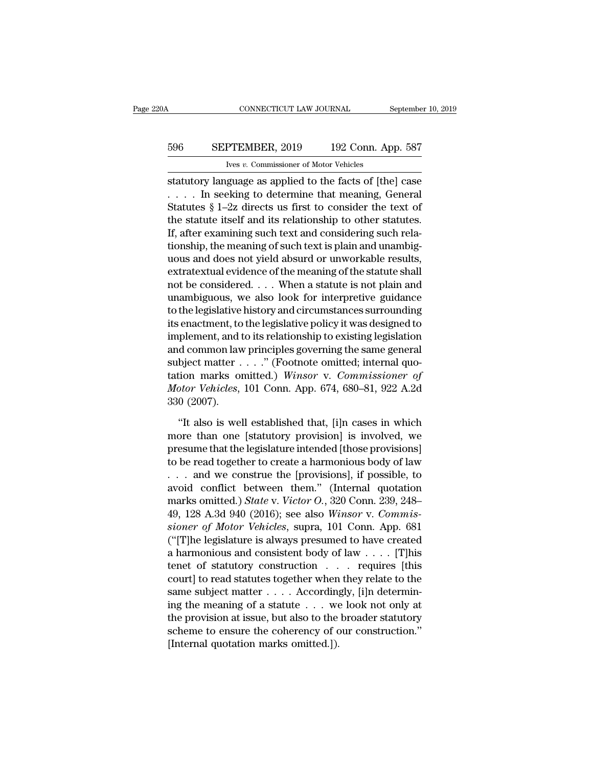## CONNECTICUT LAW JOURNAL September 10, 2019<br>596 SEPTEMBER, 2019 192 Conn. App. 587<br>Ives v. Commissioner of Motor Vehicles CONNECTICUT LAW JOURNAL<br>PTEMBER, 2019 192 Conn. Ap<br>Ives *v.* Commissioner of Motor Vehicles<br>Tuage as annifed to the facts of Ithe

CONNECTICUT LAW JOURNAL September 10, 2019<br>
SEPTEMBER, 2019 192 Conn. App. 587<br>
Ives v. Commissioner of Motor Vehicles<br>
statutory language as applied to the facts of [the] case<br>
.... In seeking to determine that meaning, G 596 SEPTEMBER, 2019 192 Conn. App. 587<br>
Ives v. Commissioner of Motor Vehicles<br>
statutory language as applied to the facts of [the] case<br>
. . . . . In seeking to determine that meaning, General<br>
Statutes § 1–2z directs us SEPTEMBER, 2019 192 Conn. App. 587<br>
Ves v. Commissioner of Motor Vehicles<br>
statutory language as applied to the facts of [the] case<br>  $\dots$  In seeking to determine that meaning, General<br>
Statutes § 1–2z directs us first to 596 SEPTEMBER, 2019 192 Conn. App. 587<br>
ves v. Commissioner of Motor Vehicles<br>
statutory language as applied to the facts of [the] case<br>
.... In seeking to determine that meaning, General<br>
Statutes § 1–2z directs us first Ives v. Commissioner of Motor Vehicles<br>
statutory language as applied to the facts of [the] case<br>  $\ldots$  . In seeking to determine that meaning, General<br>
Statutes § 1–2z directs us first to consider the text of<br>
the statut These are commissioner of motor venters<br>statutory language as applied to the facts of [the] case<br> $\ldots$ . In seeking to determine that meaning, General<br>Statutes § 1–2z directs us first to consider the text of<br>the statute it statutory language as applied to the facts of [the] case<br>  $\dots$  . In seeking to determine that meaning, General<br>
Statutes § 1–2z directs us first to consider the text of<br>
the statute itself and its relationship to other st Fig. 4. 1. In seeking to determine that meaning, General Statutes § 1–2z directs us first to consider the text of the statute itself and its relationship to other statutes. If, after examining such text and considering su Statutes § 1–2z directs us first to consider the text of<br>the statute itself and its relationship to other statutes.<br>If, after examining such text and considering such rela-<br>tionship, the meaning of such text is plain and the statute itself and its relationship to other statutes.<br>If, after examining such text and considering such rela-<br>tionship, the meaning of such text is plain and unambig-<br>uous and does not yield absurd or unworkable resu If, after examining such text and considering such rela-<br>tionship, the meaning of such text is plain and unambig-<br>uous and does not yield absurd or unworkable results,<br>extratextual evidence of the meaning of the statute sh tionship, the meaning of such text is plain and unambig-<br>uous and does not yield absurd or unworkable results,<br>extratextual evidence of the meaning of the statute shall<br>not be considered. . . . When a statute is not plain uous and does not yield absurd or unworkable results,<br>extratextual evidence of the meaning of the statute shall<br>not be considered. . . . When a statute is not plain and<br>unambiguous, we also look for interpretive guidance<br>t extratextual evidence of the meaning of the statute shall<br>not be considered. . . . When a statute is not plain and<br>unambiguous, we also look for interpretive guidance<br>to the legislative history and circumstances surroundi not be considered. . . . When a statute is not plain and<br>unambiguous, we also look for interpretive guidance<br>to the legislative history and circumstances surrounding<br>its enactment, to the legislative policy it was designe unambiguous, we also look for interpretive guidance<br>to the legislative history and circumstances surrounding<br>its enactment, to the legislative policy it was designed to<br>implement, and to its relationship to existing legisl to the legislative history and circumstances surrounding<br>its enactment, to the legislative policy it was designed to<br>implement, and to its relationship to existing legislation<br>and common law principles governing the same g its enactment, to<br>implement, and t<br>and common law<br>subject matter<br>tation marks on<br>*Motor Vehicles*,<br>330 (2007).<br>"It also is wel d common law principles governing the same general<br>
bject matter . . . . ." (Footnote omitted; internal quo-<br>
tion marks omitted.) Winsor v. Commissioner of<br>
otor Vehicles, 101 Conn. App. 674, 680–81, 922 A.2d<br>
0 (2007).<br> subject matter . . . ." (Footnote omitted; internal quotation marks omitted.) Winsor v. Commissioner of Motor Vehicles, 101 Conn. App. 674, 680–81, 922 A.2d<br>330 (2007).<br>"It also is well established that, [i]n cases in whi

tation marks omitted.) Winsor v. Commissioner of<br>Motor Vehicles, 101 Conn. App. 674, 680–81, 922 A.2d<br>330 (2007).<br>"It also is well established that, [i]n cases in which<br>more than one [statutory provision] is involved, we<br>p Motor Vehicles, 101 Conn. App. 674, 680–81, 922 A.2d<br>
330 (2007).<br>
"It also is well established that, [i]n cases in which<br>
more than one [statutory provision] is involved, we<br>
presume that the legislature intended [those 330 (2007).<br>
"It also is well established that, [i]n cases in which<br>
more than one [statutory provision] is involved, we<br>
presume that the legislature intended [those provisions]<br>
to be read together to create a harmoniou "It also is well established that, [i]n cases in which<br>more than one [statutory provision] is involved, we<br>presume that the legislature intended [those provisions]<br>to be read together to create a harmonious body of law<br> $\d$ "It also is well established that, [i]n cases in which<br>more than one [statutory provision] is involved, we<br>presume that the legislature intended [those provisions]<br>to be read together to create a harmonious body of law<br>... more than one [statutory provision] is involved, we<br>presume that the legislature intended [those provisions]<br>to be read together to create a harmonious body of law<br>... and we construe the [provisions], if possible, to<br>avoi presume that the legislature intended [those provisions]<br>
to be read together to create a harmonious body of law<br>
... and we construe the [provisions], if possible, to<br>
avoid conflict between them." (Internal quotation<br>
ma to be read together to create a harmonious body of law<br>
... and we construe the [provisions], if possible, to<br>
avoid conflict between them." (Internal quotation<br>
marks omitted.) *State* v. *Victor O.*, 320 Conn. 239, 248– ... and we construe the [provisions], if possible, to avoid conflict between them." (Internal quotation marks omitted.) *State* v. *Victor O.*, 320 Conn. 239, 248–49, 128 A.3d 940 (2016); see also *Winsor v. Commissioner* avoid conflict between them." (Internal quotation<br>marks omitted.) *State* v. *Victor O.*, 320 Conn. 239, 248–<br>49, 128 A.3d 940 (2016); see also *Winsor v. Commis-<br>sioner of Motor Vehicles*, supra, 101 Conn. App. 681<br>("[T] marks omitted.) *State v. Victor O.*, 320 Conn. 239, 248–49, 128 A.3d 940 (2016); see also *Winsor v. Commissioner of Motor Vehicles*, supra, 101 Conn. App. 681 ("[T]he legislature is always presumed to have created a har 49, 128 A.3d 940 (2016); see also Winsor v. Commissioner of Motor Vehicles, supra, 101 Conn. App. 681 ("[T]he legislature is always presumed to have created a harmonious and consistent body of law . . . . [T]his tenet of sioner of Motor Vehicles, supra, 101 Conn. App. 681<br>("[T]he legislature is always presumed to have created<br>a harmonious and consistent body of law . . . . [T]his<br>tenet of statutory construction . . . . requires [this<br>cour ("[T]he legislature is always presumed to have created<br>a harmonious and consistent body of law . . . . [T]his<br>tenet of statutory construction . . . requires [this<br>court] to read statutes together when they relate to the<br>s a harmonious and consistent body of law  $\ldots$  [T]his<br>tenet of statutory construction  $\ldots$  requires [this<br>court] to read statutes together when they relate to the<br>same subject matter  $\ldots$ . Accordingly, [i]n determin-<br>ing tenet of statutory construction . . .<br>court] to read statutes together when<br>same subject matter . . . . According<br>ing the meaning of a statute . . . we<br>the provision at issue, but also to the<br>scheme to ensure the coherency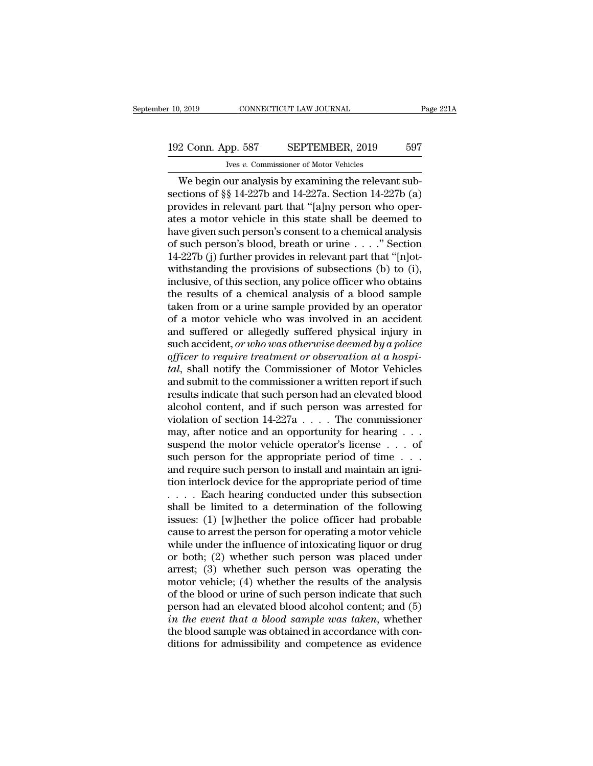## 10, 2019 CONNECTICUT LAW JOURNAL Page 221A<br>192 Conn. App. 587 SEPTEMBER, 2019 597<br>Ives v. Commissioner of Motor Vehicles Ives *v.* Commissioner of Motor Vehicles

9, 2019 CONNECTICUT LAW JOURNAL<br>
2 Conn. App. 587 SEPTEMBER, 2019 597<br>
Vers v. Commissioner of Motor Vehicles<br>
We begin our analysis by examining the relevant sub-<br>
ctions of §§ 14-227b and 14-227a. Section 14-227b (a)<br>
cy 192 Conn. App. 587 SEPTEMBER, 2019 597<br>
Ives v. Commissioner of Motor Vehicles<br>
We begin our analysis by examining the relevant subsections of §§ 14-227b and 14-227a. Section 14-227b (a)<br>
provides in relevant part that "[a 192 Conn. App. 587 SEPTEMBER, 2019 597<br>
ves v. Commissioner of Motor Vehicles<br>
We begin our analysis by examining the relevant subsections of  $\S$  14-227b and 14-227a. Section 14-227b (a)<br>
provides in relevant part that "[ 192 Conn. App. 587 SEPTEMBER, 2019 597<br>
Ve begin our analysis by examining the relevant subsections of  $\S$  14-227b and 14-227a. Section 14-227b (a)<br>
provides in relevant part that "[a]ny person who operates a motor vehicl We begin our analysis by examining the relevant subsections of §§ 14-227b and 14-227a. Section 14-227b (a) provides in relevant part that "[a]ny person who operates a motor vehicle in this state shall be deemed to have gi We begin our analysis by examining the relevant subsections of §§ 14-227b and 14-227a. Section 14-227b (a) provides in relevant part that "[a]ny person who operates a motor vehicle in this state shall be deemed to have gi We begin our analysis by examining the relevant sub-<br>sections of §§ 14-227b and 14-227a. Section 14-227b (a)<br>provides in relevant part that "[a]ny person who oper-<br>ates a motor vehicle in this state shall be deemed to<br>hav sections of §§ 14-227b and 14-227a. Section 14-227b (a)<br>provides in relevant part that "[a]ny person who oper-<br>ates a motor vehicle in this state shall be deemed to<br>have given such person's consent to a chemical analysis<br> provides in relevant part that "[a]ny person who operates a motor vehicle in this state shall be deemed to have given such person's consent to a chemical analysis of such person's blood, breath or urine  $\ldots$ ." Section 14 ates a motor vehicle in this state shall be deemed to<br>have given such person's consent to a chemical analysis<br>of such person's blood, breath or urine  $\dots$ . "Section<br>14-227b (j) further provides in relevant part that "[n]o have given such person's consent to a chemical analysis<br>of such person's blood, breath or urine  $\dots$ ." Section<br>14-227b (j) further provides in relevant part that "[n]ot-<br>withstanding the provisions of subsections (b) to ( of such person's blood, breath or urine  $\ldots$  ." Section 14-227b (j) further provides in relevant part that "[n]ot-<br>withstanding the provisions of subsections (b) to (i),<br>inclusive, of this section, any police officer who 14-227b (j) further provides in relevant part that "[n]ot-<br>withstanding the provisions of subsections (b) to (i),<br>inclusive, of this section, any police officer who obtains<br>the results of a chemical analysis of a blood sa withstanding the provisions of subsections (b) to (i),<br>inclusive, of this section, any police officer who obtains<br>the results of a chemical analysis of a blood sample<br>taken from or a urine sample provided by an operator<br>of inclusive, of this section, any police officer who obtains<br>the results of a chemical analysis of a blood sample<br>taken from or a urine sample provided by an operator<br>of a motor vehicle who was involved in an accident<br>and su the results of a chemical analysis of a blood sample<br>taken from or a urine sample provided by an operator<br>of a motor vehicle who was involved in an accident<br>and suffered or allegedly suffered physical injury in<br>such accide taken from or a urine sample provided by an operator<br>of a motor vehicle who was involved in an accident<br>and suffered or allegedly suffered physical injury in<br>such accident, *or who was otherwise deemed by a police*<br>of*fice* of a motor vehicle who was involved in an accident<br>and suffered or allegedly suffered physical injury in<br>such accident, *or who was otherwise deemed by a police*<br>officer to require treatment or observation at a hospi-<br>tal and suffered or allegedly suffered physical injury in<br>such accident, *or who was otherwise deemed by a police*<br>officer to require treatment or observation at a hospi-<br>tal, shall notify the Commissioner of Motor Vehicles<br>a such accident, *or who was otherwise deemed by a police*<br>of*ficer to require treatment or observation at a hospi-*<br>tal, shall notify the Commissioner of Motor Vehicles<br>and submit to the commissioner a written report if su officer to require treatment or observation at a hospital, shall notify the Commissioner of Motor Vehicles and submit to the commissioner a written report if such results indicate that such person had an elevated blood al tal, shall notify the Commissioner of Motor Vehicles<br>and submit to the commissioner a written report if such<br>results indicate that such person had an elevated blood<br>alcohol content, and if such person was arrested for<br>vio and submit to the commissioner a written report if such<br>results indicate that such person had an elevated blood<br>alcohol content, and if such person was arrested for<br>violation of section  $14-227a \ldots$ . The commissioner<br>may, results indicate that such person had an elevated blood<br>alcohol content, and if such person was arrested for<br>violation of section  $14-227a$ .... The commissioner<br>may, after notice and an opportunity for hearing ...<br>suspend alcohol content, and if such person was arrested for<br>violation of section  $14-227a$ .... The commissioner<br>may, after notice and an opportunity for hearing ...<br>suspend the motor vehicle operator's license ... of<br>such person violation of section  $14-227a$ .... The commissioner<br>may, after notice and an opportunity for hearing ...<br>suspend the motor vehicle operator's license ... of<br>such person for the appropriate period of time ...<br>and require s may, after notice and an opportunity for hearing . . . suspend the motor vehicle operator's license . . . of<br>such person for the appropriate period of time . . .<br>and require such person to install and maintain an igni-<br>ti suspend the motor vehicle operator's license . . . of<br>such person for the appropriate period of time . . .<br>and require such person to install and maintain an igni-<br>tion interlock device for the appropriate period of time<br> such person for the appropriate period of time . . . and require such person to install and maintain an ignition interlock device for the appropriate period of time . . . . . Each hearing conducted under this subsection s and require such person to install and maintain an ignition interlock device for the appropriate period of time<br>  $\dots$  . Each hearing conducted under this subsection<br>
shall be limited to a determination of the following<br>
i tion interlock device for the appropriate period of time<br>  $\dots$  . Each hearing conducted under this subsection<br>
shall be limited to a determination of the following<br>
issues: (1) [w]hether the police officer had probable<br>
c .... Each hearing conducted under this subsection<br>shall be limited to a determination of the following<br>issues: (1) [w]hether the police officer had probable<br>cause to arrest the person for operating a motor vehicle<br>while u shall be limited to a determination of the following<br>issues: (1) [w]hether the police officer had probable<br>cause to arrest the person for operating a motor vehicle<br>while under the influence of intoxicating liquor or drug<br>o issues: (1) [w]hether the police officer had probable<br>cause to arrest the person for operating a motor vehicle<br>while under the influence of intoxicating liquor or drug<br>or both; (2) whether such person was placed under<br>arr cause to arrest the person for operating a motor vehicle<br>while under the influence of intoxicating liquor or drug<br>or both; (2) whether such person was placed under<br>arrest; (3) whether such person was operating the<br>motor v while under the influence of intoxicating liquor or drug<br>or both; (2) whether such person was placed under<br>arrest; (3) whether such person was operating the<br>motor vehicle; (4) whether the results of the analysis<br>of the blo or both; (2) whether such person was placed under<br>arrest; (3) whether such person was operating the<br>motor vehicle; (4) whether the results of the analysis<br>of the blood or urine of such person indicate that such<br>person had arrest; (3) whether such person was operating the<br>motor vehicle; (4) whether the results of the analysis<br>of the blood or urine of such person indicate that such<br>person had an elevated blood alcohol content; and (5)<br>in the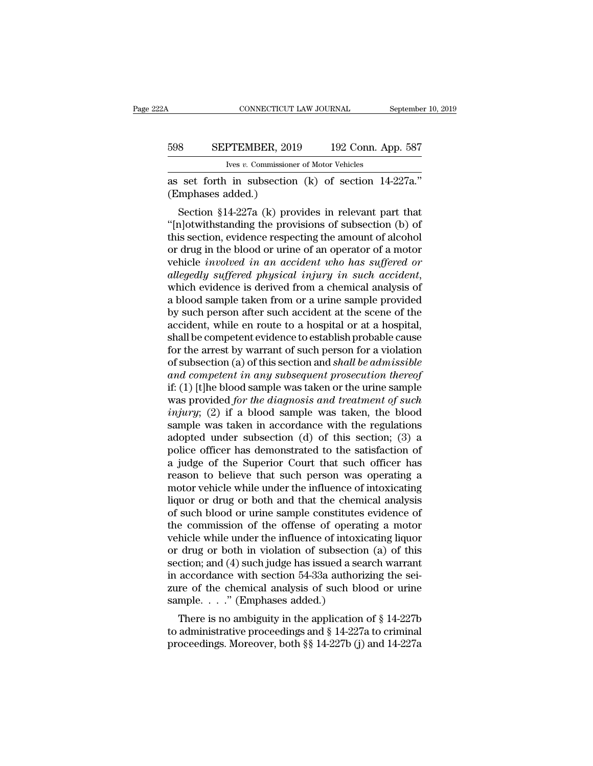# CONNECTICUT LAW JOURNAL September 10, 2019<br>598 SEPTEMBER, 2019 192 Conn. App. 587<br>Ives v. Commissioner of Motor Vehicles

CONNECTICUT LAW JOURNAL S<br>
598 SEPTEMBER, 2019 192 Conn. Ap<br>
<sup>Ives *v.* Commissioner of Motor Vehicles<br>
as set forth in subsection (k) of section 14-<br>
(Emphases added.)<br>
Section §14-227a (k) provides in relevant par</sup> CONNECTICUT LAW JOURNAL September 10, 2<br>
598 SEPTEMBER, 2019 192 Conn. App. 587<br>
Ives v. Commissioner of Motor Vehicles<br>
as set forth in subsection (k) of section 14-227a."<br>
(Emphases added.)

SEPTEMBER, 2019 192 Conn. App. 587<br>
Ives v. Commissioner of Motor Vehicles<br>
set forth in subsection (k) of section 14-227a."<br>
mphases added.)<br>
Section §14-227a (k) provides in relevant part that<br>
n]otwithstanding the prov 598 SEPTEMBER, 2019 192 Conn. App. 587<br>
Ives v. Commissioner of Motor Vehicles<br>
as set forth in subsection (k) of section 14-227a."<br>
(Emphases added.)<br>
Section §14-227a (k) provides in relevant part that<br>
"[n]otwithstandi Ives v. Commissioner of Motor Vehicles<br>
as set forth in subsection (k) of section 14-227a."<br>
(Emphases added.)<br>
Section §14-227a (k) provides in relevant part that<br>
"[n]otwithstanding the provisions of subsection (b) of<br> as set forth in subsection (k) of section 14-227a."<br>
(Emphases added.)<br>
Section §14-227a (k) provides in relevant part that<br>
"[n]otwithstanding the provisions of subsection (b) of<br>
this section, evidence respecting the am as set forth in subsection (k) of section 14-227a.<br>
(Emphases added.)<br>
Section §14-227a (k) provides in relevant part that<br>
"[n]otwithstanding the provisions of subsection (b) of<br>
this section, evidence respecting the amou *allegedly suffered physical in relevant part that*<br> *allegediary* in the provisions of subsection (b) of this section, evidence respecting the amount of alcoholor drug in the blood or urine of an operator of a motor vehic "[n]otwithstanding the provisions of subsection (b) of<br>this section, evidence respecting the amount of alcohol<br>or drug in the blood or urine of an operator of a motor<br>vehicle *involved in an accident who has suffered or*<br> this section, evidence respecting the amount of alcohol<br>or drug in the blood or urine of an operator of a motor<br>vehicle *involved in an accident who has suffered or*<br>*allegedly suffered physical injury in such accident*,<br>w or drug in the blood or urine of an operator of a motor<br>vehicle *involved in an accident who has suffered or*<br>*allegedly suffered physical injury in such accident*,<br>which evidence is derived from a chemical analysis of<br>a b vehicle *involved in an accident who has suffered or*<br>allegedly suffered physical injury in such accident,<br>which evidence is derived from a chemical analysis of<br>a blood sample taken from or a urine sample provided<br>by such allegedly suffered physical injury in such accident,<br>which evidence is derived from a chemical analysis of<br>a blood sample taken from or a urine sample provided<br>by such person after such accident at the scene of the<br>acciden which evidence is derived from a chemical analysis of<br>a blood sample taken from or a urine sample provided<br>by such person after such accident at the scene of the<br>accident, while en route to a hospital or at a hospital,<br>sha *a* blood sample taken from or a urine sample provided<br>by such person after such accident at the scene of the<br>accident, while en route to a hospital or at a hospital,<br>shall be competent evidence to establish probable cause by such person after such accident at the scene of the<br>accident, while en route to a hospital or at a hospital,<br>shall be competent evidence to establish probable cause<br>for the arrest by warrant of such person for a violati accident, while en route to a hospital or at a hospital,<br>shall be competent evidence to establish probable cause<br>for the arrest by warrant of such person for a violation<br>of subsection (a) of this section and *shall be admi indumity* the arrest by warrant of such person for a violation<br>for the arrest by warrant of such person for a violation<br>of subsection (a) of this section and *shall be admissible*<br>and competent in any subsequent prosecuti for the arrest by warrant of such person for a violation<br>of subsection (a) of this section and *shall be admissible*<br>and competent in any subsequent prosecution thereof<br>if: (1) [t]he blood sample was taken or the urine sa of subsection (a) of this section and *shall be admissible*<br>and competent in any subsequent prosecution thereof<br>if: (1) [t]he blood sample was taken or the urine sample<br>was provided *for the diagnosis and treatment of su* and competent in any subsequent prosecution thereof<br>if: (1) [t]he blood sample was taken or the urine sample<br>was provided for the diagnosis and treatment of such<br>injury; (2) if a blood sample was taken, the blood<br>sample w if: (1) [t]he blood sample was taken or the urine sample<br>was provided *for the diagnosis and treatment of such*<br>*injury*; (2) if a blood sample was taken, the blood<br>sample was taken in accordance with the regulations<br>adop was provided *for the diagnosis and treatment of such injury*; (2) if a blood sample was taken, the blood sample was taken in accordance with the regulations adopted under subsection (d) of this section; (3) a police of *injury*; (2) if a blood sample was taken, the blood sample was taken in accordance with the regulations adopted under subsection (d) of this section; (3) a police officer has demonstrated to the satisfaction of a judge o sample was taken in accordance with the regulations<br>adopted under subsection (d) of this section; (3) a<br>police officer has demonstrated to the satisfaction of<br>a judge of the Superior Court that such officer has<br>reason to b adopted under subsection (d) of this section; (3) a<br>police officer has demonstrated to the satisfaction of<br>a judge of the Superior Court that such officer has<br>reason to believe that such person was operating a<br>motor vehicl police officer has demonstrated to the satisfaction of<br>a judge of the Superior Court that such officer has<br>reason to believe that such person was operating a<br>motor vehicle while under the influence of intoxicating<br>liquor o a judge of the Superior Court that such officer has<br>reason to believe that such person was operating a<br>motor vehicle while under the influence of intoxicating<br>liquor or drug or both and that the chemical analysis<br>of such reason to believe that such person was operating a<br>motor vehicle while under the influence of intoxicating<br>liquor or drug or both and that the chemical analysis<br>of such blood or urine sample constitutes evidence of<br>the com motor vehicle while under the influence of intoxicating<br>liquor or drug or both and that the chemical analysis<br>of such blood or urine sample constitutes evidence of<br>the commission of the offense of operating a motor<br>vehicle liquor or drug or both and that the chemical analysis<br>of such blood or urine sample constitutes evidence of<br>the commission of the offense of operating a motor<br>vehicle while under the influence of intoxicating liquor<br>or dru of such blood or urine sample constitutes evidence of<br>the commission of the offense of operating a motor<br>vehicle while under the influence of intoxicating liquor<br>or drug or both in violation of subsection (a) of this<br>secti the commission of the offense of operat<br>vehicle while under the influence of intoxi<br>or drug or both in violation of subsectio<br>section; and (4) such judge has issued a se<br>in accordance with section 54-33a author<br>zure of th There wine under the influence of intoxicating indicating<br>drug or both in violation of subsection (a) of this<br>ction; and (4) such judge has issued a search warrant<br>accordance with section 54-33a authorizing the sei-<br>re of or drug or both in violation or subsection (a) or dissection; and (4) such judge has issued a search warrant<br>in accordance with section 54-33a authorizing the seizure of the chemical analysis of such blood or urine<br>sample bection, and (4) such judge has issued a search warrant<br>in accordance with section 54-33a authorizing the sei-<br>zure of the chemical analysis of such blood or urine<br>sample...." (Emphases added.)<br>There is no ambiguity in th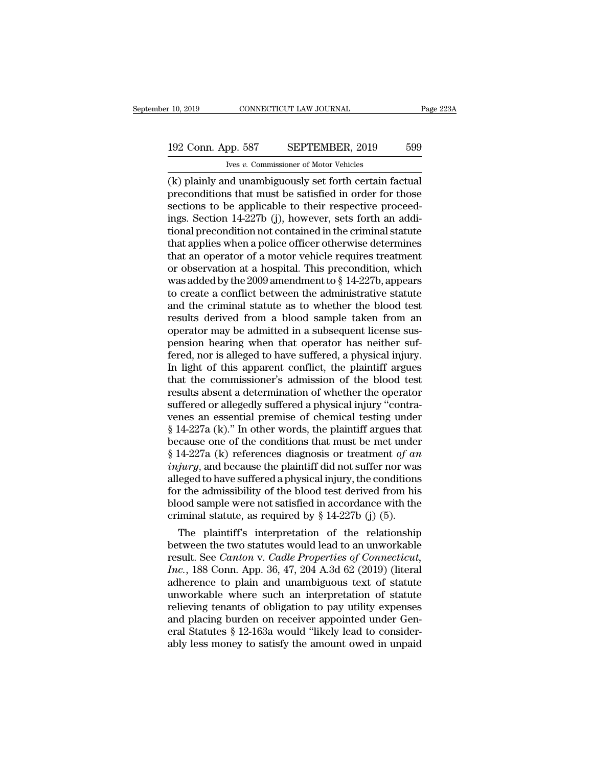## 10, 2019 CONNECTICUT LAW JOURNAL Page 223A<br>192 Conn. App. 587 SEPTEMBER, 2019 599<br>Ives v. Commissioner of Motor Vehicles Ives *v.* Commissioner of Motor Vehicles

(k) plainly and unambiguously set forth certain factual<br>generalisms to be applicable to their respective for those<br>sections to be applicable to their respective proceed<br>conditions to be applicable to their respective proce 192 Conn. App. 587 SEPTEMBER, 2019 599<br>
Ives v. Commissioner of Motor Vehicles<br>
(k) plainly and unambiguously set forth certain factual<br>
preconditions that must be satisfied in order for those<br>
sections to be applicable to 192 Conn. App. 587 SEPTEMBER, 2019 599<br>
Ves v. Commissioner of Motor Vehicles<br>
(k) plainly and unambiguously set forth certain factual<br>
preconditions that must be satisfied in order for those<br>
sections to be applicable to 192 Conn. App. 587 SEPTEMBER, 2019 599<br>
Ives v. Commissioner of Motor Vehicles<br>
(k) plainly and unambiguously set forth certain factual<br>
preconditions that must be satisfied in order for those<br>
sections to be applicable to The containty precise to the contained in the criminal status (k) plainly and unambiguously set forth certain factual preconditions that must be satisfied in order for those sections to be applicable to their respective p From a policible set of Motor Vehicles<br>(k) plainly and unambiguously set forth certain factual<br>preconditions that must be satisfied in order for those<br>sections to be applicable to their respective proceed-<br>ings. Section 1 (k) plainly and unambiguously set forth certain factual<br>preconditions that must be satisfied in order for those<br>sections to be applicable to their respective proceed-<br>ings. Section 14-227b (j), however, sets forth an addi preconditions that must be satisfied in order for those<br>sections to be applicable to their respective proceed-<br>ings. Section 14-227b (j), however, sets forth an addi-<br>tional precondition not contained in the criminal statu sections to be applicable to their respective proceed-<br>ings. Section 14-227b (j), however, sets forth an addi-<br>tional precondition not contained in the criminal statute<br>that applies when a police officer otherwise determin ings. Section 14-227b (j), however, sets forth an additional precondition not contained in the criminal statute<br>that applies when a police officer otherwise determines<br>that an operator of a motor vehicle requires treatment tional precondition not contained in the criminal statute<br>that applies when a police officer otherwise determines<br>that an operator of a motor vehicle requires treatment<br>or observation at a hospital. This precondition, whi that applies when a police officer otherwise determines<br>that an operator of a motor vehicle requires treatment<br>or observation at a hospital. This precondition, which<br>was added by the 2009 amendment to § 14-227b, appears<br>to that an operator of a motor vehicle requires treatment<br>or observation at a hospital. This precondition, which<br>was added by the 2009 amendment to  $\S$  14-227b, appears<br>to create a conflict between the administrative statute or observation at a hospital. This precondition, which was added by the  $2009$  amendment to  $\S$  14-227b, appears to create a conflict between the administrative statute and the criminal statute as to whether the blood tes was added by the 2009 amendment to  $\S$  14-227b, appears<br>to create a conflict between the administrative statute<br>and the criminal statute as to whether the blood test<br>results derived from a blood sample taken from an<br>opera to create a conflict between the administrative statute<br>and the criminal statute as to whether the blood test<br>results derived from a blood sample taken from an<br>operator may be admitted in a subsequent license sus-<br>pension and the criminal statute as to whether the blood test<br>results derived from a blood sample taken from an<br>operator may be admitted in a subsequent license sus-<br>pension hearing when that operator has neither suf-<br>fered, nor i results derived from a blood sample taken from an<br>operator may be admitted in a subsequent license sus-<br>pension hearing when that operator has neither suf-<br>fered, nor is alleged to have suffered, a physical injury.<br>In ligh operator may be admitted in a subsequent license suspension hearing when that operator has neither suffered, nor is alleged to have suffered, a physical injury.<br>In light of this apparent conflict, the plaintiff argues tha pension hearing when that operator has neither suf-<br>fered, nor is alleged to have suffered, a physical injury.<br>In light of this apparent conflict, the plaintiff argues<br>that the commissioner's admission of the blood test<br>re fered, nor is alleged to have suffered, a physical injury.<br>In light of this apparent conflict, the plaintiff argues<br>that the commissioner's admission of the blood test<br>results absent a determination of whether the operato In light of this apparent conflict, the plaintiff argues<br>that the commissioner's admission of the blood test<br>results absent a determination of whether the operator<br>suffered or allegedly suffered a physical injury "contrathat the commissioner's admission of the blood test<br>results absent a determination of whether the operator<br>suffered or allegedly suffered a physical injury "contra-<br>venes an essential premise of chemical testing under<br> $\S$ results absent a determination of whether the operator<br>suffered or allegedly suffered a physical injury "contra-<br>venes an essential premise of chemical testing under<br>§ 14-227a (k)." In other words, the plaintiff argues tha suffered or allegedly suffered a physical injury "contra-<br>venes an essential premise of chemical testing under<br>§ 14-227a (k)." In other words, the plaintiff argues that<br>because one of the conditions that must be met under venes an essential premise of chemical testing under  $\S$  14-227a (k)." In other words, the plaintiff argues that because one of the conditions that must be met under  $\S$  14-227a (k) references diagnosis or treatment *of a* § 14-227a (k)." In other words, the plaintiff argues that<br>because one of the conditions that must be met under<br>§ 14-227a (k) references diagnosis or treatment of an<br>injury, and because the plaintiff did not suffer nor was because one of the conditions that must be met under  $\S$  14-227a (k) references diagnosis or treatment *of an injury*, and because the plaintiff did not suffer nor was alleged to have suffered a physical injury, the con 14-227a (K) references diagnosis or treatment *of an*<br>*jury*, and because the plaintiff did not suffer nor was<br>eged to have suffered a physical injury, the conditions<br>r the admissibility of the blood test derived from his *theory,* and because the plaintiff did not surfer hor was<br>alleged to have suffered a physical injury, the conditions<br>for the admissibility of the blood test derived from his<br>blood sample were not satisfied in accordance

alleged to have suffered a physical mjury, the conditions<br>for the admissibility of the blood test derived from his<br>blood sample were not satisfied in accordance with the<br>criminal statute, as required by § 14-227b (j) (5).<br> For the aamissibility of the blood test derived from his<br>blood sample were not satisfied in accordance with the<br>criminal statute, as required by § 14-227b (j) (5).<br>The plaintiff's interpretation of the relationship<br>between blood sample were not satisfied in accordance with the<br>criminal statute, as required by § 14-227b (j) (5).<br>The plaintiff's interpretation of the relationship<br>between the two statutes would lead to an unworkable<br>result. Se criminal statute, as required by  $\S$  14-2270 (J) (5).<br>The plaintiff's interpretation of the relationship<br>between the two statutes would lead to an unworkable<br>result. See *Canton* v. *Cadle Properties of Connecticut*,<br> $Inc$ , The plaintiff's interpretation of the relationship<br>between the two statutes would lead to an unworkable<br>result. See *Canton* v. *Cadle Properties of Connecticut*,<br>*Inc.*, 188 Conn. App. 36, 47, 204 A.3d 62 (2019) (literal<br> between the two statutes would lead to an unworkable<br>result. See *Canton* v. *Cadle Properties of Connecticut,*<br>*Inc.*, 188 Conn. App. 36, 47, 204 A.3d 62 (2019) (literal<br>adherence to plain and unambiguous text of statute<br> result. See *Canton* v. *Cadle Properties of Connecticut, Inc.*, 188 Conn. App. 36, 47, 204 A.3d 62 (2019) (literal adherence to plain and unambiguous text of statute unworkable where such an interpretation of statute re *Inc.*, 188 Conn. App. 36, 47, 204 A.3d 62 (2019) (literal adherence to plain and unambiguous text of statute unworkable where such an interpretation of statute relieving tenants of obligation to pay utility expenses and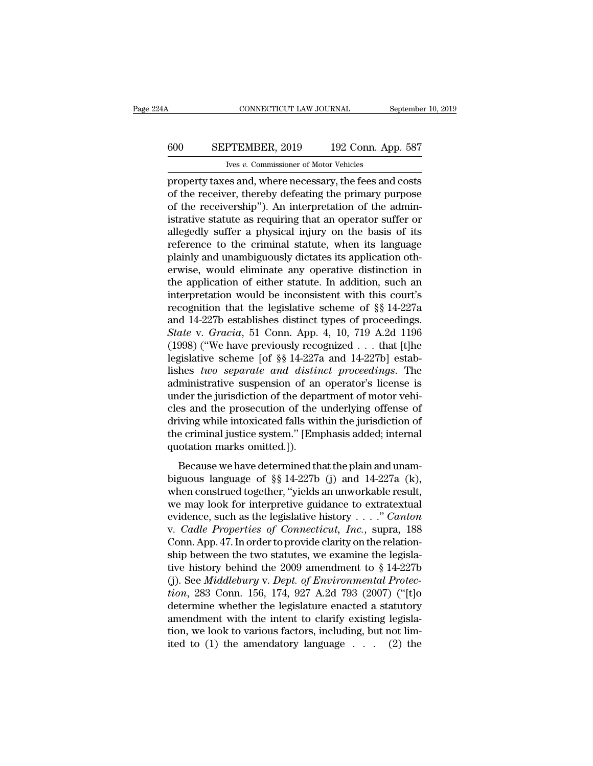## CONNECTICUT LAW JOURNAL September 10, 2019<br>600 SEPTEMBER, 2019 192 Conn. App. 587<br>Ives v. Commissioner of Motor Vehicles CONNECTICUT LAW JOURNAL<br>PTEMBER, 2019 192 Conn. Ap<br>Ives *v.* Commissioner of Motor Vehicles<br>es and where necessary the fees and

CONNECTICUT LAW JOURNAL September 10, 2019<br> **EPTEMBER, 2019** 192 Conn. App. 587<br>
Ives v. Commissioner of Motor Vehicles<br>
property taxes and, where necessary, the fees and costs<br>
of the receiver, thereby defeating the prima 600 SEPTEMBER, 2019 192 Conn. App. 587<br>
Ives v. Commissioner of Motor Vehicles<br>
property taxes and, where necessary, the fees and costs<br>
of the receiver, thereby defeating the primary purpose<br>
of the receivership''). An in 600 SEPTEMBER, 2019 192 Conn. App. 587<br>
Ves v. Commissioner of Motor Vehicles<br>
property taxes and, where necessary, the fees and costs<br>
of the receivership''). An interpretation of the admin-<br>
istrative statute as requiri **EXECUTE SERVINGER, 2019** 192 Conn. App. 587<br>
Ives v. Commissioner of Motor Vehicles<br>
property taxes and, where necessary, the fees and costs<br>
of the receiver, thereby defeating the primary purpose<br>
of the receivership"). For the sum of Motor Vehicles<br>property taxes and, where necessary, the fees and costs<br>of the receiver, thereby defeating the primary purpose<br>of the receivership"). An interpretation of the admin-<br>istrative statute as requ referred to the receiver, there is and costs<br>property taxes and, where necessary, the fees and costs<br>of the receivership"). An interpretation of the admin-<br>istrative statute as requiring that an operator suffer or<br>alleged property taxes and, where necessary, the fees and costs<br>of the receiver, thereby defeating the primary purpose<br>of the receivership"). An interpretation of the admin-<br>istrative statute as requiring that an operator suffer o of the receiver, thereby defeating the primary purpose<br>of the receivership"). An interpretation of the admin-<br>istrative statute as requiring that an operator suffer or<br>allegedly suffer a physical injury on the basis of its of the receivership"). An interpretation of the administrative statute as requiring that an operator suffer or allegedly suffer a physical injury on the basis of its reference to the criminal statute, when its language pl istrative statute as requiring that an operator suffer or<br>allegedly suffer a physical injury on the basis of its<br>reference to the criminal statute, when its language<br>plainly and unambiguously dictates its application oth-<br> allegedly suffer a physical injury on the basis of its<br>reference to the criminal statute, when its language<br>plainly and unambiguously dictates its application oth-<br>erwise, would eliminate any operative distinction in<br>the reference to the criminal statute, when its language<br>plainly and unambiguously dictates its application oth-<br>erwise, would eliminate any operative distinction in<br>the application of either statute. In addition, such an<br>inte plainly and unambiguously dictates its application otherwise, would eliminate any operative distinction in the application of either statute. In addition, such an interpretation would be inconsistent with this court's reco erwise, would eliminate any operative distinction in<br>the application of either statute. In addition, such an<br>interpretation would be inconsistent with this court's<br>recognition that the legislative scheme of  $\S$  14-227a<br>an the application of either statute. In addition, such an interpretation would be inconsistent with this court's recognition that the legislative scheme of §§ 14-227a and 14-227b establishes distinct types of proceedings. interpretation would be inconsistent with this court's<br>recognition that the legislative scheme of §§ 14-227a<br>and 14-227b establishes distinct types of proceedings.<br>State v. Gracia, 51 Conn. App. 4, 10, 719 A.2d 1196<br>(1998) recognition that the legislative scheme of  $\S$  14-227a<br>and 14-227b establishes distinct types of proceedings.<br>*State* v. *Gracia*, 51 Conn. App. 4, 10, 719 A.2d 1196<br>(1998) ("We have previously recognized . . . that [t]he and 14-227b establishes distinct types of proceedings.<br> *State* v. *Gracia*, 51 Conn. App. 4, 10, 719 A.2d 1196<br>
(1998) ("We have previously recognized . . . that [t]he<br>
legislative scheme [of §§ 14-227a and 14-227b] esta State v. Gracia, 51 Conn. App. 4, 10, 719 A.2d 1196 (1998) ("We have previously recognized . . . that [t]he legislative scheme [of §§ 14-227a and 14-227b] establishes *two separate and distinct proceedings*. The administr (1998) ("We have previously recognized  $\dots$  that [t]he<br>legislative scheme [of §§ 14-227a and 14-227b] estab-<br>lishes *two separate and distinct proceedings*. The<br>administrative suspension of an operator's license is<br>under legislative scheme [of  $\S$ § 14-227a and 14-227b] establishes *two separate and distinct proceedings*. The administrative suspension of an operator's license is under the jurisdiction of the department of motor vehicles an lishes *two separate and distin*<br>administrative suspension of an<br>under the jurisdiction of the depa<br>cles and the prosecution of the<br>driving while intoxicated falls wit<br>the criminal justice system." [Em<br>quotation marks omit minimizative subpension of an operator's needise is<br>der the jurisdiction of the department of motor vehi-<br>es and the prosecution of the underlying offense of<br>iving while intoxicated falls within the jurisdiction of<br>e crim distant and yarisdiction of the underlying offense of<br>cles and the prosecution of the underlying offense of<br>driving while intoxicated falls within the jurisdiction of<br>the criminal justice system." [Emphasis added; interna

driving while intoxicated falls within the jurisdiction of<br>the criminal justice system." [Emphasis added; internal<br>quotation marks omitted.]).<br>Because we have determined that the plain and unam-<br>biguous language of §§ 14the criminal justice system." [Emphasis added; internal<br>quotation marks omitted.]).<br>Because we have determined that the plain and unam-<br>biguous language of §§ 14-227b (j) and 14-227a (k),<br>when construed together, "yields evidence in the legislation marks omitted.]).<br>
Because we have determined that the plain and unam-<br>
biguous language of §§ 14-227b (j) and 14-227a (k),<br>
when construed together, "yields an unworkable result,<br>
we may look f Because we have determined that the plain and unam-<br>biguous language of §§ 14-227b (j) and 14-227a (k),<br>when construed together, "yields an unworkable result,<br>we may look for interpretive guidance to extratextual<br>evidence, Because we have determined that the plain and unam-<br>biguous language of §§ 14-227b (j) and 14-227a (k),<br>when construed together, "yields an unworkable result,<br>we may look for interpretive guidance to extratextual<br>evidence biguous language of §§ 14-227b (j) and 14-227a (k),<br>when construed together, "yields an unworkable result,<br>we may look for interpretive guidance to extratextual<br>evidence, such as the legislative history . . . . " *Canton* when construed together, "yields an unworkable result,<br>we may look for interpretive guidance to extratextual<br>evidence, such as the legislative history . . . . " *Canton*<br>v. *Cadle Properties of Connecticut*, *Inc.*, supra we may look for interpretive guidance to extratextual<br>evidence, such as the legislative history . . . ." *Canton*<br>v. *Cadle Properties of Connecticut*, *Inc.*, supra, 188<br>Conn. App. 47. In order to provide clarity on the r *evidence, such as the legislative history* . . . . " *Canton*<br> *v. Cadle Properties of Connecticut, Inc., supra, 188*<br>
Conn. App. 47. In order to provide clarity on the relation-<br>
ship between the two statutes, we examine v. *Cadle Properties of Connecticut, Inc.*, supra, 188<br>Conn. App. 47. In order to provide clarity on the relation-<br>ship between the two statutes, we examine the legisla-<br>tive history behind the 2009 amendment to § 14-227b<br> Conn. App. 47. In order to provide clarity on the relationship between the two statutes, we examine the legislative history behind the 2009 amendment to § 14-227b (j). See *Middlebury v. Dept. of Environmental Protection* ship between the two statutes, we examine the legislative history behind the 2009 amendment to § 14-227b (j). See *Middlebury v. Dept. of Environmental Protection*, 283 Conn. 156, 174, 927 A.2d 793 (2007) ("[t]o determine tive history behind the 2009 amendment to § 14-227b (j). See *Middlebury v. Dept. of Environmental Protection*, 283 Conn. 156, 174, 927 A.2d 793 (2007) ("[t]o determine whether the legislature enacted a statutory amendmen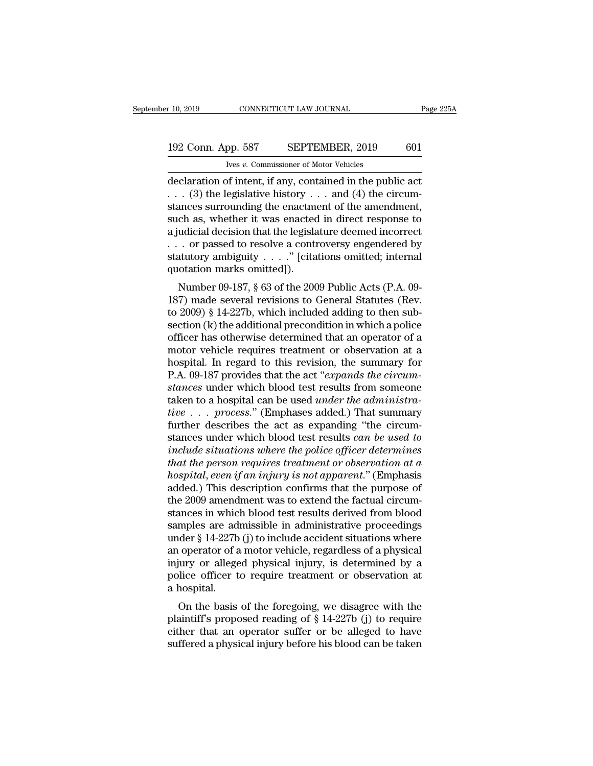## 10, 2019 CONNECTICUT LAW JOURNAL Page 225A<br>192 Conn. App. 587 SEPTEMBER, 2019 601<br>Ives v. Commissioner of Motor Vehicles Ives *v.* Commissioner of Motor Vehicles

 $\begin{array}{|l|l|} \hline \text{10, 2019} & \text{CONRECTICUT LAW JOURNAL} & \text{Page 225A} \ \hline \end{array}$ <br>192 Conn. App. 587 SEPTEMBER, 2019 601<br>Tree v. Commissioner of Motor Vehicles<br>declaration of intent, if any, contained in the public act<br>. . . (3) the legisl 192 Conn. App. 587 SEPTEMBER, 2019 601<br>
Ives v. Commissioner of Motor Vehicles<br>
declaration of intent, if any, contained in the public act<br>
. . . (3) the legislative history . . . and (4) the circum-<br>
stances surrounding 192 Conn. App. 587 SEPTEMBER, 2019 601<br>
Ves v. Commissioner of Motor Vehicles<br>
declaration of intent, if any, contained in the public act<br>
... (3) the legislative history ... and (4) the circum-<br>
stances surrounding the e 192 Conn. App. 587 SEPTEMBER, 2019 601<br>
Vers v. Commissioner of Motor Vehicles<br>
declaration of intent, if any, contained in the public act<br>
... (3) the legislative history ... and (4) the circum-<br>
stances surrounding the For the legislation of intent, if any, contained in the public act<br>declaration of intent, if any, contained in the public act<br> $\ldots$  (3) the legislative history  $\ldots$  and (4) the circum-<br>stances surrounding the enactment o From the *v*. Commissioner of Motor Vehicles<br>
declaration of intent, if any, contained in the public act<br>
. . . (3) the legislative history . . . and (4) the circum-<br>
stances surrounding the enactment of the amendment,<br>
s declaration of intent, if any, contained in the public act<br>
. . . (3) the legislative history . . . and (4) the circum-<br>
stances surrounding the enactment of the amendment,<br>
such as, whether it was enacted in direct respo . . . (3) the legislative history .<br>stances surrounding the enactme<br>such as, whether it was enacted<br>a judicial decision that the legisla<br>. . . . or passed to resolve a contract statutory ambiguity . . . ." [cita<br>quotation ances surrounting the enactment or the amendment,<br>
ch as, whether it was enacted in direct response to<br>
udicial decision that the legislature deemed incorrect<br>
. or passed to resolve a controversy engendered by<br>
atutory am such as, whether it was enacted in unect response to<br>a judicial decision that the legislature deemed incorrect<br>... or passed to resolve a controversy engendered by<br>statutory ambiguity ...." [citations omitted; internal<br>qu

a judicial decision that the legislature deemed incorrect<br>  $\ldots$  or passed to resolve a controversy engendered by<br>
statutory ambiguity  $\ldots$ ." [citations omitted; internal<br>
quotation marks omitted]).<br>
Number 09-187, § 63 statutory ambiguity . . . ." [citations omitted; internal quotation marks omitted]).<br>
Number 09-187, § 63 of the 2009 Public Acts (P.A. 09-<br>
187) made several revisions to General Statutes (Rev.<br>
to 2009) § 14-227b, which statutory amorganty  $\cdot \cdot \cdot$  (chanons omitted, miernal quotation marks omitted]).<br>
Number 09-187, § 63 of the 2009 Public Acts (P.A. 09-<br>
187) made several revisions to General Statutes (Rev.<br>
to 2009) § 14-227b, which in Number 09-187, § 63 of the 2009 Public Acts (P.A. 09-187) made several revisions to General Statutes (Rev.<br>to 2009) § 14-227b, which included adding to then subsection (k) the additional precondition in which a police<br>off Number 09-187, § 63 of the 2009 Public Acts (P.A. 09-187) made several revisions to General Statutes (Rev.<br>to 2009) § 14-227b, which included adding to then subsection (k) the additional precondition in which a police<br>off 187) made several revisions to General Statutes (Rev.<br>to 2009) § 14-227b, which included adding to then sub-<br>section (k) the additional precondition in which a police<br>officer has otherwise determined that an operator of a<br> to 2009) § 14-227b, which included adding to then subsection (k) the additional precondition in which a police<br>officer has otherwise determined that an operator of a<br>motor vehicle requires treatment or observation at a<br>hos section (k) the additional precondition in which a police<br>officer has otherwise determined that an operator of a<br>motor vehicle requires treatment or observation at a<br>hospital. In regard to this revision, the summary for<br>P. officer has otherwise determined that an operator of a<br>motor vehicle requires treatment or observation at a<br>hospital. In regard to this revision, the summary for<br>P.A. 09-187 provides that the act "expands the circum-<br>stanc motor vehicle requires treatment or observation at a<br>hospital. In regard to this revision, the summary for<br>P.A. 09-187 provides that the act "expands the circum-<br>stances under which blood test results from someone<br>taken t hospital. In regard to this revision, the summary for<br>P.A. 09-187 provides that the act "expands the circum-<br>stances under which blood test results from someone<br>taken to a hospital can be used *under the administra-*<br>tive P.A. 09-187 provides that the act "*expands the circum-<br>stances* under which blood test results from someone<br>taken to a hospital can be used *under the administra-*<br>*tive* . . . *process.*" (Emphases added.) That summary<br>f *tances* under which blood test results from someone<br>
taken to a hospital can be used *under the administra-*<br> *tive* . . . *process.*" (Emphases added.) That summary<br>
further describes the act as expanding "the circum-<br>
s *ha* taken to a hospital can be used *under the administrative* . . . *process.*" (Emphases added.) That summary further describes the act as expanding "the circumstances under which blood test results *can be used to incl* tive . . . process." (Emphases added.) That summary<br>further describes the act as expanding "the circum-<br>stances under which blood test results *can be used to*<br>include situations where the police officer determines<br>that th further describes the act as expanding "the circum-<br>stances under which blood test results *can be used to*<br>include situations where the police officer determines<br>that the person requires treatment or observation at a<br>hos stances under which blood test results *can be used to*<br>include situations where the police officer determines<br>that the person requires treatment or observation at a<br>hospital, even if an injury is not apparent." (Emphasis<br> include situations where the police officer determines<br>that the person requires treatment or observation at a<br>hospital, even if an injury is not apparent." (Emphasis<br>added.) This description confirms that the purpose of<br>t that the person requires treatment or observation at a<br>hospital, even if an injury is not apparent." (Emphasis<br>added.) This description confirms that the purpose of<br>the 2009 amendment was to extend the factual circum-<br>stan *hospital, even if an injury is not apparent.*" (Emphasis added.) This description confirms that the purpose of the 2009 amendment was to extend the factual circumstances in which blood test results derived from blood sam added.) This description confirms that the purpose of<br>the 2009 amendment was to extend the factual circum-<br>stances in which blood test results derived from blood<br>samples are admissible in administrative proceedings<br>under § the 2009 amendment was to extend the factual circum-<br>stances in which blood test results derived from blood<br>samples are admissible in administrative proceedings<br>under § 14-227b (j) to include accident situations where<br>an o stances in whic<br>samples are ad<br>under § 14-227b<br>an operator of a<br>injury or allege<br>police officer t<br>a hospital.<br>On the basis mples are admissible in administrative proceedings<br>
der § 14-227b (j) to include accident situations where<br>
operator of a motor vehicle, regardless of a physical<br>
iury or alleged physical injury, is determined by a<br>
lice multer  $\S$  14-227b (j) to include accident situations where<br>an operator of a motor vehicle, regardless of a physical<br>injury or alleged physical injury, is determined by a<br>police officer to require treatment or observation

an operator or a motor ventrie, regardless or a physical<br>injury or alleged physical injury, is determined by a<br>police officer to require treatment or observation at<br>a hospital.<br>On the basis of the foregoing, we disagree wi mjury of aneged physical injury, is determined by a police officer to require treatment or observation at a hospital.<br>On the basis of the foregoing, we disagree with the plaintiff's proposed reading of  $\S 14-227b$  (j) to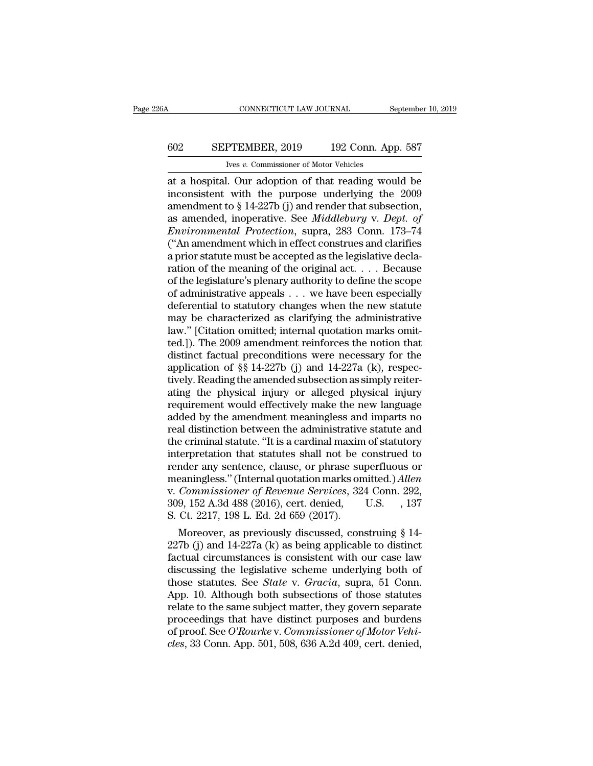## CONNECTICUT LAW JOURNAL September 10, 2019<br>602 SEPTEMBER, 2019 192 Conn. App. 587<br>Ives v. Commissioner of Motor Vehicles CONNECTICUT LAW JOURNAL<br>PTEMBER, 2019 192 Conn. Ap<br>Ives *v.* Commissioner of Motor Vehicles<br>I Our adoption of that reading wou

 $\begin{tabular}{ll} \multicolumn{2}{l}{{\small \textbf{COMRECTICUT LAW JOURNAL}}} & \multicolumn{2}{l}{September 10, 2019} \\ \hline & \multicolumn{2}{l}{\small \textbf{G02}} & \multicolumn{2}{l}{\small \textbf{SEPTEMBER, 2019}} & \multicolumn{2}{l}{\small \textbf{192 Conn. App. 587}} \\ & \multicolumn{2}{l}{\small \textbf{Ives }v. \textbf{ Commissioner of Motor Vehicles}} \\ \hline \end{tabular} \text{at a hospital. Our adoption of that reading would be inconsistent with the purpose underlying the 2009} \\ \textbf{amondment to 8-14-$ SEPTEMBER, 2019 192 Conn. App. 587<br>
Ives v. Commissioner of Motor Vehicles<br>
at a hospital. Our adoption of that reading would be<br>
inconsistent with the purpose underlying the 2009<br>
amendment to § 14-227b (j) and render tha EXPTEMBER, 2019 192 Conn. App. 587<br>
ves v. Commissioner of Motor Vehicles<br>
at a hospital. Our adoption of that reading would be<br>
inconsistent with the purpose underlying the 2009<br>
amendment to § 14-227b (j) and render tha SEPTEMBER, 2019 192 Conn. App. 587<br>
Ives v. Commissioner of Motor Vehicles<br>
at a hospital. Our adoption of that reading would be<br>
inconsistent with the purpose underlying the 2009<br>
amendment to § 14-227b (j) and render tha *En TERERA, 2019 En Conal Tipp. 801*<br> *En Len Conal Tipp. 801*<br> *En Conal Tipp. 801*<br> *En Conal Tipp. 801*<br> *En Conal Divideo Conal Protection*<br> *Enconsistent with the purpose underlying the 2009*<br> *Environmental Protect* <sup>1ves v</sup>. Commissioner of Motor Vehicles<br>
at a hospital. Our adoption of that reading would be<br>
inconsistent with the purpose underlying the 2009<br>
amendment to § 14-227b (j) and render that subsection,<br>
as amended, inoper at a hospital. Our adoption of that reading would be<br>inconsistent with the purpose underlying the 2009<br>amendment to § 14-227b (j) and render that subsection,<br>as amended, inoperative. See *Middlebury* v. *Dept. of*<br>*Enviro* inconsistent with the purpose underlying the 2009<br>amendment to § 14-227b (j) and render that subsection,<br>as amended, inoperative. See *Middlebury* v. *Dept. of*<br>*Environmental Protection*, supra, 283 Conn. 173–74<br>("An ame amendment to § 14-227b (j) and render that subsection,<br>as amended, inoperative. See *Middlebury* v. *Dept. of*<br>*Environmental Protection*, supra, 283 Conn. 173–74<br>("An amendment which in effect construes and clarifies<br>a p as amended, inoperative. See *Middlebury* v. *Dept. of*<br>*Environmental Protection*, supra, 283 Conn. 173–74<br>("An amendment which in effect construes and clarifies<br>a prior statute must be accepted as the legislative decla-Environmental Protection, supra, 283 Conn. 173–74<br>("An amendment which in effect construes and clarifies<br>a prior statute must be accepted as the legislative decla-<br>ration of the meaning of the original act.  $\dots$  Because<br>o ("An amendment which in effect construes and clarifies<br>a prior statute must be accepted as the legislative decla-<br>ration of the meaning of the original act.  $\dots$  Because<br>of the legislature's plenary authority to define th a prior statute must be accepted as the legislative declaration of the meaning of the original act. . . . Because<br>of the legislature's plenary authority to define the scope<br>of administrative appeals . . . we have been espe ration of the meaning of the original act. . . . Because<br>of the legislature's plenary authority to define the scope<br>of administrative appeals . . . we have been especially<br>deferential to statutory changes when the new sta of the legislature's plenary authority to define the scope<br>of administrative appeals . . . we have been especially<br>deferential to statutory changes when the new statute<br>may be characterized as clarifying the administrativ of administrative appeals . . . we have been especially<br>deferential to statutory changes when the new statute<br>may be characterized as clarifying the administrative<br>law." [Citation omitted; internal quotation marks omit-<br>te deferential to statutory changes when the new statute<br>may be characterized as clarifying the administrative<br>law." [Citation omitted; internal quotation marks omit-<br>ted.]). The 2009 amendment reinforces the notion that<br>dist may be characterized as clarifying the administrative<br>law." [Citation omitted; internal quotation marks omit-<br>ted.]). The 2009 amendment reinforces the notion that<br>distinct factual preconditions were necessary for the<br>app law." [Citation omitted; internal quotation marks omit-<br>ted.]). The 2009 amendment reinforces the notion that<br>distinct factual preconditions were necessary for the<br>application of §§ 14-227b (j) and 14-227a (k), respec-<br>tiv ted.]). The 2009 amendment reinforces the notion that<br>distinct factual preconditions were necessary for the<br>application of §§ 14-227b (j) and 14-227a (k), respec-<br>tively. Reading the amended subsection as simply reiter-<br>at distinct factual preconditions were necessary for the<br>application of §§ 14-227b (j) and 14-227a (k), respec-<br>tively. Reading the amended subsection as simply reiter-<br>ating the physical injury or alleged physical injury<br>req application of §§ 14-227b (j) and 14-227a (k), respectively. Reading the amended subsection as simply reiterating the physical injury or alleged physical injury requirement would effectively make the new language added by tively. Reading the amended subsection as simply reiterating the physical injury or alleged physical injury<br>requirement would effectively make the new language<br>added by the amendment meaningless and imparts no<br>real distinc ating the physical injury or alleged physical injury<br>requirement would effectively make the new language<br>added by the amendment meaningless and imparts no<br>real distinction between the administrative statute and<br>the crimina requirement would effectively make the new language<br>added by the amendment meaningless and imparts no<br>real distinction between the administrative statute and<br>the criminal statute. "It is a cardinal maxim of statutory<br>inter added by the amendment meaningless and imparts no<br>real distinction between the administrative statute and<br>the criminal statute. "It is a cardinal maxim of statutory<br>interpretation that statutes shall not be construed to<br>re real distinction between the administrative statute and<br>the criminal statute. "It is a cardinal maxim of statutory<br>interpretation that statutes shall not be construed to<br>render any sentence, clause, or phrase superfluous o the criminal statute. "It is a cardinal maxim<br>interpretation that statutes shall not be c<br>render any sentence, clause, or phrase su<br>meaningless." (Internal quotation marks on<br>v. Commissioner of Revenue Services, 32-<br>309, 1 derpretation that statutes shall not be construed to<br>nder any sentence, clause, or phrase superfluous or<br>eaningless." (Internal quotation marks omitted.) *Allen*<br>*Commissioner of Revenue Services*, 324 Conn. 292,<br>9, 152 A render any sentence, clause, or phrase superfluous or<br>meaningless." (Internal quotation marks omitted.) *Allen*<br>v. *Commissioner of Revenue Services*, 324 Conn. 292,<br>309, 152 A.3d 488 (2016), cert. denied, U.S. , 137<br>S. C

meaningless." (internal quotation marks omitted.) Allen<br>v. Commissioner of Revenue Services, 324 Conn. 292,<br>309, 152 A.3d 488 (2016), cert. denied, U.S. , 137<br>S. Ct. 2217, 198 L. Ed. 2d 659 (2017).<br>Moreover, as previously v. Commissioner of Revenue Services, 324 Conn. 292,<br>309, 152 A.3d 488 (2016), cert. denied, U.S., 137<br>S. Ct. 2217, 198 L. Ed. 2d 659 (2017).<br>Moreover, as previously discussed, construing § 14-<br>227b (j) and 14-227a (k) as those statutes. See *State* v. *Gracia*, suppression, 157 S. Ct. 2217, 198 L. Ed. 2d 659 (2017).<br>Moreover, as previously discussed, construing § 14-<br>227b (j) and 14-227a (k) as being applicable to distinct<br>factual circumst S. Ct. 2217, 198 L. Ed. 2d 659 (2017).<br>
Moreover, as previously discussed, construing § 14-<br>
227b (j) and 14-227a (k) as being applicable to distinct<br>
factual circumstances is consistent with our case law<br>
discussing the Moreover, as previously discussed, construing § 14-<br>227b (j) and 14-227a (k) as being applicable to distinct<br>factual circumstances is consistent with our case law<br>discussing the legislative scheme underlying both of<br>those 227b (j) and 14-227a (k) as being applicable to distinct<br>factual circumstances is consistent with our case law<br>discussing the legislative scheme underlying both of<br>those statutes. See *State* v. *Gracia*, supra, 51 Conn.<br> factual circumstances is consistent with our case law<br>discussing the legislative scheme underlying both of<br>those statutes. See *State* v. *Gracia*, supra, 51 Conn.<br>App. 10. Although both subsections of those statutes<br>relat discussing the legislative scheme underlying both of those statutes. See *State* v. *Gracia*, supra, 51 Conn. App. 10. Although both subsections of those statutes relate to the same subject matter, they govern separate pro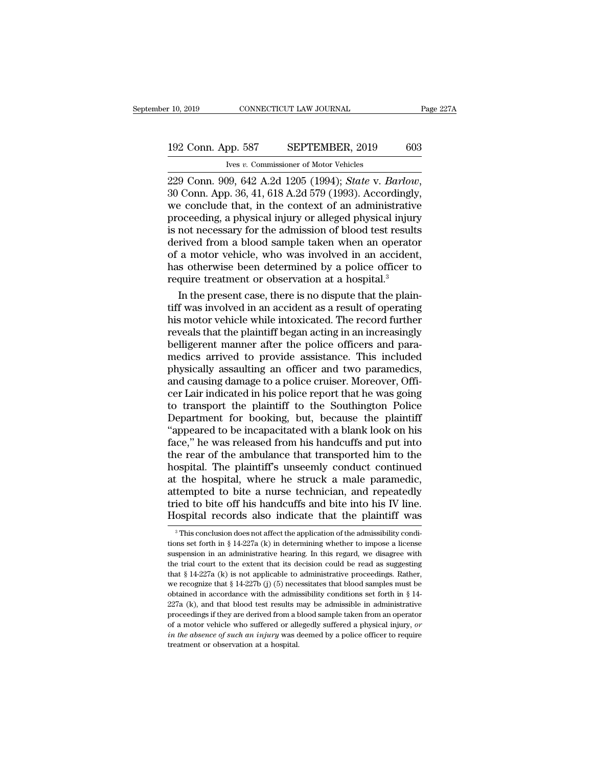## 10, 2019 CONNECTICUT LAW JOURNAL Page 227A<br>192 Conn. App. 587 SEPTEMBER, 2019 603<br>Ives v. Commissioner of Motor Vehicles CONNECTICUT LAW JOURNAL<br>
pp. 587 SEPTEMBER, 2019<br>
<u>Ives *v.* Commissioner of Motor Vehicles</u><br>
19. 642. A 2d 1205 (1994): *State v. Be*

229 Conn. App. 587 SEPTEMBER, 2019 603<br>
<sup>192</sup> Conn. App. 587 SEPTEMBER, 2019 603<br>
<sup>192</sup> Conn. 909, 642 A.2d 1205 (1994); *State* v. *Barlow*, 30 Conn. App. 36, 41, 618 A.2d 579 (1993). Accordingly, we conclude that, in the 192 Conn. App. 587 SEPTEMBER, 2019 603<br>
ves v. Commissioner of Motor Vehicles<br>
229 Conn. 909, 642 A.2d 1205 (1994); *State v. Barlow*,<br>
30 Conn. App. 36, 41, 618 A.2d 579 (1993). Accordingly,<br>
we conclude that, in the con 192 Conn. App. 587 SEPTEMBER, 2019 603<br>
Very v. Commissioner of Motor Vehicles<br>
229 Conn. 909, 642 A.2d 1205 (1994); *State v. Barlow*,<br>
30 Conn. App. 36, 41, 618 A.2d 579 (1993). Accordingly,<br>
we conclude that, in the con EVE COME TEP CONTROLLATE COLLECT USE<br>
The average of Motor Vehicles<br>
229 Conn. 909, 642 A.2d 1205 (1994); *State v. Barlow*,<br>
30 Conn. App. 36, 41, 618 A.2d 579 (1993). Accordingly,<br>
we conclude that, in the context of an Ives v. Commissioner of Motor Vehicles<br>229 Conn. 909, 642 A.2d 1205 (1994); *State v. Barlow*,<br>30 Conn. App. 36, 41, 618 A.2d 579 (1993). Accordingly,<br>we conclude that, in the context of an administrative<br>proceeding, a ph 229 Conn. 909, 642 A.2d 1205 (1994); *State v. Barlow*, 30 Conn. App. 36, 41, 618 A.2d 579 (1993). Accordingly, we conclude that, in the context of an administrative proceeding, a physical injury or alleged physical injur 30 Conn. App. 36, 41, 618 A.2d 579 (1993). Accordingly, we conclude that, in the context of an administrative proceeding, a physical injury or alleged physical injury is not necessary for the admission of blood test resul we conclude that, in the context of an administrative<br>proceeding, a physical injury or alleged physical injur;<br>is not necessary for the admission of blood test result<br>derived from a blood sample taken when an operato<br>of a oceeding, a physical injury or alleged physical injury<br>not necessary for the admission of blood test results<br>rived from a blood sample taken when an operator<br>a motor vehicle, who was involved in an accident,<br>s otherwise be is not necessary for the admission of blood test results<br>derived from a blood sample taken when an operator<br>of a motor vehicle, who was involved in an accident,<br>has otherwise been determined by a police officer to<br>require

derived from a blood sample taken when an operator<br>of a motor vehicle, who was involved in an accident,<br>has otherwise been determined by a police officer to<br>require treatment or observation at a hospital.<sup>3</sup><br>In the present of a motor vehicle, who was involved in an accident,<br>has otherwise been determined by a police officer to<br>require treatment or observation at a hospital.<sup>3</sup><br>In the present case, there is no dispute that the plain-<br>tiff was has otherwise been determined by a police officer to<br>require treatment or observation at a hospital.<sup>3</sup><br>In the present case, there is no dispute that the plain-<br>tiff was involved in an accident as a result of operating<br>his require treatment or observation at a hospital.<sup>3</sup><br>In the present case, there is no dispute that the plain-<br>tiff was involved in an accident as a result of operating<br>his motor vehicle while intoxicated. The record further<br> In the present case, there is no dispute that the plain-<br>tiff was involved in an accident as a result of operating<br>his motor vehicle while intoxicated. The record further<br>reveals that the plaintiff began acting in an incre tiff was involved in an accident as a result of operating<br>his motor vehicle while intoxicated. The record further<br>reveals that the plaintiff began acting in an increasingly<br>belligerent manner after the police officers and his motor vehicle while intoxicated. The record further<br>reveals that the plaintiff began acting in an increasingly<br>belligerent manner after the police officers and para-<br>medics arrived to provide assistance. This included<br> reveals that the plaintiff began acting in an increasingly<br>belligerent manner after the police officers and para-<br>medics arrived to provide assistance. This included<br>physically assaulting an officer and two paramedics,<br>and belligerent manner after the police officers and para-<br>medics arrived to provide assistance. This included<br>physically assaulting an officer and two paramedics,<br>and causing damage to a police cruiser. Moreover, Offi-<br>cer La medics arrived to provide assistance. This included<br>physically assaulting an officer and two paramedics,<br>and causing damage to a police cruiser. Moreover, Offi-<br>cer Lair indicated in his police report that he was going<br>to physically assaulting an officer and two paramedics,<br>and causing damage to a police cruiser. Moreover, Officer Lair indicated in his police report that he was going<br>to transport the plaintiff to the Southington Police<br>Depa and causing damage to a police cruiser. Moreover, Officer Lair indicated in his police report that he was going<br>to transport the plaintiff to the Southington Police<br>Department for booking, but, because the plaintiff<br>"appea cer Lair indicated in his police report that he was going<br>to transport the plaintiff to the Southington Police<br>Department for booking, but, because the plaintiff<br>"appeared to be incapacitated with a blank look on his<br>face, to transport the plaintiff to the Southington Police<br>Department for booking, but, because the plaintiff<br>"appeared to be incapacitated with a blank look on his<br>face," he was released from his handcuffs and put into<br>the rear Department for booking, but, because the plaintiff<br>"appeared to be incapacitated with a blank look on his<br>face," he was released from his handcuffs and put into<br>the rear of the ambulance that transported him to the<br>hospita "appeared to be incapacitated with a blank look on his face," he was released from his handcuffs and put into the rear of the ambulance that transported him to the hospital. The plaintiff's unseemly conduct continued at th face," he was released from his handcuffs and put into<br>the rear of the ambulance that transported him to the<br>hospital. The plaintiff's unseemly conduct continued<br>at the hospital, where he struck a male paramedic,<br>attempted 3 This conclusion does not affect the application, and repeatedly ied to bite off his handcuffs and bite into his IV line.<br>
0 Spital records also indicate that the plaintiff was<br>  $\frac{3}{10}$  This conclusion does not affect attempted to bite a nurse technician, and repeatedly<br>tried to bite off his handcuffs and bite into his IV line.<br>Hospital records also indicate that the plaintiff was<br> $\frac{1}{3}$ This conclusion does not affect the applicatio

tried to bite off his handcuffs and bite into his IV line.<br>Hospital records also indicate that the plaintiff was<br> $\frac{3}{10}$  This conclusion does not affect the application of the admissibility condi-<br>tions set forth in § Hospital records also indicate that the plaintiff was<br>
<sup>3</sup> This conclusion does not affect the application of the admissibility conditions set forth in § 14-227a (k) in determining whether to impose a license suspension i TOSPITAL TECOTOS ALSO INDUCATE THAT THE PIAINTIT WAS<br>
<sup>3</sup> This conclusion does not affect the application of the admissibility condi-<br>
tions set forth in § 14-227a (k) in determining whether to impose a license<br>
suspensio <sup>3</sup> This conclusion does not affect the application of the admissibility conditions set forth in § 14-227a (k) in determining whether to impose a license suspension in an administrative hearing. In this regard, we disagre tions set forth in § 14-227a (k) in determining whether to impose a license suspension in an administrative hearing. In this regard, we disagree with the trial court to the extent that its decision could be read as sugges suspension in an administrative hearing. In this regard, we disagree with<br>the trial court to the extent that its decision could be read as suggesting<br>that  $\S 14-227a$  (k) is not applicable to administrative proceedings. R the trial court to the extent that its decision could be read as suggesting that § 14-227a (k) is not applicable to administrative proceedings. Rather, we recognize that § 14-227b (j) (5) necessitates that blood samples m that § 14-227a (k) is not applicable to administrative proceedings. Rather, we recognize that § 14-227b (j) (5) necessitates that blood samples must be obtained in accordance with the admissibility conditions set forth in *in the absence of such an injury* was deemed by a police officer to require that § 14-227b (j) (5) necessitates that blood samples must be obtained in accordance with the admissibility conditions set forth in § 14-227a (k obtained in accordance with the admissibility conditions set forth in  $\S 14$ -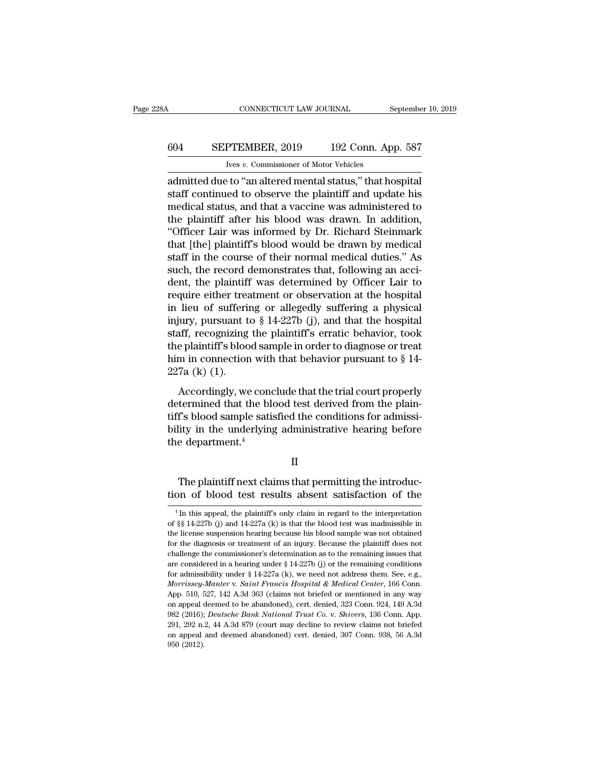## CONNECTICUT LAW JOURNAL September 10, 2019<br>604 SEPTEMBER, 2019 192 Conn. App. 587<br>Ives v. Commissioner of Motor Vehicles Ives *v.* Commissioner of Motor Vehicles

CONNECTICUT LAW JOURNAL September 10, 20<br>
604 SEPTEMBER, 2019 192 Conn. App. 587<br>
Ives v. Commissioner of Motor Vehicles<br>
admitted due to "an altered mental status," that hospital<br>
staff continued to observe the plaintiff SEPTEMBER, 2019 192 Conn. App. 587<br>
Ives v. Commissioner of Motor Vehicles<br>
admitted due to "an altered mental status," that hospital<br>
staff continued to observe the plaintiff and update his<br>
medical status, and that a vac 604 SEPTEMBER, 2019 192 Conn. App. 587<br>
ves v. Commissioner of Motor Vehicles<br>
admitted due to "an altered mental status," that hospital<br>
staff continued to observe the plaintiff and update his<br>
medical status, and that a 604 SEPTEMBER, 2019 192 Conn. App. 587<br>
Ives v. Commissioner of Motor Vehicles<br>
admitted due to "an altered mental status," that hospital<br>
staff continued to observe the plaintiff and update his<br>
medical status, and that  $\frac{1}{\sqrt{1 + \frac{1}{\sqrt{1 + \frac{1}{\sqrt{1 + \frac{1}{\sqrt{1 + \frac{1}{\sqrt{1 + \frac{1}{\sqrt{1 + \frac{1}{\sqrt{1 + \frac{1}{\sqrt{1 + \frac{1}{\sqrt{1 + \frac{1}{\sqrt{1 + \frac{1}{\sqrt{1 + \frac{1}{\sqrt{1 + \frac{1}{\sqrt{1 + \frac{1}{\sqrt{1 + \frac{1}{\sqrt{1 + \frac{1}{\sqrt{1 + \frac{1}{\sqrt{1 + \frac{1}{\sqrt{1 + \frac{1}{\sqrt{1 + \frac{1}{\sqrt{1 + \frac{1}{\sqrt{1 + \frac{1}{\sqrt{1 +$ The v. Commissioner of Motor Venicles<br>admitted due to "an altered mental status," that hospital<br>staff' continued to observe the plaintiff and update his<br>medical status, and that a vaccine was administered to<br>the plaintiff admitted due to "an altered mental status," that hospital<br>staff continued to observe the plaintiff and update his<br>medical status, and that a vaccine was administered to<br>the plaintiff after his blood was drawn. In addition, staff continued to observe the plaintiff and update his<br>medical status, and that a vaccine was administered to<br>the plaintiff after his blood was drawn. In addition,<br>"Officer Lair was informed by Dr. Richard Steinmark<br>that medical status, and that a vaccine was administered to<br>the plaintiff after his blood was drawn. In addition,<br>"Officer Lair was informed by Dr. Richard Steinmark<br>that [the] plaintiff's blood would be drawn by medical<br>staff the plaintiff after his blood was drawn. In addition,<br>"Officer Lair was informed by Dr. Richard Steinmark<br>that [the] plaintiff's blood would be drawn by medical<br>staff in the course of their normal medical duties." As<br>such "Officer Lair was informed by Dr. Richard Steinmark<br>that [the] plaintiff's blood would be drawn by medical<br>staff in the course of their normal medical duties." As<br>such, the record demonstrates that, following an acci-<br>den that [the] plaintiff's blood would be drawn by medical<br>staff in the course of their normal medical duties." As<br>such, the record demonstrates that, following an acci-<br>dent, the plaintiff was determined by Officer Lair to<br>re staff in the course of their normal medical duties." As<br>such, the record demonstrates that, following an acci-<br>dent, the plaintiff was determined by Officer Lair to<br>require either treatment or observation at the hospital<br> such, the record demonstrates that, following an acci-<br>dent, the plaintiff was determined by Officer Lair to<br>require either treatment or observation at the hospital<br>in lieu of suffering or allegedly suffering a physical<br>i dent, the plaintiff was determined by Officer Lair to<br>require either treatment or observation at the hospital<br>in lieu of suffering or allegedly suffering a physical<br>injury, pursuant to § 14-227b (j), and that the hospital require either trea<br>in lieu of sufferin<br>injury, pursuant t<br>staff, recognizing<br>the plaintiff's bloo<br>him in connection<br>227a (k) (1).<br>Accordingly, we The and of sameling of all algoeity sameling a projection<br>iury, pursuant to § 14-227b (j), and that the hospital<br>aff, recognizing the plaintiff's erratic behavior, took<br>e plaintiff's blood sample in order to diagnose or t  $d_{\text{tot}}$ , probability is the plaintiff's erratic behavior, took<br>the plaintiff's blood sample in order to diagnose or treat<br>him in connection with that behavior pursuant to  $\S$  14-<br>227a (k) (1).<br>Accordingly, we conclude t

the plaintiff's blood sample in order to diagnose or treat<br>the plaintiff's blood sample in order to diagnose or treat<br>him in connection with that behavior pursuant to  $\S$  14-<br> $227a$  (k) (1).<br>Accordingly, we conclude that bility in the underlying administrative hearing before the department of  $\S$  14-227a (k) (1).<br>Accordingly, we conclude that the trial court properly determined that the blood test derived from the plaintiff's blood sample 227a (k) (1).<br>
Accordingly, we condetermined that the blue tiff's blood sample satisfied that the blue tiff's blood sample satisfied the department.<sup>4</sup> termined that the blood test derived from the plain-<br>
f's blood sample satisfied the conditions for admissi-<br>
iity in the underlying administrative hearing before<br>
e department.<br>
II<br>
The plaintiff next claims that permitti tiff's blood sample satisfied the conditions for admissibility in the underlying administrative hearing before<br>the department.<sup>4</sup><br>II<br>The plaintiff next claims that permitting the introduction of blood test results absent

II

II<br>The plaintiff next claims that permitting the introduc-<br>on of blood test results absent satisfaction of the<br><sup>4</sup>In this appeal, the plaintiff's only claim in regard to the interpretation<br>§§ 14-227b (j) and 14-227a (k) is

The plaintiff next claims that permitting the introduction of blood test results absent satisfaction of the  $\frac{4}{\text{In this appeal, the plaintiff's only claim in regard to the interpretation of $§ 14-227b (j) and 14-227a (k) is that the blood test was inadmissible in the license suspension hearing because his blood sample was not obtained.$ The plaintiff next claims that permitting the introduction of blood test results absent satisfaction of the  $\frac{4 \text{ In this appeal, the plaintiff's only claim in regard to the interpretation of $8 \ 14-227b (j) and 14-227a (k) is that the blood test was inadmissible in the license suspension hearing because his blood sample was not obtained for the diagnosis or treatment of an injury. Because the plaintiff does not$ For the diagnosis or treatment of an injury. Because the plaintiff does not the diagnosis or treatment of an injury. Because the plaintiff does not challenge the commissioner's determination as to the remaining issues tha <sup>4</sup> In this appeal, the plaintiff's only claim in regard to the interpretation of §§ 14-227b (j) and 14-227a (k) is that the blood test was inadmissible in the license suspension hearing because his blood sample was not o <sup>4</sup> In this appeal, the plaintiff's only claim in regard to the interpretation of §§ 14-227b (j) and 14-227a (k) is that the blood test was inadmissible in the license suspension hearing because his blood sample was not o of §§ 14-227b (j) and 14-227a (k) is that the blood test was inadmissible in the license suspension hearing because his blood sample was not obtained for the diagnosis or treatment of an injury. Because the plaintiff does *Morrissey-Manter* v. *Saint Francis Hospital & Medical Center*, 166 Conn.<br>*Apple icense suppersion hearing because his blood sample was not obtained* for the diagnosis or treatment of an injury. Because the plaintiff does for the diagnosis or treatment of an injury. Because the plaintiff does not challenge the commissioner's determination as to the remaining issues that are considered in a hearing under § 14-227b (j) or the remaining condi challenge the commissioner's determination as to the remaining issues that are considered in a hearing under  $\S 14-227b$  (j) or the remaining conditions for admissibility under  $\S 14-227a$  (k), we need not address them. S challenge the commissioner's determination as to the remaining issues that<br>are considered in a hearing under § 14-227b (j) or the remaining conditions<br>for admissibility under § 14-227a (k), we need not address them. See, e for admissibility under § 14-227a (k), we need not address them. See, e.g., *Morrissey-Manter v. Saint Francis Hospital & Medical Center*, 166 Conn. App. 510, 527, 142 A.3d 363 (claims not briefed or mentioned in any way Morrissey-Manter v. Saint Francis Hospital & Medical Center, 166 Conn.<br>App. 510, 527, 142 A.3d 363 (claims not briefed or mentioned in any way<br>on appeal deemed to be abandoned), cert. denied, 323 Conn. 924, 149 A.3d<br>982 (2 on appeal deemed to be abandoned), cert. denied,  $323$  Conn.  $924$ ,  $149$  A.3d  $982$  (2016); *Deutsche Bank National Trust Co. v. Shivers*,  $136$  Conn. App.  $291$ ,  $292$  n.2,  $44$  A.3d  $879$  (court may decline to review c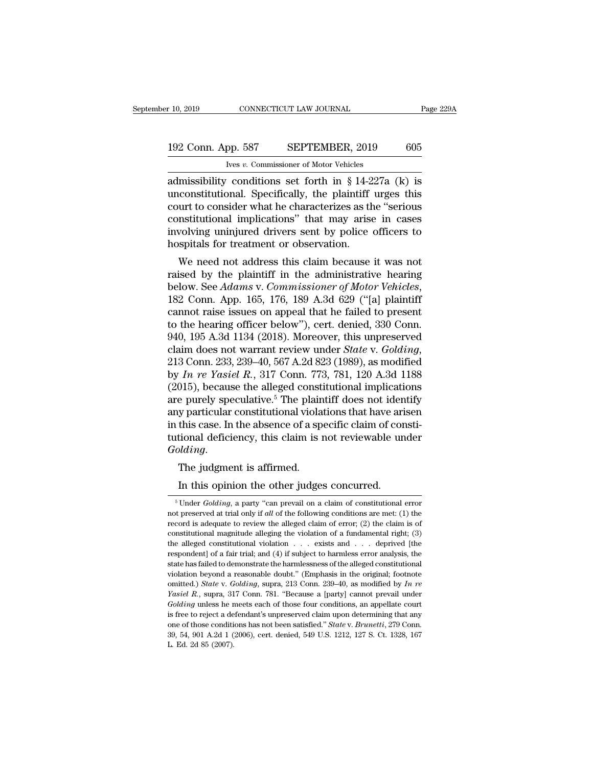## 10, 2019 CONNECTICUT LAW JOURNAL Page 229A<br>192 Conn. App. 587 SEPTEMBER, 2019 605<br>Ives v. Commissioner of Motor Vehicles CONNECTICUT LAW JOURNAL<br>
pp. 587 SEPTEMBER, 2019<br>
<u>Ives *v*. Commissioner of Motor Vehicles</u><br>
conditions set forth in 8 14-227a

r 10, 2019 CONNECTICUT LAW JOURNAL Page 229A<br>
192 Conn. App. 587 SEPTEMBER, 2019 605<br>
Ives v. Commissioner of Motor Vehicles<br>
admissibility conditions set forth in § 14-227a (k) is<br>
unconstitutional. Specifically, the plai 192 Conn. App. 587 SEPTEMBER, 2019 605<br>
Ives v. Commissioner of Motor Vehicles<br>
admissibility conditions set forth in § 14-227a (k) is<br>
unconstitutional. Specifically, the plaintiff urges this<br>
court to consider what he c 192 Conn. App. 587 SEPTEMBER, 2019 605<br>
ves v. Commissioner of Motor Vehicles<br>
admissibility conditions set forth in § 14-227a (k) is<br>
unconstitutional. Specifically, the plaintiff urges this<br>
court to consider what he ch 192 Conn. App. 587 SEPTEMBER, 2019 605<br>
Ves v. Commissioner of Motor Vehicles<br>
admissibility conditions set forth in § 14-227a (k) is<br>
unconstitutional. Specifically, the plaintiff urges this<br>
court to consider what he ch IVEN USING THE CONSIDERT CONSIDERT TO USING THE USING THE USING THE USING A RUN ARRIVERS Admissibility conditions set forth in § 14-227a (k) is unconstitutional. Specifically, the plaintiff urges this court to consider wh For the set of Motor Vencess<br>admissibility conditions set forth in § 14-2<br>unconstitutional. Specifically, the plaintiff<br>court to consider what he characterizes as the<br>constitutional implications" that may arise<br>involving missionary conduions set forth in  $\S$  14-227a (K) is<br>constitutional. Specifically, the plaintiff urges this<br>urt to consider what he characterizes as the "serious<br>nstitutional implications" that may arise in cases<br>wolving meonstructional. Specifically, the plaintiff diges this<br>court to consider what he characterizes as the "serious<br>constitutional implications" that may arise in cases<br>involving uninjured drivers sent by police officers to<br>ho

below. See *Adams* v. *Commissioner* of Motor Vehicles in Cases involving uninjured drivers sent by police officers to hospitals for treatment or observation.<br>We need not address this claim because it was not raised by the mvolving unifytred drivers sent by poince officers to<br>hospitals for treatment or observation.<br>We need not address this claim because it was not<br>raised by the plaintiff in the administrative hearing<br>below. See *Adams* v. *C* We need not address this claim because it was not<br>raised by the plaintiff in the administrative hearing<br>below. See *Adams* v. *Commissioner of Motor Vehicles*,<br>182 Conn. App. 165, 176, 189 A.3d 629 ("[a] plaintiff<br>cannot r We need not address this claim because it was not<br>raised by the plaintiff in the administrative hearing<br>below. See *Adams* v. *Commissioner of Motor Vehicles*,<br>182 Conn. App. 165, 176, 189 A.3d 629 ("[a] plaintiff<br>cannot r raised by the plaintiff in the administrative hearing<br>below. See *Adams* v. *Commissioner of Motor Vehicles*,<br>182 Conn. App. 165, 176, 189 A.3d 629 ("[a] plaintiff<br>cannot raise issues on appeal that he failed to present<br>to 182 Conn. App. 165, 176, 189 A.3d 629 ("[a] plaintiff<br>cannot raise issues on appeal that he failed to present<br>to the hearing officer below"), cert. denied, 330 Conn.<br>940, 195 A.3d 1134 (2018). Moreover, this unpreserved<br>cl cannot raise issues on appeal that he failed to present<br>to the hearing officer below"), cert. denied, 330 Conn.<br>940, 195 A.3d 1134 (2018). Moreover, this unpreserved<br>claim does not warrant review under *State* v. *Golding* to the hearing officer below"), cert. denied, 330 Conn.<br>940, 195 A.3d 1134 (2018). Moreover, this unpreserved<br>claim does not warrant review under *State* v. *Golding*,<br>213 Conn. 233, 239–40, 567 A.2d 823 (1989), as modifi 940, 195 A.3d 1134 (2018). Moreover, this unpreserved<br>claim does not warrant review under *State* v. *Golding*,<br>213 Conn. 233, 239–40, 567 A.2d 823 (1989), as modified<br>by *In re Yasiel R.*, 317 Conn. 773, 781, 120 A.3d 11 claim does not warrant review under *State* v. *Golding*, 213 Conn. 233, 239–40, 567 A.2d 823 (1989), as modified by *In re Yasiel R.*, 317 Conn. 773, 781, 120 A.3d 1188 (2015), because the alleged constitutional implicat 213 Conn. 233, 239–40, 567 A.2d 823 (1989), as modified<br>by *In re Yasiel R.*, 317 Conn. 773, 781, 120 A.3d 1188<br>(2015), because the alleged constitutional implications<br>are purely speculative.<sup>5</sup> The plaintiff does not ide  $(2015)$ , because the aneged constrained purely speculative.<sup>5</sup> The plained and particular constitutional violar in this case. In the absence of a speculational deficiency, this claim is a *Golding*. The judgment is affir In this case. In the absence of a specific claim of correlational deficiency, this claim is not reviewable unit is affirmed.<br>In this opinion the other judges concurred.<br>In this opinion the other judges concurred.<br>Under Gol

olding.<br>
The judgment is affirmed.<br>
In this opinion the other judges concurred.<br>
<sup>5</sup> Under *Golding*, a party "can prevail on a claim of constitutional error<br>
t preserved at trial only if *all* of the following conditions The judgment is affirmed.<br>
In this opinion the other judges concurred.<br>
<sup>5</sup> Under *Golding*, a party "can prevail on a claim of constitutional error not preserved at trial only if *all* of the following conditions are met The judgment is affirmed.<br>
In this opinion the other judges concurred.<br>
<sup>5</sup>Under *Golding*, a party "can prevail on a claim of constitutional error not preserved at trial only if *all* of the following conditions are met: In this opinion the other judges concurred.<br>
<sup>5</sup> Under *Golding*, a party "can prevail on a claim of constitutional error mot preserved at trial only if *all* of the following conditions are met: (1) the record is adequat It thus optimal the other judges concurred.<br>
<sup>5</sup> Under *Golding*, a party "can prevail on a claim of constitutional error not preserved at trial only if *all* of the following conditions are met: (1) the record is adequat <sup>5</sup> Under *Golding*, a party "can prevail on a claim of constitutional error not preserved at trial only if *all* of the following conditions are met: (1) the record is adequate to review the alleged claim of error; (2) t not preserved at trial only if *all* of the following conditions are met: (1) the record is adequate to review the alleged claim of error; (2) the claim is of constitutional magnitude alleging the violation of a fundament record is adequate to review the alleged claim of error; (2) the claim is of constitutional magnitude alleging the violation of a fundamental right; (3) the alleged constitutional violation . . . exists and . . . deprived constitutional magnitude alleging the violation of a fundamental right; (3) the alleged constitutional violation  $\ldots$  exists and  $\ldots$  deprived [the respondent] of a fair trial; and (4) if subject to harmless error analy the alleged constitutional violation  $\ldots$  exists and  $\ldots$  deprived [the respondent] of a fair trial; and (4) if subject to harmless error analysis, the state has failed to demonstrate the harmlessness of the alleged con respondent] of a fair trial; and (4) if subject to harmless error analysis, the state has failed to demonstrate the harmlessness of the alleged constitutional violation beyond a reasonable doubt." (Emphasis in the origina is factor and the harmlessness of the alleged constitutional violation beyond a reasonable doubt." (Emphasis in the original; footnote omitted.) *State* v. *Golding*, supra, 213 Conn. 239–40, as modified by *In re Yasie* violation beyond a reasonable doubt." (Emphasis in the original; footnote omitted.) *State* v. *Golding*, supra, 213 Conn. 239–40, as modified by *In re Yasiel R*, supra, 317 Conn. 781. "Because a [party] cannot prevail u omitted.) *State* v. *Golding*, supra, 213 Conn. 239–40, as modified by *In re Yasiel R.*, supra, 317 Conn. 781. "Because a [party] cannot prevail under *Golding* unless he meets each of those four conditions, an appell Yasiel R., supra, 317 Conn. 781. "Because a [party] cannot prevail under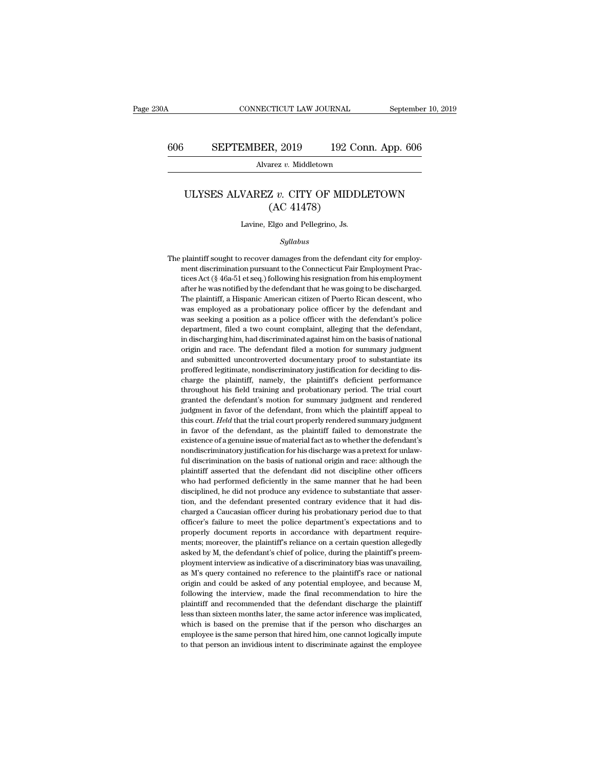Alvarez *v.* Middletown

### SEPTEMBER, 2019 192 Conn. App. 606<br>Alvarez *v.* Middletown<br>ULYSES ALVAREZ *v.* CITY OF MIDDLETOWN (AC 41478) R, 2019 192 C<br>
arez v. Middletown<br>Z v. CITY OF MIDI<br>(AC 41478)<br>Elgo and Pellegrino, Js. ULYSES ALVAREZ  $v$ . CITY OF MIDDLETOWN<br>(AC 41478)<br>Lavine, Elgo and Pellegrino, Js.

### *Syllabus*

 ${\rm (AC~41478)}$   $\label{thm:20} Syllabus$  <br> The plaintiff sought to recover damages from the defendant city for employ-<br> ment discrimination pursuant to the Connecticut Fair Employment Prac-Lavine, Elgo and Pellegrino, Js.<br>Syllabus<br>plaintiff sought to recover damages from the defendant city for employ-<br>ment discrimination pursuant to the Connecticut Fair Employment Prac-<br>tices Act (§ 46a-51 et seq.) following Lavine, Elgo and Pellegrino, Js.<br>
Syllabus<br>
plaintiff sought to recover damages from the defendant city for employ-<br>
ment discrimination pursuant to the Connecticut Fair Employment Prac-<br>
tices Act (§ 46a-51 et seq.) follo Syllabus<br>plaintiff sought to recover damages from the defendant city for employ-<br>ment discrimination pursuant to the Connecticut Fair Employment Prac-<br>tices Act (§ 46a-51 et seq.) following his resignation from his employm Syllabus<br>
plaintiff sought to recover damages from the defendant city for employ-<br>
ment discrimination pursuant to the Connecticut Fair Employment Prac-<br>
tices Act (§ 46a-51 et seq.) following his resignation from his empl plaintiff sought to recover damages from the defendant city for employment discrimination pursuant to the Connecticut Fair Employment Practices Act (§ 46a-51 et seq.) following his resignation from his employment after he paramet discrimination pursuant to the Connecticut Fair Employment Practices Act (§ 46a-51 et seq.) following his resignation from his employment after he was notified by the defendant that he was going to be discharged.<br>T department, filed a two count complaint, alleging that the defendant counterpart after he was notified by the defendant that he was going to be discharged. The plaintiff, a Hispanic American citizen of Puerto Rican descen after he was notified by the defendant that he was going to be discharged.<br>The plaintiff, a Hispanic American citizen of Puerto Rican descent, who was employed as a probationary police officer by the defendant and was seek The plaintiff, a Hispanic American citizen of Puerto Rican descent, who was employed as a probationary police officer by the defendant and was seeking a position as a police officer with the defendant's police department, was employed as a probationary police officer by the defendant and<br>was seeking a position as a police officer with the defendant's police<br>department, filed a two count complaint, alleging that the defendant,<br>in discharging was seeking a position as a police officer with the defendant's police department, filed a two count complaint, alleging that the defendant, in discharging him, had discriminated against him on the basis of national origin department, filed a two count complaint, alleging that the defendant, in discharging him, had discriminated against him on the basis of national origin and race. The defendant filed a motion for summary judgment and submit in discharging him, had discriminated against him on the basis of national origin and race. The defendant filed a motion for summary judgment and submitted uncontroverted documentary proof to substantiate its proffered leg notion and race. The defendant filed a motion for summary judgment and submitted uncontroverted documentary proof to substantiate its proffered legitimate, nondiscriminatory justification for deciding to discharge the plai and submitted uncontroverted documentary proof to substantiate its<br>proffered legitimate, nondiscriminatory justification for deciding to dis-<br>charge the plaintiff, namely, the plaintiff's deficient performance<br>throughout h proffered legitimate, nondiscriminatory justification for deciding to discharge the plaintiff, namely, the plaintiff's deficient performance throughout his field training and probationary period. The trial court granted th charge the plaintiff, namely, the plaintiff's deficient performance throughout his field training and probationary period. The trial court granted the defendant's motion for summary judgment and rendered judgment in favor existence of a genuine issue of material fact as to whether the trial court<br>throughout his field training and probationary period. The trial court<br>granted the defendant's motion for summary judgment and rendered<br>judgment i throughout his field training and probationary period. The trial court granted the defendant's motion for summary judgment and rendered judgment in favor of the defendant, from which the plaintiff appeal to this court. He judgment in favor of the defendant, from which the plaintiff appeal to this court. Held that the trial court properly rendered summary judgment in favor of the defendant, as the plaintiff failed to demonstrate the existenc this court. *Held* that the trial court properly rendered summary judgment in favor of the defendant, as the plaintiff failed to demonstrate the existence of a genuine issue of material fact as to whether the defendant's n in favor of the defendant, as the plaintiff failed to demonstrate the existence of a genuine issue of material fact as to whether the defendant's nondiscriminatory justification for his discharge was a pretext for unlaw-fu existence of a genuine issue of material fact as to whether the defendant's nondiscriminatory justification for his discharge was a pretext for unlaw-ful discrimination on the basis of national origin and race: although th nondiscriminatory justification for his discharge was a pretext for unlaw-<br>ful discrimination on the basis of national origin and race: although the<br>plaintiff asserted that the defendant did not discipline other officers<br>w ful discrimination on the basis of national origin and race: although the plaintiff asserted that the defendant did not discipline other officers who had performed deficiently in the same manner that he had been discipline plaintiff asserted that the defendant did not discipline other officers<br>who had performed deficiently in the same manner that he had been<br>disciplined, he did not produce any evidence to substantiate that asser-<br>tion, and t who had performed deficiently in the same manner that he had been disciplined, he did not produce any evidence to substantiate that assertion, and the defendant presented contrary evidence that it had discharged a Caucasia disciplined, he did not produce any evidence to substantiate that assertion, and the defendant presented contrary evidence that it had discharged a Caucasian officer during his probationary period due to that officer's fai disciplined, he did not produce any evidence to substantiate that assertion, and the defendant presented contrary evidence that it had discharged a Caucasian officer during his probationary period due to that officer's fai charged a Caucasian officer during his probationary period due to that officer's failure to meet the police department's expectations and to properly document reports in accordance with department requirements; moreover, t officer's failure to meet the police department's expectations and to properly document reports in accordance with department requirements; moreover, the plaintiff's reliance on a certain question allegedly asked by M, the properly document reports in accordance with department requirements; moreover, the plaintiff's reliance on a certain question allegedly asked by M, the defendant's chief of police, during the plaintiff's preem-<br>ployment i ments; moreover, the plaintiff's reliance on a certain question allegedly asked by M, the defendant's chief of police, during the plaintiff's preem-<br>ployment interview as indicative of a discriminatory bias was unavailing, asked by M, the defendant's chief of police, during the plaintiff's preem-<br>ployment interview as indicative of a discriminatory bias was unavailing,<br>as M's query contained no reference to the plaintiff's race or national<br>o ployment interview as indicative of a discriminatory bias was unavailing, as M's query contained no reference to the plaintiff's race or national origin and could be asked of any potential employee, and because M, followin as M's query contained no reference to the plaintiff's race or national origin and could be asked of any potential employee, and because M, following the interview, made the final recommendation to hire the plaintiff and r origin and could be asked of any potential employee, and because M, following the interview, made the final recommendation to hire the plaintiff and recommended that the defendant discharge the plaintiff less than sixteen origin and could be asked of any potential employee, and because M, following the interview, made the final recommendation to hire the plaintiff and recommended that the defendant discharge the plaintiff less than sixteen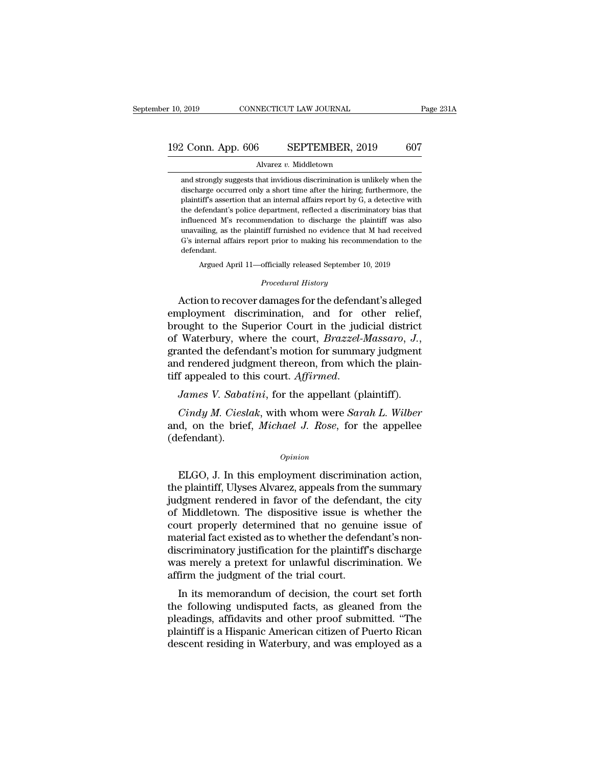# 10, 2019 CONNECTICUT LAW JOURNAL Page 231A<br>192 Conn. App. 606 SEPTEMBER, 2019 607<br>Alvarez v. Middletown

### Alvarez *v.* Middletown

2 Conn. App. 606 SEPTEMBER, 2019 607<br>Alvarez v. Middletown<br>and strongly suggests that invidious discrimination is unlikely when the<br>discharge occurred only a short time after the hiring; furthermore, the 2 Conn. App. 606 SEPTEMBER, 2019 607<br>Alvarez v. Middletown<br>and strongly suggests that invidious discrimination is unlikely when the<br>discharge occurred only a short time after the hiring; furthermore, the<br>plaintiff's assert Platnik 2019 22 Conn. App. 606 2 SEPTEMBER, 2019 607<br>
Alvarez v. Middletown<br>
and strongly suggests that invidious discrimination is unlikely when the<br>
discharge occurred only a short time after the hiring; furthermore, th Alvarez v. Middletown<br>
and strongly suggests that invidious discrimination is unlikely when the<br>
discharge occurred only a short time after the hiring; furthermore, the<br>
plaintiff's assertion that an internal affairs repor Alvarez  $v$ . Middletown<br>and strongly suggests that invidious discrimination is unlikely when the<br>discharge occurred only a short time after the hiring; furthermore, the<br>plaintiff's assertion that an internal affairs repor and strongly suggests that invidious discrimination is unlikely when the discharge occurred only a short time after the hiring; furthermore, the plaintiff's assertion that an internal affairs report by G, a detective with discharge occurred only a short time after the hiring; furthermore, the plaintiff's assertion that an internal affairs report by  $G$ , a detective with the defendant's police department, reflected a discriminatory bias tha defendant. % unavailing, as the plaintiff furnished no evidence that M had received G's internal affairs report prior to making his recommendation to the defendant.<br>Argued April 11—officially released September 10, 2019<br> $\emph{Procedural History}$ mutericed MS recommendation to discharge the plantiff was also<br>unavailing, as the plaintiff furnished no evidence that M had received<br>G's internal affairs report prior to making his recommendation to the<br>defendant.<br>Argued

Argued April 11—officially released September 10, 2019<br>*Procedural History*<br>Action to recover damages for the defendant's alleged G's internal affairs report prior to making his recommendation to the<br>defendant.<br>Argued April 11—officially released September 10, 2019<br>*Procedural History*<br>Action to recover damages for the defendant's alleged<br>employment defendant.<br>
Argued April 11—officially released September 10, 2019<br>
Procedural History<br>
Action to recover damages for the defendant's alleged<br>
employment discrimination, and for other relief,<br>
brought to the Superior Court Argued April 11—officially released September 10, 2019<br> *Procedural History*<br> **Action to recover damages for the defendant's alleged<br>
employment discrimination, and for other relief,<br>
brought to the Superior Court in the j** Froceaural History<br>Action to recover damages for the defendant's alleged<br>employment discrimination, and for other relief,<br>brought to the Superior Court in the judicial district<br>of Waterbury, where the court, *Brazzel-Massa* Action to recover damages for the defendant's alleged<br>employment discrimination, and for other relief,<br>brought to the Superior Court in the judicial district<br>of Waterbury, where the court, *Brazzel-Massaro*, *J.*,<br>granted *Cial Waterbury, where the court, Brazzel-Massaro, J.,*<br>anted the defendant's motion for summary judgment<br>d rendered judgment thereon, from which the plain-<br>f appealed to this court. *Affirmed.*<br>James *V. Sabatini*, for th granted the defendant's motion for summary judgment<br>and rendered judgment thereon, from which the plain-<br>tiff appealed to this court. Affirmed.<br>James V. Sabatini, for the appellant (plaintiff).<br>Cindy M. Cieslak, with whom

(defendant). Findly M. Cieslak, with whom were Sarah L. Wilber<br>
d, on the brief, Michael J. Rose, for the appellee<br>
efendant).<br>
Opinion<br>
ELGO, J. In this employment discrimination action,<br>
e plaintiff, Ulyses Alvarez, appeals from the

### *Opinion*

Cindy M. Cieslak, with whom were Sarah L. Wilber<br>and, on the brief, Michael J. Rose, for the appellee<br>(defendant).<br> $o_{pinion}$ <br>ELGO, J. In this employment discrimination action,<br>the plaintiff, Ulyses Alvarez, appeals from the and, on the brief, *Michael J. Rose*, for the appellee<br>
(defendant).<br> *Opinion*<br>
ELGO, J. In this employment discrimination action,<br>
the plaintiff, Ulyses Alvarez, appeals from the summary<br>
judgment rendered in favor of th opinion<br>
opinion<br>
ELGO, J. In this employment discrimination action,<br>
the plaintiff, Ulyses Alvarez, appeals from the summary<br>
judgment rendered in favor of the defendant, the city<br>
of Middletown. The dispositive issue is opinion<br>
ELGO, J. In this employment discrimination action,<br>
the plaintiff, Ulyses Alvarez, appeals from the summary<br>
judgment rendered in favor of the defendant, the city<br>
of Middletown. The dispositive issue is whether t *Common*<br>ELGO, J. In this employment discrimination action,<br>the plaintiff, Ulyses Alvarez, appeals from the summary<br>judgment rendered in favor of the defendant, the city<br>of Middletown. The dispositive issue is whether the<br> ELGO, J. In this employment discrimination action,<br>the plaintiff, Ulyses Alvarez, appeals from the summary<br>judgment rendered in favor of the defendant, the city<br>of Middletown. The dispositive issue is whether the<br>court pro the plaintiff, Ulyses Alvarez, appeals from the summary<br>judgment rendered in favor of the defendant, the city<br>of Middletown. The dispositive issue is whether the<br>court properly determined that no genuine issue of<br>material judgment rendered in favor of the defenda<br>of Middletown. The dispositive issue is w<br>court properly determined that no genuir<br>material fact existed as to whether the defen<br>discriminatory justification for the plaintiff<br>was In its memoral of decision, the court set of a<br>terrial fact existed as to whether the defendant's non-<br>scriminatory justification for the plaintiff's discharge<br>as merely a pretext for unlawful discrimination. We<br>firm the j Court properly determined that no genuine issue of<br>material fact existed as to whether the defendant's non-<br>discriminatory justification for the plaintiff's discharge<br>was merely a pretext for unlawful discrimination. We<br>af

material fact existed as to whether the defendant shon-<br>discriminatory justification for the plaintiff's discharge<br>was merely a pretext for unlawful discrimination. We<br>affirm the judgment of the trial court.<br>In its memoran matter of the plantin suscharge was merely a pretext for unlawful discrimination. We affirm the judgment of the trial court.<br>In its memorandum of decision, the court set forth the following undisputed facts, as gleaned fro was lietely a pretext for unlawful uscrimination. We<br>affirm the judgment of the trial court.<br>In its memorandum of decision, the court set forth<br>the following undisputed facts, as gleaned from the<br>pleadings, affidavits and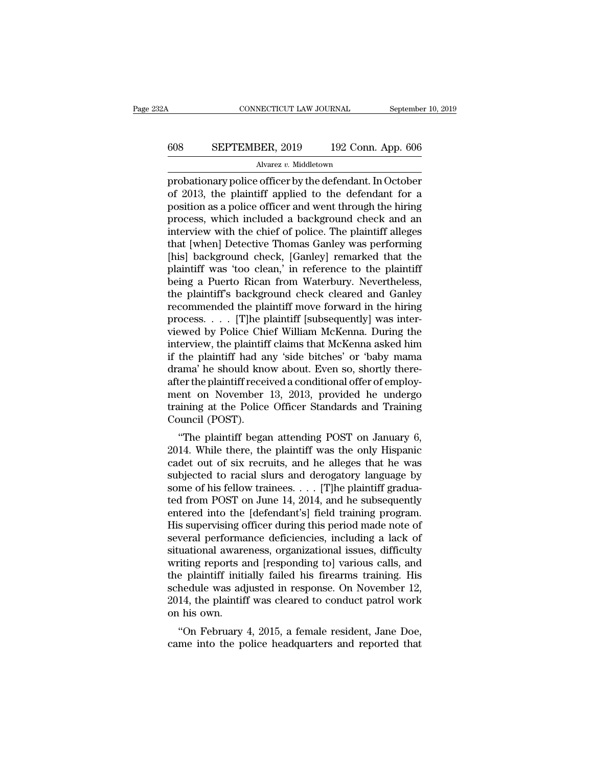# CONNECTICUT LAW JOURNAL September 10, 2019<br>608 SEPTEMBER, 2019 192 Conn. App. 606<br>Alvarez v. Middletown

### Alvarez *v.* Middletown

cONNECTICUT LAW JOURNAL September 10, 2019<br>
608 SEPTEMBER, 2019 192 Conn. App. 606<br>
Alvarez v. Middletown<br>
probationary police officer by the defendant. In October<br>
of 2013, the plaintiff applied to the defendant for a<br>
po EPTEMBER, 2019 192 Conn. App. 606<br>Alvarez v. Middletown<br>probationary police officer by the defendant. In October<br>of 2013, the plaintiff applied to the defendant for a<br>position as a police officer and went through the hiri 608 SEPTEMBER, 2019 192 Conn. App. 606<br>Alvarez v. Middletown<br>probationary police officer by the defendant. In October<br>of 2013, the plaintiff applied to the defendant for a<br>position as a police officer and went through the 608 SEPTEMBER, 2019 192 Conn. App. 606<br>
Alvarez v. Middletown<br>
probationary police officer by the defendant. In October<br>
of 2013, the plaintiff applied to the defendant for a<br>
position as a police officer and went through Alvarez v. Middletown<br>
probationary police officer by the defendant. In October<br>
of 2013, the plaintiff applied to the defendant for a<br>
position as a police officer and went through the hiring<br>
process, which included a ba Alvarez v. Middetown<br>
probationary police officer by the defendant. In October<br>
of 2013, the plaintiff applied to the defendant for a<br>
position as a police officer and went through the hiring<br>
process, which included a bac probationary police officer by the defendant. In October<br>of 2013, the plaintiff applied to the defendant for a<br>position as a police officer and went through the hiring<br>process, which included a background check and an<br>inte of 2013, the plaintiff applied to the defendant for a<br>position as a police officer and went through the hiring<br>process, which included a background check and an<br>interview with the chief of police. The plaintiff alleges<br>tha position as a police officer and went through the hiring<br>process, which included a background check and an<br>interview with the chief of police. The plaintiff alleges<br>that [when] Detective Thomas Ganley was performing<br>[his] process, which included a background check and an<br>interview with the chief of police. The plaintiff alleges<br>that [when] Detective Thomas Ganley was performing<br>[his] background check, [Ganley] remarked that the<br>plaintiff wa interview with the chief of police. The plaintiff alleges<br>that [when] Detective Thomas Ganley was performing<br>[his] background check, [Ganley] remarked that the<br>plaintiff was 'too clean,' in reference to the plaintiff<br>being that [when] Detective Thomas Ganley was performing<br>[his] background check, [Ganley] remarked that the<br>plaintiff was 'too clean,' in reference to the plaintiff<br>being a Puerto Rican from Waterbury. Nevertheless,<br>the plaintif [his] background check, [Ganley] remarked that the<br>plaintiff was 'too clean,' in reference to the plaintiff<br>being a Puerto Rican from Waterbury. Nevertheless,<br>the plaintiff's background check cleared and Ganley<br>recommended plaintiff was 'too clean,' in reference to the plaintiff<br>being a Puerto Rican from Waterbury. Nevertheless,<br>the plaintiff's background check cleared and Ganley<br>recommended the plaintiff move forward in the hiring<br>process. being a Puerto Rican from Waterbury. Nevertheless,<br>the plaintiff's background check cleared and Ganley<br>recommended the plaintiff move forward in the hiring<br>process. . . . [T]he plaintiff [subsequently] was inter-<br>viewed by the plaintiff's background check cleared and Ganley<br>recommended the plaintiff move forward in the hiring<br>process. . . . . [T]he plaintiff [subsequently] was inter-<br>viewed by Police Chief William McKenna. During the<br>interv recommended the plaintiff move forward in the hiring<br>process. . . . . [T]he plaintiff [subsequently] was inter-<br>viewed by Police Chief William McKenna. During the<br>interview, the plaintiff claims that McKenna asked him<br>if t process. . . . . [T]he plaintiff [subsequently] was inter-<br>viewed by Police Chief William McKenna. During the<br>interview, the plaintiff claims that McKenna asked him<br>if the plaintiff had any 'side bitches' or 'baby mama<br>dra viewed by Police Chief William McKenna. During the<br>interview, the plaintiff claims that McKenna asked him<br>if the plaintiff had any 'side bitches' or 'baby mama<br>drama' he should know about. Even so, shortly there-<br>after the interview, the plaintif<br>if the plaintiff had an<br>drama' he should kno<br>after the plaintiff receinent on November<br>training at the Police<br>Council (POST).<br>"The plaintiff bega the plaintiff had any side bitches of baby malita<br>ama' he should know about. Even so, shortly there-<br>ter the plaintiff received a conditional offer of employ-<br>ent on November 13, 2013, provided he undergo<br>uining at the Pol mania he should know about. Even so, shortly diete-<br>after the plaintiff received a conditional offer of employ-<br>ment on November 13, 2013, provided he undergo<br>training at the Police Officer Standards and Training<br>Council (

after the plaintiff received a conditional offer of employ-<br>ment on November 13, 2013, provided he undergo<br>training at the Police Officer Standards and Training<br>Council (POST).<br>"The plaintiff began attending POST on Januar Fraining at the Police Officer Standards and Training<br>Council (POST).<br>"The plaintiff began attending POST on January 6,<br>2014. While there, the plaintiff was the only Hispanic<br>cadet out of six recruits, and he alleges that Framing at the Tonce Officer Standards and Training<br>Council (POST).<br>"The plaintiff began attending POST on January 6,<br>2014. While there, the plaintiff was the only Hispanic<br>cadet out of six recruits, and he alleges that he "The plaintiff began attending POST on January 6,<br>2014. While there, the plaintiff was the only Hispanic<br>cadet out of six recruits, and he alleges that he was<br>subjected to racial slurs and derogatory language by<br>some of h "The plaintiff began attending POST on January 6, 2014. While there, the plaintiff was the only Hispanic cadet out of six recruits, and he alleges that he was subjected to racial slurs and derogatory language by some of h 2014. While there, the plaintiff was the only Hispanic<br>cadet out of six recruits, and he alleges that he was<br>subjected to racial slurs and derogatory language by<br>some of his fellow trainees. . . . [T]he plaintiff gradua-<br> cadet out of six recruits, and he alleges that he was<br>subjected to racial slurs and derogatory language by<br>some of his fellow trainees.  $\dots$  [T]he plaintiff gradua-<br>ted from POST on June 14, 2014, and he subsequently<br>ente subjected to racial slurs and derogatory language by<br>some of his fellow trainees. . . . [T]he plaintiff gradua-<br>ted from POST on June 14, 2014, and he subsequently<br>entered into the [defendant's] field training program.<br>His some of his fellow trainees.  $\dots$  [T]he plaintiff graduated from POST on June 14, 2014, and he subsequently<br>entered into the [defendant's] field training program.<br>His supervising officer during this period made note of<br>se ted from POST on June 14, 2014, and he subsequently<br>entered into the [defendant's] field training program.<br>His supervising officer during this period made note of<br>several performance deficiencies, including a lack of<br>situa entered into the [defendant's] field training program.<br>His supervising officer during this period made note of<br>several performance deficiencies, including a lack of<br>situational awareness, organizational issues, difficulty<br> His supervising officer during this period made note of<br>several performance deficiencies, including a lack of<br>situational awareness, organizational issues, difficulty<br>writing reports and [responding to] various calls, and<br> several performa<br>situational aware<br>writing reports a<br>the plaintiff initi<br>schedule was ad<br>2014, the plaintif<br>on his own.<br>"On February diational awareness, organizational issues, unificity<br>
"Thing reports and [responding to] various calls, and<br>
e plaintiff initially failed his firearms training. His<br>
hedule was adjusted in response. On November 12,<br>
14, t writing reports and presponding to various cans, and<br>the plaintiff initially failed his firearms training. His<br>schedule was adjusted in response. On November 12,<br>2014, the plaintiff was cleared to conduct patrol work<br>on hi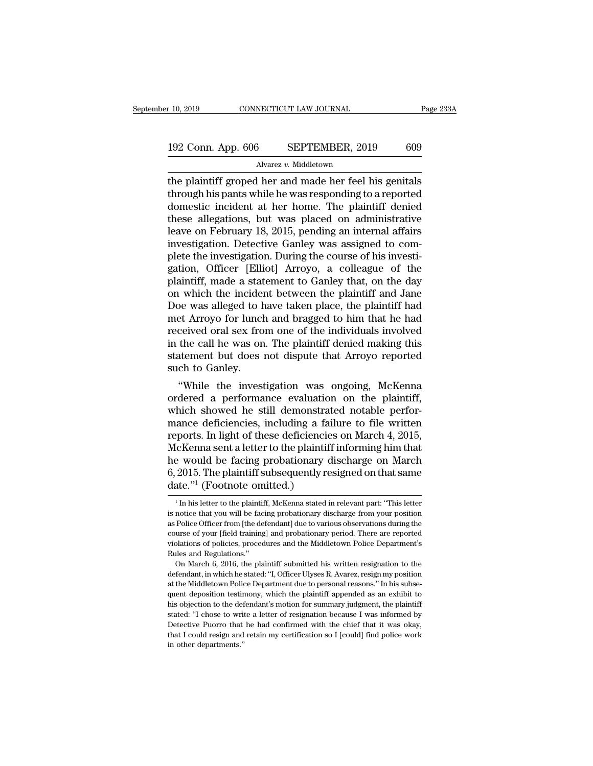# 10, 2019 CONNECTICUT LAW JOURNAL Page 233A<br>192 Conn. App. 606 SEPTEMBER, 2019 609<br>Alvarez v. Middletown

Alvarez *v.* Middletown

the plaintiff groped her and made her feel his genitals<br>through his pants while he was responding to a reported<br>demostic incident at her heme. The plaintiff democine incident at her heme. The plaintiff democi 192 Conn. App. 606 SEPTEMBER, 2019 609<br>Alvarez v. Middletown<br>the plaintiff groped her and made her feel his genitals<br>through his pants while he was responding to a reported<br>domestic incident at her home. The plaintiff deni 192 Conn. App. 606 SEPTEMBER, 2019 609<br>Alvarez v. Middletown<br>the plaintiff groped her and made her feel his genitals<br>through his pants while he was responding to a reported<br>domestic incident at her home. The plaintiff den 192 Conn. App. 606 SEPTEMBER, 2019 609<br>
Alvarez v. Middletown<br>
the plaintiff groped her and made her feel his genitals<br>
through his pants while he was responding to a reported<br>
domestic incident at her home. The plaintiff Alvarez v. Middletown<br>
the plaintiff groped her and made her feel his genitals<br>
through his pants while he was responding to a reported<br>
domestic incident at her home. The plaintiff denied<br>
these allegations, but was place Alvarez v. Middletown<br>the plaintiff groped her and made her feel his genitals<br>through his pants while he was responding to a reported<br>domestic incident at her home. The plaintiff denied<br>these allegations, but was placed o the plaintiff groped her and made her feel his genitals<br>through his pants while he was responding to a reported<br>domestic incident at her home. The plaintiff denied<br>these allegations, but was placed on administrative<br>leave through his pants while he was responding to a reported<br>domestic incident at her home. The plaintiff denied<br>these allegations, but was placed on administrative<br>leave on February 18, 2015, pending an internal affairs<br>invest domestic incident at her home. The plaintiff denied<br>these allegations, but was placed on administrative<br>leave on February 18, 2015, pending an internal affairs<br>investigation. Detective Ganley was assigned to com-<br>plete the these allegations, but was placed on administrative<br>leave on February 18, 2015, pending an internal affairs<br>investigation. Detective Ganley was assigned to com-<br>plete the investigation. During the course of his investi-<br>ga leave on February 18, 2015, pending an internal affairs<br>investigation. Detective Ganley was assigned to com-<br>plete the investigation. During the course of his investi-<br>gation, Officer [Elliot] Arroyo, a colleague of the<br>pl investigation. Detective Ganley was assigned to complete the investigation. During the course of his investigation, Officer [Elliot] Arroyo, a colleague of the plaintiff, made a statement to Ganley that, on the day on whic plete the investigation. During the course of his investigation, Officer [Elliot] Arroyo, a colleague of the plaintiff, made a statement to Ganley that, on the day on which the incident between the plaintiff and Jane Doe w gation, Officer [Elliot] Arroyo, a colleague of the plaintiff, made a statement to Ganley that, on the day on which the incident between the plaintiff and Jane Doe was alleged to have taken place, the plaintiff had met Arr plaintiff, made a statement to Ganley that, on the day<br>on which the incident between the plaintiff and Jane<br>Doe was alleged to have taken place, the plaintiff had<br>met Arroyo for lunch and bragged to him that he had<br>receive on which the incider<br>Doe was alleged to h<br>met Arroyo for lunch<br>received oral sex fro<br>in the call he was on<br>statement but does<br>such to Ganley.<br>"While the invest be was alleged to have taken place, the plaintiff had<br>et Arroyo for lunch and bragged to him that he had<br>ceived oral sex from one of the individuals involved<br>the call he was on. The plaintiff denied making this<br>attement bu met Arroyo for funch and bragged to film that he had<br>received oral sex from one of the individuals involved<br>in the call he was on. The plaintiff denied making this<br>statement but does not dispute that Arroyo reported<br>such t

received oral sex from one of the marvious involved<br>in the call he was on. The plaintiff denied making this<br>statement but does not dispute that Arroyo reported<br>such to Ganley.<br>"While the investigation was ongoing, McKenna<br> m the can he was on. The plaintiff defied making this<br>statement but does not dispute that Arroyo reported<br>such to Ganley.<br>"While the investigation was ongoing, McKenna<br>ordered a performance evaluation on the plaintiff,<br>whi statement but does not dispute that Arroyo reported<br>such to Ganley.<br>"While the investigation was ongoing, McKenna<br>ordered a performance evaluation on the plaintiff,<br>which showed he still demonstrated notable perfor-<br>mance such to Ganley.<br>
"While the investigation was ongoing, McKenna<br>
ordered a performance evaluation on the plaintiff,<br>
which showed he still demonstrated notable perfor-<br>
mance deficiencies, including a failure to file writte "While the investigation was ongoing, McKenna<br>ordered a performance evaluation on the plaintiff,<br>which showed he still demonstrated notable perfor-<br>mance deficiencies, including a failure to file written<br>reports. In light ordered a performance evaluation on the plaintiff,<br>which showed he still demonstrated notable perfor-<br>mance deficiencies, including a failure to file written<br>reports. In light of these deficiencies on March 4, 2015,<br>McKenn which showed he still demonstrat<br>mance deficiencies, including a fair<br>reports. In light of these deficiencie<br>McKenna sent a letter to the plaintif<br>he would be facing probationary c<br>6, 2015. The plaintiff subsequently re<br>da icKenna sent a letter to the plaintiff informing him that<br>
2015. The plaintiff subsequently resigned on that same<br>
ate."<sup>1</sup> (Footnote omitted.)<br>
<sup>1</sup> In his letter to the plaintiff, McKenna stated in relevant part: "This le he would be facing probationary discharge on March 6, 2015. The plaintiff subsequently resigned on that same date."<sup>1</sup> (Footnote omitted.)<br> $\frac{1}{1}$  In his letter to the plaintiff, McKenna stated in relevant part: "This l

<sup>6, 2015.</sup> The plaintiff subsequently resigned on that same date."<sup>1</sup> (Footnote omitted.)<br> $\frac{1}{1}$  In his letter to the plaintiff, McKenna stated in relevant part: "This letter is notice that you will be facing probationar date."<sup>1</sup> (Footnote omitted.)<br> $\frac{1}{1}$  In his letter to the plaintiff, McKenna stated in relevant part: "This letter<br>is notice that you will be facing probationary discharge from your position<br>as Police Officer from [the Video Considers of Produce Considerations of Phalistons of Phalistons of Phalistons of Phalistons of policies and the Middletown Police Department's Rules and Regulations."<br>
Reflections of policies, procedures and the Midd <sup>1</sup> In his letter to the plaintif<br>is notice that you will be factor as Police Officer from [the de<br>course of your [field training<br>violations of policies, proced<br>Rules and Regulations."<br>On March 6, 2016, the pla notice that you will be facing probationary discharge from your position<br>Police Officer from [the defendant] due to various observations during the<br>urse of your [field training] and probationary period. There are reported<br> as Police Officer from [the defendant] due to various observations during the course of your [field training] and probationary period. There are reported violations of policies, procedures and the Middletown Police Departm

at the Middletown Police Beatter and the Middletown Police Department's Rules and Regulations."<br>
Rules and Regulations."<br>
On March 6, 2016, the plaintiff submitted his written resignation to the<br>
defendant, in which he sta violations of policies, procedures and the Middletown Police Department's<br>Rules and Regulations."<br>On March 6, 2016, the plaintiff submitted his written resignation to the<br>defendant, in which he stated: "I, Officer Ulyses R have and Regulations."<br>
Rules and Regulations."<br>
On March 6, 2016, the plaintiff submitted his written resignation to the<br>
defendant, in which he stated: "I, Officer Ulyses R. Avarez, resign my position<br>
at the Middletown on March 6, 2016, the plaintiff submitted his written resignation to the defendant, in which he stated: "I, Officer Ulyses R. Avarez, resign my position at the Middletown Police Department due to personal reasons." In his defendant, in which he stated: "I, Officer Ulyses R. Avarez, resign my position at the Middletown Police Department due to personal reasons." In his subsequent deposition testimony, which the plaintiff appended as an exhib at the Middletown Police Department due to personal reasons." In his subsequent deposition testimony, which the plaintiff appended as an exhibit to his objection to the defendant's motion for summary judgment, the plaintif at the Middletown Police Department due to personal reasons." In his subsequent deposition testimony, which the plaintiff appended as an exhibit to his objection to the defendant's motion for summary judgment, the plainti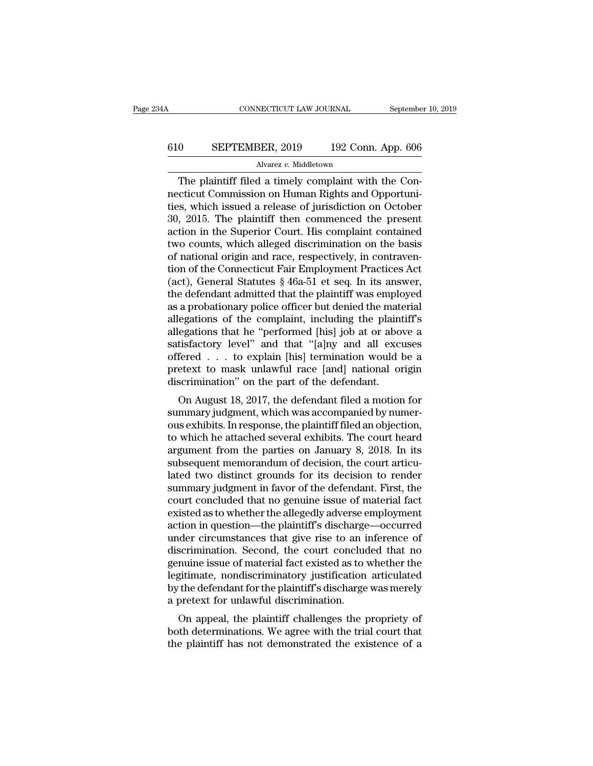# CONNECTICUT LAW JOURNAL September 10, 2019<br>610 SEPTEMBER, 2019 192 Conn. App. 606<br>Alvarez v. Middletown

### Alvarez *v.* Middletown

CONNECTICUT LAW JOURNAL Septembe<br>
0 SEPTEMBER, 2019 192 Conn. App. 606<br>
Alvarez v. Middletown<br>
The plaintiff filed a timely complaint with the Con-<br>
cticut Commission on Human Rights and Opportuni-610 SEPTEMBER, 2019 192 Conn. App. 606<br>Alvarez v. Middletown<br>The plaintiff filed a timely complaint with the Connecticut Commission on Human Rights and Opportuni-<br>ties, which issued a release of jurisdiction on October<br>30, 610 SEPTEMBER, 2019 192 Conn. App. 606<br>Alvarez v. Middletown<br>The plaintiff filed a timely complaint with the Connecticut Commission on Human Rights and Opportuni-<br>ties, which issued a release of jurisdiction on October<br>30  $\frac{\text{300}}{\text{100}}$  SEPTEMBER, 2019 192 Conn. App. 606<br>  $\frac{\text{100}}{\text{100}}$  The plaintiff filed a timely complaint with the Connecticut Commission on Human Rights and Opportunities, which issued a release of jurisdiction on Alvarez v. Middletown<br>
The plaintiff filed a timely complaint with the Con-<br>
necticut Commission on Human Rights and Opportuni-<br>
ties, which issued a release of jurisdiction on October<br>
30, 2015. The plaintiff then commenc Alvarez v. Middetown<br>The plaintiff filed a timely complaint with the Con-<br>necticut Commission on Human Rights and Opportuni-<br>ties, which issued a release of jurisdiction on October<br>30, 2015. The plaintiff then commenced th The plaintiff filed a timely complaint with the Connecticut Commission on Human Rights and Opportunities, which issued a release of jurisdiction on October 30, 2015. The plaintiff then commenced the present action in the necticut Commission on Human Rights and Opportunities, which issued a release of jurisdiction on October 30, 2015. The plaintiff then commenced the present action in the Superior Court. His complaint contained two counts, ties, which issued a release of jurisdiction on October 30, 2015. The plaintiff then commenced the present action in the Superior Court. His complaint contained two counts, which alleged discrimination on the basis of nati 30, 2015. The plaintiff then commenced the present<br>action in the Superior Court. His complaint contained<br>two counts, which alleged discrimination on the basis<br>of national origin and race, respectively, in contraven-<br>tion o action in the Superior Court. His complaint contained<br>two counts, which alleged discrimination on the basis<br>of national origin and race, respectively, in contraven-<br>tion of the Connecticut Fair Employment Practices Act<br>(ac two counts, which alleged discrimination on the basis<br>of national origin and race, respectively, in contraven-<br>tion of the Connecticut Fair Employment Practices Act<br>(act), General Statutes § 46a-51 et seq. In its answer,<br>t of national origin and race, respectively, in contravention of the Connecticut Fair Employment Practices Act (act), General Statutes § 46a-51 et seq. In its answer, the defendant admitted that the plaintiff was employed as tion of the Connecticut Fair Employment Practices Act<br>(act), General Statutes § 46a-51 et seq. In its answer,<br>the defendant admitted that the plaintiff was employed<br>as a probationary police officer but denied the material<br> (act), General Statutes § 46a-51 et seq. In its answer,<br>the defendant admitted that the plaintiff was employed<br>as a probationary police officer but denied the material<br>allegations of the complaint, including the plaintiff the defendant admitted that the plaintiff was employed<br>as a probationary police officer but denied the material<br>allegations of the complaint, including the plaintiff's<br>allegations that he "performed [his] job at or above a as a probationary police officer but denied the mate allegations of the complaint, including the plaint allegations that he "performed [his] job at or above satisfactory level" and that "[a]ny and all excustoffered . . . t egations of the complaint, including the plaintin's<br>egations that he "performed [his] job at or above a<br>tisfactory level" and that "[a]ny and all excuses<br>fered . . . to explain [his] termination would be a<br>etext to mask un and all excusses and that "[alny and all excuses offered . . . to explain [his] termination would be a pretext to mask unlawful race [and] national origin discrimination" on the part of the defendant.<br>On August 18, 2017, t

sausiactory lever and that  $\lceil \text{a} \rceil n$  and an excuses<br>offered . . . to explain [his] termination would be a<br>pretext to mask unlawful race  $\lceil \text{and} \rceil$  national origin<br>discrimination" on the part of the defendant.<br>On A onered  $\therefore$  to explain [ins] termination would be a<br>pretext to mask unlawful race [and] national origin<br>discrimination" on the part of the defendant.<br>On August 18, 2017, the defendant filed a motion for<br>summary judgment, pretext to mask unlawful race [and] national origin<br>discrimination" on the part of the defendant.<br>On August 18, 2017, the defendant filed a motion for<br>summary judgment, which was accompanied by numer-<br>ous exhibits. In resp on August 18, 2017, the defendant filed a motion for<br>summary judgment, which was accompanied by numer-<br>ous exhibits. In response, the plaintiff filed an objection,<br>to which he attached several exhibits. The court heard<br>arg On August 18, 2017, the defendant filed a motion for<br>summary judgment, which was accompanied by numer-<br>ous exhibits. In response, the plaintiff filed an objection,<br>to which he attached several exhibits. The court heard<br>arg summary judgment, which was accompanied by numer-<br>ous exhibits. In response, the plaintiff filed an objection,<br>to which he attached several exhibits. The court heard<br>argument from the parties on January 8, 2018. In its<br>sub ous exhibits. In response, the plaintiff filed an objection,<br>to which he attached several exhibits. The court heard<br>argument from the parties on January 8, 2018. In its<br>subsequent memorandum of decision, the court articu-<br> to which he attached several exhibits. The court heard<br>argument from the parties on January 8, 2018. In its<br>subsequent memorandum of decision, the court articu-<br>lated two distinct grounds for its decision to render<br>summary argument from the parties on January 8, 2018. In its<br>subsequent memorandum of decision, the court articu-<br>lated two distinct grounds for its decision to render<br>summary judgment in favor of the defendant. First, the<br>court c subsequent memorandum of decision, the court articulated two distinct grounds for its decision to render summary judgment in favor of the defendant. First, the court concluded that no genuine issue of material fact existed lated two distinct grounds for its decision to render<br>summary judgment in favor of the defendant. First, the<br>court concluded that no genuine issue of material fact<br>existed as to whether the allegedly adverse employment<br>act summary judgment in favor of the defendant. First, the<br>court concluded that no genuine issue of material fact<br>existed as to whether the allegedly adverse employment<br>action in question—the plaintiff's discharge—occurred<br>und court concluded that no genuine issue of material fact<br>existed as to whether the allegedly adverse employment<br>action in question—the plaintiff's discharge—occurred<br>under circumstances that give rise to an inference of<br>disc existed as to whether the allegedly adverse employment<br>action in question—the plaintiff's discharge—occurred<br>under circumstances that give rise to an inference of<br>discrimination. Second, the court concluded that no<br>genuine action in question—the plaintiff's discharge<br>under circumstances that give rise to an it<br>discrimination. Second, the court conclude<br>genuine issue of material fact existed as to v<br>legitimate, nondiscriminatory justification Summariances that give rise to an interence of<br>scrimination. Second, the court concluded that no<br>nuine issue of material fact existed as to whether the<br>gitimate, nondiscriminatory justification articulated<br>the defendant fo determination. Second, the court concluded that hogenuine issue of material fact existed as to whether the legitimate, nondiscriminatory justification articulated by the defendant for the plaintiff's discharge was merely a Existed as to whether the legitimate, nondiscriminatory justification articulated<br>by the defendant for the plaintiff's discharge was merely<br>a pretext for unlawful discrimination.<br>On appeal, the plaintiff challenges the pro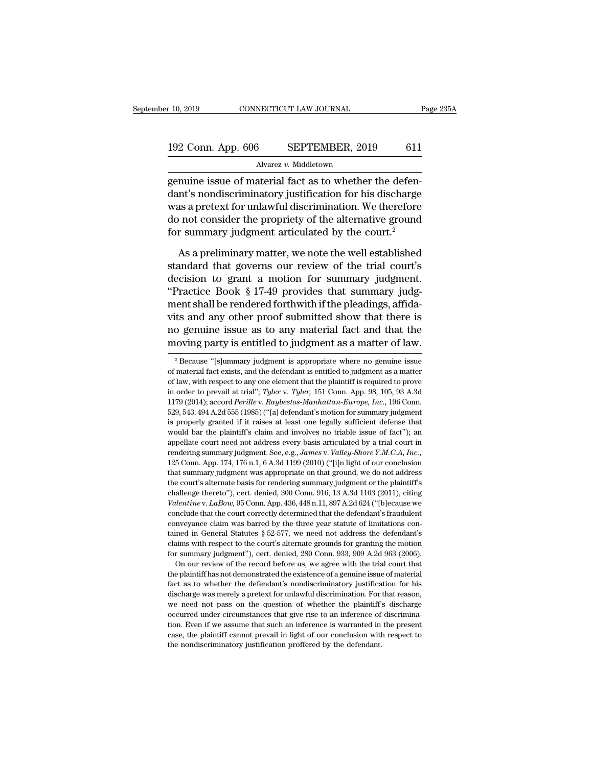# 10, 2019 CONNECTICUT LAW JOURNAL Page 235A<br>192 Conn. App. 606 SEPTEMBER, 2019 611<br>Alvarez v. Middletown

Alvarez *v.* Middletown

r 10, 2019 CONNECTICUT LAW JOURNAL<br>
192 Conn. App. 606 SEPTEMBER, 2019 611<br>
Alvarez v. Middletown<br>
genuine issue of material fact as to whether the defen-<br>
dant's nondiscriminatory justification for his discharge 192 Conn. App. 606 SEPTEMBER, 2019 611<br>Alvarez v. Middletown<br>genuine issue of material fact as to whether the defen-<br>dant's nondiscriminatory justification for his discharge<br>was a pretext for unlawful discrimination. We th 192 Conn. App. 606 SEPTEMBER, 2019 611<br>Alvarez v. Middletown<br>genuine issue of material fact as to whether the defendant's nondiscriminatory justification for his discharge<br>was a pretext for unlawful discrimination. We the 192 Conn. App. 606 SEPTEMBER, 2019 611<br>Alvarez v. Middletown<br>genuine issue of material fact as to whether the defen-<br>dant's nondiscriminatory justification for his discharge<br>was a pretext for unlawful discrimination. We t Alvarez v. Middletown<br>genuine issue of material fact as to whether the defen-<br>dant's nondiscriminatory justification for his discharge<br>was a pretext for unlawful discrimination. We therefore<br>do not consider the propriety o nuine issue of material fact as to whether the defen-<br>nt's nondiscriminatory justification for his discharge<br>as a pretext for unlawful discrimination. We therefore<br>not consider the propriety of the alternative ground<br>r sum dant's nondiscriminatory justification for his discharge<br>was a pretext for unlawful discrimination. We therefore<br>do not consider the propriety of the alternative ground<br>for summary judgment articulated by the court.<sup>2</sup><br>As

was a pretext for unlawful discrimination. We therefore<br>do not consider the propriety of the alternative ground<br>for summary judgment articulated by the court.<sup>2</sup><br>As a preliminary matter, we note the well established<br>standa do not consider the propriety of the alternative ground<br>for summary judgment articulated by the court.<sup>2</sup><br>As a preliminary matter, we note the well established<br>standard that governs our review of the trial court's<br>decision for summary judgment articulated by the court.<sup>2</sup><br>As a preliminary matter, we note the well established<br>standard that governs our review of the trial court's<br>decision to grant a motion for summary judgment.<br>"Practice Book As a preliminary matter, we note the well established<br>standard that governs our review of the trial court's<br>decision to grant a motion for summary judgment.<br>"Practice Book § 17-49 provides that summary judg-<br>ment shall be As a preliminary matter, we note the well established<br>standard that governs our review of the trial court's<br>decision to grant a motion for summary judgment.<br>"Practice Book § 17-49 provides that summary judg-<br>ment shall be standard that governs our review of the trial court's<br>decision to grant a motion for summary judgment.<br>"Practice Book § 17-49 provides that summary judg-<br>ment shall be rendered forthwith if the pleadings, affida-<br>vits and ent snall be rendered forthwith if the pleadings, afflicts<br>ts and any other proof submitted show that there is<br>o genuine issue as to any material fact and that the<br>loving party is entitled to judgment as a matter of law.<br><sup></sup> vits and any other proof submitted show that there is<br>no genuine issue as to any material fact and that the<br>moving party is entitled to judgment as a matter of law.<br> $\frac{1}{2}$  Because "[s]ummary judgment is appropriate whe

tained in General Statutes § 52-577, we need not address the defendant's claims with respect to the court's alternate grounds for granting the motion for summary judgment"), cert. denied, 280 Conn. 933, 909 A.2d 963 (2006 elaims with respect to the court's alternate grounds for granting the motion<br>for summary judgment"), cert. denied, 280 Conn. 933, 909 A.2d 963 (2006).<br>On our review of the record before us, we agree with the trial court th For summary judgment"), cert. denied, 280 Conn. 933, 909 A.2d 963 (2006).<br>
On our review of the record before us, we agree with the trial court that<br>
the plaintiff has not demonstrated the existence of a genuine issue of m on our review of the record before us, we agree with the trial court that<br>the plaintiff has not demonstrated the existence of a genuine issue of material<br>fact as to whether the defendant's nondiscriminatory justification f the plaintiff has not demonstrated the existence of a genuine issue of material fact as to whether the defendant's nondiscriminatory justification for his discharge was merely a pretext for unlawful discrimination. For tha fact as to whether the defendant's nondiscriminatory justification for his discharge was merely a pretext for unlawful discrimination. For that reason, we need not pass on the question of whether the plaintiff's discharge fact as to whether the defendant's nondiscriminatory justification for his discharge was merely a pretext for unlawful discrimination. For that reason, we need not pass on the question of whether the plaintiff's discharge

no genuine issue as to any material fact and that the moving party is entitled to judgment as a matter of law.<br>
<sup>2</sup> Because "[s]ummary judgment is appropriate where no genuine issue of material fact exists, and the defend in order to prevail at trial<sup>1</sup>; *Tyler* v. *Tyler*, 151 Conn. App. 98, 105, 93 A.3d 1179 (2014); accord *Perille* v. *Raybestos-Manhattan-Europe, Inc.*, 196 Conn. <sup>2</sup> Because "[s]ummary judgment is appropriate where no genuine issue<br><sup>2</sup> Because "[s]ummary judgment is appropriate where no genuine issue<br>of material fact exists, and the defendant is entitled to judgment as a matter<br>of <sup>2</sup> Because "[s]ummary judgment is appropriate where no genuine issue of material fact exists, and the defendant is entitled to judgment as a matter of law, with respect to any one element that the plaintiff is required t of material fact exists, and the defendant is entitled to judgment as a matter of law, with respect to any one element that the plaintiff is required to prove in order to prevail at trial"; *Tyler* v. *Tyler*, 151 Conn. A of law, with respect to any one element that the plaintiff is required to prove<br>in order to prevail at trial"; Tyler v. Tyler, 151 Conn. App. 98, 105, 93 A.3d<br>1179 (2014); accord *Perille* v. Raybestos-Manhattan-Europe, I appellate court need not address every basis articulated by a trial court in order to prevail at trial"; Tyler v. Tyler, 151 Conn. App. 98, 105, 93 A.3d 1179 (2014); accord *Perille* v. *Raybestos-Manhattan-Europe*, *Inc.* rendering summary judgment. See, e.g., *James* v. *Valley-Shore Y.M.C.A, Inc.*, 1279 (2014); accord *Perille v. Raybestos-Manhattan-Europe, Inc.*, 196 Conn. 529, 543, 494 A.2d 555 (1985) ("[a] defendant's motion for summar 529, 543, 494 A.2d 555 (1985) ("[a] defendant's motion for summary judgment<br>is properly granted if it raises at least one legally sufficient defense that<br>would bar the plaintiff's claim and involves no triable issue of fa is properly granted if it raises at least one legally sufficient defense that would bar the plaintiff's claim and involves no triable issue of fact"); an appellate court need not address every basis articulated by a trial would bar the plaintiff's claim and involves no triable issue of fact"); an appellate court need not address every basis articulated by a trial court in rendering summary judgment. See, e.g., *James v. Valley-Shore Y.M.C.* appellate court need not address every basis articulated by a trial court in rendering summary judgment. See, e.g., James v. Valley-Shore Y.M.C.A, Inc., 125 Conn. App. 174, 176 n.1, 6 A.3d 1199 (2010) ("[i]n light of our c *Fredering* summary judgment. See, e.g., *James v. Valley-Shore Y.M.C.A, Inc.*, 125 Conn. App. 174, 176 n.1, 6 A.3d 1199 (2010) ("[i]n light of our conclusion that summary judgment was appropriate on that ground, we do not <sup>225</sup> Conn. App. 174, 176 n.1, 6 A.3d 1199 (2010) ("[i]n light of our conclusion that summary judgment was appropriate on that ground, we do not address the court's alternate basis for rendering summary judgment or the pl that summary judgment was appropriate on that ground, we do not address<br>the court's alternate basis for rendering summary judgment or the plaintiff's<br>challenge thereto''), cert. denied, 300 Conn. 916, 13 A.3d 1103 (2011), the court's alternate basis for rendering summary judgment or the plaintiff's<br>challenge thereto''), cert. denied, 300 Conn. 916, 13 A.3d 1103 (2011), citing<br>*Valentine* v. *LaBow*, 95 Conn. App. 436, 448 n.11, 897 A.2d 62 challenge thereto"), cert. denied, 300 Conn. 916, 13 A.3d 1103 (2011), citing Valentine v. LaBow, 95 Conn. App. 436, 448 n.11, 897 A.2d 624 ("[b]ecause we conclude that the court correctly determined that the defendant's Valentine v. LaBow, 95 Conn. App. 436, 448 n.11, 897 A.2d 624 ("[b]ecause we conclude that the court correctly determined that the defendant's fraudulent conveyance claim was barred by the three year statute of limitation melude that the court correctly determined that the defendant's fraudulent megance claim was barred by the three year statute of limitations conned in General Statutes  $\S 52-577$ , we need not address the defendant's aims conveyance claim was barred by the three year statute of limitations contained in General Statutes  $\S 52-577$ , we need not address the defendant's claims with respect to the court's alternate grounds for granting the moti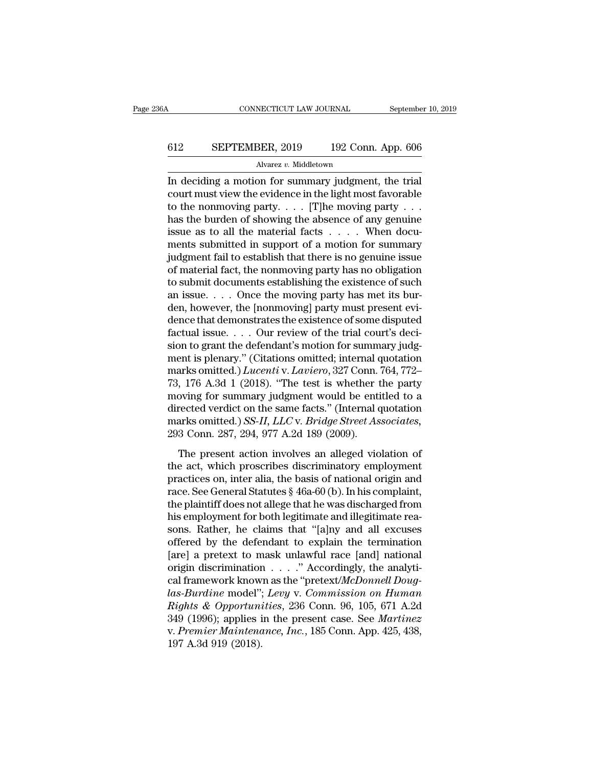# CONNECTICUT LAW JOURNAL September 10, 2019<br>612 SEPTEMBER, 2019 192 Conn. App. 606<br>Alvarez v. Middletown

Alvarez *v.* Middletown

CONNECTICUT LAW JOURNAL September 10, 20<br>
SEPTEMBER, 2019 192 Conn. App. 606<br>
Alvarez v. Middletown<br>
In deciding a motion for summary judgment, the trial<br>
court must view the evidence in the light most favorable<br>
to the no EPTEMBER, 2019 192 Conn. App. 606<br>Alvarez v. Middletown<br>In deciding a motion for summary judgment, the trial<br>court must view the evidence in the light most favorable<br>to the nonmoving party. . . . . [T]he moving party . . 612 SEPTEMBER, 2019 192 Conn. App. 606<br>Alvarez v. Middletown<br>In deciding a motion for summary judgment, the trial<br>court must view the evidence in the light most favorable<br>to the nonmoving party.... [T]he moving party ...<br> 612 SEPTEMBER, 2019 192 Conn. App. 606<br>
Alvarez v. Middletown<br>
In deciding a motion for summary judgment, the trial<br>
court must view the evidence in the light most favorable<br>
to the nonmoving party.... [T]he moving party Alvarez v. Middletown<br>
In deciding a motion for summary judgment, the trial<br>
court must view the evidence in the light most favorable<br>
to the nonmoving party.... [T]he moving party...<br>
has the burden of showing the absence Alwarez v. Middetown<br>
In deciding a motion for summary judgment, the trial<br>
court must view the evidence in the light most favorable<br>
to the nonmoving party.... [T]he moving party ...<br>
has the burden of showing the absenc In deciding a motion for summary judgment, the trial<br>court must view the evidence in the light most favorable<br>to the nonmoving party.... [T]he moving party ...<br>has the burden of showing the absence of any genuine<br>issue as court must view the evidence in the light most favorable<br>to the nonmoving party.... [T]he moving party ...<br>has the burden of showing the absence of any genuine<br>issue as to all the material facts .... When docu-<br>ments subm to the nonmoving party. . . . [T]he moving party . . .<br>has the burden of showing the absence of any genuine<br>issue as to all the material facts . . . . When docu-<br>ments submitted in support of a motion for summary<br>judgment has the burden of showing the absence of any genuine<br>issue as to all the material facts  $\dots$ . When docu-<br>ments submitted in support of a motion for summary<br>judgment fail to establish that there is no genuine issue<br>of mate issue as to all the material facts  $\dots$ . When documents submitted in support of a motion for summary<br>judgment fail to establish that there is no genuine issue<br>of material fact, the nonmoving party has no obligation<br>to sub ments submitted in support of a motion for summary<br>judgment fail to establish that there is no genuine issue<br>of material fact, the nonmoving party has no obligation<br>to submit documents establishing the existence of such<br>an judgment fail to establish that there is no genuine issue<br>of material fact, the nonmoving party has no obligation<br>to submit documents establishing the existence of such<br>an issue. . . . Once the moving] party has met its bu of material fact, the nonmoving party has no obligation<br>to submit documents establishing the existence of such<br>an issue. . . . Once the moving party has met its bur-<br>den, however, the [nonmoving] party must present evi-<br>d to submit documents establishing the existence of such<br>an issue. . . . Once the moving party has met its bur-<br>den, however, the [nonmoving] party must present evi-<br>dence that demonstrates the existence of some disputed<br>fa an issue. . . . Once the moving party has met its burden, however, the [nonmoving] party must present evidence that demonstrates the existence of some disputed factual issue. . . . Our review of the trial court's decision den, however, the [nonmoving] party must present evidence that demonstrates the existence of some disputed factual issue. . . . Our review of the trial court's decision to grant the defendant's motion for summary judgment dence that demonstrates the existence of some disputed<br>factual issue. . . . Our review of the trial court's deci-<br>sion to grant the defendant's motion for summary judg-<br>ment is plenary." (Citations omitted; internal quota factual issue. . . . Our review of the trial court's decision to grant the defendant's motion for summary judgment is plenary." (Citations omitted; internal quotation marks omitted.) *Lucenti* v. *Laviero*, 327 Conn. 764, sion to grant the defendant's motion for summary judgment is plenary." (Citations omitted; internal quotation<br>marks omitted.) *Lucenti* v*. Laviero*, 327 Conn. 764, 772–<br>73, 176 A.3d 1 (2018). "The test is whether the part ment is plenary." (Citations omitted; internal q<br>marks omitted.) *Lucenti* v. *Laviero*, 327 Conn. '<br>73, 176 A.3d 1 (2018). "The test is whether t<br>moving for summary judgment would be enti<br>directed verdict on the same fact 176 A.3d 1 (2018). "The test is whether the party<br>
176 A.3d 1 (2018). "The test is whether the party<br>
poving for summary judgment would be entitled to a<br>
rected verdict on the same facts." (Internal quotation<br>
arks omitte the act, which prosess is whence the party<br>moving for summary judgment would be entitled to a<br>directed verdict on the same facts." (Internal quotation<br>marks omitted.) *SS-II*, *LLC* v. *Bridge Street Associates*,<br>293 Conn

moving for summary judgment would be emaled to a<br>directed verdict on the same facts." (Internal quotation<br>marks omitted.) SS-II, LLC v. Bridge Street Associates,<br>293 Conn. 287, 294, 977 A.2d 189 (2009).<br>The present action anceted vertace on the statute rates). (Internal quotation<br>marks omitted.) SS-II, LLC v. Bridge Street Associates,<br>293 Conn. 287, 294, 977 A.2d 189 (2009).<br>The present action involves an alleged violation of<br>the act, which The present action involves an alleged violation of<br>the act, which proscribes discriminatory employment<br>practices on, inter alia, the basis of national origin and<br>race. See General Statutes § 46a-60 (b). In his complaint, The present action involves an alleged violation of<br>the act, which proscribes discriminatory employment<br>practices on, inter alia, the basis of national origin and<br>race. See General Statutes § 46a-60 (b). In his complaint,<br> The present action involves an alleged violation of<br>the act, which proscribes discriminatory employment<br>practices on, inter alia, the basis of national origin and<br>race. See General Statutes § 46a-60 (b). In his complaint,<br> the act, which proscribes discriminatory employment<br>practices on, inter alia, the basis of national origin and<br>race. See General Statutes  $\S$  46a-60 (b). In his complaint,<br>the plaintiff does not allege that he was dischar practices on, inter alia, the basis of national origin and<br>race. See General Statutes § 46a-60 (b). In his complaint,<br>the plaintiff does not allege that he was discharged from<br>his employment for both legitimate and illegi race. See General Statutes § 46a-60 (b). In his complaint,<br>the plaintiff does not allege that he was discharged from<br>his employment for both legitimate and illegitimate rea-<br>sons. Rather, he claims that "[a]ny and all exc the plaintiff does not allege that he was discharged from<br>his employment for both legitimate and illegitimate rea-<br>sons. Rather, he claims that "[a]ny and all excuses<br>offered by the defendant to explain the termination<br>[ar his employment for both legitimate and illegitimate reasons. Rather, he claims that "[a]ny and all excuses<br>offered by the defendant to explain the termination<br>[are] a pretext to mask unlawful race [and] national<br>origin dis *Rights & Opportunities, Inc.* 185 Conn. 401 A. Promine Magnetic Mercure State of the defendant to explain the termination [are] a pretext to mask unlawful race [and] national origin discrimination . . . . " Accordingly, t offered by the defendant to explain the termination<br>[are] a pretext to mask unlawful race [and] national<br>origin discrimination . . . ." Accordingly, the analyti-<br>cal framework known as the "pretext/*McDonnell Doug-<br>las-Bur* [are] a pretext to mask unlawful race [and] national<br>origin discrimination . . . . " Accordingly, the analyti-<br>cal framework known as the "pretext/*McDonnell Doug-*<br>las-*Burdine* model"; *Levy v. Commission on Human*<br>Right origin discriminatior<br>cal framework know<br>*las-Burdine* model";<br>*Rights & Opportuna*<br>349 (1996); applies i<br>v. *Premier Maintena*<br>197 A.3d 919 (2018).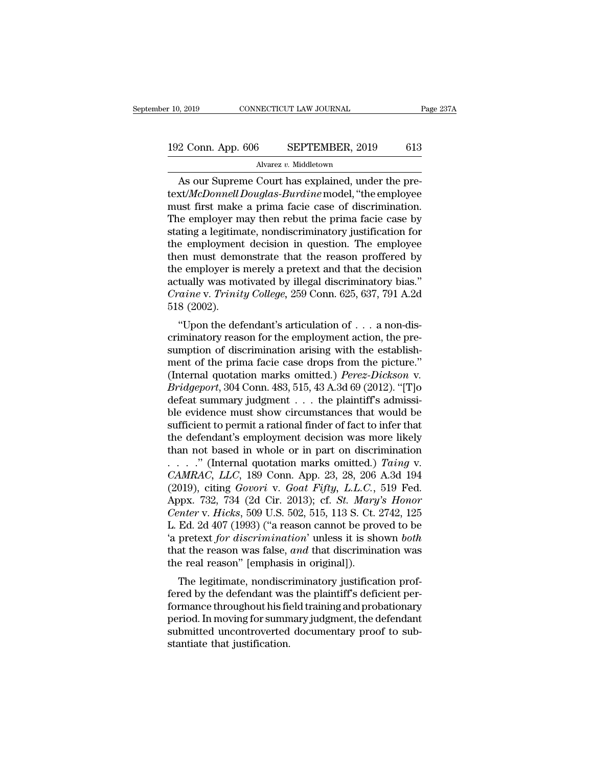# 10, 2019 CONNECTICUT LAW JOURNAL Page 237A<br>192 Conn. App. 606 SEPTEMBER, 2019 613<br>Alvarez v. Middletown

### Alvarez *v.* Middletown

As our Supreme Court has explained, under the pre-<br>
Alvareau Middletown<br>
As our Supreme Court has explained, under the pre-<br>
As our Supreme Court has explained, under the pre-<br>
As the employee of the employee 192 Conn. App. 606 SEPTEMBER, 2019 613<br>Alvarez v. Middletown<br>As our Supreme Court has explained, under the pre-<br>text/*McDonnell Douglas-Burdine* model, "the employee<br>must first make a prima facie case of discrimination.<br>Th 192 Conn. App. 606 SEPTEMBER, 2019 613<br>Alvarez v. Middletown<br>As our Supreme Court has explained, under the pre-<br>text/*McDonnell Douglas-Burdine* model, "the employee<br>must first make a prima facie case of discrimination.<br>T 192 Conn. App. 606 SEPTEMBER, 2019 613<br>Alvarez v. Middletown<br>As our Supreme Court has explained, under the pre-<br>text/*McDonnell Douglas-Burdine* model, "the employee<br>must first make a prima facie case of discrimination.<br>T Alvarez v. Middletown<br>As our Supreme Court has explained, under the pre-<br>text/*McDonnell Douglas-Burdine* model, "the employee<br>must first make a prima facie case of discrimination.<br>The employer may then rebut the prima fa Alvarez v. Middetown<br>
As our Supreme Court has explained, under the pre-<br>
text/*McDonnell Douglas-Burdine* model, "the employee<br>
must first make a prima facie case of discrimination.<br>
The employer may then rebut the prima As our Supreme Court has explained, under the pre-<br>text/*McDonnell Douglas-Burdine* model, "the employee<br>must first make a prima facie case of discrimination.<br>The employer may then rebut the prima facie case by<br>stating a text/*McDonnell Douglas-Burdine* model, "the employee<br>must first make a prima facie case of discrimination.<br>The employer may then rebut the prima facie case by<br>stating a legitimate, nondiscriminatory justification for<br>the must first make a prima facie case of discrimination.<br>The employer may then rebut the prima facie case by<br>stating a legitimate, nondiscriminatory justification for<br>the employment decision in question. The employee<br>then mus The employer may then rebut the prima facie case by<br>stating a legitimate, nondiscriminatory justification for<br>the employment decision in question. The employee<br>then must demonstrate that the reason proffered by<br>the employe stating a legitimit<br>the employment<br>then must demo<br>the employer is<br>actually was mo<br>*Craine* v. *Trinit*<br>518 (2002).<br>"Upon the def E employment decision in question. The employee<br>
en must demonstrate that the reason proffered by<br>
e employer is merely a pretext and that the decision<br>
tually was motivated by illegal discriminatory bias."<br> *aine* v. *Tri* the employer is merely a pretext and that the decision<br>actually was motivated by illegal discriminatory bias."<br>Craine v. Trinity College, 259 Conn. 625, 637, 791 A.2d<br>518 (2002).<br>"Upon the defendant's articulation of  $\dots$ 

sum employer is merely a pretext and that the decision<br>actually was motivated by illegal discriminatory bias."<br>Craine v. Trinity College, 259 Conn. 625, 637, 791 A.2d<br>518 (2002).<br>"Upon the defendant's articulation of . . . *Craine v. Trinity College, 259 Conn. 625, 637, 791 A.2d*<br>
518 (2002).<br>
"Upon the defendant's articulation of  $\ldots$  a non-dis-<br>
criminatory reason for the employment action, the pre-<br>
sumption of discrimination arising wi Urathe v. Trintity Couege, 259 Collit. 025, 057, 791 A.2d<br>518 (2002).<br>
"Upon the defendant's articulation of . . . a non-dis-<br>
criminatory reason for the employment action, the pre-<br>
sumption of discrimination arising with "Upon the defendant's articulation of . . . a non-dis-<br>criminatory reason for the employment action, the pre-<br>sumption of discrimination arising with the establish-<br>ment of the prima facie case drops from the picture."<br>(I criminatory reason for the employment action, the pre-<br>sumption of discrimination arising with the establish-<br>ment of the prima facie case drops from the picture."<br>(Internal quotation marks omitted.) *Perez-Dickson* v.<br>*B* sumption of discrimination arising with the establishment of the prima facie case drops from the picture."<br>(Internal quotation marks omitted.) *Perez-Dickson* v.<br>*Bridgeport*, 304 Conn. 483, 515, 43 A.3d 69 (2012). "[T]o<br> ment of the prima facie case drops from the picture."<br>(Internal quotation marks omitted.) *Perez-Dickson v.*<br>*Bridgeport*, 304 Conn. 483, 515, 43 A.3d 69 (2012). "[T]o<br>defeat summary judgment . . . the plaintiff's admissi (Internal quotation marks omitted.) *Perez-Dickson* v.<br> *Bridgeport*, 304 Conn. 483, 515, 43 A.3d 69 (2012). "[T]o<br>
defeat summary judgment . . . the plaintiff's admissi-<br>
ble evidence must show circumstances that would b *Bridgeport*, 304 Conn. 483, 515, 43 A.3d 69 (2012). "[T]o<br>defeat summary judgment . . . the plaintiff's admissi-<br>ble evidence must show circumstances that would be<br>sufficient to permit a rational finder of fact to infer t defeat summary judgment . . . the plaintiff's admissi-<br>ble evidence must show circumstances that would be<br>sufficient to permit a rational finder of fact to infer that<br>the defendant's employment decision was more likely<br>tha ble evidence must show circumstances that would be sufficient to permit a rational finder of fact to infer that the defendant's employment decision was more likely than not based in whole or in part on discrimination . . . sufficient to permit a rational finder of fact to infer that<br>the defendant's employment decision was more likely<br>than not based in whole or in part on discrimination<br>...." (Internal quotation marks omitted.) *Taing* v.<br>*CA Charmary* than not based in whole or in part on discrimination<br> *CAMRAC*, *LLC*, 189 Conn. App. 23, 28, 206 A.3d 194<br> *CAMRAC*, *LLC*, 189 Conn. App. 23, 28, 206 A.3d 194<br>
(2019), citing *Govori* v. *Goat Fifty*, *L.L.C.* than not based in whole or in part on discrimination<br>
....." (Internal quotation marks omitted.) Taing v.<br>
CAMRAC, LLC, 189 Conn. App. 23, 28, 206 A.3d 194<br>
(2019), citing *Govori* v. *Goat Fifty, L.L.C.*, 519 Fed.<br>
Appx. ...." (Internal quotation marks omitted.) *Taing* v.<br>CAMRAC, LLC, 189 Conn. App. 23, 28, 206 A.3d 194<br>(2019), citing *Govori* v. *Goat Fifty*, L.L.C., 519 Fed.<br>Appx. 732, 734 (2d Cir. 2013); cf. *St. Mary's Honor*<br>Center v CAMRAC, LLC, 189 Conn. App. 23, 28, 206 A.3d 194 (2019), citing *Govori* v. *Goat Fifty*, L.L.C., 519 Fed. Appx. 732, 734 (2d Cir. 2013); cf. *St. Mary's Honor Center* v. *Hicks*, 509 U.S. 502, 515, 113 S. Ct. 2742, 125 L. (2019), citing *Govori* v. *Goat Fifty, L.L.C.*, Appx. 732, 734 (2d Cir. 2013); cf. *St. Mary Center* v. *Hicks*, 509 U.S. 502, 515, 113 S. Ct. L. Ed. 2d 407 (1993) ("a reason cannot be pro 'a pretext *for discrimination* px. 132, 134 (2d Cn. 2013), Cl. *St. mary's Honor*<br>*mter v. Hicks*, 509 U.S. 502, 515, 113 S. Ct. 2742, 125<br>Ed. 2d 407 (1993) ("a reason cannot be proved to be<br>pretext *for discrimination*' unless it is shown *both*<br>at th Center v. Fricks, 509 U.S. 502, 515, 115 S. Ct. 2742, 125<br>L. Ed. 2d 407 (1993) ("a reason cannot be proved to be<br>'a pretext *for discrimination*' unless it is shown *both*<br>that the reason was false, *and* that discriminati

E. Ed. 2d 407 (1995) (a reason cannot be proved to be<br>
'a pretext *for discrimination*' unless it is shown *both*<br>
that the reason was false, *and* that discrimination was<br>
the real reason" [emphasis in original]).<br>
The l a pretext *for discrimination* unless it is shown *both*<br>that the reason was false, *and* that discrimination was<br>the real reason" [emphasis in original]).<br>The legitimate, nondiscriminatory justification prof-<br>fered by the submitted reason was faster, *and* that discrimination was<br>the real reason" [emphasis in original]).<br>The legitimate, nondiscriminatory justification prof-<br>fered by the defendant was the plaintiff's deficient per-<br>formance The legitimate, nondiscreed by the defendant was<br>formance throughout his fidential period. In moving for summ<br>submitted uncontroverted<br>stantiate that justification.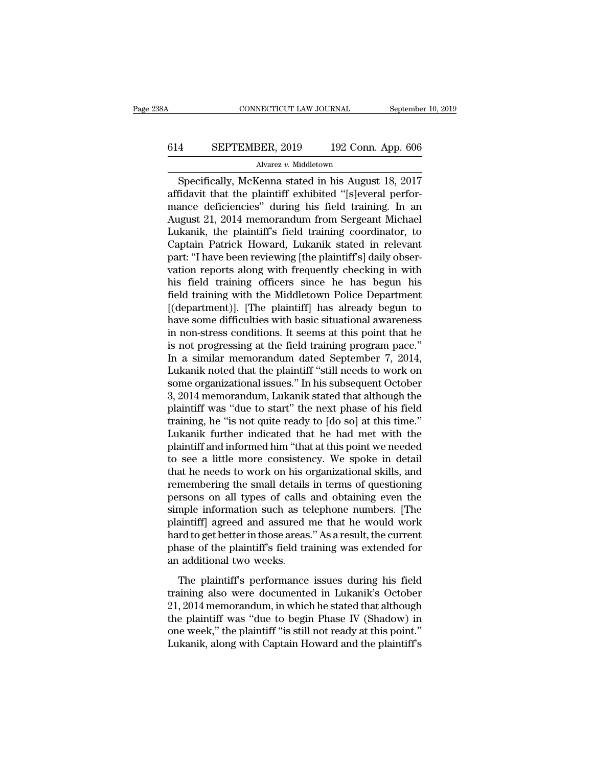# CONNECTICUT LAW JOURNAL September 10, 2019<br>614 SEPTEMBER, 2019 192 Conn. App. 606<br>Alvarez v. Middletown

### Alvarez *v.* Middletown

CONNECTICUT LAW JOURNAL September 10, 2019<br>
SEPTEMBER, 2019 192 Conn. App. 606<br>
Alvarez v. Middletown<br>
Specifically, McKenna stated in his August 18, 2017<br>
Fidavit that the plaintiff exhibited "[s]everal perfor-614 SEPTEMBER, 2019 192 Conn. App. 606<br>Alvarez v. Middletown<br>Specifically, McKenna stated in his August 18, 2017<br>affidavit that the plaintiff exhibited "[s]everal perfor-<br>mance deficiencies" during his field training. In a 614 SEPTEMBER, 2019 192 Conn. App. 606<br>Alvarez v. Middletown<br>Specifically, McKenna stated in his August 18, 2017<br>affidavit that the plaintiff exhibited "[s]everal perfor-<br>mance deficiencies" during his field training. In  $\frac{\text{614}}{\text{Alvarez } v. \text{ Middletown}}$ <br>  $\frac{\text{Alvarez } v. \text{ Middletown}}{\text{8}\text{pecifically, McKenna stated in his August 18, } 2017}$ <br>
affidavit that the plaintiff exhibited "[s]everal perfor-<br>
mance deficiencies" during his field training. In an<br>
August 21, 2014 memorandum from Alvarez v. Middletown<br>
Specifically, McKenna stated in his August 18, 2017<br>
affidavit that the plaintiff exhibited "[s]everal perfor-<br>
mance deficiencies" during his field training. In an<br>
August 21, 2014 memorandum from S Alvarez v. Middetown<br>
Specifically, McKenna stated in his August 18, 2017<br>
affidavit that the plaintiff exhibited "[s]everal perfor-<br>
mance deficiencies" during his field training. In an<br>
August 21, 2014 memorandum from Se Specifically, McKenna stated in his August 18, 2017<br>affidavit that the plaintiff exhibited "[s]everal perfor-<br>mance deficiencies" during his field training. In an<br>August 21, 2014 memorandum from Sergeant Michael<br>Lukanik, t affidavit that the plaintiff exhibited "[s]everal perfor-<br>mance deficiencies" during his field training. In an<br>August 21, 2014 memorandum from Sergeant Michael<br>Lukanik, the plaintiff's field training coordinator, to<br>Captai mance deficiencies" during his field training. In an<br>August 21, 2014 memorandum from Sergeant Michael<br>Lukanik, the plaintiff's field training coordinator, to<br>Captain Patrick Howard, Lukanik stated in relevant<br>part: "I have August 21, 2014 memorandum from Sergeant Michael<br>Lukanik, the plaintiff's field training coordinator, to<br>Captain Patrick Howard, Lukanik stated in relevant<br>part: "I have been reviewing [the plaintiff's] daily obser-<br>vation Lukanik, the plaintiff's field training coordinator, to<br>Captain Patrick Howard, Lukanik stated in relevant<br>part: "I have been reviewing [the plaintiff's] daily obser-<br>vation reports along with frequently checking in with<br>h Captain Patrick Howard, Lukanik stated in relevant<br>part: "I have been reviewing [the plaintiff's] daily obser-<br>vation reports along with frequently checking in with<br>his field training officers since he has begun his<br>field part: "I have been reviewing [the plaintiff's] daily observation reports along with frequently checking in with<br>his field training officers since he has begun his<br>field training with the Middletown Police Department<br>[(depa vation reports along with frequently checking in with<br>his field training officers since he has begun his<br>field training with the Middletown Police Department<br>[(department)]. [The plaintiff] has already begun to<br>have some d his field training officers since he has begun his<br>field training with the Middletown Police Department<br>[(department)]. [The plaintiff] has already begun to<br>have some difficulties with basic situational awareness<br>in non-st field training with the Middletown Police Department<br>[(department)]. [The plaintiff] has already begun to<br>have some difficulties with basic situational awareness<br>in non-stress conditions. It seems at this point that he<br>is [(department)]. [The plaintiff] has already begun to<br>have some difficulties with basic situational awareness<br>in non-stress conditions. It seems at this point that he<br>is not progressing at the field training program pace."<br> have some difficulties with basic situational awareness<br>in non-stress conditions. It seems at this point that he<br>is not progressing at the field training program pace."<br>In a similar memorandum dated September 7, 2014,<br>Luka in non-stress conditions. It seems at this point that he<br>is not progressing at the field training program pace."<br>In a similar memorandum dated September 7, 2014,<br>Lukanik noted that the plaintiff "still needs to work on<br>som is not progressing at the field training program pace."<br>In a similar memorandum dated September 7, 2014,<br>Lukanik noted that the plaintiff "still needs to work on<br>some organizational issues." In his subsequent October<br>3, 20 In a similar memorandum dated September 7, 2014,<br>Lukanik noted that the plaintiff "still needs to work on<br>some organizational issues." In his subsequent October<br>3, 2014 memorandum, Lukanik stated that although the<br>plaintif Lukanik noted that the plaintiff "still needs to work on<br>some organizational issues." In his subsequent October<br>3, 2014 memorandum, Lukanik stated that although the<br>plaintiff was "due to start" the next phase of his field<br> some organizational issues." In his subsequent October<br>3, 2014 memorandum, Lukanik stated that although the<br>plaintiff was "due to start" the next phase of his field<br>training, he "is not quite ready to [do so] at this time. 3, 2014 memorandum, Lukanik stated that although the plaintiff was "due to start" the next phase of his field training, he "is not quite ready to [do so] at this time." Lukanik further indicated that he had met with the pl plaintiff was "due to start" the next phase of his field<br>training, he "is not quite ready to [do so] at this time."<br>Lukanik further indicated that he had met with the<br>plaintiff and informed him "that at this point we neede training, he "is not quite ready to [do so] at this time."<br>Lukanik further indicated that he had met with the<br>plaintiff and informed him "that at this point we needed<br>to see a little more consistency. We spoke in detail<br>th Lukanik further indicated that he had met with the plaintiff and informed him "that at this point we needed<br>to see a little more consistency. We spoke in detail<br>that he needs to work on his organizational skills, and<br>remem plaintiff and informed him "that at this point we needed<br>to see a little more consistency. We spoke in detail<br>that he needs to work on his organizational skills, and<br>remembering the small details in terms of questioning<br>pe to see a little more consistency. We spoke in detail<br>that he needs to work on his organizational skills, and<br>remembering the small details in terms of questioning<br>persons on all types of calls and obtaining even the<br>simple that he needs to work on his organizational skills, and<br>remembering the small details in terms of questioning<br>persons on all types of calls and obtaining even the<br>simple information such as telephone numbers. [The<br>plaintif remembering the small details<br>persons on all types of calls<br>simple information such as te<br>plaintiff] agreed and assured :<br>hard to get better in those areas<br>phase of the plaintiff's field tr:<br>an additional two weeks.<br>The pl The plaintiff's performance issues during the steady and the would work and to get better in those areas." As a result, the current asse of the plaintiff's field training was extended for additional two weeks.<br>The plaintif Einight incommation such as deteptions nanisotist prioridual<br>plaintiff] agreed and assured me that he would work<br>hard to get better in those areas." As a result, the current<br>phase of the plaintiff's field training was exte

planting agreed and assured the that he would work<br>hard to get better in those areas." As a result, the current<br>phase of the plaintiff's field training was extended for<br>an additional two weeks.<br>The plaintiff's performance The plaintiff's field training was extended for<br>an additional two weeks.<br>The plaintiff's performance issues during his field<br>training also were documented in Lukanik's October<br>21, 2014 memorandum, in which he stated that a an additional two weeks.<br>The plaintiff's performance issues during his field<br>training also were documented in Lukanik's October<br>21, 2014 memorandum, in which he stated that although<br>the plaintiff was "due to begin Phase IV The plaintiff's performance issues during his field<br>training also were documented in Lukanik's October<br>21, 2014 memorandum, in which he stated that although<br>the plaintiff was "due to begin Phase IV (Shadow) in<br>one week," t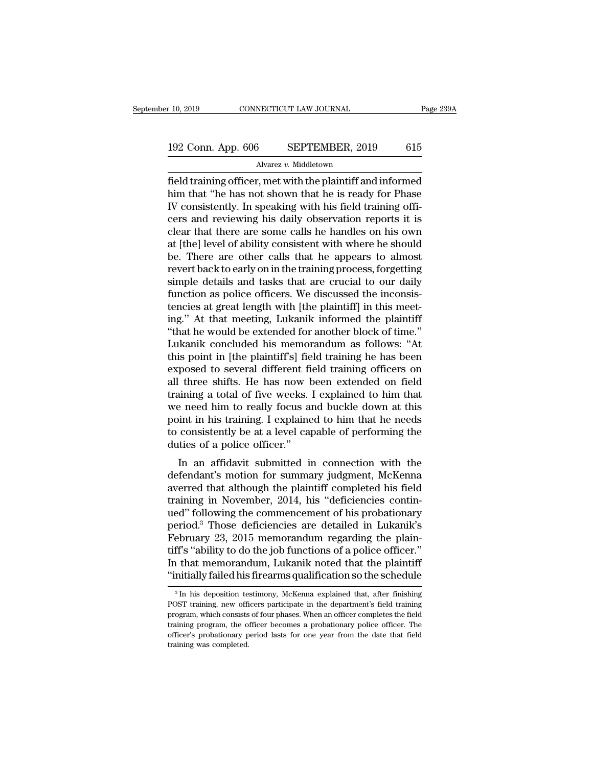# 10, 2019 CONNECTICUT LAW JOURNAL Page 239A<br>192 Conn. App. 606 SEPTEMBER, 2019 615<br>Alvarez v. Middletown

Alvarez *v.* Middletown

Field training officer, met with the plaintiff and informed<br>
Notation and the plaintiff and informed<br>
the plaintiff and informed<br>
the plaintiff and informed<br>
the plaintiff and informed<br>
Notation that "he has not shown that 192 Conn. App. 606 SEPTEMBER, 2019 615<br>Alvarez v. Middletown<br>field training officer, met with the plaintiff and informed<br>him that "he has not shown that he is ready for Phase<br>IV consistently. In speaking with his field tra 192 Conn. App. 606 SEPTEMBER, 2019 615<br>Alvarez v. Middletown<br>
field training officer, met with the plaintiff and informed<br>
him that "he has not shown that he is ready for Phase<br>
IV consistently. In speaking with his field 192 Conn. App. 606 SEPTEMBER, 2019 615<br>
Alvarez v. Middletown<br>
field training officer, met with the plaintiff and informed<br>
him that "he has not shown that he is ready for Phase<br>
IV consistently. In speaking with his fiel Alvarez v. Middletown<br>
field training officer, met with the plaintiff and informed<br>
him that "he has not shown that he is ready for Phase<br>
IV consistently. In speaking with his field training offi-<br>
cers and reviewing his Alvarez v. Middetown<br>
field training officer, met with the plaintiff and informed<br>
him that "he has not shown that he is ready for Phase<br>
IV consistently. In speaking with his field training offi-<br>
cers and reviewing his d field training officer, met with the plaintiff and informed<br>him that "he has not shown that he is ready for Phase<br>IV consistently. In speaking with his field training offi-<br>cers and reviewing his daily observation reports him that "he has not shown that he is ready for Phase IV consistently. In speaking with his field training officers and reviewing his daily observation reports it is clear that there are some calls he handles on his own at IV consistently. In speaking with his field training officers and reviewing his daily observation reports it is<br>clear that there are some calls he handles on his own<br>at [the] level of ability consistent with where he shoul cers and reviewing his daily observation reports it is<br>clear that there are some calls he handles on his own<br>at [the] level of ability consistent with where he should<br>be. There are other calls that he appears to almost<br>rev clear that there are some calls he handles on his own<br>at [the] level of ability consistent with where he should<br>be. There are other calls that he appears to almost<br>revert back to early on in the training process, forgettin at [the] level of ability consistent with where he should<br>be. There are other calls that he appears to almost<br>revert back to early on in the training process, forgetting<br>simple details and tasks that are crucial to our dai be. There are other calls that he appears to almost<br>
revert back to early on in the training process, forgetting<br>
simple details and tasks that are crucial to our daily<br>
function as police officers. We discussed the incons revert back to early on in the training process, forgetting<br>simple details and tasks that are crucial to our daily<br>function as police officers. We discussed the inconsis-<br>tencies at great length with [the plaintiff] in thi simple details and tasks that are crucial to our daily<br>function as police officers. We discussed the inconsis-<br>tencies at great length with [the plaintiff] in this meet-<br>ing." At that meeting, Lukanik informed the plaintif function as police officers. We discussed the inconsistencies at great length with [the plaintiff] in this meet-<br>ing." At that meeting, Lukanik informed the plaintiff<br>"that he would be extended for another block of time."<br> tencies at great length with [the plaintiff] in this meeting." At that meeting, Lukanik informed the plaintiff<br>"that he would be extended for another block of time."<br>Lukanik concluded his memorandum as follows: "At<br>this po ing." At that meeting, Lukanik informed the plaintiff<br>"that he would be extended for another block of time."<br>Lukanik concluded his memorandum as follows: "At<br>this point in [the plaintiff's] field training he has been<br>expos "that he would be extended for another block of time."<br>Lukanik concluded his memorandum as follows: "At<br>this point in [the plaintiff's] field training he has been<br>exposed to several different field training officers on<br>all Lukanik concluded his memorandum as follows: "At<br>this point in [the plaintiff's] field training he has been<br>exposed to several different field training officers on<br>all three shifts. He has now been extended on field<br>traini this point in [the plaintiff's] field training he has been<br>exposed to several different field training officers on<br>all three shifts. He has now been extended on field<br>training a total of five weeks. I explained to him that exposed to several different fi<br>all three shifts. He has now b<br>training a total of five weeks.<br>we need him to really focus as<br>point in his training. I explaine<br>to consistently be at a level cap<br>duties of a police officer." In a state of five weeks. I explained to him that<br>a need him to really focus and buckle down at this<br>int in his training. I explained to him that he needs<br>consistently be at a level capable of performing the<br>tites of a pol defining a total of five weeks. I explained to finit that<br>we need him to really focus and buckle down at this<br>point in his training. I explained to him that he needs<br>to consistently be at a level capable of performing the<br>

we need mill to really focus and buckle down at this<br>point in his training. I explained to him that he needs<br>to consistently be at a level capable of performing the<br>duties of a police officer."<br>In an affidavit submitted in point in its training. I explained to finit that he heeds<br>to consistently be at a level capable of performing the<br>duties of a police officer."<br>In an affidavit submitted in connection with the<br>defendant's motion for summary to consistently be at a level capable of performing the<br>
duties of a police officer."<br>
In an affidavit submitted in connection with the<br>
defendant's motion for summary judgment, McKenna<br>
averred that although the plaintif In an affidavit submitted in connection with the<br>defendant's motion for summary judgment, McKenna<br>averred that although the plaintiff completed his field<br>training in November, 2014, his "deficiencies contin-<br>ued" following In an affidavit submitted in connection with the<br>defendant's motion for summary judgment, McKenna<br>averred that although the plaintiff completed his field<br>training in November, 2014, his "deficiencies contin-<br>ued" following defendant's motion for summary judgment, McKenna<br>averred that although the plaintiff completed his field<br>training in November, 2014, his "deficiencies contin-<br>ued" following the commencement of his probationary<br>period.<sup>3</sup> averred that although the plaintiff completed his field<br>training in November, 2014, his "deficiencies contin-<br>ued" following the commencement of his probationary<br>period.<sup>3</sup> Those deficiencies are detailed in Lukanik's<br>Febr training in November, 2014, his "deficiencies continued" following the commencement of his probationary<br>period.<sup>3</sup> Those deficiencies are detailed in Lukanik's<br>February 23, 2015 memorandum regarding the plain-<br>tiff's "abi ebruary 23, 2015 memorandum regarding the plain-<br>ff's "ability to do the job functions of a police officer."<br>i that memorandum, Lukanik noted that the plaintiff<br>mitially failed his firearms qualification so the schedule<br>tiff's "ability to do the job functions of a police officer."<br>In that memorandum, Lukanik noted that the plaintiff<br>"initially failed his firearms qualification so the schedule<br> $\frac{3}{\pi}$  In his deposition testimony, McKenn

In that memorandum, Lukanik noted that the plaintiff<br>"initially failed his firearms qualification so the schedule<br> $\frac{3}{\pi}$  In his deposition testimony, McKenna explained that, after finishing<br>POST training, new officers "initially failed his firearms qualification so the schedule  $\frac{3}{\pi}$  in his deposition testimony, McKenna explained that, after finishing POST training, new officers participate in the department's field training progr The structure<br>
<sup>3</sup> In his deposition testimony, McKenna explained that, after finishing<br>
POST training, new officers participate in the department's field training<br>
program, which consists of four phases. When an officer <sup>3</sup> In his deposition te<br>POST training, new officer program, which consists<br>training program, the officer's probationary p<br>training was completed.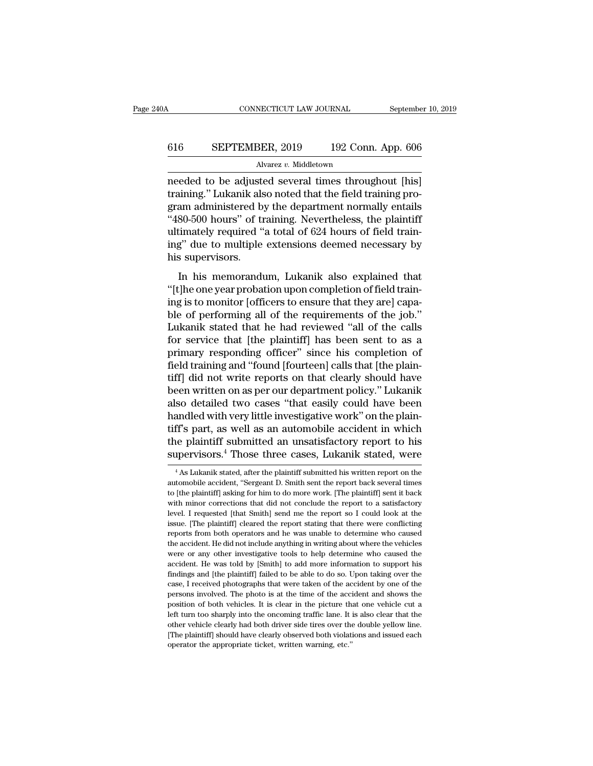# CONNECTICUT LAW JOURNAL September 10, 2019<br>616 SEPTEMBER, 2019 192 Conn. App. 606<br>Alvarez v. Middletown

### Alvarez *v.* Middletown

CONNECTICUT LAW JOURNAL September 10, 2019<br>
616 SEPTEMBER, 2019 192 Conn. App. 606<br>
Alvarez v. Middletown<br>
needed to be adjusted several times throughout [his]<br>
training.'' Lukanik also noted that the field training pro-616 SEPTEMBER, 2019 192 Conn. App. 606<br>Alvarez v. Middletown<br>needed to be adjusted several times throughout [his]<br>training.'' Lukanik also noted that the field training pro-<br>gram administered by the department normally ent G16 SEPTEMBER, 2019 192 Conn. App. 606<br>Alvarez v. Middletown<br>needed to be adjusted several times throughout [his]<br>training." Lukanik also noted that the field training pro-<br>gram administered by the department normally ent  $\frac{\text{SEPTEMBER}, 2019}{\text{Alvarez } v. \text{ Middletown}}$ <br>
Alvarez v. Middletown<br>
needed to be adjusted several times throughout [his]<br>
training." Lukanik also noted that the field training pro-<br>
gram administered by the department normally ent Alvarez v. Middletown<br>
Ralvarez v. Middletown<br>
meeded to be adjusted several times throughout [his]<br>
training." Lukanik also noted that the field training pro-<br>
gram administered by the department normally entails<br>
"480-50 Alvarez  $v$ . Middetown<br>
meeded to be adjusted several times throughout [his]<br>
training." Lukanik also noted that the field training pro-<br>
gram administered by the department normally entails<br>
"480-500 hours" of training. needed to be adjuste<br>training." Lukanik als<br>gram administered b;<br>"480-500 hours" of tr<br>ultimately required "<br>ing" due to multiple<br>his supervisors.<br>In his memorandu minis and distributed that the field daming proton and administered by the department normally entails<br>80-500 hours" of training. Nevertheless, the plaintiff<br>timately required "a total of 624 hours of field train-<br>g" due t "480-500 hours" of training. Nevertheless, the plaintiff<br>"480-500 hours" of training. Nevertheless, the plaintiff<br>ultimately required "a total of 624 hours of field train-<br>ing" due to multiple extensions deemed necessary b

is to soo hours of authing. Nevertheless, the plants in<br>ultimately required "a total of 624 hours of field train-<br>ing" due to multiple extensions deemed necessary by<br>his supervisors.<br>In his memorandum, Lukanik also explain ing" due to multiple extensions deemed necessary by<br>his supervisors.<br>In his memorandum, Lukanik also explained that<br>"[t]he one year probation upon completion of field train-<br>ing is to monitor [officers to ensure that they In his supervisors.<br>
In his memorandum, Lukanik also explained that<br>
"[t]he one year probation upon completion of field train-<br>
ing is to monitor [officers to ensure that they are] capa-<br>
ble of performing all of the requi In his memorandum, Lukanik also explained that<br>
"[t]he one year probation upon completion of field train-<br>
ing is to monitor [officers to ensure that they are] capa-<br>
ble of performing all of the requirements of the job."<br> In his memorandum, Lukanik also explained that<br>"[t]he one year probation upon completion of field train-<br>ing is to monitor [officers to ensure that they are] capa-<br>ble of performing all of the requirements of the job."<br>Luk "[t]he one year probation upon completion of field training is to monitor [officers to ensure that they are] capable of performing all of the requirements of the job." Lukanik stated that he had reviewed "all of the calls ing is to monitor [officers to ensure that they are] capa-<br>ble of performing all of the requirements of the job."<br>Lukanik stated that he had reviewed "all of the calls<br>for service that [the plaintiff] has been sent to as a ble of performing all of the requirements of the job."<br>Lukanik stated that he had reviewed "all of the calls<br>for service that [the plaintiff] has been sent to as a<br>primary responding officer" since his completion of<br>field Lukanik stated that he had reviewed "all of the calls<br>for service that [the plaintiff] has been sent to as a<br>primary responding officer" since his completion of<br>field training and "found [fourteen] calls that [the plain-<br>t for service that [the plaintiff] has been sent to as a<br>primary responding officer" since his completion of<br>field training and "found [fourteen] calls that [the plain-<br>tiff] did not write reports on that clearly should have primary responding officer" since his completion of<br>field training and "found [fourteen] calls that [the plain-<br>tiff] did not write reports on that clearly should have<br>been written on as per our department policy." Lukanik field training and "found [fourteen] calls that [the plaintiff] did not write reports on that clearly should have been written on as per our department policy." Lukanik also detailed two cases "that easily could have been tiff] did not write reports on that clearly should have<br>been written on as per our department policy." Lukanik<br>also detailed two cases "that easily could have been<br>handled with very little investigative work" on the plainand a with very little investigative work" on the plain-<br>ff's part, as well as an automobile accident in which<br>he plaintiff submitted an unsatisfactory report to his<br>pervisors.<sup>4</sup> Those three cases, Lukanik stated, were<br><sup>4</sup> tiff's part, as well as an automobile accident in which<br>the plaintiff submitted an unsatisfactory report to his<br>supervisors.<sup>4</sup> Those three cases, Lukanik stated, were<br><sup>4</sup> As Lukanik stated, after the plaintiff submitted h

the plaintiff submitted an unsatisfactory report to his supervisors.<sup>4</sup> Those three cases, Lukanik stated, were  $\frac{1}{4}$  As Lukanik stated, after the plaintiff submitted his written report on the automobile accident, "Ser supervisors.<sup>4</sup> Those three cases, Lukanik stated, were<br>  $\overline{ }$ <sup>4</sup> As Lukanik stated, after the plaintiff submitted his written report on the<br>
automobile accident, "Sergeant D. Smith sent the report back several times<br>
t Supervisors. Those three cases, Lukanik stated, were<br>  $^{4}$  As Lukanik stated, after the plaintiff submitted his written report on the<br>
automobile accident, "Sergeant D. Smith sent the report back several times<br>
to [the p <sup>4</sup> As Lukanik stated, after the plaintiff submitted his written report on the automobile accident, "Sergeant D. Smith sent the report back several times to [the plaintiff] asking for him to do more work. [The plaintiff] automobile accident, "Sergeant D. Smith sent the report back several times<br>to [the plaintiff] asking for him to do more work. [The plaintiff] sent it back<br>with minor corrections that did not conclude the report to a satisf to [the plaintiff] asking for him to do more work. [The plaintiff] sent it back<br>with minor corrections that did not conclude the report to a satisfactory<br>level. I requested [that Smith] send me the report so I could look a with minor corrections that did not conclude the report to a satisfactory<br>level. I requested [that Smith] send me the report so I could look at the<br>issue. [The plaintiff] cleared the report stating that there were conflict hevel. I requested [that Smith] send me the report so I could look at the lissue. [The plaintiff] cleared the report stating that there were conflicting reports from both operators and he was unable to determine who cause issue. [The plaintiff] cleared the report stating that there were conflicting reports from both operators and he was unable to determine who caused the accident. He did not include anything in writing about where the vehic reports from both operators and he was unable to determine who caused<br>the accident. He did not include anything in writing about where the vehicles<br>were or any other investigative tools to help determine who caused the<br>acc persons involved. The distribution is at the accident. He did not include anything in writing about where the vehicles were or any other investigative tools to help determine who caused the accident. He was told by [Smith] were or any other investigative tools to help determine who caused the accident. He was told by [Smith] to add more information to support his findings and [the plaintiff] failed to be able to do so. Upon taking over the c accident. He was told by [Smith] to add more information to support his findings and [the plaintiff] failed to be able to do so. Upon taking over the case, I received photographs that were taken of the accident by one of t accident. He was told by [Smith] to add more information to support his findings and [the plaintiff] failed to be able to do so. Upon taking over the case, I received photographs that were taken of the accident by one of t ration. I received photographs that were taken of the accident by one of the persons involved. The photo is at the time of the accident and shows the position of both vehicles. It is clear in the picture that one vehicle c persons involved. The photo is at the time of the accident and shows the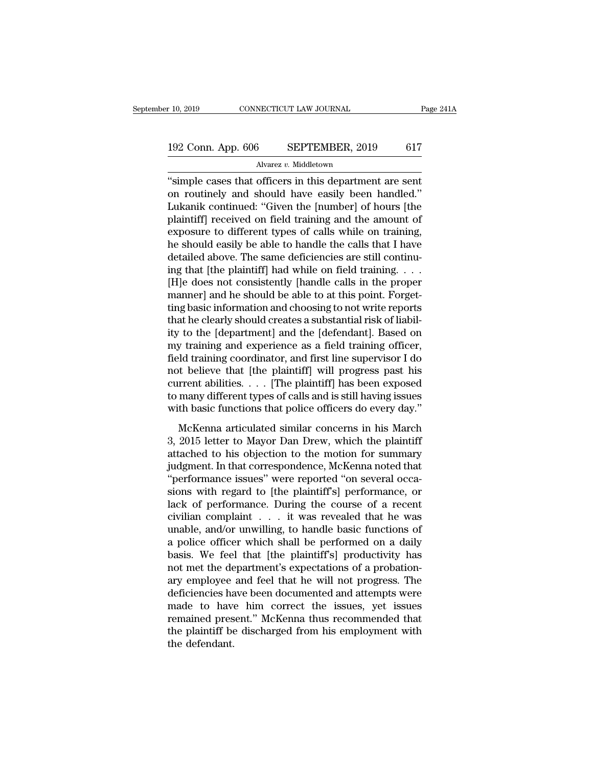# 10, 2019 CONNECTICUT LAW JOURNAL Page 241A<br>192 Conn. App. 606 SEPTEMBER, 2019 617<br>Alvarez v. Middletown

### Alvarez *v.* Middletown

The connective connective connective connection of the cases that officers in this department are sent<br>on routinely and should have easily been handled."<br>I ukanik continued: "Given the [number] of hours [the 192 Conn. App. 606 SEPTEMBER, 2019 617<br>Alvarez v. Middletown<br>"simple cases that officers in this department are sent<br>on routinely and should have easily been handled."<br>Lukanik continued: "Given the [number] of hours [the 192 Conn. App. 606 SEPTEMBER, 2019 617<br>Alvarez v. Middletown<br>"simple cases that officers in this department are sent<br>on routinely and should have easily been handled."<br>Lukanik continued: "Given the [number] of hours [the<br> 192 Conn. App. 606 SEPTEMBER, 2019 617<br>
Alvarez v. Middletown<br>
"simple cases that officers in this department are sent<br>
on routinely and should have easily been handled."<br>
Lukanik continued: "Given the [number] of hours [ Alvarez v. Middletown<br>
"simple cases that officers in this department are sent<br>
on routinely and should have easily been handled."<br>
Lukanik continued: "Given the [number] of hours [the<br>
plaintiff] received on field trainin Awarez  $v$ . Middetown<br>
"simple cases that officers in this department are sent<br>
on routinely and should have easily been handled."<br>
Lukanik continued: "Given the [number] of hours [the<br>
plaintiff] received on field traini "simple cases that officers in this department are sent<br>on routinely and should have easily been handled."<br>Lukanik continued: "Given the [number] of hours [the<br>plaintiff] received on field training and the amount of<br>expos on routinely and should have easily been handled."<br>Lukanik continued: "Given the [number] of hours [the<br>plaintiff] received on field training and the amount of<br>exposure to different types of calls while on training,<br>he sho Lukanik continued: "Given the [number] of hours [the<br>plaintiff] received on field training and the amount of<br>exposure to different types of calls while on training,<br>he should easily be able to handle the calls that I have<br> plaintiff] received on field training and the amount of exposure to different types of calls while on training,<br>he should easily be able to handle the calls that I have<br>detailed above. The same deficiencies are still conti exposure to different types of calls while on training,<br>he should easily be able to handle the calls that I have<br>detailed above. The same deficiencies are still continu-<br>ing that [the plaintiff] had while on field training he should easily be able to handle the calls that I have<br>detailed above. The same deficiencies are still continu-<br>ing that [the plaintiff] had while on field training. . . .<br>[H]e does not consistently [handle calls in the detailed above. The same deficiencies are still continuing that [the plaintiff] had while on field training. . . . [H]e does not consistently [handle calls in the proper manner] and he should be able to at this point. Forg ing that [the plaintiff] had while on field training. . . . . [H]e does not consistently [handle calls in the proper manner] and he should be able to at this point. Forgetting basic information and choosing to not write re [H]e does not consistently [handle calls in the proper<br>manner] and he should be able to at this point. Forget-<br>ting basic information and choosing to not write reports<br>that he clearly should creates a substantial risk of l manner] and he should be able to at this point. Forget-<br>ting basic information and choosing to not write reports<br>that he clearly should creates a substantial risk of liabil-<br>ity to the [department] and the [defendant]. Bas ting basic information and choosing to not write reports<br>that he clearly should creates a substantial risk of liabil-<br>ity to the [department] and the [defendant]. Based on<br>my training and experience as a field training off that he clearly should creates a substantial risk of liabil-<br>ity to the [department] and the [defendant]. Based on<br>my training and experience as a field training officer,<br>field training coordinator, and first line supervis ity to the [department] and the [defendant]. Based on<br>my training and experience as a field training officer,<br>field training coordinator, and first line supervisor I do<br>not believe that [the plaintiff] will progress past h Muslim and experience as a next daming order,<br>id training coordinator, and first line supervisor I do<br>to believe that [the plaintiff] will progress past his<br>rrent abilities. . . . . [The plaintiff] has been exposed<br>many d not believe that [the plaintiff] will progress past his<br>current abilities. . . . [The plaintiff] has been exposed<br>to many different types of calls and is still having issues<br>with basic functions that police officers do eve

From the sense of the plaintiff with progress past his current abilities. . . . [The plaintiff] has been exposed to many different types of calls and is still having issues with basic functions that police officers do eve for many different types of calls and is still having issues<br>with basic functions that police officers do every day."<br>McKenna articulated similar concerns in his March<br>3, 2015 letter to Mayor Dan Drew, which the plaintiff of marty unferent types of cans and is star having issues<br>with basic functions that police officers do every day."<br>McKenna articulated similar concerns in his March<br>3, 2015 letter to Mayor Dan Drew, which the plaintiff<br>att Mark basic rancelons and police officers do every day.<br>
3, 2015 letter to Mayor Dan Drew, which the plaintiff<br>
attached to his objection to the motion for summary<br>
judgment. In that correspondence, McKenna noted that<br>
"per McKenna articulated similar concerns in his March<br>3, 2015 letter to Mayor Dan Drew, which the plaintiff<br>attached to his objection to the motion for summary<br>judgment. In that correspondence, McKenna noted that<br>"performance 3, 2015 letter to Mayor Dan Drew, which the plaintiff<br>attached to his objection to the motion for summary<br>judgment. In that correspondence, McKenna noted that<br>"performance issues" were reported "on several occa-<br>sions with attached to his objection to the motion for summary<br>judgment. In that correspondence, McKenna noted that<br>"performance issues" were reported "on several occa-<br>sions with regard to [the plaintiff's] performance, or<br>lack of p judgment. In that correspondence, McKenna noted that<br>"performance issues" were reported "on several occa-<br>sions with regard to [the plaintiff's] performance, or<br>lack of performance. During the course of a recent<br>civilian c "performance issues" were reported "on several occasions with regard to [the plaintiff's] performance, or lack of performance. During the course of a recent civilian complaint . . . it was revealed that he was unable, and/ sions with regard to [the plaintiff's] performance, or lack of performance. During the course of a recent civilian complaint  $\ldots$  it was revealed that he was unable, and/or unwilling, to handle basic functions of a polic lack of performance. During the course of a recent<br>civilian complaint . . . it was revealed that he was<br>unable, and/or unwilling, to handle basic functions of<br>a police officer which shall be performed on a daily<br>basis. We civilian complaint . . . it was revealed that he was<br>unable, and/or unwilling, to handle basic functions of<br>a police officer which shall be performed on a daily<br>basis. We feel that [the plaintiff's] productivity has<br>not me unable, and/or unwilling, to handle basic functions of<br>a police officer which shall be performed on a daily<br>basis. We feel that [the plaintiff's] productivity has<br>not met the department's expectations of a probation-<br>ary e a police officer which shall be performed on a daily<br>basis. We feel that [the plaintiff's] productivity has<br>not met the department's expectations of a probation-<br>ary employee and feel that he will not progress. The<br>deficie basis. We feel that [the plaintiff's] productivity has<br>not met the department's expectations of a probation-<br>ary employee and feel that he will not progress. The<br>deficiencies have been documented and attempts were<br>made to not met the de<br>ary employee<br>deficiencies ha<br>made to have<br>remained pres<br>the plaintiff be<br>the defendant.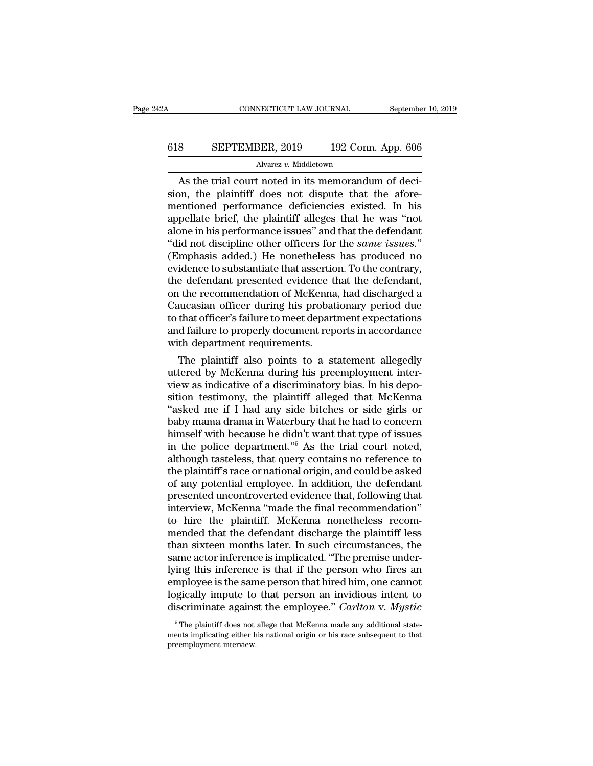# CONNECTICUT LAW JOURNAL September 10, 2019<br>618 SEPTEMBER, 2019 192 Conn. App. 606<br>Alvarez v. Middletown

### Alvarez *v.* Middletown

CONNECTICUT LAW JOURNAL September<br>
SEPTEMBER, 2019 192 Conn. App. 606<br>
Alvarez v. Middletown<br>
As the trial court noted in its memorandum of deci-<br>
Din, the plaintiff does not dispute that the afore-SEPTEMBER, 2019 192 Conn. App. 606<br>Alvarez v. Middletown<br>As the trial court noted in its memorandum of decision, the plaintiff does not dispute that the afore-<br>mentioned performance deficiencies existed. In his 618 SEPTEMBER, 2019 192 Conn. App. 606<br>Alvarez v. Middletown<br>As the trial court noted in its memorandum of decision, the plaintiff does not dispute that the afore-<br>mentioned performance deficiencies existed. In his<br>appell 618 SEPTEMBER, 2019 192 Conn. App. 606<br>Alvarez v. Middletown<br>As the trial court noted in its memorandum of decision, the plaintiff does not dispute that the afore-<br>mentioned performance deficiencies existed. In his<br>appell Alvarez v. Middletown<br>As the trial court noted in its memorandum of decision, the plaintiff does not dispute that the afore-<br>mentioned performance deficiencies existed. In his<br>appellate brief, the plaintiff alleges that h Alvarez v. Middletown<br>
As the trial court noted in its memorandum of decision, the plaintiff does not dispute that the afore-<br>
mentioned performance deficiencies existed. In his<br>
appellate brief, the plaintiff alleges that As the trial court noted in its memorandum of decision, the plaintiff does not dispute that the afore-<br>mentioned performance deficiencies existed. In his<br>appellate brief, the plaintiff alleges that he was "not<br>alone in his sion, the plaintiff does not dispute that the afore-<br>mentioned performance deficiencies existed. In his<br>appellate brief, the plaintiff alleges that he was "not<br>alone in his performance issues" and that the defendant<br>"did n mentioned performance deficiencies existed. In his<br>appellate brief, the plaintiff alleges that he was "not<br>alone in his performance issues" and that the defendant<br>"did not discipline other officers for the *same issues.*"<br> appellate brief, the plaintiff alleges that he was "not<br>alone in his performance issues" and that the defendant<br>"did not discipline other officers for the *same issues.*"<br>(Emphasis added.) He nonetheless has produced no<br>ev alone in his performance issues" and that the defendant<br>"did not discipline other officers for the *same issues.*"<br>(Emphasis added.) He nonetheless has produced no<br>evidence to substantiate that assertion. To the contrary,<br> "did not discipline other officers for the *same issues.*"<br>(Emphasis added.) He nonetheless has produced no<br>evidence to substantiate that assertion. To the contrary,<br>the defendant presented evidence that the defendant,<br>on (Emphasis added.) He nonetheless has produced no<br>evidence to substantiate that assertion. To the contrary,<br>the defendant presented evidence that the defendant,<br>on the recommendation of McKenna, had discharged a<br>Caucasian o evidence to substantiate that assertiof<br>the defendant presented evidence the on the recommendation of McKenna<br>Caucasian officer during his probat<br>to that officer's failure to meet depart<br>and failure to properly document re e derendant presented evidence that the derendant,<br>
the recommendation of McKenna, had discharged a<br>
ucasian officer during his probationary period due<br>
that officer's failure to meet department expectations<br>
d failure to on the recommendation of McKenna, had discharged a<br>Caucasian officer during his probationary period due<br>to that officer's failure to meet department expectations<br>and failure to properly document reports in accordance<br>with

Caucasian officer's failure to meet department expectations<br>to that officer's failure to meet department expectations<br>and failure to properly document reports in accordance<br>with department requirements.<br>The plaintiff also to that officer's failure to meet department expectations<br>and failure to properly document reports in accordance<br>with department requirements.<br>The plaintiff also points to a statement allegedly<br>uttered by McKenna during hi and failure to properly document reports in accordance<br>
with department requirements.<br>
The plaintiff also points to a statement allegedly<br>
uttered by McKenna during his preemployment inter-<br>
view as indicative of a discrim with department requirements.<br>
The plaintiff also points to a statement allegedly<br>
uttered by McKenna during his preemployment inter-<br>
view as indicative of a discriminatory bias. In his depo-<br>
sition testimony, the plaint The plaintiff also points to a statement allegedly<br>uttered by McKenna during his preemployment inter-<br>view as indicative of a discriminatory bias. In his depo-<br>sition testimony, the plaintiff alleged that McKenna<br>"asked me uttered by McKenna during his preemployment inter-<br>view as indicative of a discriminatory bias. In his depo-<br>sition testimony, the plaintiff alleged that McKenna<br>"asked me if I had any side bitches or side girls or<br>baby ma view as indicative of a discriminatory bias. In his deposition testimony, the plaintiff alleged that McKenna<br>"asked me if I had any side bitches or side girls or<br>baby mama drama in Waterbury that he had to concern<br>himself sition testimony, the plaintiff alleged that McKenna<br>"asked me if I had any side bitches or side girls or<br>baby mama drama in Waterbury that he had to concern<br>himself with because he didn't want that type of issues<br>in the p "asked me if I had any side bitches or side girls or<br>baby mama drama in Waterbury that he had to concern<br>himself with because he didn't want that type of issues<br>in the police department."<sup>5</sup> As the trial court noted,<br>alth baby mama drama in Waterbury that he had to concern<br>himself with because he didn't want that type of issues<br>in the police department."<sup>5</sup> As the trial court noted,<br>although tasteless, that query contains no reference to<br>th himself with because he didn't want that type of issues<br>in the police department."<sup>5</sup> As the trial court noted,<br>although tasteless, that query contains no reference to<br>the plaintiff's race or national origin, and could be in the police department."<sup>5</sup> As the trial court noted, although tasteless, that query contains no reference to the plaintiff's race or national origin, and could be asked of any potential employee. In addition, the defend although tasteless, that query contains no reference to<br>the plaintiff's race or national origin, and could be asked<br>of any potential employee. In addition, the defendant<br>presented uncontroverted evidence that, following th the plaintiff's race or national origin, and could be asked<br>of any potential employee. In addition, the defendant<br>presented uncontroverted evidence that, following that<br>interview, McKenna "made the final recommendation"<br>to of any potential employee. In addition, the defendant<br>presented uncontroverted evidence that, following that<br>interview, McKenna "made the final recommendation"<br>to hire the plaintiff. McKenna nonetheless recom-<br>mended that presented uncontroverted evidence that, following that<br>interview, McKenna "made the final recommendation"<br>to hire the plaintiff. McKenna nonetheless recom-<br>mended that the defendant discharge the plaintiff less<br>than sixtee interview, McKenna "made the final recommendation"<br>to hire the plaintiff. McKenna nonetheless recom-<br>mended that the defendant discharge the plaintiff less<br>than sixteen months later. In such circumstances, the<br>same actor i to hire the plaintiff. McKenna nonetheless recommended that the defendant discharge the plaintiff less<br>than sixteen months later. In such circumstances, the<br>same actor inference is implicated. "The premise under-<br>lying thi mended that the defendant discharge the plaintiff less<br>than sixteen months later. In such circumstances, the<br>same actor inference is implicated. "The premise under-<br>lying this inference is that if the person who fires an<br>e ing this inference is that if the person who fires an apployee is the same person that hired him, one cannot gically impute to that person an invidious intent to iscriminate against the employee." *Carlton v. Mystic*<sup>5</sup><sup>5</sup> employee is the same person that hired him, one cannot logically impute to that person an invidious intent to discriminate against the employee." *Carlton v. Mystic*<sup>5</sup> The plaintiff does not allege that McKenna made any a **providedly impute to**<br>discriminate agains<br><sup>5</sup> The plaintiff does not<br>ments implicating either h<br>preemployment interview.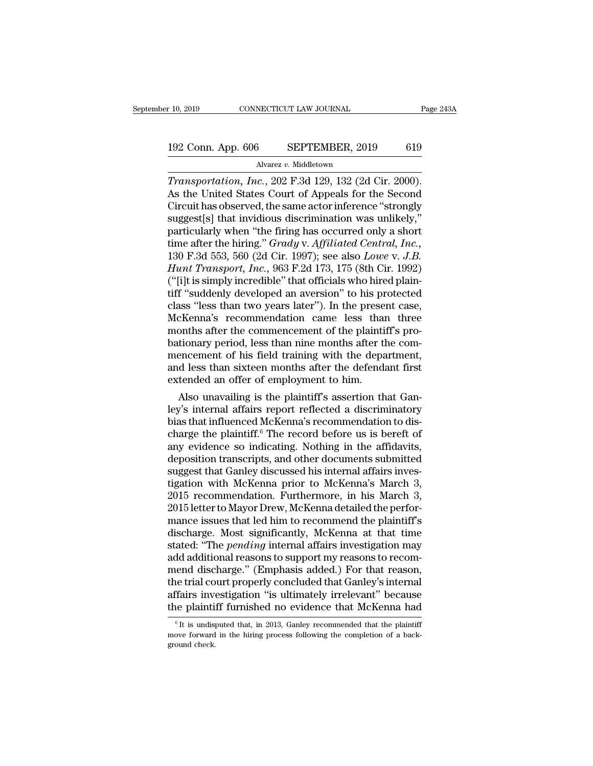# 10, 2019 CONNECTICUT LAW JOURNAL Page 243A<br>192 Conn. App. 606 SEPTEMBER, 2019 619<br>Alvarez v. Middletown

Alvarez *v.* Middletown

*Transportation, Inc.*, 202 F.3d 129, 132 (2d Cir. 2000).<br> *Transportation, Inc.*, 202 F.3d 129, 132 (2d Cir. 2000).<br>
As the United States Court of Appeals for the Second Circuit has observed the same actor informed "stron 192 Conn. App. 606 SEPTEMBER, 2019 619<br>Alvarez v. Middletown<br>Transportation, Inc., 202 F.3d 129, 132 (2d Cir. 2000).<br>As the United States Court of Appeals for the Second<br>Circuit has observed, the same actor inference "stro 192 Conn. App. 606 SEPTEMBER, 2019 619<br>Alvarez v. Middletown<br>Transportation, Inc., 202 F.3d 129, 132 (2d Cir. 2000).<br>As the United States Court of Appeals for the Second<br>Circuit has observed, the same actor inference "str 192 Conn. App. 606 SEPTEMBER, 2019 619<br>
Alvarez v. Middletown<br>
Transportation, Inc., 202 F.3d 129, 132 (2d Cir. 2000).<br>
As the United States Court of Appeals for the Second<br>
Circuit has observed, the same actor inference Alvarez v. Middletown<br>
Transportation, Inc., 202 F.3d 129, 132 (2d Cir. 2000).<br>
As the United States Court of Appeals for the Second<br>
Circuit has observed, the same actor inference "strongly<br>
suggest[s] that invidious dis Alvarez v. Middletown<br> *Transportation, Inc.*, 202 F.3d 129, 132 (2d Cir. 2000).<br>
As the United States Court of Appeals for the Second<br>
Circuit has observed, the same actor inference "strongly<br>
suggest[s] that invidious di Transportation, Inc., 202 F.3d 129, 132 (2d Cir. 2000).<br>As the United States Court of Appeals for the Second<br>Circuit has observed, the same actor inference "strongly<br>suggest[s] that invidious discrimination was unlikely,"<br> As the United States Court of Appeals for the Second<br>Circuit has observed, the same actor inference "strongly<br>suggest[s] that invidious discrimination was unlikely,"<br>particularly when "the firing has occurred only a short<br> Circuit has observed, the same actor inference "strongly<br>suggest[s] that invidious discrimination was unlikely,"<br>particularly when "the firing has occurred only a short<br>time after the hiring." *Grady* v. Affiliated Central suggest[s] that invidious discrimination was unlikely,"<br>particularly when "the firing has occurred only a short<br>time after the hiring." *Grady* v. Affiliated Central, Inc.,<br>130 F.3d 553, 560 (2d Cir. 1997); see also Lowe v particularly when "the firing has occurred only a short<br>time after the hiring." *Grady* v. Affiliated Central, Inc.,<br>130 F.3d 553, 560 (2d Cir. 1997); see also Lowe v. J.B.<br>Hunt Transport, Inc., 963 F.2d 173, 175 (8th Cir. time after the hiring." *Grady* v. *Affiliated Central, Inc.*, 130 F.3d 553, 560 (2d Cir. 1997); see also *Lowe* v. *J.B.*<br>*Hunt Transport, Inc.*, 963 F.2d 173, 175 (8th Cir. 1992) ("[i]t is simply incredible" that officia 130 F.3d 553, 560 (2d Cir. 1997); see also *Lowe* v. *J.B.*<br>*Hunt Transport, Inc.*, 963 F.2d 173, 175 (8th Cir. 1992)<br>("[i]t is simply incredible" that officials who hired plain-<br>tiff "suddenly developed an aversion" to h Hunt Transport, Inc., 963 F.2d 173, 175 (8th Cir. 1992)<br>("[i]t is simply incredible" that officials who hired plain-<br>tiff "suddenly developed an aversion" to his protected<br>class "less than two years later"). In the present ("[i]t is simply incredible" that officials who hired plaintiff "suddenly developed an aversion" to his protected class "less than two years later"). In the present case, McKenna's recommendation came less than three month tiff "suddenly developed an aversion" to his protected<br>class "less than two years later"). In the present case,<br>McKenna's recommendation came less than three<br>months after the commencement of the plaintiff's pro-<br>bationary class "less than two years later"). In the prese<br>McKenna's recommendation came less than<br>months after the commencement of the plainti<br>bationary period, less than nine months after th<br>mencement of his field training with th EXEMENT IS also unavailing the set of the plaintiff's protionary period, less than nine months after the com-<br>encement of his field training with the department,<br>d less than sixteen months after the defendant first<br>tended months after the commencement of the plantiff's probationary period, less than nine months after the commencement of his field training with the department, and less than sixteen months after the defendant first extended

bationary period, less than nine months after the com-<br>mencement of his field training with the department,<br>and less than sixteen months after the defendant first<br>extended an offer of employment to him.<br>Also unavailing is mencement of his field training with the department,<br>and less than sixteen months after the defendant first<br>extended an offer of employment to him.<br>Also unavailing is the plaintiff's assertion that Gan-<br>ley's internal affa and less than sixteen months after the defendant first<br>extended an offer of employment to him.<br>Also unavailing is the plaintiff's assertion that Gan-<br>ley's internal affairs report reflected a discriminatory<br>bias that influ extended an offer of employment to him.<br>Also unavailing is the plaintiff's assertion that Gan-<br>ley's internal affairs report reflected a discriminatory<br>bias that influenced McKenna's recommendation to dis-<br>charge the plain Also unavailing is the plaintiff's assertion that Gan-<br>ley's internal affairs report reflected a discriminatory<br>bias that influenced McKenna's recommendation to dis-<br>charge the plaintiff.<sup>6</sup> The record before us is bereft ley's internal affairs report reflected a discriminatory<br>bias that influenced McKenna's recommendation to discharge the plaintiff.<sup>6</sup> The record before us is bereft of<br>any evidence so indicating. Nothing in the affidavits, bias that influenced McKenna's recommendation to discharge the plaintiff.<sup>6</sup> The record before us is bereft of any evidence so indicating. Nothing in the affidavits, deposition transcripts, and other documents submitted su charge the plaintiff.<sup>6</sup> The record before us is bereft of<br>any evidence so indicating. Nothing in the affidavits,<br>deposition transcripts, and other documents submitted<br>suggest that Ganley discussed his internal affairs inv any evidence so indicating. Nothing in the affidavits,<br>deposition transcripts, and other documents submitted<br>suggest that Ganley discussed his internal affairs inves-<br>tigation with McKenna prior to McKenna's March 3,<br>2015 deposition transcripts, and other documents submitted<br>suggest that Ganley discussed his internal affairs inves-<br>tigation with McKenna prior to McKenna's March 3,<br>2015 recommendation. Furthermore, in his March 3,<br>2015 lette suggest that Ganley discussed his internal affairs investigation with McKenna prior to McKenna's March 3,<br>2015 recommendation. Furthermore, in his March 3,<br>2015 letter to Mayor Drew, McKenna detailed the perfor-<br>mance issu tigation with McKenna prior to McKenna's March 3,<br>2015 recommendation. Furthermore, in his March 3,<br>2015 letter to Mayor Drew, McKenna detailed the perfor-<br>mance issues that led him to recommend the plaintiff's<br>discharge. 2015 recommendation. Furthermore, in his March 3,<br>2015 letter to Mayor Drew, McKenna detailed the perfor-<br>mance issues that led him to recommend the plaintiff's<br>discharge. Most significantly, McKenna at that time<br>stated: " 2015 letter to Mayor Drew, McKenna detailed the performance issues that led him to recommend the plaintiff's discharge. Most significantly, McKenna at that time stated: "The *pending* internal affairs investigation may add mance issues that led him to recommend the plaintiff's<br>discharge. Most significantly, McKenna at that time<br>stated: "The *pending* internal affairs investigation may<br>add additional reasons to support my reasons to recom-<br>me discharge. Most significantly, McKenna at that time<br>stated: "The *pending* internal affairs investigation may<br>add additional reasons to support my reasons to recom-<br>mend discharge." (Emphasis added.) For that reason,<br>the t is under that is understanded that Ganley's internal fairs investigation "is ultimately irrelevant" because<br>fairs investigation "is ultimately irrelevant" because<br>the plaintiff furnished no evidence that McKenna had<br><sup>6</sup><sup>It</sup> the trial court properly concluded that Ganley's internal affairs investigation "is ultimately irrelevant" because<br>the plaintiff furnished no evidence that McKenna had<br> $\frac{1}{10}$  it is undisputed that, in 2013, Ganley rec

affairs involted plaint<br>the plaintifies of the state of the state of the state<br>move forward ground check.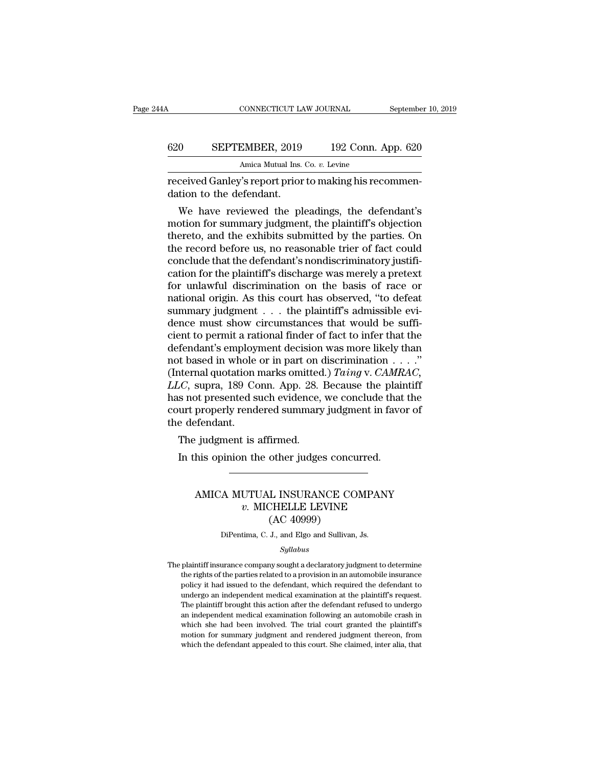### CONNECTICUT LAW JOURNAL September 10, 2019<br>620 SEPTEMBER, 2019 192 Conn. App. 620<br>Amica Mutual Ins. Co. v. Levine Amica Mutual Ins. Co. *v.* Levine CONNECTICUT LAW JOURNAL September<br>
620 SEPTEMBER, 2019 192 Conn. App. 620<br>
Amica Mutual Ins. Co. v. Levine<br>
Feceived Ganley's report prior to making his recommen-<br>
dation to the defendant. 620 SEPTEMBER, 2019<br>Amica Mutual Ins.<br>Teceived Ganley's report prior<br>dation to the defendant.<br>We have reviewed the pl

We have reviewed the pleadings, the defendant's<br>
we have reviewed the pleadings, the defendant's<br>
we have reviewed the pleadings, the defendant's<br>
by the pleadings, the defendant's<br>
by the parties on and the exhibits subm 620 SEPTEMBER, 2019 192 Conn. App. 620<br>Amica Mutual Ins. Co.  $v$ . Levine<br>received Ganley's report prior to making his recommen-<br>dation to the defendant.<br>We have reviewed the pleadings, the defendant's<br>motion for summary j Amica Mutual Ins. Co. *v.* Levine<br>
received Ganley's report prior to making his recommen-<br>
dation to the defendant.<br>
We have reviewed the pleadings, the defendant's<br>
motion for summary judgment, the plaintiff's objection<br> received Ganley's report prior to making his recommendation to the defendant.<br>We have reviewed the pleadings, the defendant's<br>motion for summary judgment, the plaintiff's objection<br>thereto, and the exhibits submitted by th received Ganley s report prior to making his recommendation to the defendant.<br>We have reviewed the pleadings, the defendant's<br>motion for summary judgment, the plaintiff's objection<br>thereto, and the exhibits submitted by th dation to the defendant.<br>We have reviewed the pleadings, the defendant's<br>motion for summary judgment, the plaintiff's objection<br>thereto, and the exhibits submitted by the parties. On<br>the record before us, no reasonable tri We have reviewed the pleadings, the defendant's<br>motion for summary judgment, the plaintiff's objection<br>thereto, and the exhibits submitted by the parties. On<br>the record before us, no reasonable trier of fact could<br>conclude motion for summary judgment, the plaintiff's objection<br>thereto, and the exhibits submitted by the parties. On<br>the record before us, no reasonable trier of fact could<br>conclude that the defendant's nondiscriminatory justifithereto, and the exhibits submitted by the parties. On<br>the record before us, no reasonable trier of fact could<br>conclude that the defendant's nondiscriminatory justifi-<br>cation for the plaintiff's discharge was merely a pret the record before us, no reasonable trier of fact could<br>conclude that the defendant's nondiscriminatory justifi-<br>cation for the plaintiff's discharge was merely a pretext<br>for unlawful discrimination on the basis of race or conclude that the defendant's nondiscriminatory justification for the plaintiff's discharge was merely a pretext<br>for unlawful discrimination on the basis of race or<br>national origin. As this court has observed, "to defeat<br>s cation for the plaintiff's discharge was merely a pretext<br>for unlawful discrimination on the basis of race or<br>national origin. As this court has observed, "to defeat<br>summary judgment . . . the plaintiff's admissible evi-<br> for unlawful discrimination on the basis of race or<br>national origin. As this court has observed, "to defeat<br>summary judgment . . . the plaintiff's admissible evi-<br>dence must show circumstances that would be suffi-<br>cient t mational origin. As this court has observed, "to defeat<br>summary judgment  $\ldots$  the plaintiff's admissible evi-<br>dence must show circumstances that would be suffi-<br>cient to permit a rational finder of fact to infer that the summary judgment  $\ldots$  the plaintiff's admissible evidence must show circumstances that would be sufficient to permit a rational finder of fact to infer that the defendant's employment decision was more likely than not ba dence must show circumstances that would be sufficient to permit a rational finder of fact to infer that the defendant's employment decision was more likely than not based in whole or in part on discrimination  $\dots$ ."<br>(Int cient to permit a rational finder of fact to infer that the<br>defendant's employment decision was more likely than<br>not based in whole or in part on discrimination  $\dots$ ."<br>(Internal quotation marks omitted.) *Taing* v. *CAMRA* defendant's employ<br>not based in whole<br>(Internal quotation i<br>LLC, supra, 189 Cc<br>has not presented s<br>court properly rend<br>the defendant.<br>The judgment is : It based in whole or in part on definited<br>iternal quotation marks omitted<br> $LC$ , supra, 189 Conn. App. 28.<br>s not presented such evidence,<br>urt properly rendered summary<br>e defendant.<br>The judgment is affirmed.<br>In this opinion  $LC$ , supra, 189 Conn. App. 28. Because the plain<br>
is not presented such evidence, we conclude that<br>
urt properly rendered summary judgment in favo<br>
e defendant.<br>
The judgment is affirmed.<br>
In this opinion the other judges

### Fendant.<br>
. judgment is affirmed.<br>
his opinion the other judges concurred.<br>
AMICA MUTUAL INSURANCE COMPANY<br>
v. MICHELLE LEVINE<br>
(AC 40000) *v.* MICHELLE LEVINE UTTINE<br>
UTTINGURANCE CO<br>
LINSURANCE CO<br>
CHELLE LEVINE<br>
(AC 40999)<br>
J., and Elgo and Sullivan, AMICA MUTUAL INSURANCE COMPANY<br> $v.$  MICHELLE LEVINE<br>(AC 40999)<br>DiPentima, C. J., and Elgo and Sullivan, Js.

### *Syllabus*

 $v.$  MICHELLE LEVINE<br>  $(AC\ 40999)$ <br>
DiPentima, C. J., and Elgo and Sullivan, Js.<br>  $Syllabus$ <br>
The plaintiff insurance company sought a declaratory judgment to determine<br>
the rights of the parties related to a provision in an a  $(AC 40999)$ <br>DiPentima, C. J., and Elgo and Sullivan, Js.<br> $Syllabus$ <br>plaintiff insurance company sought a declaratory judgment to determine<br>the rights of the parties related to a provision in an automobile insurance<br>policy it h DiPentima, C. J., and Elgo and Sullivan, Js.<br>
Syllabus<br>
plaintiff insurance company sought a declaratory judgment to determine<br>
the rights of the parties related to a provision in an automobile insurance<br>
policy it had iss But channa, e. 9., and Eigo and Samvan, 9.5.<br>Syllabus<br>plaintiff insurance company sought a declaratory judgment to determine<br>the rights of the parties related to a provision in an automobile insurance<br>policy it had issued  $\label{eq:2.1} Syllabus$  plaintiff insurance company sought a declaratory judgment to determine<br>the rights of the parties related to a provision in an automobile insurance<br>policy it had issued to the defendant, which required the plaintiff insurance company sought a declaratory judgment to determine<br>the rights of the parties related to a provision in an automobile insurance<br>policy it had issued to the defendant, which required the defendant to<br>unde plantal institute comparty sought a declaratory judgment to determine<br>the rights of the parties related to a provision in an automobile insurance<br>policy it had issued to the defendant, which required the defendant to<br>under motion for summary judgment and rendered judgment thereon, from the defendant to undergo an independent medical examination at the plaintiff's request.<br>The plaintiff brought this action after the defendant refused to under policy it had issued to the defendant, which required the defendant to undergo an independent medical examination at the plaintiff's request. The plaintiff brought this action after the defendant refused to undergo an inde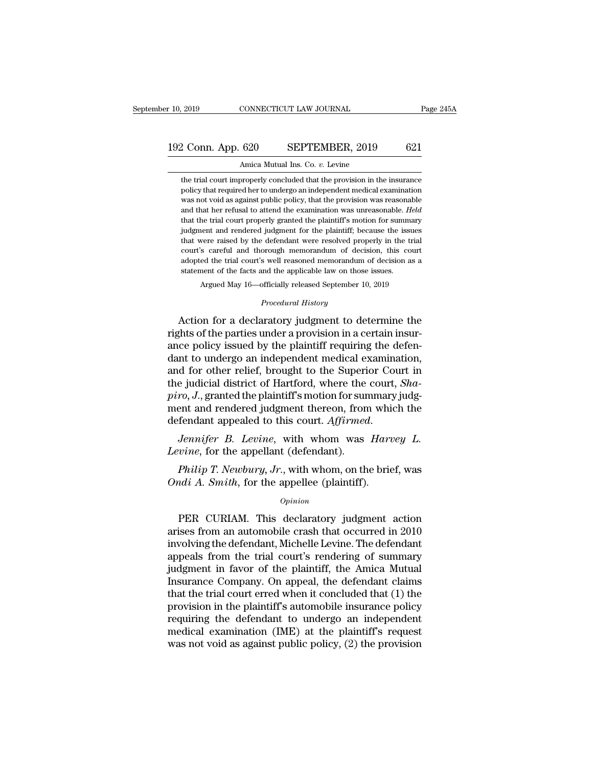## 10, 2019 CONNECTICUT LAW JOURNAL Page 245A<br>192 Conn. App. 620 SEPTEMBER, 2019 621<br>Amica Mutual Ins. Co. v. Levine r 10, 2019 CONNECTICUT LAW JOURNAL<br>192 Conn. App. 620 SEPTEMBER, 2019 621<br>4 Amica Mutual Ins. Co. *v.* Levine<br>the trial court improperly concluded that the provision in the insurance

2 Conn. App. 620 SEPTEMBER, 2019 621<br>Amica Mutual Ins. Co. v. Levine<br>the trial court improperly concluded that the provision in the insurance<br>policy that required her to undergo an independent medical examination 2 Conn. App. 620 SEPTEMBER, 2019 621<br>Amica Mutual Ins. Co. v. Levine<br>the trial court improperly concluded that the provision in the insurance<br>policy that required her to undergo an independent medical examination<br>was not v 2 Conn. App. 620 SEPTEMBER, 2019 621<br>Amica Mutual Ins. Co. v. Levine<br>the trial court improperly concluded that the provision in the insurance<br>policy that required her to undergo an independent medical examination<br>was not v Amica Mutual Ins. Co. *v*. Levine<br>the trial court improperly concluded that the provision in the insurance<br>policy that required her to undergo an independent medical examination<br>was not void as against public policy, that Amica Mutual Ins. Co. *v*. Levine<br>the trial court improperly concluded that the provision in the insurance<br>policy that required her to undergo an independent medical examination<br>was not void as against public policy, that the trial court improperly concluded that the provision in the insurance policy that required her to undergo an independent medical examination was not void as against public policy, that the provision was reasonable and t policy that required her to undergo an independent medical examination was not void as against public policy, that the provision was reasonable and that her refusal to attend the examination was unreasonable. *Held* that t powers and void as against public policy, that the provision was reasonable and that her refusal to attend the examination was unreasonable. *Held* that the trial court properly granted the plaintiff's motion for summary j and that her refusal to attend the examination was unreasonable. *Held* that the trial court properly granted the plaintiff's motion for summary judgment and rendered judgment for the plaintiff; because the issues that wer that the trial court properly granted the plaintiff's motion for summinduate that the trial court properly granted the plaintiff; because the iss that were raised by the defendant were resolved properly in the tourt's care % judgment and rendered judgment for the plaintiff; because the issues that were raised by the defendant were resolved properly in the trial court's careful and thorough memorandum of decision, this court adopted the tria % court's careful and thorough memorandum of decision, this court adopted the trial court's well reasoned memorandum of decision as a statement of the facts and the applicable law on those issues.<br>Argued May 16—officially that were raised by the detendant were resolved property in the trial<br>court's careful and thorough memorandum of decision, this court<br>adopted the trial court's well reasoned memorandum of decision as a<br>statement of the fac

readed the trial court's well reasoned memorandum of decision as a statement of the facts and the applicable law on those issues.<br>Argued May 16—officially released September 10, 2019<br>*Procedural History*<br>Action for a decla statement of the facts and the applicable law on those issues.<br>Argued May 16—officially released September 10, 2019<br>*Procedural History*<br>Action for a declaratory judgment to determine the<br>rights of the parties under a prov Argued May 16—officially released September 10, 2019<br> *Procedural History*<br>
Action for a declaratory judgment to determine the<br>
rights of the parties under a provision in a certain insur-<br>
ance policy issued by the plainti *Procedural History*<br>Action for a declaratory judgment to determine the<br>rights of the parties under a provision in a certain insur-<br>ance policy issued by the plaintiff requiring the defen-<br>dant to undergo an independent me Froceaural History<br>Action for a declaratory judgment to determine the<br>rights of the parties under a provision in a certain insur-<br>ance policy issued by the plaintiff requiring the defen-<br>dant to undergo an independent medi Action for a declaratory judgment to determine the rights of the parties under a provision in a certain insurance policy issued by the plaintiff requiring the defendant to undergo an independent medical examination, and fo rights of the parties under a provision in a certain insurance policy issued by the plaintiff requiring the defendant to undergo an independent medical examination, and for other relief, brought to the Superior Court in th ance policy issued by the plaintiff requiring the defendant to undergo an independent medical examination, and for other relief, brought to the Superior Court in the judicial district of Hartford, where the court, *Shapiro Leving 1 and 101 other rener, brought to the supern*<br>the judicial district of Hartford, where the<br>*piro*, *J.*, granted the plaintiff's motion for sur<br>ment and rendered judgment thereon, from<br>defendant appealed to this co *Philip T.*, J., granted the plaintiff's motion for summary judgent and rendered judgment thereon, from which the fendant appealed to this court. Affirmed.<br>*Jennifer B. Levine*, with whom was *Harvey L.*<br>*vine*, for the ap ment and rendered judgment thereon, from whit<br>defendant appealed to this court. *Affirmed.*<br>*Jennifer B. Levine*, with whom was *Hart*<br>*Levine*, for the appellant (defendant).<br>*Philip T. Newbury, Jr.*, with whom, on the br

### *Opinion*

*Jennifer B. Levine,* with whom was *Harvey L.*<br> *vine,* for the appellant (defendant).<br> *Philip T. Newbury, Jr.,* with whom, on the brief, was<br> *adi A. Smith*, for the appellee (plaintiff).<br> *Opinion*<br>
PER CURIAM. This d Levine, for the appenant (defendant).<br> *Philip T. Newbury, Jr.*, with whom, on the brief, was<br> *Ondi A. Smith*, for the appellee (plaintiff).<br> *Opinion*<br>
PER CURIAM. This declaratory judgment action<br>
arises from an automob *Philip T. Newbury, Jr.*, with whom, on the brief, was<br> *Ondi A. Smith*, for the appellee (plaintiff).<br> *Opinion*<br>
PER CURIAM. This declaratory judgment action<br>
arises from an automobile crash that occurred in 2010<br>
involv *Ondi A. Smith*, for the appellee (plaintiff).<br>  $\frac{Opinion}{PER}$  CURIAM. This declaratory judgment action<br>
arises from an automobile crash that occurred in 2010<br>
involving the defendant, Michelle Levine. The defendant<br>
appeal **EXECURIAM.** This declaratory judgment action<br>arises from an automobile crash that occurred in 2010<br>involving the defendant, Michelle Levine. The defendant<br>appeals from the trial court's rendering of summary<br>judgment in fa *Opmion*<br>
PER CURIAM. This declaratory judgment action<br>
arises from an automobile crash that occurred in 2010<br>
involving the defendant, Michelle Levine. The defendant<br>
appeals from the trial court's rendering of summary<br>
j PER CURIAM. This declaratory judgment action<br>arises from an automobile crash that occurred in 2010<br>involving the defendant, Michelle Levine. The defendant<br>appeals from the trial court's rendering of summary<br>judgment in fav arises from an automobile crash that occurred in 2010<br>involving the defendant, Michelle Levine. The defendant<br>appeals from the trial court's rendering of summary<br>judgment in favor of the plaintiff, the Amica Mutual<br>Insuran involving the defendant, Michelle Levine. The defendant<br>appeals from the trial court's rendering of summary<br>judgment in favor of the plaintiff, the Amica Mutual<br>Insurance Company. On appeal, the defendant claims<br>that the t appeals from the trial court's rendering of summary<br>judgment in favor of the plaintiff, the Amica Mutual<br>Insurance Company. On appeal, the defendant claims<br>that the trial court erred when it concluded that (1) the<br>provisio judgment in favor of the plaintiff, the Amica Mutual<br>Insurance Company. On appeal, the defendant claims<br>that the trial court erred when it concluded that (1) the<br>provision in the plaintiff's automobile insurance policy<br>req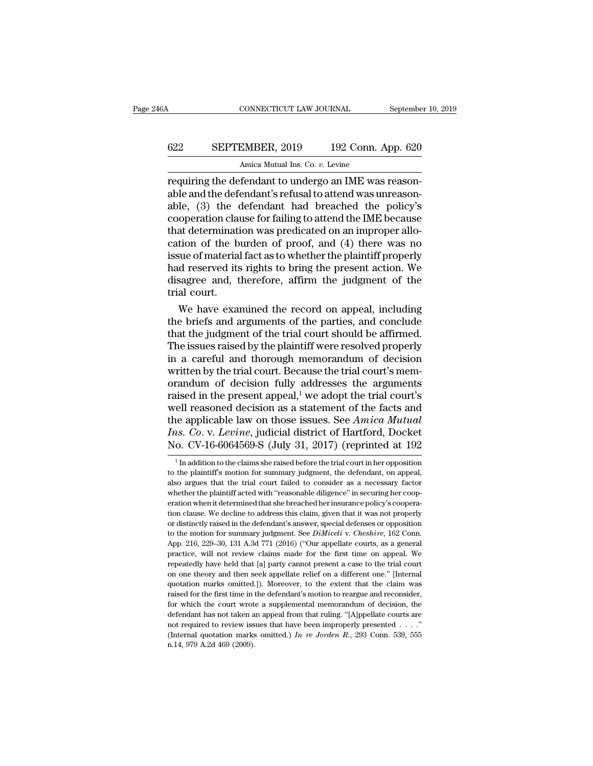## CONNECTICUT LAW JOURNAL September 10, 2019<br>622 SEPTEMBER, 2019 192 Conn. App. 620<br>Amica Mutual Ins. Co. v. Levine Amica Mutual Ins. Co. *v.* Levine

CONNECTICUT LAW JOURNAL September<br>
622 SEPTEMBER, 2019 192 Conn. App. 620<br>
Amica Mutual Ins. Co. v. Levine<br>
requiring the defendant to undergo an IME was reason-<br>
able and the defendant's refusal to attend was unreason-<br>
a EXEPTEMBER, 2019 192 Conn. App. 620<br>Amica Mutual Ins. Co.  $v$ . Levine<br>requiring the defendant to undergo an IME was reason-<br>able and the defendant's refusal to attend was unreason-<br>able, (3) the defendant had breached the EPTEMBER, 2019 192 Conn. App. 620<br>Amica Mutual Ins. Co.  $v$ . Levine<br>requiring the defendant to undergo an IME was reason-<br>able and the defendant's refusal to attend was unreason-<br>able, (3) the defendant had breached the p SEPTEMBER, 2019 192 Conn. App. 620<br>Amica Mutual Ins. Co.  $v$ . Levine<br>requiring the defendant to undergo an IME was reason-<br>able and the defendant's refusal to attend was unreason-<br>able, (3) the defendant had breached the Amica Mutual Ins. Co. *v.* Levine<br>
requiring the defendant to undergo an IME was reason-<br>
able and the defendant's refusal to attend was unreason-<br>
able, (3) the defendant had breached the policy's<br>
cooperation clause for Amica Mutual Ins. Co.  $v$ . Levine<br>requiring the defendant to undergo an IME was reason-<br>able, (3) the defendant had breached the policy's<br>cooperation clause for failing to attend the IME because<br>that determination was pre requiring the defendant to undergo an IME was reasonable and the defendant's refusal to attend was unreasonable, (3) the defendant had breached the policy's cooperation clause for failing to attend the IME because that det able and the defendant's refusal to attend was unreason-<br>able, (3) the defendant had breached the policy's<br>cooperation clause for failing to attend the IME because<br>that determination was predicated on an improper allo-<br>cat able, (3) the defendant had breached the policy's<br>cooperation clause for failing to attend the IME because<br>that determination was predicated on an improper allo-<br>cation of the burden of proof, and (4) there was no<br>issue of cooperation clau<br>that determination<br>cation of the b<br>issue of material<br>had reserved its<br>disagree and, t<br>trial court.<br>We have exame at determination was predicated on an improper allotion of the burden of proof, and (4) there was no<br>sue of material fact as to whether the plaintiff properly<br>d reserved its rights to bring the present action. We<br>sagree an cation of the burden of proof, and (4) there was no<br>issue of material fact as to whether the plaintiff properly<br>had reserved its rights to bring the present action. We<br>disagree and, therefore, affirm the judgment of the<br>tr

issue of material fact as to whether the plaintiff properly<br>had reserved its rights to bring the present action. We<br>disagree and, therefore, affirm the judgment of the<br>trial court.<br>We have examined the record on appeal, in had reserved its rights to bring the present action. We<br>disagree and, therefore, affirm the judgment of the<br>trial court.<br>We have examined the record on appeal, including<br>the briefs and arguments of the parties, and conclud disagree and, therefore, affirm the judgment of the<br>trial court.<br>We have examined the record on appeal, including<br>the briefs and arguments of the parties, and conclude<br>that the judgment of the trial court should be affirme trial court.<br>We have examined the record on appeal, including<br>the briefs and arguments of the parties, and conclude<br>that the judgment of the trial court should be affirmed.<br>The issues raised by the plaintiff were resolved We have examined the record on appeal, including<br>the briefs and arguments of the parties, and conclude<br>that the judgment of the trial court should be affirmed.<br>The issues raised by the plaintiff were resolved properly<br>in the briefs and arguments of the parties, and conclude<br>that the judgment of the trial court should be affirmed.<br>The issues raised by the plaintiff were resolved properly<br>in a careful and thorough memorandum of decision<br>writ that the judgment of the trial court should be affirmed.<br>The issues raised by the plaintiff were resolved properly<br>in a careful and thorough memorandum of decision<br>written by the trial court. Because the trial court's mem The issues raised by the plaintiff were resolved properly<br>in a careful and thorough memorandum of decision<br>written by the trial court. Because the trial court's mem-<br>orandum of decision fully addresses the arguments<br>raised in a careful and thorough memorandum of decision<br>written by the trial court. Because the trial court's memorandum of decision fully addresses the arguments<br>raised in the present appeal,<sup>1</sup> we adopt the trial court's<br>well r written by the trial court. Because the trial court's memorandum of decision fully addresses the arguments raised in the present appeal,<sup>1</sup> we adopt the trial court's well reasoned decision as a statement of the facts and ell reasoned decision as a statement of the facts and<br>the applicable law on those issues. See Amica Mutual<br>is. Co. v. Levine, judicial district of Hartford, Docket<br>o. CV-16-6064569-S (July 31, 2017) (reprinted at 192<br><sup>1</sup>In the applicable law on those issues. See *Amica Mutual Ins. Co. v. Levine*, judicial district of Hartford, Docket No. CV-16-6064569-S (July 31, 2017) (reprinted at 192<br><sup>1</sup> In addition to the claims she raised before the

*Ins.* Co. v. *Levine*, judicial district of Hartford, Docket No. CV-16-6064569-S (July 31, 2017) (reprinted at 192<br><sup>1</sup> In addition to the claims she raised before the trial court in her opposition to the plaintiff's moti No. CV-16-6064569-S (July 31, 2017) (reprinted at 192<br>  $\frac{1}{1}$  In addition to the claims she raised before the trial court in her opposition<br>
to the plaintiff's motion for summary judgment, the defendant, on appeal,<br>
al to the plaintiff's motion for summary judgment, the defendant, on appeal, also argues that the trial court failed to consider as a necessary factor whether the plaintiff acted with "reasonable diligence" in securing her co <sup>1</sup> In addition to the claims she raised before the trial court in her opposition to the plaintiff's motion for summary judgment, the defendant, on appeal, also argues that the trial court failed to consider as a necessar to the plaintiff's motion for summary judgment, the defendant, on appeal, also argues that the trial court failed to consider as a necessary factor whether the plaintiff acted with "reasonable diligence" in securing her c also argues that the trial court failed to consider as a necessary factor<br>whether the plaintiff acted with "reasonable diligence" in securing her coop-<br>eration when it determined that she breached her insurance policy's co whether the plaintiff acted with "reasonable diligence" in securing her cooperation when it determined that she breached her insurance policy's cooperation clause. We decline to address this claim, given that it was not p eration when it determined that she breached her insurance policy's cooperation clause. We decline to address this claim, given that it was not properly or distinctly raised in the defendant's answer, special defenses or From Clause. We decline to address this claim, given that it was not properly or distinctly raised in the defendant's answer, special defenses or opposition to the motion for summary judgment. See *DiMiceli v. Cheshire*, or distinctly raised in the defendant's answer, special defenses or opposition<br>to the motion for summary judgment. See *DiMiceli* v. *Cheshire*, 162 Conn.<br>App. 216, 229–30, 131 A.3d 771 (2016) ("Our appellate courts, as a to the motion for summary judgment. See *DiMiceli* v. *Cheshire*, 162 Conn.<br>App. 216, 229–30, 131 A.3d 771 (2016) ("Our appellate courts, as a general<br>practice, will not review claims made for the first time on appeal. We App. 216, 229–30, 131 A.3d 771 (2016) ("Our appellate courts, as a general practice, will not review claims made for the first time on appeal. We repeatedly have held that [a] party cannot present a case to the trial cour for the court wrote wrote a supplemental memorandum of decision, the defendant has not taken an appeal. We appeal we held that [a] party cannot present a case to the trial court on one theory and then seek appellate relief repeatedly have held that [a] party cannot present a case to the trial court<br>on one theory and then seek appellate relief on a different one." [Internal<br>quotation marks omitted.]). Moreover, to the extent that the claim w repeatedly have held that [a] party cannot present a case to the trial court<br>on one theory and then seek appellate relief on a different one." [Internal<br>quotation marks omitted.]). Moreover, to the extent that the claim w quotation marks omitted.]). Moreover, to the extent that the claim was raised for the first time in the defendant's motion to reargue and reconsider, for which the court wrote a supplemental memorandum of decision, the de for which the court wrote a supplemental memorandum of decision, the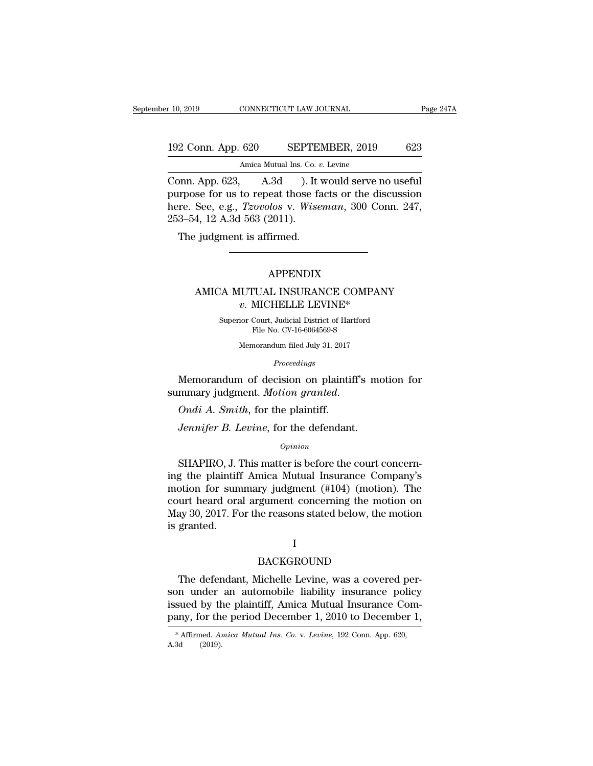## 10, 2019 CONNECTICUT LAW JOURNAL Page 247A<br>192 Conn. App. 620 SEPTEMBER, 2019 623<br>Amica Mutual Ins. Co. v. Levine Amica Mutual Ins. Co. *v.* Levine

CONNECTICUT LAW JOURNAL Page 24<sup>1</sup><br>192 Conn. App. 620 SEPTEMBER, 2019 623<br>Amica Mutual Ins. Co. *v*. Levine<br>Conn. App. 623, A.3d ). It would serve no useful<br>purpose for us to repeat those facts or the discussion<br>hore See e 192 Conn. App. 620 SEPTEMBER, 2019 623<br>Amica Mutual Ins. Co. v. Levine<br>Conn. App. 623, A.3d ). It would serve no useful<br>purpose for us to repeat those facts or the discussion<br>here. See, e.g., *Tzovolos* v. *Wiseman*, 300 C 192 Conn. App. 620 SEPTEMBER, 2019 623<br>Amica Mutual Ins. Co. *v.* Levine<br>Conn. App. 623, A.3d ). It would serve no useful<br>purpose for us to repeat those facts or the discussion<br>here. See, e.g., *Tzovolos* v. *Wiseman*, 300 192 Conn. App. 620 SEPTE<br>
Amica Mutual Ins. Co.<br>
Conn. App. 623, A.3d ). It<br>
purpose for us to repeat those f:<br>
here. See, e.g., *Tzovolos* v. *Wise*<br>
253–54, 12 A.3d 563 (2011).<br>
The judgment is affirmed. Amica Mutual Ins. Co. v.<br>
DNN. App. 623, A.3d ). It v.<br>
Amica Mutual Ins. Co. v.<br>
Amic II v. See, e.g., *Tzovolos v. Wise*:<br>
3-54, 12 A.3d 563 (2011).<br>
The judgment is affirmed.

### APPENDIX

### 4, 12 A.3d 563 (2011).<br>  $\begin{minipage}{0.9\linewidth} \begin{tabular}{l} \multicolumn{2}{l}{{\bf A.3d}} \end{tabular} \end{minipage}$   $\begin{minipage}{0.9\linewidth} \textbf{APPENDIX} \end{minipage} \begin{minipage}{0.9\linewidth} \textbf{APPENDIX} \end{minipage} \vspace{0.5cm} \begin{minipage}{0.9\linewidth} \textbf{A.1d.} & \textbf{A.2e.} \\ \multicolumn{2}{l}{\bf A.3d.} & \textbf{A.4f.} \\ \multicolumn{2}{l}{\bf A$ *v. MICHELLE LEVINE\**<br>*V. MICHELLE LEVINE\**<br>*V. MICHELLE LEVINE\**<br>*V. MICHELLE LEVINE\**<br>*V. Michael District of Hartford*  $\begin{minipage}{0.9\linewidth} \textbf{APPENDIX} \\ \textbf{v. MICHEILE LEVINE*} \\ \textbf{Superior Court, Judicial District of Hartford File No. CV-16-6064569-S} \end{minipage}$ APPENDIX<br>FUAL INSURANCE COMPA<br>MICHELLE LEVINE\*<br>Court, Judicial District of Hartford<br>File No. CV-16-6064569-S<br>norandum filed July 31, 2017 IUTUAL INSURANCE COMPAN<br> *v*. MICHELLE LEVINE\*<br>
ior Court, Judicial District of Hartford<br>
File No. CV-16-6064569-S<br>
Memorandum filed July 31, 2017<br>
Proceedings

*Proceedings*

 $v$ . MICHELLE LEVINE<sup>\*</sup><br>
Superior Court, Judicial District of Hartford<br>
File No. CV-16-6064569-S<br>
Memorandum filed July 31, 2017<br> *Proceedings*<br>
Memorandum of decision on plaintiff's motion for<br>
mmary judgment. *Motion gr* Superior Court, Judicial District of Hartfor<br>File No. CV-16-6064569-S<br>Memorandum filed July 31, 2017<br>*Proceedings*<br>Memorandum of decision on plaintiff's<br>summary judgment. *Motion granted*.<br>*Ondi A. Smith*, for the plaintif *Proceedings*<br>*Proceedings*<br>Memorandum of decision on plaintiff's mo<br>mmary judgment. *Motion granted.*<br>*Ondi A. Smith*, for the plaintiff.<br>*Jennifer B. Levine*, for the defendant.<br>*Opinion* 

### *Opinion*

mary judgment. *Motion granted.*<br>
Ondi A. Smith, for the plaintiff.<br>
Jennifer B. Levine, for the defendant.<br>  $\frac{opinion}{\partial p}$ <br>
SHAPIRO, J. This matter is before the court concern-<br>
g the plaintiff Amica Mutual Insurance Compa *Ondi A. Smith, for the plaintiff.*<br> *Jennifer B. Levine, for the defendant.*<br> *Opinion*<br>
SHAPIRO, J. This matter is before the court concerning the plaintiff Amica Mutual Insurance Company's motion for summary judgment *Ondi A. Smith,* for the plaintiff.<br> *Jennifer B. Levine,* for the defendant.<br>  $\omega_{pinion}$ <br>
SHAPIRO, J. This matter is before the court concerning the plaintiff Amica Mutual Insurance Company's<br>
motion for summary judgment ( Jennifer B. Levine, for the defendant.<br>
opinion<br>
SHAPIRO, J. This matter is before the court concerning<br>
the plaintiff Amica Mutual Insurance Company's<br>
motion for summary judgment (#104) (motion). The<br>
court heard oral ar Opinion<br>
SHAPIRO, J. This matter is before the court concerning<br>
the plaintiff Amica Mutual Insurance Company's<br>
motion for summary judgment (#104) (motion). The<br>
court heard oral argument concerning the motion on<br>
May 30, SHAPIRO, J. "<br>ing the plaintifi<br>motion for sun<br>court heard ora<br>May 30, 2017. Fo<br>is granted. urt heard oral argument concerning the motion on<br>ay 30, 2017. For the reasons stated below, the motion<br>granted.<br>I<br>BACKGROUND<br>The defendant, Michelle Levine, was a covered per-<br>n\_under\_an\_automobile\_liability\_insurance\_poli

### I

### BACKGROUND

May 30, 2017. For the reasons stated below, the motion<br>is granted.<br>I<br>BACKGROUND<br>The defendant, Michelle Levine, was a covered per-<br>son-under-an-automobile-liability-insurance-policy<br>issued by the plaintiff, Amica Mutual In I<br>BACKGROUND<br>The defendant, Michelle Levine, was a covered per-<br>son under an automobile liability insurance policy<br>issued by the plaintiff, Amica Mutual Insurance Com-<br>pany, for the period December 1, 2010 to December 1, Frame defendant, Michelle Levine, was a covered person under an automobile liability insurance policy issued by the plaintiff, Amica Mutual Insurance Company, for the period December 1, 2010 to December 1,  $*$  Affirmed. *A* son under an automobile liability insurance policy<br>issued by the plaintiff, Amica Mutual Insurance Com-<br>pany, for the period December 1, 2010 to December 1,<br> $*$ Affirmed. Amica Mutual Ins. Co. v. Levine, 192 Conn. App. 620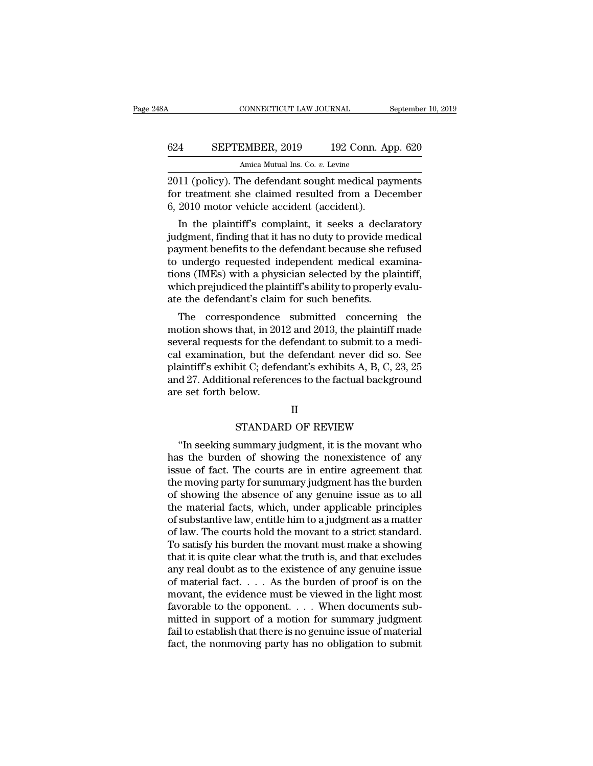## CONNECTICUT LAW JOURNAL September 10, 2019<br>624 SEPTEMBER, 2019 192 Conn. App. 620<br>Amica Mutual Ins. Co. v. Levine CONNECTICUT LAW JOURNAL<br>EMBER, 2019 192 Conn. *A*<br>Amica Mutual Ins. Co. *v.* Levine<br>The defendant sought medical pa

CONNECTICUT LAW JOURNAL September 10, 2019<br>
2011 (policy). The defendant sought medical payments<br>
2011 (policy). The defendant sought medical payments<br>
2010 meter vehicle accident (excident) 624 SEPTEMBER, 2019 192 Conn. App. 620<br>Amica Mutual Ins. Co. v. Levine<br>2011 (policy). The defendant sought medical payments<br>for treatment she claimed resulted from a December<br>6, 2010 motor vehicle accident (accident). 624 SEPTEMBER, 2019 192 Conn. Approximate accident accident (accident).<br>
2011 (policy). The defendant sought medical pay for treatment she claimed resulted from a Dec 6, 2010 motor vehicle accident (accident).<br>
In the plai **EPTEMBER, 2019** 192 Conn. App. 620<br>
Amica Mutual Ins. Co.  $v$ . Levine<br>
11 (policy). The defendant sought medical payments<br>
r treatment she claimed resulted from a December<br>
2010 motor vehicle accident (accident).<br>
In the

Amica Mutual Ins. Co. v. Levine<br>
2011 (policy). The defendant sought medical payments<br>
for treatment she claimed resulted from a December<br>
6, 2010 motor vehicle accident (accident).<br>
In the plaintiff's complaint, it seeks  $2011$  (policy). The defendant sought medical payments<br>for treatment she claimed resulted from a December<br>6, 2010 motor vehicle accident (accident).<br>In the plaintiff's complaint, it seeks a declaratory<br>judgment, finding t 2011 (policy). The defendant sought medical payments<br>for treatment she claimed resulted from a December<br>6, 2010 motor vehicle accident (accident).<br>In the plaintiff's complaint, it seeks a declaratory<br>judgment, finding that for treatment she claimed resulted from a December<br>6, 2010 motor vehicle accident (accident).<br>In the plaintiff's complaint, it seeks a declaratory<br>judgment, finding that it has no duty to provide medical<br>payment benefits t o, 2010 motor venicle accident (accident).<br>In the plaintiff's complaint, it seeks a declaratory<br>judgment, finding that it has no duty to provide medical<br>payment benefits to the defendant because she refused<br>to undergo requ In the plaintiff's complaint, it seeks a declary judgment, finding that it has no duty to provide measurement benefits to the defendant because she re to undergo requested independent medical exations (IMEs) with a physici dependent, manniformulated in that is no duty to provide medical<br>yment benefits to the defendant because she refused<br>undergo requested independent medical examina-<br>nns (IMEs) with a physician selected by the plaintiff,<br>nic payment benents to the defendant because she refused<br>to undergo requested independent medical examina-<br>tions (IMEs) with a physician selected by the plaintiff,<br>which prejudiced the plaintiff's ability to properly evalu-<br>at

to undergo requested independent inedical examinations (IMEs) with a physician selected by the plaintiff, which prejudiced the plaintiff's ability to properly evaluate the defendant's claim for such benefits.<br>The correspo tions (IMES) with a physician selected by the plaintiff,<br>which prejudiced the plaintiff's ability to properly evalu-<br>ate the defendant's claim for such benefits.<br>The correspondence submitted concerning the<br>motion shows tha which prejudiced the plaintiff's ability to properly evaluate the defendant's claim for such benefits.<br>The correspondence submitted concerning the motion shows that, in 2012 and 2013, the plaintiff made<br>several requests fo are the defendant s claim for such benefits.<br>The correspondence submitted concerning the<br>motion shows that, in 2012 and 2013, the plaintiff made<br>several requests for the defendant to submit to a medi-<br>cal examination, but The correspondence submitted concerning the<br>motion shows that, in 2012 and 2013, the plaintiff made<br>several requests for the defendant to submit to a medi-<br>cal examination, but the defendant never did so. See<br>plaintiff's e Moreon, but the defendant never did so. See<br>bit C; defendant's exhibits A, B, C, 23, 25<br>mal references to the factual background<br>elow.<br>II<br>STANDARD OF REVIEW<br>summary judgment, it is the movant who Muslim Sexhibit C; defendant's exhibits A, B, C, 23, 25<br>
d 27. Additional references to the factual background<br>
e set forth below.<br>
II<br>
STANDARD OF REVIEW<br>
"In seeking summary judgment, it is the movant who<br>
s the burden o

### II

and 27. Additional references to the factual background<br>are set forth below.<br>II<br>STANDARD OF REVIEW<br>"In seeking summary judgment, it is the movant who<br>has the burden of showing the nonexistence of any<br>issue of fact. The cou II<br>
II<br>
STANDARD OF REVIEW<br>
"In seeking summary judgment, it is the movant who<br>
has the burden of showing the nonexistence of any<br>
issue of fact. The courts are in entire agreement that<br>
the moving party for summary judgme II<br>
STANDARD OF REVIEW<br>
"In seeking summary judgment, it is the movant who<br>
has the burden of showing the nonexistence of any<br>
issue of fact. The courts are in entire agreement that<br>
the moving party for summary judgment h STANDARD OF REVIEW<br>
"In seeking summary judgment, it is the movant who<br>
has the burden of showing the nonexistence of any<br>
issue of fact. The courts are in entire agreement that<br>
the moving party for summary judgment has t STANDARD OF REVIEW<br>
"In seeking summary judgment, it is the movant who<br>
has the burden of showing the nonexistence of any<br>
issue of fact. The courts are in entire agreement that<br>
the moving party for summary judgment has t "In seeking summary judgment, it is the movant who<br>has the burden of showing the nonexistence of any<br>issue of fact. The courts are in entire agreement that<br>the moving party for summary judgment has the burden<br>of showing th has the burden of showing the nonexistence of any<br>issue of fact. The courts are in entire agreement that<br>the moving party for summary judgment has the burden<br>of showing the absence of any genuine issue as to all<br>the materi issue of fact. The courts are in entire agreement that<br>the moving party for summary judgment has the burden<br>of showing the absence of any genuine issue as to all<br>the material facts, which, under applicable principles<br>of su the moving party for summary judgment has the burden<br>of showing the absence of any genuine issue as to all<br>the material facts, which, under applicable principles<br>of substantive law, entitle him to a judgment as a matter<br>of of showing the absence of any genuine issue as to all<br>the material facts, which, under applicable principles<br>of substantive law, entitle him to a judgment as a matter<br>of law. The courts hold the movant to a strict standard the material facts, which, under applicable principles<br>of substantive law, entitle him to a judgment as a matter<br>of law. The courts hold the movant to a strict standard.<br>To satisfy his burden the movant must make a showing of substantive law, entitle him to a judgment as a matter<br>of law. The courts hold the movant to a strict standard.<br>To satisfy his burden the movant must make a showing<br>that it is quite clear what the truth is, and that ex of law. The courts hold the movant to a strict standard.<br>To satisfy his burden the movant must make a showing<br>that it is quite clear what the truth is, and that excludes<br>any real doubt as to the existence of any genuine i To satisfy his burden the movant must make a showing<br>that it is quite clear what the truth is, and that excludes<br>any real doubt as to the existence of any genuine issue<br>of material fact.... As the burden of proof is on th that it is quite clear what the truth is, and that excludes<br>any real doubt as to the existence of any genuine issue<br>of material fact.... As the burden of proof is on the<br>movant, the evidence must be viewed in the light mo any real doubt as to the existence of any genuine issue<br>of material fact.  $\ldots$  . As the burden of proof is on the<br>movant, the evidence must be viewed in the light most<br>favorable to the opponent.  $\ldots$ . When documents sub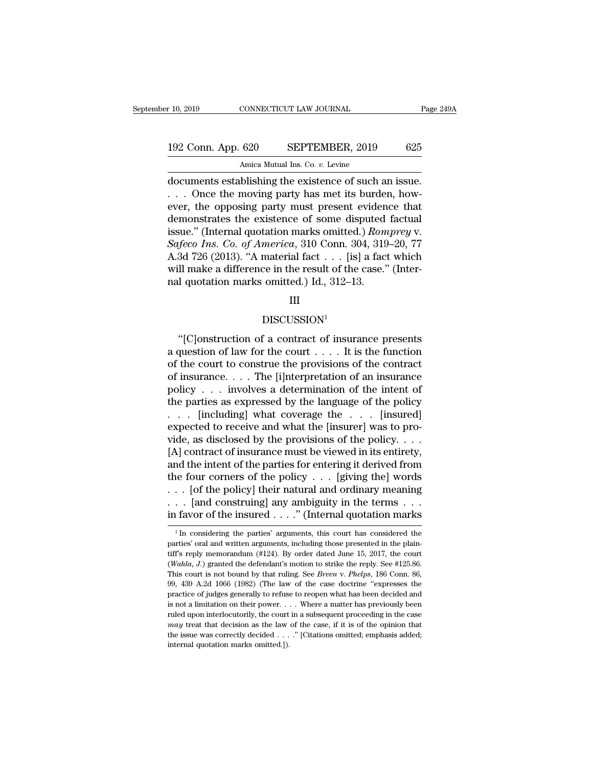# 10, 2019 CONNECTICUT LAW JOURNAL Page 249A<br>192 Conn. App. 620 SEPTEMBER, 2019 625<br>Amica Mutual Ins. Co. v. Levine

10, 2019 CONNECTICUT LAW JOURNAL<br>192 Conn. App. 620 SEPTEMBER, 2019 625<br>Amica Mutual Ins. Co. *v.* Levine<br>documents establishing the existence of such an issue.<br>. . . Once the moving party has met its burden, how-<br>ever, th r 10, 2019 CONNECTICUT LAW JOURNAL Page 24<br>
192 Conn. App. 620 SEPTEMBER, 2019 625<br>
Amica Mutual Ins. Co. *v*. Levine<br>
documents establishing the existence of such an issue.<br>
. . . Once the moving party has met its burden, 192 Conn. App. 620 SEPTEMBER, 2019 625<br>Amica Mutual Ins. Co. v. Levine<br>documents establishing the existence of such an issue.<br>... Once the moving party has met its burden, how-<br>ever, the opposing party must present eviden 192 Conn. App. 620 SEPTEMBER, 2019 625<br>
Amica Mutual Ins. Co. *v*. Levine<br>
documents establishing the existence of such an issue.<br>
. . . Once the moving party has met its burden, how-<br>
ever, the opposing party must presen Amica Mutual Ins. Co. *v.* Levine<br>
documents establishing the existence of such an issue.<br>
... Once the moving party has met its burden, how-<br>
ever, the opposing party must present evidence that<br>
demonstrates the existence *Amica Mutual Ins. Co. v. Levine*<br> *Gocuments establishing the existence of such an issue.*<br> *Safeco*, the opposing party must present evidence that<br>
demonstrates the existence of some disputed factual<br>
issue." (Internal q documents establishing the existence of such an issue.<br>
... Once the moving party has met its burden, how-<br>
ever, the opposing party must present evidence that<br>
demonstrates the existence of some disputed factual<br>
issue." ... Once the moving party has met its burden, how-<br>ever, the opposing party must present evidence that<br>demonstrates the existence of some disputed factual<br>issue.'' (Internal quotation marks omitted.) *Romprey* v.<br>Safeco I ever, the opposing party must present eviden<br>demonstrates the existence of some disputed<br>issue." (Internal quotation marks omitted.) *Rom*<br>Safeco Ins. Co. of America, 310 Conn. 304, 319<br>A.3d 726 (2013). "A material fact .

### III

### DISCUSSION<sup>1</sup>

 $\text{all make a difference in the result of the case." (Inter-1 quotient marks omitted.)} \text{ Id., } 312-13.$ <br>
III<br>
DISCUSSION<sup>1</sup><br>
"[C]onstruction of a contract of insurance presents<br>
question of law for the court . . . . It is the function<br>
the court to construe the provisions of the contr and quotation marks omitted.) Id., 312–13.<br>
III<br>
DISCUSSION<sup>1</sup><br>
"[C]onstruction of a contract of insurance presents<br>
a question of law for the court . . . . It is the function<br>
of the court to construe the provisions of t  $\text{III}$ <br>DISCUSSION<sup>1</sup><br>"[C]onstruction of a contract of insurance presents<br>a question of law for the court  $\dots$ . It is the function<br>of the court to construe the provisions of the contract<br>of insurance.... The [i]nterpretat DISCUSSION<sup>1</sup><br>
"[C]onstruction of a contract of insurance presents<br>
a question of law for the court . . . . It is the function<br>
of the court to construe the provisions of the contract<br>
of insurance . . . . The [i]nterpret DISCUSSION<sup>1</sup><br>
"[C]onstruction of a contract of insurance presents<br>
a question of law for the court . . . . It is the function<br>
of the court to construe the provisions of the contract<br>
of insurance . . . . The [i]nterpret The particle problem is a question of a contract of insurance presents<br>a question of law for the court . . . . It is the function<br>of the court to construe the provisions of the contract<br>of insurance . . . The [i]nterpreta "[C]onstruction of a contract of insurance presents<br>a question of law for the court . . . . It is the function<br>of the court to construe the provisions of the contract<br>of insurance . . . . The [i]nterpretation of an insura a question of law for the court  $\dots$ . It is the function<br>of the court to construe the provisions of the contract<br>of insurance.  $\dots$  The [i]nterpretation of an insurance<br>policy  $\dots$  involves a determination of the intent o % of the court to construe the provisions of the contract<br>of insurance. . . . The [i]nterpretation of an insurance<br>policy . . . involves a determination of the intent of<br>the parties as expressed by the language of the pol of insurance. . . . The [i]nterpretation of an insurance<br>policy . . . involves a determination of the intent of<br>the parties as expressed by the language of the policy<br>. . . [including] what coverage the . . . [insured]<br>ex policy . . . involves a determination of the intent of<br>the parties as expressed by the language of the policy<br>. . . . [including] what coverage the . . . [insured]<br>expected to receive and what the [insurer] was to pro-<br>vid the parties as expressed by the language of the policy . . . . [insured]<br>
. . . . [including] what coverage the . . . . [insured]<br>
expected to receive and what the [insurer] was to pro-<br>
vide, as disclosed by the provisio . . . [including] what coverage the . . . [insured]<br>expected to receive and what the [insurer] was to pro-<br>vide, as disclosed by the provisions of the policy. . . .<br>[A] contract of insurance must be viewed in its entirety expected to receive and what the [insurer] was to provide, as disclosed by the provisions of the policy. . . . [A] contract of insurance must be viewed in its entirety, and the intent of the parties for entering it derive vide, as disclosed by the provisions of the policy. . . . . [A] contract of insurance must be viewed in its entirety, and the intent of the parties for entering it derived from the four corners of the policy . . . [giving 1 In considering the policy  $\ldots$  [giving the] words<br>
1 In construing] any ambiguity in the terms  $\ldots$ <br>
1 favor of the insured  $\ldots$ ." (Internal quotation marks<br>
1 In considering the parties' arguments, this court has co ... [of the policy] their natural and ordinary meaning ... [and construing] any ambiguity in the terms ... in favor of the insured ...." (Internal quotation marks  $\frac{1}{1}$  In considering the parties' arguments, this cour

<sup>... [</sup>and construing] any ambiguity in the terms ...<br>in favor of the insured ...." (Internal quotation marks<br> $\frac{1}{1}$  in considering the parties' arguments, this court has considered the<br>parties' oral and written argument (*Wahla, J*) granted the defendant's motion to strike the reply. The counter-<br><sup>1</sup> In considering the parties' arguments, this court has considered the parties' oral and written arguments, including those presented in the <sup>1</sup> In considering the parties' arguments, this court has considered the parties' oral and written arguments, including those presented in the plaintiff's reply memorandum (#124). By order dated June 15, 2017, the court ( <sup>1</sup> In considering the parties' arguments, this court has considered the parties' oral and written arguments, including those presented in the plaintiff's reply memorandum (#124). By order dated June 15, 2017, the court ( parties' oral and written arguments, including those presented in the plaintiff's reply memorandum (#124). By order dated June 15, 2017, the court (*Wahla, J.*) granted the defendant's motion to strike the reply. See #125 fulf's reply memorandum (#124). By order dated June 15, 2017, the court (*Wahla, J.*) granted the defendant's motion to strike the reply. See #125.86. This court is not bound by that ruling. See *Breen* v. *Phelps*, 186 C (*Wahla, J.*) granted the defendant's motion to strike the reply. See #125.86.<br>This court is not bound by that ruling. See *Breen* v. *Phelps*, 186 Conn. 86,<br>99, 439 A.2d 1066 (1982) (The law of the case doctrine "express This court is not bound by that ruling. See *Breen v. Phelps*, 186 Conn. 86, 99, 439 A.2d 1066 (1982) (The law of the case doctrine "expresses the practice of judges generally to refuse to reopen what has been decided and 99, 439 A.2d 1066 (1982) (The law of the case doctrine "expresses the practice of judges generally to refuse to reopen what has been decided and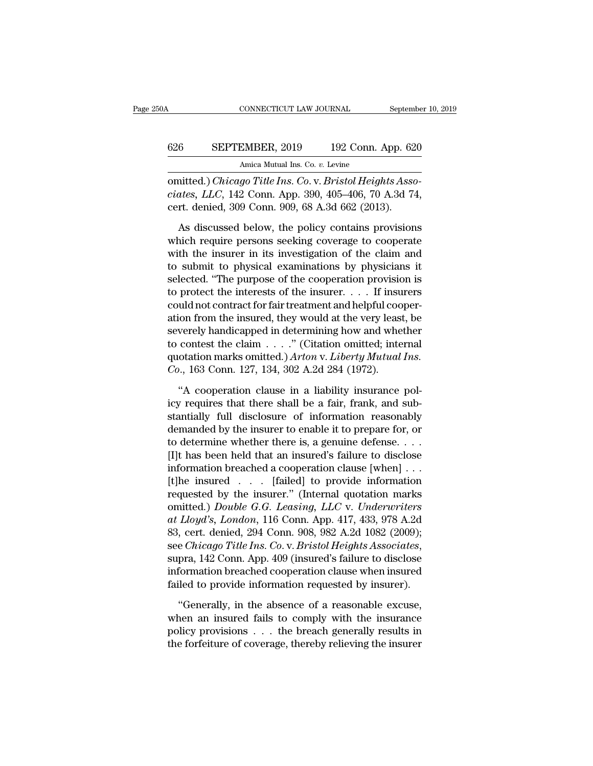## CONNECTICUT LAW JOURNAL September 10, 2019<br>626 SEPTEMBER, 2019 192 Conn. App. 620<br>Amica Mutual Ins. Co. v. Levine CONNECTICUT LAW JOURNAL<br>EMBER, 2019 192 Conn. *A*<br>Amica Mutual Ins. Co. *v.* Levine<br>ao Title Ins. Co. y. Bristol Heigh

CONNECTICUT LAW JOURNAL Septembe<br>
626 SEPTEMBER, 2019 192 Conn. App. 620<br>
Amica Mutual Ins. Co. *v.* Levine<br>
000 Comn. App. 390, 405–406, 70 A.3d 74,<br>
aart danied 200 Conn. 000, 68, A.2d 662, (2012) **626 CEPTEMBER**, 2019 192 Conn. App. 620<br>
Amica Mutual Ins. Co. v. Levine<br> **conitted.) Chicago Title Ins. Co. v. Bristol Heights Associates, LLC, 142 Conn. App. 390, 405–406, 70 A.3d 74,<br>
cert. denied, 309 Conn. 909, 68** 626 SEPTEMBER, 2019 192 Conn. App. 62<br>Amica Mutual Ins. Co. v. Levine<br>comitted.) *Chicago Title Ins. Co.* v. *Bristol Heights Associates, LLC*, 142 Conn. App. 390, 405–406, 70 A.3d 74<br>cert. denied, 309 Conn. 909, 68 A.3d 6 Amica Mutual Ins. Co. v. Levine<br>Amica Mutual Ins. Co. v. Levine<br>nitted.) *Chicago Title Ins. Co.* v. *Bristol Heights Asso-<br>ates, LLC*, 142 Conn. App. 390, 405–406, 70 A.3d 74,<br>rt. denied, 309 Conn. 909, 68 A.3d 662 (2013

Amica Mutual Ins. Co. v. Levine<br>
omitted.) *Chicago Title Ins. Co.* v. *Bristol Heights Asso-*<br>
ciates, *LLC*, 142 Conn. App. 390, 405–406, 70 A.3d 74,<br>
cert. denied, 309 Conn. 909, 68 A.3d 662 (2013).<br>
As discussed below, omitted.) *Chicago Title Ins. Co.* v. *Bristol Heights Asso-<br>ciates, LLC*, 142 Conn. App. 390, 405–406, 70 A.3d 74,<br>cert. denied, 309 Conn. 909, 68 A.3d 662 (2013).<br>As discussed below, the policy contains provisions<br>which ciates,  $LLC$ , 142 Conn. App. 390, 405–406, 70 A.3d 74,<br>cert. denied, 309 Conn. 909, 68 A.3d 662 (2013).<br>As discussed below, the policy contains provisions<br>which require persons seeking coverage to cooperate<br>with the insur cert. denied, 309 Conn. 909, 68 A.3d 662 (2013).<br>As discussed below, the policy contains provisions<br>which require persons seeking coverage to cooperate<br>with the insurer in its investigation of the claim and<br>to submit to p As discussed below, the policy contains provisions<br>which require persons seeking coverage to cooperate<br>with the insurer in its investigation of the claim and<br>to submit to physical examinations by physicians it<br>selected. " As discussed below, the policy contains provisions<br>which require persons seeking coverage to cooperate<br>with the insurer in its investigation of the claim and<br>to submit to physical examinations by physicians it<br>selected. " which require persons seeking coverage to cooperate<br>with the insurer in its investigation of the claim and<br>to submit to physical examinations by physicians it<br>selected. "The purpose of the cooperation provision is<br>to prot with the insurer in its investigation of the claim and<br>to submit to physical examinations by physicians it<br>selected. "The purpose of the cooperation provision is<br>to protect the interests of the insurer. . . . If insurers<br> to submit to physical examinations by physicians it<br>selected. "The purpose of the cooperation provision is<br>to protect the interests of the insurer. . . . If insurers<br>could not contract for fair treatment and helpful coope selected. "The purpose of the cooperation provision is<br>to protect the interests of the insurer. . . . If insurers<br>could not contract for fair treatment and helpful cooper-<br>ation from the insured, they would at the very lea to protect the interests of the insurer. . . . . If insu<br>could not contract for fair treatment and helpful coo<br>ation from the insured, they would at the very leass<br>severely handicapped in determining how and whe<br>to contest ion from the insured, they would at the very least, be verely handicapped in determining how and whether contest the claim  $\ldots$ ." (Citation omitted; internal otation marks omitted.) Arton v. Liberty Mutual Ins.<br>  $\ldots$ , 1 severely handicapped in determining how and whether<br>to contest the claim  $\ldots$ ." (Citation omitted; internal<br>quotation marks omitted.) Arton v. Liberty Mutual Ins.<br>Co., 163 Conn. 127, 134, 302 A.2d 284 (1972).<br>"A cooperat

to contest the claim  $\ldots$ ." (Citation omitted; internal quotation marks omitted.) Arton v. Liberty Mutual Ins.<br>Co., 163 Conn. 127, 134, 302 A.2d 284 (1972).<br>"A cooperation clause in a liability insurance pol-<br>icy require quotation marks omitted.) Arton v. Liberty Mutual Ins.<br>
Co., 163 Conn. 127, 134, 302 A.2d 284 (1972).<br>
"A cooperation clause in a liability insurance pol-<br>
icy requires that there shall be a fair, frank, and sub-<br>
stantia  $\dot{C}o$ ., 163 Conn. 127, 134, 302 A.2d 284 (1972).<br>
"A cooperation clause in a liability insurance pol-<br>
icy requires that there shall be a fair, frank, and sub-<br>
stantially full disclosure of information reasonably<br>
dem "A cooperation clause in a liability insurance pol-<br>icy requires that there shall be a fair, frank, and sub-<br>stantially full disclosure of information reasonably<br>demanded by the insurer to enable it to prepare for, or<br>to "A cooperation clause in a liability insurance pol-<br>icy requires that there shall be a fair, frank, and sub-<br>stantially full disclosure of information reasonably<br>demanded by the insurer to enable it to prepare for, or<br>to icy requires that there shall be a fair, frank, and sub-<br>stantially full disclosure of information reasonably<br>demanded by the insurer to enable it to prepare for, or<br>to determine whether there is, a genuine defense....<br>[I stantially full disclosure of information reasonably<br>demanded by the insurer to enable it to prepare for, or<br>to determine whether there is, a genuine defense....<br> $[I]$ t has been held that an insured's failure to disclose<br>i demanded by the insurer to enable it to prepare for, or<br>to determine whether there is, a genuine defense....<br>[I]t has been held that an insured's failure to disclose<br>information breached a cooperation clause [when]...<br>[t]h to determine whether there is, a genuine defense. . . .<br>[I]t has been held that an insured's failure to disclose<br>information breached a cooperation clause [when] . . .<br>[t]he insured . . . . [failed] to provide information<br> [I]t has been held that an insured's failure to disclose<br>information breached a cooperation clause [when] . . .<br>[t]he insured . . . . [failed] to provide information<br>requested by the insurer." (Internal quotation marks<br>om information breached a cooperation clause [when] . . .<br>
[t]he insured . . . . [failed] to provide information<br>
requested by the insurer." (Internal quotation marks<br>
omitted.) *Double G.G. Leasing*, *LLC* v. *Underwriters*<br> requested by the insurer." (Internal quotation marks<br>omitted.) *Double G.G. Leasing, LLC v. Underwriters*<br>at Lloyd's, London, 116 Conn. App. 417, 433, 978 A.2d<br>83, cert. denied, 294 Conn. 908, 982 A.2d 1082 (2009);<br>see *Ch* omitted.) Double G.G. Leasing, LLC v. Underwriters<br>at Lloyd's, London, 116 Conn. App. 417, 433, 978 A.2d<br>83, cert. denied, 294 Conn. 908, 982 A.2d 1082 (2009);<br>see Chicago Title Ins. Co. v. Bristol Heights Associates,<br>supr %, cert. denied,  $294$  Conn.  $908$ ,  $982$  A.2d  $1082$  ( $2009$ );<br>e *Chicago Title Ins. Co.* v. *Bristol Heights Associates*,<br>pra,  $142$  Conn. App.  $409$  (insured's failure to disclose<br>formation breached cooperation clause see *Chicago Title Ins. Co.v. Bristol Heights Associates*,<br>supra, 142 Conn. App. 409 (insured's failure to disclose<br>information breached cooperation clause when insured<br>failed to provide information requested by insurer).<br>

supra, 142 Conn. App. 409 (insured's failure to disclose information breached cooperation clause when insured failed to provide information requested by insurer).<br>"Generally, in the absence of a reasonable excuse, when an information breached cooperation clause when insured failed to provide information requested by insurer).<br>"Generally, in the absence of a reasonable excuse, when an insured fails to comply with the insurance policy provisi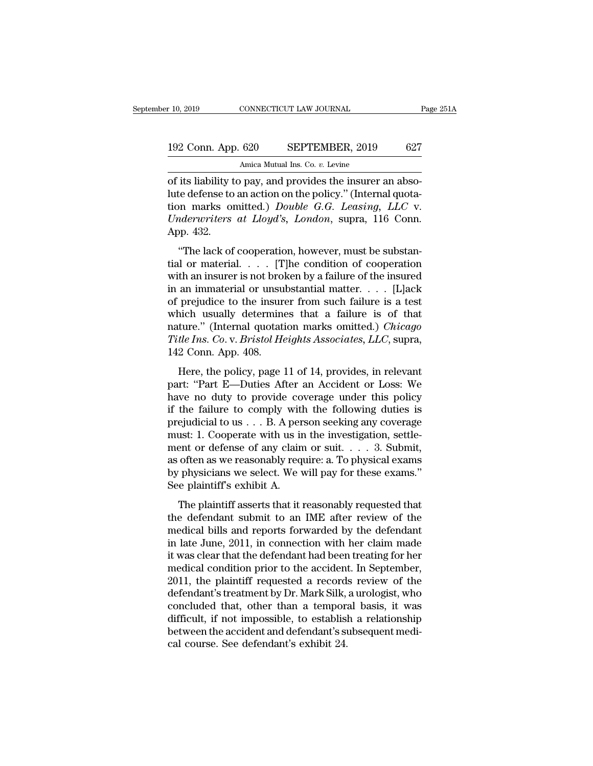of 10, 2019 CONNECTICUT LAW JOURNAL<br>
192 Conn. App. 620 SEPTEMBER, 2019 627<br>
Amica Mutual Ins. Co. v. Levine<br>
of its liability to pay, and provides the insurer an abso-<br>
lute defense to an action on the policy." (Internal 192 Conn. App. 620 SEPTEMBER, 2019 627<br>Amica Mutual Ins. Co. v. Levine<br>of its liability to pay, and provides the insurer an abso-<br>lute defense to an action on the policy.'' (Internal quota-<br>tion marks omitted.) *Double G.G* 192 Conn. App. 620 SEPTEMBER, 2019 627<br>Amica Mutual Ins. Co. *v.* Levine<br>of its liability to pay, and provides the insurer an abso-<br>lute defense to an action on the policy." (Internal quota-<br>tion marks omitted.) *Double G.* 192 Conn. App. 620 SEPTEMBER, 2019 627<br> *Amica Mutual Ins. Co. v. Levine*<br> *Of its liability to pay, and provides the insurer an abso-*<br> *Lute defense to an action on the policy.*" (Internal quota-<br> *Underwriters at Lloyd'* order the defense to<br>of its liability t<br>lute defense to<br>tion marks on<br>*Underwriters*<br>App. 432.<br>"The lack of its liability to pay, and provides the insurer an abso-<br>te defense to an action on the policy." (Internal quota-<br>on marks omitted.) *Double G.G. Leasing*, *LLC* v.<br>*derwriters at Lloyd's*, *London*, supra, 116 Conn.<br>pp. 4 or as naomly to pay, and provides the mistater an absorbed in the defense to an action on the policy." (Internal quotation marks omitted.) *Double G.G. Leasing, LLC* v. *Underwriters at Lloyd's, London,* supra, 116 Conn.<br>

Final discusser is an interfact of the policy. (Internal quotation marks omitted.) Double G.G. Leasing, LLC v.<br>
Underwriters at Lloyd's, London, supra, 116 Conn.<br>
App. 432.<br>
"The lack of cooperation, however, must be subs in an immateurity *Double G.G. Lettsing*, *EDC* v.<br>
Underwriters at Lloyd's, London, supra, 116 Conn.<br>
App. 432.<br>
"The lack of cooperation, however, must be substantial or material.... [T]he condition of cooperation<br>
with App. 432.<br>
"The lack of cooperation, however, must be substantial or material.... [T]he condition of cooperation<br>
with an insurer is not broken by a failure of the insured<br>
in an immaterial or unsubstantial matter.... [L] "The lack of cooperation, however, must be substantial or material. . . . [T]he condition of cooperation with an insurer is not broken by a failure of the insured in an immaterial or unsubstantial matter. . . . [L]ack of "The lack of cooperation, however, must be substantial or material.  $\ldots$  [T]he condition of cooperation with an insurer is not broken by a failure of the insured in an immaterial or unsubstantial matter.  $\ldots$  [L]ack of tial or material.  $\ldots$  [T]he condition of cooperation<br>with an insurer is not broken by a failure of the insured<br>in an immaterial or unsubstantial matter.  $\ldots$  [L]ack<br>of prejudice to the insurer from such failure is a te with an insurer is not brol<br>in an immaterial or unsu<br>of prejudice to the insure<br>which usually determine<br>nature." (Internal quotati<br>Title Ins. Co. v. Bristol He<br>142 Conn. App. 408.<br>Here, the policy, page prejudice to the insurer from such failure is a test<br>nich usually determines that a failure is of that<br>ture." (Internal quotation marks omitted.) *Chicago*<br>*tle Ins. Co. v. Bristol Heights Associates, LLC*, supra,<br>2 Conn. prejudice to the mistarch from steam tandie is at test<br>which usually determines that a failure is of that<br>nature." (Internal quotation marks omitted.) *Chicago*<br>Title Ins. Co. v. Bristol Heights Associates, LLC, supra,<br>142

mature." (Internal quotation marks omitted.) *Chicago*<br>Title Ins. Co. v. Bristol Heights Associates, LLC, supra,<br>142 Conn. App. 408.<br>Here, the policy, page 11 of 14, provides, in relevant<br>part: "Part E—Duties After an Acc Title Ins. Co. v. Bristol Heights Associates, LLC, supra,<br>142 Conn. App. 408.<br>Here, the policy, page 11 of 14, provides, in relevant<br>part: "Part E—Duties After an Accident or Loss: We<br>have no duty to provide coverage unde Fact The Prejudicial to us . . . Broadwing the provides, in relevant<br>part: "Part E—Duties After an Accident or Loss: We<br>have no duty to provide coverage under this policy<br>if the failure to comply with the following duties HE COME TEP. TOO.<br>Here, the policy, page 11 of 14, provides, in relevant<br>part: "Part E—Duties After an Accident or Loss: We<br>have no duty to provide coverage under this policy<br>if the failure to comply with the following du Here, the policy, page 11 of 14, provides, in relevant<br>part: "Part E—Duties After an Accident or Loss: We<br>have no duty to provide coverage under this policy<br>if the failure to comply with the following duties is<br>prejudicia part: "Part E—Duties After an Accident or Loss: We<br>have no duty to provide coverage under this policy<br>if the failure to comply with the following duties is<br>prejudicial to us . . . B. A person seeking any coverage<br>must: 1. have no duty to provide coverage under this policy<br>if the failure to comply with the following duties is<br>prejudicial to us  $\dots$  B. A person seeking any coverage<br>must: 1. Cooperate with us in the investigation, settle-<br>men if the failure to comply with the following duties is<br>prejudicial to us  $\dots$  B. A person seeking any coverage<br>must: 1. Cooperate with us in the investigation, settle-<br>ment or defense of any claim or suit.  $\dots$  3. Submit,<br> Let  $\alpha$  as  $\beta$  is a strip of the investigation, settle-<br>ant or defense of any claim or suit.... 3. Submit,<br>often as we reasonably require: a. To physical exams<br>physicians we select. We will pay for these exams."<br>e plain the defense of any claim or suit.  $\ldots$  3. Submit,<br>as often as we reasonably require: a. To physical exams<br>by physicians we select. We will pay for these exams."<br>See plaintiff's exhibit A.<br>The plaintiff asserts that it re

medical bills and reports for will pay for these exams."<br>See plaintiff's exhibit A.<br>The plaintiff's exhibit A.<br>The plaintiff's exhibit A.<br>The plaintiff's exhibit A.<br>The plaintiff asserts that it reasonably requested that<br> is onen as we reasonably require, at 16 physical exams."<br>by physicians we select. We will pay for these exams."<br>See plaintiff's exhibit A.<br>The plaintiff asserts that it reasonably requested that<br>the defendant submit to an Experiences we were that the defendant of the plaintiff's exhibit A.<br>The plaintiff's exhibit A.<br>the defendant submit to an IME after review of the<br>medical bills and reports forwarded by the defendant<br>in late June, 2011, in The plaintiff asserts that it reasonably requested that<br>the defendant submit to an IME after review of the<br>medical bills and reports forwarded by the defendant<br>in late June, 2011, in connection with her claim made<br>it was c The plaintiff asserts that it reasonably requested that<br>the defendant submit to an IME after review of the<br>medical bills and reports forwarded by the defendant<br>in late June, 2011, in connection with her claim made<br>it was c the defendant submit to an IME after review of the<br>medical bills and reports forwarded by the defendant<br>in late June, 2011, in connection with her claim made<br>it was clear that the defendant had been treating for her<br>medica medical bills and reports forwarded by the defendant<br>in late June, 2011, in connection with her claim made<br>it was clear that the defendant had been treating for her<br>medical condition prior to the accident. In September,<br>20 in late June, 2011, in connection with her claim made<br>it was clear that the defendant had been treating for her<br>medical condition prior to the accident. In September,<br>2011, the plaintiff requested a records review of the<br>d it was clear that the defendant had been treating for her<br>medical condition prior to the accident. In September,<br>2011, the plaintiff requested a records review of the<br>defendant's treatment by Dr. Mark Silk, a urologist, wh medical condition prior to the accident 2011, the plaintiff requested a record defendant's treatment by Dr. Mark Silk, concluded that, other than a temporadifficult, if not impossible, to establish between the accident and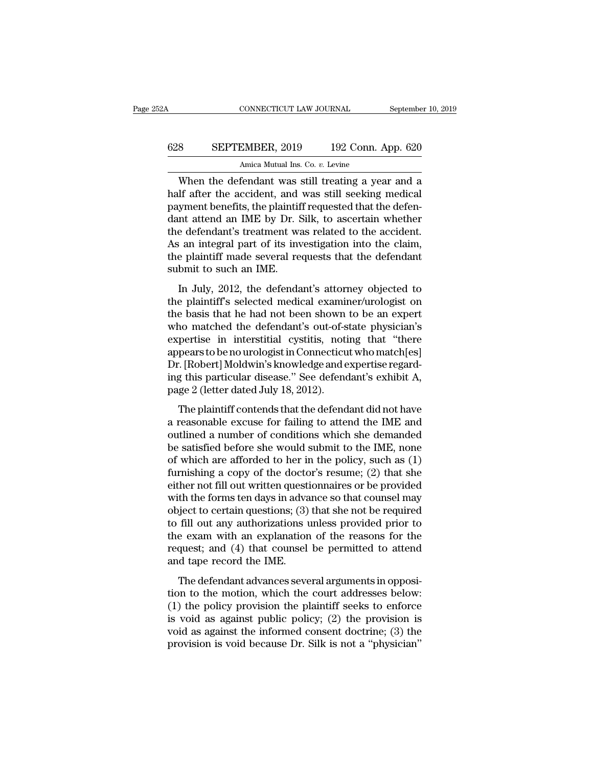## CONNECTICUT LAW JOURNAL September 10, 2019<br>628 SEPTEMBER, 2019 192 Conn. App. 620<br>Amica Mutual Ins. Co. v. Levine CONNECTICUT LAW JOURNAL Septembe<br>
8 SEPTEMBER, 2019 192 Conn. App. 620<br>
Amica Mutual Ins. Co. *v.* Levine<br>
When the defendant was still treating a year and a

CONNECTICUT LAW JOURNAL September 10, 2019<br>
SEPTEMBER, 2019 192 Conn. App. 620<br>
Amica Mutual Ins. Co. v. Levine<br>
When the defendant was still treating a year and a<br>
lif after the accident, and was still seeking medical<br>
um 628 SEPTEMBER, 2019 192 Conn. App. 620<br>Amica Mutual Ins. Co.  $v$ . Levine<br>When the defendant was still treating a year and a<br>half after the accident, and was still seeking medical<br>payment benefits, the plaintiff requested SEPTEMBER, 2019 192 Conn. App. 620<br>Amica Mutual Ins. Co. v. Levine<br>When the defendant was still treating a year and a<br>half after the accident, and was still seeking medical<br>payment benefits, the plaintiff requested that t 628 SEPTEMBER, 2019 192 Conn. App. 620<br>Amica Mutual Ins. Co.  $v$ . Levine<br>When the defendant was still treating a year and a<br>half after the accident, and was still seeking medical<br>payment benefits, the plaintiff requested Amica Mutual Ins. Co. *v.* Levine<br>When the defendant was still treating a year and a<br>half after the accident, and was still seeking medical<br>payment benefits, the plaintiff requested that the defen-<br>dant attend an IME by Dr Amca Mutual Ins. Co. *v.* Levine<br>
When the defendant was still treating a year and a<br>
half after the accident, and was still seeking medical<br>
payment benefits, the plaintiff requested that the defen-<br>
dant attend an IME by When the defendant was still treating a year and a<br>half after the accident, and was still seeking medical<br>payment benefits, the plaintiff requested that the defen-<br>dant attend an IME by Dr. Silk, to ascertain whether<br>the d half after the accident, and<br>payment benefits, the plaintif<br>dant attend an IME by Dr. S<br>the defendant's treatment wa<br>As an integral part of its inv<br>the plaintiff made several re<br>submit to such an IME.<br>In July, 2012, the de In a term of the Bernard Contents, the plant of requested that the deferment attend an IME by Dr. Silk, to ascertain whether e defendant's treatment was related to the accident.<br>
In an integral part of its investigation in the defendant's treatment was related to the accident.<br>As an integral part of its investigation into the claim,<br>the plaintiff made several requests that the defendant<br>submit to such an IME.<br>In July, 2012, the defendant's a

The basis and integral part of its investigation into the claim,<br>the plaintiff made several requests that the defendant<br>submit to such an IME.<br>In July, 2012, the defendant's attorney objected to<br>the plaintiff's selected me The diameter and all the plaintiff made several requests that the defendant<br>submit to such an IME.<br>In July, 2012, the defendant's attorney objected to<br>the plaintiff's selected medical examiner/urologist on<br>the basis that h experiment made several requests that the determinant<br>submit to such an IME.<br>In July, 2012, the defendant's attorney objected to<br>the plaintiff's selected medical examiner/urologist on<br>the basis that he had not been shown t In July, 2012, the defendant's attorney objected to<br>the plaintiff's selected medical examiner/urologist on<br>the basis that he had not been shown to be an expert<br>who matched the defendant's out-of-state physician's<br>expertise In July, 2012, the defendant's attorney objected to<br>the plaintiff's selected medical examiner/urologist on<br>the basis that he had not been shown to be an expert<br>who matched the defendant's out-of-state physician's<br>expertise the plaintiff's selected medical examiner/urologist on<br>the basis that he had not been shown to be an expert<br>who matched the defendant's out-of-state physician's<br>expertise in interstitial cystitis, noting that "there<br>appear the basis that he had not been shown<br>who matched the defendant's out-of-s<br>expertise in interstitial cystitis, noti<br>appears to be no urologist in Connecticu<br>Dr. [Robert] Moldwin's knowledge and e<br>ing this particular disease The materical are determined out of state physiciants<br>pertise in interstitial cystitis, noting that "there<br>pears to be no urologist in Connecticut who match[es]<br>.: [Robert] Moldwin's knowledge and expertise regard-<br>g this Experies in Interstraat Cystals, houng and active<br>appears to be no urologist in Connecticut who match[es]<br>Dr. [Robert] Moldwin's knowledge and expertise regard-<br>ing this particular disease." See defendant's exhibit A,<br>page

depears to serie at original connecticate who match [e5]<br>Dr. [Robert] Moldwin's knowledge and expertise regard-<br>ing this particular disease." See defendant's exhibit A,<br>page 2 (letter dated July 18, 2012).<br>The plaintiff co be satisfied before she would submit to the IME, none<br>of which are sheared before she with the paintiff contends that the defendant did not have<br>a reasonable excuse for failing to attend the IME and<br>outlined a number of c rig and paracular disease. See determining or anisomer,<br>page 2 (letter dated July 18, 2012).<br>The plaintiff contends that the defendant did not have<br>a reasonable excuse for failing to attend the IME and<br>outlined a number of The plaintiff contends that the defendant did not have<br>a reasonable excuse for failing to attend the IME and<br>outlined a number of conditions which she demanded<br>be satisfied before she would submit to the IME, none<br>of whic The plaintiff contends that the defendant did not have<br>a reasonable excuse for failing to attend the IME and<br>outlined a number of conditions which she demanded<br>be satisfied before she would submit to the IME, none<br>of whic a reasonable excuse for failing to attend the IME and<br>outlined a number of conditions which she demanded<br>be satisfied before she would submit to the IME, none<br>of which are afforded to her in the policy, such as (1)<br>furnish outlined a number of conditions which she demanded<br>be satisfied before she would submit to the IME, none<br>of which are afforded to her in the policy, such as (1)<br>furnishing a copy of the doctor's resume; (2) that she<br>either be satisfied before she would submit to the IME, none<br>of which are afforded to her in the policy, such as (1)<br>furnishing a copy of the doctor's resume; (2) that she<br>either not fill out written questionnaires or be provided of which are afforded to her in the policy, such as (1)<br>furnishing a copy of the doctor's resume; (2) that she<br>either not fill out written questionnaires or be provided<br>with the forms ten days in advance so that counsel ma furnishing a copy of the doctor's resume; (2) that she<br>either not fill out written questionnaires or be provided<br>with the forms ten days in advance so that counsel may<br>object to certain questions; (3) that she not be requi either not fill out written questi<br>with the forms ten days in adva<br>object to certain questions; (3)<br>to fill out any authorizations i<br>the exam with an explanation<br>request; and (4) that counsel<br>and tape record the IME.<br>The d The defendant advances several arguments in opposite to certain questions; (3) that she not be required fill out any authorizations unless provided prior to exam with an explanation of the reasons for the quest; and (4) t to fill out any authorizations, (c) and she not be request<br>to fill out any authorizations unless provided prior to<br>the exam with an explanation of the reasons for the<br>request; and (4) that counsel be permitted to attend<br>a

(a) the exam with an explanations uncess provided prior to<br>the exam with an explanation of the reasons for the<br>request; and (4) that counsel be permitted to attend<br>and tape record the IME.<br>The defendant advances several a is void as against the informed consent doctrine; (3) the provision is void as against the informed consent doctrine; (3) the provision is void as against the informed consent doctrine; (3) the provision is void as against For the informed consent of permitted to attend<br>and tape record the IME.<br>The defendant advances several arguments in opposi-<br>tion to the motion, which the court addresses below:<br>(1) the policy provision the plaintiff seek The defendant advances several arguments in opposition to the motion, which the court addresses below:<br>(1) the policy provision the plaintiff seeks to enforce<br>is void as against public policy; (2) the provision is<br>void as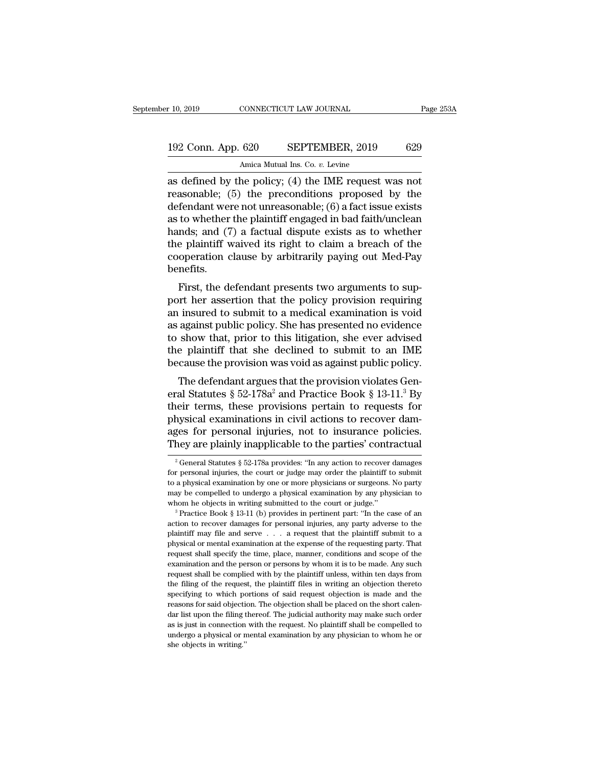## 10, 2019 CONNECTICUT LAW JOURNAL Page 253A<br>192 Conn. App. 620 SEPTEMBER, 2019 629<br>Amica Mutual Ins. Co. v. Levine Amica Mutual Ins. Co. *v.* Levine

 $\begin{array}{r|l} \hline \text{10, 2019} & \text{CONRECTICUT LAW JOURNAL} & \text{Page 253/} \ \hline \end{array}$ <br>192 Conn. App. 620 SEPTEMBER, 2019 629<br>Amica Mutual Ins. Co. v. Levine<br>as defined by the policy; (4) the IME request was not<br>reasonable; (5) the preconditions 192 Conn. App. 620 SEPTEMBER, 2019 629<br>Amica Mutual Ins. Co. v. Levine<br>as defined by the policy; (4) the IME request was not<br>reasonable; (5) the preconditions proposed by the<br>defendant were not unreasonable; (6) a fact iss 192 Conn. App. 620 SEPTEMBER, 2019 629<br>Amica Mutual Ins. Co. v. Levine<br>as defined by the policy; (4) the IME request was not<br>reasonable; (5) the preconditions proposed by the<br>defendant were not unreasonable; (6) a fact is 192 Conn. App. 620 SEPTEMBER, 2019 629<br>Amica Mutual Ins. Co. v. Levine<br>as defined by the policy; (4) the IME request was not<br>reasonable; (5) the preconditions proposed by the<br>defendant were not unreasonable; (6) a fact is Amica Mutual Ins. Co. v. Levine<br>as defined by the policy; (4) the IME request was not<br>reasonable; (5) the preconditions proposed by the<br>defendant were not unreasonable; (6) a fact issue exists<br>as to whether the plaintiff Amca Mutual Ins. Co. v. Levine<br>as defined by the policy; (4) the IME request was not<br>reasonable; (5) the preconditions proposed by the<br>defendant were not unreasonable; (6) a fact issue exists<br>as to whether the plaintiff e as defined by the policy; (4) the IME request was not<br>reasonable; (5) the preconditions proposed by the<br>defendant were not unreasonable; (6) a fact issue exists<br>as to whether the plaintiff engaged in bad faith/unclean<br>hand benefits. First, the defendant presents two arguments to sup-<br>the plaintiff engaged in bad faith/unclean<br>nds; and (7) a factual dispute exists as to whether<br>e plaintiff waived its right to claim a breach of the<br>operation clause by as to whether the plantini engaged in bad faith dicteant<br>hands; and (7) a factual dispute exists as to whether<br>the plaintiff waived its right to claim a breach of the<br>cooperation clause by arbitrarily paying out Med-Pay<br>be

Francis, and (*t)* a ractual unsplue exists as to whether<br>the plaintiff waived its right to claim a breach of the<br>cooperation clause by arbitrarily paying out Med-Pay<br>benefits.<br>First, the defendant presents two arguments the plant wave its right to claim a breach of the<br>cooperation clause by arbitrarily paying out Med-Pay<br>benefits.<br>First, the defendant presents two arguments to sup-<br>port her assertion that the policy provision requiring<br>an to show that, the defendant presents two arguments to support her assertion that the policy provision requiring<br>port her assertion that the policy provision requiring<br>an insured to submit to a medical examination is void<br>a First, the defendant presents two arguments to support her assertion that the policy provision requiring an insured to submit to a medical examination is void as against public policy. She has presented no evidence to show First, the defendant presents two arguments to support her assertion that the policy provision requiring<br>an insured to submit to a medical examination is void<br>as against public policy. She has presented no evidence<br>to show The defendant argues that the provision requiring<br>against public policy. She has presented no evidence<br>show that, prior to this litigation, she ever advised<br>e plaintiff that she declined to submit to an IME<br>cause the prov an insured to subtitute a metallical examination is void<br>as against public policy. She has presented no evidence<br>to show that, prior to this litigation, she ever advised<br>the plaintiff that she declined to submit to an IME

as against public policy. She has presented no evidence<br>to show that, prior to this litigation, she ever advised<br>the plaintiff that she declined to submit to an IME<br>because the provision was void as against public policy. to show that, prior to this litigation, she ever advised<br>the plaintiff that she declined to submit to an IME<br>because the provision was void as against public policy.<br>The defendant argues that the provision violates Gen-<br>e the plant that she declined to submit to all line<br>because the provision was void as against public policy.<br>The defendant argues that the provision violates Gen-<br>eral Statutes § 52-178a<sup>2</sup> and Practice Book § 13-11.<sup>3</sup> By<br>t The defendant argues that the provision violates General Statutes  $\S 52-178a^2$  and Practice Book  $\S 13-11.^3$  By their terms, these provisions pertain to requests for physical examinations in civil actions to recover dama physical examinations in civil actions to recover damages for personal injuries, not to insurance policies.<br>They are plainly inapplicable to the parties' contractual<br> $\frac{1}{2}$  General Statutes § 52-178a provides: "In any physical examinations in civil actions to recover dam-<br>ages for personal injuries, not to insurance policies.<br>They are plainly inapplicable to the parties' contractual<br> $\frac{1}{2}$  General Statutes § 52-178a provides: "In an

ages for personal injuries, not to insurance policies.<br>They are plainly inapplicable to the parties' contractual<br> $\frac{1}{2}$  General Statutes § 52-178a provides: "In any action to recover damages<br>for personal injuries, the They are plainly inapplicable to the parties' contractual<br>
<sup>2</sup> General Statutes § 52-178a provides: "In any action to recover damages<br>
for personal injuries, the court or judge may order the plaintiff to submit<br>
to a phys They are plantly mappincable to the parties Contractual<br>
<sup>2</sup> General Statutes § 52-178a provides: "In any action to recover damages<br>
for personal injuries, the court or judge may order the plaintiff to submitt<br>
to a physi for personal injuries, the court or judge may order the plaintiff to submit<br>to a physical examination by one or more physicians or surgeons. No party<br>may be compelled to undergo a physical examination by any physician to<br>

plantiff may file and serve . . . . a request that the plaintiff submit to a physical examination by one or more physicians or surgeons. No party may be compelled to undergo a physical examination by any physician to whom may be compelled to undergo a physical examination by any physician to whom he objects in writing submitted to the court or judge."<br>
<sup>3</sup> Practice Book § 13-11 (b) provides in pertinent part: "In the case of an action to r request shall specify the time, place, manner, conditions and scope of the examination of the examement part: "In the case of an action to recover damages for personal injuries, any party adverse to the plaintiff may file <sup>3</sup> Practice Book § 13-11 (b) provides in pertinent part: "In the case of an action to recover damages for personal injuries, any party adverse to the plaintiff may file and serve  $\ldots$  a request that the plaintiff submit action to recover damages for personal injuries, any party adverse to the plaintiff may file and serve  $\ldots$  a request that the plaintiff submit to a physical or mental examination at the expense of the requesting party. plaintiff may file and serve . . . a request that the plaintiff submit to a physical or mental examination at the expense of the requesting party. That request shall specify the time, place, manner, conditions and scope of party and the expense of the requesting party. That<br>physical or mental examination at the expense of the requesting party. That<br>request shall specify the time, place, manner, conditions and scope of the<br>examination and the Friguest shall specify the time, place, manner, conditions and scope of the examination and the person or persons by whom it is to be made. Any such request shall be complied with by the plaintiff unless, within ten days f Examination and the person or persons by whom it is to be made. Any such request shall be complied with by the plaintiff unless, within ten days from the filing of the request, the plaintiff files in writing an objection t request shall be complied with by the plaintiff unless, within ten days from<br>the filing of the request, the plaintiff files in writing an objection thereto<br>specifying to which portions of said request objection is made and request shall be complied with by the plaintiff unless, within ten days from<br>the filing of the request, the plaintiff files in writing an objection thereto<br>specifying to which portions of said request objection is made and specifying to which portions of said request objection is made and the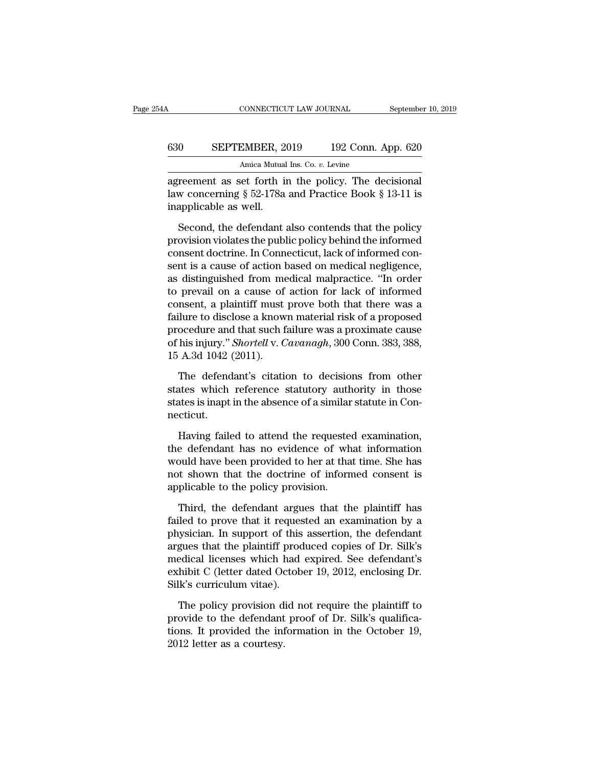| ŀΑ  | CONNECTICUT LAW JOURNAL                              | September 10, 2019 |
|-----|------------------------------------------------------|--------------------|
| 630 | SEPTEMBER, 2019                                      | 192 Conn. App. 620 |
|     | Amica Mutual Ins. Co. v. Levine                      |                    |
|     | agreement as set forth in the policy. The decisional |                    |

CONNECTICUT LAW JOURNAL September 10, 20<br>
SEPTEMBER, 2019 192 Conn. App. 620<br>
Amica Mutual Ins. Co. v. Levine<br>
agreement as set forth in the policy. The decisional<br>
law concerning § 52-178a and Practice Book § 13-11 is<br>
in SEPTEMBER, 2019 192 Conn. App. 620<br>Amica Mutual Ins. Co. v. Levine<br>agreement as set forth in the policy. The decisional<br>law concerning § 52-178a and Practice Book § 13-11 is<br>inapplicable as well. 630 SEPTEMBER, 20<br>
Amica Mutual<br>
agreement as set forth is<br>
law concerning § 52-178a<br>
inapplicable as well.<br>
Second, the defendant SEPTEMBER, 2019 192 COM. App. 620<br>Amica Mutual Ins. Co. v. Levine<br>reement as set forth in the policy. The decisional<br>w concerning § 52-178a and Practice Book § 13-11 is<br>applicable as well.<br>Second, the defendant also conte

Amica Mutual Ins. Co. *v.* Levine<br>agreement as set forth in the policy. The decisional<br>law concerning § 52-178a and Practice Book § 13-11 is<br>inapplicable as well.<br>Second, the defendant also contends that the policy<br>provisi agreement as set forth in the policy. The decisional<br>law concerning § 52-178a and Practice Book § 13-11 is<br>inapplicable as well.<br>Second, the defendant also contends that the policy<br>provision violates the public policy behi Example 13 and 5 and Fractice Book § 13-11 is<br>inapplicable as well.<br>Second, the defendant also contends that the policy<br>provision violates the public policy behind the informed<br>consent doctrine. In Connecticut, lack of in inapplicable as well.<br>
Second, the defendant also contends that the policy<br>
provision violates the public policy behind the informed<br>
consent doctrine. In Connecticut, lack of informed con-<br>
sent is a cause of action based Second, the defendant also contends that the policy<br>provision violates the public policy behind the informed<br>consent doctrine. In Connecticut, lack of informed con-<br>sent is a cause of action based on medical negligence,<br>as Second, the defendant also contends that the policy<br>provision violates the public policy behind the informed<br>consent doctrine. In Connecticut, lack of informed con-<br>sent is a cause of action based on medical negligence,<br>as provision violates the public policy behind the informed<br>consent doctrine. In Connecticut, lack of informed con-<br>sent is a cause of action based on medical negligence,<br>as distinguished from medical malpractice. "In order<br>t consent doctrine. In Connecticut, lack of informed consent is a cause of action based on medical negligence, as distinguished from medical malpractice. "In order to prevail on a cause of action for lack of informed consent sent is a cause of action based on medical negligence,<br>as distinguished from medical malpractice. "In order<br>to prevail on a cause of action for lack of informed<br>consent, a plaintiff must prove both that there was a<br>failure as distinguished from me<br>to prevail on a cause of<br>consent, a plaintiff must<br>failure to disclose a know<br>procedure and that such f<br>of his injury." *Shortell* v. C<br>15 A.3d 1042 (2011).<br>The defendant's citation The defendant's citation to decisions from other<br>that there was a proposed ocedure and that such failure was a proximate cause<br>his injury." *Shortell* v. *Cavanagh*, 300 Conn. 383, 388,<br>A.3d 1042 (2011).<br>The defendant's ci failure to disclose a known material risk of a proposed<br>procedure and that such failure was a proximate cause<br>of his injury." Shortell v. Cavanagh, 300 Conn. 383, 388,<br>15 A.3d 1042 (2011).<br>The defendant's citation to decis

procedure and that such failure was a proximate cause<br>of his injury." *Shortell* v. *Cavanagh*, 300 Conn. 383, 388,<br>15 A.3d 1042 (2011).<br>The defendant's citation to decisions from other<br>states which reference statutory aut necticut. A.5d 1042 (2011).<br>The defendant's citation to decisions from other<br>ates which reference statutory authority in those<br>ates is inapt in the absence of a similar statute in Con-<br>cticut.<br>Having failed to attend the requested e The defendant's citation to decisions from other<br>states which reference statutory authority in those<br>states is inapt in the absence of a similar statute in Con-<br>necticut.<br>Having failed to attend the requested examination,<br>

states which reference statutory authority in those<br>states is inapt in the absence of a similar statute in Con-<br>necticut.<br>Having failed to attend the requested examination,<br>the defendant has no evidence of what information states is inapt in the absence of a similar statute in Connecticut.<br>Having failed to attend the requested examination,<br>the defendant has no evidence of what information<br>would have been provided to her at that time. She has necticut.<br>Having failed to attend the requeste<br>the defendant has no evidence of wh<br>would have been provided to her at tha<br>not shown that the doctrine of inform<br>applicable to the policy provision.<br>Third, the defendant argue Having failed to attend the requested examination,<br>e defendant has no evidence of what information<br>puld have been provided to her at that time. She has<br>at shown that the doctrine of informed consent is<br>plicable to the poli the defendant has no evidence of what information<br>would have been provided to her at that time. She has<br>not shown that the doctrine of informed consent is<br>applicable to the policy provision.<br>Third, the defendant argues th

would have been provided to her at that time. She has<br>not shown that the doctrine of informed consent is<br>applicable to the policy provision.<br>Third, the defendant argues that the plaintiff has<br>failed to prove that it reques not shown that the doctrine of informed consent is<br>applicable to the policy provision.<br>Third, the defendant argues that the plaintiff has<br>failed to prove that it requested an examination by a<br>physician. In support of this applicable to the policy provision.<br>Third, the defendant argues that the plaintiff has<br>failed to prove that it requested an examination by a<br>physician. In support of this assertion, the defendant<br>argues that the plaintiff Third, the defendant argues that the plaintiff has<br>failed to prove that it requested an examination by a<br>physician. In support of this assertion, the defendant<br>argues that the plaintiff produced copies of Dr. Silk's<br>medica Third, the defendant argu<br>failed to prove that it reques<br>physician. In support of this<br>argues that the plaintiff prod<br>medical licenses which had<br>exhibit C (letter dated Octob<br>Silk's curriculum vitae).<br>The policy provision is assertion, the defendant<br>gues that the plaintiff produced copies of Dr. Silk's<br>edical licenses which had expired. See defendant's<br>hibit C (letter dated October 19, 2012, enclosing Dr.<br>lk's curriculum vitae).<br>The policy provide to the plaintiff produced copies of Dr. Silk's<br>medical licenses which had expired. See defendant's<br>exhibit C (letter dated October 19, 2012, enclosing Dr.<br>Silk's curriculum vitae).<br>The policy provision did not requ

medical licenses which had expired. See defendant's<br>exhibit C (letter dated October 19, 2012, enclosing Dr.<br>Silk's curriculum vitae).<br>The policy provision did not require the plaintiff to<br>provide to the defendant proof of exhibit C (letter dated Oosilk's curriculum vitae).<br>The policy provision d<br>provide to the defendant<br>tions. It provided the inf<br>2012 letter as a courtesy.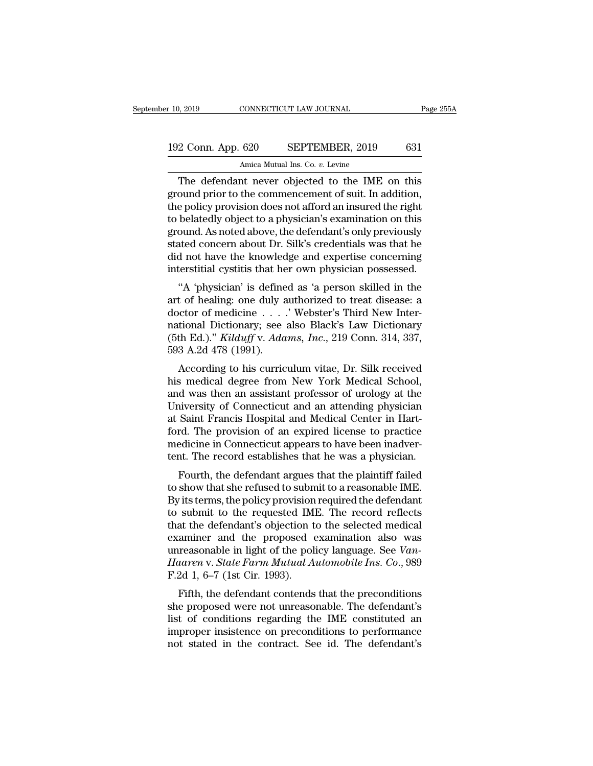# 10, 2019 CONNECTICUT LAW JOURNAL Page 255A<br>192 Conn. App. 620 SEPTEMBER, 2019 631<br>Amica Mutual Ins. Co. v. Levine Amica Mutual Ins. Co. *v.* Levine

9, 2019 CONNECTICUT LAW JOURNAL Page 255A<br>
2 Conn. App. 620 SEPTEMBER, 2019 631<br>
Amica Mutual Ins. Co. *v.* Levine<br>
The defendant never objected to the IME on this<br>
ound prior to the commencement of suit. In addition, 192 Conn. App. 620 SEPTEMBER, 2019 631<br>Amica Mutual Ins. Co. v. Levine<br>The defendant never objected to the IME on this<br>ground prior to the commencement of suit. In addition,<br>the policy provision does not afford an insured 192 Conn. App. 620 SEPTEMBER, 2019 631<br>Amica Mutual Ins. Co. v. Levine<br>The defendant never objected to the IME on this<br>ground prior to the commencement of suit. In addition,<br>the policy provision does not afford an insured 192 Conn. App. 620 SEPTEMBER, 2019 631<br>Amica Mutual Ins. Co.  $v$ . Levine<br>The defendant never objected to the IME on this<br>ground prior to the commencement of suit. In addition,<br>the policy provision does not afford an insur Amica Mutual Ins. Co. *v.* Levine<br>The defendant never objected to the IME on this<br>ground prior to the commencement of suit. In addition,<br>the policy provision does not afford an insured the right<br>to belatedly object to a ph Amca Mutual Ins. Co. *v.* Levine<br>The defendant never objected to the IME on this<br>ground prior to the commencement of suit. In addition,<br>the policy provision does not afford an insured the right<br>to belatedly object to a phy The defendant never objected to the IME on this<br>ground prior to the commencement of suit. In addition,<br>the policy provision does not afford an insured the right<br>to belatedly object to a physician's examination on this<br>grou ground prior to the commencement of suit. In addition,<br>the policy provision does not afford an insured the right<br>to belatedly object to a physician's examination on this<br>ground. As noted above, the defendant's only previou be poncy provision does not arrord an insured the right<br>belatedly object to a physician's examination on this<br>ound. As noted above, the defendant's only previously<br>ated concern about Dr. Silk's credentials was that he<br>d no art of healienty object to a physician's examination on this<br>ground. As noted above, the defendant's only previously<br>stated concern about Dr. Silk's credentials was that he<br>did not have the knowledge and expertise concerni

ground. As noted above, the defendant Somy previously<br>stated concern about Dr. Silk's credentials was that he<br>did not have the knowledge and expertise concerning<br>interstitial cystitis that her own physician possessed.<br>"A stated concern about Dr. Sink's credentials was that he<br>did not have the knowledge and expertise concerning<br>interstitial cystitis that her own physician possessed.<br>"A 'physician' is defined as 'a person skilled in the<br>art Interstitial cystitis that her own physician possessed.<br>
"A 'physician' is defined as 'a person skilled in the<br>
art of healing: one duly authorized to treat disease: a<br>
doctor of medicine . . . . . "Webster's Third New Int "A 'physician' is define<br>art of healing: one duly a<br>doctor of medicine . . . .<br>national Dictionary; see<br>(5th Ed.)." *Kilduff* v. *Ada*<br>593 A.2d 478 (1991).<br>According to his curric A physician is defined as a person skilled in the<br>t of healing: one duly authorized to treat disease: a<br>ector of medicine  $\ldots$ .' Webster's Third New Inter-<br>tional Dictionary; see also Black's Law Dictionary<br>th Ed.)." Kil and of healing, one duly additionzed to treat disease. a<br>doctor of medicine . . . . ' Webster's Third New Inter-<br>national Dictionary; see also Black's Law Dictionary<br>(5th Ed.)." *Kilduff v. Adams, Inc.*, 219 Conn. 314, 337

and Dictionary; see also Black's Law Dictionary<br>(5th Ed.)." *Kilduff v. Adams, Inc.*, 219 Conn. 314, 337,<br>593 A.2d 478 (1991).<br>According to his curriculum vitae, Dr. Silk received<br>his medical degree from New York Medical S Hational Dictionary, see also Black's Law Dictionary<br>
(5th Ed.)." *Kilduff* v. *Adams*, *Inc.*, 219 Conn. 314, 337,<br>
593 A.2d 478 (1991).<br>
According to his curriculum vitae, Dr. Silk received<br>
his medical degree from New Y (Sur Ed.). Kataly v. Attams, The., 219 Confi. 314, 357, 593 A.2d 478 (1991).<br>According to his curriculum vitae, Dr. Silk received<br>his medical degree from New York Medical School,<br>and was then an assistant professor of uro for A.2d 476 (1991).<br>According to his curriculum vitae, Dr. Silk received<br>his medical degree from New York Medical School,<br>and was then an assistant professor of urology at the<br>University of Connecticut and an attending ph According to his curriculum vitae, Dr. Silk received<br>his medical degree from New York Medical School,<br>and was then an assistant professor of urology at the<br>University of Connecticut and an attending physician<br>at Saint Fran his medical degree from New York Medical School,<br>and was then an assistant professor of urology at the<br>University of Connecticut and an attending physician<br>at Saint Francis Hospital and Medical Center in Hart-<br>ford. The pr It was then an assistant professor of urology at the<br>inversity of Connecticut and an attending physician<br>Saint Francis Hospital and Medical Center in Hart-<br>rd. The provision of an expired license to practice<br>edicine in Con Enversity of Connecticut and an attending physician<br>at Saint Francis Hospital and Medical Center in Hart-<br>ford. The provision of an expired license to practice<br>medicine in Connecticut appears to have been inadver-<br>tent. Th

at saint Francis Hospital and Medical Center in Hart-<br>ford. The provision of an expired license to practice<br>medicine in Connecticut appears to have been inadver-<br>tent. The record establishes that he was a physician.<br>Fourth frond. The provision of an expired needse to practice<br>medicine in Connecticut appears to have been inadver-<br>tent. The record establishes that he was a physician.<br>Fourth, the defendant argues that the plaintiff failed<br>to sh tent. The record establishes that he was a physician.<br>Fourth, the defendant argues that the plaintiff failed<br>to show that she refused to submit to a reasonable IME.<br>By its terms, the policy provision required the defendant Fourth, the defendant argues that the plaintiff failed<br>to show that she refused to submit to a reasonable IME.<br>By its terms, the policy provision required the defendant<br>to submit to the requested IME. The record reflects<br> Fourth, the defendant argues that the plaintiff failed<br>to show that she refused to submit to a reasonable IME.<br>By its terms, the policy provision required the defendant<br>to submit to the requested IME. The record reflects<br>t to show that she refused to submit to a reasonable IME.<br>By its terms, the policy provision required the defendant<br>to submit to the requested IME. The record reflects<br>that the defendant's objection to the selected medical<br>e By its terms, the policy provision<br>to submit to the requested IM<br>that the defendant's objection t<br>examiner and the proposed (unreasonable in light of the poli<br>Haaren v. State Farm Mutual A<br>F.2d 1, 6–7 (1st Cir. 1993).<br>Fif Figure 1. The Federal ME. The Fecord Fenects<br>at the defendant's objection to the selected medical<br>aminer and the proposed examination also was<br>reasonable in light of the policy language. See Van-<br>aaren v. State Farm Mutua she proposed examination also was<br>unreasonable in light of the policy language. See *Van-<br>Haaren v. State Farm Mutual Automobile Ins. Co.*, 989<br>F.2d 1, 6–7 (1st Cir. 1993).<br>Fifth, the defendant contends that the preconditi

Examiner and the proposed examination also was<br>unreasonable in light of the policy language. See Van-<br>Haaren v. State Farm Mutual Automobile Ins. Co., 989<br>F.2d 1, 6–7 (1st Cir. 1993).<br>Fifth, the defendant contends that th different matrix and the policy language. See Van-<br>Haaren v. State Farm Mutual Automobile Ins. Co., 989<br>F.2d 1, 6–7 (1st Cir. 1993).<br>Fifth, the defendant contends that the preconditions<br>she proposed were not unreasonable. F.2d 1, 6–7 (1st Cir. 1993).<br>Fifth, the defendant contends that the preconditions<br>she proposed were not unreasonable. The defendant's<br>list of conditions regarding the IME constituted an<br>improper insistence on precondition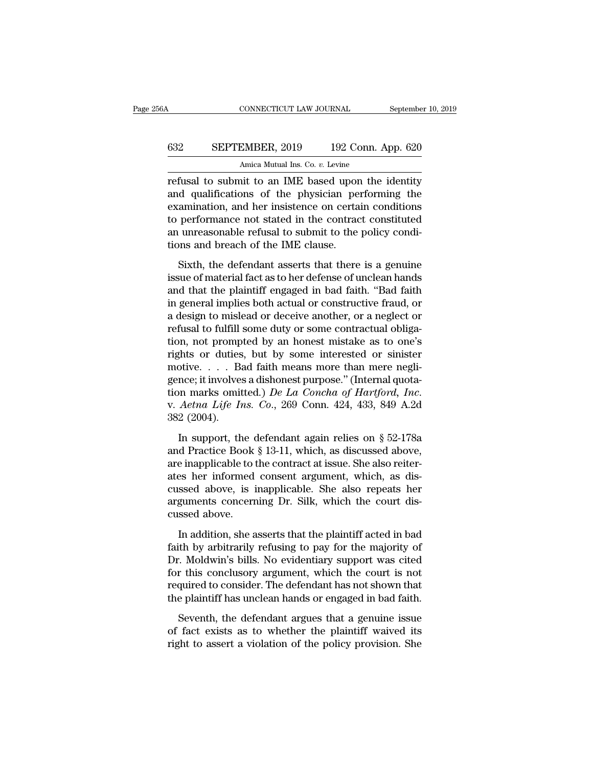# CONNECTICUT LAW JOURNAL September 10, 2019<br>632 SEPTEMBER, 2019 192 Conn. App. 620<br>Amica Mutual Ins. Co. v. Levine CONNECTICUT LAW JOURNAL<br>EMBER, 2019 192 Conn. A<br>Amica Mutual Ins. Co. *v.* Levine<br>nit to an IME based upon the

CONNECTICUT LAW JOURNAL September 10, 2019<br>
SEPTEMBER, 2019 192 Conn. App. 620<br>
Amica Mutual Ins. Co. v. Levine<br>
Tefusal to submit to an IME based upon the identity<br>
and qualifications of the physician performing the<br>
exam EXEPTEMBER, 2019 192 Conn. App. 620<br>Amica Mutual Ins. Co.  $v$ . Levine<br>refusal to submit to an IME based upon the identity<br>and qualifications of the physician performing the<br>examination, and her insistence on certain condi EXPTEMBER, 2019 192 Conn. App. 620<br>Amica Mutual Ins. Co.  $v$ . Levine<br>refusal to submit to an IME based upon the identity<br>and qualifications of the physician performing the<br>examination, and her insistence on certain condit SEPTEMBER, 2019 192 Conn. App. 620<br>
Amica Mutual Ins. Co.  $v$ . Levine<br>
refusal to submit to an IME based upon the identity<br>
and qualifications of the physician performing the<br>
examination, and her insistence on certain co Amica Mutual Ins. Co. *v.* Levine<br>refusal to submit to an IME based upon the identity<br>and qualifications of the physician performing the<br>examination, and her insistence on certain conditions<br>to performance not stated in th Antica Mutual ins. Co. *v.* Levine<br>refusal to submit to an IME based upor<br>and qualifications of the physician pe<br>examination, and her insistence on certa<br>to performance not stated in the contrac<br>an unreasonable refusal to d qualifications of the physician performing the<br>amination, and her insistence on certain conditions<br>performance not stated in the contract constituted<br>unreasonable refusal to submit to the policy condi-<br>ons and breach of and qualitations of the physical performing the<br>examination, and her insistence on certain conditions<br>to performance not stated in the contract constituted<br>an unreasonable refusal to submit to the policy condi-<br>tions and b

Examination, and not intractantly on contain contains to performance not stated in the contract constituted<br>an unreasonable refusal to submit to the policy condi-<br>tions and breach of the IME clause.<br>Sixth, the defendant as is performance from stated in the contracted constrained<br>an unreasonable refusal to submit to the policy condi-<br>tions and breach of the IME clause.<br>Sixth, the defendant asserts that there is a genuine<br>issue of material fac an an east shake renaist to sashin to are ponty orthorous and breach of the IME clause.<br>Sixth, the defendant asserts that there is a genuine<br>issue of material fact as to her defense of unclean hands<br>and that the plaintiff Sixth, the defendant asserts that there is a genuine<br>issue of material fact as to her defense of unclean hands<br>and that the plaintiff engaged in bad faith. "Bad faith<br>in general implies both actual or constructive fraud, o Sixth, the defendant asserts that there is a genuine<br>issue of material fact as to her defense of unclean hands<br>and that the plaintiff engaged in bad faith. "Bad faith<br>in general implies both actual or constructive fraud, o issue of material fact as to her defense of unclean hands<br>and that the plaintiff engaged in bad faith. "Bad faith<br>in general implies both actual or constructive fraud, or<br>a design to mislead or deceive another, or a neglec and that the plaintiff engaged in bad faith. "Bad faith<br>in general implies both actual or constructive fraud, or<br>a design to mislead or deceive another, or a neglect or<br>refusal to fulfill some duty or some contractual obl in general implies both actual or constructive fraud, or<br>a design to mislead or deceive another, or a neglect or<br>refusal to fulfill some duty or some contractual obliga-<br>tion, not prompted by an honest mistake as to one's a design to mislead or deceive another, or a neglect or<br>refusal to fulfill some duty or some contractual obliga-<br>tion, not prompted by an honest mistake as to one's<br>rights or duties, but by some interested or sinister<br>moti tion, not promp<br>rights or duties<br>motive. . . . B:<br>gence; it involves<br>tion marks omit<br>v. *Aetna Life I*<br>382 (2004).<br>In support, th otive.  $\ldots$  Bad faith means more than mere negli-<br>nce; it involves a dishonest purpose." (Internal quota-<br>nn marks omitted.) *De La Concha of Hartford*, *Inc.*<br>*Aetna Life Ins. Co.*, 269 Conn. 424, 433, 849 A.2d<br>2 (2004) Fractice: it involves a dishonest purpose." (Internal quotation marks omitted.) *De La Concha of Hartford*, *Inc.*<br>v. *Aetna Life Ins. Co.*, 269 Conn. 424, 433, 849 A.2d<br>382 (2004).<br>In support, the defendant again relies

and marks omitted.) *De La Concha of Hartford, Inc.*<br>v. *Aetna Life Ins. Co.*, 269 Conn. 424, 433, 849 A.2d<br>382 (2004).<br>In support, the defendant again relies on § 52-178a<br>and Practice Book § 13-11, which, as discussed ab aterian Life Ins. Co., 269 Conn. 424, 433, 849 A.2d<br>382 (2004).<br>In support, the defendant again relies on § 52-178a<br>and Practice Book § 13-11, which, as discussed above,<br>are inapplicable to the contract at issue. She also 382 (2004).<br>In support, the defendant again relies on § 52-178a<br>and Practice Book § 13-11, which, as discussed above,<br>are inapplicable to the contract at issue. She also reiter-<br>ates her informed consent argument, which, In support, the defendant again relies on  $\S$  52-178a<br>and Practice Book  $\S$  13-11, which, as discussed above,<br>are inapplicable to the contract at issue. She also reiter-<br>ates her informed consent argument, which, as dis-<br> In support, the c<br>and Practice Book<br>are inapplicable to t<br>ates her informed<br>cussed above, is i<br>arguments concerr<br>cussed above.<br>In addition, she a In addition, she asserts that the plaintiff acted in bad<br>In addition, she asserts that the court dissert above, is inapplicable. She also repeats her<br>guments concerning Dr. Silk, which the court dissert above.<br>In addition, Faith by a consent argument, which, as discussed above, is inapplicable. She also repeats her arguments concerning Dr. Silk, which the court discussed above.<br>In addition, she asserts that the plaintiff acted in bad faith b

not allow a simplicable. She also repeats her<br>arguments concerning Dr. Silk, which the court dis-<br>cussed above.<br>In addition, she asserts that the plaintiff acted in bad<br>faith by arbitrarily refusing to pay for the majority For the concerning Dr. Silk, which the court discussed above.<br>In addition, she asserts that the plaintiff acted in bad<br>faith by arbitrarily refusing to pay for the majority of<br>Dr. Moldwin's bills. No evidentiary support wa required a bove.<br>In addition, she asserts that the plaintiff acted in bad<br>faith by arbitrarily refusing to pay for the majority of<br>Dr. Moldwin's bills. No evidentiary support was cited<br>for this conclusory argument, which t In addition, she asserts that the plaintiff acted in bad<br>faith by arbitrarily refusing to pay for the majority of<br>Dr. Moldwin's bills. No evidentiary support was cited<br>for this conclusory argument, which the court is not<br>r In the defendant argues that a genuine issue<br>
Seventh, the defendant argues it and that a genuine is not<br>
seventh, the defendant has not shown that<br>
defendant argues that a genuine issue<br>
fact exists as to whether the plai Fig. 1. Moldwin's bills. No evidentiary support was cited<br>for this conclusory argument, which the court is not<br>required to consider. The defendant has not shown that<br>the plaintiff has unclean hands or engaged in bad faith. for this conclusory argument, which the court is not required to consider. The defendant has not shown that the plaintiff has unclean hands or engaged in bad faith.<br>Seventh, the defendant argues that a genuine issue of fac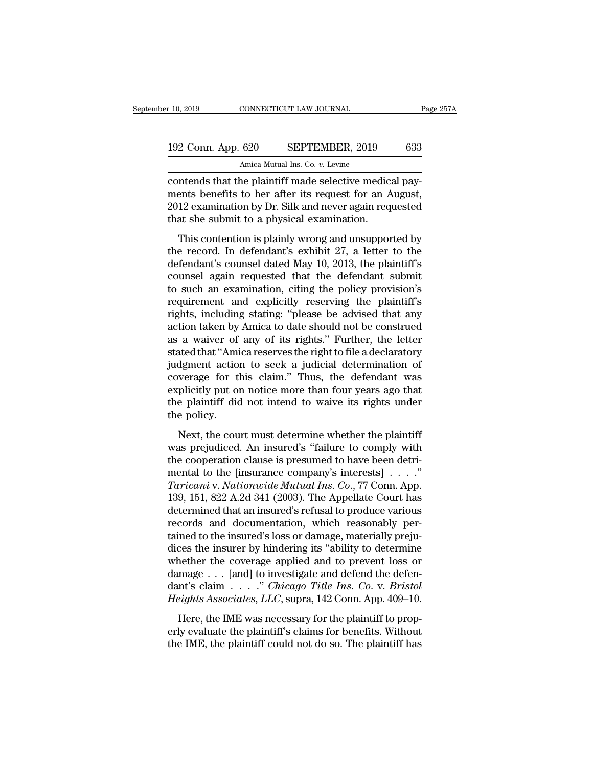# 10, 2019 CONNECTICUT LAW JOURNAL Page 257A<br>192 Conn. App. 620 SEPTEMBER, 2019 633<br>Amica Mutual Ins. Co. v. Levine CONNECTICUT LAW JOURNAL<br>620 SEPTEMBER, 2019<br>Amica Mutual Ins. Co. *v.* Levine<br>ne plaintiff made selective medi

contends that the plaintiff made selective medical pay-<br>
contends that the plaintiff made selective medical pay-<br>
contends that the plaintiff made selective medical pay-<br>
contends that the plaintiff made selective medical 192 Conn. App. 620 SEPTEMBER, 2019 633<br>Amica Mutual Ins. Co. v. Levine<br>Contends that the plaintiff made selective medical pay-<br>ments benefits to her after its request for an August,<br>2012 examination by Dr. Silk and never a 192 Conn. App. 620 SEPTEMBER, 2019 633<br>Amica Mutual Ins. Co. *v.* Levine<br>contends that the plaintiff made selective medical pay-<br>ments benefits to her after its request for an August,<br>2012 examination by Dr. Silk and never 192 Conn. App. 620 SEPTEMBER, 2019<br>Amica Mutual Ins. Co. v. Levine<br>contends that the plaintiff made selective medic:<br>ments benefits to her after its request for an A<br>2012 examination by Dr. Silk and never again req<br>that sh Amica Mutual Ins. Co. *v.* Levine<br>
Intends that the plaintiff made selective medical pay-<br>
ents benefits to her after its request for an August,<br>
12 examination by Dr. Silk and never again requested<br>
at she submit to a phy contends that the plaintiff made selective medical pay-<br>ments benefits to her after its request for an August,<br>2012 examination by Dr. Silk and never again requested<br>that she submit to a physical examination.<br>This contenti

contends that the plant. That is request for an August,<br>2012 examination by Dr. Silk and never again requested<br>that she submit to a physical examination.<br>This contention is plainly wrong and unsupported by<br>the record. In d 2012 examination by Dr. Silk and never again requested<br>that she submit to a physical examination.<br>This contention is plainly wrong and unsupported by<br>the record. In defendant's exhibit 27, a letter to the<br>defendant's couns 2012 examination by Dr. Sink and never again requested<br>that she submit to a physical examination.<br>This contention is plainly wrong and unsupported by<br>the record. In defendant's exhibit 27, a letter to the<br>defendant's couns This contention is plainly wrong and unsupported by<br>the record. In defendant's exhibit 27, a letter to the<br>defendant's counsel dated May 10, 2013, the plaintiff's<br>counsel again requested that the defendant submit<br>to such a This contention is plainly wrong and unsupported by<br>the record. In defendant's exhibit 27, a letter to the<br>defendant's counsel dated May 10, 2013, the plaintiff's<br>counsel again requested that the defendant submit<br>to such a the record. In defendant's exhibit 27, a letter to the<br>defendant's counsel dated May 10, 2013, the plaintiff's<br>counsel again requested that the defendant submit<br>to such an examination, citing the policy provision's<br>require defendant's counsel dated May 10, 2013, the plaintiff's<br>counsel again requested that the defendant submit<br>to such an examination, citing the policy provision's<br>requirement and explicitly reserving the plaintiff's<br>rights, i counsel again requested that the defendant submit<br>to such an examination, citing the policy provision's<br>requirement and explicitly reserving the plaintiff's<br>rights, including stating: "please be advised that any<br>action tak to such an examination, citing the policy provision's<br>requirement and explicitly reserving the plaintiff's<br>rights, including stating: "please be advised that any<br>action taken by Amica to date should not be construed<br>as a w requirement and explicitly reserving the plaintiff's<br>rights, including stating: "please be advised that any<br>action taken by Amica to date should not be construed<br>as a waiver of any of its rights." Further, the letter<br>state rights, including stating: "please be advised that any<br>action taken by Amica to date should not be construed<br>as a waiver of any of its rights." Further, the letter<br>stated that "Amica reserves the right to file a declarator action taken by Amica to date should not be construed<br>as a waiver of any of its rights." Further, the letter<br>stated that "Amica reserves the right to file a declaratory<br>judgment action to seek a judicial determination of<br>c as a waiver of any of its rights." Further, the letter<br>stated that "Amica reserves the right to file a declaratory<br>judgment action to seek a judicial determination of<br>coverage for this claim." Thus, the defendant was<br>expli Mexica and Thincareserves are right to the a deceduratory<br>dgment action to seek a judicial determination of<br>verage for this claim." Thus, the defendant was<br>plicitly put on notice more than four years ago that<br>e palintiff d between the sector. Thus, the defendant was<br>explicitly put on notice more than four years ago that<br>the plaintiff did not intend to waive its rights under<br>the policy.<br>Next, the court must determine whether the plaintiff<br>was

explicitly put on notice more than four years ago that<br>the plaintiff did not intend to waive its rights under<br>the policy.<br>Next, the court must determine whether the plaintiff<br>was prejudiced. An insured's "failure to compl the plaintiff did not intend to waive its rights under<br>the policy.<br>Next, the court must determine whether the plaintiff<br>was prejudiced. An insured's "failure to comply with<br>the cooperation clause is presumed to have been *Taricani* v. *Next*, the court must determine whether the plaintiff was prejudiced. An insured's "failure to comply with the cooperation clause is presumed to have been detrimental to the [insurance company's interests] . Next, the court must determine whether the plaintiff<br>was prejudiced. An insured's "failure to comply with<br>the cooperation clause is presumed to have been detri-<br>mental to the [insurance company's interests]  $\dots$ ."<br>Tarican Next, the court must determine whether the plaintiff<br>was prejudiced. An insured's "failure to comply with<br>the cooperation clause is presumed to have been detri-<br>mental to the [insurance company's interests] . . . . ."<br>Tar was prejudiced. An insured's "failure to comply with<br>the cooperation clause is presumed to have been detri-<br>mental to the [insurance company's interests]  $\ldots$ ."<br>Taricani v. Nationwide Mutual Ins. Co., 77 Conn. App.<br>139, the cooperation clause is presumed to have been detri-<br>mental to the [insurance company's interests]  $\ldots$ ."<br>Taricani v. Nationwide Mutual Ins. Co., 77 Conn. App.<br>139, 151, 822 A.2d 341 (2003). The Appellate Court has<br>det mental to the [insurance company's interests]  $\ldots$ ."<br>
Taricani v. Nationwide Mutual Ins. Co., 77 Conn. App.<br>
139, 151, 822 A.2d 341 (2003). The Appellate Court has<br>
determined that an insured's refusal to produce various Taricani v. Nationwide Mutual Ins. Co., 77 Conn. App.<br>139, 151, 822 A.2d 341 (2003). The Appellate Court has<br>determined that an insured's refusal to produce various<br>records and documentation, which reasonably per-<br>tained 139, 151, 822 A.2d 341 (2003). The Appellate Court has<br>determined that an insured's refusal to produce various<br>records and documentation, which reasonably per-<br>tained to the insured's loss or damage, materially preju-<br>dic determined that an insured's refusal to produce various<br>records and documentation, which reasonably per-<br>tained to the insured's loss or damage, materially preju-<br>dices the insurer by hindering its "ability to determine<br>wh records and documentation, which reasonably per-<br>tained to the insured's loss or damage, materially preju-<br>dices the insurer by hindering its "ability to determine<br>whether the coverage applied and to prevent loss or<br>damage des the insured states in all analogues of the material of properties the insurer by hindering its "ability to determine nether the coverage applied and to prevent loss or mage  $\ldots$  [and] to investigate and defend the de whether the coverage applied and to prevent loss or damage  $\dots$  [and] to investigate and defend the defendant's claim  $\dots$ ." Chicago Title Ins. Co. v. Bristol Heights Associates, LLC, supra, 142 Conn. App. 409–10.<br>Here, t damage  $\ldots$  [and] to investigate and defend the defendant's claim  $\ldots$ ." Chicago Title Ins. Co. v. Bristol Heights Associates, LLC, supra, 142 Conn. App. 409–10.<br>Here, the IME was necessary for the plaintiff to properly